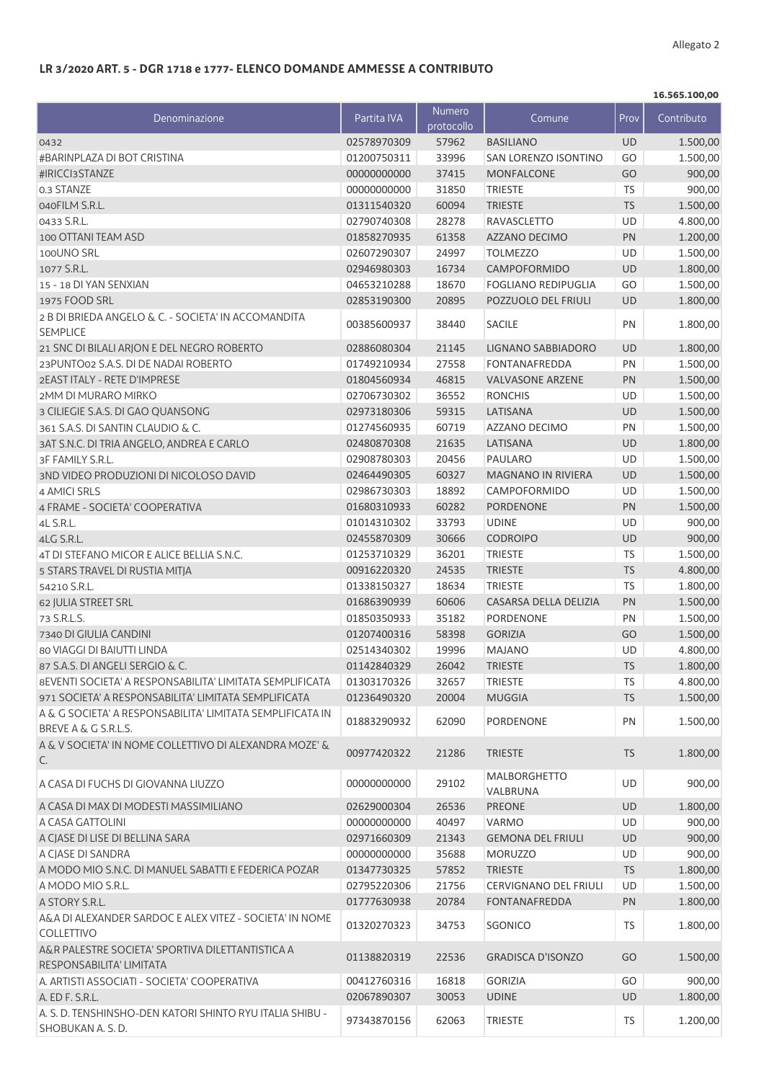## **LR 3/2020 ART. 5 - DGR 1718 e 1777- ELENCO DOMANDE AMMESSE A CONTRIBUTO**

|                                                                                                                   |                            |                      |                                       |                 | 16.565.100,00        |
|-------------------------------------------------------------------------------------------------------------------|----------------------------|----------------------|---------------------------------------|-----------------|----------------------|
| Denominazione                                                                                                     | Partita IVA                | Numero<br>protocollo | Comune                                | Prov            | Contributo           |
| 0432                                                                                                              | 02578970309                | 57962                | <b>BASILIANO</b>                      | <b>UD</b>       | 1.500,00             |
| #BARINPLAZA DI BOT CRISTINA                                                                                       | 01200750311                | 33996                | <b>SAN LORENZO ISONTINO</b>           | GO              | 1.500,00             |
| #IRICCI3STANZE                                                                                                    | 00000000000                | 37415                | MONFALCONE                            | GO              | 900,00               |
| 0.3 STANZE                                                                                                        | 00000000000                | 31850                | <b>TRIESTE</b>                        | <b>TS</b>       | 900,00               |
| 040FILM S.R.L.                                                                                                    | 01311540320                | 60094                | <b>TRIESTE</b>                        | <b>TS</b>       | 1.500,00             |
| 0433 S.R.L.                                                                                                       | 02790740308                | 28278                | <b>RAVASCLETTO</b>                    | UD              | 4.800,00             |
| 100 OTTANI TEAM ASD                                                                                               | 01858270935                | 61358                | <b>AZZANO DECIMO</b>                  | PN              | 1.200,00             |
| 100UNO SRL                                                                                                        | 02607290307                | 24997                | <b>TOLMEZZO</b>                       | UD              | 1.500,00             |
| 1077 S.R.L.                                                                                                       | 02946980303                | 16734                | <b>CAMPOFORMIDO</b>                   | <b>UD</b>       | 1.800,00             |
| 15 - 18 DI YAN SENXIAN                                                                                            | 04653210288                | 18670                | <b>FOGLIANO REDIPUGLIA</b>            | GO              | 1.500,00             |
| 1975 FOOD SRL                                                                                                     | 02853190300                | 20895                | POZZUOLO DEL FRIULI                   | <b>UD</b>       | 1.800,00             |
| 2 B DI BRIEDA ANGELO & C. - SOCIETA' IN ACCOMANDITA<br><b>SEMPLICE</b>                                            | 00385600937                | 38440                | <b>SACILE</b>                         | PN              | 1.800,00             |
| 21 SNC DI BILALI ARJON E DEL NEGRO ROBERTO                                                                        | 02886080304                | 21145                | LIGNANO SABBIADORO                    | UD              | 1.800,00             |
| 23PUNTO02 S.A.S. DI DE NADAI ROBERTO                                                                              | 01749210934                | 27558                | <b>FONTANAFREDDA</b>                  | PN              | 1.500,00             |
| 2EAST ITALY - RETE D'IMPRESE                                                                                      | 01804560934                | 46815                | <b>VALVASONE ARZENE</b>               | PN              | 1.500,00             |
| 2MM DI MURARO MIRKO                                                                                               | 02706730302                | 36552                | <b>RONCHIS</b>                        | UD              | 1.500,00             |
| 3 CILIEGIE S.A.S. DI GAO QUANSONG                                                                                 | 02973180306                | 59315                | LATISANA                              | UD              | 1.500,00             |
| 361 S.A.S. DI SANTIN CLAUDIO & C.                                                                                 | 01274560935                | 60719                | AZZANO DECIMO                         | PN              | 1.500,00             |
| 3AT S.N.C. DI TRIA ANGELO, ANDREA E CARLO                                                                         | 02480870308                | 21635                | LATISANA                              | UD              | 1.800,00             |
| 3F FAMILY S.R.L.                                                                                                  | 02908780303                | 20456                | PAULARO                               | UD              | 1.500,00             |
| 3ND VIDEO PRODUZIONI DI NICOLOSO DAVID                                                                            | 02464490305                | 60327                | MAGNANO IN RIVIERA                    | UD              | 1.500,00             |
| 4 AMICI SRLS                                                                                                      | 02986730303                | 18892                | <b>CAMPOFORMIDO</b>                   | UD              | 1.500,00             |
| 4 FRAME - SOCIETA' COOPERATIVA                                                                                    | 01680310933                | 60282                | <b>PORDENONE</b>                      | PN              | 1.500,00             |
|                                                                                                                   |                            |                      |                                       |                 |                      |
| 4L S.R.L.                                                                                                         | 01014310302                | 33793                | <b>UDINE</b>                          | UD              | 900,00               |
| 4LG S.R.L.                                                                                                        | 02455870309                | 30666                | <b>CODROIPO</b>                       | <b>UD</b>       | 900,00               |
| 4T DI STEFANO MICOR E ALICE BELLIA S.N.C.                                                                         | 01253710329                | 36201                | <b>TRIESTE</b>                        | TS              | 1.500,00             |
| 5 STARS TRAVEL DI RUSTIA MITJA                                                                                    | 00916220320                | 24535                | <b>TRIESTE</b>                        | <b>TS</b>       | 4.800,00             |
| 54210 S.R.L.                                                                                                      | 01338150327                | 18634                | <b>TRIESTE</b>                        | <b>TS</b>       | 1.800,00             |
| 62 JULIA STREET SRL                                                                                               | 01686390939                | 60606                | CASARSA DELLA DELIZIA                 | PN              | 1.500,00             |
| 73 S.R.L.S.                                                                                                       | 01850350933                | 35182                | <b>PORDENONE</b>                      | PN              | 1.500,00             |
| 7340 DI GIULIA CANDINI                                                                                            | 01207400316                | 58398                | <b>GORIZIA</b>                        | GO              | 1.500,00             |
| 80 VIAGGI DI BAIUTTI LINDA                                                                                        | 02514340302                | 19996                | <b>MAJANO</b>                         | UD              | 4.800,00             |
| 87 S.A.S. DI ANGELI SERGIO & C.                                                                                   | 01142840329                | 26042                | TRIESTE                               | <b>TS</b>       | 1.800,00             |
| <b>8EVENTI SOCIETA' A RESPONSABILITA' LIMITATA SEMPLIFICATA</b>                                                   | 01303170326                | 32657                | <b>TRIESTE</b>                        | <b>TS</b>       | 4.800,00             |
| 971 SOCIETA' A RESPONSABILITA' LIMITATA SEMPLIFICATA<br>A & G SOCIETA' A RESPONSABILITA' LIMITATA SEMPLIFICATA IN | 01236490320<br>01883290932 | 20004<br>62090       | <b>MUGGIA</b><br>PORDENONE            | <b>TS</b><br>PN | 1.500,00<br>1.500,00 |
| <b>BREVE A &amp; G S.R.L.S.</b><br>A & V SOCIETA' IN NOME COLLETTIVO DI ALEXANDRA MOZE' &                         |                            |                      |                                       |                 |                      |
| C.                                                                                                                | 00977420322                | 21286                | <b>TRIESTE</b><br><b>MALBORGHETTO</b> | <b>TS</b>       | 1.800,00             |
| A CASA DI FUCHS DI GIOVANNA LIUZZO                                                                                | 00000000000                | 29102                | VALBRUNA                              | <b>UD</b>       | 900,00               |
| A CASA DI MAX DI MODESTI MASSIMILIANO                                                                             | 02629000304                | 26536                | <b>PREONE</b>                         | UD              | 1.800,00             |
| A CASA GATTOLINI                                                                                                  | 00000000000                | 40497                | VARMO                                 | UD              | 900,00               |
| A CIASE DI LISE DI BELLINA SARA                                                                                   | 02971660309                | 21343                | <b>GEMONA DEL FRIULI</b>              | UD              | 900,00               |
| A CJASE DI SANDRA                                                                                                 | 00000000000                | 35688                | <b>MORUZZO</b>                        | UD              | 900,00               |
| A MODO MIO S.N.C. DI MANUEL SABATTI E FEDERICA POZAR                                                              | 01347730325                | 57852                | <b>TRIESTE</b>                        | <b>TS</b>       | 1.800,00             |
| A MODO MIO S.R.L.                                                                                                 | 02795220306                | 21756                | CERVIGNANO DEL FRIULI                 | UD              | 1.500,00             |
| A STORY S.R.L.                                                                                                    | 01777630938                | 20784                | <b>FONTANAFREDDA</b>                  | PN              | 1.800,00             |
| A&A DI ALEXANDER SARDOC E ALEX VITEZ - SOCIETA' IN NOME<br><b>COLLETTIVO</b>                                      | 01320270323                | 34753                | SGONICO                               | TS              | 1.800,00             |
| A&R PALESTRE SOCIETA' SPORTIVA DILETTANTISTICA A<br>RESPONSABILITA' LIMITATA                                      | 01138820319                | 22536                | <b>GRADISCA D'ISONZO</b>              | GO              | 1.500,00             |
| A. ARTISTI ASSOCIATI - SOCIETA' COOPERATIVA                                                                       | 00412760316                | 16818                | <b>GORIZIA</b>                        | GO              | 900,00               |
| A. ED F. S.R.L.                                                                                                   | 02067890307                | 30053                | <b>UDINE</b>                          | <b>UD</b>       | 1.800,00             |
| A. S. D. TENSHINSHO-DEN KATORI SHINTO RYU ITALIA SHIBU -<br>SHOBUKAN A.S.D.                                       | 97343870156                | 62063                | <b>TRIESTE</b>                        | TS              | 1.200,00             |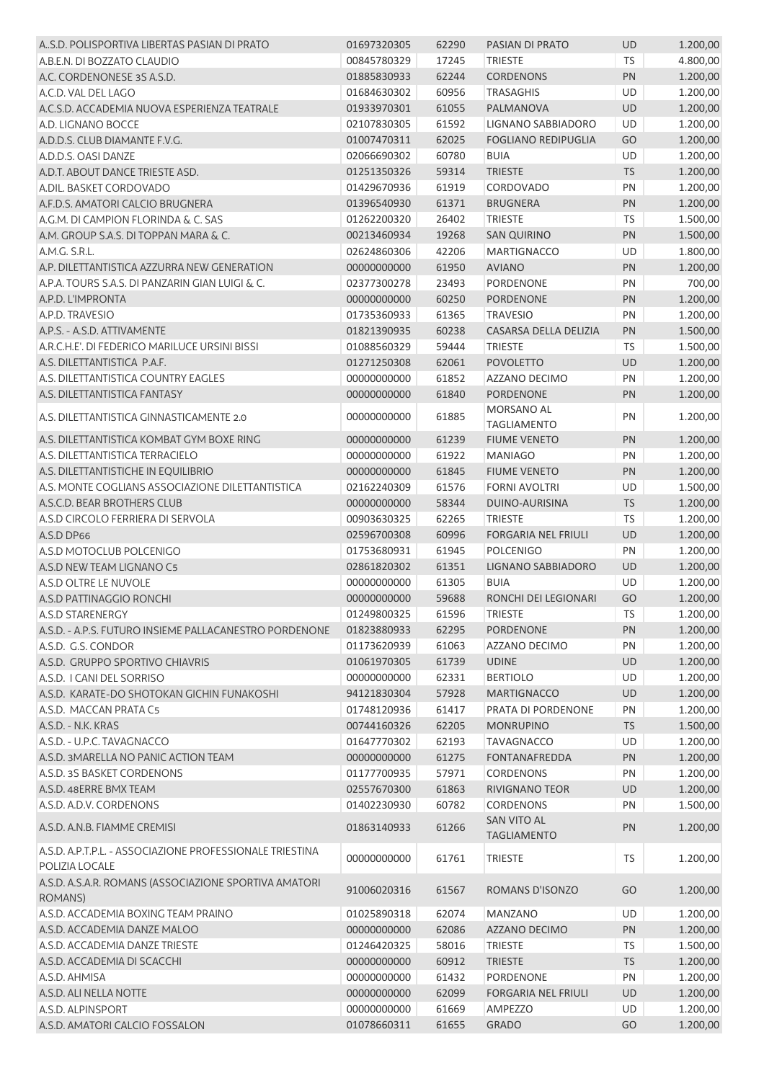| A.S.D. POLISPORTIVA LIBERTAS PASIAN DI PRATO                     | 01697320305 | 62290 | PASIAN DI PRATO            | <b>UD</b>  | 1.200,00 |
|------------------------------------------------------------------|-------------|-------|----------------------------|------------|----------|
| A.B.E.N. DI BOZZATO CLAUDIO                                      | 00845780329 | 17245 | <b>TRIESTE</b>             | <b>TS</b>  | 4.800,00 |
| A.C. CORDENONESE 3S A.S.D.                                       | 01885830933 | 62244 | <b>CORDENONS</b>           | PN         | 1.200,00 |
| A.C.D. VAL DEL LAGO                                              | 01684630302 | 60956 | <b>TRASAGHIS</b>           | <b>UD</b>  | 1.200,00 |
| A.C.S.D. ACCADEMIA NUOVA ESPERIENZA TEATRALE                     | 01933970301 | 61055 | PALMANOVA                  | <b>UD</b>  | 1.200,00 |
| A.D. LIGNANO BOCCE                                               | 02107830305 | 61592 | LIGNANO SABBIADORO         | UD         | 1.200,00 |
| A.D.D.S. CLUB DIAMANTE F.V.G.                                    | 01007470311 | 62025 | <b>FOGLIANO REDIPUGLIA</b> | GO         | 1.200,00 |
| A.D.D.S. OASI DANZE                                              | 02066690302 | 60780 | <b>BUIA</b>                | UD         | 1.200,00 |
| A.D.T. ABOUT DANCE TRIESTE ASD.                                  | 01251350326 | 59314 | <b>TRIESTE</b>             | <b>TS</b>  | 1.200,00 |
| A.DIL. BASKET CORDOVADO                                          | 01429670936 | 61919 | CORDOVADO                  | PN         | 1.200,00 |
| A.F.D.S. AMATORI CALCIO BRUGNERA                                 | 01396540930 | 61371 | <b>BRUGNERA</b>            | PN         | 1.200,00 |
| A.G.M. DI CAMPION FLORINDA & C. SAS                              | 01262200320 | 26402 | <b>TRIESTE</b>             | <b>TS</b>  | 1.500,00 |
| A.M. GROUP S.A.S. DI TOPPAN MARA & C.                            | 00213460934 | 19268 | <b>SAN QUIRINO</b>         | PN         | 1.500,00 |
| A.M.G. S.R.L.                                                    | 02624860306 | 42206 | <b>MARTIGNACCO</b>         | UD         | 1.800,00 |
| A.P. DILETTANTISTICA AZZURRA NEW GENERATION                      | 00000000000 | 61950 | <b>AVIANO</b>              | <b>PN</b>  | 1.200,00 |
| A.P.A. TOURS S.A.S. DI PANZARIN GIAN LUIGI & C.                  | 02377300278 | 23493 | <b>PORDENONE</b>           | PN         | 700,00   |
| A.P.D. L'IMPRONTA                                                | 00000000000 | 60250 | PORDENONE                  | PN         | 1.200,00 |
| A.P.D. TRAVESIO                                                  | 01735360933 | 61365 | <b>TRAVESIO</b>            | PN         | 1.200,00 |
| A.P.S. - A.S.D. ATTIVAMENTE                                      | 01821390935 | 60238 | CASARSA DELLA DELIZIA      | PN         | 1.500,00 |
| A.R.C.H.E'. DI FEDERICO MARILUCE URSINI BISSI                    | 01088560329 | 59444 | <b>TRIESTE</b>             | <b>TS</b>  | 1.500,00 |
| A.S. DILETTANTISTICA P.A.F.                                      | 01271250308 | 62061 | <b>POVOLETTO</b>           | UD         | 1.200,00 |
| A.S. DILETTANTISTICA COUNTRY EAGLES                              | 00000000000 | 61852 | AZZANO DECIMO              | PN         | 1.200,00 |
| A.S. DILETTANTISTICA FANTASY                                     | 00000000000 | 61840 | <b>PORDENONE</b>           | PN         | 1.200,00 |
|                                                                  |             |       | <b>MORSANO AL</b>          |            |          |
| A.S. DILETTANTISTICA GINNASTICAMENTE 2.0                         | 00000000000 | 61885 | <b>TAGLIAMENTO</b>         | PN         | 1.200,00 |
| A.S. DILETTANTISTICA KOMBAT GYM BOXE RING                        | 00000000000 | 61239 | <b>FIUME VENETO</b>        | PN         | 1.200,00 |
| A.S. DILETTANTISTICA TERRACIELO                                  | 00000000000 | 61922 | <b>MANIAGO</b>             | PN         | 1.200,00 |
| A.S. DILETTANTISTICHE IN EQUILIBRIO                              | 00000000000 | 61845 | <b>FIUME VENETO</b>        | <b>PN</b>  | 1.200,00 |
| A.S. MONTE COGLIANS ASSOCIAZIONE DILETTANTISTICA                 | 02162240309 | 61576 | <b>FORNI AVOLTRI</b>       | UD         | 1.500,00 |
| A.S.C.D. BEAR BROTHERS CLUB                                      | 00000000000 | 58344 | DUINO-AURISINA             | <b>TS</b>  | 1.200,00 |
| A.S.D CIRCOLO FERRIERA DI SERVOLA                                | 00903630325 | 62265 | <b>TRIESTE</b>             | TS         | 1.200,00 |
| A.S.D DP66                                                       | 02596700308 | 60996 | <b>FORGARIA NEL FRIULI</b> | UD         | 1.200,00 |
| A.S.D MOTOCLUB POLCENIGO                                         | 01753680931 | 61945 | <b>POLCENIGO</b>           | PN         | 1.200,00 |
| A.S.D NEW TEAM LIGNANO C5                                        | 02861820302 | 61351 | LIGNANO SABBIADORO         | UD         | 1.200,00 |
| A.S.D OLTRE LE NUVOLE                                            | 00000000000 | 61305 | <b>BUIA</b>                | UD         | 1.200,00 |
| A.S.D PATTINAGGIO RONCHI                                         | 00000000000 | 59688 | RONCHI DEI LEGIONARI       | GO         | 1.200,00 |
| A.S.D STARENERGY                                                 | 01249800325 | 61596 | TRIESTE                    | ${\sf TS}$ | 1.200,00 |
| A.S.D. - A.P.S. FUTURO INSIEME PALLACANESTRO PORDENONE           | 01823880933 | 62295 | <b>PORDENONE</b>           | PN         | 1.200,00 |
| A.S.D. G.S. CONDOR                                               | 01173620939 | 61063 | AZZANO DECIMO              | PN         | 1.200,00 |
| A.S.D. GRUPPO SPORTIVO CHIAVRIS                                  | 01061970305 | 61739 | <b>UDINE</b>               | UD         | 1.200,00 |
| A.S.D. I CANI DEL SORRISO                                        | 00000000000 | 62331 | <b>BERTIOLO</b>            | UD         | 1.200,00 |
| A.S.D. KARATE-DO SHOTOKAN GICHIN FUNAKOSHI                       | 94121830304 | 57928 | <b>MARTIGNACCO</b>         | UD         | 1.200,00 |
| A.S.D. MACCAN PRATA C5                                           | 01748120936 | 61417 | PRATA DI PORDENONE         | PN         | 1.200,00 |
| A.S.D. - N.K. KRAS                                               | 00744160326 | 62205 | <b>MONRUPINO</b>           | <b>TS</b>  | 1.500,00 |
| A.S.D. - U.P.C. TAVAGNACCO                                       | 01647770302 | 62193 | <b>TAVAGNACCO</b>          | UD         | 1.200,00 |
| A.S.D. 3MARELLA NO PANIC ACTION TEAM                             | 00000000000 | 61275 | <b>FONTANAFREDDA</b>       | PN         | 1.200,00 |
| A.S.D. 3S BASKET CORDENONS                                       | 01177700935 | 57971 | <b>CORDENONS</b>           | PN         | 1.200,00 |
| A.S.D. 48ERRE BMX TEAM                                           | 02557670300 | 61863 | RIVIGNANO TEOR             | UD         | 1.200,00 |
| A.S.D. A.D.V. CORDENONS                                          | 01402230930 | 60782 | CORDENONS                  | PN         | 1.500,00 |
|                                                                  |             |       | <b>SAN VITO AL</b>         |            |          |
| A.S.D. A.N.B. FIAMME CREMISI                                     | 01863140933 | 61266 | <b>TAGLIAMENTO</b>         | PN         | 1.200,00 |
| A.S.D. A.P.T.P.L. - ASSOCIAZIONE PROFESSIONALE TRIESTINA         |             |       |                            |            |          |
| POLIZIA LOCALE                                                   | 00000000000 | 61761 | <b>TRIESTE</b>             | TS         | 1.200,00 |
| A.S.D. A.S.A.R. ROMANS (ASSOCIAZIONE SPORTIVA AMATORI<br>ROMANS) | 91006020316 | 61567 | ROMANS D'ISONZO            | GO         | 1.200,00 |
| A.S.D. ACCADEMIA BOXING TEAM PRAINO                              | 01025890318 | 62074 | <b>MANZANO</b>             | UD         | 1.200,00 |
| A.S.D. ACCADEMIA DANZE MALOO                                     | 00000000000 | 62086 | AZZANO DECIMO              | PN         | 1.200,00 |
| A.S.D. ACCADEMIA DANZE TRIESTE                                   |             |       |                            |            |          |
|                                                                  | 01246420325 | 58016 | <b>TRIESTE</b>             | <b>TS</b>  | 1.500,00 |
| A.S.D. ACCADEMIA DI SCACCHI                                      | 00000000000 | 60912 | <b>TRIESTE</b>             | <b>TS</b>  | 1.200,00 |
| A.S.D. AHMISA                                                    | 00000000000 | 61432 | PORDENONE                  | PN         | 1.200,00 |
| A.S.D. ALI NELLA NOTTE                                           | 00000000000 | 62099 | <b>FORGARIA NEL FRIULI</b> | UD         | 1.200,00 |
| A.S.D. ALPINSPORT                                                | 00000000000 | 61669 | AMPEZZO                    | UD         | 1.200,00 |
| A.S.D. AMATORI CALCIO FOSSALON                                   | 01078660311 | 61655 | <b>GRADO</b>               | GO         | 1.200,00 |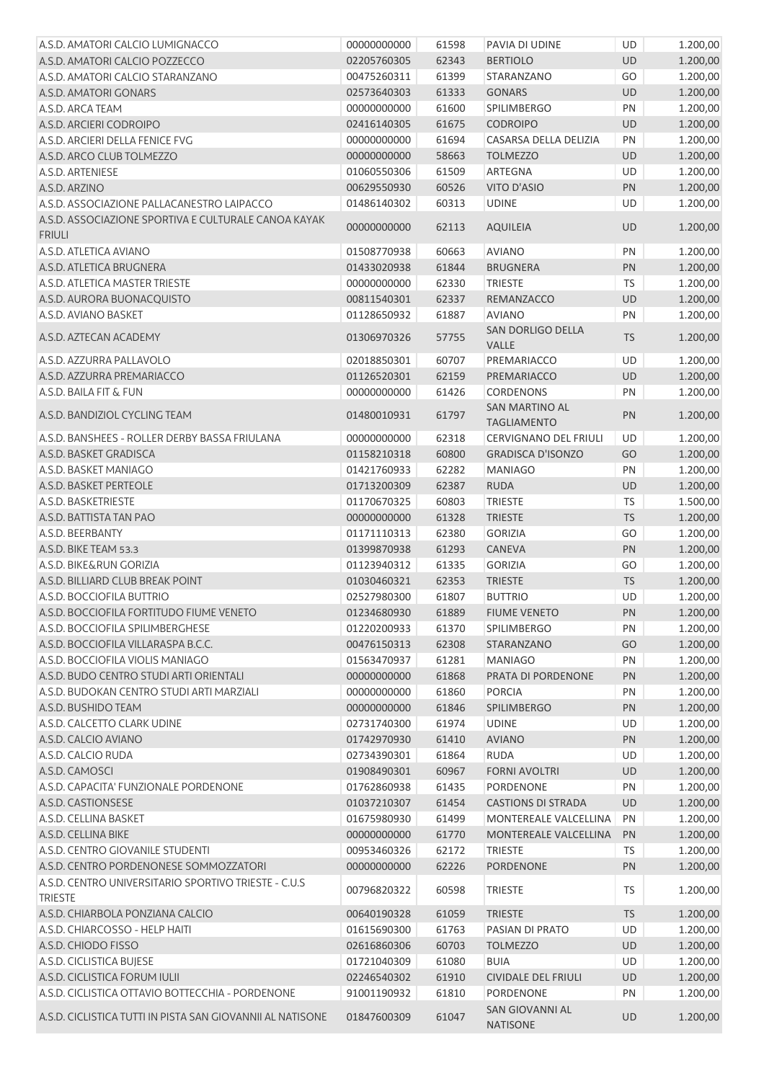| A.S.D. AMATORI CALCIO LUMIGNACCO                                       | 00000000000 | 61598 | PAVIA DI UDINE                            | UD        | 1.200,00 |
|------------------------------------------------------------------------|-------------|-------|-------------------------------------------|-----------|----------|
| A.S.D. AMATORI CALCIO POZZECCO                                         | 02205760305 | 62343 | <b>BERTIOLO</b>                           | <b>UD</b> | 1.200,00 |
| A.S.D. AMATORI CALCIO STARANZANO                                       | 00475260311 | 61399 | STARANZANO                                | GO        | 1.200,00 |
| A.S.D. AMATORI GONARS                                                  | 02573640303 | 61333 | <b>GONARS</b>                             | <b>UD</b> | 1.200,00 |
| A.S.D. ARCA TEAM                                                       | 00000000000 | 61600 | SPILIMBERGO                               | PN        | 1.200,00 |
| A.S.D. ARCIERI CODROIPO                                                | 02416140305 | 61675 | <b>CODROIPO</b>                           | <b>UD</b> | 1.200,00 |
| A.S.D. ARCIERI DELLA FENICE FVG                                        | 00000000000 | 61694 | CASARSA DELLA DELIZIA                     | PN        | 1.200,00 |
| A.S.D. ARCO CLUB TOLMEZZO                                              | 00000000000 | 58663 | <b>TOLMEZZO</b>                           | UD        | 1.200,00 |
| A.S.D. ARTENIESE                                                       | 01060550306 | 61509 | ARTEGNA                                   | UD        | 1.200,00 |
| A.S.D. ARZINO                                                          | 00629550930 | 60526 | VITO D'ASIO                               | PN        | 1.200,00 |
| A.S.D. ASSOCIAZIONE PALLACANESTRO LAIPACCO                             | 01486140302 | 60313 | <b>UDINE</b>                              | UD        | 1.200,00 |
| A.S.D. ASSOCIAZIONE SPORTIVA E CULTURALE CANOA KAYAK                   |             |       |                                           |           |          |
| <b>FRIULI</b>                                                          | 00000000000 | 62113 | AQUILEIA                                  | <b>UD</b> | 1.200,00 |
| A.S.D. ATLETICA AVIANO                                                 | 01508770938 | 60663 | <b>AVIANO</b>                             | PN        | 1.200,00 |
| A.S.D. ATLETICA BRUGNERA                                               | 01433020938 | 61844 | <b>BRUGNERA</b>                           | PN        | 1.200,00 |
| A.S.D. ATLETICA MASTER TRIESTE                                         | 00000000000 | 62330 | <b>TRIESTE</b>                            | <b>TS</b> | 1.200,00 |
| A.S.D. AURORA BUONACQUISTO                                             | 00811540301 | 62337 | REMANZACCO                                | UD        | 1.200,00 |
| A.S.D. AVIANO BASKET                                                   | 01128650932 | 61887 | <b>AVIANO</b>                             | PN        | 1.200,00 |
|                                                                        |             |       | <b>SAN DORLIGO DELLA</b>                  |           |          |
| A.S.D. AZTECAN ACADEMY                                                 | 01306970326 | 57755 | <b>VALLE</b>                              | <b>TS</b> | 1.200,00 |
| A.S.D. AZZURRA PALLAVOLO                                               | 02018850301 | 60707 | PREMARIACCO                               | UD        | 1.200,00 |
| A.S.D. AZZURRA PREMARIACCO                                             | 01126520301 | 62159 | PREMARIACCO                               | UD        | 1.200,00 |
| A.S.D. BAILA FIT & FUN                                                 | 00000000000 | 61426 | <b>CORDENONS</b>                          | PN        | 1.200,00 |
|                                                                        |             |       | <b>SAN MARTINO AL</b>                     |           |          |
| A.S.D. BANDIZIOL CYCLING TEAM                                          | 01480010931 | 61797 | <b>TAGLIAMENTO</b>                        | PN        | 1.200,00 |
| A.S.D. BANSHEES - ROLLER DERBY BASSA FRIULANA                          | 00000000000 | 62318 | CERVIGNANO DEL FRIULI                     | UD        | 1.200,00 |
| A.S.D. BASKET GRADISCA                                                 | 01158210318 | 60800 | <b>GRADISCA D'ISONZO</b>                  | GO        | 1.200,00 |
| A.S.D. BASKET MANIAGO                                                  | 01421760933 | 62282 | <b>MANIAGO</b>                            | PN        | 1.200,00 |
| A.S.D. BASKET PERTEOLE                                                 | 01713200309 | 62387 | <b>RUDA</b>                               | <b>UD</b> | 1.200,00 |
| A.S.D. BASKETRIESTE                                                    | 01170670325 | 60803 | <b>TRIESTE</b>                            | <b>TS</b> | 1.500,00 |
| A.S.D. BATTISTA TAN PAO                                                | 00000000000 | 61328 | <b>TRIESTE</b>                            | <b>TS</b> | 1.200,00 |
| A.S.D. BEERBANTY                                                       | 01171110313 | 62380 | <b>GORIZIA</b>                            | GO        | 1.200,00 |
| A.S.D. BIKE TEAM 53.3                                                  | 01399870938 | 61293 | CANEVA                                    | PN        | 1.200,00 |
| A.S.D. BIKE&RUN GORIZIA                                                | 01123940312 | 61335 | <b>GORIZIA</b>                            | GO        | 1.200,00 |
| A.S.D. BILLIARD CLUB BREAK POINT                                       | 01030460321 | 62353 | <b>TRIESTE</b>                            | <b>TS</b> | 1.200,00 |
| A.S.D. BOCCIOFILA BUTTRIO                                              | 02527980300 | 61807 | <b>BUTTRIO</b>                            | UD        | 1.200,00 |
| A.S.D. BOCCIOFILA FORTITUDO FIUME VENETO                               | 01234680930 |       | 61889 FIUME VENETO                        | PN        | 1.200,00 |
| A.S.D. BOCCIOFILA SPILIMBERGHESE                                       | 01220200933 | 61370 | SPILIMBERGO                               | PN        | 1.200,00 |
| A.S.D. BOCCIOFILA VILLARASPA B.C.C.                                    | 00476150313 | 62308 | STARANZANO                                | GO        | 1.200,00 |
| A.S.D. BOCCIOFILA VIOLIS MANIAGO                                       | 01563470937 | 61281 | <b>MANIAGO</b>                            | PN        | 1.200,00 |
| A.S.D. BUDO CENTRO STUDI ARTI ORIENTALI                                | 00000000000 | 61868 | PRATA DI PORDENONE                        | PN        | 1.200,00 |
| A.S.D. BUDOKAN CENTRO STUDI ARTI MARZIALI                              |             |       | <b>PORCIA</b>                             |           |          |
| A.S.D. BUSHIDO TEAM                                                    | 00000000000 | 61860 |                                           | PN        | 1.200,00 |
|                                                                        | 00000000000 | 61846 | <b>SPILIMBERGO</b>                        | PN        | 1.200,00 |
| A.S.D. CALCETTO CLARK UDINE                                            | 02731740300 | 61974 | <b>UDINE</b>                              | UD        | 1.200,00 |
| A.S.D. CALCIO AVIANO                                                   | 01742970930 | 61410 | <b>AVIANO</b>                             | PN        | 1.200,00 |
| A.S.D. CALCIO RUDA                                                     | 02734390301 | 61864 | <b>RUDA</b>                               | UD        | 1.200,00 |
| A.S.D. CAMOSCI                                                         | 01908490301 | 60967 | <b>FORNI AVOLTRI</b>                      | UD        | 1.200,00 |
| A.S.D. CAPACITA' FUNZIONALE PORDENONE                                  | 01762860938 | 61435 | PORDENONE                                 | PN        | 1.200,00 |
| A.S.D. CASTIONSESE                                                     | 01037210307 | 61454 | <b>CASTIONS DI STRADA</b>                 | UD        | 1.200,00 |
| A.S.D. CELLINA BASKET                                                  | 01675980930 | 61499 | MONTEREALE VALCELLINA                     | PN        | 1.200,00 |
| A.S.D. CELLINA BIKE                                                    | 00000000000 | 61770 | MONTEREALE VALCELLINA                     | PN        | 1.200,00 |
| A.S.D. CENTRO GIOVANILE STUDENTI                                       | 00953460326 | 62172 | <b>TRIESTE</b>                            | <b>TS</b> | 1.200,00 |
| A.S.D. CENTRO PORDENONESE SOMMOZZATORI                                 | 00000000000 | 62226 | PORDENONE                                 | PN        | 1.200,00 |
| A.S.D. CENTRO UNIVERSITARIO SPORTIVO TRIESTE - C.U.S<br><b>TRIESTE</b> | 00796820322 | 60598 | <b>TRIESTE</b>                            | TS        | 1.200,00 |
| A.S.D. CHIARBOLA PONZIANA CALCIO                                       | 00640190328 | 61059 | <b>TRIESTE</b>                            | <b>TS</b> | 1.200,00 |
| A.S.D. CHIARCOSSO - HELP HAITI                                         | 01615690300 | 61763 | PASIAN DI PRATO                           | UD        | 1.200,00 |
| A.S.D. CHIODO FISSO                                                    | 02616860306 | 60703 | <b>TOLMEZZO</b>                           | UD        | 1.200,00 |
| A.S.D. CICLISTICA BUJESE                                               | 01721040309 | 61080 | <b>BUIA</b>                               | UD        | 1.200,00 |
| A.S.D. CICLISTICA FORUM IULII                                          | 02246540302 | 61910 | <b>CIVIDALE DEL FRIULI</b>                | UD        | 1.200,00 |
| A.S.D. CICLISTICA OTTAVIO BOTTECCHIA - PORDENONE                       | 91001190932 | 61810 | PORDENONE                                 | PN        | 1.200,00 |
| A.S.D. CICLISTICA TUTTI IN PISTA SAN GIOVANNII AL NATISONE             | 01847600309 | 61047 | <b>SAN GIOVANNI AL</b><br><b>NATISONE</b> | <b>UD</b> | 1.200,00 |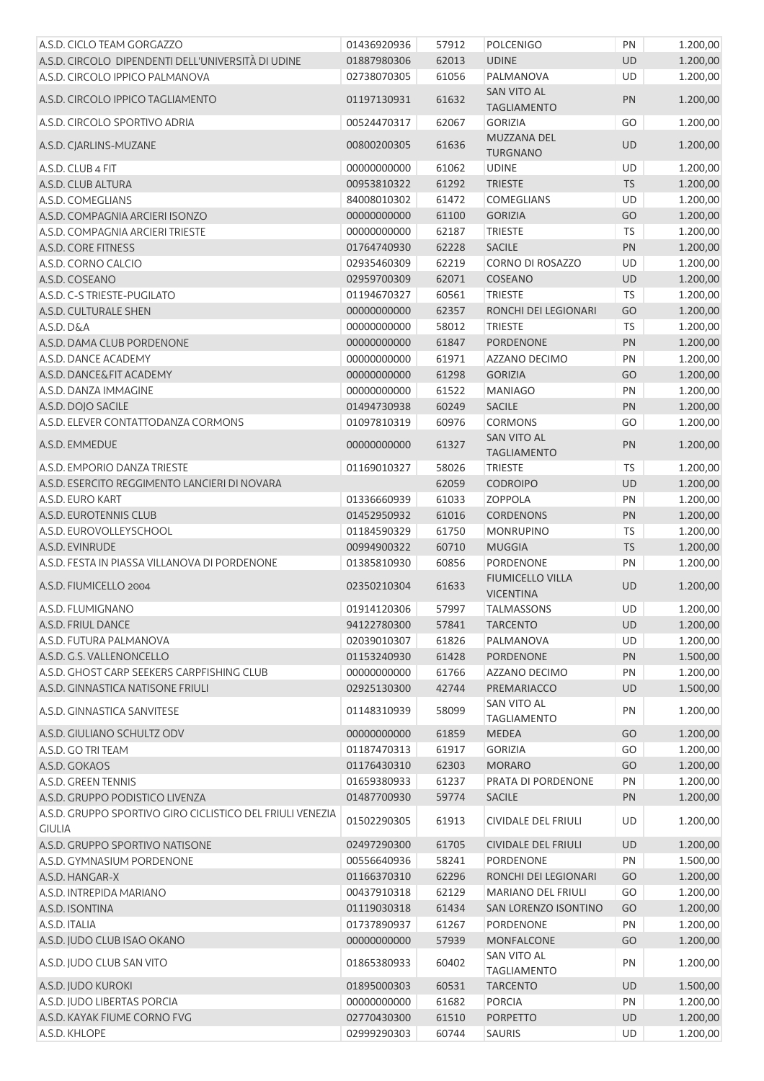| A.S.D. CICLO TEAM GORGAZZO                                                 | 01436920936 | 57912 | <b>POLCENIGO</b>                            | PN        | 1.200,00 |
|----------------------------------------------------------------------------|-------------|-------|---------------------------------------------|-----------|----------|
| A.S.D. CIRCOLO DIPENDENTI DELL'UNIVERSITÀ DI UDINE                         | 01887980306 | 62013 | <b>UDINE</b>                                | <b>UD</b> | 1.200,00 |
| A.S.D. CIRCOLO IPPICO PALMANOVA                                            | 02738070305 | 61056 | PALMANOVA                                   | UD        | 1.200,00 |
| A.S.D. CIRCOLO IPPICO TAGLIAMENTO                                          | 01197130931 | 61632 | <b>SAN VITO AL</b><br><b>TAGLIAMENTO</b>    | <b>PN</b> | 1.200,00 |
| A.S.D. CIRCOLO SPORTIVO ADRIA                                              | 00524470317 | 62067 | <b>GORIZIA</b>                              | GO        | 1.200,00 |
| A.S.D. CJARLINS-MUZANE                                                     | 00800200305 | 61636 | MUZZANA DEL<br><b>TURGNANO</b>              | <b>UD</b> | 1.200,00 |
| A.S.D. CLUB 4 FIT                                                          | 00000000000 | 61062 | <b>UDINE</b>                                | UD        | 1.200,00 |
| A.S.D. CLUB ALTURA                                                         | 00953810322 | 61292 | <b>TRIESTE</b>                              | <b>TS</b> | 1.200,00 |
| A.S.D. COMEGLIANS                                                          | 84008010302 | 61472 | COMEGLIANS                                  | UD        | 1.200,00 |
| A.S.D. COMPAGNIA ARCIERI ISONZO                                            | 00000000000 | 61100 | <b>GORIZIA</b>                              | GO        | 1.200,00 |
| A.S.D. COMPAGNIA ARCIERI TRIESTE                                           | 00000000000 | 62187 | <b>TRIESTE</b>                              | <b>TS</b> | 1.200,00 |
| A.S.D. CORE FITNESS                                                        | 01764740930 | 62228 | <b>SACILE</b>                               | PN        | 1.200,00 |
| A.S.D. CORNO CALCIO                                                        | 02935460309 | 62219 | CORNO DI ROSAZZO                            | UD        | 1.200,00 |
| A.S.D. COSEANO                                                             | 02959700309 | 62071 | COSEANO                                     | <b>UD</b> | 1.200,00 |
| A.S.D. C-S TRIESTE-PUGILATO                                                | 01194670327 | 60561 | TRIESTE                                     | <b>TS</b> | 1.200,00 |
| A.S.D. CULTURALE SHEN                                                      | 00000000000 | 62357 | RONCHI DEI LEGIONARI                        | GO        | 1.200,00 |
|                                                                            | 00000000000 | 58012 | <b>TRIESTE</b>                              | <b>TS</b> |          |
| A.S.D. D&A                                                                 |             |       |                                             |           | 1.200,00 |
| A.S.D. DAMA CLUB PORDENONE                                                 | 00000000000 | 61847 | PORDENONE                                   | PN        | 1.200,00 |
| A.S.D. DANCE ACADEMY                                                       | 00000000000 | 61971 | AZZANO DECIMO                               | PN        | 1.200,00 |
| A.S.D. DANCE&FIT ACADEMY                                                   | 00000000000 | 61298 | <b>GORIZIA</b>                              | GO        | 1.200,00 |
| A.S.D. DANZA IMMAGINE                                                      | 00000000000 | 61522 | <b>MANIAGO</b>                              | PN        | 1.200,00 |
| A.S.D. DOJO SACILE                                                         | 01494730938 | 60249 | SACILE                                      | PN        | 1.200,00 |
| A.S.D. ELEVER CONTATTODANZA CORMONS                                        | 01097810319 | 60976 | CORMONS                                     | GO        | 1.200,00 |
| A.S.D. EMMEDUE                                                             | 00000000000 | 61327 | <b>SAN VITO AL</b><br><b>TAGLIAMENTO</b>    | PN        | 1.200,00 |
| A.S.D. EMPORIO DANZA TRIESTE                                               | 01169010327 | 58026 | <b>TRIESTE</b>                              | <b>TS</b> | 1.200,00 |
| A.S.D. ESERCITO REGGIMENTO LANCIERI DI NOVARA                              |             | 62059 | <b>CODROIPO</b>                             | UD        | 1.200,00 |
| A.S.D. EURO KART                                                           | 01336660939 | 61033 | <b>ZOPPOLA</b>                              | PN        | 1.200,00 |
| A.S.D. EUROTENNIS CLUB                                                     | 01452950932 | 61016 | <b>CORDENONS</b>                            | PN        | 1.200,00 |
| A.S.D. EUROVOLLEYSCHOOL                                                    | 01184590329 | 61750 | <b>MONRUPINO</b>                            | <b>TS</b> | 1.200,00 |
| A.S.D. EVINRUDE                                                            | 00994900322 | 60710 | <b>MUGGIA</b>                               | <b>TS</b> | 1.200,00 |
| A.S.D. FESTA IN PIASSA VILLANOVA DI PORDENONE                              | 01385810930 | 60856 | PORDENONE                                   | PN        | 1.200,00 |
| A.S.D. FIUMICELLO 2004                                                     | 02350210304 | 61633 | <b>FIUMICELLO VILLA</b><br><b>VICENTINA</b> | <b>UD</b> | 1.200,00 |
| A.S.D. FLUMIGNANO                                                          | 01914120306 | 57997 | <b>TALMASSONS</b>                           | <b>UD</b> | 1.200,00 |
| A.S.D. FRIUL DANCE                                                         | 94122780300 | 57841 | <b>TARCENTO</b>                             | UD        | 1.200,00 |
| A.S.D. FUTURA PALMANOVA                                                    | 02039010307 | 61826 | PALMANOVA                                   | UD        | 1.200,00 |
| A.S.D. G.S. VALLENONCELLO                                                  | 01153240930 | 61428 | PORDENONE                                   | PN        | 1.500,00 |
| A.S.D. GHOST CARP SEEKERS CARPFISHING CLUB                                 | 00000000000 | 61766 | AZZANO DECIMO                               | PN        | 1.200,00 |
| A.S.D. GINNASTICA NATISONE FRIULI                                          | 02925130300 | 42744 | PREMARIACCO                                 | UD        | 1.500,00 |
| A.S.D. GINNASTICA SANVITESE                                                | 01148310939 | 58099 | SAN VITO AL<br><b>TAGLIAMENTO</b>           | PN        | 1.200,00 |
| A.S.D. GIULIANO SCHULTZ ODV                                                | 00000000000 | 61859 | <b>MEDEA</b>                                | GO        | 1.200,00 |
| A.S.D. GO TRI TEAM                                                         | 01187470313 | 61917 | <b>GORIZIA</b>                              | GO        | 1.200,00 |
| A.S.D. GOKAOS                                                              | 01176430310 | 62303 | <b>MORARO</b>                               | GO        | 1.200,00 |
| A.S.D. GREEN TENNIS                                                        | 01659380933 | 61237 | PRATA DI PORDENONE                          | PN        | 1.200,00 |
| A.S.D. GRUPPO PODISTICO LIVENZA                                            | 01487700930 | 59774 | <b>SACILE</b>                               | PN        | 1.200,00 |
|                                                                            |             |       |                                             |           |          |
| A.S.D. GRUPPO SPORTIVO GIRO CICLISTICO DEL FRIULI VENEZIA<br><b>GIULIA</b> | 01502290305 | 61913 | <b>CIVIDALE DEL FRIULI</b>                  | UD        | 1.200,00 |
| A.S.D. GRUPPO SPORTIVO NATISONE                                            | 02497290300 | 61705 | <b>CIVIDALE DEL FRIULI</b>                  | UD        | 1.200,00 |
| A.S.D. GYMNASIUM PORDENONE                                                 | 00556640936 | 58241 | PORDENONE                                   | PN        | 1.500,00 |
| A.S.D. HANGAR-X                                                            | 01166370310 | 62296 | RONCHI DEI LEGIONARI                        | GO        | 1.200,00 |
| A.S.D. INTREPIDA MARIANO                                                   | 00437910318 | 62129 | MARIANO DEL FRIULI                          | GO        | 1.200,00 |
| A.S.D. ISONTINA                                                            | 01119030318 | 61434 | SAN LORENZO ISONTINO                        | GO        | 1.200,00 |
| A.S.D. ITALIA                                                              | 01737890937 | 61267 | PORDENONE                                   | PN        | 1.200,00 |
| A.S.D. JUDO CLUB ISAO OKANO                                                | 00000000000 | 57939 | <b>MONFALCONE</b>                           | GO        | 1.200,00 |
| A.S.D. JUDO CLUB SAN VITO                                                  | 01865380933 | 60402 | SAN VITO AL<br><b>TAGLIAMENTO</b>           | PN        | 1.200,00 |
| A.S.D. JUDO KUROKI                                                         | 01895000303 | 60531 | <b>TARCENTO</b>                             | UD        | 1.500,00 |
| A.S.D. JUDO LIBERTAS PORCIA                                                | 00000000000 | 61682 | <b>PORCIA</b>                               | PN        | 1.200,00 |
| A.S.D. KAYAK FIUME CORNO FVG                                               | 02770430300 | 61510 | <b>PORPETTO</b>                             | <b>UD</b> | 1.200,00 |
| A.S.D. KHLOPE                                                              | 02999290303 | 60744 | SAURIS                                      | <b>UD</b> | 1.200,00 |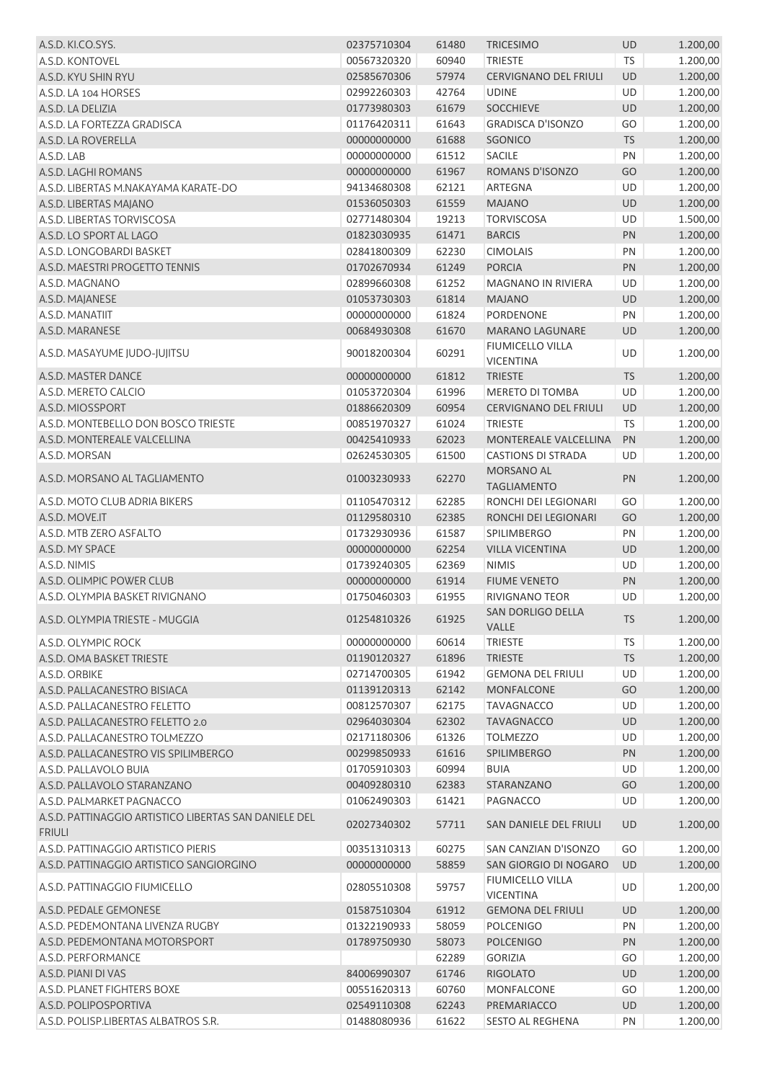| A.S.D. KI.CO.SYS.                                     | 02375710304 | 61480 | <b>TRICESIMO</b>                           | <b>UD</b> | 1.200,00 |
|-------------------------------------------------------|-------------|-------|--------------------------------------------|-----------|----------|
| A.S.D. KONTOVEL                                       | 00567320320 | 60940 | <b>TRIESTE</b>                             | <b>TS</b> | 1.200,00 |
| A.S.D. KYU SHIN RYU                                   | 02585670306 | 57974 | <b>CERVIGNANO DEL FRIULI</b>               | <b>UD</b> | 1.200,00 |
| A.S.D. LA 104 HORSES                                  | 02992260303 | 42764 | <b>UDINE</b>                               | UD        | 1.200,00 |
| A.S.D. LA DELIZIA                                     | 01773980303 | 61679 | <b>SOCCHIEVE</b>                           | <b>UD</b> | 1.200,00 |
| A.S.D. LA FORTEZZA GRADISCA                           | 01176420311 | 61643 | <b>GRADISCA D'ISONZO</b>                   | GO        | 1.200,00 |
| A.S.D. LA ROVERELLA                                   | 00000000000 | 61688 | <b>SGONICO</b>                             | <b>TS</b> | 1.200,00 |
| A.S.D. LAB                                            | 00000000000 | 61512 | <b>SACILE</b>                              | PN        | 1.200,00 |
| A.S.D. LAGHI ROMANS                                   | 00000000000 | 61967 | ROMANS D'ISONZO                            | GO        | 1.200,00 |
| A.S.D. LIBERTAS M.NAKAYAMA KARATE-DO                  | 94134680308 | 62121 | ARTEGNA                                    | <b>UD</b> | 1.200,00 |
| A.S.D. LIBERTAS MAJANO                                | 01536050303 | 61559 | <b>MAJANO</b>                              | <b>UD</b> | 1.200,00 |
| A.S.D. LIBERTAS TORVISCOSA                            | 02771480304 | 19213 | <b>TORVISCOSA</b>                          | UD        | 1.500,00 |
| A.S.D. LO SPORT AL LAGO                               | 01823030935 | 61471 | <b>BARCIS</b>                              | PN        | 1.200,00 |
| A.S.D. LONGOBARDI BASKET                              | 02841800309 | 62230 | <b>CIMOLAIS</b>                            | PN        | 1.200,00 |
| A.S.D. MAESTRI PROGETTO TENNIS                        | 01702670934 | 61249 | <b>PORCIA</b>                              | PN        | 1.200,00 |
| A.S.D. MAGNANO                                        | 02899660308 | 61252 | <b>MAGNANO IN RIVIERA</b>                  | UD        | 1.200,00 |
| A.S.D. MAJANESE                                       | 01053730303 | 61814 | <b>MAJANO</b>                              | UD        | 1.200,00 |
| A.S.D. MANATIIT                                       | 00000000000 | 61824 | <b>PORDENONE</b>                           | PN        | 1.200,00 |
| A.S.D. MARANESE                                       | 00684930308 | 61670 |                                            | <b>UD</b> |          |
|                                                       |             |       | <b>MARANO LAGUNARE</b><br>FIUMICELLO VILLA |           | 1.200,00 |
| A.S.D. MASAYUME JUDO-JUJITSU                          | 90018200304 | 60291 | <b>VICENTINA</b>                           | <b>UD</b> | 1.200,00 |
| A.S.D. MASTER DANCE                                   | 00000000000 | 61812 | <b>TRIESTE</b>                             | <b>TS</b> | 1.200,00 |
| A.S.D. MERETO CALCIO                                  | 01053720304 | 61996 | MERETO DI TOMBA                            | UD        | 1.200,00 |
| A.S.D. MIOSSPORT                                      | 01886620309 | 60954 | <b>CERVIGNANO DEL FRIULI</b>               | <b>UD</b> | 1.200,00 |
| A.S.D. MONTEBELLO DON BOSCO TRIESTE                   | 00851970327 | 61024 | <b>TRIESTE</b>                             | TS        | 1.200,00 |
| A.S.D. MONTEREALE VALCELLINA                          | 00425410933 | 62023 | MONTEREALE VALCELLINA                      | PN        | 1.200,00 |
| A.S.D. MORSAN                                         | 02624530305 | 61500 | <b>CASTIONS DI STRADA</b>                  | UD        | 1.200,00 |
| A.S.D. MORSANO AL TAGLIAMENTO                         | 01003230933 | 62270 | MORSANO AL<br><b>TAGLIAMENTO</b>           | PN        | 1.200,00 |
| A.S.D. MOTO CLUB ADRIA BIKERS                         | 01105470312 | 62285 | RONCHI DEI LEGIONARI                       | GO        | 1.200,00 |
| A.S.D. MOVE.IT                                        | 01129580310 | 62385 | RONCHI DEI LEGIONARI                       | GO        | 1.200,00 |
| A.S.D. MTB ZERO ASFALTO                               | 01732930936 | 61587 | SPILIMBERGO                                | PN        | 1.200,00 |
| A.S.D. MY SPACE                                       | 00000000000 | 62254 | <b>VILLA VICENTINA</b>                     | UD        | 1.200,00 |
| A.S.D. NIMIS                                          | 01739240305 | 62369 | <b>NIMIS</b>                               | UD        | 1.200,00 |
| A.S.D. OLIMPIC POWER CLUB                             | 00000000000 | 61914 | <b>FIUME VENETO</b>                        | PN        | 1.200,00 |
| A.S.D. OLYMPIA BASKET RIVIGNANO                       | 01750460303 | 61955 | RIVIGNANO TEOR                             | <b>UD</b> | 1.200,00 |
| A.S.D. OLYMPIA TRIESTE - MUGGIA                       | 01254810326 | 61925 | SAN DORLIGO DELLA<br>VALLE                 | <b>TS</b> | 1.200,00 |
| A.S.D. OLYMPIC ROCK                                   | 00000000000 | 60614 | TRIESTE                                    | <b>TS</b> | 1.200,00 |
| A.S.D. OMA BASKET TRIESTE                             | 01190120327 | 61896 | <b>TRIESTE</b>                             | <b>TS</b> | 1.200,00 |
| A.S.D. ORBIKE                                         | 02714700305 | 61942 | <b>GEMONA DEL FRIULI</b>                   | UD        | 1.200,00 |
| A.S.D. PALLACANESTRO BISIACA                          | 01139120313 | 62142 | <b>MONFALCONE</b>                          | GO        | 1.200,00 |
| A.S.D. PALLACANESTRO FELETTO                          | 00812570307 | 62175 | <b>TAVAGNACCO</b>                          | UD        | 1.200,00 |
| A.S.D. PALLACANESTRO FELETTO 2.0                      | 02964030304 | 62302 | <b>TAVAGNACCO</b>                          | UD        | 1.200,00 |
| A.S.D. PALLACANESTRO TOLMEZZO                         | 02171180306 | 61326 | <b>TOLMEZZO</b>                            | UD        | 1.200,00 |
| A.S.D. PALLACANESTRO VIS SPILIMBERGO                  | 00299850933 | 61616 | SPILIMBERGO                                | PN        | 1.200,00 |
| A.S.D. PALLAVOLO BUIA                                 | 01705910303 | 60994 | <b>BUIA</b>                                | UD        | 1.200,00 |
| A.S.D. PALLAVOLO STARANZANO                           | 00409280310 | 62383 | STARANZANO                                 | GO        | 1.200,00 |
| A.S.D. PALMARKET PAGNACCO                             | 01062490303 | 61421 | PAGNACCO                                   | UD        | 1.200,00 |
| A.S.D. PATTINAGGIO ARTISTICO LIBERTAS SAN DANIELE DEL | 02027340302 | 57711 | SAN DANIELE DEL FRIULI                     | UD        | 1.200,00 |
| <b>FRIULI</b>                                         |             |       |                                            |           |          |
| A.S.D. PATTINAGGIO ARTISTICO PIERIS                   | 00351310313 | 60275 | SAN CANZIAN D'ISONZO                       | GO        | 1.200,00 |
| A.S.D. PATTINAGGIO ARTISTICO SANGIORGINO              | 00000000000 | 58859 | SAN GIORGIO DI NOGARO                      | <b>UD</b> | 1.200,00 |
| A.S.D. PATTINAGGIO FIUMICELLO                         | 02805510308 | 59757 | FIUMICELLO VILLA<br><b>VICENTINA</b>       | UD        | 1.200,00 |
| A.S.D. PEDALE GEMONESE                                | 01587510304 | 61912 | <b>GEMONA DEL FRIULI</b>                   | UD        | 1.200,00 |
| A.S.D. PEDEMONTANA LIVENZA RUGBY                      | 01322190933 | 58059 | <b>POLCENIGO</b>                           | PN        | 1.200,00 |
| A.S.D. PEDEMONTANA MOTORSPORT                         | 01789750930 | 58073 | <b>POLCENIGO</b>                           | PN        | 1.200,00 |
| A.S.D. PERFORMANCE                                    |             | 62289 | <b>GORIZIA</b>                             | GO        | 1.200,00 |
| A.S.D. PIANI DI VAS                                   | 84006990307 | 61746 | <b>RIGOLATO</b>                            | <b>UD</b> | 1.200,00 |
| A.S.D. PLANET FIGHTERS BOXE                           | 00551620313 | 60760 | <b>MONFALCONE</b>                          | GO        | 1.200,00 |
| A.S.D. POLIPOSPORTIVA                                 | 02549110308 | 62243 | PREMARIACCO                                | <b>UD</b> | 1.200,00 |
| A.S.D. POLISP.LIBERTAS ALBATROS S.R.                  | 01488080936 | 61622 | <b>SESTO AL REGHENA</b>                    | PN        | 1.200,00 |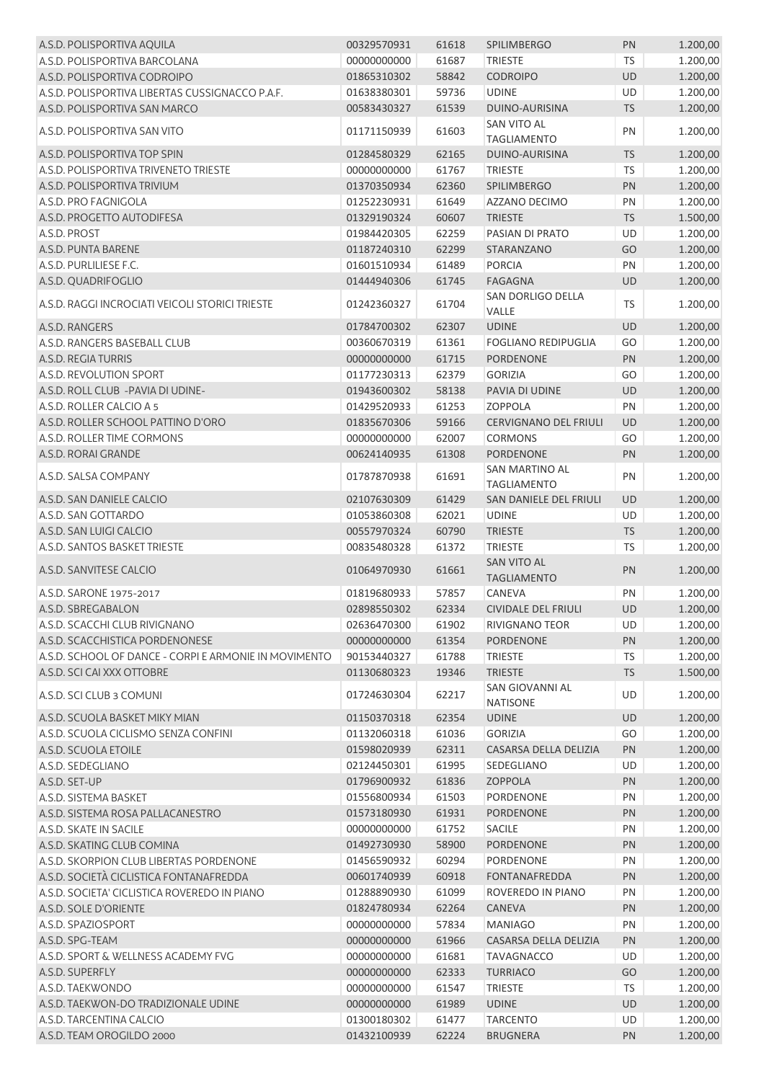| A.S.D. POLISPORTIVA AQUILA                            | 00329570931 | 61618 | <b>SPILIMBERGO</b>                       | PN         | 1.200,00 |
|-------------------------------------------------------|-------------|-------|------------------------------------------|------------|----------|
| A.S.D. POLISPORTIVA BARCOLANA                         | 00000000000 | 61687 | <b>TRIESTE</b>                           | <b>TS</b>  | 1.200,00 |
| A.S.D. POLISPORTIVA CODROIPO                          | 01865310302 | 58842 | <b>CODROIPO</b>                          | <b>UD</b>  | 1.200,00 |
| A.S.D. POLISPORTIVA LIBERTAS CUSSIGNACCO P.A.F.       | 01638380301 | 59736 | <b>UDINE</b>                             | <b>UD</b>  | 1.200,00 |
| A.S.D. POLISPORTIVA SAN MARCO                         | 00583430327 | 61539 | DUINO-AURISINA                           | <b>TS</b>  | 1.200,00 |
| A.S.D. POLISPORTIVA SAN VITO                          | 01171150939 | 61603 | <b>SAN VITO AL</b><br><b>TAGLIAMENTO</b> | PN         | 1.200,00 |
| A.S.D. POLISPORTIVA TOP SPIN                          | 01284580329 | 62165 | DUINO-AURISINA                           | <b>TS</b>  | 1.200,00 |
| A.S.D. POLISPORTIVA TRIVENETO TRIESTE                 | 00000000000 | 61767 | <b>TRIESTE</b>                           | <b>TS</b>  | 1.200,00 |
| A.S.D. POLISPORTIVA TRIVIUM                           | 01370350934 | 62360 | <b>SPILIMBERGO</b>                       | PN         | 1.200,00 |
| A.S.D. PRO FAGNIGOLA                                  | 01252230931 | 61649 | AZZANO DECIMO                            | PN         | 1.200,00 |
| A.S.D. PROGETTO AUTODIFESA                            | 01329190324 | 60607 | <b>TRIESTE</b>                           | <b>TS</b>  | 1.500,00 |
| A.S.D. PROST                                          | 01984420305 | 62259 | PASIAN DI PRATO                          | UD         | 1.200,00 |
| A.S.D. PUNTA BARENE                                   | 01187240310 | 62299 | STARANZANO                               | GO         | 1.200,00 |
| A.S.D. PURLILIESE F.C.                                | 01601510934 | 61489 | <b>PORCIA</b>                            | PN         | 1.200,00 |
| A.S.D. QUADRIFOGLIO                                   | 01444940306 | 61745 | <b>FAGAGNA</b>                           | UD         | 1.200,00 |
| A.S.D. RAGGI INCROCIATI VEICOLI STORICI TRIESTE       | 01242360327 | 61704 | SAN DORLIGO DELLA<br>VALLE               | <b>TS</b>  | 1.200,00 |
| A.S.D. RANGERS                                        | 01784700302 | 62307 | <b>UDINE</b>                             | UD         | 1.200,00 |
| A.S.D. RANGERS BASEBALL CLUB                          | 00360670319 | 61361 | <b>FOGLIANO REDIPUGLIA</b>               | GO         | 1.200,00 |
| A.S.D. REGIA TURRIS                                   | 00000000000 | 61715 | <b>PORDENONE</b>                         | PN         | 1.200,00 |
| A.S.D. REVOLUTION SPORT                               | 01177230313 | 62379 | <b>GORIZIA</b>                           | GO         | 1.200,00 |
| A.S.D. ROLL CLUB - PAVIA DI UDINE-                    | 01943600302 | 58138 | PAVIA DI UDINE                           | UD         | 1.200,00 |
| A.S.D. ROLLER CALCIO A 5                              | 01429520933 | 61253 | <b>ZOPPOLA</b>                           | PN         | 1.200,00 |
| A.S.D. ROLLER SCHOOL PATTINO D'ORO                    | 01835670306 | 59166 | <b>CERVIGNANO DEL FRIULI</b>             | <b>UD</b>  | 1.200,00 |
| A.S.D. ROLLER TIME CORMONS                            | 00000000000 | 62007 | <b>CORMONS</b>                           | GO         | 1.200,00 |
| A.S.D. RORAI GRANDE                                   | 00624140935 | 61308 | <b>PORDENONE</b>                         | PN         | 1.200,00 |
| A.S.D. SALSA COMPANY                                  | 01787870938 | 61691 | SAN MARTINO AL                           | PN         | 1.200,00 |
|                                                       |             |       | <b>TAGLIAMENTO</b>                       |            |          |
| A.S.D. SAN DANIELE CALCIO                             | 02107630309 | 61429 | SAN DANIELE DEL FRIULI                   | <b>UD</b>  | 1.200,00 |
| A.S.D. SAN GOTTARDO                                   | 01053860308 | 62021 | <b>UDINE</b>                             | UD         | 1.200,00 |
| A.S.D. SAN LUIGI CALCIO                               | 00557970324 | 60790 | <b>TRIESTE</b>                           | <b>TS</b>  | 1.200,00 |
| A.S.D. SANTOS BASKET TRIESTE                          | 00835480328 | 61372 | <b>TRIESTE</b>                           | <b>TS</b>  | 1.200,00 |
| A.S.D. SANVITESE CALCIO                               | 01064970930 | 61661 | <b>SAN VITO AL</b><br><b>TAGLIAMENTO</b> | PN         | 1.200,00 |
| A.S.D. SARONE 1975-2017                               | 01819680933 | 57857 | CANEVA                                   | PN         | 1.200,00 |
| A.S.D. SBREGABALON                                    | 02898550302 | 62334 | CIVIDALE DEL FRIULI                      | <b>UD</b>  | 1.200,00 |
| A.S.D. SCACCHI CLUB RIVIGNANO                         | 02636470300 | 61902 | <b>RIVIGNANO TEOR</b>                    | UD         | 1.200,00 |
| A.S.D. SCACCHISTICA PORDENONESE                       | 00000000000 | 61354 | <b>PORDENONE</b>                         | PN         | 1.200,00 |
| A.S.D. SCHOOL OF DANCE - CORPI E ARMONIE IN MOVIMENTO | 90153440327 | 61788 | <b>TRIESTE</b>                           | <b>TS</b>  | 1.200,00 |
| A.S.D. SCI CAI XXX OTTOBRE                            | 01130680323 | 19346 | <b>TRIESTE</b>                           | <b>TS</b>  | 1.500,00 |
| A.S.D. SCI CLUB 3 COMUNI                              | 01724630304 | 62217 | SAN GIOVANNI AL<br><b>NATISONE</b>       | <b>UD</b>  | 1.200,00 |
| A.S.D. SCUOLA BASKET MIKY MIAN                        | 01150370318 | 62354 | <b>UDINE</b>                             | UD         | 1.200,00 |
| A.S.D. SCUOLA CICLISMO SENZA CONFINI                  | 01132060318 | 61036 | <b>GORIZIA</b>                           | GO         | 1.200,00 |
| A.S.D. SCUOLA ETOILE                                  | 01598020939 | 62311 | CASARSA DELLA DELIZIA                    | PN         | 1.200,00 |
| A.S.D. SEDEGLIANO                                     | 02124450301 | 61995 | SEDEGLIANO                               | UD         | 1.200,00 |
| A.S.D. SET-UP                                         | 01796900932 | 61836 | ZOPPOLA                                  | ${\sf PN}$ | 1.200,00 |
| A.S.D. SISTEMA BASKET                                 | 01556800934 | 61503 | PORDENONE                                | PN         | 1.200,00 |
| A.S.D. SISTEMA ROSA PALLACANESTRO                     | 01573180930 | 61931 | <b>PORDENONE</b>                         | PN         | 1.200,00 |
| A.S.D. SKATE IN SACILE                                | 00000000000 | 61752 | <b>SACILE</b>                            | PN         | 1.200,00 |
| A.S.D. SKATING CLUB COMINA                            | 01492730930 | 58900 | PORDENONE                                | PN         | 1.200,00 |
| A.S.D. SKORPION CLUB LIBERTAS PORDENONE               | 01456590932 | 60294 | PORDENONE                                | PN         | 1.200,00 |
| A.S.D. SOCIETÀ CICLISTICA FONTANAFREDDA               | 00601740939 | 60918 | <b>FONTANAFREDDA</b>                     | PN         | 1.200,00 |
| A.S.D. SOCIETA' CICLISTICA ROVEREDO IN PIANO          | 01288890930 | 61099 | ROVEREDO IN PIANO                        | PN         | 1.200,00 |
| A.S.D. SOLE D'ORIENTE                                 | 01824780934 | 62264 | CANEVA                                   | PN         | 1.200,00 |
| A.S.D. SPAZIOSPORT                                    | 00000000000 | 57834 | <b>MANIAGO</b>                           | PN         | 1.200,00 |
| A.S.D. SPG-TEAM                                       | 00000000000 | 61966 | CASARSA DELLA DELIZIA                    | PN         | 1.200,00 |
| A.S.D. SPORT & WELLNESS ACADEMY FVG                   | 00000000000 | 61681 | <b>TAVAGNACCO</b>                        | UD         | 1.200,00 |
| A.S.D. SUPERFLY                                       | 00000000000 | 62333 | <b>TURRIACO</b>                          | GO         | 1.200,00 |
| A.S.D. TAEKWONDO                                      | 00000000000 | 61547 | TRIESTE                                  | <b>TS</b>  | 1.200,00 |
| A.S.D. TAEKWON-DO TRADIZIONALE UDINE                  | 00000000000 | 61989 | <b>UDINE</b>                             | UD         | 1.200,00 |
| A.S.D. TARCENTINA CALCIO                              | 01300180302 | 61477 | <b>TARCENTO</b>                          | UD         | 1.200,00 |
| A.S.D. TEAM OROGILDO 2000                             | 01432100939 | 62224 | <b>BRUGNERA</b>                          | PN         | 1.200,00 |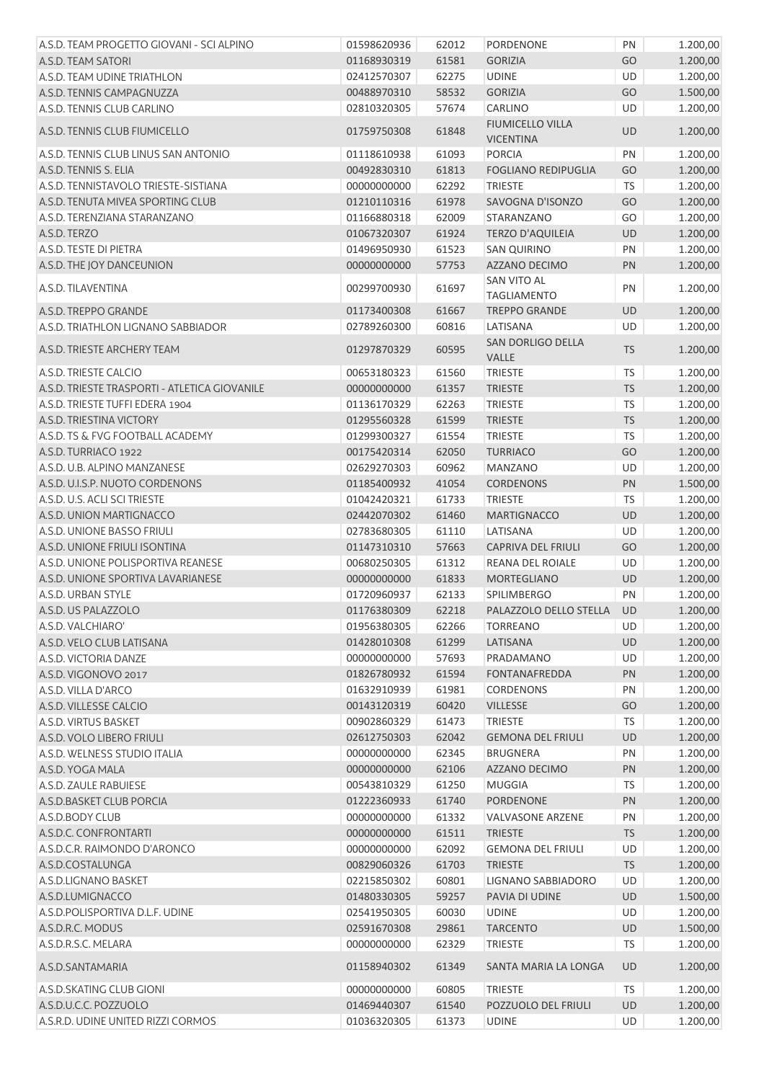| A.S.D. TEAM PROGETTO GIOVANI - SCI ALPINO     | 01598620936 | 62012 | PORDENONE                                   | PN        | 1.200,00 |
|-----------------------------------------------|-------------|-------|---------------------------------------------|-----------|----------|
| A.S.D. TEAM SATORI                            | 01168930319 | 61581 | <b>GORIZIA</b>                              | GO        | 1.200,00 |
| A.S.D. TEAM UDINE TRIATHLON                   | 02412570307 | 62275 | <b>UDINE</b>                                | UD        | 1.200,00 |
| A.S.D. TENNIS CAMPAGNUZZA                     | 00488970310 | 58532 | <b>GORIZIA</b>                              | GO        | 1.500,00 |
| A.S.D. TENNIS CLUB CARLINO                    | 02810320305 | 57674 | CARLINO                                     | <b>UD</b> | 1.200,00 |
| A.S.D. TENNIS CLUB FIUMICELLO                 | 01759750308 | 61848 | <b>FIUMICELLO VILLA</b><br><b>VICENTINA</b> | UD        | 1.200,00 |
| A.S.D. TENNIS CLUB LINUS SAN ANTONIO          | 01118610938 | 61093 | <b>PORCIA</b>                               | PN        | 1.200,00 |
| A.S.D. TENNIS S. ELIA                         | 00492830310 | 61813 | <b>FOGLIANO REDIPUGLIA</b>                  | GO        | 1.200,00 |
| A.S.D. TENNISTAVOLO TRIESTE-SISTIANA          | 00000000000 | 62292 | <b>TRIESTE</b>                              | TS        | 1.200,00 |
| A.S.D. TENUTA MIVEA SPORTING CLUB             | 01210110316 | 61978 | SAVOGNA D'ISONZO                            | GO        | 1.200,00 |
| A.S.D. TERENZIANA STARANZANO                  | 01166880318 | 62009 | STARANZANO                                  | GO        | 1.200,00 |
| A.S.D. TERZO                                  | 01067320307 | 61924 | <b>TERZO D'AQUILEIA</b>                     | UD        | 1.200,00 |
| A.S.D. TESTE DI PIETRA                        | 01496950930 | 61523 | <b>SAN QUIRINO</b>                          | PN        | 1.200,00 |
| A.S.D. THE JOY DANCEUNION                     | 00000000000 | 57753 | AZZANO DECIMO                               | PN        | 1.200,00 |
|                                               |             |       | SAN VITO AL                                 |           |          |
| A.S.D. TILAVENTINA                            | 00299700930 | 61697 | <b>TAGLIAMENTO</b>                          | PN        | 1.200,00 |
| A.S.D. TREPPO GRANDE                          | 01173400308 | 61667 | <b>TREPPO GRANDE</b>                        | UD        | 1.200,00 |
| A.S.D. TRIATHLON LIGNANO SABBIADOR            | 02789260300 | 60816 | LATISANA<br><b>SAN DORLIGO DELLA</b>        | UD        | 1.200,00 |
| A.S.D. TRIESTE ARCHERY TEAM                   | 01297870329 | 60595 | VALLE                                       | <b>TS</b> | 1.200,00 |
| A.S.D. TRIESTE CALCIO                         | 00653180323 | 61560 | <b>TRIESTE</b>                              | <b>TS</b> | 1.200,00 |
| A.S.D. TRIESTE TRASPORTI - ATLETICA GIOVANILE | 00000000000 | 61357 | <b>TRIESTE</b>                              | <b>TS</b> | 1.200,00 |
| A.S.D. TRIESTE TUFFI EDERA 1904               | 01136170329 | 62263 | <b>TRIESTE</b>                              | <b>TS</b> | 1.200,00 |
| A.S.D. TRIESTINA VICTORY                      | 01295560328 | 61599 | <b>TRIESTE</b>                              | <b>TS</b> | 1.200,00 |
| A.S.D. TS & FVG FOOTBALL ACADEMY              | 01299300327 | 61554 | <b>TRIESTE</b>                              | <b>TS</b> | 1.200,00 |
| A.S.D. TURRIACO 1922                          | 00175420314 | 62050 | <b>TURRIACO</b>                             | GO        | 1.200,00 |
| A.S.D. U.B. ALPINO MANZANESE                  | 02629270303 | 60962 | <b>MANZANO</b>                              | UD        | 1.200,00 |
| A.S.D. U.I.S.P. NUOTO CORDENONS               | 01185400932 | 41054 | <b>CORDENONS</b>                            | PN        | 1.500,00 |
| A.S.D. U.S. ACLI SCI TRIESTE                  | 01042420321 | 61733 | <b>TRIESTE</b>                              | <b>TS</b> | 1.200,00 |
| A.S.D. UNION MARTIGNACCO                      | 02442070302 | 61460 | <b>MARTIGNACCO</b>                          | UD        | 1.200,00 |
| A.S.D. UNIONE BASSO FRIULI                    | 02783680305 | 61110 | LATISANA                                    | UD        | 1.200,00 |
| A.S.D. UNIONE FRIULI ISONTINA                 | 01147310310 | 57663 | <b>CAPRIVA DEL FRIULI</b>                   | GO        | 1.200,00 |
| A.S.D. UNIONE POLISPORTIVA REANESE            | 00680250305 | 61312 | REANA DEL ROIALE                            | UD        | 1.200,00 |
| A.S.D. UNIONE SPORTIVA LAVARIANESE            | 00000000000 | 61833 | <b>MORTEGLIANO</b>                          | <b>UD</b> | 1.200,00 |
| A.S.D. URBAN STYLE                            | 01720960937 | 62133 | SPILIMBERGO                                 | PN        | 1.200,00 |
| A.S.D. US PALAZZOLO                           | 01176380309 | 62218 | PALAZZOLO DELLO STELLA UD                   |           | 1.200,00 |
| A.S.D. VALCHIARO'                             | 01956380305 | 62266 | <b>TORREANO</b>                             | UD        | 1.200,00 |
| A.S.D. VELO CLUB LATISANA                     | 01428010308 | 61299 | LATISANA                                    | <b>UD</b> | 1.200,00 |
| A.S.D. VICTORIA DANZE                         | 00000000000 | 57693 | PRADAMANO                                   | UD        | 1.200,00 |
| A.S.D. VIGONOVO 2017                          | 01826780932 | 61594 | <b>FONTANAFREDDA</b>                        | PN        | 1.200,00 |
| A.S.D. VILLA D'ARCO                           | 01632910939 | 61981 | <b>CORDENONS</b>                            | PN        | 1.200,00 |
| A.S.D. VILLESSE CALCIO                        | 00143120319 | 60420 | <b>VILLESSE</b>                             | GO        | 1.200,00 |
| A.S.D. VIRTUS BASKET                          | 00902860329 | 61473 | <b>TRIESTE</b>                              | <b>TS</b> | 1.200,00 |
| A.S.D. VOLO LIBERO FRIULI                     | 02612750303 | 62042 | <b>GEMONA DEL FRIULI</b>                    | UD        | 1.200,00 |
| A.S.D. WELNESS STUDIO ITALIA                  | 00000000000 | 62345 | <b>BRUGNERA</b>                             | PN        | 1.200,00 |
| A.S.D. YOGA MALA                              | 00000000000 | 62106 | AZZANO DECIMO                               | PN        | 1.200,00 |
| A.S.D. ZAULE RABUIESE                         | 00543810329 | 61250 | <b>MUGGIA</b>                               | <b>TS</b> | 1.200,00 |
| A.S.D.BASKET CLUB PORCIA                      | 01222360933 | 61740 | PORDENONE                                   | PN        | 1.200,00 |
| A.S.D.BODY CLUB                               | 00000000000 | 61332 | <b>VALVASONE ARZENE</b>                     | PN        | 1.200,00 |
| A.S.D.C. CONFRONTARTI                         | 00000000000 | 61511 | <b>TRIESTE</b>                              | <b>TS</b> | 1.200,00 |
| A.S.D.C.R. RAIMONDO D'ARONCO                  | 00000000000 | 62092 | <b>GEMONA DEL FRIULI</b>                    | UD        | 1.200,00 |
| A.S.D.COSTALUNGA                              | 00829060326 | 61703 | <b>TRIESTE</b>                              | <b>TS</b> | 1.200,00 |
| A.S.D.LIGNANO BASKET                          | 02215850302 | 60801 | LIGNANO SABBIADORO                          | UD        | 1.200,00 |
| A.S.D.LUMIGNACCO                              | 01480330305 | 59257 | PAVIA DI UDINE                              | <b>UD</b> | 1.500,00 |
| A.S.D.POLISPORTIVA D.L.F. UDINE               | 02541950305 | 60030 | <b>UDINE</b>                                | UD        | 1.200,00 |
| A.S.D.R.C. MODUS                              | 02591670308 | 29861 | <b>TARCENTO</b>                             | <b>UD</b> | 1.500,00 |
| A.S.D.R.S.C. MELARA                           | 00000000000 | 62329 | <b>TRIESTE</b>                              | TS        | 1.200,00 |
| A.S.D.SANTAMARIA                              | 01158940302 | 61349 | SANTA MARIA LA LONGA                        | UD        | 1.200,00 |
| A.S.D.SKATING CLUB GIONI                      | 00000000000 | 60805 | <b>TRIESTE</b>                              | <b>TS</b> | 1.200,00 |
| A.S.D.U.C.C. POZZUOLO                         | 01469440307 | 61540 | POZZUOLO DEL FRIULI                         | <b>UD</b> | 1.200,00 |
| A.S.R.D. UDINE UNITED RIZZI CORMOS            | 01036320305 | 61373 | <b>UDINE</b>                                | UD        | 1.200,00 |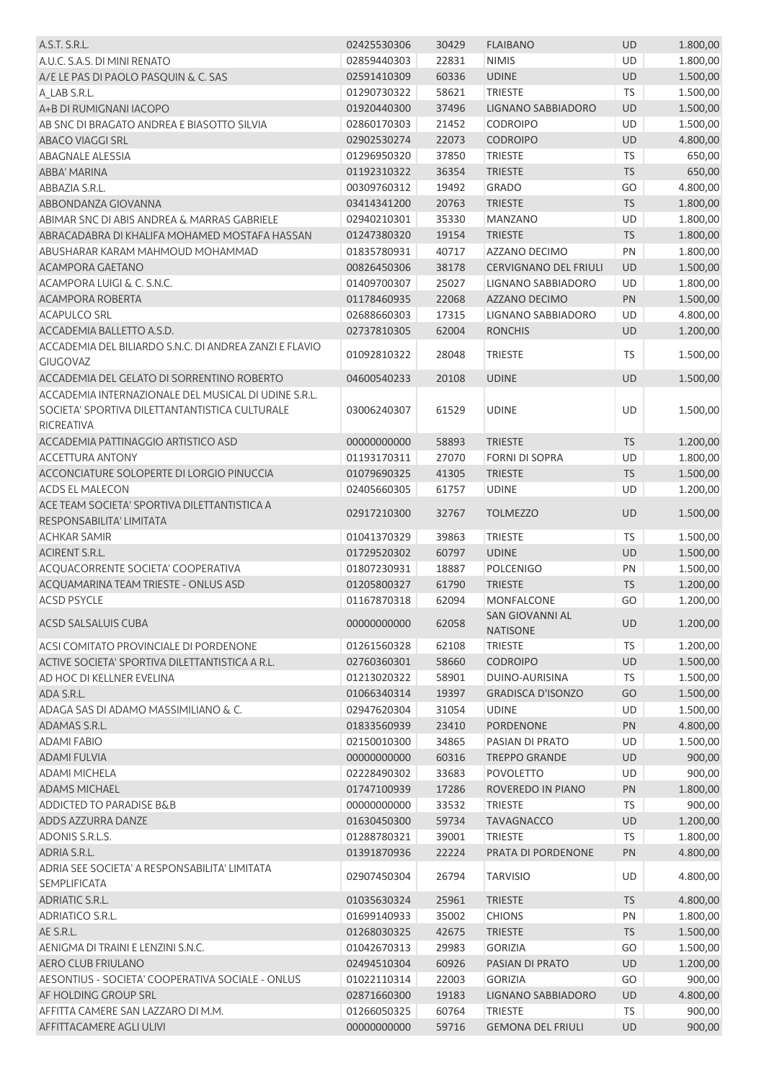| A.S.T. S.R.L.                                                        | 02425530306 | 30429 | <b>FLAIBANO</b>              | UD        | 1.800,00 |
|----------------------------------------------------------------------|-------------|-------|------------------------------|-----------|----------|
| A.U.C. S.A.S. DI MINI RENATO                                         | 02859440303 | 22831 | <b>NIMIS</b>                 | UD        | 1.800,00 |
| A/E LE PAS DI PAOLO PASQUIN & C. SAS                                 | 02591410309 | 60336 | <b>UDINE</b>                 | UD        | 1.500,00 |
| A_LAB S.R.L.                                                         | 01290730322 | 58621 | <b>TRIESTE</b>               | <b>TS</b> | 1.500,00 |
| A+B DI RUMIGNANI IACOPO                                              | 01920440300 | 37496 | LIGNANO SABBIADORO           | UD        | 1.500,00 |
| AB SNC DI BRAGATO ANDREA E BIASOTTO SILVIA                           | 02860170303 | 21452 | <b>CODROIPO</b>              | UD        | 1.500,00 |
| ABACO VIAGGI SRL                                                     | 02902530274 | 22073 | <b>CODROIPO</b>              | UD        | 4.800,00 |
| <b>ABAGNALE ALESSIA</b>                                              | 01296950320 | 37850 | <b>TRIESTE</b>               | <b>TS</b> | 650,00   |
| ABBA' MARINA                                                         | 01192310322 | 36354 | <b>TRIESTE</b>               | <b>TS</b> | 650,00   |
| ABBAZIA S.R.L.                                                       | 00309760312 | 19492 | <b>GRADO</b>                 | GO        | 4.800,00 |
| ABBONDANZA GIOVANNA                                                  | 03414341200 | 20763 | <b>TRIESTE</b>               | <b>TS</b> | 1.800,00 |
| ABIMAR SNC DI ABIS ANDREA & MARRAS GABRIELE                          | 02940210301 | 35330 | <b>MANZANO</b>               | UD        | 1.800,00 |
| ABRACADABRA DI KHALIFA MOHAMED MOSTAFA HASSAN                        | 01247380320 | 19154 | <b>TRIESTE</b>               | <b>TS</b> | 1.800,00 |
| ABUSHARAR KARAM MAHMOUD MOHAMMAD                                     | 01835780931 | 40717 | AZZANO DECIMO                | PN        | 1.800,00 |
| ACAMPORA GAETANO                                                     | 00826450306 | 38178 | <b>CERVIGNANO DEL FRIULI</b> | UD        | 1.500,00 |
| ACAMPORA LUIGI & C. S.N.C.                                           | 01409700307 | 25027 | LIGNANO SABBIADORO           | UD        | 1.800,00 |
| <b>ACAMPORA ROBERTA</b>                                              | 01178460935 | 22068 | <b>AZZANO DECIMO</b>         | PN        | 1.500,00 |
| <b>ACAPULCO SRL</b>                                                  | 02688660303 | 17315 | LIGNANO SABBIADORO           | UD        | 4.800,00 |
| ACCADEMIA BALLETTO A.S.D.                                            | 02737810305 | 62004 | <b>RONCHIS</b>               | UD        | 1.200,00 |
| ACCADEMIA DEL BILIARDO S.N.C. DI ANDREA ZANZI E FLAVIO               |             |       |                              |           |          |
| <b>GIUGOVAZ</b>                                                      | 01092810322 | 28048 | <b>TRIESTE</b>               | <b>TS</b> | 1.500,00 |
| ACCADEMIA DEL GELATO DI SORRENTINO ROBERTO                           | 04600540233 | 20108 | <b>UDINE</b>                 | UD        | 1.500,00 |
| ACCADEMIA INTERNAZIONALE DEL MUSICAL DI UDINE S.R.L.                 |             |       |                              |           |          |
| SOCIETA' SPORTIVA DILETTANTANTISTICA CULTURALE                       | 03006240307 | 61529 | <b>UDINE</b>                 | UD        | 1.500,00 |
| <b>RICREATIVA</b>                                                    |             |       |                              |           |          |
| ACCADEMIA PATTINAGGIO ARTISTICO ASD                                  | 00000000000 | 58893 | <b>TRIESTE</b>               | <b>TS</b> | 1.200,00 |
| <b>ACCETTURA ANTONY</b>                                              | 01193170311 | 27070 | <b>FORNI DI SOPRA</b>        | UD        | 1.800,00 |
| ACCONCIATURE SOLOPERTE DI LORGIO PINUCCIA                            | 01079690325 | 41305 | <b>TRIESTE</b>               | <b>TS</b> | 1.500,00 |
| <b>ACDS EL MALECON</b>                                               | 02405660305 | 61757 | <b>UDINE</b>                 | UD        | 1.200,00 |
| ACE TEAM SOCIETA' SPORTIVA DILETTANTISTICA A                         |             |       |                              |           |          |
| RESPONSABILITA' LIMITATA                                             | 02917210300 | 32767 | <b>TOLMEZZO</b>              | <b>UD</b> | 1.500,00 |
| <b>ACHKAR SAMIR</b>                                                  | 01041370329 | 39863 | <b>TRIESTE</b>               | <b>TS</b> | 1.500,00 |
| <b>ACIRENT S.R.L.</b>                                                | 01729520302 | 60797 | <b>UDINE</b>                 | UD        | 1.500,00 |
| ACQUACORRENTE SOCIETA' COOPERATIVA                                   | 01807230931 | 18887 | <b>POLCENIGO</b>             | PN        | 1.500,00 |
| ACQUAMARINA TEAM TRIESTE - ONLUS ASD                                 | 01205800327 | 61790 | <b>TRIESTE</b>               | <b>TS</b> | 1.200,00 |
| <b>ACSD PSYCLE</b>                                                   | 01167870318 | 62094 | <b>MONFALCONE</b>            | GO        | 1.200,00 |
|                                                                      |             |       | <b>SAN GIOVANNI AL</b>       |           |          |
| ACSD SALSALUIS CUBA                                                  | 00000000000 | 62058 | <b>NATISONE</b>              | <b>UD</b> | 1.200,00 |
| ACSI COMITATO PROVINCIALE DI PORDENONE                               | 01261560328 | 62108 | <b>TRIESTE</b>               | <b>TS</b> | 1.200,00 |
| ACTIVE SOCIETA' SPORTIVA DILETTANTISTICA A R.L.                      | 02760360301 | 58660 | <b>CODROIPO</b>              | UD        | 1.500,00 |
| AD HOC DI KELLNER EVELINA                                            | 01213020322 | 58901 | DUINO-AURISINA               | TS.       | 1.500,00 |
| ADA S.R.L.                                                           | 01066340314 | 19397 | <b>GRADISCA D'ISONZO</b>     | GO        | 1.500,00 |
| ADAGA SAS DI ADAMO MASSIMILIANO & C.                                 | 02947620304 | 31054 | <b>UDINE</b>                 | UD        | 1.500,00 |
| ADAMAS S.R.L.                                                        | 01833560939 | 23410 | <b>PORDENONE</b>             | PN        | 4.800,00 |
| <b>ADAMI FABIO</b>                                                   | 02150010300 | 34865 | PASIAN DI PRATO              | UD        | 1.500,00 |
| <b>ADAMI FULVIA</b>                                                  | 00000000000 | 60316 | <b>TREPPO GRANDE</b>         | <b>UD</b> | 900,00   |
| <b>ADAMI MICHELA</b>                                                 | 02228490302 | 33683 | <b>POVOLETTO</b>             | UD        | 900,00   |
| <b>ADAMS MICHAEL</b>                                                 | 01747100939 | 17286 | ROVEREDO IN PIANO            | PN        | 1.800,00 |
| ADDICTED TO PARADISE B&B                                             | 00000000000 | 33532 | <b>TRIESTE</b>               | TS        | 900,00   |
| ADDS AZZURRA DANZE                                                   | 01630450300 | 59734 | <b>TAVAGNACCO</b>            | UD        | 1.200,00 |
| ADONIS S.R.L.S.                                                      | 01288780321 | 39001 | <b>TRIESTE</b>               | <b>TS</b> | 1.800,00 |
| ADRIA S.R.L.                                                         | 01391870936 | 22224 | PRATA DI PORDENONE           | PN        | 4.800,00 |
| ADRIA SEE SOCIETA' A RESPONSABILITA' LIMITATA<br><b>SEMPLIFICATA</b> | 02907450304 | 26794 | <b>TARVISIO</b>              | UD        | 4.800,00 |
|                                                                      |             |       |                              |           |          |
| ADRIATIC S.R.L.<br><b>ADRIATICO S.R.L.</b>                           | 01035630324 | 25961 | <b>TRIESTE</b>               | <b>TS</b> | 4.800,00 |
|                                                                      | 01699140933 | 35002 | <b>CHIONS</b>                | PN        | 1.800,00 |
| AE S.R.L.                                                            | 01268030325 | 42675 | <b>TRIESTE</b>               | <b>TS</b> | 1.500,00 |
| AENIGMA DI TRAINI E LENZINI S.N.C.                                   | 01042670313 | 29983 | <b>GORIZIA</b>               | GO        | 1.500,00 |
| AERO CLUB FRIULANO                                                   | 02494510304 | 60926 | PASIAN DI PRATO              | UD        | 1.200,00 |
| AESONTIUS - SOCIETA' COOPERATIVA SOCIALE - ONLUS                     | 01022110314 | 22003 | <b>GORIZIA</b>               | GO        | 900,00   |
| AF HOLDING GROUP SRL                                                 | 02871660300 | 19183 | LIGNANO SABBIADORO           | UD        | 4.800,00 |
| AFFITTA CAMERE SAN LAZZARO DI M.M.                                   | 01266050325 | 60764 | <b>TRIESTE</b>               | <b>TS</b> | 900,00   |
| AFFITTACAMERE AGLI ULIVI                                             | 00000000000 | 59716 | <b>GEMONA DEL FRIULI</b>     | UD        | 900,00   |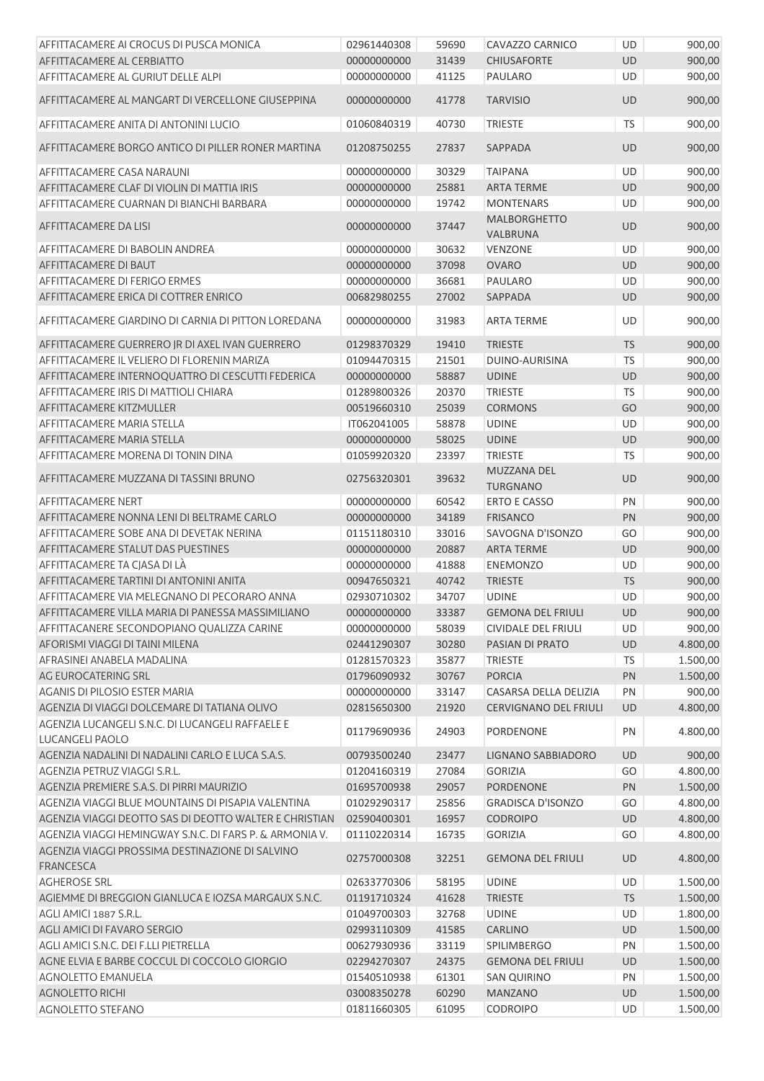| AFFITTACAMERE AI CROCUS DI PUSCA MONICA                      | 02961440308 | 59690 | CAVAZZO CARNICO                 | UD        | 900,00   |
|--------------------------------------------------------------|-------------|-------|---------------------------------|-----------|----------|
| AFFITTACAMERE AL CERBIATTO                                   | 00000000000 | 31439 | <b>CHIUSAFORTE</b>              | <b>UD</b> | 900,00   |
| AFFITTACAMERE AL GURIUT DELLE ALPI                           | 00000000000 | 41125 | PAULARO                         | UD        | 900,00   |
| AFFITTACAMERE AL MANGART DI VERCELLONE GIUSEPPINA            | 00000000000 | 41778 | <b>TARVISIO</b>                 | <b>UD</b> | 900,00   |
| AFFITTACAMERE ANITA DI ANTONINI LUCIO                        | 01060840319 | 40730 | <b>TRIESTE</b>                  | TS        | 900,00   |
| AFFITTACAMERE BORGO ANTICO DI PILLER RONER MARTINA           | 01208750255 | 27837 | SAPPADA                         | <b>UD</b> | 900,00   |
| AFFITTACAMERE CASA NARAUNI                                   | 00000000000 | 30329 | <b>TAIPANA</b>                  | UD        | 900,00   |
| AFFITTACAMERE CLAF DI VIOLIN DI MATTIA IRIS                  | 00000000000 | 25881 | <b>ARTA TERME</b>               | UD        | 900,00   |
| AFFITTACAMERE CUARNAN DI BIANCHI BARBARA                     | 00000000000 | 19742 | <b>MONTENARS</b>                | UD        | 900,00   |
| AFFITTACAMERE DA LISI                                        | 00000000000 | 37447 | <b>MALBORGHETTO</b><br>VALBRUNA | <b>UD</b> | 900,00   |
| AFFITTACAMERE DI BABOLIN ANDREA                              | 00000000000 | 30632 | <b>VENZONE</b>                  | UD        | 900,00   |
| AFFITTACAMERE DI BAUT                                        | 00000000000 | 37098 | <b>OVARO</b>                    | <b>UD</b> | 900,00   |
| AFFITTACAMERE DI FERIGO ERMES                                | 00000000000 | 36681 | PAULARO                         | UD        | 900,00   |
| AFFITTACAMERE ERICA DI COTTRER ENRICO                        | 00682980255 | 27002 | <b>SAPPADA</b>                  | <b>UD</b> | 900,00   |
| AFFITTACAMERE GIARDINO DI CARNIA DI PITTON LOREDANA          | 00000000000 | 31983 | <b>ARTA TERME</b>               | <b>UD</b> | 900,00   |
| AFFITTACAMERE GUERRERO JR DI AXEL IVAN GUERRERO              | 01298370329 | 19410 | <b>TRIESTE</b>                  | <b>TS</b> | 900,00   |
| AFFITTACAMERE IL VELIERO DI FLORENIN MARIZA                  | 01094470315 | 21501 | DUINO-AURISINA                  | <b>TS</b> | 900,00   |
| AFFITTACAMERE INTERNOQUATTRO DI CESCUTTI FEDERICA            | 00000000000 | 58887 | <b>UDINE</b>                    | UD        | 900,00   |
| AFFITTACAMERE IRIS DI MATTIOLI CHIARA                        | 01289800326 | 20370 | <b>TRIESTE</b>                  | TS        | 900,00   |
| AFFITTACAMERE KITZMULLER                                     |             |       |                                 | GO        |          |
|                                                              | 00519660310 | 25039 | <b>CORMONS</b>                  |           | 900,00   |
| AFFITTACAMERE MARIA STELLA                                   | IT062041005 | 58878 | <b>UDINE</b>                    | UD        | 900,00   |
| AFFITTACAMERE MARIA STELLA                                   | 00000000000 | 58025 | <b>UDINE</b>                    | UD        | 900,00   |
| AFFITTACAMERE MORENA DI TONIN DINA                           | 01059920320 | 23397 | <b>TRIESTE</b><br>MUZZANA DEL   | <b>TS</b> | 900,00   |
| AFFITTACAMERE MUZZANA DI TASSINI BRUNO                       | 02756320301 | 39632 | <b>TURGNANO</b>                 | <b>UD</b> | 900,00   |
| <b>AFFITTACAMERE NERT</b>                                    | 00000000000 | 60542 | <b>ERTO E CASSO</b>             | PN        | 900,00   |
| AFFITTACAMERE NONNA LENI DI BELTRAME CARLO                   | 00000000000 | 34189 | <b>FRISANCO</b>                 | PN        | 900,00   |
| AFFITTACAMERE SOBE ANA DI DEVETAK NERINA                     | 01151180310 | 33016 | SAVOGNA D'ISONZO                | GO        | 900,00   |
| AFFITTACAMERE STALUT DAS PUESTINES                           | 00000000000 | 20887 | ARTA TERME                      | UD        | 900,00   |
| AFFITTACAMERE TA CJASA DI LÀ                                 | 00000000000 | 41888 | ENEMONZO                        | UD        | 900,00   |
| AFFITTACAMERE TARTINI DI ANTONINI ANITA                      | 00947650321 | 40742 | <b>TRIESTE</b>                  | <b>TS</b> | 900,00   |
| AFFITTACAMERE VIA MELEGNANO DI PECORARO ANNA                 | 02930710302 | 34707 | <b>UDINE</b>                    | UD        | 900,00   |
| AFFITTACAMERE VILLA MARIA DI PANESSA MASSIMILIANO            | 00000000000 |       | 33387 GEMONA DEL FRIULI         | UD        | 900,00   |
| AFFITTACANERE SECONDOPIANO QUALIZZA CARINE                   | 00000000000 | 58039 | <b>CIVIDALE DEL FRIULI</b>      | UD        | 900,00   |
| AFORISMI VIAGGI DI TAINI MILENA                              | 02441290307 | 30280 | PASIAN DI PRATO                 | <b>UD</b> | 4.800,00 |
| AFRASINEI ANABELA MADALINA                                   | 01281570323 | 35877 | <b>TRIESTE</b>                  | <b>TS</b> | 1.500,00 |
| AG EUROCATERING SRL                                          | 01796090932 | 30767 | <b>PORCIA</b>                   | PN        | 1.500,00 |
| <b>AGANIS DI PILOSIO ESTER MARIA</b>                         | 00000000000 | 33147 | CASARSA DELLA DELIZIA           | PN        | 900,00   |
| AGENZIA DI VIAGGI DOLCEMARE DI TATIANA OLIVO                 | 02815650300 | 21920 | CERVIGNANO DEL FRIULI           | UD        | 4.800,00 |
| AGENZIA LUCANGELI S.N.C. DI LUCANGELI RAFFAELE E             | 01179690936 | 24903 | PORDENONE                       | PN        | 4.800,00 |
| LUCANGELI PAOLO                                              |             |       |                                 |           |          |
| AGENZIA NADALINI DI NADALINI CARLO E LUCA S.A.S.             | 00793500240 | 23477 | LIGNANO SABBIADORO              | UD        | 900,00   |
| AGENZIA PETRUZ VIAGGI S.R.L.                                 | 01204160319 | 27084 | <b>GORIZIA</b>                  | GO        | 4.800,00 |
| AGENZIA PREMIERE S.A.S. DI PIRRI MAURIZIO                    | 01695700938 | 29057 | PORDENONE                       | PN        | 1.500,00 |
| AGENZIA VIAGGI BLUE MOUNTAINS DI PISAPIA VALENTINA           | 01029290317 | 25856 | <b>GRADISCA D'ISONZO</b>        | GO        | 4.800,00 |
| AGENZIA VIAGGI DEOTTO SAS DI DEOTTO WALTER E CHRISTIAN       | 02590400301 | 16957 | <b>CODROIPO</b>                 | UD        | 4.800,00 |
| AGENZIA VIAGGI HEMINGWAY S.N.C. DI FARS P. & ARMONIA V.      | 01110220314 | 16735 | <b>GORIZIA</b>                  | GO        | 4.800,00 |
| AGENZIA VIAGGI PROSSIMA DESTINAZIONE DI SALVINO<br>FRANCESCA | 02757000308 | 32251 | <b>GEMONA DEL FRIULI</b>        | UD        | 4.800,00 |
| <b>AGHEROSE SRL</b>                                          | 02633770306 | 58195 | <b>UDINE</b>                    | UD        | 1.500,00 |
| AGIEMME DI BREGGION GIANLUCA E IOZSA MARGAUX S.N.C.          | 01191710324 | 41628 | <b>TRIESTE</b>                  | <b>TS</b> | 1.500,00 |
| AGLI AMICI 1887 S.R.L.                                       | 01049700303 | 32768 | <b>UDINE</b>                    | UD        | 1.800,00 |
| AGLI AMICI DI FAVARO SERGIO                                  | 02993110309 | 41585 | CARLINO                         | UD        | 1.500,00 |
| AGLI AMICI S.N.C. DEI F.LLI PIETRELLA                        | 00627930936 | 33119 | <b>SPILIMBERGO</b>              | PN        | 1.500,00 |
| AGNE ELVIA E BARBE COCCUL DI COCCOLO GIORGIO                 | 02294270307 | 24375 | <b>GEMONA DEL FRIULI</b>        | UD        | 1.500,00 |
| <b>AGNOLETTO EMANUELA</b>                                    | 01540510938 | 61301 | <b>SAN QUIRINO</b>              | PN        | 1.500,00 |
| <b>AGNOLETTO RICHI</b>                                       | 03008350278 | 60290 | <b>MANZANO</b>                  | UD        | 1.500,00 |
| <b>AGNOLETTO STEFANO</b>                                     | 01811660305 | 61095 | CODROIPO                        | UD        | 1.500,00 |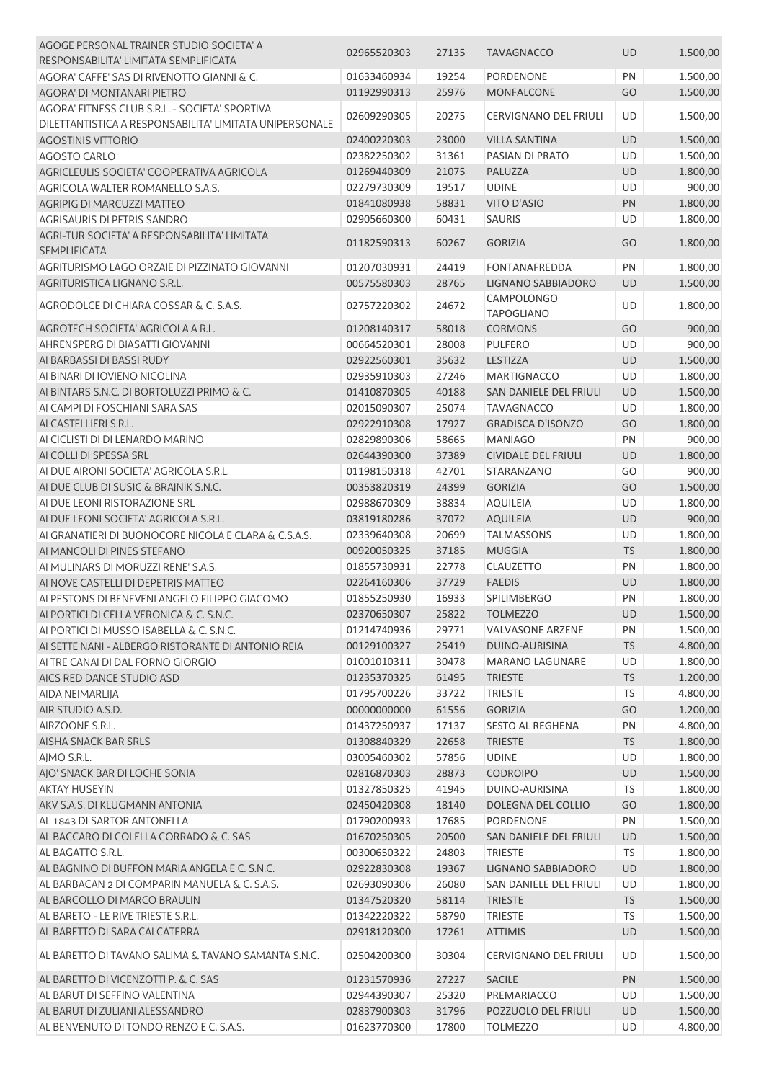| AGOGE PERSONAL TRAINER STUDIO SOCIETA' A                            |             |       |                               |           |          |
|---------------------------------------------------------------------|-------------|-------|-------------------------------|-----------|----------|
| RESPONSABILITA' LIMITATA SEMPLIFICATA                               | 02965520303 | 27135 | <b>TAVAGNACCO</b>             | <b>UD</b> | 1.500,00 |
| AGORA' CAFFE' SAS DI RIVENOTTO GIANNI & C.                          | 01633460934 | 19254 | PORDENONE                     | PN        | 1.500,00 |
| AGORA' DI MONTANARI PIETRO                                          | 01192990313 | 25976 | MONFALCONE                    | GO        | 1.500,00 |
| AGORA' FITNESS CLUB S.R.L. - SOCIETA' SPORTIVA                      |             |       |                               |           |          |
| DILETTANTISTICA A RESPONSABILITA' LIMITATA UNIPERSONALE             | 02609290305 | 20275 | <b>CERVIGNANO DEL FRIULI</b>  | UD        | 1.500,00 |
| <b>AGOSTINIS VITTORIO</b>                                           | 02400220303 | 23000 | <b>VILLA SANTINA</b>          | <b>UD</b> | 1.500,00 |
| <b>AGOSTO CARLO</b>                                                 | 02382250302 | 31361 | PASIAN DI PRATO               | UD        | 1.500,00 |
| AGRICLEULIS SOCIETA' COOPERATIVA AGRICOLA                           | 01269440309 | 21075 | PALUZZA                       | <b>UD</b> | 1.800,00 |
|                                                                     |             |       |                               |           |          |
| AGRICOLA WALTER ROMANELLO S.A.S.                                    | 02279730309 | 19517 | <b>UDINE</b>                  | UD        | 900,00   |
| AGRIPIG DI MARCUZZI MATTEO                                          | 01841080938 | 58831 | <b>VITO D'ASIO</b>            | PN        | 1.800,00 |
| AGRISAURIS DI PETRIS SANDRO                                         | 02905660300 | 60431 | <b>SAURIS</b>                 | UD        | 1.800,00 |
| AGRI-TUR SOCIETA' A RESPONSABILITA' LIMITATA<br><b>SEMPLIFICATA</b> | 01182590313 | 60267 | <b>GORIZIA</b>                | GO        | 1.800,00 |
| AGRITURISMO LAGO ORZAIE DI PIZZINATO GIOVANNI                       | 01207030931 | 24419 | FONTANAFREDDA                 | PN        | 1.800,00 |
| AGRITURISTICA LIGNANO S.R.L.                                        | 00575580303 | 28765 | LIGNANO SABBIADORO            | UD        | 1.500,00 |
| AGRODOLCE DI CHIARA COSSAR & C. S.A.S.                              | 02757220302 | 24672 | <b>CAMPOLONGO</b>             | UD        | 1.800,00 |
| AGROTECH SOCIETA' AGRICOLA A R.L.                                   |             |       | <b>TAPOGLIANO</b>             |           |          |
|                                                                     | 01208140317 | 58018 | <b>CORMONS</b>                | GO        | 900,00   |
| AHRENSPERG DI BIASATTI GIOVANNI                                     | 00664520301 | 28008 | <b>PULFERO</b>                | UD        | 900,00   |
| AI BARBASSI DI BASSI RUDY                                           | 02922560301 | 35632 | LESTIZZA                      | UD        | 1.500,00 |
| AI BINARI DI IOVIENO NICOLINA                                       | 02935910303 | 27246 | <b>MARTIGNACCO</b>            | UD        | 1.800,00 |
| AI BINTARS S.N.C. DI BORTOLUZZI PRIMO & C.                          | 01410870305 | 40188 | <b>SAN DANIELE DEL FRIULI</b> | <b>UD</b> | 1.500,00 |
| AI CAMPI DI FOSCHIANI SARA SAS                                      | 02015090307 | 25074 | <b>TAVAGNACCO</b>             | UD        | 1.800,00 |
| AI CASTELLIERI S.R.L.                                               | 02922910308 | 17927 | <b>GRADISCA D'ISONZO</b>      | GO        | 1.800,00 |
| AI CICLISTI DI DI LENARDO MARINO                                    | 02829890306 | 58665 | <b>MANIAGO</b>                | PN        | 900,00   |
| AI COLLI DI SPESSA SRL                                              | 02644390300 | 37389 | <b>CIVIDALE DEL FRIULI</b>    | <b>UD</b> | 1.800,00 |
| AI DUE AIRONI SOCIETA' AGRICOLA S.R.L.                              | 01198150318 | 42701 | STARANZANO                    | GO        | 900,00   |
| AI DUE CLUB DI SUSIC & BRAJNIK S.N.C.                               | 00353820319 | 24399 | <b>GORIZIA</b>                | GO        | 1.500,00 |
| AI DUE LEONI RISTORAZIONE SRL                                       | 02988670309 | 38834 | <b>AQUILEIA</b>               | UD        | 1.800,00 |
| AI DUE LEONI SOCIETA' AGRICOLA S.R.L.                               | 03819180286 | 37072 | <b>AQUILEIA</b>               | <b>UD</b> | 900,00   |
| AI GRANATIERI DI BUONOCORE NICOLA E CLARA & C.S.A.S.                | 02339640308 | 20699 | <b>TALMASSONS</b>             | UD        | 1.800,00 |
| AI MANCOLI DI PINES STEFANO                                         | 00920050325 | 37185 | <b>MUGGIA</b>                 | <b>TS</b> | 1.800,00 |
| AI MULINARS DI MORUZZI RENE' S.A.S.                                 | 01855730931 | 22778 | <b>CLAUZETTO</b>              | PN        | 1.800,00 |
| AI NOVE CASTELLI DI DEPETRIS MATTEO                                 | 02264160306 | 37729 | <b>FAEDIS</b>                 | <b>UD</b> | 1.800,00 |
| AI PESTONS DI BENEVENI ANGELO FILIPPO GIACOMO                       | 01855250930 | 16933 | SPILIMBERGO                   | PN        | 1.800,00 |
| AI PORTICI DI CELLA VERONICA & C. S.N.C.                            | 02370650307 | 25822 | <b>TOLMEZZO</b>               | <b>UD</b> | 1.500,00 |
| AI PORTICI DI MUSSO ISABELLA & C. S.N.C.                            | 01214740936 | 29771 | VALVASONE ARZENE              | PN        | 1.500,00 |
| AI SETTE NANI - ALBERGO RISTORANTE DI ANTONIO REIA                  | 00129100327 | 25419 | DUINO-AURISINA                | <b>TS</b> | 4.800,00 |
| AI TRE CANAI DI DAL FORNO GIORGIO                                   | 01001010311 | 30478 | <b>MARANO LAGUNARE</b>        | UD        | 1.800,00 |
| AICS RED DANCE STUDIO ASD                                           | 01235370325 | 61495 | <b>TRIESTE</b>                | <b>TS</b> | 1.200,00 |
|                                                                     |             |       |                               |           |          |
| AIDA NEIMARLIJA                                                     | 01795700226 | 33722 | <b>TRIESTE</b>                | <b>TS</b> | 4.800,00 |
| AIR STUDIO A.S.D.                                                   | 00000000000 | 61556 | <b>GORIZIA</b>                | GO        | 1.200,00 |
| AIRZOONE S.R.L.                                                     | 01437250937 | 17137 | <b>SESTO AL REGHENA</b>       | PN        | 4.800,00 |
| AISHA SNACK BAR SRLS                                                | 01308840329 | 22658 | <b>TRIESTE</b>                | <b>TS</b> | 1.800,00 |
| AJMO S.R.L.                                                         | 03005460302 | 57856 | <b>UDINE</b>                  | UD        | 1.800,00 |
| AJO' SNACK BAR DI LOCHE SONIA                                       | 02816870303 | 28873 | <b>CODROIPO</b>               | UD        | 1.500,00 |
| <b>AKTAY HUSEYIN</b>                                                | 01327850325 | 41945 | DUINO-AURISINA                | <b>TS</b> | 1.800,00 |
| AKV S.A.S. DI KLUGMANN ANTONIA                                      | 02450420308 | 18140 | DOLEGNA DEL COLLIO            | GO        | 1.800,00 |
| AL 1843 DI SARTOR ANTONELLA                                         | 01790200933 | 17685 | PORDENONE                     | PN        | 1.500,00 |
| AL BACCARO DI COLELLA CORRADO & C. SAS                              | 01670250305 | 20500 | SAN DANIELE DEL FRIULI        | <b>UD</b> | 1.500,00 |
| AL BAGATTO S.R.L.                                                   | 00300650322 | 24803 | <b>TRIESTE</b>                | <b>TS</b> | 1.800,00 |
| AL BAGNINO DI BUFFON MARIA ANGELA E C. S.N.C.                       | 02922830308 | 19367 | LIGNANO SABBIADORO            | UD        | 1.800,00 |
| AL BARBACAN 2 DI COMPARIN MANUELA & C. S.A.S.                       | 02693090306 | 26080 | SAN DANIELE DEL FRIULI        | UD        | 1.800,00 |
| AL BARCOLLO DI MARCO BRAULIN                                        | 01347520320 | 58114 | <b>TRIESTE</b>                | <b>TS</b> | 1.500,00 |
| AL BARETO - LE RIVE TRIESTE S.R.L.                                  | 01342220322 | 58790 | <b>TRIESTE</b>                | <b>TS</b> | 1.500,00 |
| AL BARETTO DI SARA CALCATERRA                                       | 02918120300 | 17261 | <b>ATTIMIS</b>                | <b>UD</b> | 1.500,00 |
| AL BARETTO DI TAVANO SALIMA & TAVANO SAMANTA S.N.C.                 | 02504200300 | 30304 | CERVIGNANO DEL FRIULI         | UD        | 1.500,00 |
|                                                                     |             |       |                               |           |          |
| AL BARETTO DI VICENZOTTI P. & C. SAS                                | 01231570936 | 27227 | <b>SACILE</b>                 | <b>PN</b> | 1.500,00 |
| AL BARUT DI SEFFINO VALENTINA                                       | 02944390307 | 25320 | PREMARIACCO                   | <b>UD</b> | 1.500,00 |
| AL BARUT DI ZULIANI ALESSANDRO                                      | 02837900303 | 31796 | POZZUOLO DEL FRIULI           | UD        | 1.500,00 |
| AL BENVENUTO DI TONDO RENZO E C. S.A.S.                             | 01623770300 | 17800 | <b>TOLMEZZO</b>               | UD        | 4.800,00 |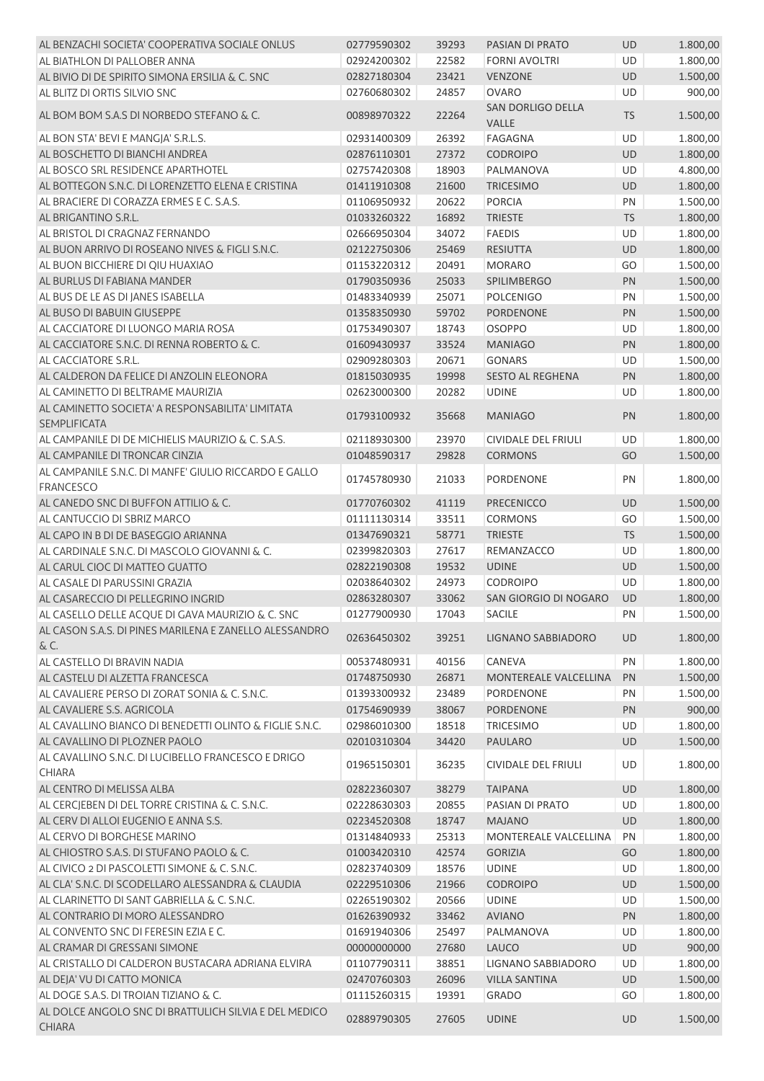| AL BENZACHI SOCIETA' COOPERATIVA SOCIALE ONLUS                            | 02779590302 | 39293 | PASIAN DI PRATO            | <b>UD</b> | 1.800,00 |
|---------------------------------------------------------------------------|-------------|-------|----------------------------|-----------|----------|
| AL BIATHLON DI PALLOBER ANNA                                              | 02924200302 | 22582 | <b>FORNI AVOLTRI</b>       | <b>UD</b> | 1.800,00 |
| AL BIVIO DI DE SPIRITO SIMONA ERSILIA & C. SNC                            | 02827180304 | 23421 | <b>VENZONE</b>             | <b>UD</b> | 1.500,00 |
| AL BLITZ DI ORTIS SILVIO SNC                                              | 02760680302 | 24857 | <b>OVARO</b>               | <b>UD</b> | 900,00   |
| AL BOM BOM S.A.S DI NORBEDO STEFANO & C.                                  | 00898970322 | 22264 | SAN DORLIGO DELLA<br>VALLE | <b>TS</b> | 1.500,00 |
| AL BON STA' BEVI E MANGJA' S.R.L.S.                                       | 02931400309 | 26392 | <b>FAGAGNA</b>             | <b>UD</b> | 1.800,00 |
| AL BOSCHETTO DI BIANCHI ANDREA                                            | 02876110301 | 27372 | <b>CODROIPO</b>            | UD        | 1.800,00 |
| AL BOSCO SRL RESIDENCE APARTHOTEL                                         | 02757420308 | 18903 | PALMANOVA                  | UD        | 4.800,00 |
| AL BOTTEGON S.N.C. DI LORENZETTO ELENA E CRISTINA                         | 01411910308 | 21600 | <b>TRICESIMO</b>           | UD        | 1.800,00 |
| AL BRACIERE DI CORAZZA ERMES E C. S.A.S.                                  | 01106950932 | 20622 | <b>PORCIA</b>              | PN        | 1.500,00 |
| AL BRIGANTINO S.R.L.                                                      | 01033260322 | 16892 | <b>TRIESTE</b>             | <b>TS</b> | 1.800,00 |
| AL BRISTOL DI CRAGNAZ FERNANDO                                            | 02666950304 | 34072 | <b>FAEDIS</b>              | UD        | 1.800,00 |
| AL BUON ARRIVO DI ROSEANO NIVES & FIGLI S.N.C.                            | 02122750306 | 25469 | <b>RESIUTTA</b>            | UD        | 1.800,00 |
| AL BUON BICCHIERE DI QIU HUAXIAO                                          | 01153220312 | 20491 | <b>MORARO</b>              | GO        | 1.500,00 |
| AL BURLUS DI FABIANA MANDER                                               | 01790350936 | 25033 | SPILIMBERGO                | PN        | 1.500,00 |
| AL BUS DE LE AS DI JANES ISABELLA                                         | 01483340939 | 25071 | <b>POLCENIGO</b>           | PN        | 1.500,00 |
| AL BUSO DI BABUIN GIUSEPPE                                                | 01358350930 | 59702 | <b>PORDENONE</b>           | PN        | 1.500,00 |
| AL CACCIATORE DI LUONGO MARIA ROSA                                        | 01753490307 | 18743 | <b>OSOPPO</b>              | UD        | 1.800,00 |
| AL CACCIATORE S.N.C. DI RENNA ROBERTO & C.                                | 01609430937 | 33524 | <b>MANIAGO</b>             | PN        | 1.800,00 |
| AL CACCIATORE S.R.L.                                                      | 02909280303 | 20671 | <b>GONARS</b>              | UD        | 1.500,00 |
| AL CALDERON DA FELICE DI ANZOLIN ELEONORA                                 | 01815030935 | 19998 | SESTO AL REGHENA           | PN        | 1.800,00 |
| AL CAMINETTO DI BELTRAME MAURIZIA                                         | 02623000300 | 20282 | <b>UDINE</b>               | UD        | 1.800,00 |
| AL CAMINETTO SOCIETA' A RESPONSABILITA' LIMITATA                          |             |       |                            |           |          |
| <b>SEMPLIFICATA</b>                                                       | 01793100932 | 35668 | <b>MANIAGO</b>             | PN        | 1.800,00 |
| AL CAMPANILE DI DE MICHIELIS MAURIZIO & C. S.A.S.                         | 02118930300 | 23970 | <b>CIVIDALE DEL FRIULI</b> | <b>UD</b> | 1.800,00 |
| AL CAMPANILE DI TRONCAR CINZIA                                            | 01048590317 | 29828 | <b>CORMONS</b>             | GO        | 1.500,00 |
| AL CAMPANILE S.N.C. DI MANFE' GIULIO RICCARDO E GALLO<br><b>FRANCESCO</b> | 01745780930 | 21033 | PORDENONE                  | PN        | 1.800,00 |
| AL CANEDO SNC DI BUFFON ATTILIO & C.                                      | 01770760302 | 41119 | PRECENICCO                 | UD        | 1.500,00 |
| AL CANTUCCIO DI SBRIZ MARCO                                               | 01111130314 | 33511 | <b>CORMONS</b>             | GO        | 1.500,00 |
| AL CAPO IN B DI DE BASEGGIO ARIANNA                                       | 01347690321 | 58771 | <b>TRIESTE</b>             | <b>TS</b> | 1.500,00 |
| AL CARDINALE S.N.C. DI MASCOLO GIOVANNI & C.                              | 02399820303 | 27617 | REMANZACCO                 | UD        | 1.800,00 |
| AL CARUL CIOC DI MATTEO GUATTO                                            | 02822190308 | 19532 | <b>UDINE</b>               | UD        | 1.500,00 |
| AL CASALE DI PARUSSINI GRAZIA                                             | 02038640302 | 24973 | <b>CODROIPO</b>            | <b>UD</b> | 1.800,00 |
| AL CASARECCIO DI PELLEGRINO INGRID                                        | 02863280307 | 33062 | SAN GIORGIO DI NOGARO      | <b>UD</b> | 1.800,00 |
| AL CASELLO DELLE ACQUE DI GAVA MAURIZIO & C. SNC                          | 01277900930 | 17043 | SACILE                     | PN        | 1.500,00 |
| AL CASON S.A.S. DI PINES MARILENA E ZANELLO ALESSANDRO<br>&C.             | 02636450302 | 39251 | LIGNANO SABBIADORO         | UD        | 1.800,00 |
| AL CASTELLO DI BRAVIN NADIA                                               | 00537480931 | 40156 | CANEVA                     | PN        | 1.800,00 |
| AL CASTELU DI ALZETTA FRANCESCA                                           | 01748750930 | 26871 | MONTEREALE VALCELLINA      | PN        | 1.500,00 |
| AL CAVALIERE PERSO DI ZORAT SONIA & C. S.N.C.                             | 01393300932 | 23489 | PORDENONE                  | PN        | 1.500,00 |
| AL CAVALIERE S.S. AGRICOLA                                                | 01754690939 | 38067 | PORDENONE                  | PN        | 900,00   |
| AL CAVALLINO BIANCO DI BENEDETTI OLINTO & FIGLIE S.N.C.                   | 02986010300 | 18518 | <b>TRICESIMO</b>           | UD        | 1.800,00 |
| AL CAVALLINO DI PLOZNER PAOLO                                             | 02010310304 | 34420 | <b>PAULARO</b>             | UD        | 1.500,00 |
| AL CAVALLINO S.N.C. DI LUCIBELLO FRANCESCO E DRIGO                        |             |       |                            |           |          |
| <b>CHIARA</b>                                                             | 01965150301 | 36235 | CIVIDALE DEL FRIULI        | UD        | 1.800,00 |
| AL CENTRO DI MELISSA ALBA                                                 | 02822360307 | 38279 | <b>TAIPANA</b>             | UD        | 1.800,00 |
| AL CERCJEBEN DI DEL TORRE CRISTINA & C. S.N.C.                            | 02228630303 | 20855 | PASIAN DI PRATO            | UD        | 1.800,00 |
| AL CERV DI ALLOI EUGENIO E ANNA S.S.                                      | 02234520308 | 18747 | <b>MAJANO</b>              | UD        | 1.800,00 |
| AL CERVO DI BORGHESE MARINO                                               | 01314840933 | 25313 | MONTEREALE VALCELLINA      | PN        | 1.800,00 |
| AL CHIOSTRO S.A.S. DI STUFANO PAOLO & C.                                  | 01003420310 | 42574 | <b>GORIZIA</b>             | GO        | 1.800,00 |
| AL CIVICO 2 DI PASCOLETTI SIMONE & C. S.N.C.                              | 02823740309 | 18576 | <b>UDINE</b>               | UD        | 1.800,00 |
| AL CLA' S.N.C. DI SCODELLARO ALESSANDRA & CLAUDIA                         | 02229510306 | 21966 | <b>CODROIPO</b>            | UD        | 1.500,00 |
| AL CLARINETTO DI SANT GABRIELLA & C. S.N.C.                               | 02265190302 | 20566 | <b>UDINE</b>               | UD        | 1.500,00 |
| AL CONTRARIO DI MORO ALESSANDRO                                           | 01626390932 | 33462 | <b>AVIANO</b>              | PN        | 1.800,00 |
| AL CONVENTO SNC DI FERESIN EZIA E C.                                      | 01691940306 | 25497 | PALMANOVA                  | UD        | 1.800,00 |
| AL CRAMAR DI GRESSANI SIMONE                                              | 00000000000 | 27680 | LAUCO                      | UD        | 900,00   |
| AL CRISTALLO DI CALDERON BUSTACARA ADRIANA ELVIRA                         | 01107790311 | 38851 | LIGNANO SABBIADORO         | UD        | 1.800,00 |
| AL DEJA' VU DI CATTO MONICA                                               | 02470760303 | 26096 | <b>VILLA SANTINA</b>       | UD        | 1.500,00 |
| AL DOGE S.A.S. DI TROIAN TIZIANO & C.                                     | 01115260315 | 19391 | <b>GRADO</b>               | GO        | 1.800,00 |
| AL DOLCE ANGOLO SNC DI BRATTULICH SILVIA E DEL MEDICO                     | 02889790305 | 27605 | <b>UDINE</b>               | UD        | 1.500,00 |
| <b>CHIARA</b>                                                             |             |       |                            |           |          |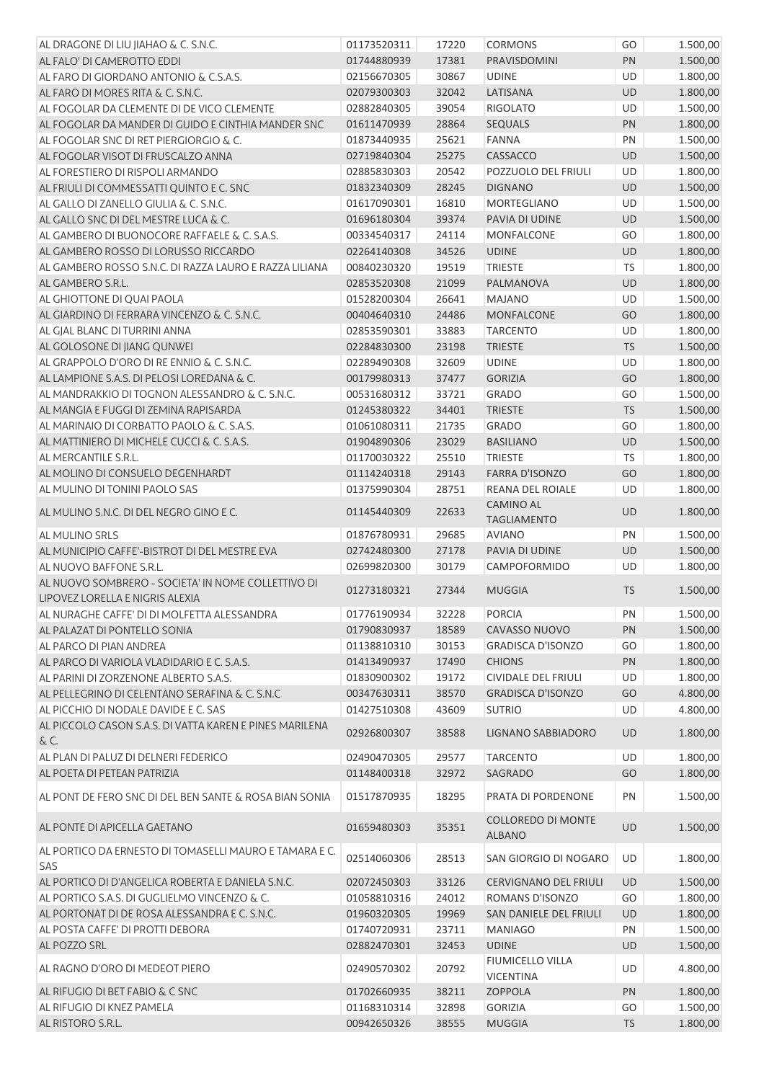| AL DRAGONE DI LIU JIAHAO & C. S.N.C.                    | 01173520311 | 17220 | <b>CORMONS</b>                | GO        | 1.500,00 |
|---------------------------------------------------------|-------------|-------|-------------------------------|-----------|----------|
| AL FALO' DI CAMEROTTO EDDI                              | 01744880939 | 17381 | PRAVISDOMINI                  | PN        | 1.500,00 |
| AL FARO DI GIORDANO ANTONIO & C.S.A.S.                  | 02156670305 | 30867 | <b>UDINE</b>                  | UD        | 1.800,00 |
| AL FARO DI MORES RITA & C. S.N.C.                       | 02079300303 | 32042 | LATISANA                      | UD        | 1.800,00 |
| AL FOGOLAR DA CLEMENTE DI DE VICO CLEMENTE              | 02882840305 | 39054 | <b>RIGOLATO</b>               | UD        | 1.500,00 |
| AL FOGOLAR DA MANDER DI GUIDO E CINTHIA MANDER SNC      | 01611470939 | 28864 | SEQUALS                       | PN        | 1.800,00 |
| AL FOGOLAR SNC DI RET PIERGIORGIO & C.                  | 01873440935 | 25621 | <b>FANNA</b>                  | PN        | 1.500,00 |
| AL FOGOLAR VISOT DI FRUSCALZO ANNA                      | 02719840304 | 25275 | CASSACCO                      | UD        | 1.500,00 |
| AL FORESTIERO DI RISPOLI ARMANDO                        | 02885830303 | 20542 | POZZUOLO DEL FRIULI           | UD        | 1.800,00 |
| AL FRIULI DI COMMESSATTI QUINTO E C. SNC                | 01832340309 | 28245 | <b>DIGNANO</b>                | UD        | 1.500,00 |
| AL GALLO DI ZANELLO GIULIA & C. S.N.C.                  | 01617090301 | 16810 | MORTEGLIANO                   | UD        | 1.500,00 |
| AL GALLO SNC DI DEL MESTRE LUCA & C.                    | 01696180304 | 39374 | PAVIA DI UDINE                | UD        | 1.500,00 |
| AL GAMBERO DI BUONOCORE RAFFAELE & C. S.A.S.            | 00334540317 | 24114 | <b>MONFALCONE</b>             | GO        | 1.800,00 |
| AL GAMBERO ROSSO DI LORUSSO RICCARDO                    | 02264140308 | 34526 | <b>UDINE</b>                  | UD        | 1.800,00 |
| AL GAMBERO ROSSO S.N.C. DI RAZZA LAURO E RAZZA LILIANA  | 00840230320 | 19519 | <b>TRIESTE</b>                | <b>TS</b> | 1.800,00 |
| AL GAMBERO S.R.L.                                       | 02853520308 | 21099 | PALMANOVA                     | UD        | 1.800,00 |
| AL GHIOTTONE DI QUAI PAOLA                              | 01528200304 | 26641 | <b>MAJANO</b>                 | UD        | 1.500,00 |
| AL GIARDINO DI FERRARA VINCENZO & C. S.N.C.             | 00404640310 | 24486 | <b>MONFALCONE</b>             | GO        | 1.800,00 |
|                                                         |             |       |                               |           |          |
| AL GJAL BLANC DI TURRINI ANNA                           | 02853590301 | 33883 | <b>TARCENTO</b>               | UD        | 1.800,00 |
| AL GOLOSONE DI JIANG QUNWEI                             | 02284830300 | 23198 | <b>TRIESTE</b>                | <b>TS</b> | 1.500,00 |
| AL GRAPPOLO D'ORO DI RE ENNIO & C. S.N.C.               | 02289490308 | 32609 | <b>UDINE</b>                  | UD        | 1.800,00 |
| AL LAMPIONE S.A.S. DI PELOSI LOREDANA & C.              | 00179980313 | 37477 | <b>GORIZIA</b>                | GO        | 1.800,00 |
| AL MANDRAKKIO DI TOGNON ALESSANDRO & C. S.N.C.          | 00531680312 | 33721 | <b>GRADO</b>                  | GO        | 1.500,00 |
| AL MANGIA E FUGGI DI ZEMINA RAPISARDA                   | 01245380322 | 34401 | <b>TRIESTE</b>                | <b>TS</b> | 1.500,00 |
| AL MARINAIO DI CORBATTO PAOLO & C. S.A.S.               | 01061080311 | 21735 | <b>GRADO</b>                  | GO        | 1.800,00 |
| AL MATTINIERO DI MICHELE CUCCI & C. S.A.S.              | 01904890306 | 23029 | <b>BASILIANO</b>              | UD        | 1.500,00 |
| AL MERCANTILE S.R.L.                                    | 01170030322 | 25510 | <b>TRIESTE</b>                | <b>TS</b> | 1.800,00 |
| AL MOLINO DI CONSUELO DEGENHARDT                        | 01114240318 | 29143 | <b>FARRA D'ISONZO</b>         | GO        | 1.800,00 |
| AL MULINO DI TONINI PAOLO SAS                           | 01375990304 | 28751 | REANA DEL ROIALE              | UD        | 1.800,00 |
| AL MULINO S.N.C. DI DEL NEGRO GINO E C.                 | 01145440309 | 22633 | <b>CAMINO AL</b>              | UD        | 1.800,00 |
|                                                         |             |       | <b>TAGLIAMENTO</b>            |           |          |
| AL MULINO SRLS                                          | 01876780931 | 29685 | <b>AVIANO</b>                 | PN        | 1.500,00 |
| AL MUNICIPIO CAFFE'-BISTROT DI DEL MESTRE EVA           | 02742480300 | 27178 | PAVIA DI UDINE                | UD        | 1.500,00 |
| AL NUOVO BAFFONE S.R.L.                                 | 02699820300 | 30179 | CAMPOFORMIDO                  | UD        | 1.800,00 |
| AL NUOVO SOMBRERO - SOCIETA' IN NOME COLLETTIVO DI      | 01273180321 | 27344 | <b>MUGGIA</b>                 | <b>TS</b> | 1.500,00 |
| LIPOVEZ LORELLA E NIGRIS ALEXIA                         |             |       |                               |           |          |
| AL NURAGHE CAFFE' DI DI MOLFETTA ALESSANDRA             | 01776190934 | 32228 | <b>PORCIA</b>                 | PN        | 1.500,00 |
| AL PALAZAT DI PONTELLO SONIA                            | 01790830937 | 18589 | CAVASSO NUOVO                 | PN        | 1.500,00 |
| AL PARCO DI PIAN ANDREA                                 | 01138810310 | 30153 | <b>GRADISCA D'ISONZO</b>      | GO        | 1.800,00 |
| AL PARCO DI VARIOLA VLADIDARIO E C. S.A.S.              | 01413490937 | 17490 | <b>CHIONS</b>                 | PN        | 1.800,00 |
| AL PARINI DI ZORZENONE ALBERTO S.A.S.                   | 01830900302 | 19172 | CIVIDALE DEL FRIULI           | UD        | 1.800,00 |
| AL PELLEGRINO DI CELENTANO SERAFINA & C. S.N.C.         | 00347630311 | 38570 | <b>GRADISCA D'ISONZO</b>      | GO        | 4.800,00 |
| AL PICCHIO DI NODALE DAVIDE E C. SAS                    | 01427510308 | 43609 | <b>SUTRIO</b>                 | UD        | 4.800,00 |
| AL PICCOLO CASON S.A.S. DI VATTA KAREN E PINES MARILENA | 02926800307 | 38588 | LIGNANO SABBIADORO            | <b>UD</b> | 1.800,00 |
| & C.                                                    |             |       |                               |           |          |
| AL PLAN DI PALUZ DI DELNERI FEDERICO                    | 02490470305 | 29577 | <b>TARCENTO</b>               | <b>UD</b> | 1.800,00 |
| AL POETA DI PETEAN PATRIZIA                             | 01148400318 | 32972 | SAGRADO                       | GO        | 1.800,00 |
| AL PONT DE FERO SNC DI DEL BEN SANTE & ROSA BIAN SONIA  | 01517870935 | 18295 | PRATA DI PORDENONE            | PN        | 1.500,00 |
|                                                         |             |       |                               |           |          |
| AL PONTE DI APICELLA GAETANO                            | 01659480303 | 35351 | <b>COLLOREDO DI MONTE</b>     | UD        | 1.500,00 |
|                                                         |             |       | <b>ALBANO</b>                 |           |          |
| AL PORTICO DA ERNESTO DI TOMASELLI MAURO E TAMARA E C.  | 02514060306 | 28513 | SAN GIORGIO DI NOGARO         | UD        | 1.800,00 |
| SAS                                                     |             |       |                               |           |          |
| AL PORTICO DI D'ANGELICA ROBERTA E DANIELA S.N.C.       | 02072450303 | 33126 | <b>CERVIGNANO DEL FRIULI</b>  | UD        | 1.500,00 |
| AL PORTICO S.A.S. DI GUGLIELMO VINCENZO & C.            | 01058810316 | 24012 | ROMANS D'ISONZO               | GO        | 1.800,00 |
| AL PORTONAT DI DE ROSA ALESSANDRA E C. S.N.C.           | 01960320305 | 19969 | <b>SAN DANIELE DEL FRIULI</b> | <b>UD</b> | 1.800,00 |
| AL POSTA CAFFE' DI PROTTI DEBORA                        | 01740720931 | 23711 | <b>MANIAGO</b>                | PN        | 1.500,00 |
| AL POZZO SRL                                            | 02882470301 | 32453 | <b>UDINE</b>                  | UD        | 1.500,00 |
| AL RAGNO D'ORO DI MEDEOT PIERO                          | 02490570302 | 20792 | FIUMICELLO VILLA              | UD        | 4.800,00 |
|                                                         |             |       | <b>VICENTINA</b>              |           |          |
| AL RIFUGIO DI BET FABIO & C SNC                         | 01702660935 | 38211 | <b>ZOPPOLA</b>                | PN        | 1.800,00 |
| AL RIFUGIO DI KNEZ PAMELA                               | 01168310314 | 32898 | <b>GORIZIA</b>                | GO        | 1.500,00 |
| AL RISTORO S.R.L.                                       | 00942650326 | 38555 | <b>MUGGIA</b>                 | <b>TS</b> | 1.800,00 |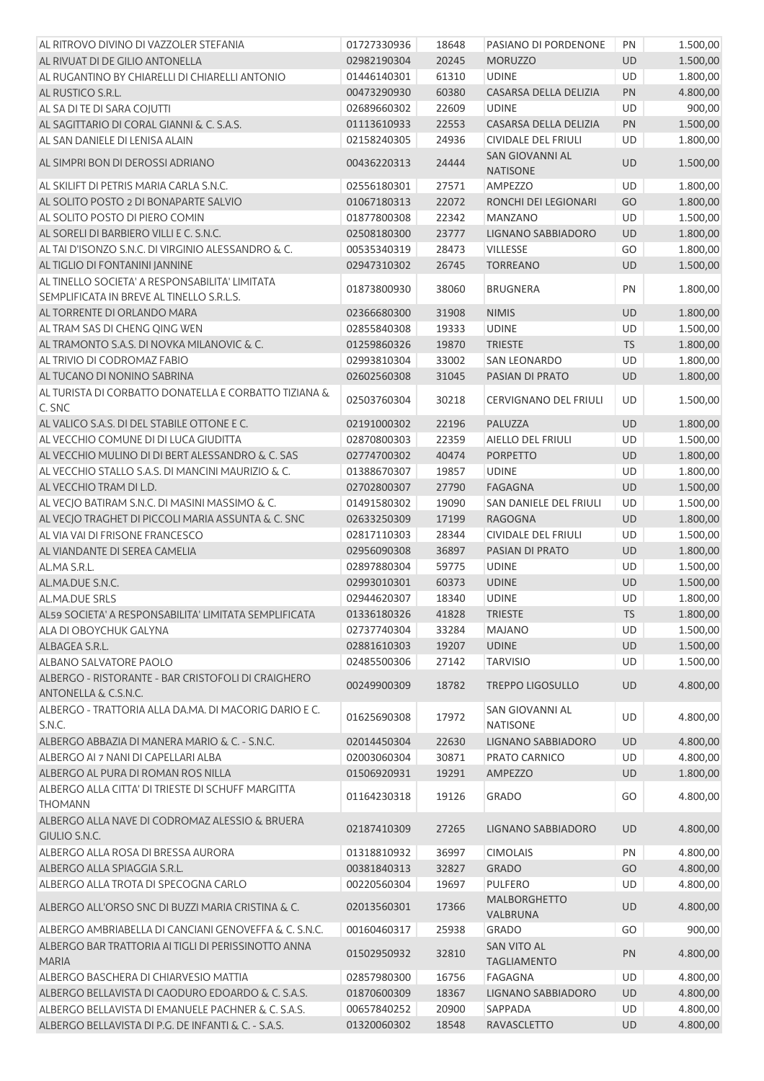| AL RITROVO DIVINO DI VAZZOLER STEFANIA                              | 01727330936 | 18648 | PASIANO DI PORDENONE               | PN        | 1.500,00 |
|---------------------------------------------------------------------|-------------|-------|------------------------------------|-----------|----------|
| AL RIVUAT DI DE GILIO ANTONELLA                                     | 02982190304 | 20245 | <b>MORUZZO</b>                     | <b>UD</b> | 1.500,00 |
| AL RUGANTINO BY CHIARELLI DI CHIARELLI ANTONIO                      | 01446140301 | 61310 | <b>UDINE</b>                       | <b>UD</b> | 1.800,00 |
| AL RUSTICO S.R.L.                                                   | 00473290930 | 60380 | CASARSA DELLA DELIZIA              | <b>PN</b> | 4.800,00 |
| AL SA DI TE DI SARA COJUTTI                                         | 02689660302 | 22609 | <b>UDINE</b>                       | <b>UD</b> | 900,00   |
| AL SAGITTARIO DI CORAL GIANNI & C. S.A.S.                           | 01113610933 | 22553 | CASARSA DELLA DELIZIA              | PN        | 1.500,00 |
| AL SAN DANIELE DI LENISA ALAIN                                      | 02158240305 | 24936 | CIVIDALE DEL FRIULI                | <b>UD</b> | 1.800,00 |
| AL SIMPRI BON DI DEROSSI ADRIANO                                    | 00436220313 | 24444 | SAN GIOVANNI AL<br><b>NATISONE</b> | UD        | 1.500,00 |
| AL SKILIFT DI PETRIS MARIA CARLA S.N.C.                             | 02556180301 | 27571 | AMPEZZO                            | UD        | 1.800,00 |
| AL SOLITO POSTO 2 DI BONAPARTE SALVIO                               | 01067180313 | 22072 | RONCHI DEI LEGIONARI               | GO        | 1.800,00 |
| AL SOLITO POSTO DI PIERO COMIN                                      | 01877800308 | 22342 | <b>MANZANO</b>                     | <b>UD</b> | 1.500,00 |
| AL SORELI DI BARBIERO VILLI E C. S.N.C.                             | 02508180300 | 23777 | LIGNANO SABBIADORO                 | UD        | 1.800,00 |
| AL TAI D'ISONZO S.N.C. DI VIRGINIO ALESSANDRO & C.                  | 00535340319 | 28473 | <b>VILLESSE</b>                    | GO        | 1.800,00 |
| AL TIGLIO DI FONTANINI JANNINE                                      | 02947310302 | 26745 | <b>TORREANO</b>                    | <b>UD</b> | 1.500,00 |
| AL TINELLO SOCIETA' A RESPONSABILITA' LIMITATA                      |             |       |                                    |           |          |
| SEMPLIFICATA IN BREVE AL TINELLO S.R.L.S.                           | 01873800930 | 38060 | <b>BRUGNERA</b>                    | PN        | 1.800,00 |
| AL TORRENTE DI ORLANDO MARA                                         | 02366680300 | 31908 | <b>NIMIS</b>                       | UD        | 1.800,00 |
| AL TRAM SAS DI CHENG QING WEN                                       | 02855840308 | 19333 | <b>UDINE</b>                       | UD        | 1.500,00 |
| AL TRAMONTO S.A.S. DI NOVKA MILANOVIC & C.                          | 01259860326 | 19870 | <b>TRIESTE</b>                     | <b>TS</b> | 1.800,00 |
| AL TRIVIO DI CODROMAZ FABIO                                         | 02993810304 | 33002 | <b>SAN LEONARDO</b>                | UD        | 1.800,00 |
| AL TUCANO DI NONINO SABRINA                                         |             |       |                                    |           | 1.800,00 |
|                                                                     | 02602560308 | 31045 | PASIAN DI PRATO                    | UD        |          |
| AL TURISTA DI CORBATTO DONATELLA E CORBATTO TIZIANA &<br>C. SNC     | 02503760304 | 30218 | <b>CERVIGNANO DEL FRIULI</b>       | UD        | 1.500,00 |
| AL VALICO S.A.S. DI DEL STABILE OTTONE E C.                         | 02191000302 | 22196 | PALUZZA                            | UD        | 1.800,00 |
| AL VECCHIO COMUNE DI DI LUCA GIUDITTA                               | 02870800303 | 22359 | AIELLO DEL FRIULI                  | <b>UD</b> | 1.500,00 |
| AL VECCHIO MULINO DI DI BERT ALESSANDRO & C. SAS                    | 02774700302 | 40474 | <b>PORPETTO</b>                    | UD        | 1.800,00 |
| AL VECCHIO STALLO S.A.S. DI MANCINI MAURIZIO & C.                   | 01388670307 | 19857 | <b>UDINE</b>                       | <b>UD</b> | 1.800,00 |
| AL VECCHIO TRAM DI L.D.                                             | 02702800307 | 27790 | <b>FAGAGNA</b>                     | UD        | 1.500,00 |
| AL VECJO BATIRAM S.N.C. DI MASINI MASSIMO & C.                      | 01491580302 | 19090 | SAN DANIELE DEL FRIULI             | UD        | 1.500,00 |
| AL VECJO TRAGHET DI PICCOLI MARIA ASSUNTA & C. SNC                  | 02633250309 | 17199 | <b>RAGOGNA</b>                     | UD        | 1.800,00 |
| AL VIA VAI DI FRISONE FRANCESCO                                     | 02817110303 | 28344 | <b>CIVIDALE DEL FRIULI</b>         | UD        | 1.500,00 |
| AL VIANDANTE DI SEREA CAMELIA                                       | 02956090308 | 36897 | PASIAN DI PRATO                    | UD        | 1.800,00 |
| AL.MA S.R.L.                                                        | 02897880304 | 59775 | <b>UDINE</b>                       | UD        | 1.500,00 |
| AL.MA.DUE S.N.C.                                                    | 02993010301 | 60373 | <b>UDINE</b>                       | <b>UD</b> | 1.500,00 |
| AL.MA.DUE SRLS                                                      | 02944620307 | 18340 | <b>UDINE</b>                       | UD        | 1.800,00 |
| AL59 SOCIETA' A RESPONSABILITA' LIMITATA SEMPLIFICATA               | 01336180326 | 41828 | <b>TRIESTE</b>                     | <b>TS</b> | 1.800,00 |
| ALA DI OBOYCHUK GALYNA                                              | 02737740304 | 33284 | <b>MAJANO</b>                      | UD        | 1.500,00 |
| ALBAGEA S.R.L.                                                      | 02881610303 | 19207 | <b>UDINE</b>                       | UD        | 1.500,00 |
| <b>ALBANO SALVATORE PAOLO</b>                                       | 02485500306 | 27142 | <b>TARVISIO</b>                    | UD        | 1.500,00 |
| ALBERGO - RISTORANTE - BAR CRISTOFOLI DI CRAIGHERO                  |             |       |                                    |           |          |
| ANTONELLA & C.S.N.C.                                                | 00249900309 | 18782 | <b>TREPPO LIGOSULLO</b>            | UD        | 4.800,00 |
| ALBERGO - TRATTORIA ALLA DA.MA. DI MACORIG DARIO E C.<br>S.N.C.     | 01625690308 | 17972 | SAN GIOVANNI AL<br><b>NATISONE</b> | UD        | 4.800,00 |
| ALBERGO ABBAZIA DI MANERA MARIO & C. - S.N.C.                       | 02014450304 | 22630 | LIGNANO SABBIADORO                 | UD        | 4.800,00 |
| ALBERGO AI 7 NANI DI CAPELLARI ALBA                                 | 02003060304 | 30871 | PRATO CARNICO                      | UD        | 4.800,00 |
| ALBERGO AL PURA DI ROMAN ROS NILLA                                  | 01506920931 | 19291 | AMPEZZO                            | UD        | 1.800,00 |
| ALBERGO ALLA CITTA' DI TRIESTE DI SCHUFF MARGITTA<br><b>THOMANN</b> | 01164230318 | 19126 | <b>GRADO</b>                       | GO        | 4.800,00 |
| ALBERGO ALLA NAVE DI CODROMAZ ALESSIO & BRUERA<br>GIULIO S.N.C.     | 02187410309 | 27265 | LIGNANO SABBIADORO                 | UD        | 4.800,00 |
| ALBERGO ALLA ROSA DI BRESSA AURORA                                  | 01318810932 | 36997 | <b>CIMOLAIS</b>                    | PN        | 4.800,00 |
| ALBERGO ALLA SPIAGGIA S.R.L.                                        | 00381840313 | 32827 | <b>GRADO</b>                       | GO        | 4.800,00 |
| ALBERGO ALLA TROTA DI SPECOGNA CARLO                                | 00220560304 | 19697 | <b>PULFERO</b>                     | UD        | 4.800,00 |
| ALBERGO ALL'ORSO SNC DI BUZZI MARIA CRISTINA & C.                   | 02013560301 | 17366 | MALBORGHETTO                       | UD        | 4.800,00 |
|                                                                     |             |       | VALBRUNA                           |           |          |
| ALBERGO AMBRIABELLA DI CANCIANI GENOVEFFA & C. S.N.C.               | 00160460317 | 25938 | GRADO                              | GO        | 900,00   |
| ALBERGO BAR TRATTORIA AI TIGLI DI PERISSINOTTO ANNA<br><b>MARIA</b> | 01502950932 | 32810 | <b>SAN VITO AL</b><br>TAGLIAMENTO  | PN        | 4.800,00 |
| ALBERGO BASCHERA DI CHIARVESIO MATTIA                               | 02857980300 | 16756 | FAGAGNA                            | UD        | 4.800,00 |
| ALBERGO BELLAVISTA DI CAODURO EDOARDO & C. S.A.S.                   | 01870600309 | 18367 | LIGNANO SABBIADORO                 | UD        | 4.800,00 |
| ALBERGO BELLAVISTA DI EMANUELE PACHNER & C. S.A.S.                  | 00657840252 | 20900 | SAPPADA                            | UD        | 4.800,00 |
| ALBERGO BELLAVISTA DI P.G. DE INFANTI & C. - S.A.S.                 | 01320060302 | 18548 | RAVASCLETTO                        | UD        | 4.800,00 |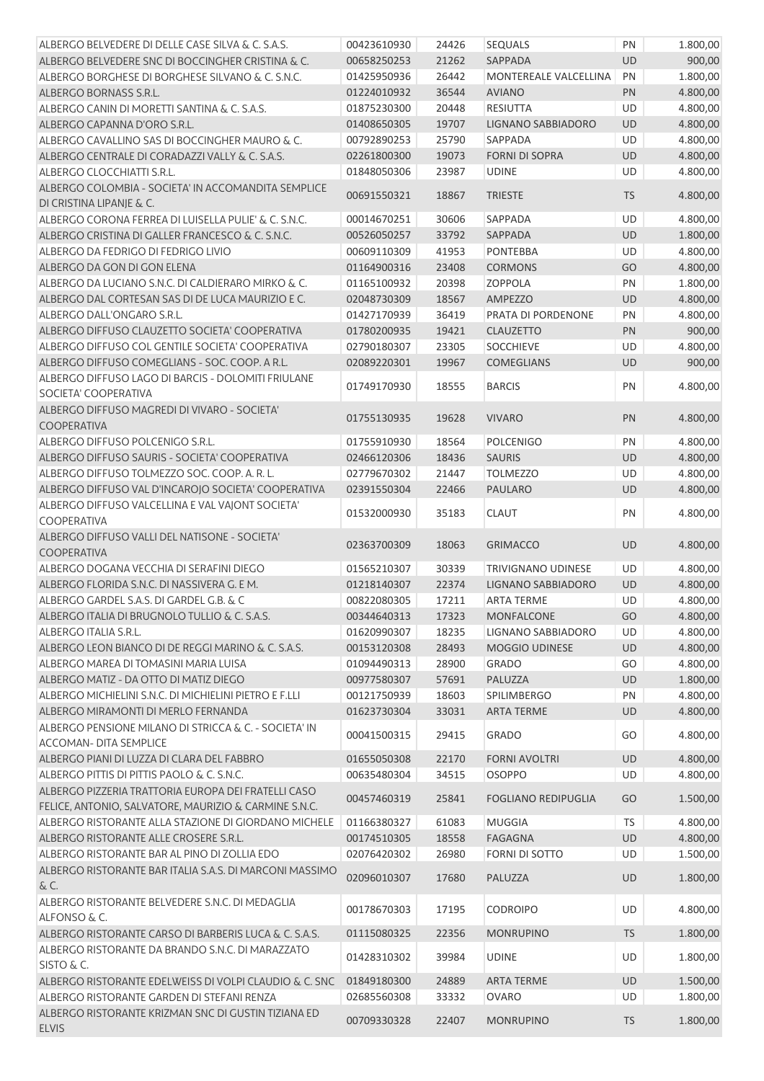| ALBERGO BELVEDERE DI DELLE CASE SILVA & C. S.A.S.       | 00423610930 | 24426 | <b>SEQUALS</b>             | PN        | 1.800,00 |
|---------------------------------------------------------|-------------|-------|----------------------------|-----------|----------|
| ALBERGO BELVEDERE SNC DI BOCCINGHER CRISTINA & C.       | 00658250253 | 21262 | SAPPADA                    | <b>UD</b> | 900,00   |
| ALBERGO BORGHESE DI BORGHESE SILVANO & C. S.N.C.        | 01425950936 | 26442 | MONTEREALE VALCELLINA      | PN        | 1.800,00 |
| ALBERGO BORNASS S.R.L.                                  | 01224010932 | 36544 | <b>AVIANO</b>              | PN        | 4.800,00 |
| ALBERGO CANIN DI MORETTI SANTINA & C. S.A.S.            | 01875230300 | 20448 | <b>RESIUTTA</b>            | UD        | 4.800,00 |
| ALBERGO CAPANNA D'ORO S.R.L.                            | 01408650305 | 19707 | LIGNANO SABBIADORO         | UD        | 4.800,00 |
| ALBERGO CAVALLINO SAS DI BOCCINGHER MAURO & C.          | 00792890253 | 25790 | SAPPADA                    | UD        | 4.800,00 |
| ALBERGO CENTRALE DI CORADAZZI VALLY & C. S.A.S.         | 02261800300 | 19073 | <b>FORNI DI SOPRA</b>      | UD        | 4.800,00 |
| ALBERGO CLOCCHIATTI S.R.L.                              | 01848050306 | 23987 | <b>UDINE</b>               | UD        | 4.800,00 |
| ALBERGO COLOMBIA - SOCIETA' IN ACCOMANDITA SEMPLICE     |             |       |                            |           |          |
| DI CRISTINA LIPANJE & C.                                | 00691550321 | 18867 | <b>TRIESTE</b>             | <b>TS</b> | 4.800,00 |
| ALBERGO CORONA FERREA DI LUISELLA PULIE' & C. S.N.C.    | 00014670251 | 30606 | SAPPADA                    | UD        | 4.800,00 |
| ALBERGO CRISTINA DI GALLER FRANCESCO & C. S.N.C.        | 00526050257 | 33792 | SAPPADA                    | UD        | 1.800,00 |
| ALBERGO DA FEDRIGO DI FEDRIGO LIVIO                     | 00609110309 | 41953 | <b>PONTEBBA</b>            | UD        | 4.800,00 |
| ALBERGO DA GON DI GON ELENA                             | 01164900316 | 23408 | <b>CORMONS</b>             | GO        | 4.800,00 |
| ALBERGO DA LUCIANO S.N.C. DI CALDIERARO MIRKO & C.      | 01165100932 | 20398 | ZOPPOLA                    | PN        | 1.800,00 |
| ALBERGO DAL CORTESAN SAS DI DE LUCA MAURIZIO E C.       | 02048730309 | 18567 | <b>AMPEZZO</b>             | <b>UD</b> | 4.800,00 |
| ALBERGO DALL'ONGARO S.R.L.                              | 01427170939 | 36419 | PRATA DI PORDENONE         | PN        | 4.800,00 |
| ALBERGO DIFFUSO CLAUZETTO SOCIETA' COOPERATIVA          | 01780200935 | 19421 | <b>CLAUZETTO</b>           | PN        | 900,00   |
| ALBERGO DIFFUSO COL GENTILE SOCIETA' COOPERATIVA        | 02790180307 | 23305 | SOCCHIEVE                  | UD        | 4.800,00 |
| ALBERGO DIFFUSO COMEGLIANS - SOC. COOP. A R.L.          | 02089220301 | 19967 | <b>COMEGLIANS</b>          | <b>UD</b> | 900,00   |
| ALBERGO DIFFUSO LAGO DI BARCIS - DOLOMITI FRIULANE      |             |       |                            |           |          |
| SOCIETA' COOPERATIVA                                    | 01749170930 | 18555 | <b>BARCIS</b>              | PN        | 4.800,00 |
| ALBERGO DIFFUSO MAGREDI DI VIVARO - SOCIETA'            |             |       |                            |           |          |
| <b>COOPERATIVA</b>                                      | 01755130935 | 19628 | <b>VIVARO</b>              | PN        | 4.800,00 |
| ALBERGO DIFFUSO POLCENIGO S.R.L.                        | 01755910930 | 18564 | <b>POLCENIGO</b>           | PN        | 4.800,00 |
| ALBERGO DIFFUSO SAURIS - SOCIETA' COOPERATIVA           | 02466120306 | 18436 | <b>SAURIS</b>              | <b>UD</b> | 4.800,00 |
| ALBERGO DIFFUSO TOLMEZZO SOC. COOP. A. R. L.            | 02779670302 | 21447 | <b>TOLMEZZO</b>            | UD        | 4.800,00 |
| ALBERGO DIFFUSO VAL D'INCAROJO SOCIETA' COOPERATIVA     | 02391550304 | 22466 | <b>PAULARO</b>             | UD        | 4.800,00 |
| ALBERGO DIFFUSO VALCELLINA E VAL VAJONT SOCIETA'        |             |       |                            |           |          |
| <b>COOPERATIVA</b>                                      | 01532000930 | 35183 | <b>CLAUT</b>               | PN        | 4.800,00 |
| ALBERGO DIFFUSO VALLI DEL NATISONE - SOCIETA'           |             |       |                            |           |          |
| <b>COOPERATIVA</b>                                      | 02363700309 | 18063 | <b>GRIMACCO</b>            | <b>UD</b> | 4.800,00 |
| ALBERGO DOGANA VECCHIA DI SERAFINI DIEGO                | 01565210307 | 30339 | TRIVIGNANO UDINESE         | UD        | 4.800,00 |
| ALBERGO FLORIDA S.N.C. DI NASSIVERA G. E M.             | 01218140307 | 22374 | <b>LIGNANO SABBIADORO</b>  | <b>UD</b> | 4.800,00 |
| ALBERGO GARDEL S.A.S. DI GARDEL G.B. & C                | 00822080305 | 17211 | <b>ARTA TERME</b>          | <b>UD</b> | 4.800,00 |
| ALBERGO ITALIA DI BRUGNOLO TULLIO & C. S.A.S.           | 00344640313 | 17323 | MONFALCONE                 | GO        | 4.800,00 |
| ALBERGO ITALIA S.R.L.                                   | 01620990307 | 18235 | <b>LIGNANO SABBIADORO</b>  | UD        | 4.800,00 |
| ALBERGO LEON BIANCO DI DE REGGI MARINO & C. S.A.S.      | 00153120308 | 28493 | <b>MOGGIO UDINESE</b>      | UD        | 4.800,00 |
| ALBERGO MAREA DI TOMASINI MARIA LUISA                   | 01094490313 | 28900 | <b>GRADO</b>               | GO        | 4.800,00 |
| ALBERGO MATIZ - DA OTTO DI MATIZ DIEGO                  | 00977580307 | 57691 | PALUZZA                    | UD        | 1.800,00 |
| ALBERGO MICHIELINI S.N.C. DI MICHIELINI PIETRO E F.LLI  | 00121750939 | 18603 | <b>SPILIMBERGO</b>         | PN        | 4.800,00 |
| ALBERGO MIRAMONTI DI MERLO FERNANDA                     | 01623730304 | 33031 | <b>ARTA TERME</b>          | <b>UD</b> | 4.800,00 |
| ALBERGO PENSIONE MILANO DI STRICCA & C. - SOCIETA' IN   |             |       |                            |           |          |
| <b>ACCOMAN- DITA SEMPLICE</b>                           | 00041500315 | 29415 | <b>GRADO</b>               | GO        | 4.800,00 |
| ALBERGO PIANI DI LUZZA DI CLARA DEL FABBRO              |             |       |                            |           |          |
| ALBERGO PITTIS DI PITTIS PAOLO & C. S.N.C.              | 01655050308 | 22170 | <b>FORNI AVOLTRI</b>       | UD        | 4.800,00 |
|                                                         | 00635480304 | 34515 | <b>OSOPPO</b>              | UD        | 4.800,00 |
| ALBERGO PIZZERIA TRATTORIA EUROPA DEI FRATELLI CASO     | 00457460319 | 25841 | <b>FOGLIANO REDIPUGLIA</b> | GO        | 1.500,00 |
| FELICE, ANTONIO, SALVATORE, MAURIZIO & CARMINE S.N.C.   |             |       |                            |           |          |
| ALBERGO RISTORANTE ALLA STAZIONE DI GIORDANO MICHELE    | 01166380327 | 61083 | <b>MUGGIA</b>              | <b>TS</b> | 4.800,00 |
| ALBERGO RISTORANTE ALLE CROSERE S.R.L.                  | 00174510305 | 18558 | <b>FAGAGNA</b>             | <b>UD</b> | 4.800,00 |
| ALBERGO RISTORANTE BAR AL PINO DI ZOLLIA EDO            | 02076420302 | 26980 | <b>FORNI DI SOTTO</b>      | UD        | 1.500,00 |
| ALBERGO RISTORANTE BAR ITALIA S.A.S. DI MARCONI MASSIMO | 02096010307 | 17680 | PALUZZA                    | <b>UD</b> | 1.800,00 |
| & C.                                                    |             |       |                            |           |          |
| ALBERGO RISTORANTE BELVEDERE S.N.C. DI MEDAGLIA         | 00178670303 | 17195 | <b>CODROIPO</b>            | UD        | 4.800,00 |
| ALFONSO & C.                                            |             |       |                            |           |          |
| ALBERGO RISTORANTE CARSO DI BARBERIS LUCA & C. S.A.S.   | 01115080325 | 22356 | <b>MONRUPINO</b>           | <b>TS</b> | 1.800,00 |
| ALBERGO RISTORANTE DA BRANDO S.N.C. DI MARAZZATO        | 01428310302 | 39984 | <b>UDINE</b>               | UD        | 1.800,00 |
| SISTO & C.                                              |             |       |                            |           |          |
| ALBERGO RISTORANTE EDELWEISS DI VOLPI CLAUDIO & C. SNC  | 01849180300 | 24889 | <b>ARTA TERME</b>          | UD        | 1.500,00 |
| ALBERGO RISTORANTE GARDEN DI STEFANI RENZA              | 02685560308 | 33332 | <b>OVARO</b>               | UD        | 1.800,00 |
| ALBERGO RISTORANTE KRIZMAN SNC DI GUSTIN TIZIANA ED     | 00709330328 | 22407 | <b>MONRUPINO</b>           | TS        | 1.800,00 |
| <b>ELVIS</b>                                            |             |       |                            |           |          |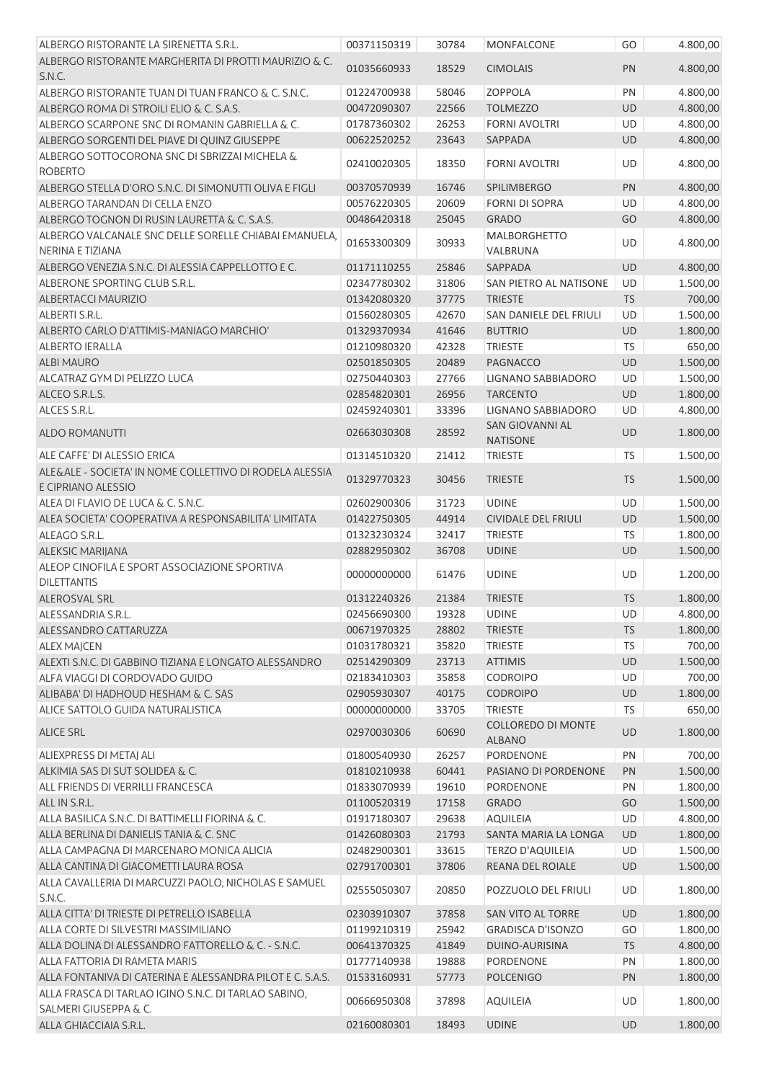| ALBERGO RISTORANTE LA SIRENETTA S.R.L.                                        | 00371150319                | 30784          | <b>MONFALCONE</b>                          | GO        | 4.800,00             |
|-------------------------------------------------------------------------------|----------------------------|----------------|--------------------------------------------|-----------|----------------------|
| ALBERGO RISTORANTE MARGHERITA DI PROTTI MAURIZIO & C.<br>S.N.C.               | 01035660933                | 18529          | <b>CIMOLAIS</b>                            | PN        | 4.800,00             |
| ALBERGO RISTORANTE TUAN DI TUAN FRANCO & C. S.N.C.                            | 01224700938                | 58046          | <b>ZOPPOLA</b>                             | PN        | 4.800,00             |
| ALBERGO ROMA DI STROILI ELIO & C. S.A.S.                                      | 00472090307                | 22566          | <b>TOLMEZZO</b>                            | UD        | 4.800,00             |
| ALBERGO SCARPONE SNC DI ROMANIN GABRIELLA & C.                                | 01787360302                | 26253          | <b>FORNI AVOLTRI</b>                       | UD        | 4.800,00             |
| ALBERGO SORGENTI DEL PIAVE DI QUINZ GIUSEPPE                                  | 00622520252                | 23643          | SAPPADA                                    | UD        | 4.800,00             |
| ALBERGO SOTTOCORONA SNC DI SBRIZZAI MICHELA &<br><b>ROBERTO</b>               | 02410020305                | 18350          | <b>FORNI AVOLTRI</b>                       | <b>UD</b> | 4.800,00             |
| ALBERGO STELLA D'ORO S.N.C. DI SIMONUTTI OLIVA E FIGLI                        | 00370570939                | 16746          | SPILIMBERGO                                | PN        | 4.800,00             |
| ALBERGO TARANDAN DI CELLA ENZO                                                | 00576220305                | 20609          | <b>FORNI DI SOPRA</b>                      | UD        | 4.800,00             |
| ALBERGO TOGNON DI RUSIN LAURETTA & C. S.A.S.                                  | 00486420318                | 25045          | <b>GRADO</b>                               | GO        | 4.800,00             |
| ALBERGO VALCANALE SNC DELLE SORELLE CHIABAI EMANUELA,<br>NERINA E TIZIANA     | 01653300309                | 30933          | <b>MALBORGHETTO</b><br>VALBRUNA            | UD        | 4.800,00             |
| ALBERGO VENEZIA S.N.C. DI ALESSIA CAPPELLOTTO E C.                            | 01171110255                | 25846          | SAPPADA                                    | <b>UD</b> | 4.800,00             |
| ALBERONE SPORTING CLUB S.R.L.                                                 | 02347780302                | 31806          | SAN PIETRO AL NATISONE                     | UD        | 1.500,00             |
| <b>ALBERTACCI MAURIZIO</b>                                                    | 01342080320                | 37775          | <b>TRIESTE</b>                             | <b>TS</b> | 700,00               |
| ALBERTI S.R.L.                                                                | 01560280305                | 42670          | SAN DANIELE DEL FRIULI                     | UD        | 1.500,00             |
| ALBERTO CARLO D'ATTIMIS-MANIAGO MARCHIO'                                      | 01329370934                | 41646          | <b>BUTTRIO</b>                             | UD        | 1.800,00             |
| <b>ALBERTO IERALLA</b>                                                        | 01210980320                | 42328          | <b>TRIESTE</b>                             | TS        | 650,00               |
| <b>ALBI MAURO</b>                                                             | 02501850305                | 20489          | <b>PAGNACCO</b>                            | UD        | 1.500,00             |
| ALCATRAZ GYM DI PELIZZO LUCA                                                  | 02750440303                | 27766          | <b>LIGNANO SABBIADORO</b>                  | UD        | 1.500,00             |
| ALCEO S.R.L.S.                                                                | 02854820301                | 26956          | <b>TARCENTO</b>                            | UD        | 1.800,00             |
| ALCES S.R.L.                                                                  | 02459240301                | 33396          | LIGNANO SABBIADORO                         | UD        | 4.800,00             |
| <b>ALDO ROMANUTTI</b>                                                         | 02663030308                | 28592          | <b>SAN GIOVANNI AL</b><br><b>NATISONE</b>  | <b>UD</b> | 1.800,00             |
| ALE CAFFE' DI ALESSIO ERICA                                                   | 01314510320                | 21412          | <b>TRIESTE</b>                             | <b>TS</b> | 1.500,00             |
| ALE&ALE - SOCIETA' IN NOME COLLETTIVO DI RODELA ALESSIA<br>E CIPRIANO ALESSIO | 01329770323                | 30456          | <b>TRIESTE</b>                             | <b>TS</b> | 1.500,00             |
| ALEA DI FLAVIO DE LUCA & C. S.N.C.                                            |                            |                | <b>UDINE</b>                               | UD        |                      |
| ALEA SOCIETA' COOPERATIVA A RESPONSABILITA' LIMITATA                          | 02602900306                | 31723          |                                            |           | 1.500,00             |
| ALEAGO S.R.L.                                                                 | 01422750305                | 44914          | <b>CIVIDALE DEL FRIULI</b>                 | UD        | 1.500,00             |
|                                                                               | 01323230324                | 32417          | <b>TRIESTE</b>                             | <b>TS</b> | 1.800,00             |
| <b>ALEKSIC MARIJANA</b>                                                       | 02882950302                | 36708          | <b>UDINE</b>                               | <b>UD</b> | 1.500,00             |
| ALEOP CINOFILA E SPORT ASSOCIAZIONE SPORTIVA<br><b>DILETTANTIS</b>            | 00000000000                | 61476          | <b>UDINE</b>                               | <b>UD</b> | 1.200,00             |
| <b>ALEROSVAL SRL</b>                                                          | 01312240326                | 21384          | <b>TRIESTE</b>                             | <b>TS</b> | 1.800,00             |
| ALESSANDRIA S.R.L.                                                            | 02456690300                | 19328          | <b>UDINE</b>                               | UD        | 4.800,00             |
| ALESSANDRO CATTARUZZA                                                         | 00671970325                | 28802          | <b>TRIESTE</b>                             | <b>TS</b> | 1.800,00             |
| <b>ALEX MAJCEN</b>                                                            | 01031780321                | 35820          | <b>TRIESTE</b>                             | <b>TS</b> | 700,00               |
| ALEXTI S.N.C. DI GABBINO TIZIANA E LONGATO ALESSANDRO                         | 02514290309                | 23713          | <b>ATTIMIS</b>                             | UD        | 1.500,00             |
| ALFA VIAGGI DI CORDOVADO GUIDO                                                | 02183410303                | 35858          | CODROIPO                                   | UD        | 700,00               |
| ALIBABA' DI HADHOUD HESHAM & C. SAS                                           | 02905930307                | 40175          | <b>CODROIPO</b>                            | UD        | 1.800,00             |
| ALICE SATTOLO GUIDA NATURALISTICA                                             | 00000000000                | 33705          | <b>TRIESTE</b>                             | TS        | 650,00               |
| <b>ALICE SRL</b>                                                              | 02970030306                | 60690          | <b>COLLOREDO DI MONTE</b><br><b>ALBANO</b> | UD        | 1.800,00             |
| ALIEXPRESS DI METAJ ALI                                                       | 01800540930                | 26257          | PORDENONE                                  | PN        | 700,00               |
| ALKIMIA SAS DI SUT SOLIDEA & C.                                               | 01810210938                | 60441          | PASIANO DI PORDENONE                       | PN        | 1.500,00             |
| ALL FRIENDS DI VERRILLI FRANCESCA                                             | 01833070939                | 19610          | PORDENONE                                  | PN        | 1.800,00             |
| ALL IN S.R.L.                                                                 | 01100520319                | 17158          | <b>GRADO</b>                               | GO        | 1.500,00             |
| ALLA BASILICA S.N.C. DI BATTIMELLI FIORINA & C.                               | 01917180307                | 29638          | <b>AQUILEIA</b>                            | UD        | 4.800,00             |
| ALLA BERLINA DI DANIELIS TANIA & C. SNC                                       | 01426080303                | 21793          | SANTA MARIA LA LONGA                       | UD        | 1.800,00             |
| ALLA CAMPAGNA DI MARCENARO MONICA ALICIA                                      | 02482900301                | 33615          | <b>TERZO D'AQUILEIA</b>                    | UD        | 1.500,00             |
| ALLA CANTINA DI GIACOMETTI LAURA ROSA                                         | 02791700301                | 37806          | REANA DEL ROIALE                           | UD        | 1.500,00             |
| ALLA CAVALLERIA DI MARCUZZI PAOLO, NICHOLAS E SAMUEL<br>S.N.C.                | 02555050307                | 20850          | POZZUOLO DEL FRIULI                        | UD        | 1.800,00             |
| ALLA CITTA' DI TRIESTE DI PETRELLO ISABELLA                                   | 02303910307                | 37858          | SAN VITO AL TORRE                          | <b>UD</b> | 1.800,00             |
| ALLA CORTE DI SILVESTRI MASSIMILIANO                                          | 01199210319                | 25942          | <b>GRADISCA D'ISONZO</b>                   | GO        | 1.800,00             |
| ALLA DOLINA DI ALESSANDRO FATTORELLO & C. - S.N.C.                            | 00641370325                | 41849          | DUINO-AURISINA                             | <b>TS</b> | 4.800,00             |
| ALLA FATTORIA DI RAMETA MARIS                                                 | 01777140938                | 19888          | PORDENONE                                  | PN        | 1.800,00             |
| ALLA FONTANIVA DI CATERINA E ALESSANDRA PILOT E C. S.A.S.                     | 01533160931                | 57773          | <b>POLCENIGO</b>                           | <b>PN</b> | 1.800,00             |
| ALLA FRASCA DI TARLAO IGINO S.N.C. DI TARLAO SABINO,                          |                            |                |                                            |           |                      |
| SALMERI GIUSEPPA & C.<br>ALLA GHIACCIAIA S.R.L.                               | 00666950308<br>02160080301 | 37898<br>18493 | <b>AQUILEIA</b><br><b>UDINE</b>            | UD<br>UD  | 1.800,00<br>1.800,00 |
|                                                                               |                            |                |                                            |           |                      |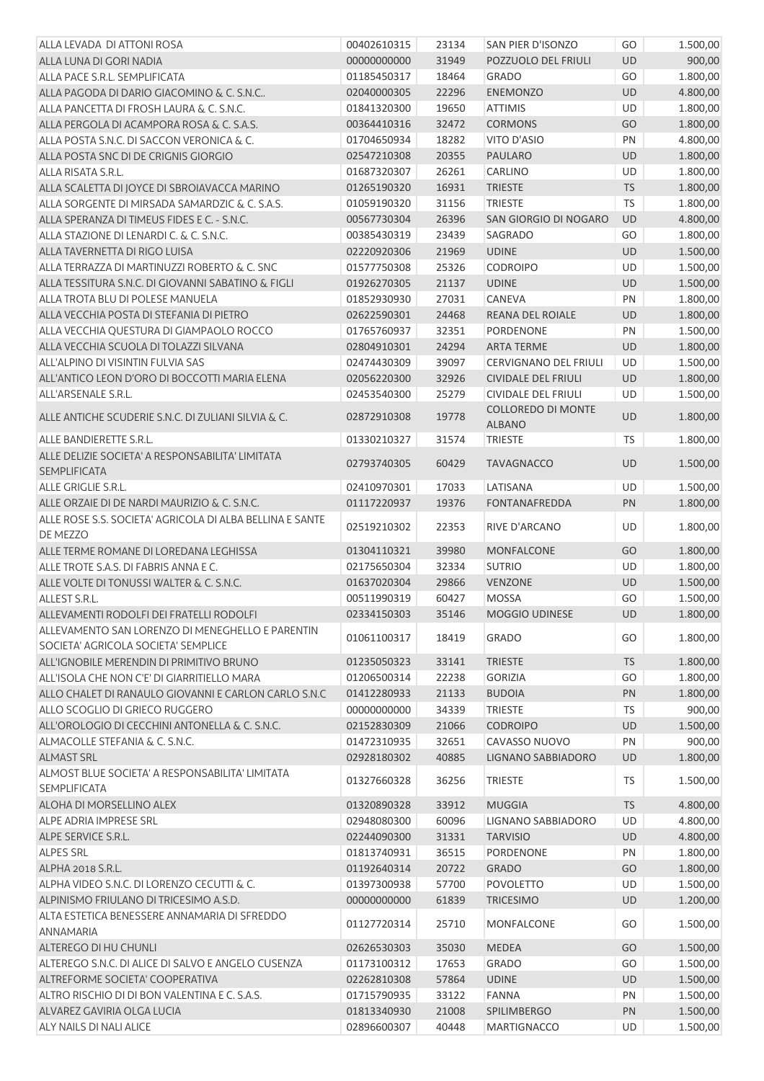| ALLA LEVADA DI ATTONI ROSA                                                              | 00402610315 | 23134 | SAN PIER D'ISONZO            | GO        | 1.500,00 |
|-----------------------------------------------------------------------------------------|-------------|-------|------------------------------|-----------|----------|
| ALLA LUNA DI GORI NADIA                                                                 | 00000000000 | 31949 | POZZUOLO DEL FRIULI          | <b>UD</b> | 900,00   |
| ALLA PACE S.R.L. SEMPLIFICATA                                                           | 01185450317 | 18464 | <b>GRADO</b>                 | GO        | 1.800,00 |
| ALLA PAGODA DI DARIO GIACOMINO & C. S.N.C                                               | 02040000305 | 22296 | <b>ENEMONZO</b>              | <b>UD</b> | 4.800,00 |
| ALLA PANCETTA DI FROSH LAURA & C. S.N.C.                                                | 01841320300 | 19650 | <b>ATTIMIS</b>               | <b>UD</b> | 1.800,00 |
| ALLA PERGOLA DI ACAMPORA ROSA & C. S.A.S.                                               | 00364410316 | 32472 | <b>CORMONS</b>               | GO        | 1.800,00 |
| ALLA POSTA S.N.C. DI SACCON VERONICA & C.                                               | 01704650934 | 18282 | VITO D'ASIO                  | PN        | 4.800,00 |
| ALLA POSTA SNC DI DE CRIGNIS GIORGIO                                                    | 02547210308 | 20355 | <b>PAULARO</b>               | UD        | 1.800,00 |
| ALLA RISATA S.R.L.                                                                      | 01687320307 | 26261 | CARLINO                      | UD        | 1.800,00 |
| ALLA SCALETTA DI JOYCE DI SBROIAVACCA MARINO                                            | 01265190320 | 16931 | <b>TRIESTE</b>               | <b>TS</b> | 1.800,00 |
| ALLA SORGENTE DI MIRSADA SAMARDZIC & C. S.A.S.                                          | 01059190320 | 31156 | <b>TRIESTE</b>               | <b>TS</b> | 1.800,00 |
| ALLA SPERANZA DI TIMEUS FIDES E C. - S.N.C.                                             | 00567730304 | 26396 | SAN GIORGIO DI NOGARO        | UD        | 4.800,00 |
| ALLA STAZIONE DI LENARDI C. & C. S.N.C.                                                 | 00385430319 | 23439 | SAGRADO                      | GO        | 1.800,00 |
| ALLA TAVERNETTA DI RIGO LUISA                                                           | 02220920306 | 21969 | <b>UDINE</b>                 | <b>UD</b> | 1.500,00 |
| ALLA TERRAZZA DI MARTINUZZI ROBERTO & C. SNC                                            | 01577750308 | 25326 | <b>CODROIPO</b>              | UD        | 1.500,00 |
| ALLA TESSITURA S.N.C. DI GIOVANNI SABATINO & FIGLI                                      | 01926270305 | 21137 | <b>UDINE</b>                 | UD        | 1.500,00 |
| ALLA TROTA BLU DI POLESE MANUELA                                                        | 01852930930 | 27031 | CANEVA                       | PN        | 1.800,00 |
| ALLA VECCHIA POSTA DI STEFANIA DI PIETRO                                                | 02622590301 | 24468 | REANA DEL ROIALE             | <b>UD</b> | 1.800,00 |
| ALLA VECCHIA QUESTURA DI GIAMPAOLO ROCCO                                                | 01765760937 | 32351 | PORDENONE                    | PN        | 1.500,00 |
| ALLA VECCHIA SCUOLA DI TOLAZZI SILVANA                                                  | 02804910301 | 24294 | <b>ARTA TERME</b>            | UD        | 1.800,00 |
| ALL'ALPINO DI VISINTIN FULVIA SAS                                                       | 02474430309 | 39097 | <b>CERVIGNANO DEL FRIULI</b> | UD        | 1.500,00 |
| ALL'ANTICO LEON D'ORO DI BOCCOTTI MARIA ELENA                                           | 02056220300 | 32926 | <b>CIVIDALE DEL FRIULI</b>   | UD        | 1.800,00 |
| ALL'ARSENALE S.R.L.                                                                     | 02453540300 | 25279 | <b>CIVIDALE DEL FRIULI</b>   | UD        | 1.500,00 |
|                                                                                         |             |       | COLLOREDO DI MONTE           |           |          |
| ALLE ANTICHE SCUDERIE S.N.C. DI ZULIANI SILVIA & C.                                     | 02872910308 | 19778 | <b>ALBANO</b>                | UD        | 1.800,00 |
| ALLE BANDIERETTE S.R.L.                                                                 | 01330210327 | 31574 | <b>TRIESTE</b>               | <b>TS</b> | 1.800,00 |
| ALLE DELIZIE SOCIETA' A RESPONSABILITA' LIMITATA<br><b>SEMPLIFICATA</b>                 | 02793740305 | 60429 | <b>TAVAGNACCO</b>            | <b>UD</b> | 1.500,00 |
| ALLE GRIGLIE S.R.L.                                                                     | 02410970301 | 17033 | LATISANA                     | UD        | 1.500,00 |
| ALLE ORZAIE DI DE NARDI MAURIZIO & C. S.N.C.                                            | 01117220937 | 19376 | <b>FONTANAFREDDA</b>         | PN        | 1.800,00 |
| ALLE ROSE S.S. SOCIETA' AGRICOLA DI ALBA BELLINA E SANTE<br>DE MEZZO                    | 02519210302 | 22353 | RIVE D'ARCANO                | UD        | 1.800,00 |
| ALLE TERME ROMANE DI LOREDANA LEGHISSA                                                  | 01304110321 | 39980 | <b>MONFALCONE</b>            | GO        | 1.800,00 |
| ALLE TROTE S.A.S. DI FABRIS ANNA E C.                                                   | 02175650304 | 32334 | <b>SUTRIO</b>                | UD        | 1.800,00 |
| ALLE VOLTE DI TONUSSI WALTER & C. S.N.C.                                                | 01637020304 | 29866 | <b>VENZONE</b>               | <b>UD</b> | 1.500,00 |
| ALLEST S.R.L.                                                                           | 00511990319 | 60427 | <b>MOSSA</b>                 | GO        | 1.500,00 |
| ALLEVAMENTI RODOLFI DEI FRATELLI RODOLFI                                                | 02334150303 | 35146 | MOGGIO UDINESE               | UD        | 1.800,00 |
| ALLEVAMENTO SAN LORENZO DI MENEGHELLO E PARENTIN<br>SOCIETA' AGRICOLA SOCIETA' SEMPLICE | 01061100317 | 18419 | <b>GRADO</b>                 | GO        | 1.800,00 |
| ALL'IGNOBILE MERENDIN DI PRIMITIVO BRUNO                                                | 01235050323 | 33141 | <b>TRIESTE</b>               | <b>TS</b> | 1.800,00 |
| ALL'ISOLA CHE NON C'E' DI GIARRITIELLO MARA                                             | 01206500314 | 22238 | <b>GORIZIA</b>               | GO        | 1.800,00 |
| ALLO CHALET DI RANAULO GIOVANNI E CARLON CARLO S.N.C                                    | 01412280933 | 21133 | <b>BUDOIA</b>                | PN        | 1.800,00 |
| ALLO SCOGLIO DI GRIECO RUGGERO                                                          | 00000000000 | 34339 | <b>TRIESTE</b>               | <b>TS</b> | 900,00   |
| ALL'OROLOGIO DI CECCHINI ANTONELLA & C. S.N.C.                                          | 02152830309 | 21066 | <b>CODROIPO</b>              | UD        | 1.500,00 |
| ALMACOLLE STEFANIA & C. S.N.C.                                                          | 01472310935 | 32651 | CAVASSO NUOVO                | PN        | 900,00   |
| <b>ALMAST SRL</b>                                                                       | 02928180302 | 40885 | <b>LIGNANO SABBIADORO</b>    | UD        | 1.800,00 |
| ALMOST BLUE SOCIETA' A RESPONSABILITA' LIMITATA                                         | 01327660328 | 36256 | <b>TRIESTE</b>               | TS        | 1.500,00 |
| <b>SEMPLIFICATA</b>                                                                     |             |       |                              |           |          |
| ALOHA DI MORSELLINO ALEX                                                                | 01320890328 | 33912 | <b>MUGGIA</b>                | <b>TS</b> | 4.800,00 |
| ALPE ADRIA IMPRESE SRL                                                                  | 02948080300 | 60096 | LIGNANO SABBIADORO           | UD        | 4.800,00 |
| ALPE SERVICE S.R.L.                                                                     | 02244090300 | 31331 | <b>TARVISIO</b>              | <b>UD</b> | 4.800,00 |
| <b>ALPES SRL</b>                                                                        | 01813740931 | 36515 | PORDENONE                    | PN        | 1.800,00 |
| ALPHA 2018 S.R.L.                                                                       | 01192640314 | 20722 | <b>GRADO</b>                 | GO        | 1.800,00 |
| ALPHA VIDEO S.N.C. DI LORENZO CECUTTI & C.                                              | 01397300938 | 57700 | POVOLETTO                    | UD        | 1.500,00 |
| ALPINISMO FRIULANO DI TRICESIMO A.S.D.                                                  | 00000000000 | 61839 | <b>TRICESIMO</b>             | <b>UD</b> | 1.200,00 |
| ALTA ESTETICA BENESSERE ANNAMARIA DI SFREDDO                                            | 01127720314 | 25710 | MONFALCONE                   | GO        | 1.500,00 |
| ANNAMARIA<br>ALTEREGO DI HU CHUNLI                                                      | 02626530303 | 35030 | <b>MEDEA</b>                 | GO        | 1.500,00 |
| ALTEREGO S.N.C. DI ALICE DI SALVO E ANGELO CUSENZA                                      | 01173100312 | 17653 | <b>GRADO</b>                 | GO        | 1.500,00 |
| ALTREFORME SOCIETA' COOPERATIVA                                                         | 02262810308 | 57864 | <b>UDINE</b>                 | UD        | 1.500,00 |
| ALTRO RISCHIO DI DI BON VALENTINA E C. S.A.S.                                           | 01715790935 | 33122 | <b>FANNA</b>                 | PN        | 1.500,00 |
| ALVAREZ GAVIRIA OLGA LUCIA                                                              | 01813340930 | 21008 | SPILIMBERGO                  | PN        | 1.500,00 |
| ALY NAILS DI NALI ALICE                                                                 | 02896600307 | 40448 | <b>MARTIGNACCO</b>           | UD        | 1.500,00 |
|                                                                                         |             |       |                              |           |          |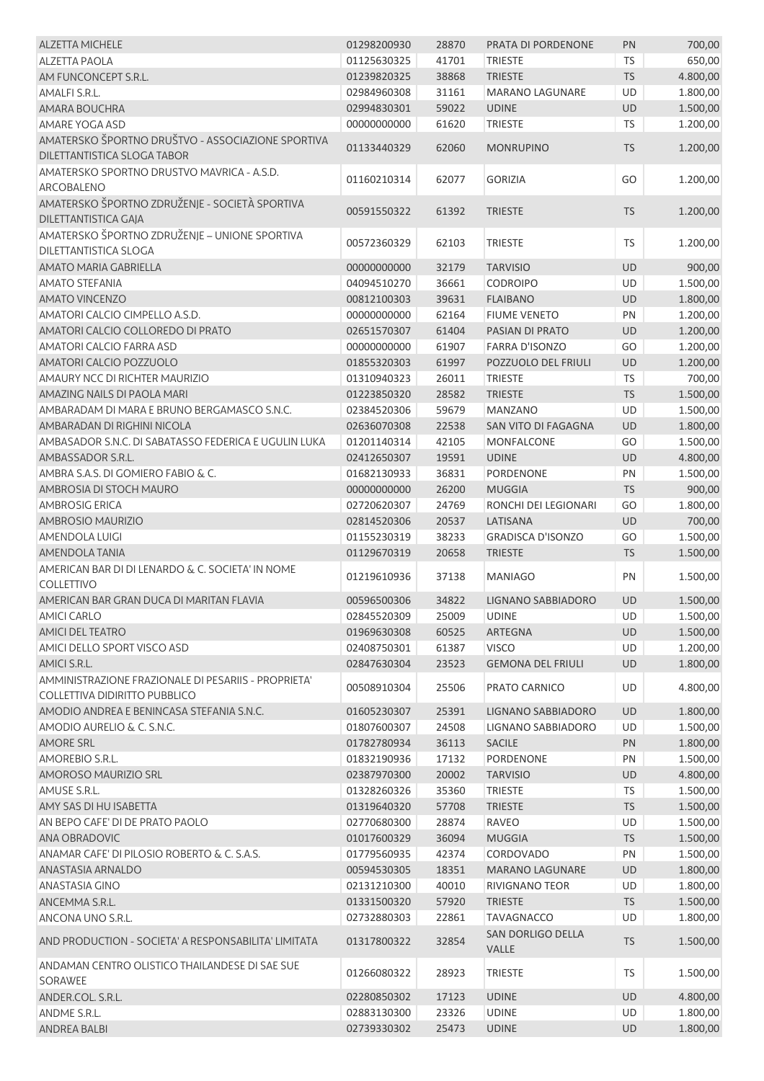| <b>ALZETTA MICHELE</b>                                    | 01298200930 | 28870 | PRATA DI PORDENONE         | PN        | 700,00   |
|-----------------------------------------------------------|-------------|-------|----------------------------|-----------|----------|
| <b>ALZETTA PAOLA</b>                                      | 01125630325 | 41701 | <b>TRIESTE</b>             | <b>TS</b> | 650,00   |
| AM FUNCONCEPT S.R.L.                                      | 01239820325 | 38868 | <b>TRIESTE</b>             | <b>TS</b> | 4.800,00 |
| AMALFI S.R.L.                                             | 02984960308 | 31161 | <b>MARANO LAGUNARE</b>     | <b>UD</b> | 1.800,00 |
| AMARA BOUCHRA                                             | 02994830301 | 59022 | <b>UDINE</b>               | UD        | 1.500,00 |
| AMARE YOGA ASD                                            | 00000000000 | 61620 | <b>TRIESTE</b>             | TS        | 1.200,00 |
| AMATERSKO ŠPORTNO DRUŠTVO - ASSOCIAZIONE SPORTIVA         |             |       |                            |           |          |
| DILETTANTISTICA SLOGA TABOR                               | 01133440329 | 62060 | <b>MONRUPINO</b>           | <b>TS</b> | 1.200,00 |
| AMATERSKO SPORTNO DRUSTVO MAVRICA - A.S.D.                |             |       |                            |           |          |
| ARCOBALENO                                                | 01160210314 | 62077 | <b>GORIZIA</b>             | GO        | 1.200,00 |
| AMATERSKO ŠPORTNO ZDRUŽENJE - SOCIETÀ SPORTIVA            |             |       |                            |           |          |
| DILETTANTISTICA GAJA                                      | 00591550322 | 61392 | <b>TRIESTE</b>             | <b>TS</b> | 1.200,00 |
| AMATERSKO ŠPORTNO ZDRUŽENJE - UNIONE SPORTIVA             |             |       |                            |           |          |
| DILETTANTISTICA SLOGA                                     | 00572360329 | 62103 | <b>TRIESTE</b>             | <b>TS</b> | 1.200,00 |
| AMATO MARIA GABRIELLA                                     | 00000000000 | 32179 | <b>TARVISIO</b>            | UD        | 900,00   |
| <b>AMATO STEFANIA</b>                                     | 04094510270 | 36661 | <b>CODROIPO</b>            | UD        | 1.500,00 |
| <b>AMATO VINCENZO</b>                                     | 00812100303 | 39631 | <b>FLAIBANO</b>            | UD        | 1.800,00 |
| AMATORI CALCIO CIMPELLO A.S.D.                            | 00000000000 | 62164 | <b>FIUME VENETO</b>        | PN        | 1.200,00 |
| AMATORI CALCIO COLLOREDO DI PRATO                         | 02651570307 | 61404 | PASIAN DI PRATO            | UD        | 1.200,00 |
| <b>AMATORI CALCIO FARRA ASD</b>                           | 00000000000 | 61907 | <b>FARRA D'ISONZO</b>      | GO        | 1.200,00 |
| AMATORI CALCIO POZZUOLO                                   | 01855320303 | 61997 | POZZUOLO DEL FRIULI        | UD        | 1.200,00 |
| AMAURY NCC DI RICHTER MAURIZIO                            | 01310940323 | 26011 | <b>TRIESTE</b>             | TS        | 700,00   |
| AMAZING NAILS DI PAOLA MARI                               | 01223850320 | 28582 | <b>TRIESTE</b>             | <b>TS</b> | 1.500,00 |
| AMBARADAM DI MARA E BRUNO BERGAMASCO S.N.C.               | 02384520306 | 59679 | <b>MANZANO</b>             | UD        | 1.500,00 |
| AMBARADAN DI RIGHINI NICOLA                               | 02636070308 | 22538 | SAN VITO DI FAGAGNA        | UD        | 1.800,00 |
| AMBASADOR S.N.C. DI SABATASSO FEDERICA E UGULIN LUKA      | 01201140314 | 42105 | MONFALCONE                 | GO        | 1.500,00 |
| AMBASSADOR S.R.L.                                         | 02412650307 | 19591 | <b>UDINE</b>               | UD        | 4.800,00 |
| AMBRA S.A.S. DI GOMIERO FABIO & C.                        | 01682130933 | 36831 | PORDENONE                  | PN        | 1.500,00 |
| AMBROSIA DI STOCH MAURO                                   | 00000000000 | 26200 | <b>MUGGIA</b>              | <b>TS</b> | 900,00   |
| <b>AMBROSIG ERICA</b>                                     | 02720620307 | 24769 | RONCHI DEI LEGIONARI       | GO        | 1.800,00 |
| AMBROSIO MAURIZIO                                         | 02814520306 | 20537 | LATISANA                   | UD        | 700,00   |
| <b>AMENDOLA LUIGI</b>                                     | 01155230319 | 38233 | <b>GRADISCA D'ISONZO</b>   | GO        | 1.500,00 |
| <b>AMENDOLA TANIA</b>                                     | 01129670319 | 20658 | <b>TRIESTE</b>             | <b>TS</b> | 1.500,00 |
| AMERICAN BAR DI DI LENARDO & C. SOCIETA' IN NOME          |             |       |                            |           |          |
| <b>COLLETTIVO</b>                                         | 01219610936 | 37138 | <b>MANIAGO</b>             | PN        | 1.500,00 |
| AMERICAN BAR GRAN DUCA DI MARITAN FLAVIA                  | 00596500306 | 34822 | LIGNANO SABBIADORO         | <b>UD</b> | 1.500,00 |
| <b>AMICI CARLO</b>                                        | 02845520309 | 25009 | <b>UDINE</b>               |           | 1.500,00 |
| <b>AMICI DEL TEATRO</b>                                   | 01969630308 | 60525 | ARTEGNA                    | UD.<br>UD | 1.500,00 |
| AMICI DELLO SPORT VISCO ASD                               | 02408750301 | 61387 | <b>VISCO</b>               | UD        | 1.200,00 |
| AMICI S.R.L.                                              | 02847630304 | 23523 | <b>GEMONA DEL FRIULI</b>   | UD        | 1.800,00 |
| AMMINISTRAZIONE FRAZIONALE DI PESARIIS - PROPRIETA'       |             |       |                            |           |          |
| COLLETTIVA DIDIRITTO PUBBLICO                             | 00508910304 | 25506 | PRATO CARNICO              | UD        | 4.800,00 |
| AMODIO ANDREA E BENINCASA STEFANIA S.N.C.                 | 01605230307 | 25391 | LIGNANO SABBIADORO         | UD        | 1.800,00 |
| AMODIO AURELIO & C. S.N.C.                                | 01807600307 | 24508 | LIGNANO SABBIADORO         | UD        | 1.500,00 |
| <b>AMORE SRL</b>                                          | 01782780934 | 36113 | <b>SACILE</b>              | PN        | 1.800,00 |
| AMOREBIO S.R.L.                                           | 01832190936 | 17132 | PORDENONE                  | PN        | 1.500,00 |
| AMOROSO MAURIZIO SRL                                      | 02387970300 | 20002 | <b>TARVISIO</b>            | UD        | 4.800,00 |
| AMUSE S.R.L.                                              | 01328260326 | 35360 | <b>TRIESTE</b>             | <b>TS</b> | 1.500,00 |
| AMY SAS DI HU ISABETTA                                    | 01319640320 | 57708 | <b>TRIESTE</b>             | <b>TS</b> | 1.500,00 |
| AN BEPO CAFE' DI DE PRATO PAOLO                           | 02770680300 | 28874 | RAVEO                      | UD        | 1.500,00 |
| ANA OBRADOVIC                                             |             |       |                            |           |          |
|                                                           | 01017600329 | 36094 | <b>MUGGIA</b>              | <b>TS</b> | 1.500,00 |
| ANAMAR CAFE' DI PILOSIO ROBERTO & C. S.A.S.               | 01779560935 | 42374 | CORDOVADO                  | PN        | 1.500,00 |
| ANASTASIA ARNALDO                                         | 00594530305 | 18351 | <b>MARANO LAGUNARE</b>     | UD        | 1.800,00 |
| <b>ANASTASIA GINO</b>                                     | 02131210300 | 40010 | RIVIGNANO TEOR             | UD        | 1.800,00 |
| ANCEMMA S.R.L.                                            | 01331500320 | 57920 | <b>TRIESTE</b>             | TS        | 1.500,00 |
| ANCONA UNO S.R.L.                                         | 02732880303 | 22861 | <b>TAVAGNACCO</b>          | UD        | 1.800,00 |
| AND PRODUCTION - SOCIETA' A RESPONSABILITA' LIMITATA      | 01317800322 | 32854 | SAN DORLIGO DELLA<br>VALLE | <b>TS</b> | 1.500,00 |
| ANDAMAN CENTRO OLISTICO THAILANDESE DI SAE SUE<br>SORAWEE | 01266080322 | 28923 | <b>TRIESTE</b>             | TS        | 1.500,00 |
| ANDER.COL. S.R.L.                                         | 02280850302 | 17123 | <b>UDINE</b>               | UD        | 4.800,00 |
| ANDME S.R.L.                                              | 02883130300 | 23326 | <b>UDINE</b>               | UD        | 1.800,00 |
| ANDREA BALBI                                              | 02739330302 | 25473 | <b>UDINE</b>               | UD        | 1.800,00 |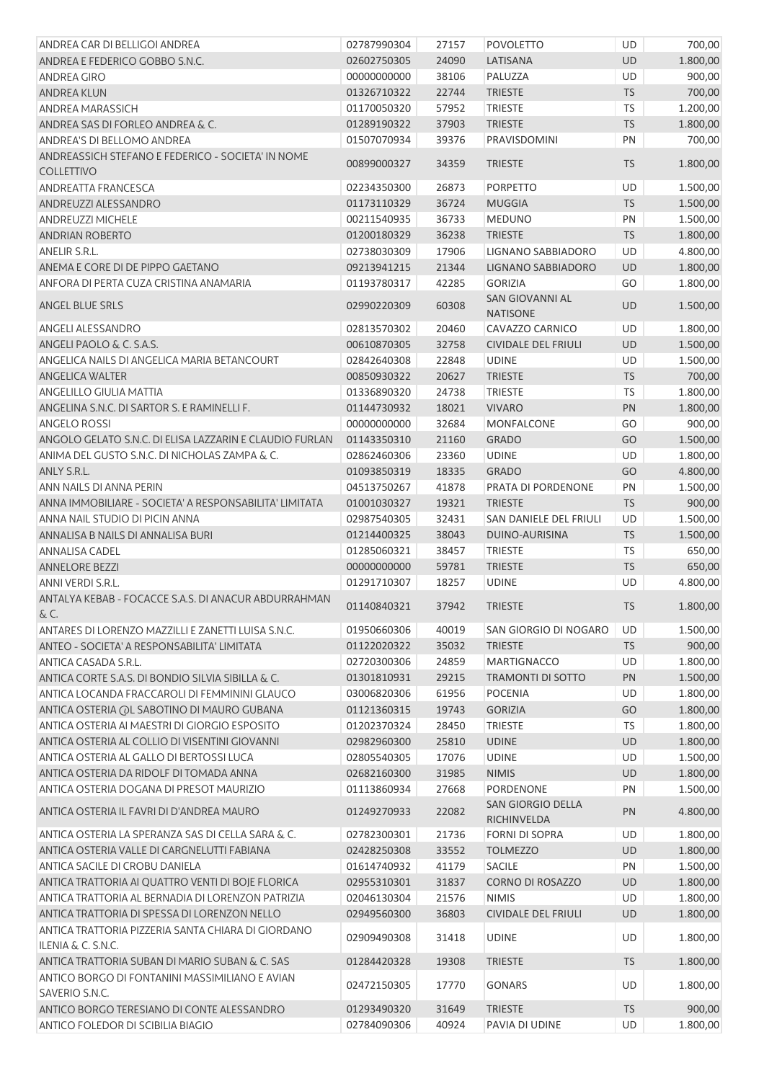| ANDREA CAR DI BELLIGOI ANDREA                                            | 02787990304 | 27157 | <b>POVOLETTO</b>                          | UD        | 700,00   |
|--------------------------------------------------------------------------|-------------|-------|-------------------------------------------|-----------|----------|
| ANDREA E FEDERICO GOBBO S.N.C.                                           | 02602750305 | 24090 | LATISANA                                  | <b>UD</b> | 1.800,00 |
| <b>ANDREA GIRO</b>                                                       | 00000000000 | 38106 | PALUZZA                                   | UD        | 900,00   |
| <b>ANDREA KLUN</b>                                                       | 01326710322 | 22744 | <b>TRIESTE</b>                            | <b>TS</b> | 700,00   |
| <b>ANDREA MARASSICH</b>                                                  | 01170050320 | 57952 | <b>TRIESTE</b>                            | <b>TS</b> | 1.200,00 |
| ANDREA SAS DI FORLEO ANDREA & C.                                         | 01289190322 | 37903 | <b>TRIESTE</b>                            | <b>TS</b> | 1.800,00 |
| ANDREA'S DI BELLOMO ANDREA                                               | 01507070934 | 39376 | PRAVISDOMINI                              | PN        | 700,00   |
| ANDREASSICH STEFANO E FEDERICO - SOCIETA' IN NOME<br><b>COLLETTIVO</b>   | 00899000327 | 34359 | <b>TRIESTE</b>                            | <b>TS</b> | 1.800,00 |
| ANDREATTA FRANCESCA                                                      | 02234350300 | 26873 | <b>PORPETTO</b>                           | UD        | 1.500,00 |
| ANDREUZZI ALESSANDRO                                                     | 01173110329 | 36724 | <b>MUGGIA</b>                             | TS        | 1.500,00 |
| <b>ANDREUZZI MICHELE</b>                                                 | 00211540935 | 36733 | <b>MEDUNO</b>                             | PN        | 1.500,00 |
| <b>ANDRIAN ROBERTO</b>                                                   | 01200180329 | 36238 | <b>TRIESTE</b>                            | <b>TS</b> | 1.800,00 |
| <b>ANELIR S.R.L.</b>                                                     | 02738030309 | 17906 | LIGNANO SABBIADORO                        | UD        | 4.800,00 |
| ANEMA E CORE DI DE PIPPO GAETANO                                         | 09213941215 | 21344 | LIGNANO SABBIADORO                        | UD        | 1.800,00 |
| ANFORA DI PERTA CUZA CRISTINA ANAMARIA                                   | 01193780317 | 42285 | <b>GORIZIA</b>                            | GO        | 1.800,00 |
| ANGEL BLUE SRLS                                                          | 02990220309 | 60308 | <b>SAN GIOVANNI AL</b><br><b>NATISONE</b> | UD        | 1.500,00 |
| <b>ANGELI ALESSANDRO</b>                                                 | 02813570302 | 20460 | CAVAZZO CARNICO                           | UD        | 1.800,00 |
| ANGELI PAOLO & C. S.A.S.                                                 | 00610870305 | 32758 | <b>CIVIDALE DEL FRIULI</b>                | UD        | 1.500,00 |
| ANGELICA NAILS DI ANGELICA MARIA BETANCOURT                              | 02842640308 | 22848 | <b>UDINE</b>                              | UD        | 1.500,00 |
| <b>ANGELICA WALTER</b>                                                   | 00850930322 | 20627 | <b>TRIESTE</b>                            | <b>TS</b> | 700,00   |
| <b>ANGELILLO GIULIA MATTIA</b>                                           | 01336890320 | 24738 | <b>TRIESTE</b>                            | <b>TS</b> |          |
| ANGELINA S.N.C. DI SARTOR S. E RAMINELLI F.                              | 01144730932 | 18021 | <b>VIVARO</b>                             | PN        | 1.800,00 |
| <b>ANGELO ROSSI</b>                                                      |             |       |                                           |           | 1.800,00 |
| ANGOLO GELATO S.N.C. DI ELISA LAZZARIN E CLAUDIO FURLAN                  | 00000000000 | 32684 | <b>MONFALCONE</b>                         | GO        | 900,00   |
|                                                                          | 01143350310 | 21160 | <b>GRADO</b>                              | GO        | 1.500,00 |
| ANIMA DEL GUSTO S.N.C. DI NICHOLAS ZAMPA & C.                            | 02862460306 | 23360 | <b>UDINE</b>                              | UD        | 1.800,00 |
| ANLY S.R.L.                                                              | 01093850319 | 18335 | <b>GRADO</b>                              | GO        | 4.800,00 |
| ANN NAILS DI ANNA PERIN                                                  | 04513750267 | 41878 | PRATA DI PORDENONE                        | PN        | 1.500,00 |
| ANNA IMMOBILIARE - SOCIETA' A RESPONSABILITA' LIMITATA                   | 01001030327 | 19321 | <b>TRIESTE</b>                            | <b>TS</b> | 900,00   |
| ANNA NAIL STUDIO DI PICIN ANNA                                           | 02987540305 | 32431 | SAN DANIELE DEL FRIULI                    | UD        | 1.500,00 |
| ANNALISA B NAILS DI ANNALISA BURI                                        | 01214400325 | 38043 | DUINO-AURISINA                            | <b>TS</b> | 1.500,00 |
| <b>ANNALISA CADEL</b>                                                    | 01285060321 | 38457 | <b>TRIESTE</b>                            | TS        | 650,00   |
| <b>ANNELORE BEZZI</b>                                                    | 00000000000 | 59781 | <b>TRIESTE</b>                            | TS        | 650,00   |
| ANNI VERDI S.R.L.                                                        | 01291710307 | 18257 | <b>UDINE</b>                              | <b>UD</b> | 4.800,00 |
| ANTALYA KEBAB - FOCACCE S.A.S. DI ANACUR ABDURRAHMAN<br>& C.             | 01140840321 | 37942 | <b>TRIESTE</b>                            | <b>TS</b> | 1.800,00 |
| ANTARES DI LORENZO MAZZILLI E ZANETTI LUISA S.N.C.                       | 01950660306 | 40019 | SAN GIORGIO DI NOGARO                     | UD        | 1.500,00 |
| ANTEO - SOCIETA' A RESPONSABILITA' LIMITATA                              | 01122020322 | 35032 | <b>TRIESTE</b>                            | <b>TS</b> | 900,00   |
| ANTICA CASADA S.R.L.                                                     | 02720300306 | 24859 | <b>MARTIGNACCO</b>                        | <b>UD</b> | 1.800,00 |
| ANTICA CORTE S.A.S. DI BONDIO SILVIA SIBILLA & C.                        | 01301810931 | 29215 | <b>TRAMONTI DI SOTTO</b>                  | PN        | 1.500,00 |
| ANTICA LOCANDA FRACCAROLI DI FEMMININI GLAUCO                            | 03006820306 | 61956 | <b>POCENIA</b>                            | UD        | 1.800,00 |
| ANTICA OSTERIA (OL SABOTINO DI MAURO GUBANA                              | 01121360315 | 19743 | <b>GORIZIA</b>                            | GO        | 1.800,00 |
| ANTICA OSTERIA AI MAESTRI DI GIORGIO ESPOSITO                            | 01202370324 | 28450 | <b>TRIESTE</b>                            | TS        | 1.800,00 |
| ANTICA OSTERIA AL COLLIO DI VISENTINI GIOVANNI                           | 02982960300 | 25810 | <b>UDINE</b>                              | UD        | 1.800,00 |
| ANTICA OSTERIA AL GALLO DI BERTOSSI LUCA                                 | 02805540305 | 17076 | <b>UDINE</b>                              | UD        | 1.500,00 |
| ANTICA OSTERIA DA RIDOLF DI TOMADA ANNA                                  | 02682160300 | 31985 | <b>NIMIS</b>                              | <b>UD</b> | 1.800,00 |
| ANTICA OSTERIA DOGANA DI PRESOT MAURIZIO                                 | 01113860934 | 27668 | PORDENONE                                 | PN        | 1.500,00 |
| ANTICA OSTERIA IL FAVRI DI D'ANDREA MAURO                                | 01249270933 | 22082 | <b>SAN GIORGIO DELLA</b><br>RICHINVELDA   | PN        | 4.800,00 |
| ANTICA OSTERIA LA SPERANZA SAS DI CELLA SARA & C.                        | 02782300301 | 21736 | <b>FORNI DI SOPRA</b>                     | UD        | 1.800,00 |
| ANTICA OSTERIA VALLE DI CARGNELUTTI FABIANA                              | 02428250308 | 33552 | <b>TOLMEZZO</b>                           | UD        | 1.800,00 |
| ANTICA SACILE DI CROBU DANIELA                                           | 01614740932 | 41179 | <b>SACILE</b>                             | PN        | 1.500,00 |
| ANTICA TRATTORIA AI QUATTRO VENTI DI BOJE FLORICA                        | 02955310301 | 31837 | CORNO DI ROSAZZO                          | UD        | 1.800,00 |
| ANTICA TRATTORIA AL BERNADIA DI LORENZON PATRIZIA                        | 02046130304 | 21576 | <b>NIMIS</b>                              | UD        | 1.800,00 |
| ANTICA TRATTORIA DI SPESSA DI LORENZON NELLO                             | 02949560300 | 36803 | <b>CIVIDALE DEL FRIULI</b>                | UD        | 1.800,00 |
| ANTICA TRATTORIA PIZZERIA SANTA CHIARA DI GIORDANO<br>ILENIA & C. S.N.C. | 02909490308 | 31418 | <b>UDINE</b>                              | UD        | 1.800,00 |
| ANTICA TRATTORIA SUBAN DI MARIO SUBAN & C. SAS                           | 01284420328 | 19308 | <b>TRIESTE</b>                            | <b>TS</b> | 1.800,00 |
| ANTICO BORGO DI FONTANINI MASSIMILIANO E AVIAN                           | 02472150305 | 17770 | <b>GONARS</b>                             | UD        | 1.800,00 |
| SAVERIO S.N.C.                                                           |             |       |                                           |           |          |
| ANTICO BORGO TERESIANO DI CONTE ALESSANDRO                               | 01293490320 | 31649 | <b>TRIESTE</b>                            | <b>TS</b> | 900,00   |
| ANTICO FOLEDOR DI SCIBILIA BIAGIO                                        | 02784090306 | 40924 | PAVIA DI UDINE                            | UD        | 1.800,00 |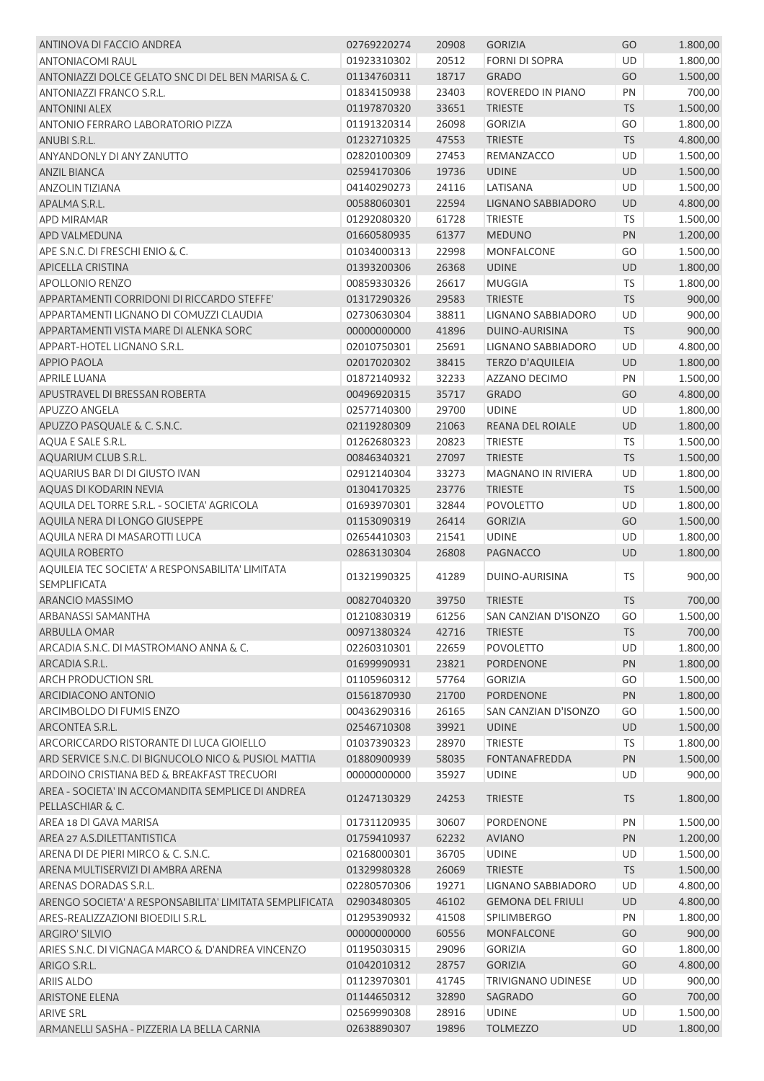| ANTINOVA DI FACCIO ANDREA                               | 02769220274 | 20908 | <b>GORIZIA</b>            | GO        | 1.800,00 |
|---------------------------------------------------------|-------------|-------|---------------------------|-----------|----------|
| <b>ANTONIACOMI RAUL</b>                                 | 01923310302 | 20512 | <b>FORNI DI SOPRA</b>     | UD        | 1.800,00 |
| ANTONIAZZI DOLCE GELATO SNC DI DEL BEN MARISA & C.      | 01134760311 | 18717 | <b>GRADO</b>              | GO        | 1.500,00 |
| ANTONIAZZI FRANCO S.R.L.                                | 01834150938 | 23403 | ROVEREDO IN PIANO         | PN        | 700,00   |
| <b>ANTONINI ALEX</b>                                    | 01197870320 | 33651 | <b>TRIESTE</b>            | <b>TS</b> | 1.500,00 |
| ANTONIO FERRARO LABORATORIO PIZZA                       | 01191320314 | 26098 | <b>GORIZIA</b>            | GO        | 1.800,00 |
| ANUBI S.R.L.                                            | 01232710325 | 47553 | <b>TRIESTE</b>            | <b>TS</b> | 4.800,00 |
| <b>ANYANDONLY DI ANY ZANUTTO</b>                        | 02820100309 | 27453 | REMANZACCO                | UD        | 1.500,00 |
| <b>ANZIL BIANCA</b>                                     | 02594170306 | 19736 | <b>UDINE</b>              | UD        | 1.500,00 |
| <b>ANZOLIN TIZIANA</b>                                  | 04140290273 | 24116 | LATISANA                  | UD        | 1.500,00 |
| APALMA S.R.L.                                           | 00588060301 | 22594 | LIGNANO SABBIADORO        | UD        | 4.800,00 |
| <b>APD MIRAMAR</b>                                      | 01292080320 | 61728 | <b>TRIESTE</b>            | <b>TS</b> | 1.500,00 |
| APD VALMEDUNA                                           | 01660580935 | 61377 | <b>MEDUNO</b>             | PN        | 1.200,00 |
| APE S.N.C. DI FRESCHI ENIO & C.                         | 01034000313 | 22998 | <b>MONFALCONE</b>         | GO        | 1.500,00 |
| APICELLA CRISTINA                                       | 01393200306 | 26368 | <b>UDINE</b>              | UD        | 1.800,00 |
| <b>APOLLONIO RENZO</b>                                  | 00859330326 | 26617 | <b>MUGGIA</b>             | <b>TS</b> | 1.800,00 |
| APPARTAMENTI CORRIDONI DI RICCARDO STEFFE'              | 01317290326 | 29583 | <b>TRIESTE</b>            | <b>TS</b> | 900,00   |
| APPARTAMENTI LIGNANO DI COMUZZI CLAUDIA                 | 02730630304 | 38811 | LIGNANO SABBIADORO        | UD        | 900,00   |
| APPARTAMENTI VISTA MARE DI ALENKA SORC                  | 00000000000 | 41896 | DUINO-AURISINA            | <b>TS</b> | 900,00   |
| APPART-HOTEL LIGNANO S.R.L.                             | 02010750301 | 25691 | LIGNANO SABBIADORO        | UD        | 4.800,00 |
| <b>APPIO PAOLA</b>                                      | 02017020302 | 38415 | <b>TERZO D'AQUILEIA</b>   | UD        | 1.800,00 |
| <b>APRILE LUANA</b>                                     | 01872140932 | 32233 | AZZANO DECIMO             | PN        | 1.500,00 |
| APUSTRAVEL DI BRESSAN ROBERTA                           | 00496920315 | 35717 | <b>GRADO</b>              | GO        | 4.800,00 |
| <b>APUZZO ANGELA</b>                                    |             |       | <b>UDINE</b>              | UD        |          |
|                                                         | 02577140300 | 29700 |                           |           | 1.800,00 |
| APUZZO PASQUALE & C. S.N.C.                             | 02119280309 | 21063 | REANA DEL ROIALE          | UD        | 1.800,00 |
| AQUA E SALE S.R.L.                                      | 01262680323 | 20823 | <b>TRIESTE</b>            | TS        | 1.500,00 |
| AQUARIUM CLUB S.R.L.                                    | 00846340321 | 27097 | <b>TRIESTE</b>            | <b>TS</b> | 1.500,00 |
| AQUARIUS BAR DI DI GIUSTO IVAN                          | 02912140304 | 33273 | MAGNANO IN RIVIERA        | UD        | 1.800,00 |
| AQUAS DI KODARIN NEVIA                                  | 01304170325 | 23776 | <b>TRIESTE</b>            | <b>TS</b> | 1.500,00 |
| AQUILA DEL TORRE S.R.L. - SOCIETA' AGRICOLA             | 01693970301 | 32844 | <b>POVOLETTO</b>          | UD        | 1.800,00 |
| AQUILA NERA DI LONGO GIUSEPPE                           | 01153090319 | 26414 | <b>GORIZIA</b>            | GO        | 1.500,00 |
| AQUILA NERA DI MASAROTTI LUCA                           | 02654410303 | 21541 | <b>UDINE</b>              | UD        | 1.800,00 |
| <b>AQUILA ROBERTO</b>                                   | 02863130304 | 26808 | <b>PAGNACCO</b>           | UD        | 1.800,00 |
| AQUILEIA TEC SOCIETA' A RESPONSABILITA' LIMITATA        | 01321990325 | 41289 | DUINO-AURISINA            | <b>TS</b> | 900,00   |
| SEMPLIFICATA                                            |             |       |                           |           |          |
| ARANCIO MASSIMO                                         | 00827040320 | 39750 | <b>TRIESTE</b>            | <b>TS</b> | 700,00   |
| ARBANASSI SAMANTHA                                      | 01210830319 | 61256 | SAN CANZIAN D'ISONZO      | GO        | 1.500,00 |
| ARBULLA OMAR                                            | 00971380324 | 42716 | <b>TRIESTE</b>            | <b>TS</b> | 700,00   |
| ARCADIA S.N.C. DI MASTROMANO ANNA & C.                  | 02260310301 | 22659 | POVOLETTO                 | UD        | 1.800,00 |
| ARCADIA S.R.L.                                          | 01699990931 | 23821 | PORDENONE                 | PN        | 1.800,00 |
| <b>ARCH PRODUCTION SRL</b>                              | 01105960312 | 57764 | <b>GORIZIA</b>            | GO        | 1.500,00 |
| ARCIDIACONO ANTONIO                                     | 01561870930 | 21700 | <b>PORDENONE</b>          | PN        | 1.800,00 |
| <b>ARCIMBOLDO DI FUMIS ENZO</b>                         | 00436290316 | 26165 | SAN CANZIAN D'ISONZO      | GO        | 1.500,00 |
| ARCONTEA S.R.L.                                         | 02546710308 | 39921 | <b>UDINE</b>              | UD        | 1.500,00 |
| ARCORICCARDO RISTORANTE DI LUCA GIOIELLO                | 01037390323 | 28970 | <b>TRIESTE</b>            | <b>TS</b> | 1.800,00 |
| ARD SERVICE S.N.C. DI BIGNUCOLO NICO & PUSIOL MATTIA    | 01880900939 | 58035 | <b>FONTANAFREDDA</b>      | PN        | 1.500,00 |
| ARDOINO CRISTIANA BED & BREAKFAST TRECUORI              | 00000000000 | 35927 | <b>UDINE</b>              | <b>UD</b> | 900,00   |
| AREA - SOCIETA' IN ACCOMANDITA SEMPLICE DI ANDREA       |             |       |                           |           |          |
| PELLASCHIAR & C.                                        | 01247130329 | 24253 | <b>TRIESTE</b>            | <b>TS</b> | 1.800,00 |
| AREA 18 DI GAVA MARISA                                  | 01731120935 | 30607 | PORDENONE                 | PN        | 1.500,00 |
| AREA 27 A.S.DILETTANTISTICA                             | 01759410937 | 62232 | <b>AVIANO</b>             | PN        | 1.200,00 |
| ARENA DI DE PIERI MIRCO & C. S.N.C.                     | 02168000301 | 36705 | <b>UDINE</b>              | UD        | 1.500,00 |
| ARENA MULTISERVIZI DI AMBRA ARENA                       | 01329980328 | 26069 | <b>TRIESTE</b>            | <b>TS</b> | 1.500,00 |
| ARENAS DORADAS S.R.L.                                   | 02280570306 | 19271 | LIGNANO SABBIADORO        | UD        | 4.800,00 |
| ARENGO SOCIETA' A RESPONSABILITA' LIMITATA SEMPLIFICATA | 02903480305 | 46102 | <b>GEMONA DEL FRIULI</b>  | UD        | 4.800,00 |
| ARES-REALIZZAZIONI BIOEDILI S.R.L.                      | 01295390932 | 41508 | <b>SPILIMBERGO</b>        | PN        | 1.800,00 |
| <b>ARGIRO' SILVIO</b>                                   | 00000000000 | 60556 | <b>MONFALCONE</b>         | GO        | 900,00   |
| ARIES S.N.C. DI VIGNAGA MARCO & D'ANDREA VINCENZO       | 01195030315 | 29096 | <b>GORIZIA</b>            | GO        | 1.800,00 |
| ARIGO S.R.L.                                            | 01042010312 | 28757 | <b>GORIZIA</b>            | GO        | 4.800,00 |
| ARIIS ALDO                                              | 01123970301 | 41745 | <b>TRIVIGNANO UDINESE</b> | UD        | 900,00   |
| <b>ARISTONE ELENA</b>                                   | 01144650312 | 32890 | SAGRADO                   | GO        | 700,00   |
| <b>ARIVE SRL</b>                                        | 02569990308 | 28916 | <b>UDINE</b>              | UD        | 1.500,00 |
| ARMANELLI SASHA - PIZZERIA LA BELLA CARNIA              | 02638890307 | 19896 | <b>TOLMEZZO</b>           | UD        | 1.800,00 |
|                                                         |             |       |                           |           |          |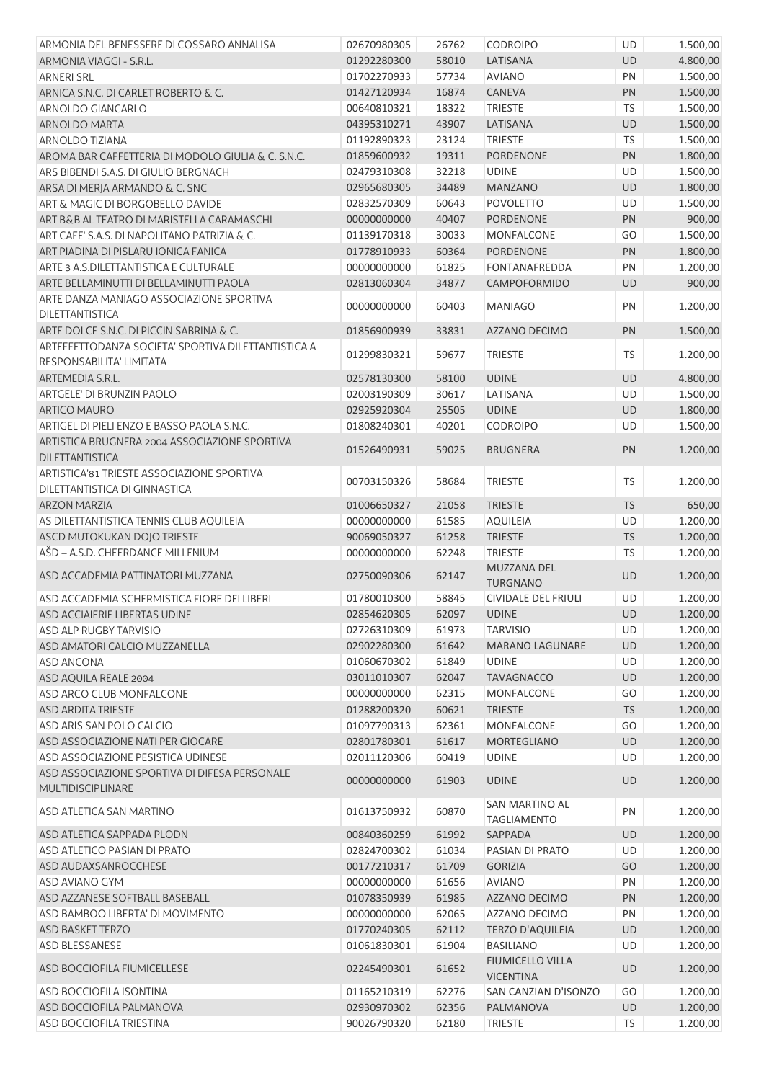| ARMONIA DEL BENESSERE DI COSSARO ANNALISA                                   | 02670980305 | 26762 | <b>CODROIPO</b>                             | UD        | 1.500,00 |
|-----------------------------------------------------------------------------|-------------|-------|---------------------------------------------|-----------|----------|
| ARMONIA VIAGGI - S.R.L.                                                     | 01292280300 | 58010 | LATISANA                                    | <b>UD</b> | 4.800,00 |
| <b>ARNERI SRL</b>                                                           | 01702270933 | 57734 | <b>AVIANO</b>                               | PN        | 1.500,00 |
| ARNICA S.N.C. DI CARLET ROBERTO & C.                                        | 01427120934 | 16874 | <b>CANEVA</b>                               | PN        | 1.500,00 |
| ARNOLDO GIANCARLO                                                           | 00640810321 | 18322 | <b>TRIESTE</b>                              | <b>TS</b> | 1.500,00 |
| ARNOLDO MARTA                                                               | 04395310271 | 43907 | LATISANA                                    | UD        | 1.500,00 |
| <b>ARNOLDO TIZIANA</b>                                                      | 01192890323 | 23124 | <b>TRIESTE</b>                              | TS        | 1.500,00 |
| AROMA BAR CAFFETTERIA DI MODOLO GIULIA & C. S.N.C.                          | 01859600932 | 19311 | PORDENONE                                   | PN        | 1.800,00 |
| ARS BIBENDI S.A.S. DI GIULIO BERGNACH                                       | 02479310308 | 32218 | <b>UDINE</b>                                | UD        | 1.500,00 |
| ARSA DI MERJA ARMANDO & C. SNC                                              | 02965680305 | 34489 | <b>MANZANO</b>                              | UD        | 1.800,00 |
| ART & MAGIC DI BORGOBELLO DAVIDE                                            | 02832570309 | 60643 | <b>POVOLETTO</b>                            | UD        | 1.500,00 |
| ART B&B AL TEATRO DI MARISTELLA CARAMASCHI                                  | 00000000000 | 40407 | <b>PORDENONE</b>                            | PN        | 900,00   |
| ART CAFE' S.A.S. DI NAPOLITANO PATRIZIA & C.                                | 01139170318 | 30033 | <b>MONFALCONE</b>                           | GO        | 1.500,00 |
| ART PIADINA DI PISLARU IONICA FANICA                                        | 01778910933 | 60364 | PORDENONE                                   | PN        | 1.800,00 |
| ARTE 3 A.S.DILETTANTISTICA E CULTURALE                                      | 00000000000 | 61825 | <b>FONTANAFREDDA</b>                        | PN        | 1.200,00 |
| ARTE BELLAMINUTTI DI BELLAMINUTTI PAOLA                                     | 02813060304 | 34877 | CAMPOFORMIDO                                | <b>UD</b> | 900,00   |
| ARTE DANZA MANIAGO ASSOCIAZIONE SPORTIVA                                    |             |       |                                             | PN        |          |
| DILETTANTISTICA                                                             | 00000000000 | 60403 | <b>MANIAGO</b>                              |           | 1.200,00 |
| ARTE DOLCE S.N.C. DI PICCIN SABRINA & C.                                    | 01856900939 | 33831 | AZZANO DECIMO                               | PN        | 1.500,00 |
| ARTEFFETTODANZA SOCIETA' SPORTIVA DILETTANTISTICA A                         |             |       |                                             |           |          |
| RESPONSABILITA' LIMITATA                                                    | 01299830321 | 59677 | <b>TRIESTE</b>                              | <b>TS</b> | 1.200,00 |
| ARTEMEDIA S.R.L.                                                            | 02578130300 | 58100 | <b>UDINE</b>                                | UD        | 4.800,00 |
| ARTGELE' DI BRUNZIN PAOLO                                                   | 02003190309 | 30617 | LATISANA                                    | UD        | 1.500,00 |
| <b>ARTICO MAURO</b>                                                         | 02925920304 | 25505 | <b>UDINE</b>                                | UD        | 1.800,00 |
| ARTIGEL DI PIELI ENZO E BASSO PAOLA S.N.C.                                  | 01808240301 | 40201 | CODROIPO                                    | UD        | 1.500,00 |
| ARTISTICA BRUGNERA 2004 ASSOCIAZIONE SPORTIVA                               |             |       |                                             |           |          |
| <b>DILETTANTISTICA</b>                                                      | 01526490931 | 59025 | <b>BRUGNERA</b>                             | PN        | 1.200,00 |
| ARTISTICA'81 TRIESTE ASSOCIAZIONE SPORTIVA<br>DILETTANTISTICA DI GINNASTICA | 00703150326 | 58684 | <b>TRIESTE</b>                              | <b>TS</b> | 1.200,00 |
| <b>ARZON MARZIA</b>                                                         | 01006650327 | 21058 | <b>TRIESTE</b>                              | <b>TS</b> | 650,00   |
| AS DILETTANTISTICA TENNIS CLUB AQUILEIA                                     | 00000000000 | 61585 | <b>AQUILEIA</b>                             | UD        | 1.200,00 |
| ASCD MUTOKUKAN DOJO TRIESTE                                                 | 90069050327 | 61258 | <b>TRIESTE</b>                              | <b>TS</b> | 1.200,00 |
| AŠD - A.S.D. CHEERDANCE MILLENIUM                                           | 00000000000 | 62248 | <b>TRIESTE</b>                              | <b>TS</b> | 1.200,00 |
| ASD ACCADEMIA PATTINATORI MUZZANA                                           | 02750090306 | 62147 | MUZZANA DEL<br><b>TURGNANO</b>              | <b>UD</b> | 1.200,00 |
| ASD ACCADEMIA SCHERMISTICA FIORE DEI LIBERI                                 | 01780010300 | 58845 | CIVIDALE DEL FRIULI                         | UD        | 1.200,00 |
| ASD ACCIAIERIE LIBERTAS UDINE                                               | 02854620305 | 62097 | <b>UDINE</b>                                | UD.       | 1.200,00 |
| ASD ALP RUGBY TARVISIO                                                      | 02726310309 | 61973 | <b>TARVISIO</b>                             | UD        | 1.200,00 |
| ASD AMATORI CALCIO MUZZANELLA                                               | 02902280300 | 61642 | <b>MARANO LAGUNARE</b>                      | UD        | 1.200,00 |
| <b>ASD ANCONA</b>                                                           | 01060670302 | 61849 | <b>UDINE</b>                                | UD        | 1.200,00 |
| ASD AQUILA REALE 2004                                                       | 03011010307 | 62047 | <b>TAVAGNACCO</b>                           | UD        | 1.200,00 |
| <b>ASD ARCO CLUB MONFALCONE</b>                                             | 00000000000 | 62315 | <b>MONFALCONE</b>                           | GO        | 1.200,00 |
| <b>ASD ARDITA TRIESTE</b>                                                   | 01288200320 | 60621 | <b>TRIESTE</b>                              | <b>TS</b> | 1.200,00 |
| ASD ARIS SAN POLO CALCIO                                                    | 01097790313 | 62361 | <b>MONFALCONE</b>                           | GO        | 1.200,00 |
| ASD ASSOCIAZIONE NATI PER GIOCARE                                           | 02801780301 | 61617 | <b>MORTEGLIANO</b>                          | UD        | 1.200,00 |
| ASD ASSOCIAZIONE PESISTICA UDINESE                                          | 02011120306 | 60419 | <b>UDINE</b>                                | UD        | 1.200,00 |
| ASD ASSOCIAZIONE SPORTIVA DI DIFESA PERSONALE                               | 00000000000 | 61903 | <b>UDINE</b>                                | <b>UD</b> | 1.200,00 |
| <b>MULTIDISCIPLINARE</b>                                                    |             |       | SAN MARTINO AL                              |           |          |
| ASD ATLETICA SAN MARTINO                                                    | 01613750932 | 60870 | <b>TAGLIAMENTO</b>                          | PN        | 1.200,00 |
| ASD ATLETICA SAPPADA PLODN                                                  | 00840360259 | 61992 | SAPPADA                                     | UD        | 1.200,00 |
| <b>ASD ATLETICO PASIAN DI PRATO</b>                                         | 02824700302 | 61034 | PASIAN DI PRATO                             | UD        | 1.200,00 |
| ASD AUDAXSANROCCHESE                                                        | 00177210317 | 61709 | <b>GORIZIA</b>                              | GO        | 1.200,00 |
| <b>ASD AVIANO GYM</b>                                                       | 00000000000 | 61656 | <b>AVIANO</b>                               | PN        | 1.200,00 |
| ASD AZZANESE SOFTBALL BASEBALL                                              | 01078350939 | 61985 | AZZANO DECIMO                               | PN        | 1.200,00 |
| ASD BAMBOO LIBERTA' DI MOVIMENTO                                            | 00000000000 | 62065 | AZZANO DECIMO                               | PN        | 1.200,00 |
| ASD BASKET TERZO                                                            | 01770240305 | 62112 | <b>TERZO D'AQUILEIA</b>                     | UD        | 1.200,00 |
| ASD BLESSANESE                                                              | 01061830301 | 61904 | <b>BASILIANO</b>                            | UD        | 1.200,00 |
| ASD BOCCIOFILA FIUMICELLESE                                                 | 02245490301 | 61652 | <b>FIUMICELLO VILLA</b><br><b>VICENTINA</b> | UD        | 1.200,00 |
| ASD BOCCIOFILA ISONTINA                                                     | 01165210319 | 62276 | SAN CANZIAN D'ISONZO                        | GO        | 1.200,00 |
| ASD BOCCIOFILA PALMANOVA                                                    | 02930970302 | 62356 | PALMANOVA                                   | UD        | 1.200,00 |
| ASD BOCCIOFILA TRIESTINA                                                    | 90026790320 | 62180 | <b>TRIESTE</b>                              | TS        | 1.200,00 |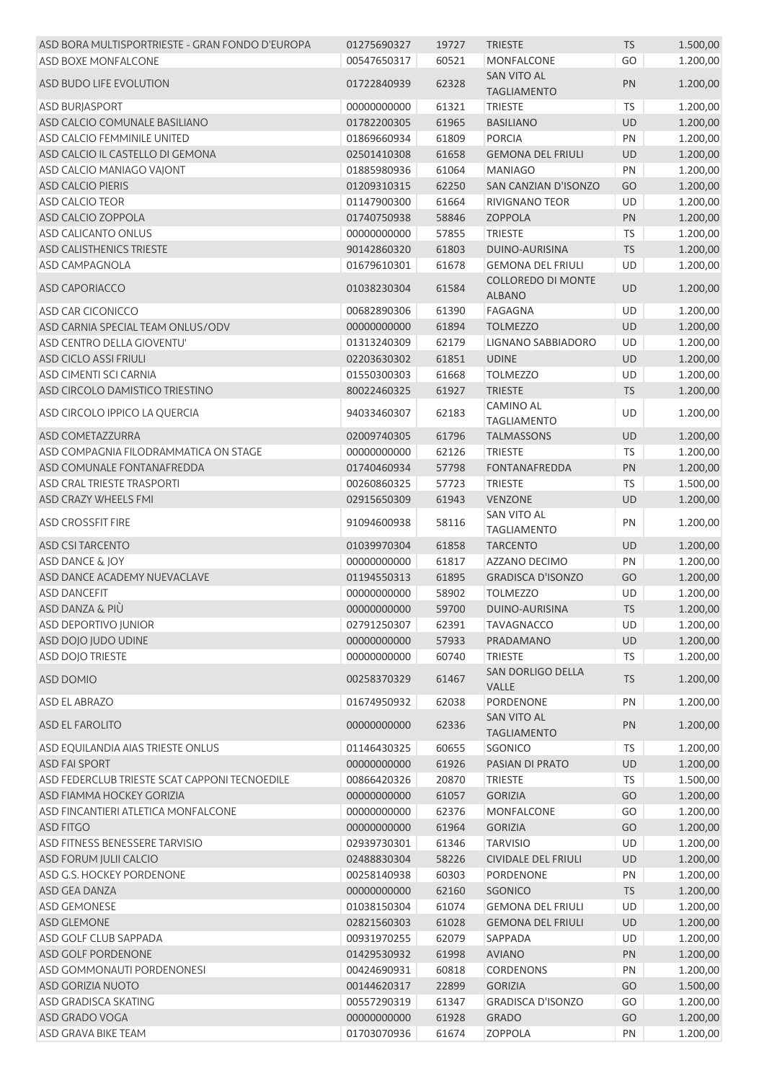| ASD BORA MULTISPORTRIESTE - GRAN FONDO D'EUROPA | 01275690327 | 19727 | <b>TRIESTE</b>             | <b>TS</b> | 1.500,00 |
|-------------------------------------------------|-------------|-------|----------------------------|-----------|----------|
| <b>ASD BOXE MONFALCONE</b>                      | 00547650317 | 60521 | MONFALCONE                 | GO        | 1.200,00 |
|                                                 |             |       | <b>SAN VITO AL</b>         |           |          |
| ASD BUDO LIFE EVOLUTION                         | 01722840939 | 62328 | <b>TAGLIAMENTO</b>         | PN        | 1.200,00 |
| <b>ASD BURJASPORT</b>                           | 00000000000 | 61321 | <b>TRIESTE</b>             | <b>TS</b> | 1.200,00 |
| ASD CALCIO COMUNALE BASILIANO                   | 01782200305 | 61965 | <b>BASILIANO</b>           | UD        | 1.200,00 |
| ASD CALCIO FEMMINILE UNITED                     | 01869660934 | 61809 | <b>PORCIA</b>              | PN        | 1.200,00 |
| ASD CALCIO IL CASTELLO DI GEMONA                | 02501410308 | 61658 | <b>GEMONA DEL FRIULI</b>   | UD        | 1.200,00 |
| ASD CALCIO MANIAGO VAJONT                       | 01885980936 | 61064 | <b>MANIAGO</b>             | PN        | 1.200,00 |
| <b>ASD CALCIO PIERIS</b>                        | 01209310315 | 62250 | SAN CANZIAN D'ISONZO       | GO        | 1.200,00 |
| <b>ASD CALCIO TEOR</b>                          | 01147900300 | 61664 | RIVIGNANO TEOR             | UD        | 1.200,00 |
| ASD CALCIO ZOPPOLA                              | 01740750938 | 58846 | <b>ZOPPOLA</b>             | PN        | 1.200,00 |
| ASD CALICANTO ONLUS                             | 00000000000 | 57855 | <b>TRIESTE</b>             | TS        | 1.200,00 |
| ASD CALISTHENICS TRIESTE                        | 90142860320 | 61803 | DUINO-AURISINA             | <b>TS</b> | 1.200,00 |
| <b>ASD CAMPAGNOLA</b>                           | 01679610301 | 61678 | <b>GEMONA DEL FRIULI</b>   | UD        | 1.200,00 |
|                                                 |             |       | <b>COLLOREDO DI MONTE</b>  |           |          |
| <b>ASD CAPORIACCO</b>                           | 01038230304 | 61584 | <b>ALBANO</b>              | UD        | 1.200,00 |
| ASD CAR CICONICCO                               | 00682890306 | 61390 | <b>FAGAGNA</b>             | UD        | 1.200,00 |
| ASD CARNIA SPECIAL TEAM ONLUS/ODV               | 00000000000 | 61894 | <b>TOLMEZZO</b>            | UD        | 1.200,00 |
| ASD CENTRO DELLA GIOVENTU'                      | 01313240309 | 62179 | LIGNANO SABBIADORO         | UD        | 1.200,00 |
| <b>ASD CICLO ASSI FRIULI</b>                    | 02203630302 | 61851 | <b>UDINE</b>               | UD        | 1.200,00 |
| ASD CIMENTI SCI CARNIA                          | 01550300303 | 61668 | <b>TOLMEZZO</b>            | UD        | 1.200,00 |
| ASD CIRCOLO DAMISTICO TRIESTINO                 | 80022460325 | 61927 | <b>TRIESTE</b>             | <b>TS</b> | 1.200,00 |
|                                                 |             |       | <b>CAMINO AL</b>           |           |          |
| ASD CIRCOLO IPPICO LA QUERCIA                   | 94033460307 | 62183 | <b>TAGLIAMENTO</b>         | UD        | 1.200,00 |
| ASD COMETAZZURRA                                | 02009740305 | 61796 | <b>TALMASSONS</b>          | UD        | 1.200,00 |
| ASD COMPAGNIA FILODRAMMATICA ON STAGE           | 00000000000 | 62126 | <b>TRIESTE</b>             | <b>TS</b> | 1.200,00 |
| ASD COMUNALE FONTANAFREDDA                      | 01740460934 | 57798 | <b>FONTANAFREDDA</b>       | PN        | 1.200,00 |
| ASD CRAL TRIESTE TRASPORTI                      | 00260860325 | 57723 | <b>TRIESTE</b>             | TS        | 1.500,00 |
| ASD CRAZY WHEELS FMI                            | 02915650309 | 61943 | <b>VENZONE</b>             | UD        | 1.200,00 |
|                                                 |             |       | <b>SAN VITO AL</b>         |           |          |
| <b>ASD CROSSFIT FIRE</b>                        | 91094600938 | 58116 | <b>TAGLIAMENTO</b>         | PN        | 1.200,00 |
| <b>ASD CSI TARCENTO</b>                         | 01039970304 | 61858 | <b>TARCENTO</b>            | UD        | 1.200,00 |
| ASD DANCE & JOY                                 | 00000000000 | 61817 | AZZANO DECIMO              | PN        | 1.200,00 |
| ASD DANCE ACADEMY NUEVACLAVE                    | 01194550313 | 61895 | <b>GRADISCA D'ISONZO</b>   | GO        | 1.200,00 |
| <b>ASD DANCEFIT</b>                             | 00000000000 | 58902 | <b>TOLMEZZO</b>            | UD        | 1.200,00 |
| ASD DANZA & PIÙ                                 | 00000000000 | 59700 | DUINO-AURISINA             | TS        | 1.200,00 |
| <b>ASD DEPORTIVO JUNIOR</b>                     | 02791250307 | 62391 | <b>TAVAGNACCO</b>          | UD        | 1.200,00 |
| ASD DOJO JUDO UDINE                             | 00000000000 | 57933 | PRADAMANO                  | UD        | 1.200,00 |
| <b>ASD DOJO TRIESTE</b>                         | 00000000000 | 60740 | <b>TRIESTE</b>             | <b>TS</b> | 1.200,00 |
|                                                 |             |       | SAN DORLIGO DELLA          |           |          |
| ASD DOMIO                                       | 00258370329 | 61467 | VALLE                      | <b>TS</b> | 1.200,00 |
| <b>ASD EL ABRAZO</b>                            | 01674950932 | 62038 | PORDENONE                  | PN        | 1.200,00 |
|                                                 |             |       | <b>SAN VITO AL</b>         |           |          |
| <b>ASD EL FAROLITO</b>                          | 00000000000 | 62336 | <b>TAGLIAMENTO</b>         | PN        | 1.200,00 |
| ASD EQUILANDIA AIAS TRIESTE ONLUS               | 01146430325 | 60655 | SGONICO                    | <b>TS</b> | 1.200,00 |
| <b>ASD FAI SPORT</b>                            | 00000000000 | 61926 | PASIAN DI PRATO            | UD        | 1.200,00 |
| ASD FEDERCLUB TRIESTE SCAT CAPPONI TECNOEDILE   | 00866420326 | 20870 | <b>TRIESTE</b>             | <b>TS</b> | 1.500,00 |
| ASD FIAMMA HOCKEY GORIZIA                       | 00000000000 | 61057 | <b>GORIZIA</b>             | GO        | 1.200,00 |
| ASD FINCANTIERI ATLETICA MONFALCONE             | 00000000000 | 62376 | MONFALCONE                 | GO        | 1.200,00 |
| <b>ASD FITGO</b>                                | 00000000000 | 61964 | <b>GORIZIA</b>             | GO        | 1.200,00 |
| ASD FITNESS BENESSERE TARVISIO                  | 02939730301 | 61346 | <b>TARVISIO</b>            | UD        | 1.200,00 |
| ASD FORUM JULII CALCIO                          | 02488830304 | 58226 | <b>CIVIDALE DEL FRIULI</b> | UD        | 1.200,00 |
| ASD G.S. HOCKEY PORDENONE                       | 00258140938 | 60303 | <b>PORDENONE</b>           | PN        | 1.200,00 |
| ASD GEA DANZA                                   | 00000000000 | 62160 | SGONICO                    | <b>TS</b> | 1.200,00 |
| ASD GEMONESE                                    | 01038150304 | 61074 | <b>GEMONA DEL FRIULI</b>   | UD        | 1.200,00 |
| ASD GLEMONE                                     | 02821560303 | 61028 | <b>GEMONA DEL FRIULI</b>   | UD        | 1.200,00 |
| ASD GOLF CLUB SAPPADA                           | 00931970255 | 62079 | SAPPADA                    | UD        | 1.200,00 |
| ASD GOLF PORDENONE                              | 01429530932 | 61998 | <b>AVIANO</b>              | PN        | 1.200,00 |
| ASD GOMMONAUTI PORDENONESI                      | 00424690931 | 60818 | <b>CORDENONS</b>           | PN        | 1.200,00 |
|                                                 |             |       |                            |           |          |
| ASD GORIZIA NUOTO                               | 00144620317 | 22899 | <b>GORIZIA</b>             | GO        | 1.500,00 |
| ASD GRADISCA SKATING                            | 00557290319 | 61347 | <b>GRADISCA D'ISONZO</b>   | GO        | 1.200,00 |
| ASD GRADO VOGA<br>ASD GRAVA BIKE TEAM           | 00000000000 | 61928 | <b>GRADO</b>               | GO        | 1.200,00 |
|                                                 | 01703070936 | 61674 | ZOPPOLA                    | PN        | 1.200,00 |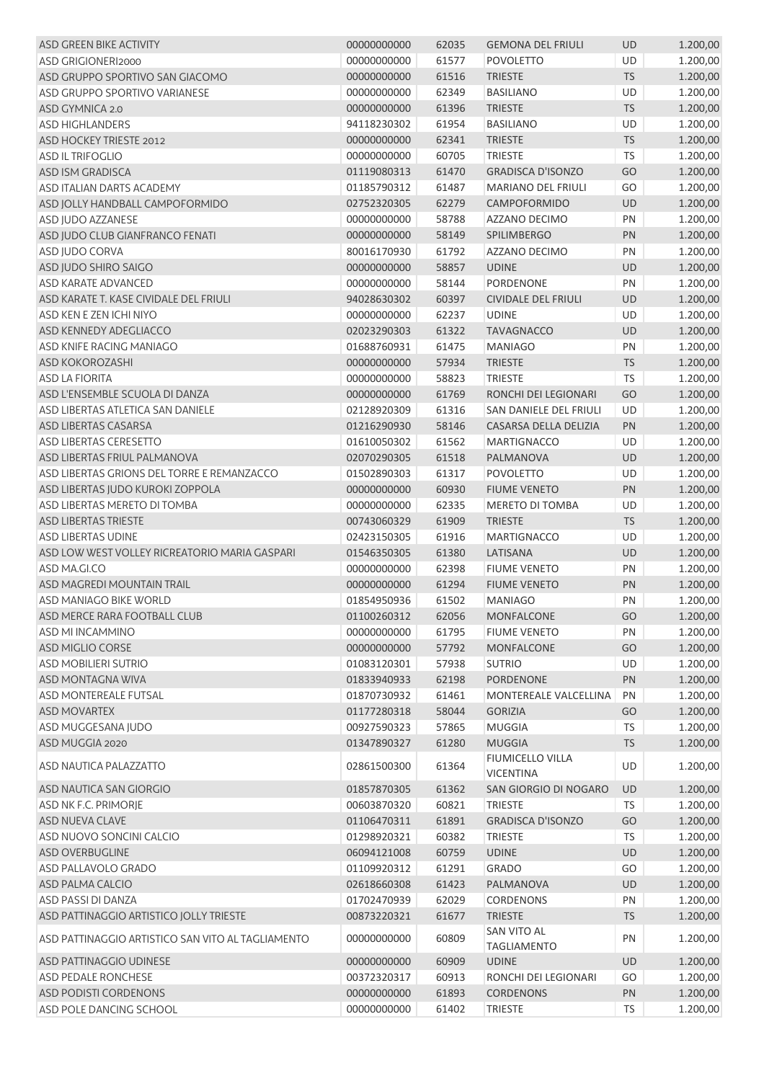| ASD GREEN BIKE ACTIVITY                           | 00000000000                        | 62035 | <b>GEMONA DEL FRIULI</b>                 | UD        | 1.200,00 |
|---------------------------------------------------|------------------------------------|-------|------------------------------------------|-----------|----------|
| ASD GRIGIONERI2000                                | 00000000000                        | 61577 | <b>POVOLETTO</b>                         | UD        | 1.200,00 |
| ASD GRUPPO SPORTIVO SAN GIACOMO                   | 00000000000                        | 61516 | <b>TRIESTE</b>                           | <b>TS</b> | 1.200,00 |
| ASD GRUPPO SPORTIVO VARIANESE                     | 00000000000                        | 62349 | <b>BASILIANO</b>                         | UD        | 1.200,00 |
| ASD GYMNICA 2.0                                   | 00000000000                        | 61396 | <b>TRIESTE</b>                           | <b>TS</b> | 1.200,00 |
| <b>ASD HIGHLANDERS</b>                            | 94118230302                        | 61954 | <b>BASILIANO</b>                         | UD        | 1.200,00 |
| ASD HOCKEY TRIESTE 2012                           | 00000000000                        | 62341 | <b>TRIESTE</b>                           | <b>TS</b> | 1.200,00 |
| <b>ASD IL TRIFOGLIO</b>                           | 00000000000                        | 60705 | <b>TRIESTE</b>                           | <b>TS</b> | 1.200,00 |
| ASD ISM GRADISCA                                  | 01119080313                        | 61470 | <b>GRADISCA D'ISONZO</b>                 | GO        | 1.200,00 |
| <b>ASD ITALIAN DARTS ACADEMY</b>                  | 01185790312                        | 61487 | <b>MARIANO DEL FRIULI</b>                | GO        | 1.200,00 |
| ASD JOLLY HANDBALL CAMPOFORMIDO                   | 02752320305                        | 62279 | CAMPOFORMIDO                             | UD        | 1.200,00 |
| ASD JUDO AZZANESE                                 | 00000000000                        | 58788 | AZZANO DECIMO                            | PN        | 1.200,00 |
| ASD JUDO CLUB GIANFRANCO FENATI                   | 00000000000                        | 58149 | SPILIMBERGO                              | PN        | 1.200,00 |
| ASD JUDO CORVA                                    | 80016170930                        | 61792 | AZZANO DECIMO                            | PN        | 1.200,00 |
| ASD JUDO SHIRO SAIGO                              | 00000000000                        | 58857 | <b>UDINE</b>                             | UD        | 1.200,00 |
| <b>ASD KARATE ADVANCED</b>                        | 00000000000                        | 58144 | PORDENONE                                | PN        | 1.200,00 |
| ASD KARATE T. KASE CIVIDALE DEL FRIULI            | 94028630302                        | 60397 | <b>CIVIDALE DEL FRIULI</b>               | UD        | 1.200,00 |
| ASD KEN E ZEN ICHI NIYO                           | 00000000000                        | 62237 | <b>UDINE</b>                             | UD        | 1.200,00 |
| ASD KENNEDY ADEGLIACCO                            | 02023290303                        | 61322 | <b>TAVAGNACCO</b>                        | <b>UD</b> | 1.200,00 |
| <b>ASD KNIFE RACING MANIAGO</b>                   | 01688760931                        | 61475 | <b>MANIAGO</b>                           | PN        | 1.200,00 |
| ASD KOKOROZASHI                                   | 00000000000                        | 57934 | <b>TRIESTE</b>                           | <b>TS</b> | 1.200,00 |
| <b>ASD LA FIORITA</b>                             | 00000000000                        | 58823 | <b>TRIESTE</b>                           | TS        | 1.200,00 |
| ASD L'ENSEMBLE SCUOLA DI DANZA                    | 00000000000                        | 61769 | RONCHI DEI LEGIONARI                     | GO        | 1.200,00 |
| ASD LIBERTAS ATLETICA SAN DANIELE                 | 02128920309                        | 61316 | SAN DANIELE DEL FRIULI                   | UD        | 1.200,00 |
| ASD LIBERTAS CASARSA                              | 01216290930                        | 58146 | CASARSA DELLA DELIZIA                    | PN        | 1.200,00 |
| <b>ASD LIBERTAS CERESETTO</b>                     | 01610050302                        | 61562 | <b>MARTIGNACCO</b>                       | UD        | 1.200,00 |
| ASD LIBERTAS FRIUL PALMANOVA                      | 02070290305                        | 61518 | PALMANOVA                                | UD        | 1.200,00 |
| ASD LIBERTAS GRIONS DEL TORRE E REMANZACCO        | 01502890303                        | 61317 | <b>POVOLETTO</b>                         | UD        | 1.200,00 |
| ASD LIBERTAS JUDO KUROKI ZOPPOLA                  | 00000000000                        | 60930 | <b>FIUME VENETO</b>                      | PN        | 1.200,00 |
| ASD LIBERTAS MERETO DI TOMBA                      | 00000000000                        | 62335 | <b>MERETO DI TOMBA</b>                   | UD        | 1.200,00 |
| ASD LIBERTAS TRIESTE                              | 00743060329                        | 61909 | <b>TRIESTE</b>                           | <b>TS</b> | 1.200,00 |
| <b>ASD LIBERTAS UDINE</b>                         | 02423150305                        | 61916 | <b>MARTIGNACCO</b>                       | UD        | 1.200,00 |
| ASD LOW WEST VOLLEY RICREATORIO MARIA GASPARI     | 01546350305                        | 61380 | LATISANA                                 | UD        | 1.200,00 |
| ASD MA.GI.CO                                      | 00000000000                        | 62398 | <b>FIUME VENETO</b>                      | PN        | 1.200,00 |
| ASD MAGREDI MOUNTAIN TRAIL                        | 00000000000                        | 61294 | <b>FIUME VENETO</b>                      | <b>PN</b> | 1.200,00 |
| ASD MANIAGO BIKE WORLD                            | 01854950936                        | 61502 | <b>MANIAGO</b>                           | PN        | 1.200,00 |
| ASD MERCE RARA FOOTBALL CLUB                      | 01100260312    62056    MONFALCONE |       |                                          | GO        | 1.200,00 |
| ASD MI INCAMMINO                                  | 00000000000                        | 61795 | <b>FIUME VENETO</b>                      | PN        | 1.200,00 |
| ASD MIGLIO CORSE                                  | 00000000000                        | 57792 | <b>MONFALCONE</b>                        | GO        | 1.200,00 |
| <b>ASD MOBILIERI SUTRIO</b>                       | 01083120301                        | 57938 | <b>SUTRIO</b>                            | UD        | 1.200,00 |
| ASD MONTAGNA WIVA                                 | 01833940933                        | 62198 | PORDENONE                                | PN        | 1.200,00 |
| <b>ASD MONTEREALE FUTSAL</b>                      | 01870730932                        | 61461 | MONTEREALE VALCELLINA                    | PN        | 1.200,00 |
| <b>ASD MOVARTEX</b>                               | 01177280318                        | 58044 | <b>GORIZIA</b>                           | GO        | 1.200,00 |
| ASD MUGGESANA JUDO                                | 00927590323                        | 57865 | <b>MUGGIA</b>                            | <b>TS</b> | 1.200,00 |
| ASD MUGGIA 2020                                   | 01347890327                        | 61280 | <b>MUGGIA</b>                            | <b>TS</b> | 1.200,00 |
| ASD NAUTICA PALAZZATTO                            | 02861500300                        | 61364 | <b>FIUMICELLO VILLA</b>                  | UD        | 1.200,00 |
|                                                   |                                    |       | <b>VICENTINA</b>                         |           |          |
| ASD NAUTICA SAN GIORGIO                           | 01857870305                        | 61362 | <b>SAN GIORGIO DI NOGARO</b>             | UD        | 1.200,00 |
| ASD NK F.C. PRIMORJE                              | 00603870320                        | 60821 | <b>TRIESTE</b>                           | <b>TS</b> | 1.200,00 |
| <b>ASD NUEVA CLAVE</b>                            | 01106470311                        | 61891 | <b>GRADISCA D'ISONZO</b>                 | GO        | 1.200,00 |
| ASD NUOVO SONCINI CALCIO                          | 01298920321                        | 60382 | <b>TRIESTE</b>                           | <b>TS</b> | 1.200,00 |
| ASD OVERBUGLINE                                   | 06094121008                        | 60759 | <b>UDINE</b>                             | UD        | 1.200,00 |
| ASD PALLAVOLO GRADO                               | 01109920312                        | 61291 | <b>GRADO</b>                             | GO        | 1.200,00 |
| ASD PALMA CALCIO                                  | 02618660308                        | 61423 | PALMANOVA                                | UD        | 1.200,00 |
| <b>ASD PASSI DI DANZA</b>                         | 01702470939                        | 62029 | <b>CORDENONS</b>                         | PN        | 1.200,00 |
| ASD PATTINAGGIO ARTISTICO JOLLY TRIESTE           | 00873220321                        | 61677 | <b>TRIESTE</b>                           | <b>TS</b> | 1.200,00 |
| ASD PATTINAGGIO ARTISTICO SAN VITO AL TAGLIAMENTO | 00000000000                        | 60809 | <b>SAN VITO AL</b><br><b>TAGLIAMENTO</b> | PN        | 1.200,00 |
| ASD PATTINAGGIO UDINESE                           | 00000000000                        | 60909 | <b>UDINE</b>                             | UD        | 1.200,00 |
| <b>ASD PEDALE RONCHESE</b>                        | 00372320317                        | 60913 | RONCHI DEI LEGIONARI                     | GO        | 1.200,00 |
| ASD PODISTI CORDENONS                             | 00000000000                        | 61893 | <b>CORDENONS</b>                         | PN        | 1.200,00 |
| ASD POLE DANCING SCHOOL                           | 00000000000                        | 61402 | <b>TRIESTE</b>                           | <b>TS</b> | 1.200,00 |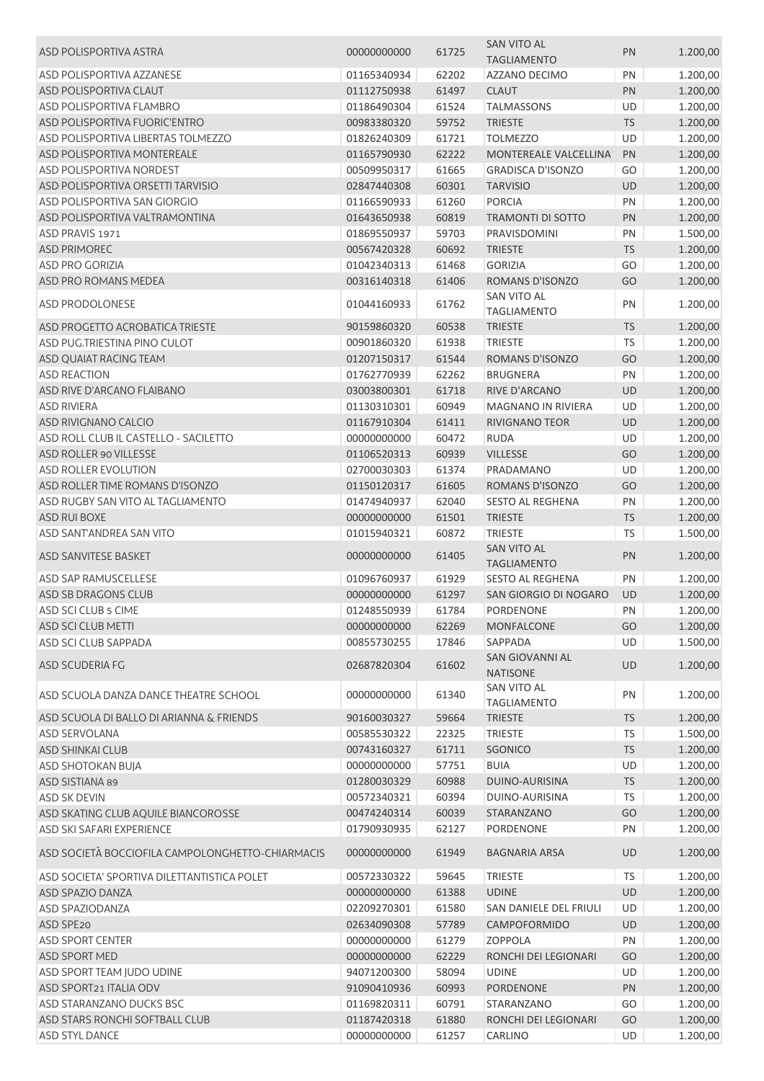|                                                  |             |       | <b>SAN VITO AL</b>                       |           |          |
|--------------------------------------------------|-------------|-------|------------------------------------------|-----------|----------|
| ASD POLISPORTIVA ASTRA                           | 00000000000 | 61725 | <b>TAGLIAMENTO</b>                       | PN        | 1.200,00 |
| <b>ASD POLISPORTIVA AZZANESE</b>                 | 01165340934 | 62202 | <b>AZZANO DECIMO</b>                     | PN        | 1.200,00 |
| ASD POLISPORTIVA CLAUT                           | 01112750938 | 61497 | <b>CLAUT</b>                             | PN        |          |
| <b>ASD POLISPORTIVA FLAMBRO</b>                  |             |       |                                          |           | 1.200,00 |
|                                                  | 01186490304 | 61524 | <b>TALMASSONS</b>                        | UD        | 1.200,00 |
| ASD POLISPORTIVA FUORIC'ENTRO                    | 00983380320 | 59752 | <b>TRIESTE</b>                           | <b>TS</b> | 1.200,00 |
| ASD POLISPORTIVA LIBERTAS TOLMEZZO               | 01826240309 | 61721 | <b>TOLMEZZO</b>                          | UD        | 1.200,00 |
| ASD POLISPORTIVA MONTEREALE                      | 01165790930 | 62222 | MONTEREALE VALCELLINA                    | PN        | 1.200,00 |
| <b>ASD POLISPORTIVA NORDEST</b>                  | 00509950317 | 61665 | <b>GRADISCA D'ISONZO</b>                 | GO        | 1.200,00 |
| ASD POLISPORTIVA ORSETTI TARVISIO                | 02847440308 | 60301 | <b>TARVISIO</b>                          | UD        | 1.200,00 |
| ASD POLISPORTIVA SAN GIORGIO                     | 01166590933 | 61260 | <b>PORCIA</b>                            | PN        | 1.200,00 |
| ASD POLISPORTIVA VALTRAMONTINA                   | 01643650938 | 60819 | <b>TRAMONTI DI SOTTO</b>                 | PN        | 1.200,00 |
| ASD PRAVIS 1971                                  | 01869550937 | 59703 | PRAVISDOMINI                             | PN        | 1.500,00 |
| <b>ASD PRIMOREC</b>                              | 00567420328 | 60692 | <b>TRIESTE</b>                           | <b>TS</b> | 1.200,00 |
| <b>ASD PRO GORIZIA</b>                           | 01042340313 | 61468 | <b>GORIZIA</b>                           | GO        | 1.200,00 |
| ASD PRO ROMANS MEDEA                             | 00316140318 | 61406 | ROMANS D'ISONZO                          | GO        | 1.200,00 |
|                                                  |             |       | SAN VITO AL                              |           |          |
| ASD PRODOLONESE                                  | 01044160933 | 61762 | <b>TAGLIAMENTO</b>                       | PN        | 1.200,00 |
| ASD PROGETTO ACROBATICA TRIESTE                  | 90159860320 | 60538 | <b>TRIESTE</b>                           | <b>TS</b> | 1.200,00 |
| ASD PUG.TRIESTINA PINO CULOT                     | 00901860320 | 61938 | <b>TRIESTE</b>                           | <b>TS</b> | 1.200,00 |
| ASD QUAIAT RACING TEAM                           | 01207150317 | 61544 | ROMANS D'ISONZO                          | GO        | 1.200,00 |
| <b>ASD REACTION</b>                              | 01762770939 | 62262 | <b>BRUGNERA</b>                          | PN        | 1.200,00 |
| ASD RIVE D'ARCANO FLAIBANO                       | 03003800301 | 61718 | RIVE D'ARCANO                            | UD        | 1.200,00 |
| <b>ASD RIVIERA</b>                               | 01130310301 | 60949 | <b>MAGNANO IN RIVIERA</b>                | UD        | 1.200,00 |
| ASD RIVIGNANO CALCIO                             | 01167910304 | 61411 | RIVIGNANO TEOR                           | UD        | 1.200,00 |
| ASD ROLL CLUB IL CASTELLO - SACILETTO            | 00000000000 | 60472 | <b>RUDA</b>                              | UD        | 1.200,00 |
| ASD ROLLER 90 VILLESSE                           |             |       |                                          |           |          |
|                                                  | 01106520313 | 60939 | <b>VILLESSE</b>                          | GO        | 1.200,00 |
| ASD ROLLER EVOLUTION                             | 02700030303 | 61374 | PRADAMANO                                | UD        | 1.200,00 |
| ASD ROLLER TIME ROMANS D'ISONZO                  | 01150120317 | 61605 | ROMANS D'ISONZO                          | GO        | 1.200,00 |
| ASD RUGBY SAN VITO AL TAGLIAMENTO                | 01474940937 | 62040 | SESTO AL REGHENA                         | PN        | 1.200,00 |
| ASD RUI BOXE                                     | 00000000000 | 61501 | <b>TRIESTE</b>                           | <b>TS</b> | 1.200,00 |
| <b>ASD SANT'ANDREA SAN VITO</b>                  | 01015940321 | 60872 | <b>TRIESTE</b>                           | TS        | 1.500,00 |
| ASD SANVITESE BASKET                             | 00000000000 | 61405 | <b>SAN VITO AL</b><br><b>TAGLIAMENTO</b> | PN        | 1.200,00 |
| ASD SAP RAMUSCELLESE                             | 01096760937 | 61929 | SESTO AL REGHENA                         | PN        | 1.200,00 |
| ASD SB DRAGONS CLUB                              | 00000000000 | 61297 | SAN GIORGIO DI NOGARO                    | UD        | 1.200,00 |
| ASD SCI CLUB 5 CIME                              | 01248550939 | 61784 | <b>PORDENONE</b>                         | PN        | 1.200,00 |
| ASD SCI CLUB METTI                               | 00000000000 | 62269 | MONFALCONE                               | GO        | 1.200,00 |
| ASD SCI CLUB SAPPADA                             | 00855730255 | 17846 | SAPPADA                                  | UD        | 1.500,00 |
|                                                  |             |       | <b>SAN GIOVANNI AL</b>                   |           |          |
| ASD SCUDERIA FG                                  | 02687820304 | 61602 | <b>NATISONE</b>                          | UD        | 1.200,00 |
| ASD SCUOLA DANZA DANCE THEATRE SCHOOL            | 00000000000 | 61340 | <b>SAN VITO AL</b><br><b>TAGLIAMENTO</b> | PN        | 1.200,00 |
| ASD SCUOLA DI BALLO DI ARIANNA & FRIENDS         | 90160030327 | 59664 | <b>TRIESTE</b>                           | <b>TS</b> | 1.200,00 |
| <b>ASD SERVOLANA</b>                             | 00585530322 | 22325 | <b>TRIESTE</b>                           | <b>TS</b> | 1.500,00 |
| <b>ASD SHINKAI CLUB</b>                          | 00743160327 | 61711 | <b>SGONICO</b>                           | <b>TS</b> | 1.200,00 |
| ASD SHOTOKAN BUJA                                | 00000000000 | 57751 | <b>BUIA</b>                              | UD        | 1.200,00 |
|                                                  |             |       |                                          |           |          |
| ASD SISTIANA 89                                  | 01280030329 | 60988 | DUINO-AURISINA                           | <b>TS</b> | 1.200,00 |
| <b>ASD SK DEVIN</b>                              | 00572340321 | 60394 | DUINO-AURISINA                           | TS        | 1.200,00 |
| ASD SKATING CLUB AQUILE BIANCOROSSE              | 00474240314 | 60039 | STARANZANO                               | GO        | 1.200,00 |
| ASD SKI SAFARI EXPERIENCE                        | 01790930935 | 62127 | PORDENONE                                | PN        | 1.200,00 |
| ASD SOCIETÀ BOCCIOFILA CAMPOLONGHETTO-CHIARMACIS | 00000000000 | 61949 | <b>BAGNARIA ARSA</b>                     | UD        | 1.200,00 |
| ASD SOCIETA' SPORTIVA DILETTANTISTICA POLET      | 00572330322 | 59645 | <b>TRIESTE</b>                           | <b>TS</b> | 1.200,00 |
| ASD SPAZIO DANZA                                 | 00000000000 | 61388 | <b>UDINE</b>                             | UD        | 1.200,00 |
| ASD SPAZIODANZA                                  | 02209270301 | 61580 | SAN DANIELE DEL FRIULI                   | UD        | 1.200,00 |
| ASD SPE20                                        | 02634090308 | 57789 | CAMPOFORMIDO                             | UD        | 1.200,00 |
| <b>ASD SPORT CENTER</b>                          | 00000000000 | 61279 | <b>ZOPPOLA</b>                           | PN        | 1.200,00 |
| ASD SPORT MED                                    | 00000000000 | 62229 | RONCHI DEI LEGIONARI                     | GO        | 1.200,00 |
| ASD SPORT TEAM JUDO UDINE                        | 94071200300 | 58094 | <b>UDINE</b>                             | UD        | 1.200,00 |
| ASD SPORT21 ITALIA ODV                           | 91090410936 | 60993 | PORDENONE                                | PN        | 1.200,00 |
| ASD STARANZANO DUCKS BSC                         | 01169820311 | 60791 | STARANZANO                               | GO        | 1.200,00 |
| ASD STARS RONCHI SOFTBALL CLUB                   | 01187420318 | 61880 | RONCHI DEI LEGIONARI                     | GO        | 1.200,00 |
|                                                  | 00000000000 |       | CARLINO                                  | UD        |          |
| <b>ASD STYL DANCE</b>                            |             | 61257 |                                          |           | 1.200,00 |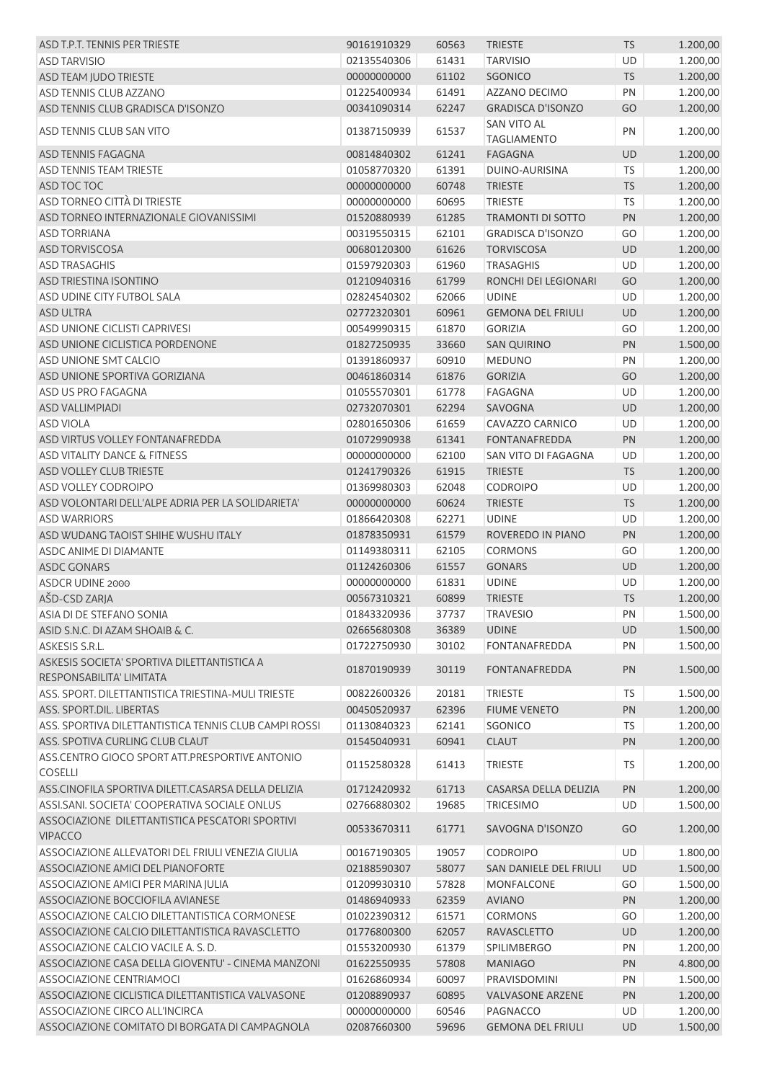| ASD T.P.T. TENNIS PER TRIESTE                                           | 90161910329 | 60563 | <b>TRIESTE</b>                           | TS        | 1.200,00 |
|-------------------------------------------------------------------------|-------------|-------|------------------------------------------|-----------|----------|
| <b>ASD TARVISIO</b>                                                     | 02135540306 | 61431 | <b>TARVISIO</b>                          | <b>UD</b> | 1.200,00 |
| ASD TEAM JUDO TRIESTE                                                   | 00000000000 | 61102 | SGONICO                                  | <b>TS</b> | 1.200,00 |
| <b>ASD TENNIS CLUB AZZANO</b>                                           | 01225400934 | 61491 | AZZANO DECIMO                            | PN        | 1.200,00 |
| ASD TENNIS CLUB GRADISCA D'ISONZO                                       | 00341090314 | 62247 | <b>GRADISCA D'ISONZO</b>                 | GO        | 1.200,00 |
| ASD TENNIS CLUB SAN VITO                                                | 01387150939 | 61537 | <b>SAN VITO AL</b><br><b>TAGLIAMENTO</b> | PN        | 1.200,00 |
| ASD TENNIS FAGAGNA                                                      | 00814840302 | 61241 | <b>FAGAGNA</b>                           | <b>UD</b> | 1.200,00 |
| <b>ASD TENNIS TEAM TRIESTE</b>                                          | 01058770320 | 61391 | DUINO-AURISINA                           | <b>TS</b> | 1.200,00 |
| ASD TOC TOC                                                             | 00000000000 | 60748 | <b>TRIESTE</b>                           | <b>TS</b> | 1.200,00 |
| ASD TORNEO CITTÀ DI TRIESTE                                             | 00000000000 | 60695 | <b>TRIESTE</b>                           | <b>TS</b> | 1.200,00 |
| ASD TORNEO INTERNAZIONALE GIOVANISSIMI                                  | 01520880939 | 61285 | <b>TRAMONTI DI SOTTO</b>                 | PN        | 1.200,00 |
| <b>ASD TORRIANA</b>                                                     | 00319550315 | 62101 | <b>GRADISCA D'ISONZO</b>                 | GO        | 1.200,00 |
| ASD TORVISCOSA                                                          | 00680120300 | 61626 | <b>TORVISCOSA</b>                        | <b>UD</b> | 1.200,00 |
| <b>ASD TRASAGHIS</b>                                                    | 01597920303 | 61960 | <b>TRASAGHIS</b>                         | UD        | 1.200,00 |
| ASD TRIESTINA ISONTINO                                                  | 01210940316 | 61799 | RONCHI DEI LEGIONARI                     | GO        | 1.200,00 |
| ASD UDINE CITY FUTBOL SALA                                              | 02824540302 | 62066 | <b>UDINE</b>                             | UD        | 1.200,00 |
| <b>ASD ULTRA</b>                                                        | 02772320301 | 60961 | <b>GEMONA DEL FRIULI</b>                 | UD        | 1.200,00 |
| <b>ASD UNIONE CICLISTI CAPRIVESI</b>                                    | 00549990315 | 61870 | <b>GORIZIA</b>                           | GO        | 1.200,00 |
| ASD UNIONE CICLISTICA PORDENONE                                         | 01827250935 | 33660 | <b>SAN QUIRINO</b>                       | PN        | 1.500,00 |
| ASD UNIONE SMT CALCIO                                                   | 01391860937 | 60910 | <b>MEDUNO</b>                            | PN        | 1.200,00 |
| ASD UNIONE SPORTIVA GORIZIANA                                           |             |       |                                          |           |          |
|                                                                         | 00461860314 | 61876 | <b>GORIZIA</b>                           | GO        | 1.200,00 |
| ASD US PRO FAGAGNA                                                      | 01055570301 | 61778 | FAGAGNA                                  | UD        | 1.200,00 |
| <b>ASD VALLIMPIADI</b>                                                  | 02732070301 | 62294 | SAVOGNA                                  | <b>UD</b> | 1.200,00 |
| <b>ASD VIOLA</b>                                                        | 02801650306 | 61659 | CAVAZZO CARNICO                          | UD        | 1.200,00 |
| ASD VIRTUS VOLLEY FONTANAFREDDA                                         | 01072990938 | 61341 | <b>FONTANAFREDDA</b>                     | PN        | 1.200,00 |
| ASD VITALITY DANCE & FITNESS                                            | 00000000000 | 62100 | SAN VITO DI FAGAGNA                      | UD        | 1.200,00 |
| ASD VOLLEY CLUB TRIESTE                                                 | 01241790326 | 61915 | <b>TRIESTE</b>                           | <b>TS</b> | 1.200,00 |
| <b>ASD VOLLEY CODROIPO</b>                                              | 01369980303 | 62048 | <b>CODROIPO</b>                          | UD        | 1.200,00 |
| ASD VOLONTARI DELL'ALPE ADRIA PER LA SOLIDARIETA'                       | 00000000000 | 60624 | <b>TRIESTE</b>                           | <b>TS</b> | 1.200,00 |
| <b>ASD WARRIORS</b>                                                     | 01866420308 | 62271 | <b>UDINE</b>                             | UD        | 1.200,00 |
| ASD WUDANG TAOIST SHIHE WUSHU ITALY                                     | 01878350931 | 61579 | ROVEREDO IN PIANO                        | PN        | 1.200,00 |
| <b>ASDC ANIME DI DIAMANTE</b>                                           | 01149380311 | 62105 | <b>CORMONS</b>                           | GO        | 1.200,00 |
| <b>ASDC GONARS</b>                                                      | 01124260306 | 61557 | <b>GONARS</b>                            | UD        | 1.200,00 |
| <b>ASDCR UDINE 2000</b>                                                 | 00000000000 | 61831 | <b>UDINE</b>                             | <b>UD</b> | 1.200,00 |
| AŠD-CSD ZARJA                                                           | 00567310321 | 60899 | <b>TRIESTE</b>                           | <b>TS</b> | 1.200,00 |
| ASIA DI DE STEFANO SONIA                                                | 01843320936 | 37737 | <b>TRAVESIO</b>                          | PN        | 1.500,00 |
| ASID S.N.C. DI AZAM SHOAIB & C.                                         | 02665680308 | 36389 | <b>UDINE</b>                             | UD        | 1.500,00 |
| ASKESIS S.R.L.                                                          | 01722750930 | 30102 | <b>FONTANAFREDDA</b>                     | PN        | 1.500,00 |
| ASKESIS SOCIETA' SPORTIVA DILETTANTISTICA A<br>RESPONSABILITA' LIMITATA | 01870190939 | 30119 | <b>FONTANAFREDDA</b>                     | PN        | 1.500,00 |
| ASS, SPORT, DILETTANTISTICA TRIESTINA-MULI TRIESTE                      | 00822600326 | 20181 | <b>TRIESTE</b>                           | TS        | 1.500,00 |
| ASS. SPORT.DIL. LIBERTAS                                                | 00450520937 | 62396 | <b>FIUME VENETO</b>                      | PN        | 1.200,00 |
| ASS. SPORTIVA DILETTANTISTICA TENNIS CLUB CAMPI ROSSI                   | 01130840323 | 62141 | SGONICO                                  | <b>TS</b> | 1.200,00 |
| ASS. SPOTIVA CURLING CLUB CLAUT                                         | 01545040931 | 60941 | <b>CLAUT</b>                             | PN        | 1.200,00 |
| ASS.CENTRO GIOCO SPORT ATT.PRESPORTIVE ANTONIO<br><b>COSELLI</b>        | 01152580328 | 61413 | <b>TRIESTE</b>                           | <b>TS</b> | 1.200,00 |
| ASS.CINOFILA SPORTIVA DILETT.CASARSA DELLA DELIZIA                      | 01712420932 | 61713 | CASARSA DELLA DELIZIA                    | PN        | 1.200,00 |
| ASSI.SANI. SOCIETA' COOPERATIVA SOCIALE ONLUS                           | 02766880302 | 19685 | <b>TRICESIMO</b>                         | UD        | 1.500,00 |
| ASSOCIAZIONE DILETTANTISTICA PESCATORI SPORTIVI<br><b>VIPACCO</b>       | 00533670311 | 61771 | SAVOGNA D'ISONZO                         | GO        | 1.200,00 |
| ASSOCIAZIONE ALLEVATORI DEL FRIULI VENEZIA GIULIA                       | 00167190305 | 19057 | <b>CODROIPO</b>                          | UD        | 1.800,00 |
| ASSOCIAZIONE AMICI DEL PIANOFORTE                                       | 02188590307 | 58077 | SAN DANIELE DEL FRIULI                   | UD        | 1.500,00 |
| ASSOCIAZIONE AMICI PER MARINA JULIA                                     | 01209930310 | 57828 | MONFALCONE                               | GO        | 1.500,00 |
| ASSOCIAZIONE BOCCIOFILA AVIANESE                                        | 01486940933 | 62359 | <b>AVIANO</b>                            | PN        | 1.200,00 |
| ASSOCIAZIONE CALCIO DILETTANTISTICA CORMONESE                           | 01022390312 | 61571 | <b>CORMONS</b>                           | GO        | 1.200,00 |
| ASSOCIAZIONE CALCIO DILETTANTISTICA RAVASCLETTO                         | 01776800300 | 62057 | <b>RAVASCLETTO</b>                       | UD        | 1.200,00 |
| ASSOCIAZIONE CALCIO VACILE A. S. D.                                     | 01553200930 | 61379 | SPILIMBERGO                              | PN        | 1.200,00 |
| ASSOCIAZIONE CASA DELLA GIOVENTU' - CINEMA MANZONI                      | 01622550935 | 57808 | <b>MANIAGO</b>                           | PN        | 4.800,00 |
| ASSOCIAZIONE CENTRIAMOCI                                                | 01626860934 | 60097 | PRAVISDOMINI                             | PN        | 1.500,00 |
| ASSOCIAZIONE CICLISTICA DILETTANTISTICA VALVASONE                       | 01208890937 | 60895 | <b>VALVASONE ARZENE</b>                  | PN        | 1.200,00 |
| ASSOCIAZIONE CIRCO ALL'INCIRCA                                          | 00000000000 | 60546 | PAGNACCO                                 | UD        | 1.200,00 |
| ASSOCIAZIONE COMITATO DI BORGATA DI CAMPAGNOLA                          | 02087660300 | 59696 | <b>GEMONA DEL FRIULI</b>                 | UD        | 1.500,00 |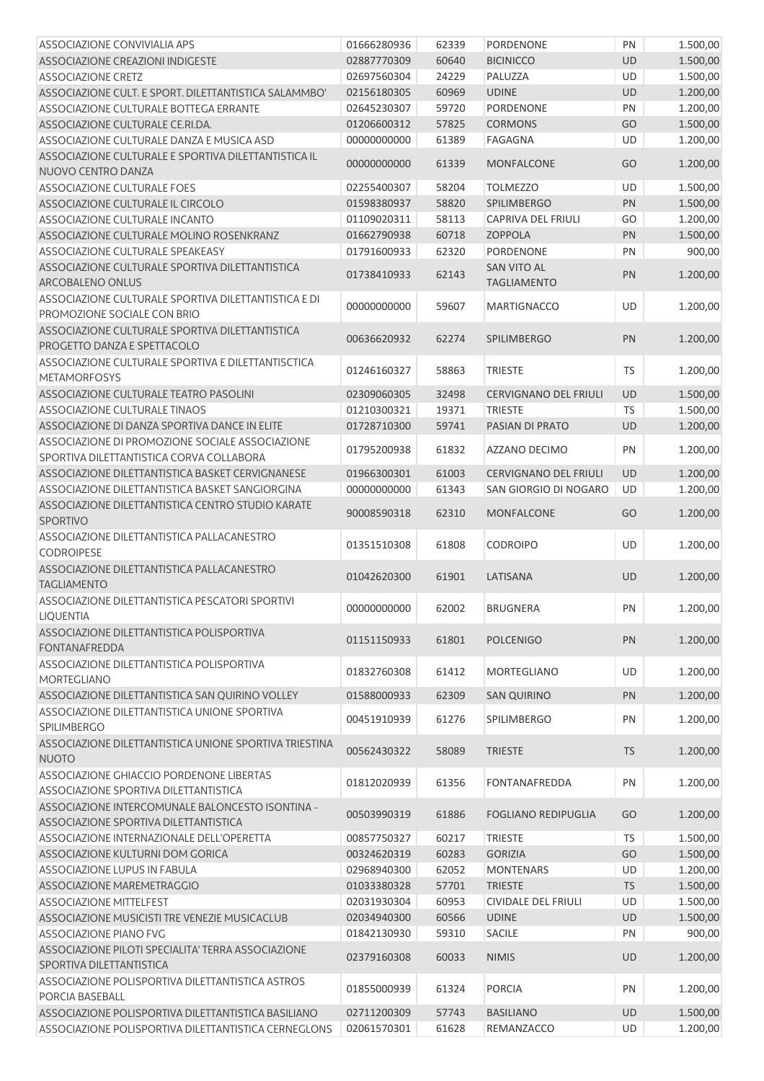| ASSOCIAZIONE CONVIVIALIA APS                           | 01666280936 | 62339 | <b>PORDENONE</b>             | PN        | 1.500,00 |
|--------------------------------------------------------|-------------|-------|------------------------------|-----------|----------|
| ASSOCIAZIONE CREAZIONI INDIGESTE                       | 02887770309 | 60640 | <b>BICINICCO</b>             | UD        | 1.500,00 |
| <b>ASSOCIAZIONE CRETZ</b>                              | 02697560304 | 24229 | PALUZZA                      | UD        | 1.500,00 |
| ASSOCIAZIONE CULT. E SPORT. DILETTANTISTICA SALAMMBO'  | 02156180305 | 60969 | <b>UDINE</b>                 | UD        | 1.200,00 |
| ASSOCIAZIONE CULTURALE BOTTEGA ERRANTE                 | 02645230307 | 59720 | PORDENONE                    | PN        | 1.200,00 |
| ASSOCIAZIONE CULTURALE CE.RI.DA.                       | 01206600312 | 57825 | <b>CORMONS</b>               | GO        | 1.500,00 |
| ASSOCIAZIONE CULTURALE DANZA E MUSICA ASD              | 00000000000 | 61389 | FAGAGNA                      | UD        | 1.200,00 |
| ASSOCIAZIONE CULTURALE E SPORTIVA DILETTANTISTICA IL   | 00000000000 | 61339 | <b>MONFALCONE</b>            | GO        | 1.200,00 |
| NUOVO CENTRO DANZA                                     |             |       |                              |           |          |
| ASSOCIAZIONE CULTURALE FOES                            | 02255400307 | 58204 | <b>TOLMEZZO</b>              | UD        | 1.500,00 |
| ASSOCIAZIONE CULTURALE IL CIRCOLO                      | 01598380937 | 58820 | <b>SPILIMBERGO</b>           | PN        | 1.500,00 |
| ASSOCIAZIONE CULTURALE INCANTO                         | 01109020311 | 58113 | CAPRIVA DEL FRIULI           | GO        | 1.200,00 |
| ASSOCIAZIONE CULTURALE MOLINO ROSENKRANZ               | 01662790938 | 60718 | <b>ZOPPOLA</b>               | PN        | 1.500,00 |
| ASSOCIAZIONE CULTURALE SPEAKEASY                       | 01791600933 | 62320 | <b>PORDENONE</b>             | PN        | 900,00   |
| ASSOCIAZIONE CULTURALE SPORTIVA DILETTANTISTICA        | 01738410933 | 62143 | <b>SAN VITO AL</b>           | PN        | 1.200,00 |
| ARCOBALENO ONLUS                                       |             |       | <b>TAGLIAMENTO</b>           |           |          |
| ASSOCIAZIONE CULTURALE SPORTIVA DILETTANTISTICA E DI   | 00000000000 | 59607 | <b>MARTIGNACCO</b>           | UD        | 1.200,00 |
| PROMOZIONE SOCIALE CON BRIO                            |             |       |                              |           |          |
| ASSOCIAZIONE CULTURALE SPORTIVA DILETTANTISTICA        | 00636620932 | 62274 | <b>SPILIMBERGO</b>           | PN        | 1.200,00 |
| PROGETTO DANZA E SPETTACOLO                            |             |       |                              |           |          |
| ASSOCIAZIONE CULTURALE SPORTIVA E DILETTANTISCTICA     | 01246160327 | 58863 | <b>TRIESTE</b>               | TS        | 1.200,00 |
| <b>METAMORFOSYS</b>                                    |             |       |                              |           |          |
| ASSOCIAZIONE CULTURALE TEATRO PASOLINI                 | 02309060305 | 32498 | <b>CERVIGNANO DEL FRIULI</b> | UD        | 1.500,00 |
| ASSOCIAZIONE CULTURALE TINAOS                          | 01210300321 | 19371 | <b>TRIESTE</b>               | <b>TS</b> | 1.500,00 |
| ASSOCIAZIONE DI DANZA SPORTIVA DANCE IN ELITE          | 01728710300 | 59741 | PASIAN DI PRATO              | UD        | 1.200,00 |
| ASSOCIAZIONE DI PROMOZIONE SOCIALE ASSOCIAZIONE        | 01795200938 | 61832 | AZZANO DECIMO                | PN        | 1.200,00 |
| SPORTIVA DILETTANTISTICA CORVA COLLABORA               |             |       |                              |           |          |
| ASSOCIAZIONE DILETTANTISTICA BASKET CERVIGNANESE       | 01966300301 | 61003 | <b>CERVIGNANO DEL FRIULI</b> | UD        | 1.200,00 |
| ASSOCIAZIONE DILETTANTISTICA BASKET SANGIORGINA        | 00000000000 | 61343 | SAN GIORGIO DI NOGARO        | UD        | 1.200,00 |
| ASSOCIAZIONE DILETTANTISTICA CENTRO STUDIO KARATE      | 90008590318 | 62310 | <b>MONFALCONE</b>            | GO        | 1.200,00 |
| SPORTIVO                                               |             |       |                              |           |          |
| ASSOCIAZIONE DILETTANTISTICA PALLACANESTRO             | 01351510308 | 61808 | <b>CODROIPO</b>              | UD        | 1.200,00 |
| <b>CODROIPESE</b>                                      |             |       |                              |           |          |
| ASSOCIAZIONE DILETTANTISTICA PALLACANESTRO             | 01042620300 | 61901 | LATISANA                     | UD        | 1.200,00 |
| <b>TAGLIAMENTO</b>                                     |             |       |                              |           |          |
| ASSOCIAZIONE DILETTANTISTICA PESCATORI SPORTIVI        | 00000000000 | 62002 | <b>BRUGNERA</b>              | PN        | 1.200,00 |
| LIQUENTIA                                              |             |       |                              |           |          |
| ASSOCIAZIONE DILETTANTISTICA POLISPORTIVA              | 01151150933 | 61801 | <b>POLCENIGO</b>             | PN        | 1.200,00 |
| <b>FONTANAFREDDA</b>                                   |             |       |                              |           |          |
| ASSOCIAZIONE DILETTANTISTICA POLISPORTIVA              | 01832760308 | 61412 | MORTEGLIANO                  | UD        | 1.200,00 |
| MORTEGLIANO                                            |             |       |                              |           |          |
| ASSOCIAZIONE DILETTANTISTICA SAN QUIRINO VOLLEY        | 01588000933 | 62309 | <b>SAN QUIRINO</b>           | PN        | 1.200,00 |
| ASSOCIAZIONE DILETTANTISTICA UNIONE SPORTIVA           | 00451910939 | 61276 | <b>SPILIMBERGO</b>           | PN        | 1.200,00 |
| SPILIMBERGO                                            |             |       |                              |           |          |
| ASSOCIAZIONE DILETTANTISTICA UNIONE SPORTIVA TRIESTINA | 00562430322 | 58089 | <b>TRIESTE</b>               | <b>TS</b> | 1.200,00 |
| <b>NUOTO</b>                                           |             |       |                              |           |          |
| ASSOCIAZIONE GHIACCIO PORDENONE LIBERTAS               | 01812020939 | 61356 | FONTANAFREDDA                | PN        | 1.200,00 |
| ASSOCIAZIONE SPORTIVA DILETTANTISTICA                  |             |       |                              |           |          |
| ASSOCIAZIONE INTERCOMUNALE BALONCESTO ISONTINA -       | 00503990319 | 61886 | <b>FOGLIANO REDIPUGLIA</b>   | GO        | 1.200,00 |
| ASSOCIAZIONE SPORTIVA DILETTANTISTICA                  |             |       |                              |           |          |
| ASSOCIAZIONE INTERNAZIONALE DELL'OPERETTA              | 00857750327 | 60217 | <b>TRIESTE</b>               | <b>TS</b> | 1.500,00 |
| ASSOCIAZIONE KULTURNI DOM GORICA                       | 00324620319 | 60283 | <b>GORIZIA</b>               | GO        | 1.500,00 |
| ASSOCIAZIONE LUPUS IN FABULA                           | 02968940300 | 62052 | <b>MONTENARS</b>             | UD        | 1.200,00 |
| ASSOCIAZIONE MAREMETRAGGIO                             | 01033380328 | 57701 | <b>TRIESTE</b>               | <b>TS</b> | 1.500,00 |
| <b>ASSOCIAZIONE MITTELFEST</b>                         | 02031930304 | 60953 | <b>CIVIDALE DEL FRIULI</b>   | UD        | 1.500,00 |
| ASSOCIAZIONE MUSICISTI TRE VENEZIE MUSICACLUB          | 02034940300 | 60566 | <b>UDINE</b>                 | UD        | 1.500,00 |
| <b>ASSOCIAZIONE PIANO FVG</b>                          | 01842130930 | 59310 | SACILE                       | PN        | 900,00   |
| ASSOCIAZIONE PILOTI SPECIALITA' TERRA ASSOCIAZIONE     | 02379160308 | 60033 | <b>NIMIS</b>                 | UD        | 1.200,00 |
| SPORTIVA DILETTANTISTICA                               |             |       |                              |           |          |
| ASSOCIAZIONE POLISPORTIVA DILETTANTISTICA ASTROS       | 01855000939 | 61324 | <b>PORCIA</b>                | PN        | 1.200,00 |
| PORCIA BASEBALL                                        |             |       |                              |           |          |
| ASSOCIAZIONE POLISPORTIVA DILETTANTISTICA BASILIANO    | 02711200309 | 57743 | <b>BASILIANO</b>             | UD        | 1.500,00 |
| ASSOCIAZIONE POLISPORTIVA DILETTANTISTICA CERNEGLONS   | 02061570301 | 61628 | REMANZACCO                   | UD        | 1.200,00 |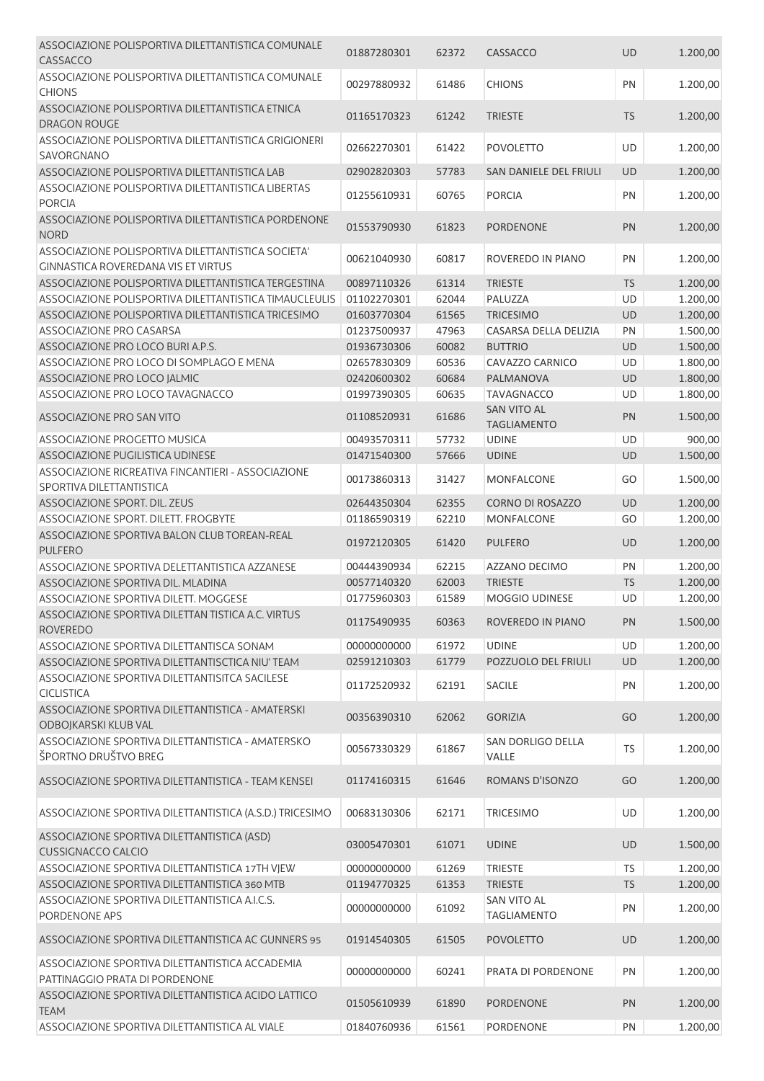| ASSOCIAZIONE POLISPORTIVA DILETTANTISTICA COMUNALE<br>CASSACCO                                   | 01887280301 | 62372 | CASSACCO                                 | UD        | 1.200,00 |
|--------------------------------------------------------------------------------------------------|-------------|-------|------------------------------------------|-----------|----------|
| ASSOCIAZIONE POLISPORTIVA DILETTANTISTICA COMUNALE<br><b>CHIONS</b>                              | 00297880932 | 61486 | <b>CHIONS</b>                            | PN        | 1.200,00 |
| ASSOCIAZIONE POLISPORTIVA DILETTANTISTICA ETNICA<br>DRAGON ROUGE                                 | 01165170323 | 61242 | <b>TRIESTE</b>                           | <b>TS</b> | 1.200,00 |
| ASSOCIAZIONE POLISPORTIVA DILETTANTISTICA GRIGIONERI<br>SAVORGNANO                               | 02662270301 | 61422 | <b>POVOLETTO</b>                         | UD        | 1.200,00 |
| ASSOCIAZIONE POLISPORTIVA DILETTANTISTICA LAB                                                    | 02902820303 | 57783 | SAN DANIELE DEL FRIULI                   | <b>UD</b> | 1.200,00 |
| ASSOCIAZIONE POLISPORTIVA DILETTANTISTICA LIBERTAS<br><b>PORCIA</b>                              | 01255610931 | 60765 | <b>PORCIA</b>                            | PN        | 1.200,00 |
| ASSOCIAZIONE POLISPORTIVA DILETTANTISTICA PORDENONE<br><b>NORD</b>                               | 01553790930 | 61823 | <b>PORDENONE</b>                         | PN        | 1.200,00 |
| ASSOCIAZIONE POLISPORTIVA DILETTANTISTICA SOCIETA'<br><b>GINNASTICA ROVEREDANA VIS ET VIRTUS</b> | 00621040930 | 60817 | ROVEREDO IN PIANO                        | PN        | 1.200,00 |
| ASSOCIAZIONE POLISPORTIVA DILETTANTISTICA TERGESTINA                                             | 00897110326 | 61314 | <b>TRIESTE</b>                           | TS        | 1.200,00 |
| ASSOCIAZIONE POLISPORTIVA DILETTANTISTICA TIMAUCLEULIS                                           | 01102270301 | 62044 | PALUZZA                                  | UD        | 1.200,00 |
| ASSOCIAZIONE POLISPORTIVA DILETTANTISTICA TRICESIMO                                              | 01603770304 | 61565 | <b>TRICESIMO</b>                         | UD        | 1.200,00 |
| ASSOCIAZIONE PRO CASARSA                                                                         | 01237500937 | 47963 | CASARSA DELLA DELIZIA                    | PN        | 1.500,00 |
| ASSOCIAZIONE PRO LOCO BURI A.P.S.                                                                | 01936730306 | 60082 | <b>BUTTRIO</b>                           | UD        | 1.500,00 |
| ASSOCIAZIONE PRO LOCO DI SOMPLAGO E MENA                                                         | 02657830309 | 60536 | CAVAZZO CARNICO                          | UD        | 1.800,00 |
| ASSOCIAZIONE PRO LOCO JALMIC                                                                     | 02420600302 | 60684 | PALMANOVA                                | <b>UD</b> | 1.800,00 |
| ASSOCIAZIONE PRO LOCO TAVAGNACCO                                                                 | 01997390305 | 60635 | <b>TAVAGNACCO</b>                        | UD        | 1.800,00 |
| ASSOCIAZIONE PRO SAN VITO                                                                        | 01108520931 | 61686 | <b>SAN VITO AL</b><br><b>TAGLIAMENTO</b> | PN        | 1.500,00 |
| ASSOCIAZIONE PROGETTO MUSICA                                                                     | 00493570311 | 57732 | <b>UDINE</b>                             | UD        | 900,00   |
| ASSOCIAZIONE PUGILISTICA UDINESE                                                                 | 01471540300 | 57666 | <b>UDINE</b>                             | <b>UD</b> | 1.500,00 |
| ASSOCIAZIONE RICREATIVA FINCANTIERI - ASSOCIAZIONE<br>SPORTIVA DILETTANTISTICA                   | 00173860313 | 31427 | MONFALCONE                               | GO        | 1.500,00 |
| ASSOCIAZIONE SPORT. DIL. ZEUS                                                                    | 02644350304 | 62355 | <b>CORNO DI ROSAZZO</b>                  | <b>UD</b> | 1.200,00 |
| ASSOCIAZIONE SPORT. DILETT. FROGBYTE                                                             | 01186590319 | 62210 | MONFALCONE                               | GO        | 1.200,00 |
| ASSOCIAZIONE SPORTIVA BALON CLUB TOREAN-REAL<br><b>PULFERO</b>                                   | 01972120305 | 61420 | <b>PULFERO</b>                           | UD        | 1.200,00 |
| ASSOCIAZIONE SPORTIVA DELETTANTISTICA AZZANESE                                                   | 00444390934 | 62215 | AZZANO DECIMO                            | PN        | 1.200,00 |
| ASSOCIAZIONE SPORTIVA DIL. MLADINA                                                               | 00577140320 | 62003 | <b>TRIESTE</b>                           | TS        | 1.200,00 |
| ASSOCIAZIONE SPORTIVA DILETT. MOGGESE                                                            | 01775960303 | 61589 | MOGGIO UDINESE                           | UD        | 1.200,00 |
| ASSOCIAZIONE SPORTIVA DILETTAN TISTICA A.C. VIRTUS<br><b>ROVEREDO</b>                            | 01175490935 | 60363 | ROVEREDO IN PIANO                        | PN        | 1.500,00 |
| ASSOCIAZIONE SPORTIVA DILETTANTISCA SONAM                                                        | 00000000000 | 61972 | <b>UDINE</b>                             | <b>UD</b> | 1.200,00 |
| ASSOCIAZIONE SPORTIVA DILETTANTISCTICA NIU' TEAM                                                 | 02591210303 | 61779 | POZZUOLO DEL FRIULI                      | UD        | 1.200,00 |
| ASSOCIAZIONE SPORTIVA DILETTANTISITCA SACILESE<br>CICLISTICA                                     | 01172520932 | 62191 | <b>SACILE</b>                            | PN        | 1.200,00 |
| ASSOCIAZIONE SPORTIVA DILETTANTISTICA - AMATERSKI<br>ODBOJKARSKI KLUB VAL                        | 00356390310 | 62062 | <b>GORIZIA</b>                           | GO        | 1.200,00 |
| ASSOCIAZIONE SPORTIVA DILETTANTISTICA - AMATERSKO<br>ŠPORTNO DRUŠTVO BREG                        | 00567330329 | 61867 | <b>SAN DORLIGO DELLA</b><br>VALLE        | <b>TS</b> | 1.200,00 |
| ASSOCIAZIONE SPORTIVA DILETTANTISTICA - TEAM KENSEI                                              | 01174160315 | 61646 | ROMANS D'ISONZO                          | GO        | 1.200,00 |
| ASSOCIAZIONE SPORTIVA DILETTANTISTICA (A.S.D.) TRICESIMO                                         | 00683130306 | 62171 | <b>TRICESIMO</b>                         | UD        | 1.200,00 |
| ASSOCIAZIONE SPORTIVA DILETTANTISTICA (ASD)<br><b>CUSSIGNACCO CALCIO</b>                         | 03005470301 | 61071 | <b>UDINE</b>                             | <b>UD</b> | 1.500,00 |
| ASSOCIAZIONE SPORTIVA DILETTANTISTICA 17TH VJEW                                                  | 00000000000 | 61269 | <b>TRIESTE</b>                           | <b>TS</b> | 1.200,00 |
| ASSOCIAZIONE SPORTIVA DILETTANTISTICA 360 MTB                                                    | 01194770325 | 61353 | <b>TRIESTE</b>                           | TS        | 1.200,00 |
| ASSOCIAZIONE SPORTIVA DILETTANTISTICA A.I.C.S.<br>PORDENONE APS                                  | 00000000000 | 61092 | <b>SAN VITO AL</b><br><b>TAGLIAMENTO</b> | PN        | 1.200,00 |
| ASSOCIAZIONE SPORTIVA DILETTANTISTICA AC GUNNERS 95                                              | 01914540305 | 61505 | <b>POVOLETTO</b>                         | UD        | 1.200,00 |
| ASSOCIAZIONE SPORTIVA DILETTANTISTICA ACCADEMIA<br>PATTINAGGIO PRATA DI PORDENONE                | 00000000000 | 60241 | PRATA DI PORDENONE                       | PN        | 1.200,00 |
| ASSOCIAZIONE SPORTIVA DILETTANTISTICA ACIDO LATTICO<br><b>TEAM</b>                               | 01505610939 | 61890 | <b>PORDENONE</b>                         | PN        | 1.200,00 |
| ASSOCIAZIONE SPORTIVA DILETTANTISTICA AL VIALE                                                   | 01840760936 | 61561 | PORDENONE                                | PN        | 1.200,00 |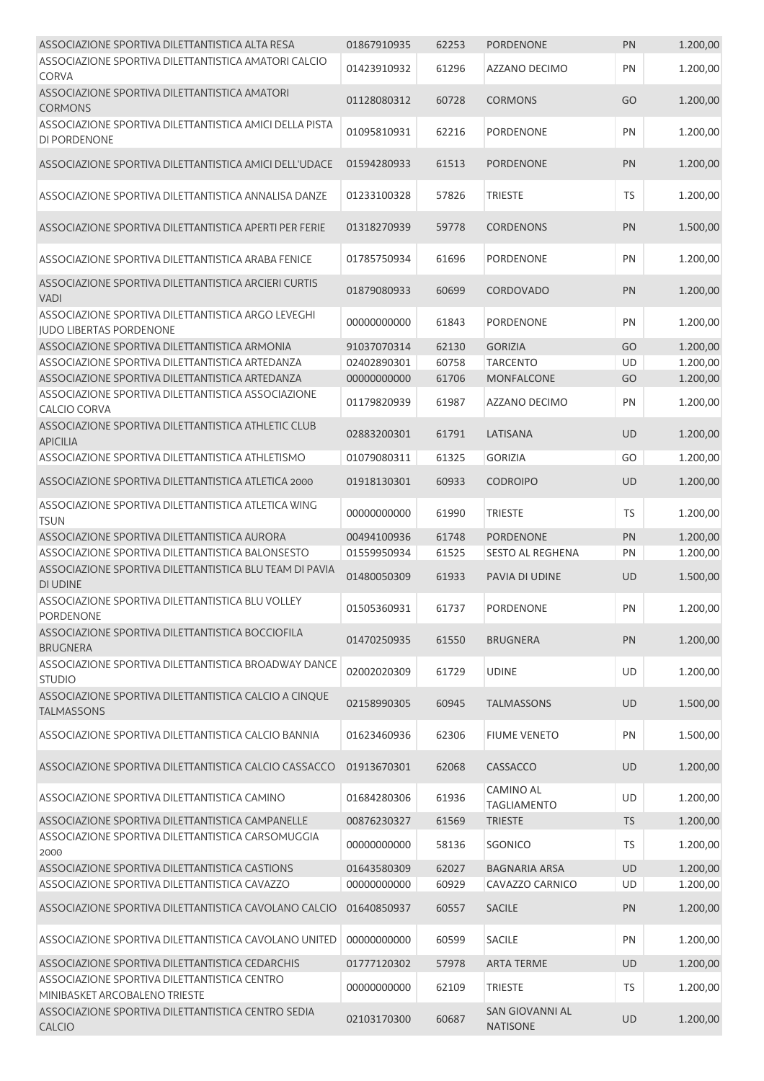| ASSOCIAZIONE SPORTIVA DILETTANTISTICA ALTA RESA                                      | 01867910935 | 62253 | <b>PORDENONE</b>                          | PN        | 1.200,00 |
|--------------------------------------------------------------------------------------|-------------|-------|-------------------------------------------|-----------|----------|
| ASSOCIAZIONE SPORTIVA DILETTANTISTICA AMATORI CALCIO<br><b>CORVA</b>                 | 01423910932 | 61296 | AZZANO DECIMO                             | PN        | 1.200,00 |
| ASSOCIAZIONE SPORTIVA DILETTANTISTICA AMATORI<br><b>CORMONS</b>                      | 01128080312 | 60728 | <b>CORMONS</b>                            | GO        | 1.200,00 |
| ASSOCIAZIONE SPORTIVA DILETTANTISTICA AMICI DELLA PISTA<br>DI PORDENONE              | 01095810931 | 62216 | <b>PORDENONE</b>                          | PN        | 1.200,00 |
| ASSOCIAZIONE SPORTIVA DILETTANTISTICA AMICI DELL'UDACE                               | 01594280933 | 61513 | <b>PORDENONE</b>                          | PN        | 1.200,00 |
| ASSOCIAZIONE SPORTIVA DILETTANTISTICA ANNALISA DANZE                                 | 01233100328 | 57826 | <b>TRIESTE</b>                            | <b>TS</b> | 1.200,00 |
| ASSOCIAZIONE SPORTIVA DILETTANTISTICA APERTI PER FERIE                               | 01318270939 | 59778 | <b>CORDENONS</b>                          | PN        | 1.500,00 |
| ASSOCIAZIONE SPORTIVA DILETTANTISTICA ARABA FENICE                                   | 01785750934 | 61696 | <b>PORDENONE</b>                          | PN        | 1.200,00 |
| ASSOCIAZIONE SPORTIVA DILETTANTISTICA ARCIERI CURTIS<br><b>VADI</b>                  | 01879080933 | 60699 | CORDOVADO                                 | PN        | 1.200,00 |
| ASSOCIAZIONE SPORTIVA DILETTANTISTICA ARGO LEVEGHI<br><b>IUDO LIBERTAS PORDENONE</b> | 00000000000 | 61843 | PORDENONE                                 | PN        | 1.200,00 |
| ASSOCIAZIONE SPORTIVA DILETTANTISTICA ARMONIA                                        | 91037070314 | 62130 | <b>GORIZIA</b>                            | GO        | 1.200,00 |
| ASSOCIAZIONE SPORTIVA DILETTANTISTICA ARTEDANZA                                      | 02402890301 | 60758 | <b>TARCENTO</b>                           | UD        | 1.200,00 |
| ASSOCIAZIONE SPORTIVA DILETTANTISTICA ARTEDANZA                                      | 00000000000 | 61706 | <b>MONFALCONE</b>                         | GO        | 1.200,00 |
| ASSOCIAZIONE SPORTIVA DILETTANTISTICA ASSOCIAZIONE<br><b>CALCIO CORVA</b>            | 01179820939 | 61987 | AZZANO DECIMO                             | PN        | 1.200,00 |
| ASSOCIAZIONE SPORTIVA DILETTANTISTICA ATHLETIC CLUB<br><b>APICILIA</b>               | 02883200301 | 61791 | LATISANA                                  | <b>UD</b> | 1.200,00 |
| ASSOCIAZIONE SPORTIVA DILETTANTISTICA ATHLETISMO                                     | 01079080311 | 61325 | <b>GORIZIA</b>                            | GO        | 1.200,00 |
| ASSOCIAZIONE SPORTIVA DILETTANTISTICA ATLETICA 2000                                  | 01918130301 | 60933 | <b>CODROIPO</b>                           | <b>UD</b> | 1.200,00 |
| ASSOCIAZIONE SPORTIVA DILETTANTISTICA ATLETICA WING<br><b>TSUN</b>                   | 00000000000 | 61990 | <b>TRIESTE</b>                            | TS        | 1.200,00 |
| ASSOCIAZIONE SPORTIVA DILETTANTISTICA AURORA                                         | 00494100936 | 61748 | <b>PORDENONE</b>                          | PN        | 1.200,00 |
| ASSOCIAZIONE SPORTIVA DILETTANTISTICA BALONSESTO                                     | 01559950934 | 61525 | <b>SESTO AL REGHENA</b>                   | PN        | 1.200,00 |
| ASSOCIAZIONE SPORTIVA DILETTANTISTICA BLU TEAM DI PAVIA<br><b>DI UDINE</b>           | 01480050309 | 61933 | PAVIA DI UDINE                            | <b>UD</b> | 1.500,00 |
| ASSOCIAZIONE SPORTIVA DILETTANTISTICA BLU VOLLEY<br><b>PORDENONE</b>                 | 01505360931 | 61737 | <b>PORDENONE</b>                          | PN        | 1.200,00 |
| ASSOCIAZIONE SPORTIVA DILETTANTISTICA BOCCIOFILA<br><b>BRUGNERA</b>                  | 01470250935 | 61550 | <b>BRUGNERA</b>                           | PN        | 1.200,00 |
| ASSOCIAZIONE SPORTIVA DILETTANTISTICA BROADWAY DANCE<br><b>STUDIO</b>                | 02002020309 | 61729 | <b>UDINE</b>                              | UD        | 1.200,00 |
| ASSOCIAZIONE SPORTIVA DILETTANTISTICA CALCIO A CINQUE<br><b>TALMASSONS</b>           | 02158990305 | 60945 | <b>TALMASSONS</b>                         | <b>UD</b> | 1.500,00 |
| ASSOCIAZIONE SPORTIVA DILETTANTISTICA CALCIO BANNIA                                  | 01623460936 | 62306 | <b>FIUME VENETO</b>                       | PN        | 1.500,00 |
| ASSOCIAZIONE SPORTIVA DILETTANTISTICA CALCIO CASSACCO                                | 01913670301 | 62068 | CASSACCO                                  | <b>UD</b> | 1.200,00 |
| ASSOCIAZIONE SPORTIVA DILETTANTISTICA CAMINO                                         | 01684280306 | 61936 | <b>CAMINO AL</b><br><b>TAGLIAMENTO</b>    | UD        | 1.200,00 |
| ASSOCIAZIONE SPORTIVA DILETTANTISTICA CAMPANELLE                                     | 00876230327 | 61569 | <b>TRIESTE</b>                            | <b>TS</b> | 1.200,00 |
| ASSOCIAZIONE SPORTIVA DILETTANTISTICA CARSOMUGGIA<br>2000                            | 00000000000 | 58136 | SGONICO                                   | <b>TS</b> | 1.200,00 |
| ASSOCIAZIONE SPORTIVA DILETTANTISTICA CASTIONS                                       | 01643580309 | 62027 | <b>BAGNARIA ARSA</b>                      | UD        | 1.200,00 |
| ASSOCIAZIONE SPORTIVA DILETTANTISTICA CAVAZZO                                        | 00000000000 | 60929 | CAVAZZO CARNICO                           | UD        | 1.200,00 |
| ASSOCIAZIONE SPORTIVA DILETTANTISTICA CAVOLANO CALCIO                                | 01640850937 | 60557 | <b>SACILE</b>                             | PN        | 1.200,00 |
| ASSOCIAZIONE SPORTIVA DILETTANTISTICA CAVOLANO UNITED                                | 00000000000 | 60599 | SACILE                                    | PN        | 1.200,00 |
| ASSOCIAZIONE SPORTIVA DILETTANTISTICA CEDARCHIS                                      | 01777120302 | 57978 | <b>ARTA TERME</b>                         | <b>UD</b> | 1.200,00 |
| ASSOCIAZIONE SPORTIVA DILETTANTISTICA CENTRO<br>MINIBASKET ARCOBALENO TRIESTE        | 00000000000 | 62109 | <b>TRIESTE</b>                            | TS        | 1.200,00 |
| ASSOCIAZIONE SPORTIVA DILETTANTISTICA CENTRO SEDIA<br>CALCIO                         | 02103170300 | 60687 | <b>SAN GIOVANNI AL</b><br><b>NATISONE</b> | UD        | 1.200,00 |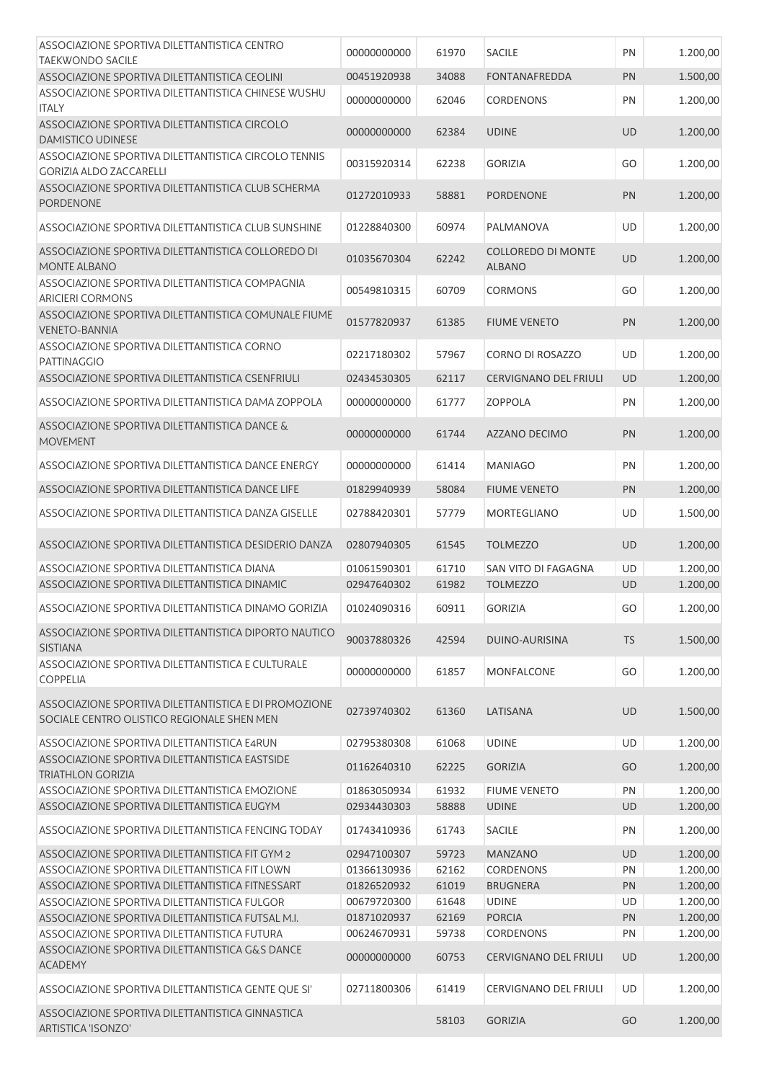| ASSOCIAZIONE SPORTIVA DILETTANTISTICA CENTRO                                                        | 00000000000                | 61970          | <b>SACILE</b>                              | PN        | 1.200,00             |
|-----------------------------------------------------------------------------------------------------|----------------------------|----------------|--------------------------------------------|-----------|----------------------|
| <b>TAEKWONDO SACILE</b><br>ASSOCIAZIONE SPORTIVA DILETTANTISTICA CEOLINI                            | 00451920938                | 34088          | <b>FONTANAFREDDA</b>                       | PN        | 1.500,00             |
| ASSOCIAZIONE SPORTIVA DILETTANTISTICA CHINESE WUSHU                                                 |                            |                |                                            |           |                      |
| <b>ITALY</b>                                                                                        | 00000000000                | 62046          | <b>CORDENONS</b>                           | PN        | 1.200,00             |
| ASSOCIAZIONE SPORTIVA DILETTANTISTICA CIRCOLO<br>DAMISTICO UDINESE                                  | 00000000000                | 62384          | <b>UDINE</b>                               | <b>UD</b> | 1.200,00             |
| ASSOCIAZIONE SPORTIVA DILETTANTISTICA CIRCOLO TENNIS<br><b>GORIZIA ALDO ZACCARELLI</b>              | 00315920314                | 62238          | <b>GORIZIA</b>                             | GO        | 1.200,00             |
| ASSOCIAZIONE SPORTIVA DILETTANTISTICA CLUB SCHERMA<br><b>PORDENONE</b>                              | 01272010933                | 58881          | <b>PORDENONE</b>                           | PN        | 1.200,00             |
| ASSOCIAZIONE SPORTIVA DILETTANTISTICA CLUB SUNSHINE                                                 | 01228840300                | 60974          | PALMANOVA                                  | UD        | 1.200,00             |
| ASSOCIAZIONE SPORTIVA DILETTANTISTICA COLLOREDO DI<br>MONTE ALBANO                                  | 01035670304                | 62242          | <b>COLLOREDO DI MONTE</b><br><b>ALBANO</b> | <b>UD</b> | 1.200,00             |
| ASSOCIAZIONE SPORTIVA DILETTANTISTICA COMPAGNIA<br><b>ARICIERI CORMONS</b>                          | 00549810315                | 60709          | <b>CORMONS</b>                             | GO        | 1.200,00             |
| ASSOCIAZIONE SPORTIVA DILETTANTISTICA COMUNALE FIUME<br><b>VENETO-BANNIA</b>                        | 01577820937                | 61385          | <b>FIUME VENETO</b>                        | PN        | 1.200,00             |
| ASSOCIAZIONE SPORTIVA DILETTANTISTICA CORNO<br>PATTINAGGIO                                          | 02217180302                | 57967          | CORNO DI ROSAZZO                           | UD        | 1.200,00             |
| ASSOCIAZIONE SPORTIVA DILETTANTISTICA CSENFRIULI                                                    | 02434530305                | 62117          | <b>CERVIGNANO DEL FRIULI</b>               | <b>UD</b> | 1.200,00             |
| ASSOCIAZIONE SPORTIVA DILETTANTISTICA DAMA ZOPPOLA                                                  | 00000000000                | 61777          | <b>ZOPPOLA</b>                             | PN        | 1.200,00             |
| ASSOCIAZIONE SPORTIVA DILETTANTISTICA DANCE &<br><b>MOVEMENT</b>                                    | 00000000000                | 61744          | AZZANO DECIMO                              | PN        | 1.200,00             |
| ASSOCIAZIONE SPORTIVA DILETTANTISTICA DANCE ENERGY                                                  | 00000000000                | 61414          | <b>MANIAGO</b>                             | PN        | 1.200,00             |
| ASSOCIAZIONE SPORTIVA DILETTANTISTICA DANCE LIFE                                                    | 01829940939                | 58084          | <b>FIUME VENETO</b>                        | PN        | 1.200,00             |
| ASSOCIAZIONE SPORTIVA DILETTANTISTICA DANZA GISELLE                                                 | 02788420301                | 57779          | <b>MORTEGLIANO</b>                         | UD        | 1.500,00             |
| ASSOCIAZIONE SPORTIVA DILETTANTISTICA DESIDERIO DANZA                                               | 02807940305                | 61545          | <b>TOLMEZZO</b>                            | <b>UD</b> | 1.200,00             |
| ASSOCIAZIONE SPORTIVA DILETTANTISTICA DIANA                                                         | 01061590301                | 61710          | SAN VITO DI FAGAGNA                        | UD        | 1.200,00             |
| ASSOCIAZIONE SPORTIVA DILETTANTISTICA DINAMIC                                                       | 02947640302                | 61982          | <b>TOLMEZZO</b>                            | <b>UD</b> | 1.200,00             |
| ASSOCIAZIONE SPORTIVA DILETTANTISTICA DINAMO GORIZIA                                                | 01024090316                | 60911          | <b>GORIZIA</b>                             | GO        | 1.200,00             |
| ASSOCIAZIONE SPORTIVA DILETTANTISTICA DIPORTO NAUTICO<br><b>SISTIANA</b>                            | 90037880326                | 42594          | DUINO-AURISINA                             | <b>TS</b> | 1.500,00             |
| ASSOCIAZIONE SPORTIVA DILETTANTISTICA E CULTURALE<br><b>COPPELIA</b>                                | 00000000000                | 61857          | MONFALCONE                                 | GO        | 1.200,00             |
| ASSOCIAZIONE SPORTIVA DILETTANTISTICA E DI PROMOZIONE<br>SOCIALE CENTRO OLISTICO REGIONALE SHEN MEN | 02739740302                | 61360          | LATISANA                                   | <b>UD</b> | 1.500,00             |
| ASSOCIAZIONE SPORTIVA DILETTANTISTICA E4RUN                                                         | 02795380308                | 61068          | <b>UDINE</b>                               | UD        | 1.200,00             |
| ASSOCIAZIONE SPORTIVA DILETTANTISTICA EASTSIDE<br><b>TRIATHLON GORIZIA</b>                          | 01162640310                | 62225          | <b>GORIZIA</b>                             | GO        | 1.200,00             |
| ASSOCIAZIONE SPORTIVA DILETTANTISTICA EMOZIONE                                                      | 01863050934                | 61932          | <b>FIUME VENETO</b>                        | PN        | 1.200,00             |
| ASSOCIAZIONE SPORTIVA DILETTANTISTICA EUGYM                                                         | 02934430303                | 58888          | <b>UDINE</b>                               | UD        | 1.200,00             |
| ASSOCIAZIONE SPORTIVA DILETTANTISTICA FENCING TODAY                                                 | 01743410936                | 61743          | <b>SACILE</b>                              | PN        | 1.200,00             |
| ASSOCIAZIONE SPORTIVA DILETTANTISTICA FIT GYM 2                                                     | 02947100307                | 59723          | <b>MANZANO</b>                             | <b>UD</b> | 1.200,00             |
| ASSOCIAZIONE SPORTIVA DILETTANTISTICA FIT LOWN<br>ASSOCIAZIONE SPORTIVA DILETTANTISTICA FITNESSART  | 01366130936                | 62162          | <b>CORDENONS</b>                           | PN<br>PN  | 1.200,00             |
| ASSOCIAZIONE SPORTIVA DILETTANTISTICA FULGOR                                                        | 01826520932<br>00679720300 | 61019<br>61648 | <b>BRUGNERA</b><br><b>UDINE</b>            | UD        | 1.200,00<br>1.200,00 |
| ASSOCIAZIONE SPORTIVA DILETTANTISTICA FUTSAL M.I.                                                   | 01871020937                | 62169          | <b>PORCIA</b>                              | PN        | 1.200,00             |
| ASSOCIAZIONE SPORTIVA DILETTANTISTICA FUTURA                                                        | 00624670931                | 59738          | <b>CORDENONS</b>                           | PN        | 1.200,00             |
| ASSOCIAZIONE SPORTIVA DILETTANTISTICA G&S DANCE                                                     |                            |                |                                            |           |                      |
| <b>ACADEMY</b>                                                                                      | 00000000000                | 60753          | <b>CERVIGNANO DEL FRIULI</b>               | <b>UD</b> | 1.200,00             |
| ASSOCIAZIONE SPORTIVA DILETTANTISTICA GENTE QUE SI'                                                 | 02711800306                | 61419          | <b>CERVIGNANO DEL FRIULI</b>               | <b>UD</b> | 1.200,00             |
| ASSOCIAZIONE SPORTIVA DILETTANTISTICA GINNASTICA<br>ARTISTICA 'ISONZO'                              |                            | 58103          | <b>GORIZIA</b>                             | GO        | 1.200,00             |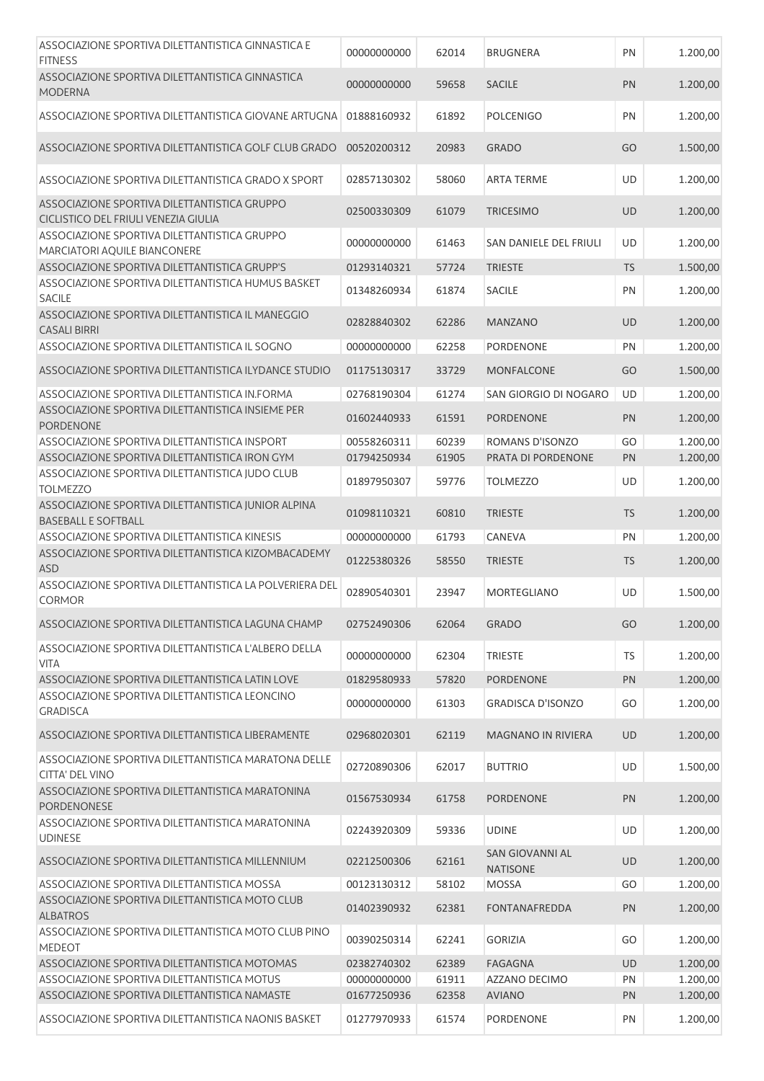| ASSOCIAZIONE SPORTIVA DILETTANTISTICA GINNASTICA E<br><b>FITNESS</b>                 | 00000000000 | 62014 | <b>BRUGNERA</b>                           | PN        | 1.200,00 |
|--------------------------------------------------------------------------------------|-------------|-------|-------------------------------------------|-----------|----------|
| ASSOCIAZIONE SPORTIVA DILETTANTISTICA GINNASTICA<br><b>MODERNA</b>                   | 00000000000 | 59658 | <b>SACILE</b>                             | PN        | 1.200,00 |
| ASSOCIAZIONE SPORTIVA DILETTANTISTICA GIOVANE ARTUGNA                                | 01888160932 | 61892 | <b>POLCENIGO</b>                          | PN        | 1.200,00 |
| ASSOCIAZIONE SPORTIVA DILETTANTISTICA GOLF CLUB GRADO                                | 00520200312 | 20983 | <b>GRADO</b>                              | GO        | 1.500,00 |
| ASSOCIAZIONE SPORTIVA DILETTANTISTICA GRADO X SPORT                                  | 02857130302 | 58060 | <b>ARTA TERME</b>                         | UD        | 1.200,00 |
| ASSOCIAZIONE SPORTIVA DILETTANTISTICA GRUPPO<br>CICLISTICO DEL FRIULI VENEZIA GIULIA | 02500330309 | 61079 | <b>TRICESIMO</b>                          | UD        | 1.200,00 |
| ASSOCIAZIONE SPORTIVA DILETTANTISTICA GRUPPO<br>MARCIATORI AQUILE BIANCONERE         | 00000000000 | 61463 | SAN DANIELE DEL FRIULI                    | UD        | 1.200,00 |
| ASSOCIAZIONE SPORTIVA DILETTANTISTICA GRUPP'S                                        | 01293140321 | 57724 | <b>TRIESTE</b>                            | <b>TS</b> | 1.500,00 |
| ASSOCIAZIONE SPORTIVA DILETTANTISTICA HUMUS BASKET<br><b>SACILE</b>                  | 01348260934 | 61874 | <b>SACILE</b>                             | PN        | 1.200,00 |
| ASSOCIAZIONE SPORTIVA DILETTANTISTICA IL MANEGGIO<br><b>CASALI BIRRI</b>             | 02828840302 | 62286 | <b>MANZANO</b>                            | <b>UD</b> | 1.200,00 |
| ASSOCIAZIONE SPORTIVA DILETTANTISTICA IL SOGNO                                       | 00000000000 | 62258 | PORDENONE                                 | PN        | 1.200,00 |
| ASSOCIAZIONE SPORTIVA DILETTANTISTICA ILYDANCE STUDIO                                | 01175130317 | 33729 | <b>MONFALCONE</b>                         | GO        | 1.500,00 |
| ASSOCIAZIONE SPORTIVA DILETTANTISTICA IN FORMA                                       | 02768190304 | 61274 | SAN GIORGIO DI NOGARO                     | UD        | 1.200,00 |
| ASSOCIAZIONE SPORTIVA DILETTANTISTICA INSIEME PER<br><b>PORDENONE</b>                | 01602440933 | 61591 | <b>PORDENONE</b>                          | PN        | 1.200,00 |
| ASSOCIAZIONE SPORTIVA DILETTANTISTICA INSPORT                                        | 00558260311 | 60239 | ROMANS D'ISONZO                           | GO        | 1.200,00 |
| ASSOCIAZIONE SPORTIVA DILETTANTISTICA IRON GYM                                       | 01794250934 | 61905 | PRATA DI PORDENONE                        | PN        | 1.200,00 |
| ASSOCIAZIONE SPORTIVA DILETTANTISTICA JUDO CLUB<br><b>TOLMEZZO</b>                   | 01897950307 | 59776 | <b>TOLMEZZO</b>                           | UD        | 1.200,00 |
| ASSOCIAZIONE SPORTIVA DILETTANTISTICA JUNIOR ALPINA<br><b>BASEBALL E SOFTBALL</b>    | 01098110321 | 60810 | <b>TRIESTE</b>                            | <b>TS</b> | 1.200,00 |
| ASSOCIAZIONE SPORTIVA DILETTANTISTICA KINESIS                                        | 00000000000 | 61793 | CANEVA                                    | PN        | 1.200,00 |
| ASSOCIAZIONE SPORTIVA DILETTANTISTICA KIZOMBACADEMY<br><b>ASD</b>                    | 01225380326 | 58550 | <b>TRIESTE</b>                            | <b>TS</b> | 1.200,00 |
| ASSOCIAZIONE SPORTIVA DILETTANTISTICA LA POLVERIERA DEL<br><b>CORMOR</b>             | 02890540301 | 23947 | <b>MORTEGLIANO</b>                        | UD        | 1.500,00 |
| ASSOCIAZIONE SPORTIVA DILETTANTISTICA LAGUNA CHAMP                                   | 02752490306 | 62064 | <b>GRADO</b>                              | GO        | 1.200,00 |
| ASSOCIAZIONE SPORTIVA DILETTANTISTICA L'ALBERO DELLA<br><b>VITA</b>                  | 00000000000 | 62304 | <b>TRIESTE</b>                            | TS        | 1.200,00 |
| ASSOCIAZIONE SPORTIVA DILETTANTISTICA LATIN LOVE                                     | 01829580933 | 57820 | <b>PORDENONE</b>                          | PN        | 1.200,00 |
| ASSOCIAZIONE SPORTIVA DILETTANTISTICA LEONCINO<br><b>GRADISCA</b>                    | 00000000000 | 61303 | <b>GRADISCA D'ISONZO</b>                  | GO        | 1.200,00 |
| ASSOCIAZIONE SPORTIVA DILETTANTISTICA LIBERAMENTE                                    | 02968020301 | 62119 | <b>MAGNANO IN RIVIERA</b>                 | <b>UD</b> | 1.200,00 |
| ASSOCIAZIONE SPORTIVA DILETTANTISTICA MARATONA DELLE<br><b>CITTA' DEL VINO</b>       | 02720890306 | 62017 | <b>BUTTRIO</b>                            | UD        | 1.500,00 |
| ASSOCIAZIONE SPORTIVA DILETTANTISTICA MARATONINA<br>PORDENONESE                      | 01567530934 | 61758 | <b>PORDENONE</b>                          | PN        | 1.200,00 |
| ASSOCIAZIONE SPORTIVA DILETTANTISTICA MARATONINA<br><b>UDINESE</b>                   | 02243920309 | 59336 | <b>UDINE</b>                              | UD        | 1.200,00 |
| ASSOCIAZIONE SPORTIVA DILETTANTISTICA MILLENNIUM                                     | 02212500306 | 62161 | <b>SAN GIOVANNI AL</b><br><b>NATISONE</b> | UD        | 1.200,00 |
| ASSOCIAZIONE SPORTIVA DILETTANTISTICA MOSSA                                          | 00123130312 | 58102 | <b>MOSSA</b>                              | GO        | 1.200,00 |
| ASSOCIAZIONE SPORTIVA DILETTANTISTICA MOTO CLUB<br><b>ALBATROS</b>                   | 01402390932 | 62381 | <b>FONTANAFREDDA</b>                      | PN        | 1.200,00 |
| ASSOCIAZIONE SPORTIVA DILETTANTISTICA MOTO CLUB PINO<br><b>MEDEOT</b>                | 00390250314 | 62241 | <b>GORIZIA</b>                            | GO        | 1.200,00 |
| ASSOCIAZIONE SPORTIVA DILETTANTISTICA MOTOMAS                                        | 02382740302 | 62389 | <b>FAGAGNA</b>                            | <b>UD</b> | 1.200,00 |
| ASSOCIAZIONE SPORTIVA DILETTANTISTICA MOTUS                                          | 00000000000 | 61911 | AZZANO DECIMO                             | PN        | 1.200,00 |
| ASSOCIAZIONE SPORTIVA DILETTANTISTICA NAMASTE                                        | 01677250936 | 62358 | <b>AVIANO</b>                             | PN        | 1.200,00 |
| ASSOCIAZIONE SPORTIVA DILETTANTISTICA NAONIS BASKET                                  | 01277970933 | 61574 | PORDENONE                                 | PN        | 1.200,00 |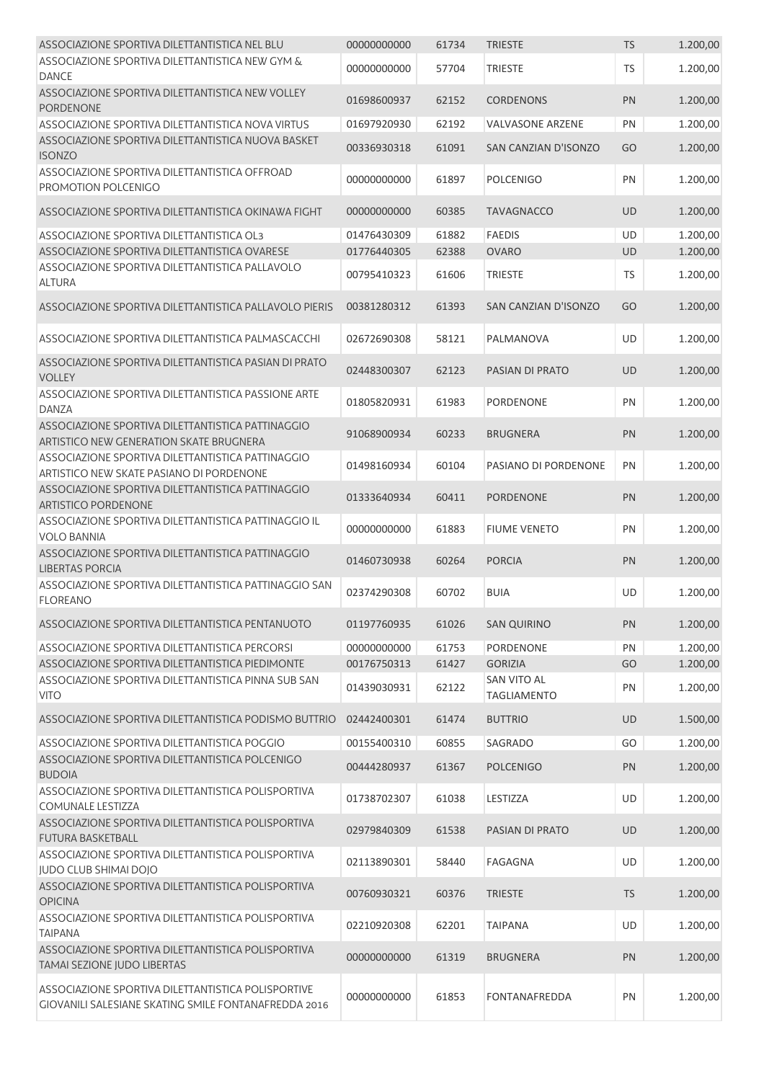| ASSOCIAZIONE SPORTIVA DILETTANTISTICA NEL BLU                                                              | 00000000000 | 61734 | <b>TRIESTE</b>                    | <b>TS</b> | 1.200,00 |
|------------------------------------------------------------------------------------------------------------|-------------|-------|-----------------------------------|-----------|----------|
| ASSOCIAZIONE SPORTIVA DILETTANTISTICA NEW GYM &<br><b>DANCE</b>                                            | 00000000000 | 57704 | <b>TRIESTE</b>                    | <b>TS</b> | 1.200,00 |
| ASSOCIAZIONE SPORTIVA DILETTANTISTICA NEW VOLLEY<br><b>PORDENONE</b>                                       | 01698600937 | 62152 | <b>CORDENONS</b>                  | PN        | 1.200,00 |
| ASSOCIAZIONE SPORTIVA DILETTANTISTICA NOVA VIRTUS                                                          | 01697920930 | 62192 | <b>VALVASONE ARZENE</b>           | PN        | 1.200,00 |
| ASSOCIAZIONE SPORTIVA DILETTANTISTICA NUOVA BASKET<br><b>ISONZO</b>                                        | 00336930318 | 61091 | SAN CANZIAN D'ISONZO              | GO        | 1.200,00 |
| ASSOCIAZIONE SPORTIVA DILETTANTISTICA OFFROAD<br>PROMOTION POLCENIGO                                       | 00000000000 | 61897 | <b>POLCENIGO</b>                  | PN        | 1.200,00 |
| ASSOCIAZIONE SPORTIVA DILETTANTISTICA OKINAWA FIGHT                                                        | 00000000000 | 60385 | <b>TAVAGNACCO</b>                 | <b>UD</b> | 1.200,00 |
| ASSOCIAZIONE SPORTIVA DILETTANTISTICA OL3                                                                  | 01476430309 | 61882 | <b>FAEDIS</b>                     | UD        | 1.200,00 |
| ASSOCIAZIONE SPORTIVA DILETTANTISTICA OVARESE                                                              | 01776440305 | 62388 | <b>OVARO</b>                      | UD        | 1.200,00 |
| ASSOCIAZIONE SPORTIVA DILETTANTISTICA PALLAVOLO<br><b>ALTURA</b>                                           | 00795410323 | 61606 | <b>TRIESTE</b>                    | <b>TS</b> | 1.200,00 |
| ASSOCIAZIONE SPORTIVA DILETTANTISTICA PALLAVOLO PIERIS                                                     | 00381280312 | 61393 | SAN CANZIAN D'ISONZO              | GO        | 1.200,00 |
| ASSOCIAZIONE SPORTIVA DILETTANTISTICA PALMASCACCHI                                                         | 02672690308 | 58121 | PALMANOVA                         | UD        | 1.200,00 |
| ASSOCIAZIONE SPORTIVA DILETTANTISTICA PASIAN DI PRATO<br><b>VOLLEY</b>                                     | 02448300307 | 62123 | PASIAN DI PRATO                   | <b>UD</b> | 1.200,00 |
| ASSOCIAZIONE SPORTIVA DILETTANTISTICA PASSIONE ARTE<br><b>DANZA</b>                                        | 01805820931 | 61983 | <b>PORDENONE</b>                  | PN        | 1.200,00 |
| ASSOCIAZIONE SPORTIVA DILETTANTISTICA PATTINAGGIO<br>ARTISTICO NEW GENERATION SKATE BRUGNERA               | 91068900934 | 60233 | <b>BRUGNERA</b>                   | PN        | 1.200,00 |
| ASSOCIAZIONE SPORTIVA DILETTANTISTICA PATTINAGGIO<br>ARTISTICO NEW SKATE PASIANO DI PORDENONE              | 01498160934 | 60104 | PASIANO DI PORDENONE              | PN        | 1.200,00 |
| ASSOCIAZIONE SPORTIVA DILETTANTISTICA PATTINAGGIO<br><b>ARTISTICO PORDENONE</b>                            | 01333640934 | 60411 | <b>PORDENONE</b>                  | PN        | 1.200,00 |
| ASSOCIAZIONE SPORTIVA DILETTANTISTICA PATTINAGGIO IL<br><b>VOLO BANNIA</b>                                 | 00000000000 | 61883 | <b>FIUME VENETO</b>               | PN        | 1.200,00 |
| ASSOCIAZIONE SPORTIVA DILETTANTISTICA PATTINAGGIO<br><b>LIBERTAS PORCIA</b>                                | 01460730938 | 60264 | <b>PORCIA</b>                     | PN        | 1.200,00 |
| ASSOCIAZIONE SPORTIVA DILETTANTISTICA PATTINAGGIO SAN<br><b>FLOREANO</b>                                   | 02374290308 | 60702 | <b>BUIA</b>                       | UD        | 1.200,00 |
| ASSOCIAZIONE SPORTIVA DILETTANTISTICA PENTANUOTO                                                           | 01197760935 | 61026 | <b>SAN QUIRINO</b>                | PN        | 1.200,00 |
| ASSOCIAZIONE SPORTIVA DILETTANTISTICA PERCORSI                                                             | 00000000000 | 61753 | <b>PORDENONE</b>                  | PN        | 1.200,00 |
| ASSOCIAZIONE SPORTIVA DILETTANTISTICA PIEDIMONTE                                                           | 00176750313 | 61427 | <b>GORIZIA</b>                    | GO        | 1.200,00 |
| ASSOCIAZIONE SPORTIVA DILETTANTISTICA PINNA SUB SAN<br><b>VITO</b>                                         | 01439030931 | 62122 | SAN VITO AL<br><b>TAGLIAMENTO</b> | PN        | 1.200,00 |
| ASSOCIAZIONE SPORTIVA DILETTANTISTICA PODISMO BUTTRIO                                                      | 02442400301 | 61474 | <b>BUTTRIO</b>                    | <b>UD</b> | 1.500,00 |
| ASSOCIAZIONE SPORTIVA DILETTANTISTICA POGGIO                                                               | 00155400310 | 60855 | SAGRADO                           | GO        | 1.200,00 |
| ASSOCIAZIONE SPORTIVA DILETTANTISTICA POLCENIGO<br><b>BUDOIA</b>                                           | 00444280937 | 61367 | <b>POLCENIGO</b>                  | PN        | 1.200,00 |
| ASSOCIAZIONE SPORTIVA DILETTANTISTICA POLISPORTIVA<br>COMUNALE LESTIZZA                                    | 01738702307 | 61038 | LESTIZZA                          | UD        | 1.200,00 |
| ASSOCIAZIONE SPORTIVA DILETTANTISTICA POLISPORTIVA<br><b>FUTURA BASKETBALL</b>                             | 02979840309 | 61538 | PASIAN DI PRATO                   | <b>UD</b> | 1.200,00 |
| ASSOCIAZIONE SPORTIVA DILETTANTISTICA POLISPORTIVA<br>JUDO CLUB SHIMAI DOJO                                | 02113890301 | 58440 | FAGAGNA                           | UD        | 1.200,00 |
| ASSOCIAZIONE SPORTIVA DILETTANTISTICA POLISPORTIVA<br><b>OPICINA</b>                                       | 00760930321 | 60376 | <b>TRIESTE</b>                    | <b>TS</b> | 1.200,00 |
| ASSOCIAZIONE SPORTIVA DILETTANTISTICA POLISPORTIVA<br><b>TAIPANA</b>                                       | 02210920308 | 62201 | <b>TAIPANA</b>                    | UD        | 1.200,00 |
| ASSOCIAZIONE SPORTIVA DILETTANTISTICA POLISPORTIVA<br>TAMAI SEZIONE JUDO LIBERTAS                          | 00000000000 | 61319 | <b>BRUGNERA</b>                   | PN        | 1.200,00 |
| ASSOCIAZIONE SPORTIVA DILETTANTISTICA POLISPORTIVE<br>GIOVANILI SALESIANE SKATING SMILE FONTANAFREDDA 2016 | 00000000000 | 61853 | FONTANAFREDDA                     | PN        | 1.200,00 |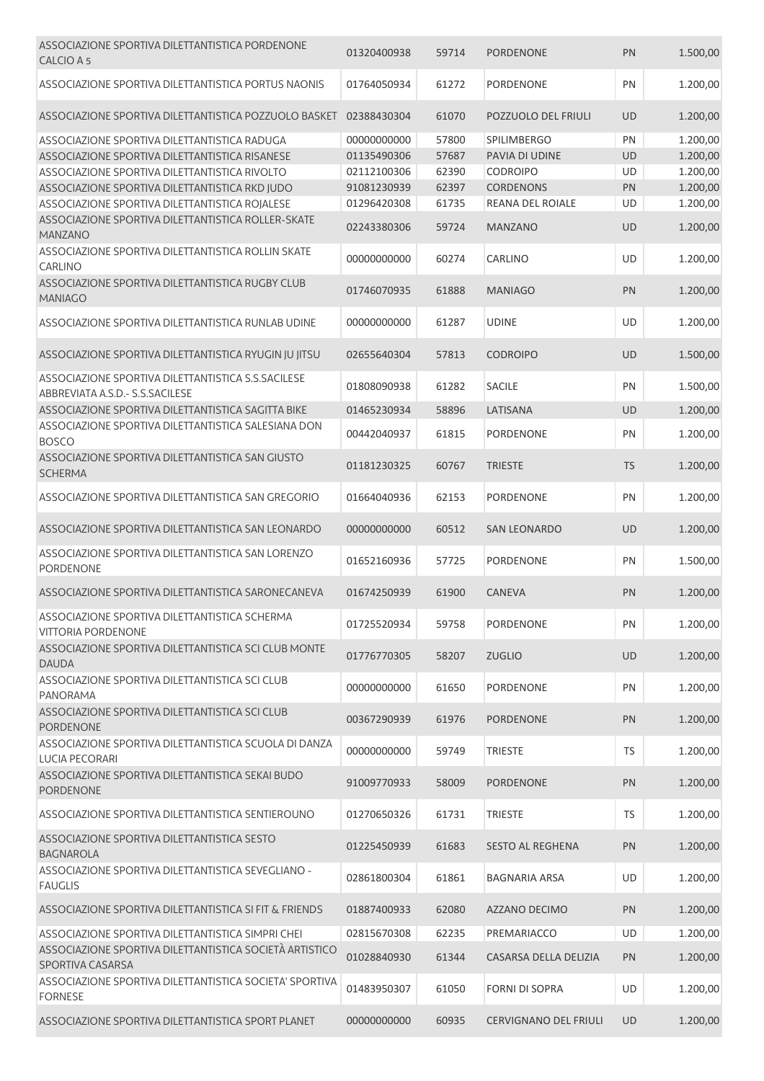| ASSOCIAZIONE SPORTIVA DILETTANTISTICA PORDENONE<br>CALCIO A 5                          | 01320400938 | 59714 | <b>PORDENONE</b>             | PN        | 1.500,00 |
|----------------------------------------------------------------------------------------|-------------|-------|------------------------------|-----------|----------|
| ASSOCIAZIONE SPORTIVA DILETTANTISTICA PORTUS NAONIS                                    | 01764050934 | 61272 | <b>PORDENONE</b>             | PN        | 1.200,00 |
| ASSOCIAZIONE SPORTIVA DILETTANTISTICA POZZUOLO BASKET                                  | 02388430304 | 61070 | POZZUOLO DEL FRIULI          | <b>UD</b> | 1.200,00 |
| ASSOCIAZIONE SPORTIVA DILETTANTISTICA RADUGA                                           | 00000000000 | 57800 | <b>SPILIMBERGO</b>           | PN        | 1.200,00 |
| ASSOCIAZIONE SPORTIVA DILETTANTISTICA RISANESE                                         | 01135490306 | 57687 | PAVIA DI UDINE               | UD        | 1.200,00 |
| ASSOCIAZIONE SPORTIVA DILETTANTISTICA RIVOLTO                                          | 02112100306 | 62390 | <b>CODROIPO</b>              | UD        | 1.200,00 |
| ASSOCIAZIONE SPORTIVA DILETTANTISTICA RKD JUDO                                         | 91081230939 | 62397 | <b>CORDENONS</b>             | PN        | 1.200,00 |
| ASSOCIAZIONE SPORTIVA DILETTANTISTICA ROJALESE                                         | 01296420308 | 61735 | REANA DEL ROIALE             | UD        | 1.200,00 |
| ASSOCIAZIONE SPORTIVA DILETTANTISTICA ROLLER-SKATE<br>MANZANO                          | 02243380306 | 59724 | <b>MANZANO</b>               | <b>UD</b> | 1.200,00 |
| ASSOCIAZIONE SPORTIVA DILETTANTISTICA ROLLIN SKATE<br><b>CARLINO</b>                   | 00000000000 | 60274 | CARLINO                      | UD        | 1.200,00 |
| ASSOCIAZIONE SPORTIVA DILETTANTISTICA RUGBY CLUB<br><b>MANIAGO</b>                     | 01746070935 | 61888 | <b>MANIAGO</b>               | PN        | 1.200,00 |
| ASSOCIAZIONE SPORTIVA DILETTANTISTICA RUNLAB UDINE                                     | 00000000000 | 61287 | <b>UDINE</b>                 | UD        | 1.200,00 |
| ASSOCIAZIONE SPORTIVA DILETTANTISTICA RYUGIN JU JITSU                                  | 02655640304 | 57813 | <b>CODROIPO</b>              | <b>UD</b> | 1.500,00 |
| ASSOCIAZIONE SPORTIVA DILETTANTISTICA S.S.SACILESE<br>ABBREVIATA A.S.D. - S.S.SACILESE | 01808090938 | 61282 | SACILE                       | PN        | 1.500,00 |
| ASSOCIAZIONE SPORTIVA DILETTANTISTICA SAGITTA BIKE                                     | 01465230934 | 58896 | LATISANA                     | <b>UD</b> | 1.200,00 |
| ASSOCIAZIONE SPORTIVA DILETTANTISTICA SALESIANA DON<br><b>BOSCO</b>                    | 00442040937 | 61815 | PORDENONE                    | PN        | 1.200,00 |
| ASSOCIAZIONE SPORTIVA DILETTANTISTICA SAN GIUSTO<br><b>SCHERMA</b>                     | 01181230325 | 60767 | <b>TRIESTE</b>               | <b>TS</b> | 1.200,00 |
| ASSOCIAZIONE SPORTIVA DILETTANTISTICA SAN GREGORIO                                     | 01664040936 | 62153 | PORDENONE                    | PN        | 1.200,00 |
| ASSOCIAZIONE SPORTIVA DILETTANTISTICA SAN LEONARDO                                     | 00000000000 | 60512 | <b>SAN LEONARDO</b>          | UD        | 1.200,00 |
| ASSOCIAZIONE SPORTIVA DILETTANTISTICA SAN LORENZO<br>PORDENONE                         | 01652160936 | 57725 | PORDENONE                    | PN        | 1.500,00 |
| ASSOCIAZIONE SPORTIVA DILETTANTISTICA SARONECANEVA                                     | 01674250939 | 61900 | CANEVA                       | PN        | 1.200,00 |
| ASSOCIAZIONE SPORTIVA DILETTANTISTICA SCHERMA<br><b>VITTORIA PORDENONE</b>             | 01725520934 | 59758 | PORDENONE                    | PN        | 1.200,00 |
| ASSOCIAZIONE SPORTIVA DILETTANTISTICA SCI CLUB MONTE<br><b>DAUDA</b>                   | 01776770305 | 58207 | <b>ZUGLIO</b>                | <b>UD</b> | 1.200,00 |
| ASSOCIAZIONE SPORTIVA DILETTANTISTICA SCI CLUB<br><b>PANORAMA</b>                      | 00000000000 | 61650 | <b>PORDENONE</b>             | PN        | 1.200,00 |
| ASSOCIAZIONE SPORTIVA DILETTANTISTICA SCI CLUB<br><b>PORDENONE</b>                     | 00367290939 | 61976 | <b>PORDENONE</b>             | PN        | 1.200,00 |
| ASSOCIAZIONE SPORTIVA DILETTANTISTICA SCUOLA DI DANZA<br><b>LUCIA PECORARI</b>         | 00000000000 | 59749 | <b>TRIESTE</b>               | <b>TS</b> | 1.200,00 |
| ASSOCIAZIONE SPORTIVA DILETTANTISTICA SEKAI BUDO<br><b>PORDENONE</b>                   | 91009770933 | 58009 | <b>PORDENONE</b>             | PN        | 1.200,00 |
| ASSOCIAZIONE SPORTIVA DILETTANTISTICA SENTIEROUNO                                      | 01270650326 | 61731 | <b>TRIESTE</b>               | TS        | 1.200,00 |
| ASSOCIAZIONE SPORTIVA DILETTANTISTICA SESTO<br><b>BAGNAROLA</b>                        | 01225450939 | 61683 | <b>SESTO AL REGHENA</b>      | PN        | 1.200,00 |
| ASSOCIAZIONE SPORTIVA DILETTANTISTICA SEVEGLIANO -<br><b>FAUGLIS</b>                   | 02861800304 | 61861 | <b>BAGNARIA ARSA</b>         | UD        | 1.200,00 |
| ASSOCIAZIONE SPORTIVA DILETTANTISTICA SI FIT & FRIENDS                                 | 01887400933 | 62080 | AZZANO DECIMO                | PN        | 1.200,00 |
| ASSOCIAZIONE SPORTIVA DILETTANTISTICA SIMPRI CHEI                                      | 02815670308 | 62235 | PREMARIACCO                  | UD        | 1.200,00 |
| ASSOCIAZIONE SPORTIVA DILETTANTISTICA SOCIETÀ ARTISTICO<br>SPORTIVA CASARSA            | 01028840930 | 61344 | CASARSA DELLA DELIZIA        | PN        | 1.200,00 |
| ASSOCIAZIONE SPORTIVA DILETTANTISTICA SOCIETA' SPORTIVA<br><b>FORNESE</b>              | 01483950307 | 61050 | <b>FORNI DI SOPRA</b>        | UD        | 1.200,00 |
| ASSOCIAZIONE SPORTIVA DILETTANTISTICA SPORT PLANET                                     | 00000000000 | 60935 | <b>CERVIGNANO DEL FRIULI</b> | UD        | 1.200,00 |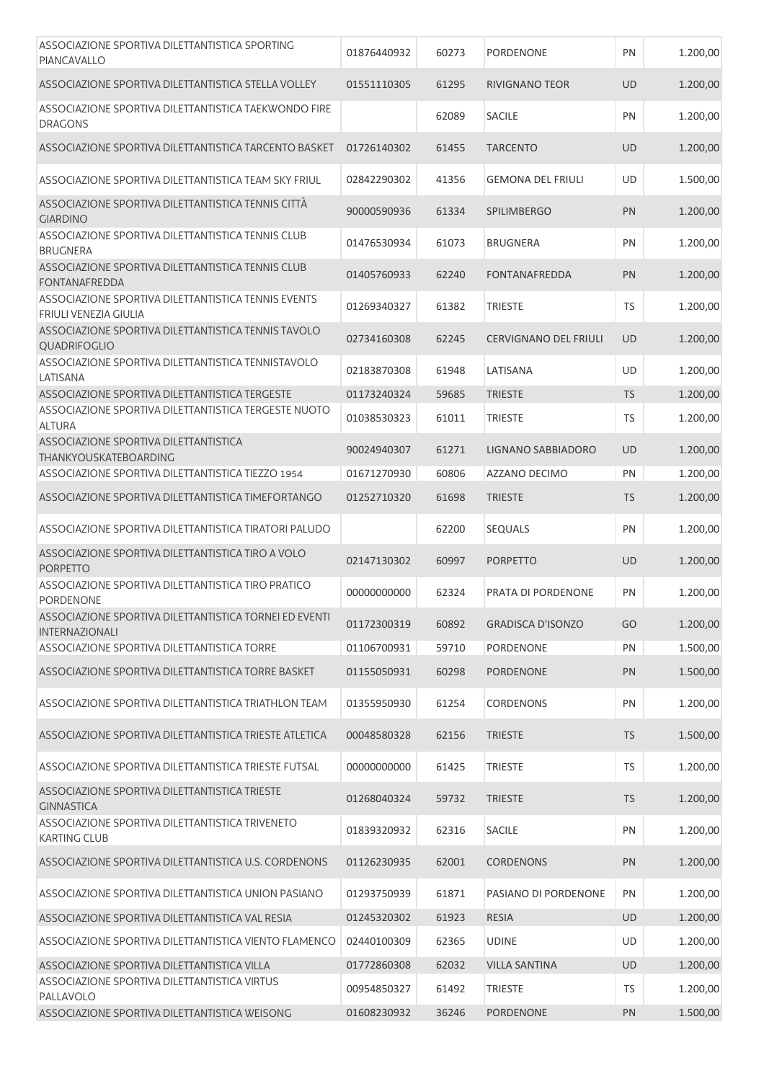| ASSOCIAZIONE SPORTIVA DILETTANTISTICA SPORTING<br>PIANCAVALLO                       | 01876440932 | 60273 | PORDENONE                    | PN        | 1.200,00 |
|-------------------------------------------------------------------------------------|-------------|-------|------------------------------|-----------|----------|
| ASSOCIAZIONE SPORTIVA DILETTANTISTICA STELLA VOLLEY                                 | 01551110305 | 61295 | <b>RIVIGNANO TEOR</b>        | <b>UD</b> | 1.200,00 |
| ASSOCIAZIONE SPORTIVA DILETTANTISTICA TAEKWONDO FIRE<br><b>DRAGONS</b>              |             | 62089 | <b>SACILE</b>                | PN        | 1.200,00 |
| ASSOCIAZIONE SPORTIVA DILETTANTISTICA TARCENTO BASKET                               | 01726140302 | 61455 | <b>TARCENTO</b>              | <b>UD</b> | 1.200,00 |
| ASSOCIAZIONE SPORTIVA DILETTANTISTICA TEAM SKY FRIUL                                | 02842290302 | 41356 | <b>GEMONA DEL FRIULI</b>     | UD        | 1.500,00 |
| ASSOCIAZIONE SPORTIVA DILETTANTISTICA TENNIS CITTÀ<br><b>GIARDINO</b>               | 90000590936 | 61334 | <b>SPILIMBERGO</b>           | PN        | 1.200,00 |
| ASSOCIAZIONE SPORTIVA DILETTANTISTICA TENNIS CLUB<br><b>BRUGNERA</b>                | 01476530934 | 61073 | <b>BRUGNERA</b>              | PN        | 1.200,00 |
| ASSOCIAZIONE SPORTIVA DILETTANTISTICA TENNIS CLUB<br><b>FONTANAFREDDA</b>           | 01405760933 | 62240 | <b>FONTANAFREDDA</b>         | PN        | 1.200,00 |
| ASSOCIAZIONE SPORTIVA DILETTANTISTICA TENNIS EVENTS<br><b>FRIULI VENEZIA GIULIA</b> | 01269340327 | 61382 | <b>TRIESTE</b>               | <b>TS</b> | 1.200,00 |
| ASSOCIAZIONE SPORTIVA DILETTANTISTICA TENNIS TAVOLO<br>QUADRIFOGLIO                 | 02734160308 | 62245 | <b>CERVIGNANO DEL FRIULI</b> | <b>UD</b> | 1.200,00 |
| ASSOCIAZIONE SPORTIVA DILETTANTISTICA TENNISTAVOLO<br>LATISANA                      | 02183870308 | 61948 | LATISANA                     | UD        | 1.200,00 |
| ASSOCIAZIONE SPORTIVA DILETTANTISTICA TERGESTE                                      | 01173240324 | 59685 | <b>TRIESTE</b>               | <b>TS</b> | 1.200,00 |
| ASSOCIAZIONE SPORTIVA DILETTANTISTICA TERGESTE NUOTO<br><b>ALTURA</b>               | 01038530323 | 61011 | <b>TRIESTE</b>               | TS        | 1.200,00 |
| ASSOCIAZIONE SPORTIVA DILETTANTISTICA<br>THANKYOUSKATEBOARDING                      | 90024940307 | 61271 | LIGNANO SABBIADORO           | <b>UD</b> | 1.200,00 |
| ASSOCIAZIONE SPORTIVA DILETTANTISTICA TIEZZO 1954                                   | 01671270930 | 60806 | AZZANO DECIMO                | PN        | 1.200,00 |
| ASSOCIAZIONE SPORTIVA DILETTANTISTICA TIMEFORTANGO                                  | 01252710320 | 61698 | <b>TRIESTE</b>               | <b>TS</b> | 1.200,00 |
| ASSOCIAZIONE SPORTIVA DILETTANTISTICA TIRATORI PALUDO                               |             | 62200 | <b>SEQUALS</b>               | PN        | 1.200,00 |
| ASSOCIAZIONE SPORTIVA DILETTANTISTICA TIRO A VOLO<br><b>PORPETTO</b>                | 02147130302 | 60997 | <b>PORPETTO</b>              | <b>UD</b> | 1.200,00 |
| ASSOCIAZIONE SPORTIVA DILETTANTISTICA TIRO PRATICO<br><b>PORDENONE</b>              | 00000000000 | 62324 | PRATA DI PORDENONE           | PN        | 1.200,00 |
| ASSOCIAZIONE SPORTIVA DILETTANTISTICA TORNEI ED EVENTI<br>INTERNAZIONALI            | 01172300319 | 60892 | <b>GRADISCA D'ISONZO</b>     | GO        | 1.200,00 |
| ASSOCIAZIONE SPORTIVA DILETTANTISTICA TORRE                                         | 01106700931 | 59710 | <b>PORDENONE</b>             | PN        | 1.500,00 |
| ASSOCIAZIONE SPORTIVA DILETTANTISTICA TORRE BASKET                                  | 01155050931 | 60298 | <b>PORDENONE</b>             | PN        | 1.500,00 |
| ASSOCIAZIONE SPORTIVA DILETTANTISTICA TRIATHLON TEAM                                | 01355950930 | 61254 | <b>CORDENONS</b>             | PN        | 1.200,00 |
| ASSOCIAZIONE SPORTIVA DILETTANTISTICA TRIESTE ATLETICA                              | 00048580328 | 62156 | <b>TRIESTE</b>               | <b>TS</b> | 1.500,00 |
| ASSOCIAZIONE SPORTIVA DILETTANTISTICA TRIESTE FUTSAL                                | 00000000000 | 61425 | <b>TRIESTE</b>               | <b>TS</b> | 1.200,00 |
| ASSOCIAZIONE SPORTIVA DILETTANTISTICA TRIESTE<br><b>GINNASTICA</b>                  | 01268040324 | 59732 | <b>TRIESTE</b>               | <b>TS</b> | 1.200,00 |
| ASSOCIAZIONE SPORTIVA DILETTANTISTICA TRIVENETO<br><b>KARTING CLUB</b>              | 01839320932 | 62316 | SACILE                       | PN        | 1.200,00 |
| ASSOCIAZIONE SPORTIVA DILETTANTISTICA U.S. CORDENONS                                | 01126230935 | 62001 | <b>CORDENONS</b>             | PN        | 1.200,00 |
| ASSOCIAZIONE SPORTIVA DILETTANTISTICA UNION PASIANO                                 | 01293750939 | 61871 | PASIANO DI PORDENONE         | PN        | 1.200,00 |
| ASSOCIAZIONE SPORTIVA DILETTANTISTICA VAL RESIA                                     | 01245320302 | 61923 | <b>RESIA</b>                 | UD        | 1.200,00 |
| ASSOCIAZIONE SPORTIVA DILETTANTISTICA VIENTO FLAMENCO                               | 02440100309 | 62365 | <b>UDINE</b>                 | UD        | 1.200,00 |
| ASSOCIAZIONE SPORTIVA DILETTANTISTICA VILLA                                         | 01772860308 | 62032 | <b>VILLA SANTINA</b>         | UD        | 1.200,00 |
| ASSOCIAZIONE SPORTIVA DILETTANTISTICA VIRTUS<br>PALLAVOLO                           | 00954850327 | 61492 | <b>TRIESTE</b>               | TS        | 1.200,00 |
| ASSOCIAZIONE SPORTIVA DILETTANTISTICA WEISONG                                       | 01608230932 | 36246 | PORDENONE                    | PN        | 1.500,00 |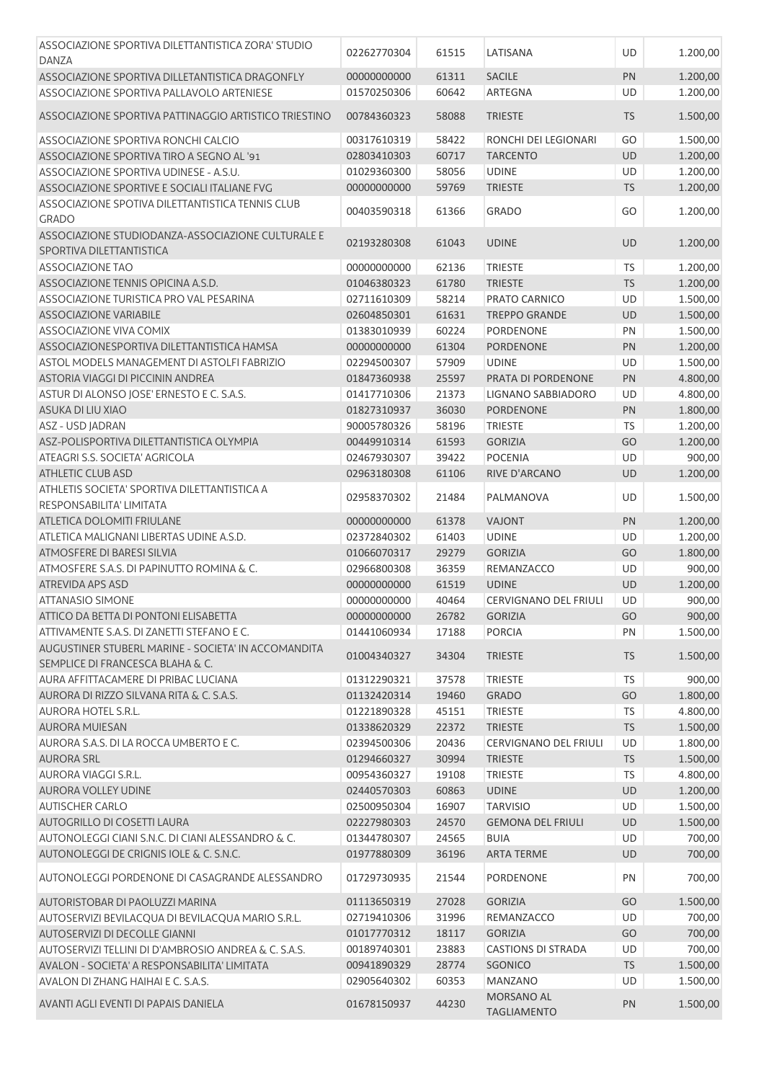| ASSOCIAZIONE SPORTIVA DILETTANTISTICA ZORA' STUDIO    |             |       |                              |           |          |
|-------------------------------------------------------|-------------|-------|------------------------------|-----------|----------|
| <b>DANZA</b>                                          | 02262770304 | 61515 | LATISANA                     | UD        | 1.200,00 |
| ASSOCIAZIONE SPORTIVA DILLETANTISTICA DRAGONFLY       | 00000000000 | 61311 | <b>SACILE</b>                | PN        | 1.200,00 |
| ASSOCIAZIONE SPORTIVA PALLAVOLO ARTENIESE             | 01570250306 | 60642 | ARTEGNA                      | <b>UD</b> | 1.200,00 |
|                                                       |             |       |                              |           |          |
| ASSOCIAZIONE SPORTIVA PATTINAGGIO ARTISTICO TRIESTINO | 00784360323 | 58088 | <b>TRIESTE</b>               | <b>TS</b> | 1.500,00 |
| ASSOCIAZIONE SPORTIVA RONCHI CALCIO                   | 00317610319 | 58422 | RONCHI DEI LEGIONARI         | GO        | 1.500,00 |
| ASSOCIAZIONE SPORTIVA TIRO A SEGNO AL '91             | 02803410303 | 60717 | <b>TARCENTO</b>              | UD        | 1.200,00 |
| ASSOCIAZIONE SPORTIVA UDINESE - A.S.U.                | 01029360300 | 58056 | <b>UDINE</b>                 | UD        | 1.200,00 |
| ASSOCIAZIONE SPORTIVE E SOCIALI ITALIANE FVG          | 00000000000 | 59769 | <b>TRIESTE</b>               | <b>TS</b> | 1.200,00 |
| ASSOCIAZIONE SPOTIVA DILETTANTISTICA TENNIS CLUB      |             |       |                              |           |          |
| <b>GRADO</b>                                          | 00403590318 | 61366 | <b>GRADO</b>                 | GO        | 1.200,00 |
| ASSOCIAZIONE STUDIODANZA-ASSOCIAZIONE CULTURALE E     |             |       |                              |           |          |
| SPORTIVA DILETTANTISTICA                              | 02193280308 | 61043 | <b>UDINE</b>                 | <b>UD</b> | 1.200,00 |
|                                                       |             |       |                              |           |          |
| ASSOCIAZIONE TAO                                      | 00000000000 | 62136 | <b>TRIESTE</b>               | <b>TS</b> | 1.200,00 |
| ASSOCIAZIONE TENNIS OPICINA A.S.D.                    | 01046380323 | 61780 | <b>TRIESTE</b>               | <b>TS</b> | 1.200,00 |
| ASSOCIAZIONE TURISTICA PRO VAL PESARINA               | 02711610309 | 58214 | PRATO CARNICO                | UD        | 1.500,00 |
| ASSOCIAZIONE VARIABILE                                | 02604850301 | 61631 | <b>TREPPO GRANDE</b>         | UD        | 1.500,00 |
| ASSOCIAZIONE VIVA COMIX                               | 01383010939 | 60224 | PORDENONE                    | PN        | 1.500,00 |
| ASSOCIAZIONESPORTIVA DILETTANTISTICA HAMSA            | 00000000000 | 61304 | <b>PORDENONE</b>             | PN        | 1.200,00 |
| ASTOL MODELS MANAGEMENT DI ASTOLFI FABRIZIO           | 02294500307 | 57909 | <b>UDINE</b>                 | UD        | 1.500,00 |
| ASTORIA VIAGGI DI PICCININ ANDREA                     | 01847360938 | 25597 | PRATA DI PORDENONE           | PN        | 4.800,00 |
| ASTUR DI ALONSO JOSE' ERNESTO E C. S.A.S.             | 01417710306 | 21373 | LIGNANO SABBIADORO           | UD        | 4.800,00 |
| ASUKA DI LIU XIAO                                     | 01827310937 | 36030 | <b>PORDENONE</b>             | PN        | 1.800,00 |
| ASZ - USD JADRAN                                      | 90005780326 | 58196 | <b>TRIESTE</b>               | <b>TS</b> | 1.200,00 |
| ASZ-POLISPORTIVA DILETTANTISTICA OLYMPIA              | 00449910314 | 61593 | <b>GORIZIA</b>               | GO        | 1.200,00 |
| ATEAGRI S.S. SOCIETA' AGRICOLA                        | 02467930307 | 39422 | <b>POCENIA</b>               | <b>UD</b> | 900,00   |
| <b>ATHLETIC CLUB ASD</b>                              | 02963180308 | 61106 | RIVE D'ARCANO                | UD        | 1.200,00 |
| ATHLETIS SOCIETA' SPORTIVA DILETTANTISTICA A          |             |       |                              |           |          |
| RESPONSABILITA' LIMITATA                              | 02958370302 | 21484 | PALMANOVA                    | UD        | 1.500,00 |
| ATLETICA DOLOMITI FRIULANE                            | 00000000000 | 61378 | <b>VAJONT</b>                | PN        | 1.200,00 |
| ATLETICA MALIGNANI LIBERTAS UDINE A.S.D.              | 02372840302 | 61403 | <b>UDINE</b>                 | UD        | 1.200,00 |
| ATMOSFERE DI BARESI SILVIA                            | 01066070317 | 29279 | <b>GORIZIA</b>               | GO        | 1.800,00 |
| ATMOSFERE S.A.S. DI PAPINUTTO ROMINA & C.             | 02966800308 | 36359 | REMANZACCO                   | UD        | 900,00   |
| ATREVIDA APS ASD                                      | 00000000000 | 61519 | <b>UDINE</b>                 | UD        | 1.200,00 |
| ATTANASIO SIMONE                                      | 00000000000 | 40464 | <b>CERVIGNANO DEL FRIULI</b> | UD        | 900,00   |
| ATTICO DA BETTA DI PONTONI ELISABETTA                 | 00000000000 | 26782 | <b>GORIZIA</b>               | GO        | 900,00   |
| ATTIVAMENTE S.A.S. DI ZANETTI STEFANO E C.            | 01441060934 | 17188 | <b>PORCIA</b>                | PN        | 1.500,00 |
| AUGUSTINER STUBERL MARINE - SOCIETA' IN ACCOMANDITA   |             |       |                              |           |          |
| SEMPLICE DI FRANCESCA BLAHA & C.                      | 01004340327 | 34304 | <b>TRIESTE</b>               | <b>TS</b> | 1.500,00 |
| AURA AFFITTACAMERE DI PRIBAC LUCIANA                  | 01312290321 | 37578 | <b>TRIESTE</b>               | <b>TS</b> | 900,00   |
| AURORA DI RIZZO SILVANA RITA & C. S.A.S.              | 01132420314 | 19460 | <b>GRADO</b>                 | GO        | 1.800,00 |
| <b>AURORA HOTEL S.R.L.</b>                            | 01221890328 | 45151 | <b>TRIESTE</b>               | <b>TS</b> | 4.800,00 |
| <b>AURORA MUIESAN</b>                                 | 01338620329 | 22372 | <b>TRIESTE</b>               | <b>TS</b> | 1.500,00 |
| AURORA S.A.S. DI LA ROCCA UMBERTO E C.                | 02394500306 | 20436 | CERVIGNANO DEL FRIULI        | UD        | 1.800,00 |
| <b>AURORA SRL</b>                                     | 01294660327 | 30994 | <b>TRIESTE</b>               | <b>TS</b> | 1.500,00 |
| <b>AURORA VIAGGI S.R.L.</b>                           | 00954360327 | 19108 | <b>TRIESTE</b>               | <b>TS</b> | 4.800,00 |
| AURORA VOLLEY UDINE                                   | 02440570303 | 60863 | <b>UDINE</b>                 | UD        | 1.200,00 |
| <b>AUTISCHER CARLO</b>                                | 02500950304 | 16907 | <b>TARVISIO</b>              | UD        | 1.500,00 |
| AUTOGRILLO DI COSETTI LAURA                           | 02227980303 | 24570 | <b>GEMONA DEL FRIULI</b>     | <b>UD</b> | 1.500,00 |
| AUTONOLEGGI CIANI S.N.C. DI CIANI ALESSANDRO & C.     | 01344780307 | 24565 | <b>BUIA</b>                  | UD        | 700,00   |
| AUTONOLEGGI DE CRIGNIS IOLE & C. S.N.C.               | 01977880309 | 36196 | <b>ARTA TERME</b>            | <b>UD</b> | 700,00   |
|                                                       |             |       |                              |           |          |
| AUTONOLEGGI PORDENONE DI CASAGRANDE ALESSANDRO        | 01729730935 | 21544 | PORDENONE                    | PN        | 700,00   |
| AUTORISTOBAR DI PAOLUZZI MARINA                       | 01113650319 | 27028 | <b>GORIZIA</b>               | GO        | 1.500,00 |
| AUTOSERVIZI BEVILACQUA DI BEVILACQUA MARIO S.R.L.     | 02719410306 | 31996 | REMANZACCO                   | <b>UD</b> | 700,00   |
| AUTOSERVIZI DI DECOLLE GIANNI                         | 01017770312 | 18117 | <b>GORIZIA</b>               | GO        | 700,00   |
| AUTOSERVIZI TELLINI DI D'AMBROSIO ANDREA & C. S.A.S.  | 00189740301 | 23883 | <b>CASTIONS DI STRADA</b>    | UD        | 700,00   |
| AVALON - SOCIETA' A RESPONSABILITA' LIMITATA          | 00941890329 | 28774 | SGONICO                      | <b>TS</b> | 1.500,00 |
| AVALON DI ZHANG HAIHAI E C. S.A.S.                    | 02905640302 | 60353 | <b>MANZANO</b>               | UD        | 1.500,00 |
| AVANTI AGLI EVENTI DI PAPAIS DANIELA                  | 01678150937 | 44230 | MORSANO AL                   | PN        | 1.500,00 |
|                                                       |             |       | TAGLIAMENTO                  |           |          |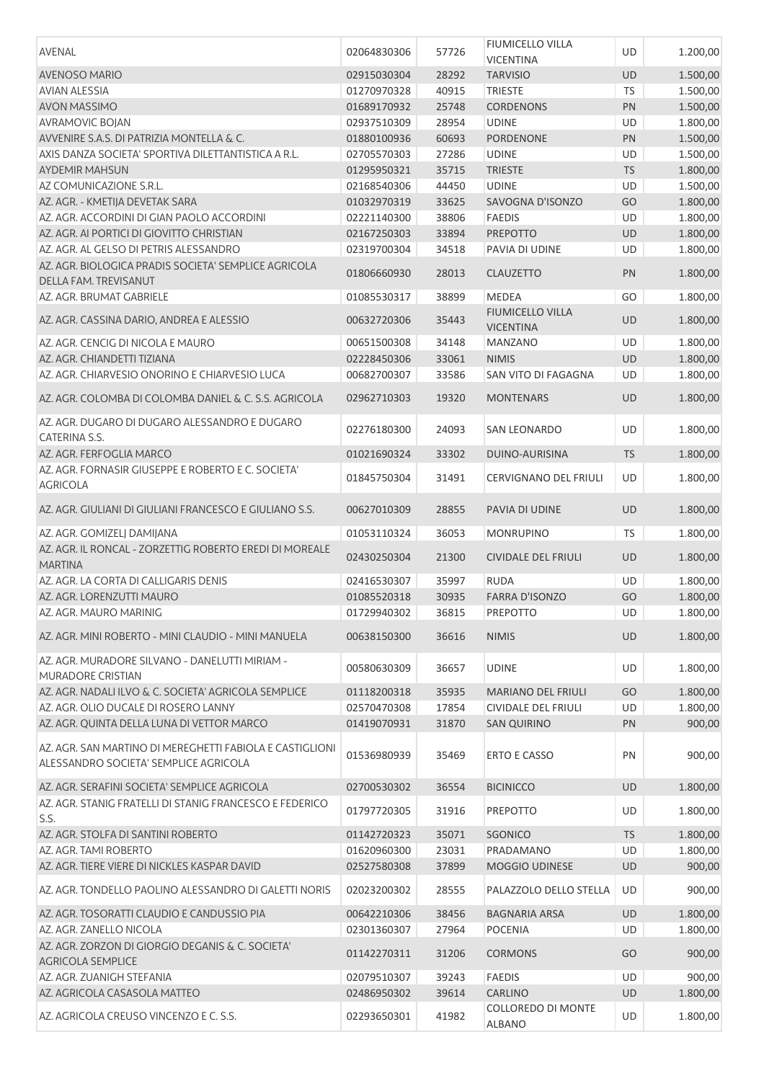| AVENAL                                                                                            | 02064830306 | 57726 | <b>FIUMICELLO VILLA</b><br><b>VICENTINA</b> | UD         | 1.200,00 |
|---------------------------------------------------------------------------------------------------|-------------|-------|---------------------------------------------|------------|----------|
| <b>AVENOSO MARIO</b>                                                                              | 02915030304 | 28292 | <b>TARVISIO</b>                             | UD         | 1.500,00 |
| <b>AVIAN ALESSIA</b>                                                                              | 01270970328 | 40915 | <b>TRIESTE</b>                              | <b>TS</b>  | 1.500,00 |
| <b>AVON MASSIMO</b>                                                                               | 01689170932 | 25748 | <b>CORDENONS</b>                            | PN         | 1.500,00 |
| <b>AVRAMOVIC BOJAN</b>                                                                            | 02937510309 | 28954 | <b>UDINE</b>                                | <b>UD</b>  | 1.800,00 |
| AVVENIRE S.A.S. DI PATRIZIA MONTELLA & C.                                                         | 01880100936 | 60693 | PORDENONE                                   | PN         | 1.500,00 |
| AXIS DANZA SOCIETA' SPORTIVA DILETTANTISTICA A R.L.                                               | 02705570303 | 27286 | <b>UDINE</b>                                | UD         | 1.500,00 |
| <b>AYDEMIR MAHSUN</b>                                                                             | 01295950321 | 35715 | <b>TRIESTE</b>                              | <b>TS</b>  | 1.800,00 |
| AZ COMUNICAZIONE S.R.L.                                                                           | 02168540306 | 44450 | <b>UDINE</b>                                | UD         | 1.500,00 |
| AZ. AGR. - KMETIJA DEVETAK SARA                                                                   | 01032970319 | 33625 | SAVOGNA D'ISONZO                            | GO         | 1.800,00 |
| AZ, AGR, ACCORDINI DI GIAN PAOLO ACCORDINI                                                        | 02221140300 | 38806 | <b>FAEDIS</b>                               | UD         | 1.800,00 |
| AZ. AGR. AI PORTICI DI GIOVITTO CHRISTIAN                                                         | 02167250303 | 33894 | <b>PREPOTTO</b>                             | UD         | 1.800,00 |
| AZ. AGR. AL GELSO DI PETRIS ALESSANDRO                                                            | 02319700304 | 34518 | PAVIA DI UDINE                              | UD         | 1.800,00 |
| AZ. AGR. BIOLOGICA PRADIS SOCIETA' SEMPLICE AGRICOLA                                              | 01806660930 | 28013 | <b>CLAUZETTO</b>                            | PN         | 1.800,00 |
| DELLA FAM. TREVISANUT<br>AZ. AGR. BRUMAT GABRIELE                                                 | 01085530317 | 38899 | <b>MEDEA</b>                                | GO         | 1.800,00 |
|                                                                                                   |             |       | <b>FIUMICELLO VILLA</b>                     |            |          |
| AZ. AGR. CASSINA DARIO, ANDREA E ALESSIO                                                          | 00632720306 | 35443 | <b>VICENTINA</b>                            | <b>UD</b>  | 1.800,00 |
| AZ. AGR. CENCIG DI NICOLA E MAURO                                                                 | 00651500308 | 34148 | <b>MANZANO</b>                              | <b>UD</b>  | 1.800,00 |
| AZ. AGR. CHIANDETTI TIZIANA                                                                       | 02228450306 | 33061 | <b>NIMIS</b>                                | UD         | 1.800,00 |
| AZ, AGR, CHIARVESIO ONORINO E CHIARVESIO LUCA                                                     | 00682700307 | 33586 | SAN VITO DI FAGAGNA                         | UD         | 1.800,00 |
| AZ. AGR. COLOMBA DI COLOMBA DANIEL & C. S.S. AGRICOLA                                             | 02962710303 | 19320 | <b>MONTENARS</b>                            | <b>UD</b>  | 1.800,00 |
| AZ. AGR. DUGARO DI DUGARO ALESSANDRO E DUGARO<br>CATERINA S.S.                                    | 02276180300 | 24093 | <b>SAN LEONARDO</b>                         | UD         | 1.800,00 |
| AZ. AGR. FERFOGLIA MARCO                                                                          | 01021690324 | 33302 | DUINO-AURISINA                              | <b>TS</b>  | 1.800,00 |
| AZ. AGR. FORNASIR GIUSEPPE E ROBERTO E C. SOCIETA'                                                | 01845750304 | 31491 | CERVIGNANO DEL FRIULI                       | UD         | 1.800,00 |
| <b>AGRICOLA</b>                                                                                   |             |       |                                             |            |          |
| AZ. AGR. GIULIANI DI GIULIANI FRANCESCO E GIULIANO S.S.                                           | 00627010309 | 28855 | PAVIA DI UDINE                              | <b>UD</b>  | 1.800,00 |
| AZ. AGR. GOMIZELJ DAMIJANA                                                                        | 01053110324 | 36053 | <b>MONRUPINO</b>                            | <b>TS</b>  | 1.800,00 |
| AZ. AGR. IL RONCAL - ZORZETTIG ROBERTO EREDI DI MOREALE<br><b>MARTINA</b>                         | 02430250304 | 21300 | <b>CIVIDALE DEL FRIULI</b>                  | <b>UD</b>  | 1.800,00 |
| AZ. AGR. LA CORTA DI CALLIGARIS DENIS                                                             | 02416530307 | 35997 | <b>RUDA</b>                                 | UD         | 1.800,00 |
| AZ. AGR. LORENZUTTI MAURO                                                                         | 01085520318 | 30935 | <b>FARRA D'ISONZO</b>                       | GO         | 1.800,00 |
| AZ. AGR. MAURO MARINIG                                                                            | 01729940302 | 36815 | PREPOTTO                                    | $\vert$ UD | 1.800,00 |
| AZ. AGR. MINI ROBERTO - MINI CLAUDIO - MINI MANUELA                                               | 00638150300 | 36616 | <b>NIMIS</b>                                | <b>UD</b>  | 1.800,00 |
| AZ. AGR. MURADORE SILVANO - DANELUTTI MIRIAM -<br>MURADORE CRISTIAN                               | 00580630309 | 36657 | <b>UDINE</b>                                | UD         | 1.800,00 |
| AZ. AGR. NADALI ILVO & C. SOCIETA' AGRICOLA SEMPLICE                                              | 01118200318 | 35935 | <b>MARIANO DEL FRIULI</b>                   | GO         | 1.800,00 |
| AZ. AGR. OLIO DUCALE DI ROSERO LANNY                                                              | 02570470308 | 17854 | CIVIDALE DEL FRIULI                         | UD         | 1.800,00 |
| AZ. AGR. QUINTA DELLA LUNA DI VETTOR MARCO                                                        | 01419070931 | 31870 | <b>SAN QUIRINO</b>                          | PN         | 900,00   |
|                                                                                                   |             |       |                                             |            |          |
| AZ. AGR. SAN MARTINO DI MEREGHETTI FABIOLA E CASTIGLIONI<br>ALESSANDRO SOCIETA' SEMPLICE AGRICOLA | 01536980939 | 35469 | ERTO E CASSO                                | PN         | 900,00   |
| AZ. AGR. SERAFINI SOCIETA' SEMPLICE AGRICOLA                                                      | 02700530302 | 36554 | <b>BICINICCO</b>                            | <b>UD</b>  | 1.800,00 |
| AZ. AGR. STANIG FRATELLI DI STANIG FRANCESCO E FEDERICO                                           |             |       |                                             |            |          |
| S.S.                                                                                              | 01797720305 | 31916 | <b>PREPOTTO</b>                             | UD         | 1.800,00 |
| AZ. AGR. STOLFA DI SANTINI ROBERTO                                                                | 01142720323 | 35071 | <b>SGONICO</b>                              | <b>TS</b>  | 1.800,00 |
| AZ. AGR. TAMI ROBERTO                                                                             | 01620960300 | 23031 | PRADAMANO                                   | UD         | 1.800,00 |
| AZ. AGR. TIERE VIERE DI NICKLES KASPAR DAVID                                                      | 02527580308 | 37899 | MOGGIO UDINESE                              | UD         | 900,00   |
| AZ. AGR. TONDELLO PAOLINO ALESSANDRO DI GALETTI NORIS                                             | 02023200302 | 28555 | PALAZZOLO DELLO STELLA                      | UD         | 900,00   |
| AZ. AGR. TOSORATTI CLAUDIO E CANDUSSIO PIA                                                        | 00642210306 | 38456 | <b>BAGNARIA ARSA</b>                        | UD         | 1.800,00 |
| AZ. AGR. ZANELLO NICOLA                                                                           | 02301360307 | 27964 | <b>POCENIA</b>                              | UD         | 1.800,00 |
| AZ. AGR. ZORZON DI GIORGIO DEGANIS & C. SOCIETA'                                                  |             |       |                                             |            |          |
| <b>AGRICOLA SEMPLICE</b>                                                                          | 01142270311 | 31206 | <b>CORMONS</b>                              | GO         | 900,00   |
| AZ. AGR. ZUANIGH STEFANIA                                                                         | 02079510307 | 39243 | <b>FAEDIS</b>                               | UD         | 900,00   |
| AZ. AGRICOLA CASASOLA MATTEO                                                                      | 02486950302 | 39614 | <b>CARLINO</b>                              | UD         | 1.800,00 |
| AZ. AGRICOLA CREUSO VINCENZO E C. S.S.                                                            | 02293650301 | 41982 | COLLOREDO DI MONTE<br><b>ALBANO</b>         | UD         | 1.800,00 |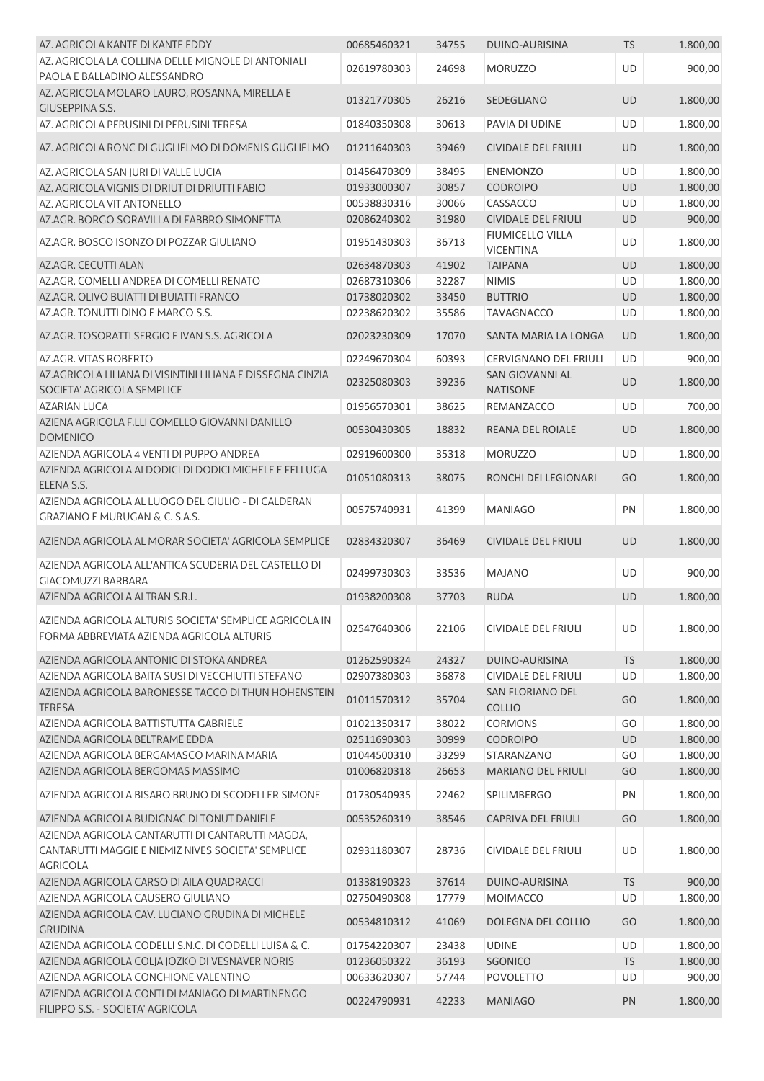| AZ. AGRICOLA KANTE DI KANTE EDDY                                                                                          | 00685460321 | 34755 | <b>DUINO-AURISINA</b>                     | <b>TS</b> | 1.800,00 |
|---------------------------------------------------------------------------------------------------------------------------|-------------|-------|-------------------------------------------|-----------|----------|
| AZ. AGRICOLA LA COLLINA DELLE MIGNOLE DI ANTONIALI<br>PAOLA E BALLADINO ALESSANDRO                                        | 02619780303 | 24698 | <b>MORUZZO</b>                            | <b>UD</b> | 900,00   |
| AZ. AGRICOLA MOLARO LAURO, ROSANNA, MIRELLA E<br><b>GIUSEPPINA S.S.</b>                                                   | 01321770305 | 26216 | SEDEGLIANO                                | UD        | 1.800,00 |
| AZ. AGRICOLA PERUSINI DI PERUSINI TERESA                                                                                  | 01840350308 | 30613 | PAVIA DI UDINE                            | <b>UD</b> | 1.800,00 |
| AZ. AGRICOLA RONC DI GUGLIELMO DI DOMENIS GUGLIELMO                                                                       | 01211640303 | 39469 | <b>CIVIDALE DEL FRIULI</b>                | UD        | 1.800,00 |
| AZ. AGRICOLA SAN JURI DI VALLE LUCIA                                                                                      | 01456470309 | 38495 | <b>ENEMONZO</b>                           | UD        | 1.800,00 |
| AZ. AGRICOLA VIGNIS DI DRIUT DI DRIUTTI FABIO                                                                             | 01933000307 | 30857 | <b>CODROIPO</b>                           | UD        | 1.800,00 |
| AZ. AGRICOLA VIT ANTONELLO                                                                                                | 00538830316 | 30066 | CASSACCO                                  | UD        | 1.800,00 |
| AZ.AGR. BORGO SORAVILLA DI FABBRO SIMONETTA                                                                               | 02086240302 | 31980 | <b>CIVIDALE DEL FRIULI</b>                | UD        | 900,00   |
| AZ.AGR. BOSCO ISONZO DI POZZAR GIULIANO                                                                                   | 01951430303 | 36713 | FIUMICELLO VILLA<br><b>VICENTINA</b>      | UD        | 1.800,00 |
| AZ.AGR. CECUTTI ALAN                                                                                                      | 02634870303 | 41902 | <b>TAIPANA</b>                            | UD        | 1.800,00 |
| AZ.AGR. COMELLI ANDREA DI COMELLI RENATO                                                                                  | 02687310306 | 32287 | <b>NIMIS</b>                              | UD        | 1.800,00 |
| AZ.AGR. OLIVO BUIATTI DI BUIATTI FRANCO                                                                                   | 01738020302 | 33450 | <b>BUTTRIO</b>                            | UD        | 1.800,00 |
| AZ.AGR. TONUTTI DINO E MARCO S.S.                                                                                         | 02238620302 | 35586 | <b>TAVAGNACCO</b>                         | UD        | 1.800,00 |
| AZ.AGR. TOSORATTI SERGIO E IVAN S.S. AGRICOLA                                                                             | 02023230309 | 17070 | SANTA MARIA LA LONGA                      | UD        | 1.800,00 |
| AZ.AGR. VITAS ROBERTO                                                                                                     | 02249670304 | 60393 | <b>CERVIGNANO DEL FRIULI</b>              | UD        | 900,00   |
| AZ.AGRICOLA LILIANA DI VISINTINI LILIANA E DISSEGNA CINZIA<br>SOCIETA' AGRICOLA SEMPLICE                                  | 02325080303 | 39236 | <b>SAN GIOVANNI AL</b><br><b>NATISONE</b> | UD        | 1.800,00 |
| <b>AZARIAN LUCA</b>                                                                                                       | 01956570301 | 38625 | REMANZACCO                                | UD        | 700,00   |
| AZIENA AGRICOLA F.LLI COMELLO GIOVANNI DANILLO<br><b>DOMENICO</b>                                                         | 00530430305 | 18832 | REANA DEL ROIALE                          | UD        | 1.800,00 |
| AZIENDA AGRICOLA 4 VENTI DI PUPPO ANDREA                                                                                  | 02919600300 | 35318 | <b>MORUZZO</b>                            | <b>UD</b> | 1.800,00 |
| AZIENDA AGRICOLA AI DODICI DI DODICI MICHELE E FELLUGA<br>ELENA S.S.                                                      | 01051080313 | 38075 | RONCHI DEI LEGIONARI                      | GO        | 1.800,00 |
| AZIENDA AGRICOLA AL LUOGO DEL GIULIO - DI CALDERAN<br><b>GRAZIANO E MURUGAN &amp; C. S.A.S.</b>                           | 00575740931 | 41399 | <b>MANIAGO</b>                            | PN        | 1.800,00 |
| AZIENDA AGRICOLA AL MORAR SOCIETA' AGRICOLA SEMPLICE                                                                      | 02834320307 | 36469 | <b>CIVIDALE DEL FRIULI</b>                | UD        | 1.800,00 |
| AZIENDA AGRICOLA ALL'ANTICA SCUDERIA DEL CASTELLO DI<br><b>GIACOMUZZI BARBARA</b>                                         | 02499730303 | 33536 | <b>MAJANO</b>                             | UD        | 900,00   |
| AZIENDA AGRICOLA ALTRAN S.R.L.                                                                                            | 01938200308 | 37703 | <b>RUDA</b>                               | <b>UD</b> | 1.800,00 |
| AZIENDA AGRICOLA ALTURIS SOCIETA' SEMPLICE AGRICOLA IN<br>FORMA ABBREVIATA AZIENDA AGRICOLA ALTURIS                       | 02547640306 | 22106 | CIVIDALE DEL FRIULI                       | UD        | 1.800,00 |
| AZIENDA AGRICOLA ANTONIC DI STOKA ANDREA                                                                                  | 01262590324 | 24327 | DUINO-AURISINA                            | <b>TS</b> | 1.800,00 |
| AZIENDA AGRICOLA BAITA SUSI DI VECCHIUTTI STEFANO                                                                         | 02907380303 | 36878 | CIVIDALE DEL FRIULI                       | UD        | 1.800,00 |
| AZIENDA AGRICOLA BARONESSE TACCO DI THUN HOHENSTEIN<br><b>TERESA</b>                                                      | 01011570312 | 35704 | <b>SAN FLORIANO DEL</b><br><b>COLLIO</b>  | GO        | 1.800,00 |
| AZIENDA AGRICOLA BATTISTUTTA GABRIELE                                                                                     | 01021350317 | 38022 | <b>CORMONS</b>                            | GO        | 1.800,00 |
| AZIENDA AGRICOLA BELTRAME EDDA                                                                                            | 02511690303 | 30999 | <b>CODROIPO</b>                           | UD        | 1.800,00 |
| AZIENDA AGRICOLA BERGAMASCO MARINA MARIA                                                                                  | 01044500310 | 33299 | STARANZANO                                | GO        | 1.800,00 |
| AZIENDA AGRICOLA BERGOMAS MASSIMO                                                                                         | 01006820318 | 26653 | <b>MARIANO DEL FRIULI</b>                 | GO        | 1.800,00 |
| AZIENDA AGRICOLA BISARO BRUNO DI SCODELLER SIMONE                                                                         | 01730540935 | 22462 | SPILIMBERGO                               | PN        | 1.800,00 |
| AZIENDA AGRICOLA BUDIGNAC DI TONUT DANIELE                                                                                | 00535260319 | 38546 | <b>CAPRIVA DEL FRIULI</b>                 | GO        | 1.800,00 |
| AZIENDA AGRICOLA CANTARUTTI DI CANTARUTTI MAGDA,<br>CANTARUTTI MAGGIE E NIEMIZ NIVES SOCIETA' SEMPLICE<br><b>AGRICOLA</b> | 02931180307 | 28736 | <b>CIVIDALE DEL FRIULI</b>                | UD        | 1.800,00 |
| AZIENDA AGRICOLA CARSO DI AILA QUADRACCI                                                                                  | 01338190323 | 37614 | DUINO-AURISINA                            | <b>TS</b> | 900,00   |
| AZIENDA AGRICOLA CAUSERO GIULIANO                                                                                         | 02750490308 | 17779 | <b>MOIMACCO</b>                           | UD        | 1.800,00 |
| AZIENDA AGRICOLA CAV. LUCIANO GRUDINA DI MICHELE<br><b>GRUDINA</b>                                                        | 00534810312 | 41069 | DOLEGNA DEL COLLIO                        | GO        | 1.800,00 |
| AZIENDA AGRICOLA CODELLI S.N.C. DI CODELLI LUISA & C.                                                                     | 01754220307 | 23438 | <b>UDINE</b>                              | UD        | 1.800,00 |
| AZIENDA AGRICOLA COLJA JOZKO DI VESNAVER NORIS                                                                            | 01236050322 | 36193 | SGONICO                                   | <b>TS</b> | 1.800,00 |
| AZIENDA AGRICOLA CONCHIONE VALENTINO                                                                                      | 00633620307 | 57744 | <b>POVOLETTO</b>                          | UD        | 900,00   |
| AZIENDA AGRICOLA CONTI DI MANIAGO DI MARTINENGO<br>FILIPPO S.S. - SOCIETA' AGRICOLA                                       | 00224790931 | 42233 | <b>MANIAGO</b>                            | PN        | 1.800,00 |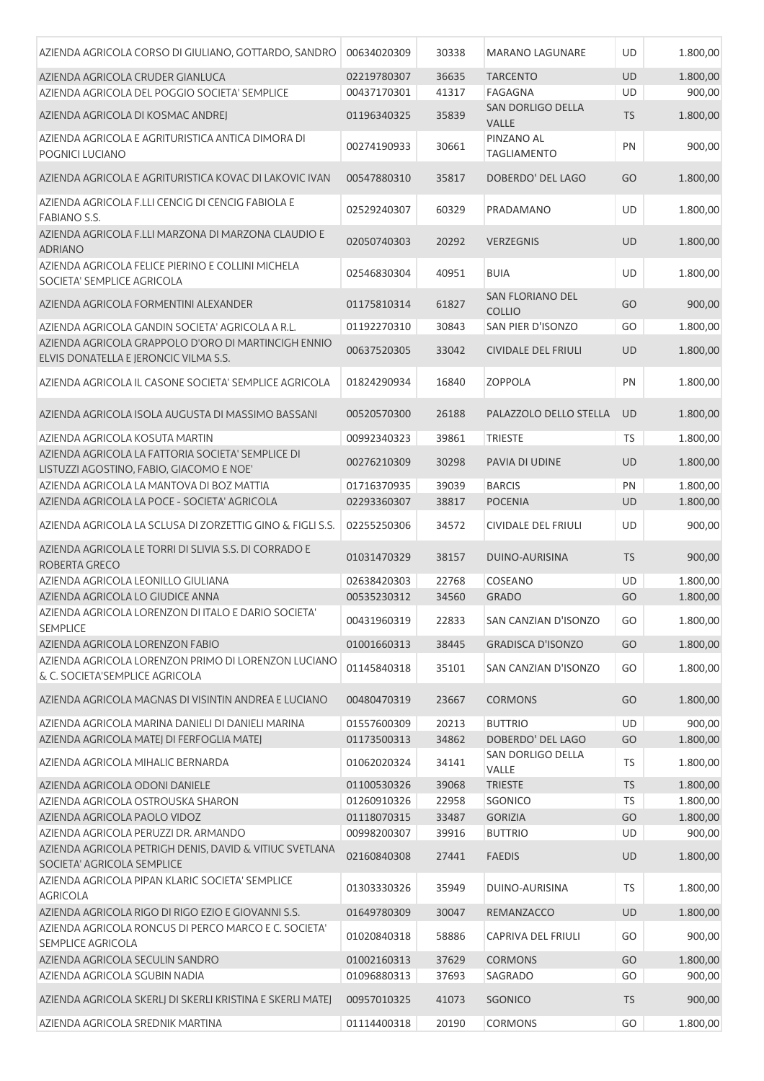| AZIENDA AGRICOLA CORSO DI GIULIANO, GOTTARDO, SANDRO                                          | 00634020309                | 30338          | <b>MARANO LAGUNARE</b>                   | UD               | 1.800,00             |
|-----------------------------------------------------------------------------------------------|----------------------------|----------------|------------------------------------------|------------------|----------------------|
| AZIENDA AGRICOLA CRUDER GIANLUCA                                                              | 02219780307                | 36635          | <b>TARCENTO</b>                          | <b>UD</b>        | 1.800,00             |
| AZIENDA AGRICOLA DEL POGGIO SOCIETA' SEMPLICE                                                 | 00437170301                | 41317          | FAGAGNA                                  | UD               | 900,00               |
| AZIENDA AGRICOLA DI KOSMAC ANDREJ                                                             | 01196340325                | 35839          | SAN DORLIGO DELLA<br><b>VALLE</b>        | <b>TS</b>        | 1.800,00             |
| AZIENDA AGRICOLA E AGRITURISTICA ANTICA DIMORA DI<br>POGNICI LUCIANO                          | 00274190933                | 30661          | PINZANO AL<br><b>TAGLIAMENTO</b>         | PN               | 900,00               |
| AZIENDA AGRICOLA E AGRITURISTICA KOVAC DI LAKOVIC IVAN                                        | 00547880310                | 35817          | DOBERDO' DEL LAGO                        | GO               | 1.800,00             |
| AZIENDA AGRICOLA F.LLI CENCIG DI CENCIG FABIOLA E<br><b>FABIANO S.S.</b>                      | 02529240307                | 60329          | PRADAMANO                                | UD               | 1.800,00             |
| AZIENDA AGRICOLA F.LLI MARZONA DI MARZONA CLAUDIO E<br><b>ADRIANO</b>                         | 02050740303                | 20292          | <b>VERZEGNIS</b>                         | <b>UD</b>        | 1.800,00             |
| AZIENDA AGRICOLA FELICE PIERINO E COLLINI MICHELA<br>SOCIETA' SEMPLICE AGRICOLA               | 02546830304                | 40951          | <b>BUIA</b>                              | UD               | 1.800,00             |
| AZIENDA AGRICOLA FORMENTINI ALEXANDER                                                         | 01175810314                | 61827          | <b>SAN FLORIANO DEL</b><br><b>COLLIO</b> | GO               | 900,00               |
| AZIENDA AGRICOLA GANDIN SOCIETA' AGRICOLA A R.L.                                              | 01192270310                | 30843          | SAN PIER D'ISONZO                        | GO               | 1.800,00             |
| AZIENDA AGRICOLA GRAPPOLO D'ORO DI MARTINCIGH ENNIO<br>ELVIS DONATELLA E JERONCIC VILMA S.S.  | 00637520305                | 33042          | <b>CIVIDALE DEL FRIULI</b>               | <b>UD</b>        | 1.800,00             |
| AZIENDA AGRICOLA IL CASONE SOCIETA' SEMPLICE AGRICOLA                                         | 01824290934                | 16840          | <b>ZOPPOLA</b>                           | PN               | 1.800,00             |
| AZIENDA AGRICOLA ISOLA AUGUSTA DI MASSIMO BASSANI                                             | 00520570300                | 26188          | PALAZZOLO DELLO STELLA                   | <b>UD</b>        | 1.800,00             |
| AZIENDA AGRICOLA KOSUTA MARTIN                                                                | 00992340323                | 39861          | <b>TRIESTE</b>                           | TS               | 1.800,00             |
| AZIENDA AGRICOLA LA FATTORIA SOCIETA' SEMPLICE DI<br>LISTUZZI AGOSTINO, FABIO, GIACOMO E NOE' | 00276210309                | 30298          | PAVIA DI UDINE                           | <b>UD</b>        | 1.800,00             |
| AZIENDA AGRICOLA LA MANTOVA DI BOZ MATTIA                                                     | 01716370935                | 39039          | <b>BARCIS</b>                            | PN               | 1.800,00             |
| AZIENDA AGRICOLA LA POCE - SOCIETA' AGRICOLA                                                  | 02293360307                | 38817          | <b>POCENIA</b>                           | UD               | 1.800,00             |
| AZIENDA AGRICOLA LA SCLUSA DI ZORZETTIG GINO & FIGLI S.S.                                     | 02255250306                | 34572          | <b>CIVIDALE DEL FRIULI</b>               | UD               | 900,00               |
| AZIENDA AGRICOLA LE TORRI DI SLIVIA S.S. DI CORRADO E<br>ROBERTA GRECO                        | 01031470329                | 38157          | <b>DUINO-AURISINA</b>                    | <b>TS</b>        | 900,00               |
| AZIENDA AGRICOLA LEONILLO GIULIANA                                                            | 02638420303                | 22768          | COSEANO                                  | UD               | 1.800,00             |
| AZIENDA AGRICOLA LO GIUDICE ANNA<br>AZIENDA AGRICOLA LORENZON DI ITALO E DARIO SOCIETA'       | 00535230312                | 34560          | <b>GRADO</b>                             | GO               | 1.800,00             |
| <b>SEMPLICE</b>                                                                               | 00431960319                | 22833          | SAN CANZIAN D'ISONZO                     | GO               | 1.800,00             |
| AZIENDA AGRICOLA LORENZON FABIO                                                               | 01001660313                | 38445          | <b>GRADISCA D'ISONZO</b>                 | GO               | 1.800,00             |
| AZIENDA AGRICOLA LORENZON PRIMO DI LORENZON LUCIANO<br>& C. SOCIETA'SEMPLICE AGRICOLA         | 01145840318                | 35101          | SAN CANZIAN D'ISONZO                     | GO               | 1.800,00             |
| AZIENDA AGRICOLA MAGNAS DI VISINTIN ANDREA E LUCIANO                                          | 00480470319                | 23667          | <b>CORMONS</b>                           | GO               | 1.800,00             |
| AZIENDA AGRICOLA MARINA DANIELI DI DANIELI MARINA                                             | 01557600309                | 20213          | <b>BUTTRIO</b>                           | UD               | 900,00               |
| AZIENDA AGRICOLA MATEJ DI FERFOGLIA MATEJ                                                     | 01173500313                | 34862          | DOBERDO' DEL LAGO<br>SAN DORLIGO DELLA   | GO               | 1.800,00             |
| AZIENDA AGRICOLA MIHALIC BERNARDA                                                             | 01062020324                | 34141          | VALLE                                    | TS               | 1.800,00             |
| AZIENDA AGRICOLA ODONI DANIELE<br>AZIENDA AGRICOLA OSTROUSKA SHARON                           | 01100530326<br>01260910326 | 39068<br>22958 | <b>TRIESTE</b><br>SGONICO                | <b>TS</b><br>TS. | 1.800,00<br>1.800,00 |
| AZIENDA AGRICOLA PAOLO VIDOZ                                                                  | 01118070315                | 33487          | <b>GORIZIA</b>                           | GO               | 1.800,00             |
| AZIENDA AGRICOLA PERUZZI DR. ARMANDO                                                          | 00998200307                | 39916          | <b>BUTTRIO</b>                           | UD               | 900,00               |
| AZIENDA AGRICOLA PETRIGH DENIS, DAVID & VITIUC SVETLANA<br>SOCIETA' AGRICOLA SEMPLICE         | 02160840308                | 27441          | <b>FAEDIS</b>                            | UD               | 1.800,00             |
| AZIENDA AGRICOLA PIPAN KLARIC SOCIETA' SEMPLICE<br><b>AGRICOLA</b>                            | 01303330326                | 35949          | DUINO-AURISINA                           | TS.              | 1.800,00             |
| AZIENDA AGRICOLA RIGO DI RIGO EZIO E GIOVANNI S.S.                                            | 01649780309                | 30047          | REMANZACCO                               | UD               | 1.800,00             |
| AZIENDA AGRICOLA RONCUS DI PERCO MARCO E C. SOCIETA'<br><b>SEMPLICE AGRICOLA</b>              | 01020840318                | 58886          | CAPRIVA DEL FRIULI                       | GO               | 900,00               |
| AZIENDA AGRICOLA SECULIN SANDRO                                                               | 01002160313                | 37629          | <b>CORMONS</b>                           | GO               | 1.800,00             |
| AZIENDA AGRICOLA SGUBIN NADIA                                                                 | 01096880313                | 37693          | SAGRADO                                  | GO               | 900,00               |
| AZIENDA AGRICOLA SKERLJ DI SKERLI KRISTINA E SKERLI MATEJ                                     | 00957010325                | 41073          | SGONICO                                  | <b>TS</b>        | 900,00               |
| AZIENDA AGRICOLA SREDNIK MARTINA                                                              | 01114400318                | 20190          | <b>CORMONS</b>                           | GO               | 1.800,00             |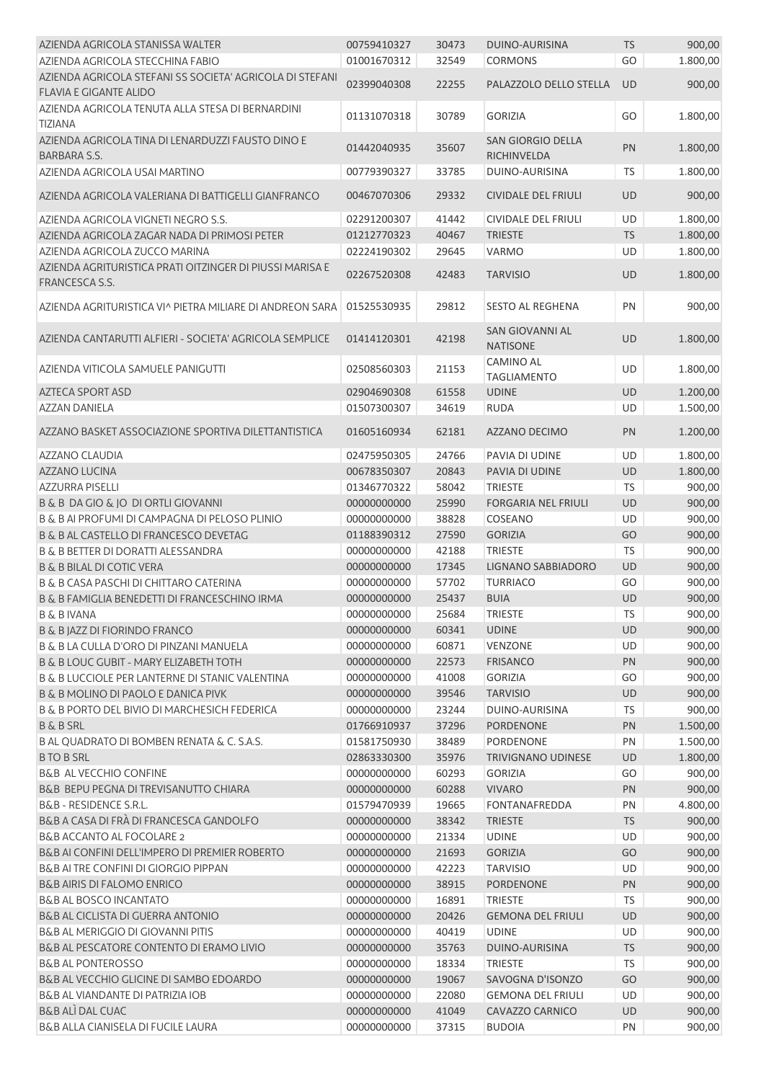| AZIENDA AGRICOLA STANISSA WALTER                         | 00759410327 | 30473 | DUINO-AURISINA             | <b>TS</b> | 900,00   |
|----------------------------------------------------------|-------------|-------|----------------------------|-----------|----------|
| AZIENDA AGRICOLA STECCHINA FABIO                         | 01001670312 | 32549 | <b>CORMONS</b>             | GO        | 1.800,00 |
| AZIENDA AGRICOLA STEFANI SS SOCIETA' AGRICOLA DI STEFANI |             |       |                            |           |          |
| <b>FLAVIA E GIGANTE ALIDO</b>                            | 02399040308 | 22255 | PALAZZOLO DELLO STELLA     | <b>UD</b> | 900,00   |
| AZIENDA AGRICOLA TENUTA ALLA STESA DI BERNARDINI         |             |       |                            |           |          |
| <b>TIZIANA</b>                                           | 01131070318 | 30789 | <b>GORIZIA</b>             | GO        | 1.800,00 |
| AZIENDA AGRICOLA TINA DI LENARDUZZI FAUSTO DINO E        |             |       | <b>SAN GIORGIO DELLA</b>   |           |          |
| BARBARA S.S.                                             | 01442040935 | 35607 | RICHINVELDA                | PN        | 1.800,00 |
| AZIENDA AGRICOLA USAI MARTINO                            | 00779390327 | 33785 | DUINO-AURISINA             | TS        | 1.800,00 |
|                                                          |             |       |                            |           |          |
| AZIENDA AGRICOLA VALERIANA DI BATTIGELLI GIANFRANCO      | 00467070306 | 29332 | CIVIDALE DEL FRIULI        | <b>UD</b> | 900,00   |
| AZIENDA AGRICOLA VIGNETI NEGRO S.S.                      | 02291200307 | 41442 | <b>CIVIDALE DEL FRIULI</b> | <b>UD</b> | 1.800,00 |
| AZIENDA AGRICOLA ZAGAR NADA DI PRIMOSI PETER             | 01212770323 | 40467 | <b>TRIESTE</b>             | TS        | 1.800,00 |
| AZIENDA AGRICOLA ZUCCO MARINA                            | 02224190302 | 29645 | <b>VARMO</b>               | UD        | 1.800,00 |
| AZIENDA AGRITURISTICA PRATI OITZINGER DI PIUSSI MARISA E |             |       |                            |           |          |
| FRANCESCA S.S.                                           | 02267520308 | 42483 | <b>TARVISIO</b>            | UD        | 1.800,00 |
|                                                          |             |       |                            |           |          |
| AZIENDA AGRITURISTICA VI^ PIETRA MILIARE DI ANDREON SARA | 01525530935 | 29812 | <b>SESTO AL REGHENA</b>    | PN        | 900,00   |
|                                                          |             |       | <b>SAN GIOVANNI AL</b>     |           |          |
| AZIENDA CANTARUTTI ALFIERI - SOCIETA' AGRICOLA SEMPLICE  | 01414120301 | 42198 | <b>NATISONE</b>            | <b>UD</b> | 1.800,00 |
|                                                          |             |       | <b>CAMINO AL</b>           |           |          |
| AZIENDA VITICOLA SAMUELE PANIGUTTI                       | 02508560303 | 21153 | <b>TAGLIAMENTO</b>         | UD        | 1.800,00 |
| <b>AZTECA SPORT ASD</b>                                  | 02904690308 | 61558 | <b>UDINE</b>               | <b>UD</b> | 1.200,00 |
| <b>AZZAN DANIELA</b>                                     | 01507300307 | 34619 | <b>RUDA</b>                | UD        |          |
|                                                          |             |       |                            |           | 1.500,00 |
| AZZANO BASKET ASSOCIAZIONE SPORTIVA DILETTANTISTICA      | 01605160934 | 62181 | <b>AZZANO DECIMO</b>       | PN        | 1.200,00 |
|                                                          |             |       |                            |           |          |
| AZZANO CLAUDIA                                           | 02475950305 | 24766 | PAVIA DI UDINE             | <b>UD</b> | 1.800,00 |
| <b>AZZANO LUCINA</b>                                     | 00678350307 | 20843 | PAVIA DI UDINE             | UD        | 1.800,00 |
| <b>AZZURRA PISELLI</b>                                   | 01346770322 | 58042 | <b>TRIESTE</b>             | TS        | 900,00   |
| B & B DA GIO & JO DI ORTLI GIOVANNI                      | 00000000000 | 25990 | <b>FORGARIA NEL FRIULI</b> | UD        | 900,00   |
| B & B AI PROFUMI DI CAMPAGNA DI PELOSO PLINIO            | 00000000000 | 38828 | COSEANO                    | UD        | 900,00   |
| <b>B &amp; B AL CASTELLO DI FRANCESCO DEVETAG</b>        | 01188390312 | 27590 | <b>GORIZIA</b>             | GO        | 900,00   |
| <b>B &amp; B BETTER DI DORATTI ALESSANDRA</b>            | 00000000000 | 42188 | <b>TRIESTE</b>             | <b>TS</b> | 900,00   |
| <b>B &amp; B BILAL DI COTIC VERA</b>                     | 00000000000 | 17345 | LIGNANO SABBIADORO         | UD        | 900,00   |
| B & B CASA PASCHI DI CHITTARO CATERINA                   | 00000000000 | 57702 | <b>TURRIACO</b>            | GO        | 900,00   |
| B & B FAMIGLIA BENEDETTI DI FRANCESCHINO IRMA            | 00000000000 | 25437 | <b>BUIA</b>                | <b>UD</b> | 900,00   |
| <b>B &amp; B IVANA</b>                                   | 00000000000 | 25684 | <b>TRIESTE</b>             | 15        | 900,00   |
| <b>B &amp; B JAZZ DI FIORINDO FRANCO</b>                 | 00000000000 | 60341 | <b>UDINE</b>               | UD        | 900,00   |
| B & B LA CULLA D'ORO DI PINZANI MANUELA                  | 00000000000 | 60871 | VENZONE                    | UD        | 900,00   |
| <b>B &amp; B LOUC GUBIT - MARY ELIZABETH TOTH</b>        | 00000000000 | 22573 | <b>FRISANCO</b>            | PN        | 900,00   |
| B & B LUCCIOLE PER LANTERNE DI STANIC VALENTINA          | 00000000000 | 41008 | <b>GORIZIA</b>             | GO        | 900,00   |
| B & B MOLINO DI PAOLO E DANICA PIVK                      | 00000000000 | 39546 | <b>TARVISIO</b>            | UD        | 900,00   |
| B & B PORTO DEL BIVIO DI MARCHESICH FEDERICA             | 00000000000 | 23244 | DUINO-AURISINA             | <b>TS</b> | 900,00   |
| <b>B &amp; B SRL</b>                                     | 01766910937 | 37296 | <b>PORDENONE</b>           | PN        | 1.500,00 |
| B AL QUADRATO DI BOMBEN RENATA & C. S.A.S.               | 01581750930 | 38489 | <b>PORDENONE</b>           | PN        | 1.500,00 |
| <b>BTO B SRL</b>                                         | 02863330300 | 35976 | <b>TRIVIGNANO UDINESE</b>  | UD        | 1.800,00 |
| <b>B&amp;B AL VECCHIO CONFINE</b>                        | 00000000000 | 60293 | <b>GORIZIA</b>             | GO        | 900,00   |
| B&B BEPU PEGNA DI TREVISANUTTO CHIARA                    | 00000000000 | 60288 | <b>VIVARO</b>              | PN        | 900,00   |
| <b>B&amp;B - RESIDENCE S.R.L.</b>                        | 01579470939 | 19665 | <b>FONTANAFREDDA</b>       | PN        | 4.800,00 |
| B&B A CASA DI FRÀ DI FRANCESCA GANDOLFO                  | 00000000000 | 38342 | <b>TRIESTE</b>             | TS        | 900,00   |
| <b>B&amp;B ACCANTO AL FOCOLARE 2</b>                     | 00000000000 | 21334 | <b>UDINE</b>               | UD        | 900,00   |
| B&B AI CONFINI DELL'IMPERO DI PREMIER ROBERTO            | 00000000000 | 21693 | <b>GORIZIA</b>             | GO        |          |
| B&B AI TRE CONFINI DI GIORGIO PIPPAN                     |             |       |                            |           | 900,00   |
|                                                          | 00000000000 | 42223 | <b>TARVISIO</b>            | UD        | 900,00   |
| <b>B&amp;B AIRIS DI FALOMO ENRICO</b>                    | 00000000000 | 38915 | <b>PORDENONE</b>           | PN        | 900,00   |
| <b>B&amp;B AL BOSCO INCANTATO</b>                        | 00000000000 | 16891 | <b>TRIESTE</b>             | <b>TS</b> | 900,00   |
| B&B AL CICLISTA DI GUERRA ANTONIO                        | 00000000000 | 20426 | <b>GEMONA DEL FRIULI</b>   | <b>UD</b> | 900,00   |
| B&B AL MERIGGIO DI GIOVANNI PITIS                        | 00000000000 | 40419 | <b>UDINE</b>               | UD        | 900,00   |
| B&B AL PESCATORE CONTENTO DI ERAMO LIVIO                 | 00000000000 | 35763 | DUINO-AURISINA             | <b>TS</b> | 900,00   |
| <b>B&amp;B AL PONTEROSSO</b>                             | 00000000000 | 18334 | <b>TRIESTE</b>             | <b>TS</b> | 900,00   |
| B&B AL VECCHIO GLICINE DI SAMBO EDOARDO                  | 00000000000 | 19067 | SAVOGNA D'ISONZO           | GO        | 900,00   |
| B&B AL VIANDANTE DI PATRIZIA IOB                         | 00000000000 | 22080 | <b>GEMONA DEL FRIULI</b>   | UD        | 900,00   |
| <b>B&amp;B ALI DAL CUAC</b>                              | 00000000000 | 41049 | CAVAZZO CARNICO            | UD        | 900,00   |
| B&B ALLA CIANISELA DI FUCILE LAURA                       | 00000000000 | 37315 | <b>BUDOIA</b>              | PN        | 900,00   |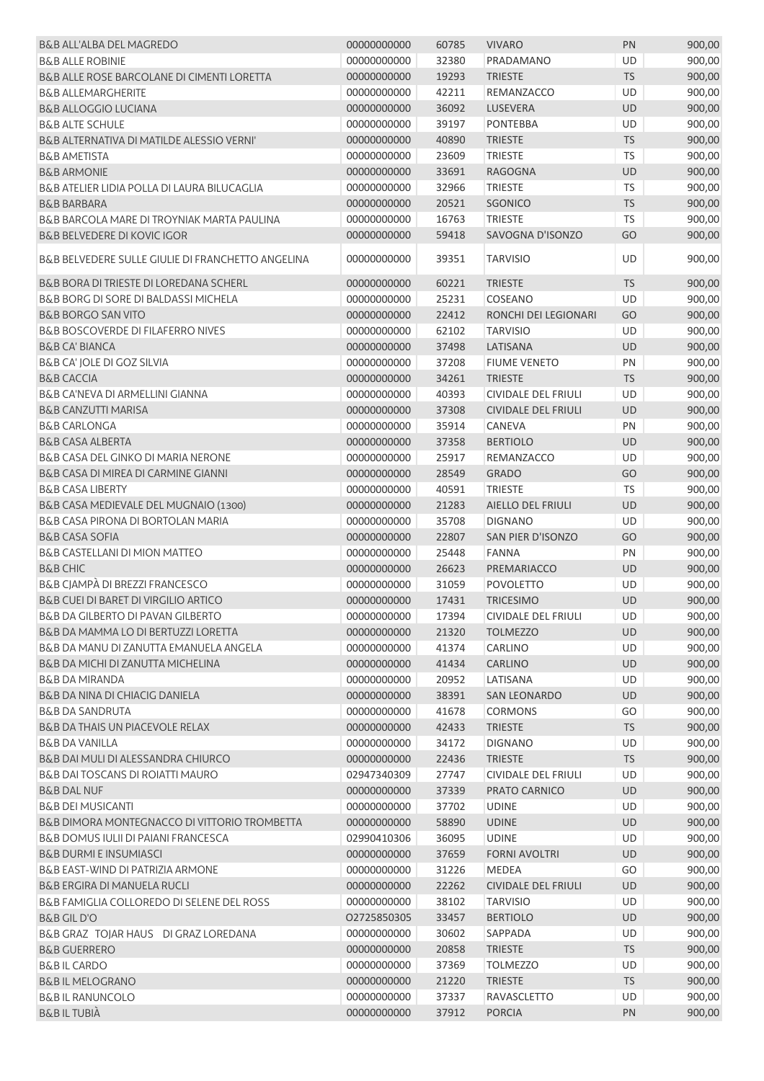| B&B ALL'ALBA DEL MAGREDO                              | 00000000000 | 60785 | <b>VIVARO</b>              | PN        | 900,00 |
|-------------------------------------------------------|-------------|-------|----------------------------|-----------|--------|
| <b>B&amp;B ALLE ROBINIE</b>                           | 00000000000 | 32380 | PRADAMANO                  | UD        | 900,00 |
| <b>B&amp;B ALLE ROSE BARCOLANE DI CIMENTI LORETTA</b> | 00000000000 | 19293 | <b>TRIESTE</b>             | <b>TS</b> | 900,00 |
| <b>B&amp;B ALLEMARGHERITE</b>                         | 00000000000 | 42211 | REMANZACCO                 | UD        | 900,00 |
| <b>B&amp;B ALLOGGIO LUCIANA</b>                       | 00000000000 | 36092 | <b>LUSEVERA</b>            | <b>UD</b> | 900,00 |
| <b>B&amp;B ALTE SCHULE</b>                            | 00000000000 | 39197 | <b>PONTEBBA</b>            | UD        | 900,00 |
| B&B ALTERNATIVA DI MATILDE ALESSIO VERNI'             | 00000000000 | 40890 | <b>TRIESTE</b>             | <b>TS</b> | 900,00 |
| <b>B&amp;B AMETISTA</b>                               | 00000000000 | 23609 | <b>TRIESTE</b>             | TS        | 900,00 |
| <b>B&amp;B ARMONIE</b>                                | 00000000000 | 33691 | <b>RAGOGNA</b>             | UD        | 900,00 |
| B&B ATELIER LIDIA POLLA DI LAURA BILUCAGLIA           | 00000000000 | 32966 | <b>TRIESTE</b>             | TS        | 900,00 |
| <b>B&amp;B BARBARA</b>                                | 00000000000 | 20521 | <b>SGONICO</b>             | <b>TS</b> | 900,00 |
| B&B BARCOLA MARE DI TROYNIAK MARTA PAULINA            | 00000000000 | 16763 | <b>TRIESTE</b>             | <b>TS</b> | 900,00 |
| <b>B&amp;B BELVEDERE DI KOVIC IGOR</b>                | 00000000000 | 59418 | SAVOGNA D'ISONZO           | GO        | 900,00 |
| B&B BELVEDERE SULLE GIULIE DI FRANCHETTO ANGELINA     | 00000000000 | 39351 | <b>TARVISIO</b>            | UD        | 900,00 |
| B&B BORA DI TRIESTE DI LOREDANA SCHERL                | 00000000000 | 60221 | <b>TRIESTE</b>             | <b>TS</b> | 900,00 |
| B&B BORG DI SORE DI BALDASSI MICHELA                  | 00000000000 | 25231 | COSEANO                    | UD        | 900,00 |
| <b>B&amp;B BORGO SAN VITO</b>                         | 00000000000 | 22412 | RONCHI DEI LEGIONARI       | GO        | 900,00 |
| <b>B&amp;B BOSCOVERDE DI FILAFERRO NIVES</b>          | 00000000000 | 62102 | <b>TARVISIO</b>            | UD        | 900,00 |
| <b>B&amp;B CA' BIANCA</b>                             | 00000000000 | 37498 | LATISANA                   | UD        | 900,00 |
| B&B CA' JOLE DI GOZ SILVIA                            | 00000000000 | 37208 | <b>FIUME VENETO</b>        | PN        | 900,00 |
| <b>B&amp;B CACCIA</b>                                 | 00000000000 | 34261 | <b>TRIESTE</b>             | <b>TS</b> | 900,00 |
| B&B CA'NEVA DI ARMELLINI GIANNA                       | 00000000000 | 40393 | <b>CIVIDALE DEL FRIULI</b> | UD        | 900,00 |
| <b>B&amp;B CANZUTTI MARISA</b>                        | 00000000000 | 37308 | <b>CIVIDALE DEL FRIULI</b> | UD        | 900,00 |
| <b>B&amp;B CARLONGA</b>                               | 00000000000 | 35914 | CANEVA                     | PN        | 900,00 |
| <b>B&amp;B CASA ALBERTA</b>                           | 00000000000 | 37358 | <b>BERTIOLO</b>            | UD        | 900,00 |
| B&B CASA DEL GINKO DI MARIA NERONE                    | 00000000000 | 25917 | REMANZACCO                 | UD        | 900,00 |
|                                                       |             |       |                            |           |        |
| B&B CASA DI MIREA DI CARMINE GIANNI                   | 00000000000 | 28549 | <b>GRADO</b>               | GO        | 900,00 |
| <b>B&amp;B CASA LIBERTY</b>                           | 00000000000 | 40591 | <b>TRIESTE</b>             | TS        | 900,00 |
| B&B CASA MEDIEVALE DEL MUGNAIO (1300)                 | 00000000000 | 21283 | AIELLO DEL FRIULI          | <b>UD</b> | 900,00 |
| B&B CASA PIRONA DI BORTOLAN MARIA                     | 00000000000 | 35708 | <b>DIGNANO</b>             | UD        | 900,00 |
| <b>B&amp;B CASA SOFIA</b>                             | 00000000000 | 22807 | SAN PIER D'ISONZO          | GO        | 900,00 |
| B&B CASTELLANI DI MION MATTEO                         | 00000000000 | 25448 | <b>FANNA</b>               | PN        | 900,00 |
| <b>B&amp;B CHIC</b>                                   | 00000000000 | 26623 | PREMARIACCO                | UD        | 900,00 |
| B&B CJAMPÀ DI BREZZI FRANCESCO                        | 00000000000 | 31059 | <b>POVOLETTO</b>           | UD        | 900,00 |
| <b>B&amp;B CUEI DI BARET DI VIRGILIO ARTICO</b>       | 00000000000 | 17431 | <b>TRICESIMO</b>           | <b>UD</b> | 900,00 |
| B&B DA GILBERTO DI PAVAN GILBERTO                     | 00000000000 | 17394 | CIVIDALE DEL FRIULI        | UD        | 900,00 |
| B&B DA MAMMA LO DI BERTUZZI LORETTA                   | 00000000000 | 21320 | <b>TOLMEZZO</b>            | UD        | 900,00 |
| B&B DA MANU DI ZANUTTA EMANUELA ANGELA                | 00000000000 | 41374 | CARLINO                    | <b>UD</b> | 900,00 |
| B&B DA MICHI DI ZANUTTA MICHELINA                     | 00000000000 | 41434 | <b>CARLINO</b>             | UD        | 900,00 |
| <b>B&amp;B DA MIRANDA</b>                             | 00000000000 | 20952 | LATISANA                   | UD        | 900,00 |
| <b>B&amp;B DA NINA DI CHIACIG DANIELA</b>             | 00000000000 | 38391 | <b>SAN LEONARDO</b>        | UD        | 900,00 |
| <b>B&amp;B DA SANDRUTA</b>                            | 00000000000 | 41678 | <b>CORMONS</b>             | GO        | 900,00 |
| <b>B&amp;B DA THAIS UN PIACEVOLE RELAX</b>            | 00000000000 | 42433 | <b>TRIESTE</b>             | <b>TS</b> | 900,00 |
| <b>B&amp;B DA VANILLA</b>                             | 00000000000 | 34172 | <b>DIGNANO</b>             | UD        | 900,00 |
| B&B DAI MULI DI ALESSANDRA CHIURCO                    | 00000000000 | 22436 | <b>TRIESTE</b>             | <b>TS</b> | 900,00 |
| <b>B&amp;B DAI TOSCANS DI ROIATTI MAURO</b>           | 02947340309 | 27747 | CIVIDALE DEL FRIULI        | UD        | 900,00 |
| <b>B&amp;B DAL NUF</b>                                | 00000000000 | 37339 | PRATO CARNICO              | UD        | 900,00 |
| <b>B&amp;B DEI MUSICANTI</b>                          | 00000000000 | 37702 | <b>UDINE</b>               | UD        | 900,00 |
| B&B DIMORA MONTEGNACCO DI VITTORIO TROMBETTA          | 00000000000 | 58890 | <b>UDINE</b>               | UD        | 900,00 |
| B&B DOMUS IULII DI PAIANI FRANCESCA                   | 02990410306 | 36095 | <b>UDINE</b>               | UD        | 900,00 |
| <b>B&amp;B DURMI E INSUMIASCI</b>                     | 00000000000 | 37659 | <b>FORNI AVOLTRI</b>       | UD        | 900,00 |
| B&B EAST-WIND DI PATRIZIA ARMONE                      | 00000000000 | 31226 | <b>MEDEA</b>               | GO        | 900,00 |
| <b>B&amp;B ERGIRA DI MANUELA RUCLI</b>                | 00000000000 | 22262 | <b>CIVIDALE DEL FRIULI</b> | <b>UD</b> | 900,00 |
| B&B FAMIGLIA COLLOREDO DI SELENE DEL ROSS             | 00000000000 | 38102 | <b>TARVISIO</b>            | UD        | 900,00 |
| <b>B&amp;B GIL D'O</b>                                | 02725850305 | 33457 | <b>BERTIOLO</b>            | UD        | 900,00 |
| B&B GRAZ TOJAR HAUS DI GRAZ LOREDANA                  | 00000000000 | 30602 | SAPPADA                    | UD        |        |
|                                                       |             |       |                            |           | 900,00 |
| <b>B&amp;B GUERRERO</b>                               | 00000000000 | 20858 | <b>TRIESTE</b>             | <b>TS</b> | 900,00 |
| <b>B&amp;BIL CARDO</b>                                | 00000000000 | 37369 | <b>TOLMEZZO</b>            | UD        | 900,00 |
| <b>B&amp;B IL MELOGRANO</b>                           | 00000000000 | 21220 | <b>TRIESTE</b>             | <b>TS</b> | 900,00 |
| <b>B&amp;BIL RANUNCOLO</b>                            | 00000000000 | 37337 | <b>RAVASCLETTO</b>         | UD        | 900,00 |
| <b>B&amp;BILTUBIÀ</b>                                 | 00000000000 | 37912 | <b>PORCIA</b>              | PN        | 900,00 |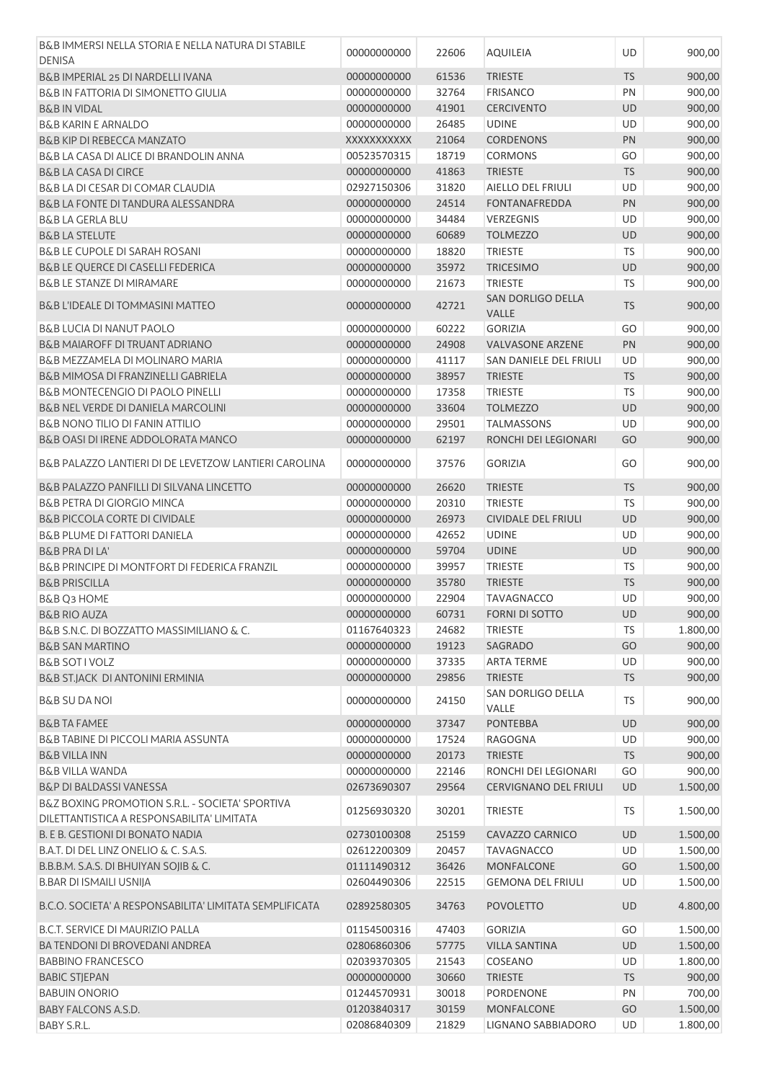| B&B IMMERSI NELLA STORIA E NELLA NATURA DI STABILE                                        |                            |                |                                              |           |                      |
|-------------------------------------------------------------------------------------------|----------------------------|----------------|----------------------------------------------|-----------|----------------------|
| <b>DENISA</b>                                                                             | 00000000000                | 22606          | <b>AQUILEIA</b>                              | <b>UD</b> | 900,00               |
| B&B IMPERIAL 25 DI NARDELLI IVANA                                                         | 00000000000                | 61536          | <b>TRIESTE</b>                               | <b>TS</b> | 900,00               |
| <b>B&amp;B IN FATTORIA DI SIMONETTO GIULIA</b>                                            | 00000000000                | 32764          | <b>FRISANCO</b>                              | PN        | 900,00               |
| <b>B&amp;B IN VIDAL</b>                                                                   | 00000000000                | 41901          | <b>CERCIVENTO</b>                            | <b>UD</b> | 900,00               |
| <b>B&amp;B KARIN E ARNALDO</b>                                                            | 00000000000                | 26485          | <b>UDINE</b>                                 | UD        | 900,00               |
| <b>B&amp;B KIP DI REBECCA MANZATO</b>                                                     | XXXXXXXXXX                 | 21064          | <b>CORDENONS</b>                             | PN        | 900,00               |
| B&B LA CASA DI ALICE DI BRANDOLIN ANNA                                                    | 00523570315                | 18719          | <b>CORMONS</b>                               | GO        | 900,00               |
|                                                                                           |                            |                |                                              | <b>TS</b> |                      |
| <b>B&amp;B LA CASA DI CIRCE</b>                                                           | 00000000000                | 41863          | <b>TRIESTE</b>                               |           | 900,00               |
| B&B LA DI CESAR DI COMAR CLAUDIA                                                          | 02927150306                | 31820          | AIELLO DEL FRIULI                            | UD        | 900,00               |
| B&B LA FONTE DI TANDURA ALESSANDRA                                                        | 00000000000                | 24514          | <b>FONTANAFREDDA</b>                         | PN        | 900,00               |
| <b>B&amp;B LA GERLA BLU</b>                                                               | 00000000000                | 34484          | <b>VERZEGNIS</b>                             | UD        | 900,00               |
| <b>B&amp;B LA STELUTE</b>                                                                 | 00000000000                | 60689          | <b>TOLMEZZO</b>                              | <b>UD</b> | 900,00               |
| <b>B&amp;B LE CUPOLE DI SARAH ROSANI</b>                                                  | 00000000000                | 18820          | <b>TRIESTE</b>                               | <b>TS</b> | 900,00               |
| B&B LE QUERCE DI CASELLI FEDERICA                                                         | 00000000000                | 35972          | <b>TRICESIMO</b>                             | <b>UD</b> | 900,00               |
| B&B LE STANZE DI MIRAMARE                                                                 | 00000000000                | 21673          | <b>TRIESTE</b>                               | TS        | 900,00               |
| <b>B&amp;B L'IDEALE DI TOMMASINI MATTEO</b>                                               | 00000000000                | 42721          | <b>SAN DORLIGO DELLA</b><br>VALLE            | <b>TS</b> | 900,00               |
| <b>B&amp;B LUCIA DI NANUT PAOLO</b>                                                       | 00000000000                | 60222          | <b>GORIZIA</b>                               | GO        | 900,00               |
| <b>B&amp;B MAIAROFF DI TRUANT ADRIANO</b>                                                 | 00000000000                | 24908          | <b>VALVASONE ARZENE</b>                      | PN        | 900,00               |
| B&B MEZZAMELA DI MOLINARO MARIA                                                           | 00000000000                | 41117          | <b>SAN DANIELE DEL FRIULI</b>                | UD        | 900,00               |
| B&B MIMOSA DI FRANZINELLI GABRIELA                                                        | 00000000000                | 38957          | <b>TRIESTE</b>                               | <b>TS</b> | 900,00               |
| <b>B&amp;B MONTECENGIO DI PAOLO PINELLI</b>                                               | 00000000000                | 17358          | <b>TRIESTE</b>                               | <b>TS</b> | 900,00               |
| <b>B&amp;B NEL VERDE DI DANIELA MARCOLINI</b>                                             | 00000000000                | 33604          | <b>TOLMEZZO</b>                              | <b>UD</b> | 900,00               |
| <b>B&amp;B NONO TILIO DI FANIN ATTILIO</b>                                                |                            |                |                                              |           |                      |
|                                                                                           | 00000000000                | 29501          | <b>TALMASSONS</b>                            | UD        | 900,00               |
| B&B OASI DI IRENE ADDOLORATA MANCO                                                        | 00000000000                | 62197          | RONCHI DEI LEGIONARI                         | GO        | 900,00               |
| B&B PALAZZO LANTIERI DI DE LEVETZOW LANTIERI CAROLINA                                     | 00000000000                | 37576          | <b>GORIZIA</b>                               | GO        | 900,00               |
| B&B PALAZZO PANFILLI DI SILVANA LINCETTO                                                  | 00000000000                | 26620          | <b>TRIESTE</b>                               | <b>TS</b> | 900,00               |
| <b>B&amp;B PETRA DI GIORGIO MINCA</b>                                                     | 00000000000                | 20310          | <b>TRIESTE</b>                               | <b>TS</b> | 900,00               |
| <b>B&amp;B PICCOLA CORTE DI CIVIDALE</b>                                                  | 00000000000                | 26973          | <b>CIVIDALE DEL FRIULI</b>                   | UD        | 900,00               |
| <b>B&amp;B PLUME DI FATTORI DANIELA</b>                                                   | 00000000000                | 42652          | <b>UDINE</b>                                 | UD        | 900,00               |
| <b>B&amp;B PRA DI LA'</b>                                                                 | 00000000000                | 59704          | <b>UDINE</b>                                 | <b>UD</b> | 900,00               |
| B&B PRINCIPE DI MONTFORT DI FEDERICA FRANZIL                                              | 00000000000                | 39957          | <b>TRIESTE</b>                               | <b>TS</b> | 900,00               |
| <b>B&amp;B PRISCILLA</b>                                                                  | 00000000000                | 35780          | <b>TRIESTE</b>                               | <b>TS</b> | 900,00               |
| B&B Q3 HOME                                                                               | 00000000000                | 22904          | <b>TAVAGNACCO</b>                            | UD        | 900,00               |
| <b>B&amp;B RIO AUZA</b>                                                                   | 00000000000                | 60731          | <b>FORNI DI SOTTO</b>                        | <b>UD</b> | 900,00               |
|                                                                                           |                            |                |                                              |           |                      |
| B&B S.N.C. DI BOZZATTO MASSIMILIANO & C.                                                  | 01167640323                | 24682          | <b>TRIESTE</b>                               | TS        | 1.800,00             |
| <b>B&amp;B SAN MARTINO</b>                                                                | 00000000000                | 19123          | SAGRADO                                      | GO        | 900,00               |
| <b>B&amp;B SOT I VOLZ</b>                                                                 | 00000000000                | 37335          | <b>ARTA TERME</b>                            | UD        | 900,00               |
| B&B ST.JACK DI ANTONINI ERMINIA                                                           | 00000000000                | 29856          | <b>TRIESTE</b>                               | <b>TS</b> | 900,00               |
| <b>B&amp;B SU DA NOI</b>                                                                  | 00000000000                | 24150          | SAN DORLIGO DELLA<br>VALLE                   | <b>TS</b> | 900,00               |
| <b>B&amp;B TA FAMEE</b>                                                                   | 00000000000                | 37347          | <b>PONTEBBA</b>                              | UD        | 900,00               |
| B&B TABINE DI PICCOLI MARIA ASSUNTA                                                       | 00000000000                | 17524          | RAGOGNA                                      | UD        | 900,00               |
| <b>B&amp;B VILLA INN</b>                                                                  | 00000000000                | 20173          | <b>TRIESTE</b>                               | <b>TS</b> | 900,00               |
| <b>B&amp;B VILLA WANDA</b>                                                                | 00000000000                | 22146          | RONCHI DEI LEGIONARI                         | GO        | 900,00               |
| <b>B&amp;P DI BALDASSI VANESSA</b>                                                        | 02673690307                | 29564          | <b>CERVIGNANO DEL FRIULI</b>                 | UD        | 1.500,00             |
| B&Z BOXING PROMOTION S.R.L. - SOCIETA' SPORTIVA                                           |                            |                |                                              |           |                      |
| DILETTANTISTICA A RESPONSABILITA' LIMITATA                                                | 01256930320                | 30201          | <b>TRIESTE</b>                               | TS        | 1.500,00             |
| B. E B. GESTIONI DI BONATO NADIA                                                          | 02730100308                | 25159          | CAVAZZO CARNICO                              | UD        | 1.500,00             |
| B.A.T. DI DEL LINZ ONELIO & C. S.A.S.                                                     | 02612200309                | 20457          | <b>TAVAGNACCO</b>                            | UD        | 1.500,00             |
| B.B.B.M. S.A.S. DI BHUIYAN SOJIB & C.                                                     | 01111490312                | 36426          | <b>MONFALCONE</b>                            | GO        | 1.500,00             |
|                                                                                           |                            |                |                                              |           |                      |
| <b>B.BAR DI ISMAILI USNIJA</b><br>B.C.O. SOCIETA' A RESPONSABILITA' LIMITATA SEMPLIFICATA | 02604490306<br>02892580305 | 22515<br>34763 | <b>GEMONA DEL FRIULI</b><br><b>POVOLETTO</b> | UD<br>UD  | 1.500,00<br>4.800,00 |
|                                                                                           |                            |                |                                              |           |                      |
| <b>B.C.T. SERVICE DI MAURIZIO PALLA</b>                                                   | 01154500316                | 47403          | <b>GORIZIA</b>                               | GO        | 1.500,00             |
| BA TENDONI DI BROVEDANI ANDREA                                                            | 02806860306                | 57775          | <b>VILLA SANTINA</b>                         | UD        | 1.500,00             |
| <b>BABBINO FRANCESCO</b>                                                                  | 02039370305                | 21543          | COSEANO                                      | UD        | 1.800,00             |
| <b>BABIC STJEPAN</b>                                                                      | 00000000000                | 30660          | <b>TRIESTE</b>                               | <b>TS</b> | 900,00               |
| <b>BABUIN ONORIO</b>                                                                      | 01244570931                | 30018          | PORDENONE                                    | PN        | 700,00               |
| BABY FALCONS A.S.D.                                                                       | 01203840317                | 30159          | <b>MONFALCONE</b>                            | GO        | 1.500,00             |
| BABY S.R.L.                                                                               | 02086840309                | 21829          | LIGNANO SABBIADORO                           | UD        | 1.800,00             |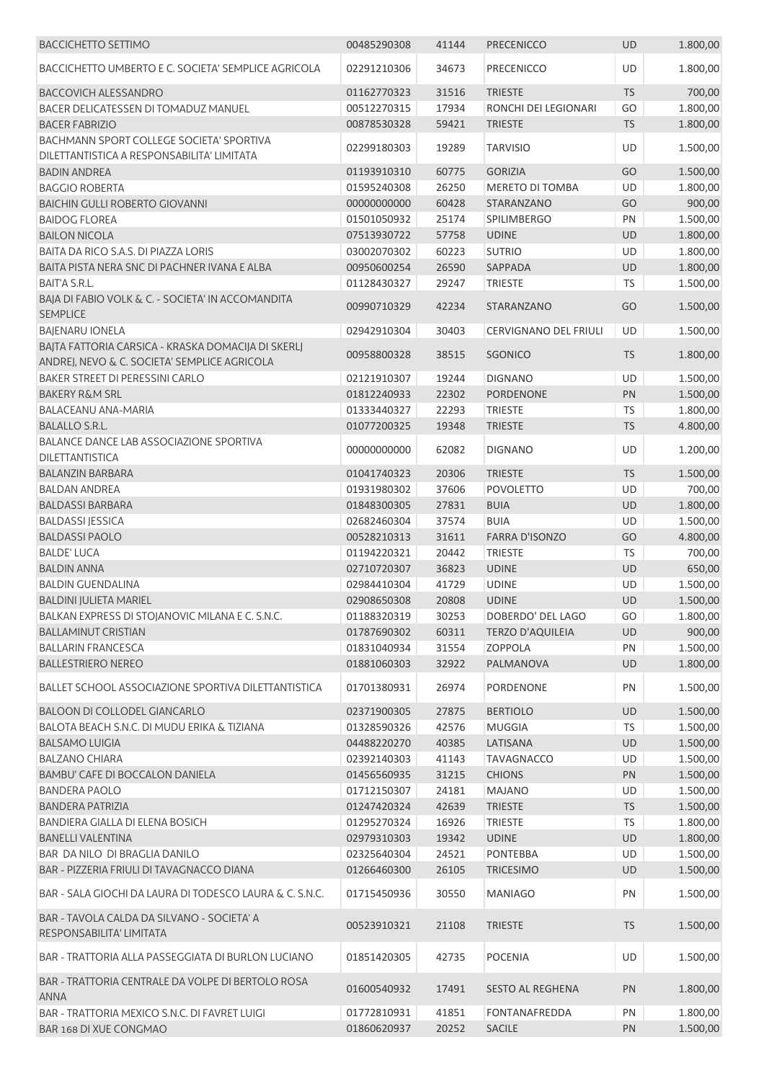| <b>BACCICHETTO SETTIMO</b>                                                             | 00485290308 | 41144 | <b>PRECENICCO</b>            | <b>UD</b> | 1.800,00 |
|----------------------------------------------------------------------------------------|-------------|-------|------------------------------|-----------|----------|
| BACCICHETTO UMBERTO E C. SOCIETA' SEMPLICE AGRICOLA                                    | 02291210306 | 34673 | PRECENICCO                   | UD        | 1.800,00 |
| <b>BACCOVICH ALESSANDRO</b>                                                            | 01162770323 | 31516 | <b>TRIESTE</b>               | <b>TS</b> | 700,00   |
| BACER DELICATESSEN DI TOMADUZ MANUEL                                                   | 00512270315 | 17934 | RONCHI DEI LEGIONARI         | GO        | 1.800,00 |
| <b>BACER FABRIZIO</b>                                                                  | 00878530328 | 59421 | <b>TRIESTE</b>               | TS        | 1.800,00 |
| BACHMANN SPORT COLLEGE SOCIETA' SPORTIVA<br>DILETTANTISTICA A RESPONSABILITA' LIMITATA | 02299180303 | 19289 | <b>TARVISIO</b>              | UD        | 1.500,00 |
| <b>BADIN ANDREA</b>                                                                    | 01193910310 | 60775 | <b>GORIZIA</b>               | GO        | 1.500,00 |
| <b>BAGGIO ROBERTA</b>                                                                  | 01595240308 | 26250 | <b>MERETO DI TOMBA</b>       | <b>UD</b> | 1.800,00 |
| <b>BAICHIN GULLI ROBERTO GIOVANNI</b>                                                  | 00000000000 | 60428 | STARANZANO                   | GO        | 900,00   |
| <b>BAIDOG FLOREA</b>                                                                   | 01501050932 | 25174 | <b>SPILIMBERGO</b>           | PN        | 1.500,00 |
| <b>BAILON NICOLA</b>                                                                   | 07513930722 | 57758 | <b>UDINE</b>                 | UD        | 1.800,00 |
| BAITA DA RICO S.A.S. DI PIAZZA LORIS                                                   | 03002070302 | 60223 | <b>SUTRIO</b>                | UD        | 1.800,00 |
| BAITA PISTA NERA SNC DI PACHNER IVANA E ALBA                                           | 00950600254 | 26590 | SAPPADA                      | UD        | 1.800,00 |
| <b>BAIT'A S.R.L.</b>                                                                   | 01128430327 | 29247 | <b>TRIESTE</b>               | TS        | 1.500,00 |
| BAJA DI FABIO VOLK & C. - SOCIETA' IN ACCOMANDITA<br><b>SEMPLICE</b>                   | 00990710329 | 42234 | STARANZANO                   | GO        | 1.500,00 |
| <b>BAJENARU IONELA</b>                                                                 | 02942910304 | 30403 | <b>CERVIGNANO DEL FRIULI</b> | <b>UD</b> | 1.500,00 |
| BAJTA FATTORIA CARSICA - KRASKA DOMACIJA DI SKERLJ                                     |             |       |                              |           |          |
| ANDREJ, NEVO & C. SOCIETA' SEMPLICE AGRICOLA                                           | 00958800328 | 38515 | SGONICO                      | <b>TS</b> | 1.800,00 |
| BAKER STREET DI PERESSINI CARLO                                                        | 02121910307 | 19244 | <b>DIGNANO</b>               | UD        | 1.500,00 |
| <b>BAKERY R&amp;M SRL</b>                                                              | 01812240933 | 22302 | <b>PORDENONE</b>             | PN        | 1.500,00 |
| BALACEANU ANA-MARIA                                                                    | 01333440327 | 22293 | <b>TRIESTE</b>               | TS        | 1.800,00 |
| <b>BALALLO S.R.L.</b>                                                                  | 01077200325 | 19348 | <b>TRIESTE</b>               | TS        | 4.800,00 |
| BALANCE DANCE LAB ASSOCIAZIONE SPORTIVA<br>DILETTANTISTICA                             | 00000000000 | 62082 | <b>DIGNANO</b>               | UD        | 1.200,00 |
| <b>BALANZIN BARBARA</b>                                                                | 01041740323 | 20306 | <b>TRIESTE</b>               | TS        | 1.500,00 |
| <b>BALDAN ANDREA</b>                                                                   | 01931980302 | 37606 | <b>POVOLETTO</b>             | UD        | 700,00   |
| <b>BALDASSI BARBARA</b>                                                                | 01848300305 | 27831 | <b>BUIA</b>                  | UD        | 1.800,00 |
| <b>BALDASSI JESSICA</b>                                                                | 02682460304 | 37574 | <b>BUIA</b>                  | UD        | 1.500,00 |
| <b>BALDASSI PAOLO</b>                                                                  | 00528210313 | 31611 | <b>FARRA D'ISONZO</b>        | GO        | 4.800,00 |
| <b>BALDE' LUCA</b>                                                                     | 01194220321 | 20442 | <b>TRIESTE</b>               | TS        | 700,00   |
| <b>BALDIN ANNA</b>                                                                     | 02710720307 | 36823 | <b>UDINE</b>                 | UD        | 650,00   |
| <b>BALDIN GUENDALINA</b>                                                               | 02984410304 | 41729 | <b>UDINE</b>                 | <b>UD</b> | 1.500,00 |
| <b>BALDINI JULIETA MARIEL</b>                                                          | 02908650308 | 20808 | <b>UDINE</b>                 | UD        | 1.500,00 |
| BALKAN EXPRESS DI STOJANOVIC MILANA E C. S.N.C.                                        | 01188320319 | 30253 | DOBERDO' DEL LAGO            | GO        | 1.800,00 |
| <b>BALLAMINUT CRISTIAN</b>                                                             | 01787690302 | 60311 | <b>TERZO D'AQUILEIA</b>      | UD        | 900,00   |
| <b>BALLARIN FRANCESCA</b>                                                              | 01831040934 | 31554 | <b>ZOPPOLA</b>               | PN        | 1.500,00 |
| <b>BALLESTRIERO NEREO</b>                                                              | 01881060303 | 32922 | PALMANOVA                    | UD        | 1.800,00 |
| BALLET SCHOOL ASSOCIAZIONE SPORTIVA DILETTANTISTICA                                    | 01701380931 | 26974 | PORDENONE                    | PN        | 1.500,00 |
| <b>BALOON DI COLLODEL GIANCARLO</b>                                                    | 02371900305 | 27875 | <b>BERTIOLO</b>              | UD        | 1.500,00 |
| BALOTA BEACH S.N.C. DI MUDU ERIKA & TIZIANA                                            | 01328590326 | 42576 | <b>MUGGIA</b>                | TS        | 1.500,00 |
| <b>BALSAMO LUIGIA</b>                                                                  | 04488220270 | 40385 | LATISANA                     | UD        | 1.500,00 |
| <b>BALZANO CHIARA</b>                                                                  | 02392140303 | 41143 | <b>TAVAGNACCO</b>            | UD        | 1.500,00 |
| BAMBU' CAFE DI BOCCALON DANIELA                                                        | 01456560935 | 31215 | <b>CHIONS</b>                | PN        | 1.500,00 |
| <b>BANDERA PAOLO</b>                                                                   | 01712150307 | 24181 | <b>MAJANO</b>                | UD        | 1.500,00 |
| <b>BANDERA PATRIZIA</b>                                                                | 01247420324 | 42639 | <b>TRIESTE</b>               | TS        | 1.500,00 |
| BANDIERA GIALLA DI ELENA BOSICH                                                        | 01295270324 | 16926 | <b>TRIESTE</b>               | TS        | 1.800,00 |
| <b>BANELLI VALENTINA</b>                                                               | 02979310303 | 19342 | <b>UDINE</b>                 | UD        | 1.800,00 |
| BAR DA NILO DI BRAGLIA DANILO                                                          | 02325640304 | 24521 | <b>PONTEBBA</b>              | <b>UD</b> | 1.500,00 |
| BAR - PIZZERIA FRIULI DI TAVAGNACCO DIANA                                              | 01266460300 | 26105 | <b>TRICESIMO</b>             | UD        | 1.500,00 |
| BAR - SALA GIOCHI DA LAURA DI TODESCO LAURA & C. S.N.C.                                | 01715450936 | 30550 | <b>MANIAGO</b>               | PN        | 1.500,00 |
| BAR - TAVOLA CALDA DA SILVANO - SOCIETA' A<br>RESPONSABILITA' LIMITATA                 | 00523910321 | 21108 | <b>TRIESTE</b>               | <b>TS</b> | 1.500,00 |
| BAR - TRATTORIA ALLA PASSEGGIATA DI BURLON LUCIANO                                     | 01851420305 | 42735 | <b>POCENIA</b>               | UD        | 1.500,00 |
| BAR - TRATTORIA CENTRALE DA VOLPE DI BERTOLO ROSA<br><b>ANNA</b>                       | 01600540932 | 17491 | <b>SESTO AL REGHENA</b>      | PN        | 1.800,00 |
| BAR - TRATTORIA MEXICO S.N.C. DI FAVRET LUIGI                                          | 01772810931 | 41851 | <b>FONTANAFREDDA</b>         | PN        | 1.800,00 |
| BAR 168 DI XUE CONGMAO                                                                 | 01860620937 | 20252 | <b>SACILE</b>                | PN        | 1.500,00 |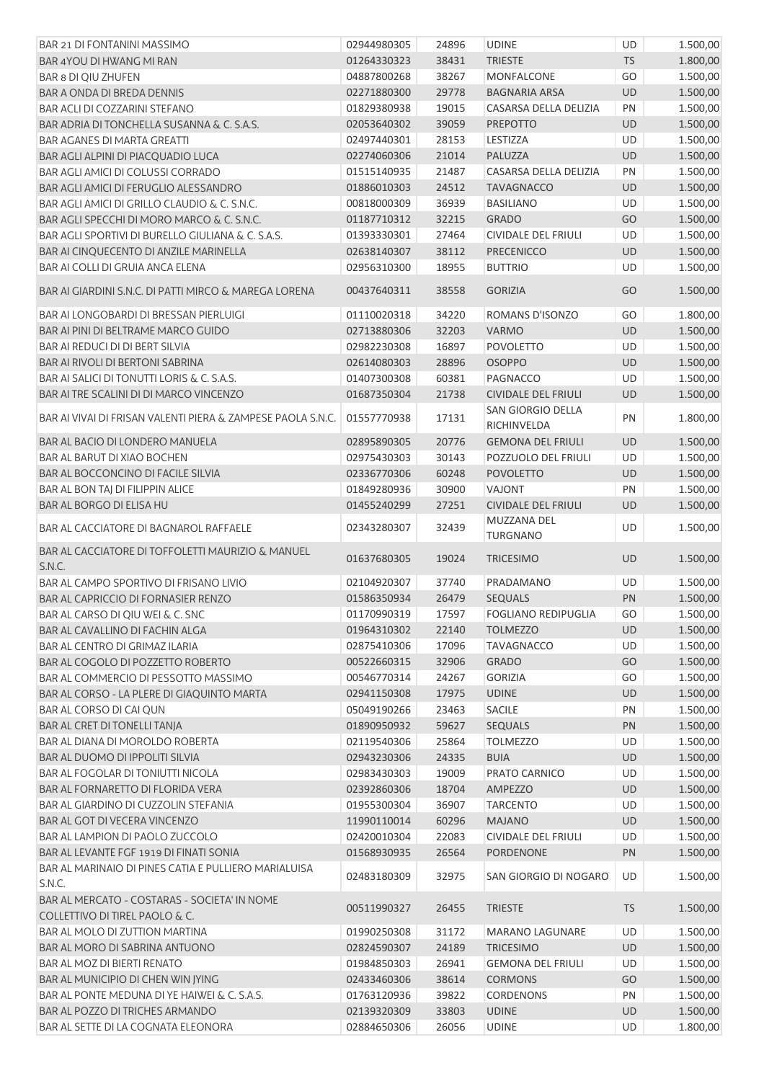| BAR 21 DI FONTANINI MASSIMO                                                    | 02944980305 | 24896 | <b>UDINE</b>                            | UD        | 1.500,00 |
|--------------------------------------------------------------------------------|-------------|-------|-----------------------------------------|-----------|----------|
| BAR 4YOU DI HWANG MI RAN                                                       | 01264330323 | 38431 | <b>TRIESTE</b>                          | <b>TS</b> | 1.800,00 |
| <b>BAR 8 DI QIU ZHUFEN</b>                                                     | 04887800268 | 38267 | MONFALCONE                              | GO        | 1.500,00 |
| BAR A ONDA DI BREDA DENNIS                                                     | 02271880300 | 29778 | <b>BAGNARIA ARSA</b>                    | <b>UD</b> | 1.500,00 |
| BAR ACLI DI COZZARINI STEFANO                                                  | 01829380938 | 19015 | CASARSA DELLA DELIZIA                   | PN        | 1.500,00 |
| BAR ADRIA DI TONCHELLA SUSANNA & C. S.A.S.                                     | 02053640302 | 39059 | <b>PREPOTTO</b>                         | UD        | 1.500,00 |
| <b>BAR AGANES DI MARTA GREATTI</b>                                             | 02497440301 | 28153 | LESTIZZA                                | UD        | 1.500,00 |
| BAR AGLI ALPINI DI PIACQUADIO LUCA                                             | 02274060306 | 21014 | PALUZZA                                 | UD        | 1.500,00 |
| BAR AGLI AMICI DI COLUSSI CORRADO                                              | 01515140935 | 21487 | CASARSA DELLA DELIZIA                   | PN        | 1.500,00 |
| BAR AGLI AMICI DI FERUGLIO ALESSANDRO                                          | 01886010303 | 24512 | <b>TAVAGNACCO</b>                       | UD        | 1.500,00 |
| BAR AGLI AMICI DI GRILLO CLAUDIO & C. S.N.C.                                   | 00818000309 | 36939 | <b>BASILIANO</b>                        | UD        | 1.500,00 |
| BAR AGLI SPECCHI DI MORO MARCO & C. S.N.C.                                     | 01187710312 | 32215 | <b>GRADO</b>                            | GO        | 1.500,00 |
| BAR AGLI SPORTIVI DI BURELLO GIULIANA & C. S.A.S.                              | 01393330301 | 27464 | <b>CIVIDALE DEL FRIULI</b>              | UD        | 1.500,00 |
| BAR AI CINQUECENTO DI ANZILE MARINELLA                                         | 02638140307 | 38112 | PRECENICCO                              | UD        | 1.500,00 |
| BAR AI COLLI DI GRUIA ANCA ELENA                                               | 02956310300 | 18955 | <b>BUTTRIO</b>                          | UD        | 1.500,00 |
| BAR AI GIARDINI S.N.C. DI PATTI MIRCO & MAREGA LORENA                          | 00437640311 | 38558 | <b>GORIZIA</b>                          | GO        | 1.500,00 |
|                                                                                |             |       |                                         |           |          |
| BAR AI LONGOBARDI DI BRESSAN PIERLUIGI                                         | 01110020318 | 34220 | ROMANS D'ISONZO                         | GO        | 1.800,00 |
| BAR AI PINI DI BELTRAME MARCO GUIDO                                            | 02713880306 | 32203 | <b>VARMO</b>                            | UD        | 1.500,00 |
| BAR AI REDUCI DI DI BERT SILVIA                                                | 02982230308 | 16897 | <b>POVOLETTO</b>                        | UD        | 1.500,00 |
| <b>BAR AI RIVOLI DI BERTONI SABRINA</b>                                        | 02614080303 | 28896 | <b>OSOPPO</b>                           | <b>UD</b> | 1.500,00 |
| BAR AI SALICI DI TONUTTI LORIS & C. S.A.S.                                     | 01407300308 | 60381 | PAGNACCO                                | UD        | 1.500,00 |
| BAR AI TRE SCALINI DI DI MARCO VINCENZO                                        | 01687350304 | 21738 | <b>CIVIDALE DEL FRIULI</b>              | <b>UD</b> | 1.500,00 |
| BAR AI VIVAI DI FRISAN VALENTI PIERA & ZAMPESE PAOLA S.N.C.                    | 01557770938 | 17131 | <b>SAN GIORGIO DELLA</b><br>RICHINVELDA | PN        | 1.800,00 |
| BAR AL BACIO DI LONDERO MANUELA                                                | 02895890305 | 20776 | <b>GEMONA DEL FRIULI</b>                | UD        | 1.500,00 |
| BAR AL BARUT DI XIAO BOCHEN                                                    | 02975430303 | 30143 | POZZUOLO DEL FRIULI                     | UD        | 1.500,00 |
| BAR AL BOCCONCINO DI FACILE SILVIA                                             | 02336770306 | 60248 | <b>POVOLETTO</b>                        | UD        | 1.500,00 |
| BAR AL BON TAJ DI FILIPPIN ALICE                                               | 01849280936 | 30900 | <b>VAJONT</b>                           | PN        | 1.500,00 |
| BAR AL BORGO DI ELISA HU                                                       | 01455240299 | 27251 | <b>CIVIDALE DEL FRIULI</b>              | UD        | 1.500,00 |
|                                                                                |             |       | MUZZANA DEL                             |           |          |
| BAR AL CACCIATORE DI BAGNAROL RAFFAELE                                         | 02343280307 | 32439 | <b>TURGNANO</b>                         | UD        | 1.500,00 |
| BAR AL CACCIATORE DI TOFFOLETTI MAURIZIO & MANUEL<br>S.N.C.                    | 01637680305 | 19024 | <b>TRICESIMO</b>                        | <b>UD</b> | 1.500,00 |
| BAR AL CAMPO SPORTIVO DI FRISANO LIVIO                                         | 02104920307 | 37740 | PRADAMANO                               | <b>UD</b> | 1.500,00 |
| BAR AL CAPRICCIO DI FORNASIER RENZO                                            | 01586350934 | 26479 | SEQUALS                                 | PN        | 1.500,00 |
| BAR AL CARSO DI QIU WEI & C. SNC                                               | 01170990319 | 17597 | <b>FOGLIANO REDIPUGLIA</b>              | GO        | 1.500,00 |
| BAR AL CAVALLINO DI FACHIN ALGA                                                | 01964310302 | 22140 | <b>TOLMEZZO</b>                         | UD        | 1.500,00 |
| <b>BAR AL CENTRO DI GRIMAZ ILARIA</b>                                          | 02875410306 | 17096 | <b>TAVAGNACCO</b>                       | UD        | 1.500,00 |
| BAR AL COGOLO DI POZZETTO ROBERTO                                              | 00522660315 | 32906 | <b>GRADO</b>                            | GO        | 1.500,00 |
| BAR AL COMMERCIO DI PESSOTTO MASSIMO                                           | 00546770314 | 24267 | <b>GORIZIA</b>                          | GO        | 1.500,00 |
| BAR AL CORSO - LA PLERE DI GIAQUINTO MARTA                                     | 02941150308 | 17975 | <b>UDINE</b>                            | <b>UD</b> | 1.500,00 |
| BAR AL CORSO DI CAI QUN                                                        | 05049190266 | 23463 | SACILE                                  | PN        | 1.500,00 |
| BAR AL CRET DI TONELLI TANJA                                                   | 01890950932 | 59627 | SEQUALS                                 | PN        | 1.500,00 |
| BAR AL DIANA DI MOROLDO ROBERTA                                                | 02119540306 | 25864 | <b>TOLMEZZO</b>                         | UD        | 1.500,00 |
| BAR AL DUOMO DI IPPOLITI SILVIA                                                | 02943230306 | 24335 | <b>BUIA</b>                             | UD        | 1.500,00 |
| BAR AL FOGOLAR DI TONIUTTI NICOLA                                              | 02983430303 | 19009 | PRATO CARNICO                           | UD        | 1.500,00 |
| BAR AL FORNARETTO DI FLORIDA VERA                                              | 02392860306 | 18704 | AMPEZZO                                 | UD        | 1.500,00 |
| BAR AL GIARDINO DI CUZZOLIN STEFANIA                                           | 01955300304 | 36907 | <b>TARCENTO</b>                         | UD        | 1.500,00 |
| BAR AL GOT DI VECERA VINCENZO                                                  | 11990110014 | 60296 | <b>MAJANO</b>                           | UD        | 1.500,00 |
| BAR AL LAMPION DI PAOLO ZUCCOLO                                                | 02420010304 | 22083 | <b>CIVIDALE DEL FRIULI</b>              | UD        | 1.500,00 |
| BAR AL LEVANTE FGF 1919 DI FINATI SONIA                                        | 01568930935 | 26564 | <b>PORDENONE</b>                        | PN        | 1.500,00 |
| BAR AL MARINAIO DI PINES CATIA E PULLIERO MARIALUISA                           |             |       |                                         |           |          |
| S.N.C.                                                                         | 02483180309 | 32975 | SAN GIORGIO DI NOGARO                   | UD        | 1.500,00 |
| BAR AL MERCATO - COSTARAS - SOCIETA' IN NOME<br>COLLETTIVO DI TIREL PAOLO & C. | 00511990327 | 26455 | <b>TRIESTE</b>                          | TS        | 1.500,00 |
| BAR AL MOLO DI ZUTTION MARTINA                                                 | 01990250308 | 31172 | <b>MARANO LAGUNARE</b>                  | UD        | 1.500,00 |
| BAR AL MORO DI SABRINA ANTUONO                                                 | 02824590307 | 24189 | <b>TRICESIMO</b>                        | UD        | 1.500,00 |
| BAR AL MOZ DI BIERTI RENATO                                                    | 01984850303 | 26941 | <b>GEMONA DEL FRIULI</b>                | UD        | 1.500,00 |
| BAR AL MUNICIPIO DI CHEN WIN JYING                                             | 02433460306 | 38614 | <b>CORMONS</b>                          | GO        | 1.500,00 |
| BAR AL PONTE MEDUNA DI YE HAIWEI & C. S.A.S.                                   | 01763120936 | 39822 | <b>CORDENONS</b>                        | PN        | 1.500,00 |
| BAR AL POZZO DI TRICHES ARMANDO                                                | 02139320309 | 33803 | <b>UDINE</b>                            | <b>UD</b> | 1.500,00 |
| BAR AL SETTE DI LA COGNATA ELEONORA                                            | 02884650306 | 26056 | <b>UDINE</b>                            | UD        | 1.800,00 |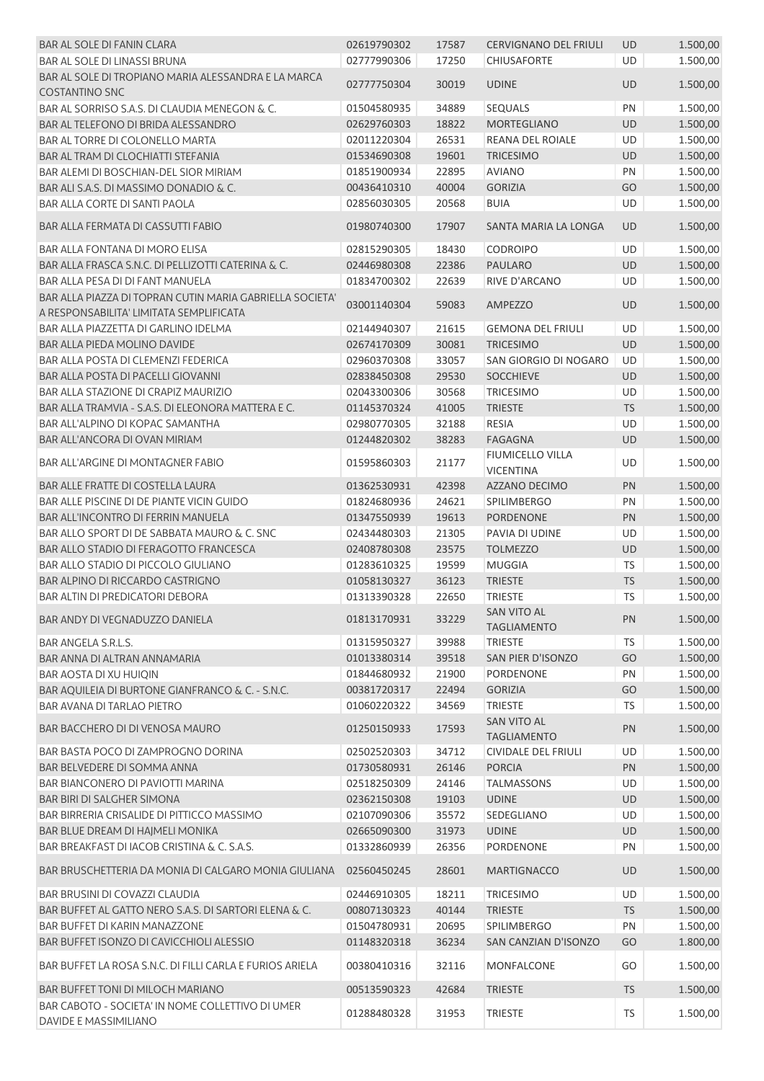| <b>BAR AL SOLE DI FANIN CLARA</b>                                                                   | 02619790302 | 17587 | <b>CERVIGNANO DEL FRIULI</b>             | <b>UD</b> | 1.500,00 |
|-----------------------------------------------------------------------------------------------------|-------------|-------|------------------------------------------|-----------|----------|
| BAR AL SOLE DI LINASSI BRUNA                                                                        | 02777990306 | 17250 | CHIUSAFORTE                              | UD        | 1.500,00 |
| BAR AL SOLE DI TROPIANO MARIA ALESSANDRA E LA MARCA                                                 | 02777750304 | 30019 | <b>UDINE</b>                             | <b>UD</b> | 1.500,00 |
| <b>COSTANTINO SNC</b>                                                                               |             |       |                                          |           |          |
| BAR AL SORRISO S.A.S. DI CLAUDIA MENEGON & C.                                                       | 01504580935 | 34889 | <b>SEQUALS</b>                           | PN        | 1.500,00 |
| BAR AL TELEFONO DI BRIDA ALESSANDRO                                                                 | 02629760303 | 18822 | <b>MORTEGLIANO</b>                       | UD        | 1.500,00 |
| BAR AL TORRE DI COLONELLO MARTA                                                                     | 02011220304 | 26531 | REANA DEL ROIALE                         | <b>UD</b> | 1.500,00 |
| BAR AL TRAM DI CLOCHIATTI STEFANIA                                                                  | 01534690308 | 19601 | <b>TRICESIMO</b>                         | UD        | 1.500,00 |
| BAR ALEMI DI BOSCHIAN-DEL SIOR MIRIAM                                                               | 01851900934 | 22895 | <b>AVIANO</b>                            | PN        | 1.500,00 |
| BAR ALI S.A.S. DI MASSIMO DONADIO & C.                                                              | 00436410310 | 40004 | <b>GORIZIA</b>                           | GO        | 1.500,00 |
| BAR ALLA CORTE DI SANTI PAOLA                                                                       | 02856030305 | 20568 | <b>BUIA</b>                              | UD        | 1.500,00 |
| BAR ALLA FERMATA DI CASSUTTI FABIO                                                                  | 01980740300 | 17907 | SANTA MARIA LA LONGA                     | <b>UD</b> | 1.500,00 |
| BAR ALLA FONTANA DI MORO ELISA                                                                      | 02815290305 | 18430 | <b>CODROIPO</b>                          | <b>UD</b> | 1.500,00 |
| BAR ALLA FRASCA S.N.C. DI PELLIZOTTI CATERINA & C.                                                  | 02446980308 | 22386 | <b>PAULARO</b>                           | UD        | 1.500,00 |
| BAR ALLA PESA DI DI FANT MANUELA                                                                    | 01834700302 | 22639 | RIVE D'ARCANO                            | UD        | 1.500,00 |
| BAR ALLA PIAZZA DI TOPRAN CUTIN MARIA GABRIELLA SOCIETA'<br>A RESPONSABILITA' LIMITATA SEMPLIFICATA | 03001140304 | 59083 | <b>AMPEZZO</b>                           | <b>UD</b> | 1.500,00 |
| BAR ALLA PIAZZETTA DI GARLINO IDELMA                                                                | 02144940307 | 21615 | <b>GEMONA DEL FRIULI</b>                 | <b>UD</b> | 1.500,00 |
| BAR ALLA PIEDA MOLINO DAVIDE                                                                        | 02674170309 | 30081 | <b>TRICESIMO</b>                         | UD        | 1.500,00 |
| BAR ALLA POSTA DI CLEMENZI FEDERICA                                                                 | 02960370308 | 33057 | SAN GIORGIO DI NOGARO                    | UD        | 1.500,00 |
| BAR ALLA POSTA DI PACELLI GIOVANNI                                                                  | 02838450308 | 29530 | <b>SOCCHIEVE</b>                         | UD        | 1.500,00 |
| BAR ALLA STAZIONE DI CRAPIZ MAURIZIO                                                                | 02043300306 | 30568 | <b>TRICESIMO</b>                         | UD        | 1.500,00 |
| BAR ALLA TRAMVIA - S.A.S. DI ELEONORA MATTERA E C.                                                  | 01145370324 | 41005 | <b>TRIESTE</b>                           | <b>TS</b> | 1.500,00 |
| BAR ALL'ALPINO DI KOPAC SAMANTHA                                                                    | 02980770305 | 32188 | <b>RESIA</b>                             | UD        | 1.500,00 |
| BAR ALL'ANCORA DI OVAN MIRIAM                                                                       | 01244820302 | 38283 | <b>FAGAGNA</b>                           | UD        | 1.500,00 |
| BAR ALL'ARGINE DI MONTAGNER FABIO                                                                   | 01595860303 | 21177 | FIUMICELLO VILLA<br><b>VICENTINA</b>     | UD        | 1.500,00 |
| BAR ALLE FRATTE DI COSTELLA LAURA                                                                   | 01362530931 | 42398 | AZZANO DECIMO                            | PN        | 1.500,00 |
| BAR ALLE PISCINE DI DE PIANTE VICIN GUIDO                                                           | 01824680936 | 24621 | <b>SPILIMBERGO</b>                       | PN        | 1.500,00 |
| <b>BAR ALL'INCONTRO DI FERRIN MANUELA</b>                                                           | 01347550939 | 19613 | PORDENONE                                | PN        | 1.500,00 |
| BAR ALLO SPORT DI DE SABBATA MAURO & C. SNC                                                         | 02434480303 | 21305 | PAVIA DI UDINE                           | UD        | 1.500,00 |
| BAR ALLO STADIO DI FERAGOTTO FRANCESCA                                                              | 02408780308 | 23575 | <b>TOLMEZZO</b>                          | UD        | 1.500,00 |
| BAR ALLO STADIO DI PICCOLO GIULIANO                                                                 | 01283610325 | 19599 | <b>MUGGIA</b>                            | <b>TS</b> | 1.500,00 |
| BAR ALPINO DI RICCARDO CASTRIGNO                                                                    |             |       |                                          |           |          |
| <b>BAR ALTIN DI PREDICATORI DEBORA</b>                                                              | 01058130327 | 36123 | <b>TRIESTE</b>                           | <b>TS</b> | 1.500,00 |
|                                                                                                     | 01313390328 | 22650 | TRIESTE                                  | <b>TS</b> | 1.500,00 |
| BAR ANDY DI VEGNADUZZO DANIELA                                                                      | 01813170931 | 33229 | <b>SAN VITO AL</b><br><b>TAGLIAMENTO</b> | PN        | 1.500,00 |
| <b>BAR ANGELA S.R.L.S.</b>                                                                          | 01315950327 | 39988 | <b>TRIESTE</b>                           | <b>TS</b> | 1.500,00 |
| BAR ANNA DI ALTRAN ANNAMARIA                                                                        | 01013380314 | 39518 | SAN PIER D'ISONZO                        | GO        | 1.500,00 |
| BAR AOSTA DI XU HUIQIN                                                                              | 01844680932 | 21900 | PORDENONE                                | PN        | 1.500,00 |
| BAR AQUILEIA DI BURTONE GIANFRANCO & C. - S.N.C.                                                    | 00381720317 | 22494 | <b>GORIZIA</b>                           | GO        | 1.500,00 |
| <b>BAR AVANA DI TARLAO PIETRO</b>                                                                   | 01060220322 | 34569 | <b>TRIESTE</b>                           | <b>TS</b> | 1.500,00 |
| BAR BACCHERO DI DI VENOSA MAURO                                                                     | 01250150933 | 17593 | <b>SAN VITO AL</b><br><b>TAGLIAMENTO</b> | PN        | 1.500,00 |
| BAR BASTA POCO DI ZAMPROGNO DORINA                                                                  | 02502520303 | 34712 | <b>CIVIDALE DEL FRIULI</b>               | <b>UD</b> | 1.500,00 |
| BAR BELVEDERE DI SOMMA ANNA                                                                         | 01730580931 | 26146 | <b>PORCIA</b>                            | PN        | 1.500,00 |
| BAR BIANCONERO DI PAVIOTTI MARINA                                                                   | 02518250309 | 24146 | <b>TALMASSONS</b>                        | UD        | 1.500,00 |
| <b>BAR BIRI DI SALGHER SIMONA</b>                                                                   | 02362150308 | 19103 | <b>UDINE</b>                             | UD        | 1.500,00 |
| BAR BIRRERIA CRISALIDE DI PITTICCO MASSIMO                                                          | 02107090306 | 35572 | SEDEGLIANO                               | UD        | 1.500,00 |
| BAR BLUE DREAM DI HAJMELI MONIKA                                                                    | 02665090300 | 31973 | <b>UDINE</b>                             | UD        | 1.500,00 |
| BAR BREAKFAST DI IACOB CRISTINA & C. S.A.S.                                                         | 01332860939 | 26356 | PORDENONE                                | PN        | 1.500,00 |
| BAR BRUSCHETTERIA DA MONIA DI CALGARO MONIA GIULIANA                                                | 02560450245 | 28601 | <b>MARTIGNACCO</b>                       | <b>UD</b> | 1.500,00 |
| BAR BRUSINI DI COVAZZI CLAUDIA                                                                      | 02446910305 | 18211 | <b>TRICESIMO</b>                         | UD        | 1.500,00 |
| BAR BUFFET AL GATTO NERO S.A.S. DI SARTORI ELENA & C.                                               | 00807130323 | 40144 | <b>TRIESTE</b>                           | <b>TS</b> | 1.500,00 |
| BAR BUFFET DI KARIN MANAZZONE                                                                       | 01504780931 | 20695 | <b>SPILIMBERGO</b>                       | PN        | 1.500,00 |
| BAR BUFFET ISONZO DI CAVICCHIOLI ALESSIO                                                            | 01148320318 | 36234 | SAN CANZIAN D'ISONZO                     | GO        | 1.800,00 |
|                                                                                                     |             |       |                                          |           |          |
| BAR BUFFET LA ROSA S.N.C. DI FILLI CARLA E FURIOS ARIELA                                            | 00380410316 | 32116 | <b>MONFALCONE</b>                        | GO        | 1.500,00 |
| BAR BUFFET TONI DI MILOCH MARIANO                                                                   | 00513590323 | 42684 | <b>TRIESTE</b>                           | <b>TS</b> | 1.500,00 |
| BAR CABOTO - SOCIETA' IN NOME COLLETTIVO DI UMER<br>DAVIDE E MASSIMILIANO                           | 01288480328 | 31953 | <b>TRIESTE</b>                           | TS        | 1.500,00 |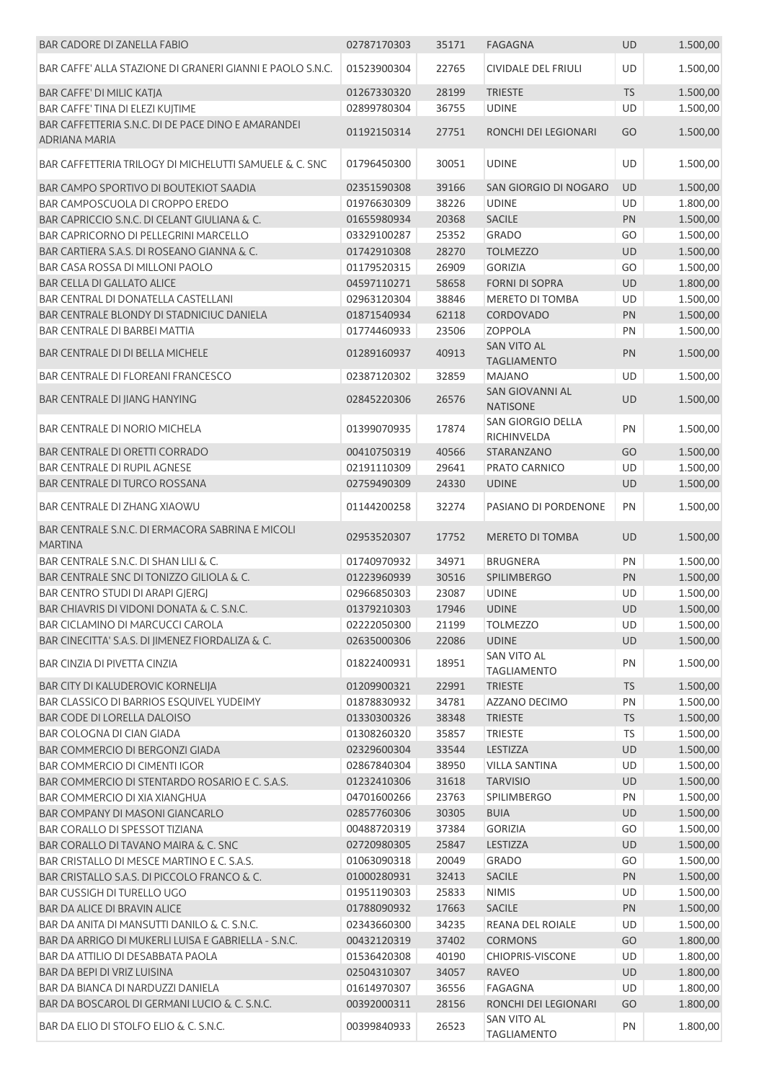| <b>BAR CADORE DI ZANELLA FABIO</b>                                  | 02787170303 | 35171 | <b>FAGAGNA</b>                            | <b>UD</b> | 1.500,00 |
|---------------------------------------------------------------------|-------------|-------|-------------------------------------------|-----------|----------|
| BAR CAFFE' ALLA STAZIONE DI GRANERI GIANNI E PAOLO S.N.C.           | 01523900304 | 22765 | CIVIDALE DEL FRIULI                       | UD        | 1.500,00 |
| BAR CAFFE' DI MILIC KATJA                                           | 01267330320 | 28199 | <b>TRIESTE</b>                            | <b>TS</b> | 1.500,00 |
| BAR CAFFE' TINA DI ELEZI KUJTIME                                    | 02899780304 | 36755 | <b>UDINE</b>                              | UD        | 1.500,00 |
| BAR CAFFETTERIA S.N.C. DI DE PACE DINO E AMARANDEI<br>ADRIANA MARIA | 01192150314 | 27751 | RONCHI DEI LEGIONARI                      | GO        | 1.500,00 |
| BAR CAFFETTERIA TRILOGY DI MICHELUTTI SAMUELE & C. SNC              | 01796450300 | 30051 | <b>UDINE</b>                              | UD        | 1.500,00 |
| BAR CAMPO SPORTIVO DI BOUTEKIOT SAADIA                              | 02351590308 | 39166 | SAN GIORGIO DI NOGARO                     | <b>UD</b> | 1.500,00 |
| BAR CAMPOSCUOLA DI CROPPO EREDO                                     | 01976630309 | 38226 | <b>UDINE</b>                              | UD        | 1.800,00 |
| BAR CAPRICCIO S.N.C. DI CELANT GIULIANA & C.                        | 01655980934 | 20368 | <b>SACILE</b>                             | PN        | 1.500,00 |
| BAR CAPRICORNO DI PELLEGRINI MARCELLO                               | 03329100287 | 25352 | <b>GRADO</b>                              | GO        | 1.500,00 |
| BAR CARTIERA S.A.S. DI ROSEANO GIANNA & C.                          | 01742910308 | 28270 | <b>TOLMEZZO</b>                           | UD        | 1.500,00 |
| BAR CASA ROSSA DI MILLONI PAOLO                                     | 01179520315 | 26909 | <b>GORIZIA</b>                            | GO        | 1.500,00 |
| BAR CELLA DI GALLATO ALICE                                          | 04597110271 | 58658 | <b>FORNI DI SOPRA</b>                     | UD        | 1.800,00 |
| BAR CENTRAL DI DONATELLA CASTELLANI                                 | 02963120304 | 38846 | <b>MERETO DI TOMBA</b>                    | UD        | 1.500,00 |
| BAR CENTRALE BLONDY DI STADNICIUC DANIELA                           | 01871540934 | 62118 | <b>CORDOVADO</b>                          | PN        | 1.500,00 |
| BAR CENTRALE DI BARBEI MATTIA                                       | 01774460933 | 23506 | <b>ZOPPOLA</b>                            | PN        | 1.500,00 |
| BAR CENTRALE DI DI BELLA MICHELE                                    | 01289160937 | 40913 | <b>SAN VITO AL</b><br><b>TAGLIAMENTO</b>  | PN        | 1.500,00 |
| <b>BAR CENTRALE DI FLOREANI FRANCESCO</b>                           | 02387120302 | 32859 | <b>MAJANO</b>                             | UD        | 1.500,00 |
| BAR CENTRALE DI JIANG HANYING                                       | 02845220306 | 26576 | <b>SAN GIOVANNI AL</b><br><b>NATISONE</b> | <b>UD</b> | 1.500,00 |
| <b>BAR CENTRALE DI NORIO MICHELA</b>                                | 01399070935 | 17874 | SAN GIORGIO DELLA<br>RICHINVELDA          | PN        | 1.500,00 |
| BAR CENTRALE DI ORETTI CORRADO                                      | 00410750319 | 40566 | STARANZANO                                | GO        | 1.500,00 |
| <b>BAR CENTRALE DI RUPIL AGNESE</b>                                 | 02191110309 | 29641 | PRATO CARNICO                             | UD        | 1.500,00 |
| <b>BAR CENTRALE DI TURCO ROSSANA</b>                                | 02759490309 | 24330 | <b>UDINE</b>                              | <b>UD</b> | 1.500,00 |
| BAR CENTRALE DI ZHANG XIAOWU                                        | 01144200258 | 32274 | PASIANO DI PORDENONE                      | PN        | 1.500,00 |
| BAR CENTRALE S.N.C. DI ERMACORA SABRINA E MICOLI<br><b>MARTINA</b>  | 02953520307 | 17752 | <b>MERETO DI TOMBA</b>                    | <b>UD</b> | 1.500,00 |
| BAR CENTRALE S.N.C. DI SHAN LILI & C.                               | 01740970932 | 34971 | <b>BRUGNERA</b>                           | PN        | 1.500,00 |
| BAR CENTRALE SNC DI TONIZZO GILIOLA & C.                            | 01223960939 | 30516 | SPILIMBERGO                               | PN        | 1.500,00 |
| BAR CENTRO STUDI DI ARAPI GJERGJ                                    | 02966850303 | 23087 | <b>UDINE</b>                              | UD        | 1.500,00 |
| BAR CHIAVRIS DI VIDONI DONATA & C. S.N.C.                           | 01379210303 | 17946 | <b>UDINE</b>                              | <b>UD</b> | 1.500,00 |
| BAR CICLAMINO DI MARCUCCI CAROLA                                    | 02222050300 | 21199 | <b>TOLMEZZO</b>                           | UD        | 1.500,00 |
| BAR CINECITTA' S.A.S. DI JIMENEZ FIORDALIZA & C.                    | 02635000306 | 22086 | <b>UDINE</b>                              | UD        | 1.500,00 |
| BAR CINZIA DI PIVETTA CINZIA                                        | 01822400931 | 18951 | SAN VITO AL<br><b>TAGLIAMENTO</b>         | PN        | 1.500,00 |
| BAR CITY DI KALUDEROVIC KORNELIJA                                   | 01209900321 | 22991 | <b>TRIESTE</b>                            | <b>TS</b> | 1.500,00 |
| BAR CLASSICO DI BARRIOS ESQUIVEL YUDEIMY                            | 01878830932 | 34781 | AZZANO DECIMO                             | PN        | 1.500,00 |
| BAR CODE DI LORELLA DALOISO                                         | 01330300326 | 38348 | <b>TRIESTE</b>                            | <b>TS</b> | 1.500,00 |
| BAR COLOGNA DI CIAN GIADA                                           | 01308260320 | 35857 | <b>TRIESTE</b>                            | <b>TS</b> | 1.500,00 |
| BAR COMMERCIO DI BERGONZI GIADA                                     | 02329600304 | 33544 | LESTIZZA                                  | UD        | 1.500,00 |
| BAR COMMERCIO DI CIMENTI IGOR                                       | 02867840304 | 38950 | <b>VILLA SANTINA</b>                      | UD        | 1.500,00 |
| BAR COMMERCIO DI STENTARDO ROSARIO E C. S.A.S.                      | 01232410306 | 31618 | <b>TARVISIO</b>                           | <b>UD</b> | 1.500,00 |
| BAR COMMERCIO DI XIA XIANGHUA                                       | 04701600266 | 23763 | <b>SPILIMBERGO</b>                        | PN        | 1.500,00 |
| BAR COMPANY DI MASONI GIANCARLO                                     | 02857760306 | 30305 | <b>BUIA</b>                               | <b>UD</b> | 1.500,00 |
| BAR CORALLO DI SPESSOT TIZIANA                                      | 00488720319 | 37384 | <b>GORIZIA</b>                            | GO        | 1.500,00 |
| BAR CORALLO DI TAVANO MAIRA & C. SNC                                | 02720980305 | 25847 | LESTIZZA                                  | UD        | 1.500,00 |
| BAR CRISTALLO DI MESCE MARTINO E C. S.A.S.                          | 01063090318 | 20049 | <b>GRADO</b>                              | GO        | 1.500,00 |
| BAR CRISTALLO S.A.S. DI PICCOLO FRANCO & C.                         | 01000280931 | 32413 | SACILE                                    | PN        | 1.500,00 |
| BAR CUSSIGH DI TURELLO UGO                                          | 01951190303 | 25833 | <b>NIMIS</b>                              | UD        | 1.500,00 |
| <b>BAR DA ALICE DI BRAVIN ALICE</b>                                 | 01788090932 | 17663 | <b>SACILE</b>                             | PN        | 1.500,00 |
| BAR DA ANITA DI MANSUTTI DANILO & C. S.N.C.                         | 02343660300 | 34235 | REANA DEL ROIALE                          | UD        | 1.500,00 |
| BAR DA ARRIGO DI MUKERLI LUISA E GABRIELLA - S.N.C.                 | 00432120319 | 37402 | <b>CORMONS</b>                            | GO        | 1.800,00 |
| BAR DA ATTILIO DI DESABBATA PAOLA                                   | 01536420308 | 40190 | CHIOPRIS-VISCONE                          | UD        | 1.800,00 |
| BAR DA BEPI DI VRIZ LUISINA                                         | 02504310307 | 34057 | <b>RAVEO</b>                              | UD        | 1.800,00 |
| BAR DA BIANCA DI NARDUZZI DANIELA                                   | 01614970307 | 36556 | FAGAGNA                                   | UD        | 1.800,00 |
| BAR DA BOSCAROL DI GERMANI LUCIO & C. S.N.C.                        | 00392000311 | 28156 | RONCHI DEI LEGIONARI                      | GO        | 1.800,00 |
| BAR DA ELIO DI STOLFO ELIO & C. S.N.C.                              | 00399840933 | 26523 | <b>SAN VITO AL</b><br><b>TAGLIAMENTO</b>  | PN        | 1.800,00 |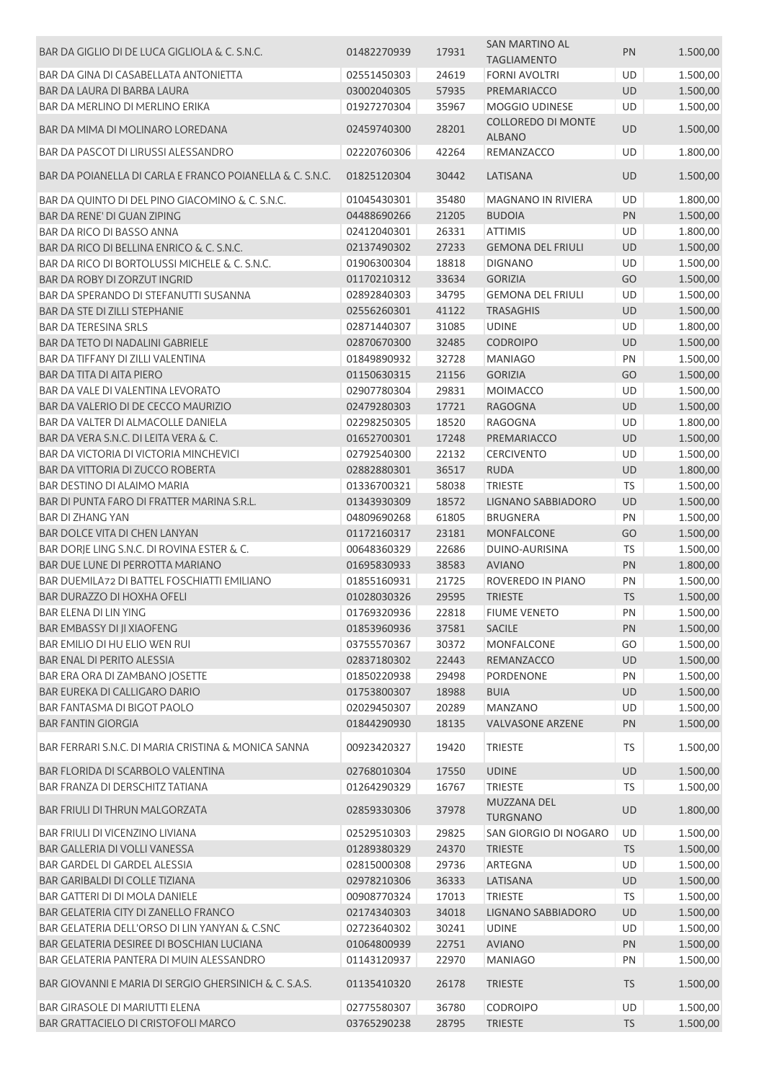|                                                          |             |       | <b>SAN MARTINO AL</b>               |           |          |
|----------------------------------------------------------|-------------|-------|-------------------------------------|-----------|----------|
| BAR DA GIGLIO DI DE LUCA GIGLIOLA & C. S.N.C.            | 01482270939 | 17931 | <b>TAGLIAMENTO</b>                  | PN        | 1.500,00 |
| BAR DA GINA DI CASABELLATA ANTONIETTA                    | 02551450303 | 24619 | <b>FORNI AVOLTRI</b>                | UD        | 1.500,00 |
|                                                          |             |       |                                     |           |          |
| BAR DA LAURA DI BARBA LAURA                              | 03002040305 | 57935 | PREMARIACCO                         | UD        | 1.500,00 |
| BAR DA MERLINO DI MERLINO ERIKA                          | 01927270304 | 35967 | MOGGIO UDINESE                      | UD        | 1.500,00 |
| BAR DA MIMA DI MOLINARO LOREDANA                         | 02459740300 | 28201 | COLLOREDO DI MONTE<br><b>ALBANO</b> | UD        | 1.500,00 |
| BAR DA PASCOT DI LIRUSSI ALESSANDRO                      | 02220760306 | 42264 | REMANZACCO                          | UD        | 1.800,00 |
| BAR DA POIANELLA DI CARLA E FRANCO POIANELLA & C. S.N.C. | 01825120304 | 30442 | LATISANA                            | <b>UD</b> | 1.500,00 |
| BAR DA QUINTO DI DEL PINO GIACOMINO & C. S.N.C.          | 01045430301 | 35480 | MAGNANO IN RIVIERA                  | UD        | 1.800,00 |
| BAR DA RENE' DI GUAN ZIPING                              | 04488690266 | 21205 | <b>BUDOIA</b>                       | PN        | 1.500,00 |
| BAR DA RICO DI BASSO ANNA                                | 02412040301 | 26331 | <b>ATTIMIS</b>                      | UD        | 1.800,00 |
| BAR DA RICO DI BELLINA ENRICO & C. S.N.C.                | 02137490302 | 27233 | <b>GEMONA DEL FRIULI</b>            | UD        | 1.500,00 |
| BAR DA RICO DI BORTOLUSSI MICHELE & C. S.N.C.            | 01906300304 | 18818 | <b>DIGNANO</b>                      | UD        | 1.500,00 |
| BAR DA ROBY DI ZORZUT INGRID                             | 01170210312 | 33634 | <b>GORIZIA</b>                      | GO        | 1.500,00 |
| BAR DA SPERANDO DI STEFANUTTI SUSANNA                    | 02892840303 | 34795 | <b>GEMONA DEL FRIULI</b>            | UD        | 1.500,00 |
| BAR DA STE DI ZILLI STEPHANIE                            | 02556260301 | 41122 | <b>TRASAGHIS</b>                    | UD        | 1.500,00 |
| <b>BAR DA TERESINA SRLS</b>                              | 02871440307 | 31085 | <b>UDINE</b>                        | UD        | 1.800,00 |
| BAR DA TETO DI NADALINI GABRIELE                         | 02870670300 | 32485 | <b>CODROIPO</b>                     | UD        | 1.500,00 |
| BAR DA TIFFANY DI ZILLI VALENTINA                        | 01849890932 | 32728 | <b>MANIAGO</b>                      | PN        | 1.500,00 |
| BAR DA TITA DI AITA PIERO                                | 01150630315 | 21156 | <b>GORIZIA</b>                      | GO        | 1.500,00 |
| BAR DA VALE DI VALENTINA LEVORATO                        | 02907780304 | 29831 | <b>MOIMACCO</b>                     | UD        | 1.500,00 |
| BAR DA VALERIO DI DE CECCO MAURIZIO                      | 02479280303 | 17721 | <b>RAGOGNA</b>                      | UD        | 1.500,00 |
| BAR DA VALTER DI ALMACOLLE DANIELA                       | 02298250305 | 18520 | RAGOGNA                             | UD        | 1.800,00 |
| BAR DA VERA S.N.C. DI LEITA VERA & C.                    |             |       |                                     |           |          |
|                                                          | 01652700301 | 17248 | PREMARIACCO                         | UD        | 1.500,00 |
| <b>BAR DA VICTORIA DI VICTORIA MINCHEVICI</b>            | 02792540300 | 22132 | <b>CERCIVENTO</b>                   | UD        | 1.500,00 |
| BAR DA VITTORIA DI ZUCCO ROBERTA                         | 02882880301 | 36517 | <b>RUDA</b>                         | UD        | 1.800,00 |
| <b>BAR DESTINO DI ALAIMO MARIA</b>                       | 01336700321 | 58038 | <b>TRIESTE</b>                      | <b>TS</b> | 1.500,00 |
| BAR DI PUNTA FARO DI FRATTER MARINA S.R.L.               | 01343930309 | 18572 | LIGNANO SABBIADORO                  | UD        | 1.500,00 |
| <b>BAR DI ZHANG YAN</b>                                  | 04809690268 | 61805 | <b>BRUGNERA</b>                     | PN        | 1.500,00 |
| BAR DOLCE VITA DI CHEN LANYAN                            | 01172160317 | 23181 | <b>MONFALCONE</b>                   | GO        | 1.500,00 |
| BAR DORJE LING S.N.C. DI ROVINA ESTER & C.               | 00648360329 | 22686 | DUINO-AURISINA                      | <b>TS</b> | 1.500,00 |
| BAR DUE LUNE DI PERROTTA MARIANO                         | 01695830933 | 38583 | <b>AVIANO</b>                       | PN        | 1.800,00 |
| BAR DUEMILA72 DI BATTEL FOSCHIATTI EMILIANO              | 01855160931 | 21725 | ROVEREDO IN PIANO                   | PN        | 1.500,00 |
| <b>BAR DURAZZO DI HOXHA OFELI</b>                        | 01028030326 | 29595 | <b>TRIESTE</b>                      | <b>TS</b> | 1.500,00 |
| BAR ELENA DI LIN YING                                    | 01769320936 | 22818 | <b>FIUME VENETO</b>                 | PN        | 1.500,00 |
| <b>BAR EMBASSY DI JI XIAOFENG</b>                        | 01853960936 | 37581 | <b>SACILE</b>                       | PN        | 1.500,00 |
| BAR EMILIO DI HU ELIO WEN RUI                            | 03755570367 | 30372 | <b>MONFALCONE</b>                   | GO        | 1.500,00 |
| <b>BAR ENAL DI PERITO ALESSIA</b>                        | 02837180302 | 22443 | REMANZACCO                          | UD        | 1.500,00 |
| BAR ERA ORA DI ZAMBANO JOSETTE                           | 01850220938 | 29498 | PORDENONE                           | PN        | 1.500,00 |
| BAR EUREKA DI CALLIGARO DARIO                            | 01753800307 | 18988 | <b>BUIA</b>                         | UD        | 1.500,00 |
| BAR FANTASMA DI BIGOT PAOLO                              | 02029450307 | 20289 | <b>MANZANO</b>                      | UD        | 1.500,00 |
| <b>BAR FANTIN GIORGIA</b>                                | 01844290930 | 18135 | <b>VALVASONE ARZENE</b>             | PN        | 1.500,00 |
| BAR FERRARI S.N.C. DI MARIA CRISTINA & MONICA SANNA      | 00923420327 | 19420 | <b>TRIESTE</b>                      | TS        | 1.500,00 |
| BAR FLORIDA DI SCARBOLO VALENTINA                        | 02768010304 | 17550 | <b>UDINE</b>                        | UD        | 1.500,00 |
| BAR FRANZA DI DERSCHITZ TATIANA                          | 01264290329 | 16767 | <b>TRIESTE</b>                      | TS        | 1.500,00 |
| BAR FRIULI DI THRUN MALGORZATA                           | 02859330306 | 37978 | MUZZANA DEL<br><b>TURGNANO</b>      | UD        | 1.800,00 |
| BAR FRIULI DI VICENZINO LIVIANA                          | 02529510303 | 29825 | SAN GIORGIO DI NOGARO               | UD        | 1.500,00 |
| BAR GALLERIA DI VOLLI VANESSA                            | 01289380329 | 24370 | <b>TRIESTE</b>                      | <b>TS</b> | 1.500,00 |
| BAR GARDEL DI GARDEL ALESSIA                             | 02815000308 | 29736 | ARTEGNA                             | UD        | 1.500,00 |
| <b>BAR GARIBALDI DI COLLE TIZIANA</b>                    | 02978210306 | 36333 | LATISANA                            | UD        | 1.500,00 |
| BAR GATTERI DI DI MOLA DANIELE                           | 00908770324 | 17013 | <b>TRIESTE</b>                      | <b>TS</b> | 1.500,00 |
| BAR GELATERIA CITY DI ZANELLO FRANCO                     | 02174340303 | 34018 | LIGNANO SABBIADORO                  | UD        | 1.500,00 |
| BAR GELATERIA DELL'ORSO DI LIN YANYAN & C.SNC            | 02723640302 | 30241 | <b>UDINE</b>                        | UD        | 1.500,00 |
| BAR GELATERIA DESIREE DI BOSCHIAN LUCIANA                | 01064800939 | 22751 | <b>AVIANO</b>                       | PN        | 1.500,00 |
| BAR GELATERIA PANTERA DI MUIN ALESSANDRO                 | 01143120937 | 22970 | <b>MANIAGO</b>                      | PN        | 1.500,00 |
| BAR GIOVANNI E MARIA DI SERGIO GHERSINICH & C. S.A.S.    | 01135410320 | 26178 | <b>TRIESTE</b>                      | <b>TS</b> | 1.500,00 |
| <b>BAR GIRASOLE DI MARIUTTI ELENA</b>                    | 02775580307 | 36780 | <b>CODROIPO</b>                     | UD        | 1.500,00 |
| BAR GRATTACIELO DI CRISTOFOLI MARCO                      | 03765290238 | 28795 | <b>TRIESTE</b>                      | TS        | 1.500,00 |
|                                                          |             |       |                                     |           |          |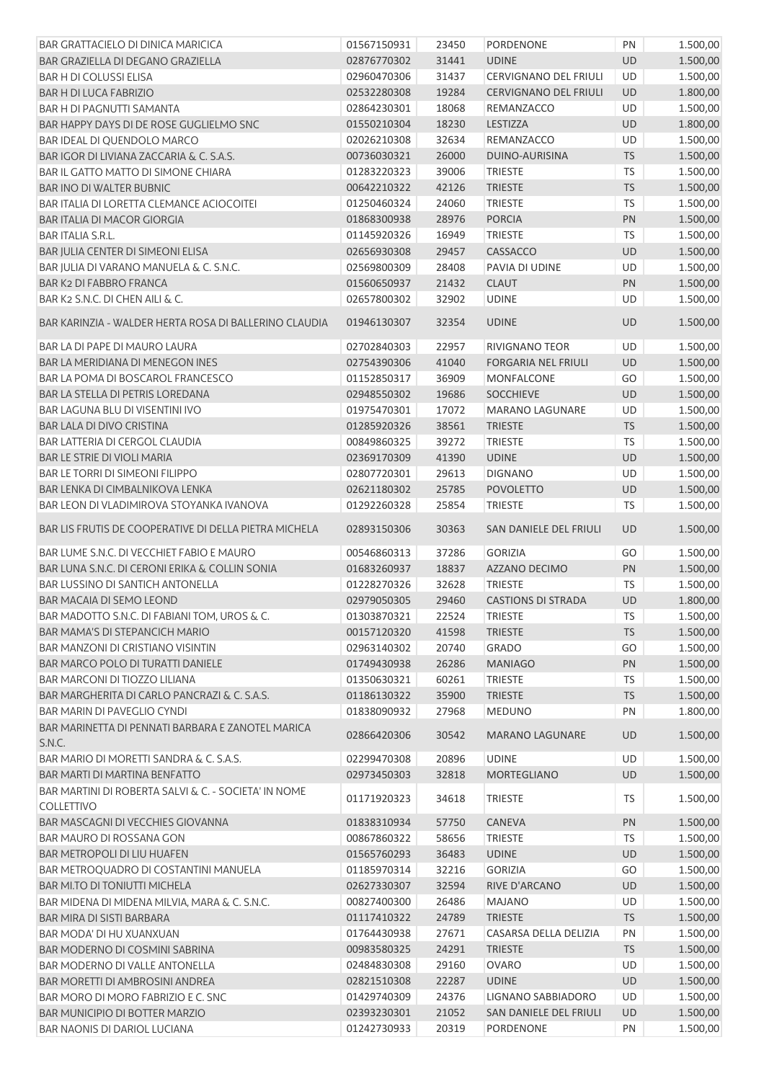| BAR GRATTACIELO DI DINICA MARICICA                                        | 01567150931                | 23450 | <b>PORDENONE</b>                   | PN        | 1.500,00             |
|---------------------------------------------------------------------------|----------------------------|-------|------------------------------------|-----------|----------------------|
| BAR GRAZIELLA DI DEGANO GRAZIELLA                                         | 02876770302                | 31441 | <b>UDINE</b>                       | <b>UD</b> | 1.500,00             |
| <b>BAR H DI COLUSSI ELISA</b>                                             | 02960470306                | 31437 | CERVIGNANO DEL FRIULI              | UD        | 1.500,00             |
| <b>BAR H DI LUCA FABRIZIO</b>                                             | 02532280308                | 19284 | <b>CERVIGNANO DEL FRIULI</b>       | UD        | 1.800,00             |
| BAR H DI PAGNUTTI SAMANTA                                                 | 02864230301                | 18068 | REMANZACCO                         | UD        | 1.500,00             |
| BAR HAPPY DAYS DI DE ROSE GUGLIELMO SNC                                   | 01550210304                | 18230 | LESTIZZA                           | UD        | 1.800,00             |
| BAR IDEAL DI QUENDOLO MARCO                                               | 02026210308                | 32634 | REMANZACCO                         | UD        | 1.500,00             |
| BAR IGOR DI LIVIANA ZACCARIA & C. S.A.S.                                  | 00736030321                | 26000 | DUINO-AURISINA                     | <b>TS</b> | 1.500,00             |
| BAR IL GATTO MATTO DI SIMONE CHIARA                                       | 01283220323                | 39006 | <b>TRIESTE</b>                     | <b>TS</b> | 1.500,00             |
| <b>BAR INO DI WALTER BUBNIC</b>                                           | 00642210322                | 42126 | <b>TRIESTE</b>                     | <b>TS</b> | 1.500,00             |
| BAR ITALIA DI LORETTA CLEMANCE ACIOCOITEI                                 | 01250460324                | 24060 | <b>TRIESTE</b>                     | <b>TS</b> | 1.500,00             |
| BAR ITALIA DI MACOR GIORGIA                                               | 01868300938                | 28976 | <b>PORCIA</b>                      | PN        | 1.500,00             |
| <b>BAR ITALIA S.R.L.</b>                                                  | 01145920326                | 16949 | <b>TRIESTE</b>                     | <b>TS</b> | 1.500,00             |
| BAR JULIA CENTER DI SIMEONI ELISA                                         | 02656930308                | 29457 | CASSACCO                           | UD        | 1.500,00             |
| BAR JULIA DI VARANO MANUELA & C. S.N.C.                                   | 02569800309                | 28408 | PAVIA DI UDINE                     | UD        | 1.500,00             |
| <b>BAR K2 DI FABBRO FRANCA</b>                                            | 01560650937                | 21432 | <b>CLAUT</b>                       | PN        | 1.500,00             |
| BAR K2 S.N.C. DI CHEN AILI & C.                                           | 02657800302                | 32902 | <b>UDINE</b>                       | UD        | 1.500,00             |
|                                                                           |                            |       |                                    |           |                      |
| BAR KARINZIA - WALDER HERTA ROSA DI BALLERINO CLAUDIA                     | 01946130307                | 32354 | <b>UDINE</b>                       | <b>UD</b> | 1.500,00             |
| BAR LA DI PAPE DI MAURO LAURA                                             | 02702840303                | 22957 | <b>RIVIGNANO TEOR</b>              | UD        | 1.500,00             |
| <b>BAR LA MERIDIANA DI MENEGON INES</b>                                   | 02754390306                | 41040 | <b>FORGARIA NEL FRIULI</b>         | UD        | 1.500,00             |
| BAR LA POMA DI BOSCAROL FRANCESCO                                         | 01152850317                | 36909 | <b>MONFALCONE</b>                  | GO        | 1.500,00             |
| BAR LA STELLA DI PETRIS LOREDANA                                          | 02948550302                | 19686 | <b>SOCCHIEVE</b>                   | UD        | 1.500,00             |
| <b>BAR LAGUNA BLU DI VISENTINI IVO</b>                                    | 01975470301                | 17072 | <b>MARANO LAGUNARE</b>             | UD        | 1.500,00             |
| BAR LALA DI DIVO CRISTINA                                                 | 01285920326                | 38561 | <b>TRIESTE</b>                     | <b>TS</b> | 1.500,00             |
| <b>BAR LATTERIA DI CERGOL CLAUDIA</b>                                     | 00849860325                | 39272 | <b>TRIESTE</b>                     | <b>TS</b> | 1.500,00             |
| <b>BAR LE STRIE DI VIOLI MARIA</b>                                        | 02369170309                | 41390 | <b>UDINE</b>                       | UD        | 1.500,00             |
| <b>BAR LE TORRI DI SIMEONI FILIPPO</b>                                    | 02807720301                | 29613 | <b>DIGNANO</b>                     | UD        | 1.500,00             |
| BAR LENKA DI CIMBALNIKOVA LENKA                                           | 02621180302                | 25785 | <b>POVOLETTO</b>                   | UD        | 1.500,00             |
| BAR LEON DI VLADIMIROVA STOYANKA IVANOVA                                  | 01292260328                | 25854 | TRIESTE                            | <b>TS</b> | 1.500,00             |
|                                                                           |                            |       |                                    |           |                      |
| BAR LIS FRUTIS DE COOPERATIVE DI DELLA PIETRA MICHELA                     | 02893150306                | 30363 | SAN DANIELE DEL FRIULI             | <b>UD</b> | 1.500,00             |
| BAR LUME S.N.C. DI VECCHIET FABIO E MAURO                                 | 00546860313                | 37286 | <b>GORIZIA</b>                     | GO        | 1.500,00             |
| BAR LUNA S.N.C. DI CERONI ERIKA & COLLIN SONIA                            | 01683260937                | 18837 | AZZANO DECIMO                      | PN        | 1.500,00             |
| <b>BAR LUSSINO DI SANTICH ANTONELLA</b>                                   | 01228270326                | 32628 | <b>TRIESTE</b>                     | <b>TS</b> | 1.500,00             |
| <b>BAR MACAIA DI SEMO LEOND</b>                                           | 02979050305                | 29460 | <b>CASTIONS DI STRADA</b>          | <b>UD</b> | 1.800,00             |
| BAR MADOTTO S.N.C. DI FABIANI TOM, UROS & C.                              | 01303870321                | 22524 | <b>TRIESTE</b>                     | <b>TS</b> | 1.500,00             |
| <b>BAR MAMA'S DI STEPANCICH MARIO</b>                                     | 00157120320                | 41598 | <b>TRIESTE</b>                     | <b>TS</b> | 1.500,00             |
| <b>BAR MANZONI DI CRISTIANO VISINTIN</b>                                  | 02963140302                | 20740 | <b>GRADO</b>                       | GO        | 1.500,00             |
| BAR MARCO POLO DI TURATTI DANIELE                                         | 01749430938                | 26286 | <b>MANIAGO</b>                     | PN        | 1.500,00             |
| <b>BAR MARCONI DI TIOZZO LILIANA</b>                                      | 01350630321                | 60261 | <b>TRIESTE</b>                     | <b>TS</b> | 1.500,00             |
| BAR MARGHERITA DI CARLO PANCRAZI & C. S.A.S.                              | 01186130322                | 35900 | <b>TRIESTE</b>                     | <b>TS</b> | 1.500,00             |
| <b>BAR MARIN DI PAVEGLIO CYNDI</b>                                        | 01838090932                | 27968 | <b>MEDUNO</b>                      | PN        | 1.800,00             |
| BAR MARINETTA DI PENNATI BARBARA E ZANOTEL MARICA                         | 02866420306                | 30542 | <b>MARANO LAGUNARE</b>             | UD        | 1.500,00             |
| S.N.C.                                                                    |                            |       |                                    |           |                      |
| BAR MARIO DI MORETTI SANDRA & C. S.A.S.                                   | 02299470308                | 20896 | <b>UDINE</b>                       | UD        | 1.500,00             |
| BAR MARTI DI MARTINA BENFATTO                                             | 02973450303                | 32818 | MORTEGLIANO                        | UD        | 1.500,00             |
| BAR MARTINI DI ROBERTA SALVI & C. - SOCIETA' IN NOME<br><b>COLLETTIVO</b> | 01171920323                | 34618 | <b>TRIESTE</b>                     | TS.       | 1.500,00             |
| BAR MASCAGNI DI VECCHIES GIOVANNA                                         | 01838310934                | 57750 | CANEVA                             | PN        | 1.500,00             |
| BAR MAURO DI ROSSANA GON                                                  | 00867860322                | 58656 | <b>TRIESTE</b>                     | <b>TS</b> | 1.500,00             |
| <b>BAR METROPOLI DI LIU HUAFEN</b>                                        | 01565760293                | 36483 | <b>UDINE</b>                       | UD        | 1.500,00             |
| BAR METROQUADRO DI COSTANTINI MANUELA                                     | 01185970314                | 32216 | <b>GORIZIA</b>                     | GO        | 1.500,00             |
| <b>BAR MI.TO DI TONIUTTI MICHELA</b>                                      | 02627330307                | 32594 | RIVE D'ARCANO                      | UD        | 1.500,00             |
| BAR MIDENA DI MIDENA MILVIA, MARA & C. S.N.C.                             | 00827400300                | 26486 | <b>MAJANO</b>                      | UD        | 1.500,00             |
| BAR MIRA DI SISTI BARBARA                                                 | 01117410322                | 24789 | <b>TRIESTE</b>                     | <b>TS</b> | 1.500,00             |
| BAR MODA' DI HU XUANXUAN                                                  | 01764430938                | 27671 | CASARSA DELLA DELIZIA              | PN        | 1.500,00             |
| BAR MODERNO DI COSMINI SABRINA                                            | 00983580325                | 24291 | <b>TRIESTE</b>                     | <b>TS</b> | 1.500,00             |
| BAR MODERNO DI VALLE ANTONELLA                                            | 02484830308                | 29160 | <b>OVARO</b>                       | UD        |                      |
| <b>BAR MORETTI DI AMBROSINI ANDREA</b>                                    |                            | 22287 |                                    | UD        | 1.500,00<br>1.500,00 |
| BAR MORO DI MORO FABRIZIO E C. SNC                                        | 02821510308<br>01429740309 | 24376 | <b>UDINE</b><br>LIGNANO SABBIADORO | UD        |                      |
| BAR MUNICIPIO DI BOTTER MARZIO                                            | 02393230301                | 21052 |                                    | UD        | 1.500,00             |
| <b>BAR NAONIS DI DARIOL LUCIANA</b>                                       |                            |       | SAN DANIELE DEL FRIULI             |           | 1.500,00<br>1.500,00 |
|                                                                           | 01242730933                | 20319 | PORDENONE                          | PN        |                      |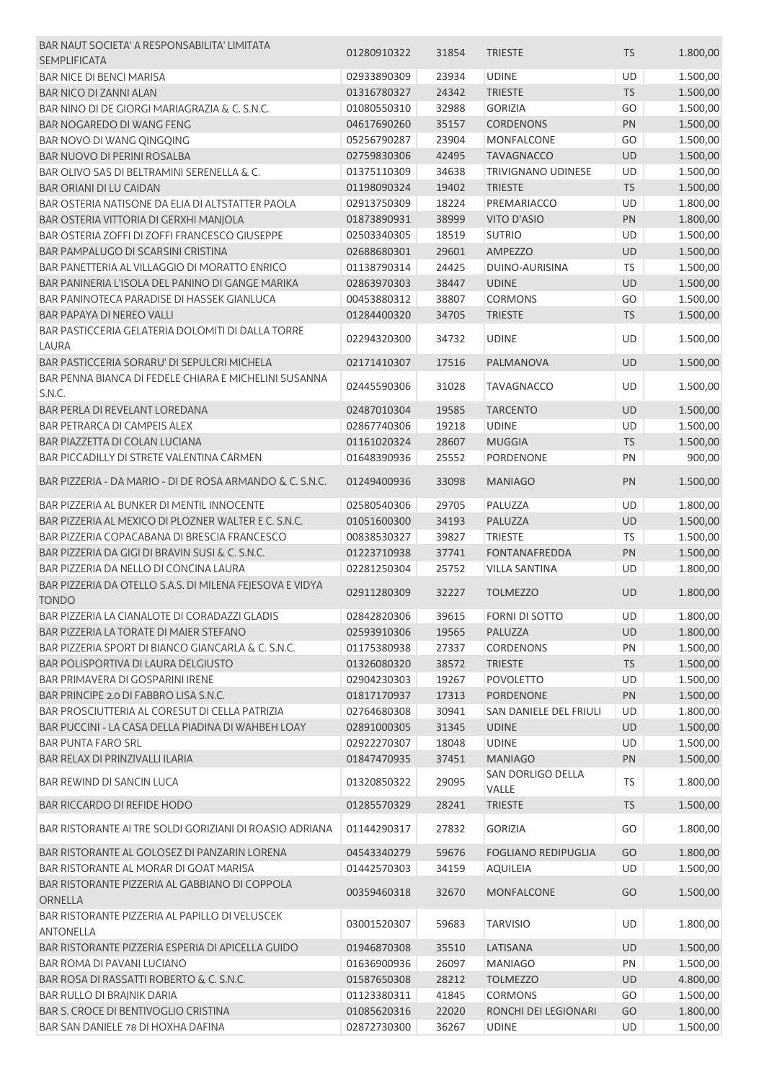| BAR NAUT SOCIETA' A RESPONSABILITA' LIMITATA                             | 01280910322       | 31854 | <b>TRIESTE</b>                    | <b>TS</b> | 1.800,00 |
|--------------------------------------------------------------------------|-------------------|-------|-----------------------------------|-----------|----------|
| <b>SEMPLIFICATA</b>                                                      |                   |       |                                   |           |          |
| <b>BAR NICE DI BENCI MARISA</b>                                          | 02933890309       | 23934 | <b>UDINE</b>                      | <b>UD</b> | 1.500,00 |
| <b>BAR NICO DI ZANNI ALAN</b>                                            | 01316780327       | 24342 | <b>TRIESTE</b>                    | <b>TS</b> | 1.500,00 |
| BAR NINO DI DE GIORGI MARIAGRAZIA & C. S.N.C.                            | 01080550310       | 32988 | <b>GORIZIA</b>                    | GO        | 1.500,00 |
| <b>BAR NOGAREDO DI WANG FENG</b>                                         | 04617690260       | 35157 | <b>CORDENONS</b>                  | PN        | 1.500,00 |
| BAR NOVO DI WANG QINGQING                                                | 05256790287       | 23904 | <b>MONFALCONE</b>                 | GO        | 1.500,00 |
| <b>BAR NUOVO DI PERINI ROSALBA</b>                                       | 02759830306       | 42495 | <b>TAVAGNACCO</b>                 | <b>UD</b> | 1.500,00 |
| BAR OLIVO SAS DI BELTRAMINI SERENELLA & C.                               | 01375110309       | 34638 | <b>TRIVIGNANO UDINESE</b>         | <b>UD</b> | 1.500,00 |
| <b>BAR ORIANI DI LU CAIDAN</b>                                           | 01198090324       | 19402 | <b>TRIESTE</b>                    | <b>TS</b> | 1.500,00 |
| BAR OSTERIA NATISONE DA ELIA DI ALTSTATTER PAOLA                         | 02913750309       | 18224 | PREMARIACCO                       | <b>UD</b> | 1.800,00 |
| BAR OSTERIA VITTORIA DI GERXHI MANJOLA                                   | 01873890931       | 38999 | <b>VITO D'ASIO</b>                | PN        | 1.800,00 |
| BAR OSTERIA ZOFFI DI ZOFFI FRANCESCO GIUSEPPE                            | 02503340305       | 18519 | <b>SUTRIO</b>                     | <b>UD</b> | 1.500,00 |
| BAR PAMPALUGO DI SCARSINI CRISTINA                                       | 02688680301       | 29601 | AMPEZZO                           | UD        | 1.500,00 |
| BAR PANETTERIA AL VILLAGGIO DI MORATTO ENRICO                            | 01138790314       | 24425 | DUINO-AURISINA                    | <b>TS</b> | 1.500,00 |
| BAR PANINERIA L'ISOLA DEL PANINO DI GANGE MARIKA                         | 02863970303       | 38447 | <b>UDINE</b>                      | UD        | 1.500,00 |
| BAR PANINOTECA PARADISE DI HASSEK GIANLUCA                               | 00453880312       | 38807 | <b>CORMONS</b>                    | GO        | 1.500,00 |
| BAR PAPAYA DI NEREO VALLI                                                | 01284400320       | 34705 | <b>TRIESTE</b>                    | <b>TS</b> | 1.500,00 |
| BAR PASTICCERIA GELATERIA DOLOMITI DI DALLA TORRE                        |                   |       |                                   |           |          |
| <b>LAURA</b>                                                             | 02294320300       | 34732 | <b>UDINE</b>                      | UD        | 1.500,00 |
| BAR PASTICCERIA SORARU' DI SEPULCRI MICHELA                              | 02171410307       | 17516 | PALMANOVA                         | <b>UD</b> | 1.500,00 |
| BAR PENNA BIANCA DI FEDELE CHIARA E MICHELINI SUSANNA                    |                   |       |                                   |           |          |
| S.N.C.                                                                   | 02445590306       | 31028 | <b>TAVAGNACCO</b>                 | <b>UD</b> | 1.500,00 |
| BAR PERLA DI REVELANT LOREDANA                                           | 02487010304       | 19585 | <b>TARCENTO</b>                   | UD        | 1.500,00 |
| BAR PETRARCA DI CAMPEIS ALEX                                             | 02867740306       | 19218 | <b>UDINE</b>                      | UD        | 1.500,00 |
| BAR PIAZZETTA DI COLAN LUCIANA                                           | 01161020324       | 28607 | <b>MUGGIA</b>                     | <b>TS</b> | 1.500,00 |
| BAR PICCADILLY DI STRETE VALENTINA CARMEN                                | 01648390936       | 25552 | PORDENONE                         | PN        |          |
|                                                                          |                   |       |                                   |           | 900,00   |
| BAR PIZZERIA - DA MARIO - DI DE ROSA ARMANDO & C. S.N.C.                 | 01249400936       | 33098 | <b>MANIAGO</b>                    | PN        | 1.500,00 |
| BAR PIZZERIA AL BUNKER DI MENTIL INNOCENTE                               | 02580540306       | 29705 | PALUZZA                           | <b>UD</b> | 1.800,00 |
| BAR PIZZERIA AL MEXICO DI PLOZNER WALTER E C. S.N.C.                     | 01051600300       | 34193 | PALUZZA                           | UD        | 1.500,00 |
| BAR PIZZERIA COPACABANA DI BRESCIA FRANCESCO                             | 00838530327       | 39827 | <b>TRIESTE</b>                    | <b>TS</b> | 1.500,00 |
| BAR PIZZERIA DA GIGI DI BRAVIN SUSI & C. S.N.C.                          | 01223710938       | 37741 | <b>FONTANAFREDDA</b>              | PN        | 1.500,00 |
| BAR PIZZERIA DA NELLO DI CONCINA LAURA                                   | 02281250304       | 25752 | <b>VILLA SANTINA</b>              | UD        | 1.800,00 |
| BAR PIZZERIA DA OTELLO S.A.S. DI MILENA FEJESOVA E VIDYA<br><b>TONDO</b> | 02911280309       | 32227 | <b>TOLMEZZO</b>                   | <b>UD</b> | 1.800,00 |
| BAR PIZZERIA LA CIANALOTE DI CORADAZZI GLADIS                            | 02842820306 39615 |       | <b>FORNI DI SOTTO</b>             | UD        | 1.800,00 |
|                                                                          |                   |       |                                   |           |          |
| BAR PIZZERIA LA TORATE DI MAIER STEFANO                                  | 02593910306       | 19565 | PALUZZA                           | <b>UD</b> | 1.800,00 |
| BAR PIZZERIA SPORT DI BIANCO GIANCARLA & C. S.N.C.                       | 01175380938       | 27337 | <b>CORDENONS</b>                  | PN        | 1.500,00 |
| BAR POLISPORTIVA DI LAURA DELGIUSTO                                      | 01326080320       | 38572 | <b>TRIESTE</b>                    | <b>TS</b> | 1.500,00 |
| BAR PRIMAVERA DI GOSPARINI IRENE                                         | 02904230303       | 19267 | POVOLETTO                         | UD        | 1.500,00 |
| BAR PRINCIPE 2.0 DI FABBRO LISA S.N.C.                                   | 01817170937       | 17313 | <b>PORDENONE</b>                  | PN        | 1.500,00 |
| BAR PROSCIUTTERIA AL CORESUT DI CELLA PATRIZIA                           | 02764680308       | 30941 | SAN DANIELE DEL FRIULI            | UD        | 1.800,00 |
| BAR PUCCINI - LA CASA DELLA PIADINA DI WAHBEH LOAY                       | 02891000305       | 31345 | <b>UDINE</b>                      | <b>UD</b> | 1.500,00 |
| <b>BAR PUNTA FARO SRL</b>                                                | 02922270307       | 18048 | <b>UDINE</b>                      | UD        | 1.500,00 |
| BAR RELAX DI PRINZIVALLI ILARIA                                          | 01847470935       | 37451 | <b>MANIAGO</b>                    | PN        | 1.500,00 |
| BAR REWIND DI SANCIN LUCA                                                | 01320850322       | 29095 | <b>SAN DORLIGO DELLA</b><br>VALLE | <b>TS</b> | 1.800,00 |
| <b>BAR RICCARDO DI REFIDE HODO</b>                                       | 01285570329       | 28241 | <b>TRIESTE</b>                    | <b>TS</b> | 1.500,00 |
| BAR RISTORANTE AI TRE SOLDI GORIZIANI DI ROASIO ADRIANA                  | 01144290317       | 27832 | <b>GORIZIA</b>                    | GO        | 1.800,00 |
| BAR RISTORANTE AL GOLOSEZ DI PANZARIN LORENA                             | 04543340279       | 59676 | <b>FOGLIANO REDIPUGLIA</b>        | GO        | 1.800,00 |
| BAR RISTORANTE AL MORAR DI GOAT MARISA                                   | 01442570303       | 34159 | <b>AQUILEIA</b>                   | UD        | 1.500,00 |
| BAR RISTORANTE PIZZERIA AL GABBIANO DI COPPOLA                           |                   |       |                                   |           |          |
| ORNELLA                                                                  | 00359460318       | 32670 | <b>MONFALCONE</b>                 | GO        | 1.500,00 |
| BAR RISTORANTE PIZZERIA AL PAPILLO DI VELUSCEK<br><b>ANTONELLA</b>       | 03001520307       | 59683 | <b>TARVISIO</b>                   | <b>UD</b> | 1.800,00 |
| BAR RISTORANTE PIZZERIA ESPERIA DI APICELLA GUIDO                        | 01946870308       | 35510 | LATISANA                          | <b>UD</b> | 1.500,00 |
| <b>BAR ROMA DI PAVANI LUCIANO</b>                                        | 01636900936       | 26097 | <b>MANIAGO</b>                    | PN        | 1.500,00 |
| BAR ROSA DI RASSATTI ROBERTO & C. S.N.C.                                 | 01587650308       | 28212 | <b>TOLMEZZO</b>                   | UD        | 4.800,00 |
| BAR RULLO DI BRAJNIK DARIA                                               | 01123380311       | 41845 | <b>CORMONS</b>                    | GO        | 1.500,00 |
| <b>BAR S. CROCE DI BENTIVOGLIO CRISTINA</b>                              | 01085620316       | 22020 | RONCHI DEI LEGIONARI              | GO        | 1.800,00 |
| BAR SAN DANIELE 78 DI HOXHA DAFINA                                       | 02872730300       | 36267 | <b>UDINE</b>                      | UD        | 1.500,00 |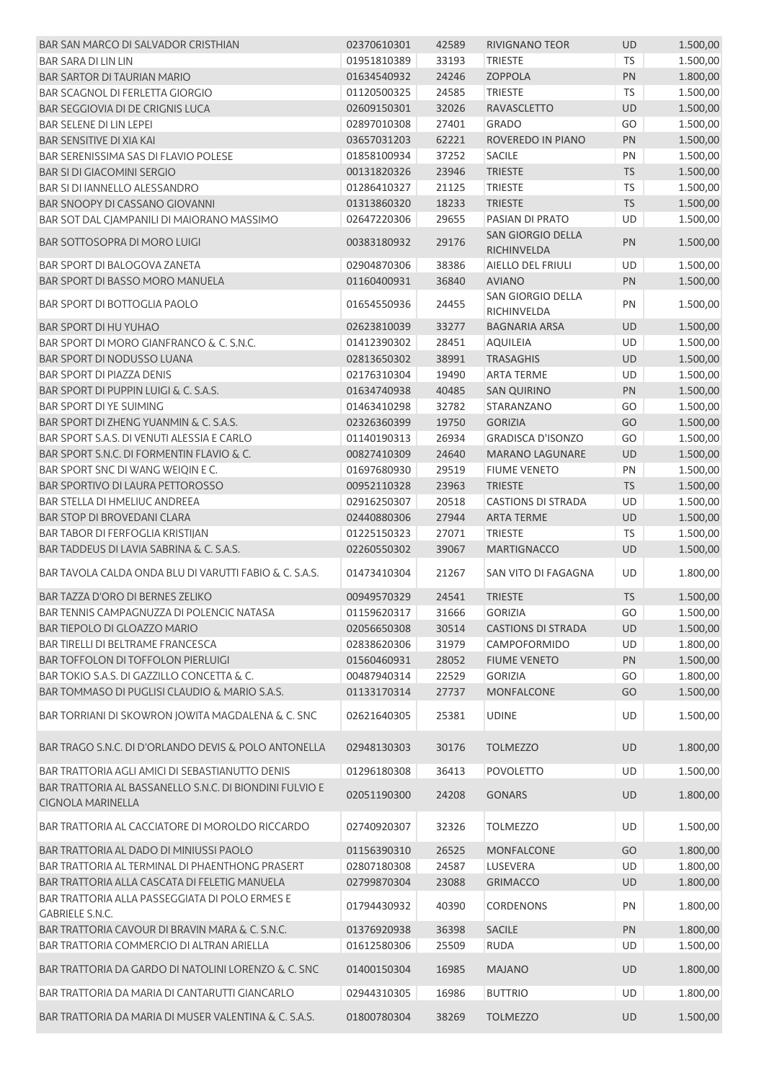| <b>BAR SAN MARCO DI SALVADOR CRISTHIAN</b>                                   | 02370610301 | 42589 | <b>RIVIGNANO TEOR</b>            | <b>UD</b>                   | 1.500,00 |
|------------------------------------------------------------------------------|-------------|-------|----------------------------------|-----------------------------|----------|
| <b>BAR SARA DI LIN LIN</b>                                                   | 01951810389 | 33193 | <b>TRIESTE</b>                   | <b>TS</b>                   | 1.500,00 |
| <b>BAR SARTOR DI TAURIAN MARIO</b>                                           | 01634540932 | 24246 | <b>ZOPPOLA</b>                   | PN                          | 1.800,00 |
| <b>BAR SCAGNOL DI FERLETTA GIORGIO</b>                                       | 01120500325 | 24585 | <b>TRIESTE</b>                   | <b>TS</b>                   | 1.500,00 |
| <b>BAR SEGGIOVIA DI DE CRIGNIS LUCA</b>                                      | 02609150301 | 32026 | <b>RAVASCLETTO</b>               | <b>UD</b>                   | 1.500,00 |
| <b>BAR SELENE DI LIN LEPEI</b>                                               | 02897010308 | 27401 | <b>GRADO</b>                     | GO                          | 1.500,00 |
| <b>BAR SENSITIVE DI XIA KAI</b>                                              | 03657031203 | 62221 | ROVEREDO IN PIANO                | <b>PN</b>                   | 1.500,00 |
| BAR SERENISSIMA SAS DI FLAVIO POLESE                                         | 01858100934 | 37252 | SACILE                           | PN                          | 1.500,00 |
| <b>BAR SI DI GIACOMINI SERGIO</b>                                            | 00131820326 | 23946 | <b>TRIESTE</b>                   | <b>TS</b>                   | 1.500,00 |
| BAR SI DI IANNELLO ALESSANDRO                                                | 01286410327 | 21125 | <b>TRIESTE</b>                   | <b>TS</b>                   | 1.500,00 |
| BAR SNOOPY DI CASSANO GIOVANNI                                               | 01313860320 | 18233 | <b>TRIESTE</b>                   | TS                          | 1.500,00 |
| BAR SOT DAL CJAMPANILI DI MAIORANO MASSIMO                                   | 02647220306 | 29655 | PASIAN DI PRATO                  | UD                          | 1.500,00 |
| BAR SOTTOSOPRA DI MORO LUIGI                                                 | 00383180932 | 29176 | SAN GIORGIO DELLA<br>RICHINVELDA | PN                          | 1.500,00 |
| BAR SPORT DI BALOGOVA ZANETA                                                 | 02904870306 | 38386 | AIELLO DEL FRIULI                | <b>UD</b>                   | 1.500,00 |
| BAR SPORT DI BASSO MORO MANUELA                                              | 01160400931 | 36840 | <b>AVIANO</b>                    | PN                          | 1.500,00 |
| <b>BAR SPORT DI BOTTOGLIA PAOLO</b>                                          | 01654550936 | 24455 | SAN GIORGIO DELLA<br>RICHINVELDA | PN                          | 1.500,00 |
| BAR SPORT DI HU YUHAO                                                        | 02623810039 | 33277 | <b>BAGNARIA ARSA</b>             | <b>UD</b>                   | 1.500,00 |
| BAR SPORT DI MORO GIANFRANCO & C. S.N.C.                                     | 01412390302 | 28451 | <b>AQUILEIA</b>                  | <b>UD</b>                   | 1.500,00 |
| BAR SPORT DI NODUSSO LUANA                                                   | 02813650302 | 38991 | <b>TRASAGHIS</b>                 | <b>UD</b>                   | 1.500,00 |
| <b>BAR SPORT DI PIAZZA DENIS</b>                                             | 02176310304 | 19490 | <b>ARTA TERME</b>                | UD                          | 1.500,00 |
| BAR SPORT DI PUPPIN LUIGI & C. S.A.S.                                        | 01634740938 | 40485 | <b>SAN QUIRINO</b>               | <b>PN</b>                   | 1.500,00 |
| <b>BAR SPORT DI YE SUIMING</b>                                               | 01463410298 | 32782 | STARANZANO                       | GO                          | 1.500,00 |
| BAR SPORT DI ZHENG YUANMIN & C. S.A.S.                                       | 02326360399 | 19750 | <b>GORIZIA</b>                   | GO                          | 1.500,00 |
| BAR SPORT S.A.S. DI VENUTI ALESSIA E CARLO                                   | 01140190313 | 26934 | <b>GRADISCA D'ISONZO</b>         | GO                          | 1.500,00 |
| BAR SPORT S.N.C. DI FORMENTIN FLAVIO & C.                                    | 00827410309 | 24640 | <b>MARANO LAGUNARE</b>           | UD                          | 1.500,00 |
| BAR SPORT SNC DI WANG WEIQIN E C.                                            | 01697680930 | 29519 | <b>FIUME VENETO</b>              | PN                          | 1.500,00 |
| <b>BAR SPORTIVO DI LAURA PETTOROSSO</b>                                      |             |       |                                  | <b>TS</b>                   |          |
|                                                                              | 00952110328 | 23963 | <b>TRIESTE</b>                   |                             | 1.500,00 |
| BAR STELLA DI HMELIUC ANDREEA                                                | 02916250307 | 20518 | <b>CASTIONS DI STRADA</b>        | UD                          | 1.500,00 |
| BAR STOP DI BROVEDANI CLARA                                                  | 02440880306 | 27944 | <b>ARTA TERME</b>                | <b>UD</b>                   | 1.500,00 |
| BAR TABOR DI FERFOGLIA KRISTIJAN                                             | 01225150323 | 27071 | <b>TRIESTE</b>                   | TS                          | 1.500,00 |
| BAR TADDEUS DI LAVIA SABRINA & C. S.A.S.                                     | 02260550302 | 39067 | MARTIGNACCO                      | UD                          | 1.500,00 |
| BAR TAVOLA CALDA ONDA BLU DI VARUTTI FABIO & C. S.A.S.                       | 01473410304 | 21267 | SAN VITO DI FAGAGNA              | UD                          | 1.800,00 |
| <b>BAR TAZZA D'ORO DI BERNES ZELIKO</b>                                      | 00949570329 | 24541 | <b>TRIESTE</b>                   | <b>TS</b>                   | 1.500,00 |
| BAR TENNIS CAMPAGNUZZA DI POLENCIC NATASA                                    | 01159620317 | 31666 | <b>GORIZIA</b>                   | $\overline{\phantom{a}}$ GO | 1.500,00 |
| BAR TIEPOLO DI GLOAZZO MARIO                                                 | 02056650308 | 30514 | <b>CASTIONS DI STRADA</b>        | <b>UD</b>                   | 1.500,00 |
| BAR TIRELLI DI BELTRAME FRANCESCA                                            | 02838620306 | 31979 | CAMPOFORMIDO                     | UD                          | 1.800,00 |
| <b>BAR TOFFOLON DI TOFFOLON PIERLUIGI</b>                                    | 01560460931 | 28052 | <b>FIUME VENETO</b>              | PN                          | 1.500,00 |
| BAR TOKIO S.A.S. DI GAZZILLO CONCETTA & C.                                   | 00487940314 | 22529 | <b>GORIZIA</b>                   | GO                          | 1.800,00 |
| BAR TOMMASO DI PUGLISI CLAUDIO & MARIO S.A.S.                                | 01133170314 | 27737 | <b>MONFALCONE</b>                | GO                          | 1.500,00 |
| BAR TORRIANI DI SKOWRON JOWITA MAGDALENA & C. SNC                            | 02621640305 | 25381 | <b>UDINE</b>                     | UD                          | 1.500,00 |
| BAR TRAGO S.N.C. DI D'ORLANDO DEVIS & POLO ANTONELLA                         | 02948130303 | 30176 | <b>TOLMEZZO</b>                  | <b>UD</b>                   | 1.800,00 |
| BAR TRATTORIA AGLI AMICI DI SEBASTIANUTTO DENIS                              | 01296180308 | 36413 | <b>POVOLETTO</b>                 | UD                          | 1.500,00 |
| BAR TRATTORIA AL BASSANELLO S.N.C. DI BIONDINI FULVIO E<br>CIGNOLA MARINELLA | 02051190300 | 24208 | <b>GONARS</b>                    | UD                          | 1.800,00 |
| BAR TRATTORIA AL CACCIATORE DI MOROLDO RICCARDO                              | 02740920307 | 32326 | <b>TOLMEZZO</b>                  | UD                          | 1.500,00 |
| BAR TRATTORIA AL DADO DI MINIUSSI PAOLO                                      | 01156390310 | 26525 | <b>MONFALCONE</b>                | GO                          | 1.800,00 |
| BAR TRATTORIA AL TERMINAL DI PHAENTHONG PRASERT                              | 02807180308 | 24587 | LUSEVERA                         | UD                          | 1.800,00 |
| BAR TRATTORIA ALLA CASCATA DI FELETIG MANUELA                                | 02799870304 | 23088 | <b>GRIMACCO</b>                  | UD                          | 1.800,00 |
| BAR TRATTORIA ALLA PASSEGGIATA DI POLO ERMES E                               | 01794430932 | 40390 | CORDENONS                        | PN                          | 1.800,00 |
| <b>GABRIELE S.N.C.</b>                                                       |             |       |                                  |                             |          |
| BAR TRATTORIA CAVOUR DI BRAVIN MARA & C. S.N.C.                              | 01376920938 | 36398 | <b>SACILE</b>                    | PN                          | 1.800,00 |
| BAR TRATTORIA COMMERCIO DI ALTRAN ARIELLA                                    | 01612580306 | 25509 | <b>RUDA</b>                      | UD                          | 1.500,00 |
| BAR TRATTORIA DA GARDO DI NATOLINI LORENZO & C. SNC                          | 01400150304 | 16985 | <b>MAJANO</b>                    | UD                          | 1.800,00 |
| BAR TRATTORIA DA MARIA DI CANTARUTTI GIANCARLO                               | 02944310305 | 16986 | <b>BUTTRIO</b>                   | UD                          | 1.800,00 |
| BAR TRATTORIA DA MARIA DI MUSER VALENTINA & C. S.A.S.                        | 01800780304 | 38269 | <b>TOLMEZZO</b>                  | UD                          | 1.500,00 |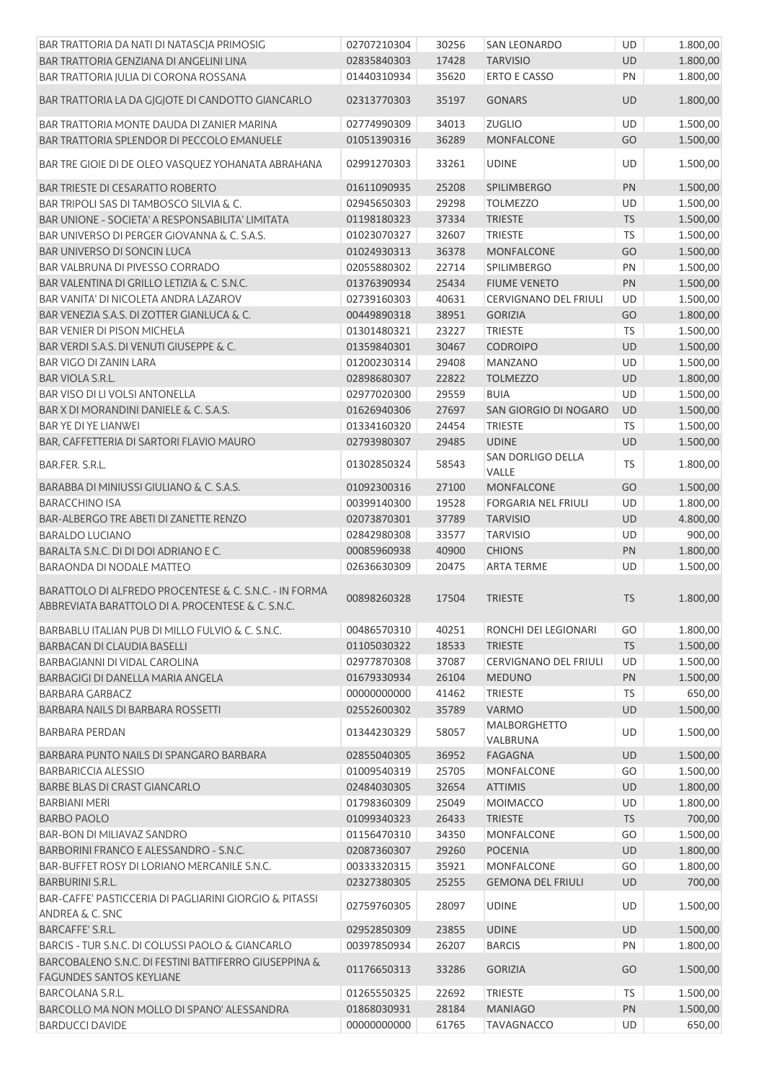| BAR TRATTORIA DA NATI DI NATASCIA PRIMOSIG                                                                  | 02707210304 | 30256 | <b>SAN LEONARDO</b>               | UD        | 1.800,00 |
|-------------------------------------------------------------------------------------------------------------|-------------|-------|-----------------------------------|-----------|----------|
| <b>BAR TRATTORIA GENZIANA DI ANGELINI LINA</b>                                                              | 02835840303 | 17428 | <b>TARVISIO</b>                   | UD        | 1.800,00 |
| BAR TRATTORIA JULIA DI CORONA ROSSANA                                                                       | 01440310934 | 35620 | <b>ERTO E CASSO</b>               | PN        | 1.800,00 |
| BAR TRATTORIA LA DA GJGJOTE DI CANDOTTO GIANCARLO                                                           | 02313770303 | 35197 | <b>GONARS</b>                     | UD        | 1.800,00 |
| BAR TRATTORIA MONTE DAUDA DI ZANIER MARINA                                                                  | 02774990309 | 34013 | <b>ZUGLIO</b>                     | UD        | 1.500,00 |
| BAR TRATTORIA SPLENDOR DI PECCOLO EMANUELE                                                                  | 01051390316 | 36289 | <b>MONFALCONE</b>                 | GO        | 1.500,00 |
| BAR TRE GIOIE DI DE OLEO VASQUEZ YOHANATA ABRAHANA                                                          | 02991270303 | 33261 | <b>UDINE</b>                      | UD        | 1.500,00 |
| <b>BAR TRIESTE DI CESARATTO ROBERTO</b>                                                                     | 01611090935 | 25208 | <b>SPILIMBERGO</b>                | PN        | 1.500,00 |
| BAR TRIPOLI SAS DI TAMBOSCO SILVIA & C.                                                                     | 02945650303 | 29298 | <b>TOLMEZZO</b>                   | UD        | 1.500,00 |
| BAR UNIONE - SOCIETA' A RESPONSABILITA' LIMITATA                                                            | 01198180323 | 37334 | <b>TRIESTE</b>                    | TS        | 1.500,00 |
| BAR UNIVERSO DI PERGER GIOVANNA & C. S.A.S.                                                                 | 01023070327 | 32607 | TRIESTE                           | <b>TS</b> | 1.500,00 |
| BAR UNIVERSO DI SONCIN LUCA                                                                                 | 01024930313 | 36378 | <b>MONFALCONE</b>                 | GO        | 1.500,00 |
| BAR VALBRUNA DI PIVESSO CORRADO                                                                             | 02055880302 | 22714 | SPILIMBERGO                       | PN        | 1.500,00 |
| BAR VALENTINA DI GRILLO LETIZIA & C. S.N.C.                                                                 | 01376390934 | 25434 | <b>FIUME VENETO</b>               | PN        | 1.500,00 |
| BAR VANITA' DI NICOLETA ANDRA LAZAROV                                                                       | 02739160303 | 40631 | <b>CERVIGNANO DEL FRIULI</b>      | UD        | 1.500,00 |
| BAR VENEZIA S.A.S. DI ZOTTER GIANLUCA & C.                                                                  |             |       |                                   |           |          |
|                                                                                                             | 00449890318 | 38951 | <b>GORIZIA</b>                    | GO        | 1.800,00 |
| <b>BAR VENIER DI PISON MICHELA</b>                                                                          | 01301480321 | 23227 | <b>TRIESTE</b>                    | TS        | 1.500,00 |
| BAR VERDI S.A.S. DI VENUTI GIUSEPPE & C.                                                                    | 01359840301 | 30467 | <b>CODROIPO</b>                   | UD        | 1.500,00 |
| BAR VIGO DI ZANIN LARA                                                                                      | 01200230314 | 29408 | <b>MANZANO</b>                    | UD        | 1.500,00 |
| BAR VIOLA S.R.L.                                                                                            | 02898680307 | 22822 | <b>TOLMEZZO</b>                   | UD        | 1.800,00 |
| BAR VISO DI LI VOLSI ANTONELLA                                                                              | 02977020300 | 29559 | <b>BUIA</b>                       | <b>UD</b> | 1.500,00 |
| BAR X DI MORANDINI DANIELE & C. S.A.S.                                                                      | 01626940306 | 27697 | SAN GIORGIO DI NOGARO             | UD        | 1.500,00 |
| BAR YE DI YE LIANWEI                                                                                        | 01334160320 | 24454 | <b>TRIESTE</b>                    | <b>TS</b> | 1.500,00 |
| BAR, CAFFETTERIA DI SARTORI FLAVIO MAURO                                                                    | 02793980307 | 29485 | <b>UDINE</b>                      | UD        | 1.500,00 |
| BAR.FER. S.R.L.                                                                                             | 01302850324 | 58543 | <b>SAN DORLIGO DELLA</b><br>VALLE | <b>TS</b> | 1.800,00 |
| BARABBA DI MINIUSSI GIULIANO & C. S.A.S.                                                                    | 01092300316 | 27100 | <b>MONFALCONE</b>                 | GO        | 1.500,00 |
| <b>BARACCHINO ISA</b>                                                                                       | 00399140300 | 19528 | <b>FORGARIA NEL FRIULI</b>        | UD        | 1.800,00 |
| BAR-ALBERGO TRE ABETI DI ZANETTE RENZO                                                                      | 02073870301 | 37789 | <b>TARVISIO</b>                   | UD        | 4.800,00 |
| <b>BARALDO LUCIANO</b>                                                                                      | 02842980308 | 33577 | <b>TARVISIO</b>                   | UD        | 900,00   |
| BARALTA S.N.C. DI DI DOI ADRIANO E C.                                                                       | 00085960938 | 40900 | <b>CHIONS</b>                     | PN        | 1.800,00 |
| <b>BARAONDA DI NODALE MATTEO</b>                                                                            | 02636630309 | 20475 | <b>ARTA TERME</b>                 | <b>UD</b> | 1.500,00 |
| BARATTOLO DI ALFREDO PROCENTESE & C. S.N.C. - IN FORMA<br>ABBREVIATA BARATTOLO DI A. PROCENTESE & C. S.N.C. | 00898260328 | 17504 | <b>TRIESTE</b>                    | <b>TS</b> | 1.800,00 |
| BARBABLU ITALIAN PUB DI MILLO FULVIO & C. S.N.C.                                                            | 00486570310 | 40251 | RONCHI DEI LEGIONARI              | GO        | 1.800,00 |
| BARBACAN DI CLAUDIA BASELLI                                                                                 | 01105030322 | 18533 | <b>TRIESTE</b>                    | <b>TS</b> | 1.500,00 |
| BARBAGIANNI DI VIDAL CAROLINA                                                                               | 02977870308 | 37087 | <b>CERVIGNANO DEL FRIULI</b>      | UD        | 1.500,00 |
| BARBAGIGI DI DANELLA MARIA ANGELA                                                                           | 01679330934 | 26104 | <b>MEDUNO</b>                     | PN        | 1.500,00 |
| BARBARA GARBACZ                                                                                             | 00000000000 | 41462 | <b>TRIESTE</b>                    | TS        | 650,00   |
| BARBARA NAILS DI BARBARA ROSSETTI                                                                           | 02552600302 | 35789 | <b>VARMO</b>                      | UD        | 1.500,00 |
| <b>BARBARA PERDAN</b>                                                                                       | 01344230329 | 58057 | <b>MALBORGHETTO</b>               | UD        | 1.500,00 |
|                                                                                                             |             |       | VALBRUNA                          |           |          |
| BARBARA PUNTO NAILS DI SPANGARO BARBARA                                                                     | 02855040305 | 36952 | <b>FAGAGNA</b>                    | <b>UD</b> | 1.500,00 |
| <b>BARBARICCIA ALESSIO</b>                                                                                  | 01009540319 | 25705 | <b>MONFALCONE</b>                 | GO        | 1.500,00 |
| <b>BARBE BLAS DI CRAST GIANCARLO</b>                                                                        | 02484030305 | 32654 | <b>ATTIMIS</b>                    | UD        | 1.800,00 |
| <b>BARBIANI MERI</b>                                                                                        | 01798360309 | 25049 | <b>MOIMACCO</b>                   | UD        | 1.800,00 |
| <b>BARBO PAOLO</b>                                                                                          | 01099340323 | 26433 | <b>TRIESTE</b>                    | <b>TS</b> | 700,00   |
| <b>BAR-BON DI MILIAVAZ SANDRO</b>                                                                           | 01156470310 | 34350 | <b>MONFALCONE</b>                 | GO        | 1.500,00 |
| BARBORINI FRANCO E ALESSANDRO - S.N.C.                                                                      | 02087360307 | 29260 | <b>POCENIA</b>                    | UD        | 1.800,00 |
| BAR-BUFFET ROSY DI LORIANO MERCANILE S.N.C.                                                                 | 00333320315 | 35921 | <b>MONFALCONE</b>                 | GO        | 1.800,00 |
| BARBURINI S.R.L.                                                                                            | 02327380305 | 25255 | <b>GEMONA DEL FRIULI</b>          | UD        | 700,00   |
| BAR-CAFFE' PASTICCERIA DI PAGLIARINI GIORGIO & PITASSI<br>ANDREA & C. SNC                                   | 02759760305 | 28097 | <b>UDINE</b>                      | <b>UD</b> | 1.500,00 |
| <b>BARCAFFE' S.R.L.</b>                                                                                     | 02952850309 | 23855 | <b>UDINE</b>                      | <b>UD</b> | 1.500,00 |
| BARCIS - TUR S.N.C. DI COLUSSI PAOLO & GIANCARLO                                                            | 00397850934 | 26207 | <b>BARCIS</b>                     | PN        | 1.800,00 |
| BARCOBALENO S.N.C. DI FESTINI BATTIFERRO GIUSEPPINA &<br><b>FAGUNDES SANTOS KEYLIANE</b>                    | 01176650313 | 33286 | <b>GORIZIA</b>                    | GO        | 1.500,00 |
| <b>BARCOLANA S.R.L.</b>                                                                                     | 01265550325 | 22692 | <b>TRIESTE</b>                    | <b>TS</b> | 1.500,00 |
| BARCOLLO MA NON MOLLO DI SPANO' ALESSANDRA                                                                  | 01868030931 | 28184 | <b>MANIAGO</b>                    | PN        | 1.500,00 |
| <b>BARDUCCI DAVIDE</b>                                                                                      | 00000000000 | 61765 | <b>TAVAGNACCO</b>                 | UD        | 650,00   |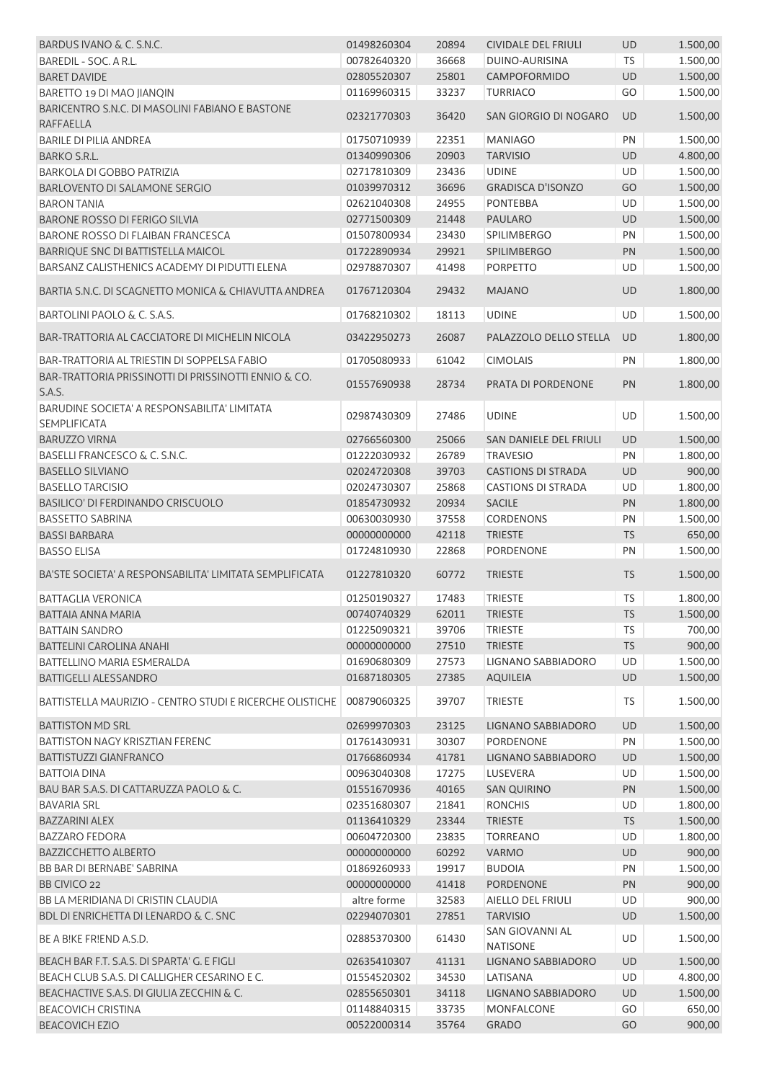| BARDUS IVANO & C. S.N.C.                                       | 01498260304                     | 20894 | <b>CIVIDALE DEL FRIULI</b>            | UD        | 1.500,00 |
|----------------------------------------------------------------|---------------------------------|-------|---------------------------------------|-----------|----------|
| BAREDIL - SOC. A R.L.                                          | 00782640320                     | 36668 | DUINO-AURISINA                        | <b>TS</b> | 1.500,00 |
| <b>BARET DAVIDE</b>                                            | 02805520307                     | 25801 | CAMPOFORMIDO                          | <b>UD</b> | 1.500,00 |
| BARETTO 19 DI MAO JIANQIN                                      | 01169960315                     | 33237 | <b>TURRIACO</b>                       | GO        | 1.500,00 |
| BARICENTRO S.N.C. DI MASOLINI FABIANO E BASTONE                | 02321770303                     | 36420 | SAN GIORGIO DI NOGARO                 | <b>UD</b> | 1.500,00 |
| <b>RAFFAELLA</b>                                               |                                 |       |                                       |           |          |
| <b>BARILE DI PILIA ANDREA</b>                                  | 01750710939                     | 22351 | <b>MANIAGO</b>                        | PN        | 1.500,00 |
| <b>BARKO S.R.L.</b>                                            | 01340990306                     | 20903 | <b>TARVISIO</b>                       | UD        | 4.800,00 |
| <b>BARKOLA DI GOBBO PATRIZIA</b>                               | 02717810309                     | 23436 | <b>UDINE</b>                          | <b>UD</b> | 1.500,00 |
| BARLOVENTO DI SALAMONE SERGIO                                  | 01039970312                     | 36696 | <b>GRADISCA D'ISONZO</b>              | GO        | 1.500,00 |
| <b>BARON TANIA</b>                                             | 02621040308                     | 24955 | <b>PONTEBBA</b>                       | <b>UD</b> | 1.500,00 |
| <b>BARONE ROSSO DI FERIGO SILVIA</b>                           | 02771500309                     | 21448 | <b>PAULARO</b>                        | UD        | 1.500,00 |
| <b>BARONE ROSSO DI FLAIBAN FRANCESCA</b>                       | 01507800934                     | 23430 | <b>SPILIMBERGO</b>                    | PN        | 1.500,00 |
| BARRIQUE SNC DI BATTISTELLA MAICOL                             | 01722890934                     | 29921 | <b>SPILIMBERGO</b>                    | PN        | 1.500,00 |
| BARSANZ CALISTHENICS ACADEMY DI PIDUTTI ELENA                  | 02978870307                     | 41498 | <b>PORPETTO</b>                       | <b>UD</b> | 1.500,00 |
|                                                                |                                 |       |                                       |           |          |
| BARTIA S.N.C. DI SCAGNETTO MONICA & CHIAVUTTA ANDREA           | 01767120304                     | 29432 | <b>MAJANO</b>                         | UD        | 1.800,00 |
| BARTOLINI PAOLO & C. S.A.S.                                    | 01768210302                     | 18113 | <b>UDINE</b>                          | UD        | 1.500,00 |
| BAR-TRATTORIA AL CACCIATORE DI MICHELIN NICOLA                 | 03422950273                     | 26087 | PALAZZOLO DELLO STELLA                | <b>UD</b> | 1.800,00 |
| BAR-TRATTORIA AL TRIESTIN DI SOPPELSA FABIO                    | 01705080933                     | 61042 | <b>CIMOLAIS</b>                       | PN        | 1.800,00 |
| BAR-TRATTORIA PRISSINOTTI DI PRISSINOTTI ENNIO & CO.<br>S.A.S. | 01557690938                     | 28734 | PRATA DI PORDENONE                    | PN        | 1.800,00 |
| BARUDINE SOCIETA' A RESPONSABILITA' LIMITATA                   |                                 |       |                                       |           |          |
| <b>SEMPLIFICATA</b>                                            | 02987430309                     | 27486 | <b>UDINE</b>                          | UD        | 1.500,00 |
|                                                                |                                 |       |                                       |           |          |
| <b>BARUZZO VIRNA</b>                                           | 02766560300                     | 25066 | SAN DANIELE DEL FRIULI                | UD        | 1.500,00 |
| BASELLI FRANCESCO & C. S.N.C.                                  | 01222030932                     | 26789 | <b>TRAVESIO</b>                       | PN        | 1.800,00 |
| <b>BASELLO SILVIANO</b>                                        | 02024720308                     | 39703 | <b>CASTIONS DI STRADA</b>             | UD        | 900,00   |
| <b>BASELLO TARCISIO</b>                                        | 02024730307                     | 25868 | <b>CASTIONS DI STRADA</b>             | UD        | 1.800,00 |
| <b>BASILICO' DI FERDINANDO CRISCUOLO</b>                       | 01854730932                     | 20934 | <b>SACILE</b>                         | PN        | 1.800,00 |
| <b>BASSETTO SABRINA</b>                                        | 00630030930                     | 37558 | <b>CORDENONS</b>                      | PN        | 1.500,00 |
| <b>BASSI BARBARA</b>                                           | 00000000000                     | 42118 | <b>TRIESTE</b>                        | <b>TS</b> | 650,00   |
| <b>BASSO ELISA</b>                                             | 01724810930                     | 22868 | <b>PORDENONE</b>                      | PN        | 1.500,00 |
| BA'STE SOCIETA' A RESPONSABILITA' LIMITATA SEMPLIFICATA        | 01227810320                     | 60772 | <b>TRIESTE</b>                        | <b>TS</b> | 1.500,00 |
| <b>BATTAGLIA VERONICA</b>                                      | 01250190327                     | 17483 | <b>TRIESTE</b>                        | <b>TS</b> | 1.800,00 |
| <b>BATTAIA ANNA MARIA</b>                                      | 00740740329    62011    TRIESTE |       |                                       | <b>TS</b> | 1.500,00 |
| <b>BATTAIN SANDRO</b>                                          | 01225090321                     | 39706 | <b>TRIESTE</b>                        | TS        | 700,00   |
| <b>BATTELINI CAROLINA ANAHI</b>                                | 00000000000                     | 27510 | <b>TRIESTE</b>                        | <b>TS</b> | 900,00   |
| <b>BATTELLINO MARIA ESMERALDA</b>                              | 01690680309                     | 27573 | <b>LIGNANO SABBIADORO</b>             | <b>UD</b> | 1.500,00 |
|                                                                |                                 |       |                                       |           |          |
| <b>BATTIGELLI ALESSANDRO</b>                                   | 01687180305                     | 27385 | <b>AQUILEIA</b>                       | UD        | 1.500,00 |
| BATTISTELLA MAURIZIO - CENTRO STUDI E RICERCHE OLISTICHE       | 00879060325                     | 39707 | <b>TRIESTE</b>                        | TS        | 1.500,00 |
| <b>BATTISTON MD SRL</b>                                        | 02699970303                     | 23125 | LIGNANO SABBIADORO                    | UD        | 1.500,00 |
| <b>BATTISTON NAGY KRISZTIAN FERENC</b>                         | 01761430931                     | 30307 | PORDENONE                             | PN        | 1.500,00 |
| <b>BATTISTUZZI GIANFRANCO</b>                                  | 01766860934                     | 41781 | LIGNANO SABBIADORO                    | UD        | 1.500,00 |
| <b>BATTOIA DINA</b>                                            | 00963040308                     | 17275 | LUSEVERA                              | UD        | 1.500,00 |
| BAU BAR S.A.S. DI CATTARUZZA PAOLO & C.                        | 01551670936                     | 40165 | <b>SAN QUIRINO</b>                    | PN        | 1.500,00 |
| <b>BAVARIA SRL</b>                                             | 02351680307                     | 21841 | <b>RONCHIS</b>                        | UD        | 1.800,00 |
| <b>BAZZARINI ALEX</b>                                          | 01136410329                     | 23344 | <b>TRIESTE</b>                        | <b>TS</b> | 1.500,00 |
| <b>BAZZARO FEDORA</b>                                          | 00604720300                     | 23835 | <b>TORREANO</b>                       | UD        | 1.800,00 |
| <b>BAZZICCHETTO ALBERTO</b>                                    | 00000000000                     | 60292 | <b>VARMO</b>                          | UD        | 900,00   |
| BB BAR DI BERNABE' SABRINA                                     | 01869260933                     | 19917 | <b>BUDOIA</b>                         | PN        | 1.500,00 |
| BB CIVICO 22                                                   | 00000000000                     | 41418 | <b>PORDENONE</b>                      | PN        | 900,00   |
| BB LA MERIDIANA DI CRISTIN CLAUDIA                             | altre forme                     | 32583 | AIELLO DEL FRIULI                     | UD        | 900,00   |
| BDL DI ENRICHETTA DI LENARDO & C. SNC                          | 02294070301                     | 27851 | <b>TARVISIO</b>                       | UD        | 1.500,00 |
| BE A BIKE FRIEND A.S.D.                                        | 02885370300                     | 61430 | SAN GIOVANNI AL                       | UD        | 1.500,00 |
| BEACH BAR F.T. S.A.S. DI SPARTA' G. E FIGLI                    | 02635410307                     | 41131 | <b>NATISONE</b><br>LIGNANO SABBIADORO | UD        |          |
| BEACH CLUB S.A.S. DI CALLIGHER CESARINO E C.                   |                                 |       |                                       |           | 1.500,00 |
|                                                                | 01554520302                     | 34530 | LATISANA                              | UD        | 4.800,00 |
| BEACHACTIVE S.A.S. DI GIULIA ZECCHIN & C.                      | 02855650301                     | 34118 | LIGNANO SABBIADORO                    | UD        | 1.500,00 |
| <b>BEACOVICH CRISTINA</b>                                      | 01148840315                     | 33735 | MONFALCONE                            | GO        | 650,00   |
| <b>BEACOVICH EZIO</b>                                          | 00522000314                     | 35764 | <b>GRADO</b>                          | GO        | 900,00   |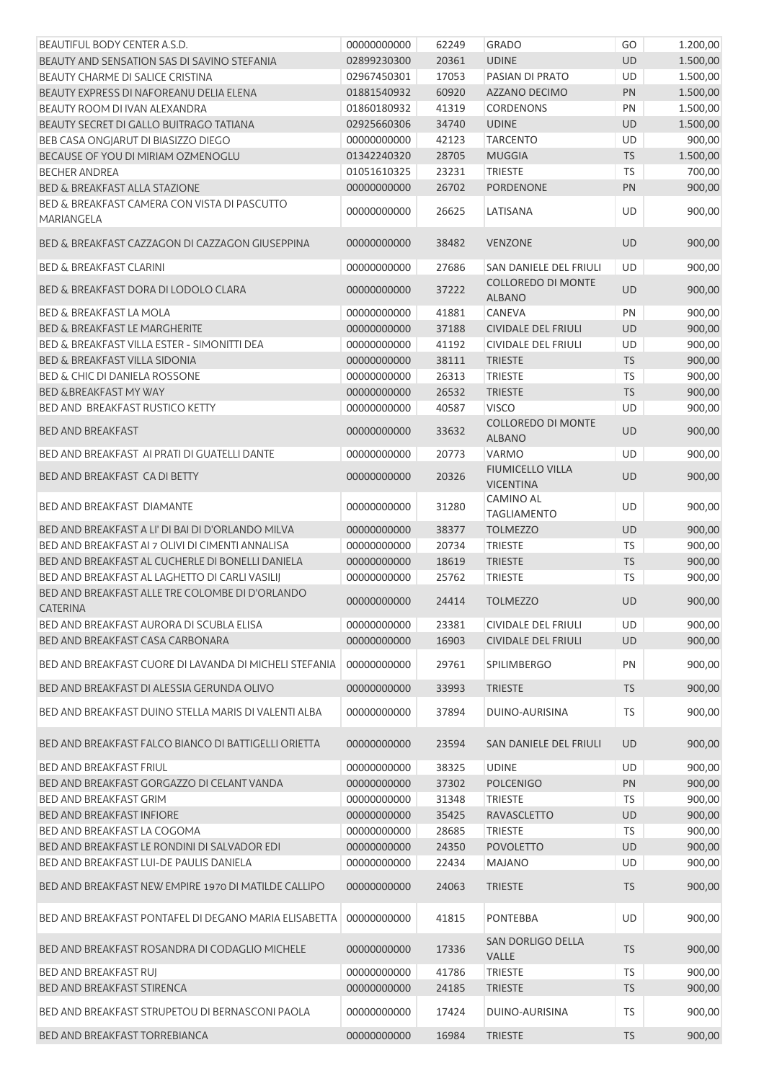| BEAUTIFUL BODY CENTER A.S.D.                                       | 00000000000 | 62249 | <b>GRADO</b>                                | GO        | 1.200,00 |
|--------------------------------------------------------------------|-------------|-------|---------------------------------------------|-----------|----------|
| BEAUTY AND SENSATION SAS DI SAVINO STEFANIA                        | 02899230300 | 20361 | <b>UDINE</b>                                | <b>UD</b> | 1.500,00 |
| BEAUTY CHARME DI SALICE CRISTINA                                   | 02967450301 | 17053 | PASIAN DI PRATO                             | UD        | 1.500,00 |
| BEAUTY EXPRESS DI NAFOREANU DELIA ELENA                            | 01881540932 | 60920 | AZZANO DECIMO                               | PN        | 1.500,00 |
| BEAUTY ROOM DI IVAN ALEXANDRA                                      | 01860180932 | 41319 | <b>CORDENONS</b>                            | PN        | 1.500,00 |
| BEAUTY SECRET DI GALLO BUITRAGO TATIANA                            | 02925660306 | 34740 | <b>UDINE</b>                                | UD        | 1.500,00 |
| BEB CASA ONGJARUT DI BIASIZZO DIEGO                                | 00000000000 | 42123 | <b>TARCENTO</b>                             | UD        | 900,00   |
| BECAUSE OF YOU DI MIRIAM OZMENOGLU                                 | 01342240320 | 28705 | <b>MUGGIA</b>                               | <b>TS</b> | 1.500,00 |
| <b>BECHER ANDREA</b>                                               | 01051610325 | 23231 | <b>TRIESTE</b>                              | TS        | 700,00   |
| <b>BED &amp; BREAKFAST ALLA STAZIONE</b>                           | 00000000000 | 26702 | PORDENONE                                   | PN        | 900,00   |
| BED & BREAKFAST CAMERA CON VISTA DI PASCUTTO<br>MARIANGELA         | 00000000000 | 26625 | LATISANA                                    | UD        | 900,00   |
| BED & BREAKFAST CAZZAGON DI CAZZAGON GIUSEPPINA                    | 00000000000 | 38482 | <b>VENZONE</b>                              | <b>UD</b> | 900,00   |
| <b>BED &amp; BREAKFAST CLARINI</b>                                 | 00000000000 | 27686 | SAN DANIELE DEL FRIULI                      | UD        | 900,00   |
| <b>BED &amp; BREAKFAST DORA DI LODOLO CLARA</b>                    | 00000000000 | 37222 | <b>COLLOREDO DI MONTE</b><br><b>ALBANO</b>  | <b>UD</b> | 900,00   |
| <b>BED &amp; BREAKFAST LA MOLA</b>                                 | 00000000000 | 41881 | CANEVA                                      | PN        | 900,00   |
| BED & BREAKFAST LE MARGHERITE                                      | 00000000000 | 37188 | <b>CIVIDALE DEL FRIULI</b>                  | <b>UD</b> | 900,00   |
| BED & BREAKFAST VILLA ESTER - SIMONITTI DEA                        | 00000000000 | 41192 | CIVIDALE DEL FRIULI                         | UD        | 900,00   |
| <b>BED &amp; BREAKFAST VILLA SIDONIA</b>                           | 00000000000 | 38111 | <b>TRIESTE</b>                              | <b>TS</b> | 900,00   |
| <b>BED &amp; CHIC DI DANIELA ROSSONE</b>                           | 00000000000 | 26313 | <b>TRIESTE</b>                              | TS        | 900,00   |
| <b>BED &amp;BREAKFAST MY WAY</b>                                   | 00000000000 | 26532 | <b>TRIESTE</b>                              | <b>TS</b> | 900,00   |
| <b>BED AND BREAKFAST RUSTICO KETTY</b>                             | 00000000000 | 40587 | <b>VISCO</b>                                | UD        | 900,00   |
| <b>BED AND BREAKFAST</b>                                           | 00000000000 | 33632 | <b>COLLOREDO DI MONTE</b><br><b>ALBANO</b>  | UD        | 900,00   |
| BED AND BREAKFAST AI PRATI DI GUATELLI DANTE                       | 00000000000 | 20773 | <b>VARMO</b>                                | UD        | 900,00   |
| BED AND BREAKFAST CA DI BETTY                                      | 00000000000 | 20326 | <b>FIUMICELLO VILLA</b><br><b>VICENTINA</b> | <b>UD</b> | 900,00   |
| <b>BED AND BREAKFAST DIAMANTE</b>                                  | 00000000000 | 31280 | CAMINO AL<br><b>TAGLIAMENTO</b>             | UD        | 900,00   |
| BED AND BREAKFAST A LI' DI BAI DI D'ORLANDO MILVA                  | 00000000000 | 38377 | <b>TOLMEZZO</b>                             | <b>UD</b> | 900,00   |
| BED AND BREAKFAST AI 7 OLIVI DI CIMENTI ANNALISA                   | 00000000000 | 20734 | <b>TRIESTE</b>                              | <b>TS</b> | 900,00   |
| BED AND BREAKFAST AL CUCHERLE DI BONELLI DANIELA                   | 00000000000 | 18619 | <b>TRIESTE</b>                              | <b>TS</b> | 900,00   |
| BED AND BREAKFAST AL LAGHETTO DI CARLI VASILIJ                     | 00000000000 | 25762 | <b>TRIESTE</b>                              | TS        | 900,00   |
| BED AND BREAKFAST ALLE TRE COLOMBE DI D'ORLANDO<br><b>CATERINA</b> | 00000000000 | 24414 | <b>TOLMEZZO</b>                             | <b>UD</b> | 900,00   |
| BED AND BREAKFAST AURORA DI SCUBLA ELISA                           | 00000000000 | 23381 | <b>CIVIDALE DEL FRIULI</b>                  | UD        | 900,00   |
| BED AND BREAKFAST CASA CARBONARA                                   | 00000000000 | 16903 | <b>CIVIDALE DEL FRIULI</b>                  | UD        | 900,00   |
| BED AND BREAKFAST CUORE DI LAVANDA DI MICHELI STEFANIA             | 00000000000 | 29761 | <b>SPILIMBERGO</b>                          | PN        | 900,00   |
| BED AND BREAKFAST DI ALESSIA GERUNDA OLIVO                         | 00000000000 | 33993 | <b>TRIESTE</b>                              | <b>TS</b> | 900,00   |
| BED AND BREAKFAST DUINO STELLA MARIS DI VALENTI ALBA               | 00000000000 | 37894 | DUINO-AURISINA                              | TS        | 900,00   |
| BED AND BREAKFAST FALCO BIANCO DI BATTIGELLI ORIETTA               | 00000000000 | 23594 | SAN DANIELE DEL FRIULI                      | UD        | 900,00   |
| <b>BED AND BREAKFAST FRIUL</b>                                     | 00000000000 | 38325 | <b>UDINE</b>                                | UD        | 900,00   |
| BED AND BREAKFAST GORGAZZO DI CELANT VANDA                         | 00000000000 | 37302 | <b>POLCENIGO</b>                            | PN        | 900,00   |
| BED AND BREAKFAST GRIM                                             | 00000000000 | 31348 | <b>TRIESTE</b>                              | TS        | 900,00   |
| <b>BED AND BREAKFAST INFIORE</b>                                   | 00000000000 | 35425 | <b>RAVASCLETTO</b>                          | UD        | 900,00   |
| BED AND BREAKFAST LA COGOMA                                        | 00000000000 | 28685 | <b>TRIESTE</b>                              | TS        | 900,00   |
| BED AND BREAKFAST LE RONDINI DI SALVADOR EDI                       | 00000000000 | 24350 | <b>POVOLETTO</b>                            | UD        | 900,00   |
| BED AND BREAKFAST LUI-DE PAULIS DANIELA                            | 00000000000 | 22434 | <b>MAJANO</b>                               | UD        | 900,00   |
| BED AND BREAKFAST NEW EMPIRE 1970 DI MATILDE CALLIPO               | 00000000000 | 24063 | <b>TRIESTE</b>                              | <b>TS</b> | 900,00   |
| BED AND BREAKFAST PONTAFEL DI DEGANO MARIA ELISABETTA              | 00000000000 | 41815 | <b>PONTEBBA</b>                             | <b>UD</b> | 900,00   |
| BED AND BREAKFAST ROSANDRA DI CODAGLIO MICHELE                     | 00000000000 | 17336 | SAN DORLIGO DELLA<br><b>VALLE</b>           | <b>TS</b> | 900,00   |
| <b>BED AND BREAKFAST RUJ</b>                                       | 00000000000 | 41786 | <b>TRIESTE</b>                              | <b>TS</b> | 900,00   |
| BED AND BREAKFAST STIRENCA                                         | 00000000000 | 24185 | <b>TRIESTE</b>                              | <b>TS</b> | 900,00   |
| BED AND BREAKFAST STRUPETOU DI BERNASCONI PAOLA                    | 00000000000 |       | DUINO-AURISINA                              | TS        | 900,00   |
|                                                                    |             | 17424 |                                             |           |          |
| <b>BED AND BREAKFAST TORREBIANCA</b>                               | 00000000000 | 16984 | <b>TRIESTE</b>                              | <b>TS</b> | 900,00   |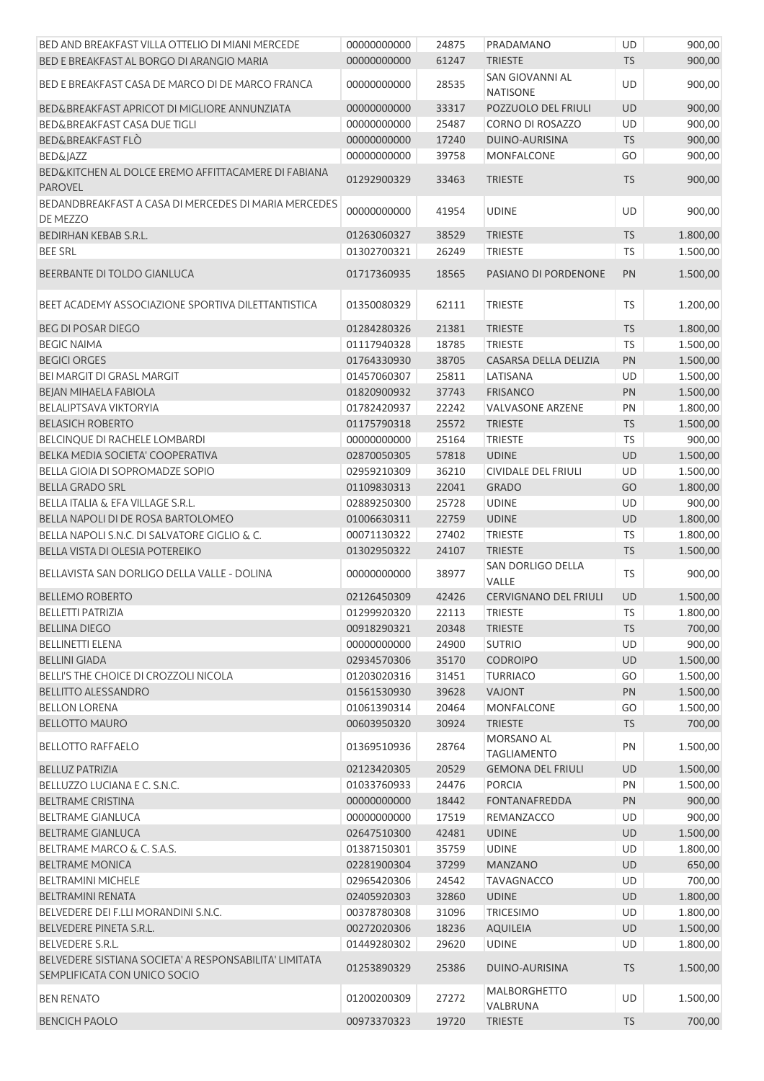| BED AND BREAKFAST VILLA OTTELIO DI MIANI MERCEDE                                       | 00000000000 | 24875 | PRADAMANO                          | UD        | 900,00   |
|----------------------------------------------------------------------------------------|-------------|-------|------------------------------------|-----------|----------|
| BED E BREAKFAST AL BORGO DI ARANGIO MARIA                                              | 00000000000 | 61247 | <b>TRIESTE</b>                     | <b>TS</b> | 900,00   |
| BED E BREAKFAST CASA DE MARCO DI DE MARCO FRANCA                                       | 00000000000 | 28535 | SAN GIOVANNI AL<br><b>NATISONE</b> | UD        | 900,00   |
| BED&BREAKFAST APRICOT DI MIGLIORE ANNUNZIATA                                           | 00000000000 | 33317 | POZZUOLO DEL FRIULI                | UD        | 900,00   |
| BED&BREAKFAST CASA DUE TIGLI                                                           | 00000000000 | 25487 | CORNO DI ROSAZZO                   | UD        | 900,00   |
| BED&BREAKFAST FLO                                                                      | 00000000000 | 17240 | DUINO-AURISINA                     | <b>TS</b> | 900,00   |
| <b>BED&amp;JAZZ</b>                                                                    | 00000000000 | 39758 | <b>MONFALCONE</b>                  | GO        | 900,00   |
| BED&KITCHEN AL DOLCE EREMO AFFITTACAMERE DI FABIANA<br><b>PAROVEL</b>                  | 01292900329 | 33463 | <b>TRIESTE</b>                     | <b>TS</b> | 900,00   |
| BEDANDBREAKFAST A CASA DI MERCEDES DI MARIA MERCEDES<br><b>DE MEZZO</b>                | 00000000000 | 41954 | <b>UDINE</b>                       | <b>UD</b> | 900,00   |
| BEDIRHAN KEBAB S.R.L.                                                                  | 01263060327 | 38529 | <b>TRIESTE</b>                     | <b>TS</b> | 1.800,00 |
| <b>BEE SRL</b>                                                                         | 01302700321 | 26249 | <b>TRIESTE</b>                     | <b>TS</b> | 1.500,00 |
| BEERBANTE DI TOLDO GIANLUCA                                                            | 01717360935 | 18565 | PASIANO DI PORDENONE               | PN        | 1.500,00 |
|                                                                                        |             |       |                                    |           |          |
| BEET ACADEMY ASSOCIAZIONE SPORTIVA DILETTANTISTICA                                     | 01350080329 | 62111 | <b>TRIESTE</b>                     | TS        | 1.200,00 |
| <b>BEG DI POSAR DIEGO</b>                                                              | 01284280326 | 21381 | <b>TRIESTE</b>                     | <b>TS</b> | 1.800,00 |
| <b>BEGIC NAIMA</b>                                                                     | 01117940328 | 18785 | <b>TRIESTE</b>                     | <b>TS</b> | 1.500,00 |
| <b>BEGICI ORGES</b>                                                                    | 01764330930 | 38705 | CASARSA DELLA DELIZIA              | PN        | 1.500,00 |
| <b>BEI MARGIT DI GRASL MARGIT</b>                                                      | 01457060307 | 25811 | LATISANA                           | UD        | 1.500,00 |
| BEJAN MIHAELA FABIOLA                                                                  | 01820900932 | 37743 | <b>FRISANCO</b>                    | PN        | 1.500,00 |
| BELALIPTSAVA VIKTORYIA                                                                 | 01782420937 | 22242 | <b>VALVASONE ARZENE</b>            | PN        | 1.800,00 |
| <b>BELASICH ROBERTO</b>                                                                | 01175790318 | 25572 | <b>TRIESTE</b>                     | <b>TS</b> | 1.500,00 |
| BELCINQUE DI RACHELE LOMBARDI                                                          | 00000000000 | 25164 | <b>TRIESTE</b>                     | <b>TS</b> | 900,00   |
| BELKA MEDIA SOCIETA' COOPERATIVA                                                       | 02870050305 | 57818 | <b>UDINE</b>                       | UD        | 1.500,00 |
| BELLA GIOIA DI SOPROMADZE SOPIO                                                        | 02959210309 | 36210 | <b>CIVIDALE DEL FRIULI</b>         | UD        | 1.500,00 |
| <b>BELLA GRADO SRL</b>                                                                 | 01109830313 | 22041 | <b>GRADO</b>                       | GO        | 1.800,00 |
| BELLA ITALIA & EFA VILLAGE S.R.L.                                                      | 02889250300 | 25728 | <b>UDINE</b>                       | UD        | 900,00   |
| BELLA NAPOLI DI DE ROSA BARTOLOMEO                                                     | 01006630311 | 22759 | <b>UDINE</b>                       | UD        | 1.800,00 |
| BELLA NAPOLI S.N.C. DI SALVATORE GIGLIO & C.                                           | 00071130322 | 27402 | <b>TRIESTE</b>                     | <b>TS</b> | 1.800,00 |
| BELLA VISTA DI OLESIA POTEREIKO                                                        | 01302950322 | 24107 | <b>TRIESTE</b>                     | <b>TS</b> | 1.500,00 |
| BELLAVISTA SAN DORLIGO DELLA VALLE - DOLINA                                            | 00000000000 | 38977 | SAN DORLIGO DELLA<br>VALLE         | TS        | 900,00   |
| <b>BELLEMO ROBERTO</b>                                                                 | 02126450309 | 42426 | <b>CERVIGNANO DEL FRIULI</b>       | <b>UD</b> | 1.500,00 |
| <b>BELLETTI PATRIZIA</b>                                                               | 01299920320 | 22113 | TRIESTE                            | TS        | 1.800,00 |
| <b>BELLINA DIEGO</b>                                                                   | 00918290321 | 20348 | <b>TRIESTE</b>                     | <b>TS</b> | 700,00   |
| <b>BELLINETTI ELENA</b>                                                                | 00000000000 | 24900 | <b>SUTRIO</b>                      | UD        | 900,00   |
| <b>BELLINI GIADA</b>                                                                   | 02934570306 | 35170 | <b>CODROIPO</b>                    | UD        | 1.500,00 |
| BELLI'S THE CHOICE DI CROZZOLI NICOLA                                                  | 01203020316 | 31451 | <b>TURRIACO</b>                    | GO        | 1.500,00 |
| <b>BELLITTO ALESSANDRO</b>                                                             | 01561530930 | 39628 | VAJONT                             | PN        | 1.500,00 |
| <b>BELLON LORENA</b>                                                                   | 01061390314 | 20464 | <b>MONFALCONE</b>                  | GO        | 1.500,00 |
| <b>BELLOTTO MAURO</b>                                                                  | 00603950320 | 30924 | <b>TRIESTE</b>                     | <b>TS</b> | 700,00   |
| <b>BELLOTTO RAFFAELO</b>                                                               | 01369510936 | 28764 | MORSANO AL<br><b>TAGLIAMENTO</b>   | PN        | 1.500,00 |
| <b>BELLUZ PATRIZIA</b>                                                                 | 02123420305 | 20529 | <b>GEMONA DEL FRIULI</b>           | UD        | 1.500,00 |
| BELLUZZO LUCIANA E C. S.N.C.                                                           | 01033760933 | 24476 | <b>PORCIA</b>                      | PN        | 1.500,00 |
| <b>BELTRAME CRISTINA</b>                                                               | 00000000000 | 18442 | <b>FONTANAFREDDA</b>               | PN        | 900,00   |
| <b>BELTRAME GIANLUCA</b>                                                               | 00000000000 | 17519 | REMANZACCO                         | UD        | 900,00   |
| <b>BELTRAME GIANLUCA</b>                                                               | 02647510300 | 42481 | <b>UDINE</b>                       | UD        | 1.500,00 |
| BELTRAME MARCO & C. S.A.S.                                                             | 01387150301 | 35759 | <b>UDINE</b>                       | UD        | 1.800,00 |
| <b>BELTRAME MONICA</b>                                                                 | 02281900304 | 37299 | <b>MANZANO</b>                     | UD        | 650,00   |
| <b>BELTRAMINI MICHELE</b>                                                              | 02965420306 | 24542 | <b>TAVAGNACCO</b>                  | UD        | 700,00   |
| BELTRAMINI RENATA                                                                      | 02405920303 | 32860 | <b>UDINE</b>                       | UD        | 1.800,00 |
| BELVEDERE DEI F.LLI MORANDINI S.N.C.                                                   | 00378780308 | 31096 | <b>TRICESIMO</b>                   | UD        | 1.800,00 |
| BELVEDERE PINETA S.R.L.                                                                | 00272020306 | 18236 | <b>AQUILEIA</b>                    | UD        | 1.500,00 |
| <b>BELVEDERE S.R.L.</b>                                                                | 01449280302 | 29620 | <b>UDINE</b>                       | UD        | 1.800,00 |
| BELVEDERE SISTIANA SOCIETA' A RESPONSABILITA' LIMITATA<br>SEMPLIFICATA CON UNICO SOCIO | 01253890329 | 25386 | DUINO-AURISINA                     | <b>TS</b> | 1.500,00 |
| <b>BEN RENATO</b>                                                                      | 01200200309 | 27272 | MALBORGHETTO<br>VALBRUNA           | UD        | 1.500,00 |
| <b>BENCICH PAOLO</b>                                                                   | 00973370323 | 19720 | <b>TRIESTE</b>                     | <b>TS</b> | 700,00   |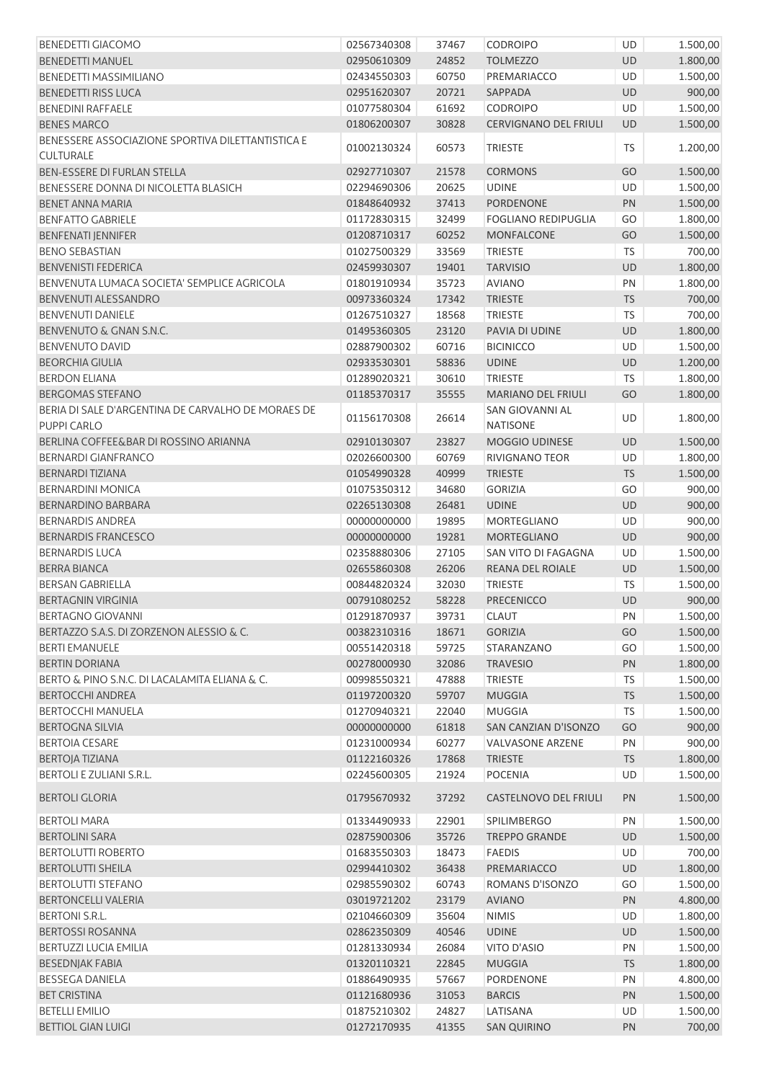| <b>BENEDETTI GIACOMO</b>                           | 02567340308 | 37467 | <b>CODROIPO</b>              | UD        | 1.500,00 |
|----------------------------------------------------|-------------|-------|------------------------------|-----------|----------|
| <b>BENEDETTI MANUEL</b>                            | 02950610309 | 24852 | <b>TOLMEZZO</b>              | UD        | 1.800,00 |
| BENEDETTI MASSIMILIANO                             | 02434550303 | 60750 | PREMARIACCO                  | UD        | 1.500,00 |
| <b>BENEDETTI RISS LUCA</b>                         | 02951620307 | 20721 | SAPPADA                      | UD        | 900,00   |
| <b>BENEDINI RAFFAELE</b>                           | 01077580304 | 61692 | <b>CODROIPO</b>              | UD        | 1.500,00 |
| <b>BENES MARCO</b>                                 | 01806200307 | 30828 | <b>CERVIGNANO DEL FRIULI</b> | UD        | 1.500,00 |
| BENESSERE ASSOCIAZIONE SPORTIVA DILETTANTISTICA E  |             |       |                              |           |          |
| <b>CULTURALE</b>                                   | 01002130324 | 60573 | <b>TRIESTE</b>               | <b>TS</b> | 1.200,00 |
| BEN-ESSERE DI FURLAN STELLA                        | 02927710307 | 21578 | <b>CORMONS</b>               | GO        | 1.500,00 |
| BENESSERE DONNA DI NICOLETTA BLASICH               | 02294690306 | 20625 | <b>UDINE</b>                 | UD        | 1.500,00 |
| <b>BENET ANNA MARIA</b>                            | 01848640932 | 37413 | <b>PORDENONE</b>             | PN        | 1.500,00 |
| <b>BENFATTO GABRIELE</b>                           | 01172830315 | 32499 | <b>FOGLIANO REDIPUGLIA</b>   | GO        | 1.800,00 |
| <b>BENFENATI JENNIFER</b>                          | 01208710317 | 60252 | MONFALCONE                   | GO        | 1.500,00 |
| <b>BENO SEBASTIAN</b>                              | 01027500329 | 33569 | <b>TRIESTE</b>               | <b>TS</b> | 700,00   |
| <b>BENVENISTI FEDERICA</b>                         | 02459930307 | 19401 | <b>TARVISIO</b>              | UD        | 1.800,00 |
| BENVENUTA LUMACA SOCIETA' SEMPLICE AGRICOLA        | 01801910934 | 35723 | <b>AVIANO</b>                | PN        | 1.800,00 |
| <b>BENVENUTI ALESSANDRO</b>                        | 00973360324 | 17342 | <b>TRIESTE</b>               | <b>TS</b> | 700,00   |
| <b>BENVENUTI DANIELE</b>                           | 01267510327 | 18568 | <b>TRIESTE</b>               | TS        | 700,00   |
| BENVENUTO & GNAN S.N.C.                            | 01495360305 | 23120 | PAVIA DI UDINE               | UD        | 1.800,00 |
| <b>BENVENUTO DAVID</b>                             | 02887900302 | 60716 | <b>BICINICCO</b>             | UD        |          |
|                                                    |             |       |                              |           | 1.500,00 |
| <b>BEORCHIA GIULIA</b>                             | 02933530301 | 58836 | <b>UDINE</b>                 | UD        | 1.200,00 |
| <b>BERDON ELIANA</b>                               | 01289020321 | 30610 | <b>TRIESTE</b>               | <b>TS</b> | 1.800,00 |
| <b>BERGOMAS STEFANO</b>                            | 01185370317 | 35555 | <b>MARIANO DEL FRIULI</b>    | GO        | 1.800,00 |
| BERIA DI SALE D'ARGENTINA DE CARVALHO DE MORAES DE | 01156170308 | 26614 | SAN GIOVANNI AL              | UD        | 1.800,00 |
| PUPPI CARLO                                        |             |       | <b>NATISONE</b>              |           |          |
| BERLINA COFFEE&BAR DI ROSSINO ARIANNA              | 02910130307 | 23827 | MOGGIO UDINESE               | UD        | 1.500,00 |
| <b>BERNARDI GIANFRANCO</b>                         | 02026600300 | 60769 | RIVIGNANO TEOR               | UD        | 1.800,00 |
| <b>BERNARDI TIZIANA</b>                            | 01054990328 | 40999 | <b>TRIESTE</b>               | <b>TS</b> | 1.500,00 |
| <b>BERNARDINI MONICA</b>                           | 01075350312 | 34680 | <b>GORIZIA</b>               | GO        | 900,00   |
| BERNARDINO BARBARA                                 | 02265130308 | 26481 | <b>UDINE</b>                 | UD        | 900,00   |
| <b>BERNARDIS ANDREA</b>                            | 00000000000 | 19895 | <b>MORTEGLIANO</b>           | UD        | 900,00   |
| <b>BERNARDIS FRANCESCO</b>                         | 00000000000 | 19281 | <b>MORTEGLIANO</b>           | UD        | 900,00   |
| <b>BERNARDIS LUCA</b>                              | 02358880306 | 27105 | SAN VITO DI FAGAGNA          | UD        | 1.500,00 |
| <b>BERRA BIANCA</b>                                | 02655860308 | 26206 | REANA DEL ROIALE             | UD        | 1.500,00 |
| <b>BERSAN GABRIELLA</b>                            | 00844820324 | 32030 | <b>TRIESTE</b>               | <b>TS</b> | 1.500,00 |
| <b>BERTAGNIN VIRGINIA</b>                          | 00791080252 | 58228 | <b>PRECENICCO</b>            | UD        | 900,00   |
| <b>BERTAGNO GIOVANNI</b>                           | 01291870937 | 39731 | <b>CLAUT</b>                 | PN        | 1.500,00 |
| BERTAZZO S.A.S. DI ZORZENON ALESSIO & C.           | 00382310316 | 18671 | <b>GORIZIA</b>               | GO        | 1.500,00 |
| <b>BERTI EMANUELE</b>                              | 00551420318 | 59725 | STARANZANO                   | GO        | 1.500,00 |
| <b>BERTIN DORIANA</b>                              | 00278000930 | 32086 | <b>TRAVESIO</b>              | PN        | 1.800,00 |
| BERTO & PINO S.N.C. DI LACALAMITA ELIANA & C.      | 00998550321 | 47888 | <b>TRIESTE</b>               | <b>TS</b> | 1.500,00 |
| <b>BERTOCCHI ANDREA</b>                            | 01197200320 | 59707 | <b>MUGGIA</b>                | <b>TS</b> | 1.500,00 |
| <b>BERTOCCHI MANUELA</b>                           | 01270940321 | 22040 | <b>MUGGIA</b>                | TS        | 1.500,00 |
| <b>BERTOGNA SILVIA</b>                             | 00000000000 | 61818 | SAN CANZIAN D'ISONZO         | GO        | 900,00   |
| <b>BERTOIA CESARE</b>                              | 01231000934 | 60277 | <b>VALVASONE ARZENE</b>      | PN        | 900,00   |
| <b>BERTOJA TIZIANA</b>                             | 01122160326 | 17868 | <b>TRIESTE</b>               | <b>TS</b> | 1.800,00 |
| BERTOLI E ZULIANI S.R.L.                           | 02245600305 | 21924 | <b>POCENIA</b>               | UD        | 1.500,00 |
| <b>BERTOLI GLORIA</b>                              | 01795670932 | 37292 | CASTELNOVO DEL FRIULI        | PN        | 1.500,00 |
| <b>BERTOLI MARA</b>                                | 01334490933 | 22901 | <b>SPILIMBERGO</b>           | PN        | 1.500,00 |
| <b>BERTOLINI SARA</b>                              | 02875900306 | 35726 | <b>TREPPO GRANDE</b>         | UD        | 1.500,00 |
| <b>BERTOLUTTI ROBERTO</b>                          | 01683550303 | 18473 | <b>FAEDIS</b>                | UD        | 700,00   |
| <b>BERTOLUTTI SHEILA</b>                           | 02994410302 | 36438 | PREMARIACCO                  | UD        | 1.800,00 |
| <b>BERTOLUTTI STEFANO</b>                          | 02985590302 | 60743 | ROMANS D'ISONZO              | GO        | 1.500,00 |
| <b>BERTONCELLI VALERIA</b>                         | 03019721202 | 23179 | <b>AVIANO</b>                | PN        | 4.800,00 |
| <b>BERTONI S.R.L.</b>                              |             |       |                              |           |          |
|                                                    | 02104660309 | 35604 | <b>NIMIS</b>                 | UD        | 1.800,00 |
| <b>BERTOSSI ROSANNA</b>                            | 02862350309 | 40546 | <b>UDINE</b>                 | UD        | 1.500,00 |
| BERTUZZI LUCIA EMILIA                              | 01281330934 | 26084 | VITO D'ASIO                  | PN        | 1.500,00 |
| <b>BESEDNJAK FABIA</b>                             | 01320110321 | 22845 | <b>MUGGIA</b>                | <b>TS</b> | 1.800,00 |
| <b>BESSEGA DANIELA</b>                             | 01886490935 | 57667 | PORDENONE                    | PN        | 4.800,00 |
| <b>BET CRISTINA</b>                                | 01121680936 | 31053 | <b>BARCIS</b>                | PN        | 1.500,00 |
| <b>BETELLI EMILIO</b>                              | 01875210302 | 24827 | LATISANA                     | UD        | 1.500,00 |
| <b>BETTIOL GIAN LUIGI</b>                          | 01272170935 | 41355 | <b>SAN QUIRINO</b>           | PN        | 700,00   |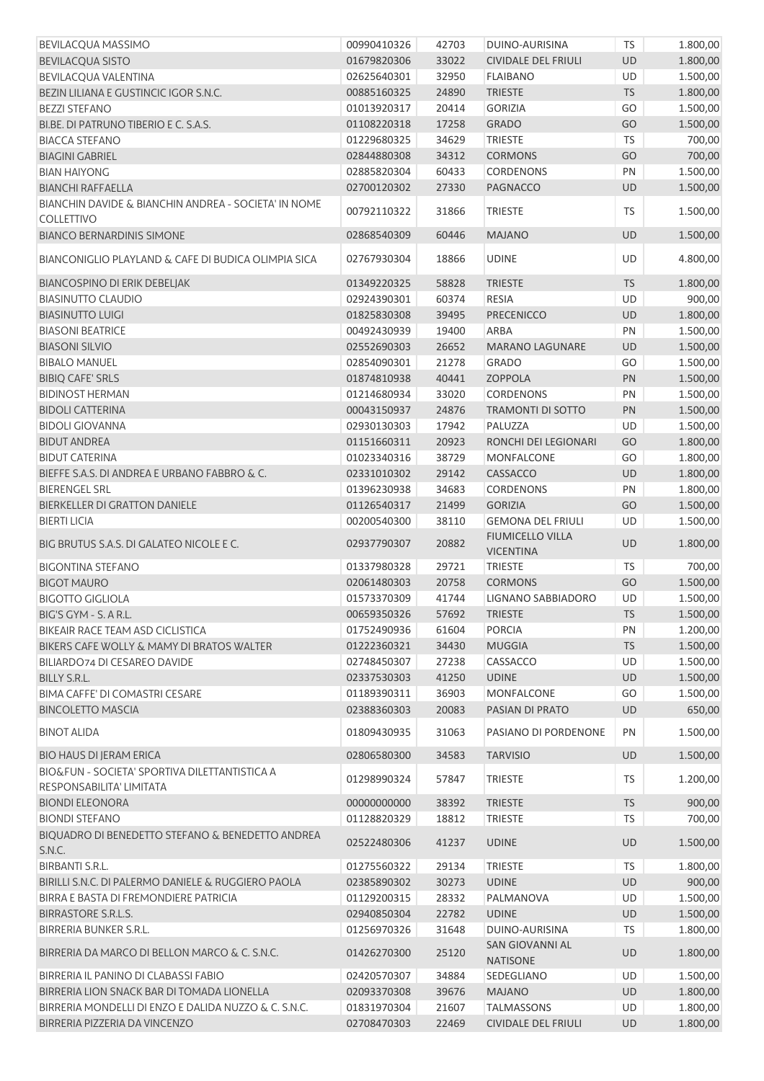| <b>BEVILACQUA MASSIMO</b>                                                 | 00990410326                | 42703          | DUINO-AURISINA                            | TS              | 1.800,00             |
|---------------------------------------------------------------------------|----------------------------|----------------|-------------------------------------------|-----------------|----------------------|
| <b>BEVILACQUA SISTO</b>                                                   | 01679820306                | 33022          | <b>CIVIDALE DEL FRIULI</b>                | <b>UD</b>       | 1.800,00             |
| BEVILACQUA VALENTINA                                                      | 02625640301                | 32950          | <b>FLAIBANO</b>                           | <b>UD</b>       | 1.500,00             |
| BEZIN LILIANA E GUSTINCIC IGOR S.N.C.                                     | 00885160325                | 24890          | <b>TRIESTE</b>                            | <b>TS</b>       | 1.800,00             |
| <b>BEZZI STEFANO</b>                                                      | 01013920317                | 20414          | <b>GORIZIA</b>                            | GO              | 1.500,00             |
| BI.BE, DI PATRUNO TIBERIO E C. S.A.S.                                     | 01108220318                | 17258          | <b>GRADO</b>                              | GO              | 1.500,00             |
| <b>BIACCA STEFANO</b>                                                     | 01229680325                | 34629          | <b>TRIESTE</b>                            | <b>TS</b>       | 700,00               |
| <b>BIAGINI GABRIEL</b>                                                    | 02844880308                | 34312          | <b>CORMONS</b>                            | GO              | 700,00               |
| <b>BIAN HAIYONG</b>                                                       | 02885820304                | 60433          | <b>CORDENONS</b>                          | PN              | 1.500,00             |
| <b>BIANCHI RAFFAELLA</b>                                                  | 02700120302                | 27330          | <b>PAGNACCO</b>                           | UD              | 1.500,00             |
| BIANCHIN DAVIDE & BIANCHIN ANDREA - SOCIETA' IN NOME                      |                            |                |                                           |                 |                      |
| <b>COLLETTIVO</b>                                                         | 00792110322                | 31866          | <b>TRIESTE</b>                            | TS              | 1.500,00             |
| <b>BIANCO BERNARDINIS SIMONE</b>                                          | 02868540309                | 60446          | <b>MAJANO</b>                             | UD              | 1.500,00             |
|                                                                           |                            |                |                                           |                 |                      |
| BIANCONIGLIO PLAYLAND & CAFE DI BUDICA OLIMPIA SICA                       | 02767930304                | 18866          | <b>UDINE</b>                              | UD              | 4.800,00             |
| <b>BIANCOSPINO DI ERIK DEBELJAK</b>                                       | 01349220325                | 58828          | <b>TRIESTE</b>                            | <b>TS</b>       | 1.800,00             |
| <b>BIASINUTTO CLAUDIO</b>                                                 | 02924390301                | 60374          | <b>RESIA</b>                              | UD              | 900,00               |
| <b>BIASINUTTO LUIGI</b>                                                   | 01825830308                | 39495          | PRECENICCO                                | UD              | 1.800,00             |
| <b>BIASONI BEATRICE</b>                                                   | 00492430939                | 19400          | <b>ARBA</b>                               | PN              | 1.500,00             |
| <b>BIASONI SILVIO</b>                                                     | 02552690303                | 26652          | <b>MARANO LAGUNARE</b>                    | <b>UD</b>       | 1.500,00             |
| <b>BIBALO MANUEL</b>                                                      | 02854090301                | 21278          | <b>GRADO</b>                              | GO              | 1.500,00             |
| <b>BIBIQ CAFE' SRLS</b>                                                   | 01874810938                | 40441          | <b>ZOPPOLA</b>                            | PN              | 1.500,00             |
| <b>BIDINOST HERMAN</b>                                                    | 01214680934                | 33020          | <b>CORDENONS</b>                          | PN              | 1.500,00             |
| <b>BIDOLI CATTERINA</b>                                                   | 00043150937                | 24876          | <b>TRAMONTI DI SOTTO</b>                  | PN              | 1.500,00             |
| <b>BIDOLI GIOVANNA</b>                                                    | 02930130303                | 17942          | PALUZZA                                   | UD              | 1.500,00             |
| <b>BIDUT ANDREA</b>                                                       | 01151660311                | 20923          | RONCHI DEI LEGIONARI                      | GO              | 1.800,00             |
| <b>BIDUT CATERINA</b>                                                     | 01023340316                | 38729          | MONFALCONE                                | GO              | 1.800,00             |
|                                                                           |                            |                |                                           |                 |                      |
| BIEFFE S.A.S. DI ANDREA E URBANO FABBRO & C.                              | 02331010302                | 29142          | CASSACCO                                  | UD              | 1.800,00             |
| <b>BIERENGEL SRL</b>                                                      | 01396230938                | 34683          | <b>CORDENONS</b>                          | PN              | 1.800,00             |
| BIERKELLER DI GRATTON DANIELE                                             | 01126540317                | 21499          | <b>GORIZIA</b>                            | GO              | 1.500,00             |
| <b>BIERTI LICIA</b>                                                       | 00200540300                | 38110          | <b>GEMONA DEL FRIULI</b>                  | UD              | 1.500,00             |
|                                                                           |                            |                |                                           |                 |                      |
| BIG BRUTUS S.A.S. DI GALATEO NICOLE E C.                                  | 02937790307                | 20882          | <b>FIUMICELLO VILLA</b>                   | UD              | 1.800,00             |
|                                                                           |                            |                | <b>VICENTINA</b>                          |                 |                      |
| <b>BIGONTINA STEFANO</b>                                                  | 01337980328                | 29721          | <b>TRIESTE</b>                            | <b>TS</b>       | 700,00               |
| <b>BIGOT MAURO</b>                                                        | 02061480303                | 20758          | <b>CORMONS</b>                            | GO              | 1.500,00             |
| <b>BIGOTTO GIGLIOLA</b>                                                   | 01573370309                | 41744          | LIGNANO SABBIADORO                        | UD              | 1.500,00             |
| BIG'S GYM - S. A R.L.                                                     | 00659350326                | 57692          | TRIESTE                                   | <b>TS</b>       | 1.500,00             |
| BIKEAIR RACE TEAM ASD CICLISTICA                                          | 01752490936                | 61604          | <b>PORCIA</b>                             | PN              | 1.200,00             |
| BIKERS CAFE WOLLY & MAMY DI BRATOS WALTER                                 | 01222360321                | 34430          | <b>MUGGIA</b>                             | <b>TS</b>       | 1.500,00             |
| BILIARDO74 DI CESAREO DAVIDE                                              | 02748450307                | 27238          | CASSACCO                                  | UD              | 1.500,00             |
| BILLY S.R.L.                                                              | 02337530303                | 41250          | <b>UDINE</b>                              | UD              | 1.500,00             |
| BIMA CAFFE' DI COMASTRI CESARE                                            | 01189390311                | 36903          | <b>MONFALCONE</b>                         | GO              | 1.500,00             |
| <b>BINCOLETTO MASCIA</b>                                                  | 02388360303                | 20083          | PASIAN DI PRATO                           | UD              | 650,00               |
| <b>BINOT ALIDA</b>                                                        | 01809430935                | 31063          | PASIANO DI PORDENONE                      | PN              | 1.500,00             |
| <b>BIO HAUS DI JERAM ERICA</b>                                            | 02806580300                | 34583          | <b>TARVISIO</b>                           | <b>UD</b>       | 1.500,00             |
| BIO&FUN - SOCIETA' SPORTIVA DILETTANTISTICA A                             | 01298990324                | 57847          | <b>TRIESTE</b>                            | TS              | 1.200,00             |
| RESPONSABILITA' LIMITATA                                                  |                            |                |                                           |                 |                      |
| <b>BIONDI ELEONORA</b>                                                    | 00000000000                | 38392          | <b>TRIESTE</b>                            | <b>TS</b>       | 900,00               |
| <b>BIONDI STEFANO</b><br>BIQUADRO DI BENEDETTO STEFANO & BENEDETTO ANDREA | 01128820329<br>02522480306 | 18812<br>41237 | <b>TRIESTE</b><br><b>UDINE</b>            | TS<br><b>UD</b> | 700,00               |
| S.N.C.                                                                    |                            |                |                                           |                 | 1.500,00             |
| <b>BIRBANTI S.R.L.</b>                                                    | 01275560322                | 29134          | <b>TRIESTE</b>                            | <b>TS</b>       | 1.800,00             |
| BIRILLI S.N.C. DI PALERMO DANIELE & RUGGIERO PAOLA                        | 02385890302                | 30273          | <b>UDINE</b>                              | UD              | 900,00               |
| BIRRA E BASTA DI FREMONDIERE PATRICIA                                     | 01129200315                | 28332          | PALMANOVA                                 | UD              | 1.500,00             |
| <b>BIRRASTORE S.R.L.S.</b>                                                | 02940850304                | 22782          | <b>UDINE</b>                              | UD              | 1.500,00             |
| BIRRERIA BUNKER S.R.L.                                                    | 01256970326                | 31648          | DUINO-AURISINA                            | <b>TS</b>       | 1.800,00             |
| BIRRERIA DA MARCO DI BELLON MARCO & C. S.N.C.                             | 01426270300                | 25120          | <b>SAN GIOVANNI AL</b><br><b>NATISONE</b> | UD              | 1.800,00             |
| BIRRERIA IL PANINO DI CLABASSI FABIO                                      | 02420570307                | 34884          | SEDEGLIANO                                | UD              | 1.500,00             |
| BIRRERIA LION SNACK BAR DI TOMADA LIONELLA                                | 02093370308                | 39676          | <b>MAJANO</b>                             | UD              | 1.800,00             |
| BIRRERIA MONDELLI DI ENZO E DALIDA NUZZO & C. S.N.C.                      | 01831970304                | 21607          | <b>TALMASSONS</b>                         | UD              | 1.800,00<br>1.800,00 |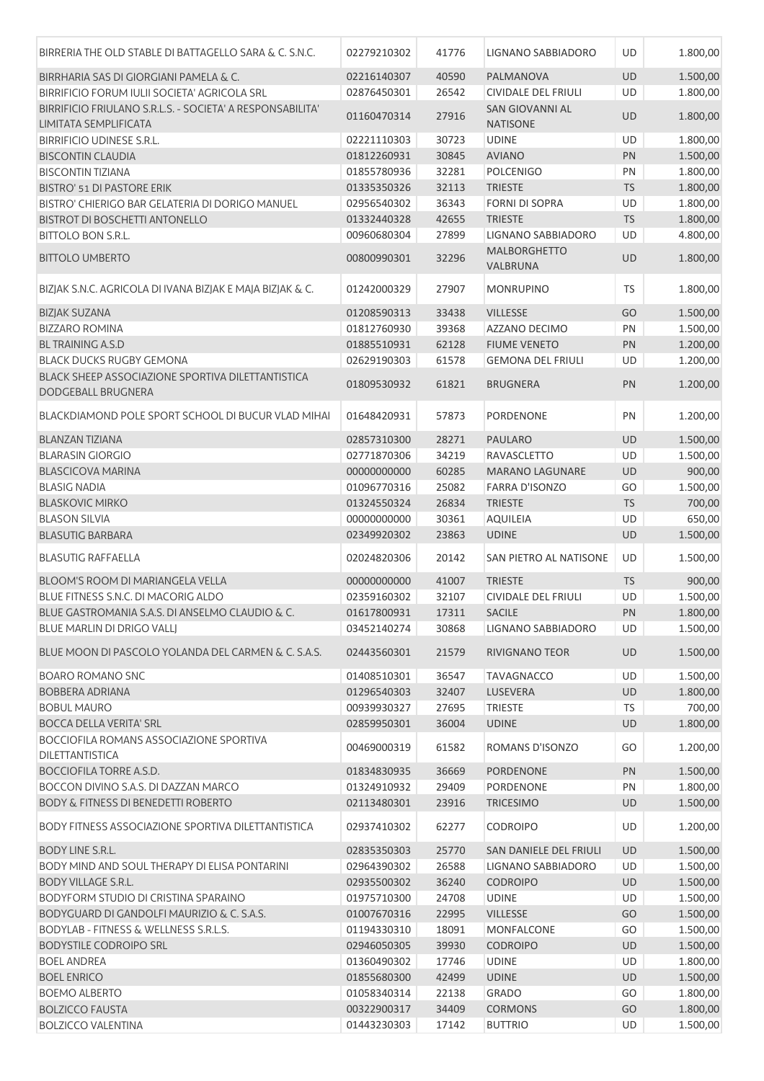| BIRRERIA THE OLD STABLE DI BATTAGELLO SARA & C. S.N.C.    | 02279210302 | 41776 | LIGNANO SABBIADORO         | UD        | 1.800,00 |
|-----------------------------------------------------------|-------------|-------|----------------------------|-----------|----------|
| BIRRHARIA SAS DI GIORGIANI PAMELA & C.                    | 02216140307 | 40590 | PALMANOVA                  | <b>UD</b> | 1.500,00 |
| BIRRIFICIO FORUM IULII SOCIETA' AGRICOLA SRL              | 02876450301 | 26542 | CIVIDALE DEL FRIULI        | UD        | 1.800,00 |
| BIRRIFICIO FRIULANO S.R.L.S. - SOCIETA' A RESPONSABILITA' |             |       | SAN GIOVANNI AL            |           |          |
| LIMITATA SEMPLIFICATA                                     | 01160470314 | 27916 | <b>NATISONE</b>            | <b>UD</b> | 1.800,00 |
| BIRRIFICIO UDINESE S.R.L.                                 | 02221110303 | 30723 | <b>UDINE</b>               | UD        | 1.800,00 |
| <b>BISCONTIN CLAUDIA</b>                                  | 01812260931 | 30845 | <b>AVIANO</b>              | PN        | 1.500,00 |
| <b>BISCONTIN TIZIANA</b>                                  | 01855780936 | 32281 | <b>POLCENIGO</b>           | PN        | 1.800,00 |
| <b>BISTRO' 51 DI PASTORE ERIK</b>                         | 01335350326 | 32113 | <b>TRIESTE</b>             | <b>TS</b> | 1.800,00 |
| BISTRO' CHIERIGO BAR GELATERIA DI DORIGO MANUEL           | 02956540302 | 36343 | <b>FORNI DI SOPRA</b>      | UD        | 1.800,00 |
| <b>BISTROT DI BOSCHETTI ANTONELLO</b>                     | 01332440328 | 42655 | <b>TRIESTE</b>             | <b>TS</b> | 1.800,00 |
| <b>BITTOLO BON S.R.L.</b>                                 | 00960680304 | 27899 | LIGNANO SABBIADORO         | UD        | 4.800,00 |
|                                                           |             |       | <b>MALBORGHETTO</b>        |           |          |
| <b>BITTOLO UMBERTO</b>                                    | 00800990301 | 32296 | VALBRUNA                   | <b>UD</b> | 1.800,00 |
|                                                           |             |       |                            |           |          |
| BIZJAK S.N.C. AGRICOLA DI IVANA BIZJAK E MAJA BIZJAK & C. | 01242000329 | 27907 | <b>MONRUPINO</b>           | TS        | 1.800,00 |
| <b>BIZJAK SUZANA</b>                                      | 01208590313 | 33438 | <b>VILLESSE</b>            | GO        | 1.500,00 |
| <b>BIZZARO ROMINA</b>                                     | 01812760930 | 39368 | AZZANO DECIMO              | PN        | 1.500,00 |
| <b>BL TRAINING A.S.D</b>                                  | 01885510931 | 62128 | <b>FIUME VENETO</b>        | PN        | 1.200,00 |
| <b>BLACK DUCKS RUGBY GEMONA</b>                           | 02629190303 | 61578 | <b>GEMONA DEL FRIULI</b>   | UD        | 1.200,00 |
| BLACK SHEEP ASSOCIAZIONE SPORTIVA DILETTANTISTICA         |             |       |                            |           |          |
| DODGEBALL BRUGNERA                                        | 01809530932 | 61821 | <b>BRUGNERA</b>            | PN        | 1.200,00 |
|                                                           |             |       |                            |           |          |
| BLACKDIAMOND POLE SPORT SCHOOL DI BUCUR VLAD MIHAI        | 01648420931 | 57873 | PORDENONE                  | PN        | 1.200,00 |
| <b>BLANZAN TIZIANA</b>                                    | 02857310300 | 28271 | <b>PAULARO</b>             | <b>UD</b> | 1.500,00 |
| <b>BLARASIN GIORGIO</b>                                   | 02771870306 | 34219 | RAVASCLETTO                | UD        | 1.500,00 |
| <b>BLASCICOVA MARINA</b>                                  | 00000000000 | 60285 | <b>MARANO LAGUNARE</b>     | <b>UD</b> | 900,00   |
| <b>BLASIG NADIA</b>                                       | 01096770316 | 25082 | <b>FARRA D'ISONZO</b>      | GO        | 1.500,00 |
| <b>BLASKOVIC MIRKO</b>                                    | 01324550324 | 26834 | <b>TRIESTE</b>             | <b>TS</b> | 700,00   |
| <b>BLASON SILVIA</b>                                      | 00000000000 | 30361 | <b>AQUILEIA</b>            | UD        | 650,00   |
| <b>BLASUTIG BARBARA</b>                                   | 02349920302 | 23863 | <b>UDINE</b>               | <b>UD</b> |          |
|                                                           |             |       |                            |           | 1.500,00 |
| <b>BLASUTIG RAFFAELLA</b>                                 | 02024820306 | 20142 | SAN PIETRO AL NATISONE     | UD        | 1.500,00 |
| BLOOM'S ROOM DI MARIANGELA VELLA                          | 00000000000 | 41007 | <b>TRIESTE</b>             | <b>TS</b> | 900,00   |
| BLUE FITNESS S.N.C. DI MACORIG ALDO                       | 02359160302 | 32107 | <b>CIVIDALE DEL FRIULI</b> | UD        | 1.500,00 |
| BLUE GASTROMANIA S.A.S. DI ANSELMO CLAUDIO & C.           | 01617800931 | 17311 | <b>SACILE</b>              | PN        | 1.800,00 |
| BLUE MARLIN DI DRIGO VALLJ                                | 03452140274 | 30868 | LIGNANO SABBIADORO         | UD        | 1.500,00 |
|                                                           |             |       |                            |           |          |
| BLUE MOON DI PASCOLO YOLANDA DEL CARMEN & C. S.A.S.       | 02443560301 | 21579 | <b>RIVIGNANO TEOR</b>      | UD        | 1.500,00 |
| <b>BOARO ROMANO SNC</b>                                   | 01408510301 | 36547 | <b>TAVAGNACCO</b>          | UD        | 1.500,00 |
| BOBBERA ADRIANA                                           | 01296540303 | 32407 | LUSEVERA                   | UD        | 1.800,00 |
| <b>BOBUL MAURO</b>                                        | 00939930327 | 27695 | <b>TRIESTE</b>             | TS        | 700,00   |
| <b>BOCCA DELLA VERITA' SRL</b>                            | 02859950301 | 36004 | <b>UDINE</b>               | UD        | 1.800,00 |
| BOCCIOFILA ROMANS ASSOCIAZIONE SPORTIVA                   |             |       |                            |           |          |
| DILETTANTISTICA                                           | 00469000319 | 61582 | ROMANS D'ISONZO            | GO        | 1.200,00 |
| <b>BOCCIOFILA TORRE A.S.D.</b>                            | 01834830935 | 36669 | PORDENONE                  | PN        | 1.500,00 |
| BOCCON DIVINO S.A.S. DI DAZZAN MARCO                      | 01324910932 | 29409 | PORDENONE                  | PN        | 1.800,00 |
| <b>BODY &amp; FITNESS DI BENEDETTI ROBERTO</b>            | 02113480301 | 23916 | <b>TRICESIMO</b>           | UD        | 1.500,00 |
|                                                           |             |       |                            |           |          |
| BODY FITNESS ASSOCIAZIONE SPORTIVA DILETTANTISTICA        | 02937410302 | 62277 | <b>CODROIPO</b>            | UD        | 1.200,00 |
| BODY LINE S.R.L.                                          | 02835350303 | 25770 | SAN DANIELE DEL FRIULI     | UD        | 1.500,00 |
| BODY MIND AND SOUL THERAPY DI ELISA PONTARINI             | 02964390302 | 26588 | LIGNANO SABBIADORO         | UD        | 1.500,00 |
| <b>BODY VILLAGE S.R.L.</b>                                | 02935500302 | 36240 | <b>CODROIPO</b>            | UD        | 1.500,00 |
| BODYFORM STUDIO DI CRISTINA SPARAINO                      | 01975710300 | 24708 | <b>UDINE</b>               | UD        | 1.500,00 |
| BODYGUARD DI GANDOLFI MAURIZIO & C. S.A.S.                | 01007670316 | 22995 | <b>VILLESSE</b>            | GO        | 1.500,00 |
| BODYLAB - FITNESS & WELLNESS S.R.L.S.                     | 01194330310 | 18091 | <b>MONFALCONE</b>          | GO        | 1.500,00 |
| <b>BODYSTILE CODROIPO SRL</b>                             | 02946050305 | 39930 | <b>CODROIPO</b>            | UD        | 1.500,00 |
| <b>BOEL ANDREA</b>                                        | 01360490302 | 17746 | <b>UDINE</b>               | UD        | 1.800,00 |
| <b>BOEL ENRICO</b>                                        | 01855680300 | 42499 | <b>UDINE</b>               | UD        | 1.500,00 |
| <b>BOEMO ALBERTO</b>                                      | 01058340314 | 22138 | <b>GRADO</b>               | GO        | 1.800,00 |
| <b>BOLZICCO FAUSTA</b>                                    | 00322900317 | 34409 | <b>CORMONS</b>             | GO        | 1.800,00 |
| <b>BOLZICCO VALENTINA</b>                                 | 01443230303 | 17142 | <b>BUTTRIO</b>             | UD        | 1.500,00 |
|                                                           |             |       |                            |           |          |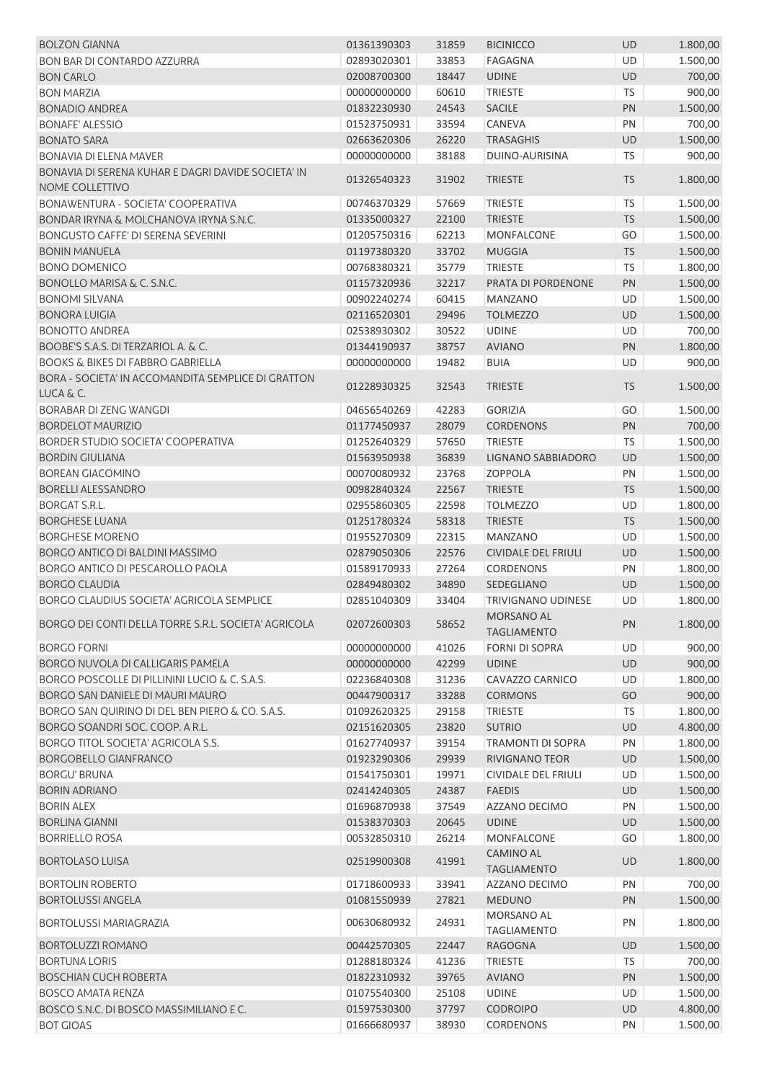| <b>BOLZON GIANNA</b>                                                  | 01361390303 | 31859 | <b>BICINICCO</b>                      | UD        | 1.800,00 |
|-----------------------------------------------------------------------|-------------|-------|---------------------------------------|-----------|----------|
| <b>BON BAR DI CONTARDO AZZURRA</b>                                    | 02893020301 | 33853 | <b>FAGAGNA</b>                        | UD        | 1.500,00 |
| <b>BON CARLO</b>                                                      | 02008700300 | 18447 | <b>UDINE</b>                          | UD        | 700,00   |
| <b>BON MARZIA</b>                                                     | 00000000000 | 60610 | <b>TRIESTE</b>                        | <b>TS</b> | 900,00   |
| <b>BONADIO ANDREA</b>                                                 | 01832230930 | 24543 | <b>SACILE</b>                         | PN        | 1.500,00 |
| <b>BONAFE' ALESSIO</b>                                                | 01523750931 | 33594 | CANEVA                                | PN        | 700,00   |
| <b>BONATO SARA</b>                                                    | 02663620306 | 26220 | <b>TRASAGHIS</b>                      | UD        | 1.500,00 |
| <b>BONAVIA DI ELENA MAVER</b>                                         | 00000000000 | 38188 | DUINO-AURISINA                        | TS        | 900,00   |
| BONAVIA DI SERENA KUHAR E DAGRI DAVIDE SOCIETA' IN<br>NOME COLLETTIVO | 01326540323 | 31902 | <b>TRIESTE</b>                        | <b>TS</b> | 1.800,00 |
| BONAWENTURA - SOCIETA' COOPERATIVA                                    | 00746370329 | 57669 | <b>TRIESTE</b>                        | TS        | 1.500,00 |
| BONDAR IRYNA & MOLCHANOVA IRYNA S.N.C.                                | 01335000327 | 22100 | <b>TRIESTE</b>                        | <b>TS</b> | 1.500,00 |
| <b>BONGUSTO CAFFE' DI SERENA SEVERINI</b>                             | 01205750316 | 62213 | <b>MONFALCONE</b>                     | GO        |          |
|                                                                       |             |       |                                       |           | 1.500,00 |
| <b>BONIN MANUELA</b><br><b>BONO DOMENICO</b>                          | 01197380320 | 33702 | <b>MUGGIA</b>                         | <b>TS</b> | 1.500,00 |
|                                                                       | 00768380321 | 35779 | <b>TRIESTE</b>                        | TS        | 1.800,00 |
| BONOLLO MARISA & C. S.N.C.                                            | 01157320936 | 32217 | PRATA DI PORDENONE                    | PN        | 1.500,00 |
| <b>BONOMI SILVANA</b>                                                 | 00902240274 | 60415 | <b>MANZANO</b>                        | UD        | 1.500,00 |
| <b>BONORA LUIGIA</b>                                                  | 02116520301 | 29496 | <b>TOLMEZZO</b>                       | UD        | 1.500,00 |
| <b>BONOTTO ANDREA</b>                                                 | 02538930302 | 30522 | <b>UDINE</b>                          | UD        | 700,00   |
| BOOBE'S S.A.S. DI TERZARIOL A. & C.                                   | 01344190937 | 38757 | <b>AVIANO</b>                         | PN        | 1.800,00 |
| <b>BOOKS &amp; BIKES DI FABBRO GABRIELLA</b>                          | 00000000000 | 19482 | <b>BUIA</b>                           | UD        | 900,00   |
| BORA - SOCIETA' IN ACCOMANDITA SEMPLICE DI GRATTON<br>LUCA & C.       | 01228930325 | 32543 | <b>TRIESTE</b>                        | <b>TS</b> | 1.500,00 |
| BORABAR DI ZENG WANGDI                                                | 04656540269 | 42283 | <b>GORIZIA</b>                        | GO        | 1.500,00 |
| <b>BORDELOT MAURIZIO</b>                                              | 01177450937 | 28079 | <b>CORDENONS</b>                      | PN        | 700,00   |
| <b>BORDER STUDIO SOCIETA' COOPERATIVA</b>                             | 01252640329 | 57650 | <b>TRIESTE</b>                        | TS        | 1.500,00 |
| <b>BORDIN GIULIANA</b>                                                | 01563950938 | 36839 | LIGNANO SABBIADORO                    | UD        | 1.500,00 |
| <b>BOREAN GIACOMINO</b>                                               | 00070080932 | 23768 | <b>ZOPPOLA</b>                        | PN        | 1.500,00 |
| <b>BORELLI ALESSANDRO</b>                                             | 00982840324 | 22567 | <b>TRIESTE</b>                        | <b>TS</b> | 1.500,00 |
| BORGAT S.R.L.                                                         | 02955860305 | 22598 | <b>TOLMEZZO</b>                       | UD        | 1.800,00 |
| <b>BORGHESE LUANA</b>                                                 | 01251780324 | 58318 | <b>TRIESTE</b>                        | TS        | 1.500,00 |
| <b>BORGHESE MORENO</b>                                                | 01955270309 | 22315 | <b>MANZANO</b>                        | UD        | 1.500,00 |
| BORGO ANTICO DI BALDINI MASSIMO                                       | 02879050306 | 22576 | <b>CIVIDALE DEL FRIULI</b>            | UD        | 1.500,00 |
| BORGO ANTICO DI PESCAROLLO PAOLA                                      | 01589170933 | 27264 | <b>CORDENONS</b>                      | PN        | 1.800,00 |
| <b>BORGO CLAUDIA</b>                                                  | 02849480302 | 34890 | SEDEGLIANO                            | UD        | 1.500,00 |
| BORGO CLAUDIUS SOCIETA' AGRICOLA SEMPLICE                             | 02851040309 | 33404 | TRIVIGNANO UDINESE                    | UD        | 1.800,00 |
| BORGO DEI CONTI DELLA TORRE S.R.L. SOCIETA' AGRICOLA                  | 02072600303 | 58652 | MORSANO AL<br><b>TAGLIAMENTO</b>      | PN        | 1.800,00 |
|                                                                       |             |       |                                       |           |          |
| <b>BORGO FORNI</b>                                                    | 00000000000 | 41026 | <b>FORNI DI SOPRA</b>                 | UD        | 900,00   |
| BORGO NUVOLA DI CALLIGARIS PAMELA                                     | 00000000000 | 42299 | <b>UDINE</b>                          | UD        | 900,00   |
| BORGO POSCOLLE DI PILLININI LUCIO & C. S.A.S.                         | 02236840308 | 31236 | CAVAZZO CARNICO                       | UD        | 1.800,00 |
| BORGO SAN DANIELE DI MAURI MAURO                                      | 00447900317 | 33288 | <b>CORMONS</b>                        | GO        | 900,00   |
| BORGO SAN QUIRINO DI DEL BEN PIERO & CO. S.A.S.                       | 01092620325 | 29158 | <b>TRIESTE</b>                        | <b>TS</b> | 1.800,00 |
| BORGO SOANDRI SOC. COOP. A R.L.                                       | 02151620305 | 23820 | <b>SUTRIO</b>                         | UD        | 4.800,00 |
| BORGO TITOL SOCIETA' AGRICOLA S.S.                                    | 01627740937 | 39154 | <b>TRAMONTI DI SOPRA</b>              | PN        | 1.800,00 |
| <b>BORGOBELLO GIANFRANCO</b>                                          | 01923290306 | 29939 | <b>RIVIGNANO TEOR</b>                 | UD        | 1.500,00 |
| <b>BORGU' BRUNA</b>                                                   | 01541750301 | 19971 | <b>CIVIDALE DEL FRIULI</b>            | UD        | 1.500,00 |
| <b>BORIN ADRIANO</b>                                                  | 02414240305 | 24387 | <b>FAEDIS</b>                         | UD        | 1.500,00 |
| <b>BORIN ALEX</b>                                                     | 01696870938 | 37549 | AZZANO DECIMO                         | PN        | 1.500,00 |
| <b>BORLINA GIANNI</b>                                                 | 01538370303 | 20645 | <b>UDINE</b>                          | UD        | 1.500,00 |
| <b>BORRIELLO ROSA</b>                                                 | 00532850310 | 26214 | <b>MONFALCONE</b><br><b>CAMINO AL</b> | GO        | 1.800,00 |
| <b>BORTOLASO LUISA</b>                                                | 02519900308 | 41991 | <b>TAGLIAMENTO</b>                    | UD        | 1.800,00 |
| <b>BORTOLIN ROBERTO</b>                                               | 01718600933 | 33941 | AZZANO DECIMO                         | PN        | 700,00   |
| <b>BORTOLUSSI ANGELA</b>                                              | 01081550939 | 27821 | <b>MEDUNO</b>                         | PN        | 1.500,00 |
| <b>BORTOLUSSI MARIAGRAZIA</b>                                         | 00630680932 | 24931 | MORSANO AL<br><b>TAGLIAMENTO</b>      | PN        | 1.800,00 |
| <b>BORTOLUZZI ROMANO</b>                                              | 00442570305 | 22447 | RAGOGNA                               | UD        | 1.500,00 |
| <b>BORTUNA LORIS</b>                                                  | 01288180324 | 41236 | <b>TRIESTE</b>                        | <b>TS</b> | 700,00   |
| <b>BOSCHIAN CUCH ROBERTA</b>                                          | 01822310932 | 39765 | <b>AVIANO</b>                         | PN        | 1.500,00 |
| <b>BOSCO AMATA RENZA</b>                                              | 01075540300 | 25108 | <b>UDINE</b>                          | UD        | 1.500,00 |
| BOSCO S.N.C. DI BOSCO MASSIMILIANO E C.                               | 01597530300 | 37797 | <b>CODROIPO</b>                       | UD        | 4.800,00 |
| <b>BOT GIOAS</b>                                                      | 01666680937 | 38930 | CORDENONS                             | PN        | 1.500,00 |
|                                                                       |             |       |                                       |           |          |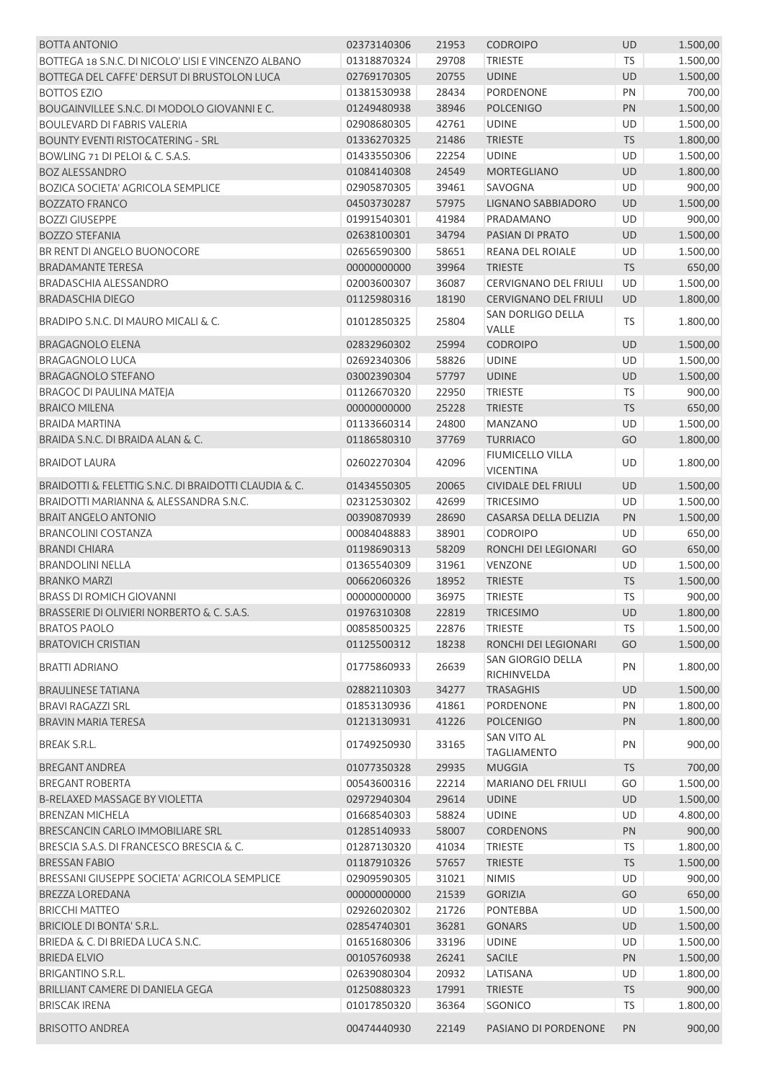| <b>BOTTA ANTONIO</b>                                  | 02373140306 | 21953 | <b>CODROIPO</b>                             | <b>UD</b> | 1.500,00 |
|-------------------------------------------------------|-------------|-------|---------------------------------------------|-----------|----------|
| BOTTEGA 18 S.N.C. DI NICOLO' LISI E VINCENZO ALBANO   | 01318870324 | 29708 | <b>TRIESTE</b>                              | <b>TS</b> | 1.500,00 |
| BOTTEGA DEL CAFFE' DERSUT DI BRUSTOLON LUCA           | 02769170305 | 20755 | <b>UDINE</b>                                | <b>UD</b> | 1.500,00 |
| <b>BOTTOS EZIO</b>                                    | 01381530938 | 28434 | <b>PORDENONE</b>                            | PN        | 700,00   |
| BOUGAINVILLEE S.N.C. DI MODOLO GIOVANNI E C.          | 01249480938 | 38946 | <b>POLCENIGO</b>                            | PN        | 1.500,00 |
| <b>BOULEVARD DI FABRIS VALERIA</b>                    | 02908680305 | 42761 | <b>UDINE</b>                                | UD        | 1.500,00 |
| <b>BOUNTY EVENTI RISTOCATERING - SRL</b>              | 01336270325 | 21486 | <b>TRIESTE</b>                              | <b>TS</b> | 1.800,00 |
| BOWLING 71 DI PELOI & C. S.A.S.                       | 01433550306 | 22254 | <b>UDINE</b>                                | UD        | 1.500,00 |
| <b>BOZ ALESSANDRO</b>                                 | 01084140308 | 24549 | <b>MORTEGLIANO</b>                          | <b>UD</b> | 1.800,00 |
| <b>BOZICA SOCIETA' AGRICOLA SEMPLICE</b>              | 02905870305 | 39461 | SAVOGNA                                     | UD        | 900,00   |
| <b>BOZZATO FRANCO</b>                                 | 04503730287 | 57975 | LIGNANO SABBIADORO                          | <b>UD</b> | 1.500,00 |
| <b>BOZZI GIUSEPPE</b>                                 | 01991540301 | 41984 | PRADAMANO                                   | UD        | 900,00   |
| <b>BOZZO STEFANIA</b>                                 | 02638100301 | 34794 | PASIAN DI PRATO                             | <b>UD</b> | 1.500,00 |
| BR RENT DI ANGELO BUONOCORE                           | 02656590300 | 58651 | REANA DEL ROIALE                            | UD        | 1.500,00 |
| <b>BRADAMANTE TERESA</b>                              | 00000000000 | 39964 | <b>TRIESTE</b>                              | <b>TS</b> | 650,00   |
| BRADASCHIA ALESSANDRO                                 | 02003600307 | 36087 | CERVIGNANO DEL FRIULI                       | UD        | 1.500,00 |
| <b>BRADASCHIA DIEGO</b>                               | 01125980316 | 18190 | <b>CERVIGNANO DEL FRIULI</b>                | <b>UD</b> | 1.800,00 |
| BRADIPO S.N.C. DI MAURO MICALI & C.                   | 01012850325 | 25804 | SAN DORLIGO DELLA<br>VALLE                  | <b>TS</b> | 1.800,00 |
| <b>BRAGAGNOLO ELENA</b>                               | 02832960302 | 25994 | <b>CODROIPO</b>                             | UD        | 1.500,00 |
| <b>BRAGAGNOLO LUCA</b>                                | 02692340306 | 58826 | <b>UDINE</b>                                | UD        | 1.500,00 |
| <b>BRAGAGNOLO STEFANO</b>                             | 03002390304 | 57797 | <b>UDINE</b>                                | <b>UD</b> | 1.500,00 |
| <b>BRAGOC DI PAULINA MATEJA</b>                       | 01126670320 | 22950 | <b>TRIESTE</b>                              | TS        | 900,00   |
| <b>BRAICO MILENA</b>                                  | 00000000000 | 25228 | <b>TRIESTE</b>                              | <b>TS</b> | 650,00   |
| <b>BRAIDA MARTINA</b>                                 | 01133660314 | 24800 | <b>MANZANO</b>                              | UD        | 1.500,00 |
| BRAIDA S.N.C. DI BRAIDA ALAN & C.                     | 01186580310 | 37769 | <b>TURRIACO</b>                             | GO        | 1.800,00 |
| <b>BRAIDOT LAURA</b>                                  | 02602270304 | 42096 | <b>FIUMICELLO VILLA</b><br><b>VICENTINA</b> | <b>UD</b> | 1.800,00 |
| BRAIDOTTI & FELETTIG S.N.C. DI BRAIDOTTI CLAUDIA & C. | 01434550305 | 20065 | <b>CIVIDALE DEL FRIULI</b>                  | UD        | 1.500,00 |
| BRAIDOTTI MARIANNA & ALESSANDRA S.N.C.                | 02312530302 | 42699 | <b>TRICESIMO</b>                            | <b>UD</b> | 1.500,00 |
| <b>BRAIT ANGELO ANTONIO</b>                           | 00390870939 | 28690 | CASARSA DELLA DELIZIA                       | PN        | 1.500,00 |
| <b>BRANCOLINI COSTANZA</b>                            | 00084048883 | 38901 | <b>CODROIPO</b>                             | UD        | 650,00   |
| <b>BRANDI CHIARA</b>                                  | 01198690313 | 58209 | RONCHI DEI LEGIONARI                        | GO        | 650,00   |
| <b>BRANDOLINI NELLA</b>                               | 01365540309 | 31961 | VENZONE                                     | UD        | 1.500,00 |
| <b>BRANKO MARZI</b>                                   | 00662060326 | 18952 | <b>TRIESTE</b>                              | <b>TS</b> | 1.500,00 |
| <b>BRASS DI ROMICH GIOVANNI</b>                       | 00000000000 | 36975 | <b>TRIESTE</b>                              | TS        | 900,00   |
| BRASSERIE DI OLIVIERI NORBERTO & C. S.A.S.            | 01976310308 | 22819 | <b>TRICESIMO</b>                            | UD        | 1.800,00 |
| <b>BRATOS PAOLO</b>                                   | 00858500325 | 22876 | <b>TRIESTE</b>                              | TS        | 1.500,00 |
| <b>BRATOVICH CRISTIAN</b>                             | 01125500312 | 18238 | RONCHI DEI LEGIONARI                        | GO        | 1.500,00 |
|                                                       |             |       | SAN GIORGIO DELLA                           |           |          |
| <b>BRATTI ADRIANO</b>                                 | 01775860933 | 26639 | RICHINVELDA                                 | PN        | 1.800,00 |
| <b>BRAULINESE TATIANA</b>                             | 02882110303 | 34277 | <b>TRASAGHIS</b>                            | <b>UD</b> | 1.500,00 |
| <b>BRAVI RAGAZZI SRL</b>                              | 01853130936 | 41861 | PORDENONE                                   | PN        | 1.800,00 |
| <b>BRAVIN MARIA TERESA</b>                            | 01213130931 | 41226 | <b>POLCENIGO</b>                            | PN        | 1.800,00 |
| BREAK S.R.L.                                          | 01749250930 | 33165 | <b>SAN VITO AL</b><br><b>TAGLIAMENTO</b>    | PN        | 900,00   |
| <b>BREGANT ANDREA</b>                                 | 01077350328 | 29935 | MUGGIA                                      | <b>TS</b> | 700,00   |
| <b>BREGANT ROBERTA</b>                                | 00543600316 | 22214 | MARIANO DEL FRIULI                          | GO        | 1.500,00 |
| <b>B-RELAXED MASSAGE BY VIOLETTA</b>                  | 02972940304 | 29614 | <b>UDINE</b>                                | <b>UD</b> | 1.500,00 |
| <b>BRENZAN MICHELA</b>                                | 01668540303 | 58824 | <b>UDINE</b>                                | UD        | 4.800,00 |
| BRESCANCIN CARLO IMMOBILIARE SRL                      | 01285140933 | 58007 | <b>CORDENONS</b>                            | PN        | 900,00   |
| BRESCIA S.A.S. DI FRANCESCO BRESCIA & C.              | 01287130320 | 41034 | <b>TRIESTE</b>                              | <b>TS</b> | 1.800,00 |
| <b>BRESSAN FABIO</b>                                  | 01187910326 | 57657 | <b>TRIESTE</b>                              | <b>TS</b> | 1.500,00 |
| BRESSANI GIUSEPPE SOCIETA' AGRICOLA SEMPLICE          | 02909590305 | 31021 | <b>NIMIS</b>                                | <b>UD</b> | 900,00   |
| <b>BREZZA LOREDANA</b>                                | 00000000000 | 21539 | <b>GORIZIA</b>                              | GO        | 650,00   |
| <b>BRICCHI MATTEO</b>                                 | 02926020302 | 21726 | <b>PONTEBBA</b>                             | UD        | 1.500,00 |
| BRICIOLE DI BONTA' S.R.L.                             | 02854740301 | 36281 | <b>GONARS</b>                               | <b>UD</b> | 1.500,00 |
| BRIEDA & C. DI BRIEDA LUCA S.N.C.                     | 01651680306 | 33196 | <b>UDINE</b>                                | UD        | 1.500,00 |
| <b>BRIEDA ELVIO</b>                                   | 00105760938 | 26241 | <b>SACILE</b>                               | PN        | 1.500,00 |
| BRIGANTINO S.R.L.                                     | 02639080304 | 20932 | LATISANA                                    | UD        | 1.800,00 |
| BRILLIANT CAMERE DI DANIELA GEGA                      | 01250880323 | 17991 | <b>TRIESTE</b>                              | <b>TS</b> | 900,00   |
| <b>BRISCAK IRENA</b>                                  | 01017850320 | 36364 | SGONICO                                     | TS        | 1.800,00 |
| <b>BRISOTTO ANDREA</b>                                | 00474440930 | 22149 | PASIANO DI PORDENONE                        | PN        | 900,00   |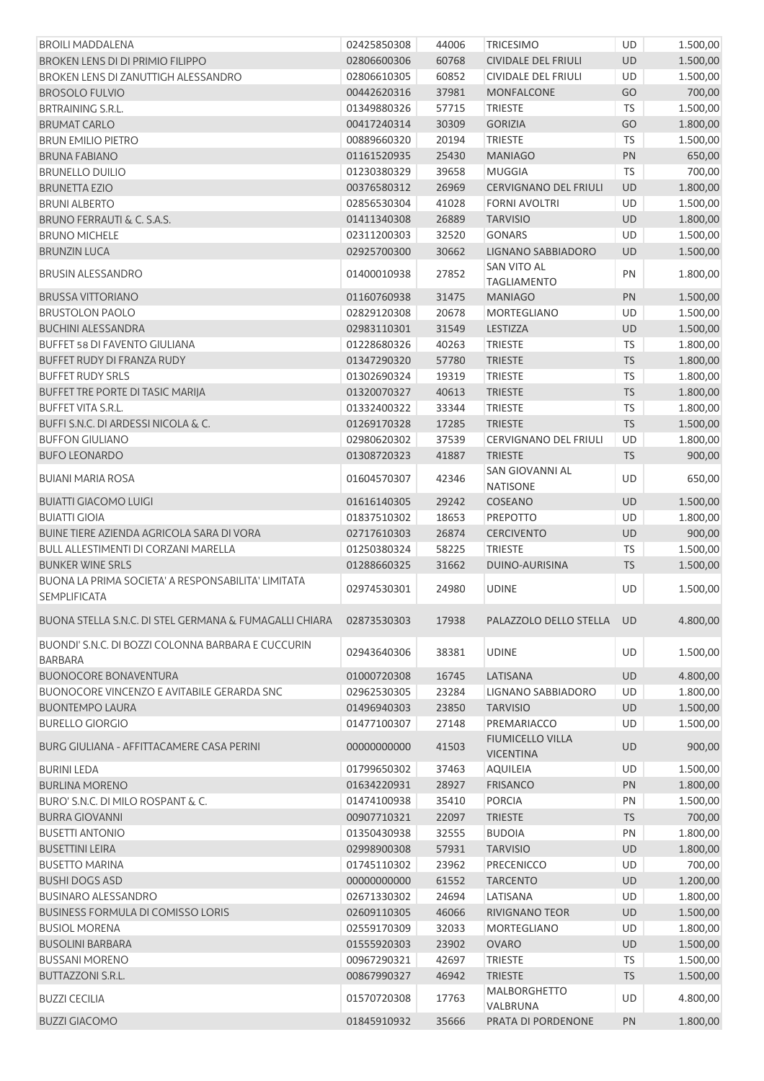| <b>BROILI MADDALENA</b>                                                   | 02425850308 | 44006 | <b>TRICESIMO</b>                            | UD        | 1.500,00 |
|---------------------------------------------------------------------------|-------------|-------|---------------------------------------------|-----------|----------|
| <b>BROKEN LENS DI DI PRIMIO FILIPPO</b>                                   | 02806600306 | 60768 | <b>CIVIDALE DEL FRIULI</b>                  | <b>UD</b> | 1.500,00 |
| BROKEN LENS DI ZANUTTIGH ALESSANDRO                                       | 02806610305 | 60852 | <b>CIVIDALE DEL FRIULI</b>                  | UD        | 1.500,00 |
| <b>BROSOLO FULVIO</b>                                                     | 00442620316 | 37981 | <b>MONFALCONE</b>                           | GO        | 700,00   |
| <b>BRTRAINING S.R.L.</b>                                                  | 01349880326 | 57715 | <b>TRIESTE</b>                              | <b>TS</b> | 1.500,00 |
| <b>BRUMAT CARLO</b>                                                       | 00417240314 | 30309 | <b>GORIZIA</b>                              | GO        | 1.800,00 |
| <b>BRUN EMILIO PIETRO</b>                                                 | 00889660320 | 20194 | <b>TRIESTE</b>                              | <b>TS</b> | 1.500,00 |
| <b>BRUNA FABIANO</b>                                                      | 01161520935 | 25430 | <b>MANIAGO</b>                              | PN        | 650,00   |
| <b>BRUNELLO DUILIO</b>                                                    | 01230380329 | 39658 | <b>MUGGIA</b>                               | <b>TS</b> | 700,00   |
| <b>BRUNETTA EZIO</b>                                                      | 00376580312 | 26969 | <b>CERVIGNANO DEL FRIULI</b>                | UD        | 1.800,00 |
| <b>BRUNI ALBERTO</b>                                                      | 02856530304 | 41028 | <b>FORNI AVOLTRI</b>                        | UD        | 1.500,00 |
| <b>BRUNO FERRAUTI &amp; C. S.A.S.</b>                                     | 01411340308 | 26889 | <b>TARVISIO</b>                             | UD        | 1.800,00 |
| <b>BRUNO MICHELE</b>                                                      | 02311200303 | 32520 | <b>GONARS</b>                               | UD        | 1.500,00 |
| <b>BRUNZIN LUCA</b>                                                       | 02925700300 | 30662 | LIGNANO SABBIADORO                          | UD        | 1.500,00 |
| <b>BRUSIN ALESSANDRO</b>                                                  | 01400010938 | 27852 | SAN VITO AL<br><b>TAGLIAMENTO</b>           | PN        | 1.800,00 |
| <b>BRUSSA VITTORIANO</b>                                                  | 01160760938 | 31475 | <b>MANIAGO</b>                              | PN        | 1.500,00 |
| <b>BRUSTOLON PAOLO</b>                                                    | 02829120308 | 20678 | MORTEGLIANO                                 | UD        | 1.500,00 |
| <b>BUCHINI ALESSANDRA</b>                                                 | 02983110301 | 31549 | LESTIZZA                                    | UD        | 1.500,00 |
| <b>BUFFET 58 DI FAVENTO GIULIANA</b>                                      | 01228680326 | 40263 | <b>TRIESTE</b>                              | <b>TS</b> | 1.800,00 |
| BUFFET RUDY DI FRANZA RUDY                                                | 01347290320 | 57780 | <b>TRIESTE</b>                              | <b>TS</b> | 1.800,00 |
| <b>BUFFET RUDY SRLS</b>                                                   | 01302690324 | 19319 | <b>TRIESTE</b>                              | <b>TS</b> | 1.800,00 |
| BUFFET TRE PORTE DI TASIC MARIJA                                          | 01320070327 | 40613 | <b>TRIESTE</b>                              | <b>TS</b> | 1.800,00 |
| <b>BUFFET VITA S.R.L.</b>                                                 | 01332400322 | 33344 | <b>TRIESTE</b>                              | <b>TS</b> | 1.800,00 |
| BUFFI S.N.C. DI ARDESSI NICOLA & C.                                       | 01269170328 | 17285 | <b>TRIESTE</b>                              | <b>TS</b> | 1.500,00 |
| <b>BUFFON GIULIANO</b>                                                    | 02980620302 | 37539 | <b>CERVIGNANO DEL FRIULI</b>                | UD        | 1.800,00 |
| <b>BUFO LEONARDO</b>                                                      | 01308720323 | 41887 | <b>TRIESTE</b>                              | <b>TS</b> | 900,00   |
| <b>BUIANI MARIA ROSA</b>                                                  | 01604570307 | 42346 | SAN GIOVANNI AL<br><b>NATISONE</b>          | UD        | 650,00   |
| <b>BUIATTI GIACOMO LUIGI</b>                                              | 01616140305 | 29242 | COSEANO                                     | UD        | 1.500,00 |
| <b>BUIATTI GIOIA</b>                                                      | 01837510302 | 18653 | PREPOTTO                                    | UD        | 1.800,00 |
| BUINE TIERE AZIENDA AGRICOLA SARA DI VORA                                 | 02717610303 | 26874 | <b>CERCIVENTO</b>                           | UD        | 900,00   |
| BULL ALLESTIMENTI DI CORZANI MARELLA                                      | 01250380324 | 58225 | <b>TRIESTE</b>                              | <b>TS</b> | 1.500,00 |
| <b>BUNKER WINE SRLS</b>                                                   | 01288660325 | 31662 | DUINO-AURISINA                              | <b>TS</b> | 1.500,00 |
| BUONA LA PRIMA SOCIETA' A RESPONSABILITA' LIMITATA<br><b>SEMPLIFICATA</b> | 02974530301 | 24980 | <b>UDINE</b>                                | UD        | 1.500,00 |
| BUONA STELLA S.N.C. DI STEL GERMANA & FUMAGALLI CHIARA                    | 02873530303 | 17938 | PALAZZOLO DELLO STELLA UD                   |           | 4.800,00 |
| BUONDI' S.N.C. DI BOZZI COLONNA BARBARA E CUCCURIN<br><b>BARBARA</b>      | 02943640306 | 38381 | <b>UDINE</b>                                | UD        | 1.500,00 |
| <b>BUONOCORE BONAVENTURA</b>                                              | 01000720308 | 16745 | LATISANA                                    | UD        | 4.800,00 |
| <b>BUONOCORE VINCENZO E AVITABILE GERARDA SNC</b>                         | 02962530305 | 23284 | LIGNANO SABBIADORO                          | UD        | 1.800,00 |
| <b>BUONTEMPO LAURA</b>                                                    | 01496940303 | 23850 | <b>TARVISIO</b>                             | UD        | 1.500,00 |
| <b>BURELLO GIORGIO</b>                                                    | 01477100307 | 27148 | PREMARIACCO                                 | UD        | 1.500,00 |
| BURG GIULIANA - AFFITTACAMERE CASA PERINI                                 | 00000000000 | 41503 | <b>FIUMICELLO VILLA</b><br><b>VICENTINA</b> | <b>UD</b> | 900,00   |
| <b>BURINI LEDA</b>                                                        | 01799650302 | 37463 | <b>AQUILEIA</b>                             | <b>UD</b> | 1.500,00 |
| <b>BURLINA MORENO</b>                                                     | 01634220931 | 28927 | <b>FRISANCO</b>                             | PN        | 1.800,00 |
| BURO' S.N.C. DI MILO ROSPANT & C.                                         | 01474100938 | 35410 | <b>PORCIA</b>                               | PN        | 1.500,00 |
| <b>BURRA GIOVANNI</b>                                                     | 00907710321 | 22097 | <b>TRIESTE</b>                              | <b>TS</b> | 700,00   |
| <b>BUSETTI ANTONIO</b>                                                    | 01350430938 | 32555 | <b>BUDOIA</b>                               | PN        | 1.800,00 |
| <b>BUSETTINI LEIRA</b>                                                    | 02998900308 | 57931 | <b>TARVISIO</b>                             | UD        | 1.800,00 |
| <b>BUSETTO MARINA</b>                                                     | 01745110302 | 23962 | PRECENICCO                                  | UD        | 700,00   |
| <b>BUSHI DOGS ASD</b>                                                     | 00000000000 | 61552 | <b>TARCENTO</b>                             | UD        | 1.200,00 |
| <b>BUSINARO ALESSANDRO</b>                                                | 02671330302 | 24694 | LATISANA                                    | UD        | 1.800,00 |
| <b>BUSINESS FORMULA DI COMISSO LORIS</b>                                  | 02609110305 | 46066 | RIVIGNANO TEOR                              | UD        | 1.500,00 |
| <b>BUSIOL MORENA</b>                                                      | 02559170309 | 32033 | <b>MORTEGLIANO</b>                          | UD        | 1.800,00 |
| <b>BUSOLINI BARBARA</b>                                                   | 01555920303 | 23902 | <b>OVARO</b>                                | <b>UD</b> | 1.500,00 |
| <b>BUSSANI MORENO</b>                                                     | 00967290321 | 42697 | <b>TRIESTE</b>                              | <b>TS</b> | 1.500,00 |
| <b>BUTTAZZONI S.R.L.</b>                                                  | 00867990327 | 46942 | <b>TRIESTE</b>                              | <b>TS</b> | 1.500,00 |
| <b>BUZZI CECILIA</b>                                                      | 01570720308 | 17763 | MALBORGHETTO<br>VALBRUNA                    | UD        | 4.800,00 |
| <b>BUZZI GIACOMO</b>                                                      | 01845910932 | 35666 | PRATA DI PORDENONE                          | PN        | 1.800,00 |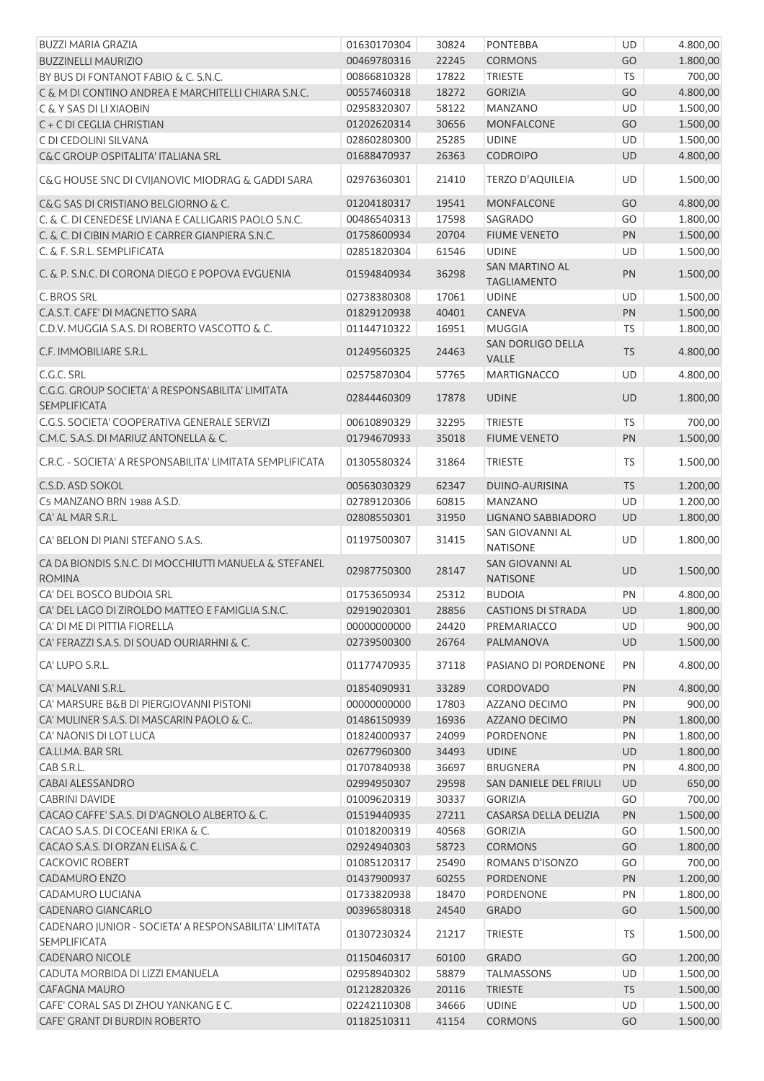| <b>BUZZI MARIA GRAZIA</b>                                                          | 01630170304 | 30824 | <b>PONTEBBA</b>                             | <b>UD</b> | 4.800,00 |
|------------------------------------------------------------------------------------|-------------|-------|---------------------------------------------|-----------|----------|
| <b>BUZZINELLI MAURIZIO</b>                                                         | 00469780316 | 22245 | <b>CORMONS</b>                              | GO        | 1.800,00 |
| BY BUS DI FONTANOT FABIO & C. S.N.C.                                               | 00866810328 | 17822 | <b>TRIESTE</b>                              | <b>TS</b> | 700,00   |
| C & M DI CONTINO ANDREA E MARCHITELLI CHIARA S.N.C.                                | 00557460318 | 18272 | <b>GORIZIA</b>                              | GO        | 4.800,00 |
| C & Y SAS DI LI XIAOBIN                                                            | 02958320307 | 58122 | <b>MANZANO</b>                              | UD        | 1.500,00 |
| C + C DI CEGLIA CHRISTIAN                                                          | 01202620314 | 30656 | <b>MONFALCONE</b>                           | GO        | 1.500,00 |
| C DI CEDOLINI SILVANA                                                              | 02860280300 | 25285 | <b>UDINE</b>                                | UD        | 1.500,00 |
| C&C GROUP OSPITALITA' ITALIANA SRL                                                 | 01688470937 | 26363 | <b>CODROIPO</b>                             | UD        | 4.800,00 |
| C&G HOUSE SNC DI CVIJANOVIC MIODRAG & GADDI SARA                                   | 02976360301 | 21410 | TERZO D'AQUILEIA                            | UD        | 1.500,00 |
| C&G SAS DI CRISTIANO BELGIORNO & C.                                                | 01204180317 | 19541 | <b>MONFALCONE</b>                           | GO        | 4.800,00 |
| C. & C. DI CENEDESE LIVIANA E CALLIGARIS PAOLO S.N.C.                              | 00486540313 | 17598 | SAGRADO                                     | GO        | 1.800,00 |
| C. & C. DI CIBIN MARIO E CARRER GIANPIERA S.N.C.                                   | 01758600934 | 20704 | <b>FIUME VENETO</b>                         | PN        | 1.500,00 |
| C. & F. S.R.L. SEMPLIFICATA                                                        | 02851820304 | 61546 | <b>UDINE</b>                                | UD        | 1.500,00 |
| C. & P. S.N.C. DI CORONA DIEGO E POPOVA EVGUENIA                                   | 01594840934 | 36298 | <b>SAN MARTINO AL</b><br><b>TAGLIAMENTO</b> | PN        | 1.500,00 |
| C. BROS SRL                                                                        | 02738380308 | 17061 | <b>UDINE</b>                                | UD        | 1.500,00 |
| C.A.S.T. CAFE' DI MAGNETTO SARA                                                    | 01829120938 | 40401 | <b>CANEVA</b>                               | PN        | 1.500,00 |
| C.D.V. MUGGIA S.A.S. DI ROBERTO VASCOTTO & C.                                      | 01144710322 | 16951 | <b>MUGGIA</b>                               | <b>TS</b> | 1.800,00 |
|                                                                                    |             |       | SAN DORLIGO DELLA                           |           |          |
| C.F. IMMOBILIARE S.R.L.                                                            | 01249560325 | 24463 | VALLE                                       | <b>TS</b> | 4.800,00 |
| C.G.C. SRL                                                                         | 02575870304 | 57765 | <b>MARTIGNACCO</b>                          | UD        | 4.800,00 |
| C.G.G. GROUP SOCIETA' A RESPONSABILITA' LIMITATA<br><b>SEMPLIFICATA</b>            | 02844460309 | 17878 | <b>UDINE</b>                                | <b>UD</b> | 1.800,00 |
| C.G.S. SOCIETA' COOPERATIVA GENERALE SERVIZI                                       | 00610890329 | 32295 | <b>TRIESTE</b>                              | <b>TS</b> | 700,00   |
| C.M.C. S.A.S. DI MARIUZ ANTONELLA & C.                                             | 01794670933 | 35018 | <b>FIUME VENETO</b>                         | PN        | 1.500,00 |
| C.R.C. - SOCIETA' A RESPONSABILITA' LIMITATA SEMPLIFICATA                          | 01305580324 | 31864 | <b>TRIESTE</b>                              | TS        | 1.500,00 |
| C.S.D. ASD SOKOL                                                                   | 00563030329 | 62347 | DUINO-AURISINA                              | <b>TS</b> | 1.200,00 |
| C5 MANZANO BRN 1988 A.S.D.                                                         | 02789120306 | 60815 | <b>MANZANO</b>                              | <b>UD</b> | 1.200,00 |
| CA' AL MAR S.R.L.                                                                  | 02808550301 | 31950 | <b>LIGNANO SABBIADORO</b>                   | UD        | 1.800,00 |
| CA' BELON DI PIANI STEFANO S.A.S.                                                  | 01197500307 | 31415 | SAN GIOVANNI AL<br><b>NATISONE</b>          | UD        | 1.800,00 |
| CA DA BIONDIS S.N.C. DI MOCCHIUTTI MANUELA & STEFANEL<br><b>ROMINA</b>             | 02987750300 | 28147 | <b>SAN GIOVANNI AL</b><br><b>NATISONE</b>   | <b>UD</b> | 1.500,00 |
| CA' DEL BOSCO BUDOIA SRL                                                           | 01753650934 | 25312 | <b>BUDOIA</b>                               | PN        | 4.800,00 |
| CA' DEL LAGO DI ZIROLDO MATTEO E FAMIGLIA S.N.C.                                   | 02919020301 |       | 28856 CASTIONS DI STRADA                    | <b>UD</b> | 1.800,00 |
| CA' DI ME DI PITTIA FIORELLA                                                       | 00000000000 | 24420 | PREMARIACCO                                 | UD        | 900,00   |
| CA' FERAZZI S.A.S. DI SOUAD OURIARHNI & C.                                         | 02739500300 | 26764 | PALMANOVA                                   | <b>UD</b> | 1.500,00 |
|                                                                                    |             |       |                                             |           |          |
| CA' LUPO S.R.L.                                                                    | 01177470935 | 37118 | PASIANO DI PORDENONE                        | PN        | 4.800,00 |
| CA' MALVANI S.R.L.                                                                 | 01854090931 | 33289 | CORDOVADO                                   | PN        | 4.800,00 |
| CA' MARSURE B&B DI PIERGIOVANNI PISTONI                                            | 00000000000 | 17803 | AZZANO DECIMO                               | PN        | 900,00   |
| CA' MULINER S.A.S. DI MASCARIN PAOLO & C                                           | 01486150939 | 16936 | AZZANO DECIMO                               | PN        | 1.800,00 |
| CA' NAONIS DI LOT LUCA                                                             | 01824000937 | 24099 | PORDENONE                                   | PN        | 1.800,00 |
| CA.LI.MA. BAR SRL                                                                  | 02677960300 | 34493 | <b>UDINE</b>                                | UD        | 1.800,00 |
| CAB S.R.L.                                                                         | 01707840938 | 36697 | <b>BRUGNERA</b>                             | PN        | 4.800,00 |
| CABAI ALESSANDRO                                                                   | 02994950307 | 29598 | SAN DANIELE DEL FRIULI                      | UD        | 650,00   |
| <b>CABRINI DAVIDE</b>                                                              | 01009620319 | 30337 | <b>GORIZIA</b>                              | GO        | 700,00   |
| CACAO CAFFE' S.A.S. DI D'AGNOLO ALBERTO & C.                                       | 01519440935 | 27211 | CASARSA DELLA DELIZIA                       | PN        | 1.500,00 |
| CACAO S.A.S. DI COCEANI ERIKA & C.                                                 | 01018200319 | 40568 | <b>GORIZIA</b>                              | GO        | 1.500,00 |
| CACAO S.A.S. DI ORZAN ELISA & C.                                                   | 02924940303 | 58723 | <b>CORMONS</b>                              | GO        | 1.800,00 |
| <b>CACKOVIC ROBERT</b>                                                             | 01085120317 | 25490 | ROMANS D'ISONZO                             | GO        | 700,00   |
| CADAMURO ENZO                                                                      | 01437900937 | 60255 | <b>PORDENONE</b>                            | PN        | 1.200,00 |
| CADAMURO LUCIANA                                                                   | 01733820938 | 18470 | PORDENONE                                   | PN        | 1.800,00 |
| <b>CADENARO GIANCARLO</b><br>CADENARO JUNIOR - SOCIETA' A RESPONSABILITA' LIMITATA | 00396580318 | 24540 | <b>GRADO</b>                                | GO        | 1.500,00 |
| <b>SEMPLIFICATA</b>                                                                | 01307230324 | 21217 | <b>TRIESTE</b>                              | TS        | 1.500,00 |
| <b>CADENARO NICOLE</b>                                                             | 01150460317 | 60100 | <b>GRADO</b>                                | GO        | 1.200,00 |
| CADUTA MORBIDA DI LIZZI EMANUELA                                                   | 02958940302 | 58879 | <b>TALMASSONS</b>                           | UD        | 1.500,00 |
| CAFAGNA MAURO                                                                      | 01212820326 | 20116 | <b>TRIESTE</b>                              | <b>TS</b> | 1.500,00 |
| CAFE' CORAL SAS DI ZHOU YANKANG E C.                                               | 02242110308 | 34666 | <b>UDINE</b>                                | UD        | 1.500,00 |
| CAFE' GRANT DI BURDIN ROBERTO                                                      | 01182510311 | 41154 | CORMONS                                     | GO        | 1.500,00 |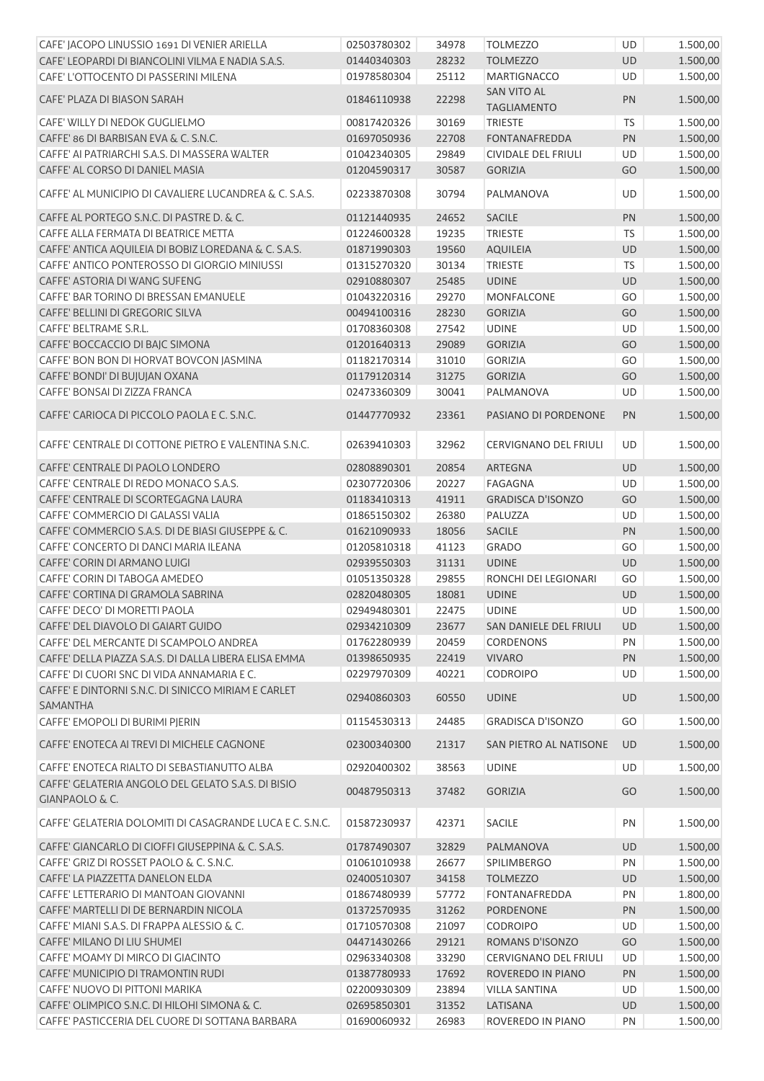| CAFE' JACOPO LINUSSIO 1691 DI VENIER ARIELLA                         | 02503780302 | 34978 | <b>TOLMEZZO</b>                   | UD        | 1.500,00 |
|----------------------------------------------------------------------|-------------|-------|-----------------------------------|-----------|----------|
| CAFE' LEOPARDI DI BIANCOLINI VILMA E NADIA S.A.S.                    | 01440340303 | 28232 | <b>TOLMEZZO</b>                   | <b>UD</b> | 1.500,00 |
| CAFE' L'OTTOCENTO DI PASSERINI MILENA                                | 01978580304 | 25112 | <b>MARTIGNACCO</b>                | UD        | 1.500,00 |
| CAFE' PLAZA DI BIASON SARAH                                          | 01846110938 | 22298 | SAN VITO AL<br><b>TAGLIAMENTO</b> | PN        | 1.500,00 |
| CAFE' WILLY DI NEDOK GUGLIELMO                                       | 00817420326 | 30169 | <b>TRIESTE</b>                    | <b>TS</b> | 1.500,00 |
| CAFFE' 86 DI BARBISAN EVA & C. S.N.C.                                | 01697050936 | 22708 | <b>FONTANAFREDDA</b>              | PN        | 1.500,00 |
| CAFFE' AI PATRIARCHI S.A.S. DI MASSERA WALTER                        | 01042340305 | 29849 | CIVIDALE DEL FRIULI               | <b>UD</b> | 1.500,00 |
| CAFFE' AL CORSO DI DANIEL MASIA                                      | 01204590317 | 30587 | <b>GORIZIA</b>                    | GO        | 1.500,00 |
| CAFFE' AL MUNICIPIO DI CAVALIERE LUCANDREA & C. S.A.S.               | 02233870308 | 30794 | PALMANOVA                         | UD        | 1.500,00 |
| CAFFE AL PORTEGO S.N.C. DI PASTRE D. & C.                            | 01121440935 | 24652 | <b>SACILE</b>                     | PN        | 1.500,00 |
| CAFFE ALLA FERMATA DI BEATRICE METTA                                 | 01224600328 | 19235 | <b>TRIESTE</b>                    | <b>TS</b> | 1.500,00 |
| CAFFE' ANTICA AQUILEIA DI BOBIZ LOREDANA & C. S.A.S.                 | 01871990303 | 19560 | <b>AQUILEIA</b>                   | UD        | 1.500,00 |
| CAFFE' ANTICO PONTEROSSO DI GIORGIO MINIUSSI                         | 01315270320 | 30134 | <b>TRIESTE</b>                    | <b>TS</b> | 1.500,00 |
| CAFFE' ASTORIA DI WANG SUFENG                                        | 02910880307 | 25485 | <b>UDINE</b>                      | UD        | 1.500,00 |
| CAFFE' BAR TORINO DI BRESSAN EMANUELE                                | 01043220316 | 29270 | <b>MONFALCONE</b>                 | GO        | 1.500,00 |
| CAFFE' BELLINI DI GREGORIC SILVA                                     | 00494100316 | 28230 | <b>GORIZIA</b>                    | GO        | 1.500,00 |
| CAFFE' BELTRAME S.R.L.                                               | 01708360308 | 27542 | <b>UDINE</b>                      | UD        | 1.500,00 |
| CAFFE' BOCCACCIO DI BAJC SIMONA                                      | 01201640313 | 29089 | <b>GORIZIA</b>                    | GO        | 1.500,00 |
| CAFFE' BON BON DI HORVAT BOVCON JASMINA                              | 01182170314 | 31010 | <b>GORIZIA</b>                    | GO        | 1.500,00 |
| CAFFE' BONDI' DI BUJUJAN OXANA                                       | 01179120314 | 31275 | <b>GORIZIA</b>                    | GO        | 1.500,00 |
| CAFFE' BONSAI DI ZIZZA FRANCA                                        | 02473360309 | 30041 | PALMANOVA                         | UD        | 1.500,00 |
|                                                                      |             |       |                                   |           |          |
| CAFFE' CARIOCA DI PICCOLO PAOLA E C. S.N.C.                          | 01447770932 | 23361 | PASIANO DI PORDENONE              | PN        | 1.500,00 |
| CAFFE' CENTRALE DI COTTONE PIETRO E VALENTINA S.N.C.                 | 02639410303 | 32962 | CERVIGNANO DEL FRIULI             | <b>UD</b> | 1.500,00 |
| CAFFE' CENTRALE DI PAOLO LONDERO                                     | 02808890301 | 20854 | ARTEGNA                           | UD        | 1.500,00 |
| CAFFE' CENTRALE DI REDO MONACO S.A.S.                                | 02307720306 | 20227 | FAGAGNA                           | UD        | 1.500,00 |
| CAFFE' CENTRALE DI SCORTEGAGNA LAURA                                 | 01183410313 | 41911 | <b>GRADISCA D'ISONZO</b>          | GO        | 1.500,00 |
| CAFFE' COMMERCIO DI GALASSI VALIA                                    | 01865150302 | 26380 | PALUZZA                           | UD        | 1.500,00 |
| CAFFE' COMMERCIO S.A.S. DI DE BIASI GIUSEPPE & C.                    | 01621090933 | 18056 | SACILE                            | PN        | 1.500,00 |
| CAFFE' CONCERTO DI DANCI MARIA ILEANA                                | 01205810318 | 41123 | <b>GRADO</b>                      | GO        | 1.500,00 |
| CAFFE' CORIN DI ARMANO LUIGI                                         | 02939550303 | 31131 | <b>UDINE</b>                      | <b>UD</b> | 1.500,00 |
| CAFFE' CORIN DI TABOGA AMEDEO                                        | 01051350328 | 29855 | RONCHI DEI LEGIONARI              | GO        | 1.500,00 |
| CAFFE' CORTINA DI GRAMOLA SABRINA                                    | 02820480305 | 18081 | <b>UDINE</b>                      | UD        | 1.500,00 |
| CAFFE' DECO' DI MORETTI PAOLA                                        | 02949480301 | 22475 | <b>UDINE</b>                      | UD        | 1.500,00 |
| CAFFE' DEL DIAVOLO DI GAIART GUIDO                                   | 02934210309 | 23677 | SAN DANIELE DEL FRIULI            | <b>UD</b> | 1.500,00 |
| CAFFE' DEL MERCANTE DI SCAMPOLO ANDREA                               | 01762280939 | 20459 | <b>CORDENONS</b>                  | PN        | 1.500,00 |
| CAFFE' DELLA PIAZZA S.A.S. DI DALLA LIBERA ELISA EMMA                | 01398650935 | 22419 | <b>VIVARO</b>                     | PN        | 1.500,00 |
| CAFFE' DI CUORI SNC DI VIDA ANNAMARIA E C.                           | 02297970309 | 40221 | <b>CODROIPO</b>                   | UD        | 1.500,00 |
| CAFFE' E DINTORNI S.N.C. DI SINICCO MIRIAM E CARLET<br>SAMANTHA      | 02940860303 | 60550 | <b>UDINE</b>                      | <b>UD</b> | 1.500,00 |
| CAFFE' EMOPOLI DI BURIMI PJERIN                                      | 01154530313 | 24485 | <b>GRADISCA D'ISONZO</b>          | GO        | 1.500,00 |
| CAFFE' ENOTECA AI TREVI DI MICHELE CAGNONE                           | 02300340300 | 21317 | SAN PIETRO AL NATISONE            | <b>UD</b> | 1.500,00 |
| CAFFE' ENOTECA RIALTO DI SEBASTIANUTTO ALBA                          | 02920400302 | 38563 | <b>UDINE</b>                      | UD        | 1.500,00 |
| CAFFE' GELATERIA ANGOLO DEL GELATO S.A.S. DI BISIO<br>GIANPAOLO & C. | 00487950313 | 37482 | <b>GORIZIA</b>                    | GO        | 1.500,00 |
| CAFFE' GELATERIA DOLOMITI DI CASAGRANDE LUCA E C. S.N.C.             | 01587230937 | 42371 | <b>SACILE</b>                     | PN        | 1.500,00 |
| CAFFE' GIANCARLO DI CIOFFI GIUSEPPINA & C. S.A.S.                    | 01787490307 | 32829 | PALMANOVA                         | UD        | 1.500,00 |
| CAFFE' GRIZ DI ROSSET PAOLO & C. S.N.C.                              | 01061010938 | 26677 | SPILIMBERGO                       | PN        | 1.500,00 |
| CAFFE' LA PIAZZETTA DANELON ELDA                                     | 02400510307 | 34158 | <b>TOLMEZZO</b>                   | <b>UD</b> | 1.500,00 |
| CAFFE' LETTERARIO DI MANTOAN GIOVANNI                                | 01867480939 | 57772 | <b>FONTANAFREDDA</b>              | PN        | 1.800,00 |
| CAFFE' MARTELLI DI DE BERNARDIN NICOLA                               | 01372570935 | 31262 | PORDENONE                         | PN        | 1.500,00 |
| CAFFE' MIANI S.A.S. DI FRAPPA ALESSIO & C.                           | 01710570308 | 21097 | <b>CODROIPO</b>                   | UD        | 1.500,00 |
| CAFFE' MILANO DI LIU SHUMEI                                          | 04471430266 | 29121 | ROMANS D'ISONZO                   | GO        | 1.500,00 |
| CAFFE' MOAMY DI MIRCO DI GIACINTO                                    | 02963340308 | 33290 | CERVIGNANO DEL FRIULI             | UD        | 1.500,00 |
| CAFFE' MUNICIPIO DI TRAMONTIN RUDI                                   | 01387780933 | 17692 | ROVEREDO IN PIANO                 | PN        | 1.500,00 |
| CAFFE' NUOVO DI PITTONI MARIKA                                       | 02200930309 | 23894 | <b>VILLA SANTINA</b>              | UD        | 1.500,00 |
| CAFFE' OLIMPICO S.N.C. DI HILOHI SIMONA & C.                         | 02695850301 | 31352 | LATISANA                          | UD        | 1.500,00 |
| CAFFE' PASTICCERIA DEL CUORE DI SOTTANA BARBARA                      | 01690060932 | 26983 | ROVEREDO IN PIANO                 | PN        | 1.500,00 |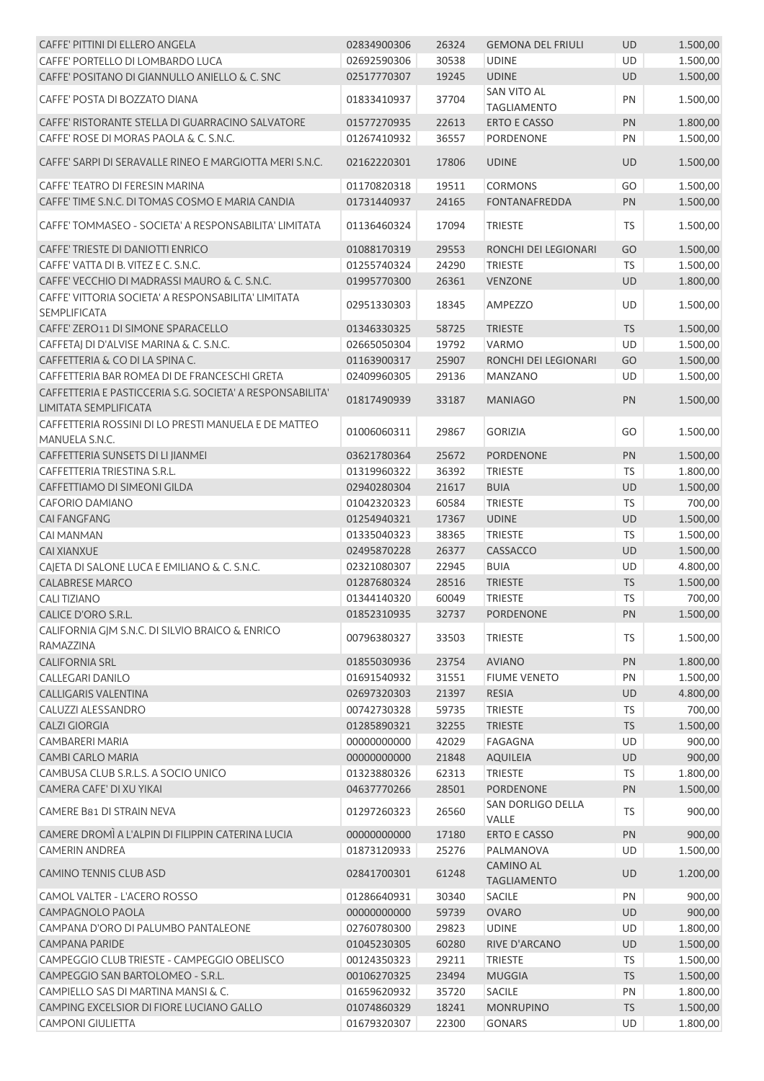| CAFFE' PITTINI DI ELLERO ANGELA                                                    | 02834900306 | 26324 | <b>GEMONA DEL FRIULI</b>               | <b>UD</b> | 1.500,00 |
|------------------------------------------------------------------------------------|-------------|-------|----------------------------------------|-----------|----------|
| CAFFE' PORTELLO DI LOMBARDO LUCA                                                   | 02692590306 | 30538 | <b>UDINE</b>                           | UD        | 1.500,00 |
| CAFFE' POSITANO DI GIANNULLO ANIELLO & C. SNC                                      | 02517770307 | 19245 | <b>UDINE</b>                           | <b>UD</b> | 1.500,00 |
| CAFFE' POSTA DI BOZZATO DIANA                                                      | 01833410937 | 37704 | SAN VITO AL<br><b>TAGLIAMENTO</b>      | PN        | 1.500,00 |
| CAFFE' RISTORANTE STELLA DI GUARRACINO SALVATORE                                   | 01577270935 | 22613 | <b>ERTO E CASSO</b>                    | PN        | 1.800,00 |
| CAFFE' ROSE DI MORAS PAOLA & C. S.N.C.                                             | 01267410932 | 36557 | PORDENONE                              | PN        | 1.500,00 |
| CAFFE' SARPI DI SERAVALLE RINEO E MARGIOTTA MERI S.N.C.                            | 02162220301 | 17806 | <b>UDINE</b>                           | <b>UD</b> | 1.500,00 |
| CAFFE' TEATRO DI FERESIN MARINA                                                    | 01170820318 | 19511 | <b>CORMONS</b>                         | GO        | 1.500,00 |
| CAFFE' TIME S.N.C. DI TOMAS COSMO E MARIA CANDIA                                   | 01731440937 | 24165 | <b>FONTANAFREDDA</b>                   | PN        | 1.500,00 |
| CAFFE' TOMMASEO - SOCIETA' A RESPONSABILITA' LIMITATA                              | 01136460324 | 17094 | <b>TRIESTE</b>                         | <b>TS</b> | 1.500,00 |
| CAFFE' TRIESTE DI DANIOTTI ENRICO                                                  | 01088170319 | 29553 | RONCHI DEI LEGIONARI                   | GO        | 1.500,00 |
| CAFFE' VATTA DI B. VITEZ E C. S.N.C.                                               | 01255740324 | 24290 | <b>TRIESTE</b>                         | TS        | 1.500,00 |
| CAFFE' VECCHIO DI MADRASSI MAURO & C. S.N.C.                                       | 01995770300 | 26361 | <b>VENZONE</b>                         | <b>UD</b> | 1.800,00 |
| CAFFE' VITTORIA SOCIETA' A RESPONSABILITA' LIMITATA                                |             |       |                                        |           |          |
| <b>SEMPLIFICATA</b>                                                                | 02951330303 | 18345 | <b>AMPEZZO</b>                         | UD        | 1.500,00 |
| CAFFE' ZERO11 DI SIMONE SPARACELLO                                                 | 01346330325 | 58725 | <b>TRIESTE</b>                         | <b>TS</b> | 1.500,00 |
| CAFFETAJ DI D'ALVISE MARINA & C. S.N.C.                                            | 02665050304 | 19792 | <b>VARMO</b>                           | <b>UD</b> | 1.500,00 |
| CAFFETTERIA & CO DI LA SPINA C.                                                    | 01163900317 | 25907 | RONCHI DEI LEGIONARI                   | GO        | 1.500,00 |
| CAFFETTERIA BAR ROMEA DI DE FRANCESCHI GRETA                                       | 02409960305 | 29136 | <b>MANZANO</b>                         | UD        | 1.500,00 |
| CAFFETTERIA E PASTICCERIA S.G. SOCIETA' A RESPONSABILITA'<br>LIMITATA SEMPLIFICATA | 01817490939 | 33187 | <b>MANIAGO</b>                         | PN        | 1.500,00 |
| CAFFETTERIA ROSSINI DI LO PRESTI MANUELA E DE MATTEO<br>MANUELA S.N.C.             | 01006060311 | 29867 | <b>GORIZIA</b>                         | GO        | 1.500,00 |
| CAFFETTERIA SUNSETS DI LI JIANMEI                                                  | 03621780364 | 25672 | <b>PORDENONE</b>                       | PN        | 1.500,00 |
| CAFFETTERIA TRIESTINA S.R.L.                                                       | 01319960322 | 36392 | <b>TRIESTE</b>                         | <b>TS</b> | 1.800,00 |
| CAFFETTIAMO DI SIMEONI GILDA                                                       | 02940280304 | 21617 | <b>BUIA</b>                            | UD        | 1.500,00 |
| <b>CAFORIO DAMIANO</b>                                                             | 01042320323 | 60584 | <b>TRIESTE</b>                         | <b>TS</b> | 700,00   |
| <b>CAI FANGFANG</b>                                                                | 01254940321 | 17367 | <b>UDINE</b>                           | <b>UD</b> | 1.500,00 |
| <b>CAI MANMAN</b>                                                                  | 01335040323 | 38365 | <b>TRIESTE</b>                         | <b>TS</b> | 1.500,00 |
| <b>CAI XIANXUE</b>                                                                 | 02495870228 | 26377 | CASSACCO                               | UD        | 1.500,00 |
| CAJETA DI SALONE LUCA E EMILIANO & C. S.N.C.                                       | 02321080307 | 22945 | <b>BUIA</b>                            | UD        | 4.800,00 |
| <b>CALABRESE MARCO</b>                                                             | 01287680324 | 28516 | <b>TRIESTE</b>                         | <b>TS</b> | 1.500,00 |
| <b>CALI TIZIANO</b>                                                                | 01344140320 | 60049 | <b>TRIESTE</b>                         | <b>TS</b> | 700,00   |
| CALICE D'ORO S.R.L.                                                                | 01852310935 | 32737 | PORDENONE                              | PN        | 1.500,00 |
| CALIFORNIA GJM S.N.C. DI SILVIO BRAICO & ENRICO                                    |             |       |                                        |           |          |
| RAMAZZINA                                                                          | 00796380327 | 33503 | <b>TRIESTE</b>                         | <b>TS</b> | 1.500,00 |
| <b>CALIFORNIA SRL</b>                                                              | 01855030936 | 23754 | <b>AVIANO</b>                          | PN        | 1.800,00 |
| <b>CALLEGARI DANILO</b>                                                            | 01691540932 | 31551 | <b>FIUME VENETO</b>                    | PN        | 1.500,00 |
| <b>CALLIGARIS VALENTINA</b>                                                        | 02697320303 | 21397 | <b>RESIA</b>                           | UD        | 4.800,00 |
| CALUZZI ALESSANDRO                                                                 | 00742730328 | 59735 | <b>TRIESTE</b>                         | <b>TS</b> | 700,00   |
| <b>CALZI GIORGIA</b>                                                               | 01285890321 | 32255 | <b>TRIESTE</b>                         | <b>TS</b> | 1.500,00 |
| <b>CAMBARERI MARIA</b>                                                             | 00000000000 | 42029 | FAGAGNA                                | UD        | 900,00   |
| <b>CAMBI CARLO MARIA</b>                                                           | 00000000000 | 21848 | <b>AQUILEIA</b>                        | UD        | 900,00   |
| CAMBUSA CLUB S.R.L.S. A SOCIO UNICO                                                | 01323880326 | 62313 | <b>TRIESTE</b>                         | <b>TS</b> | 1.800,00 |
| CAMERA CAFE' DI XU YIKAI                                                           | 04637770266 | 28501 | <b>PORDENONE</b>                       | PN        | 1.500,00 |
| CAMERE B81 DI STRAIN NEVA                                                          | 01297260323 | 26560 | SAN DORLIGO DELLA<br>VALLE             | TS.       | 900,00   |
| CAMERE DROMÌ A L'ALPIN DI FILIPPIN CATERINA LUCIA                                  | 00000000000 | 17180 | <b>ERTO E CASSO</b>                    | PN        | 900,00   |
| <b>CAMERIN ANDREA</b>                                                              | 01873120933 | 25276 | PALMANOVA                              | UD        | 1.500,00 |
| <b>CAMINO TENNIS CLUB ASD</b>                                                      | 02841700301 | 61248 | <b>CAMINO AL</b><br><b>TAGLIAMENTO</b> | <b>UD</b> | 1.200,00 |
| CAMOL VALTER - L'ACERO ROSSO                                                       | 01286640931 | 30340 | <b>SACILE</b>                          | PN        | 900,00   |
| CAMPAGNOLO PAOLA                                                                   | 00000000000 | 59739 | <b>OVARO</b>                           | <b>UD</b> | 900,00   |
| CAMPANA D'ORO DI PALUMBO PANTALEONE                                                | 02760780300 | 29823 | <b>UDINE</b>                           | UD        | 1.800,00 |
| <b>CAMPANA PARIDE</b>                                                              | 01045230305 | 60280 | RIVE D'ARCANO                          | UD        | 1.500,00 |
| CAMPEGGIO CLUB TRIESTE - CAMPEGGIO OBELISCO                                        | 00124350323 | 29211 | <b>TRIESTE</b>                         | <b>TS</b> | 1.500,00 |
| CAMPEGGIO SAN BARTOLOMEO - S.R.L.                                                  | 00106270325 | 23494 | <b>MUGGIA</b>                          | <b>TS</b> | 1.500,00 |
| CAMPIELLO SAS DI MARTINA MANSI & C.                                                | 01659620932 | 35720 | SACILE                                 | PN        | 1.800,00 |
| CAMPING EXCELSIOR DI FIORE LUCIANO GALLO                                           | 01074860329 | 18241 | <b>MONRUPINO</b>                       | <b>TS</b> | 1.500,00 |
| <b>CAMPONI GIULIETTA</b>                                                           | 01679320307 | 22300 | GONARS                                 | UD        | 1.800,00 |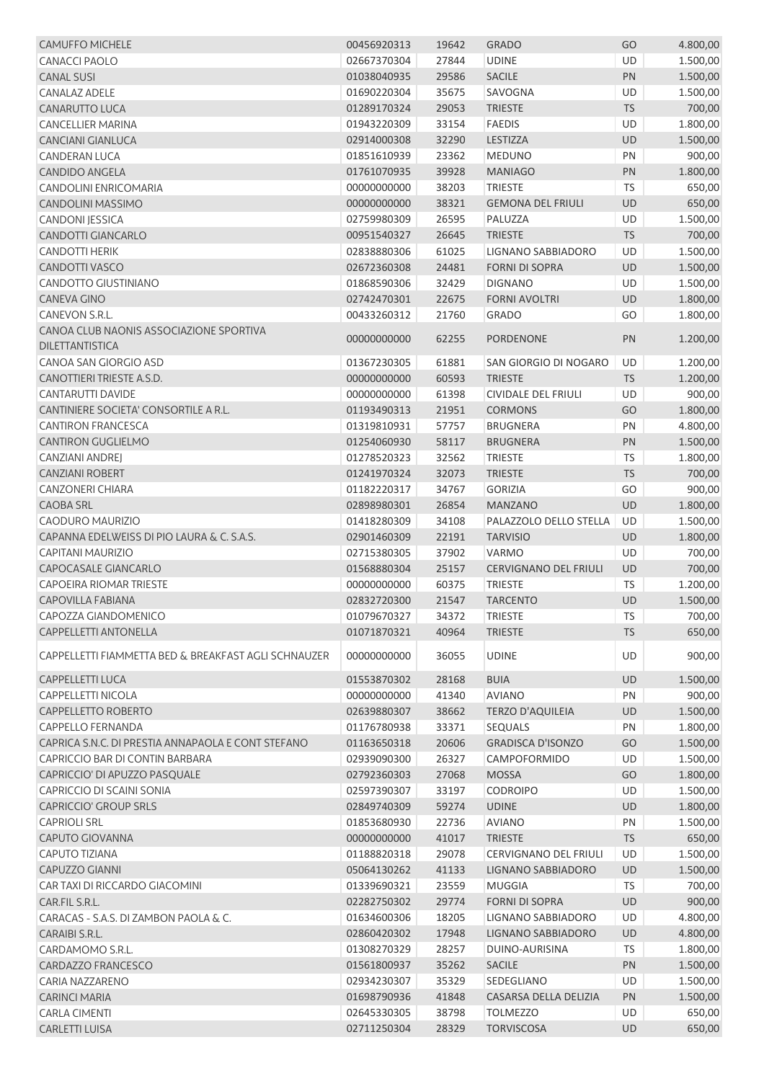| <b>CAMUFFO MICHELE</b>                               | 00456920313 | 19642 | <b>GRADO</b>                 | GO        | 4.800,00           |
|------------------------------------------------------|-------------|-------|------------------------------|-----------|--------------------|
| <b>CANACCI PAOLO</b>                                 | 02667370304 | 27844 | <b>UDINE</b>                 | <b>UD</b> | 1.500,00           |
| <b>CANAL SUSI</b>                                    | 01038040935 | 29586 | <b>SACILE</b>                | PN        | 1.500,00           |
| <b>CANALAZ ADELE</b>                                 | 01690220304 | 35675 | SAVOGNA                      | UD        | 1.500,00           |
| <b>CANARUTTO LUCA</b>                                | 01289170324 | 29053 | <b>TRIESTE</b>               | <b>TS</b> | 700,00             |
| CANCELLIER MARINA                                    | 01943220309 | 33154 | <b>FAEDIS</b>                | UD        | 1.800,00           |
| <b>CANCIANI GIANLUCA</b>                             | 02914000308 | 32290 | LESTIZZA                     | <b>UD</b> | 1.500,00           |
| <b>CANDERAN LUCA</b>                                 | 01851610939 | 23362 | <b>MEDUNO</b>                | PN        | 900,00             |
| <b>CANDIDO ANGELA</b>                                | 01761070935 | 39928 | <b>MANIAGO</b>               | PN        | 1.800,00           |
| <b>CANDOLINI ENRICOMARIA</b>                         | 00000000000 | 38203 | <b>TRIESTE</b>               | <b>TS</b> | 650,00             |
| CANDOLINI MASSIMO                                    | 00000000000 | 38321 | <b>GEMONA DEL FRIULI</b>     | UD        | 650,00             |
| CANDONI JESSICA                                      | 02759980309 | 26595 | PALUZZA                      | UD        | 1.500,00           |
| CANDOTTI GIANCARLO                                   | 00951540327 | 26645 | <b>TRIESTE</b>               | <b>TS</b> | 700,00             |
| <b>CANDOTTI HERIK</b>                                | 02838880306 | 61025 | LIGNANO SABBIADORO           | UD        | 1.500,00           |
| CANDOTTI VASCO                                       | 02672360308 | 24481 | <b>FORNI DI SOPRA</b>        | UD        | 1.500,00           |
| <b>CANDOTTO GIUSTINIANO</b>                          | 01868590306 | 32429 | <b>DIGNANO</b>               | UD        | 1.500,00           |
| <b>CANEVA GINO</b>                                   | 02742470301 | 22675 | <b>FORNI AVOLTRI</b>         | UD        | 1.800,00           |
| CANEVON S.R.L.                                       | 00433260312 | 21760 | <b>GRADO</b>                 | GO        | 1.800,00           |
| CANOA CLUB NAONIS ASSOCIAZIONE SPORTIVA              |             |       |                              |           |                    |
| <b>DILETTANTISTICA</b>                               | 00000000000 | 62255 | <b>PORDENONE</b>             | PN        | 1.200,00           |
| CANOA SAN GIORGIO ASD                                |             |       |                              | UD        |                    |
| CANOTTIERI TRIESTE A.S.D.                            | 01367230305 | 61881 | SAN GIORGIO DI NOGARO        | <b>TS</b> | 1.200,00           |
|                                                      | 00000000000 | 60593 | <b>TRIESTE</b>               |           | 1.200,00           |
| CANTARUTTI DAVIDE                                    | 00000000000 | 61398 | CIVIDALE DEL FRIULI          | UD        | 900,00             |
| CANTINIERE SOCIETA' CONSORTILE A R.L.                | 01193490313 | 21951 | <b>CORMONS</b>               | GO        | 1.800,00           |
| <b>CANTIRON FRANCESCA</b>                            | 01319810931 | 57757 | <b>BRUGNERA</b>              | PN        | 4.800,00           |
| <b>CANTIRON GUGLIELMO</b>                            | 01254060930 | 58117 | <b>BRUGNERA</b>              | PN        | 1.500,00           |
| CANZIANI ANDREJ                                      | 01278520323 | 32562 | <b>TRIESTE</b>               | <b>TS</b> | 1.800,00           |
| <b>CANZIANI ROBERT</b>                               | 01241970324 | 32073 | <b>TRIESTE</b>               | TS        | 700,00             |
| <b>CANZONERI CHIARA</b>                              | 01182220317 | 34767 | <b>GORIZIA</b>               | GO        | 900,00             |
| <b>CAOBA SRL</b>                                     | 02898980301 | 26854 | <b>MANZANO</b>               | <b>UD</b> | 1.800,00           |
| <b>CAODURO MAURIZIO</b>                              | 01418280309 | 34108 | PALAZZOLO DELLO STELLA       | UD        | 1.500,00           |
| CAPANNA EDELWEISS DI PIO LAURA & C. S.A.S.           | 02901460309 | 22191 | <b>TARVISIO</b>              | UD        | 1.800,00           |
| <b>CAPITANI MAURIZIO</b>                             | 02715380305 | 37902 | VARMO                        | UD        | 700,00             |
| CAPOCASALE GIANCARLO                                 | 01568880304 | 25157 | <b>CERVIGNANO DEL FRIULI</b> | <b>UD</b> | 700,00             |
| <b>CAPOEIRA RIOMAR TRIESTE</b>                       | 00000000000 | 60375 | <b>TRIESTE</b>               | TS.       | 1.200,00           |
| <b>CAPOVILLA FABIANA</b>                             | 02832720300 | 21547 | <b>TARCENTO</b>              | <b>UD</b> | 1.500,00           |
| CAPOZZA GIANDOMENICO                                 | 01079670327 | 34372 | TRIESTE                      | <b>TS</b> | 700,00             |
| <b>CAPPELLETTI ANTONELLA</b>                         | 01071870321 | 40964 | <b>TRIESTE</b>               | <b>TS</b> | 650,00             |
| CAPPELLETTI FIAMMETTA BED & BREAKFAST AGLI SCHNAUZER | 00000000000 | 36055 | <b>UDINE</b>                 | UD        | 900,00             |
| <b>CAPPELLETTI LUCA</b>                              | 01553870302 | 28168 | <b>BUIA</b>                  | UD        | 1.500,00           |
| <b>CAPPELLETTI NICOLA</b>                            | 00000000000 | 41340 | <b>AVIANO</b>                | PN        | 900,00             |
| CAPPELLETTO ROBERTO                                  | 02639880307 | 38662 | <b>TERZO D'AQUILEIA</b>      | UD        | 1.500,00           |
| <b>CAPPELLO FERNANDA</b>                             | 01176780938 | 33371 | <b>SEQUALS</b>               | PN        | 1.800,00           |
| CAPRICA S.N.C. DI PRESTIA ANNAPAOLA E CONT STEFANO   | 01163650318 | 20606 | <b>GRADISCA D'ISONZO</b>     | GO        | 1.500,00           |
| CAPRICCIO BAR DI CONTIN BARBARA                      | 02939090300 | 26327 | CAMPOFORMIDO                 | UD        | 1.500,00           |
| CAPRICCIO' DI APUZZO PASQUALE                        | 02792360303 | 27068 | <b>MOSSA</b>                 | GO        | 1.800,00           |
| CAPRICCIO DI SCAINI SONIA                            | 02597390307 | 33197 | <b>CODROIPO</b>              | UD        | 1.500,00           |
| <b>CAPRICCIO' GROUP SRLS</b>                         | 02849740309 | 59274 | <b>UDINE</b>                 | UD        | 1.800,00           |
| <b>CAPRIOLI SRL</b>                                  | 01853680930 | 22736 | <b>AVIANO</b>                | PN        |                    |
| CAPUTO GIOVANNA                                      | 00000000000 | 41017 |                              | <b>TS</b> | 1.500,00<br>650,00 |
|                                                      |             |       | <b>TRIESTE</b>               |           |                    |
| <b>CAPUTO TIZIANA</b><br><b>CAPUZZO GIANNI</b>       | 01188820318 | 29078 | CERVIGNANO DEL FRIULI        | UD        | 1.500,00           |
|                                                      | 05064130262 | 41133 | LIGNANO SABBIADORO           | UD        | 1.500,00           |
| CAR TAXI DI RICCARDO GIACOMINI                       | 01339690321 | 23559 | MUGGIA                       | <b>TS</b> | 700,00             |
| CAR.FIL S.R.L.                                       | 02282750302 | 29774 | <b>FORNI DI SOPRA</b>        | <b>UD</b> | 900,00             |
| CARACAS - S.A.S. DI ZAMBON PAOLA & C.                | 01634600306 | 18205 | LIGNANO SABBIADORO           | UD        | 4.800,00           |
| CARAIBI S.R.L.                                       | 02860420302 | 17948 | LIGNANO SABBIADORO           | UD        | 4.800,00           |
| CARDAMOMO S.R.L.                                     | 01308270329 | 28257 | DUINO-AURISINA               | <b>TS</b> | 1.800,00           |
| CARDAZZO FRANCESCO                                   | 01561800937 | 35262 | <b>SACILE</b>                | PN        | 1.500,00           |
| CARIA NAZZARENO                                      | 02934230307 | 35329 | SEDEGLIANO                   | UD        | 1.500,00           |
| <b>CARINCI MARIA</b>                                 | 01698790936 | 41848 | CASARSA DELLA DELIZIA        | PN        | 1.500,00           |
| <b>CARLA CIMENTI</b>                                 | 02645330305 | 38798 | <b>TOLMEZZO</b>              | UD        | 650,00             |
| CARLETTI LUISA                                       | 02711250304 | 28329 | <b>TORVISCOSA</b>            | <b>UD</b> | 650,00             |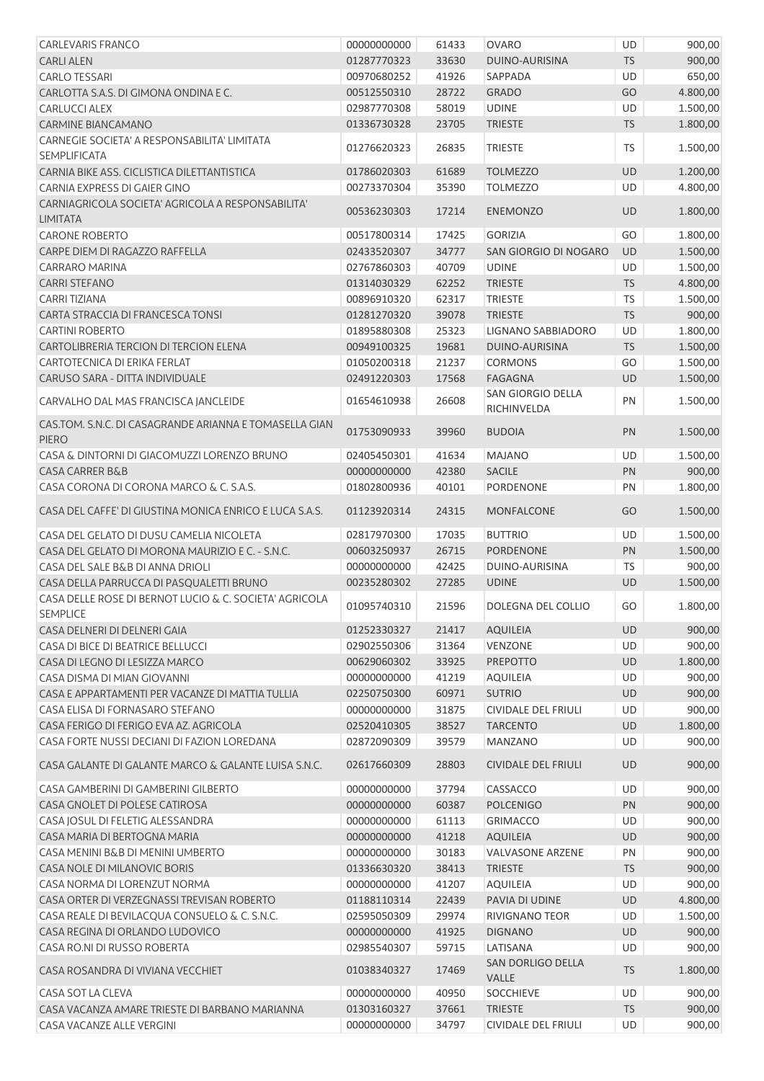| <b>CARLEVARIS FRANCO</b>                                                                           | 00000000000 | 61433          | <b>OVARO</b>                       | UD              | 900,00               |
|----------------------------------------------------------------------------------------------------|-------------|----------------|------------------------------------|-----------------|----------------------|
| <b>CARLI ALEN</b>                                                                                  | 01287770323 | 33630          | DUINO-AURISINA                     | <b>TS</b>       | 900,00               |
| <b>CARLO TESSARI</b>                                                                               | 00970680252 | 41926          | SAPPADA                            | UD              | 650,00               |
| CARLOTTA S.A.S. DI GIMONA ONDINA E C.                                                              | 00512550310 | 28722          | <b>GRADO</b>                       | GO              | 4.800,00             |
| <b>CARLUCCI ALEX</b>                                                                               | 02987770308 | 58019          | <b>UDINE</b>                       | UD              | 1.500,00             |
| <b>CARMINE BIANCAMANO</b>                                                                          | 01336730328 | 23705          | <b>TRIESTE</b>                     | <b>TS</b>       | 1.800,00             |
| CARNEGIE SOCIETA' A RESPONSABILITA' LIMITATA<br><b>SEMPLIFICATA</b>                                | 01276620323 | 26835          | <b>TRIESTE</b>                     | TS              | 1.500,00             |
| CARNIA BIKE ASS. CICLISTICA DILETTANTISTICA                                                        | 01786020303 | 61689          | <b>TOLMEZZO</b>                    | UD              | 1.200,00             |
| CARNIA EXPRESS DI GAIER GINO                                                                       | 00273370304 | 35390          | <b>TOLMEZZO</b>                    | UD              | 4.800,00             |
| CARNIAGRICOLA SOCIETA' AGRICOLA A RESPONSABILITA'                                                  | 00536230303 | 17214          | <b>ENEMONZO</b>                    | <b>UD</b>       | 1.800,00             |
| LIMITATA<br><b>CARONE ROBERTO</b>                                                                  |             |                |                                    | GO              |                      |
|                                                                                                    | 00517800314 | 17425          | <b>GORIZIA</b>                     |                 | 1.800,00             |
| CARPE DIEM DI RAGAZZO RAFFELLA                                                                     | 02433520307 | 34777          | SAN GIORGIO DI NOGARO              | <b>UD</b>       | 1.500,00             |
| <b>CARRARO MARINA</b>                                                                              | 02767860303 | 40709          | <b>UDINE</b>                       | UD              | 1.500,00             |
| <b>CARRI STEFANO</b>                                                                               | 01314030329 | 62252          | <b>TRIESTE</b>                     | <b>TS</b>       | 4.800,00             |
| <b>CARRITIZIANA</b>                                                                                | 00896910320 | 62317          | <b>TRIESTE</b>                     | TS              | 1.500,00             |
| CARTA STRACCIA DI FRANCESCA TONSI                                                                  | 01281270320 | 39078          | <b>TRIESTE</b>                     | <b>TS</b>       | 900,00               |
| <b>CARTINI ROBERTO</b>                                                                             | 01895880308 | 25323          | LIGNANO SABBIADORO                 | UD              | 1.800,00             |
| CARTOLIBRERIA TERCION DI TERCION ELENA                                                             | 00949100325 | 19681          | DUINO-AURISINA                     | <b>TS</b>       | 1.500,00             |
| CARTOTECNICA DI ERIKA FERLAT                                                                       | 01050200318 | 21237          | <b>CORMONS</b>                     | GO              | 1.500,00             |
| CARUSO SARA - DITTA INDIVIDUALE                                                                    | 02491220303 | 17568          | <b>FAGAGNA</b>                     | <b>UD</b>       | 1.500,00             |
| CARVALHO DAL MAS FRANCISCA JANCLEIDE                                                               | 01654610938 | 26608          | SAN GIORGIO DELLA<br>RICHINVELDA   | PN              | 1.500,00             |
| CAS.TOM. S.N.C. DI CASAGRANDE ARIANNA E TOMASELLA GIAN<br><b>PIERO</b>                             | 01753090933 | 39960          | <b>BUDOIA</b>                      | PN              | 1.500,00             |
| CASA & DINTORNI DI GIACOMUZZI LORENZO BRUNO                                                        | 02405450301 | 41634          | <b>MAJANO</b>                      | UD              | 1.500,00             |
| <b>CASA CARRER B&amp;B</b>                                                                         | 00000000000 | 42380          | <b>SACILE</b>                      | PN              | 900,00               |
| CASA CORONA DI CORONA MARCO & C. S.A.S.                                                            | 01802800936 | 40101          | PORDENONE                          | PN              | 1.800,00             |
| CASA DEL CAFFE' DI GIUSTINA MONICA ENRICO E LUCA S.A.S.                                            | 01123920314 | 24315          | MONFALCONE                         | GO              | 1.500,00             |
| CASA DEL GELATO DI DUSU CAMELIA NICOLETA                                                           | 02817970300 | 17035          | <b>BUTTRIO</b>                     | UD              | 1.500,00             |
| CASA DEL GELATO DI MORONA MAURIZIO E C. - S.N.C.                                                   | 00603250937 | 26715          | <b>PORDENONE</b>                   | PN              |                      |
| CASA DEL SALE B&B DI ANNA DRIOLI                                                                   | 00000000000 | 42425          | DUINO-AURISINA                     | TS.             | 1.500,00<br>900,00   |
|                                                                                                    | 00235280302 |                |                                    |                 |                      |
| CASA DELLA PARRUCCA DI PASQUALETTI BRUNO<br>CASA DELLE ROSE DI BERNOT LUCIO & C. SOCIETA' AGRICOLA | 01095740310 | 27285<br>21596 | <b>UDINE</b><br>DOLEGNA DEL COLLIO | <b>UD</b><br>GO | 1.500,00<br>1.800,00 |
| <b>SEMPLICE</b>                                                                                    |             |                |                                    |                 |                      |
| CASA DELNERI DI DELNERI GAIA                                                                       | 01252330327 | 21417          | <b>AQUILEIA</b>                    | UD              | 900,00               |
| CASA DI BICE DI BEATRICE BELLUCCI                                                                  | 02902550306 | 31364          | <b>VENZONE</b>                     | UD              | 900,00               |
| CASA DI LEGNO DI LESIZZA MARCO                                                                     | 00629060302 | 33925          | <b>PREPOTTO</b>                    | UD              | 1.800,00             |
| CASA DISMA DI MIAN GIOVANNI                                                                        | 00000000000 | 41219          | <b>AQUILEIA</b>                    | UD              | 900,00               |
| CASA E APPARTAMENTI PER VACANZE DI MATTIA TULLIA                                                   | 02250750300 | 60971          | <b>SUTRIO</b>                      | UD              | 900,00               |
| CASA ELISA DI FORNASARO STEFANO                                                                    | 00000000000 | 31875          | CIVIDALE DEL FRIULI                | UD              | 900,00               |
| CASA FERIGO DI FERIGO EVA AZ. AGRICOLA                                                             | 02520410305 | 38527          | <b>TARCENTO</b>                    | UD              | 1.800,00             |
| CASA FORTE NUSSI DECIANI DI FAZION LOREDANA                                                        | 02872090309 | 39579          | <b>MANZANO</b>                     | UD              | 900,00               |
| CASA GALANTE DI GALANTE MARCO & GALANTE LUISA S.N.C.                                               | 02617660309 | 28803          | <b>CIVIDALE DEL FRIULI</b>         | <b>UD</b>       | 900,00               |
| CASA GAMBERINI DI GAMBERINI GILBERTO                                                               | 00000000000 | 37794          | CASSACCO                           | UD              | 900,00               |
| CASA GNOLET DI POLESE CATIROSA                                                                     | 00000000000 | 60387          | <b>POLCENIGO</b>                   | PN              | 900,00               |
| CASA JOSUL DI FELETIG ALESSANDRA                                                                   | 00000000000 | 61113          | <b>GRIMACCO</b>                    | UD              | 900,00               |
| CASA MARIA DI BERTOGNA MARIA                                                                       | 00000000000 | 41218          | AQUILEIA                           | <b>UD</b>       | 900,00               |
| CASA MENINI B&B DI MENINI UMBERTO                                                                  | 00000000000 | 30183          | <b>VALVASONE ARZENE</b>            | PN              | 900,00               |
| CASA NOLE DI MILANOVIC BORIS                                                                       | 01336630320 | 38413          | <b>TRIESTE</b>                     | <b>TS</b>       | 900,00               |
| CASA NORMA DI LORENZUT NORMA                                                                       | 00000000000 | 41207          | <b>AQUILEIA</b>                    | UD              | 900,00               |
| CASA ORTER DI VERZEGNASSI TREVISAN ROBERTO                                                         | 01188110314 | 22439          | PAVIA DI UDINE                     | UD              | 4.800,00             |
| CASA REALE DI BEVILACQUA CONSUELO & C. S.N.C.                                                      | 02595050309 | 29974          | RIVIGNANO TEOR                     | UD              | 1.500,00             |
| CASA REGINA DI ORLANDO LUDOVICO                                                                    | 00000000000 | 41925          | <b>DIGNANO</b>                     | UD              | 900,00               |
| CASA RO.NI DI RUSSO ROBERTA                                                                        | 02985540307 | 59715          | LATISANA                           | UD              | 900,00               |
|                                                                                                    |             |                | SAN DORLIGO DELLA                  |                 |                      |
| CASA ROSANDRA DI VIVIANA VECCHIET                                                                  | 01038340327 | 17469          | VALLE                              | <b>TS</b>       | 1.800,00             |
| CASA SOT LA CLEVA                                                                                  | 00000000000 | 40950          | <b>SOCCHIEVE</b>                   | UD              | 900,00               |
| CASA VACANZA AMARE TRIESTE DI BARBANO MARIANNA                                                     | 01303160327 | 37661          | <b>TRIESTE</b>                     | <b>TS</b>       | 900,00               |
| CASA VACANZE ALLE VERGINI                                                                          | 00000000000 | 34797          | CIVIDALE DEL FRIULI                | UD              | 900,00               |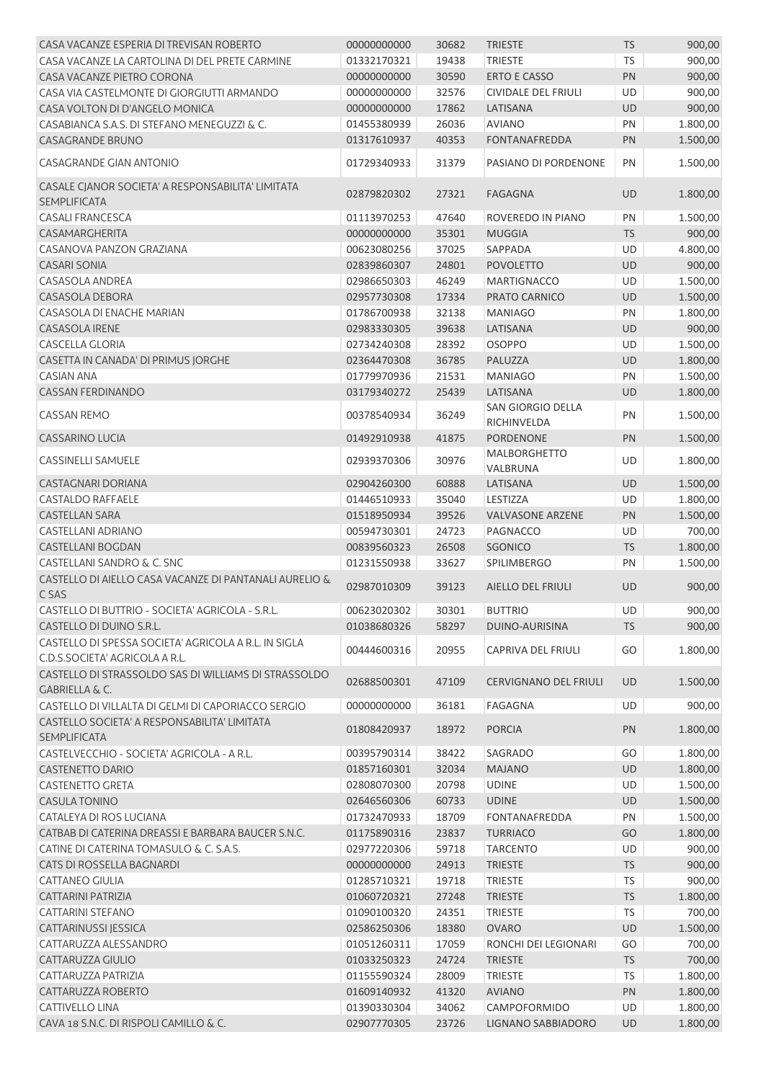| CASA VACANZE ESPERIA DI TREVISAN ROBERTO                                               | 00000000000 | 30682 | <b>TRIESTE</b>                  | <b>TS</b> | 900,00   |
|----------------------------------------------------------------------------------------|-------------|-------|---------------------------------|-----------|----------|
| CASA VACANZE LA CARTOLINA DI DEL PRETE CARMINE                                         | 01332170321 | 19438 | <b>TRIESTE</b>                  | <b>TS</b> | 900,00   |
| CASA VACANZE PIETRO CORONA                                                             | 00000000000 | 30590 | <b>ERTO E CASSO</b>             | PN        | 900,00   |
| CASA VIA CASTELMONTE DI GIORGIUTTI ARMANDO                                             | 00000000000 | 32576 | CIVIDALE DEL FRIULI             | UD        | 900,00   |
| CASA VOLTON DI D'ANGELO MONICA                                                         | 00000000000 | 17862 | LATISANA                        | <b>UD</b> | 900,00   |
| CASABIANCA S.A.S. DI STEFANO MENEGUZZI & C.                                            | 01455380939 | 26036 | <b>AVIANO</b>                   | PN        | 1.800,00 |
| <b>CASAGRANDE BRUNO</b>                                                                | 01317610937 | 40353 | <b>FONTANAFREDDA</b>            | PN        | 1.500,00 |
| <b>CASAGRANDE GIAN ANTONIO</b>                                                         | 01729340933 | 31379 | PASIANO DI PORDENONE            | PN        | 1.500,00 |
| CASALE CJANOR SOCIETA' A RESPONSABILITA' LIMITATA<br><b>SEMPLIFICATA</b>               | 02879820302 | 27321 | <b>FAGAGNA</b>                  | UD        | 1.800,00 |
| <b>CASALI FRANCESCA</b>                                                                | 01113970253 | 47640 | ROVEREDO IN PIANO               | PN        | 1.500,00 |
| CASAMARGHERITA                                                                         | 00000000000 | 35301 | <b>MUGGIA</b>                   | <b>TS</b> | 900,00   |
| CASANOVA PANZON GRAZIANA                                                               | 00623080256 | 37025 | SAPPADA                         | UD        | 4.800,00 |
| <b>CASARI SONIA</b>                                                                    | 02839860307 | 24801 | <b>POVOLETTO</b>                | UD        | 900,00   |
| <b>CASASOLA ANDREA</b>                                                                 | 02986650303 | 46249 | <b>MARTIGNACCO</b>              | UD        | 1.500,00 |
| CASASOLA DEBORA                                                                        | 02957730308 | 17334 | PRATO CARNICO                   | UD        | 1.500,00 |
| <b>CASASOLA DI ENACHE MARIAN</b>                                                       | 01786700938 | 32138 | <b>MANIAGO</b>                  | PN        | 1.800,00 |
| <b>CASASOLA IRENE</b>                                                                  | 02983330305 | 39638 | LATISANA                        | <b>UD</b> | 900,00   |
| <b>CASCELLA GLORIA</b>                                                                 | 02734240308 | 28392 | <b>OSOPPO</b>                   | UD        | 1.500,00 |
| CASETTA IN CANADA' DI PRIMUS JORGHE                                                    | 02364470308 | 36785 | PALUZZA                         | UD        | 1.800,00 |
| <b>CASIAN ANA</b>                                                                      | 01779970936 | 21531 | <b>MANIAGO</b>                  | PN        | 1.500,00 |
| <b>CASSAN FERDINANDO</b>                                                               | 03179340272 | 25439 | LATISANA                        | <b>UD</b> | 1.800,00 |
|                                                                                        |             |       | <b>SAN GIORGIO DELLA</b>        |           |          |
| <b>CASSAN REMO</b>                                                                     | 00378540934 | 36249 | RICHINVELDA                     | PN        | 1.500,00 |
| <b>CASSARINO LUCIA</b>                                                                 | 01492910938 | 41875 | PORDENONE                       | PN        | 1.500,00 |
| CASSINELLI SAMUELE                                                                     | 02939370306 | 30976 | <b>MALBORGHETTO</b><br>VALBRUNA | UD        | 1.800,00 |
| CASTAGNARI DORIANA                                                                     | 02904260300 | 60888 | LATISANA                        | UD        | 1.500,00 |
| CASTALDO RAFFAELE                                                                      | 01446510933 | 35040 | LESTIZZA                        | UD        | 1.800,00 |
| <b>CASTELLAN SARA</b>                                                                  | 01518950934 | 39526 | <b>VALVASONE ARZENE</b>         | PN        | 1.500,00 |
| <b>CASTELLANI ADRIANO</b>                                                              | 00594730301 | 24723 | PAGNACCO                        | UD        | 700,00   |
| <b>CASTELLANI BOGDAN</b>                                                               | 00839560323 | 26508 | <b>SGONICO</b>                  | <b>TS</b> | 1.800,00 |
| CASTELLANI SANDRO & C. SNC                                                             | 01231550938 | 33627 | <b>SPILIMBERGO</b>              | PN        | 1.500,00 |
| CASTELLO DI AIELLO CASA VACANZE DI PANTANALI AURELIO &<br>C SAS                        | 02987010309 | 39123 | <b>AIELLO DEL FRIULI</b>        | <b>UD</b> | 900,00   |
|                                                                                        | 00623020302 |       | <b>BUTTRIO</b>                  |           |          |
| CASTELLO DI BUTTRIO - SOCIETA' AGRICOLA - S.R.L                                        |             | 30301 |                                 | UD        | 900,00   |
| CASTELLO DI DUINO S.R.L.                                                               | 01038680326 | 58297 | DUINO-AURISINA                  | <b>TS</b> | 900,00   |
| CASTELLO DI SPESSA SOCIETA' AGRICOLA A R.L. IN SIGLA<br>C.D.S.SOCIETA' AGRICOLA A R.L. | 00444600316 | 20955 | CAPRIVA DEL FRIULI              | GO        | 1.800,00 |
| CASTELLO DI STRASSOLDO SAS DI WILLIAMS DI STRASSOLDO<br><b>GABRIELLA &amp; C.</b>      | 02688500301 | 47109 | <b>CERVIGNANO DEL FRIULI</b>    | UD        | 1.500,00 |
| CASTELLO DI VILLALTA DI GELMI DI CAPORIACCO SERGIO                                     | 00000000000 | 36181 | <b>FAGAGNA</b>                  | <b>UD</b> | 900,00   |
| CASTELLO SOCIETA' A RESPONSABILITA' LIMITATA<br><b>SEMPLIFICATA</b>                    | 01808420937 | 18972 | <b>PORCIA</b>                   | PN        | 1.800,00 |
| CASTELVECCHIO - SOCIETA' AGRICOLA - A R.L.                                             | 00395790314 | 38422 | SAGRADO                         | GO        | 1.800,00 |
| <b>CASTENETTO DARIO</b>                                                                | 01857160301 | 32034 | <b>MAJANO</b>                   | UD        | 1.800,00 |
| <b>CASTENETTO GRETA</b>                                                                | 02808070300 | 20798 | <b>UDINE</b>                    | UD        | 1.500,00 |
| <b>CASULA TONINO</b>                                                                   | 02646560306 | 60733 | <b>UDINE</b>                    | UD        | 1.500,00 |
| CATALEYA DI ROS LUCIANA                                                                | 01732470933 | 18709 | FONTANAFREDDA                   | PN        | 1.500,00 |
| CATBAB DI CATERINA DREASSI E BARBARA BAUCER S.N.C.                                     | 01175890316 | 23837 | <b>TURRIACO</b>                 | GO        | 1.800,00 |
| CATINE DI CATERINA TOMASULO & C. S.A.S.                                                | 02977220306 | 59718 | <b>TARCENTO</b>                 | UD        | 900,00   |
| CATS DI ROSSELLA BAGNARDI                                                              | 00000000000 | 24913 | <b>TRIESTE</b>                  | <b>TS</b> | 900,00   |
| <b>CATTANEO GIULIA</b>                                                                 | 01285710321 | 19718 | <b>TRIESTE</b>                  | <b>TS</b> | 900,00   |
|                                                                                        |             |       |                                 |           |          |
| <b>CATTARINI PATRIZIA</b>                                                              | 01060720321 | 27248 | <b>TRIESTE</b>                  | <b>TS</b> | 1.800,00 |
| <b>CATTARINI STEFANO</b>                                                               | 01090100320 | 24351 | <b>TRIESTE</b>                  | <b>TS</b> | 700,00   |
| CATTARINUSSI JESSICA                                                                   | 02586250306 | 18380 | <b>OVARO</b>                    | UD        | 1.500,00 |
| CATTARUZZA ALESSANDRO                                                                  | 01051260311 | 17059 | RONCHI DEI LEGIONARI            | GO        | 700,00   |
| CATTARUZZA GIULIO                                                                      | 01033250323 | 24724 | <b>TRIESTE</b>                  | <b>TS</b> | 700,00   |
| CATTARUZZA PATRIZIA                                                                    | 01155590324 | 28009 | <b>TRIESTE</b>                  | <b>TS</b> | 1.800,00 |
| CATTARUZZA ROBERTO                                                                     | 01609140932 | 41320 | <b>AVIANO</b>                   | PN        | 1.800,00 |
| <b>CATTIVELLO LINA</b>                                                                 | 01390330304 | 34062 | CAMPOFORMIDO                    | UD        | 1.800,00 |
| CAVA 18 S.N.C. DI RISPOLI CAMILLO & C.                                                 | 02907770305 | 23726 | LIGNANO SABBIADORO              | UD        | 1.800,00 |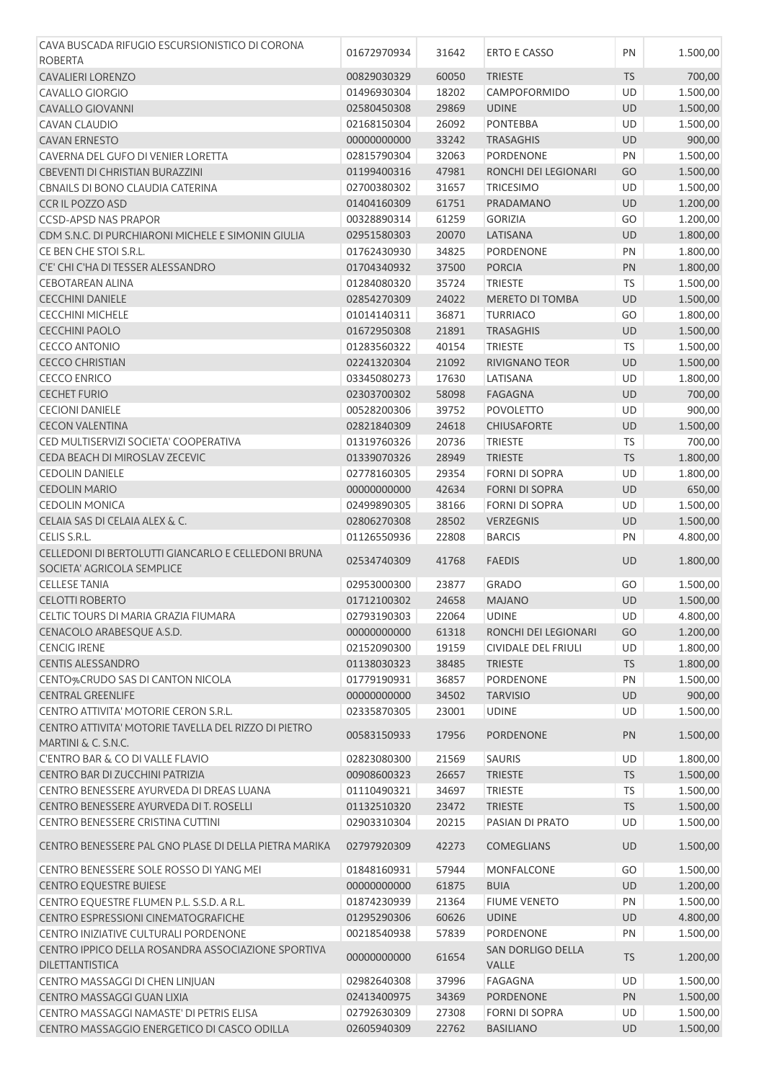| CAVA BUSCADA RIFUGIO ESCURSIONISTICO DI CORONA                              |                            |                |                                                    |                 |                      |
|-----------------------------------------------------------------------------|----------------------------|----------------|----------------------------------------------------|-----------------|----------------------|
| <b>ROBERTA</b>                                                              | 01672970934                | 31642          | <b>ERTO E CASSO</b>                                | PN              | 1.500,00             |
| <b>CAVALIERI LORENZO</b>                                                    | 00829030329                | 60050          | <b>TRIESTE</b>                                     | <b>TS</b>       | 700,00               |
| <b>CAVALLO GIORGIO</b>                                                      | 01496930304                | 18202          | CAMPOFORMIDO                                       | <b>UD</b>       | 1.500,00             |
| <b>CAVALLO GIOVANNI</b>                                                     | 02580450308                | 29869          | <b>UDINE</b>                                       | <b>UD</b>       | 1.500,00             |
| CAVAN CLAUDIO                                                               | 02168150304                | 26092          | <b>PONTEBBA</b>                                    | <b>UD</b>       | 1.500,00             |
| <b>CAVAN ERNESTO</b>                                                        | 00000000000                | 33242          | <b>TRASAGHIS</b>                                   | <b>UD</b>       | 900,00               |
| CAVERNA DEL GUFO DI VENIER LORETTA                                          | 02815790304                | 32063          | PORDENONE                                          | PN              | 1.500,00             |
| CBEVENTI DI CHRISTIAN BURAZZINI                                             | 01199400316                | 47981          | RONCHI DEI LEGIONARI                               | GO              | 1.500,00             |
| CBNAILS DI BONO CLAUDIA CATERINA                                            | 02700380302                | 31657          | <b>TRICESIMO</b>                                   | UD              | 1.500,00             |
| CCR IL POZZO ASD                                                            | 01404160309                | 61751          | PRADAMANO                                          | <b>UD</b>       | 1.200,00             |
| <b>CCSD-APSD NAS PRAPOR</b>                                                 | 00328890314                | 61259          | <b>GORIZIA</b>                                     | GO              | 1.200,00             |
| CDM S.N.C. DI PURCHIARONI MICHELE E SIMONIN GIULIA                          | 02951580303                | 20070          | LATISANA                                           | <b>UD</b>       | 1.800,00             |
| CE BEN CHE STOI S.R.L.                                                      | 01762430930                | 34825          | PORDENONE                                          | PN              | 1.800,00             |
| C'E' CHI C'HA DI TESSER ALESSANDRO                                          | 01704340932                | 37500          | <b>PORCIA</b>                                      | PN              | 1.800,00             |
| <b>CEBOTAREAN ALINA</b>                                                     | 01284080320                | 35724          | <b>TRIESTE</b>                                     | <b>TS</b>       | 1.500,00             |
| <b>CECCHINI DANIELE</b>                                                     | 02854270309                | 24022          | <b>MERETO DI TOMBA</b>                             | <b>UD</b>       | 1.500,00             |
| <b>CECCHINI MICHELE</b>                                                     | 01014140311                | 36871          | <b>TURRIACO</b>                                    | GO              | 1.800,00             |
| <b>CECCHINI PAOLO</b>                                                       | 01672950308                | 21891          | <b>TRASAGHIS</b>                                   | UD              | 1.500,00             |
| <b>CECCO ANTONIO</b>                                                        | 01283560322                | 40154          | <b>TRIESTE</b>                                     | <b>TS</b>       | 1.500,00             |
| <b>CECCO CHRISTIAN</b>                                                      | 02241320304                | 21092          | RIVIGNANO TEOR                                     | UD              | 1.500,00             |
| <b>CECCO ENRICO</b>                                                         | 03345080273                | 17630          | LATISANA                                           | UD              | 1.800,00             |
| <b>CECHET FURIO</b>                                                         | 02303700302                | 58098          | <b>FAGAGNA</b>                                     | <b>UD</b>       | 700,00               |
| <b>CECIONI DANIELE</b>                                                      | 00528200306                | 39752          | <b>POVOLETTO</b>                                   | UD              |                      |
| <b>CECON VALENTINA</b>                                                      | 02821840309                | 24618          | <b>CHIUSAFORTE</b>                                 | <b>UD</b>       | 900,00               |
| CED MULTISERVIZI SOCIETA' COOPERATIVA                                       |                            |                |                                                    |                 | 1.500,00             |
|                                                                             | 01319760326                | 20736          | <b>TRIESTE</b>                                     | <b>TS</b>       | 700,00               |
| CEDA BEACH DI MIROSLAV ZECEVIC<br><b>CEDOLIN DANIELE</b>                    | 01339070326                | 28949          | <b>TRIESTE</b>                                     | <b>TS</b><br>UD | 1.800,00             |
|                                                                             | 02778160305                | 29354          | <b>FORNI DI SOPRA</b>                              |                 | 1.800,00             |
| <b>CEDOLIN MARIO</b>                                                        | 00000000000                | 42634          | <b>FORNI DI SOPRA</b>                              | UD              | 650,00               |
| <b>CEDOLIN MONICA</b>                                                       | 02499890305                | 38166          | <b>FORNI DI SOPRA</b>                              | UD              | 1.500,00             |
| CELAIA SAS DI CELAIA ALEX & C.                                              | 02806270308                | 28502          | <b>VERZEGNIS</b>                                   | <b>UD</b>       | 1.500,00             |
| CELIS S.R.L.                                                                | 01126550936                | 22808          | <b>BARCIS</b>                                      | PN              | 4.800,00             |
| CELLEDONI DI BERTOLUTTI GIANCARLO E CELLEDONI BRUNA                         | 02534740309                | 41768          | <b>FAEDIS</b>                                      | <b>UD</b>       | 1.800,00             |
| SOCIETA' AGRICOLA SEMPLICE                                                  |                            |                |                                                    |                 |                      |
| <b>CELLESE TANIA</b>                                                        | 02953000300                | 23877          | <b>GRADO</b>                                       | GO              | 1.500,00             |
| <b>CELOTTI ROBERTO</b>                                                      | 01712100302<br>02793190303 | 24658          | <b>MAJANO</b><br><b>UDINE</b>                      | <b>UD</b>       | 1.500,00             |
| CELTIC TOURS DI MARIA GRAZIA FIUMARA                                        |                            | 22064          |                                                    | UD              | 4.800,00             |
| CENACOLO ARABESQUE A.S.D.                                                   | 00000000000                | 61318          | RONCHI DEI LEGIONARI<br><b>CIVIDALE DEL FRIULI</b> | GO              | 1.200,00             |
| <b>CENCIG IRENE</b><br><b>CENTIS ALESSANDRO</b>                             | 02152090300                | 19159          |                                                    | UD              | 1.800,00<br>1.800,00 |
|                                                                             | 01138030323<br>01779190931 | 38485          | <b>TRIESTE</b>                                     | <b>TS</b><br>PN |                      |
| CENTO%CRUDO SAS DI CANTON NICOLA                                            |                            | 36857          | PORDENONE                                          |                 | 1.500,00             |
| <b>CENTRAL GREENLIFE</b>                                                    | 00000000000                | 34502          | <b>TARVISIO</b>                                    | UD              | 900,00               |
| CENTRO ATTIVITA' MOTORIE CERON S.R.L.                                       | 02335870305                | 23001          | <b>UDINE</b>                                       | UD              | 1.500,00             |
| CENTRO ATTIVITA' MOTORIE TAVELLA DEL RIZZO DI PIETRO<br>MARTINI & C. S.N.C. | 00583150933                | 17956          | <b>PORDENONE</b>                                   | PN              | 1.500,00             |
| <b>C'ENTRO BAR &amp; CO DI VALLE FLAVIO</b>                                 | 02823080300                | 21569          | SAURIS                                             | UD              | 1.800,00             |
| CENTRO BAR DI ZUCCHINI PATRIZIA                                             | 00908600323                | 26657          | <b>TRIESTE</b>                                     | <b>TS</b>       | 1.500,00             |
| CENTRO BENESSERE AYURVEDA DI DREAS LUANA                                    | 01110490321                | 34697          | <b>TRIESTE</b>                                     | <b>TS</b>       | 1.500,00             |
| CENTRO BENESSERE AYURVEDA DI T. ROSELLI                                     | 01132510320                | 23472          | <b>TRIESTE</b>                                     | <b>TS</b>       | 1.500,00             |
| CENTRO BENESSERE CRISTINA CUTTINI                                           | 02903310304                | 20215          | PASIAN DI PRATO                                    | UD              | 1.500,00             |
| CENTRO BENESSERE PAL GNO PLASE DI DELLA PIETRA MARIKA                       | 02797920309                | 42273          | <b>COMEGLIANS</b>                                  | UD              | 1.500,00             |
| CENTRO BENESSERE SOLE ROSSO DI YANG MEI                                     | 01848160931                | 57944          | MONFALCONE                                         | GO              | 1.500,00             |
|                                                                             |                            |                |                                                    |                 |                      |
| <b>CENTRO EQUESTRE BUIESE</b><br>CENTRO EQUESTRE FLUMEN P.L. S.S.D. A R.L.  | 00000000000<br>01874230939 | 61875<br>21364 | <b>BUIA</b><br><b>FIUME VENETO</b>                 | UD<br>PN        | 1.200,00<br>1.500,00 |
| CENTRO ESPRESSIONI CINEMATOGRAFICHE                                         | 01295290306                | 60626          | <b>UDINE</b>                                       | <b>UD</b>       | 4.800,00             |
| CENTRO INIZIATIVE CULTURALI PORDENONE                                       | 00218540938                | 57839          | PORDENONE                                          | PN              | 1.500,00             |
|                                                                             |                            |                |                                                    |                 |                      |
| CENTRO IPPICO DELLA ROSANDRA ASSOCIAZIONE SPORTIVA<br>DILETTANTISTICA       | 00000000000                | 61654          | SAN DORLIGO DELLA<br>VALLE                         | <b>TS</b>       | 1.200,00             |
| CENTRO MASSAGGI DI CHEN LINJUAN                                             | 02982640308                | 37996          | <b>FAGAGNA</b>                                     | <b>UD</b>       | 1.500,00             |
| CENTRO MASSAGGI GUAN LIXIA                                                  | 02413400975                | 34369          | <b>PORDENONE</b>                                   | PN              | 1.500,00             |
| CENTRO MASSAGGI NAMASTE' DI PETRIS ELISA                                    | 02792630309                | 27308          | <b>FORNI DI SOPRA</b>                              | UD              | 1.500,00             |
| CENTRO MASSAGGIO ENERGETICO DI CASCO ODILLA                                 | 02605940309                | 22762          | <b>BASILIANO</b>                                   | <b>UD</b>       | 1.500,00             |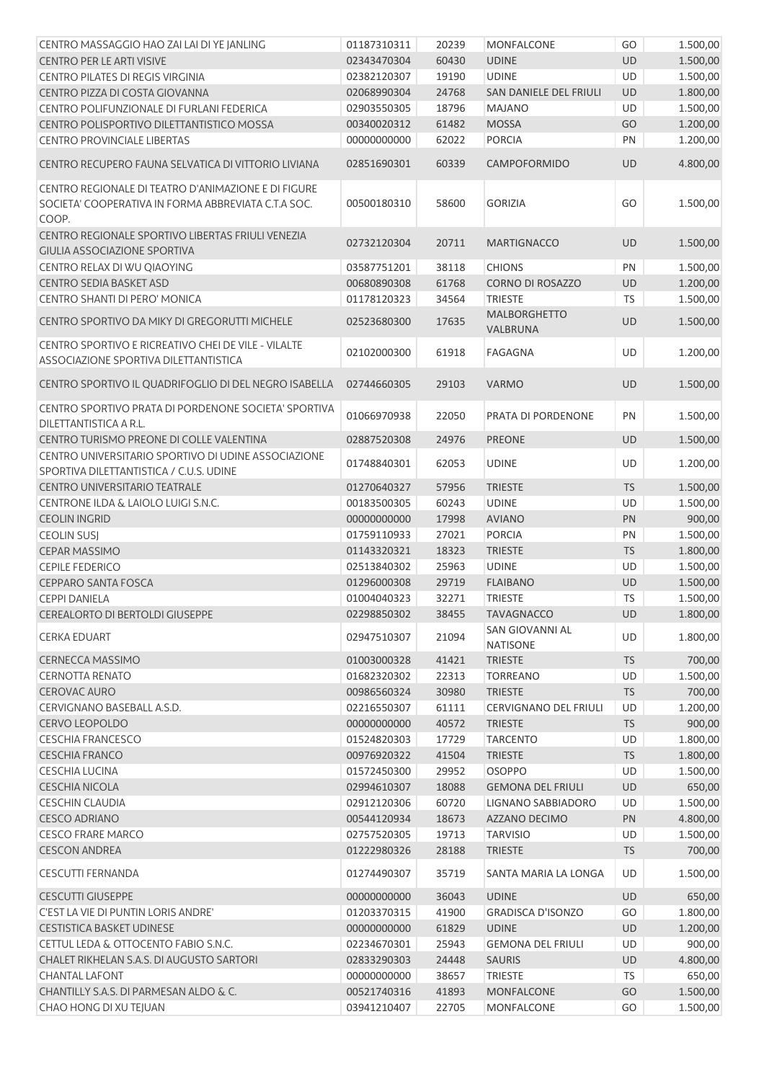| CENTRO MASSAGGIO HAO ZAI LAI DI YE JANLING            | 01187310311 | 20239 | MONFALCONE               | GO        | 1.500,00 |
|-------------------------------------------------------|-------------|-------|--------------------------|-----------|----------|
| <b>CENTRO PER LE ARTI VISIVE</b>                      | 02343470304 | 60430 | <b>UDINE</b>             | <b>UD</b> | 1.500,00 |
| CENTRO PILATES DI REGIS VIRGINIA                      | 02382120307 | 19190 | <b>UDINE</b>             | <b>UD</b> | 1.500,00 |
| CENTRO PIZZA DI COSTA GIOVANNA                        | 02068990304 | 24768 | SAN DANIELE DEL FRIULI   | UD        | 1.800,00 |
| CENTRO POLIFUNZIONALE DI FURLANI FEDERICA             | 02903550305 | 18796 | <b>MAJANO</b>            | UD        | 1.500,00 |
| CENTRO POLISPORTIVO DILETTANTISTICO MOSSA             | 00340020312 | 61482 | <b>MOSSA</b>             | GO        | 1.200,00 |
| CENTRO PROVINCIALE LIBERTAS                           | 00000000000 | 62022 | <b>PORCIA</b>            | PN        | 1.200,00 |
|                                                       |             |       |                          |           |          |
| CENTRO RECUPERO FAUNA SELVATICA DI VITTORIO LIVIANA   | 02851690301 | 60339 | <b>CAMPOFORMIDO</b>      | <b>UD</b> | 4.800,00 |
| CENTRO REGIONALE DI TEATRO D'ANIMAZIONE E DI FIGURE   |             |       |                          |           |          |
| SOCIETA' COOPERATIVA IN FORMA ABBREVIATA C.T.A SOC.   | 00500180310 | 58600 | <b>GORIZIA</b>           | GO        | 1.500,00 |
| COOP.                                                 |             |       |                          |           |          |
| CENTRO REGIONALE SPORTIVO LIBERTAS FRIULI VENEZIA     |             |       |                          |           |          |
| <b>GIULIA ASSOCIAZIONE SPORTIVA</b>                   | 02732120304 | 20711 | <b>MARTIGNACCO</b>       | <b>UD</b> | 1.500,00 |
| CENTRO RELAX DI WU QIAOYING                           | 03587751201 | 38118 | <b>CHIONS</b>            | PN        | 1.500,00 |
| <b>CENTRO SEDIA BASKET ASD</b>                        | 00680890308 | 61768 | <b>CORNO DI ROSAZZO</b>  | UD        | 1.200,00 |
| CENTRO SHANTI DI PERO' MONICA                         | 01178120323 | 34564 | <b>TRIESTE</b>           | <b>TS</b> | 1.500,00 |
|                                                       |             |       | <b>MALBORGHETTO</b>      |           |          |
| CENTRO SPORTIVO DA MIKY DI GREGORUTTI MICHELE         | 02523680300 | 17635 | VALBRUNA                 | <b>UD</b> | 1.500,00 |
| CENTRO SPORTIVO E RICREATIVO CHEI DE VILE - VILALTE   |             |       | <b>FAGAGNA</b>           | <b>UD</b> |          |
| ASSOCIAZIONE SPORTIVA DILETTANTISTICA                 | 02102000300 | 61918 |                          |           | 1.200,00 |
|                                                       |             |       |                          |           | 1.500,00 |
| CENTRO SPORTIVO IL QUADRIFOGLIO DI DEL NEGRO ISABELLA | 02744660305 | 29103 | <b>VARMO</b>             | <b>UD</b> |          |
| CENTRO SPORTIVO PRATA DI PORDENONE SOCIETA' SPORTIVA  |             |       |                          |           |          |
| DILETTANTISTICA A R.L.                                | 01066970938 | 22050 | PRATA DI PORDENONE       | PN        | 1.500,00 |
| CENTRO TURISMO PREONE DI COLLE VALENTINA              | 02887520308 | 24976 | <b>PREONE</b>            | <b>UD</b> | 1.500,00 |
| CENTRO UNIVERSITARIO SPORTIVO DI UDINE ASSOCIAZIONE   |             |       |                          |           |          |
| SPORTIVA DILETTANTISTICA / C.U.S. UDINE               | 01748840301 | 62053 | <b>UDINE</b>             | UD        | 1.200,00 |
| CENTRO UNIVERSITARIO TEATRALE                         | 01270640327 | 57956 | <b>TRIESTE</b>           | <b>TS</b> | 1.500,00 |
| CENTRONE ILDA & LAIOLO LUIGI S.N.C.                   | 00183500305 | 60243 | <b>UDINE</b>             | UD        | 1.500,00 |
| <b>CEOLIN INGRID</b>                                  | 00000000000 | 17998 | <b>AVIANO</b>            | PN        | 900,00   |
| <b>CEOLIN SUSJ</b>                                    | 01759110933 | 27021 | <b>PORCIA</b>            | PN        | 1.500,00 |
| <b>CEPAR MASSIMO</b>                                  | 01143320321 | 18323 | <b>TRIESTE</b>           | <b>TS</b> | 1.800,00 |
| <b>CEPILE FEDERICO</b>                                | 02513840302 | 25963 | <b>UDINE</b>             | UD        | 1.500,00 |
| <b>CEPPARO SANTA FOSCA</b>                            |             | 29719 | <b>FLAIBANO</b>          | <b>UD</b> |          |
|                                                       | 01296000308 |       |                          |           | 1.500,00 |
| <b>CEPPI DANIELA</b>                                  | 01004040323 | 32271 | <b>TRIESTE</b>           | <b>TS</b> | 1.500,00 |
| CEREALORTO DI BERTOLDI GIUSEPPE                       | 02298850302 | 38455 | <b>TAVAGNACCO</b>        | <b>UD</b> | 1.800,00 |
| <b>CERKA EDUART</b>                                   | 02947510307 | 21094 | SAN GIOVANNI AL          | <b>UD</b> | 1.800,00 |
|                                                       |             |       | <b>NATISONE</b>          |           |          |
| <b>CERNECCA MASSIMO</b>                               | 01003000328 | 41421 | <b>TRIESTE</b>           | <b>TS</b> | 700,00   |
| <b>CERNOTTA RENATO</b>                                | 01682320302 | 22313 | <b>TORREANO</b>          | UD        | 1.500,00 |
| <b>CEROVAC AURO</b>                                   | 00986560324 | 30980 | <b>TRIESTE</b>           | <b>TS</b> | 700,00   |
| CERVIGNANO BASEBALL A.S.D.                            | 02216550307 | 61111 | CERVIGNANO DEL FRIULI    | UD        | 1.200,00 |
| CERVO LEOPOLDO                                        | 00000000000 | 40572 | <b>TRIESTE</b>           | <b>TS</b> | 900,00   |
| <b>CESCHIA FRANCESCO</b>                              | 01524820303 | 17729 | <b>TARCENTO</b>          | UD        | 1.800,00 |
| <b>CESCHIA FRANCO</b>                                 | 00976920322 | 41504 | <b>TRIESTE</b>           | <b>TS</b> | 1.800,00 |
| <b>CESCHIA LUCINA</b>                                 | 01572450300 | 29952 | <b>OSOPPO</b>            | UD        | 1.500,00 |
| <b>CESCHIA NICOLA</b>                                 | 02994610307 | 18088 | <b>GEMONA DEL FRIULI</b> | UD        | 650,00   |
| <b>CESCHIN CLAUDIA</b>                                | 02912120306 | 60720 | LIGNANO SABBIADORO       | UD        | 1.500,00 |
| <b>CESCO ADRIANO</b>                                  | 00544120934 | 18673 | AZZANO DECIMO            | PN        | 4.800,00 |
| <b>CESCO FRARE MARCO</b>                              | 02757520305 | 19713 | <b>TARVISIO</b>          | UD        | 1.500,00 |
| <b>CESCON ANDREA</b>                                  | 01222980326 | 28188 | <b>TRIESTE</b>           | <b>TS</b> | 700,00   |
| <b>CESCUTTI FERNANDA</b>                              | 01274490307 | 35719 | SANTA MARIA LA LONGA     | UD        | 1.500,00 |
|                                                       |             |       |                          |           |          |
| <b>CESCUTTI GIUSEPPE</b>                              | 00000000000 | 36043 | <b>UDINE</b>             | UD        | 650,00   |
| C'EST LA VIE DI PUNTIN LORIS ANDRE'                   | 01203370315 | 41900 | <b>GRADISCA D'ISONZO</b> | GO        | 1.800,00 |
| <b>CESTISTICA BASKET UDINESE</b>                      | 00000000000 | 61829 | <b>UDINE</b>             | UD        | 1.200,00 |
| CETTUL LEDA & OTTOCENTO FABIO S.N.C.                  | 02234670301 | 25943 | <b>GEMONA DEL FRIULI</b> | UD        | 900,00   |
| CHALET RIKHELAN S.A.S. DI AUGUSTO SARTORI             | 02833290303 | 24448 | <b>SAURIS</b>            | UD        | 4.800,00 |
| <b>CHANTAL LAFONT</b>                                 | 00000000000 | 38657 | <b>TRIESTE</b>           | <b>TS</b> | 650,00   |
| CHANTILLY S.A.S. DI PARMESAN ALDO & C.                | 00521740316 | 41893 | <b>MONFALCONE</b>        | GO        | 1.500,00 |
| CHAO HONG DI XU TEJUAN                                | 03941210407 | 22705 | MONFALCONE               | GO        | 1.500,00 |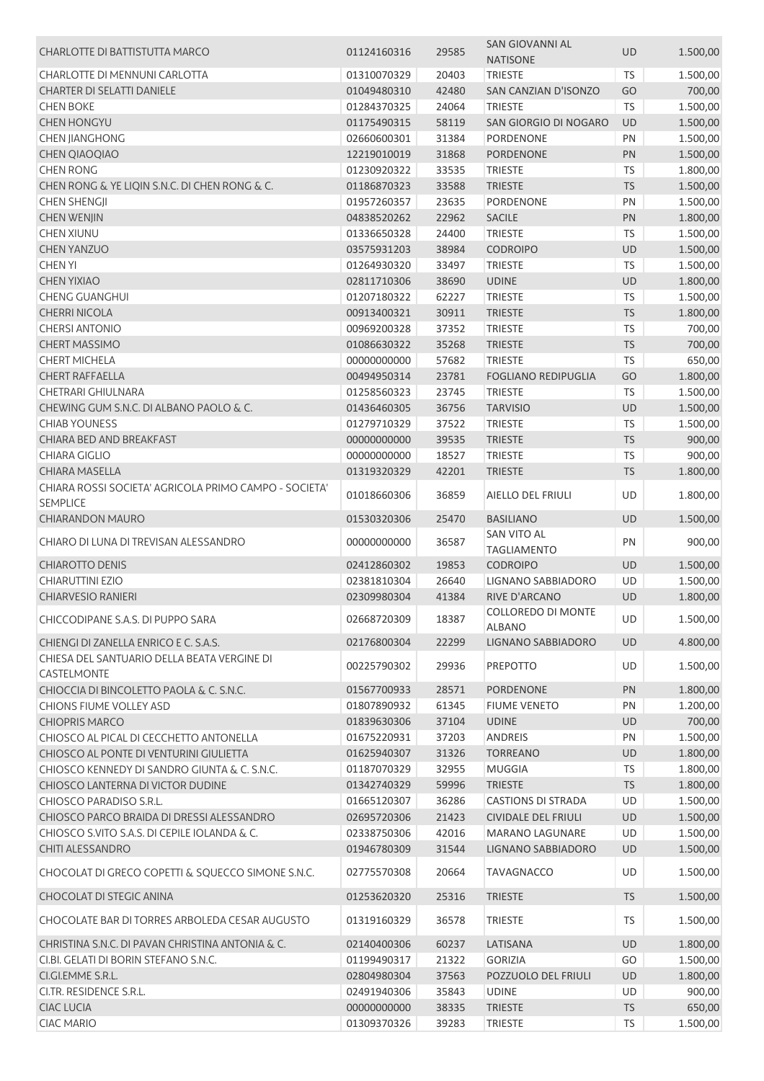| CHARLOTTE DI BATTISTUTTA MARCO                        | 01124160316 | 29585 | SAN GIOVANNI AL<br><b>NATISONE</b> | UD         | 1.500,00 |
|-------------------------------------------------------|-------------|-------|------------------------------------|------------|----------|
| CHARLOTTE DI MENNUNI CARLOTTA                         | 01310070329 | 20403 | <b>TRIESTE</b>                     | <b>TS</b>  | 1.500,00 |
| CHARTER DI SELATTI DANIELE                            | 01049480310 | 42480 | SAN CANZIAN D'ISONZO               | GO         | 700,00   |
| <b>CHEN BOKE</b>                                      | 01284370325 | 24064 | <b>TRIESTE</b>                     | <b>TS</b>  | 1.500,00 |
| <b>CHEN HONGYU</b>                                    | 01175490315 | 58119 | SAN GIORGIO DI NOGARO              | UD         | 1.500,00 |
| <b>CHEN JIANGHONG</b>                                 | 02660600301 | 31384 | <b>PORDENONE</b>                   | PN         | 1.500,00 |
| <b>CHEN QIAOQIAO</b>                                  | 12219010019 | 31868 | PORDENONE                          | PN         | 1.500,00 |
| <b>CHEN RONG</b>                                      | 01230920322 | 33535 | <b>TRIESTE</b>                     | TS         | 1.800,00 |
| CHEN RONG & YE LIQIN S.N.C. DI CHEN RONG & C.         | 01186870323 | 33588 | <b>TRIESTE</b>                     | TS         | 1.500,00 |
| <b>CHEN SHENGJI</b>                                   | 01957260357 | 23635 | PORDENONE                          | PN         | 1.500,00 |
| <b>CHEN WENJIN</b>                                    | 04838520262 | 22962 | <b>SACILE</b>                      | PN         | 1.800,00 |
| <b>CHEN XIUNU</b>                                     | 01336650328 | 24400 | <b>TRIESTE</b>                     | TS         | 1.500,00 |
| <b>CHEN YANZUO</b>                                    | 03575931203 | 38984 | <b>CODROIPO</b>                    | UD         | 1.500,00 |
| <b>CHEN YI</b>                                        | 01264930320 | 33497 | <b>TRIESTE</b>                     | <b>TS</b>  | 1.500,00 |
| <b>CHEN YIXIAO</b>                                    | 02811710306 | 38690 | <b>UDINE</b>                       | UD         | 1.800,00 |
| <b>CHENG GUANGHUI</b>                                 | 01207180322 | 62227 | <b>TRIESTE</b>                     | TS         | 1.500,00 |
| <b>CHERRI NICOLA</b>                                  | 00913400321 | 30911 | <b>TRIESTE</b>                     | <b>TS</b>  | 1.800,00 |
| <b>CHERSI ANTONIO</b>                                 | 00969200328 | 37352 | <b>TRIESTE</b>                     | <b>TS</b>  | 700,00   |
| <b>CHERT MASSIMO</b>                                  | 01086630322 | 35268 | <b>TRIESTE</b>                     | TS         | 700,00   |
| <b>CHERT MICHELA</b>                                  | 00000000000 | 57682 | <b>TRIESTE</b>                     | <b>TS</b>  | 650,00   |
| <b>CHERT RAFFAELLA</b>                                | 00494950314 | 23781 | <b>FOGLIANO REDIPUGLIA</b>         | GO         | 1.800,00 |
| <b>CHETRARI GHIULNARA</b>                             | 01258560323 | 23745 | <b>TRIESTE</b>                     | <b>TS</b>  | 1.500,00 |
| CHEWING GUM S.N.C. DI ALBANO PAOLO & C.               | 01436460305 | 36756 | <b>TARVISIO</b>                    | UD         | 1.500,00 |
| <b>CHIAB YOUNESS</b>                                  | 01279710329 | 37522 | <b>TRIESTE</b>                     | TS         | 1.500,00 |
| CHIARA BED AND BREAKFAST                              | 00000000000 | 39535 | <b>TRIESTE</b>                     | TS         | 900,00   |
| <b>CHIARA GIGLIO</b>                                  | 00000000000 | 18527 | <b>TRIESTE</b>                     | <b>TS</b>  | 900,00   |
| <b>CHIARA MASELLA</b>                                 | 01319320329 | 42201 | <b>TRIESTE</b>                     | <b>TS</b>  | 1.800,00 |
| CHIARA ROSSI SOCIETA' AGRICOLA PRIMO CAMPO - SOCIETA' |             |       |                                    |            |          |
| <b>SEMPLICE</b>                                       | 01018660306 | 36859 | AIELLO DEL FRIULI                  | UD         | 1.800,00 |
| <b>CHIARANDON MAURO</b>                               | 01530320306 | 25470 | <b>BASILIANO</b>                   | <b>UD</b>  | 1.500,00 |
|                                                       |             |       | SAN VITO AL                        |            |          |
| CHIARO DI LUNA DI TREVISAN ALESSANDRO                 | 00000000000 | 36587 | <b>TAGLIAMENTO</b>                 | PN         | 900,00   |
| <b>CHIAROTTO DENIS</b>                                | 02412860302 | 19853 | <b>CODROIPO</b>                    | <b>UD</b>  | 1.500,00 |
| <b>CHIARUTTINI EZIO</b>                               | 02381810304 | 26640 | LIGNANO SABBIADORO                 | UD         | 1.500,00 |
| <b>CHIARVESIO RANIERI</b>                             | 02309980304 | 41384 | RIVE D'ARCANO                      | UD         | 1.800,00 |
|                                                       |             |       | COLLOREDO DI MONTE                 |            |          |
| CHICCODIPANE S.A.S. DI PUPPO SARA                     | 02668720309 | 18387 | <b>ALBANO</b>                      | UD         | 1.500,00 |
| CHIENGI DI ZANELLA ENRICO E C. S.A.S.                 | 02176800304 | 22299 | <b>LIGNANO SABBIADORO</b>          | <b>UD</b>  | 4.800,00 |
| CHIESA DEL SANTUARIO DELLA BEATA VERGINE DI           |             | 29936 |                                    | UD         |          |
| CASTELMONTE                                           | 00225790302 |       | <b>PREPOTTO</b>                    |            | 1.500,00 |
| CHIOCCIA DI BINCOLETTO PAOLA & C. S.N.C.              | 01567700933 | 28571 | <b>PORDENONE</b>                   | PN         | 1.800,00 |
| CHIONS FIUME VOLLEY ASD                               | 01807890932 | 61345 | <b>FIUME VENETO</b>                | PN         | 1.200,00 |
| <b>CHIOPRIS MARCO</b>                                 | 01839630306 | 37104 | <b>UDINE</b>                       | UD         | 700,00   |
| CHIOSCO AL PICAL DI CECCHETTO ANTONELLA               | 01675220931 | 37203 | <b>ANDREIS</b>                     | PN         | 1.500,00 |
| CHIOSCO AL PONTE DI VENTURINI GIULIETTA               | 01625940307 | 31326 | <b>TORREANO</b>                    | UD         | 1.800,00 |
| CHIOSCO KENNEDY DI SANDRO GIUNTA & C. S.N.C.          | 01187070329 | 32955 | <b>MUGGIA</b>                      | <b>TS</b>  | 1.800,00 |
| CHIOSCO LANTERNA DI VICTOR DUDINE                     | 01342740329 | 59996 | <b>TRIESTE</b>                     | <b>TS</b>  | 1.800,00 |
| CHIOSCO PARADISO S.R.L.                               | 01665120307 | 36286 | <b>CASTIONS DI STRADA</b>          | UD         | 1.500,00 |
| CHIOSCO PARCO BRAIDA DI DRESSI ALESSANDRO             | 02695720306 | 21423 | CIVIDALE DEL FRIULI                | UD         | 1.500,00 |
| CHIOSCO S.VITO S.A.S. DI CEPILE IOLANDA & C.          | 02338750306 | 42016 | <b>MARANO LAGUNARE</b>             | UD         | 1.500,00 |
| CHITI ALESSANDRO                                      | 01946780309 | 31544 | LIGNANO SABBIADORO                 | UD         | 1.500,00 |
| CHOCOLAT DI GRECO COPETTI & SQUECCO SIMONE S.N.C.     | 02775570308 | 20664 | <b>TAVAGNACCO</b>                  | UD         | 1.500,00 |
| <b>CHOCOLAT DI STEGIC ANINA</b>                       | 01253620320 | 25316 | <b>TRIESTE</b>                     | <b>TS</b>  | 1.500,00 |
| CHOCOLATE BAR DI TORRES ARBOLEDA CESAR AUGUSTO        | 01319160329 | 36578 | <b>TRIESTE</b>                     | TS         | 1.500,00 |
| CHRISTINA S.N.C. DI PAVAN CHRISTINA ANTONIA & C.      | 02140400306 | 60237 | LATISANA                           | UD         | 1.800,00 |
| CI.BI. GELATI DI BORIN STEFANO S.N.C.                 | 01199490317 | 21322 | <b>GORIZIA</b>                     | GO         | 1.500,00 |
| CI.GI.EMME S.R.L.                                     | 02804980304 | 37563 | POZZUOLO DEL FRIULI                | UD         | 1.800,00 |
| CI.TR. RESIDENCE S.R.L.                               | 02491940306 | 35843 | <b>UDINE</b>                       | UD         | 900,00   |
| <b>CIAC LUCIA</b>                                     | 00000000000 | 38335 | <b>TRIESTE</b>                     | <b>TS</b>  | 650,00   |
| <b>CIAC MARIO</b>                                     | 01309370326 | 39283 | <b>TRIESTE</b>                     | ${\sf TS}$ | 1.500,00 |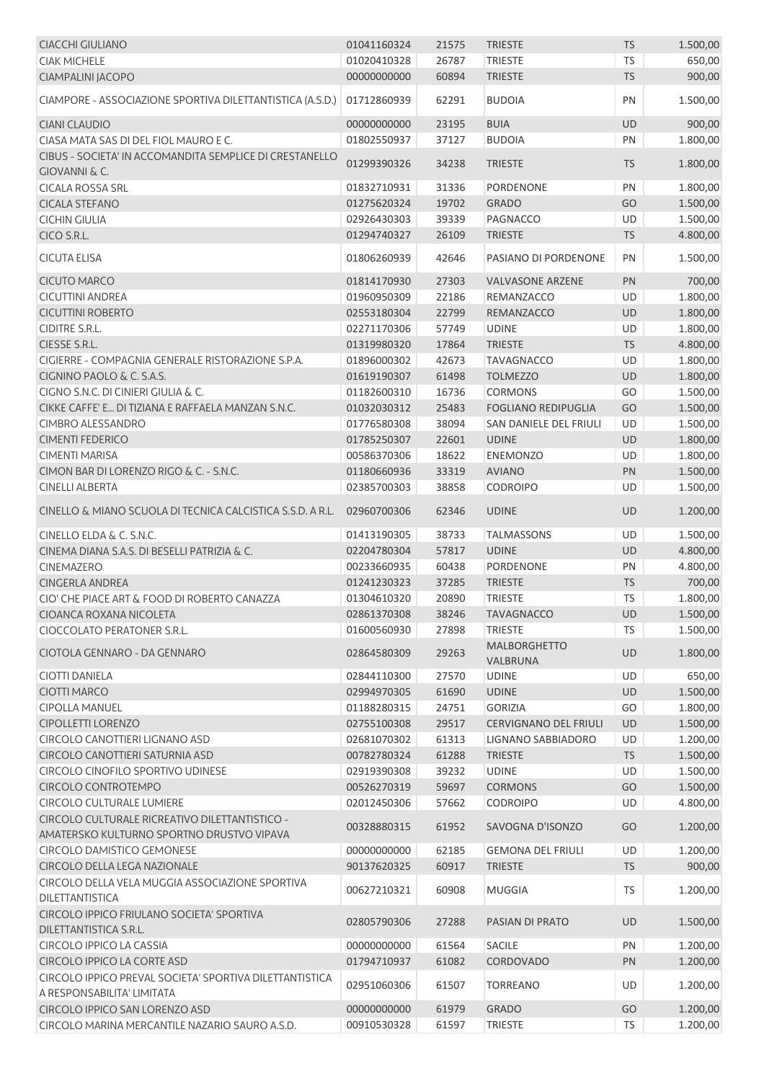| <b>CIACCHI GIULIANO</b>                                                               | 01041160324 | 21575 | <b>TRIESTE</b>                  | <b>TS</b> | 1.500,00 |
|---------------------------------------------------------------------------------------|-------------|-------|---------------------------------|-----------|----------|
| <b>CIAK MICHELE</b>                                                                   | 01020410328 | 26787 | <b>TRIESTE</b>                  | <b>TS</b> | 650,00   |
| CIAMPALINI JACOPO                                                                     | 00000000000 | 60894 | <b>TRIESTE</b>                  | <b>TS</b> | 900,00   |
| CIAMPORE - ASSOCIAZIONE SPORTIVA DILETTANTISTICA (A.S.D.)                             | 01712860939 | 62291 | <b>BUDOIA</b>                   | PN        | 1.500,00 |
| <b>CIANI CLAUDIO</b>                                                                  | 00000000000 | 23195 | <b>BUIA</b>                     | UD        | 900,00   |
| CIASA MATA SAS DI DEL FIOL MAURO E C.                                                 | 01802550937 | 37127 | <b>BUDOIA</b>                   | PN        | 1.800,00 |
| CIBUS - SOCIETA' IN ACCOMANDITA SEMPLICE DI CRESTANELLO                               | 01299390326 | 34238 | <b>TRIESTE</b>                  | <b>TS</b> | 1.800,00 |
| GIOVANNI & C.                                                                         |             |       |                                 |           |          |
| <b>CICALA ROSSA SRL</b>                                                               | 01832710931 | 31336 | <b>PORDENONE</b>                | PN        | 1.800,00 |
| <b>CICALA STEFANO</b>                                                                 | 01275620324 | 19702 | <b>GRADO</b>                    | GO        | 1.500,00 |
| <b>CICHIN GIULIA</b>                                                                  | 02926430303 | 39339 | PAGNACCO                        | UD        | 1.500,00 |
| CICO S.R.L.                                                                           | 01294740327 | 26109 | <b>TRIESTE</b>                  | <b>TS</b> | 4.800,00 |
| <b>CICUTA ELISA</b>                                                                   | 01806260939 | 42646 | PASIANO DI PORDENONE            | PN        | 1.500,00 |
| <b>CICUTO MARCO</b>                                                                   | 01814170930 | 27303 | <b>VALVASONE ARZENE</b>         | PN        | 700,00   |
| <b>CICUTTINI ANDREA</b>                                                               | 01960950309 | 22186 | REMANZACCO                      | UD        | 1.800,00 |
| <b>CICUTTINI ROBERTO</b>                                                              | 02553180304 | 22799 | REMANZACCO                      | UD        | 1.800,00 |
| CIDITRE S.R.L.                                                                        | 02271170306 | 57749 | <b>UDINE</b>                    | UD        | 1.800,00 |
| CIESSE S.R.L.                                                                         | 01319980320 | 17864 | <b>TRIESTE</b>                  | <b>TS</b> | 4.800,00 |
| CIGIERRE - COMPAGNIA GENERALE RISTORAZIONE S.P.A.                                     | 01896000302 | 42673 | <b>TAVAGNACCO</b>               | UD        | 1.800,00 |
| CIGNINO PAOLO & C. S.A.S.                                                             | 01619190307 | 61498 | <b>TOLMEZZO</b>                 | UD        | 1.800,00 |
| CIGNO S.N.C. DI CINIERI GIULIA & C.                                                   | 01182600310 | 16736 | <b>CORMONS</b>                  | GO        | 1.500,00 |
| CIKKE CAFFE' E DI TIZIANA E RAFFAELA MANZAN S.N.C.                                    | 01032030312 | 25483 | <b>FOGLIANO REDIPUGLIA</b>      | GO        | 1.500,00 |
| CIMBRO ALESSANDRO                                                                     | 01776580308 | 38094 | SAN DANIELE DEL FRIULI          | UD        | 1.500,00 |
| <b>CIMENTI FEDERICO</b>                                                               | 01785250307 | 22601 | <b>UDINE</b>                    | UD        | 1.800,00 |
| <b>CIMENTI MARISA</b>                                                                 |             |       |                                 |           |          |
|                                                                                       | 00586370306 | 18622 | <b>ENEMONZO</b>                 | UD        | 1.800,00 |
| CIMON BAR DI LORENZO RIGO & C. - S.N.C.                                               | 01180660936 | 33319 | <b>AVIANO</b>                   | PN        | 1.500,00 |
| <b>CINELLI ALBERTA</b>                                                                | 02385700303 | 38858 | <b>CODROIPO</b>                 | UD        | 1.500,00 |
| CINELLO & MIANO SCUOLA DI TECNICA CALCISTICA S.S.D. A R.L.                            | 02960700306 | 62346 | <b>UDINE</b>                    | <b>UD</b> | 1.200,00 |
| CINELLO ELDA & C. S.N.C.                                                              | 01413190305 | 38733 | <b>TALMASSONS</b>               | UD        | 1.500,00 |
| CINEMA DIANA S.A.S. DI BESELLI PATRIZIA & C.                                          | 02204780304 | 57817 | <b>UDINE</b>                    | UD        | 4.800,00 |
| <b>CINEMAZERO</b>                                                                     | 00233660935 | 60438 | <b>PORDENONE</b>                | PN        | 4.800,00 |
| <b>CINGERLA ANDREA</b>                                                                | 01241230323 | 37285 | <b>TRIESTE</b>                  | <b>TS</b> | 700,00   |
| CIO' CHE PIACE ART & FOOD DI ROBERTO CANAZZA                                          | 01304610320 | 20890 | <b>TRIESTE</b>                  | <b>TS</b> | 1.800,00 |
| CIOANCA ROXANA NICOLETA                                                               | 02861370308 | 38246 | TAVAGNACCO                      | UD        | 1.500,00 |
| CIOCCOLATO PERATONER S.R.L.                                                           | 01600560930 | 27898 | <b>TRIESTE</b>                  | TS        | 1.500,00 |
| CIOTOLA GENNARO - DA GENNARO                                                          | 02864580309 | 29263 | <b>MALBORGHETTO</b><br>VALBRUNA | UD        | 1.800,00 |
| <b>CIOTTI DANIELA</b>                                                                 | 02844110300 | 27570 | <b>UDINE</b>                    | UD        | 650,00   |
| CIOTTI MARCO                                                                          | 02994970305 | 61690 | <b>UDINE</b>                    | UD        | 1.500,00 |
| <b>CIPOLLA MANUEL</b>                                                                 | 01188280315 | 24751 | <b>GORIZIA</b>                  | GO        | 1.800,00 |
| <b>CIPOLLETTI LORENZO</b>                                                             | 02755100308 | 29517 | <b>CERVIGNANO DEL FRIULI</b>    | UD        | 1.500,00 |
| CIRCOLO CANOTTIERI LIGNANO ASD                                                        | 02681070302 | 61313 | LIGNANO SABBIADORO              | UD        | 1.200,00 |
| CIRCOLO CANOTTIERI SATURNIA ASD                                                       | 00782780324 | 61288 | <b>TRIESTE</b>                  | <b>TS</b> | 1.500,00 |
| CIRCOLO CINOFILO SPORTIVO UDINESE                                                     | 02919390308 | 39232 | <b>UDINE</b>                    | UD        | 1.500,00 |
| CIRCOLO CONTROTEMPO                                                                   | 00526270319 | 59697 | <b>CORMONS</b>                  | GO        | 1.500,00 |
| <b>CIRCOLO CULTURALE LUMIERE</b>                                                      | 02012450306 | 57662 | <b>CODROIPO</b>                 | UD        | 4.800,00 |
| CIRCOLO CULTURALE RICREATIVO DILETTANTISTICO -                                        |             |       |                                 |           |          |
| AMATERSKO KULTURNO SPORTNO DRUSTVO VIPAVA                                             | 00328880315 | 61952 | SAVOGNA D'ISONZO                | GO        | 1.200,00 |
| <b>CIRCOLO DAMISTICO GEMONESE</b>                                                     | 00000000000 | 62185 | <b>GEMONA DEL FRIULI</b>        | UD        | 1.200,00 |
| CIRCOLO DELLA LEGA NAZIONALE                                                          | 90137620325 | 60917 | <b>TRIESTE</b>                  | <b>TS</b> | 900,00   |
| CIRCOLO DELLA VELA MUGGIA ASSOCIAZIONE SPORTIVA                                       |             |       |                                 |           |          |
| DILETTANTISTICA                                                                       | 00627210321 | 60908 | <b>MUGGIA</b>                   | TS        | 1.200,00 |
| CIRCOLO IPPICO FRIULANO SOCIETA' SPORTIVA<br>DILETTANTISTICA S.R.L.                   | 02805790306 | 27288 | PASIAN DI PRATO                 | UD        | 1.500,00 |
| <b>CIRCOLO IPPICO LA CASSIA</b>                                                       | 00000000000 | 61564 | <b>SACILE</b>                   | PN        | 1.200,00 |
| <b>CIRCOLO IPPICO LA CORTE ASD</b>                                                    | 01794710937 | 61082 | <b>CORDOVADO</b>                | PN        | 1.200,00 |
| CIRCOLO IPPICO PREVAL SOCIETA' SPORTIVA DILETTANTISTICA<br>A RESPONSABILITA' LIMITATA | 02951060306 | 61507 | <b>TORREANO</b>                 | UD        | 1.200,00 |
| CIRCOLO IPPICO SAN LORENZO ASD                                                        | 00000000000 | 61979 | <b>GRADO</b>                    | GO        | 1.200,00 |
| CIRCOLO MARINA MERCANTILE NAZARIO SAURO A.S.D.                                        | 00910530328 | 61597 | <b>TRIESTE</b>                  | TS        | 1.200,00 |
|                                                                                       |             |       |                                 |           |          |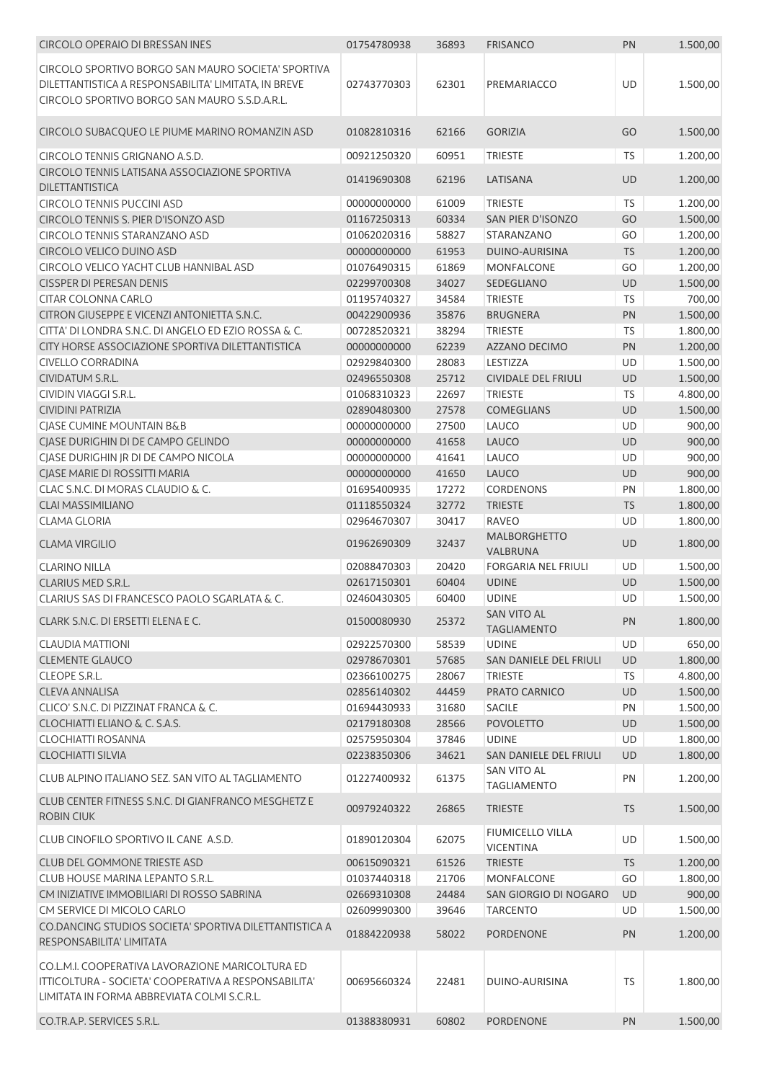| <b>CIRCOLO OPERAIO DI BRESSAN INES</b>                        | 01754780938 | 36893 | <b>FRISANCO</b>              | PN        | 1.500,00 |
|---------------------------------------------------------------|-------------|-------|------------------------------|-----------|----------|
| CIRCOLO SPORTIVO BORGO SAN MAURO SOCIETA' SPORTIVA            |             |       |                              |           |          |
| DILETTANTISTICA A RESPONSABILITA' LIMITATA, IN BREVE          | 02743770303 | 62301 | PREMARIACCO                  | UD        | 1.500,00 |
| CIRCOLO SPORTIVO BORGO SAN MAURO S.S.D.A.R.L.                 |             |       |                              |           |          |
|                                                               |             |       |                              |           |          |
| CIRCOLO SUBACQUEO LE PIUME MARINO ROMANZIN ASD                | 01082810316 | 62166 | <b>GORIZIA</b>               | GO        | 1.500,00 |
|                                                               |             |       |                              |           |          |
| CIRCOLO TENNIS GRIGNANO A.S.D.                                | 00921250320 | 60951 | <b>TRIESTE</b>               | TS        | 1.200,00 |
| CIRCOLO TENNIS LATISANA ASSOCIAZIONE SPORTIVA                 | 01419690308 | 62196 | LATISANA                     | <b>UD</b> | 1.200,00 |
| <b>DILETTANTISTICA</b>                                        |             |       |                              |           |          |
| <b>CIRCOLO TENNIS PUCCINI ASD</b>                             | 00000000000 | 61009 | <b>TRIESTE</b>               | <b>TS</b> | 1.200,00 |
| CIRCOLO TENNIS S. PIER D'ISONZO ASD                           | 01167250313 | 60334 | SAN PIER D'ISONZO            | GO        | 1.500,00 |
| CIRCOLO TENNIS STARANZANO ASD                                 | 01062020316 | 58827 | STARANZANO                   | GO        | 1.200,00 |
| CIRCOLO VELICO DUINO ASD                                      | 00000000000 | 61953 | DUINO-AURISINA               | <b>TS</b> | 1.200,00 |
| CIRCOLO VELICO YACHT CLUB HANNIBAL ASD                        | 01076490315 | 61869 | MONFALCONE                   | GO        | 1.200,00 |
| <b>CISSPER DI PERESAN DENIS</b>                               | 02299700308 | 34027 | SEDEGLIANO                   | UD        | 1.500,00 |
| <b>CITAR COLONNA CARLO</b>                                    | 01195740327 | 34584 | <b>TRIESTE</b>               | <b>TS</b> | 700,00   |
| CITRON GIUSEPPE E VICENZI ANTONIETTA S.N.C.                   | 00422900936 | 35876 | <b>BRUGNERA</b>              | PN        | 1.500,00 |
| CITTA' DI LONDRA S.N.C. DI ANGELO ED EZIO ROSSA & C.          | 00728520321 | 38294 | <b>TRIESTE</b>               | TS        | 1.800,00 |
| CITY HORSE ASSOCIAZIONE SPORTIVA DILETTANTISTICA              | 00000000000 | 62239 | <b>AZZANO DECIMO</b>         | PN        | 1.200,00 |
| <b>CIVELLO CORRADINA</b><br><b>CIVIDATUM S.R.L.</b>           | 02929840300 | 28083 | LESTIZZA                     | UD        | 1.500,00 |
| CIVIDIN VIAGGI S.R.L.                                         | 02496550308 | 25712 | <b>CIVIDALE DEL FRIULI</b>   | UD        | 1.500,00 |
| <b>CIVIDINI PATRIZIA</b>                                      | 01068310323 | 22697 | <b>TRIESTE</b>               | TS        | 4.800,00 |
|                                                               | 02890480300 | 27578 | <b>COMEGLIANS</b>            | UD        | 1.500,00 |
| CIASE CUMINE MOUNTAIN B&B                                     | 00000000000 | 27500 | LAUCO                        | UD        | 900,00   |
| CJASE DURIGHIN DI DE CAMPO GELINDO                            | 00000000000 | 41658 | LAUCO                        | UD        | 900,00   |
| CJASE DURIGHIN JR DI DE CAMPO NICOLA                          | 00000000000 | 41641 | LAUCO                        | UD        | 900,00   |
| CIASE MARIE DI ROSSITTI MARIA                                 | 00000000000 | 41650 | LAUCO                        | UD        | 900,00   |
| CLAC S.N.C. DI MORAS CLAUDIO & C.<br><b>CLAI MASSIMILIANO</b> | 01695400935 | 17272 | <b>CORDENONS</b>             | PN        | 1.800,00 |
|                                                               | 01118550324 | 32772 | <b>TRIESTE</b>               | TS        | 1.800,00 |
| <b>CLAMA GLORIA</b>                                           | 02964670307 | 30417 | <b>RAVEO</b><br>MALBORGHETTO | UD        | 1.800,00 |
| <b>CLAMA VIRGILIO</b>                                         | 01962690309 | 32437 | VALBRUNA                     | UD        | 1.800,00 |
| <b>CLARINO NILLA</b>                                          | 02088470303 | 20420 | <b>FORGARIA NEL FRIULI</b>   | UD        | 1.500,00 |
| CLARIUS MED S.R.L.                                            | 02617150301 | 60404 | <b>UDINE</b>                 | UD        | 1.500,00 |
| CLARIUS SAS DI FRANCESCO PAOLO SGARLATA & C.                  | 02460430305 | 60400 | <b>UDINE</b>                 | UD        | 1.500,00 |
|                                                               |             |       | SAN VITO AL                  |           |          |
| CLARK S.N.C. DI ERSETTI ELENA E C.                            | 01500080930 | 25372 | <b>TAGLIAMENTO</b>           | PN        | 1.800,00 |
| <b>CLAUDIA MATTIONI</b>                                       | 02922570300 | 58539 | <b>UDINE</b>                 | <b>UD</b> | 650,00   |
| <b>CLEMENTE GLAUCO</b>                                        | 02978670301 | 57685 | SAN DANIELE DEL FRIULI       | <b>UD</b> | 1.800,00 |
| <b>CLEOPE S.R.L.</b>                                          | 02366100275 | 28067 | <b>TRIESTE</b>               | TS        | 4.800,00 |
| CLEVA ANNALISA                                                | 02856140302 | 44459 | PRATO CARNICO                | UD        | 1.500,00 |
| CLICO' S.N.C. DI PIZZINAT FRANCA & C.                         | 01694430933 | 31680 | <b>SACILE</b>                | PN        | 1.500,00 |
| CLOCHIATTI ELIANO & C. S.A.S.                                 | 02179180308 | 28566 | <b>POVOLETTO</b>             | UD        | 1.500,00 |
| <b>CLOCHIATTI ROSANNA</b>                                     | 02575950304 | 37846 | <b>UDINE</b>                 | UD        | 1.800,00 |
| <b>CLOCHIATTI SILVIA</b>                                      | 02238350306 | 34621 | SAN DANIELE DEL FRIULI       | UD        | 1.800,00 |
| CLUB ALPINO ITALIANO SEZ. SAN VITO AL TAGLIAMENTO             | 01227400932 | 61375 | <b>SAN VITO AL</b>           | PN        | 1.200,00 |
|                                                               |             |       | <b>TAGLIAMENTO</b>           |           |          |
| CLUB CENTER FITNESS S.N.C. DI GIANFRANCO MESGHETZ E           | 00979240322 | 26865 | <b>TRIESTE</b>               | <b>TS</b> | 1.500,00 |
| <b>ROBIN CIUK</b>                                             |             |       |                              |           |          |
| CLUB CINOFILO SPORTIVO IL CANE A.S.D.                         | 01890120304 | 62075 | FIUMICELLO VILLA             | UD        | 1.500,00 |
|                                                               |             |       | <b>VICENTINA</b>             |           |          |
| CLUB DEL GOMMONE TRIESTE ASD                                  | 00615090321 | 61526 | <b>TRIESTE</b>               | <b>TS</b> | 1.200,00 |
| CLUB HOUSE MARINA LEPANTO S.R.L.                              | 01037440318 | 21706 | <b>MONFALCONE</b>            | GO        | 1.800,00 |
| CM INIZIATIVE IMMOBILIARI DI ROSSO SABRINA                    | 02669310308 | 24484 | SAN GIORGIO DI NOGARO        | UD        | 900,00   |
| CM SERVICE DI MICOLO CARLO                                    | 02609990300 | 39646 | <b>TARCENTO</b>              | UD        | 1.500,00 |
| CO.DANCING STUDIOS SOCIETA' SPORTIVA DILETTANTISTICA A        | 01884220938 | 58022 | PORDENONE                    | PN        | 1.200,00 |
| RESPONSABILITA' LIMITATA                                      |             |       |                              |           |          |
| CO.L.M.I. COOPERATIVA LAVORAZIONE MARICOLTURA ED              |             |       |                              |           |          |
| ITTICOLTURA - SOCIETA' COOPERATIVA A RESPONSABILITA'          | 00695660324 | 22481 | DUINO-AURISINA               | TS.       | 1.800,00 |
| LIMITATA IN FORMA ABBREVIATA COLMI S.C.R.L.                   |             |       |                              |           |          |
|                                                               |             |       |                              |           |          |
| CO.TR.A.P. SERVICES S.R.L.                                    | 01388380931 | 60802 | <b>PORDENONE</b>             | PN        | 1.500,00 |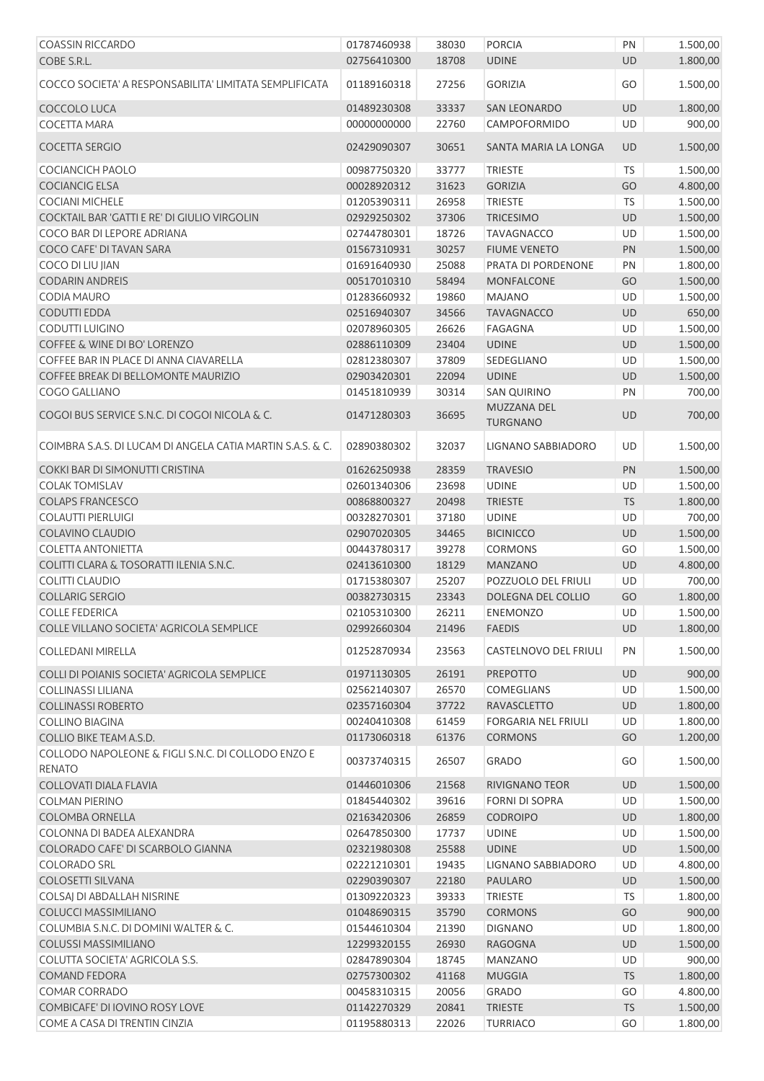| <b>COASSIN RICCARDO</b>                                    | 01787460938 | 38030 | <b>PORCIA</b>                  | PN        | 1.500,00 |
|------------------------------------------------------------|-------------|-------|--------------------------------|-----------|----------|
| COBE S.R.L.                                                | 02756410300 | 18708 | <b>UDINE</b>                   | <b>UD</b> | 1.800,00 |
| COCCO SOCIETA' A RESPONSABILITA' LIMITATA SEMPLIFICATA     | 01189160318 | 27256 | <b>GORIZIA</b>                 | GO        | 1.500,00 |
| COCCOLO LUCA                                               | 01489230308 | 33337 | SAN LEONARDO                   | UD        | 1.800,00 |
| <b>COCETTA MARA</b>                                        | 00000000000 | 22760 | CAMPOFORMIDO                   | UD        | 900,00   |
| <b>COCETTA SERGIO</b>                                      | 02429090307 | 30651 | SANTA MARIA LA LONGA           | <b>UD</b> | 1.500,00 |
| COCIANCICH PAOLO                                           | 00987750320 | 33777 | <b>TRIESTE</b>                 | <b>TS</b> | 1.500,00 |
| <b>COCIANCIG ELSA</b>                                      | 00028920312 | 31623 | <b>GORIZIA</b>                 | GO        | 4.800,00 |
| <b>COCIANI MICHELE</b>                                     | 01205390311 | 26958 | <b>TRIESTE</b>                 | <b>TS</b> | 1.500,00 |
| COCKTAIL BAR 'GATTI E RE' DI GIULIO VIRGOLIN               | 02929250302 | 37306 | <b>TRICESIMO</b>               | UD        | 1.500,00 |
| COCO BAR DI LEPORE ADRIANA                                 | 02744780301 | 18726 | <b>TAVAGNACCO</b>              | UD        | 1.500,00 |
| COCO CAFE' DI TAVAN SARA                                   | 01567310931 | 30257 | <b>FIUME VENETO</b>            | PN        | 1.500,00 |
| COCO DI LIU JIAN                                           | 01691640930 | 25088 | PRATA DI PORDENONE             | PN        | 1.800,00 |
| <b>CODARIN ANDREIS</b>                                     | 00517010310 | 58494 | MONFALCONE                     | GO        | 1.500,00 |
| CODIA MAURO                                                | 01283660932 | 19860 | <b>MAJANO</b>                  | UD        | 1.500,00 |
| <b>CODUTTI EDDA</b>                                        | 02516940307 | 34566 | <b>TAVAGNACCO</b>              | UD        | 650,00   |
| CODUTTI LUIGINO                                            | 02078960305 | 26626 | <b>FAGAGNA</b>                 | UD        | 1.500,00 |
| <b>COFFEE &amp; WINE DI BO' LORENZO</b>                    | 02886110309 | 23404 | <b>UDINE</b>                   | UD        | 1.500,00 |
| COFFEE BAR IN PLACE DI ANNA CIAVARELLA                     | 02812380307 | 37809 | SEDEGLIANO                     | UD        | 1.500,00 |
| COFFEE BREAK DI BELLOMONTE MAURIZIO                        | 02903420301 | 22094 | <b>UDINE</b>                   | UD        | 1.500,00 |
| COGO GALLIANO                                              | 01451810939 | 30314 | <b>SAN QUIRINO</b>             | PN        |          |
|                                                            |             |       |                                |           | 700,00   |
| COGOI BUS SERVICE S.N.C. DI COGOI NICOLA & C.              | 01471280303 | 36695 | MUZZANA DEL<br><b>TURGNANO</b> | <b>UD</b> | 700,00   |
| COIMBRA S.A.S. DI LUCAM DI ANGELA CATIA MARTIN S.A.S. & C. | 02890380302 | 32037 | LIGNANO SABBIADORO             | UD        | 1.500,00 |
| COKKI BAR DI SIMONUTTI CRISTINA                            | 01626250938 | 28359 | <b>TRAVESIO</b>                | PN        | 1.500,00 |
| <b>COLAK TOMISLAV</b>                                      | 02601340306 | 23698 | <b>UDINE</b>                   | UD        | 1.500,00 |
| <b>COLAPS FRANCESCO</b>                                    | 00868800327 | 20498 | <b>TRIESTE</b>                 | <b>TS</b> | 1.800,00 |
| <b>COLAUTTI PIERLUIGI</b>                                  | 00328270301 | 37180 | <b>UDINE</b>                   | UD        | 700,00   |
| COLAVINO CLAUDIO                                           | 02907020305 | 34465 | <b>BICINICCO</b>               | UD        | 1.500,00 |
| <b>COLETTA ANTONIETTA</b>                                  | 00443780317 | 39278 | <b>CORMONS</b>                 | GO        | 1.500,00 |
| COLITTI CLARA & TOSORATTI ILENIA S.N.C.                    | 02413610300 | 18129 | <b>MANZANO</b>                 | UD        | 4.800,00 |
| <b>COLITTI CLAUDIO</b>                                     | 01715380307 | 25207 | POZZUOLO DEL FRIULI            | UD        | 700,00   |
| <b>COLLARIG SERGIO</b>                                     | 00382730315 | 23343 | DOLEGNA DEL COLLIO             | GO        | 1.800,00 |
| <b>COLLE FEDERICA</b>                                      | 02105310300 | 26211 | <b>ENEMONZO</b>                | UD        | 1.500,00 |
| COLLE VILLANO SOCIETA' AGRICOLA SEMPLICE                   | 02992660304 | 21496 | <b>FAEDIS</b>                  | UD        | 1.800,00 |
| <b>COLLEDANI MIRELLA</b>                                   | 01252870934 | 23563 | <b>CASTELNOVO DEL FRIULI</b>   | PN        | 1.500,00 |
| COLLI DI POIANIS SOCIETA' AGRICOLA SEMPLICE                | 01971130305 | 26191 | <b>PREPOTTO</b>                | UD        | 900,00   |
| COLLINASSI LILIANA                                         | 02562140307 | 26570 | COMEGLIANS                     | UD        | 1.500,00 |
| <b>COLLINASSI ROBERTO</b>                                  | 02357160304 | 37722 | <b>RAVASCLETTO</b>             | UD        | 1.800,00 |
| <b>COLLINO BIAGINA</b>                                     | 00240410308 | 61459 | <b>FORGARIA NEL FRIULI</b>     | UD        | 1.800,00 |
| COLLIO BIKE TEAM A.S.D.                                    | 01173060318 | 61376 | <b>CORMONS</b>                 | GO        | 1.200,00 |
| COLLODO NAPOLEONE & FIGLI S.N.C. DI COLLODO ENZO E         |             |       |                                |           |          |
| <b>RENATO</b>                                              | 00373740315 | 26507 | <b>GRADO</b>                   | GO        | 1.500,00 |
| <b>COLLOVATI DIALA FLAVIA</b>                              | 01446010306 | 21568 | RIVIGNANO TEOR                 | UD        | 1.500,00 |
| <b>COLMAN PIERINO</b>                                      | 01845440302 | 39616 | <b>FORNI DI SOPRA</b>          | UD        | 1.500,00 |
| COLOMBA ORNELLA                                            | 02163420306 | 26859 | <b>CODROIPO</b>                | UD        | 1.800,00 |
| COLONNA DI BADEA ALEXANDRA                                 | 02647850300 | 17737 | <b>UDINE</b>                   | UD        | 1.500,00 |
| COLORADO CAFE' DI SCARBOLO GIANNA                          | 02321980308 | 25588 | <b>UDINE</b>                   | UD        | 1.500,00 |
| <b>COLORADO SRL</b>                                        | 02221210301 | 19435 | LIGNANO SABBIADORO             | UD        | 4.800,00 |
| <b>COLOSETTI SILVANA</b>                                   | 02290390307 | 22180 | <b>PAULARO</b>                 | UD        | 1.500,00 |
| COLSAJ DI ABDALLAH NISRINE                                 | 01309220323 | 39333 | <b>TRIESTE</b>                 | <b>TS</b> | 1.800,00 |
| <b>COLUCCI MASSIMILIANO</b>                                | 01048690315 | 35790 | <b>CORMONS</b>                 | GO        | 900,00   |
|                                                            |             |       |                                |           |          |
| COLUMBIA S.N.C. DI DOMINI WALTER & C.                      | 01544610304 | 21390 | <b>DIGNANO</b>                 | UD        | 1.800,00 |
| <b>COLUSSI MASSIMILIANO</b>                                | 12299320155 | 26930 | RAGOGNA                        | UD        | 1.500,00 |
| COLUTTA SOCIETA' AGRICOLA S.S.                             | 02847890304 | 18745 | <b>MANZANO</b>                 | UD        | 900,00   |
| <b>COMAND FEDORA</b>                                       | 02757300302 | 41168 | <b>MUGGIA</b>                  | <b>TS</b> | 1.800,00 |
| COMAR CORRADO                                              | 00458310315 | 20056 | GRADO                          | GO        | 4.800,00 |
| COMBICAFE' DI IOVINO ROSY LOVE                             | 01142270329 | 20841 | <b>TRIESTE</b>                 | <b>TS</b> | 1.500,00 |
| COME A CASA DI TRENTIN CINZIA                              | 01195880313 | 22026 | <b>TURRIACO</b>                | GO        | 1.800,00 |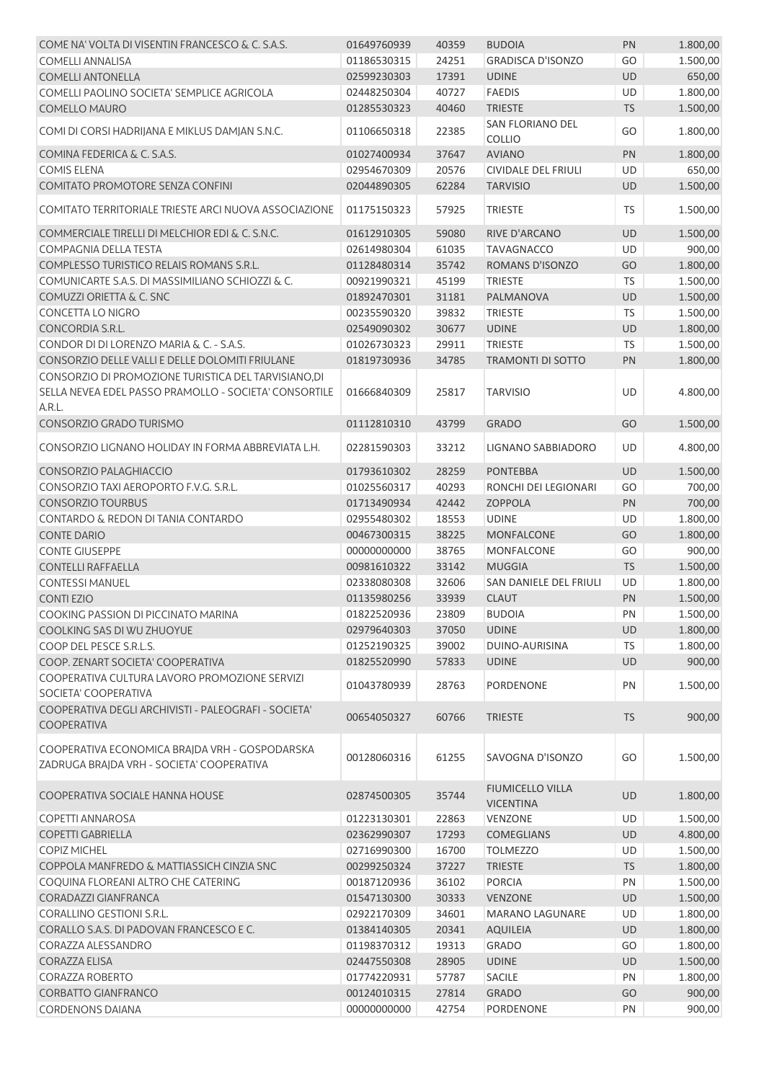| COME NA' VOLTA DI VISENTIN FRANCESCO & C. S.A.S.                                                                        | 01649760939 | 40359 | <b>BUDOIA</b>                               | PN         | 1.800,00 |
|-------------------------------------------------------------------------------------------------------------------------|-------------|-------|---------------------------------------------|------------|----------|
| <b>COMELLI ANNALISA</b>                                                                                                 | 01186530315 | 24251 | <b>GRADISCA D'ISONZO</b>                    | GO         | 1.500,00 |
| <b>COMELLI ANTONELLA</b>                                                                                                | 02599230303 | 17391 | <b>UDINE</b>                                | <b>UD</b>  | 650,00   |
| COMELLI PAOLINO SOCIETA' SEMPLICE AGRICOLA                                                                              | 02448250304 | 40727 | <b>FAEDIS</b>                               | <b>UD</b>  | 1.800,00 |
| <b>COMELLO MAURO</b>                                                                                                    | 01285530323 | 40460 | <b>TRIESTE</b>                              | TS         | 1.500,00 |
| COMI DI CORSI HADRIJANA E MIKLUS DAMJAN S.N.C.                                                                          | 01106650318 | 22385 | SAN FLORIANO DEL<br><b>COLLIO</b>           | GO         | 1.800,00 |
| COMINA FEDERICA & C. S.A.S.                                                                                             | 01027400934 | 37647 | <b>AVIANO</b>                               | PN         | 1.800,00 |
| <b>COMIS ELENA</b>                                                                                                      | 02954670309 | 20576 | CIVIDALE DEL FRIULI                         | UD         | 650,00   |
| <b>COMITATO PROMOTORE SENZA CONFINI</b>                                                                                 | 02044890305 | 62284 | <b>TARVISIO</b>                             | <b>UD</b>  | 1.500,00 |
| COMITATO TERRITORIALE TRIESTE ARCI NUOVA ASSOCIAZIONE                                                                   | 01175150323 | 57925 | <b>TRIESTE</b>                              | <b>TS</b>  | 1.500,00 |
| COMMERCIALE TIRELLI DI MELCHIOR EDI & C. S.N.C.                                                                         | 01612910305 | 59080 | RIVE D'ARCANO                               | <b>UD</b>  | 1.500,00 |
| COMPAGNIA DELLA TESTA                                                                                                   | 02614980304 | 61035 | <b>TAVAGNACCO</b>                           | <b>UD</b>  | 900,00   |
| COMPLESSO TURISTICO RELAIS ROMANS S.R.L.                                                                                | 01128480314 | 35742 | ROMANS D'ISONZO                             | GO         | 1.800,00 |
| COMUNICARTE S.A.S. DI MASSIMILIANO SCHIOZZI & C.                                                                        | 00921990321 | 45199 | <b>TRIESTE</b>                              | TS         | 1.500,00 |
| COMUZZI ORIETTA & C. SNC                                                                                                | 01892470301 | 31181 | PALMANOVA                                   | UD         | 1.500,00 |
| <b>CONCETTA LO NIGRO</b>                                                                                                | 00235590320 | 39832 | <b>TRIESTE</b>                              | <b>TS</b>  | 1.500,00 |
| CONCORDIA S.R.L.                                                                                                        | 02549090302 | 30677 | <b>UDINE</b>                                | <b>UD</b>  | 1.800,00 |
| CONDOR DI DI LORENZO MARIA & C. - S.A.S.                                                                                | 01026730323 | 29911 | <b>TRIESTE</b>                              | TS         | 1.500,00 |
| CONSORZIO DELLE VALLI E DELLE DOLOMITI FRIULANE                                                                         | 01819730936 | 34785 | <b>TRAMONTI DI SOTTO</b>                    | PN         | 1.800,00 |
| CONSORZIO DI PROMOZIONE TURISTICA DEL TARVISIANO, DI<br>SELLA NEVEA EDEL PASSO PRAMOLLO - SOCIETA' CONSORTILE<br>A.R.L. | 01666840309 | 25817 | <b>TARVISIO</b>                             | UD         | 4.800,00 |
| CONSORZIO GRADO TURISMO                                                                                                 | 01112810310 | 43799 | <b>GRADO</b>                                | GO         | 1.500,00 |
| CONSORZIO LIGNANO HOLIDAY IN FORMA ABBREVIATA L.H.                                                                      | 02281590303 | 33212 | LIGNANO SABBIADORO                          | UD         | 4.800,00 |
| CONSORZIO PALAGHIACCIO                                                                                                  | 01793610302 | 28259 | <b>PONTEBBA</b>                             | <b>UD</b>  | 1.500,00 |
| CONSORZIO TAXI AEROPORTO F.V.G. S.R.L.                                                                                  | 01025560317 | 40293 | RONCHI DEI LEGIONARI                        | GO         | 700,00   |
| <b>CONSORZIO TOURBUS</b>                                                                                                | 01713490934 | 42442 | <b>ZOPPOLA</b>                              | PN         | 700,00   |
| CONTARDO & REDON DI TANIA CONTARDO                                                                                      | 02955480302 | 18553 | <b>UDINE</b>                                | UD         | 1.800,00 |
| <b>CONTE DARIO</b>                                                                                                      | 00467300315 | 38225 | <b>MONFALCONE</b>                           | GO         | 1.800,00 |
| <b>CONTE GIUSEPPE</b>                                                                                                   | 00000000000 | 38765 | <b>MONFALCONE</b>                           | GO         | 900,00   |
| <b>CONTELLI RAFFAELLA</b>                                                                                               | 00981610322 | 33142 | <b>MUGGIA</b>                               | <b>TS</b>  | 1.500,00 |
| <b>CONTESSI MANUEL</b>                                                                                                  | 02338080308 | 32606 | SAN DANIELE DEL FRIULI                      | <b>UD</b>  | 1.800,00 |
| <b>CONTIEZIO</b>                                                                                                        | 01135980256 | 33939 | <b>CLAUT</b>                                | PN         | 1.500,00 |
| COOKING PASSION DI PICCINATO MARINA                                                                                     | 01822520936 | 23809 | <b>BUDOIA</b>                               | ${\sf PN}$ | 1.500,00 |
| COOLKING SAS DI WU ZHUOYUE                                                                                              | 02979640303 | 37050 | <b>UDINE</b>                                | UD         | 1.800,00 |
| COOP DEL PESCE S.R.L.S.                                                                                                 | 01252190325 | 39002 | DUINO-AURISINA                              | TS.        | 1.800,00 |
| COOP. ZENART SOCIETA' COOPERATIVA                                                                                       | 01825520990 | 57833 | <b>UDINE</b>                                | <b>UD</b>  | 900,00   |
| COOPERATIVA CULTURA LAVORO PROMOZIONE SERVIZI                                                                           | 01043780939 | 28763 | <b>PORDENONE</b>                            | PN         | 1.500,00 |
| SOCIETA' COOPERATIVA<br>COOPERATIVA DEGLI ARCHIVISTI - PALEOGRAFI - SOCIETA'                                            | 00654050327 | 60766 | <b>TRIESTE</b>                              | <b>TS</b>  | 900,00   |
| <b>COOPERATIVA</b><br>COOPERATIVA ECONOMICA BRAJDA VRH - GOSPODARSKA                                                    |             |       |                                             |            |          |
| ZADRUGA BRAJDA VRH - SOCIETA' COOPERATIVA                                                                               | 00128060316 | 61255 | SAVOGNA D'ISONZO                            | GO         | 1.500,00 |
| COOPERATIVA SOCIALE HANNA HOUSE                                                                                         | 02874500305 | 35744 | <b>FIUMICELLO VILLA</b><br><b>VICENTINA</b> | UD         | 1.800,00 |
| COPETTI ANNAROSA                                                                                                        | 01223130301 | 22863 | <b>VENZONE</b>                              | UD         | 1.500,00 |
| <b>COPETTI GABRIELLA</b>                                                                                                | 02362990307 | 17293 | <b>COMEGLIANS</b>                           | UD         | 4.800,00 |
| <b>COPIZ MICHEL</b>                                                                                                     | 02716990300 | 16700 | <b>TOLMEZZO</b>                             | UD         | 1.500,00 |
| COPPOLA MANFREDO & MATTIASSICH CINZIA SNC                                                                               | 00299250324 | 37227 | <b>TRIESTE</b>                              | <b>TS</b>  | 1.800,00 |
| COQUINA FLOREANI ALTRO CHE CATERING                                                                                     | 00187120936 | 36102 | <b>PORCIA</b>                               | PN         | 1.500,00 |
| CORADAZZI GIANFRANCA                                                                                                    | 01547130300 | 30333 | <b>VENZONE</b>                              | UD         | 1.500,00 |
| CORALLINO GESTIONI S.R.L.                                                                                               | 02922170309 | 34601 | <b>MARANO LAGUNARE</b>                      | UD         | 1.800,00 |
| CORALLO S.A.S. DI PADOVAN FRANCESCO E C.                                                                                | 01384140305 | 20341 | <b>AQUILEIA</b>                             | UD         | 1.800,00 |
| CORAZZA ALESSANDRO                                                                                                      | 01198370312 | 19313 | <b>GRADO</b>                                | GO         | 1.800,00 |
| CORAZZA ELISA                                                                                                           | 02447550308 | 28905 | <b>UDINE</b>                                | UD         | 1.500,00 |
| CORAZZA ROBERTO                                                                                                         | 01774220931 | 57787 | <b>SACILE</b>                               | PN         | 1.800,00 |
| <b>CORBATTO GIANFRANCO</b>                                                                                              | 00124010315 | 27814 | <b>GRADO</b>                                | GO         | 900,00   |
| <b>CORDENONS DAIANA</b>                                                                                                 | 00000000000 | 42754 | PORDENONE                                   | PN         | 900,00   |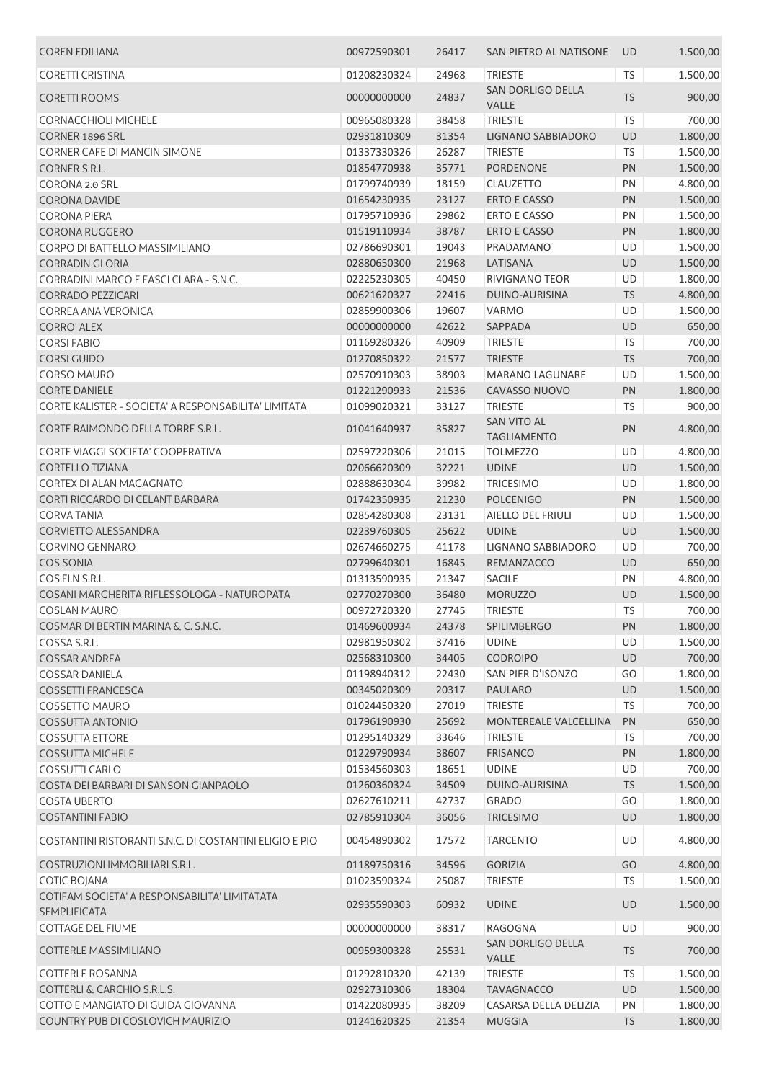| <b>COREN EDILIANA</b>                                   | 00972590301 | 26417 | SAN PIETRO AL NATISONE                   | <b>UD</b> | 1.500,00 |
|---------------------------------------------------------|-------------|-------|------------------------------------------|-----------|----------|
| <b>CORETTI CRISTINA</b>                                 | 01208230324 | 24968 | <b>TRIESTE</b>                           | TS        | 1.500,00 |
| <b>CORETTI ROOMS</b>                                    | 00000000000 | 24837 | SAN DORLIGO DELLA<br>VALLE               | <b>TS</b> | 900,00   |
| <b>CORNACCHIOLI MICHELE</b>                             | 00965080328 | 38458 | <b>TRIESTE</b>                           | <b>TS</b> | 700,00   |
| <b>CORNER 1896 SRL</b>                                  | 02931810309 | 31354 | LIGNANO SABBIADORO                       | UD        | 1.800,00 |
| CORNER CAFE DI MANCIN SIMONE                            | 01337330326 | 26287 | <b>TRIESTE</b>                           | <b>TS</b> |          |
|                                                         |             |       |                                          |           | 1.500,00 |
| <b>CORNER S.R.L.</b>                                    | 01854770938 | 35771 | <b>PORDENONE</b>                         | PN        | 1.500,00 |
| CORONA 2.0 SRL                                          | 01799740939 | 18159 | CLAUZETTO                                | PN        | 4.800,00 |
| <b>CORONA DAVIDE</b>                                    | 01654230935 | 23127 | <b>ERTO E CASSO</b>                      | PN        | 1.500,00 |
| <b>CORONA PIERA</b>                                     | 01795710936 | 29862 | <b>ERTO E CASSO</b>                      | PN        | 1.500,00 |
| CORONA RUGGERO                                          | 01519110934 | 38787 | <b>ERTO E CASSO</b>                      | PN        | 1.800,00 |
| CORPO DI BATTELLO MASSIMILIANO                          | 02786690301 | 19043 | PRADAMANO                                | UD        | 1.500,00 |
| <b>CORRADIN GLORIA</b>                                  | 02880650300 | 21968 | LATISANA                                 | UD        | 1.500,00 |
| CORRADINI MARCO E FASCI CLARA - S.N.C.                  | 02225230305 | 40450 | RIVIGNANO TEOR                           | UD        | 1.800,00 |
| <b>CORRADO PEZZICARI</b>                                | 00621620327 | 22416 | DUINO-AURISINA                           | <b>TS</b> | 4.800,00 |
| <b>CORREA ANA VERONICA</b>                              | 02859900306 | 19607 | <b>VARMO</b>                             | UD        | 1.500,00 |
| <b>CORRO' ALEX</b>                                      | 00000000000 | 42622 | SAPPADA                                  | <b>UD</b> | 650,00   |
| <b>CORSIFABIO</b>                                       | 01169280326 | 40909 | <b>TRIESTE</b>                           | <b>TS</b> | 700,00   |
| <b>CORSI GUIDO</b>                                      | 01270850322 | 21577 | <b>TRIESTE</b>                           | <b>TS</b> | 700,00   |
| CORSO MAURO                                             | 02570910303 | 38903 | <b>MARANO LAGUNARE</b>                   | UD        | 1.500,00 |
| <b>CORTE DANIELE</b>                                    |             |       |                                          |           |          |
|                                                         | 01221290933 | 21536 | CAVASSO NUOVO                            | PN        | 1.800,00 |
| CORTE KALISTER - SOCIETA' A RESPONSABILITA' LIMITATA    | 01099020321 | 33127 | <b>TRIESTE</b>                           | <b>TS</b> | 900,00   |
| CORTE RAIMONDO DELLA TORRE S.R.L.                       | 01041640937 | 35827 | <b>SAN VITO AL</b><br><b>TAGLIAMENTO</b> | PN        | 4.800,00 |
| CORTE VIAGGI SOCIETA' COOPERATIVA                       | 02597220306 | 21015 | <b>TOLMEZZO</b>                          | UD        | 4.800,00 |
| <b>CORTELLO TIZIANA</b>                                 | 02066620309 | 32221 | <b>UDINE</b>                             | <b>UD</b> | 1.500,00 |
| CORTEX DI ALAN MAGAGNATO                                | 02888630304 | 39982 | <b>TRICESIMO</b>                         | UD        | 1.800,00 |
| CORTI RICCARDO DI CELANT BARBARA                        | 01742350935 | 21230 | <b>POLCENIGO</b>                         | <b>PN</b> |          |
|                                                         |             |       |                                          |           | 1.500,00 |
| <b>CORVATANIA</b>                                       | 02854280308 | 23131 | AIELLO DEL FRIULI                        | UD        | 1.500,00 |
| <b>CORVIETTO ALESSANDRA</b>                             | 02239760305 | 25622 | <b>UDINE</b>                             | UD        | 1.500,00 |
| <b>CORVINO GENNARO</b>                                  | 02674660275 | 41178 | <b>LIGNANO SABBIADORO</b>                | UD        | 700,00   |
| <b>COS SONIA</b>                                        | 02799640301 | 16845 | REMANZACCO                               | UD        | 650,00   |
| COS.FI.N S.R.L.                                         | 01313590935 | 21347 | SACILE                                   | PN        | 4.800,00 |
| COSANI MARGHERITA RIFLESSOLOGA - NATUROPATA             | 02770270300 | 36480 | <b>MORUZZO</b>                           | UD        | 1.500,00 |
| <b>COSLAN MAURO</b>                                     | 00972720320 | 27745 | <b>TRIESTE</b>                           | TS        | 700,00   |
| COSMAR DI BERTIN MARINA & C. S.N.C.                     | 01469600934 | 24378 | <b>SPILIMBERGO</b>                       | <b>PN</b> | 1.800,00 |
| COSSA S.R.L.                                            | 02981950302 | 37416 | <b>UDINE</b>                             | UD        | 1.500,00 |
| <b>COSSAR ANDREA</b>                                    | 02568310300 | 34405 | <b>CODROIPO</b>                          | <b>UD</b> | 700,00   |
| <b>COSSAR DANIELA</b>                                   | 01198940312 | 22430 | SAN PIER D'ISONZO                        | GO        | 1.800,00 |
| <b>COSSETTI FRANCESCA</b>                               | 00345020309 | 20317 | <b>PAULARO</b>                           | UD        | 1.500,00 |
| <b>COSSETTO MAURO</b>                                   | 01024450320 | 27019 | <b>TRIESTE</b>                           | <b>TS</b> | 700,00   |
| <b>COSSUTTA ANTONIO</b>                                 | 01796190930 | 25692 | MONTEREALE VALCELLINA                    | PN        | 650,00   |
| <b>COSSUTTA ETTORE</b>                                  | 01295140329 | 33646 | <b>TRIESTE</b>                           | TS.       | 700,00   |
| <b>COSSUTTA MICHELE</b>                                 | 01229790934 | 38607 | <b>FRISANCO</b>                          | PN        | 1.800,00 |
| COSSUTTI CARLO                                          | 01534560303 | 18651 | <b>UDINE</b>                             | UD        | 700,00   |
|                                                         |             |       |                                          |           |          |
| COSTA DEI BARBARI DI SANSON GIANPAOLO                   | 01260360324 | 34509 | DUINO-AURISINA                           | <b>TS</b> | 1.500,00 |
| <b>COSTA UBERTO</b>                                     | 02627610211 | 42737 | <b>GRADO</b>                             | GO        | 1.800,00 |
| <b>COSTANTINI FABIO</b>                                 | 02785910304 | 36056 | <b>TRICESIMO</b>                         | UD        | 1.800,00 |
| COSTANTINI RISTORANTI S.N.C. DI COSTANTINI ELIGIO E PIO | 00454890302 | 17572 | <b>TARCENTO</b>                          | UD        | 4.800,00 |
| COSTRUZIONI IMMOBILIARI S.R.L.                          | 01189750316 | 34596 | <b>GORIZIA</b>                           | GO        | 4.800,00 |
| <b>COTIC BOJANA</b>                                     | 01023590324 | 25087 | <b>TRIESTE</b>                           | <b>TS</b> | 1.500,00 |
| COTIFAM SOCIETA' A RESPONSABILITA' LIMITATATA           | 02935590303 | 60932 | <b>UDINE</b>                             | <b>UD</b> | 1.500,00 |
| <b>SEMPLIFICATA</b><br><b>COTTAGE DEL FIUME</b>         | 00000000000 | 38317 | RAGOGNA                                  | <b>UD</b> | 900,00   |
|                                                         |             |       | SAN DORLIGO DELLA                        |           |          |
| COTTERLE MASSIMILIANO                                   | 00959300328 | 25531 | VALLE                                    | <b>TS</b> | 700,00   |
| <b>COTTERLE ROSANNA</b>                                 | 01292810320 | 42139 | TRIESTE                                  | <b>TS</b> | 1.500,00 |
| <b>COTTERLI &amp; CARCHIO S.R.L.S.</b>                  | 02927310306 | 18304 | <b>TAVAGNACCO</b>                        | UD        | 1.500,00 |
| COTTO E MANGIATO DI GUIDA GIOVANNA                      | 01422080935 | 38209 | CASARSA DELLA DELIZIA                    | PN        | 1.800,00 |
| COUNTRY PUB DI COSLOVICH MAURIZIO                       | 01241620325 | 21354 | <b>MUGGIA</b>                            | <b>TS</b> | 1.800,00 |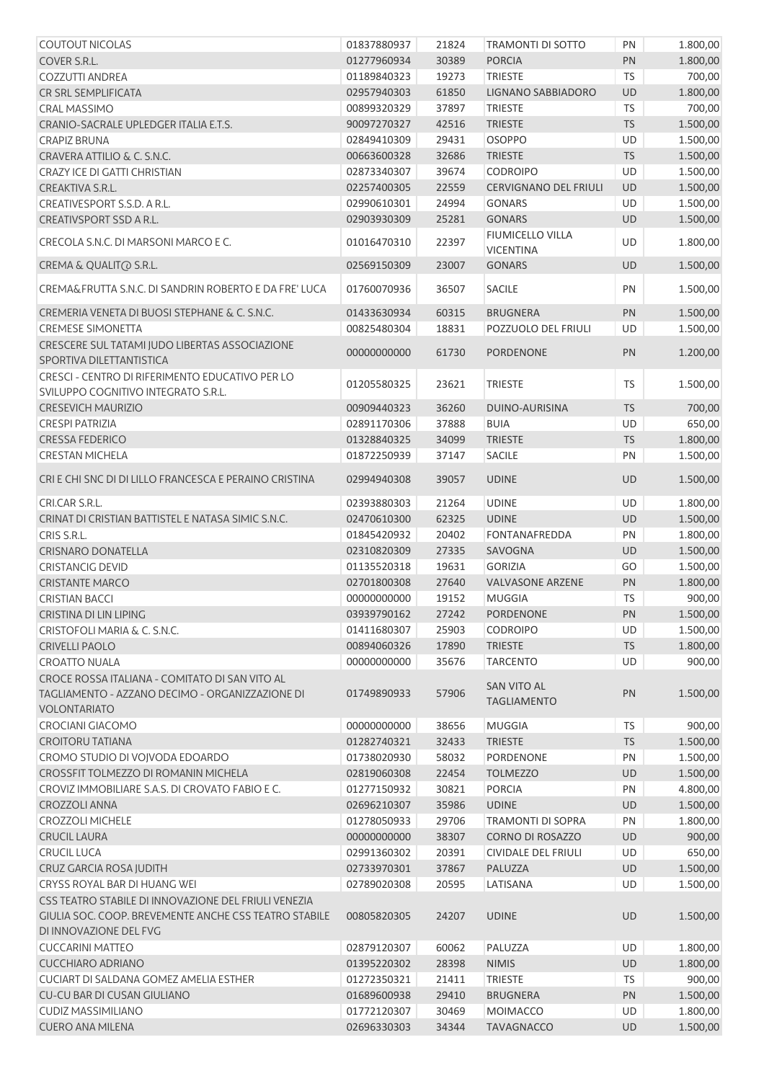| <b>COUTOUT NICOLAS</b>                                                                 | 01837880937                | 21824 | TRAMONTI DI SOTTO                           | PN        | 1.800,00           |
|----------------------------------------------------------------------------------------|----------------------------|-------|---------------------------------------------|-----------|--------------------|
| COVER S.R.L.                                                                           | 01277960934                | 30389 | <b>PORCIA</b>                               | PN        | 1.800,00           |
| <b>COZZUTTI ANDREA</b>                                                                 | 01189840323                | 19273 | <b>TRIESTE</b>                              | <b>TS</b> | 700,00             |
| CR SRL SEMPLIFICATA                                                                    | 02957940303                | 61850 | LIGNANO SABBIADORO                          | <b>UD</b> | 1.800,00           |
| <b>CRAL MASSIMO</b>                                                                    | 00899320329                | 37897 | <b>TRIESTE</b>                              | <b>TS</b> | 700,00             |
| CRANIO-SACRALE UPLEDGER ITALIA E.T.S.                                                  | 90097270327                | 42516 | <b>TRIESTE</b>                              | <b>TS</b> | 1.500,00           |
| <b>CRAPIZ BRUNA</b>                                                                    | 02849410309                | 29431 | OSOPPO                                      | UD        | 1.500,00           |
| CRAVERA ATTILIO & C. S.N.C.                                                            | 00663600328                | 32686 | <b>TRIESTE</b>                              | TS        | 1.500,00           |
| <b>CRAZY ICE DI GATTI CHRISTIAN</b>                                                    | 02873340307                | 39674 | <b>CODROIPO</b>                             | UD        | 1.500,00           |
| CREAKTIVA S.R.L.                                                                       | 02257400305                | 22559 | <b>CERVIGNANO DEL FRIULI</b>                | UD        | 1.500,00           |
| CREATIVESPORT S.S.D. A R.L.                                                            | 02990610301                | 24994 | <b>GONARS</b>                               | <b>UD</b> | 1.500,00           |
| CREATIVSPORT SSD A R.L.                                                                | 02903930309                | 25281 | <b>GONARS</b>                               | <b>UD</b> | 1.500,00           |
| CRECOLA S.N.C. DI MARSONI MARCO E C.                                                   | 01016470310                | 22397 | <b>FIUMICELLO VILLA</b><br><b>VICENTINA</b> | UD        | 1.800,00           |
| CREMA & QUALIT@ S.R.L.                                                                 | 02569150309                | 23007 | <b>GONARS</b>                               | UD        | 1.500,00           |
| CREMA&FRUTTA S.N.C. DI SANDRIN ROBERTO E DA FRE' LUCA                                  | 01760070936                | 36507 | <b>SACILE</b>                               | PN        | 1.500,00           |
| CREMERIA VENETA DI BUOSI STEPHANE & C. S.N.C.                                          | 01433630934                | 60315 | <b>BRUGNERA</b>                             | PN        | 1.500,00           |
| <b>CREMESE SIMONETTA</b>                                                               | 00825480304                | 18831 | POZZUOLO DEL FRIULI                         | <b>UD</b> | 1.500,00           |
| CRESCERE SUL TATAMI JUDO LIBERTAS ASSOCIAZIONE<br>SPORTIVA DILETTANTISTICA             | 00000000000                | 61730 | <b>PORDENONE</b>                            | PN        | 1.200,00           |
| CRESCI - CENTRO DI RIFERIMENTO EDUCATIVO PER LO<br>SVILUPPO COGNITIVO INTEGRATO S.R.L. | 01205580325                | 23621 | <b>TRIESTE</b>                              | <b>TS</b> | 1.500,00           |
| <b>CRESEVICH MAURIZIO</b>                                                              | 00909440323                | 36260 | DUINO-AURISINA                              | <b>TS</b> | 700,00             |
| <b>CRESPI PATRIZIA</b>                                                                 | 02891170306                | 37888 | <b>BUIA</b>                                 | UD        | 650,00             |
| <b>CRESSA FEDERICO</b>                                                                 | 01328840325                | 34099 | <b>TRIESTE</b>                              | <b>TS</b> | 1.800,00           |
| <b>CRESTAN MICHELA</b>                                                                 | 01872250939                | 37147 | SACILE                                      | PN        | 1.500,00           |
| CRI E CHI SNC DI DI LILLO FRANCESCA E PERAINO CRISTINA                                 | 02994940308                | 39057 | <b>UDINE</b>                                | UD        | 1.500,00           |
|                                                                                        |                            |       |                                             |           |                    |
| CRI.CAR S.R.L.                                                                         | 02393880303                | 21264 | <b>UDINE</b>                                | UD        | 1.800,00           |
| CRINAT DI CRISTIAN BATTISTEL E NATASA SIMIC S.N.C.                                     | 02470610300                | 62325 | <b>UDINE</b>                                | UD        | 1.500,00           |
| CRIS S.R.L.<br><b>CRISNARO DONATELLA</b>                                               | 01845420932                | 20402 | <b>FONTANAFREDDA</b>                        | PN        | 1.800,00           |
|                                                                                        | 02310820309                | 27335 | SAVOGNA                                     | UD        | 1.500,00           |
| <b>CRISTANCIG DEVID</b><br><b>CRISTANTE MARCO</b>                                      | 01135520318                | 19631 | <b>GORIZIA</b>                              | GO<br>PN  | 1.500,00           |
| <b>CRISTIAN BACCI</b>                                                                  | 02701800308<br>00000000000 | 27640 | <b>VALVASONE ARZENE</b>                     |           | 1.800,00           |
| CRISTINA DI LIN LIPING                                                                 | 03939790162                | 19152 | MUGGIA<br>27242 PORDENONE                   | TS.<br>PN | 900,00<br>1.500,00 |
| CRISTOFOLI MARIA & C. S.N.C.                                                           | 01411680307                | 25903 |                                             |           |                    |
|                                                                                        |                            |       | <b>CODROIPO</b>                             | UD        | 1.500,00           |
| <b>CRIVELLI PAOLO</b>                                                                  | 00894060326                | 17890 | <b>TRIESTE</b>                              | <b>TS</b> | 1.800,00           |
| <b>CROATTO NUALA</b><br>CROCE ROSSA ITALIANA - COMITATO DI SAN VITO AL                 | 00000000000                | 35676 | <b>TARCENTO</b><br><b>SAN VITO AL</b>       | <b>UD</b> | 900,00             |
| TAGLIAMENTO - AZZANO DECIMO - ORGANIZZAZIONE DI<br><b>VOLONTARIATO</b>                 | 01749890933                | 57906 | <b>TAGLIAMENTO</b>                          | PN        | 1.500,00           |
| CROCIANI GIACOMO                                                                       | 00000000000                | 38656 | <b>MUGGIA</b>                               | <b>TS</b> | 900,00             |
| <b>CROITORU TATIANA</b>                                                                | 01282740321                | 32433 | <b>TRIESTE</b>                              | <b>TS</b> | 1.500,00           |
| CROMO STUDIO DI VOJVODA EDOARDO                                                        | 01738020930                | 58032 | <b>PORDENONE</b>                            | PN        | 1.500,00           |
| CROSSFIT TOLMEZZO DI ROMANIN MICHELA                                                   | 02819060308                | 22454 | <b>TOLMEZZO</b>                             | UD        | 1.500,00           |
| CROVIZ IMMOBILIARE S.A.S. DI CROVATO FABIO E C.                                        | 01277150932                | 30821 | <b>PORCIA</b>                               | PN        | 4.800,00           |
| <b>CROZZOLI ANNA</b>                                                                   | 02696210307                | 35986 | <b>UDINE</b>                                | UD        | 1.500,00           |
| <b>CROZZOLI MICHELE</b>                                                                | 01278050933                | 29706 | <b>TRAMONTI DI SOPRA</b>                    | PN        | 1.800,00           |
| <b>CRUCIL LAURA</b>                                                                    | 00000000000                | 38307 | <b>CORNO DI ROSAZZO</b>                     | UD        | 900,00             |
| <b>CRUCIL LUCA</b>                                                                     | 02991360302                | 20391 | CIVIDALE DEL FRIULI                         | UD        | 650,00             |
| CRUZ GARCIA ROSA JUDITH                                                                | 02733970301                | 37867 | PALUZZA                                     | UD        | 1.500,00           |
| CRYSS ROYAL BAR DI HUANG WEI                                                           | 02789020308                | 20595 | LATISANA                                    | UD        | 1.500,00           |
| CSS TEATRO STABILE DI INNOVAZIONE DEL FRIULI VENEZIA                                   |                            |       |                                             |           |                    |
| GIULIA SOC. COOP. BREVEMENTE ANCHE CSS TEATRO STABILE<br>DI INNOVAZIONE DEL FVG        | 00805820305                | 24207 | <b>UDINE</b>                                | UD        | 1.500,00           |
| <b>CUCCARINI MATTEO</b>                                                                | 02879120307                | 60062 | PALUZZA                                     | UD        | 1.800,00           |
| <b>CUCCHIARO ADRIANO</b>                                                               | 01395220302                | 28398 | <b>NIMIS</b>                                | UD        | 1.800,00           |
| CUCIART DI SALDANA GOMEZ AMELIA ESTHER                                                 | 01272350321                | 21411 | <b>TRIESTE</b>                              | TS        | 900,00             |
| CU-CU BAR DI CUSAN GIULIANO                                                            | 01689600938                | 29410 | <b>BRUGNERA</b>                             | PN        | 1.500,00           |
| <b>CUDIZ MASSIMILIANO</b>                                                              | 01772120307                | 30469 | MOIMACCO                                    | UD        | 1.800,00           |
| <b>CUERO ANA MILENA</b>                                                                | 02696330303                | 34344 | <b>TAVAGNACCO</b>                           | UD        | 1.500,00           |
|                                                                                        |                            |       |                                             |           |                    |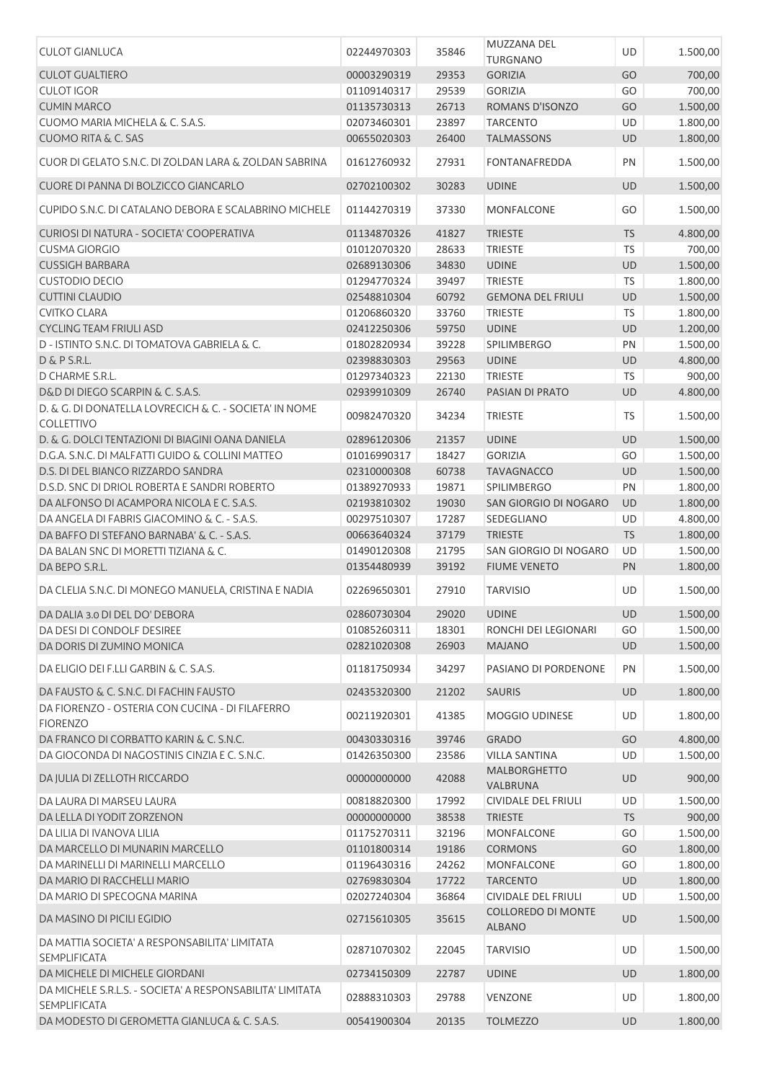| <b>CULOT GIANLUCA</b>                                                            | 02244970303 | 35846       | MUZZANA DEL<br><b>TURGNANO</b>  | UD        | 1.500,00 |
|----------------------------------------------------------------------------------|-------------|-------------|---------------------------------|-----------|----------|
| <b>CULOT GUALTIERO</b>                                                           | 00003290319 | 29353       | <b>GORIZIA</b>                  | GO        | 700,00   |
| <b>CULOT IGOR</b>                                                                | 01109140317 | 29539       | <b>GORIZIA</b>                  | GO        | 700,00   |
| <b>CUMIN MARCO</b>                                                               | 01135730313 | 26713       | ROMANS D'ISONZO                 | GO        | 1.500,00 |
| CUOMO MARIA MICHELA & C. S.A.S.                                                  | 02073460301 | 23897       | <b>TARCENTO</b>                 | UD        | 1.800,00 |
| <b>CUOMO RITA &amp; C. SAS</b>                                                   | 00655020303 | 26400       | <b>TALMASSONS</b>               | <b>UD</b> | 1.800,00 |
| CUOR DI GELATO S.N.C. DI ZOLDAN LARA & ZOLDAN SABRINA                            | 01612760932 | 27931       | FONTANAFREDDA                   | PN        | 1.500,00 |
| CUORE DI PANNA DI BOLZICCO GIANCARLO                                             | 02702100302 | 30283       | <b>UDINE</b>                    | <b>UD</b> | 1.500,00 |
| CUPIDO S.N.C. DI CATALANO DEBORA E SCALABRINO MICHELE                            | 01144270319 | 37330       | MONFALCONE                      | GO        | 1.500,00 |
| CURIOSI DI NATURA - SOCIETA' COOPERATIVA                                         | 01134870326 | 41827       | <b>TRIESTE</b>                  | <b>TS</b> | 4.800,00 |
| <b>CUSMA GIORGIO</b>                                                             | 01012070320 | 28633       | <b>TRIESTE</b>                  | TS        | 700,00   |
| <b>CUSSIGH BARBARA</b>                                                           | 02689130306 | 34830       | <b>UDINE</b>                    | <b>UD</b> | 1.500,00 |
| <b>CUSTODIO DECIO</b>                                                            | 01294770324 | 39497       | <b>TRIESTE</b>                  | <b>TS</b> | 1.800,00 |
| <b>CUTTINI CLAUDIO</b>                                                           | 02548810304 | 60792       | <b>GEMONA DEL FRIULI</b>        | UD        | 1.500,00 |
| <b>CVITKO CLARA</b>                                                              | 01206860320 | 33760       | <b>TRIESTE</b>                  | <b>TS</b> | 1.800,00 |
| <b>CYCLING TEAM FRIULI ASD</b>                                                   | 02412250306 | 59750       | <b>UDINE</b>                    | <b>UD</b> | 1.200,00 |
| D - ISTINTO S.N.C. DI TOMATOVA GABRIELA & C.                                     | 01802820934 | 39228       | <b>SPILIMBERGO</b>              | PN        | 1.500,00 |
| D & P S.R.L.                                                                     | 02398830303 | 29563       | <b>UDINE</b>                    | <b>UD</b> | 4.800,00 |
| D CHARME S.R.L.                                                                  | 01297340323 | 22130       | <b>TRIESTE</b>                  | TS        | 900,00   |
| D&D DI DIEGO SCARPIN & C. S.A.S.                                                 | 02939910309 | 26740       | PASIAN DI PRATO                 | <b>UD</b> | 4.800,00 |
| D. & G. DI DONATELLA LOVRECICH & C. - SOCIETA' IN NOME                           |             |             |                                 |           |          |
| <b>COLLETTIVO</b>                                                                | 00982470320 | 34234       | <b>TRIESTE</b>                  | TS        | 1.500,00 |
| D. & G. DOLCI TENTAZIONI DI BIAGINI OANA DANIELA                                 | 02896120306 | 21357       | <b>UDINE</b>                    | <b>UD</b> | 1.500,00 |
| D.G.A. S.N.C. DI MALFATTI GUIDO & COLLINI MATTEO                                 | 01016990317 | 18427       | <b>GORIZIA</b>                  | GO        | 1.500,00 |
| D.S. DI DEL BIANCO RIZZARDO SANDRA                                               | 02310000308 | 60738       | <b>TAVAGNACCO</b>               | UD        | 1.500,00 |
| D.S.D. SNC DI DRIOL ROBERTA E SANDRI ROBERTO                                     | 01389270933 | 19871       | SPILIMBERGO                     | PN        | 1.800,00 |
| DA ALFONSO DI ACAMPORA NICOLA E C. S.A.S.                                        | 02193810302 | 19030       | SAN GIORGIO DI NOGARO           | UD        | 1.800,00 |
| DA ANGELA DI FABRIS GIACOMINO & C. - S.A.S.                                      | 00297510307 | 17287       | SEDEGLIANO                      | UD        | 4.800,00 |
| DA BAFFO DI STEFANO BARNABA' & C. - S.A.S.                                       | 00663640324 | 37179       | <b>TRIESTE</b>                  | <b>TS</b> | 1.800,00 |
| DA BALAN SNC DI MORETTI TIZIANA & C.                                             | 01490120308 | 21795       | SAN GIORGIO DI NOGARO           | UD        | 1.500,00 |
| DA BEPO S.R.L.                                                                   | 01354480939 | 39192       | <b>FIUME VENETO</b>             | PN        | 1.800,00 |
| DA CLELIA S.N.C. DI MONEGO MANUELA, CRISTINA E NADIA                             | 02269650301 | 27910       | <b>TARVISIO</b>                 | UD        | 1.500,00 |
| DA DALIA 3.0 DI DEL DO' DEBORA                                                   | 02860730304 | 29020 UDINE |                                 | <b>UD</b> | 1.500,00 |
| DA DESI DI CONDOLF DESIREE                                                       | 01085260311 | 18301       | RONCHI DEI LEGIONARI            | GO        | 1.500,00 |
| DA DORIS DI ZUMINO MONICA                                                        | 02821020308 | 26903       | <b>MAJANO</b>                   | <b>UD</b> | 1.500,00 |
| DA ELIGIO DEI F.LLI GARBIN & C. S.A.S.                                           | 01181750934 | 34297       | PASIANO DI PORDENONE            | PN        | 1.500,00 |
| DA FAUSTO & C. S.N.C. DI FACHIN FAUSTO                                           |             |             |                                 |           |          |
| DA FIORENZO - OSTERIA CON CUCINA - DI FILAFERRO                                  | 02435320300 | 21202       | <b>SAURIS</b>                   | UD        | 1.800,00 |
| <b>FIORENZO</b>                                                                  | 00211920301 | 41385       | MOGGIO UDINESE                  | UD        | 1.800,00 |
| DA FRANCO DI CORBATTO KARIN & C. S.N.C.                                          | 00430330316 | 39746       | <b>GRADO</b>                    | GO        | 4.800,00 |
| DA GIOCONDA DI NAGOSTINIS CINZIA E C. S.N.C.                                     | 01426350300 | 23586       | <b>VILLA SANTINA</b>            | UD        | 1.500,00 |
| DA JULIA DI ZELLOTH RICCARDO                                                     | 00000000000 | 42088       | <b>MALBORGHETTO</b><br>VALBRUNA | UD        | 900,00   |
| DA LAURA DI MARSEU LAURA                                                         | 00818820300 | 17992       | CIVIDALE DEL FRIULI             | UD        | 1.500,00 |
| DA LELLA DI YODIT ZORZENON                                                       | 00000000000 | 38538       | <b>TRIESTE</b>                  | <b>TS</b> | 900,00   |
| DA LILIA DI IVANOVA LILIA                                                        | 01175270311 | 32196       | MONFALCONE                      | GO        | 1.500,00 |
| DA MARCELLO DI MUNARIN MARCELLO                                                  | 01101800314 | 19186       | <b>CORMONS</b>                  | GO        | 1.800,00 |
| DA MARINELLI DI MARINELLI MARCELLO                                               | 01196430316 | 24262       | <b>MONFALCONE</b>               | GO        | 1.800,00 |
| DA MARIO DI RACCHELLI MARIO                                                      | 02769830304 | 17722       | <b>TARCENTO</b>                 | UD        | 1.800,00 |
| DA MARIO DI SPECOGNA MARINA                                                      | 02027240304 | 36864       | CIVIDALE DEL FRIULI             | UD        | 1.500,00 |
| DA MASINO DI PICILI EGIDIO                                                       | 02715610305 | 35615       | COLLOREDO DI MONTE              | UD        | 1.500,00 |
| DA MATTIA SOCIETA' A RESPONSABILITA' LIMITATA                                    |             |             | <b>ALBANO</b>                   |           |          |
| <b>SEMPLIFICATA</b>                                                              | 02871070302 | 22045       | <b>TARVISIO</b>                 | UD        | 1.500,00 |
| DA MICHELE DI MICHELE GIORDANI                                                   | 02734150309 | 22787       | <b>UDINE</b>                    | UD        | 1.800,00 |
| DA MICHELE S.R.L.S. - SOCIETA' A RESPONSABILITA' LIMITATA<br><b>SEMPLIFICATA</b> | 02888310303 | 29788       | VENZONE                         | UD        | 1.800,00 |
| DA MODESTO DI GEROMETTA GIANLUCA & C. S.A.S.                                     | 00541900304 | 20135       | <b>TOLMEZZO</b>                 | <b>UD</b> | 1.800,00 |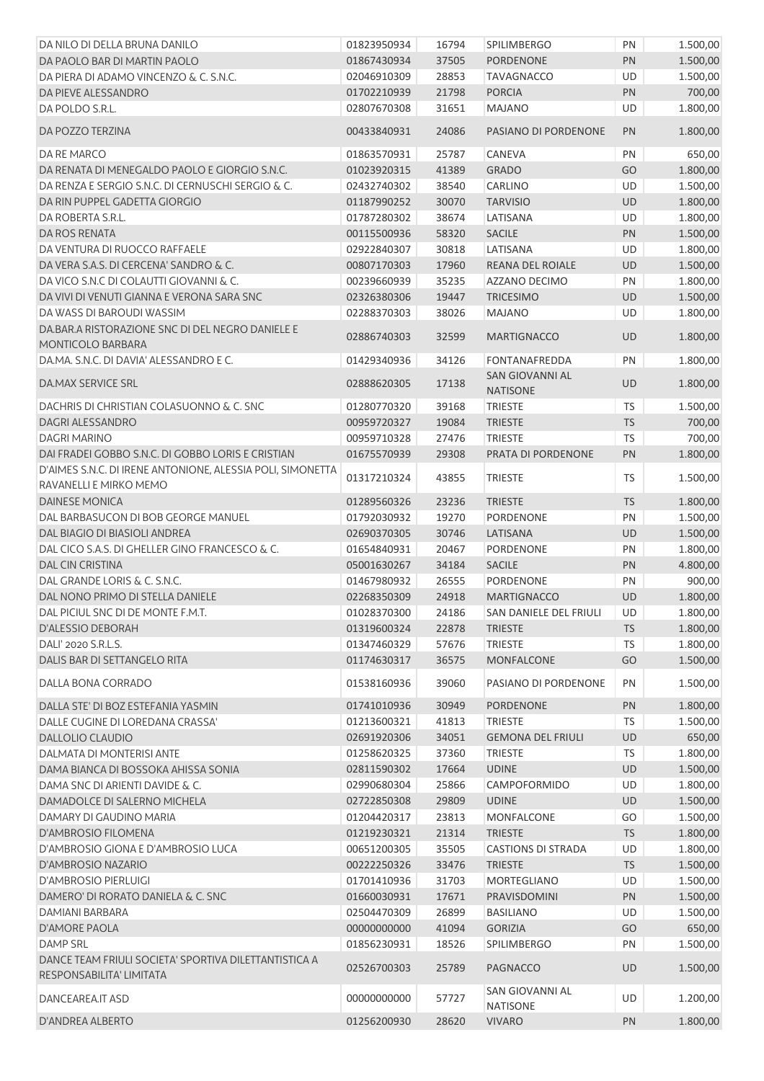| DA NILO DI DELLA BRUNA DANILO                                                        | 01823950934 | 16794 | <b>SPILIMBERGO</b>                 | PN        | 1.500,00 |
|--------------------------------------------------------------------------------------|-------------|-------|------------------------------------|-----------|----------|
| DA PAOLO BAR DI MARTIN PAOLO                                                         | 01867430934 | 37505 | <b>PORDENONE</b>                   | PN        | 1.500,00 |
| DA PIERA DI ADAMO VINCENZO & C. S.N.C.                                               | 02046910309 | 28853 | <b>TAVAGNACCO</b>                  | UD        | 1.500,00 |
| DA PIEVE ALESSANDRO                                                                  | 01702210939 | 21798 | <b>PORCIA</b>                      | PN        | 700,00   |
| DA POLDO S.R.L.                                                                      | 02807670308 | 31651 | <b>MAJANO</b>                      | UD        | 1.800,00 |
| DA POZZO TERZINA                                                                     | 00433840931 | 24086 | PASIANO DI PORDENONE               | <b>PN</b> | 1.800,00 |
| DA RE MARCO                                                                          | 01863570931 | 25787 | <b>CANEVA</b>                      | PN        | 650,00   |
| DA RENATA DI MENEGALDO PAOLO E GIORGIO S.N.C.                                        | 01023920315 | 41389 | <b>GRADO</b>                       | GO        | 1.800,00 |
| DA RENZA E SERGIO S.N.C. DI CERNUSCHI SERGIO & C.                                    | 02432740302 | 38540 | <b>CARLINO</b>                     | UD        | 1.500,00 |
| DA RIN PUPPEL GADETTA GIORGIO                                                        | 01187990252 | 30070 | <b>TARVISIO</b>                    | UD        | 1.800,00 |
| DA ROBERTA S.R.L.                                                                    | 01787280302 | 38674 | LATISANA                           | UD        | 1.800,00 |
| DA ROS RENATA                                                                        | 00115500936 | 58320 | <b>SACILE</b>                      | PN        | 1.500,00 |
| DA VENTURA DI RUOCCO RAFFAELE                                                        | 02922840307 | 30818 | LATISANA                           | UD        | 1.800,00 |
| DA VERA S.A.S. DI CERCENA' SANDRO & C.                                               | 00807170303 | 17960 | REANA DEL ROIALE                   | UD        | 1.500,00 |
| DA VICO S.N.C DI COLAUTTI GIOVANNI & C.                                              | 00239660939 | 35235 | AZZANO DECIMO                      | PN        | 1.800,00 |
| DA VIVI DI VENUTI GIANNA E VERONA SARA SNC                                           | 02326380306 | 19447 | <b>TRICESIMO</b>                   | UD        | 1.500,00 |
| DA WASS DI BAROUDI WASSIM                                                            | 02288370303 | 38026 | <b>MAJANO</b>                      | UD        | 1.800,00 |
| DA.BAR.A RISTORAZIONE SNC DI DEL NEGRO DANIELE E                                     |             |       |                                    |           |          |
| MONTICOLO BARBARA                                                                    | 02886740303 | 32599 | <b>MARTIGNACCO</b>                 | <b>UD</b> | 1.800,00 |
| DA.MA. S.N.C. DI DAVIA' ALESSANDRO E C.                                              | 01429340936 | 34126 | FONTANAFREDDA                      | PN        | 1.800,00 |
| DA, MAX SERVICE SRL                                                                  | 02888620305 | 17138 | SAN GIOVANNI AL<br><b>NATISONE</b> | UD        | 1.800,00 |
| DACHRIS DI CHRISTIAN COLASUONNO & C. SNC                                             | 01280770320 | 39168 | <b>TRIESTE</b>                     | <b>TS</b> | 1.500,00 |
| DAGRI ALESSANDRO                                                                     | 00959720327 | 19084 | <b>TRIESTE</b>                     | <b>TS</b> | 700,00   |
| DAGRI MARINO                                                                         | 00959710328 | 27476 | <b>TRIESTE</b>                     | <b>TS</b> | 700,00   |
| DAI FRADEI GOBBO S.N.C. DI GOBBO LORIS E CRISTIAN                                    | 01675570939 | 29308 | PRATA DI PORDENONE                 | PN        | 1.800,00 |
| D'AIMES S.N.C. DI IRENE ANTONIONE, ALESSIA POLI, SIMONETTA<br>RAVANELLI E MIRKO MEMO | 01317210324 | 43855 | <b>TRIESTE</b>                     | <b>TS</b> | 1.500,00 |
| <b>DAINESE MONICA</b>                                                                | 01289560326 | 23236 | <b>TRIESTE</b>                     | <b>TS</b> | 1.800,00 |
| DAL BARBASUCON DI BOB GEORGE MANUEL                                                  | 01792030932 | 19270 | <b>PORDENONE</b>                   | PN        | 1.500,00 |
| DAL BIAGIO DI BIASIOLI ANDREA                                                        | 02690370305 | 30746 | LATISANA                           | UD        | 1.500,00 |
| DAL CICO S.A.S. DI GHELLER GINO FRANCESCO & C.                                       | 01654840931 | 20467 | <b>PORDENONE</b>                   | PN        | 1.800,00 |
| <b>DAL CIN CRISTINA</b>                                                              | 05001630267 | 34184 | <b>SACILE</b>                      | PN        | 4.800,00 |
| DAL GRANDE LORIS & C. S.N.C.                                                         | 01467980932 | 26555 | <b>PORDENONE</b>                   | PN        | 900,00   |
| DAL NONO PRIMO DI STELLA DANIELE                                                     | 02268350309 | 24918 | MARTIGNACCO                        | <b>UD</b> | 1.800,00 |
| DAL PICIUL SNC DI DE MONTE F.M.T.                                                    | 01028370300 | 24186 | SAN DANIELE DEL FRIULI UD          |           | 1.800,00 |
| <b>D'ALESSIO DEBORAH</b>                                                             | 01319600324 | 22878 | <b>TRIESTE</b>                     | TS.       | 1.800,00 |
| DALI' 2020 S.R.L.S.                                                                  | 01347460329 | 57676 | <b>TRIESTE</b>                     | <b>TS</b> | 1.800,00 |
| DALIS BAR DI SETTANGELO RITA                                                         | 01174630317 | 36575 | <b>MONFALCONE</b>                  | GO        | 1.500,00 |
| DALLA BONA CORRADO                                                                   | 01538160936 | 39060 | PASIANO DI PORDENONE               | PN        | 1.500,00 |
|                                                                                      |             |       |                                    |           |          |
| DALLA STE' DI BOZ ESTEFANIA YASMIN                                                   | 01741010936 | 30949 | <b>PORDENONE</b>                   | PN        | 1.800,00 |
| DALLE CUGINE DI LOREDANA CRASSA'                                                     | 01213600321 | 41813 | <b>TRIESTE</b>                     | <b>TS</b> | 1.500,00 |
| <b>DALLOLIO CLAUDIO</b>                                                              | 02691920306 | 34051 | <b>GEMONA DEL FRIULI</b>           | UD        | 650,00   |
| DALMATA DI MONTERISI ANTE                                                            | 01258620325 | 37360 | <b>TRIESTE</b>                     | <b>TS</b> | 1.800,00 |
| DAMA BIANCA DI BOSSOKA AHISSA SONIA                                                  | 02811590302 | 17664 | <b>UDINE</b>                       | UD        | 1.500,00 |
| DAMA SNC DI ARIENTI DAVIDE & C.                                                      | 02990680304 | 25866 | <b>CAMPOFORMIDO</b>                | UD        | 1.800,00 |
| DAMADOLCE DI SALERNO MICHELA                                                         | 02722850308 | 29809 | <b>UDINE</b>                       | UD        | 1.500,00 |
| DAMARY DI GAUDINO MARIA                                                              | 01204420317 | 23813 | <b>MONFALCONE</b>                  | GO        | 1.500,00 |
| D'AMBROSIO FILOMENA                                                                  | 01219230321 | 21314 | <b>TRIESTE</b>                     | <b>TS</b> | 1.800,00 |
| D'AMBROSIO GIONA E D'AMBROSIO LUCA                                                   | 00651200305 | 35505 | <b>CASTIONS DI STRADA</b>          | UD        | 1.800,00 |
| D'AMBROSIO NAZARIO                                                                   | 00222250326 | 33476 | <b>TRIESTE</b>                     | <b>TS</b> | 1.500,00 |
| D'AMBROSIO PIERLUIGI                                                                 | 01701410936 | 31703 | <b>MORTEGLIANO</b>                 | UD        | 1.500,00 |
| DAMERO' DI RORATO DANIELA & C. SNC                                                   | 01660030931 | 17671 | PRAVISDOMINI                       | PN        | 1.500,00 |
| DAMIANI BARBARA                                                                      | 02504470309 | 26899 | <b>BASILIANO</b>                   | UD        | 1.500,00 |
| <b>D'AMORE PAOLA</b>                                                                 | 00000000000 | 41094 | <b>GORIZIA</b>                     | GO        | 650,00   |
| DAMP SRL                                                                             | 01856230931 | 18526 | SPILIMBERGO                        | PN        | 1.500,00 |
| DANCE TEAM FRIULI SOCIETA' SPORTIVA DILETTANTISTICA A<br>RESPONSABILITA' LIMITATA    | 02526700303 | 25789 | PAGNACCO                           | UD        | 1.500,00 |
| DANCEAREA.IT ASD                                                                     | 00000000000 | 57727 | SAN GIOVANNI AL<br><b>NATISONE</b> | UD        | 1.200,00 |
| D'ANDREA ALBERTO                                                                     | 01256200930 | 28620 | <b>VIVARO</b>                      | PN        | 1.800,00 |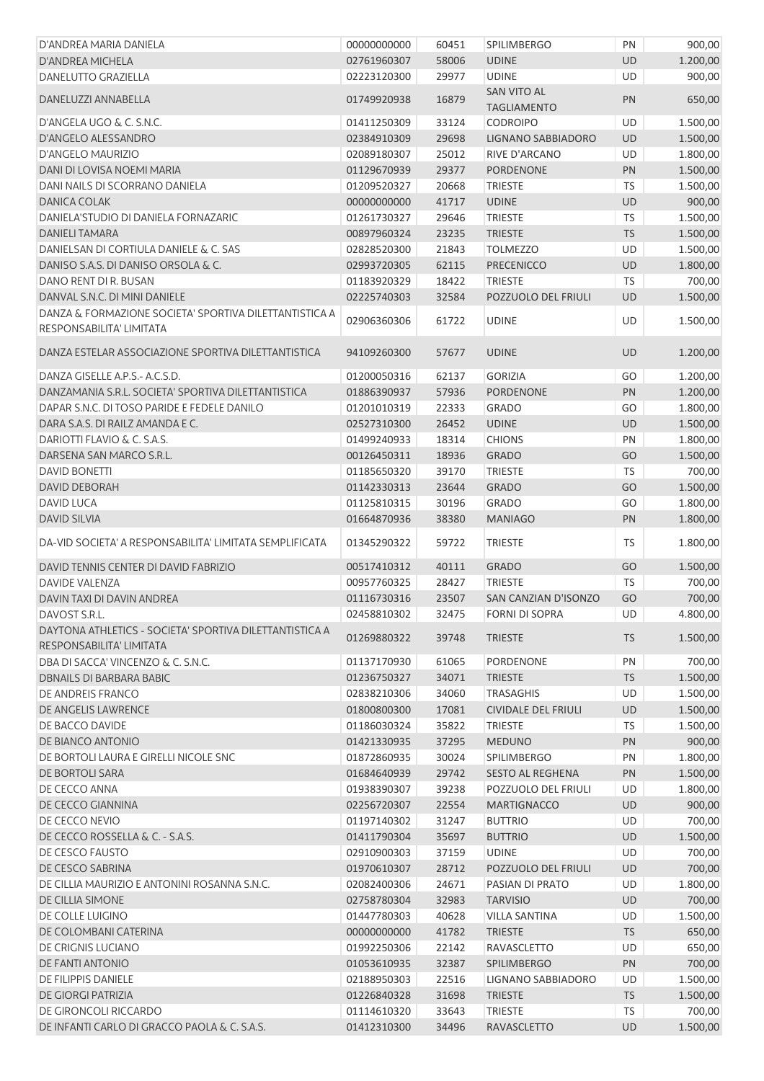| D'ANDREA MARIA DANIELA                                                              | 00000000000 | 60451 | <b>SPILIMBERGO</b>                       | PN        | 900,00   |
|-------------------------------------------------------------------------------------|-------------|-------|------------------------------------------|-----------|----------|
| D'ANDREA MICHELA                                                                    | 02761960307 | 58006 | <b>UDINE</b>                             | <b>UD</b> | 1.200,00 |
| DANELUTTO GRAZIELLA                                                                 | 02223120300 | 29977 | <b>UDINE</b>                             | UD        | 900,00   |
| DANELUZZI ANNABELLA                                                                 | 01749920938 | 16879 | <b>SAN VITO AL</b><br><b>TAGLIAMENTO</b> | PN        | 650,00   |
| D'ANGELA UGO & C. S.N.C.                                                            | 01411250309 | 33124 | <b>CODROIPO</b>                          | UD        | 1.500,00 |
| D'ANGELO ALESSANDRO                                                                 | 02384910309 | 29698 | <b>LIGNANO SABBIADORO</b>                | <b>UD</b> | 1.500,00 |
| D'ANGELO MAURIZIO                                                                   | 02089180307 | 25012 | RIVE D'ARCANO                            | UD        | 1.800,00 |
| DANI DI LOVISA NOEMI MARIA                                                          | 01129670939 | 29377 | <b>PORDENONE</b>                         | PN        | 1.500,00 |
| DANI NAILS DI SCORRANO DANIELA                                                      | 01209520327 | 20668 | <b>TRIESTE</b>                           | <b>TS</b> | 1.500,00 |
| DANICA COLAK                                                                        | 00000000000 | 41717 | <b>UDINE</b>                             | UD        | 900,00   |
| DANIELA'STUDIO DI DANIELA FORNAZARIC                                                | 01261730327 | 29646 | <b>TRIESTE</b>                           | <b>TS</b> | 1.500,00 |
| DANIELI TAMARA                                                                      | 00897960324 | 23235 | <b>TRIESTE</b>                           | <b>TS</b> | 1.500,00 |
| DANIELSAN DI CORTIULA DANIELE & C. SAS                                              | 02828520300 | 21843 | <b>TOLMEZZO</b>                          | UD        | 1.500,00 |
| DANISO S.A.S. DI DANISO ORSOLA & C.                                                 | 02993720305 | 62115 | <b>PRECENICCO</b>                        | UD        | 1.800,00 |
| DANO RENT DI R. BUSAN                                                               | 01183920329 | 18422 | <b>TRIESTE</b>                           | TS        | 700,00   |
| DANVAL S.N.C. DI MINI DANIELE                                                       | 02225740303 | 32584 | POZZUOLO DEL FRIULI                      | <b>UD</b> | 1.500,00 |
| DANZA & FORMAZIONE SOCIETA' SPORTIVA DILETTANTISTICA A<br>RESPONSABILITA' LIMITATA  | 02906360306 | 61722 | <b>UDINE</b>                             | UD        | 1.500,00 |
| DANZA ESTELAR ASSOCIAZIONE SPORTIVA DILETTANTISTICA                                 | 94109260300 | 57677 | <b>UDINE</b>                             | UD        | 1.200,00 |
| DANZA GISELLE A.P.S.- A.C.S.D.                                                      | 01200050316 | 62137 | <b>GORIZIA</b>                           | GO        | 1.200,00 |
| DANZAMANIA S.R.L. SOCIETA' SPORTIVA DILETTANTISTICA                                 | 01886390937 | 57936 | <b>PORDENONE</b>                         | PN        | 1.200,00 |
| DAPAR S.N.C. DI TOSO PARIDE E FEDELE DANILO                                         | 01201010319 | 22333 | <b>GRADO</b>                             | GO        | 1.800,00 |
| DARA S.A.S. DI RAILZ AMANDA E C.                                                    | 02527310300 | 26452 | <b>UDINE</b>                             | UD        | 1.500,00 |
| DARIOTTI FLAVIO & C. S.A.S.                                                         | 01499240933 | 18314 | <b>CHIONS</b>                            | PN        | 1.800,00 |
| DARSENA SAN MARCO S.R.L.                                                            | 00126450311 | 18936 | <b>GRADO</b>                             | GO        | 1.500,00 |
| <b>DAVID BONETTI</b>                                                                | 01185650320 | 39170 | <b>TRIESTE</b>                           | <b>TS</b> | 700,00   |
| <b>DAVID DEBORAH</b>                                                                | 01142330313 | 23644 | <b>GRADO</b>                             | GO        | 1.500,00 |
| <b>DAVID LUCA</b>                                                                   | 01125810315 | 30196 | <b>GRADO</b>                             | GO        | 1.800,00 |
| <b>DAVID SILVIA</b>                                                                 | 01664870936 | 38380 | <b>MANIAGO</b>                           | PN        | 1.800,00 |
| DA-VID SOCIETA' A RESPONSABILITA' LIMITATA SEMPLIFICATA                             | 01345290322 | 59722 | <b>TRIESTE</b>                           | <b>TS</b> | 1.800,00 |
|                                                                                     |             |       |                                          |           |          |
| DAVID TENNIS CENTER DI DAVID FABRIZIO                                               | 00517410312 | 40111 | <b>GRADO</b>                             | GO        | 1.500,00 |
| <b>DAVIDE VALENZA</b>                                                               | 00957760325 | 28427 | <b>TRIESTE</b>                           | TS        | 700,00   |
| DAVIN TAXI DI DAVIN ANDREA                                                          | 01116730316 | 23507 | SAN CANZIAN D'ISONZO                     | GO        | 700,00   |
| DAVOST S.R.L.                                                                       | 02458810302 | 32475 | <b>FORNI DI SOPRA</b>                    | UD.       | 4.800,00 |
| DAYTONA ATHLETICS - SOCIETA' SPORTIVA DILETTANTISTICA A<br>RESPONSABILITA' LIMITATA | 01269880322 | 39748 | <b>TRIESTE</b>                           | <b>TS</b> | 1.500,00 |
| DBA DI SACCA' VINCENZO & C. S.N.C.                                                  | 01137170930 | 61065 | PORDENONE                                | PN        | 700,00   |
| <b>DBNAILS DI BARBARA BABIC</b>                                                     | 01236750327 | 34071 | <b>TRIESTE</b>                           | <b>TS</b> | 1.500,00 |
| DE ANDREIS FRANCO                                                                   | 02838210306 | 34060 | <b>TRASAGHIS</b>                         | UD        | 1.500,00 |
| DE ANGELIS LAWRENCE                                                                 | 01800800300 | 17081 | <b>CIVIDALE DEL FRIULI</b>               | UD        | 1.500,00 |
| DE BACCO DAVIDE                                                                     | 01186030324 | 35822 | <b>TRIESTE</b>                           | <b>TS</b> | 1.500,00 |
| DE BIANCO ANTONIO                                                                   | 01421330935 | 37295 | <b>MEDUNO</b>                            | PN        | 900,00   |
| DE BORTOLI LAURA E GIRELLI NICOLE SNC                                               | 01872860935 | 30024 | SPILIMBERGO                              | PN        | 1.800,00 |
| DE BORTOLI SARA                                                                     | 01684640939 | 29742 | <b>SESTO AL REGHENA</b>                  | PN        | 1.500,00 |
| DE CECCO ANNA                                                                       | 01938390307 | 39238 | POZZUOLO DEL FRIULI                      | UD        | 1.800,00 |
| DE CECCO GIANNINA                                                                   | 02256720307 | 22554 | <b>MARTIGNACCO</b>                       | UD        | 900,00   |
| DE CECCO NEVIO                                                                      | 01197140302 | 31247 | <b>BUTTRIO</b>                           | UD        | 700,00   |
| DE CECCO ROSSELLA & C. - S.A.S.                                                     | 01411790304 | 35697 | <b>BUTTRIO</b>                           | <b>UD</b> | 1.500,00 |
| DE CESCO FAUSTO                                                                     | 02910900303 | 37159 | <b>UDINE</b>                             | UD        | 700,00   |
| DE CESCO SABRINA                                                                    | 01970610307 | 28712 | POZZUOLO DEL FRIULI                      | UD        | 700,00   |
| DE CILLIA MAURIZIO E ANTONINI ROSANNA S.N.C.                                        | 02082400306 | 24671 | PASIAN DI PRATO                          | UD        | 1.800,00 |
| DE CILLIA SIMONE                                                                    | 02758780304 | 32983 | <b>TARVISIO</b>                          | UD        | 700,00   |
| DE COLLE LUIGINO                                                                    | 01447780303 | 40628 | <b>VILLA SANTINA</b>                     | UD        | 1.500,00 |
| DE COLOMBANI CATERINA                                                               | 00000000000 | 41782 | <b>TRIESTE</b>                           | <b>TS</b> | 650,00   |
| DE CRIGNIS LUCIANO                                                                  | 01992250306 | 22142 | RAVASCLETTO                              | UD        | 650,00   |
| DE FANTI ANTONIO                                                                    | 01053610935 | 32387 | SPILIMBERGO                              | PN        | 700,00   |
| DE FILIPPIS DANIELE                                                                 | 02188950303 | 22516 | LIGNANO SABBIADORO                       | UD        | 1.500,00 |
| <b>DE GIORGI PATRIZIA</b>                                                           | 01226840328 | 31698 | <b>TRIESTE</b>                           | <b>TS</b> | 1.500,00 |
| DE GIRONCOLI RICCARDO                                                               | 01114610320 | 33643 | <b>TRIESTE</b>                           | <b>TS</b> | 700,00   |
| DE INFANTI CARLO DI GRACCO PAOLA & C. S.A.S.                                        | 01412310300 | 34496 | <b>RAVASCLETTO</b>                       | UD        | 1.500,00 |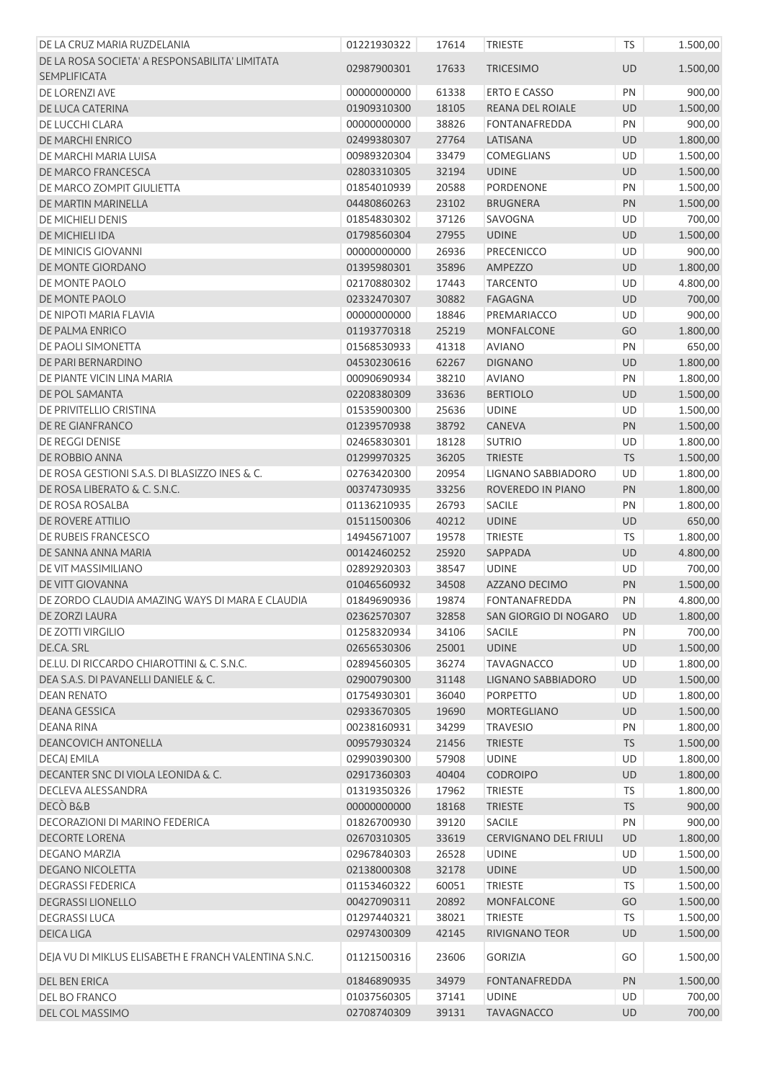| DE LA CRUZ MARIA RUZDELANIA                           | 01221930322 | 17614 | <b>TRIESTE</b>               | TS        | 1.500,00 |
|-------------------------------------------------------|-------------|-------|------------------------------|-----------|----------|
| DE LA ROSA SOCIETA' A RESPONSABILITA' LIMITATA        |             |       |                              |           |          |
| <b>SEMPLIFICATA</b>                                   | 02987900301 | 17633 | <b>TRICESIMO</b>             | <b>UD</b> | 1.500,00 |
| DE LORENZI AVE                                        | 00000000000 | 61338 | <b>ERTO E CASSO</b>          | PN        | 900,00   |
| DE LUCA CATERINA                                      | 01909310300 | 18105 | REANA DEL ROIALE             | UD        | 1.500,00 |
| DE LUCCHI CLARA                                       | 00000000000 | 38826 | <b>FONTANAFREDDA</b>         | PN        | 900,00   |
| DE MARCHI ENRICO                                      | 02499380307 | 27764 | LATISANA                     | UD        | 1.800,00 |
| DE MARCHI MARIA LUISA                                 | 00989320304 | 33479 | COMEGLIANS                   | UD        | 1.500,00 |
| DE MARCO FRANCESCA                                    | 02803310305 | 32194 | <b>UDINE</b>                 | UD        | 1.500,00 |
| DE MARCO ZOMPIT GIULIETTA                             | 01854010939 | 20588 | PORDENONE                    | PN        | 1.500,00 |
| DE MARTIN MARINELLA                                   | 04480860263 | 23102 | <b>BRUGNERA</b>              | PN        | 1.500,00 |
| DE MICHIELI DENIS                                     | 01854830302 | 37126 | SAVOGNA                      | UD        | 700,00   |
| DE MICHIELI IDA                                       | 01798560304 | 27955 | <b>UDINE</b>                 | UD        | 1.500,00 |
| DE MINICIS GIOVANNI                                   | 00000000000 | 26936 | PRECENICCO                   | UD        | 900,00   |
| DE MONTE GIORDANO                                     | 01395980301 | 35896 | AMPEZZO                      | <b>UD</b> | 1.800,00 |
| DE MONTE PAOLO                                        | 02170880302 | 17443 | <b>TARCENTO</b>              | UD        | 4.800,00 |
| DE MONTE PAOLO                                        | 02332470307 | 30882 | <b>FAGAGNA</b>               | UD        | 700,00   |
| DE NIPOTI MARIA FLAVIA                                | 00000000000 | 18846 | PREMARIACCO                  | UD        | 900,00   |
| DE PALMA ENRICO                                       | 01193770318 | 25219 | <b>MONFALCONE</b>            | GO        | 1.800,00 |
| DE PAOLI SIMONETTA                                    | 01568530933 | 41318 | <b>AVIANO</b>                | PN        | 650,00   |
| DE PARI BERNARDINO                                    | 04530230616 | 62267 | <b>DIGNANO</b>               | UD        | 1.800,00 |
| DE PIANTE VICIN LINA MARIA                            | 00090690934 | 38210 | <b>AVIANO</b>                | PN        | 1.800,00 |
| DE POL SAMANTA                                        | 02208380309 | 33636 | <b>BERTIOLO</b>              | UD        | 1.500,00 |
| DE PRIVITELLIO CRISTINA                               | 01535900300 | 25636 | <b>UDINE</b>                 | UD        | 1.500,00 |
| DE RE GIANFRANCO                                      | 01239570938 | 38792 | CANEVA                       | PN        | 1.500,00 |
| DE REGGI DENISE                                       | 02465830301 | 18128 | <b>SUTRIO</b>                | UD        | 1.800,00 |
| DE ROBBIO ANNA                                        | 01299970325 | 36205 | <b>TRIESTE</b>               | <b>TS</b> | 1.500,00 |
| DE ROSA GESTIONI S.A.S. DI BLASIZZO INES & C.         | 02763420300 | 20954 | LIGNANO SABBIADORO           | UD        | 1.800,00 |
| DE ROSA LIBERATO & C. S.N.C.                          | 00374730935 | 33256 | ROVEREDO IN PIANO            | PN        | 1.800,00 |
| DE ROSA ROSALBA                                       | 01136210935 | 26793 | <b>SACILE</b>                | PN        | 1.800,00 |
| DE ROVERE ATTILIO                                     | 01511500306 | 40212 | <b>UDINE</b>                 | UD        | 650,00   |
| DE RUBEIS FRANCESCO                                   | 14945671007 | 19578 | <b>TRIESTE</b>               | TS        | 1.800,00 |
| DE SANNA ANNA MARIA                                   | 00142460252 | 25920 | SAPPADA                      | UD        | 4.800,00 |
| DE VIT MASSIMILIANO                                   | 02892920303 | 38547 | <b>UDINE</b>                 | UD        | 700,00   |
| DE VITT GIOVANNA                                      | 01046560932 | 34508 | AZZANO DECIMO                | PN        | 1.500,00 |
| DE ZORDO CLAUDIA AMAZING WAYS DI MARA E CLAUDIA       | 01849690936 | 19874 | <b>FONTANAFREDDA</b>         | PN        | 4.800,00 |
| DE ZORZI LAURA                                        | 02362570307 | 32858 | SAN GIORGIO DI NOGARO        | UD        | 1.800,00 |
| DE ZOTTI VIRGILIO                                     | 01258320934 | 34106 | <b>SACILE</b>                | PN        | 700,00   |
| DE.CA. SRL                                            | 02656530306 | 25001 | <b>UDINE</b>                 | UD        | 1.500,00 |
| DE.LU. DI RICCARDO CHIAROTTINI & C. S.N.C.            | 02894560305 | 36274 | <b>TAVAGNACCO</b>            | UD        | 1.800,00 |
| DEA S.A.S. DI PAVANELLI DANIELE & C.                  | 02900790300 | 31148 | LIGNANO SABBIADORO           | UD        | 1.500,00 |
| <b>DEAN RENATO</b>                                    | 01754930301 | 36040 | <b>PORPETTO</b>              | UD        | 1.800,00 |
| <b>DEANA GESSICA</b>                                  | 02933670305 | 19690 | <b>MORTEGLIANO</b>           | UD        | 1.500,00 |
| DEANA RINA                                            | 00238160931 | 34299 | <b>TRAVESIO</b>              | PN        | 1.800,00 |
| <b>DEANCOVICH ANTONELLA</b>                           | 00957930324 | 21456 | <b>TRIESTE</b>               | <b>TS</b> | 1.500,00 |
| <b>DECAJ EMILA</b>                                    | 02990390300 | 57908 | <b>UDINE</b>                 | UD        | 1.800,00 |
| DECANTER SNC DI VIOLA LEONIDA & C.                    | 02917360303 | 40404 | <b>CODROIPO</b>              | UD        | 1.800,00 |
| DECLEVA ALESSANDRA                                    | 01319350326 | 17962 | <b>TRIESTE</b>               | <b>TS</b> | 1.800,00 |
| DECÒ B&B                                              | 00000000000 | 18168 | <b>TRIESTE</b>               | <b>TS</b> | 900,00   |
| DECORAZIONI DI MARINO FEDERICA                        | 01826700930 | 39120 | SACILE                       | PN        | 900,00   |
| <b>DECORTE LORENA</b>                                 | 02670310305 | 33619 | <b>CERVIGNANO DEL FRIULI</b> | UD        | 1.800,00 |
| <b>DEGANO MARZIA</b>                                  | 02967840303 | 26528 | <b>UDINE</b>                 | UD        | 1.500,00 |
| <b>DEGANO NICOLETTA</b>                               | 02138000308 | 32178 | <b>UDINE</b>                 | UD        | 1.500,00 |
| <b>DEGRASSI FEDERICA</b>                              | 01153460322 | 60051 | <b>TRIESTE</b>               | <b>TS</b> | 1.500,00 |
| <b>DEGRASSI LIONELLO</b>                              | 00427090311 | 20892 | <b>MONFALCONE</b>            | GO        | 1.500,00 |
| <b>DEGRASSI LUCA</b>                                  | 01297440321 | 38021 | <b>TRIESTE</b>               | <b>TS</b> | 1.500,00 |
| <b>DEICA LIGA</b>                                     | 02974300309 | 42145 | RIVIGNANO TEOR               | UD        | 1.500,00 |
| DEJA VU DI MIKLUS ELISABETH E FRANCH VALENTINA S.N.C. | 01121500316 | 23606 | <b>GORIZIA</b>               | GO        | 1.500,00 |
| DEL BEN ERICA                                         | 01846890935 | 34979 | <b>FONTANAFREDDA</b>         | PN        | 1.500,00 |
| DEL BO FRANCO                                         | 01037560305 | 37141 | <b>UDINE</b>                 | UD        | 700,00   |
| DEL COL MASSIMO                                       | 02708740309 | 39131 | <b>TAVAGNACCO</b>            | UD        | 700,00   |
|                                                       |             |       |                              |           |          |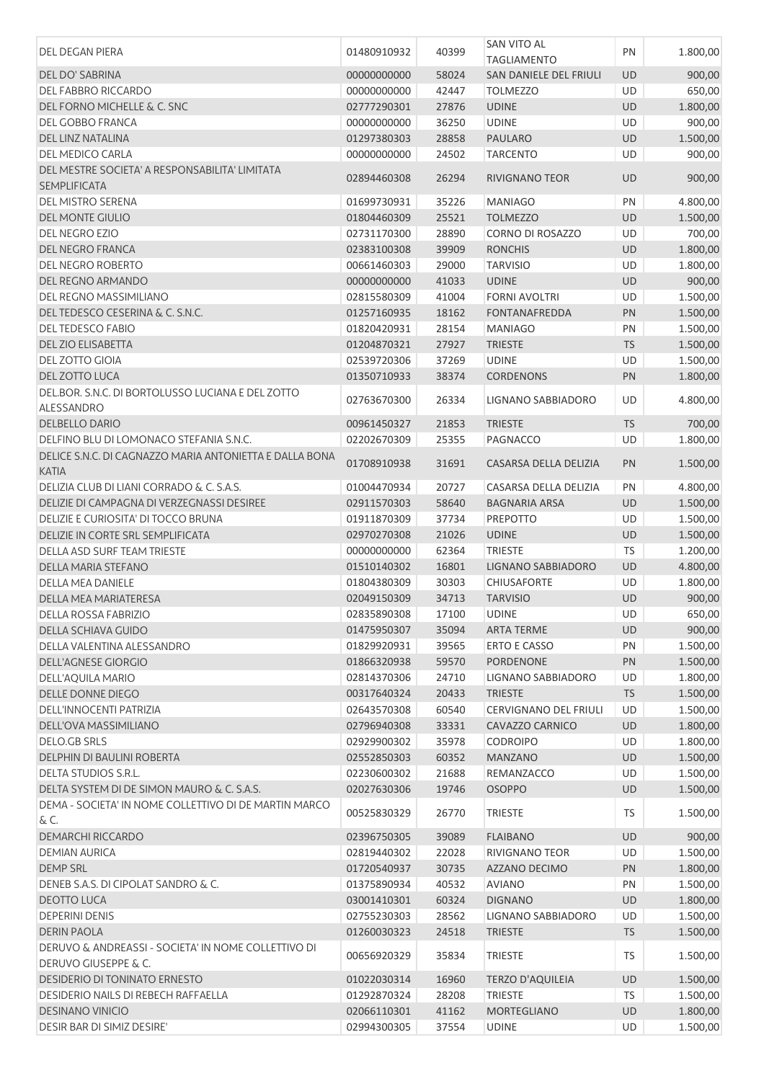|                                                                       |             |       | <b>SAN VITO AL</b>           |           |          |
|-----------------------------------------------------------------------|-------------|-------|------------------------------|-----------|----------|
| DEL DEGAN PIERA                                                       | 01480910932 | 40399 | <b>TAGLIAMENTO</b>           | PN        | 1.800,00 |
| DEL DO' SABRINA                                                       | 00000000000 | 58024 | SAN DANIELE DEL FRIULI       | <b>UD</b> | 900,00   |
| DEL FABBRO RICCARDO                                                   | 00000000000 | 42447 | <b>TOLMEZZO</b>              | UD        | 650,00   |
|                                                                       |             |       |                              |           |          |
| DEL FORNO MICHELLE & C. SNC                                           | 02777290301 | 27876 | <b>UDINE</b>                 | UD        | 1.800,00 |
| DEL GOBBO FRANCA                                                      | 00000000000 | 36250 | <b>UDINE</b>                 | UD        | 900,00   |
| DEL LINZ NATALINA                                                     | 01297380303 | 28858 | <b>PAULARO</b>               | <b>UD</b> | 1.500,00 |
| DEL MEDICO CARLA                                                      | 00000000000 | 24502 | <b>TARCENTO</b>              | UD        | 900,00   |
| DEL MESTRE SOCIETA' A RESPONSABILITA' LIMITATA<br><b>SEMPLIFICATA</b> | 02894460308 | 26294 | <b>RIVIGNANO TEOR</b>        | <b>UD</b> | 900,00   |
| <b>DEL MISTRO SERENA</b>                                              | 01699730931 | 35226 | <b>MANIAGO</b>               | PN        | 4.800,00 |
| <b>DEL MONTE GIULIO</b>                                               | 01804460309 | 25521 | <b>TOLMEZZO</b>              | <b>UD</b> | 1.500,00 |
| <b>DEL NEGRO EZIO</b>                                                 | 02731170300 | 28890 | CORNO DI ROSAZZO             | UD        | 700,00   |
| DEL NEGRO FRANCA                                                      | 02383100308 | 39909 | <b>RONCHIS</b>               | <b>UD</b> | 1.800,00 |
| DEL NEGRO ROBERTO                                                     | 00661460303 | 29000 | <b>TARVISIO</b>              | UD        | 1.800,00 |
| DEL REGNO ARMANDO                                                     | 00000000000 | 41033 | <b>UDINE</b>                 | <b>UD</b> | 900,00   |
| <b>DEL REGNO MASSIMILIANO</b>                                         | 02815580309 | 41004 | <b>FORNI AVOLTRI</b>         | UD        | 1.500,00 |
| DEL TEDESCO CESERINA & C. S.N.C.                                      | 01257160935 | 18162 | <b>FONTANAFREDDA</b>         | PN        | 1.500,00 |
| <b>DEL TEDESCO FABIO</b>                                              |             |       | <b>MANIAGO</b>               | PN        |          |
|                                                                       | 01820420931 | 28154 |                              |           | 1.500,00 |
| <b>DEL ZIO ELISABETTA</b>                                             | 01204870321 | 27927 | <b>TRIESTE</b>               | <b>TS</b> | 1.500,00 |
| <b>DEL ZOTTO GIOIA</b>                                                | 02539720306 | 37269 | <b>UDINE</b>                 | UD        | 1.500,00 |
| <b>DEL ZOTTO LUCA</b>                                                 | 01350710933 | 38374 | <b>CORDENONS</b>             | <b>PN</b> | 1.800,00 |
| DEL.BOR, S.N.C. DI BORTOLUSSO LUCIANA E DEL ZOTTO<br>ALESSANDRO       | 02763670300 | 26334 | LIGNANO SABBIADORO           | <b>UD</b> | 4.800,00 |
| <b>DELBELLO DARIO</b>                                                 | 00961450327 | 21853 | <b>TRIESTE</b>               | <b>TS</b> | 700,00   |
| DELFINO BLU DI LOMONACO STEFANIA S.N.C.                               | 02202670309 | 25355 | PAGNACCO                     | UD        | 1.800,00 |
| DELICE S.N.C. DI CAGNAZZO MARIA ANTONIETTA E DALLA BONA<br>KATIA      | 01708910938 | 31691 | CASARSA DELLA DELIZIA        | PN        | 1.500,00 |
| DELIZIA CLUB DI LIANI CORRADO & C. S.A.S.                             | 01004470934 | 20727 | CASARSA DELLA DELIZIA        | PN        | 4.800,00 |
| DELIZIE DI CAMPAGNA DI VERZEGNASSI DESIREE                            | 02911570303 | 58640 | <b>BAGNARIA ARSA</b>         | <b>UD</b> | 1.500,00 |
|                                                                       |             |       |                              |           |          |
| DELIZIE E CURIOSITA' DI TOCCO BRUNA                                   | 01911870309 | 37734 | <b>PREPOTTO</b>              | UD        | 1.500,00 |
| DELIZIE IN CORTE SRL SEMPLIFICATA                                     | 02970270308 | 21026 | <b>UDINE</b>                 | UD        | 1.500,00 |
| DELLA ASD SURF TEAM TRIESTE                                           | 00000000000 | 62364 | <b>TRIESTE</b>               | TS        | 1.200,00 |
| <b>DELLA MARIA STEFANO</b>                                            | 01510140302 | 16801 | LIGNANO SABBIADORO           | <b>UD</b> | 4.800,00 |
| <b>DELLA MEA DANIELE</b>                                              | 01804380309 | 30303 | <b>CHIUSAFORTE</b>           | UD        | 1.800,00 |
| DELLA MEA MARIATERESA                                                 | 02049150309 | 34713 | <b>TARVISIO</b>              | UD        | 900,00   |
| DELLA ROSSA FABRIZIO                                                  | 02835890308 | 17100 | <b>UDINE</b>                 | UD        | 650,00   |
| DELLA SCHIAVA GUIDO                                                   | 01475950307 | 35094 | ARTA TERME                   | UD        | 900,00   |
| DELLA VALENTINA ALESSANDRO                                            | 01829920931 | 39565 | <b>ERTO E CASSO</b>          | PN        | 1.500,00 |
| <b>DELL'AGNESE GIORGIO</b>                                            | 01866320938 | 59570 | PORDENONE                    | PN        | 1.500,00 |
| DELL'AQUILA MARIO                                                     | 02814370306 | 24710 | LIGNANO SABBIADORO           | UD        | 1.800,00 |
| DELLE DONNE DIEGO                                                     | 00317640324 | 20433 | <b>TRIESTE</b>               | <b>TS</b> | 1.500,00 |
| <b>DELL'INNOCENTI PATRIZIA</b>                                        | 02643570308 | 60540 | <b>CERVIGNANO DEL FRIULI</b> | UD        | 1.500,00 |
| <b>DELL'OVA MASSIMILIANO</b>                                          | 02796940308 | 33331 | CAVAZZO CARNICO              | <b>UD</b> | 1.800,00 |
| DELO.GB SRLS                                                          | 02929900302 | 35978 | <b>CODROIPO</b>              | UD        | 1.800,00 |
| DELPHIN DI BAULINI ROBERTA                                            | 02552850303 | 60352 | <b>MANZANO</b>               | UD        | 1.500,00 |
|                                                                       |             |       |                              |           |          |
| DELTA STUDIOS S.R.L.                                                  | 02230600302 | 21688 | REMANZACCO                   | UD        | 1.500,00 |
| DELTA SYSTEM DI DE SIMON MAURO & C. S.A.S.                            | 02027630306 | 19746 | <b>OSOPPO</b>                | UD        | 1.500,00 |
| DEMA - SOCIETA' IN NOME COLLETTIVO DI DE MARTIN MARCO<br>& C.         | 00525830329 | 26770 | <b>TRIESTE</b>               | TS        | 1.500,00 |
| DEMARCHI RICCARDO                                                     | 02396750305 | 39089 | <b>FLAIBANO</b>              | UD        | 900,00   |
| <b>DEMIAN AURICA</b>                                                  | 02819440302 | 22028 | RIVIGNANO TEOR               | UD        | 1.500,00 |
| <b>DEMP SRL</b>                                                       | 01720540937 | 30735 | AZZANO DECIMO                | PN        | 1.800,00 |
| DENEB S.A.S. DI CIPOLAT SANDRO & C.                                   | 01375890934 | 40532 | <b>AVIANO</b>                | PN        | 1.500,00 |
| DEOTTO LUCA                                                           | 03001410301 | 60324 | <b>DIGNANO</b>               | <b>UD</b> | 1.800,00 |
| <b>DEPERINI DENIS</b>                                                 | 02755230303 | 28562 | LIGNANO SABBIADORO           | UD        | 1.500,00 |
| <b>DERIN PAOLA</b>                                                    | 01260030323 | 24518 | <b>TRIESTE</b>               | <b>TS</b> | 1.500,00 |
| DERUVO & ANDREASSI - SOCIETA' IN NOME COLLETTIVO DI                   |             |       |                              |           |          |
| DERUVO GIUSEPPE & C.                                                  | 00656920329 | 35834 | <b>TRIESTE</b>               | TS        | 1.500,00 |
| DESIDERIO DI TONINATO ERNESTO                                         | 01022030314 | 16960 | TERZO D'AQUILEIA             | <b>UD</b> | 1.500,00 |
| DESIDERIO NAILS DI REBECH RAFFAELLA                                   | 01292870324 | 28208 | <b>TRIESTE</b>               | <b>TS</b> | 1.500,00 |
| DESINANO VINICIO                                                      | 02066110301 | 41162 | <b>MORTEGLIANO</b>           | UD        | 1.800,00 |
| DESIR BAR DI SIMIZ DESIRE'                                            | 02994300305 | 37554 | <b>UDINE</b>                 | UD        | 1.500,00 |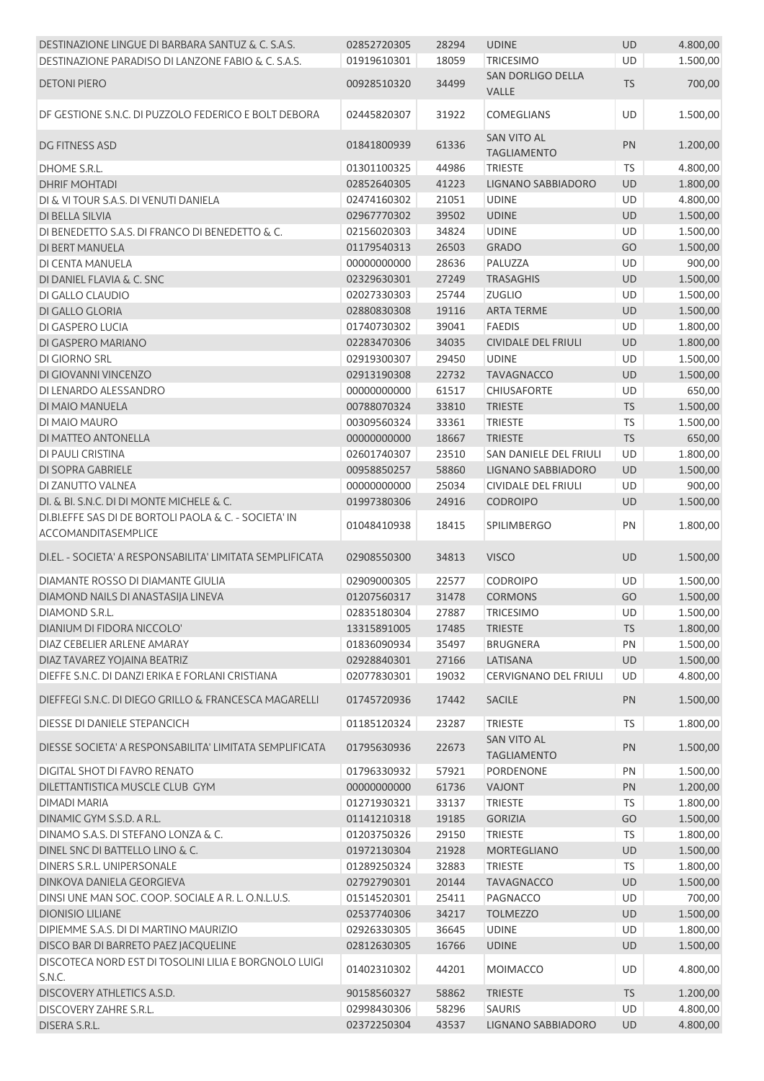| DESTINAZIONE LINGUE DI BARBARA SANTUZ & C. S.A.S.                            | 02852720305 | 28294 | <b>UDINE</b>                             | <b>UD</b> | 4.800,00 |
|------------------------------------------------------------------------------|-------------|-------|------------------------------------------|-----------|----------|
| DESTINAZIONE PARADISO DI LANZONE FABIO & C. S.A.S.                           | 01919610301 | 18059 | <b>TRICESIMO</b>                         | UD        | 1.500,00 |
| <b>DETONI PIERO</b>                                                          | 00928510320 | 34499 | SAN DORLIGO DELLA<br><b>VALLE</b>        | <b>TS</b> | 700,00   |
| DF GESTIONE S.N.C. DI PUZZOLO FEDERICO E BOLT DEBORA                         | 02445820307 | 31922 | COMEGLIANS                               | <b>UD</b> | 1.500,00 |
| DG FITNESS ASD                                                               | 01841800939 | 61336 | SAN VITO AL<br><b>TAGLIAMENTO</b>        | PN        | 1.200,00 |
| DHOME S.R.L.                                                                 | 01301100325 | 44986 | <b>TRIESTE</b>                           | <b>TS</b> | 4.800,00 |
| <b>DHRIF MOHTADI</b>                                                         | 02852640305 | 41223 | LIGNANO SABBIADORO                       | UD        | 1.800,00 |
| DI & VI TOUR S.A.S. DI VENUTI DANIELA                                        | 02474160302 | 21051 | <b>UDINE</b>                             | UD        | 4.800,00 |
| DI BELLA SILVIA                                                              | 02967770302 | 39502 | <b>UDINE</b>                             | UD        | 1.500,00 |
| DI BENEDETTO S.A.S. DI FRANCO DI BENEDETTO & C.                              | 02156020303 | 34824 | <b>UDINE</b>                             | UD        | 1.500,00 |
| DI BERT MANUELA                                                              | 01179540313 | 26503 | <b>GRADO</b>                             | GO        | 1.500,00 |
| DI CENTA MANUELA                                                             | 00000000000 | 28636 | PALUZZA                                  | UD        | 900,00   |
| DI DANIEL FLAVIA & C. SNC                                                    | 02329630301 | 27249 | <b>TRASAGHIS</b>                         | UD        | 1.500,00 |
| DI GALLO CLAUDIO                                                             | 02027330303 | 25744 | <b>ZUGLIO</b>                            | UD        | 1.500,00 |
| DI GALLO GLORIA                                                              | 02880830308 | 19116 | <b>ARTA TERME</b>                        | UD        | 1.500,00 |
| DI GASPERO LUCIA                                                             | 01740730302 | 39041 | <b>FAEDIS</b>                            | UD        | 1.800,00 |
| DI GASPERO MARIANO                                                           | 02283470306 | 34035 | <b>CIVIDALE DEL FRIULI</b>               | UD        | 1.800,00 |
| DI GIORNO SRL                                                                | 02919300307 | 29450 | <b>UDINE</b>                             | UD        | 1.500,00 |
| DI GIOVANNI VINCENZO                                                         | 02913190308 | 22732 | <b>TAVAGNACCO</b>                        | UD        | 1.500,00 |
| DI LENARDO ALESSANDRO                                                        | 00000000000 | 61517 | <b>CHIUSAFORTE</b>                       | UD        | 650,00   |
| DI MAIO MANUELA                                                              | 00788070324 | 33810 | <b>TRIESTE</b>                           | <b>TS</b> | 1.500,00 |
| DI MAIO MAURO                                                                | 00309560324 | 33361 | <b>TRIESTE</b>                           | TS        | 1.500,00 |
| DI MATTEO ANTONELLA                                                          | 00000000000 | 18667 | <b>TRIESTE</b>                           | <b>TS</b> | 650,00   |
| DI PAULI CRISTINA                                                            | 02601740307 | 23510 | SAN DANIELE DEL FRIULI                   | UD        | 1.800,00 |
| DI SOPRA GABRIELE                                                            | 00958850257 | 58860 | LIGNANO SABBIADORO                       | UD        | 1.500,00 |
| DI ZANUTTO VALNEA                                                            | 00000000000 | 25034 | <b>CIVIDALE DEL FRIULI</b>               | UD        | 900,00   |
| DI. & BI. S.N.C. DI DI MONTE MICHELE & C.                                    | 01997380306 | 24916 | <b>CODROIPO</b>                          | UD        | 1.500,00 |
| DI.BI.EFFE SAS DI DE BORTOLI PAOLA & C. - SOCIETA' IN<br>ACCOMANDITASEMPLICE | 01048410938 | 18415 | <b>SPILIMBERGO</b>                       | PN        | 1.800,00 |
| DI.EL. - SOCIETA' A RESPONSABILITA' LIMITATA SEMPLIFICATA                    | 02908550300 | 34813 | <b>VISCO</b>                             | UD        | 1.500,00 |
| DIAMANTE ROSSO DI DIAMANTE GIULIA                                            | 02909000305 | 22577 | <b>CODROIPO</b>                          | UD        | 1.500,00 |
| DIAMOND NAILS DI ANASTASIJA LINEVA                                           | 01207560317 | 31478 | <b>CORMONS</b>                           | GO        | 1.500,00 |
| DIAMOND S.R.L.                                                               | 02835180304 | 27887 | TRICESIMO                                | UD        | 1.500,00 |
| DIANIUM DI FIDORA NICCOLO'                                                   | 13315891005 | 17485 | <b>TRIESTE</b>                           | <b>TS</b> | 1.800,00 |
| DIAZ CEBELIER ARLENE AMARAY                                                  | 01836090934 | 35497 | <b>BRUGNERA</b>                          | PN        | 1.500,00 |
| DIAZ TAVAREZ YOJAINA BEATRIZ                                                 | 02928840301 | 27166 | LATISANA                                 | <b>UD</b> | 1.500,00 |
| DIEFFE S.N.C. DI DANZI ERIKA E FORLANI CRISTIANA                             | 02077830301 | 19032 | CERVIGNANO DEL FRIULI                    | UD        | 4.800,00 |
| DIEFFEGI S.N.C. DI DIEGO GRILLO & FRANCESCA MAGARELLI                        | 01745720936 | 17442 | <b>SACILE</b>                            | PN        | 1.500,00 |
| <b>DIESSE DI DANIELE STEPANCICH</b>                                          | 01185120324 | 23287 | <b>TRIESTE</b>                           | TS        | 1.800,00 |
| DIESSE SOCIETA' A RESPONSABILITA' LIMITATA SEMPLIFICATA                      | 01795630936 | 22673 | <b>SAN VITO AL</b><br><b>TAGLIAMENTO</b> | PN        | 1.500,00 |
| DIGITAL SHOT DI FAVRO RENATO                                                 | 01796330932 | 57921 | PORDENONE                                | PN        | 1.500,00 |
| DILETTANTISTICA MUSCLE CLUB GYM                                              | 00000000000 | 61736 | VAJONT                                   | PN        | 1.200,00 |
| <b>DIMADI MARIA</b>                                                          | 01271930321 | 33137 | <b>TRIESTE</b>                           | <b>TS</b> | 1.800,00 |
| DINAMIC GYM S.S.D. A R.L.                                                    | 01141210318 | 19185 | <b>GORIZIA</b>                           | GO        | 1.500,00 |
| DINAMO S.A.S. DI STEFANO LONZA & C.                                          | 01203750326 | 29150 | <b>TRIESTE</b>                           | <b>TS</b> | 1.800,00 |
| DINEL SNC DI BATTELLO LINO & C.                                              | 01972130304 | 21928 | <b>MORTEGLIANO</b>                       | UD        | 1.500,00 |
| DINERS S.R.L. UNIPERSONALE                                                   | 01289250324 | 32883 | <b>TRIESTE</b>                           | <b>TS</b> | 1.800,00 |
| DINKOVA DANIELA GEORGIEVA                                                    | 02792790301 | 20144 | <b>TAVAGNACCO</b>                        | UD        | 1.500,00 |
| DINSI UNE MAN SOC. COOP. SOCIALE A R. L. O.N.L.U.S.                          | 01514520301 | 25411 | PAGNACCO                                 | UD        | 700,00   |
| <b>DIONISIO LILIANE</b>                                                      | 02537740306 | 34217 | <b>TOLMEZZO</b>                          | <b>UD</b> | 1.500,00 |
| DIPIEMME S.A.S. DI DI MARTINO MAURIZIO                                       | 02926330305 | 36645 | <b>UDINE</b>                             | UD        | 1.800,00 |
| DISCO BAR DI BARRETO PAEZ JACQUELINE                                         | 02812630305 | 16766 | <b>UDINE</b>                             | <b>UD</b> | 1.500,00 |
| DISCOTECA NORD EST DI TOSOLINI LILIA E BORGNOLO LUIGI<br>S.N.C.              | 01402310302 | 44201 | <b>MOIMACCO</b>                          | UD        | 4.800,00 |
| DISCOVERY ATHLETICS A.S.D.                                                   | 90158560327 | 58862 | <b>TRIESTE</b>                           | <b>TS</b> | 1.200,00 |
| <b>DISCOVERY ZAHRE S.R.L.</b>                                                | 02998430306 | 58296 | SAURIS                                   | UD        | 4.800,00 |
| DISERA S.R.L.                                                                | 02372250304 | 43537 | LIGNANO SABBIADORO                       | UD        | 4.800,00 |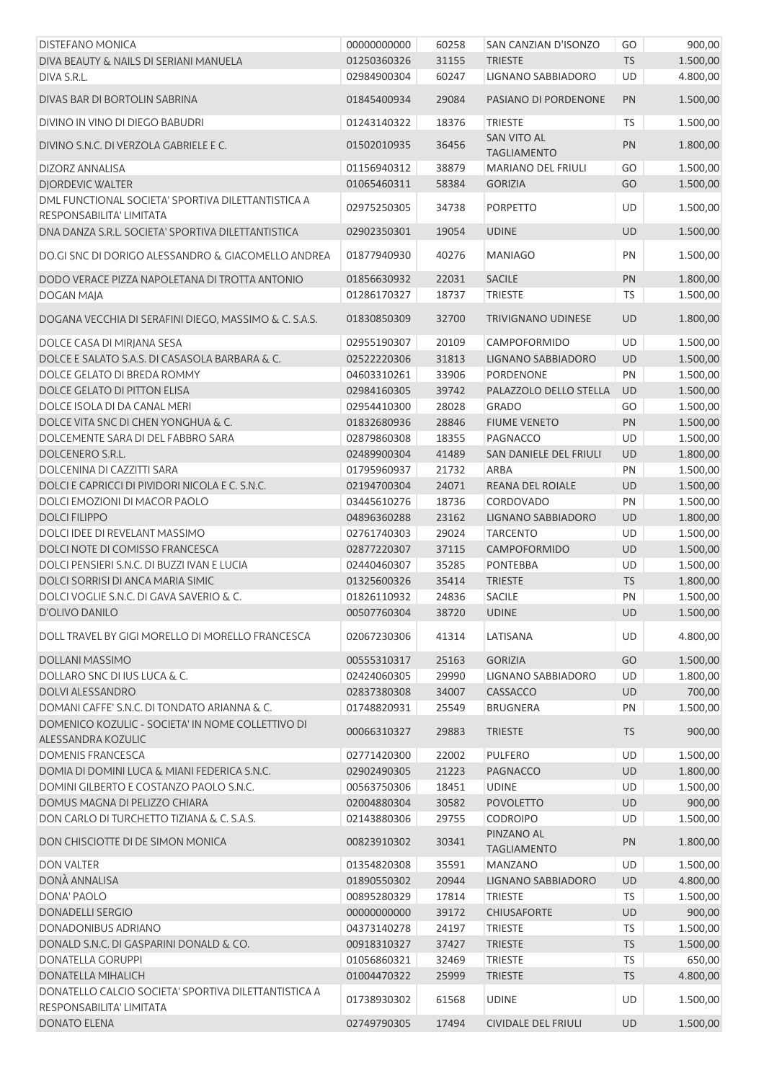| <b>DISTEFANO MONICA</b>                                                          | 00000000000 | 60258       | SAN CANZIAN D'ISONZO                     | GO        | 900,00   |
|----------------------------------------------------------------------------------|-------------|-------------|------------------------------------------|-----------|----------|
| DIVA BEAUTY & NAILS DI SERIANI MANUELA                                           | 01250360326 | 31155       | <b>TRIESTE</b>                           | <b>TS</b> | 1.500,00 |
| DIVA S.R.L.                                                                      | 02984900304 | 60247       | LIGNANO SABBIADORO                       | UD        | 4.800,00 |
| DIVAS BAR DI BORTOLIN SABRINA                                                    | 01845400934 | 29084       | PASIANO DI PORDENONE                     | PN        | 1.500,00 |
| DIVINO IN VINO DI DIEGO BABUDRI                                                  | 01243140322 | 18376       | <b>TRIESTE</b>                           | <b>TS</b> | 1.500,00 |
| DIVINO S.N.C. DI VERZOLA GABRIELE E C.                                           | 01502010935 | 36456       | <b>SAN VITO AL</b><br><b>TAGLIAMENTO</b> | PN        | 1.800,00 |
| DIZORZ ANNALISA                                                                  | 01156940312 | 38879       | MARIANO DEL FRIULI                       | GO        | 1.500,00 |
| <b>DIORDEVIC WALTER</b>                                                          | 01065460311 | 58384       | <b>GORIZIA</b>                           | GO        | 1.500,00 |
| DML FUNCTIONAL SOCIETA' SPORTIVA DILETTANTISTICA A                               |             |             |                                          |           |          |
| RESPONSABILITA' LIMITATA                                                         | 02975250305 | 34738       | <b>PORPETTO</b>                          | UD        | 1.500,00 |
| DNA DANZA S.R.L. SOCIETA' SPORTIVA DILETTANTISTICA                               | 02902350301 | 19054       | <b>UDINE</b>                             | UD        | 1.500,00 |
| DO.GI SNC DI DORIGO ALESSANDRO & GIACOMELLO ANDREA                               | 01877940930 | 40276       | <b>MANIAGO</b>                           | PN        | 1.500,00 |
| DODO VERACE PIZZA NAPOLETANA DI TROTTA ANTONIO                                   | 01856630932 | 22031       | <b>SACILE</b>                            | PN        | 1.800,00 |
| DOGAN MAJA                                                                       | 01286170327 | 18737       | <b>TRIESTE</b>                           | TS        | 1.500,00 |
|                                                                                  |             |             |                                          |           |          |
| DOGANA VECCHIA DI SERAFINI DIEGO, MASSIMO & C. S.A.S.                            | 01830850309 | 32700       | TRIVIGNANO UDINESE                       | UD        | 1.800,00 |
| DOLCE CASA DI MIRJANA SESA                                                       | 02955190307 | 20109       | <b>CAMPOFORMIDO</b>                      | <b>UD</b> | 1.500,00 |
| DOLCE E SALATO S.A.S. DI CASASOLA BARBARA & C.                                   | 02522220306 | 31813       | LIGNANO SABBIADORO                       | UD        | 1.500,00 |
| DOLCE GELATO DI BREDA ROMMY                                                      | 04603310261 | 33906       | PORDENONE                                | PN        | 1.500,00 |
| DOLCE GELATO DI PITTON ELISA                                                     | 02984160305 | 39742       | PALAZZOLO DELLO STELLA                   | UD        | 1.500,00 |
| DOLCE ISOLA DI DA CANAL MERI                                                     | 02954410300 | 28028       | <b>GRADO</b>                             | GO        | 1.500,00 |
| DOLCE VITA SNC DI CHEN YONGHUA & C.                                              | 01832680936 | 28846       | <b>FIUME VENETO</b>                      | PN        | 1.500,00 |
| DOLCEMENTE SARA DI DEL FABBRO SARA                                               | 02879860308 | 18355       | PAGNACCO                                 | UD        | 1.500,00 |
| DOLCENERO S.R.L.                                                                 | 02489900304 | 41489       | SAN DANIELE DEL FRIULI                   | UD        | 1.800,00 |
| DOLCENINA DI CAZZITTI SARA                                                       | 01795960937 | 21732       | <b>ARBA</b>                              | PN        | 1.500,00 |
| DOLCI E CAPRICCI DI PIVIDORI NICOLA E C. S.N.C.                                  | 02194700304 | 24071       | REANA DEL ROIALE                         | UD        | 1.500,00 |
| DOLCI EMOZIONI DI MACOR PAOLO                                                    | 03445610276 | 18736       | CORDOVADO                                | PN        | 1.500,00 |
| <b>DOLCI FILIPPO</b>                                                             |             |             |                                          |           |          |
|                                                                                  | 04896360288 | 23162       | LIGNANO SABBIADORO                       | UD        | 1.800,00 |
| DOLCI IDEE DI REVELANT MASSIMO                                                   | 02761740303 | 29024       | <b>TARCENTO</b>                          | UD        | 1.500,00 |
| DOLCI NOTE DI COMISSO FRANCESCA                                                  | 02877220307 | 37115       | CAMPOFORMIDO                             | UD        | 1.500,00 |
| DOLCI PENSIERI S.N.C. DI BUZZI IVAN E LUCIA                                      | 02440460307 | 35285       | <b>PONTEBBA</b>                          | UD        | 1.500,00 |
| DOLCI SORRISI DI ANCA MARIA SIMIC                                                | 01325600326 | 35414       | <b>TRIESTE</b>                           | <b>TS</b> | 1.800,00 |
| DOLCI VOGLIE S.N.C. DI GAVA SAVERIO & C.                                         | 01826110932 | 24836       | <b>SACILE</b>                            | PN        | 1.500,00 |
| D'OLIVO DANILO                                                                   | 00507760304 | 38720 UDINE |                                          | <b>UD</b> | 1.500,00 |
| DOLL TRAVEL BY GIGI MORELLO DI MORELLO FRANCESCA                                 | 02067230306 | 41314       | LATISANA                                 | UD        | 4.800,00 |
| DOLLANI MASSIMO                                                                  | 00555310317 | 25163       | <b>GORIZIA</b>                           | GO        | 1.500,00 |
| DOLLARO SNC DI IUS LUCA & C.                                                     | 02424060305 | 29990       | <b>LIGNANO SABBIADORO</b>                | UD        | 1.800,00 |
| <b>DOLVI ALESSANDRO</b>                                                          | 02837380308 | 34007       | CASSACCO                                 | UD        | 700,00   |
| DOMANI CAFFE' S.N.C. DI TONDATO ARIANNA & C.                                     | 01748820931 | 25549       | <b>BRUGNERA</b>                          | PN        | 1.500,00 |
| DOMENICO KOZULIC - SOCIETA' IN NOME COLLETTIVO DI<br>ALESSANDRA KOZULIC          | 00066310327 | 29883       | <b>TRIESTE</b>                           | <b>TS</b> | 900,00   |
| <b>DOMENIS FRANCESCA</b>                                                         | 02771420300 | 22002       | <b>PULFERO</b>                           | UD        | 1.500,00 |
| DOMIA DI DOMINI LUCA & MIANI FEDERICA S.N.C.                                     | 02902490305 | 21223       | <b>PAGNACCO</b>                          | UD        | 1.800,00 |
| DOMINI GILBERTO E COSTANZO PAOLO S.N.C.                                          | 00563750306 | 18451       | <b>UDINE</b>                             | UD        | 1.500,00 |
| DOMUS MAGNA DI PELIZZO CHIARA                                                    | 02004880304 | 30582       | <b>POVOLETTO</b>                         | UD        | 900,00   |
| DON CARLO DI TURCHETTO TIZIANA & C. S.A.S.                                       | 02143880306 | 29755       | <b>CODROIPO</b>                          | UD        | 1.500,00 |
|                                                                                  |             |             | PINZANO AL                               |           |          |
| DON CHISCIOTTE DI DE SIMON MONICA                                                | 00823910302 | 30341       | <b>TAGLIAMENTO</b>                       | PN        | 1.800,00 |
| <b>DON VALTER</b>                                                                | 01354820308 | 35591       | <b>MANZANO</b>                           | UD        | 1.500,00 |
| DONÀ ANNALISA                                                                    | 01890550302 | 20944       | LIGNANO SABBIADORO                       | UD        | 4.800,00 |
| DONA' PAOLO                                                                      | 00895280329 | 17814       | <b>TRIESTE</b>                           | <b>TS</b> | 1.500,00 |
| <b>DONADELLI SERGIO</b>                                                          | 00000000000 | 39172       | <b>CHIUSAFORTE</b>                       | UD        | 900,00   |
| DONADONIBUS ADRIANO                                                              | 04373140278 | 24197       | <b>TRIESTE</b>                           | TS        | 1.500,00 |
| DONALD S.N.C. DI GASPARINI DONALD & CO.                                          | 00918310327 | 37427       | <b>TRIESTE</b>                           | TS        | 1.500,00 |
| <b>DONATELLA GORUPPI</b>                                                         | 01056860321 | 32469       | <b>TRIESTE</b>                           | <b>TS</b> | 650,00   |
| DONATELLA MIHALICH                                                               | 01004470322 | 25999       | <b>TRIESTE</b>                           | <b>TS</b> | 4.800,00 |
| DONATELLO CALCIO SOCIETA' SPORTIVA DILETTANTISTICA A<br>RESPONSABILITA' LIMITATA | 01738930302 | 61568       | <b>UDINE</b>                             | UD        | 1.500,00 |
| DONATO ELENA                                                                     | 02749790305 | 17494       | <b>CIVIDALE DEL FRIULI</b>               | UD        | 1.500,00 |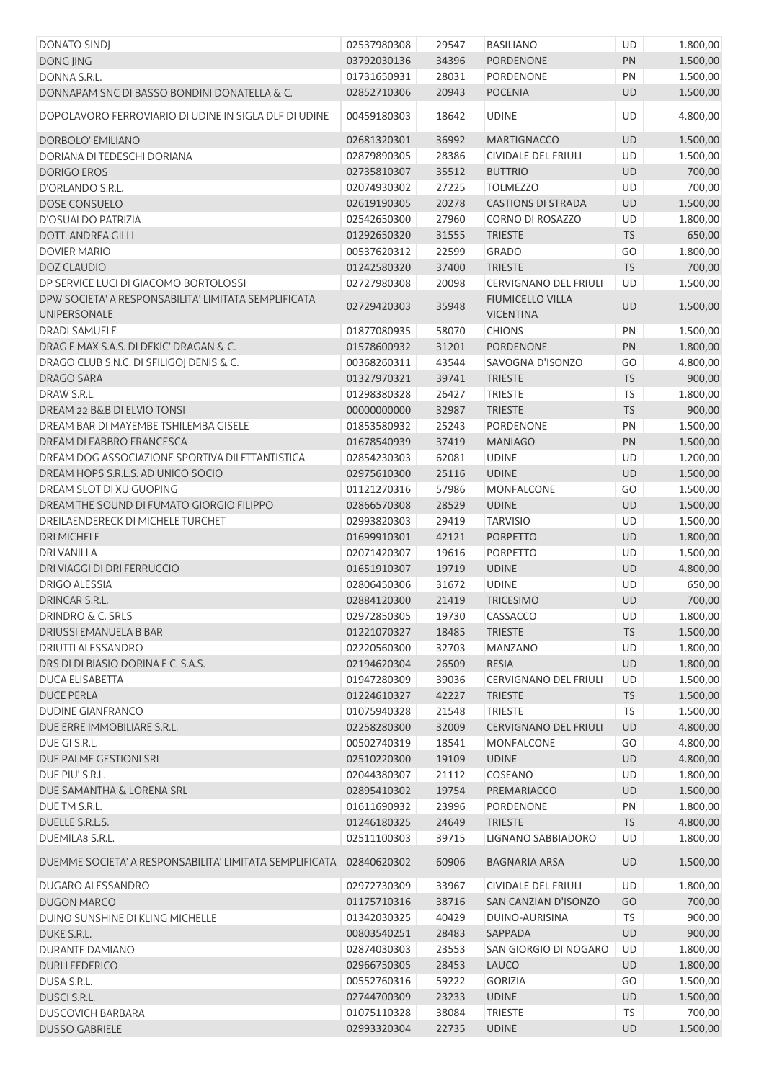| <b>DONATO SINDJ</b>                                     | 02537980308 | 29547 | <b>BASILIANO</b>             | UD        | 1.800,00 |
|---------------------------------------------------------|-------------|-------|------------------------------|-----------|----------|
| DONG JING                                               | 03792030136 | 34396 | <b>PORDENONE</b>             | PN        | 1.500,00 |
| DONNA S.R.L.                                            | 01731650931 | 28031 | PORDENONE                    | PN        | 1.500,00 |
| DONNAPAM SNC DI BASSO BONDINI DONATELLA & C.            | 02852710306 | 20943 | <b>POCENIA</b>               | UD        | 1.500,00 |
|                                                         |             |       |                              |           |          |
| DOPOLAVORO FERROVIARIO DI UDINE IN SIGLA DLF DI UDINE   | 00459180303 | 18642 | <b>UDINE</b>                 | UD        | 4.800,00 |
| DORBOLO' EMILIANO                                       | 02681320301 | 36992 | <b>MARTIGNACCO</b>           | UD        | 1.500,00 |
| DORIANA DI TEDESCHI DORIANA                             | 02879890305 | 28386 | CIVIDALE DEL FRIULI          | <b>UD</b> | 1.500,00 |
| <b>DORIGO EROS</b>                                      | 02735810307 | 35512 | <b>BUTTRIO</b>               | UD        | 700,00   |
| D'ORLANDO S.R.L.                                        | 02074930302 | 27225 | <b>TOLMEZZO</b>              | UD        | 700,00   |
| DOSE CONSUELO                                           | 02619190305 | 20278 | <b>CASTIONS DI STRADA</b>    | UD        | 1.500,00 |
| D'OSUALDO PATRIZIA                                      | 02542650300 | 27960 | <b>CORNO DI ROSAZZO</b>      | UD        | 1.800,00 |
| <b>DOTT. ANDREA GILLI</b>                               | 01292650320 | 31555 | <b>TRIESTE</b>               | TS        | 650,00   |
| <b>DOVIER MARIO</b>                                     | 00537620312 | 22599 | <b>GRADO</b>                 | GO        | 1.800,00 |
| <b>DOZ CLAUDIO</b>                                      | 01242580320 | 37400 | <b>TRIESTE</b>               | <b>TS</b> | 700,00   |
| DP SERVICE LUCI DI GIACOMO BORTOLOSSI                   | 02727980308 | 20098 | <b>CERVIGNANO DEL FRIULI</b> | UD        | 1.500,00 |
| DPW SOCIETA' A RESPONSABILITA' LIMITATA SEMPLIFICATA    |             |       | <b>FIUMICELLO VILLA</b>      |           |          |
| UNIPERSONALE                                            | 02729420303 | 35948 | <b>VICENTINA</b>             | UD        | 1.500,00 |
| <b>DRADI SAMUELE</b>                                    | 01877080935 | 58070 | <b>CHIONS</b>                | PN        | 1.500,00 |
| DRAG E MAX S.A.S. DI DEKIC' DRAGAN & C.                 | 01578600932 | 31201 | <b>PORDENONE</b>             | PN        | 1.800,00 |
| DRAGO CLUB S.N.C. DI SFILIGOJ DENIS & C.                | 00368260311 | 43544 | SAVOGNA D'ISONZO             | GO        | 4.800,00 |
| <b>DRAGO SARA</b>                                       | 01327970321 | 39741 | <b>TRIESTE</b>               | <b>TS</b> | 900,00   |
| DRAW S.R.L.                                             | 01298380328 | 26427 | <b>TRIESTE</b>               | TS        | 1.800,00 |
| DREAM 22 B&B DI ELVIO TONSI                             | 00000000000 | 32987 | <b>TRIESTE</b>               | TS        | 900,00   |
| DREAM BAR DI MAYEMBE TSHILEMBA GISELE                   |             |       | <b>PORDENONE</b>             | PN        |          |
|                                                         | 01853580932 | 25243 |                              |           | 1.500,00 |
| DREAM DI FABBRO FRANCESCA                               | 01678540939 | 37419 | <b>MANIAGO</b>               | PN        | 1.500,00 |
| DREAM DOG ASSOCIAZIONE SPORTIVA DILETTANTISTICA         | 02854230303 | 62081 | <b>UDINE</b>                 | UD        | 1.200,00 |
| DREAM HOPS S.R.L.S. AD UNICO SOCIO                      | 02975610300 | 25116 | <b>UDINE</b>                 | UD        | 1.500,00 |
| DREAM SLOT DI XU GUOPING                                | 01121270316 | 57986 | MONFALCONE                   | GO        | 1.500,00 |
| DREAM THE SOUND DI FUMATO GIORGIO FILIPPO               | 02866570308 | 28529 | <b>UDINE</b>                 | <b>UD</b> | 1.500,00 |
| DREILAENDERECK DI MICHELE TURCHET                       | 02993820303 | 29419 | <b>TARVISIO</b>              | UD        | 1.500,00 |
| <b>DRI MICHELE</b>                                      | 01699910301 | 42121 | <b>PORPETTO</b>              | UD        | 1.800,00 |
| <b>DRI VANILLA</b>                                      | 02071420307 | 19616 | PORPETTO                     | UD        | 1.500,00 |
| DRI VIAGGI DI DRI FERRUCCIO                             | 01651910307 | 19719 | <b>UDINE</b>                 | UD        | 4.800,00 |
| <b>DRIGO ALESSIA</b>                                    | 02806450306 | 31672 | <b>UDINE</b>                 | UD        | 650,00   |
| DRINCAR S.R.L.                                          | 02884120300 | 21419 | <b>TRICESIMO</b>             | UD        | 700,00   |
| <b>DRINDRO &amp; C. SRLS</b>                            | 02972850305 | 19730 | CASSACCO                     | UD        | 1.800,00 |
| DRIUSSI EMANUELA B BAR                                  | 01221070327 | 18485 | <b>TRIESTE</b>               | <b>TS</b> | 1.500,00 |
| DRIUTTI ALESSANDRO                                      | 02220560300 | 32703 | <b>MANZANO</b>               | UD        | 1.800,00 |
| DRS DI DI BIASIO DORINA E C. S.A.S.                     | 02194620304 | 26509 | <b>RESIA</b>                 | UD        | 1.800,00 |
| <b>DUCA ELISABETTA</b>                                  | 01947280309 | 39036 | <b>CERVIGNANO DEL FRIULI</b> | UD        | 1.500,00 |
| <b>DUCE PERLA</b>                                       | 01224610327 | 42227 | <b>TRIESTE</b>               | <b>TS</b> | 1.500,00 |
| <b>DUDINE GIANFRANCO</b>                                | 01075940328 | 21548 | <b>TRIESTE</b>               | <b>TS</b> | 1.500,00 |
| DUE ERRE IMMOBILIARE S.R.L.                             | 02258280300 | 32009 | <b>CERVIGNANO DEL FRIULI</b> | UD        | 4.800,00 |
| DUE GI S.R.L.                                           | 00502740319 | 18541 | <b>MONFALCONE</b>            | GO        | 4.800,00 |
| DUE PALME GESTIONI SRL                                  | 02510220300 | 19109 | <b>UDINE</b>                 | UD        | 4.800,00 |
| DUE PIU' S.R.L.                                         | 02044380307 | 21112 | COSEANO                      | UD        | 1.800,00 |
| DUE SAMANTHA & LORENA SRL                               | 02895410302 | 19754 | PREMARIACCO                  | UD        | 1.500,00 |
| DUE TM S.R.L.                                           | 01611690932 | 23996 | PORDENONE                    | PN        | 1.800,00 |
| DUELLE S.R.L.S.                                         | 01246180325 | 24649 | <b>TRIESTE</b>               | <b>TS</b> | 4.800,00 |
| DUEMILA8 S.R.L.                                         | 02511100303 | 39715 | LIGNANO SABBIADORO           | UD        | 1.800,00 |
| DUEMME SOCIETA' A RESPONSABILITA' LIMITATA SEMPLIFICATA | 02840620302 | 60906 | <b>BAGNARIA ARSA</b>         | UD        | 1.500,00 |
| DUGARO ALESSANDRO                                       | 02972730309 | 33967 | CIVIDALE DEL FRIULI          | UD        | 1.800,00 |
| <b>DUGON MARCO</b>                                      | 01175710316 | 38716 | SAN CANZIAN D'ISONZO         | GO        | 700,00   |
| DUINO SUNSHINE DI KLING MICHELLE                        | 01342030325 | 40429 | DUINO-AURISINA               | <b>TS</b> | 900,00   |
| DUKE S.R.L.                                             | 00803540251 | 28483 | SAPPADA                      | UD        | 900,00   |
| DURANTE DAMIANO                                         | 02874030303 | 23553 | SAN GIORGIO DI NOGARO        | UD        | 1.800,00 |
| <b>DURLI FEDERICO</b>                                   | 02966750305 | 28453 | LAUCO                        | UD        | 1.800,00 |
| DUSA S.R.L.                                             | 00552760316 | 59222 | <b>GORIZIA</b>               | GO        | 1.500,00 |
| DUSCI S.R.L.                                            | 02744700309 | 23233 | <b>UDINE</b>                 | UD        | 1.500,00 |
| <b>DUSCOVICH BARBARA</b>                                | 01075110328 | 38084 | <b>TRIESTE</b>               | <b>TS</b> | 700,00   |
| <b>DUSSO GABRIELE</b>                                   | 02993320304 | 22735 | <b>UDINE</b>                 | UD        | 1.500,00 |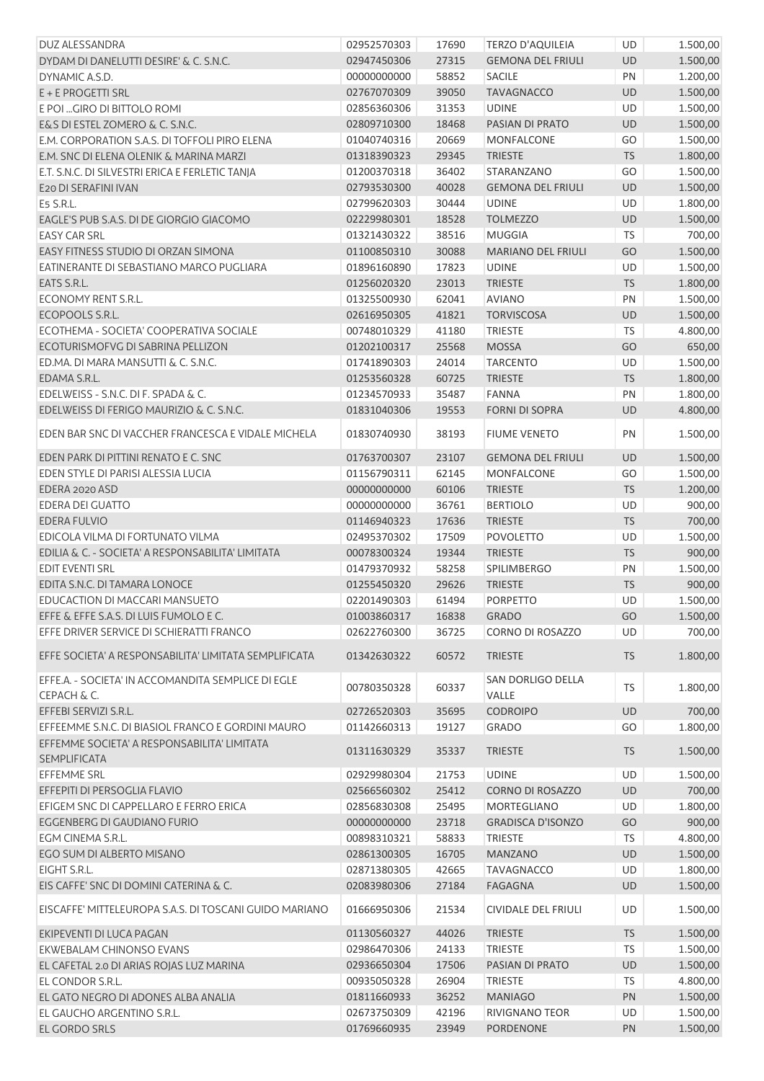| DUZ ALESSANDRA                                         | 02952570303 | 17690 | <b>TERZO D'AQUILEIA</b>   | UD        | 1.500,00 |
|--------------------------------------------------------|-------------|-------|---------------------------|-----------|----------|
| DYDAM DI DANELUTTI DESIRE' & C. S.N.C.                 | 02947450306 | 27315 | <b>GEMONA DEL FRIULI</b>  | UD        | 1.500,00 |
| DYNAMIC A.S.D.                                         | 00000000000 | 58852 | <b>SACILE</b>             | PN        | 1.200,00 |
| E + E PROGETTI SRL                                     | 02767070309 | 39050 | <b>TAVAGNACCO</b>         | UD        | 1.500,00 |
| E POI  GIRO DI BITTOLO ROMI                            | 02856360306 | 31353 | <b>UDINE</b>              | <b>UD</b> | 1.500,00 |
| E&S DI ESTEL ZOMERO & C. S.N.C.                        | 02809710300 | 18468 | PASIAN DI PRATO           | UD        | 1.500,00 |
| E.M. CORPORATION S.A.S. DI TOFFOLI PIRO ELENA          | 01040740316 | 20669 | MONFALCONE                | GO        | 1.500,00 |
| E.M. SNC DI ELENA OLENIK & MARINA MARZI                | 01318390323 | 29345 | <b>TRIESTE</b>            | <b>TS</b> | 1.800,00 |
| E.T. S.N.C. DI SILVESTRI ERICA E FERLETIC TANJA        | 01200370318 | 36402 | STARANZANO                | GO        | 1.500,00 |
| E20 DI SERAFINI IVAN                                   | 02793530300 | 40028 | <b>GEMONA DEL FRIULI</b>  | UD        | 1.500,00 |
| E5 S.R.L.                                              | 02799620303 | 30444 | <b>UDINE</b>              | UD        | 1.800,00 |
| EAGLE'S PUB S.A.S. DI DE GIORGIO GIACOMO               | 02229980301 | 18528 | <b>TOLMEZZO</b>           | UD        | 1.500,00 |
| <b>EASY CAR SRL</b>                                    | 01321430322 | 38516 | <b>MUGGIA</b>             | <b>TS</b> | 700,00   |
| EASY FITNESS STUDIO DI ORZAN SIMONA                    | 01100850310 | 30088 | <b>MARIANO DEL FRIULI</b> | GO        | 1.500,00 |
| EATINERANTE DI SEBASTIANO MARCO PUGLIARA               | 01896160890 | 17823 | <b>UDINE</b>              | UD        | 1.500,00 |
| EATS S.R.L.                                            | 01256020320 | 23013 | <b>TRIESTE</b>            | <b>TS</b> | 1.800,00 |
| ECONOMY RENT S.R.L.                                    | 01325500930 | 62041 | <b>AVIANO</b>             | PN        | 1.500,00 |
| ECOPOOLS S.R.L.                                        | 02616950305 | 41821 | <b>TORVISCOSA</b>         | UD        | 1.500,00 |
| ECOTHEMA - SOCIETA' COOPERATIVA SOCIALE                | 00748010329 | 41180 | <b>TRIESTE</b>            | <b>TS</b> | 4.800,00 |
| ECOTURISMOFVG DI SABRINA PELLIZON                      | 01202100317 | 25568 | <b>MOSSA</b>              | GO        | 650,00   |
| ED.MA, DI MARA MANSUTTI & C. S.N.C.                    | 01741890303 | 24014 | <b>TARCENTO</b>           | UD        | 1.500,00 |
| EDAMA S.R.L.                                           | 01253560328 | 60725 | <b>TRIESTE</b>            | <b>TS</b> | 1.800,00 |
| EDELWEISS - S.N.C. DI F. SPADA & C.                    | 01234570933 | 35487 | <b>FANNA</b>              | PN        | 1.800,00 |
| EDELWEISS DI FERIGO MAURIZIO & C. S.N.C.               | 01831040306 | 19553 | <b>FORNI DI SOPRA</b>     | UD        | 4.800,00 |
|                                                        |             |       |                           |           |          |
| EDEN BAR SNC DI VACCHER FRANCESCA E VIDALE MICHELA     | 01830740930 | 38193 | <b>FIUME VENETO</b>       | PN        | 1.500,00 |
| EDEN PARK DI PITTINI RENATO E C. SNC                   | 01763700307 | 23107 | <b>GEMONA DEL FRIULI</b>  | UD        | 1.500,00 |
| EDEN STYLE DI PARISI ALESSIA LUCIA                     | 01156790311 | 62145 | <b>MONFALCONE</b>         | GO        | 1.500,00 |
| EDERA 2020 ASD                                         | 00000000000 | 60106 | <b>TRIESTE</b>            | <b>TS</b> | 1.200,00 |
| EDERA DEI GUATTO                                       | 00000000000 | 36761 | <b>BERTIOLO</b>           | UD        | 900,00   |
| EDERA FULVIO                                           | 01146940323 | 17636 | <b>TRIESTE</b>            | <b>TS</b> | 700,00   |
| EDICOLA VILMA DI FORTUNATO VILMA                       | 02495370302 | 17509 | <b>POVOLETTO</b>          | UD        | 1.500,00 |
| EDILIA & C. - SOCIETA' A RESPONSABILITA' LIMITATA      | 00078300324 | 19344 | <b>TRIESTE</b>            | <b>TS</b> | 900,00   |
| EDIT EVENTI SRL                                        | 01479370932 | 58258 | SPILIMBERGO               | PN        | 1.500,00 |
| EDITA S.N.C. DI TAMARA LONOCE                          | 01255450320 | 29626 | <b>TRIESTE</b>            | <b>TS</b> | 900,00   |
| EDUCACTION DI MACCARI MANSUETO                         | 02201490303 | 61494 | <b>PORPETTO</b>           | UD        | 1.500,00 |
| EFFE & EFFE S.A.S. DI LUIS FUMOLO E C.                 | 01003860317 | 16838 | <b>GRADO</b>              | GO        | 1.500,00 |
| EFFE DRIVER SERVICE DI SCHIERATTI FRANCO               | 02622760300 | 36725 | CORNO DI ROSAZZO          | UD        | 700,00   |
|                                                        |             |       |                           |           |          |
| EFFE SOCIETA' A RESPONSABILITA' LIMITATA SEMPLIFICATA  | 01342630322 | 60572 | <b>TRIESTE</b>            | <b>TS</b> | 1.800,00 |
| EFFE.A. - SOCIETA' IN ACCOMANDITA SEMPLICE DI EGLE     | 00780350328 | 60337 | SAN DORLIGO DELLA         | <b>TS</b> | 1.800,00 |
| CEPACH & C.                                            |             |       | VALLE                     |           |          |
| EFFEBI SERVIZI S.R.L.                                  | 02726520303 | 35695 | <b>CODROIPO</b>           | UD        | 700,00   |
| EFFEEMME S.N.C. DI BIASIOL FRANCO E GORDINI MAURO      | 01142660313 | 19127 | GRADO                     | GO        | 1.800,00 |
| EFFEMME SOCIETA' A RESPONSABILITA' LIMITATA            | 01311630329 | 35337 | <b>TRIESTE</b>            | <b>TS</b> | 1.500,00 |
| <b>SEMPLIFICATA</b>                                    |             |       |                           |           |          |
| <b>EFFEMME SRL</b>                                     | 02929980304 | 21753 | <b>UDINE</b>              | UD        | 1.500,00 |
| EFFEPITI DI PERSOGLIA FLAVIO                           | 02566560302 | 25412 | <b>CORNO DI ROSAZZO</b>   | <b>UD</b> | 700,00   |
| EFIGEM SNC DI CAPPELLARO E FERRO ERICA                 | 02856830308 | 25495 | MORTEGLIANO               | <b>UD</b> | 1.800,00 |
| EGGENBERG DI GAUDIANO FURIO                            | 00000000000 | 23718 | <b>GRADISCA D'ISONZO</b>  | GO        | 900,00   |
| EGM CINEMA S.R.L.                                      | 00898310321 | 58833 | <b>TRIESTE</b>            | TS        | 4.800,00 |
| EGO SUM DI ALBERTO MISANO                              | 02861300305 | 16705 | <b>MANZANO</b>            | UD        | 1.500,00 |
| EIGHT S.R.L.                                           | 02871380305 | 42665 | <b>TAVAGNACCO</b>         | <b>UD</b> | 1.800,00 |
| EIS CAFFE' SNC DI DOMINI CATERINA & C.                 | 02083980306 | 27184 | <b>FAGAGNA</b>            | UD        | 1.500,00 |
| EISCAFFE' MITTELEUROPA S.A.S. DI TOSCANI GUIDO MARIANO | 01666950306 | 21534 | CIVIDALE DEL FRIULI       | UD        | 1.500,00 |
| EKIPEVENTI DI LUCA PAGAN                               | 01130560327 | 44026 | <b>TRIESTE</b>            | <b>TS</b> | 1.500,00 |
| EKWEBALAM CHINONSO EVANS                               | 02986470306 | 24133 | <b>TRIESTE</b>            | TS        | 1.500,00 |
| EL CAFETAL 2.0 DI ARIAS ROJAS LUZ MARINA               | 02936650304 | 17506 | PASIAN DI PRATO           | UD        | 1.500,00 |
| EL CONDOR S.R.L.                                       | 00935050328 | 26904 | <b>TRIESTE</b>            | TS        | 4.800,00 |
| EL GATO NEGRO DI ADONES ALBA ANALIA                    | 01811660933 | 36252 | <b>MANIAGO</b>            | PN        | 1.500,00 |
| EL GAUCHO ARGENTINO S.R.L.                             | 02673750309 | 42196 | RIVIGNANO TEOR            | UD        | 1.500,00 |
| EL GORDO SRLS                                          | 01769660935 | 23949 | PORDENONE                 | PN        | 1.500,00 |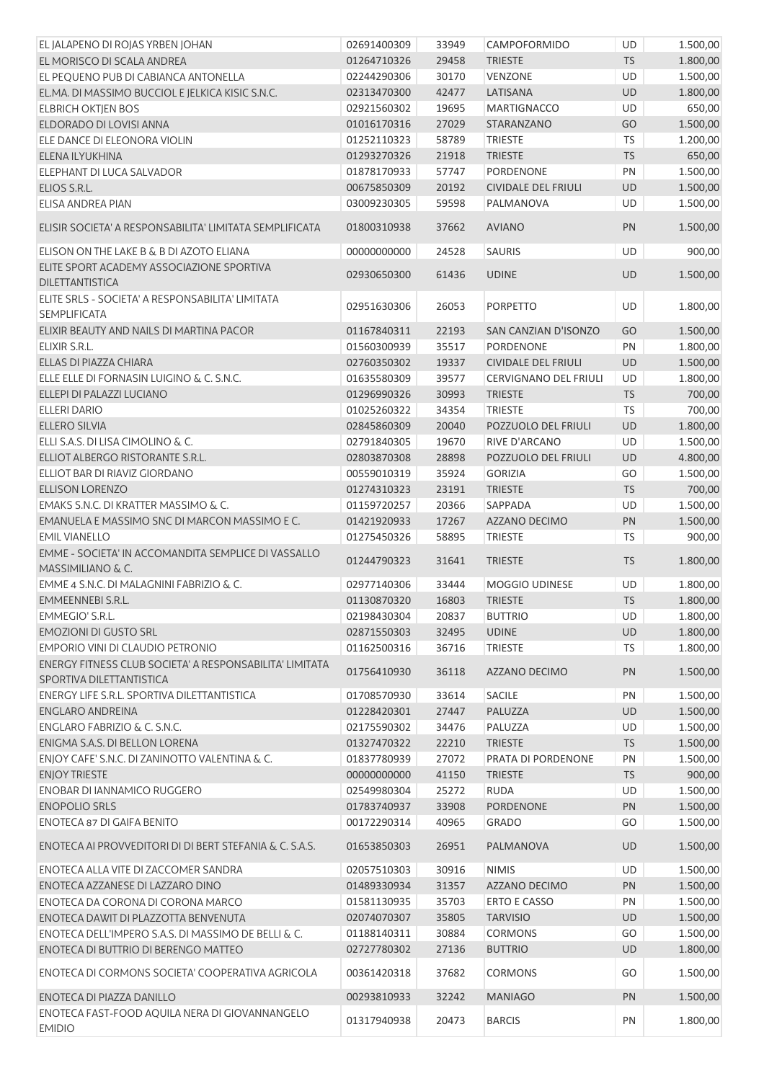| EL JALAPENO DI ROJAS YRBEN JOHAN                                                    | 02691400309 | 33949 | CAMPOFORMIDO                      | UD        | 1.500,00             |
|-------------------------------------------------------------------------------------|-------------|-------|-----------------------------------|-----------|----------------------|
| EL MORISCO DI SCALA ANDREA                                                          | 01264710326 | 29458 | <b>TRIESTE</b>                    | <b>TS</b> | 1.800,00             |
| EL PEQUENO PUB DI CABIANCA ANTONELLA                                                | 02244290306 | 30170 | <b>VENZONE</b>                    | <b>UD</b> | 1.500,00             |
| EL.MA. DI MASSIMO BUCCIOL E JELKICA KISIC S.N.C.                                    | 02313470300 | 42477 | LATISANA                          | UD        | 1.800,00             |
| <b>ELBRICH OKTIEN BOS</b>                                                           | 02921560302 | 19695 | <b>MARTIGNACCO</b>                | <b>UD</b> | 650,00               |
| ELDORADO DI LOVISI ANNA                                                             | 01016170316 | 27029 | STARANZANO                        | GO        | 1.500,00             |
| ELE DANCE DI ELEONORA VIOLIN                                                        | 01252110323 | 58789 | <b>TRIESTE</b>                    | <b>TS</b> | 1.200,00             |
| ELENA ILYUKHINA                                                                     | 01293270326 | 21918 | <b>TRIESTE</b>                    | <b>TS</b> | 650,00               |
| ELEPHANT DI LUCA SALVADOR                                                           | 01878170933 | 57747 | <b>PORDENONE</b>                  | PN        | 1.500,00             |
| ELIOS S.R.L.                                                                        | 00675850309 | 20192 | <b>CIVIDALE DEL FRIULI</b>        | UD        | 1.500,00             |
| <b>ELISA ANDREA PIAN</b>                                                            | 03009230305 | 59598 | PALMANOVA                         | UD        | 1.500,00             |
| ELISIR SOCIETA' A RESPONSABILITA' LIMITATA SEMPLIFICATA                             | 01800310938 | 37662 | <b>AVIANO</b>                     | PN        | 1.500,00             |
| ELISON ON THE LAKE B & B DI AZOTO ELIANA                                            | 00000000000 | 24528 | <b>SAURIS</b>                     | UD        | 900,00               |
| ELITE SPORT ACADEMY ASSOCIAZIONE SPORTIVA<br>DILETTANTISTICA                        | 02930650300 | 61436 | <b>UDINE</b>                      | UD        | 1.500,00             |
| ELITE SRLS - SOCIETA' A RESPONSABILITA' LIMITATA<br><b>SEMPLIFICATA</b>             | 02951630306 | 26053 | PORPETTO                          | UD        | 1.800,00             |
| ELIXIR BEAUTY AND NAILS DI MARTINA PACOR                                            | 01167840311 | 22193 | SAN CANZIAN D'ISONZO              | GO        | 1.500,00             |
| ELIXIR S.R.L.                                                                       | 01560300939 | 35517 | <b>PORDENONE</b>                  | PN        | 1.800,00             |
| ELLAS DI PIAZZA CHIARA                                                              | 02760350302 | 19337 | CIVIDALE DEL FRIULI               | UD        | 1.500,00             |
| ELLE ELLE DI FORNASIN LUIGINO & C. S.N.C.                                           | 01635580309 | 39577 | <b>CERVIGNANO DEL FRIULI</b>      | UD        | 1.800,00             |
| ELLEPI DI PALAZZI LUCIANO                                                           | 01296990326 | 30993 | <b>TRIESTE</b>                    | <b>TS</b> | 700,00               |
| <b>ELLERI DARIO</b>                                                                 | 01025260322 | 34354 | <b>TRIESTE</b>                    | <b>TS</b> | 700,00               |
| <b>ELLERO SILVIA</b>                                                                | 02845860309 | 20040 | POZZUOLO DEL FRIULI               | UD        | 1.800,00             |
| ELLI S.A.S. DI LISA CIMOLINO & C.                                                   | 02791840305 | 19670 | RIVE D'ARCANO                     | UD        | 1.500,00             |
| ELLIOT ALBERGO RISTORANTE S.R.L.                                                    | 02803870308 | 28898 | POZZUOLO DEL FRIULI               | UD        | 4.800,00             |
| ELLIOT BAR DI RIAVIZ GIORDANO                                                       | 00559010319 | 35924 | <b>GORIZIA</b>                    | GO        | 1.500,00             |
| <b>ELLISON LORENZO</b>                                                              | 01274310323 | 23191 | <b>TRIESTE</b>                    | <b>TS</b> | 700,00               |
| EMAKS S.N.C. DI KRATTER MASSIMO & C.                                                | 01159720257 | 20366 | SAPPADA                           | UD        | 1.500,00             |
| EMANUELA E MASSIMO SNC DI MARCON MASSIMO E C.                                       | 01421920933 | 17267 | AZZANO DECIMO                     | PN        | 1.500,00             |
| <b>EMIL VIANELLO</b>                                                                | 01275450326 | 58895 | <b>TRIESTE</b>                    | <b>TS</b> | 900,00               |
| EMME - SOCIETA' IN ACCOMANDITA SEMPLICE DI VASSALLO<br>MASSIMILIANO & C.            | 01244790323 | 31641 | <b>TRIESTE</b>                    | <b>TS</b> | 1.800,00             |
| EMME 4 S.N.C. DI MALAGNINI FABRIZIO & C.                                            | 02977140306 | 33444 | MOGGIO UDINESE                    | <b>UD</b> | 1.800,00             |
| <b>EMMEENNEBI S.R.L.</b>                                                            | 01130870320 | 16803 | <b>TRIESTE</b>                    | <b>TS</b> | 1.800,00             |
| EMMEGIO' S.R.L.                                                                     | 02198430304 | 20837 | <b>BUTTRIO</b>                    | UD        | 1.800,00             |
| <b>EMOZIONI DI GUSTO SRL</b>                                                        | 02871550303 | 32495 | <b>UDINE</b>                      | UD        | 1.800,00             |
| EMPORIO VINI DI CLAUDIO PETRONIO                                                    | 01162500316 | 36716 | <b>TRIESTE</b>                    | TS        | 1.800,00             |
| ENERGY FITNESS CLUB SOCIETA' A RESPONSABILITA' LIMITATA<br>SPORTIVA DILETTANTISTICA | 01756410930 | 36118 | AZZANO DECIMO                     | PN        | 1.500,00             |
| ENERGY LIFE S.R.L. SPORTIVA DILETTANTISTICA                                         | 01708570930 | 33614 | SACILE                            | PN        | 1.500,00             |
| <b>ENGLARO ANDREINA</b>                                                             | 01228420301 | 27447 | PALUZZA                           | UD        | 1.500,00             |
| ENGLARO FABRIZIO & C. S.N.C.                                                        | 02175590302 | 34476 | PALUZZA                           | UD        | 1.500,00             |
| ENIGMA S.A.S. DI BELLON LORENA                                                      | 01327470322 | 22210 | <b>TRIESTE</b>                    | <b>TS</b> | 1.500,00             |
| ENJOY CAFE' S.N.C. DI ZANINOTTO VALENTINA & C.                                      | 01837780939 | 27072 | PRATA DI PORDENONE                | PN        | 1.500,00             |
| <b>ENJOY TRIESTE</b>                                                                | 00000000000 | 41150 | <b>TRIESTE</b>                    | TS        | 900,00               |
| <b>ENOBAR DI IANNAMICO RUGGERO</b>                                                  | 02549980304 | 25272 | <b>RUDA</b>                       | UD        | 1.500,00             |
| <b>ENOPOLIO SRLS</b>                                                                | 01783740937 | 33908 | <b>PORDENONE</b>                  | PN        | 1.500,00             |
| <b>ENOTECA 87 DI GAIFA BENITO</b>                                                   | 00172290314 | 40965 | <b>GRADO</b>                      | GO        | 1.500,00             |
| ENOTECA AI PROVVEDITORI DI DI BERT STEFANIA & C. S.A.S.                             | 01653850303 | 26951 | PALMANOVA                         | <b>UD</b> | 1.500,00             |
| ENOTECA ALLA VITE DI ZACCOMER SANDRA                                                | 02057510303 | 30916 | <b>NIMIS</b>                      | UD        | 1.500,00             |
| ENOTECA AZZANESE DI LAZZARO DINO                                                    | 01489330934 | 31357 | AZZANO DECIMO                     | PN        |                      |
| ENOTECA DA CORONA DI CORONA MARCO                                                   | 01581130935 | 35703 | <b>ERTO E CASSO</b>               | PN        | 1.500,00<br>1.500,00 |
| ENOTECA DAWIT DI PLAZZOTTA BENVENUTA                                                |             |       |                                   |           |                      |
| ENOTECA DELL'IMPERO S.A.S. DI MASSIMO DE BELLI & C.                                 | 02074070307 | 35805 | <b>TARVISIO</b><br><b>CORMONS</b> | UD<br>GO  | 1.500,00             |
|                                                                                     | 01188140311 | 30884 |                                   |           | 1.500,00             |
| ENOTECA DI BUTTRIO DI BERENGO MATTEO                                                | 02727780302 | 27136 | <b>BUTTRIO</b>                    | UD        | 1.800,00             |
| ENOTECA DI CORMONS SOCIETA' COOPERATIVA AGRICOLA                                    | 00361420318 | 37682 | <b>CORMONS</b>                    | GO        | 1.500,00             |
| ENOTECA DI PIAZZA DANILLO                                                           | 00293810933 | 32242 | <b>MANIAGO</b>                    | PN        | 1.500,00             |
| ENOTECA FAST-FOOD AQUILA NERA DI GIOVANNANGELO<br><b>EMIDIO</b>                     | 01317940938 | 20473 | <b>BARCIS</b>                     | PN        | 1.800,00             |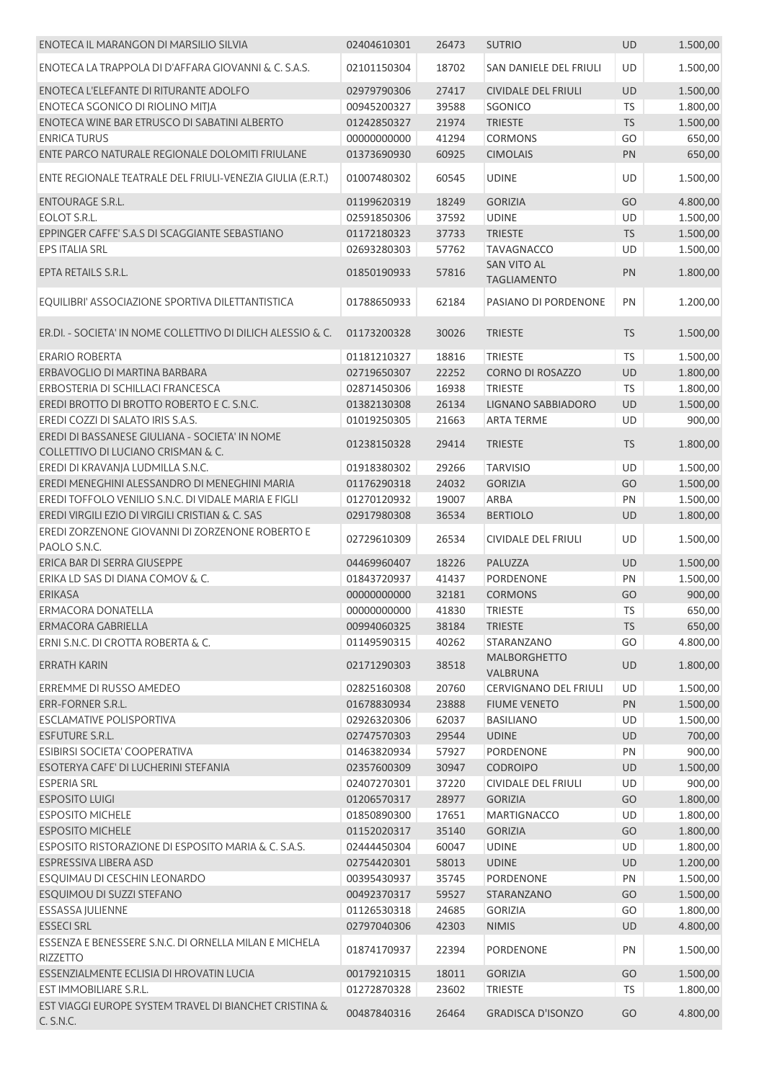| ENOTECA IL MARANGON DI MARSILIO SILVIA                                   | 02404610301 | 26473 | <b>SUTRIO</b>                            | <b>UD</b> | 1.500,00 |
|--------------------------------------------------------------------------|-------------|-------|------------------------------------------|-----------|----------|
| ENOTECA LA TRAPPOLA DI D'AFFARA GIOVANNI & C. S.A.S.                     | 02101150304 | 18702 | SAN DANIELE DEL FRIULI                   | UD        | 1.500,00 |
| ENOTECA L'ELEFANTE DI RITURANTE ADOLFO                                   | 02979790306 | 27417 | <b>CIVIDALE DEL FRIULI</b>               | <b>UD</b> | 1.500,00 |
| ENOTECA SGONICO DI RIOLINO MITJA                                         | 00945200327 | 39588 | <b>SGONICO</b>                           | <b>TS</b> | 1.800,00 |
| ENOTECA WINE BAR ETRUSCO DI SABATINI ALBERTO                             | 01242850327 | 21974 | <b>TRIESTE</b>                           | TS        | 1.500,00 |
| <b>ENRICA TURUS</b>                                                      | 00000000000 | 41294 | <b>CORMONS</b>                           | GO        | 650,00   |
| ENTE PARCO NATURALE REGIONALE DOLOMITI FRIULANE                          | 01373690930 | 60925 | <b>CIMOLAIS</b>                          | PN        | 650,00   |
| ENTE REGIONALE TEATRALE DEL FRIULI-VENEZIA GIULIA (E.R.T.)               | 01007480302 | 60545 | <b>UDINE</b>                             | UD        | 1.500,00 |
| <b>ENTOURAGE S.R.L.</b>                                                  | 01199620319 | 18249 | <b>GORIZIA</b>                           | GO        | 4.800,00 |
| EOLOT S.R.L.                                                             | 02591850306 | 37592 | <b>UDINE</b>                             | UD        | 1.500,00 |
| EPPINGER CAFFE' S.A.S DI SCAGGIANTE SEBASTIANO                           | 01172180323 | 37733 | <b>TRIESTE</b>                           | <b>TS</b> | 1.500,00 |
| EPS ITALIA SRL                                                           | 02693280303 | 57762 | <b>TAVAGNACCO</b>                        | UD        | 1.500,00 |
| EPTA RETAILS S.R.L.                                                      | 01850190933 | 57816 | <b>SAN VITO AL</b><br><b>TAGLIAMENTO</b> | PN        | 1.800,00 |
| EQUILIBRI' ASSOCIAZIONE SPORTIVA DILETTANTISTICA                         | 01788650933 | 62184 | PASIANO DI PORDENONE                     | PN        | 1.200,00 |
| ER.DI. - SOCIETA' IN NOME COLLETTIVO DI DILICH ALESSIO & C.              | 01173200328 | 30026 | <b>TRIESTE</b>                           | <b>TS</b> | 1.500,00 |
| <b>ERARIO ROBERTA</b>                                                    | 01181210327 | 18816 | <b>TRIESTE</b>                           | <b>TS</b> | 1.500,00 |
| ERBAVOGLIO DI MARTINA BARBARA                                            | 02719650307 | 22252 | <b>CORNO DI ROSAZZO</b>                  | UD        | 1.800,00 |
| ERBOSTERIA DI SCHILLACI FRANCESCA                                        | 02871450306 | 16938 | <b>TRIESTE</b>                           | TS        | 1.800,00 |
| EREDI BROTTO DI BROTTO ROBERTO E C. S.N.C.                               | 01382130308 | 26134 | LIGNANO SABBIADORO                       | UD        | 1.500,00 |
| EREDI COZZI DI SALATO IRIS S.A.S.                                        | 01019250305 | 21663 | <b>ARTA TERME</b>                        | <b>UD</b> | 900,00   |
| EREDI DI BASSANESE GIULIANA - SOCIETA' IN NOME                           |             |       |                                          |           |          |
| COLLETTIVO DI LUCIANO CRISMAN & C.                                       | 01238150328 | 29414 | <b>TRIESTE</b>                           | <b>TS</b> | 1.800,00 |
| EREDI DI KRAVANJA LUDMILLA S.N.C.                                        | 01918380302 | 29266 | <b>TARVISIO</b>                          | <b>UD</b> | 1.500,00 |
| EREDI MENEGHINI ALESSANDRO DI MENEGHINI MARIA                            | 01176290318 | 24032 | <b>GORIZIA</b>                           | GO        | 1.500,00 |
| EREDI TOFFOLO VENILIO S.N.C. DI VIDALE MARIA E FIGLI                     | 01270120932 | 19007 | ARBA                                     | PN        | 1.500,00 |
| EREDI VIRGILI EZIO DI VIRGILI CRISTIAN & C. SAS                          | 02917980308 | 36534 | <b>BERTIOLO</b>                          | UD        | 1.800,00 |
| EREDI ZORZENONE GIOVANNI DI ZORZENONE ROBERTO E<br>PAOLO S.N.C.          | 02729610309 | 26534 | CIVIDALE DEL FRIULI                      | UD        | 1.500,00 |
| ERICA BAR DI SERRA GIUSEPPE                                              | 04469960407 | 18226 | PALUZZA                                  | UD        | 1.500,00 |
| ERIKA LD SAS DI DIANA COMOV & C.                                         | 01843720937 | 41437 | PORDENONE                                | PN        | 1.500,00 |
| <b>ERIKASA</b>                                                           | 00000000000 | 32181 | <b>CORMONS</b>                           | GO        | 900,00   |
| ERMACORA DONATELLA                                                       | 00000000000 | 41830 | <b>TRIESTE</b>                           | <b>TS</b> | 650,00   |
| ERMACORA GABRIELLA                                                       | 00994060325 | 38184 | <b>TRIESTE</b>                           | <b>TS</b> | 650,00   |
| ERNI S.N.C. DI CROTTA ROBERTA & C.                                       | 01149590315 | 40262 | STARANZANO                               | GO        | 4.800,00 |
| <b>ERRATH KARIN</b>                                                      | 02171290303 | 38518 | <b>MALBORGHETTO</b><br>VALBRUNA          | UD        | 1.800,00 |
| ERREMME DI RUSSO AMEDEO                                                  | 02825160308 | 20760 | <b>CERVIGNANO DEL FRIULI</b>             | UD        | 1.500,00 |
| ERR-FORNER S.R.L.                                                        | 01678830934 | 23888 | <b>FIUME VENETO</b>                      | PN        | 1.500,00 |
| <b>ESCLAMATIVE POLISPORTIVA</b>                                          | 02926320306 | 62037 | <b>BASILIANO</b>                         | UD        | 1.500,00 |
| ESFUTURE S.R.L.                                                          | 02747570303 | 29544 | <b>UDINE</b>                             | UD        | 700,00   |
| ESIBIRSI SOCIETA' COOPERATIVA                                            | 01463820934 | 57927 | PORDENONE                                | PN        | 900,00   |
| ESOTERYA CAFE' DI LUCHERINI STEFANIA                                     | 02357600309 | 30947 | <b>CODROIPO</b>                          | UD        | 1.500,00 |
| <b>ESPERIA SRL</b>                                                       | 02407270301 | 37220 | <b>CIVIDALE DEL FRIULI</b>               | UD        | 900,00   |
| <b>ESPOSITO LUIGI</b>                                                    | 01206570317 | 28977 | <b>GORIZIA</b>                           | GO        | 1.800,00 |
| <b>ESPOSITO MICHELE</b>                                                  | 01850890300 | 17651 | <b>MARTIGNACCO</b>                       | UD        | 1.800,00 |
| <b>ESPOSITO MICHELE</b>                                                  | 01152020317 | 35140 | <b>GORIZIA</b>                           | GO        | 1.800,00 |
| ESPOSITO RISTORAZIONE DI ESPOSITO MARIA & C. S.A.S.                      | 02444450304 | 60047 | <b>UDINE</b>                             | UD        | 1.800,00 |
| ESPRESSIVA LIBERA ASD                                                    | 02754420301 | 58013 | <b>UDINE</b>                             | UD        | 1.200,00 |
| ESQUIMAU DI CESCHIN LEONARDO                                             | 00395430937 | 35745 | <b>PORDENONE</b>                         | PN        | 1.500,00 |
| ESQUIMOU DI SUZZI STEFANO                                                | 00492370317 | 59527 | STARANZANO                               | GO        | 1.500,00 |
| ESSASSA JULIENNE                                                         | 01126530318 | 24685 | <b>GORIZIA</b>                           | GO        | 1.800,00 |
| <b>ESSECI SRL</b>                                                        | 02797040306 | 42303 | <b>NIMIS</b>                             | UD        | 4.800,00 |
| ESSENZA E BENESSERE S.N.C. DI ORNELLA MILAN E MICHELA<br><b>RIZZETTO</b> | 01874170937 | 22394 | PORDENONE                                | PN        | 1.500,00 |
| ESSENZIALMENTE ECLISIA DI HROVATIN LUCIA                                 | 00179210315 | 18011 | <b>GORIZIA</b>                           | GO        | 1.500,00 |
| EST IMMOBILIARE S.R.L.                                                   | 01272870328 | 23602 | <b>TRIESTE</b>                           | TS        | 1.800,00 |
| EST VIAGGI EUROPE SYSTEM TRAVEL DI BIANCHET CRISTINA &<br>C. S.N.C.      | 00487840316 | 26464 | <b>GRADISCA D'ISONZO</b>                 | GO        | 4.800,00 |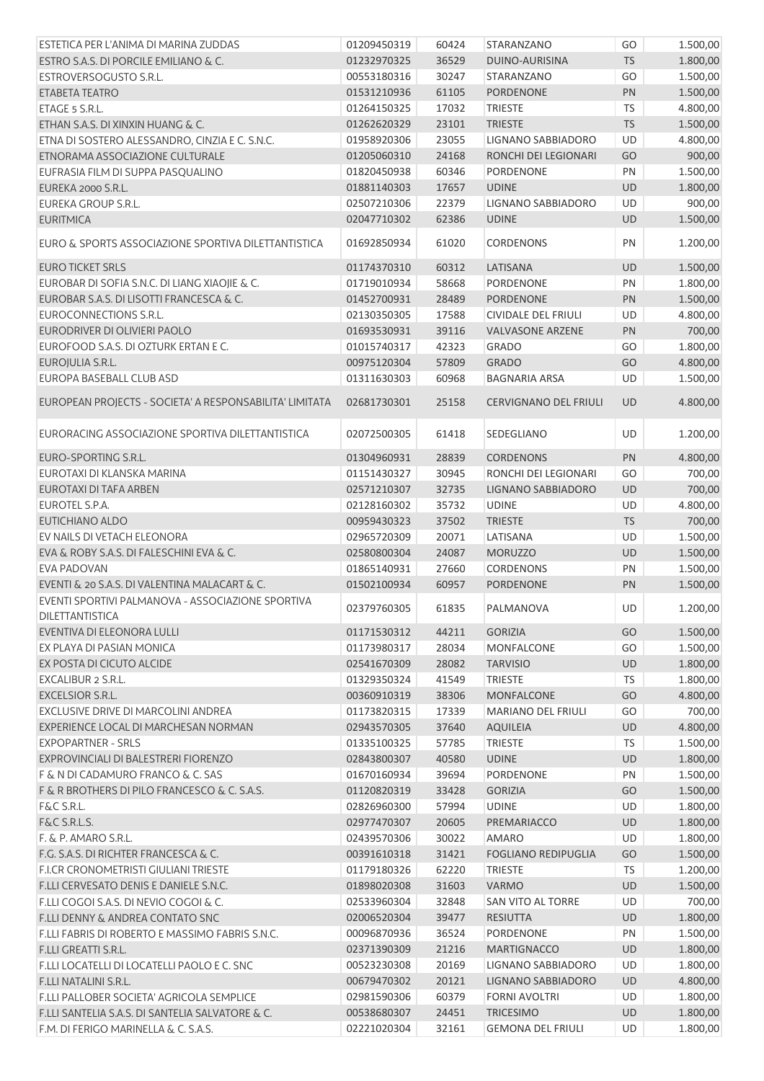| ESTETICA PER L'ANIMA DI MARINA ZUDDAS                                | 01209450319 | 60424 | STARANZANO                   | GO        | 1.500,00 |
|----------------------------------------------------------------------|-------------|-------|------------------------------|-----------|----------|
| ESTRO S.A.S. DI PORCILE EMILIANO & C.                                | 01232970325 | 36529 | DUINO-AURISINA               | <b>TS</b> | 1.800,00 |
| ESTROVERSOGUSTO S.R.L.                                               | 00553180316 | 30247 | STARANZANO                   | GO        | 1.500,00 |
| ETABETA TEATRO                                                       | 01531210936 | 61105 | <b>PORDENONE</b>             | PN        | 1.500,00 |
| ETAGE 5 S.R.L.                                                       | 01264150325 | 17032 | <b>TRIESTE</b>               | <b>TS</b> | 4.800,00 |
| ETHAN S.A.S. DI XINXIN HUANG & C.                                    | 01262620329 | 23101 | <b>TRIESTE</b>               | TS        | 1.500,00 |
| ETNA DI SOSTERO ALESSANDRO, CINZIA E C. S.N.C.                       | 01958920306 | 23055 | LIGNANO SABBIADORO           | <b>UD</b> | 4.800,00 |
| ETNORAMA ASSOCIAZIONE CULTURALE                                      | 01205060310 | 24168 | RONCHI DEI LEGIONARI         | GO        | 900,00   |
| EUFRASIA FILM DI SUPPA PASQUALINO                                    | 01820450938 | 60346 | <b>PORDENONE</b>             | PN        | 1.500,00 |
| EUREKA 2000 S.R.L.                                                   | 01881140303 | 17657 | <b>UDINE</b>                 | UD        | 1.800,00 |
| <b>EUREKA GROUP S.R.L.</b>                                           | 02507210306 | 22379 | LIGNANO SABBIADORO           | UD        | 900,00   |
| <b>EURITMICA</b>                                                     | 02047710302 | 62386 | <b>UDINE</b>                 | UD        | 1.500,00 |
| EURO & SPORTS ASSOCIAZIONE SPORTIVA DILETTANTISTICA                  | 01692850934 | 61020 | <b>CORDENONS</b>             | PN        | 1.200,00 |
| <b>EURO TICKET SRLS</b>                                              | 01174370310 | 60312 | LATISANA                     | UD        | 1.500,00 |
| EUROBAR DI SOFIA S.N.C. DI LIANG XIAOJIE & C.                        | 01719010934 | 58668 | <b>PORDENONE</b>             | PN        | 1.800,00 |
| EUROBAR S.A.S. DI LISOTTI FRANCESCA & C.                             | 01452700931 | 28489 | <b>PORDENONE</b>             | PN        | 1.500,00 |
| EUROCONNECTIONS S.R.L.                                               | 02130350305 | 17588 | <b>CIVIDALE DEL FRIULI</b>   | UD        | 4.800,00 |
| EURODRIVER DI OLIVIERI PAOLO                                         | 01693530931 | 39116 | <b>VALVASONE ARZENE</b>      | PN        | 700,00   |
| EUROFOOD S.A.S. DI OZTURK ERTAN E C.                                 | 01015740317 | 42323 | <b>GRADO</b>                 | GO        | 1.800,00 |
| EUROJULIA S.R.L.                                                     | 00975120304 | 57809 | <b>GRADO</b>                 | GO        | 4.800,00 |
| EUROPA BASEBALL CLUB ASD                                             | 01311630303 | 60968 | <b>BAGNARIA ARSA</b>         | <b>UD</b> | 1.500,00 |
| EUROPEAN PROJECTS - SOCIETA' A RESPONSABILITA' LIMITATA              | 02681730301 | 25158 | <b>CERVIGNANO DEL FRIULI</b> | UD        | 4.800,00 |
| EURORACING ASSOCIAZIONE SPORTIVA DILETTANTISTICA                     | 02072500305 | 61418 | SEDEGLIANO                   | UD        | 1.200,00 |
| EURO-SPORTING S.R.L.                                                 | 01304960931 | 28839 | <b>CORDENONS</b>             | PN        | 4.800,00 |
| EUROTAXI DI KLANSKA MARINA                                           | 01151430327 | 30945 | RONCHI DEI LEGIONARI         | GO        | 700,00   |
| EUROTAXI DI TAFA ARBEN                                               | 02571210307 | 32735 | LIGNANO SABBIADORO           | UD        | 700,00   |
| EUROTEL S.P.A.                                                       | 02128160302 | 35732 | <b>UDINE</b>                 | UD        | 4.800,00 |
| EUTICHIANO ALDO                                                      | 00959430323 | 37502 | <b>TRIESTE</b>               | TS        | 700,00   |
| EV NAILS DI VETACH ELEONORA                                          | 02965720309 | 20071 | LATISANA                     | <b>UD</b> | 1.500,00 |
| EVA & ROBY S.A.S. DI FALESCHINI EVA & C.                             | 02580800304 | 24087 | <b>MORUZZO</b>               | UD        | 1.500,00 |
| <b>EVA PADOVAN</b>                                                   | 01865140931 | 27660 | <b>CORDENONS</b>             | PN        | 1.500,00 |
| EVENTI & 20 S.A.S. DI VALENTINA MALACART & C.                        | 01502100934 | 60957 | PORDENONE                    | PN        | 1.500,00 |
| EVENTI SPORTIVI PALMANOVA - ASSOCIAZIONE SPORTIVA<br>DILETTANTISTICA | 02379760305 | 61835 | PALMANOVA                    | UD        | 1.200,00 |
| EVENTIVA DI ELEONORA LULLI                                           | 01171530312 | 44211 | <b>GORIZIA</b>               | GO        | 1.500,00 |
| EX PLAYA DI PASIAN MONICA                                            | 01173980317 | 28034 | <b>MONFALCONE</b>            | GO        | 1.500,00 |
| EX POSTA DI CICUTO ALCIDE                                            | 02541670309 | 28082 | <b>TARVISIO</b>              | UD        | 1.800,00 |
| EXCALIBUR 2 S.R.L.                                                   | 01329350324 | 41549 | <b>TRIESTE</b>               | <b>TS</b> | 1.800,00 |
| <b>EXCELSIOR S.R.L.</b>                                              | 00360910319 | 38306 | MONFALCONE                   | GO        | 4.800,00 |
|                                                                      |             |       |                              |           |          |
| EXCLUSIVE DRIVE DI MARCOLINI ANDREA                                  | 01173820315 | 17339 | <b>MARIANO DEL FRIULI</b>    | GO        | 700,00   |
| EXPERIENCE LOCAL DI MARCHESAN NORMAN<br><b>EXPOPARTNER - SRLS</b>    | 02943570305 | 37640 | <b>AQUILEIA</b>              | UD        | 4.800,00 |
|                                                                      | 01335100325 | 57785 | <b>TRIESTE</b>               | <b>TS</b> | 1.500,00 |
| EXPROVINCIALI DI BALESTRERI FIORENZO                                 | 02843800307 | 40580 | <b>UDINE</b>                 | UD        | 1.800,00 |
| F & N DI CADAMURO FRANCO & C. SAS                                    | 01670160934 | 39694 | <b>PORDENONE</b>             | PN        | 1.500,00 |
| F & R BROTHERS DI PILO FRANCESCO & C. S.A.S.                         | 01120820319 | 33428 | <b>GORIZIA</b>               | GO        | 1.500,00 |
| F&C S.R.L.                                                           | 02826960300 | 57994 | <b>UDINE</b>                 | UD        | 1.800,00 |
| F&C S.R.L.S.                                                         | 02977470307 | 20605 | PREMARIACCO                  | UD        | 1.800,00 |
| F. & P. AMARO S.R.L.                                                 | 02439570306 | 30022 | <b>AMARO</b>                 | UD        | 1.800,00 |
| F.G. S.A.S. DI RICHTER FRANCESCA & C.                                | 00391610318 | 31421 | <b>FOGLIANO REDIPUGLIA</b>   | GO        | 1.500,00 |
| F.I.CR CRONOMETRISTI GIULIANI TRIESTE                                | 01179180326 | 62220 | <b>TRIESTE</b>               | TS        | 1.200,00 |
| F.LLI CERVESATO DENIS E DANIELE S.N.C.                               | 01898020308 | 31603 | <b>VARMO</b>                 | UD        | 1.500,00 |
| F.LLI COGOI S.A.S. DI NEVIO COGOI & C.                               | 02533960304 | 32848 | <b>SAN VITO AL TORRE</b>     | UD        | 700,00   |
| F.LLI DENNY & ANDREA CONTATO SNC                                     | 02006520304 | 39477 | <b>RESIUTTA</b>              | UD        | 1.800,00 |
| F.LLI FABRIS DI ROBERTO E MASSIMO FABRIS S.N.C.                      | 00096870936 | 36524 | PORDENONE                    | PN        | 1.500,00 |
| F.LLI GREATTI S.R.L.                                                 | 02371390309 | 21216 | <b>MARTIGNACCO</b>           | UD        | 1.800,00 |
| F.LLI LOCATELLI DI LOCATELLI PAOLO E C. SNC                          | 00523230308 | 20169 | LIGNANO SABBIADORO           | UD        | 1.800,00 |
| F.LLI NATALINI S.R.L.                                                | 00679470302 | 20121 | LIGNANO SABBIADORO           | UD        | 4.800,00 |
| F.LLI PALLOBER SOCIETA' AGRICOLA SEMPLICE                            | 02981590306 | 60379 | <b>FORNI AVOLTRI</b>         | UD        | 1.800,00 |
| F.LLI SANTELIA S.A.S. DI SANTELIA SALVATORE & C.                     | 00538680307 | 24451 | <b>TRICESIMO</b>             | <b>UD</b> | 1.800,00 |
| F.M. DI FERIGO MARINELLA & C. S.A.S.                                 | 02221020304 | 32161 | <b>GEMONA DEL FRIULI</b>     | UD        | 1.800,00 |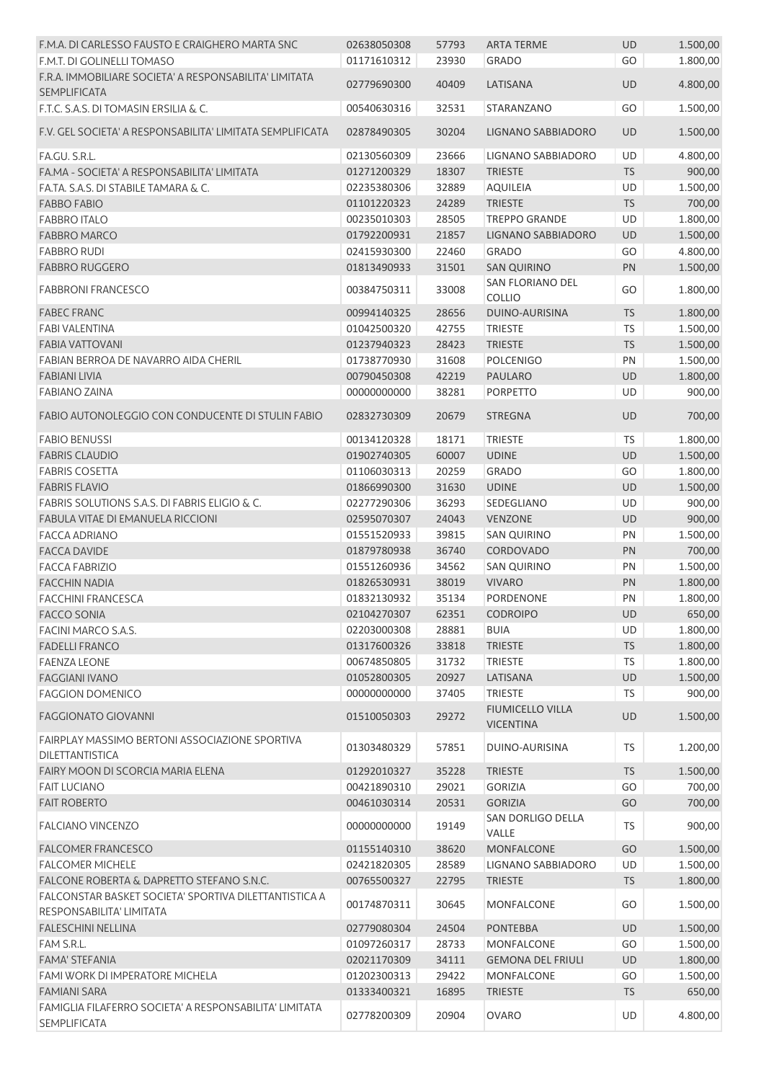| F.M.A. DI CARLESSO FAUSTO E CRAIGHERO MARTA SNC                                   | 02638050308 | 57793 | <b>ARTA TERME</b>                           | <b>UD</b> | 1.500,00 |
|-----------------------------------------------------------------------------------|-------------|-------|---------------------------------------------|-----------|----------|
| F.M.T. DI GOLINELLI TOMASO                                                        | 01171610312 | 23930 | <b>GRADO</b>                                | GO        | 1.800,00 |
| F.R.A. IMMOBILIARE SOCIETA' A RESPONSABILITA' LIMITATA<br><b>SEMPLIFICATA</b>     | 02779690300 | 40409 | LATISANA                                    | <b>UD</b> | 4.800,00 |
| F.T.C. S.A.S. DI TOMASIN ERSILIA & C.                                             | 00540630316 | 32531 | STARANZANO                                  | GO        | 1.500,00 |
| F.V. GEL SOCIETA' A RESPONSABILITA' LIMITATA SEMPLIFICATA                         | 02878490305 | 30204 | <b>LIGNANO SABBIADORO</b>                   | <b>UD</b> | 1.500,00 |
| FA.GU. S.R.L.                                                                     | 02130560309 | 23666 | LIGNANO SABBIADORO                          | UD        | 4.800,00 |
| FA.MA - SOCIETA' A RESPONSABILITA' LIMITATA                                       | 01271200329 | 18307 | <b>TRIESTE</b>                              | <b>TS</b> | 900,00   |
| FA.TA. S.A.S. DI STABILE TAMARA & C.                                              | 02235380306 | 32889 | <b>AQUILEIA</b>                             | UD        | 1.500,00 |
| <b>FABBO FABIO</b>                                                                | 01101220323 | 24289 | <b>TRIESTE</b>                              | TS        | 700,00   |
| <b>FABBRO ITALO</b>                                                               | 00235010303 | 28505 | <b>TREPPO GRANDE</b>                        | UD        | 1.800,00 |
| <b>FABBRO MARCO</b>                                                               | 01792200931 | 21857 | LIGNANO SABBIADORO                          | <b>UD</b> | 1.500,00 |
| <b>FABBRO RUDI</b>                                                                | 02415930300 | 22460 | <b>GRADO</b>                                | GO        | 4.800,00 |
| <b>FABBRO RUGGERO</b>                                                             | 01813490933 | 31501 | <b>SAN QUIRINO</b>                          | PN        | 1.500,00 |
|                                                                                   |             |       | SAN FLORIANO DEL                            |           |          |
| <b>FABBRONI FRANCESCO</b>                                                         | 00384750311 | 33008 | <b>COLLIO</b>                               | GO        | 1.800,00 |
| <b>FABEC FRANC</b>                                                                | 00994140325 | 28656 | DUINO-AURISINA                              | <b>TS</b> | 1.800,00 |
| <b>FABI VALENTINA</b>                                                             | 01042500320 | 42755 | <b>TRIESTE</b>                              | TS        | 1.500,00 |
| <b>FABIA VATTOVANI</b>                                                            | 01237940323 | 28423 | <b>TRIESTE</b>                              | <b>TS</b> | 1.500,00 |
| FABIAN BERROA DE NAVARRO AIDA CHERIL                                              | 01738770930 | 31608 | <b>POLCENIGO</b>                            | PN        | 1.500,00 |
| <b>FABIANI LIVIA</b>                                                              | 00790450308 | 42219 | <b>PAULARO</b>                              | <b>UD</b> | 1.800,00 |
| <b>FABIANO ZAINA</b>                                                              | 00000000000 | 38281 | <b>PORPETTO</b>                             | UD        | 900,00   |
| FABIO AUTONOLEGGIO CON CONDUCENTE DI STULIN FABIO                                 | 02832730309 | 20679 | <b>STREGNA</b>                              | <b>UD</b> | 700,00   |
| <b>FABIO BENUSSI</b>                                                              | 00134120328 | 18171 | <b>TRIESTE</b>                              | <b>TS</b> | 1.800,00 |
| <b>FABRIS CLAUDIO</b>                                                             | 01902740305 | 60007 | <b>UDINE</b>                                | <b>UD</b> | 1.500,00 |
| <b>FABRIS COSETTA</b>                                                             | 01106030313 | 20259 | <b>GRADO</b>                                | GO        | 1.800,00 |
| <b>FABRIS FLAVIO</b>                                                              | 01866990300 | 31630 | <b>UDINE</b>                                | <b>UD</b> | 1.500,00 |
| FABRIS SOLUTIONS S.A.S. DI FABRIS ELIGIO & C.                                     | 02277290306 | 36293 | SEDEGLIANO                                  | UD        | 900,00   |
| FABULA VITAE DI EMANUELA RICCIONI                                                 | 02595070307 | 24043 | <b>VENZONE</b>                              | <b>UD</b> | 900,00   |
| <b>FACCA ADRIANO</b>                                                              | 01551520933 | 39815 | <b>SAN QUIRINO</b>                          | PN        | 1.500,00 |
| <b>FACCA DAVIDE</b>                                                               | 01879780938 | 36740 | CORDOVADO                                   | <b>PN</b> | 700,00   |
| <b>FACCA FABRIZIO</b>                                                             | 01551260936 |       |                                             | PN        |          |
| <b>FACCHIN NADIA</b>                                                              |             | 34562 | <b>SAN QUIRINO</b><br><b>VIVARO</b>         |           | 1.500,00 |
| <b>FACCHINI FRANCESCA</b>                                                         | 01826530931 | 38019 |                                             | PN        | 1.800,00 |
|                                                                                   | 01832130932 | 35134 | <b>PORDENONE</b>                            | PN        | 1.800,00 |
| FACCO SONIA                                                                       | 02104270307 | 62351 | <b>CODROIPO</b>                             | UD        | 650,00   |
| FACINI MARCO S.A.S.                                                               | 02203000308 | 28881 | <b>BUIA</b>                                 | UD        | 1.800,00 |
| <b>FADELLI FRANCO</b>                                                             | 01317600326 | 33818 | <b>TRIESTE</b>                              | TS        | 1.800,00 |
| <b>FAENZA LEONE</b>                                                               | 00674850805 | 31732 | <b>TRIESTE</b>                              | TS        | 1.800,00 |
| <b>FAGGIANI IVANO</b>                                                             | 01052800305 | 20927 | LATISANA                                    | <b>UD</b> | 1.500,00 |
| <b>FAGGION DOMENICO</b>                                                           | 00000000000 | 37405 | <b>TRIESTE</b>                              | TS        | 900,00   |
| <b>FAGGIONATO GIOVANNI</b>                                                        | 01510050303 | 29272 | <b>FIUMICELLO VILLA</b><br><b>VICENTINA</b> | <b>UD</b> | 1.500,00 |
| FAIRPLAY MASSIMO BERTONI ASSOCIAZIONE SPORTIVA<br><b>DILETTANTISTICA</b>          | 01303480329 | 57851 | DUINO-AURISINA                              | TS        | 1.200,00 |
| FAIRY MOON DI SCORCIA MARIA ELENA                                                 | 01292010327 | 35228 | <b>TRIESTE</b>                              | <b>TS</b> | 1.500,00 |
| <b>FAIT LUCIANO</b>                                                               | 00421890310 | 29021 | <b>GORIZIA</b>                              | GO        | 700,00   |
| <b>FAIT ROBERTO</b>                                                               | 00461030314 | 20531 | <b>GORIZIA</b>                              | GO        | 700,00   |
| <b>FALCIANO VINCENZO</b>                                                          | 00000000000 | 19149 | SAN DORLIGO DELLA<br>VALLE                  | <b>TS</b> | 900,00   |
| <b>FALCOMER FRANCESCO</b>                                                         | 01155140310 | 38620 | <b>MONFALCONE</b>                           | GO        | 1.500,00 |
| <b>FALCOMER MICHELE</b>                                                           | 02421820305 | 28589 | LIGNANO SABBIADORO                          | UD        | 1.500,00 |
| FALCONE ROBERTA & DAPRETTO STEFANO S.N.C.                                         | 00765500327 | 22795 | <b>TRIESTE</b>                              | <b>TS</b> | 1.800,00 |
| FALCONSTAR BASKET SOCIETA' SPORTIVA DILETTANTISTICA A<br>RESPONSABILITA' LIMITATA | 00174870311 | 30645 | <b>MONFALCONE</b>                           | GO        | 1.500,00 |
| <b>FALESCHINI NELLINA</b>                                                         | 02779080304 | 24504 | <b>PONTEBBA</b>                             | <b>UD</b> | 1.500,00 |
| FAM S.R.L.                                                                        | 01097260317 | 28733 | MONFALCONE                                  | GO        | 1.500,00 |
| <b>FAMA' STEFANIA</b>                                                             | 02021170309 | 34111 | <b>GEMONA DEL FRIULI</b>                    | <b>UD</b> | 1.800,00 |
| FAMI WORK DI IMPERATORE MICHELA                                                   | 01202300313 | 29422 | <b>MONFALCONE</b>                           | GO        | 1.500,00 |
| <b>FAMIANI SARA</b>                                                               | 01333400321 | 16895 | <b>TRIESTE</b>                              | <b>TS</b> | 650,00   |
| FAMIGLIA FILAFERRO SOCIETA' A RESPONSABILITA' LIMITATA                            |             |       |                                             |           |          |
| <b>SEMPLIFICATA</b>                                                               | 02778200309 | 20904 | <b>OVARO</b>                                | UD        | 4.800,00 |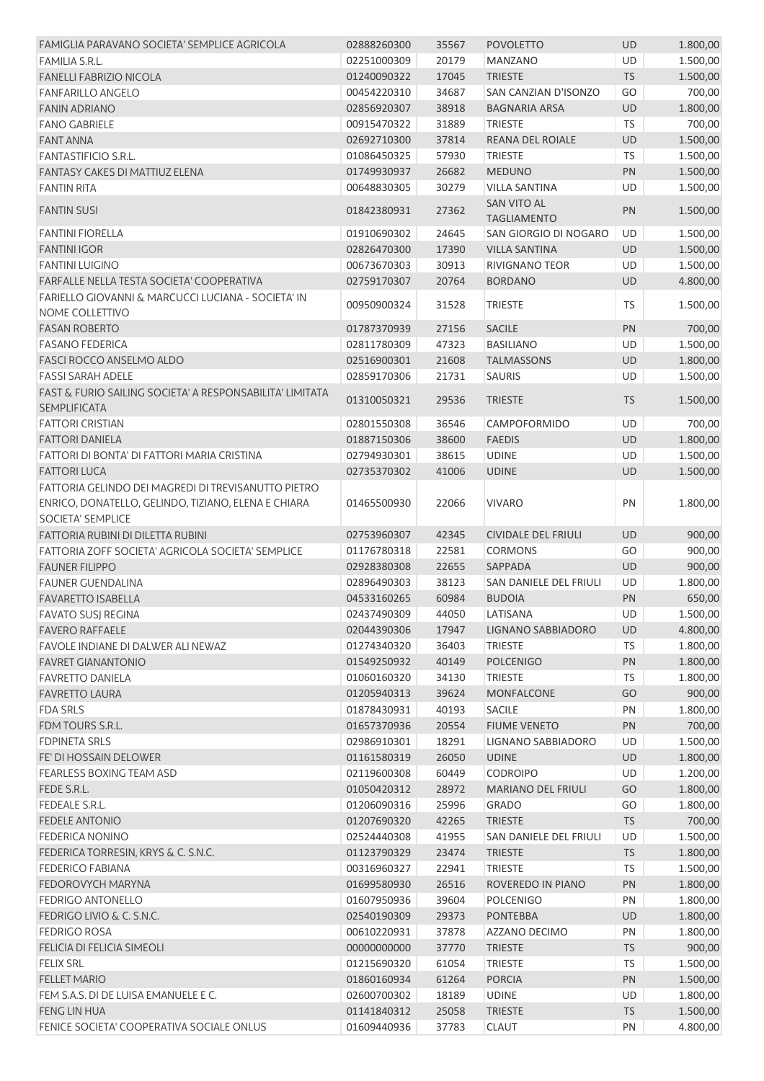| FAMIGLIA PARAVANO SOCIETA' SEMPLICE AGRICOLA                                                                                    | 02888260300 | 35567          | <b>POVOLETTO</b>                         | <b>UD</b> | 1.800,00 |
|---------------------------------------------------------------------------------------------------------------------------------|-------------|----------------|------------------------------------------|-----------|----------|
| <b>FAMILIA S.R.L.</b>                                                                                                           | 02251000309 | 20179          | <b>MANZANO</b>                           | UD        | 1.500,00 |
| <b>FANELLI FABRIZIO NICOLA</b>                                                                                                  | 01240090322 | 17045          | <b>TRIESTE</b>                           | <b>TS</b> | 1.500,00 |
| <b>FANFARILLO ANGELO</b>                                                                                                        | 00454220310 | 34687          | SAN CANZIAN D'ISONZO                     | GO        | 700,00   |
| <b>FANIN ADRIANO</b>                                                                                                            | 02856920307 | 38918          | <b>BAGNARIA ARSA</b>                     | <b>UD</b> | 1.800,00 |
| <b>FANO GABRIELE</b>                                                                                                            | 00915470322 | 31889          | <b>TRIESTE</b>                           | <b>TS</b> | 700,00   |
| <b>FANT ANNA</b>                                                                                                                | 02692710300 | 37814          | <b>REANA DEL ROIALE</b>                  | UD        | 1.500,00 |
| <b>FANTASTIFICIO S.R.L.</b>                                                                                                     | 01086450325 | 57930          | <b>TRIESTE</b>                           | <b>TS</b> | 1.500,00 |
| <b>FANTASY CAKES DI MATTIUZ ELENA</b>                                                                                           | 01749930937 | 26682          | <b>MEDUNO</b>                            | PN        | 1.500,00 |
| <b>FANTIN RITA</b>                                                                                                              | 00648830305 | 30279          | <b>VILLA SANTINA</b>                     | UD        | 1.500,00 |
| <b>FANTIN SUSI</b>                                                                                                              | 01842380931 | 27362          | <b>SAN VITO AL</b><br><b>TAGLIAMENTO</b> | PN        | 1.500,00 |
| <b>FANTINI FIORELLA</b>                                                                                                         | 01910690302 | 24645          | SAN GIORGIO DI NOGARO                    | UD        | 1.500,00 |
| <b>FANTINI IGOR</b>                                                                                                             | 02826470300 | 17390          | <b>VILLA SANTINA</b>                     | UD        | 1.500,00 |
| <b>FANTINI LUIGINO</b>                                                                                                          | 00673670303 | 30913          | RIVIGNANO TEOR                           | UD        | 1.500,00 |
| FARFALLE NELLA TESTA SOCIETA' COOPERATIVA                                                                                       | 02759170307 | 20764          | <b>BORDANO</b>                           | UD        | 4.800,00 |
| FARIELLO GIOVANNI & MARCUCCI LUCIANA - SOCIETA' IN<br>NOME COLLETTIVO                                                           | 00950900324 | 31528          | <b>TRIESTE</b>                           | TS        | 1.500,00 |
| <b>FASAN ROBERTO</b>                                                                                                            | 01787370939 | 27156          | <b>SACILE</b>                            | PN        | 700,00   |
| <b>FASANO FEDERICA</b>                                                                                                          | 02811780309 | 47323          | <b>BASILIANO</b>                         | UD        | 1.500,00 |
| <b>FASCI ROCCO ANSELMO ALDO</b>                                                                                                 | 02516900301 | 21608          | <b>TALMASSONS</b>                        | UD        | 1.800,00 |
| <b>FASSI SARAH ADELE</b>                                                                                                        | 02859170306 | 21731          | <b>SAURIS</b>                            | UD        | 1.500,00 |
| FAST & FURIO SAILING SOCIETA' A RESPONSABILITA' LIMITATA                                                                        |             |                |                                          |           |          |
| SEMPLIFICATA                                                                                                                    | 01310050321 | 29536          | <b>TRIESTE</b>                           | <b>TS</b> | 1.500,00 |
| <b>FATTORI CRISTIAN</b>                                                                                                         | 02801550308 | 36546          | <b>CAMPOFORMIDO</b>                      | UD        | 700,00   |
| <b>FATTORI DANIELA</b>                                                                                                          | 01887150306 | 38600          | <b>FAEDIS</b>                            | <b>UD</b> | 1.800,00 |
| FATTORI DI BONTA' DI FATTORI MARIA CRISTINA                                                                                     | 02794930301 | 38615          | <b>UDINE</b>                             | UD        | 1.500,00 |
| <b>FATTORI LUCA</b>                                                                                                             | 02735370302 | 41006          | <b>UDINE</b>                             | UD        | 1.500,00 |
| FATTORIA GELINDO DEI MAGREDI DI TREVISANUTTO PIETRO<br>ENRICO, DONATELLO, GELINDO, TIZIANO, ELENA E CHIARA<br>SOCIETA' SEMPLICE | 01465500930 | 22066          | <b>VIVARO</b>                            | PN        | 1.800,00 |
| FATTORIA RUBINI DI DILETTA RUBINI                                                                                               | 02753960307 | 42345          | <b>CIVIDALE DEL FRIULI</b>               | UD        | 900,00   |
| FATTORIA ZOFF SOCIETA' AGRICOLA SOCIETA' SEMPLICE                                                                               |             |                | <b>CORMONS</b>                           | GO        |          |
| <b>FAUNER FILIPPO</b>                                                                                                           | 01176780318 | 22581          |                                          |           | 900,00   |
|                                                                                                                                 | 02928380308 | 22655          | SAPPADA                                  | <b>UD</b> | 900,00   |
| <b>FAUNER GUENDALINA</b>                                                                                                        | 02896490303 | 38123          | SAN DANIELE DEL FRIULI                   | UD        | 1.800,00 |
| <b>FAVARETTO ISABELLA</b>                                                                                                       | 04533160265 | 60984<br>44050 | <b>BUDOIA</b>                            | PN<br>UD  | 650,00   |
| <b>FAVATO SUSJ REGINA</b>                                                                                                       | 02437490309 |                | LATISANA                                 |           | 1.500,00 |
| <b>FAVERO RAFFAELE</b>                                                                                                          | 02044390306 | 17947          | LIGNANO SABBIADORO                       | <b>UD</b> | 4.800,00 |
| FAVOLE INDIANE DI DALWER ALI NEWAZ                                                                                              | 01274340320 | 36403          | <b>TRIESTE</b>                           | <b>TS</b> | 1.800,00 |
| <b>FAVRET GIANANTONIO</b>                                                                                                       | 01549250932 | 40149          | <b>POLCENIGO</b>                         | PN        | 1.800,00 |
| <b>FAVRETTO DANIELA</b>                                                                                                         | 01060160320 | 34130          | <b>TRIESTE</b>                           | <b>TS</b> | 1.800,00 |
| <b>FAVRETTO LAURA</b>                                                                                                           | 01205940313 | 39624          | <b>MONFALCONE</b>                        | GO        | 900,00   |
| <b>FDA SRLS</b>                                                                                                                 | 01878430931 | 40193          | <b>SACILE</b>                            | PN        | 1.800,00 |
| FDM TOURS S.R.L.                                                                                                                | 01657370936 | 20554          | <b>FIUME VENETO</b>                      | PN        | 700,00   |
| <b>FDPINETA SRLS</b>                                                                                                            | 02986910301 | 18291          | LIGNANO SABBIADORO                       | UD        | 1.500,00 |
| FE' DI HOSSAIN DELOWER                                                                                                          | 01161580319 | 26050          | <b>UDINE</b>                             | <b>UD</b> | 1.800,00 |
| <b>FEARLESS BOXING TEAM ASD</b>                                                                                                 | 02119600308 | 60449          | <b>CODROIPO</b>                          | UD        | 1.200,00 |
| FEDE S.R.L.                                                                                                                     | 01050420312 | 28972          | <b>MARIANO DEL FRIULI</b>                | GO        | 1.800,00 |
| <b>FEDEALE S.R.L.</b>                                                                                                           | 01206090316 | 25996          | <b>GRADO</b>                             | GO        | 1.800,00 |
| <b>FEDELE ANTONIO</b>                                                                                                           | 01207690320 | 42265          | <b>TRIESTE</b>                           | TS        | 700,00   |
| <b>FEDERICA NONINO</b>                                                                                                          | 02524440308 | 41955          | SAN DANIELE DEL FRIULI                   | UD        | 1.500,00 |
| FEDERICA TORRESIN, KRYS & C. S.N.C.                                                                                             | 01123790329 | 23474          | <b>TRIESTE</b>                           | <b>TS</b> | 1.800,00 |
| <b>FEDERICO FABIANA</b>                                                                                                         | 00316960327 | 22941          | <b>TRIESTE</b>                           | <b>TS</b> | 1.500,00 |
| FEDOROVYCH MARYNA                                                                                                               | 01699580930 | 26516          | ROVEREDO IN PIANO                        | PN        | 1.800,00 |
| <b>FEDRIGO ANTONELLO</b>                                                                                                        | 01607950936 | 39604          | <b>POLCENIGO</b>                         | PN        | 1.800,00 |
| FEDRIGO LIVIO & C. S.N.C.                                                                                                       | 02540190309 | 29373          | <b>PONTEBBA</b>                          | UD        | 1.800,00 |
| <b>FEDRIGO ROSA</b>                                                                                                             | 00610220931 | 37878          | AZZANO DECIMO                            | PN        | 1.800,00 |
| FELICIA DI FELICIA SIMEOLI                                                                                                      | 00000000000 | 37770          | <b>TRIESTE</b>                           | <b>TS</b> | 900,00   |
| <b>FELIX SRL</b>                                                                                                                | 01215690320 | 61054          | <b>TRIESTE</b>                           | <b>TS</b> | 1.500,00 |
| <b>FELLET MARIO</b>                                                                                                             | 01860160934 | 61264          | <b>PORCIA</b>                            | PN        | 1.500,00 |
| FEM S.A.S. DI DE LUISA EMANUELE E C.                                                                                            | 02600700302 | 18189          | <b>UDINE</b>                             | UD        | 1.800,00 |
| FENG LIN HUA                                                                                                                    | 01141840312 | 25058          | <b>TRIESTE</b>                           | <b>TS</b> | 1.500,00 |
| FENICE SOCIETA' COOPERATIVA SOCIALE ONLUS                                                                                       | 01609440936 | 37783          | <b>CLAUT</b>                             | PN        | 4.800,00 |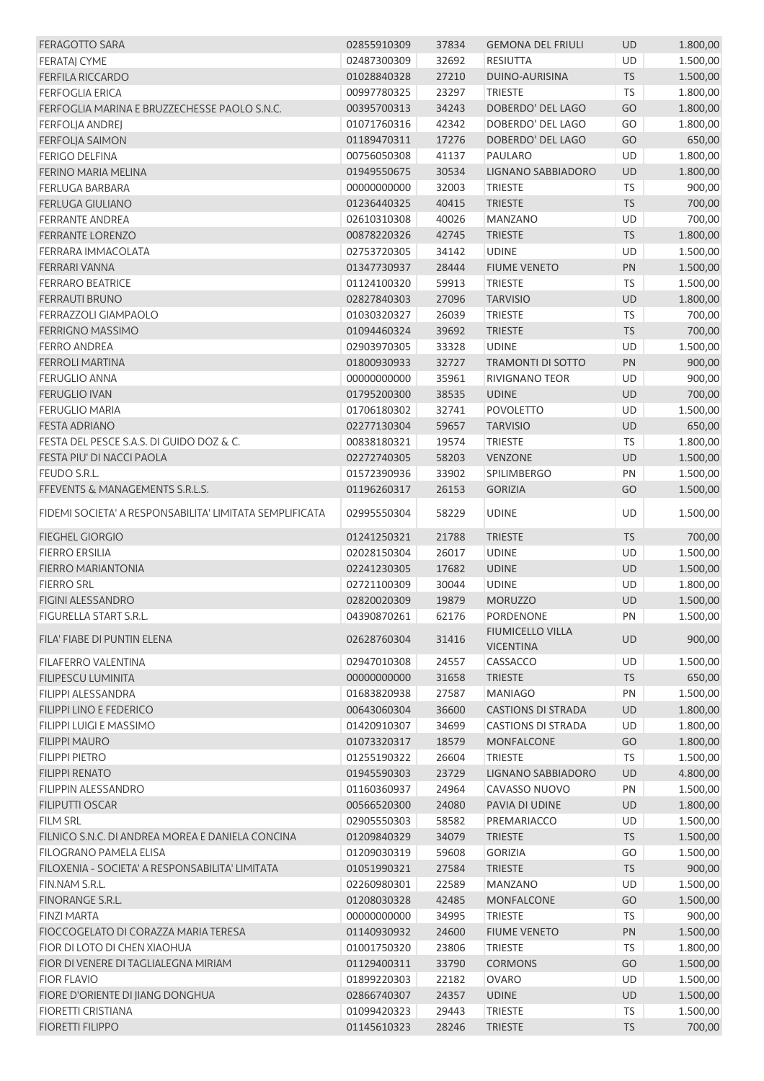| <b>FERAGOTTO SARA</b>                                   | 02855910309 | 37834 | <b>GEMONA DEL FRIULI</b>  | <b>UD</b> | 1.800,00 |
|---------------------------------------------------------|-------------|-------|---------------------------|-----------|----------|
| <b>FERATAJ CYME</b>                                     | 02487300309 | 32692 | <b>RESIUTTA</b>           | UD        | 1.500,00 |
| <b>FERFILA RICCARDO</b>                                 | 01028840328 | 27210 | DUINO-AURISINA            | <b>TS</b> | 1.500,00 |
| <b>FERFOGLIA ERICA</b>                                  | 00997780325 | 23297 | <b>TRIESTE</b>            | <b>TS</b> | 1.800,00 |
| FERFOGLIA MARINA E BRUZZECHESSE PAOLO S.N.C.            | 00395700313 | 34243 | DOBERDO' DEL LAGO         | GO        | 1.800,00 |
| <b>FERFOLJA ANDREJ</b>                                  | 01071760316 | 42342 | DOBERDO' DEL LAGO         | GO        | 1.800,00 |
| <b>FERFOLJA SAIMON</b>                                  | 01189470311 | 17276 | DOBERDO' DEL LAGO         | GO        | 650,00   |
| <b>FERIGO DELFINA</b>                                   | 00756050308 | 41137 | <b>PAULARO</b>            | <b>UD</b> | 1.800,00 |
| FERINO MARIA MELINA                                     | 01949550675 | 30534 | LIGNANO SABBIADORO        | <b>UD</b> | 1.800,00 |
| <b>FERLUGA BARBARA</b>                                  | 00000000000 | 32003 | <b>TRIESTE</b>            | <b>TS</b> | 900,00   |
| <b>FERLUGA GIULIANO</b>                                 | 01236440325 | 40415 | <b>TRIESTE</b>            | <b>TS</b> | 700,00   |
| <b>FERRANTE ANDREA</b>                                  | 02610310308 | 40026 | MANZANO                   | UD        | 700,00   |
| <b>FERRANTE LORENZO</b>                                 | 00878220326 | 42745 | <b>TRIESTE</b>            | <b>TS</b> | 1.800,00 |
| FERRARA IMMACOLATA                                      | 02753720305 | 34142 | <b>UDINE</b>              | UD        | 1.500,00 |
|                                                         |             |       |                           |           |          |
| FERRARI VANNA                                           | 01347730937 | 28444 | <b>FIUME VENETO</b>       | PN        | 1.500,00 |
| <b>FERRARO BEATRICE</b>                                 | 01124100320 | 59913 | <b>TRIESTE</b>            | <b>TS</b> | 1.500,00 |
| <b>FERRAUTI BRUNO</b>                                   | 02827840303 | 27096 | <b>TARVISIO</b>           | UD        | 1.800,00 |
| FERRAZZOLI GIAMPAOLO                                    | 01030320327 | 26039 | <b>TRIESTE</b>            | <b>TS</b> | 700,00   |
| FERRIGNO MASSIMO                                        | 01094460324 | 39692 | <b>TRIESTE</b>            | <b>TS</b> | 700,00   |
| <b>FERRO ANDREA</b>                                     | 02903970305 | 33328 | <b>UDINE</b>              | UD        | 1.500,00 |
| <b>FERROLI MARTINA</b>                                  | 01800930933 | 32727 | <b>TRAMONTI DI SOTTO</b>  | PN        | 900,00   |
| <b>FERUGLIO ANNA</b>                                    | 00000000000 | 35961 | <b>RIVIGNANO TEOR</b>     | UD        | 900,00   |
| <b>FERUGLIO IVAN</b>                                    | 01795200300 | 38535 | <b>UDINE</b>              | <b>UD</b> | 700,00   |
| <b>FERUGLIO MARIA</b>                                   | 01706180302 | 32741 | <b>POVOLETTO</b>          | <b>UD</b> | 1.500,00 |
| <b>FESTA ADRIANO</b>                                    | 02277130304 | 59657 | <b>TARVISIO</b>           | UD        | 650,00   |
| FESTA DEL PESCE S.A.S. DI GUIDO DOZ & C.                | 00838180321 | 19574 | <b>TRIESTE</b>            | <b>TS</b> | 1.800,00 |
| FESTA PIU' DI NACCI PAOLA                               | 02272740305 | 58203 | <b>VENZONE</b>            | UD        | 1.500,00 |
| FEUDO S.R.L.                                            | 01572390936 | 33902 | SPILIMBERGO               | PN        | 1.500,00 |
| FFEVENTS & MANAGEMENTS S.R.L.S.                         | 01196260317 | 26153 | <b>GORIZIA</b>            | GO        | 1.500,00 |
|                                                         |             |       |                           |           |          |
| FIDEMI SOCIETA' A RESPONSABILITA' LIMITATA SEMPLIFICATA | 02995550304 | 58229 | <b>UDINE</b>              | UD        | 1.500,00 |
| <b>FIEGHEL GIORGIO</b>                                  | 01241250321 | 21788 | <b>TRIESTE</b>            | <b>TS</b> | 700,00   |
| <b>FIERRO ERSILIA</b>                                   | 02028150304 | 26017 | <b>UDINE</b>              | UD        | 1.500,00 |
| FIERRO MARIANTONIA                                      | 02241230305 | 17682 | <b>UDINE</b>              | <b>UD</b> | 1.500,00 |
| <b>FIERRO SRL</b>                                       | 02721100309 | 30044 | <b>UDINE</b>              | UD        | 1.800,00 |
| FIGINI ALESSANDRO                                       | 02820020309 | 19879 | <b>MORUZZO</b>            | <b>UD</b> | 1.500,00 |
| FIGURELLA START S.R.L.                                  | 04390870261 | 62176 | PORDENONE                 | PN        | 1.500,00 |
|                                                         |             |       | <b>FIUMICELLO VILLA</b>   |           |          |
| FILA' FIABE DI PUNTIN ELENA                             | 02628760304 | 31416 | <b>VICENTINA</b>          | <b>UD</b> | 900,00   |
| FILAFERRO VALENTINA                                     | 02947010308 | 24557 | CASSACCO                  | <b>UD</b> | 1.500,00 |
| <b>FILIPESCU LUMINITA</b>                               | 00000000000 | 31658 | <b>TRIESTE</b>            | <b>TS</b> | 650,00   |
| <b>FILIPPI ALESSANDRA</b>                               | 01683820938 | 27587 | <b>MANIAGO</b>            | PN        | 1.500,00 |
| FILIPPI LINO E FEDERICO                                 | 00643060304 | 36600 | <b>CASTIONS DI STRADA</b> | <b>UD</b> | 1.800,00 |
| <b>FILIPPI LUIGI E MASSIMO</b>                          | 01420910307 | 34699 | <b>CASTIONS DI STRADA</b> | UD        |          |
|                                                         |             |       |                           |           | 1.800,00 |
| <b>FILIPPI MAURO</b>                                    | 01073320317 | 18579 | <b>MONFALCONE</b>         | GO        | 1.800,00 |
| <b>FILIPPI PIETRO</b>                                   | 01255190322 | 26604 | <b>TRIESTE</b>            | <b>TS</b> | 1.500,00 |
| <b>FILIPPI RENATO</b>                                   | 01945590303 | 23729 | LIGNANO SABBIADORO        | UD        | 4.800,00 |
| <b>FILIPPIN ALESSANDRO</b>                              | 01160360937 | 24964 | CAVASSO NUOVO             | PN        | 1.500,00 |
| FILIPUTTI OSCAR                                         | 00566520300 | 24080 | PAVIA DI UDINE            | UD        | 1.800,00 |
| <b>FILM SRL</b>                                         | 02905550303 | 58582 | PREMARIACCO               | UD        | 1.500,00 |
| FILNICO S.N.C. DI ANDREA MOREA E DANIELA CONCINA        | 01209840329 | 34079 | <b>TRIESTE</b>            | <b>TS</b> | 1.500,00 |
| <b>FILOGRANO PAMELA ELISA</b>                           | 01209030319 | 59608 | <b>GORIZIA</b>            | GO        | 1.500,00 |
| FILOXENIA - SOCIETA' A RESPONSABILITA' LIMITATA         | 01051990321 | 27584 | <b>TRIESTE</b>            | <b>TS</b> | 900,00   |
| FIN.NAM S.R.L.                                          | 02260980301 | 22589 | <b>MANZANO</b>            | UD        | 1.500,00 |
| FINORANGE S.R.L.                                        | 01208030328 | 42485 | <b>MONFALCONE</b>         | GO        | 1.500,00 |
| <b>FINZI MARTA</b>                                      | 00000000000 | 34995 | <b>TRIESTE</b>            | <b>TS</b> | 900,00   |
| FIOCCOGELATO DI CORAZZA MARIA TERESA                    | 01140930932 | 24600 | <b>FIUME VENETO</b>       | PN        | 1.500,00 |
| FIOR DI LOTO DI CHEN XIAOHUA                            | 01001750320 | 23806 | <b>TRIESTE</b>            | <b>TS</b> | 1.800,00 |
| FIOR DI VENERE DI TAGLIALEGNA MIRIAM                    | 01129400311 | 33790 | <b>CORMONS</b>            | GO        | 1.500,00 |
| <b>FIOR FLAVIO</b>                                      | 01899220303 | 22182 | <b>OVARO</b>              | <b>UD</b> | 1.500,00 |
| FIORE D'ORIENTE DI JIANG DONGHUA                        | 02866740307 | 24357 | <b>UDINE</b>              | <b>UD</b> | 1.500,00 |
| FIORETTI CRISTIANA                                      | 01099420323 | 29443 | <b>TRIESTE</b>            | <b>TS</b> | 1.500,00 |
| <b>FIORETTI FILIPPO</b>                                 | 01145610323 | 28246 | <b>TRIESTE</b>            | <b>TS</b> | 700,00   |
|                                                         |             |       |                           |           |          |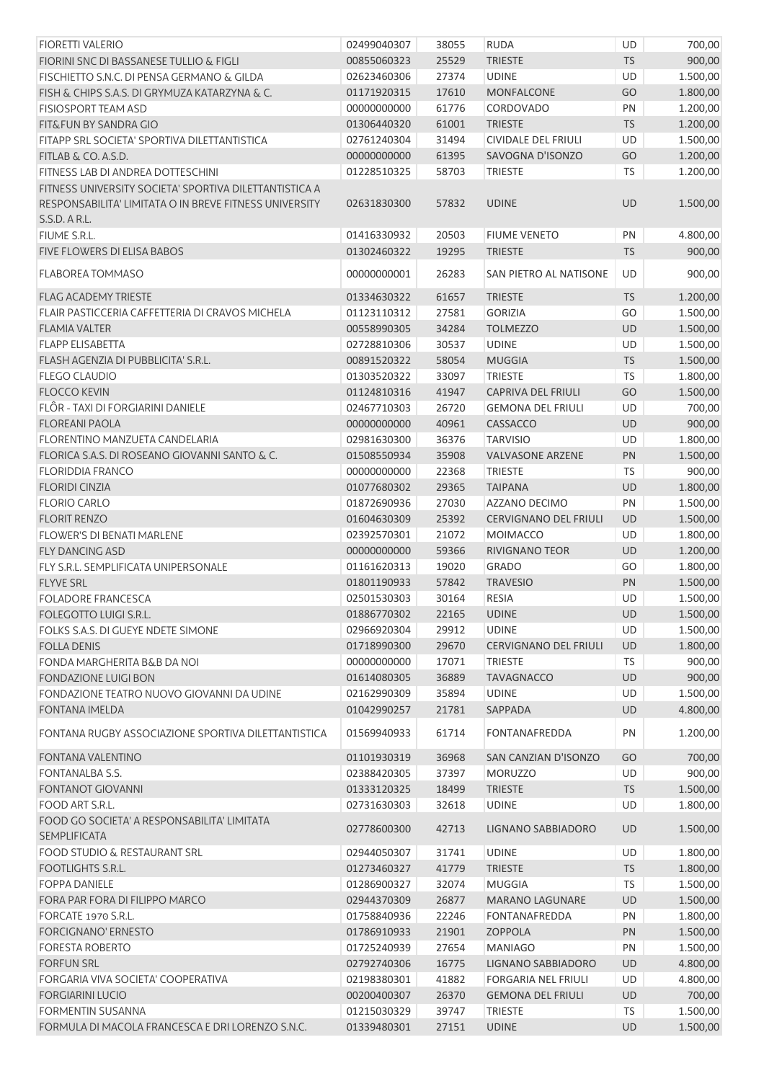| <b>FIORETTI VALERIO</b>                                | 02499040307 | 38055 | <b>RUDA</b>                  | UD        | 700,00   |
|--------------------------------------------------------|-------------|-------|------------------------------|-----------|----------|
| FIORINI SNC DI BASSANESE TULLIO & FIGLI                | 00855060323 | 25529 | <b>TRIESTE</b>               | <b>TS</b> | 900,00   |
| FISCHIETTO S.N.C. DI PENSA GERMANO & GILDA             | 02623460306 | 27374 | <b>UDINE</b>                 | UD        | 1.500,00 |
| FISH & CHIPS S.A.S. DI GRYMUZA KATARZYNA & C.          | 01171920315 | 17610 | <b>MONFALCONE</b>            | GO        | 1.800,00 |
| <b>FISIOSPORT TEAM ASD</b>                             | 00000000000 | 61776 | CORDOVADO                    | PN        | 1.200,00 |
| FIT&FUN BY SANDRA GIO                                  | 01306440320 | 61001 | <b>TRIESTE</b>               | <b>TS</b> | 1.200,00 |
| FITAPP SRL SOCIETA' SPORTIVA DILETTANTISTICA           | 02761240304 | 31494 | <b>CIVIDALE DEL FRIULI</b>   | UD        | 1.500,00 |
| FITLAB & CO. A.S.D.                                    | 00000000000 | 61395 | SAVOGNA D'ISONZO             | GO        | 1.200,00 |
| FITNESS LAB DI ANDREA DOTTESCHINI                      | 01228510325 | 58703 | <b>TRIESTE</b>               | TS        | 1.200,00 |
| FITNESS UNIVERSITY SOCIETA' SPORTIVA DILETTANTISTICA A |             |       |                              |           |          |
| RESPONSABILITA' LIMITATA O IN BREVE FITNESS UNIVERSITY | 02631830300 | 57832 | <b>UDINE</b>                 | UD        | 1.500,00 |
| S.S.D. A R.L.                                          |             |       |                              |           |          |
| FIUME S.R.L.                                           | 01416330932 | 20503 | <b>FIUME VENETO</b>          | PN        | 4.800,00 |
| FIVE FLOWERS DI ELISA BABOS                            | 01302460322 | 19295 | <b>TRIESTE</b>               | <b>TS</b> | 900,00   |
|                                                        |             |       |                              |           |          |
| FLABOREA TOMMASO                                       | 00000000001 | 26283 | SAN PIETRO AL NATISONE       | UD        | 900,00   |
| <b>FLAG ACADEMY TRIESTE</b>                            | 01334630322 | 61657 | <b>TRIESTE</b>               | <b>TS</b> | 1.200,00 |
| FLAIR PASTICCERIA CAFFETTERIA DI CRAVOS MICHELA        | 01123110312 | 27581 | <b>GORIZIA</b>               | GO        | 1.500,00 |
| <b>FLAMIA VALTER</b>                                   | 00558990305 | 34284 | <b>TOLMEZZO</b>              | UD        | 1.500,00 |
| <b>FLAPP ELISABETTA</b>                                | 02728810306 | 30537 | <b>UDINE</b>                 | UD        | 1.500,00 |
| FLASH AGENZIA DI PUBBLICITA' S.R.L.                    | 00891520322 | 58054 | <b>MUGGIA</b>                | <b>TS</b> | 1.500,00 |
| <b>FLEGO CLAUDIO</b>                                   | 01303520322 | 33097 | <b>TRIESTE</b>               | TS        | 1.800,00 |
| <b>FLOCCO KEVIN</b>                                    | 01124810316 | 41947 | <b>CAPRIVA DEL FRIULI</b>    | GO        | 1.500,00 |
| FLÔR - TAXI DI FORGIARINI DANIELE                      | 02467710303 | 26720 | <b>GEMONA DEL FRIULI</b>     | UD        | 700,00   |
| <b>FLOREANI PAOLA</b>                                  | 00000000000 | 40961 | CASSACCO                     | UD        | 900,00   |
| <b>FLORENTINO MANZUETA CANDELARIA</b>                  | 02981630300 | 36376 | <b>TARVISIO</b>              | UD        | 1.800,00 |
| FLORICA S.A.S. DI ROSEANO GIOVANNI SANTO & C.          | 01508550934 | 35908 | <b>VALVASONE ARZENE</b>      | PN        | 1.500,00 |
| <b>FLORIDDIA FRANCO</b>                                | 00000000000 | 22368 | <b>TRIESTE</b>               | TS        | 900,00   |
| <b>FLORIDI CINZIA</b>                                  | 01077680302 | 29365 | <b>TAIPANA</b>               | UD        | 1.800,00 |
| <b>FLORIO CARLO</b>                                    | 01872690936 | 27030 | AZZANO DECIMO                | PN        | 1.500,00 |
| <b>FLORIT RENZO</b>                                    | 01604630309 | 25392 | <b>CERVIGNANO DEL FRIULI</b> | UD        | 1.500,00 |
| <b>FLOWER'S DI BENATI MARLENE</b>                      | 02392570301 | 21072 | <b>MOIMACCO</b>              | UD        | 1.800,00 |
| <b>FLY DANCING ASD</b>                                 | 00000000000 | 59366 | RIVIGNANO TEOR               | UD        | 1.200,00 |
| FLY S.R.L. SEMPLIFICATA UNIPERSONALE                   | 01161620313 | 19020 | <b>GRADO</b>                 | GO        | 1.800,00 |
| <b>FLYVE SRL</b>                                       | 01801190933 | 57842 | <b>TRAVESIO</b>              | PN        | 1.500,00 |
| <b>FOLADORE FRANCESCA</b>                              | 02501530303 | 30164 | <b>RESIA</b>                 | UD        | 1.500,00 |
| FOLEGOTTO LUIGI S.R.L.                                 | 01886770302 | 22165 | <b>UDINE</b>                 | UD        | 1.500,00 |
| FOLKS S.A.S. DI GUEYE NDETE SIMONE                     | 02966920304 | 29912 | <b>UDINE</b>                 | UD        | 1.500,00 |
| <b>FOLLA DENIS</b>                                     | 01718990300 | 29670 | <b>CERVIGNANO DEL FRIULI</b> | UD        | 1.800,00 |
| FONDA MARGHERITA B&B DA NOI                            | 00000000000 | 17071 | <b>TRIESTE</b>               | <b>TS</b> | 900,00   |
| <b>FONDAZIONE LUIGI BON</b>                            | 01614080305 | 36889 | <b>TAVAGNACCO</b>            | <b>UD</b> | 900,00   |
| FONDAZIONE TEATRO NUOVO GIOVANNI DA UDINE              | 02162990309 | 35894 | <b>UDINE</b>                 | UD        | 1.500,00 |
|                                                        |             |       |                              |           |          |
| <b>FONTANA IMELDA</b>                                  | 01042990257 | 21781 | SAPPADA                      | UD        | 4.800,00 |
| FONTANA RUGBY ASSOCIAZIONE SPORTIVA DILETTANTISTICA    | 01569940933 | 61714 | <b>FONTANAFREDDA</b>         | PN        | 1.200,00 |
| <b>FONTANA VALENTINO</b>                               | 01101930319 | 36968 | SAN CANZIAN D'ISONZO         | GO        | 700,00   |
| <b>FONTANALBA S.S.</b>                                 | 02388420305 | 37397 | <b>MORUZZO</b>               | UD        | 900,00   |
| <b>FONTANOT GIOVANNI</b>                               | 01333120325 | 18499 | <b>TRIESTE</b>               | <b>TS</b> | 1.500,00 |
| FOOD ART S.R.L.                                        | 02731630303 | 32618 | <b>UDINE</b>                 | UD        | 1.800,00 |
| FOOD GO SOCIETA' A RESPONSABILITA' LIMITATA            |             |       |                              |           |          |
| <b>SEMPLIFICATA</b>                                    | 02778600300 | 42713 | LIGNANO SABBIADORO           | <b>UD</b> | 1.500,00 |
| <b>FOOD STUDIO &amp; RESTAURANT SRL</b>                | 02944050307 | 31741 | <b>UDINE</b>                 | UD        | 1.800,00 |
| <b>FOOTLIGHTS S.R.L.</b>                               | 01273460327 | 41779 | <b>TRIESTE</b>               | <b>TS</b> | 1.800,00 |
| <b>FOPPA DANIELE</b>                                   | 01286900327 | 32074 | <b>MUGGIA</b>                | TS        | 1.500,00 |
| FORA PAR FORA DI FILIPPO MARCO                         | 02944370309 | 26877 | <b>MARANO LAGUNARE</b>       | UD        | 1.500,00 |
| FORCATE 1970 S.R.L.                                    | 01758840936 | 22246 | <b>FONTANAFREDDA</b>         | PN        | 1.800,00 |
| FORCIGNANO' ERNESTO                                    | 01786910933 | 21901 | ZOPPOLA                      | PN        | 1.500,00 |
| <b>FORESTA ROBERTO</b>                                 | 01725240939 | 27654 | <b>MANIAGO</b>               | PN        | 1.500,00 |
| <b>FORFUN SRL</b>                                      | 02792740306 | 16775 | LIGNANO SABBIADORO           | UD        | 4.800,00 |
| FORGARIA VIVA SOCIETA' COOPERATIVA                     | 02198380301 | 41882 | <b>FORGARIA NEL FRIULI</b>   | UD        | 4.800,00 |
| <b>FORGIARINI LUCIO</b>                                | 00200400307 | 26370 | <b>GEMONA DEL FRIULI</b>     | <b>UD</b> | 700,00   |
| FORMENTIN SUSANNA                                      | 01215030329 | 39747 | <b>TRIESTE</b>               | TS        | 1.500,00 |
| FORMULA DI MACOLA FRANCESCA E DRI LORENZO S.N.C.       | 01339480301 | 27151 | <b>UDINE</b>                 | <b>UD</b> | 1.500,00 |
|                                                        |             |       |                              |           |          |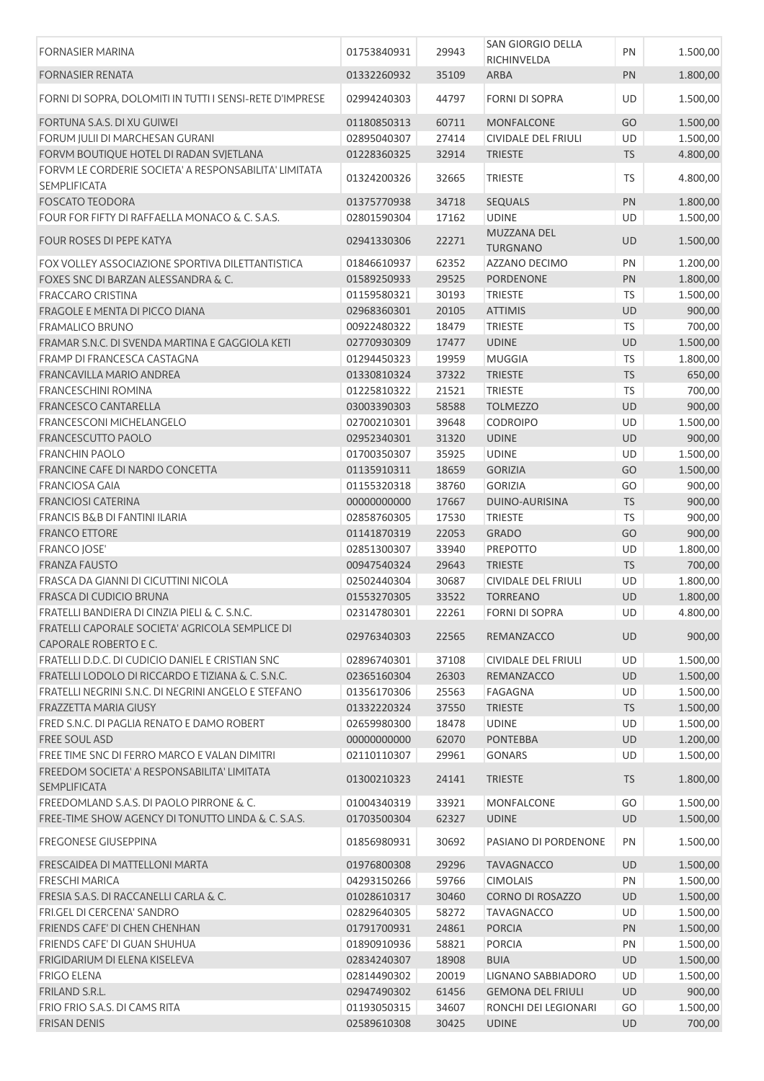| <b>FORNASIER MARINA</b>                                                  | 01753840931 | 29943 | SAN GIORGIO DELLA<br>RICHINVELDA | PN        | 1.500,00 |
|--------------------------------------------------------------------------|-------------|-------|----------------------------------|-----------|----------|
| <b>FORNASIER RENATA</b>                                                  | 01332260932 | 35109 | ARBA                             | PN        | 1.800,00 |
| FORNI DI SOPRA, DOLOMITI IN TUTTI I SENSI-RETE D'IMPRESE                 | 02994240303 | 44797 | <b>FORNI DI SOPRA</b>            | <b>UD</b> | 1.500,00 |
| FORTUNA S.A.S. DI XU GUIWEI                                              | 01180850313 | 60711 | <b>MONFALCONE</b>                | GO        | 1.500,00 |
| FORUM JULII DI MARCHESAN GURANI                                          | 02895040307 | 27414 | <b>CIVIDALE DEL FRIULI</b>       | UD        | 1.500,00 |
| FORVM BOUTIQUE HOTEL DI RADAN SVJETLANA                                  | 01228360325 | 32914 | <b>TRIESTE</b>                   | <b>TS</b> | 4.800,00 |
| FORVM LE CORDERIE SOCIETA' A RESPONSABILITA' LIMITATA<br>SEMPLIFICATA    | 01324200326 | 32665 | <b>TRIESTE</b>                   | TS        | 4.800,00 |
|                                                                          |             |       |                                  |           |          |
| <b>FOSCATO TEODORA</b>                                                   | 01375770938 | 34718 | SEQUALS                          | PN        | 1.800,00 |
| FOUR FOR FIFTY DI RAFFAELLA MONACO & C. S.A.S.                           | 02801590304 | 17162 | <b>UDINE</b>                     | UD        | 1.500,00 |
| <b>FOUR ROSES DI PEPE KATYA</b>                                          | 02941330306 | 22271 | MUZZANA DEL<br><b>TURGNANO</b>   | UD        | 1.500,00 |
| FOX VOLLEY ASSOCIAZIONE SPORTIVA DILETTANTISTICA                         | 01846610937 | 62352 | AZZANO DECIMO                    | PN        | 1.200,00 |
| FOXES SNC DI BARZAN ALESSANDRA & C.                                      | 01589250933 | 29525 | PORDENONE                        | PN        | 1.800,00 |
| <b>FRACCARO CRISTINA</b>                                                 | 01159580321 | 30193 | <b>TRIESTE</b>                   | TS        | 1.500,00 |
| FRAGOLE E MENTA DI PICCO DIANA                                           | 02968360301 | 20105 | <b>ATTIMIS</b>                   | UD        | 900,00   |
| <b>FRAMALICO BRUNO</b>                                                   | 00922480322 | 18479 | <b>TRIESTE</b>                   | <b>TS</b> | 700,00   |
| FRAMAR S.N.C. DI SVENDA MARTINA E GAGGIOLA KETI                          | 02770930309 | 17477 | <b>UDINE</b>                     | UD        | 1.500,00 |
| FRAMP DI FRANCESCA CASTAGNA                                              | 01294450323 | 19959 | <b>MUGGIA</b>                    | <b>TS</b> | 1.800,00 |
| <b>FRANCAVILLA MARIO ANDREA</b>                                          | 01330810324 | 37322 | <b>TRIESTE</b>                   | <b>TS</b> | 650,00   |
| <b>FRANCESCHINI ROMINA</b>                                               | 01225810322 | 21521 | <b>TRIESTE</b>                   | TS        | 700,00   |
| <b>FRANCESCO CANTARELLA</b>                                              | 03003390303 | 58588 | <b>TOLMEZZO</b>                  | UD        | 900,00   |
| FRANCESCONI MICHELANGELO                                                 | 02700210301 | 39648 | <b>CODROIPO</b>                  | UD        | 1.500,00 |
|                                                                          |             |       |                                  |           |          |
| FRANCESCUTTO PAOLO                                                       | 02952340301 | 31320 | <b>UDINE</b>                     | UD        | 900,00   |
| <b>FRANCHIN PAOLO</b>                                                    | 01700350307 | 35925 | <b>UDINE</b>                     | UD        | 1.500,00 |
| FRANCINE CAFE DI NARDO CONCETTA                                          | 01135910311 | 18659 | <b>GORIZIA</b>                   | GO        | 1.500,00 |
| <b>FRANCIOSA GAIA</b>                                                    | 01155320318 | 38760 | <b>GORIZIA</b>                   | GO        | 900,00   |
| <b>FRANCIOSI CATERINA</b>                                                | 00000000000 | 17667 | DUINO-AURISINA                   | <b>TS</b> | 900,00   |
| <b>FRANCIS B&amp;B DI FANTINI ILARIA</b>                                 | 02858760305 | 17530 | <b>TRIESTE</b>                   | TS        | 900,00   |
| <b>FRANCO ETTORE</b>                                                     | 01141870319 | 22053 | <b>GRADO</b>                     | GO        | 900,00   |
| <b>FRANCO JOSE'</b>                                                      | 02851300307 | 33940 | <b>PREPOTTO</b>                  | UD        | 1.800,00 |
| <b>FRANZA FAUSTO</b>                                                     | 00947540324 | 29643 | <b>TRIESTE</b>                   | <b>TS</b> | 700,00   |
| FRASCA DA GIANNI DI CICUTTINI NICOLA                                     | 02502440304 | 30687 | <b>CIVIDALE DEL FRIULI</b>       | UD        | 1.800,00 |
| FRASCA DI CUDICIO BRUNA                                                  | 01553270305 | 33522 | <b>TORREANO</b>                  | UD        | 1.800,00 |
| FRATELLI BANDIERA DI CINZIA PIELI & C. S.N.C.                            | 02314780301 | 22261 | <b>FORNI DI SOPRA</b>            | UD        | 4.800,00 |
| FRATELLI CAPORALE SOCIETA' AGRICOLA SEMPLICE DI<br>CAPORALE ROBERTO E C. | 02976340303 | 22565 | REMANZACCO                       | UD        | 900,00   |
| FRATELLI D.D.C. DI CUDICIO DANIEL E CRISTIAN SNC                         | 02896740301 | 37108 | CIVIDALE DEL FRIULI              | UD        | 1.500,00 |
| FRATELLI LODOLO DI RICCARDO E TIZIANA & C. S.N.C.                        | 02365160304 | 26303 | REMANZACCO                       | UD        | 1.500,00 |
| FRATELLI NEGRINI S.N.C. DI NEGRINI ANGELO E STEFANO                      | 01356170306 | 25563 | FAGAGNA                          | UD        | 1.500,00 |
| FRAZZETTA MARIA GIUSY                                                    | 01332220324 | 37550 | <b>TRIESTE</b>                   | <b>TS</b> | 1.500,00 |
| FRED S.N.C. DI PAGLIA RENATO E DAMO ROBERT                               | 02659980300 | 18478 | <b>UDINE</b>                     | UD        | 1.500,00 |
| FREE SOUL ASD                                                            | 00000000000 | 62070 | <b>PONTEBBA</b>                  | UD        | 1.200,00 |
| FREE TIME SNC DI FERRO MARCO E VALAN DIMITRI                             | 02110110307 | 29961 | <b>GONARS</b>                    | UD        | 1.500,00 |
| FREEDOM SOCIETA' A RESPONSABILITA' LIMITATA                              | 01300210323 | 24141 | <b>TRIESTE</b>                   | <b>TS</b> | 1.800,00 |
| <b>SEMPLIFICATA</b>                                                      |             |       |                                  |           |          |
| FREEDOMLAND S.A.S. DI PAOLO PIRRONE & C.                                 | 01004340319 | 33921 | MONFALCONE                       | GO        | 1.500,00 |
| FREE-TIME SHOW AGENCY DI TONUTTO LINDA & C. S.A.S.                       | 01703500304 | 62327 | <b>UDINE</b>                     | UD        | 1.500,00 |
| <b>FREGONESE GIUSEPPINA</b>                                              | 01856980931 | 30692 | PASIANO DI PORDENONE             | PN        | 1.500,00 |
| FRESCAIDEA DI MATTELLONI MARTA                                           | 01976800308 | 29296 | <b>TAVAGNACCO</b>                | UD        | 1.500,00 |
| <b>FRESCHI MARICA</b>                                                    | 04293150266 | 59766 | <b>CIMOLAIS</b>                  | PN        | 1.500,00 |
| FRESIA S.A.S. DI RACCANELLI CARLA & C.                                   | 01028610317 | 30460 | <b>CORNO DI ROSAZZO</b>          | UD        | 1.500,00 |
| FRI.GEL DI CERCENA' SANDRO                                               | 02829640305 | 58272 | <b>TAVAGNACCO</b>                | UD        | 1.500,00 |
| FRIENDS CAFE' DI CHEN CHENHAN                                            | 01791700931 | 24861 | <b>PORCIA</b>                    | PN        | 1.500,00 |
| FRIENDS CAFE' DI GUAN SHUHUA                                             | 01890910936 | 58821 | <b>PORCIA</b>                    | PN        | 1.500,00 |
| FRIGIDARIUM DI ELENA KISELEVA                                            | 02834240307 | 18908 | <b>BUIA</b>                      | UD        | 1.500,00 |
| <b>FRIGO ELENA</b>                                                       | 02814490302 | 20019 | LIGNANO SABBIADORO               | UD        | 1.500,00 |
| FRILAND S.R.L.                                                           | 02947490302 | 61456 | <b>GEMONA DEL FRIULI</b>         | <b>UD</b> | 900,00   |
|                                                                          |             |       |                                  |           |          |
| FRIO FRIO S.A.S. DI CAMS RITA                                            | 01193050315 | 34607 | RONCHI DEI LEGIONARI             | GO        | 1.500,00 |
| <b>FRISAN DENIS</b>                                                      | 02589610308 | 30425 | <b>UDINE</b>                     | UD        | 700,00   |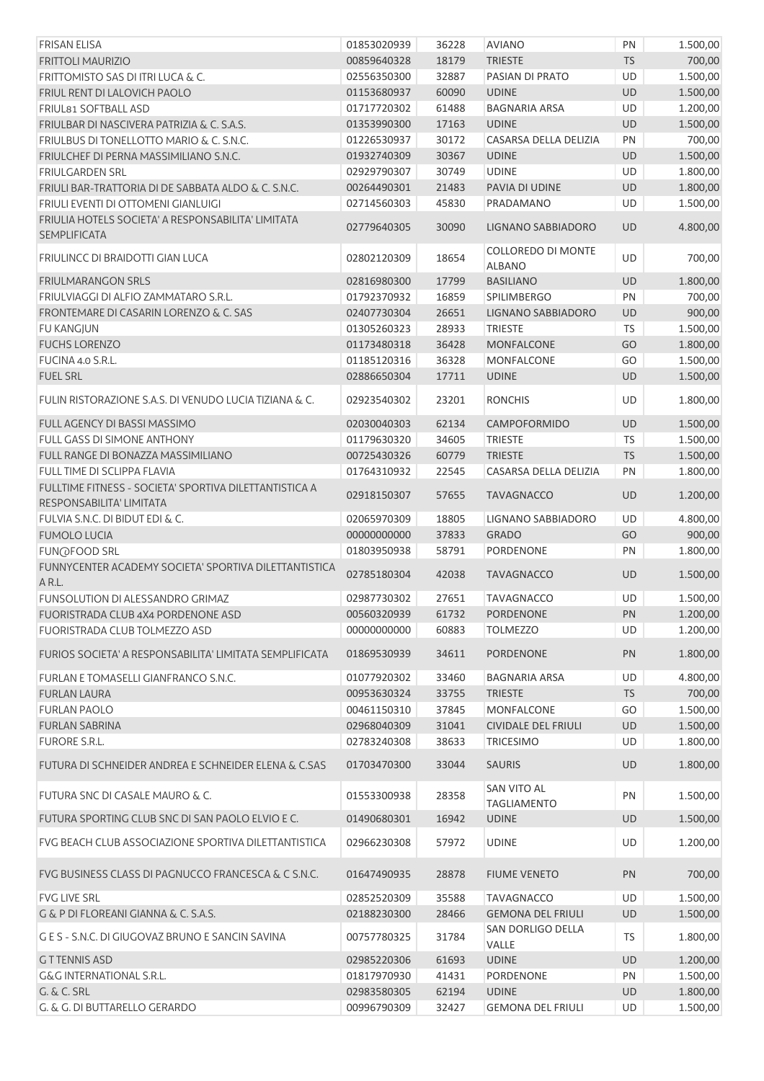| <b>FRISAN ELISA</b>                                                                | 01853020939 | 36228 | <b>AVIANO</b>                            | PN              | 1.500,00 |
|------------------------------------------------------------------------------------|-------------|-------|------------------------------------------|-----------------|----------|
| <b>FRITTOLI MAURIZIO</b>                                                           | 00859640328 | 18179 | <b>TRIESTE</b>                           | <b>TS</b>       | 700,00   |
| FRITTOMISTO SAS DI ITRI LUCA & C.                                                  | 02556350300 | 32887 | PASIAN DI PRATO                          | UD              | 1.500,00 |
| FRIUL RENT DI LALOVICH PAOLO                                                       | 01153680937 | 60090 | <b>UDINE</b>                             | <b>UD</b>       | 1.500,00 |
| FRIUL81 SOFTBALL ASD                                                               | 01717720302 | 61488 | <b>BAGNARIA ARSA</b>                     | <b>UD</b>       | 1.200,00 |
| FRIULBAR DI NASCIVERA PATRIZIA & C. S.A.S.                                         | 01353990300 | 17163 | <b>UDINE</b>                             | UD              | 1.500,00 |
| FRIULBUS DI TONELLOTTO MARIO & C. S.N.C.                                           | 01226530937 | 30172 | CASARSA DELLA DELIZIA                    | PN              | 700,00   |
| FRIULCHEF DI PERNA MASSIMILIANO S.N.C.                                             | 01932740309 | 30367 | <b>UDINE</b>                             | UD              | 1.500,00 |
| <b>FRIULGARDEN SRL</b>                                                             | 02929790307 | 30749 | <b>UDINE</b>                             | <b>UD</b>       | 1.800,00 |
| FRIULI BAR-TRATTORIA DI DE SABBATA ALDO & C. S.N.C.                                | 00264490301 | 21483 | PAVIA DI UDINE                           | UD              | 1.800,00 |
| FRIULI EVENTI DI OTTOMENI GIANLUIGI                                                | 02714560303 | 45830 | PRADAMANO                                | UD              | 1.500,00 |
| FRIULIA HOTELS SOCIETA' A RESPONSABILITA' LIMITATA<br><b>SEMPLIFICATA</b>          | 02779640305 | 30090 | LIGNANO SABBIADORO                       | UD              | 4.800,00 |
| FRIULINCC DI BRAIDOTTI GIAN LUCA                                                   | 02802120309 | 18654 | COLLOREDO DI MONTE<br><b>ALBANO</b>      | UD              | 700,00   |
| <b>FRIULMARANGON SRLS</b>                                                          | 02816980300 | 17799 | <b>BASILIANO</b>                         | UD              | 1.800,00 |
| FRIULVIAGGI DI ALFIO ZAMMATARO S.R.L.                                              | 01792370932 | 16859 | SPILIMBERGO                              | PN              | 700,00   |
| FRONTEMARE DI CASARIN LORENZO & C. SAS                                             | 02407730304 | 26651 | LIGNANO SABBIADORO                       | UD              | 900,00   |
| <b>FU KANGJUN</b>                                                                  | 01305260323 | 28933 | <b>TRIESTE</b>                           | <b>TS</b>       | 1.500,00 |
| <b>FUCHS LORENZO</b>                                                               | 01173480318 | 36428 | <b>MONFALCONE</b>                        | GO              | 1.800,00 |
| FUCINA 4.0 S.R.L.                                                                  | 01185120316 | 36328 | MONFALCONE                               | GO              | 1.500,00 |
| <b>FUEL SRL</b>                                                                    | 02886650304 | 17711 | <b>UDINE</b>                             | <b>UD</b>       | 1.500,00 |
| FULIN RISTORAZIONE S.A.S. DI VENUDO LUCIA TIZIANA & C.                             | 02923540302 | 23201 | <b>RONCHIS</b>                           | UD              | 1.800,00 |
| FULL AGENCY DI BASSI MASSIMO                                                       | 02030040303 | 62134 | CAMPOFORMIDO                             | UD              | 1.500,00 |
| FULL GASS DI SIMONE ANTHONY                                                        | 01179630320 | 34605 | <b>TRIESTE</b>                           | TS              | 1.500,00 |
| FULL RANGE DI BONAZZA MASSIMILIANO                                                 | 00725430326 | 60779 | <b>TRIESTE</b>                           | TS              | 1.500,00 |
| FULL TIME DI SCLIPPA FLAVIA                                                        | 01764310932 | 22545 | CASARSA DELLA DELIZIA                    | PN              | 1.800,00 |
| FULLTIME FITNESS - SOCIETA' SPORTIVA DILETTANTISTICA A<br>RESPONSABILITA' LIMITATA | 02918150307 | 57655 | <b>TAVAGNACCO</b>                        | <b>UD</b>       | 1.200,00 |
| FULVIA S.N.C. DI BIDUT EDI & C.                                                    | 02065970309 | 18805 | LIGNANO SABBIADORO                       | <b>UD</b>       | 4.800,00 |
| <b>FUMOLO LUCIA</b>                                                                | 00000000000 | 37833 | <b>GRADO</b>                             | GO              | 900,00   |
| <b>FUN@FOOD SRL</b>                                                                | 01803950938 | 58791 | PORDENONE                                | PN              | 1.800,00 |
| FUNNYCENTER ACADEMY SOCIETA' SPORTIVA DILETTANTISTICA<br>A R.L.                    | 02785180304 | 42038 | <b>TAVAGNACCO</b>                        | UD              | 1.500,00 |
| FUNSOLUTION DI ALESSANDRO GRIMAZ                                                   | 02987730302 | 27651 | <b>TAVAGNACCO</b>                        | UD              | 1.500,00 |
| FUORISTRADA CLUB 4X4 PORDENONE ASD                                                 | 00560320939 | 61732 | <b>PORDENONE</b>                         |                 | 1.200,00 |
| <b>FUORISTRADA CLUB TOLMEZZO ASD</b>                                               | 00000000000 | 60883 | <b>TOLMEZZO</b>                          | <b>PN</b><br>UD | 1.200,00 |
|                                                                                    |             |       |                                          |                 |          |
| FURIOS SOCIETA' A RESPONSABILITA' LIMITATA SEMPLIFICATA                            | 01869530939 | 34611 | <b>PORDENONE</b>                         | PN              | 1.800,00 |
| FURLAN E TOMASELLI GIANFRANCO S.N.C.                                               | 01077920302 | 33460 | <b>BAGNARIA ARSA</b>                     | UD              | 4.800,00 |
| <b>FURLAN LAURA</b>                                                                | 00953630324 | 33755 | <b>TRIESTE</b>                           | <b>TS</b>       | 700,00   |
| <b>FURLAN PAOLO</b>                                                                | 00461150310 | 37845 | <b>MONFALCONE</b>                        | GO              | 1.500,00 |
| <b>FURLAN SABRINA</b>                                                              | 02968040309 | 31041 | <b>CIVIDALE DEL FRIULI</b>               | UD              | 1.500,00 |
| <b>FURORE S.R.L.</b>                                                               | 02783240308 | 38633 | <b>TRICESIMO</b>                         | UD              | 1.800,00 |
| FUTURA DI SCHNEIDER ANDREA E SCHNEIDER ELENA & C.SAS                               | 01703470300 | 33044 | <b>SAURIS</b>                            | <b>UD</b>       | 1.800,00 |
| FUTURA SNC DI CASALE MAURO & C.                                                    | 01553300938 | 28358 | <b>SAN VITO AL</b><br><b>TAGLIAMENTO</b> | PN              | 1.500,00 |
| FUTURA SPORTING CLUB SNC DI SAN PAOLO ELVIO E C.                                   | 01490680301 | 16942 | <b>UDINE</b>                             | UD              | 1.500,00 |
| FVG BEACH CLUB ASSOCIAZIONE SPORTIVA DILETTANTISTICA                               | 02966230308 | 57972 | <b>UDINE</b>                             | UD              | 1.200,00 |
| FVG BUSINESS CLASS DI PAGNUCCO FRANCESCA & C S.N.C.                                | 01647490935 | 28878 | <b>FIUME VENETO</b>                      | PN              | 700,00   |
| <b>FVG LIVE SRL</b>                                                                | 02852520309 | 35588 | <b>TAVAGNACCO</b>                        | UD              | 1.500,00 |
| G & P DI FLOREANI GIANNA & C. S.A.S.                                               | 02188230300 | 28466 | <b>GEMONA DEL FRIULI</b>                 | UD              | 1.500,00 |
| G E S - S.N.C. DI GIUGOVAZ BRUNO E SANCIN SAVINA                                   | 00757780325 | 31784 | SAN DORLIGO DELLA<br>VALLE               | TS              | 1.800,00 |
| <b>GTTENNIS ASD</b>                                                                | 02985220306 | 61693 | <b>UDINE</b>                             | UD              | 1.200,00 |
| <b>G&amp;G INTERNATIONAL S.R.L.</b>                                                | 01817970930 | 41431 | PORDENONE                                | PN              | 1.500,00 |
| <b>G. &amp; C. SRL</b>                                                             | 02983580305 | 62194 | <b>UDINE</b>                             | UD              | 1.800,00 |
| G. & G. DI BUTTARELLO GERARDO                                                      | 00996790309 | 32427 | <b>GEMONA DEL FRIULI</b>                 | UD              | 1.500,00 |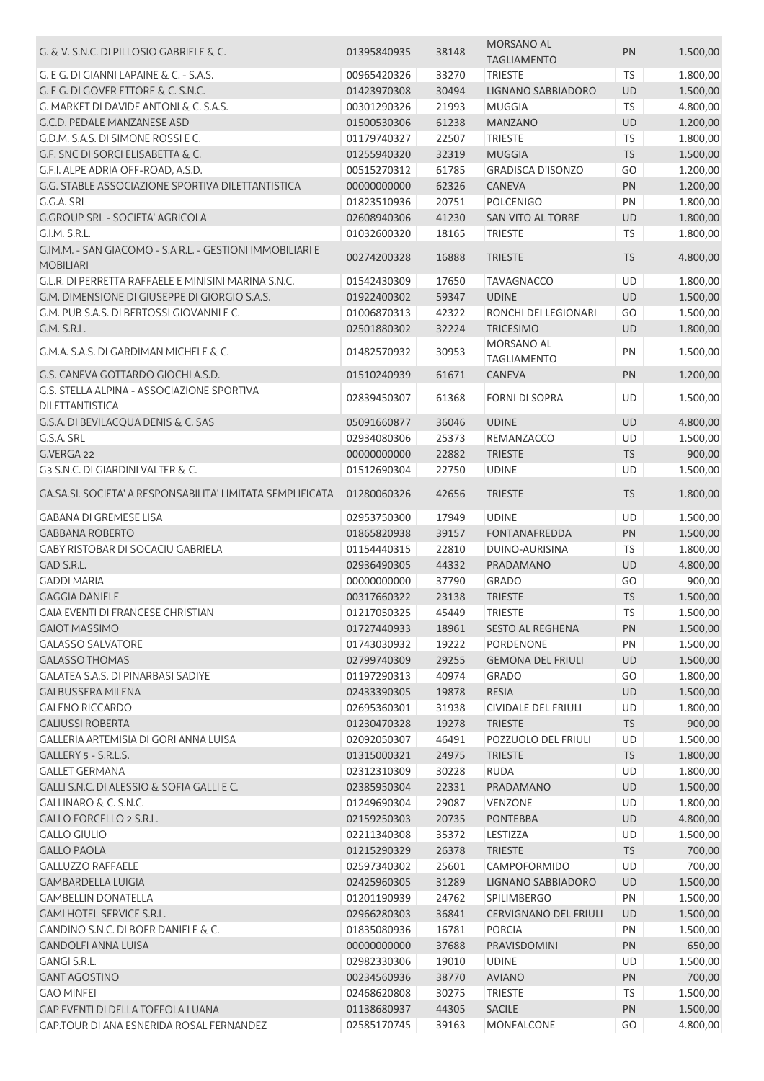| G. & V. S.N.C. DI PILLOSIO GABRIELE & C.                                      | 01395840935 | 38148 | MORSANO AL<br><b>TAGLIAMENTO</b> | PN        | 1.500,00 |
|-------------------------------------------------------------------------------|-------------|-------|----------------------------------|-----------|----------|
| G. E G. DI GIANNI LAPAINE & C. - S.A.S.                                       | 00965420326 | 33270 | <b>TRIESTE</b>                   | <b>TS</b> | 1.800,00 |
| G. E G. DI GOVER ETTORE & C. S.N.C.                                           | 01423970308 | 30494 | LIGNANO SABBIADORO               | UD        | 1.500,00 |
| G. MARKET DI DAVIDE ANTONI & C. S.A.S.                                        | 00301290326 | 21993 | <b>MUGGIA</b>                    | TS        | 4.800,00 |
| G.C.D. PEDALE MANZANESE ASD                                                   | 01500530306 | 61238 | <b>MANZANO</b>                   | UD        | 1.200,00 |
| G.D.M. S.A.S. DI SIMONE ROSSI E C.                                            | 01179740327 | 22507 | <b>TRIESTE</b>                   | <b>TS</b> | 1.800,00 |
| G.F. SNC DI SORCI ELISABETTA & C.                                             | 01255940320 | 32319 | <b>MUGGIA</b>                    | <b>TS</b> | 1.500,00 |
| G.F.I. ALPE ADRIA OFF-ROAD, A.S.D.                                            | 00515270312 | 61785 | <b>GRADISCA D'ISONZO</b>         | GO        | 1.200,00 |
| G.G. STABLE ASSOCIAZIONE SPORTIVA DILETTANTISTICA                             | 00000000000 | 62326 | <b>CANEVA</b>                    | PN        | 1.200,00 |
| G.G.A. SRL                                                                    | 01823510936 | 20751 | <b>POLCENIGO</b>                 | PN        | 1.800,00 |
| G.GROUP SRL - SOCIETA' AGRICOLA                                               | 02608940306 | 41230 | SAN VITO AL TORRE                | UD        | 1.800,00 |
| G.I.M. S.R.L.                                                                 | 01032600320 | 18165 | <b>TRIESTE</b>                   | <b>TS</b> | 1.800,00 |
| G.IM.M. - SAN GIACOMO - S.A R.L. - GESTIONI IMMOBILIARI E<br><b>MOBILIARI</b> | 00274200328 | 16888 | <b>TRIESTE</b>                   | <b>TS</b> | 4.800,00 |
| G.L.R. DI PERRETTA RAFFAELE E MINISINI MARINA S.N.C.                          | 01542430309 | 17650 | <b>TAVAGNACCO</b>                | <b>UD</b> | 1.800,00 |
| G.M. DIMENSIONE DI GIUSEPPE DI GIORGIO S.A.S.                                 | 01922400302 | 59347 | <b>UDINE</b>                     | UD        | 1.500,00 |
| G.M. PUB S.A.S. DI BERTOSSI GIOVANNI E C.                                     | 01006870313 | 42322 | RONCHI DEI LEGIONARI             | GO        | 1.500,00 |
| G.M. S.R.L.                                                                   | 02501880302 | 32224 | <b>TRICESIMO</b>                 | UD        | 1.800,00 |
| G.M.A. S.A.S. DI GARDIMAN MICHELE & C.                                        | 01482570932 | 30953 | MORSANO AL<br><b>TAGLIAMENTO</b> | PN        | 1.500,00 |
| G.S. CANEVA GOTTARDO GIOCHI A.S.D.                                            | 01510240939 | 61671 | CANEVA                           | PN        | 1.200,00 |
| G.S. STELLA ALPINA - ASSOCIAZIONE SPORTIVA<br>DILETTANTISTICA                 | 02839450307 | 61368 | <b>FORNI DI SOPRA</b>            | UD        | 1.500,00 |
| G.S.A. DI BEVILACQUA DENIS & C. SAS                                           | 05091660877 | 36046 | <b>UDINE</b>                     | UD        | 4.800,00 |
| G.S.A. SRL                                                                    | 02934080306 | 25373 | REMANZACCO                       | UD        | 1.500,00 |
| G.VERGA 22                                                                    | 00000000000 | 22882 | <b>TRIESTE</b>                   | <b>TS</b> | 900,00   |
| G3 S.N.C. DI GIARDINI VALTER & C.                                             | 01512690304 | 22750 | <b>UDINE</b>                     | UD        | 1.500,00 |
| GA.SA.SI. SOCIETA' A RESPONSABILITA' LIMITATA SEMPLIFICATA                    | 01280060326 | 42656 | <b>TRIESTE</b>                   | <b>TS</b> | 1.800,00 |
| <b>GABANA DI GREMESE LISA</b>                                                 | 02953750300 | 17949 | <b>UDINE</b>                     | UD        | 1.500,00 |
| <b>GABBANA ROBERTO</b>                                                        | 01865820938 | 39157 | <b>FONTANAFREDDA</b>             | PN        | 1.500,00 |
| <b>GABY RISTOBAR DI SOCACIU GABRIELA</b>                                      | 01154440315 | 22810 | DUINO-AURISINA                   | <b>TS</b> | 1.800,00 |
| GAD S.R.L.                                                                    | 02936490305 | 44332 | PRADAMANO                        | <b>UD</b> | 4.800,00 |
| <b>GADDI MARIA</b>                                                            | 00000000000 | 37790 | <b>GRADO</b>                     | GO        | 900,00   |
| <b>GAGGIA DANIELE</b>                                                         | 00317660322 | 23138 | <b>TRIESTE</b>                   | <b>TS</b> | 1.500,00 |
| <b>GAIA EVENTI DI FRANCESE CHRISTIAN</b>                                      | 01217050325 | 45449 | <b>TRIESTE</b>                   | <b>TS</b> | 1.500,00 |
| <b>GAIOT MASSIMO</b>                                                          | 01727440933 | 18961 | <b>SESTO AL REGHENA</b>          | <b>PN</b> | 1.500,00 |
| <b>GALASSO SALVATORE</b>                                                      | 01743030932 | 19222 | <b>PORDENONE</b>                 | PN        | 1.500,00 |
| <b>GALASSO THOMAS</b>                                                         | 02799740309 | 29255 | <b>GEMONA DEL FRIULI</b>         | <b>UD</b> | 1.500,00 |
| <b>GALATEA S.A.S. DI PINARBASI SADIYE</b>                                     | 01197290313 | 40974 | <b>GRADO</b>                     | GO        | 1.800,00 |
| <b>GALBUSSERA MILENA</b>                                                      | 02433390305 | 19878 | RESIA                            | <b>UD</b> | 1.500,00 |
| <b>GALENO RICCARDO</b>                                                        | 02695360301 | 31938 | <b>CIVIDALE DEL FRIULI</b>       | UD        | 1.800,00 |
| <b>GALIUSSI ROBERTA</b>                                                       | 01230470328 | 19278 | <b>TRIESTE</b>                   | <b>TS</b> | 900,00   |
| GALLERIA ARTEMISIA DI GORI ANNA LUISA                                         | 02092050307 | 46491 | POZZUOLO DEL FRIULI              | UD        | 1.500,00 |
| GALLERY 5 - S.R.L.S.                                                          | 01315000321 | 24975 | <b>TRIESTE</b>                   | <b>TS</b> | 1.800,00 |
| <b>GALLET GERMANA</b>                                                         | 02312310309 | 30228 | <b>RUDA</b>                      | UD        | 1.800,00 |
| GALLI S.N.C. DI ALESSIO & SOFIA GALLI E C.                                    | 02385950304 | 22331 | PRADAMANO                        | <b>UD</b> | 1.500,00 |
| GALLINARO & C. S.N.C.                                                         | 01249690304 | 29087 | <b>VENZONE</b>                   | UD        | 1.800,00 |
| GALLO FORCELLO 2 S.R.L.                                                       | 02159250303 | 20735 | <b>PONTEBBA</b>                  | UD        | 4.800,00 |
| <b>GALLO GIULIO</b>                                                           | 02211340308 | 35372 | LESTIZZA                         | UD        | 1.500,00 |
| <b>GALLO PAOLA</b>                                                            | 01215290329 | 26378 | <b>TRIESTE</b>                   | <b>TS</b> | 700,00   |
| <b>GALLUZZO RAFFAELE</b>                                                      | 02597340302 | 25601 | CAMPOFORMIDO                     | UD        | 700,00   |
| <b>GAMBARDELLA LUIGIA</b>                                                     | 02425960305 | 31289 | LIGNANO SABBIADORO               | UD        | 1.500,00 |
| <b>GAMBELLIN DONATELLA</b>                                                    | 01201190939 | 24762 | SPILIMBERGO                      | PN        | 1.500,00 |
| <b>GAMI HOTEL SERVICE S.R.L.</b>                                              | 02966280303 | 36841 | <b>CERVIGNANO DEL FRIULI</b>     | <b>UD</b> | 1.500,00 |
| GANDINO S.N.C. DI BOER DANIELE & C.                                           | 01835080936 | 16781 | <b>PORCIA</b>                    | PN        | 1.500,00 |
| <b>GANDOLFI ANNA LUISA</b>                                                    | 00000000000 | 37688 | PRAVISDOMINI                     | PN        | 650,00   |
| <b>GANGI S.R.L.</b>                                                           | 02982330306 | 19010 | <b>UDINE</b>                     | UD        | 1.500,00 |
| <b>GANT AGOSTINO</b>                                                          | 00234560936 | 38770 | <b>AVIANO</b>                    | PN        | 700,00   |
| <b>GAO MINFEI</b>                                                             | 02468620808 | 30275 | <b>TRIESTE</b>                   | <b>TS</b> | 1.500,00 |
| GAP EVENTI DI DELLA TOFFOLA LUANA                                             | 01138680937 | 44305 | <b>SACILE</b>                    | PN        | 1.500,00 |
| GAP.TOUR DI ANA ESNERIDA ROSAL FERNANDEZ                                      | 02585170745 | 39163 | MONFALCONE                       | GO        | 4.800,00 |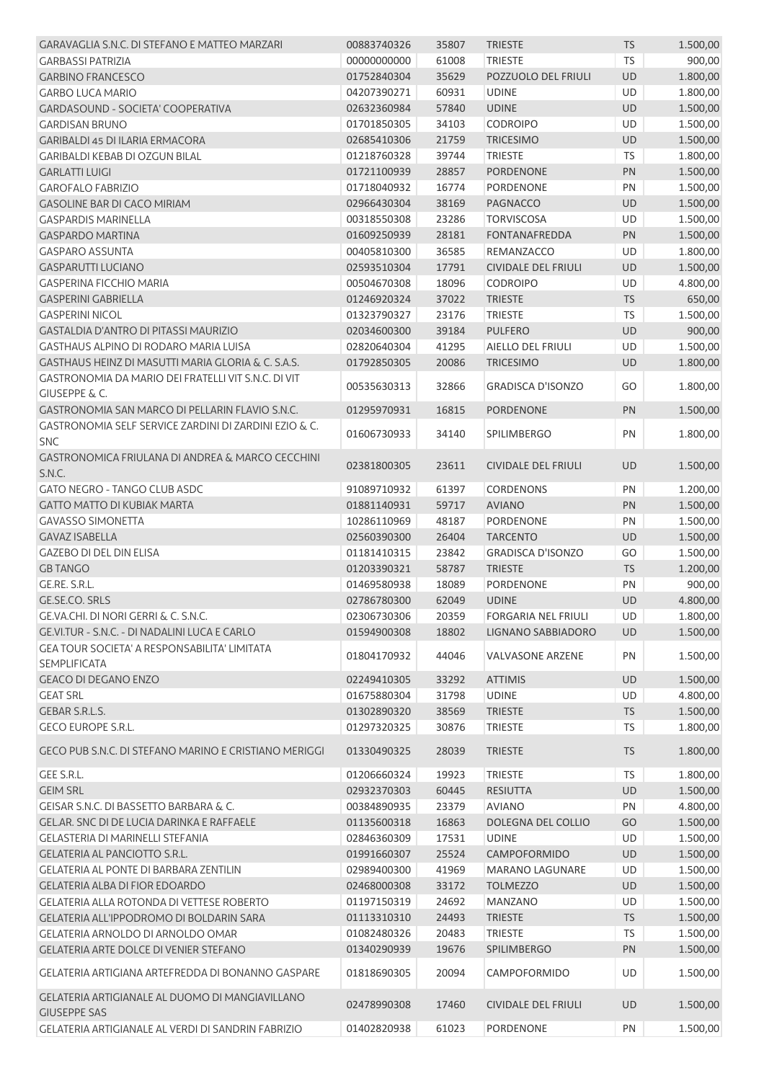| GARAVAGLIA S.N.C. DI STEFANO E MATTEO MARZARI                               | 00883740326 | 35807          | <b>TRIESTE</b>                 | <b>TS</b> | 1.500,00 |
|-----------------------------------------------------------------------------|-------------|----------------|--------------------------------|-----------|----------|
| <b>GARBASSI PATRIZIA</b>                                                    | 00000000000 | 61008          | <b>TRIESTE</b>                 | <b>TS</b> | 900,00   |
| <b>GARBINO FRANCESCO</b>                                                    | 01752840304 | 35629          | POZZUOLO DEL FRIULI            | <b>UD</b> | 1.800,00 |
| <b>GARBO LUCA MARIO</b>                                                     | 04207390271 | 60931          | <b>UDINE</b>                   | UD        | 1.800,00 |
| GARDASOUND - SOCIETA' COOPERATIVA                                           | 02632360984 | 57840          | <b>UDINE</b>                   | UD        | 1.500,00 |
| <b>GARDISAN BRUNO</b>                                                       | 01701850305 | 34103          | CODROIPO                       | UD        | 1.500,00 |
| GARIBALDI 45 DI ILARIA ERMACORA                                             | 02685410306 | 21759          | <b>TRICESIMO</b>               | UD        | 1.500,00 |
| <b>GARIBALDI KEBAB DI OZGUN BILAL</b>                                       | 01218760328 | 39744          | <b>TRIESTE</b>                 | <b>TS</b> | 1.800,00 |
| <b>GARLATTI LUIGI</b>                                                       | 01721100939 | 28857          | <b>PORDENONE</b>               | PN        | 1.500,00 |
| <b>GAROFALO FABRIZIO</b>                                                    | 01718040932 | 16774          | PORDENONE                      | PN        | 1.500,00 |
| <b>GASOLINE BAR DI CACO MIRIAM</b>                                          | 02966430304 | 38169          | <b>PAGNACCO</b>                | UD        | 1.500,00 |
| <b>GASPARDIS MARINELLA</b>                                                  | 00318550308 | 23286          | <b>TORVISCOSA</b>              | UD        | 1.500,00 |
| <b>GASPARDO MARTINA</b>                                                     | 01609250939 | 28181          | FONTANAFREDDA                  | PN        | 1.500,00 |
| <b>GASPARO ASSUNTA</b>                                                      | 00405810300 | 36585          | REMANZACCO                     | UD        | 1.800,00 |
| <b>GASPARUTTI LUCIANO</b>                                                   | 02593510304 | 17791          | <b>CIVIDALE DEL FRIULI</b>     | <b>UD</b> | 1.500,00 |
| <b>GASPERINA FICCHIO MARIA</b>                                              | 00504670308 | 18096          | <b>CODROIPO</b>                | UD        | 4.800,00 |
| <b>GASPERINI GABRIELLA</b>                                                  | 01246920324 | 37022          | <b>TRIESTE</b>                 | <b>TS</b> | 650,00   |
| <b>GASPERINI NICOL</b>                                                      | 01323790327 | 23176          | <b>TRIESTE</b>                 | TS        | 1.500,00 |
| GASTALDIA D'ANTRO DI PITASSI MAURIZIO                                       | 02034600300 | 39184          | <b>PULFERO</b>                 | <b>UD</b> | 900,00   |
| GASTHAUS ALPINO DI RODARO MARIA LUISA                                       | 02820640304 | 41295          | AIELLO DEL FRIULI              | UD        | 1.500,00 |
| GASTHAUS HEINZ DI MASUTTI MARIA GLORIA & C. S.A.S.                          | 01792850305 | 20086          | <b>TRICESIMO</b>               | UD        | 1.800,00 |
| GASTRONOMIA DA MARIO DEI FRATELLI VIT S.N.C. DI VIT                         | 00535630313 | 32866          | <b>GRADISCA D'ISONZO</b>       | GO        | 1.800,00 |
| <b>GIUSEPPE &amp; C.</b><br>GASTRONOMIA SAN MARCO DI PELLARIN FLAVIO S.N.C. | 01295970931 | 16815          | <b>PORDENONE</b>               | PN        | 1.500,00 |
| GASTRONOMIA SELF SERVICE ZARDINI DI ZARDINI EZIO & C.                       | 01606730933 | 34140          | SPILIMBERGO                    | PN        | 1.800,00 |
| <b>SNC</b>                                                                  |             |                |                                |           |          |
| GASTRONOMICA FRIULANA DI ANDREA & MARCO CECCHINI<br>S.N.C.                  | 02381800305 | 23611          | <b>CIVIDALE DEL FRIULI</b>     | UD        | 1.500,00 |
| GATO NEGRO - TANGO CLUB ASDC                                                | 91089710932 | 61397          | <b>CORDENONS</b>               | PN        | 1.200,00 |
| <b>GATTO MATTO DI KUBIAK MARTA</b>                                          | 01881140931 | 59717          | <b>AVIANO</b>                  | PN        | 1.500,00 |
| <b>GAVASSO SIMONETTA</b>                                                    | 10286110969 | 48187          | PORDENONE                      | PN        | 1.500,00 |
| <b>GAVAZ ISABELLA</b>                                                       | 02560390300 | 26404          | <b>TARCENTO</b>                | <b>UD</b> | 1.500,00 |
| <b>GAZEBO DI DEL DIN ELISA</b>                                              | 01181410315 | 23842          | <b>GRADISCA D'ISONZO</b>       | GO        | 1.500,00 |
| <b>GB TANGO</b>                                                             | 01203390321 | 58787          | <b>TRIESTE</b>                 | <b>TS</b> | 1.200,00 |
| GE.RE. S.R.L.                                                               | 01469580938 | 18089          | PORDENONE                      | PN        | 900,00   |
| GE.SE.CO. SRLS                                                              | 02786780300 | 62049          | <b>UDINE</b>                   | UD        | 4.800,00 |
| GE.VA.CHI. DI NORI GERRI & C. S.N.C.                                        | 02306730306 | 20359          | <b>FORGARIA NEL FRIULI</b>     | UD        | 1.800,00 |
| GE.VI.TUR - S.N.C. - DI NADALINI LUCA E CARLO                               | 01594900308 | 18802          | <b>LIGNANO SABBIADORO</b>      | <b>UD</b> | 1.500,00 |
| <b>GEA TOUR SOCIETA' A RESPONSABILITA' LIMITATA</b><br><b>SEMPLIFICATA</b>  | 01804170932 | 44046          | <b>VALVASONE ARZENE</b>        | PN        | 1.500,00 |
|                                                                             |             |                |                                |           |          |
| <b>GEACO DI DEGANO ENZO</b>                                                 | 02249410305 | 33292<br>31798 | <b>ATTIMIS</b><br><b>UDINE</b> | UD        | 1.500,00 |
| <b>GEAT SRL</b>                                                             | 01675880304 |                |                                | UD        | 4.800,00 |
| GEBAR S.R.L.S.<br><b>GECO EUROPE S.R.L.</b>                                 | 01302890320 | 38569          | <b>TRIESTE</b>                 | <b>TS</b> | 1.500,00 |
|                                                                             | 01297320325 | 30876          | <b>TRIESTE</b>                 | <b>TS</b> | 1.800,00 |
| GECO PUB S.N.C. DI STEFANO MARINO E CRISTIANO MERIGGI                       | 01330490325 | 28039          | <b>TRIESTE</b>                 | <b>TS</b> | 1.800,00 |
| <b>GEE S.R.L.</b>                                                           | 01206660324 | 19923          | <b>TRIESTE</b>                 | TS        | 1.800,00 |
| <b>GEIM SRL</b>                                                             | 02932370303 | 60445          | <b>RESIUTTA</b>                | UD        | 1.500,00 |
| GEISAR S.N.C. DI BASSETTO BARBARA & C.                                      | 00384890935 | 23379          | <b>AVIANO</b>                  | PN        | 4.800,00 |
| GEL.AR. SNC DI DE LUCIA DARINKA E RAFFAELE                                  | 01135600318 | 16863          | DOLEGNA DEL COLLIO             | GO        | 1.500,00 |
| GELASTERIA DI MARINELLI STEFANIA                                            | 02846360309 | 17531          | <b>UDINE</b>                   | UD        | 1.500,00 |
| <b>GELATERIA AL PANCIOTTO S.R.L.</b>                                        | 01991660307 | 25524          | <b>CAMPOFORMIDO</b>            | UD        | 1.500,00 |
| <b>GELATERIA AL PONTE DI BARBARA ZENTILIN</b>                               | 02989400300 | 41969          | <b>MARANO LAGUNARE</b>         | UD        | 1.500,00 |
| <b>GELATERIA ALBA DI FIOR EDOARDO</b>                                       | 02468000308 | 33172          | <b>TOLMEZZO</b>                | UD        | 1.500,00 |
| GELATERIA ALLA ROTONDA DI VETTESE ROBERTO                                   | 01197150319 | 24692          | <b>MANZANO</b>                 | UD        | 1.500,00 |
| GELATERIA ALL'IPPODROMO DI BOLDARIN SARA                                    | 01113310310 | 24493          | <b>TRIESTE</b>                 | <b>TS</b> | 1.500,00 |
| GELATERIA ARNOLDO DI ARNOLDO OMAR                                           | 01082480326 | 20483          | <b>TRIESTE</b>                 | <b>TS</b> | 1.500,00 |
| <b>GELATERIA ARTE DOLCE DI VENIER STEFANO</b>                               | 01340290939 | 19676          | SPILIMBERGO                    | PN        | 1.500,00 |
| GELATERIA ARTIGIANA ARTEFREDDA DI BONANNO GASPARE                           | 01818690305 | 20094          | CAMPOFORMIDO                   | UD        | 1.500,00 |
| GELATERIA ARTIGIANALE AL DUOMO DI MANGIAVILLANO                             |             |                |                                |           |          |
| <b>GIUSEPPE SAS</b>                                                         | 02478990308 | 17460          | <b>CIVIDALE DEL FRIULI</b>     | UD        | 1.500,00 |
| GELATERIA ARTIGIANALE AL VERDI DI SANDRIN FABRIZIO                          | 01402820938 | 61023          | PORDENONE                      | PN        | 1.500,00 |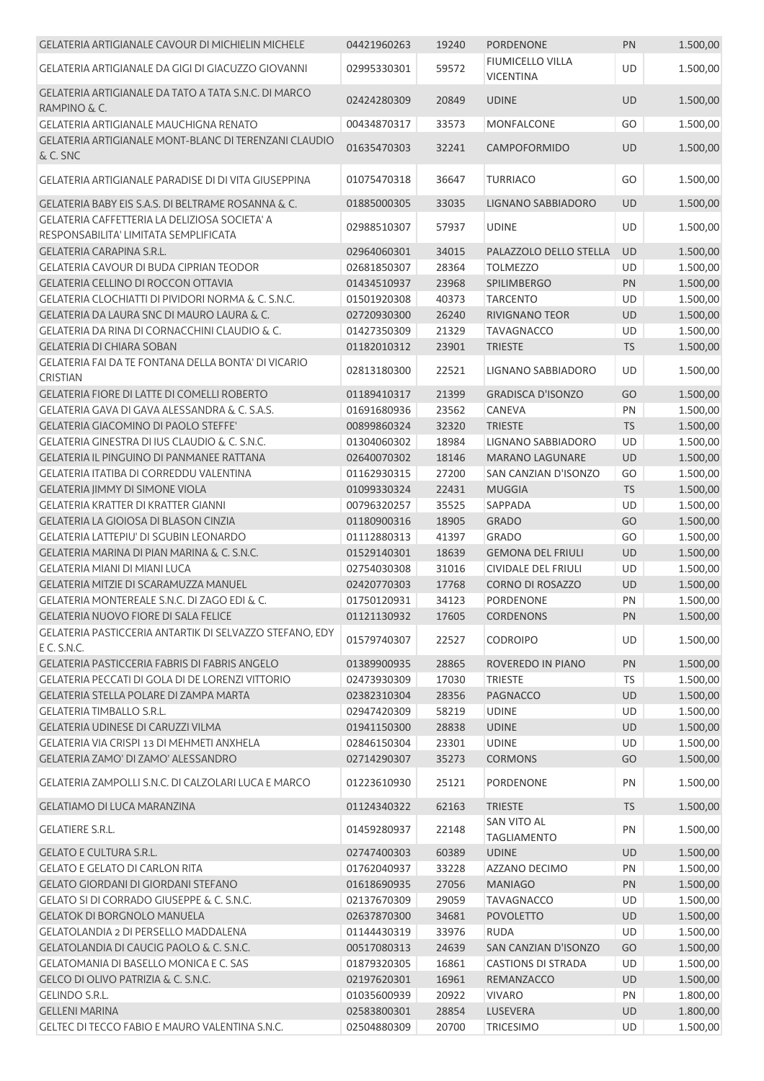| <b>GELATERIA ARTIGIANALE CAVOUR DI MICHIELIN MICHELE</b>                               | 04421960263 | 19240 | <b>PORDENONE</b>                         | PN        | 1.500,00 |
|----------------------------------------------------------------------------------------|-------------|-------|------------------------------------------|-----------|----------|
| GELATERIA ARTIGIANALE DA GIGI DI GIACUZZO GIOVANNI                                     | 02995330301 | 59572 | FIUMICELLO VILLA<br><b>VICENTINA</b>     | UD        | 1.500,00 |
| GELATERIA ARTIGIANALE DA TATO A TATA S.N.C. DI MARCO<br>RAMPINO & C.                   | 02424280309 | 20849 | <b>UDINE</b>                             | UD        | 1.500,00 |
| GELATERIA ARTIGIANALE MAUCHIGNA RENATO                                                 | 00434870317 | 33573 | <b>MONFALCONE</b>                        | GO        | 1.500,00 |
| GELATERIA ARTIGIANALE MONT-BLANC DI TERENZANI CLAUDIO<br>& C. SNC                      | 01635470303 | 32241 | CAMPOFORMIDO                             | UD        | 1.500,00 |
| GELATERIA ARTIGIANALE PARADISE DI DI VITA GIUSEPPINA                                   | 01075470318 | 36647 | <b>TURRIACO</b>                          | GO        | 1.500,00 |
| GELATERIA BABY EIS S.A.S. DI BELTRAME ROSANNA & C.                                     | 01885000305 | 33035 | LIGNANO SABBIADORO                       | UD        | 1.500,00 |
| GELATERIA CAFFETTERIA LA DELIZIOSA SOCIETA' A<br>RESPONSABILITA' LIMITATA SEMPLIFICATA | 02988510307 | 57937 | <b>UDINE</b>                             | UD        | 1.500,00 |
| <b>GELATERIA CARAPINA S.R.L.</b>                                                       | 02964060301 | 34015 | PALAZZOLO DELLO STELLA                   | <b>UD</b> | 1.500,00 |
| <b>GELATERIA CAVOUR DI BUDA CIPRIAN TEODOR</b>                                         | 02681850307 | 28364 | <b>TOLMEZZO</b>                          | UD        | 1.500,00 |
| GELATERIA CELLINO DI ROCCON OTTAVIA                                                    | 01434510937 | 23968 | SPILIMBERGO                              | PN        | 1.500,00 |
| GELATERIA CLOCHIATTI DI PIVIDORI NORMA & C. S.N.C.                                     | 01501920308 | 40373 | <b>TARCENTO</b>                          | UD        | 1.500,00 |
| GELATERIA DA LAURA SNC DI MAURO LAURA & C.                                             | 02720930300 | 26240 | RIVIGNANO TEOR                           | UD        | 1.500,00 |
| GELATERIA DA RINA DI CORNACCHINI CLAUDIO & C.                                          | 01427350309 | 21329 | <b>TAVAGNACCO</b>                        | UD        | 1.500,00 |
| <b>GELATERIA DI CHIARA SOBAN</b>                                                       | 01182010312 | 23901 | <b>TRIESTE</b>                           | <b>TS</b> | 1.500,00 |
| GELATERIA FAI DA TE FONTANA DELLA BONTA' DI VICARIO<br><b>CRISTIAN</b>                 | 02813180300 | 22521 | LIGNANO SABBIADORO                       | UD        | 1.500,00 |
| GELATERIA FIORE DI LATTE DI COMELLI ROBERTO                                            | 01189410317 | 21399 | <b>GRADISCA D'ISONZO</b>                 | GO        | 1.500,00 |
| GELATERIA GAVA DI GAVA ALESSANDRA & C. S.A.S.                                          | 01691680936 | 23562 | CANEVA                                   | PN        | 1.500,00 |
| <b>GELATERIA GIACOMINO DI PAOLO STEFFE'</b>                                            | 00899860324 | 32320 | <b>TRIESTE</b>                           | <b>TS</b> | 1.500,00 |
| GELATERIA GINESTRA DI IUS CLAUDIO & C. S.N.C.                                          | 01304060302 | 18984 | LIGNANO SABBIADORO                       | UD        | 1.500,00 |
| GELATERIA IL PINGUINO DI PANMANEE RATTANA                                              | 02640070302 | 18146 | <b>MARANO LAGUNARE</b>                   | UD        | 1.500,00 |
| <b>GELATERIA ITATIBA DI CORREDDU VALENTINA</b>                                         | 01162930315 | 27200 | SAN CANZIAN D'ISONZO                     | GO        | 1.500,00 |
| <b>GELATERIA JIMMY DI SIMONE VIOLA</b>                                                 | 01099330324 | 22431 | <b>MUGGIA</b>                            | <b>TS</b> | 1.500,00 |
| GELATERIA KRATTER DI KRATTER GIANNI                                                    | 00796320257 | 35525 | SAPPADA                                  | UD        | 1.500,00 |
| GELATERIA LA GIOIOSA DI BLASON CINZIA                                                  | 01180900316 | 18905 | <b>GRADO</b>                             | GO        | 1.500,00 |
| <b>GELATERIA LATTEPIU' DI SGUBIN LEONARDO</b>                                          | 01112880313 | 41397 | <b>GRADO</b>                             | GO        | 1.500,00 |
| GELATERIA MARINA DI PIAN MARINA & C. S.N.C.                                            | 01529140301 | 18639 | <b>GEMONA DEL FRIULI</b>                 | UD        | 1.500,00 |
| GELATERIA MIANI DI MIANI LUCA                                                          | 02754030308 | 31016 | <b>CIVIDALE DEL FRIULI</b>               | UD        | 1.500,00 |
| GELATERIA MITZIE DI SCARAMUZZA MANUEL                                                  | 02420770303 | 17768 | <b>CORNO DI ROSAZZO</b>                  | UD        | 1.500,00 |
| <b>GELATERIA MONTEREALE S.N.C. DI ZAGO EDI &amp; C.</b>                                | 01750120931 | 34123 | <b>PORDENONE</b>                         | PN        | 1.500,00 |
| <b>GELATERIA NUOVO FIORE DI SALA FELICE</b>                                            | 01121130932 | 17605 | <b>CORDENONS</b>                         | PN.       | 1.500,00 |
| GELATERIA PASTICCERIA ANTARTIK DI SELVAZZO STEFANO, EDY                                |             |       |                                          |           |          |
| E C. S.N.C.                                                                            | 01579740307 | 22527 | <b>CODROIPO</b>                          | UD        | 1.500,00 |
| <b>GELATERIA PASTICCERIA FABRIS DI FABRIS ANGELO</b>                                   | 01389900935 | 28865 | ROVEREDO IN PIANO                        | PN        | 1.500,00 |
| GELATERIA PECCATI DI GOLA DI DE LORENZI VITTORIO                                       | 02473930309 | 17030 | <b>TRIESTE</b>                           | TS        | 1.500,00 |
| GELATERIA STELLA POLARE DI ZAMPA MARTA                                                 | 02382310304 | 28356 | <b>PAGNACCO</b>                          | UD        | 1.500,00 |
| <b>GELATERIA TIMBALLO S.R.L.</b>                                                       | 02947420309 | 58219 | <b>UDINE</b>                             | UD        | 1.500,00 |
| GELATERIA UDINESE DI CARUZZI VILMA                                                     | 01941150300 | 28838 | <b>UDINE</b>                             | UD        | 1.500,00 |
| GELATERIA VIA CRISPI 13 DI MEHMETI ANXHELA                                             | 02846150304 | 23301 | <b>UDINE</b>                             | UD        | 1.500,00 |
| GELATERIA ZAMO' DI ZAMO' ALESSANDRO                                                    | 02714290307 | 35273 | <b>CORMONS</b>                           | GO        | 1.500,00 |
| GELATERIA ZAMPOLLI S.N.C. DI CALZOLARI LUCA E MARCO                                    | 01223610930 | 25121 | PORDENONE                                | PN        | 1.500,00 |
| <b>GELATIAMO DI LUCA MARANZINA</b>                                                     | 01124340322 | 62163 | <b>TRIESTE</b>                           | <b>TS</b> | 1.500,00 |
| <b>GELATIERE S.R.L.</b>                                                                | 01459280937 | 22148 | <b>SAN VITO AL</b><br><b>TAGLIAMENTO</b> | PN        | 1.500,00 |
| <b>GELATO E CULTURA S.R.L.</b>                                                         | 02747400303 | 60389 | <b>UDINE</b>                             | UD        | 1.500,00 |
| <b>GELATO E GELATO DI CARLON RITA</b>                                                  | 01762040937 | 33228 | AZZANO DECIMO                            | PN        | 1.500,00 |
| <b>GELATO GIORDANI DI GIORDANI STEFANO</b>                                             | 01618690935 | 27056 | <b>MANIAGO</b>                           | PN        | 1.500,00 |
| GELATO SI DI CORRADO GIUSEPPE & C. S.N.C.                                              | 02137670309 | 29059 | <b>TAVAGNACCO</b>                        | <b>UD</b> | 1.500,00 |
| <b>GELATOK DI BORGNOLO MANUELA</b>                                                     | 02637870300 | 34681 | <b>POVOLETTO</b>                         | UD        | 1.500,00 |
| GELATOLANDIA 2 DI PERSELLO MADDALENA                                                   | 01144430319 | 33976 | <b>RUDA</b>                              | UD        | 1.500,00 |
| GELATOLANDIA DI CAUCIG PAOLO & C. S.N.C.                                               | 00517080313 | 24639 | SAN CANZIAN D'ISONZO                     | GO        | 1.500,00 |
| <b>GELATOMANIA DI BASELLO MONICA E C. SAS</b>                                          | 01879320305 | 16861 | <b>CASTIONS DI STRADA</b>                | UD        | 1.500,00 |
| GELCO DI OLIVO PATRIZIA & C. S.N.C.                                                    | 02197620301 | 16961 | REMANZACCO                               | UD        | 1.500,00 |
| GELINDO S.R.L.                                                                         | 01035600939 | 20922 | <b>VIVARO</b>                            | PN        | 1.800,00 |
| <b>GELLENI MARINA</b>                                                                  | 02583800301 | 28854 | LUSEVERA                                 | <b>UD</b> | 1.800,00 |
| GELTEC DI TECCO FABIO E MAURO VALENTINA S.N.C.                                         | 02504880309 | 20700 | <b>TRICESIMO</b>                         | UD        | 1.500,00 |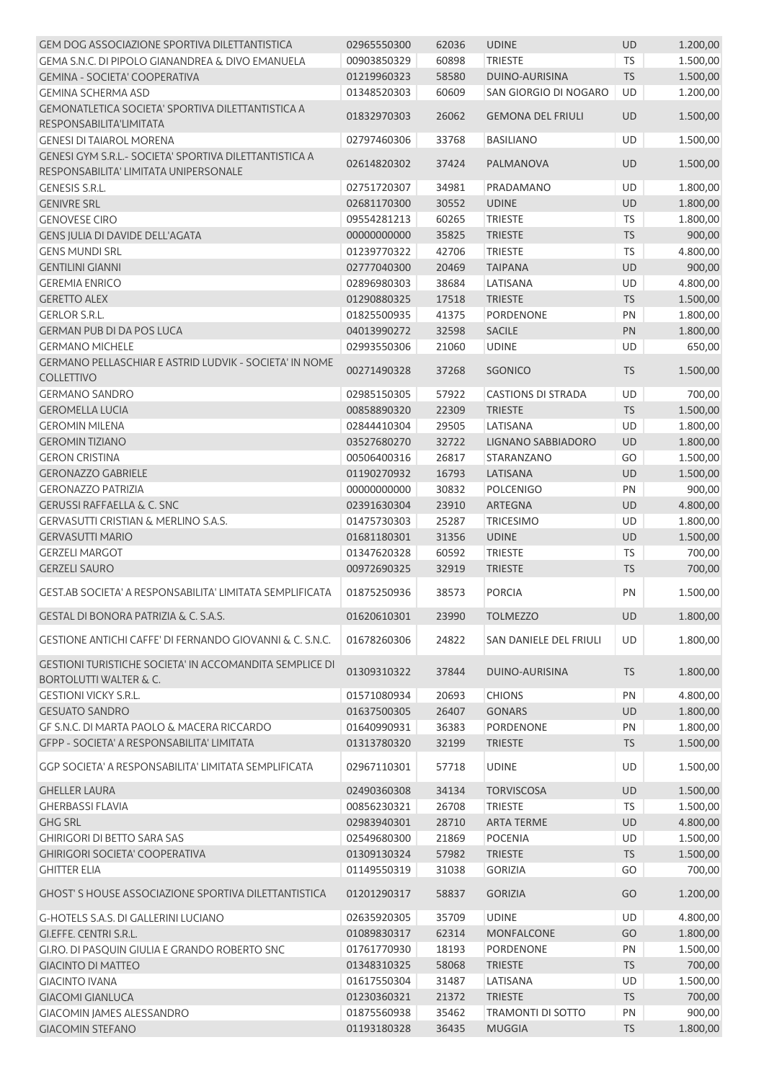| <b>GEM DOG ASSOCIAZIONE SPORTIVA DILETTANTISTICA</b>                                                | 02965550300 | 62036 | <b>UDINE</b>              | UD        | 1.200,00 |
|-----------------------------------------------------------------------------------------------------|-------------|-------|---------------------------|-----------|----------|
| GEMA S.N.C. DI PIPOLO GIANANDREA & DIVO EMANUELA                                                    | 00903850329 | 60898 | <b>TRIESTE</b>            | <b>TS</b> | 1.500,00 |
| <b>GEMINA - SOCIETA' COOPERATIVA</b>                                                                | 01219960323 | 58580 | <b>DUINO-AURISINA</b>     | <b>TS</b> | 1.500,00 |
| <b>GEMINA SCHERMA ASD</b>                                                                           | 01348520303 | 60609 | SAN GIORGIO DI NOGARO     | UD        | 1.200,00 |
| GEMONATLETICA SOCIETA' SPORTIVA DILETTANTISTICA A<br>RESPONSABILITA'LIMITATA                        | 01832970303 | 26062 | <b>GEMONA DEL FRIULI</b>  | <b>UD</b> | 1.500,00 |
| <b>GENESI DI TAIAROL MORENA</b>                                                                     | 02797460306 | 33768 | <b>BASILIANO</b>          | UD        | 1.500,00 |
| GENESI GYM S.R.L.- SOCIETA' SPORTIVA DILETTANTISTICA A<br>RESPONSABILITA' LIMITATA UNIPERSONALE     | 02614820302 | 37424 | PALMANOVA                 | <b>UD</b> | 1.500,00 |
| <b>GENESIS S.R.L.</b>                                                                               | 02751720307 | 34981 | PRADAMANO                 | <b>UD</b> | 1.800,00 |
| <b>GENIVRE SRL</b>                                                                                  | 02681170300 | 30552 | <b>UDINE</b>              | UD        | 1.800,00 |
| <b>GENOVESE CIRO</b>                                                                                | 09554281213 | 60265 | <b>TRIESTE</b>            | <b>TS</b> | 1.800,00 |
| GENS JULIA DI DAVIDE DELL'AGATA                                                                     | 00000000000 | 35825 | <b>TRIESTE</b>            | <b>TS</b> | 900,00   |
| <b>GENS MUNDI SRL</b>                                                                               | 01239770322 | 42706 | <b>TRIESTE</b>            | <b>TS</b> | 4.800,00 |
| <b>GENTILINI GIANNI</b>                                                                             | 02777040300 | 20469 | <b>TAIPANA</b>            | <b>UD</b> | 900,00   |
| <b>GEREMIA ENRICO</b>                                                                               | 02896980303 | 38684 | LATISANA                  | UD        | 4.800,00 |
| <b>GERETTO ALEX</b>                                                                                 | 01290880325 | 17518 | <b>TRIESTE</b>            | <b>TS</b> | 1.500,00 |
| <b>GERLOR S.R.L.</b>                                                                                | 01825500935 | 41375 | PORDENONE                 | PN        | 1.800,00 |
| <b>GERMAN PUB DI DA POS LUCA</b>                                                                    | 04013990272 | 32598 | <b>SACILE</b>             | PN        | 1.800,00 |
| <b>GERMANO MICHELE</b>                                                                              | 02993550306 | 21060 | <b>UDINE</b>              | UD        | 650,00   |
| GERMANO PELLASCHIAR E ASTRID LUDVIK - SOCIETA' IN NOME<br><b>COLLETTIVO</b>                         | 00271490328 | 37268 | <b>SGONICO</b>            | <b>TS</b> | 1.500,00 |
| <b>GERMANO SANDRO</b>                                                                               | 02985150305 | 57922 | <b>CASTIONS DI STRADA</b> | UD        | 700,00   |
| <b>GEROMELLA LUCIA</b>                                                                              | 00858890320 | 22309 | <b>TRIESTE</b>            | <b>TS</b> | 1.500,00 |
| <b>GEROMIN MILENA</b>                                                                               | 02844410304 | 29505 | LATISANA                  | UD        | 1.800,00 |
| <b>GEROMIN TIZIANO</b>                                                                              | 03527680270 | 32722 | LIGNANO SABBIADORO        | UD        | 1.800,00 |
| <b>GERON CRISTINA</b>                                                                               | 00506400316 | 26817 | STARANZANO                | GO        | 1.500,00 |
| <b>GERONAZZO GABRIELE</b>                                                                           | 01190270932 | 16793 | LATISANA                  | UD        | 1.500,00 |
| <b>GERONAZZO PATRIZIA</b>                                                                           | 00000000000 | 30832 | <b>POLCENIGO</b>          | PN        | 900,00   |
| <b>GERUSSI RAFFAELLA &amp; C. SNC</b>                                                               | 02391630304 | 23910 | <b>ARTEGNA</b>            | UD        | 4.800,00 |
| <b>GERVASUTTI CRISTIAN &amp; MERLINO S.A.S.</b>                                                     |             |       |                           | UD        |          |
|                                                                                                     | 01475730303 | 25287 | <b>TRICESIMO</b>          |           | 1.800,00 |
| <b>GERVASUTTI MARIO</b>                                                                             | 01681180301 | 31356 | <b>UDINE</b>              | UD        | 1.500,00 |
| <b>GERZELI MARGOT</b>                                                                               | 01347620328 | 60592 | <b>TRIESTE</b>            | TS        | 700,00   |
| <b>GERZELI SAURO</b>                                                                                | 00972690325 | 32919 | <b>TRIESTE</b>            | TS        | 700,00   |
| GEST.AB SOCIETA' A RESPONSABILITA' LIMITATA SEMPLIFICATA                                            | 01875250936 | 38573 | <b>PORCIA</b>             | PN        | 1.500,00 |
| GESTAL DI BONORA PATRIZIA & C. S.A.S.                                                               | 01620610301 | 23990 | <b>TOLMEZZO</b>           | <b>UD</b> | 1.800,00 |
| GESTIONE ANTICHI CAFFE' DI FERNANDO GIOVANNI & C. S.N.C.                                            | 01678260306 | 24822 | SAN DANIELE DEL FRIULI    | UD        | 1.800,00 |
| <b>GESTIONI TURISTICHE SOCIETA' IN ACCOMANDITA SEMPLICE DI</b><br><b>BORTOLUTTI WALTER &amp; C.</b> | 01309310322 | 37844 | DUINO-AURISINA            | <b>TS</b> | 1.800,00 |
| <b>GESTIONI VICKY S.R.L.</b>                                                                        | 01571080934 | 20693 | <b>CHIONS</b>             | PN        | 4.800,00 |
| <b>GESUATO SANDRO</b>                                                                               | 01637500305 | 26407 | <b>GONARS</b>             | UD        | 1.800,00 |
| GF S.N.C. DI MARTA PAOLO & MACERA RICCARDO                                                          | 01640990931 | 36383 | PORDENONE                 | PN        | 1.800,00 |
| GFPP - SOCIETA' A RESPONSABILITA' LIMITATA                                                          | 01313780320 | 32199 | <b>TRIESTE</b>            | <b>TS</b> | 1.500,00 |
| GGP SOCIETA' A RESPONSABILITA' LIMITATA SEMPLIFICATA                                                | 02967110301 | 57718 | <b>UDINE</b>              | UD        | 1.500,00 |
| <b>GHELLER LAURA</b>                                                                                | 02490360308 | 34134 | <b>TORVISCOSA</b>         | UD        | 1.500,00 |
| <b>GHERBASSI FLAVIA</b>                                                                             | 00856230321 | 26708 | <b>TRIESTE</b>            | <b>TS</b> | 1.500,00 |
| <b>GHG SRL</b>                                                                                      | 02983940301 | 28710 | <b>ARTA TERME</b>         | UD        | 4.800,00 |
| <b>GHIRIGORI DI BETTO SARA SAS</b>                                                                  | 02549680300 | 21869 | <b>POCENIA</b>            | UD        | 1.500,00 |
| <b>GHIRIGORI SOCIETA' COOPERATIVA</b>                                                               | 01309130324 | 57982 | <b>TRIESTE</b>            | <b>TS</b> | 1.500,00 |
| <b>GHITTER ELIA</b>                                                                                 | 01149550319 | 31038 | <b>GORIZIA</b>            | GO        | 700,00   |
| <b>GHOST'S HOUSE ASSOCIAZIONE SPORTIVA DILETTANTISTICA</b>                                          | 01201290317 | 58837 | <b>GORIZIA</b>            | GO        | 1.200,00 |
| G-HOTELS S.A.S. DI GALLERINI LUCIANO                                                                | 02635920305 | 35709 | <b>UDINE</b>              | <b>UD</b> | 4.800,00 |
| GI.EFFE. CENTRI S.R.L.                                                                              | 01089830317 | 62314 | <b>MONFALCONE</b>         | GO        | 1.800,00 |
| GI.RO. DI PASQUIN GIULIA E GRANDO ROBERTO SNC                                                       | 01761770930 | 18193 | PORDENONE                 | PN        | 1.500,00 |
| <b>GIACINTO DI MATTEO</b>                                                                           | 01348310325 | 58068 | <b>TRIESTE</b>            | <b>TS</b> | 700,00   |
| <b>GIACINTO IVANA</b>                                                                               | 01617550304 | 31487 | LATISANA                  | UD        | 1.500,00 |
| <b>GIACOMI GIANLUCA</b>                                                                             | 01230360321 | 21372 | <b>TRIESTE</b>            | <b>TS</b> | 700,00   |
| GIACOMIN JAMES ALESSANDRO                                                                           | 01875560938 | 35462 | TRAMONTI DI SOTTO         | PN        | 900,00   |
| <b>GIACOMIN STEFANO</b>                                                                             | 01193180328 | 36435 | <b>MUGGIA</b>             | <b>TS</b> | 1.800,00 |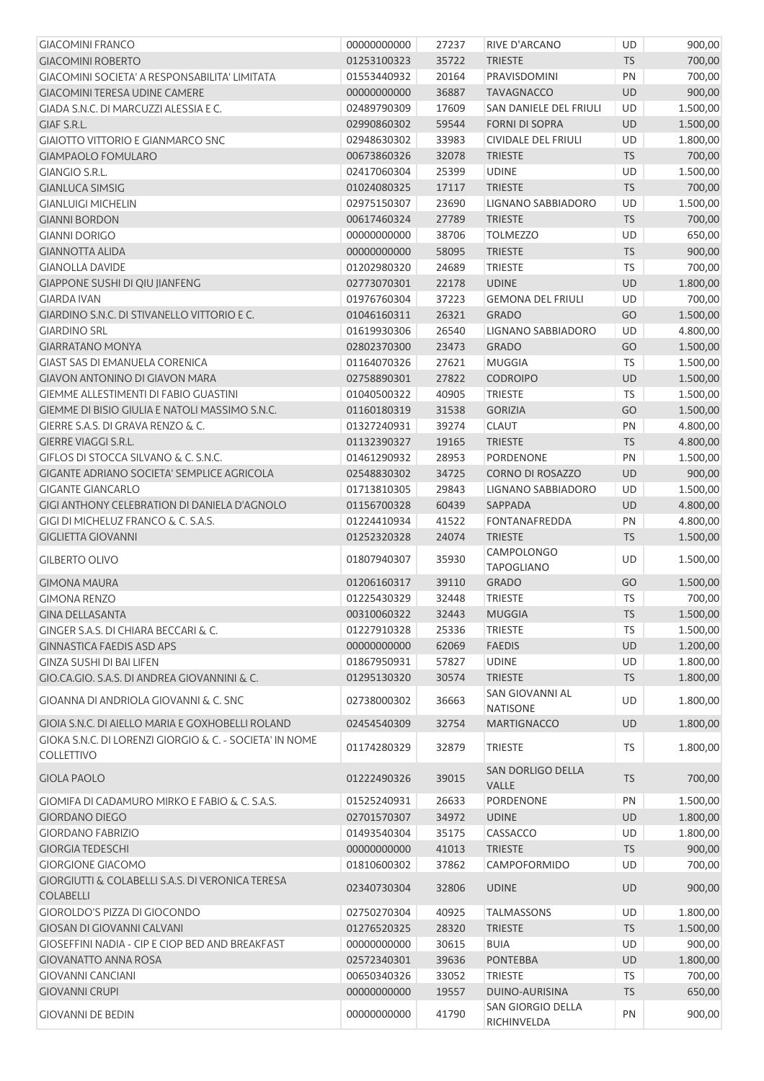| <b>GIACOMINI FRANCO</b>                                                  | 00000000000 | 27237 | RIVE D'ARCANO                             | UD        | 900,00   |
|--------------------------------------------------------------------------|-------------|-------|-------------------------------------------|-----------|----------|
| <b>GIACOMINI ROBERTO</b>                                                 | 01253100323 | 35722 | <b>TRIESTE</b>                            | <b>TS</b> | 700,00   |
| GIACOMINI SOCIETA' A RESPONSABILITA' LIMITATA                            | 01553440932 | 20164 | PRAVISDOMINI                              | PN        | 700,00   |
| <b>GIACOMINI TERESA UDINE CAMERE</b>                                     | 00000000000 | 36887 | <b>TAVAGNACCO</b>                         | <b>UD</b> | 900,00   |
| GIADA S.N.C. DI MARCUZZI ALESSIA E C.                                    | 02489790309 | 17609 | SAN DANIELE DEL FRIULI                    | UD        | 1.500,00 |
| GIAF S.R.L.                                                              | 02990860302 | 59544 | <b>FORNI DI SOPRA</b>                     | UD        | 1.500,00 |
| <b>GIAIOTTO VITTORIO E GIANMARCO SNC</b>                                 | 02948630302 | 33983 | CIVIDALE DEL FRIULI                       | UD        | 1.800,00 |
| <b>GIAMPAOLO FOMULARO</b>                                                | 00673860326 | 32078 | <b>TRIESTE</b>                            | <b>TS</b> | 700,00   |
| <b>GIANGIO S.R.L.</b>                                                    | 02417060304 | 25399 | <b>UDINE</b>                              | UD        | 1.500,00 |
| <b>GIANLUCA SIMSIG</b>                                                   | 01024080325 | 17117 | <b>TRIESTE</b>                            | <b>TS</b> | 700,00   |
| <b>GIANLUIGI MICHELIN</b>                                                | 02975150307 | 23690 | LIGNANO SABBIADORO                        | UD        | 1.500,00 |
| <b>GIANNI BORDON</b>                                                     | 00617460324 | 27789 | <b>TRIESTE</b>                            | <b>TS</b> | 700,00   |
| <b>GIANNI DORIGO</b>                                                     | 00000000000 | 38706 | <b>TOLMEZZO</b>                           | UD        | 650,00   |
| <b>GIANNOTTA ALIDA</b>                                                   | 00000000000 | 58095 | <b>TRIESTE</b>                            | <b>TS</b> | 900,00   |
| <b>GIANOLLA DAVIDE</b>                                                   | 01202980320 | 24689 | <b>TRIESTE</b>                            | <b>TS</b> | 700,00   |
| GIAPPONE SUSHI DI QIU JIANFENG                                           | 02773070301 | 22178 | <b>UDINE</b>                              | UD        | 1.800,00 |
| <b>GIARDA IVAN</b>                                                       | 01976760304 | 37223 | <b>GEMONA DEL FRIULI</b>                  | UD        | 700,00   |
| GIARDINO S.N.C. DI STIVANELLO VITTORIO E C.                              | 01046160311 | 26321 | <b>GRADO</b>                              | GO        | 1.500,00 |
| <b>GIARDINO SRL</b>                                                      | 01619930306 | 26540 | LIGNANO SABBIADORO                        | UD        | 4.800,00 |
| <b>GIARRATANO MONYA</b>                                                  | 02802370300 | 23473 | <b>GRADO</b>                              | GO        | 1.500,00 |
| <b>GIAST SAS DI EMANUELA CORENICA</b>                                    | 01164070326 | 27621 | <b>MUGGIA</b>                             | <b>TS</b> | 1.500,00 |
| <b>GIAVON ANTONINO DI GIAVON MARA</b>                                    | 02758890301 | 27822 | <b>CODROIPO</b>                           | UD        | 1.500,00 |
| <b>GIEMME ALLESTIMENTI DI FABIO GUASTINI</b>                             | 01040500322 | 40905 | <b>TRIESTE</b>                            | <b>TS</b> | 1.500,00 |
| GIEMME DI BISIO GIULIA E NATOLI MASSIMO S.N.C.                           | 01160180319 | 31538 | <b>GORIZIA</b>                            | GO        | 1.500,00 |
| GIERRE S.A.S. DI GRAVA RENZO & C.                                        | 01327240931 | 39274 | <b>CLAUT</b>                              | PN        | 4.800,00 |
| <b>GIERRE VIAGGI S.R.L.</b>                                              | 01132390327 | 19165 | <b>TRIESTE</b>                            | <b>TS</b> | 4.800,00 |
| GIFLOS DI STOCCA SILVANO & C. S.N.C.                                     | 01461290932 | 28953 | PORDENONE                                 | PN        | 1.500,00 |
| GIGANTE ADRIANO SOCIETA' SEMPLICE AGRICOLA                               | 02548830302 | 34725 | <b>CORNO DI ROSAZZO</b>                   | <b>UD</b> | 900,00   |
| <b>GIGANTE GIANCARLO</b>                                                 | 01713810305 | 29843 | LIGNANO SABBIADORO                        | UD        | 1.500,00 |
| GIGI ANTHONY CELEBRATION DI DANIELA D'AGNOLO                             | 01156700328 | 60439 | SAPPADA                                   | <b>UD</b> | 4.800,00 |
| GIGI DI MICHELUZ FRANCO & C. S.A.S.                                      | 01224410934 | 41522 | <b>FONTANAFREDDA</b>                      | PN        | 4.800,00 |
| <b>GIGLIETTA GIOVANNI</b>                                                | 01252320328 | 24074 | <b>TRIESTE</b>                            | <b>TS</b> | 1.500,00 |
| <b>GILBERTO OLIVO</b>                                                    | 01807940307 | 35930 | <b>CAMPOLONGO</b><br><b>TAPOGLIANO</b>    | UD        | 1.500,00 |
| <b>GIMONA MAURA</b>                                                      | 01206160317 | 39110 | <b>GRADO</b>                              | GO        | 1.500,00 |
| <b>GIMONA RENZO</b>                                                      | 01225430329 | 32448 | <b>TRIESTE</b>                            | <b>TS</b> | 700,00   |
| <b>GINA DELLASANTA</b>                                                   | 00310060322 | 32443 | MUGGIA                                    | TS        | 1.500,00 |
| GINGER S.A.S. DI CHIARA BECCARI & C.                                     | 01227910328 | 25336 | <b>TRIESTE</b>                            | <b>TS</b> | 1.500,00 |
| <b>GINNASTICA FAEDIS ASD APS</b>                                         | 00000000000 | 62069 | <b>FAEDIS</b>                             | UD        | 1.200,00 |
| <b>GINZA SUSHI DI BAI LIFEN</b>                                          | 01867950931 | 57827 | <b>UDINE</b>                              | UD        | 1.800,00 |
| GIO.CA.GIO. S.A.S. DI ANDREA GIOVANNINI & C.                             | 01295130320 | 30574 | <b>TRIESTE</b>                            | <b>TS</b> | 1.800,00 |
| GIOANNA DI ANDRIOLA GIOVANNI & C. SNC                                    | 02738000302 | 36663 | <b>SAN GIOVANNI AL</b><br><b>NATISONE</b> | <b>UD</b> | 1.800,00 |
| GIOIA S.N.C. DI AIELLO MARIA E GOXHOBELLI ROLAND                         | 02454540309 | 32754 | <b>MARTIGNACCO</b>                        | <b>UD</b> | 1.800,00 |
| GIOKA S.N.C. DI LORENZI GIORGIO & C. - SOCIETA' IN NOME                  |             |       |                                           |           |          |
| <b>COLLETTIVO</b>                                                        | 01174280329 | 32879 | <b>TRIESTE</b>                            | TS        | 1.800,00 |
| <b>GIOLA PAOLO</b>                                                       | 01222490326 | 39015 | SAN DORLIGO DELLA<br><b>VALLE</b>         | <b>TS</b> | 700,00   |
| GIOMIFA DI CADAMURO MIRKO E FABIO & C. S.A.S.                            | 01525240931 | 26633 | PORDENONE                                 | PN        | 1.500,00 |
| <b>GIORDANO DIEGO</b>                                                    | 02701570307 | 34972 | <b>UDINE</b>                              | UD        | 1.800,00 |
| <b>GIORDANO FABRIZIO</b>                                                 | 01493540304 | 35175 | CASSACCO                                  | UD        | 1.800,00 |
| <b>GIORGIA TEDESCHI</b>                                                  | 00000000000 | 41013 | <b>TRIESTE</b>                            | <b>TS</b> | 900,00   |
| <b>GIORGIONE GIACOMO</b>                                                 | 01810600302 | 37862 | <b>CAMPOFORMIDO</b>                       | UD        | 700,00   |
| <b>GIORGIUTTI &amp; COLABELLI S.A.S. DI VERONICA TERESA</b><br>COLABELLI | 02340730304 | 32806 | <b>UDINE</b>                              | <b>UD</b> | 900,00   |
| <b>GIOROLDO'S PIZZA DI GIOCONDO</b>                                      | 02750270304 | 40925 | <b>TALMASSONS</b>                         | UD        | 1.800,00 |
| <b>GIOSAN DI GIOVANNI CALVANI</b>                                        | 01276520325 | 28320 | <b>TRIESTE</b>                            | <b>TS</b> | 1.500,00 |
| <b>GIOSEFFINI NADIA - CIP E CIOP BED AND BREAKFAST</b>                   | 00000000000 | 30615 | <b>BUIA</b>                               | UD        | 900,00   |
| <b>GIOVANATTO ANNA ROSA</b>                                              | 02572340301 | 39636 | <b>PONTEBBA</b>                           | UD        | 1.800,00 |
| <b>GIOVANNI CANCIANI</b>                                                 | 00650340326 | 33052 | <b>TRIESTE</b>                            | TS        | 700,00   |
| <b>GIOVANNI CRUPI</b>                                                    | 00000000000 | 19557 | DUINO-AURISINA                            | <b>TS</b> | 650,00   |
|                                                                          |             |       | SAN GIORGIO DELLA                         |           |          |
| <b>GIOVANNI DE BEDIN</b>                                                 | 00000000000 | 41790 | RICHINVELDA                               | PN        | 900,00   |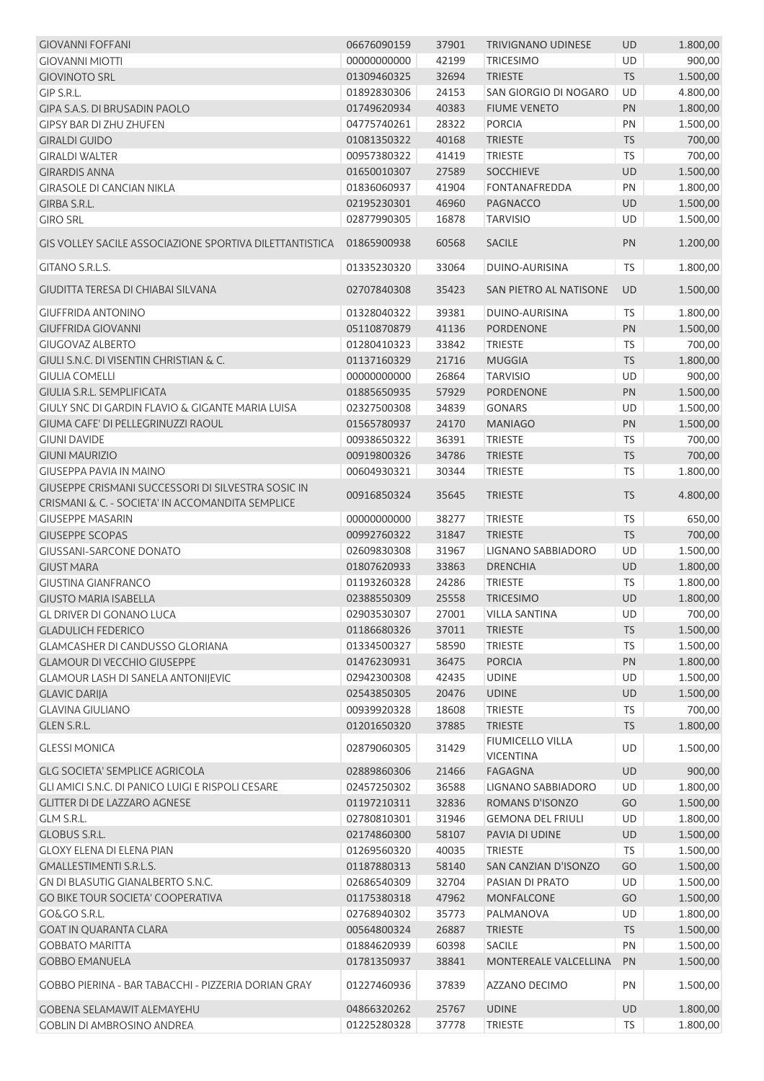| <b>GIOVANNI FOFFANI</b>                                     | 06676090159 | 37901 | <b>TRIVIGNANO UDINESE</b>                   | <b>UD</b> | 1.800,00 |
|-------------------------------------------------------------|-------------|-------|---------------------------------------------|-----------|----------|
| <b>GIOVANNI MIOTTI</b>                                      | 00000000000 | 42199 | <b>TRICESIMO</b>                            | UD        | 900,00   |
| <b>GIOVINOTO SRL</b>                                        | 01309460325 | 32694 | <b>TRIESTE</b>                              | <b>TS</b> | 1.500,00 |
| GIP S.R.L.                                                  | 01892830306 | 24153 | SAN GIORGIO DI NOGARO                       | <b>UD</b> | 4.800,00 |
| GIPA S.A.S. DI BRUSADIN PAOLO                               | 01749620934 | 40383 | <b>FIUME VENETO</b>                         | PN        | 1.800,00 |
| <b>GIPSY BAR DI ZHU ZHUFEN</b>                              | 04775740261 | 28322 | <b>PORCIA</b>                               | PN        | 1.500,00 |
| <b>GIRALDI GUIDO</b>                                        | 01081350322 | 40168 | <b>TRIESTE</b>                              | <b>TS</b> | 700,00   |
| <b>GIRALDI WALTER</b>                                       | 00957380322 | 41419 | <b>TRIESTE</b>                              | <b>TS</b> | 700,00   |
| <b>GIRARDIS ANNA</b>                                        | 01650010307 | 27589 | <b>SOCCHIEVE</b>                            | UD        | 1.500,00 |
| <b>GIRASOLE DI CANCIAN NIKLA</b>                            | 01836060937 | 41904 | <b>FONTANAFREDDA</b>                        | PN        | 1.800,00 |
| GIRBA S.R.L.                                                | 02195230301 | 46960 | <b>PAGNACCO</b>                             | UD        | 1.500,00 |
| <b>GIRO SRL</b>                                             | 02877990305 | 16878 | <b>TARVISIO</b>                             | UD        | 1.500,00 |
| GIS VOLLEY SACILE ASSOCIAZIONE SPORTIVA DILETTANTISTICA     | 01865900938 | 60568 | <b>SACILE</b>                               | PN        | 1.200,00 |
| GITANO S.R.L.S.                                             | 01335230320 | 33064 | DUINO-AURISINA                              | <b>TS</b> | 1.800,00 |
| <b>GIUDITTA TERESA DI CHIABAI SILVANA</b>                   | 02707840308 | 35423 | SAN PIETRO AL NATISONE                      | <b>UD</b> | 1.500,00 |
| <b>GIUFFRIDA ANTONINO</b>                                   | 01328040322 | 39381 | DUINO-AURISINA                              | TS.       | 1.800,00 |
| <b>GIUFFRIDA GIOVANNI</b>                                   | 05110870879 | 41136 | <b>PORDENONE</b>                            | PN        | 1.500,00 |
| <b>GIUGOVAZ ALBERTO</b>                                     | 01280410323 | 33842 | <b>TRIESTE</b>                              | TS        | 700,00   |
| GIULI S.N.C. DI VISENTIN CHRISTIAN & C.                     | 01137160329 | 21716 | <b>MUGGIA</b>                               | <b>TS</b> | 1.800,00 |
| <b>GIULIA COMELLI</b>                                       | 00000000000 | 26864 | <b>TARVISIO</b>                             | UD        | 900,00   |
| <b>GIULIA S.R.L. SEMPLIFICATA</b>                           | 01885650935 | 57929 | <b>PORDENONE</b>                            | PN        | 1.500,00 |
| <b>GIULY SNC DI GARDIN FLAVIO &amp; GIGANTE MARIA LUISA</b> | 02327500308 | 34839 | <b>GONARS</b>                               | UD        | 1.500,00 |
| GIUMA CAFE' DI PELLEGRINUZZI RAOUL                          | 01565780937 | 24170 | <b>MANIAGO</b>                              | PN        | 1.500,00 |
| <b>GIUNI DAVIDE</b>                                         | 00938650322 | 36391 | <b>TRIESTE</b>                              | TS        | 700,00   |
| <b>GIUNI MAURIZIO</b>                                       | 00919800326 | 34786 | <b>TRIESTE</b>                              | <b>TS</b> | 700,00   |
| <b>GIUSEPPA PAVIA IN MAINO</b>                              | 00604930321 | 30344 | <b>TRIESTE</b>                              | <b>TS</b> | 1.800,00 |
| GIUSEPPE CRISMANI SUCCESSORI DI SILVESTRA SOSIC IN          | 00916850324 | 35645 | <b>TRIESTE</b>                              | <b>TS</b> | 4.800,00 |
| CRISMANI & C. - SOCIETA' IN ACCOMANDITA SEMPLICE            |             |       |                                             |           |          |
| <b>GIUSEPPE MASARIN</b>                                     | 00000000000 | 38277 | <b>TRIESTE</b>                              | TS        | 650,00   |
| <b>GIUSEPPE SCOPAS</b>                                      | 00992760322 | 31847 | <b>TRIESTE</b>                              | <b>TS</b> | 700,00   |
| <b>GIUSSANI-SARCONE DONATO</b>                              | 02609830308 | 31967 | <b>LIGNANO SABBIADORO</b>                   | UD        | 1.500,00 |
| <b>GIUST MARA</b>                                           | 01807620933 | 33863 | <b>DRENCHIA</b>                             | UD        | 1.800,00 |
| <b>GIUSTINA GIANFRANCO</b>                                  | 01193260328 | 24286 | <b>TRIESTE</b>                              | <b>TS</b> | 1.800,00 |
| <b>GIUSTO MARIA ISABELLA</b>                                | 02388550309 | 25558 | <b>TRICESIMO</b>                            | <b>UD</b> | 1.800,00 |
| <b>GL DRIVER DI GONANO LUCA</b>                             | 02903530307 | 27001 | <b>VILLA SANTINA</b>                        | UD        | 700,00   |
| <b>GLADULICH FEDERICO</b>                                   | 01186680326 | 37011 | <b>TRIESTE</b>                              | <b>TS</b> | 1.500,00 |
| <b>GLAMCASHER DI CANDUSSO GLORIANA</b>                      | 01334500327 | 58590 | <b>TRIESTE</b>                              | TS        | 1.500,00 |
| <b>GLAMOUR DI VECCHIO GIUSEPPE</b>                          | 01476230931 | 36475 | <b>PORCIA</b>                               | PN        | 1.800,00 |
| <b>GLAMOUR LASH DI SANELA ANTONIJEVIC</b>                   | 02942300308 | 42435 | <b>UDINE</b>                                | UD        | 1.500,00 |
| <b>GLAVIC DARIJA</b>                                        | 02543850305 | 20476 | <b>UDINE</b>                                | UD        | 1.500,00 |
| <b>GLAVINA GIULIANO</b>                                     | 00939920328 | 18608 | <b>TRIESTE</b>                              | <b>TS</b> | 700,00   |
| GLEN S.R.L.                                                 | 01201650320 | 37885 | <b>TRIESTE</b>                              | <b>TS</b> | 1.800,00 |
| <b>GLESSI MONICA</b>                                        | 02879060305 | 31429 | <b>FIUMICELLO VILLA</b><br><b>VICENTINA</b> | <b>UD</b> | 1.500,00 |
| <b>GLG SOCIETA' SEMPLICE AGRICOLA</b>                       | 02889860306 | 21466 | FAGAGNA                                     | <b>UD</b> | 900,00   |
| GLI AMICI S.N.C. DI PANICO LUIGI E RISPOLI CESARE           | 02457250302 | 36588 | LIGNANO SABBIADORO                          | UD        | 1.800,00 |
| <b>GLITTER DI DE LAZZARO AGNESE</b>                         | 01197210311 | 32836 | ROMANS D'ISONZO                             | GO        | 1.500,00 |
| GLM S.R.L.                                                  | 02780810301 | 31946 | <b>GEMONA DEL FRIULI</b>                    | UD        | 1.800,00 |
| <b>GLOBUS S.R.L.</b>                                        | 02174860300 | 58107 | PAVIA DI UDINE                              | UD        | 1.500,00 |
| <b>GLOXY ELENA DI ELENA PIAN</b>                            | 01269560320 | 40035 | <b>TRIESTE</b>                              | <b>TS</b> | 1.500,00 |
| <b>GMALLESTIMENTI S.R.L.S.</b>                              | 01187880313 | 58140 | SAN CANZIAN D'ISONZO                        | GO        | 1.500,00 |
| GN DI BLASUTIG GIANALBERTO S.N.C.                           | 02686540309 | 32704 | PASIAN DI PRATO                             | UD        | 1.500,00 |
| <b>GO BIKE TOUR SOCIETA' COOPERATIVA</b>                    | 01175380318 | 47962 | MONFALCONE                                  | GO        | 1.500,00 |
| GO&GO S.R.L.                                                | 02768940302 | 35773 | PALMANOVA                                   | UD        | 1.800,00 |
| <b>GOAT IN QUARANTA CLARA</b>                               | 00564800324 | 26887 | <b>TRIESTE</b>                              | <b>TS</b> | 1.500,00 |
| <b>GOBBATO MARITTA</b>                                      | 01884620939 | 60398 | <b>SACILE</b>                               | PN        | 1.500,00 |
| <b>GOBBO EMANUELA</b>                                       | 01781350937 | 38841 | MONTEREALE VALCELLINA                       | PN        | 1.500,00 |
| GOBBO PIERINA - BAR TABACCHI - PIZZERIA DORIAN GRAY         | 01227460936 | 37839 | AZZANO DECIMO                               | PN        | 1.500,00 |
| <b>GOBENA SELAMAWIT ALEMAYEHU</b>                           | 04866320262 | 25767 | <b>UDINE</b>                                | UD        | 1.800,00 |
| <b>GOBLIN DI AMBROSINO ANDREA</b>                           | 01225280328 | 37778 | <b>TRIESTE</b>                              | <b>TS</b> | 1.800,00 |
|                                                             |             |       |                                             |           |          |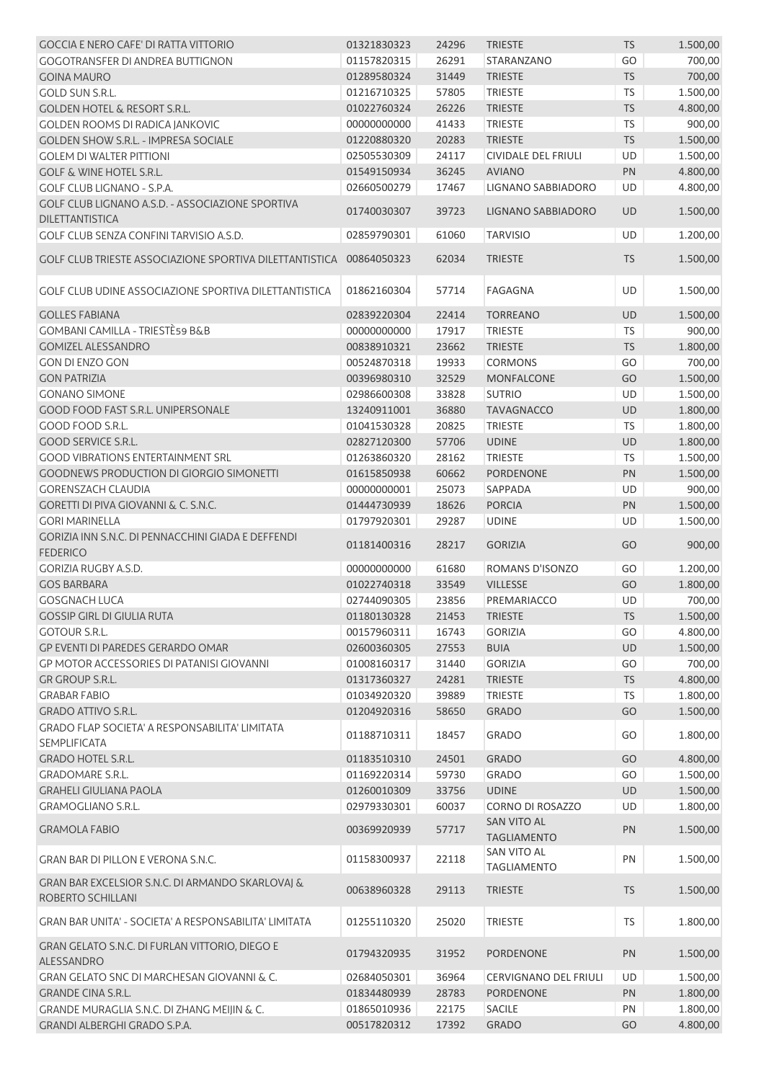| <b>GOCCIA E NERO CAFE' DI RATTA VITTORIO</b>                                 | 01321830323                | 24296          | <b>TRIESTE</b>                           | TS        | 1.500,00             |
|------------------------------------------------------------------------------|----------------------------|----------------|------------------------------------------|-----------|----------------------|
| <b>GOGOTRANSFER DI ANDREA BUTTIGNON</b>                                      | 01157820315                | 26291          | STARANZANO                               | GO        | 700,00               |
| <b>GOINA MAURO</b>                                                           | 01289580324                | 31449          | <b>TRIESTE</b>                           | <b>TS</b> | 700,00               |
| <b>GOLD SUN S.R.L.</b>                                                       | 01216710325                | 57805          | <b>TRIESTE</b>                           | <b>TS</b> | 1.500,00             |
| <b>GOLDEN HOTEL &amp; RESORT S.R.L.</b>                                      | 01022760324                | 26226          | <b>TRIESTE</b>                           | <b>TS</b> | 4.800,00             |
| <b>GOLDEN ROOMS DI RADICA IANKOVIC</b>                                       | 00000000000                | 41433          | TRIESTE                                  | <b>TS</b> | 900,00               |
| <b>GOLDEN SHOW S.R.L. - IMPRESA SOCIALE</b>                                  | 01220880320                | 20283          | <b>TRIESTE</b>                           | <b>TS</b> | 1.500,00             |
| <b>GOLEM DI WALTER PITTIONI</b>                                              | 02505530309                | 24117          | <b>CIVIDALE DEL FRIULI</b>               | <b>UD</b> | 1.500,00             |
| <b>GOLF &amp; WINE HOTEL S.R.L.</b>                                          | 01549150934                | 36245          | <b>AVIANO</b>                            | PN        | 4.800,00             |
| GOLF CLUB LIGNANO - S.P.A.                                                   | 02660500279                | 17467          | LIGNANO SABBIADORO                       | UD        | 4.800,00             |
| GOLF CLUB LIGNANO A.S.D. - ASSOCIAZIONE SPORTIVA                             |                            |                |                                          |           |                      |
| <b>DILETTANTISTICA</b>                                                       | 01740030307                | 39723          | LIGNANO SABBIADORO                       | <b>UD</b> | 1.500,00             |
| GOLF CLUB SENZA CONFINI TARVISIO A.S.D.                                      | 02859790301                | 61060          | <b>TARVISIO</b>                          | UD        | 1.200,00             |
|                                                                              |                            |                |                                          |           |                      |
| GOLF CLUB TRIESTE ASSOCIAZIONE SPORTIVA DILETTANTISTICA 00864050323          |                            | 62034          | <b>TRIESTE</b>                           | <b>TS</b> | 1.500,00             |
| GOLF CLUB UDINE ASSOCIAZIONE SPORTIVA DILETTANTISTICA                        | 01862160304                | 57714          | <b>FAGAGNA</b>                           | <b>UD</b> | 1.500,00             |
|                                                                              |                            |                |                                          |           |                      |
| <b>GOLLES FABIANA</b>                                                        | 02839220304                | 22414          | <b>TORREANO</b>                          | UD        | 1.500,00             |
| GOMBANI CAMILLA - TRIESTÈ59 B&B                                              | 00000000000                | 17917          | <b>TRIESTE</b>                           | TS        | 900,00               |
| <b>GOMIZEL ALESSANDRO</b>                                                    | 00838910321                | 23662          | <b>TRIESTE</b>                           | <b>TS</b> | 1.800,00             |
| <b>GON DI ENZO GON</b>                                                       | 00524870318                | 19933          | <b>CORMONS</b>                           | GO        | 700,00               |
| <b>GON PATRIZIA</b>                                                          | 00396980310                | 32529          | <b>MONFALCONE</b>                        | GO        | 1.500,00             |
| <b>GONANO SIMONE</b>                                                         | 02986600308                | 33828          | <b>SUTRIO</b>                            | <b>UD</b> | 1.500,00             |
| <b>GOOD FOOD FAST S.R.L. UNIPERSONALE</b>                                    | 13240911001                | 36880          | <b>TAVAGNACCO</b>                        | UD        | 1.800,00             |
| GOOD FOOD S.R.L.                                                             | 01041530328                | 20825          | <b>TRIESTE</b>                           | <b>TS</b> | 1.800,00             |
| <b>GOOD SERVICE S.R.L.</b>                                                   | 02827120300                | 57706          | <b>UDINE</b>                             | UD        | 1.800,00             |
| <b>GOOD VIBRATIONS ENTERTAINMENT SRL</b>                                     | 01263860320                | 28162          | <b>TRIESTE</b>                           | TS        | 1.500,00             |
| GOODNEWS PRODUCTION DI GIORGIO SIMONETTI                                     | 01615850938                | 60662          | <b>PORDENONE</b>                         | PN        | 1.500,00             |
| <b>GORENSZACH CLAUDIA</b>                                                    | 00000000001                | 25073          | SAPPADA                                  | UD        | 900,00               |
| <b>GORETTI DI PIVA GIOVANNI &amp; C. S.N.C.</b>                              | 01444730939                | 18626          | <b>PORCIA</b>                            | PN        | 1.500,00             |
| <b>GORI MARINELLA</b>                                                        | 01797920301                | 29287          | <b>UDINE</b>                             | UD        | 1.500,00             |
| GORIZIA INN S.N.C. DI PENNACCHINI GIADA E DEFFENDI<br><b>FEDERICO</b>        | 01181400316                | 28217          | <b>GORIZIA</b>                           | GO        | 900,00               |
| <b>GORIZIA RUGBY A.S.D.</b>                                                  | 00000000000                | 61680          | ROMANS D'ISONZO                          | GO        | 1.200,00             |
| <b>GOS BARBARA</b>                                                           | 01022740318                | 33549          | <b>VILLESSE</b>                          | GO        | 1.800,00             |
|                                                                              |                            |                |                                          |           |                      |
| <b>GOSGNACH LUCA</b>                                                         | 02744090305                | 23856          | PREMARIACCO                              | UD        | 700,00               |
| <b>GOSSIP GIRL DI GIULIA RUTA</b>                                            | 01180130328                | 21453          | <b>TRIESTE</b>                           | <b>TS</b> | 1.500,00             |
| <b>GOTOUR S.R.L.</b>                                                         | 00157960311                | 16743          | <b>GORIZIA</b>                           | GO        | 4.800,00             |
| <b>GP EVENTI DI PAREDES GERARDO OMAR</b>                                     | 02600360305                | 27553          | <b>BUIA</b>                              | UD        | 1.500,00             |
| GP MOTOR ACCESSORIES DI PATANISI GIOVANNI                                    | 01008160317                | 31440          | <b>GORIZIA</b>                           | GO        | 700,00               |
| GR GROUP S.R.L.                                                              | 01317360327                | 24281          | <b>TRIESTE</b>                           | <b>TS</b> | 4.800,00             |
| <b>GRABAR FABIO</b>                                                          | 01034920320                | 39889          | <b>TRIESTE</b>                           | TS        | 1.800,00             |
| <b>GRADO ATTIVO S.R.L.</b>                                                   | 01204920316                | 58650          | <b>GRADO</b>                             | GO        | 1.500,00             |
| <b>GRADO FLAP SOCIETA' A RESPONSABILITA' LIMITATA</b><br><b>SEMPLIFICATA</b> | 01188710311                | 18457          | <b>GRADO</b>                             | GO        | 1.800,00             |
| <b>GRADO HOTEL S.R.L.</b>                                                    | 01183510310                | 24501          | <b>GRADO</b>                             | GO        | 4.800,00             |
| <b>GRADOMARE S.R.L.</b>                                                      | 01169220314                | 59730          | <b>GRADO</b>                             | GO        | 1.500,00             |
| <b>GRAHELI GIULIANA PAOLA</b>                                                | 01260010309                | 33756          | <b>UDINE</b>                             | UD        | 1.500,00             |
| <b>GRAMOGLIANO S.R.L.</b>                                                    | 02979330301                | 60037          | <b>CORNO DI ROSAZZO</b>                  | UD        | 1.800,00             |
|                                                                              |                            |                |                                          |           |                      |
| <b>GRAMOLA FABIO</b>                                                         | 00369920939                | 57717          | <b>SAN VITO AL</b><br><b>TAGLIAMENTO</b> | PN        | 1.500,00             |
| GRAN BAR DI PILLON E VERONA S.N.C.                                           | 01158300937                | 22118          | SAN VITO AL<br><b>TAGLIAMENTO</b>        | PN        | 1.500,00             |
| GRAN BAR EXCELSIOR S.N.C. DI ARMANDO SKARLOVAJ &<br>ROBERTO SCHILLANI        | 00638960328                | 29113          | <b>TRIESTE</b>                           | <b>TS</b> | 1.500,00             |
| GRAN BAR UNITA' - SOCIETA' A RESPONSABILITA' LIMITATA                        |                            |                |                                          |           |                      |
| GRAN GELATO S.N.C. DI FURLAN VITTORIO, DIEGO E                               | 01255110320                | 25020          | <b>TRIESTE</b>                           | TS        | 1.800,00             |
|                                                                              | 01794320935                | 31952          | PORDENONE                                | PN        | 1.500,00             |
| ALESSANDRO                                                                   |                            |                |                                          |           |                      |
| GRAN GELATO SNC DI MARCHESAN GIOVANNI & C.                                   | 02684050301                | 36964          | <b>CERVIGNANO DEL FRIULI</b>             | UD        | 1.500,00             |
| <b>GRANDE CINA S.R.L.</b>                                                    | 01834480939                | 28783          | <b>PORDENONE</b>                         | PN        | 1.800,00             |
| GRANDE MURAGLIA S.N.C. DI ZHANG MEIJIN & C.<br>GRANDI ALBERGHI GRADO S.P.A.  | 01865010936<br>00517820312 | 22175<br>17392 | SACILE<br><b>GRADO</b>                   | PN<br>GO  | 1.800,00<br>4.800,00 |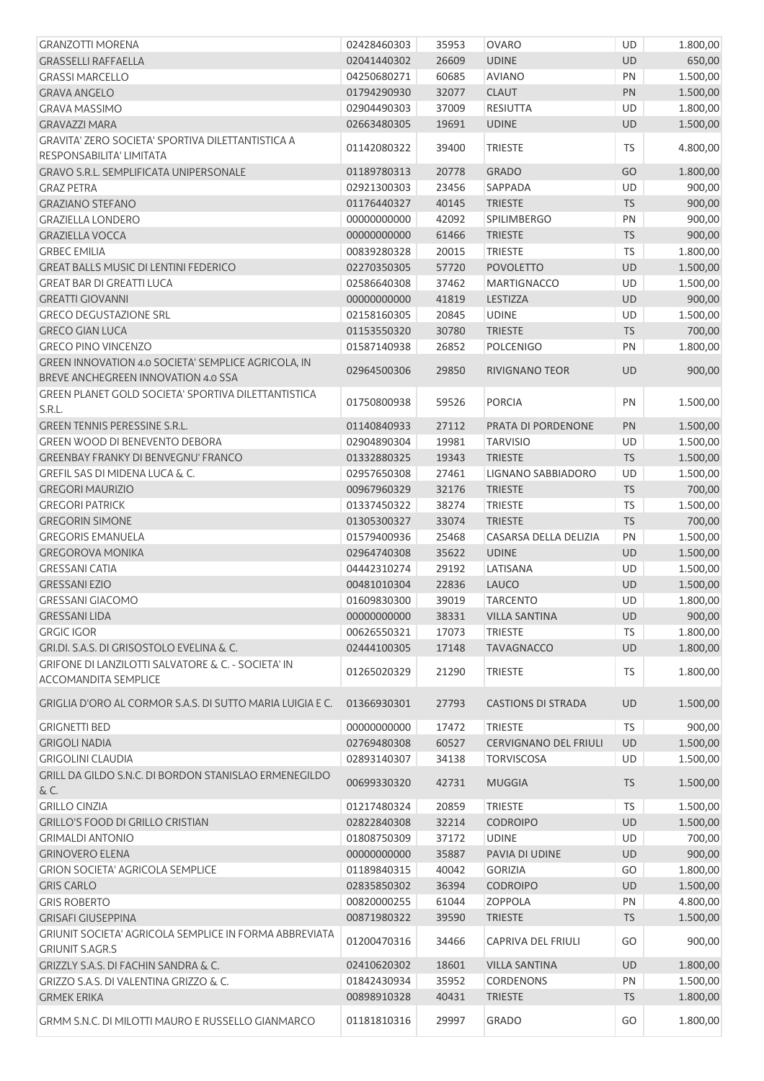| <b>GRANZOTTI MORENA</b>                                                                    | 02428460303 | 35953 | <b>OVARO</b>                 | UD        | 1.800,00 |
|--------------------------------------------------------------------------------------------|-------------|-------|------------------------------|-----------|----------|
| <b>GRASSELLI RAFFAELLA</b>                                                                 | 02041440302 | 26609 | <b>UDINE</b>                 | UD        | 650,00   |
| <b>GRASSI MARCELLO</b>                                                                     | 04250680271 | 60685 | <b>AVIANO</b>                | PN        | 1.500,00 |
| <b>GRAVA ANGELO</b>                                                                        | 01794290930 | 32077 | <b>CLAUT</b>                 | <b>PN</b> | 1.500,00 |
| <b>GRAVA MASSIMO</b>                                                                       | 02904490303 | 37009 | RESIUTTA                     | UD        | 1.800,00 |
| <b>GRAVAZZI MARA</b>                                                                       | 02663480305 | 19691 | <b>UDINE</b>                 | UD        | 1.500,00 |
| GRAVITA' ZERO SOCIETA' SPORTIVA DILETTANTISTICA A<br>RESPONSABILITA' LIMITATA              | 01142080322 | 39400 | <b>TRIESTE</b>               | TS        | 4.800,00 |
| GRAVO S.R.L. SEMPLIFICATA UNIPERSONALE                                                     | 01189780313 | 20778 | <b>GRADO</b>                 | GO        | 1.800,00 |
| <b>GRAZ PETRA</b>                                                                          | 02921300303 | 23456 | SAPPADA                      | UD        | 900,00   |
| <b>GRAZIANO STEFANO</b>                                                                    | 01176440327 | 40145 | <b>TRIESTE</b>               | <b>TS</b> | 900,00   |
| <b>GRAZIELLA LONDERO</b>                                                                   | 00000000000 | 42092 | <b>SPILIMBERGO</b>           | PN        | 900,00   |
|                                                                                            |             |       |                              |           |          |
| <b>GRAZIELLA VOCCA</b>                                                                     | 00000000000 | 61466 | <b>TRIESTE</b>               | <b>TS</b> | 900,00   |
| <b>GRBEC EMILIA</b>                                                                        | 00839280328 | 20015 | <b>TRIESTE</b>               | <b>TS</b> | 1.800,00 |
| <b>GREAT BALLS MUSIC DI LENTINI FEDERICO</b>                                               | 02270350305 | 57720 | <b>POVOLETTO</b>             | UD        | 1.500,00 |
| <b>GREAT BAR DI GREATTI LUCA</b>                                                           | 02586640308 | 37462 | <b>MARTIGNACCO</b>           | UD        | 1.500,00 |
| <b>GREATTI GIOVANNI</b>                                                                    | 00000000000 | 41819 | LESTIZZA                     | UD        | 900,00   |
| <b>GRECO DEGUSTAZIONE SRL</b>                                                              | 02158160305 | 20845 | <b>UDINE</b>                 | UD        | 1.500,00 |
| <b>GRECO GIAN LUCA</b>                                                                     | 01153550320 | 30780 | <b>TRIESTE</b>               | <b>TS</b> | 700,00   |
| <b>GRECO PINO VINCENZO</b>                                                                 | 01587140938 | 26852 | <b>POLCENIGO</b>             | PN        | 1.800,00 |
| GREEN INNOVATION 4.0 SOCIETA' SEMPLICE AGRICOLA, IN<br>BREVE ANCHEGREEN INNOVATION 4.0 SSA | 02964500306 | 29850 | <b>RIVIGNANO TEOR</b>        | <b>UD</b> | 900,00   |
| GREEN PLANET GOLD SOCIETA' SPORTIVA DILETTANTISTICA                                        | 01750800938 | 59526 | <b>PORCIA</b>                | PN        | 1.500,00 |
| S.R.L.                                                                                     |             |       |                              |           |          |
| <b>GREEN TENNIS PERESSINE S.R.L.</b>                                                       | 01140840933 | 27112 | PRATA DI PORDENONE           | PN        | 1.500,00 |
| GREEN WOOD DI BENEVENTO DEBORA                                                             | 02904890304 | 19981 | <b>TARVISIO</b>              | UD        | 1.500,00 |
| <b>GREENBAY FRANKY DI BENVEGNU' FRANCO</b>                                                 | 01332880325 | 19343 | <b>TRIESTE</b>               | <b>TS</b> | 1.500,00 |
| GREFIL SAS DI MIDENA LUCA & C.                                                             | 02957650308 | 27461 | LIGNANO SABBIADORO           | UD        | 1.500,00 |
| <b>GREGORI MAURIZIO</b>                                                                    | 00967960329 | 32176 | <b>TRIESTE</b>               | <b>TS</b> | 700,00   |
| <b>GREGORI PATRICK</b>                                                                     | 01337450322 | 38274 | <b>TRIESTE</b>               | TS        | 1.500,00 |
| <b>GREGORIN SIMONE</b>                                                                     | 01305300327 | 33074 | <b>TRIESTE</b>               | <b>TS</b> | 700,00   |
| <b>GREGORIS EMANUELA</b>                                                                   | 01579400936 | 25468 | CASARSA DELLA DELIZIA        | PN        | 1.500,00 |
| <b>GREGOROVA MONIKA</b>                                                                    | 02964740308 | 35622 | <b>UDINE</b>                 | UD        | 1.500,00 |
| <b>GRESSANI CATIA</b>                                                                      | 04442310274 | 29192 | LATISANA                     | UD        | 1.500,00 |
| <b>GRESSANI EZIO</b>                                                                       | 00481010304 | 22836 | LAUCO                        | UD        | 1.500,00 |
| <b>GRESSANI GIACOMO</b>                                                                    | 01609830300 | 39019 | <b>TARCENTO</b>              | UD        | 1.800,00 |
| <b>GRESSANI LIDA</b>                                                                       | 00000000000 | 38331 | <b>VILLA SANTINA</b>         | UD        | 900,00   |
| <b>GRGIC IGOR</b>                                                                          | 00626550321 | 17073 | <b>TRIESTE</b>               | TS        | 1.800,00 |
| GRI.DI, S.A.S. DI GRISOSTOLO EVELINA & C.                                                  | 02444100305 | 17148 | <b>TAVAGNACCO</b>            | UD        | 1.800,00 |
| <b>GRIFONE DI LANZILOTTI SALVATORE &amp; C. - SOCIETA' IN</b>                              |             |       |                              |           |          |
| <b>ACCOMANDITA SEMPLICE</b>                                                                | 01265020329 | 21290 | <b>TRIESTE</b>               | TS        | 1.800,00 |
| GRIGLIA D'ORO AL CORMOR S.A.S. DI SUTTO MARIA LUIGIA E C.                                  | 01366930301 | 27793 | <b>CASTIONS DI STRADA</b>    | UD        | 1.500,00 |
| <b>GRIGNETTI BED</b>                                                                       | 00000000000 | 17472 | <b>TRIESTE</b>               | <b>TS</b> | 900,00   |
| <b>GRIGOLI NADIA</b>                                                                       | 02769480308 | 60527 | <b>CERVIGNANO DEL FRIULI</b> | UD        | 1.500,00 |
| <b>GRIGOLINI CLAUDIA</b>                                                                   | 02893140307 | 34138 | <b>TORVISCOSA</b>            | UD        | 1.500,00 |
| GRILL DA GILDO S.N.C. DI BORDON STANISLAO ERMENEGILDO                                      | 00699330320 | 42731 | <b>MUGGIA</b>                | <b>TS</b> | 1.500,00 |
| & C.                                                                                       |             |       |                              |           |          |
| <b>GRILLO CINZIA</b>                                                                       | 01217480324 | 20859 | <b>TRIESTE</b>               | TS        | 1.500,00 |
| <b>GRILLO'S FOOD DI GRILLO CRISTIAN</b>                                                    | 02822840308 | 32214 | <b>CODROIPO</b>              | UD        | 1.500,00 |
| <b>GRIMALDI ANTONIO</b>                                                                    | 01808750309 | 37172 | <b>UDINE</b>                 | UD        | 700,00   |
| <b>GRINOVERO ELENA</b>                                                                     | 00000000000 | 35887 | PAVIA DI UDINE               | <b>UD</b> | 900,00   |
| <b>GRION SOCIETA' AGRICOLA SEMPLICE</b>                                                    | 01189840315 | 40042 | <b>GORIZIA</b>               | GO        | 1.800,00 |
| <b>GRIS CARLO</b>                                                                          | 02835850302 | 36394 | <b>CODROIPO</b>              | UD        | 1.500,00 |
| <b>GRIS ROBERTO</b>                                                                        | 00820000255 | 61044 | <b>ZOPPOLA</b>               | PN        | 4.800,00 |
| <b>GRISAFI GIUSEPPINA</b><br>GRIUNIT SOCIETA' AGRICOLA SEMPLICE IN FORMA ABBREVIATA        | 00871980322 | 39590 | <b>TRIESTE</b>               | <b>TS</b> | 1.500,00 |
| <b>GRIUNIT S.AGR.S</b>                                                                     | 01200470316 | 34466 | CAPRIVA DEL FRIULI           | GO        | 900,00   |
| GRIZZLY S.A.S. DI FACHIN SANDRA & C.                                                       | 02410620302 | 18601 | <b>VILLA SANTINA</b>         | UD        | 1.800,00 |
| GRIZZO S.A.S. DI VALENTINA GRIZZO & C.                                                     | 01842430934 | 35952 | <b>CORDENONS</b>             | PN        | 1.500,00 |
| <b>GRMEK ERIKA</b>                                                                         | 00898910328 | 40431 | <b>TRIESTE</b>               | <b>TS</b> | 1.800,00 |
| GRMM S.N.C. DI MILOTTI MAURO E RUSSELLO GIANMARCO                                          | 01181810316 | 29997 | <b>GRADO</b>                 | GO        | 1.800,00 |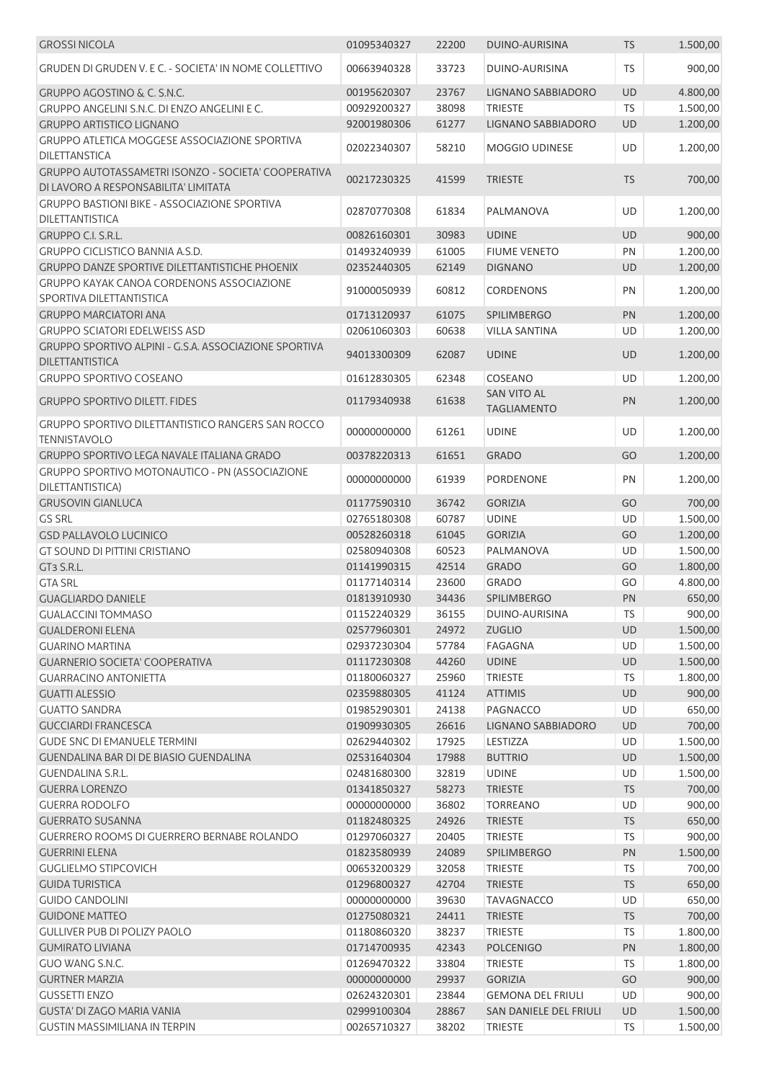| <b>GROSSI NICOLA</b>                                                            | 01095340327 | 22200 | DUINO-AURISINA                           | <b>TS</b> | 1.500,00 |
|---------------------------------------------------------------------------------|-------------|-------|------------------------------------------|-----------|----------|
| GRUDEN DI GRUDEN V. E C. - SOCIETA' IN NOME COLLETTIVO                          | 00663940328 | 33723 | DUINO-AURISINA                           | <b>TS</b> | 900,00   |
| <b>GRUPPO AGOSTINO &amp; C. S.N.C.</b>                                          | 00195620307 | 23767 | LIGNANO SABBIADORO                       | UD        | 4.800,00 |
| GRUPPO ANGELINI S.N.C. DI ENZO ANGELINI E C.                                    | 00929200327 | 38098 | <b>TRIESTE</b>                           | <b>TS</b> | 1.500,00 |
| <b>GRUPPO ARTISTICO LIGNANO</b>                                                 | 92001980306 | 61277 | LIGNANO SABBIADORO                       | UD        | 1.200,00 |
| <b>GRUPPO ATLETICA MOGGESE ASSOCIAZIONE SPORTIVA</b><br><b>DILETTANSTICA</b>    | 02022340307 | 58210 | MOGGIO UDINESE                           | UD        | 1.200,00 |
| GRUPPO AUTOTASSAMETRI ISONZO - SOCIETA' COOPERATIVA                             |             |       |                                          |           |          |
| DI LAVORO A RESPONSABILITA' LIMITATA                                            | 00217230325 | 41599 | <b>TRIESTE</b>                           | <b>TS</b> | 700,00   |
| <b>GRUPPO BASTIONI BIKE - ASSOCIAZIONE SPORTIVA</b><br>DILETTANTISTICA          | 02870770308 | 61834 | PALMANOVA                                | UD        | 1.200,00 |
| GRUPPO C.I. S.R.L.                                                              | 00826160301 | 30983 | <b>UDINE</b>                             | <b>UD</b> | 900,00   |
| <b>GRUPPO CICLISTICO BANNIA A.S.D.</b>                                          | 01493240939 | 61005 | <b>FIUME VENETO</b>                      | PN        | 1.200,00 |
| <b>GRUPPO DANZE SPORTIVE DILETTANTISTICHE PHOENIX</b>                           | 02352440305 | 62149 | <b>DIGNANO</b>                           | <b>UD</b> | 1.200,00 |
| GRUPPO KAYAK CANOA CORDENONS ASSOCIAZIONE<br>SPORTIVA DILETTANTISTICA           | 91000050939 | 60812 | <b>CORDENONS</b>                         | PN        | 1.200,00 |
| <b>GRUPPO MARCIATORI ANA</b>                                                    | 01713120937 | 61075 | SPILIMBERGO                              | PN        | 1.200,00 |
| <b>GRUPPO SCIATORI EDELWEISS ASD</b>                                            | 02061060303 | 60638 | <b>VILLA SANTINA</b>                     | UD        | 1.200,00 |
| GRUPPO SPORTIVO ALPINI - G.S.A. ASSOCIAZIONE SPORTIVA                           |             |       |                                          |           |          |
| <b>DILETTANTISTICA</b>                                                          | 94013300309 | 62087 | <b>UDINE</b>                             | UD        | 1.200,00 |
| <b>GRUPPO SPORTIVO COSEANO</b>                                                  | 01612830305 | 62348 | COSEANO                                  | UD        | 1.200,00 |
| <b>GRUPPO SPORTIVO DILETT. FIDES</b>                                            | 01179340938 | 61638 | <b>SAN VITO AL</b><br><b>TAGLIAMENTO</b> | PN        | 1.200,00 |
| <b>GRUPPO SPORTIVO DILETTANTISTICO RANGERS SAN ROCCO</b><br><b>TENNISTAVOLO</b> | 00000000000 | 61261 | <b>UDINE</b>                             | UD        | 1.200,00 |
| GRUPPO SPORTIVO LEGA NAVALE ITALIANA GRADO                                      | 00378220313 | 61651 | <b>GRADO</b>                             | GO        | 1.200,00 |
| GRUPPO SPORTIVO MOTONAUTICO - PN (ASSOCIAZIONE<br>DILETTANTISTICA)              | 00000000000 | 61939 | <b>PORDENONE</b>                         | PN        | 1.200,00 |
| <b>GRUSOVIN GIANLUCA</b>                                                        | 01177590310 | 36742 | <b>GORIZIA</b>                           | GO        | 700,00   |
| <b>GS SRL</b>                                                                   | 02765180308 | 60787 | <b>UDINE</b>                             | UD        | 1.500,00 |
| <b>GSD PALLAVOLO LUCINICO</b>                                                   | 00528260318 | 61045 | <b>GORIZIA</b>                           | GO        | 1.200,00 |
| GT SOUND DI PITTINI CRISTIANO                                                   | 02580940308 | 60523 | PALMANOVA                                | <b>UD</b> | 1.500,00 |
| GT3 S.R.L.                                                                      | 01141990315 | 42514 | <b>GRADO</b>                             | GO        | 1.800,00 |
| <b>GTA SRL</b>                                                                  | 01177140314 | 23600 | <b>GRADO</b>                             | GO        | 4.800,00 |
| <b>GUAGLIARDO DANIELE</b>                                                       | 01813910930 | 34436 | SPILIMBERGO                              | PN        | 650,00   |
| <b>GUALACCINI TOMMASO</b>                                                       | 01152240329 | 36155 | DUINO-AURISINA                           | <b>TS</b> | 900,00   |
| <b>GUALDERONI ELENA</b>                                                         | 02577960301 | 24972 | <b>ZUGLIO</b>                            | UD        | 1.500,00 |
| <b>GUARINO MARTINA</b>                                                          | 02937230304 | 57784 | FAGAGNA                                  | UD        | 1.500,00 |
| <b>GUARNERIO SOCIETA' COOPERATIVA</b>                                           | 01117230308 | 44260 | <b>UDINE</b>                             | <b>UD</b> | 1.500,00 |
| <b>GUARRACINO ANTONIETTA</b>                                                    | 01180060327 | 25960 | <b>TRIESTE</b>                           | TS        | 1.800,00 |
| <b>GUATTI ALESSIO</b>                                                           | 02359880305 | 41124 | <b>ATTIMIS</b>                           | UD        | 900,00   |
| <b>GUATTO SANDRA</b>                                                            | 01985290301 | 24138 | PAGNACCO                                 | UD        | 650,00   |
| <b>GUCCIARDI FRANCESCA</b>                                                      | 01909930305 | 26616 | LIGNANO SABBIADORO                       | UD        | 700,00   |
| <b>GUDE SNC DI EMANUELE TERMINI</b>                                             | 02629440302 | 17925 | LESTIZZA                                 | UD        | 1.500,00 |
| <b>GUENDALINA BAR DI DE BIASIO GUENDALINA</b>                                   | 02531640304 | 17988 | <b>BUTTRIO</b>                           | UD        | 1.500,00 |
| GUENDALINA S.R.L.                                                               | 02481680300 | 32819 | <b>UDINE</b>                             | UD        | 1.500,00 |
| <b>GUERRA LORENZO</b>                                                           | 01341850327 | 58273 | <b>TRIESTE</b>                           | <b>TS</b> | 700,00   |
| <b>GUERRA RODOLFO</b>                                                           | 00000000000 | 36802 | <b>TORREANO</b>                          | <b>UD</b> | 900,00   |
| <b>GUERRATO SUSANNA</b>                                                         | 01182480325 | 24926 | <b>TRIESTE</b>                           | <b>TS</b> | 650,00   |
| GUERRERO ROOMS DI GUERRERO BERNABE ROLANDO                                      | 01297060327 | 20405 | <b>TRIESTE</b>                           | TS        | 900,00   |
| <b>GUERRINI ELENA</b>                                                           | 01823580939 | 24089 | <b>SPILIMBERGO</b>                       | PN        | 1.500,00 |
| <b>GUGLIELMO STIPCOVICH</b>                                                     | 00653200329 | 32058 | <b>TRIESTE</b>                           | TS        | 700,00   |
| <b>GUIDA TURISTICA</b>                                                          | 01296800327 | 42704 | <b>TRIESTE</b>                           | <b>TS</b> | 650,00   |
| <b>GUIDO CANDOLINI</b>                                                          | 00000000000 | 39630 | <b>TAVAGNACCO</b>                        | UD        | 650,00   |
| <b>GUIDONE MATTEO</b>                                                           | 01275080321 | 24411 | <b>TRIESTE</b>                           | <b>TS</b> | 700,00   |
| <b>GULLIVER PUB DI POLIZY PAOLO</b>                                             | 01180860320 | 38237 | <b>TRIESTE</b>                           | <b>TS</b> | 1.800,00 |
| <b>GUMIRATO LIVIANA</b>                                                         | 01714700935 | 42343 | <b>POLCENIGO</b>                         | PN        | 1.800,00 |
| <b>GUO WANG S.N.C.</b>                                                          | 01269470322 | 33804 | <b>TRIESTE</b>                           | <b>TS</b> | 1.800,00 |
| <b>GURTNER MARZIA</b>                                                           | 00000000000 | 29937 | <b>GORIZIA</b>                           | GO        | 900,00   |
| <b>GUSSETTI ENZO</b>                                                            | 02624320301 | 23844 | <b>GEMONA DEL FRIULI</b>                 | UD        | 900,00   |
| <b>GUSTA' DI ZAGO MARIA VANIA</b>                                               | 02999100304 | 28867 | SAN DANIELE DEL FRIULI                   | <b>UD</b> | 1.500,00 |
| <b>GUSTIN MASSIMILIANA IN TERPIN</b>                                            | 00265710327 | 38202 | <b>TRIESTE</b>                           | TS        | 1.500,00 |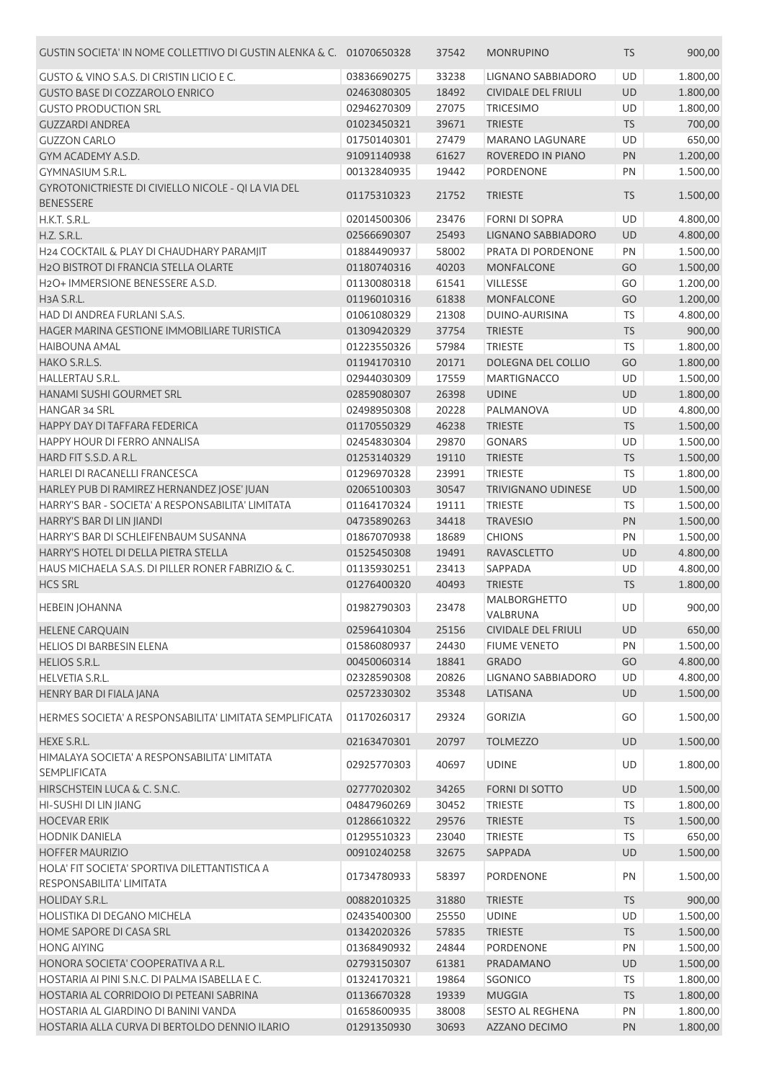| GUSTIN SOCIETA' IN NOME COLLETTIVO DI GUSTIN ALENKA & C. 01070650328      |             | 37542 | <b>MONRUPINO</b>           | <b>TS</b> | 900,00   |
|---------------------------------------------------------------------------|-------------|-------|----------------------------|-----------|----------|
| GUSTO & VINO S.A.S. DI CRISTIN LICIO E C.                                 | 03836690275 | 33238 | LIGNANO SABBIADORO         | UD        | 1.800,00 |
| <b>GUSTO BASE DI COZZAROLO ENRICO</b>                                     | 02463080305 | 18492 | <b>CIVIDALE DEL FRIULI</b> | UD        | 1.800,00 |
| <b>GUSTO PRODUCTION SRL</b>                                               | 02946270309 | 27075 | <b>TRICESIMO</b>           | UD        | 1.800,00 |
| <b>GUZZARDI ANDREA</b>                                                    | 01023450321 | 39671 | <b>TRIESTE</b>             | <b>TS</b> | 700,00   |
| <b>GUZZON CARLO</b>                                                       | 01750140301 | 27479 | <b>MARANO LAGUNARE</b>     | UD        | 650,00   |
| GYM ACADEMY A.S.D.                                                        | 91091140938 | 61627 | ROVEREDO IN PIANO          | PN        | 1.200,00 |
| <b>GYMNASIUM S.R.L.</b>                                                   | 00132840935 | 19442 | PORDENONE                  | PN        | 1.500,00 |
| GYROTONICTRIESTE DI CIVIELLO NICOLE - QI LA VIA DEL<br><b>BENESSERE</b>   | 01175310323 | 21752 | <b>TRIESTE</b>             | <b>TS</b> | 1.500,00 |
| H.K.T. S.R.L.                                                             | 02014500306 | 23476 | <b>FORNI DI SOPRA</b>      | UD        | 4.800,00 |
| H.Z. S.R.L.                                                               | 02566690307 | 25493 | LIGNANO SABBIADORO         | UD        | 4.800,00 |
| H24 COCKTAIL & PLAY DI CHAUDHARY PARAMJIT                                 | 01884490937 | 58002 | PRATA DI PORDENONE         | PN        | 1.500,00 |
| H <sub>2</sub> O BISTROT DI FRANCIA STELLA OLARTE                         | 01180740316 | 40203 | <b>MONFALCONE</b>          | GO        | 1.500,00 |
| H <sub>2</sub> O+ IMMERSIONE BENESSERE A.S.D.                             | 01130080318 | 61541 | <b>VILLESSE</b>            | GO        | 1.200,00 |
| H3A S.R.L.                                                                | 01196010316 | 61838 | <b>MONFALCONE</b>          | GO        | 1.200,00 |
| HAD DI ANDREA FURLANI S.A.S.                                              | 01061080329 | 21308 | DUINO-AURISINA             | <b>TS</b> | 4.800,00 |
| HAGER MARINA GESTIONE IMMOBILIARE TURISTICA                               | 01309420329 | 37754 | <b>TRIESTE</b>             | <b>TS</b> | 900,00   |
| <b>HAIBOUNA AMAL</b>                                                      | 01223550326 | 57984 | <b>TRIESTE</b>             | TS        | 1.800,00 |
| HAKO S.R.L.S.                                                             | 01194170310 | 20171 | DOLEGNA DEL COLLIO         | GO        | 1.800,00 |
| <b>HALLERTAU S.R.L.</b>                                                   | 02944030309 | 17559 | <b>MARTIGNACCO</b>         | UD        | 1.500,00 |
| HANAMI SUSHI GOURMET SRL                                                  | 02859080307 | 26398 | <b>UDINE</b>               | UD        | 1.800,00 |
| HANGAR 34 SRL                                                             | 02498950308 | 20228 | PALMANOVA                  | UD        | 4.800,00 |
| HAPPY DAY DI TAFFARA FEDERICA                                             | 01170550329 | 46238 | <b>TRIESTE</b>             | <b>TS</b> | 1.500,00 |
| HAPPY HOUR DI FERRO ANNALISA                                              | 02454830304 | 29870 | <b>GONARS</b>              | UD        | 1.500,00 |
| HARD FIT S.S.D. A R.L.                                                    | 01253140329 | 19110 | <b>TRIESTE</b>             | <b>TS</b> | 1.500,00 |
| HARLEI DI RACANELLI FRANCESCA                                             | 01296970328 | 23991 | <b>TRIESTE</b>             | <b>TS</b> | 1.800,00 |
| HARLEY PUB DI RAMIREZ HERNANDEZ JOSE' JUAN                                | 02065100303 | 30547 | <b>TRIVIGNANO UDINESE</b>  | UD        | 1.500,00 |
| HARRY'S BAR - SOCIETA' A RESPONSABILITA' LIMITATA                         | 01164170324 | 19111 | <b>TRIESTE</b>             | <b>TS</b> | 1.500,00 |
| HARRY'S BAR DI LIN JIANDI                                                 | 04735890263 | 34418 | <b>TRAVESIO</b>            | PN        | 1.500,00 |
| HARRY'S BAR DI SCHLEIFENBAUM SUSANNA                                      | 01867070938 | 18689 | <b>CHIONS</b>              | PN        | 1.500,00 |
| HARRY'S HOTEL DI DELLA PIETRA STELLA                                      | 01525450308 | 19491 | <b>RAVASCLETTO</b>         | UD        | 4.800,00 |
| HAUS MICHAELA S.A.S. DI PILLER RONER FABRIZIO & C.                        | 01135930251 | 23413 | SAPPADA                    | UD        | 4.800,00 |
| <b>HCS SRL</b>                                                            | 01276400320 | 40493 | <b>TRIESTE</b>             | <b>TS</b> | 1.800,00 |
| <b>HEBEIN JOHANNA</b>                                                     | 01982790303 | 23478 | <b>MALBORGHETTO</b>        | UD        | 900,00   |
|                                                                           |             |       | VALBRUNA                   |           |          |
| <b>HELENE CARQUAIN</b>                                                    | 02596410304 | 25156 | <b>CIVIDALE DEL FRIULI</b> | <b>UD</b> | 650,00   |
| <b>HELIOS DI BARBESIN ELENA</b>                                           | 01586080937 | 24430 | <b>FIUME VENETO</b>        | PN        | 1.500,00 |
| <b>HELIOS S.R.L.</b>                                                      | 00450060314 | 18841 | <b>GRADO</b>               | GO        | 4.800,00 |
| <b>HELVETIA S.R.L.</b>                                                    | 02328590308 | 20826 | LIGNANO SABBIADORO         | UD        | 4.800,00 |
| HENRY BAR DI FIALA JANA                                                   | 02572330302 | 35348 | LATISANA                   | UD        | 1.500,00 |
| HERMES SOCIETA' A RESPONSABILITA' LIMITATA SEMPLIFICATA                   | 01170260317 | 29324 | <b>GORIZIA</b>             | GO        | 1.500,00 |
| HEXE S.R.L.                                                               | 02163470301 | 20797 | <b>TOLMEZZO</b>            | UD        | 1.500,00 |
| HIMALAYA SOCIETA' A RESPONSABILITA' LIMITATA<br><b>SEMPLIFICATA</b>       | 02925770303 | 40697 | <b>UDINE</b>               | <b>UD</b> | 1.800,00 |
| HIRSCHSTEIN LUCA & C. S.N.C.                                              | 02777020302 | 34265 | <b>FORNI DI SOTTO</b>      | UD        | 1.500,00 |
| HI-SUSHI DI LIN JIANG                                                     | 04847960269 | 30452 | <b>TRIESTE</b>             | TS        | 1.800,00 |
| <b>HOCEVAR ERIK</b>                                                       | 01286610322 | 29576 | <b>TRIESTE</b>             | <b>TS</b> | 1.500,00 |
| <b>HODNIK DANIELA</b>                                                     | 01295510323 | 23040 | <b>TRIESTE</b>             | <b>TS</b> | 650,00   |
| <b>HOFFER MAURIZIO</b>                                                    | 00910240258 | 32675 | SAPPADA                    | <b>UD</b> | 1.500,00 |
| HOLA' FIT SOCIETA' SPORTIVA DILETTANTISTICA A<br>RESPONSABILITA' LIMITATA | 01734780933 | 58397 | PORDENONE                  | PN        | 1.500,00 |
| <b>HOLIDAY S.R.L.</b>                                                     | 00882010325 | 31880 | <b>TRIESTE</b>             | <b>TS</b> | 900,00   |
| HOLISTIKA DI DEGANO MICHELA                                               | 02435400300 | 25550 | <b>UDINE</b>               | UD        | 1.500,00 |
| HOME SAPORE DI CASA SRL                                                   | 01342020326 | 57835 | <b>TRIESTE</b>             | <b>TS</b> | 1.500,00 |
| <b>HONG AIYING</b>                                                        | 01368490932 | 24844 | PORDENONE                  | PN        | 1.500,00 |
| HONORA SOCIETA' COOPERATIVA A R.L.                                        | 02793150307 | 61381 | PRADAMANO                  | UD        | 1.500,00 |
| HOSTARIA AI PINI S.N.C. DI PALMA ISABELLA E C.                            | 01324170321 | 19864 | SGONICO                    | TS        | 1.800,00 |
| HOSTARIA AL CORRIDOIO DI PETEANI SABRINA                                  | 01136670328 | 19339 | <b>MUGGIA</b>              | <b>TS</b> | 1.800,00 |
| HOSTARIA AL GIARDINO DI BANINI VANDA                                      | 01658600935 | 38008 | <b>SESTO AL REGHENA</b>    | PN        | 1.800,00 |
| HOSTARIA ALLA CURVA DI BERTOLDO DENNIO ILARIO                             | 01291350930 | 30693 | AZZANO DECIMO              | PN        | 1.800,00 |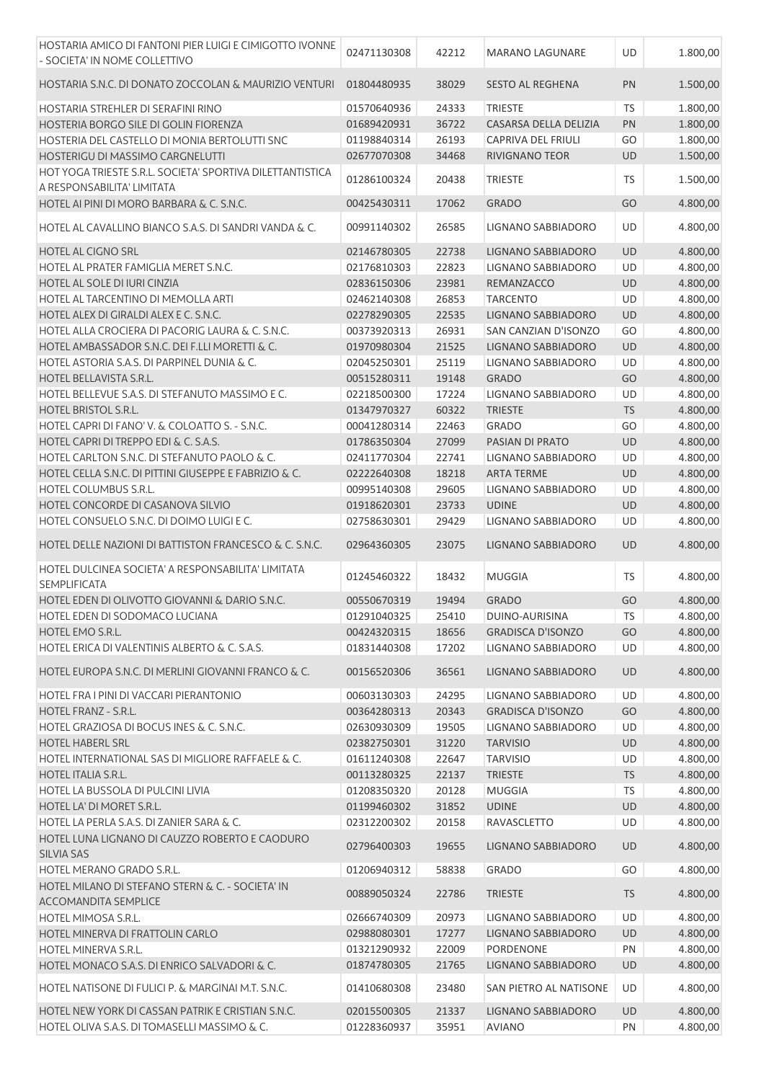| HOSTARIA AMICO DI FANTONI PIER LUIGI E CIMIGOTTO IVONNE<br>- SOCIETA' IN NOME COLLETTIVO    | 02471130308                | 42212          | <b>MARANO LAGUNARE</b>            | UD        | 1.800,00             |
|---------------------------------------------------------------------------------------------|----------------------------|----------------|-----------------------------------|-----------|----------------------|
| HOSTARIA S.N.C. DI DONATO ZOCCOLAN & MAURIZIO VENTURI                                       | 01804480935                | 38029          | <b>SESTO AL REGHENA</b>           | PN        | 1.500,00             |
| HOSTARIA STREHLER DI SERAFINI RINO                                                          | 01570640936                | 24333          | <b>TRIESTE</b>                    | <b>TS</b> | 1.800,00             |
| HOSTERIA BORGO SILE DI GOLIN FIORENZA                                                       | 01689420931                | 36722          | CASARSA DELLA DELIZIA             | PN        | 1.800,00             |
| HOSTERIA DEL CASTELLO DI MONIA BERTOLUTTI SNC                                               | 01198840314                | 26193          | CAPRIVA DEL FRIULI                | GO        | 1.800,00             |
| HOSTERIGU DI MASSIMO CARGNELUTTI                                                            | 02677070308                | 34468          | RIVIGNANO TEOR                    | UD        | 1.500,00             |
| HOT YOGA TRIESTE S.R.L. SOCIETA' SPORTIVA DILETTANTISTICA<br>A RESPONSABILITA' LIMITATA     | 01286100324                | 20438          | <b>TRIESTE</b>                    | TS        | 1.500,00             |
| HOTEL AI PINI DI MORO BARBARA & C. S.N.C.                                                   | 00425430311                | 17062          | <b>GRADO</b>                      | GO        | 4.800,00             |
| HOTEL AL CAVALLINO BIANCO S.A.S. DI SANDRI VANDA & C.                                       | 00991140302                | 26585          | LIGNANO SABBIADORO                | UD        | 4.800,00             |
| HOTEL AL CIGNO SRL                                                                          | 02146780305                | 22738          | LIGNANO SABBIADORO                | UD        | 4.800,00             |
| HOTEL AL PRATER FAMIGLIA MERET S.N.C.                                                       | 02176810303                | 22823          | LIGNANO SABBIADORO                | UD        | 4.800,00             |
| HOTEL AL SOLE DI IURI CINZIA                                                                | 02836150306                | 23981          | REMANZACCO                        | UD        | 4.800,00             |
| HOTEL AL TARCENTINO DI MEMOLLA ARTI                                                         | 02462140308                | 26853          | <b>TARCENTO</b>                   | UD        | 4.800,00             |
| HOTEL ALEX DI GIRALDI ALEX E C. S.N.C.                                                      | 02278290305                | 22535          | LIGNANO SABBIADORO                | UD        | 4.800,00             |
| HOTEL ALLA CROCIERA DI PACORIG LAURA & C. S.N.C.                                            | 00373920313                | 26931          | SAN CANZIAN D'ISONZO              | GO        | 4.800,00             |
| HOTEL AMBASSADOR S.N.C. DEI F.LLI MORETTI & C.                                              | 01970980304                | 21525          | LIGNANO SABBIADORO                | UD        | 4.800,00             |
| HOTEL ASTORIA S.A.S. DI PARPINEL DUNIA & C.                                                 | 02045250301                | 25119          | LIGNANO SABBIADORO                | UD        | 4.800,00             |
| <b>HOTEL BELLAVISTA S.R.L.</b>                                                              | 00515280311                | 19148          | <b>GRADO</b>                      | GO        | 4.800,00             |
| HOTEL BELLEVUE S.A.S. DI STEFANUTO MASSIMO E C.                                             | 02218500300                | 17224          | <b>LIGNANO SABBIADORO</b>         | UD        | 4.800,00             |
| <b>HOTEL BRISTOL S.R.L.</b>                                                                 | 01347970327                | 60322          | <b>TRIESTE</b>                    | <b>TS</b> | 4.800,00             |
| HOTEL CAPRI DI FANO' V. & COLOATTO S. - S.N.C.                                              | 00041280314                | 22463          | <b>GRADO</b>                      | GO        | 4.800,00             |
| HOTEL CAPRI DI TREPPO EDI & C. S.A.S.                                                       | 01786350304                | 27099          | PASIAN DI PRATO                   | UD        | 4.800,00             |
| HOTEL CARLTON S.N.C. DI STEFANUTO PAOLO & C.                                                | 02411770304                | 22741          | LIGNANO SABBIADORO                | UD        | 4.800,00             |
| HOTEL CELLA S.N.C. DI PITTINI GIUSEPPE E FABRIZIO & C.                                      | 02222640308                | 18218          | <b>ARTA TERME</b>                 | UD        | 4.800,00             |
| HOTEL COLUMBUS S.R.L.                                                                       | 00995140308                | 29605          | LIGNANO SABBIADORO                | UD        | 4.800,00             |
| HOTEL CONCORDE DI CASANOVA SILVIO                                                           | 01918620301                | 23733          | <b>UDINE</b>                      | UD        | 4.800,00             |
| HOTEL CONSUELO S.N.C. DI DOIMO LUIGI E C.                                                   | 02758630301                | 29429          | LIGNANO SABBIADORO                | UD        |                      |
| HOTEL DELLE NAZIONI DI BATTISTON FRANCESCO & C. S.N.C.                                      | 02964360305                | 23075          | LIGNANO SABBIADORO                | UD        | 4.800,00<br>4.800,00 |
|                                                                                             |                            |                |                                   |           |                      |
| HOTEL DULCINEA SOCIETA' A RESPONSABILITA' LIMITATA<br><b>SEMPLIFICATA</b>                   | 01245460322                | 18432          | <b>MUGGIA</b>                     | <b>TS</b> | 4.800,00             |
| HOTEL EDEN DI OLIVOTTO GIOVANNI & DARIO S.N.C.                                              | 00550670319                | 19494          | <b>GRADO</b>                      | GO        | 4.800,00             |
| HOTEL EDEN DI SODOMACO LUCIANA                                                              | 01291040325                | 25410          | DUINO-AURISINA                    | TS        | 4.800,00             |
| HOTEL EMO S.R.L.                                                                            | 00424320315                | 18656          | <b>GRADISCA D'ISONZO</b>          | GO        | 4.800,00             |
| HOTEL ERICA DI VALENTINIS ALBERTO & C. S.A.S.                                               | 01831440308                | 17202          | LIGNANO SABBIADORO                | UD        | 4.800,00             |
| HOTEL EUROPA S.N.C. DI MERLINI GIOVANNI FRANCO & C.                                         | 00156520306                | 36561          | LIGNANO SABBIADORO                |           | 4.800,00             |
| HOTEL FRA I PINI DI VACCARI PIERANTONIO                                                     |                            |                |                                   | UD        |                      |
| <b>HOTEL FRANZ - S.R.L.</b>                                                                 | 00603130303                | 24295          | LIGNANO SABBIADORO                | UD        | 4.800,00             |
|                                                                                             |                            |                | <b>GRADISCA D'ISONZO</b>          |           |                      |
| HOTEL GRAZIOSA DI BOCUS INES & C. S.N.C.                                                    | 00364280313<br>02630930309 | 20343          | LIGNANO SABBIADORO                | GO<br>UD  | 4.800,00             |
| <b>HOTEL HABERL SRL</b>                                                                     | 02382750301                | 19505<br>31220 | <b>TARVISIO</b>                   | UD        | 4.800,00             |
| HOTEL INTERNATIONAL SAS DI MIGLIORE RAFFAELE & C.                                           | 01611240308                | 22647          | <b>TARVISIO</b>                   | UD        | 4.800,00             |
| <b>HOTEL ITALIA S.R.L.</b>                                                                  |                            |                |                                   |           | 4.800,00             |
|                                                                                             | 00113280325                | 22137          | <b>TRIESTE</b>                    | <b>TS</b> | 4.800,00             |
| HOTEL LA BUSSOLA DI PULCINI LIVIA                                                           | 01208350320                | 20128          | <b>MUGGIA</b>                     | <b>TS</b> | 4.800,00             |
| HOTEL LA' DI MORET S.R.L.                                                                   | 01199460302                | 31852          | <b>UDINE</b>                      | UD        | 4.800,00             |
| HOTEL LA PERLA S.A.S. DI ZANIER SARA & C.<br>HOTEL LUNA LIGNANO DI CAUZZO ROBERTO E CAODURO | 02312200302<br>02796400303 | 20158<br>19655 | RAVASCLETTO<br>LIGNANO SABBIADORO | UD<br>UD  | 4.800,00<br>4.800,00 |
| SILVIA SAS                                                                                  |                            |                |                                   |           |                      |
| HOTEL MERANO GRADO S.R.L.                                                                   | 01206940312                | 58838          | <b>GRADO</b>                      | GO        | 4.800,00             |
| HOTEL MILANO DI STEFANO STERN & C. - SOCIETA' IN<br><b>ACCOMANDITA SEMPLICE</b>             | 00889050324                | 22786          | <b>TRIESTE</b>                    | <b>TS</b> | 4.800,00             |
| HOTEL MIMOSA S.R.L.                                                                         | 02666740309                | 20973          | LIGNANO SABBIADORO                | UD        | 4.800,00             |
| HOTEL MINERVA DI FRATTOLIN CARLO                                                            | 02988080301                | 17277          | LIGNANO SABBIADORO                | <b>UD</b> | 4.800,00             |
| HOTEL MINERVA S.R.L.                                                                        | 01321290932                | 22009          | PORDENONE                         | PN        | 4.800,00             |
| HOTEL MONACO S.A.S. DI ENRICO SALVADORI & C.                                                | 01874780305                | 21765          | LIGNANO SABBIADORO                | UD        | 4.800,00             |
| HOTEL NATISONE DI FULICI P. & MARGINAI M.T. S.N.C.                                          | 01410680308                | 23480          | SAN PIETRO AL NATISONE            | UD        | 4.800,00             |
| HOTEL NEW YORK DI CASSAN PATRIK E CRISTIAN S.N.C.                                           | 02015500305                | 21337          | LIGNANO SABBIADORO                | UD        | 4.800,00             |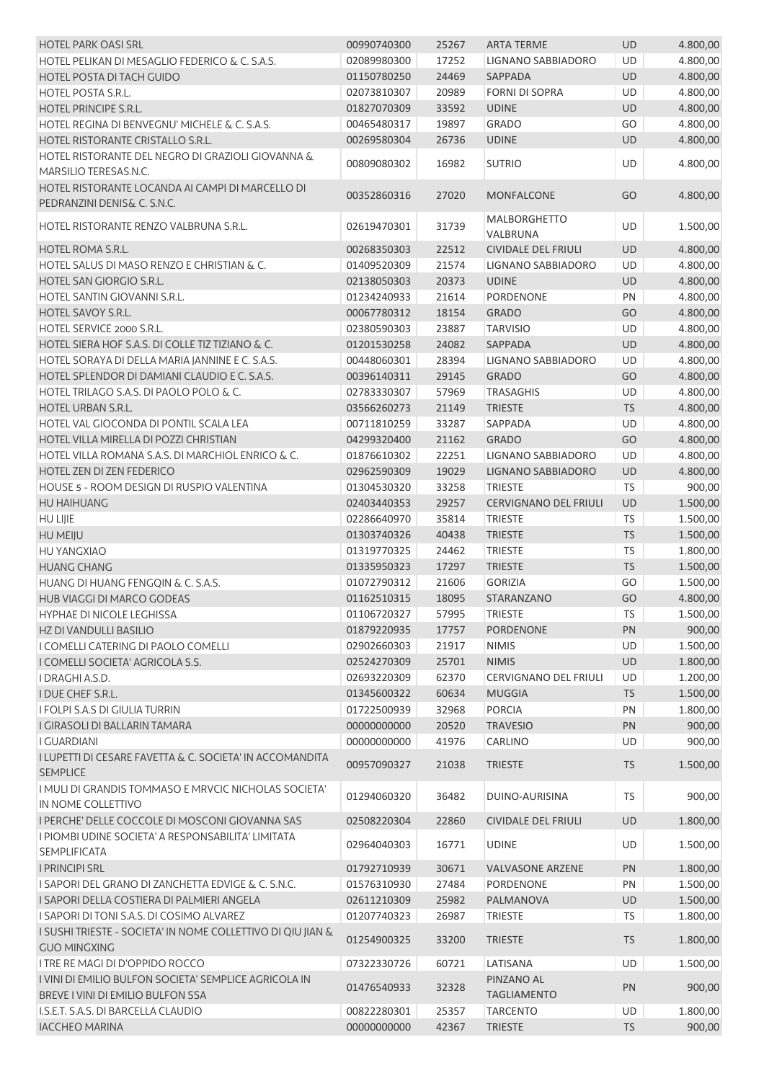| <b>HOTEL PARK OASI SRL</b>                                                                 | 00990740300 | 25267          | <b>ARTA TERME</b>                | <b>UD</b>       | 4.800,00             |
|--------------------------------------------------------------------------------------------|-------------|----------------|----------------------------------|-----------------|----------------------|
| HOTEL PELIKAN DI MESAGLIO FEDERICO & C. S.A.S.                                             | 02089980300 | 17252          | LIGNANO SABBIADORO               | UD              | 4.800,00             |
| HOTEL POSTA DI TACH GUIDO                                                                  | 01150780250 | 24469          | <b>SAPPADA</b>                   | UD              | 4.800,00             |
| <b>HOTEL POSTA S.R.L.</b>                                                                  | 02073810307 | 20989          | <b>FORNI DI SOPRA</b>            | UD              | 4.800,00             |
| <b>HOTEL PRINCIPE S.R.L.</b>                                                               | 01827070309 | 33592          | <b>UDINE</b>                     | UD              | 4.800,00             |
| HOTEL REGINA DI BENVEGNU' MICHELE & C. S.A.S.                                              | 00465480317 | 19897          | <b>GRADO</b>                     | GO              | 4.800,00             |
| HOTEL RISTORANTE CRISTALLO S.R.L.                                                          | 00269580304 | 26736          | <b>UDINE</b>                     | UD              | 4.800,00             |
| HOTEL RISTORANTE DEL NEGRO DI GRAZIOLI GIOVANNA &                                          |             |                |                                  |                 |                      |
| MARSILIO TERESAS.N.C.                                                                      | 00809080302 | 16982          | <b>SUTRIO</b>                    | UD              | 4.800,00             |
| HOTEL RISTORANTE LOCANDA AI CAMPI DI MARCELLO DI                                           |             |                |                                  |                 |                      |
| PEDRANZINI DENIS& C. S.N.C.                                                                | 00352860316 | 27020          | <b>MONFALCONE</b>                | GO              | 4.800,00             |
|                                                                                            |             |                | MALBORGHETTO                     |                 |                      |
| HOTEL RISTORANTE RENZO VALBRUNA S.R.L.                                                     | 02619470301 | 31739          | VALBRUNA                         | UD              | 1.500,00             |
| HOTEL ROMA S.R.L.                                                                          | 00268350303 | 22512          | <b>CIVIDALE DEL FRIULI</b>       | UD              | 4.800,00             |
| HOTEL SALUS DI MASO RENZO E CHRISTIAN & C.                                                 | 01409520309 | 21574          | LIGNANO SABBIADORO               | UD              | 4.800,00             |
| HOTEL SAN GIORGIO S.R.L.                                                                   | 02138050303 | 20373          | <b>UDINE</b>                     | UD              | 4.800,00             |
| HOTEL SANTIN GIOVANNI S.R.L.                                                               | 01234240933 | 21614          | <b>PORDENONE</b>                 | PN              | 4.800,00             |
| HOTEL SAVOY S.R.L.                                                                         | 00067780312 | 18154          | <b>GRADO</b>                     | GO              | 4.800,00             |
| HOTEL SERVICE 2000 S.R.L.                                                                  | 02380590303 | 23887          | <b>TARVISIO</b>                  | UD              | 4.800,00             |
| HOTEL SIERA HOF S.A.S. DI COLLE TIZ TIZIANO & C.                                           | 01201530258 | 24082          | SAPPADA                          | <b>UD</b>       | 4.800,00             |
| HOTEL SORAYA DI DELLA MARIA JANNINE E C. S.A.S.                                            | 00448060301 | 28394          | LIGNANO SABBIADORO               | UD              | 4.800,00             |
| HOTEL SPLENDOR DI DAMIANI CLAUDIO E C. S.A.S.                                              | 00396140311 | 29145          | <b>GRADO</b>                     | GO              | 4.800,00             |
| HOTEL TRILAGO S.A.S. DI PAOLO POLO & C.                                                    | 02783330307 | 57969          | <b>TRASAGHIS</b>                 | UD              | 4.800,00             |
| <b>HOTEL URBAN S.R.L.</b>                                                                  | 03566260273 | 21149          | <b>TRIESTE</b>                   | <b>TS</b>       | 4.800,00             |
| HOTEL VAL GIOCONDA DI PONTIL SCALA LEA                                                     | 00711810259 | 33287          | SAPPADA                          | UD              | 4.800,00             |
| HOTEL VILLA MIRELLA DI POZZI CHRISTIAN                                                     | 04299320400 | 21162          | <b>GRADO</b>                     | GO              | 4.800,00             |
| HOTEL VILLA ROMANA S.A.S. DI MARCHIOL ENRICO & C.                                          | 01876610302 | 22251          | LIGNANO SABBIADORO               | UD              | 4.800,00             |
| HOTEL ZEN DI ZEN FEDERICO                                                                  | 02962590309 | 19029          | LIGNANO SABBIADORO               | <b>UD</b>       | 4.800,00             |
| HOUSE 5 - ROOM DESIGN DI RUSPIO VALENTINA                                                  | 01304530320 | 33258          | <b>TRIESTE</b>                   | TS              | 900,00               |
| HU HAIHUANG                                                                                | 02403440353 | 29257          | CERVIGNANO DEL FRIULI            | UD              | 1.500,00             |
| <b>HU LIJIE</b>                                                                            | 02286640970 | 35814          | <b>TRIESTE</b>                   | <b>TS</b>       | 1.500,00             |
| HU MEIJU                                                                                   | 01303740326 | 40438          | <b>TRIESTE</b>                   | <b>TS</b>       | 1.500,00             |
| <b>HU YANGXIAO</b>                                                                         | 01319770325 | 24462          | <b>TRIESTE</b>                   | <b>TS</b>       |                      |
| <b>HUANG CHANG</b>                                                                         | 01335950323 | 17297          | <b>TRIESTE</b>                   | <b>TS</b>       | 1.800,00<br>1.500,00 |
|                                                                                            |             |                |                                  |                 |                      |
| HUANG DI HUANG FENGQIN & C. S.A.S.                                                         | 01072790312 | 21606<br>18095 | <b>GORIZIA</b>                   | GO              | 1.500,00             |
| HUB VIAGGI DI MARCO GODEAS                                                                 | 01162510315 |                | STARANZANO                       | GO<br><b>TS</b> | 4.800,00             |
| HYPHAE DI NICOLE LEGHISSA                                                                  | 01106720327 | 57995          | TRIESTE                          |                 | 1.500,00             |
| HZ DI VANDULLI BASILIO                                                                     | 01879220935 | 17757          | <b>PORDENONE</b>                 | PN              | 900,00               |
| I COMELLI CATERING DI PAOLO COMELLI                                                        | 02902660303 | 21917          | <b>NIMIS</b>                     | UD              | 1.500,00             |
| I COMELLI SOCIETA' AGRICOLA S.S.                                                           | 02524270309 | 25701          | <b>NIMIS</b>                     | UD              | 1.800,00             |
| I DRAGHI A.S.D.                                                                            | 02693220309 | 62370          | <b>CERVIGNANO DEL FRIULI</b>     | UD              | 1.200,00             |
| <b>I DUE CHEF S.R.L.</b>                                                                   | 01345600322 | 60634          | <b>MUGGIA</b>                    | <b>TS</b>       | 1.500,00             |
| I FOLPI S.A.S DI GIULIA TURRIN                                                             | 01722500939 | 32968          | <b>PORCIA</b>                    | PN              | 1.800,00             |
| I GIRASOLI DI BALLARIN TAMARA                                                              | 00000000000 | 20520          | <b>TRAVESIO</b>                  | PN              | 900,00               |
| <b>I GUARDIANI</b>                                                                         | 00000000000 | 41976          | CARLINO                          | UD              | 900,00               |
| I LUPETTI DI CESARE FAVETTA & C. SOCIETA' IN ACCOMANDITA<br><b>SEMPLICE</b>                | 00957090327 | 21038          | <b>TRIESTE</b>                   | <b>TS</b>       | 1.500,00             |
| I MULI DI GRANDIS TOMMASO E MRVCIC NICHOLAS SOCIETA'                                       |             |                |                                  |                 |                      |
| IN NOME COLLETTIVO                                                                         | 01294060320 | 36482          | DUINO-AURISINA                   | <b>TS</b>       | 900,00               |
| I PERCHE' DELLE COCCOLE DI MOSCONI GIOVANNA SAS                                            | 02508220304 | 22860          | <b>CIVIDALE DEL FRIULI</b>       | UD              | 1.800,00             |
| I PIOMBI UDINE SOCIETA' A RESPONSABILITA' LIMITATA                                         |             |                |                                  |                 |                      |
| <b>SEMPLIFICATA</b>                                                                        | 02964040303 | 16771          | <b>UDINE</b>                     | UD              | 1.500,00             |
| <b>I PRINCIPI SRL</b>                                                                      | 01792710939 | 30671          | <b>VALVASONE ARZENE</b>          | PN              | 1.800,00             |
| I SAPORI DEL GRANO DI ZANCHETTA EDVIGE & C. S.N.C.                                         | 01576310930 | 27484          | <b>PORDENONE</b>                 | PN              | 1.500,00             |
| I SAPORI DELLA COSTIERA DI PALMIERI ANGELA                                                 | 02611210309 | 25982          | PALMANOVA                        | UD              | 1.500,00             |
| I SAPORI DI TONI S.A.S. DI COSIMO ALVAREZ                                                  | 01207740323 | 26987          | <b>TRIESTE</b>                   | <b>TS</b>       | 1.800,00             |
| I SUSHI TRIESTE - SOCIETA' IN NOME COLLETTIVO DI QIU JIAN &                                |             |                |                                  |                 |                      |
| <b>GUO MINGXING</b>                                                                        | 01254900325 | 33200          | <b>TRIESTE</b>                   | <b>TS</b>       | 1.800,00             |
| I TRE RE MAGI DI D'OPPIDO ROCCO                                                            | 07322330726 | 60721          | LATISANA                         | <b>UD</b>       | 1.500,00             |
| I VINI DI EMILIO BULFON SOCIETA' SEMPLICE AGRICOLA IN<br>BREVE I VINI DI EMILIO BULFON SSA | 01476540933 | 32328          | PINZANO AL<br><b>TAGLIAMENTO</b> | PN              | 900,00               |
| I.S.E.T. S.A.S. DI BARCELLA CLAUDIO                                                        | 00822280301 | 25357          | <b>TARCENTO</b>                  | UD              | 1.800,00             |
| <b>IACCHEO MARINA</b>                                                                      | 00000000000 | 42367          | <b>TRIESTE</b>                   | <b>TS</b>       | 900,00               |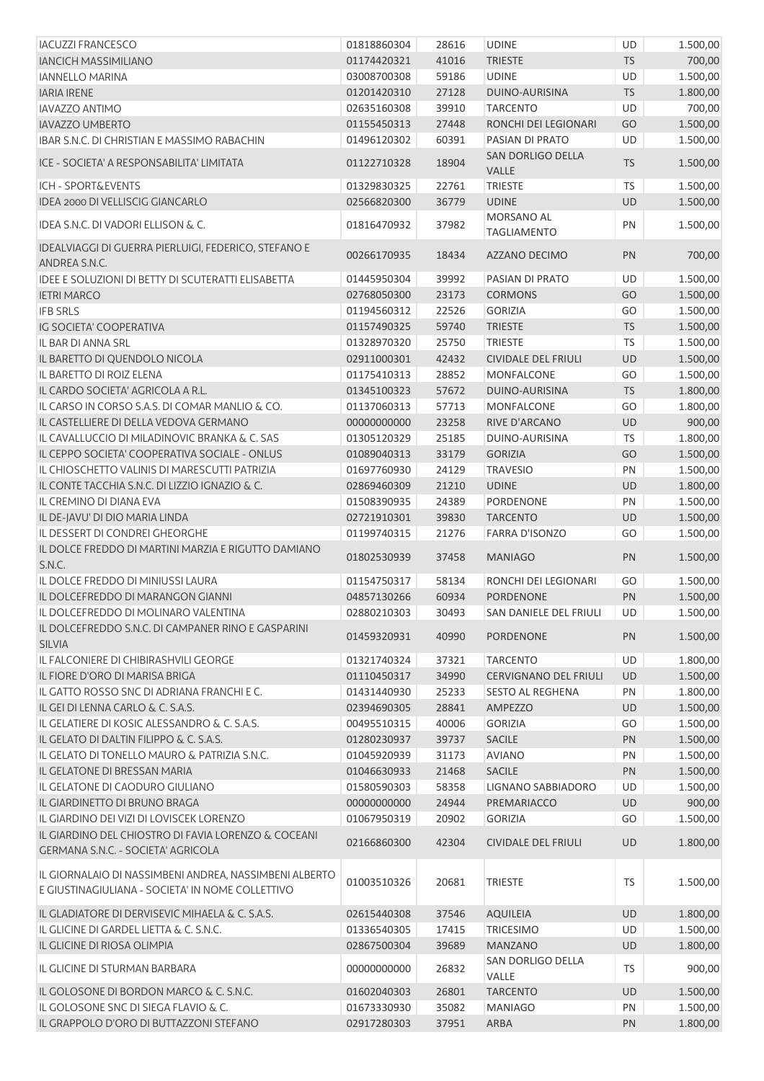| <b>IACUZZI FRANCESCO</b>                                                                                   | 01818860304                | 28616          | <b>UDINE</b>                     | UD        | 1.500,00             |
|------------------------------------------------------------------------------------------------------------|----------------------------|----------------|----------------------------------|-----------|----------------------|
| <b>IANCICH MASSIMILIANO</b>                                                                                | 01174420321                | 41016          | <b>TRIESTE</b>                   | <b>TS</b> | 700,00               |
| <b>IANNELLO MARINA</b>                                                                                     | 03008700308                | 59186          | <b>UDINE</b>                     | <b>UD</b> | 1.500,00             |
| <b>IARIA IRENE</b>                                                                                         | 01201420310                | 27128          | DUINO-AURISINA                   | <b>TS</b> | 1.800,00             |
| <b>IAVAZZO ANTIMO</b>                                                                                      | 02635160308                | 39910          | <b>TARCENTO</b>                  | <b>UD</b> | 700,00               |
| <b>IAVAZZO UMBERTO</b>                                                                                     | 01155450313                | 27448          | RONCHI DEI LEGIONARI             | GO        | 1.500,00             |
| IBAR S.N.C. DI CHRISTIAN E MASSIMO RABACHIN                                                                | 01496120302                | 60391          | PASIAN DI PRATO                  | <b>UD</b> | 1.500,00             |
| ICE - SOCIETA' A RESPONSABILITA' LIMITATA                                                                  | 01122710328                | 18904          | SAN DORLIGO DELLA<br>VALLE       | TS        | 1.500,00             |
| <b>ICH - SPORT&amp;EVENTS</b>                                                                              | 01329830325                | 22761          | <b>TRIESTE</b>                   | <b>TS</b> | 1.500,00             |
| IDEA 2000 DI VELLISCIG GIANCARLO                                                                           | 02566820300                | 36779          | <b>UDINE</b>                     | UD        | 1.500,00             |
| IDEA S.N.C. DI VADORI ELLISON & C.                                                                         | 01816470932                | 37982          | MORSANO AL<br><b>TAGLIAMENTO</b> | PN        | 1.500,00             |
| IDEALVIAGGI DI GUERRA PIERLUIGI, FEDERICO, STEFANO E<br>ANDREA S.N.C.                                      | 00266170935                | 18434          | AZZANO DECIMO                    | PN        | 700,00               |
| IDEE E SOLUZIONI DI BETTY DI SCUTERATTI ELISABETTA                                                         | 01445950304                | 39992          | PASIAN DI PRATO                  | UD        | 1.500,00             |
| <b>IETRI MARCO</b>                                                                                         | 02768050300                | 23173          | <b>CORMONS</b>                   | GO        | 1.500,00             |
| <b>IFB SRLS</b>                                                                                            | 01194560312                | 22526          | <b>GORIZIA</b>                   | GO        | 1.500,00             |
| <b>IG SOCIETA' COOPERATIVA</b>                                                                             | 01157490325                | 59740          | <b>TRIESTE</b>                   | <b>TS</b> | 1.500,00             |
| IL BAR DI ANNA SRL                                                                                         | 01328970320                | 25750          | TRIESTE                          | <b>TS</b> | 1.500,00             |
| IL BARETTO DI QUENDOLO NICOLA                                                                              | 02911000301                | 42432          | <b>CIVIDALE DEL FRIULI</b>       | UD        | 1.500,00             |
| IL BARETTO DI ROIZ ELENA                                                                                   | 01175410313                | 28852          | <b>MONFALCONE</b>                | GO        | 1.500,00             |
| IL CARDO SOCIETA' AGRICOLA A R.L.                                                                          | 01345100323                | 57672          | DUINO-AURISINA                   | <b>TS</b> | 1.800,00             |
| IL CARSO IN CORSO S.A.S. DI COMAR MANLIO & CO.                                                             | 01137060313                | 57713          | <b>MONFALCONE</b>                | GO        | 1.800,00             |
| IL CASTELLIERE DI DELLA VEDOVA GERMANO                                                                     | 00000000000                | 23258          | RIVE D'ARCANO                    | UD        | 900,00               |
| IL CAVALLUCCIO DI MILADINOVIC BRANKA & C. SAS                                                              | 01305120329                | 25185          | DUINO-AURISINA                   | <b>TS</b> | 1.800,00             |
| IL CEPPO SOCIETA' COOPERATIVA SOCIALE - ONLUS                                                              | 01089040313                | 33179          | <b>GORIZIA</b>                   | GO        | 1.500,00             |
| IL CHIOSCHETTO VALINIS DI MARESCUTTI PATRIZIA                                                              | 01697760930                | 24129          | <b>TRAVESIO</b>                  | PN        | 1.500,00             |
| IL CONTE TACCHIA S.N.C. DI LIZZIO IGNAZIO & C.                                                             | 02869460309                | 21210          | <b>UDINE</b>                     | UD        | 1.800,00             |
| IL CREMINO DI DIANA EVA                                                                                    | 01508390935                | 24389          | <b>PORDENONE</b>                 | PN        | 1.500,00             |
| IL DE-JAVU' DI DIO MARIA LINDA                                                                             | 02721910301                | 39830          | <b>TARCENTO</b>                  | UD        | 1.500,00             |
| IL DESSERT DI CONDREI GHEORGHE                                                                             | 01199740315                | 21276          | <b>FARRA D'ISONZO</b>            | GO        | 1.500,00             |
| IL DOLCE FREDDO DI MARTINI MARZIA E RIGUTTO DAMIANO<br>S.N.C.                                              | 01802530939                | 37458          | <b>MANIAGO</b>                   | PN        | 1.500,00             |
| IL DOLCE FREDDO DI MINIUSSI LAURA                                                                          | 01154750317                | 58134          | RONCHI DEI LEGIONARI             | GO        | 1.500,00             |
| IL DOLCEFREDDO DI MARANGON GIANNI                                                                          | 04857130266                | 60934          | <b>PORDENONE</b>                 | PN        | 1.500,00             |
| IL DOLCEFREDDO DI MOLINARO VALENTINA                                                                       | 02880210303                | 30493          | SAN DANIELE DEL FRIULI UD        |           | 1.500,00             |
| IL DOLCEFREDDO S.N.C. DI CAMPANER RINO E GASPARINI<br><b>SILVIA</b>                                        | 01459320931                | 40990          | PORDENONE                        | PN        | 1.500,00             |
| IL FALCONIERE DI CHIBIRASHVILI GEORGE                                                                      | 01321740324                | 37321          | <b>TARCENTO</b>                  | <b>UD</b> | 1.800,00             |
| IL FIORE D'ORO DI MARISA BRIGA                                                                             | 01110450317                | 34990          | <b>CERVIGNANO DEL FRIULI</b>     | <b>UD</b> | 1.500,00             |
| IL GATTO ROSSO SNC DI ADRIANA FRANCHI E C.                                                                 |                            |                |                                  |           |                      |
|                                                                                                            | 01431440930<br>02394690305 | 25233          | <b>SESTO AL REGHENA</b>          | PN        | 1.800,00             |
| IL GEI DI LENNA CARLO & C. S.A.S.<br>IL GELATIERE DI KOSIC ALESSANDRO & C. S.A.S.                          | 00495510315                | 28841<br>40006 | AMPEZZO<br><b>GORIZIA</b>        | UD<br>GO  | 1.500,00<br>1.500,00 |
| IL GELATO DI DALTIN FILIPPO & C. S.A.S.                                                                    | 01280230937                | 39737          | <b>SACILE</b>                    | PN        | 1.500,00             |
|                                                                                                            | 01045920939                | 31173          | <b>AVIANO</b>                    | PN        |                      |
| IL GELATO DI TONELLO MAURO & PATRIZIA S.N.C.                                                               | 01046630933                |                |                                  |           | 1.500,00             |
| IL GELATONE DI BRESSAN MARIA                                                                               |                            | 21468          | <b>SACILE</b>                    | PN        | 1.500,00             |
| IL GELATONE DI CAODURO GIULIANO                                                                            | 01580590303                | 58358          | LIGNANO SABBIADORO               | UD        | 1.500,00             |
| IL GIARDINETTO DI BRUNO BRAGA                                                                              | 00000000000                | 24944          | PREMARIACCO                      | <b>UD</b> | 900,00               |
| IL GIARDINO DEI VIZI DI LOVISCEK LORENZO                                                                   | 01067950319                | 20902          | <b>GORIZIA</b>                   | GO        | 1.500,00             |
| IL GIARDINO DEL CHIOSTRO DI FAVIA LORENZO & COCEANI<br>GERMANA S.N.C. - SOCIETA' AGRICOLA                  | 02166860300                | 42304          | <b>CIVIDALE DEL FRIULI</b>       | UD        | 1.800,00             |
| IL GIORNALAIO DI NASSIMBENI ANDREA, NASSIMBENI ALBERTO<br>E GIUSTINAGIULIANA - SOCIETA' IN NOME COLLETTIVO | 01003510326                | 20681          | <b>TRIESTE</b>                   | TS        | 1.500,00             |
| IL GLADIATORE DI DERVISEVIC MIHAELA & C. S.A.S.                                                            | 02615440308                | 37546          | <b>AQUILEIA</b>                  | UD        | 1.800,00             |
| IL GLICINE DI GARDEL LIETTA & C. S.N.C.                                                                    | 01336540305                | 17415          | <b>TRICESIMO</b>                 | UD        | 1.500,00             |
| IL GLICINE DI RIOSA OLIMPIA                                                                                | 02867500304                | 39689          | <b>MANZANO</b>                   | UD        | 1.800,00             |
| IL GLICINE DI STURMAN BARBARA                                                                              | 00000000000                | 26832          | SAN DORLIGO DELLA<br>VALLE       | TS        | 900,00               |
| IL GOLOSONE DI BORDON MARCO & C. S.N.C.                                                                    | 01602040303                | 26801          | <b>TARCENTO</b>                  | UD        | 1.500,00             |
| IL GOLOSONE SNC DI SIEGA FLAVIO & C.                                                                       | 01673330930                | 35082          | <b>MANIAGO</b>                   | PN        | 1.500,00             |
| IL GRAPPOLO D'ORO DI BUTTAZZONI STEFANO                                                                    | 02917280303                | 37951          | ARBA                             | PN        | 1.800,00             |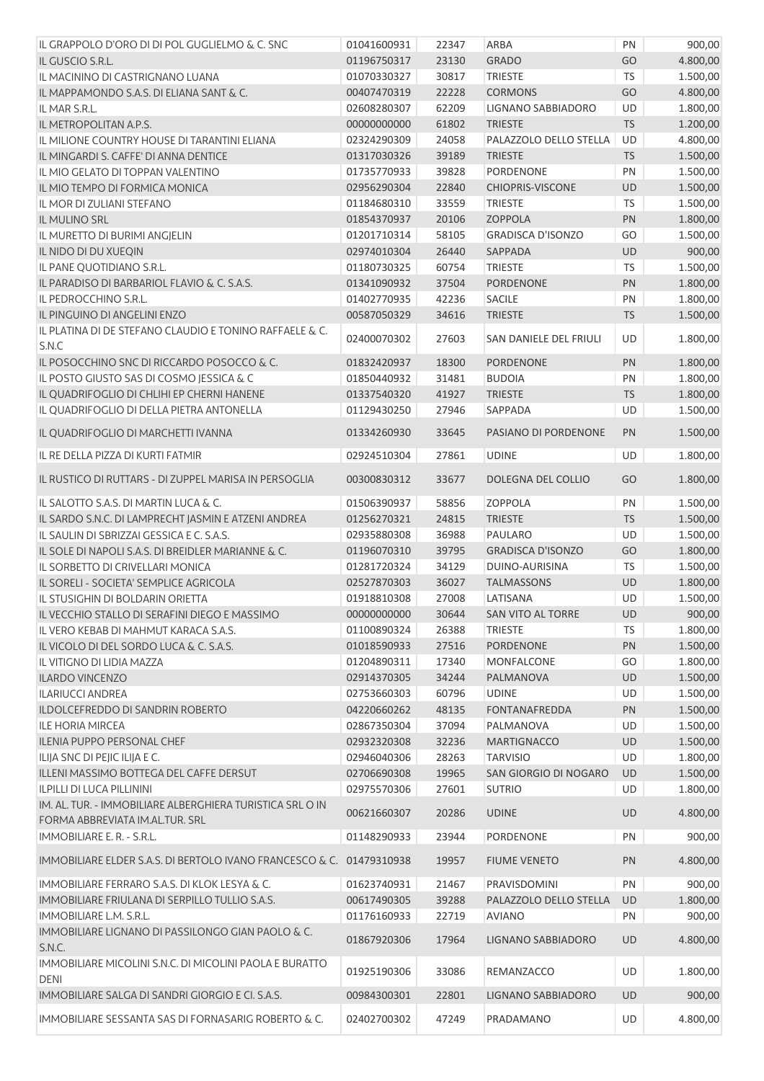| IL GRAPPOLO D'ORO DI DI POL GUGLIELMO & C. SNC                         | 01041600931 | 22347 | ARBA                      | PN        | 900,00   |
|------------------------------------------------------------------------|-------------|-------|---------------------------|-----------|----------|
| IL GUSCIO S.R.L.                                                       | 01196750317 | 23130 | <b>GRADO</b>              | GO        | 4.800,00 |
| IL MACININO DI CASTRIGNANO LUANA                                       | 01070330327 | 30817 | <b>TRIESTE</b>            | <b>TS</b> | 1.500,00 |
| IL MAPPAMONDO S.A.S. DI ELIANA SANT & C.                               | 00407470319 | 22228 | <b>CORMONS</b>            | GO        | 4.800,00 |
| IL MAR S.R.L.                                                          | 02608280307 | 62209 | LIGNANO SABBIADORO        | UD        | 1.800,00 |
| IL METROPOLITAN A.P.S.                                                 | 00000000000 | 61802 | <b>TRIESTE</b>            | <b>TS</b> | 1.200,00 |
| IL MILIONE COUNTRY HOUSE DI TARANTINI ELIANA                           | 02324290309 | 24058 | PALAZZOLO DELLO STELLA    | UD        | 4.800,00 |
| IL MINGARDI S. CAFFE' DI ANNA DENTICE                                  | 01317030326 | 39189 | <b>TRIESTE</b>            | <b>TS</b> | 1.500,00 |
| IL MIO GELATO DI TOPPAN VALENTINO                                      | 01735770933 | 39828 | PORDENONE                 | PN        | 1.500,00 |
| IL MIO TEMPO DI FORMICA MONICA                                         | 02956290304 | 22840 | <b>CHIOPRIS-VISCONE</b>   | UD        | 1.500,00 |
| IL MOR DI ZULIANI STEFANO                                              | 01184680310 | 33559 | <b>TRIESTE</b>            | <b>TS</b> | 1.500,00 |
| IL MULINO SRL                                                          | 01854370937 | 20106 | ZOPPOLA                   | PN        | 1.800,00 |
| IL MURETTO DI BURIMI ANGJELIN                                          | 01201710314 | 58105 | <b>GRADISCA D'ISONZO</b>  | GO        | 1.500,00 |
| IL NIDO DI DU XUEQIN                                                   | 02974010304 | 26440 | SAPPADA                   | UD        | 900,00   |
| IL PANE QUOTIDIANO S.R.L.                                              | 01180730325 | 60754 | <b>TRIESTE</b>            | <b>TS</b> | 1.500,00 |
| IL PARADISO DI BARBARIOL FLAVIO & C. S.A.S.                            | 01341090932 | 37504 | PORDENONE                 | PN        | 1.800,00 |
| IL PEDROCCHINO S.R.L.                                                  | 01402770935 | 42236 | SACILE                    | PN        | 1.800,00 |
| IL PINGUINO DI ANGELINI ENZO                                           | 00587050329 | 34616 | <b>TRIESTE</b>            | <b>TS</b> | 1.500,00 |
| IL PLATINA DI DE STEFANO CLAUDIO E TONINO RAFFAELE & C.                |             |       |                           |           |          |
| S.N.C                                                                  | 02400070302 | 27603 | SAN DANIELE DEL FRIULI    | UD        | 1.800,00 |
| IL POSOCCHINO SNC DI RICCARDO POSOCCO & C.                             | 01832420937 | 18300 | <b>PORDENONE</b>          | PN        | 1.800,00 |
| IL POSTO GIUSTO SAS DI COSMO JESSICA & C                               | 01850440932 | 31481 | <b>BUDOIA</b>             | PN        | 1.800,00 |
| IL QUADRIFOGLIO DI CHLIHI EP CHERNI HANENE                             | 01337540320 | 41927 | <b>TRIESTE</b>            | <b>TS</b> | 1.800,00 |
| IL QUADRIFOGLIO DI DELLA PIETRA ANTONELLA                              | 01129430250 | 27946 | SAPPADA                   | UD        | 1.500,00 |
|                                                                        |             |       |                           |           |          |
| IL QUADRIFOGLIO DI MARCHETTI IVANNA                                    | 01334260930 | 33645 | PASIANO DI PORDENONE      | PN        | 1.500,00 |
| IL RE DELLA PIZZA DI KURTI FATMIR                                      | 02924510304 | 27861 | <b>UDINE</b>              | UD        | 1.800,00 |
|                                                                        |             |       |                           |           |          |
| IL RUSTICO DI RUTTARS - DI ZUPPEL MARISA IN PERSOGLIA                  | 00300830312 | 33677 | DOLEGNA DEL COLLIO        | GO        | 1.800,00 |
| IL SALOTTO S.A.S. DI MARTIN LUCA & C.                                  | 01506390937 | 58856 | <b>ZOPPOLA</b>            | PN        | 1.500,00 |
| IL SARDO S.N.C. DI LAMPRECHT JASMIN E ATZENI ANDREA                    | 01256270321 | 24815 | <b>TRIESTE</b>            | <b>TS</b> | 1.500,00 |
| IL SAULIN DI SBRIZZAI GESSICA E C. S.A.S.                              | 02935880308 | 36988 | PAULARO                   | UD        | 1.500,00 |
| IL SOLE DI NAPOLI S.A.S. DI BREIDLER MARIANNE & C.                     | 01196070310 | 39795 | <b>GRADISCA D'ISONZO</b>  | GO        | 1.800,00 |
| IL SORBETTO DI CRIVELLARI MONICA                                       | 01281720324 | 34129 | DUINO-AURISINA            | <b>TS</b> | 1.500,00 |
| IL SORELI - SOCIETA' SEMPLICE AGRICOLA                                 | 02527870303 | 36027 | <b>TALMASSONS</b>         | UD        | 1.800,00 |
| IL STUSIGHIN DI BOLDARIN ORIETTA                                       | 01918810308 | 27008 | LATISANA                  | UD        | 1.500,00 |
| IL VECCHIO STALLO DI SERAFINI DIEGO E MASSIMO                          | 00000000000 | 30644 | SAN VITO AL TORRE         | UD        | 900,00   |
| IL VERO KEBAB DI MAHMUT KARACA S.A.S.                                  | 01100890324 | 26388 | <b>TRIESTE</b>            | <b>TS</b> | 1.800,00 |
| IL VICOLO DI DEL SORDO LUCA & C. S.A.S.                                | 01018590933 | 27516 | PORDENONE                 | PN        | 1.500,00 |
| IL VITIGNO DI LIDIA MAZZA                                              | 01204890311 | 17340 | <b>MONFALCONE</b>         | GO        | 1.800,00 |
| <b>ILARDO VINCENZO</b>                                                 | 02914370305 | 34244 | PALMANOVA                 | UD        | 1.500,00 |
| <b>ILARIUCCI ANDREA</b>                                                | 02753660303 | 60796 | <b>UDINE</b>              | UD        | 1.500,00 |
| ILDOLCEFREDDO DI SANDRIN ROBERTO                                       | 04220660262 | 48135 | <b>FONTANAFREDDA</b>      | PN        | 1.500,00 |
| <b>ILE HORIA MIRCEA</b>                                                | 02867350304 | 37094 | PALMANOVA                 | UD        | 1.500,00 |
| <b>ILENIA PUPPO PERSONAL CHEF</b>                                      | 02932320308 | 32236 | <b>MARTIGNACCO</b>        | UD        | 1.500,00 |
| ILIJA SNC DI PEJIC ILIJA E C.                                          | 02946040306 | 28263 | <b>TARVISIO</b>           | UD        | 1.800,00 |
| ILLENI MASSIMO BOTTEGA DEL CAFFE DERSUT                                | 02706690308 | 19965 | SAN GIORGIO DI NOGARO     | UD        | 1.500,00 |
| <b>ILPILLI DI LUCA PILLININI</b>                                       | 02975570306 | 27601 | <b>SUTRIO</b>             | UD        | 1.800,00 |
| IM. AL. TUR. - IMMOBILIARE ALBERGHIERA TURISTICA SRL O IN              |             |       |                           |           |          |
| FORMA ABBREVIATA IM.AL.TUR. SRL                                        | 00621660307 | 20286 | <b>UDINE</b>              | UD        | 4.800,00 |
| IMMOBILIARE E. R. - S.R.L.                                             | 01148290933 | 23944 | <b>PORDENONE</b>          | PN        | 900,00   |
| IMMOBILIARE ELDER S.A.S. DI BERTOLO IVANO FRANCESCO & C. 01479310938   |             | 19957 | <b>FIUME VENETO</b>       | PN        | 4.800,00 |
| <b>IMMOBILIARE FERRARO S.A.S. DI KLOK LESYA &amp; C.</b>               | 01623740931 | 21467 | PRAVISDOMINI              | PN        | 900,00   |
| IMMOBILIARE FRIULANA DI SERPILLO TULLIO S.A.S.                         | 00617490305 | 39288 | PALAZZOLO DELLO STELLA    | <b>UD</b> | 1.800,00 |
| IMMOBILIARE L.M. S.R.L.                                                | 01176160933 | 22719 | <b>AVIANO</b>             | PN        | 900,00   |
| IMMOBILIARE LIGNANO DI PASSILONGO GIAN PAOLO & C.                      |             |       |                           |           |          |
| S.N.C.                                                                 | 01867920306 | 17964 | LIGNANO SABBIADORO        | UD        | 4.800,00 |
| IMMOBILIARE MICOLINI S.N.C. DI MICOLINI PAOLA E BURATTO<br><b>DENI</b> | 01925190306 | 33086 | REMANZACCO                | UD        | 1.800,00 |
| IMMOBILIARE SALGA DI SANDRI GIORGIO E CI. S.A.S.                       | 00984300301 | 22801 | <b>LIGNANO SABBIADORO</b> | UD        | 900,00   |
| IMMOBILIARE SESSANTA SAS DI FORNASARIG ROBERTO & C.                    | 02402700302 | 47249 | PRADAMANO                 | UD        | 4.800,00 |
|                                                                        |             |       |                           |           |          |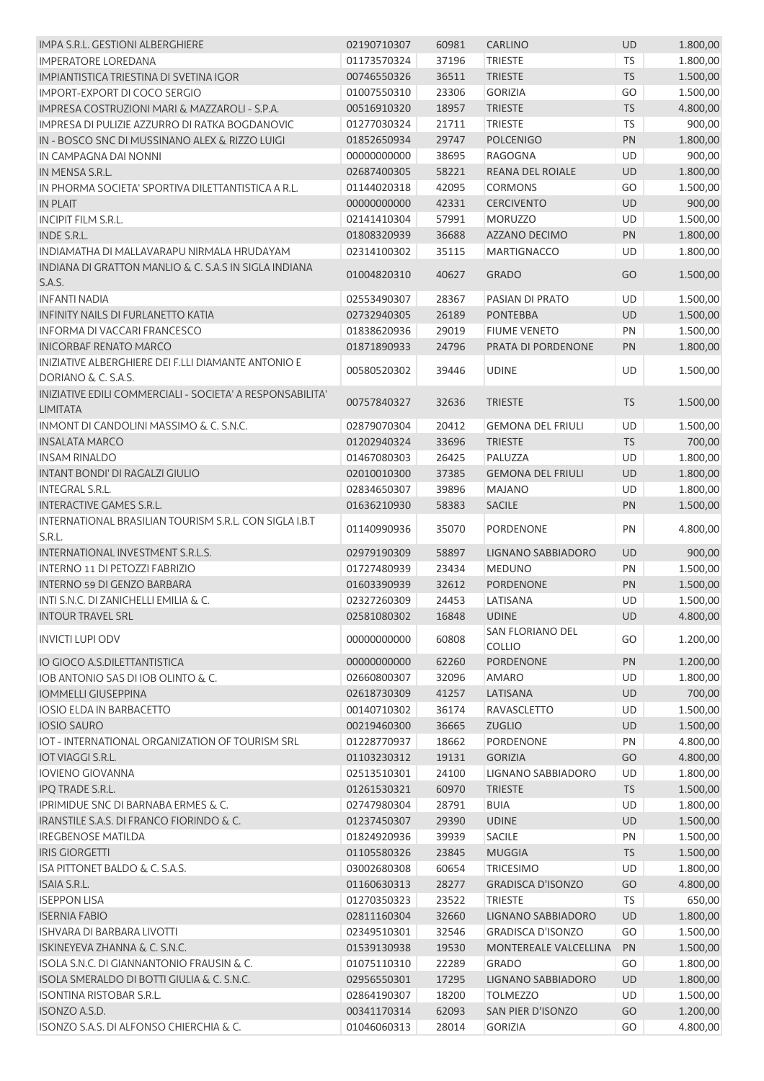| IMPA S.R.L. GESTIONI ALBERGHIERE                                 | 02190710307 | 60981 | CARLINO                  | <b>UD</b> | 1.800,00 |
|------------------------------------------------------------------|-------------|-------|--------------------------|-----------|----------|
| <b>IMPERATORE LOREDANA</b>                                       | 01173570324 | 37196 | <b>TRIESTE</b>           | <b>TS</b> | 1.800,00 |
| IMPIANTISTICA TRIESTINA DI SVETINA IGOR                          | 00746550326 | 36511 | <b>TRIESTE</b>           | <b>TS</b> | 1.500,00 |
| IMPORT-EXPORT DI COCO SERGIO                                     | 01007550310 | 23306 | <b>GORIZIA</b>           | GO        | 1.500,00 |
| IMPRESA COSTRUZIONI MARI & MAZZAROLI - S.P.A.                    | 00516910320 | 18957 | <b>TRIESTE</b>           | <b>TS</b> | 4.800,00 |
| IMPRESA DI PULIZIE AZZURRO DI RATKA BOGDANOVIC                   | 01277030324 | 21711 | <b>TRIESTE</b>           | TS        | 900,00   |
| IN - BOSCO SNC DI MUSSINANO ALEX & RIZZO LUIGI                   | 01852650934 | 29747 | <b>POLCENIGO</b>         | PN        | 1.800,00 |
| IN CAMPAGNA DAI NONNI                                            | 00000000000 | 38695 | <b>RAGOGNA</b>           | UD        | 900,00   |
| IN MENSA S.R.L.                                                  | 02687400305 | 58221 | REANA DEL ROIALE         | UD        | 1.800,00 |
| IN PHORMA SOCIETA' SPORTIVA DILETTANTISTICA A R.L.               | 01144020318 | 42095 | <b>CORMONS</b>           | GO        | 1.500,00 |
| IN PLAIT                                                         | 00000000000 | 42331 | <b>CERCIVENTO</b>        | UD        | 900,00   |
| <b>INCIPIT FILM S.R.L.</b>                                       | 02141410304 | 57991 | <b>MORUZZO</b>           | UD        | 1.500,00 |
| <b>INDE S.R.L.</b>                                               | 01808320939 | 36688 | AZZANO DECIMO            | PN        | 1.800,00 |
| INDIAMATHA DI MALLAVARAPU NIRMALA HRUDAYAM                       | 02314100302 | 35115 | <b>MARTIGNACCO</b>       | UD        | 1.800,00 |
| INDIANA DI GRATTON MANLIO & C. S.A.S IN SIGLA INDIANA            |             |       |                          |           |          |
| S.A.S.                                                           | 01004820310 | 40627 | <b>GRADO</b>             | GO        | 1.500,00 |
| <b>INFANTI NADIA</b>                                             | 02553490307 | 28367 | PASIAN DI PRATO          | UD        | 1.500,00 |
| INFINITY NAILS DI FURLANETTO KATIA                               | 02732940305 | 26189 | <b>PONTEBBA</b>          | <b>UD</b> | 1.500,00 |
| INFORMA DI VACCARI FRANCESCO                                     | 01838620936 | 29019 | <b>FIUME VENETO</b>      | PN        | 1.500,00 |
| <b>INICORBAF RENATO MARCO</b>                                    | 01871890933 | 24796 | PRATA DI PORDENONE       | PN        | 1.800,00 |
| <b>INIZIATIVE ALBERGHIERE DEI F.LLI DIAMANTE ANTONIO E</b>       |             |       |                          |           |          |
| DORIANO & C. S.A.S.                                              | 00580520302 | 39446 | <b>UDINE</b>             | UD        | 1.500,00 |
| INIZIATIVE EDILI COMMERCIALI - SOCIETA' A RESPONSABILITA'        | 00757840327 | 32636 | <b>TRIESTE</b>           | <b>TS</b> | 1.500,00 |
| <b>LIMITATA</b>                                                  |             |       |                          |           |          |
| <b>INMONT DI CANDOLINI MASSIMO &amp; C. S.N.C.</b>               | 02879070304 | 20412 | <b>GEMONA DEL FRIULI</b> | UD        | 1.500,00 |
| <b>INSALATA MARCO</b>                                            | 01202940324 | 33696 | <b>TRIESTE</b>           | <b>TS</b> | 700,00   |
| <b>INSAM RINALDO</b>                                             | 01467080303 | 26425 | PALUZZA                  | UD        | 1.800,00 |
| <b>INTANT BONDI' DI RAGALZI GIULIO</b>                           | 02010010300 | 37385 | <b>GEMONA DEL FRIULI</b> | UD        | 1.800,00 |
| <b>INTEGRAL S.R.L.</b>                                           | 02834650307 | 39896 | <b>MAJANO</b>            | UD        | 1.800,00 |
| <b>INTERACTIVE GAMES S.R.L.</b>                                  | 01636210930 | 58383 | <b>SACILE</b>            | PN        | 1.500,00 |
| INTERNATIONAL BRASILIAN TOURISM S.R.L. CON SIGLA I.B.T<br>S.R.L. | 01140990936 | 35070 | PORDENONE                | PN        | 4.800,00 |
| INTERNATIONAL INVESTMENT S.R.L.S.                                | 02979190309 | 58897 | LIGNANO SABBIADORO       | <b>UD</b> | 900,00   |
| <b>INTERNO 11 DI PETOZZI FABRIZIO</b>                            | 01727480939 | 23434 | <b>MEDUNO</b>            | PN        | 1.500,00 |
| <b>INTERNO 59 DI GENZO BARBARA</b>                               | 01603390939 | 32612 | <b>PORDENONE</b>         | PN        | 1.500,00 |
| INTI S.N.C. DI ZANICHELLI EMILIA & C.                            | 02327260309 | 24453 | LATISANA                 | UD        | 1.500,00 |
| <b>INTOUR TRAVEL SRL</b>                                         | 02581080302 | 16848 | <b>UDINE</b>             | <b>UD</b> | 4.800,00 |
|                                                                  |             |       | SAN FLORIANO DEL         |           |          |
| <b>INVICTI LUPI ODV</b>                                          | 00000000000 | 60808 | COLLIO                   | GO        | 1.200,00 |
| IO GIOCO A.S.DILETTANTISTICA                                     | 00000000000 | 62260 | <b>PORDENONE</b>         | PN        | 1.200,00 |
| IOB ANTONIO SAS DI IOB OLINTO & C.                               | 02660800307 | 32096 | <b>AMARO</b>             | UD        | 1.800,00 |
| <b>IOMMELLI GIUSEPPINA</b>                                       | 02618730309 | 41257 | LATISANA                 | UD        | 700,00   |
| <b>IOSIO ELDA IN BARBACETTO</b>                                  | 00140710302 | 36174 | <b>RAVASCLETTO</b>       | UD        | 1.500,00 |
| <b>IOSIO SAURO</b>                                               | 00219460300 | 36665 | <b>ZUGLIO</b>            | UD        | 1.500,00 |
| IOT - INTERNATIONAL ORGANIZATION OF TOURISM SRL                  | 01228770937 | 18662 | PORDENONE                | PN        | 4.800,00 |
| <b>IOT VIAGGI S.R.L.</b>                                         | 01103230312 | 19131 | <b>GORIZIA</b>           | GO        | 4.800,00 |
| <b>IOVIENO GIOVANNA</b>                                          | 02513510301 | 24100 | LIGNANO SABBIADORO       | UD        | 1.800,00 |
| IPQ TRADE S.R.L.                                                 | 01261530321 | 60970 | <b>TRIESTE</b>           | <b>TS</b> | 1.500,00 |
| IPRIMIDUE SNC DI BARNABA ERMES & C.                              | 02747980304 | 28791 | <b>BUIA</b>              | UD        | 1.800,00 |
| IRANSTILE S.A.S. DI FRANCO FIORINDO & C.                         | 01237450307 | 29390 | <b>UDINE</b>             | UD        | 1.500,00 |
| <b>IREGBENOSE MATILDA</b>                                        | 01824920936 | 39939 | <b>SACILE</b>            | PN        | 1.500,00 |
| <b>IRIS GIORGETTI</b>                                            | 01105580326 | 23845 | <b>MUGGIA</b>            | <b>TS</b> | 1.500,00 |
| ISA PITTONET BALDO & C. S.A.S.                                   | 03002680308 | 60654 | <b>TRICESIMO</b>         | UD        | 1.800,00 |
| ISAIA S.R.L.                                                     | 01160630313 | 28277 | <b>GRADISCA D'ISONZO</b> | GO        | 4.800,00 |
| <b>ISEPPON LISA</b>                                              | 01270350323 | 23522 | <b>TRIESTE</b>           | <b>TS</b> | 650,00   |
| <b>ISERNIA FABIO</b>                                             | 02811160304 | 32660 | LIGNANO SABBIADORO       | <b>UD</b> | 1.800,00 |
| ISHVARA DI BARBARA LIVOTTI                                       | 02349510301 | 32546 | <b>GRADISCA D'ISONZO</b> | GO        | 1.500,00 |
| ISKINEYEVA ZHANNA & C. S.N.C.                                    | 01539130938 | 19530 | MONTEREALE VALCELLINA    | PN        | 1.500,00 |
| ISOLA S.N.C. DI GIANNANTONIO FRAUSIN & C.                        | 01075110310 | 22289 | <b>GRADO</b>             | GO        | 1.800,00 |
| ISOLA SMERALDO DI BOTTI GIULIA & C. S.N.C.                       | 02956550301 | 17295 | LIGNANO SABBIADORO       | <b>UD</b> | 1.800,00 |
| <b>ISONTINA RISTOBAR S.R.L.</b>                                  | 02864190307 | 18200 | <b>TOLMEZZO</b>          | UD        | 1.500,00 |
| ISONZO A.S.D.                                                    | 00341170314 | 62093 | SAN PIER D'ISONZO        | GO        | 1.200,00 |
| ISONZO S.A.S. DI ALFONSO CHIERCHIA & C.                          | 01046060313 | 28014 | <b>GORIZIA</b>           | GO        | 4.800,00 |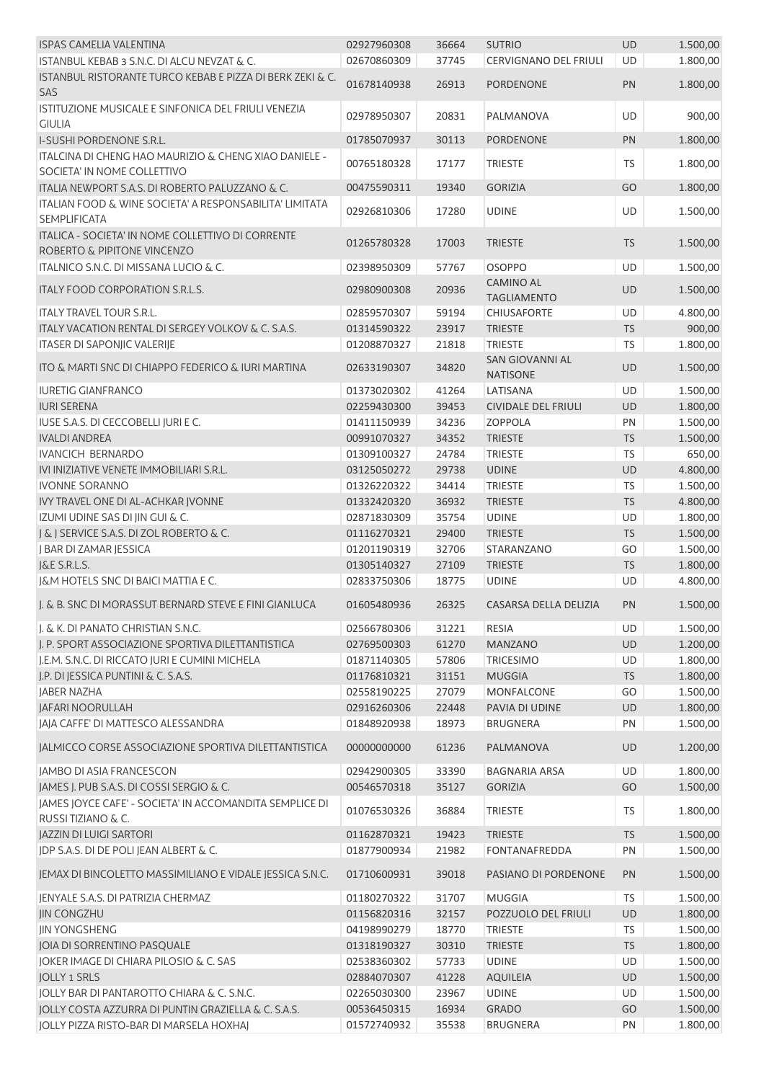| <b>ISPAS CAMELIA VALENTINA</b>                            | 02927960308 | 36664 | <b>SUTRIO</b>              | UD        | 1.500,00 |
|-----------------------------------------------------------|-------------|-------|----------------------------|-----------|----------|
| ISTANBUL KEBAB 3 S.N.C. DI ALCU NEVZAT & C.               | 02670860309 | 37745 | CERVIGNANO DEL FRIULI      | UD        | 1.800,00 |
| ISTANBUL RISTORANTE TURCO KEBAB E PIZZA DI BERK ZEKI & C. |             |       |                            |           |          |
| SAS                                                       | 01678140938 | 26913 | <b>PORDENONE</b>           | PN        | 1.800,00 |
| ISTITUZIONE MUSICALE E SINFONICA DEL FRIULI VENEZIA       |             |       |                            |           |          |
| <b>GIULIA</b>                                             | 02978950307 | 20831 | PALMANOVA                  | UD        | 900,00   |
| <b>I-SUSHI PORDENONE S.R.L.</b>                           | 01785070937 | 30113 | <b>PORDENONE</b>           | PN        | 1.800,00 |
| ITALCINA DI CHENG HAO MAURIZIO & CHENG XIAO DANIELE -     |             |       |                            |           |          |
| SOCIETA' IN NOME COLLETTIVO                               | 00765180328 | 17177 | <b>TRIESTE</b>             | TS        | 1.800,00 |
| ITALIA NEWPORT S.A.S. DI ROBERTO PALUZZANO & C.           | 00475590311 | 19340 | <b>GORIZIA</b>             | GO        | 1.800,00 |
| ITALIAN FOOD & WINE SOCIETA' A RESPONSABILITA' LIMITATA   |             |       |                            |           |          |
| <b>SEMPLIFICATA</b>                                       | 02926810306 | 17280 | <b>UDINE</b>               | UD        | 1.500,00 |
| ITALICA - SOCIETA' IN NOME COLLETTIVO DI CORRENTE         |             |       |                            |           |          |
| ROBERTO & PIPITONE VINCENZO                               | 01265780328 | 17003 | <b>TRIESTE</b>             | <b>TS</b> | 1.500,00 |
| ITALNICO S.N.C. DI MISSANA LUCIO & C.                     | 02398950309 | 57767 | <b>OSOPPO</b>              | UD        | 1.500,00 |
|                                                           |             |       | CAMINO AL                  |           |          |
| ITALY FOOD CORPORATION S.R.L.S.                           | 02980900308 | 20936 | <b>TAGLIAMENTO</b>         | UD        | 1.500,00 |
| <b>ITALY TRAVEL TOUR S.R.L.</b>                           | 02859570307 | 59194 | <b>CHIUSAFORTE</b>         | UD        | 4.800,00 |
| ITALY VACATION RENTAL DI SERGEY VOLKOV & C. S.A.S.        | 01314590322 | 23917 | <b>TRIESTE</b>             | <b>TS</b> | 900,00   |
| <b>ITASER DI SAPONJIC VALERIJE</b>                        | 01208870327 | 21818 | <b>TRIESTE</b>             | <b>TS</b> | 1.800,00 |
|                                                           |             |       | SAN GIOVANNI AL            |           |          |
| ITO & MARTI SNC DI CHIAPPO FEDERICO & IURI MARTINA        | 02633190307 | 34820 | <b>NATISONE</b>            | UD        | 1.500,00 |
| <b>IURETIG GIANFRANCO</b>                                 | 01373020302 | 41264 | LATISANA                   | UD        | 1.500,00 |
| <b>IURI SERENA</b>                                        | 02259430300 | 39453 | <b>CIVIDALE DEL FRIULI</b> | UD        | 1.800,00 |
| IUSE S.A.S. DI CECCOBELLI JURI E C.                       | 01411150939 | 34236 | <b>ZOPPOLA</b>             | PN        | 1.500,00 |
| <b>IVALDI ANDREA</b>                                      | 00991070327 | 34352 | <b>TRIESTE</b>             | <b>TS</b> | 1.500,00 |
| <b>IVANCICH BERNARDO</b>                                  | 01309100327 | 24784 | <b>TRIESTE</b>             | TS        | 650,00   |
| IVI INIZIATIVE VENETE IMMOBILIARI S.R.L.                  | 03125050272 | 29738 | <b>UDINE</b>               | UD        | 4.800,00 |
| <b>IVONNE SORANNO</b>                                     | 01326220322 | 34414 | <b>TRIESTE</b>             | TS        | 1.500,00 |
| IVY TRAVEL ONE DI AL-ACHKAR JVONNE                        | 01332420320 | 36932 | <b>TRIESTE</b>             | <b>TS</b> | 4.800,00 |
| IZUMI UDINE SAS DI JIN GUI & C.                           | 02871830309 | 35754 | <b>UDINE</b>               | UD        | 1.800,00 |
| J & J SERVICE S.A.S. DI ZOL ROBERTO & C.                  | 01116270321 | 29400 | <b>TRIESTE</b>             | <b>TS</b> | 1.500,00 |
|                                                           |             |       | <b>STARANZANO</b>          |           |          |
| J BAR DI ZAMAR JESSICA                                    | 01201190319 | 32706 |                            | GO        | 1.500,00 |
| J&E S.R.L.S.                                              | 01305140327 | 27109 | <b>TRIESTE</b>             | TS        | 1.800,00 |
| J&M HOTELS SNC DI BAICI MATTIA E C.                       | 02833750306 | 18775 | <b>UDINE</b>               | UD        | 4.800,00 |
| I. & B. SNC DI MORASSUT BERNARD STEVE E FINI GIANLUCA     | 01605480936 | 26325 | CASARSA DELLA DELIZIA      | PN        | 1.500,00 |
| J. & K. DI PANATO CHRISTIAN S.N.C.                        | 02566780306 | 31221 | <b>RESIA</b>               | UD        | 1.500,00 |
| J. P. SPORT ASSOCIAZIONE SPORTIVA DILETTANTISTICA         | 02769500303 | 61270 | <b>MANZANO</b>             | UD        | 1.200,00 |
| J.E.M. S.N.C. DI RICCATO JURI E CUMINI MICHELA            | 01871140305 | 57806 | <b>TRICESIMO</b>           | UD        | 1.800,00 |
| J.P. DI JESSICA PUNTINI & C. S.A.S.                       | 01176810321 | 31151 | <b>MUGGIA</b>              | <b>TS</b> | 1.800,00 |
| <b>JABER NAZHA</b>                                        | 02558190225 | 27079 | <b>MONFALCONE</b>          | GO        | 1.500,00 |
| <b>JAFARI NOORULLAH</b>                                   | 02916260306 | 22448 | PAVIA DI UDINE             | UD        | 1.800,00 |
| JAJA CAFFE' DI MATTESCO ALESSANDRA                        | 01848920938 | 18973 | <b>BRUGNERA</b>            | PN        | 1.500,00 |
|                                                           |             |       |                            |           |          |
| JALMICCO CORSE ASSOCIAZIONE SPORTIVA DILETTANTISTICA      | 00000000000 | 61236 | PALMANOVA                  | UD        | 1.200,00 |
| JAMBO DI ASIA FRANCESCON                                  | 02942900305 | 33390 | <b>BAGNARIA ARSA</b>       | UD        | 1.800,00 |
| JAMES J. PUB S.A.S. DI COSSI SERGIO & C.                  | 00546570318 | 35127 | <b>GORIZIA</b>             | GO        | 1.500,00 |
| JAMES JOYCE CAFE' - SOCIETA' IN ACCOMANDITA SEMPLICE DI   | 01076530326 | 36884 | <b>TRIESTE</b>             | <b>TS</b> | 1.800,00 |
| RUSSI TIZIANO & C.                                        |             |       |                            |           |          |
| <b>JAZZIN DI LUIGI SARTORI</b>                            | 01162870321 | 19423 | <b>TRIESTE</b>             | <b>TS</b> | 1.500,00 |
| JDP S.A.S. DI DE POLI JEAN ALBERT & C.                    | 01877900934 | 21982 | <b>FONTANAFREDDA</b>       | PN        | 1.500,00 |
| JEMAX DI BINCOLETTO MASSIMILIANO E VIDALE JESSICA S.N.C.  | 01710600931 | 39018 | PASIANO DI PORDENONE       | PN        | 1.500,00 |
| JENYALE S.A.S. DI PATRIZIA CHERMAZ                        | 01180270322 | 31707 | <b>MUGGIA</b>              | <b>TS</b> | 1.500,00 |
| <b>JIN CONGZHU</b>                                        | 01156820316 | 32157 | POZZUOLO DEL FRIULI        | UD        | 1.800,00 |
|                                                           |             |       |                            |           |          |
| <b>JIN YONGSHENG</b>                                      | 04198990279 | 18770 | <b>TRIESTE</b>             | TS        | 1.500,00 |
| JOIA DI SORRENTINO PASQUALE                               | 01318190327 | 30310 | <b>TRIESTE</b>             | TS        | 1.800,00 |
| JOKER IMAGE DI CHIARA PILOSIO & C. SAS                    | 02538360302 | 57733 | <b>UDINE</b>               | UD        | 1.500,00 |
| <b>JOLLY 1 SRLS</b>                                       | 02884070307 | 41228 | <b>AQUILEIA</b>            | UD        | 1.500,00 |
| JOLLY BAR DI PANTAROTTO CHIARA & C. S.N.C.                | 02265030300 | 23967 | <b>UDINE</b>               | UD        | 1.500,00 |
| JOLLY COSTA AZZURRA DI PUNTIN GRAZIELLA & C. S.A.S.       | 00536450315 | 16934 | <b>GRADO</b>               | GO        | 1.500,00 |
| JOLLY PIZZA RISTO-BAR DI MARSELA HOXHAJ                   | 01572740932 | 35538 | <b>BRUGNERA</b>            | PN        | 1.800,00 |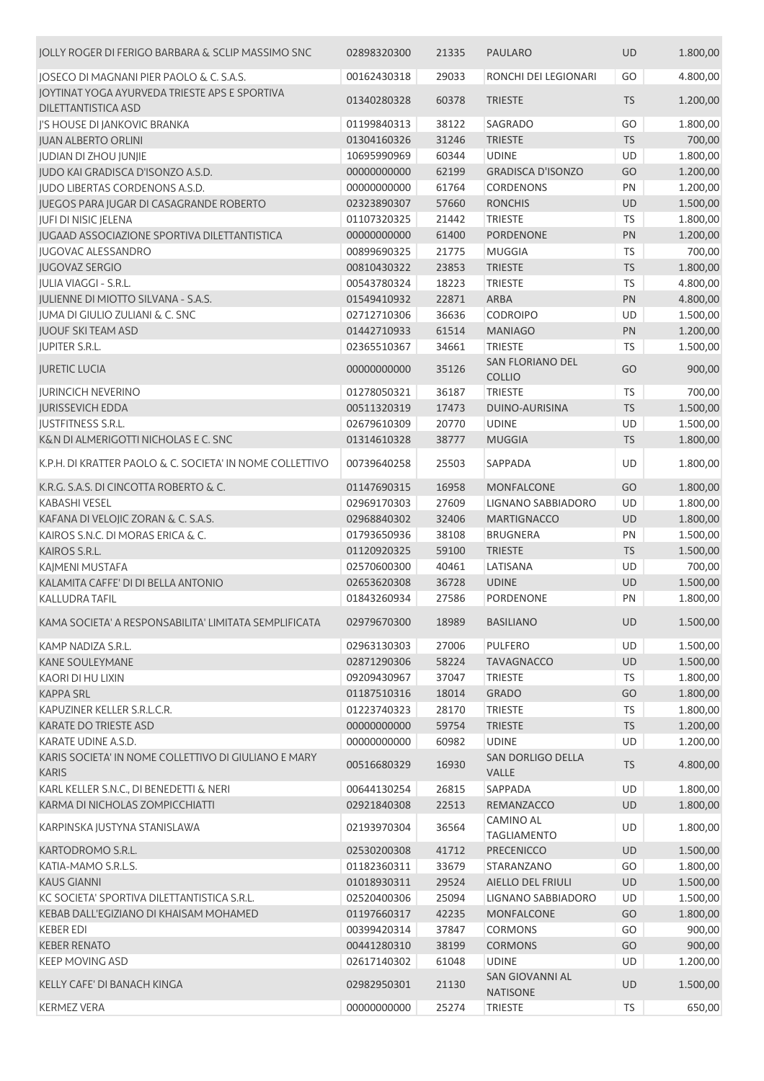| JOLLY ROGER DI FERIGO BARBARA & SCLIP MASSIMO SNC                           | 02898320300 | 21335 | <b>PAULARO</b>                            | <b>UD</b> | 1.800,00 |
|-----------------------------------------------------------------------------|-------------|-------|-------------------------------------------|-----------|----------|
| JOSECO DI MAGNANI PIER PAOLO & C. S.A.S.                                    | 00162430318 | 29033 | RONCHI DEI LEGIONARI                      | GO        | 4.800,00 |
| JOYTINAT YOGA AYURVEDA TRIESTE APS E SPORTIVA<br><b>DILETTANTISTICA ASD</b> | 01340280328 | 60378 | <b>TRIESTE</b>                            | <b>TS</b> | 1.200,00 |
| J'S HOUSE DI JANKOVIC BRANKA                                                | 01199840313 | 38122 | SAGRADO                                   | GO        | 1.800,00 |
| <b>JUAN ALBERTO ORLINI</b>                                                  | 01304160326 | 31246 | <b>TRIESTE</b>                            | <b>TS</b> | 700,00   |
| JUDIAN DI ZHOU JUNJIE                                                       | 10695990969 | 60344 | <b>UDINE</b>                              | UD        | 1.800,00 |
| JUDO KAI GRADISCA D'ISONZO A.S.D.                                           | 00000000000 | 62199 | <b>GRADISCA D'ISONZO</b>                  | GO        | 1.200,00 |
| <b>IUDO LIBERTAS CORDENONS A.S.D.</b>                                       | 00000000000 | 61764 | <b>CORDENONS</b>                          | PN        | 1.200,00 |
| JUEGOS PARA JUGAR DI CASAGRANDE ROBERTO                                     | 02323890307 | 57660 | <b>RONCHIS</b>                            | UD        | 1.500,00 |
| JUFI DI NISIC JELENA                                                        | 01107320325 | 21442 | <b>TRIESTE</b>                            | <b>TS</b> | 1.800,00 |
| JUGAAD ASSOCIAZIONE SPORTIVA DILETTANTISTICA                                | 00000000000 | 61400 | <b>PORDENONE</b>                          | PN        | 1.200,00 |
| <b>JUGOVAC ALESSANDRO</b>                                                   | 00899690325 | 21775 | <b>MUGGIA</b>                             | <b>TS</b> | 700,00   |
| <b>JUGOVAZ SERGIO</b>                                                       | 00810430322 | 23853 | <b>TRIESTE</b>                            | <b>TS</b> | 1.800,00 |
| JULIA VIAGGI - S.R.L.                                                       | 00543780324 | 18223 | <b>TRIESTE</b>                            | <b>TS</b> | 4.800,00 |
| <b>JULIENNE DI MIOTTO SILVANA - S.A.S.</b>                                  | 01549410932 | 22871 | <b>ARBA</b>                               | PN        | 4.800,00 |
| JUMA DI GIULIO ZULIANI & C. SNC                                             | 02712710306 | 36636 | <b>CODROIPO</b>                           | UD        | 1.500,00 |
| <b>JUOUF SKITEAM ASD</b>                                                    | 01442710933 | 61514 | <b>MANIAGO</b>                            | <b>PN</b> | 1.200,00 |
| JUPITER S.R.L.                                                              | 02365510367 | 34661 | <b>TRIESTE</b>                            | <b>TS</b> | 1.500,00 |
| <b>JURETIC LUCIA</b>                                                        | 00000000000 | 35126 | <b>SAN FLORIANO DEL</b><br><b>COLLIO</b>  | GO        | 900,00   |
| <b>IURINCICH NEVERINO</b>                                                   | 01278050321 | 36187 | <b>TRIESTE</b>                            | <b>TS</b> | 700,00   |
| <b>JURISSEVICH EDDA</b>                                                     | 00511320319 | 17473 | <b>DUINO-AURISINA</b>                     | <b>TS</b> | 1.500,00 |
| <b>JUSTFITNESS S.R.L.</b>                                                   | 02679610309 | 20770 | <b>UDINE</b>                              | UD        | 1.500,00 |
| K&N DI ALMERIGOTTI NICHOLAS E C. SNC                                        | 01314610328 | 38777 | <b>MUGGIA</b>                             | <b>TS</b> | 1.800,00 |
| K.P.H. DI KRATTER PAOLO & C. SOCIETA' IN NOME COLLETTIVO                    | 00739640258 | 25503 | SAPPADA                                   | UD        | 1.800,00 |
| K.R.G. S.A.S. DI CINCOTTA ROBERTO & C.                                      | 01147690315 | 16958 | <b>MONFALCONE</b>                         | GO        | 1.800,00 |
| <b>KABASHI VESEL</b>                                                        | 02969170303 | 27609 | LIGNANO SABBIADORO                        | UD        | 1.800,00 |
| KAFANA DI VELOJIC ZORAN & C. S.A.S.                                         | 02968840302 | 32406 | <b>MARTIGNACCO</b>                        | UD        | 1.800,00 |
| KAIROS S.N.C. DI MORAS ERICA & C.                                           | 01793650936 | 38108 | <b>BRUGNERA</b>                           | PN        | 1.500,00 |
| KAIROS S.R.L.                                                               | 01120920325 | 59100 | <b>TRIESTE</b>                            | <b>TS</b> | 1.500,00 |
| KAJMENI MUSTAFA                                                             | 02570600300 | 40461 | LATISANA                                  | UD        | 700,00   |
| KALAMITA CAFFE' DI DI BELLA ANTONIO                                         | 02653620308 | 36728 | <b>UDINE</b>                              | UD        | 1.500,00 |
| <b>KALLUDRA TAFIL</b>                                                       | 01843260934 | 27586 | PORDENONE                                 | PN        | 1.800,00 |
| KAMA SOCIETA' A RESPONSABILITA' LIMITATA SEMPLIFICATA                       | 02979670300 | 18989 | <b>BASILIANO</b>                          | UD        | 1.500,00 |
| KAMP NADIZA S.R.L.                                                          | 02963130303 | 27006 | <b>PULFERO</b>                            | UD        | 1.500,00 |
| KANE SOULEYMANE                                                             | 02871290306 | 58224 | <b>TAVAGNACCO</b>                         | <b>UD</b> | 1.500,00 |
| KAORI DI HU LIXIN                                                           | 09209430967 | 37047 | <b>TRIESTE</b>                            | <b>TS</b> | 1.800,00 |
| <b>KAPPA SRL</b>                                                            | 01187510316 | 18014 | <b>GRADO</b>                              | GO        | 1.800,00 |
| KAPUZINER KELLER S.R.L.C.R.                                                 | 01223740323 | 28170 | <b>TRIESTE</b>                            | TS        | 1.800,00 |
| KARATE DO TRIESTE ASD                                                       | 00000000000 | 59754 | <b>TRIESTE</b>                            | TS        | 1.200,00 |
| KARATE UDINE A.S.D.                                                         | 00000000000 | 60982 | <b>UDINE</b>                              | UD        | 1.200,00 |
| KARIS SOCIETA' IN NOME COLLETTIVO DI GIULIANO E MARY<br><b>KARIS</b>        | 00516680329 | 16930 | <b>SAN DORLIGO DELLA</b><br><b>VALLE</b>  | <b>TS</b> | 4.800,00 |
| KARL KELLER S.N.C., DI BENEDETTI & NERI                                     | 00644130254 | 26815 | SAPPADA                                   | <b>UD</b> | 1.800,00 |
| KARMA DI NICHOLAS ZOMPICCHIATTI                                             | 02921840308 | 22513 | REMANZACCO                                | <b>UD</b> | 1.800,00 |
| KARPINSKA JUSTYNA STANISLAWA                                                | 02193970304 | 36564 | <b>CAMINO AL</b><br><b>TAGLIAMENTO</b>    | UD        | 1.800,00 |
| KARTODROMO S.R.L.                                                           | 02530200308 | 41712 | <b>PRECENICCO</b>                         | <b>UD</b> | 1.500,00 |
| KATIA-MAMO S.R.L.S.                                                         | 01182360311 | 33679 | STARANZANO                                | GO        | 1.800,00 |
| <b>KAUS GIANNI</b>                                                          | 01018930311 | 29524 | AIELLO DEL FRIULI                         | <b>UD</b> | 1.500,00 |
| KC SOCIETA' SPORTIVA DILETTANTISTICA S.R.L.                                 | 02520400306 | 25094 | LIGNANO SABBIADORO                        | UD        | 1.500,00 |
| KEBAB DALL'EGIZIANO DI KHAISAM MOHAMED                                      | 01197660317 | 42235 | <b>MONFALCONE</b>                         | GO        | 1.800,00 |
| <b>KEBER EDI</b>                                                            | 00399420314 | 37847 | <b>CORMONS</b>                            | GO        | 900,00   |
| <b>KEBER RENATO</b>                                                         | 00441280310 | 38199 | <b>CORMONS</b>                            | GO        | 900,00   |
| KEEP MOVING ASD                                                             | 02617140302 | 61048 | <b>UDINE</b>                              | UD        | 1.200,00 |
| KELLY CAFE' DI BANACH KINGA                                                 | 02982950301 | 21130 | <b>SAN GIOVANNI AL</b><br><b>NATISONE</b> | UD        | 1.500,00 |
| KERMEZ VERA                                                                 | 00000000000 | 25274 | <b>TRIESTE</b>                            | <b>TS</b> | 650,00   |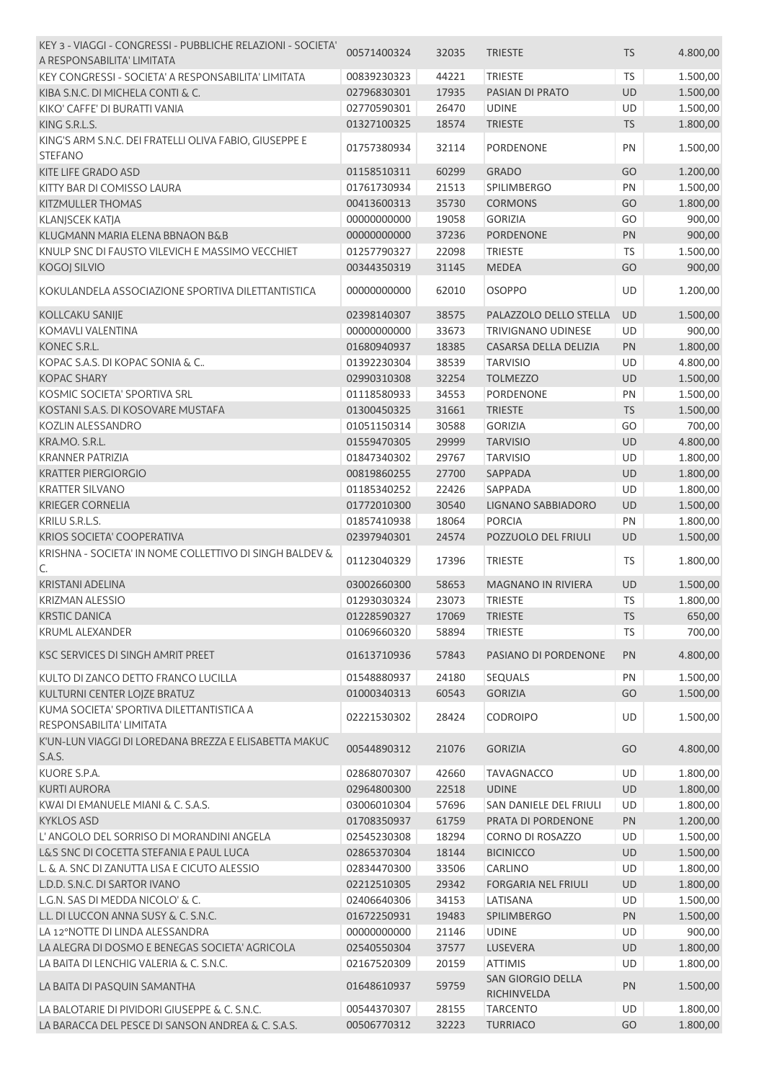| KEY 3 - VIAGGI - CONGRESSI - PUBBLICHE RELAZIONI - SOCIETA'              | 00571400324                 | 32035 | <b>TRIESTE</b>                   | <b>TS</b> | 4.800,00 |
|--------------------------------------------------------------------------|-----------------------------|-------|----------------------------------|-----------|----------|
| A RESPONSABILITA' LIMITATA                                               |                             |       |                                  |           |          |
| KEY CONGRESSI - SOCIETA' A RESPONSABILITA' LIMITATA                      | 00839230323                 | 44221 | <b>TRIESTE</b>                   | <b>TS</b> | 1.500,00 |
| KIBA S.N.C. DI MICHELA CONTI & C.                                        | 02796830301                 | 17935 | PASIAN DI PRATO                  | <b>UD</b> | 1.500,00 |
| KIKO' CAFFE' DI BURATTI VANIA                                            | 02770590301                 | 26470 | <b>UDINE</b>                     | UD        | 1.500,00 |
| KING S.R.L.S.                                                            | 01327100325                 | 18574 | <b>TRIESTE</b>                   | <b>TS</b> | 1.800,00 |
| KING'S ARM S.N.C. DEI FRATELLI OLIVA FABIO, GIUSEPPE E<br><b>STEFANO</b> | 01757380934                 | 32114 | PORDENONE                        | PN        | 1.500,00 |
| KITE LIFE GRADO ASD                                                      | 01158510311                 | 60299 | <b>GRADO</b>                     | GO        | 1.200,00 |
|                                                                          | 01761730934                 |       |                                  |           |          |
| KITTY BAR DI COMISSO LAURA                                               |                             | 21513 | <b>SPILIMBERGO</b>               | PN        | 1.500,00 |
| <b>KITZMULLER THOMAS</b>                                                 | 00413600313                 | 35730 | <b>CORMONS</b>                   | GO        | 1.800,00 |
| <b>KLANJSCEK KATJA</b>                                                   | 00000000000                 | 19058 | <b>GORIZIA</b>                   | GO        | 900,00   |
| KLUGMANN MARIA ELENA BBNAON B&B                                          | 00000000000                 | 37236 | <b>PORDENONE</b>                 | PN        | 900,00   |
| KNULP SNC DI FAUSTO VILEVICH E MASSIMO VECCHIET                          | 01257790327                 | 22098 | <b>TRIESTE</b>                   | TS        | 1.500,00 |
| <b>KOGOJ SILVIO</b>                                                      | 00344350319                 | 31145 | <b>MEDEA</b>                     | GO        | 900,00   |
| KOKULANDELA ASSOCIAZIONE SPORTIVA DILETTANTISTICA                        | 00000000000                 | 62010 | <b>OSOPPO</b>                    | UD        | 1.200,00 |
| KOLLCAKU SANIJE                                                          | 02398140307                 | 38575 | PALAZZOLO DELLO STELLA           | UD        | 1.500,00 |
| KOMAVLI VALENTINA                                                        | 00000000000                 | 33673 | TRIVIGNANO UDINESE               | UD        | 900,00   |
| KONEC S.R.L.                                                             | 01680940937                 | 18385 | CASARSA DELLA DELIZIA            | PN        | 1.800,00 |
| KOPAC S.A.S. DI KOPAC SONIA & C                                          | 01392230304                 | 38539 | <b>TARVISIO</b>                  | UD        | 4.800,00 |
| <b>KOPAC SHARY</b>                                                       | 02990310308                 | 32254 | <b>TOLMEZZO</b>                  | <b>UD</b> | 1.500,00 |
| KOSMIC SOCIETA' SPORTIVA SRL                                             | 01118580933                 | 34553 | <b>PORDENONE</b>                 | PN        | 1.500,00 |
|                                                                          |                             |       |                                  |           |          |
| KOSTANI S.A.S. DI KOSOVARE MUSTAFA                                       | 01300450325                 | 31661 | <b>TRIESTE</b>                   | <b>TS</b> | 1.500,00 |
| KOZLIN ALESSANDRO                                                        | 01051150314                 | 30588 | <b>GORIZIA</b>                   | GO        | 700,00   |
| KRA.MO. S.R.L.                                                           | 01559470305                 | 29999 | <b>TARVISIO</b>                  | <b>UD</b> | 4.800,00 |
| <b>KRANNER PATRIZIA</b>                                                  | 01847340302                 | 29767 | <b>TARVISIO</b>                  | UD        | 1.800,00 |
| <b>KRATTER PIERGIORGIO</b>                                               | 00819860255                 | 27700 | SAPPADA                          | UD        | 1.800,00 |
| <b>KRATTER SILVANO</b>                                                   | 01185340252                 | 22426 | SAPPADA                          | UD        | 1.800,00 |
| <b>KRIEGER CORNELIA</b>                                                  | 01772010300                 | 30540 | LIGNANO SABBIADORO               | UD        | 1.500,00 |
| KRILU S.R.L.S.                                                           | 01857410938                 | 18064 | <b>PORCIA</b>                    | PN        | 1.800,00 |
| <b>KRIOS SOCIETA' COOPERATIVA</b>                                        | 02397940301                 | 24574 | POZZUOLO DEL FRIULI              | UD        | 1.500,00 |
| KRISHNA - SOCIETA' IN NOME COLLETTIVO DI SINGH BALDEV &<br>C.            | 01123040329                 | 17396 | <b>TRIESTE</b>                   | TS        | 1.800,00 |
| <b>KRISTANI ADELINA</b>                                                  | 03002660300                 | 58653 | <b>MAGNANO IN RIVIERA</b>        | UD        | 1.500,00 |
| <b>KRIZMAN ALESSIO</b>                                                   | 01293030324                 | 23073 | <b>TRIESTE</b>                   | TS        | 1.800,00 |
| <b>KRSTIC DANICA</b>                                                     | 01228590327  17069  TRIESTE |       |                                  | <b>TS</b> | 650,00   |
| <b>KRUML ALEXANDER</b>                                                   | 01069660320                 | 58894 | <b>TRIESTE</b>                   | TS        | 700,00   |
|                                                                          |                             |       |                                  |           |          |
| KSC SERVICES DI SINGH AMRIT PREET                                        | 01613710936                 | 57843 | PASIANO DI PORDENONE             | PN        | 4.800,00 |
| KULTO DI ZANCO DETTO FRANCO LUCILLA                                      | 01548880937                 | 24180 | <b>SEQUALS</b>                   | PN        | 1.500,00 |
| KULTURNI CENTER LOJZE BRATUZ                                             | 01000340313                 | 60543 | <b>GORIZIA</b>                   | GO        | 1.500,00 |
| KUMA SOCIETA' SPORTIVA DILETTANTISTICA A<br>RESPONSABILITA' LIMITATA     | 02221530302                 | 28424 | <b>CODROIPO</b>                  | UD        | 1.500,00 |
| K'UN-LUN VIAGGI DI LOREDANA BREZZA E ELISABETTA MAKUC                    |                             |       |                                  |           |          |
| S.A.S.                                                                   | 00544890312                 | 21076 | <b>GORIZIA</b>                   | GO        | 4.800,00 |
| KUORE S.P.A.                                                             | 02868070307                 | 42660 | <b>TAVAGNACCO</b>                | <b>UD</b> | 1.800,00 |
| <b>KURTI AURORA</b>                                                      | 02964800300                 | 22518 | <b>UDINE</b>                     | UD        | 1.800,00 |
|                                                                          |                             |       |                                  |           |          |
| KWAI DI EMANUELE MIANI & C. S.A.S.                                       | 03006010304                 | 57696 | SAN DANIELE DEL FRIULI           | UD        | 1.800,00 |
| <b>KYKLOS ASD</b>                                                        | 01708350937                 | 61759 | PRATA DI PORDENONE               | PN        | 1.200,00 |
| L'ANGOLO DEL SORRISO DI MORANDINI ANGELA                                 | 02545230308                 | 18294 | CORNO DI ROSAZZO                 | UD        | 1.500,00 |
| L&S SNC DI COCETTA STEFANIA E PAUL LUCA                                  | 02865370304                 | 18144 | <b>BICINICCO</b>                 | UD        | 1.500,00 |
| L. & A. SNC DI ZANUTTA LISA E CICUTO ALESSIO                             | 02834470300                 | 33506 | CARLINO                          | UD        | 1.800,00 |
| L.D.D. S.N.C. DI SARTOR IVANO                                            | 02212510305                 | 29342 | <b>FORGARIA NEL FRIULI</b>       | UD        | 1.800,00 |
| L.G.N. SAS DI MEDDA NICOLO' & C.                                         | 02406640306                 | 34153 | LATISANA                         | UD        | 1.500,00 |
| L.L. DI LUCCON ANNA SUSY & C. S.N.C.                                     | 01672250931                 | 19483 | <b>SPILIMBERGO</b>               | PN        | 1.500,00 |
| LA 12°NOTTE DI LINDA ALESSANDRA                                          | 00000000000                 | 21146 | <b>UDINE</b>                     | UD        | 900,00   |
| LA ALEGRA DI DOSMO E BENEGAS SOCIETA' AGRICOLA                           | 02540550304                 | 37577 | LUSEVERA                         | UD        | 1.800,00 |
| LA BAITA DI LENCHIG VALERIA & C. S.N.C.                                  | 02167520309                 | 20159 | <b>ATTIMIS</b>                   | UD        | 1.800,00 |
| LA BAITA DI PASQUIN SAMANTHA                                             | 01648610937                 | 59759 | SAN GIORGIO DELLA<br>RICHINVELDA | PN        | 1.500,00 |
| LA BALOTARIE DI PIVIDORI GIUSEPPE & C. S.N.C.                            | 00544370307                 | 28155 | <b>TARCENTO</b>                  | UD        | 1.800,00 |
| LA BARACCA DEL PESCE DI SANSON ANDREA & C. S.A.S.                        | 00506770312                 | 32223 | <b>TURRIACO</b>                  | GO        | 1.800,00 |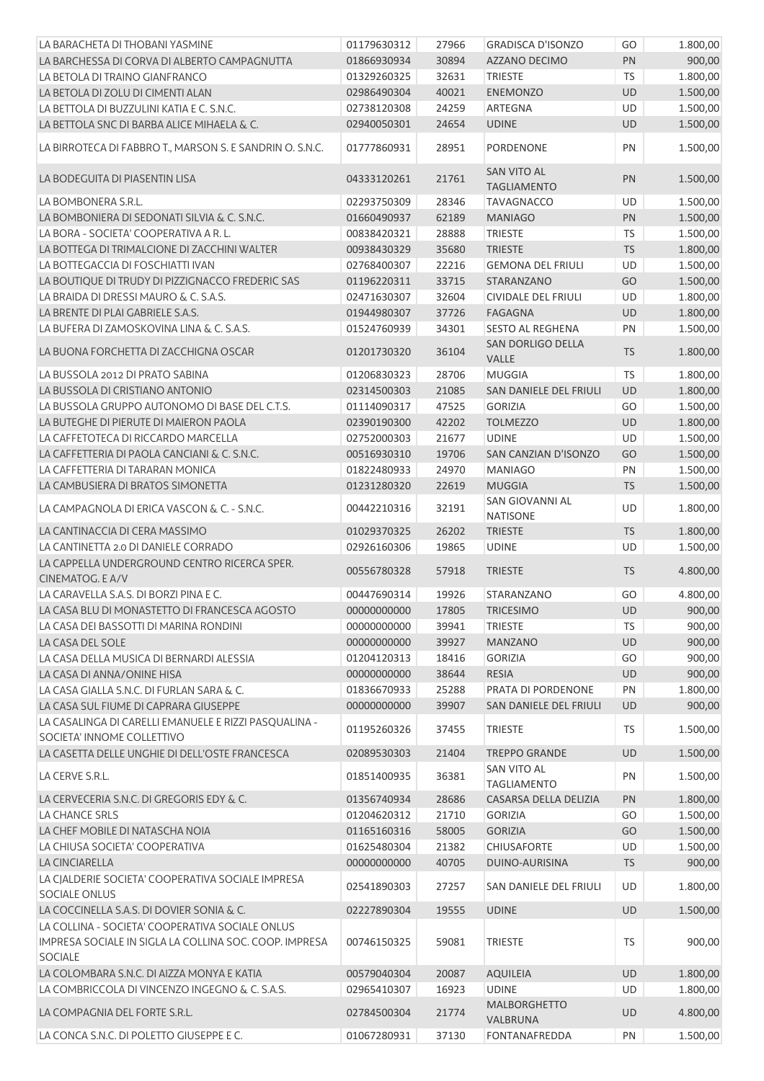| LA BARACHETA DI THOBANI YASMINE                                                                                             | 01179630312 | 27966 | <b>GRADISCA D'ISONZO</b>                 | GO        | 1.800,00 |
|-----------------------------------------------------------------------------------------------------------------------------|-------------|-------|------------------------------------------|-----------|----------|
| LA BARCHESSA DI CORVA DI ALBERTO CAMPAGNUTTA                                                                                | 01866930934 | 30894 | AZZANO DECIMO                            | PN        | 900,00   |
| LA BETOLA DI TRAINO GIANFRANCO                                                                                              | 01329260325 | 32631 | <b>TRIESTE</b>                           | <b>TS</b> | 1.800,00 |
| LA BETOLA DI ZOLU DI CIMENTI ALAN                                                                                           | 02986490304 | 40021 | <b>ENEMONZO</b>                          | <b>UD</b> | 1.500,00 |
| LA BETTOLA DI BUZZULINI KATIA E C. S.N.C.                                                                                   | 02738120308 | 24259 | ARTEGNA                                  | UD        | 1.500,00 |
| LA BETTOLA SNC DI BARBA ALICE MIHAELA & C.                                                                                  | 02940050301 | 24654 | <b>UDINE</b>                             | UD        | 1.500,00 |
| LA BIRROTECA DI FABBRO T., MARSON S. E SANDRIN O. S.N.C.                                                                    | 01777860931 | 28951 | <b>PORDENONE</b>                         | PN        | 1.500,00 |
| LA BODEGUITA DI PIASENTIN LISA                                                                                              | 04333120261 | 21761 | <b>SAN VITO AL</b><br><b>TAGLIAMENTO</b> | PN        | 1.500,00 |
| LA BOMBONERA S.R.L.                                                                                                         | 02293750309 | 28346 | <b>TAVAGNACCO</b>                        | <b>UD</b> | 1.500,00 |
| LA BOMBONIERA DI SEDONATI SILVIA & C. S.N.C.                                                                                | 01660490937 | 62189 | <b>MANIAGO</b>                           | PN        | 1.500,00 |
| LA BORA - SOCIETA' COOPERATIVA A R. L.                                                                                      | 00838420321 | 28888 | <b>TRIESTE</b>                           | <b>TS</b> | 1.500,00 |
| LA BOTTEGA DI TRIMALCIONE DI ZACCHINI WALTER                                                                                | 00938430329 | 35680 | <b>TRIESTE</b>                           | <b>TS</b> | 1.800,00 |
| LA BOTTEGACCIA DI FOSCHIATTI IVAN                                                                                           | 02768400307 | 22216 | <b>GEMONA DEL FRIULI</b>                 | UD        | 1.500,00 |
| LA BOUTIQUE DI TRUDY DI PIZZIGNACCO FREDERIC SAS                                                                            | 01196220311 | 33715 | STARANZANO                               | GO        | 1.500,00 |
| LA BRAIDA DI DRESSI MAURO & C. S.A.S.                                                                                       | 02471630307 | 32604 | CIVIDALE DEL FRIULI                      | UD        | 1.800,00 |
| LA BRENTE DI PLAI GABRIELE S.A.S.                                                                                           | 01944980307 | 37726 | <b>FAGAGNA</b>                           | UD        | 1.800,00 |
| LA BUFERA DI ZAMOSKOVINA LINA & C. S.A.S.                                                                                   | 01524760939 | 34301 | SESTO AL REGHENA                         | PN        | 1.500,00 |
| LA BUONA FORCHETTA DI ZACCHIGNA OSCAR                                                                                       | 01201730320 | 36104 | SAN DORLIGO DELLA<br>VALLE               | <b>TS</b> | 1.800,00 |
| LA BUSSOLA 2012 DI PRATO SABINA                                                                                             | 01206830323 | 28706 | MUGGIA                                   | <b>TS</b> | 1.800,00 |
| LA BUSSOLA DI CRISTIANO ANTONIO                                                                                             | 02314500303 | 21085 | SAN DANIELE DEL FRIULI                   | UD        | 1.800,00 |
| LA BUSSOLA GRUPPO AUTONOMO DI BASE DEL C.T.S.                                                                               | 01114090317 | 47525 | <b>GORIZIA</b>                           | GO        | 1.500,00 |
| LA BUTEGHE DI PIERUTE DI MAIERON PAOLA                                                                                      | 02390190300 | 42202 | <b>TOLMEZZO</b>                          | UD        | 1.800,00 |
| LA CAFFETOTECA DI RICCARDO MARCELLA                                                                                         | 02752000303 | 21677 | <b>UDINE</b>                             | UD        | 1.500,00 |
| LA CAFFETTERIA DI PAOLA CANCIANI & C. S.N.C.                                                                                | 00516930310 | 19706 | SAN CANZIAN D'ISONZO                     | GO        | 1.500,00 |
| LA CAFFETTERIA DI TARARAN MONICA                                                                                            | 01822480933 | 24970 | <b>MANIAGO</b>                           | PN        | 1.500,00 |
| LA CAMBUSIERA DI BRATOS SIMONETTA                                                                                           | 01231280320 | 22619 | <b>MUGGIA</b>                            | <b>TS</b> | 1.500,00 |
| LA CAMPAGNOLA DI ERICA VASCON & C. - S.N.C.                                                                                 | 00442210316 | 32191 | SAN GIOVANNI AL<br><b>NATISONE</b>       | UD        | 1.800,00 |
| LA CANTINACCIA DI CERA MASSIMO                                                                                              | 01029370325 | 26202 | <b>TRIESTE</b>                           | <b>TS</b> | 1.800,00 |
| LA CANTINETTA 2.0 DI DANIELE CORRADO                                                                                        | 02926160306 | 19865 | <b>UDINE</b>                             | UD        | 1.500,00 |
| LA CAPPELLA UNDERGROUND CENTRO RICERCA SPER.<br>CINEMATOG. E A/V                                                            | 00556780328 | 57918 | <b>TRIESTE</b>                           | TS        | 4.800,00 |
| LA CARAVELLA S.A.S. DI BORZI PINA E C.                                                                                      | 00447690314 | 19926 | STARANZANO                               | GO        | 4.800,00 |
| LA CASA BLU DI MONASTETTO DI FRANCESCA AGOSTO                                                                               | 00000000000 | 17805 | <b>TRICESIMO</b>                         | <b>UD</b> | 900,00   |
| LA CASA DEI BASSOTTI DI MARINA RONDINI                                                                                      | 00000000000 | 39941 | <b>TRIESTE</b>                           | TS        | 900,00   |
| LA CASA DEL SOLE                                                                                                            | 00000000000 | 39927 | <b>MANZANO</b>                           | UD        | 900,00   |
| LA CASA DELLA MUSICA DI BERNARDI ALESSIA                                                                                    | 01204120313 | 18416 | <b>GORIZIA</b>                           | GO        | 900,00   |
| LA CASA DI ANNA/ONINE HISA                                                                                                  | 00000000000 | 38644 | <b>RESIA</b>                             | <b>UD</b> | 900,00   |
| LA CASA GIALLA S.N.C. DI FURLAN SARA & C.                                                                                   | 01836670933 | 25288 | PRATA DI PORDENONE                       | PN        | 1.800,00 |
| LA CASA SUL FIUME DI CAPRARA GIUSEPPE                                                                                       | 00000000000 | 39907 | SAN DANIELE DEL FRIULI                   | <b>UD</b> | 900,00   |
| LA CASALINGA DI CARELLI EMANUELE E RIZZI PASQUALINA -<br>SOCIETA' INNOME COLLETTIVO                                         | 01195260326 | 37455 | <b>TRIESTE</b>                           | TS        | 1.500,00 |
| LA CASETTA DELLE UNGHIE DI DELL'OSTE FRANCESCA                                                                              | 02089530303 | 21404 | <b>TREPPO GRANDE</b>                     | <b>UD</b> | 1.500,00 |
| LA CERVE S.R.L.                                                                                                             | 01851400935 | 36381 | <b>SAN VITO AL</b><br><b>TAGLIAMENTO</b> | PN        | 1.500,00 |
| LA CERVECERIA S.N.C. DI GREGORIS EDY & C.                                                                                   | 01356740934 | 28686 | CASARSA DELLA DELIZIA                    | PN        | 1.800,00 |
| LA CHANCE SRLS                                                                                                              | 01204620312 | 21710 | <b>GORIZIA</b>                           | GO        | 1.500,00 |
| LA CHEF MOBILE DI NATASCHA NOIA                                                                                             | 01165160316 | 58005 | <b>GORIZIA</b>                           | GO        | 1.500,00 |
| LA CHIUSA SOCIETA' COOPERATIVA                                                                                              | 01625480304 | 21382 | <b>CHIUSAFORTE</b>                       | UD        | 1.500,00 |
| <b>LA CINCIARELLA</b>                                                                                                       | 00000000000 | 40705 | DUINO-AURISINA                           | <b>TS</b> | 900,00   |
| LA CJALDERIE SOCIETA' COOPERATIVA SOCIALE IMPRESA<br><b>SOCIALE ONLUS</b>                                                   | 02541890303 | 27257 | SAN DANIELE DEL FRIULI                   | UD        | 1.800,00 |
| LA COCCINELLA S.A.S. DI DOVIER SONIA & C.                                                                                   | 02227890304 | 19555 | <b>UDINE</b>                             | UD        | 1.500,00 |
| LA COLLINA - SOCIETA' COOPERATIVA SOCIALE ONLUS<br>IMPRESA SOCIALE IN SIGLA LA COLLINA SOC. COOP. IMPRESA<br><b>SOCIALE</b> | 00746150325 | 59081 | <b>TRIESTE</b>                           | TS        | 900,00   |
| LA COLOMBARA S.N.C. DI AIZZA MONYA E KATIA                                                                                  | 00579040304 | 20087 | <b>AQUILEIA</b>                          | UD        | 1.800,00 |
| LA COMBRICCOLA DI VINCENZO INGEGNO & C. S.A.S.                                                                              | 02965410307 | 16923 | <b>UDINE</b>                             | UD        | 1.800,00 |
| LA COMPAGNIA DEL FORTE S.R.L.                                                                                               | 02784500304 | 21774 | MALBORGHETTO                             | UD        | 4.800,00 |
| LA CONCA S.N.C. DI POLETTO GIUSEPPE E C.                                                                                    | 01067280931 | 37130 | VALBRUNA<br><b>FONTANAFREDDA</b>         | PN        | 1.500,00 |
|                                                                                                                             |             |       |                                          |           |          |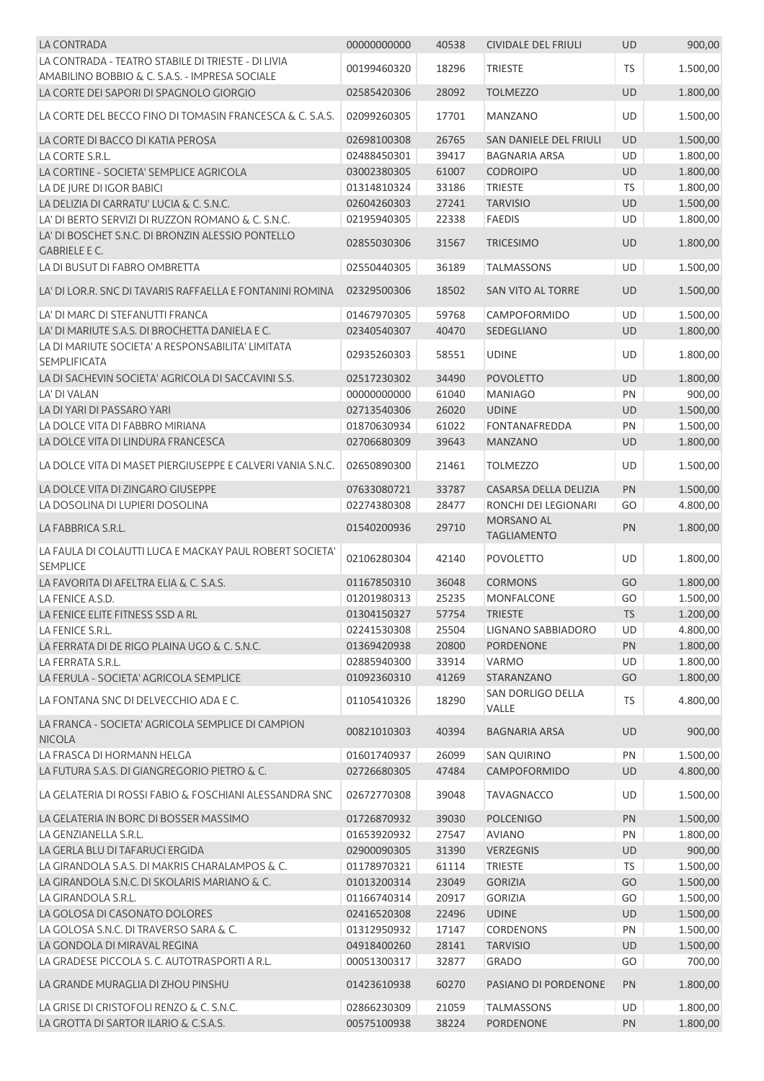| LA CONTRADA                                                                | 00000000000 | 40538 | CIVIDALE DEL FRIULI    | <b>UD</b> | 900,00   |
|----------------------------------------------------------------------------|-------------|-------|------------------------|-----------|----------|
| LA CONTRADA - TEATRO STABILE DI TRIESTE - DI LIVIA                         | 00199460320 | 18296 |                        | <b>TS</b> |          |
| AMABILINO BOBBIO & C. S.A.S. - IMPRESA SOCIALE                             |             |       | <b>TRIESTE</b>         |           | 1.500,00 |
| LA CORTE DEI SAPORI DI SPAGNOLO GIORGIO                                    | 02585420306 | 28092 | <b>TOLMEZZO</b>        | <b>UD</b> | 1.800,00 |
| LA CORTE DEL BECCO FINO DI TOMASIN FRANCESCA & C. S.A.S.                   | 02099260305 | 17701 | <b>MANZANO</b>         | UD        | 1.500,00 |
| LA CORTE DI BACCO DI KATIA PEROSA                                          | 02698100308 | 26765 | SAN DANIELE DEL FRIULI | UD        | 1.500,00 |
| LA CORTE S.R.L.                                                            | 02488450301 | 39417 | <b>BAGNARIA ARSA</b>   | UD        | 1.800,00 |
| LA CORTINE - SOCIETA' SEMPLICE AGRICOLA                                    | 03002380305 | 61007 | <b>CODROIPO</b>        | UD        | 1.800,00 |
| LA DE IURE DI IGOR BABICI                                                  | 01314810324 | 33186 | <b>TRIESTE</b>         | <b>TS</b> | 1.800,00 |
| LA DELIZIA DI CARRATU' LUCIA & C. S.N.C.                                   | 02604260303 | 27241 | <b>TARVISIO</b>        | UD        | 1.500,00 |
| LA' DI BERTO SERVIZI DI RUZZON ROMANO & C. S.N.C.                          | 02195940305 | 22338 | <b>FAEDIS</b>          | UD        | 1.800,00 |
| LA' DI BOSCHET S.N.C. DI BRONZIN ALESSIO PONTELLO<br><b>GABRIELE E C.</b>  | 02855030306 | 31567 | <b>TRICESIMO</b>       | UD        | 1.800,00 |
| LA DI BUSUT DI FABRO OMBRETTA                                              | 02550440305 | 36189 | <b>TALMASSONS</b>      | UD        | 1.500,00 |
|                                                                            |             |       |                        |           |          |
| LA' DI LOR.R. SNC DI TAVARIS RAFFAELLA E FONTANINI ROMINA                  | 02329500306 | 18502 | SAN VITO AL TORRE      | <b>UD</b> | 1.500,00 |
| LA' DI MARC DI STEFANUTTI FRANCA                                           | 01467970305 | 59768 | <b>CAMPOFORMIDO</b>    | <b>UD</b> | 1.500,00 |
| LA' DI MARIUTE S.A.S. DI BROCHETTA DANIELA E C.                            | 02340540307 | 40470 | <b>SEDEGLIANO</b>      | UD        | 1.800,00 |
| LA DI MARIUTE SOCIETA' A RESPONSABILITA' LIMITATA                          | 02935260303 | 58551 | <b>UDINE</b>           | UD        | 1.800,00 |
| SEMPLIFICATA                                                               |             |       |                        |           |          |
| LA DI SACHEVIN SOCIETA' AGRICOLA DI SACCAVINI S.S.                         | 02517230302 | 34490 | <b>POVOLETTO</b>       | UD        | 1.800,00 |
| LA' DI VALAN                                                               | 00000000000 | 61040 | <b>MANIAGO</b>         | PN        | 900,00   |
| LA DI YARI DI PASSARO YARI                                                 | 02713540306 | 26020 | <b>UDINE</b>           | UD        | 1.500,00 |
| LA DOLCE VITA DI FABBRO MIRIANA                                            | 01870630934 | 61022 | <b>FONTANAFREDDA</b>   | PN        | 1.500,00 |
| LA DOLCE VITA DI LINDURA FRANCESCA                                         | 02706680309 | 39643 | <b>MANZANO</b>         | UD        | 1.800,00 |
| LA DOLCE VITA DI MASET PIERGIUSEPPE E CALVERI VANIA S.N.C.                 | 02650890300 | 21461 | <b>TOLMEZZO</b>        | UD        | 1.500,00 |
| LA DOLCE VITA DI ZINGARO GIUSEPPE                                          | 07633080721 | 33787 | CASARSA DELLA DELIZIA  | PN        | 1.500,00 |
| LA DOSOLINA DI LUPIERI DOSOLINA                                            | 02274380308 | 28477 | RONCHI DEI LEGIONARI   | GO        | 4.800,00 |
|                                                                            |             |       | MORSANO AL             |           |          |
| LA FABBRICA S.R.L.                                                         | 01540200936 | 29710 | <b>TAGLIAMENTO</b>     | PN        | 1.800,00 |
| LA FAULA DI COLAUTTI LUCA E MACKAY PAUL ROBERT SOCIETA'<br><b>SEMPLICE</b> | 02106280304 | 42140 | <b>POVOLETTO</b>       | UD        | 1.800,00 |
| LA FAVORITA DI AFELTRA ELIA & C. S.A.S.                                    | 01167850310 | 36048 | <b>CORMONS</b>         | GO        | 1.800,00 |
| LA FENICE A.S.D.                                                           | 01201980313 | 25235 | <b>MONFALCONE</b>      | GO        | 1.500,00 |
| LA FENICE ELITE FITNESS SSD A RL                                           | 01304150327 | 57754 | TRIESTE                | TS        | 1.200,00 |
| LA FENICE S.R.L.                                                           | 02241530308 | 25504 | LIGNANO SABBIADORO     | UD        | 4.800,00 |
| LA FERRATA DI DE RIGO PLAINA UGO & C. S.N.C.                               | 01369420938 | 20800 | <b>PORDENONE</b>       | PN        | 1.800,00 |
| LA FERRATA S.R.L.                                                          | 02885940300 | 33914 | VARMO                  | UD        | 1.800,00 |
| LA FERULA - SOCIETA' AGRICOLA SEMPLICE                                     | 01092360310 | 41269 | STARANZANO             | GO        | 1.800,00 |
|                                                                            |             |       | SAN DORLIGO DELLA      |           |          |
| LA FONTANA SNC DI DELVECCHIO ADA E C.                                      | 01105410326 | 18290 | VALLE                  | <b>TS</b> | 4.800,00 |
| LA FRANCA - SOCIETA' AGRICOLA SEMPLICE DI CAMPION<br><b>NICOLA</b>         | 00821010303 | 40394 | <b>BAGNARIA ARSA</b>   | UD        | 900,00   |
| LA FRASCA DI HORMANN HELGA                                                 | 01601740937 | 26099 | <b>SAN QUIRINO</b>     | PN        | 1.500,00 |
| LA FUTURA S.A.S. DI GIANGREGORIO PIETRO & C.                               | 02726680305 | 47484 | <b>CAMPOFORMIDO</b>    | UD        | 4.800,00 |
| LA GELATERIA DI ROSSI FABIO & FOSCHIANI ALESSANDRA SNC                     | 02672770308 | 39048 | <b>TAVAGNACCO</b>      | UD        | 1.500,00 |
| LA GELATERIA IN BORC DI BOSSER MASSIMO                                     | 01726870932 | 39030 | <b>POLCENIGO</b>       | PN        | 1.500,00 |
| LA GENZIANELLA S.R.L.                                                      | 01653920932 | 27547 | <b>AVIANO</b>          | PN        | 1.800,00 |
| LA GERLA BLU DI TAFARUCI ERGIDA                                            | 02900090305 | 31390 | <b>VERZEGNIS</b>       | UD        | 900,00   |
| LA GIRANDOLA S.A.S. DI MAKRIS CHARALAMPOS & C.                             | 01178970321 | 61114 | <b>TRIESTE</b>         | <b>TS</b> | 1.500,00 |
| LA GIRANDOLA S.N.C. DI SKOLARIS MARIANO & C.                               | 01013200314 | 23049 | <b>GORIZIA</b>         | GO        | 1.500,00 |
| LA GIRANDOLA S.R.L.                                                        | 01166740314 | 20917 | <b>GORIZIA</b>         | GO        | 1.500,00 |
| LA GOLOSA DI CASONATO DOLORES                                              | 02416520308 | 22496 | <b>UDINE</b>           | UD        | 1.500,00 |
| LA GOLOSA S.N.C. DI TRAVERSO SARA & C.                                     | 01312950932 | 17147 | CORDENONS              | PN        | 1.500,00 |
| LA GONDOLA DI MIRAVAL REGINA                                               | 04918400260 | 28141 | <b>TARVISIO</b>        | UD        | 1.500,00 |
| LA GRADESE PICCOLA S. C. AUTOTRASPORTI A R.L.                              |             |       |                        |           |          |
|                                                                            | 00051300317 | 32877 | <b>GRADO</b>           | GO        | 700,00   |
| LA GRANDE MURAGLIA DI ZHOU PINSHU                                          | 01423610938 | 60270 | PASIANO DI PORDENONE   | <b>PN</b> | 1.800,00 |
| LA GRISE DI CRISTOFOLI RENZO & C. S.N.C.                                   | 02866230309 | 21059 | <b>TALMASSONS</b>      | UD        | 1.800,00 |
| LA GROTTA DI SARTOR ILARIO & C.S.A.S.                                      | 00575100938 | 38224 | PORDENONE              | PN        | 1.800,00 |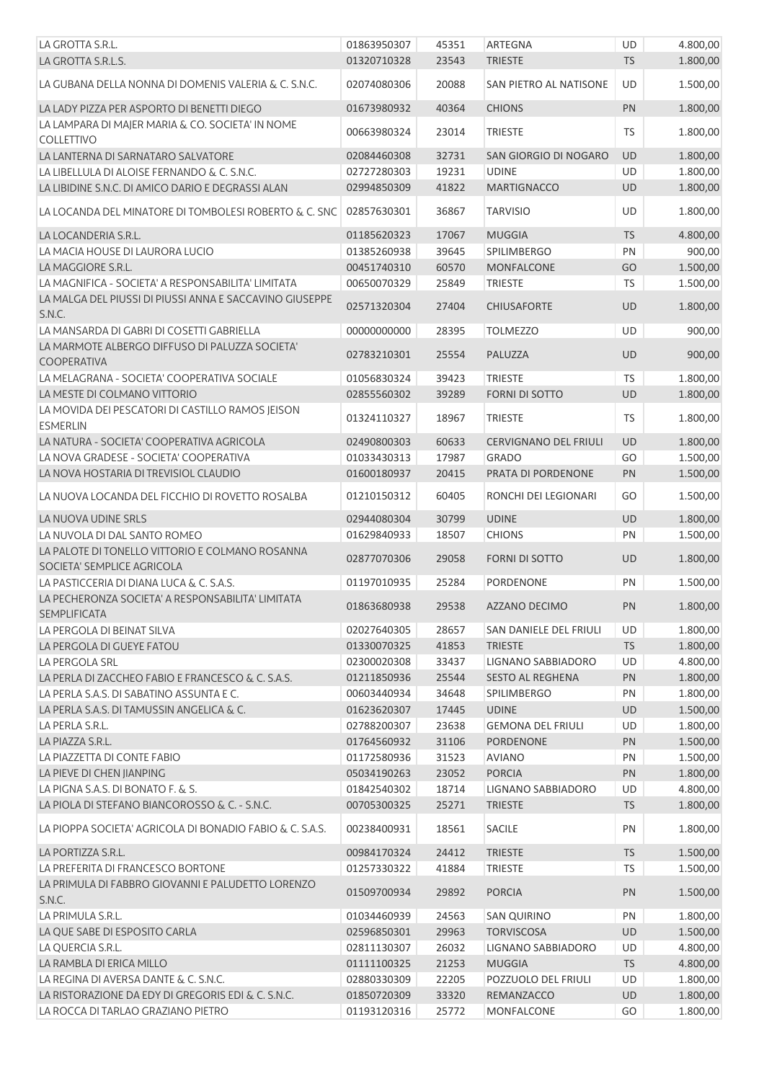| LA GROTTA S.R.L.                                                              | 01863950307 | 45351 | <b>ARTEGNA</b>               | UD        | 4.800,00 |
|-------------------------------------------------------------------------------|-------------|-------|------------------------------|-----------|----------|
| LA GROTTA S.R.L.S.                                                            | 01320710328 | 23543 | <b>TRIESTE</b>               | <b>TS</b> | 1.800,00 |
| LA GUBANA DELLA NONNA DI DOMENIS VALERIA & C. S.N.C.                          | 02074080306 | 20088 | SAN PIETRO AL NATISONE       | UD        | 1.500,00 |
| LA LADY PIZZA PER ASPORTO DI BENETTI DIEGO                                    | 01673980932 | 40364 | <b>CHIONS</b>                | PN        | 1.800,00 |
| LA LAMPARA DI MAJER MARIA & CO. SOCIETA' IN NOME                              | 00663980324 | 23014 | <b>TRIESTE</b>               | TS        | 1.800,00 |
| <b>COLLETTIVO</b><br>LA LANTERNA DI SARNATARO SALVATORE                       | 02084460308 | 32731 | SAN GIORGIO DI NOGARO        | UD        | 1.800,00 |
|                                                                               |             |       |                              |           |          |
| LA LIBELLULA DI ALOISE FERNANDO & C. S.N.C.                                   | 02727280303 | 19231 | <b>UDINE</b>                 | UD        | 1.800,00 |
| LA LIBIDINE S.N.C. DI AMICO DARIO E DEGRASSI ALAN                             | 02994850309 | 41822 | <b>MARTIGNACCO</b>           | UD        | 1.800,00 |
| LA LOCANDA DEL MINATORE DI TOMBOLESI ROBERTO & C. SNC                         | 02857630301 | 36867 | <b>TARVISIO</b>              | UD        | 1.800,00 |
| LA LOCANDERIA S.R.L.                                                          | 01185620323 | 17067 | <b>MUGGIA</b>                | <b>TS</b> | 4.800,00 |
| LA MACIA HOUSE DI LAURORA LUCIO                                               | 01385260938 | 39645 | SPILIMBERGO                  | PN        | 900,00   |
| LA MAGGIORE S.R.L.                                                            | 00451740310 | 60570 | <b>MONFALCONE</b>            | GO        | 1.500,00 |
| LA MAGNIFICA - SOCIETA' A RESPONSABILITA' LIMITATA                            | 00650070329 | 25849 | <b>TRIESTE</b>               | <b>TS</b> | 1.500,00 |
| LA MALGA DEL PIUSSI DI PIUSSI ANNA E SACCAVINO GIUSEPPE                       |             |       |                              |           |          |
| S.N.C.                                                                        | 02571320304 | 27404 | <b>CHIUSAFORTE</b>           | <b>UD</b> | 1.800,00 |
| LA MANSARDA DI GABRI DI COSETTI GABRIELLA                                     | 00000000000 | 28395 | <b>TOLMEZZO</b>              | UD        | 900,00   |
| LA MARMOTE ALBERGO DIFFUSO DI PALUZZA SOCIETA'<br><b>COOPERATIVA</b>          | 02783210301 | 25554 | PALUZZA                      | <b>UD</b> | 900,00   |
| LA MELAGRANA - SOCIETA' COOPERATIVA SOCIALE                                   | 01056830324 | 39423 | <b>TRIESTE</b>               | <b>TS</b> | 1.800,00 |
| LA MESTE DI COLMANO VITTORIO                                                  | 02855560302 | 39289 | <b>FORNI DI SOTTO</b>        | UD        | 1.800,00 |
| LA MOVIDA DEI PESCATORI DI CASTILLO RAMOS JEISON<br><b>ESMERLIN</b>           | 01324110327 | 18967 | <b>TRIESTE</b>               | <b>TS</b> | 1.800,00 |
| LA NATURA - SOCIETA' COOPERATIVA AGRICOLA                                     | 02490800303 | 60633 | <b>CERVIGNANO DEL FRIULI</b> | UD        | 1.800,00 |
| LA NOVA GRADESE - SOCIETA' COOPERATIVA                                        | 01033430313 | 17987 | <b>GRADO</b>                 | GO        | 1.500,00 |
| LA NOVA HOSTARIA DI TREVISIOL CLAUDIO                                         | 01600180937 | 20415 | PRATA DI PORDENONE           | PN        | 1.500,00 |
|                                                                               |             |       |                              |           |          |
| LA NUOVA LOCANDA DEL FICCHIO DI ROVETTO ROSALBA                               | 01210150312 | 60405 | RONCHI DEI LEGIONARI         | GO        | 1.500,00 |
| LA NUOVA UDINE SRLS                                                           | 02944080304 | 30799 | <b>UDINE</b>                 | <b>UD</b> | 1.800,00 |
| LA NUVOLA DI DAL SANTO ROMEO                                                  | 01629840933 | 18507 | <b>CHIONS</b>                | PN        | 1.500,00 |
| LA PALOTE DI TONELLO VITTORIO E COLMANO ROSANNA<br>SOCIETA' SEMPLICE AGRICOLA | 02877070306 | 29058 | <b>FORNI DI SOTTO</b>        | <b>UD</b> | 1.800,00 |
| LA PASTICCERIA DI DIANA LUCA & C. S.A.S.                                      | 01197010935 | 25284 | PORDENONE                    | PN        | 1.500,00 |
| LA PECHERONZA SOCIETA' A RESPONSABILITA' LIMITATA<br><b>SEMPLIFICATA</b>      | 01863680938 | 29538 | AZZANO DECIMO                | PN        | 1.800,00 |
| LA PERGOLA DI BEINAT SILVA                                                    | 02027640305 | 28657 | SAN DANIELE DEL FRIULI       | UD        | 1.800,00 |
| LA PERGOLA DI GUEYE FATOU                                                     | 01330070325 | 41853 | <b>TRIESTE</b>               | <b>TS</b> | 1.800,00 |
| LA PERGOLA SRL                                                                | 02300020308 | 33437 | LIGNANO SABBIADORO           | UD        | 4.800,00 |
| LA PERLA DI ZACCHEO FABIO E FRANCESCO & C. S.A.S.                             | 01211850936 | 25544 | SESTO AL REGHENA             | PN        | 1.800,00 |
| LA PERLA S.A.S. DI SABATINO ASSUNTA E C.                                      | 00603440934 | 34648 | SPILIMBERGO                  | PN        | 1.800,00 |
| LA PERLA S.A.S. DI TAMUSSIN ANGELICA & C.                                     | 01623620307 | 17445 | <b>UDINE</b>                 | UD        | 1.500,00 |
| LA PERLA S.R.L.                                                               | 02788200307 | 23638 | <b>GEMONA DEL FRIULI</b>     | UD        | 1.800,00 |
| LA PIAZZA S.R.L.                                                              | 01764560932 | 31106 | <b>PORDENONE</b>             | PN        | 1.500,00 |
| LA PIAZZETTA DI CONTE FABIO                                                   | 01172580936 | 31523 | <b>AVIANO</b>                | PN        | 1.500,00 |
|                                                                               |             |       |                              |           |          |
| LA PIEVE DI CHEN JIANPING                                                     | 05034190263 | 23052 | <b>PORCIA</b>                | PN        | 1.800,00 |
| LA PIGNA S.A.S. DI BONATO F. & S.                                             | 01842540302 | 18714 | LIGNANO SABBIADORO           | UD        | 4.800,00 |
| LA PIOLA DI STEFANO BIANCOROSSO & C. - S.N.C.                                 | 00705300325 | 25271 | <b>TRIESTE</b>               | <b>TS</b> | 1.800,00 |
| LA PIOPPA SOCIETA' AGRICOLA DI BONADIO FABIO & C. S.A.S.                      | 00238400931 | 18561 | SACILE                       | PN        | 1.800,00 |
| LA PORTIZZA S.R.L.                                                            | 00984170324 | 24412 | <b>TRIESTE</b>               | <b>TS</b> | 1.500,00 |
| LA PREFERITA DI FRANCESCO BORTONE                                             | 01257330322 | 41884 | <b>TRIESTE</b>               | TS        | 1.500,00 |
| LA PRIMULA DI FABBRO GIOVANNI E PALUDETTO LORENZO<br>S.N.C.                   | 01509700934 | 29892 | <b>PORCIA</b>                | PN        | 1.500,00 |
| LA PRIMULA S.R.L.                                                             | 01034460939 | 24563 | <b>SAN QUIRINO</b>           | PN        | 1.800,00 |
| LA QUE SABE DI ESPOSITO CARLA                                                 | 02596850301 | 29963 | <b>TORVISCOSA</b>            | <b>UD</b> | 1.500,00 |
| LA QUERCIA S.R.L.                                                             | 02811130307 | 26032 | LIGNANO SABBIADORO           | UD        | 4.800,00 |
| LA RAMBLA DI ERICA MILLO                                                      | 01111100325 | 21253 | <b>MUGGIA</b>                | <b>TS</b> | 4.800,00 |
| LA REGINA DI AVERSA DANTE & C. S.N.C.                                         | 02880330309 | 22205 | POZZUOLO DEL FRIULI          | UD        | 1.800,00 |
| LA RISTORAZIONE DA EDY DI GREGORIS EDI & C. S.N.C.                            |             |       |                              |           |          |
|                                                                               | 01850720309 | 33320 | REMANZACCO                   | <b>UD</b> | 1.800,00 |
| LA ROCCA DI TARLAO GRAZIANO PIETRO                                            | 01193120316 | 25772 | <b>MONFALCONE</b>            | GO        | 1.800,00 |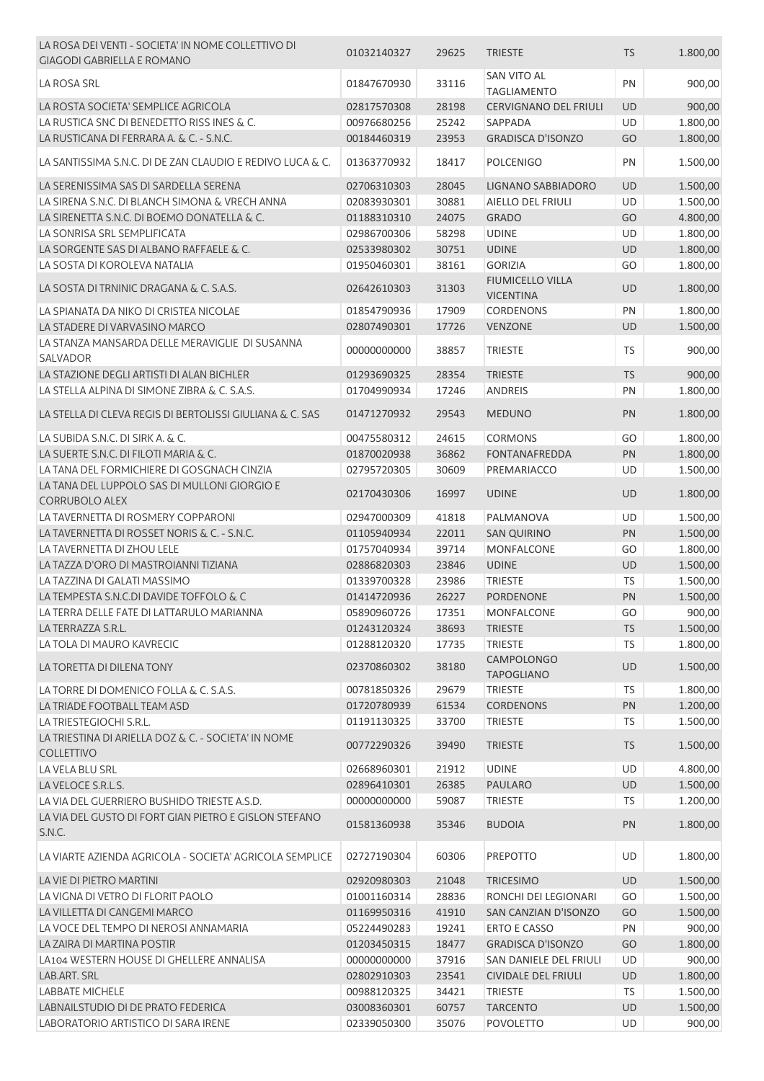| LA ROSA DEI VENTI - SOCIETA' IN NOME COLLETTIVO DI<br><b>GIAGODI GABRIELLA E ROMANO</b>              | 01032140327                | 29625          | <b>TRIESTE</b>                           | <b>TS</b> | 1.800,00             |
|------------------------------------------------------------------------------------------------------|----------------------------|----------------|------------------------------------------|-----------|----------------------|
| LA ROSA SRL                                                                                          | 01847670930                | 33116          | <b>SAN VITO AL</b><br><b>TAGLIAMENTO</b> | PN        | 900,00               |
| LA ROSTA SOCIETA' SEMPLICE AGRICOLA                                                                  | 02817570308                | 28198          | <b>CERVIGNANO DEL FRIULI</b>             | UD        | 900,00               |
| LA RUSTICA SNC DI BENEDETTO RISS INES & C.                                                           | 00976680256                | 25242          | SAPPADA                                  | UD        | 1.800,00             |
| LA RUSTICANA DI FERRARA A. & C. - S.N.C.                                                             | 00184460319                | 23953          | <b>GRADISCA D'ISONZO</b>                 | GO        | 1.800,00             |
| LA SANTISSIMA S.N.C. DI DE ZAN CLAUDIO E REDIVO LUCA & C.                                            | 01363770932                | 18417          | <b>POLCENIGO</b>                         | PN        | 1.500,00             |
| LA SERENISSIMA SAS DI SARDELLA SERENA                                                                | 02706310303                | 28045          | LIGNANO SABBIADORO                       | <b>UD</b> | 1.500,00             |
| LA SIRENA S.N.C. DI BLANCH SIMONA & VRECH ANNA                                                       | 02083930301                | 30881          | AIELLO DEL FRIULI                        | UD        | 1.500,00             |
| LA SIRENETTA S.N.C. DI BOEMO DONATELLA & C.                                                          | 01188310310                | 24075          | <b>GRADO</b>                             | GO        | 4.800,00             |
| LA SONRISA SRL SEMPLIFICATA                                                                          | 02986700306                | 58298          | <b>UDINE</b>                             | UD        | 1.800,00             |
| LA SORGENTE SAS DI ALBANO RAFFAELE & C.                                                              | 02533980302                | 30751          | <b>UDINE</b>                             | <b>UD</b> | 1.800,00             |
| LA SOSTA DI KOROLEVA NATALIA                                                                         | 01950460301                | 38161          | <b>GORIZIA</b>                           | GO        | 1.800,00             |
|                                                                                                      |                            |                | <b>FIUMICELLO VILLA</b>                  |           |                      |
| LA SOSTA DI TRNINIC DRAGANA & C. S.A.S.                                                              | 02642610303                | 31303          | <b>VICENTINA</b>                         | UD        | 1.800,00             |
| LA SPIANATA DA NIKO DI CRISTEA NICOLAE                                                               | 01854790936                | 17909          | <b>CORDENONS</b>                         | PN        | 1.800,00             |
| LA STADERE DI VARVASINO MARCO                                                                        | 02807490301                | 17726          | <b>VENZONE</b>                           | UD        | 1.500,00             |
| LA STANZA MANSARDA DELLE MERAVIGLIE DI SUSANNA<br>SALVADOR                                           | 00000000000                | 38857          | <b>TRIESTE</b>                           | TS        | 900,00               |
| LA STAZIONE DEGLI ARTISTI DI ALAN BICHLER                                                            |                            |                |                                          |           |                      |
| LA STELLA ALPINA DI SIMONE ZIBRA & C. S.A.S.                                                         | 01293690325                | 28354          | <b>TRIESTE</b>                           | <b>TS</b> | 900,00               |
|                                                                                                      | 01704990934                | 17246          | <b>ANDREIS</b>                           | PN        | 1.800,00             |
| LA STELLA DI CLEVA REGIS DI BERTOLISSI GIULIANA & C. SAS                                             | 01471270932                | 29543          | <b>MEDUNO</b>                            | PN        | 1.800,00             |
| LA SUBIDA S.N.C. DI SIRK A. & C.                                                                     | 00475580312                | 24615          | <b>CORMONS</b>                           | GO        | 1.800,00             |
| LA SUERTE S.N.C. DI FILOTI MARIA & C.                                                                | 01870020938                | 36862          | FONTANAFREDDA                            | PN        | 1.800,00             |
| LA TANA DEL FORMICHIERE DI GOSGNACH CINZIA                                                           | 02795720305                | 30609          | PREMARIACCO                              | UD        | 1.500,00             |
| LA TANA DEL LUPPOLO SAS DI MULLONI GIORGIO E<br>CORRUBOLO ALEX                                       | 02170430306                | 16997          | <b>UDINE</b>                             | UD        | 1.800,00             |
| LA TAVERNETTA DI ROSMERY COPPARONI                                                                   | 02947000309                | 41818          | PALMANOVA                                | UD        | 1.500,00             |
| LA TAVERNETTA DI ROSSET NORIS & C. - S.N.C.                                                          | 01105940934                | 22011          | <b>SAN QUIRINO</b>                       | PN        | 1.500,00             |
| LA TAVERNETTA DI ZHOU LELE                                                                           | 01757040934                | 39714          | MONFALCONE                               | GO        | 1.800,00             |
| LA TAZZA D'ORO DI MASTROIANNI TIZIANA                                                                | 02886820303                | 23846          | <b>UDINE</b>                             | UD        | 1.500,00             |
| LA TAZZINA DI GALATI MASSIMO                                                                         | 01339700328                | 23986          | <b>TRIESTE</b>                           | <b>TS</b> | 1.500,00             |
| LA TEMPESTA S.N.C.DI DAVIDE TOFFOLO & C                                                              | 01414720936                | 26227          | <b>PORDENONE</b>                         | PN        | 1.500,00             |
| LA TERRA DELLE FATE DI LATTARULO MARIANNA                                                            | 05890960726                | 17351          | MONFALCONE                               | GO        | 900,00               |
| LA TERRAZZA S.R.L.                                                                                   | 01243120324                | 38693          | <b>TRIESTE</b>                           | TS        | 1.500,00             |
| LA TOLA DI MAURO KAVRECIC                                                                            | 01288120320                | 17735          | <b>TRIESTE</b>                           | <b>TS</b> | 1.800,00             |
| LA TORETTA DI DILENA TONY                                                                            | 02370860302                | 38180          | <b>CAMPOLONGO</b><br><b>TAPOGLIANO</b>   | <b>UD</b> | 1.500,00             |
| LA TORRE DI DOMENICO FOLLA & C. S.A.S.                                                               | 00781850326                | 29679          | <b>TRIESTE</b>                           | <b>TS</b> | 1.800,00             |
| LA TRIADE FOOTBALL TEAM ASD                                                                          | 01720780939                | 61534          | <b>CORDENONS</b>                         | PN        | 1.200,00             |
| LA TRIESTEGIOCHI S.R.L.                                                                              | 01191130325                | 33700          | <b>TRIESTE</b>                           | <b>TS</b> | 1.500,00             |
| LA TRIESTINA DI ARIELLA DOZ & C. - SOCIETA' IN NOME                                                  | 00772290326                | 39490          | <b>TRIESTE</b>                           | <b>TS</b> | 1.500,00             |
| <b>COLLETTIVO</b>                                                                                    |                            |                |                                          | <b>UD</b> |                      |
| LA VELA BLU SRL<br>LA VELOCE S.R.L.S.                                                                | 02668960301<br>02896410301 | 21912<br>26385 | <b>UDINE</b>                             | UD        | 4.800,00             |
|                                                                                                      | 00000000000                | 59087          | PAULARO                                  | <b>TS</b> | 1.500,00<br>1.200,00 |
| LA VIA DEL GUERRIERO BUSHIDO TRIESTE A.S.D.<br>LA VIA DEL GUSTO DI FORT GIAN PIETRO E GISLON STEFANO |                            |                | <b>TRIESTE</b>                           |           |                      |
| S.N.C.                                                                                               | 01581360938                | 35346          | <b>BUDOIA</b>                            | PN        | 1.800,00             |
| LA VIARTE AZIENDA AGRICOLA - SOCIETA' AGRICOLA SEMPLICE                                              | 02727190304                | 60306          | <b>PREPOTTO</b>                          | UD        | 1.800,00             |
| LA VIE DI PIETRO MARTINI                                                                             | 02920980303                | 21048          | <b>TRICESIMO</b>                         | UD        | 1.500,00             |
| LA VIGNA DI VETRO DI FLORIT PAOLO                                                                    | 01001160314                | 28836          | RONCHI DEI LEGIONARI                     | GO        | 1.500,00             |
| LA VILLETTA DI CANGEMI MARCO                                                                         | 01169950316                | 41910          | SAN CANZIAN D'ISONZO                     | GO        | 1.500,00             |
| LA VOCE DEL TEMPO DI NEROSI ANNAMARIA                                                                | 05224490283                | 19241          | ERTO E CASSO                             | PN        | 900,00               |
| LA ZAIRA DI MARTINA POSTIR                                                                           | 01203450315                | 18477          | <b>GRADISCA D'ISONZO</b>                 | GO        | 1.800,00             |
| LA104 WESTERN HOUSE DI GHELLERE ANNALISA                                                             | 00000000000                | 37916          | SAN DANIELE DEL FRIULI                   | UD        | 900,00               |
| LAB.ART. SRL                                                                                         | 02802910303                | 23541          | <b>CIVIDALE DEL FRIULI</b>               | UD        | 1.800,00             |
| <b>LABBATE MICHELE</b>                                                                               | 00988120325                | 34421          | <b>TRIESTE</b>                           | <b>TS</b> | 1.500,00             |
| LABNAILSTUDIO DI DE PRATO FEDERICA                                                                   | 03008360301                | 60757          | <b>TARCENTO</b>                          | UD        | 1.500,00             |
| LABORATORIO ARTISTICO DI SARA IRENE                                                                  | 02339050300                | 35076          | <b>POVOLETTO</b>                         | UD        | 900,00               |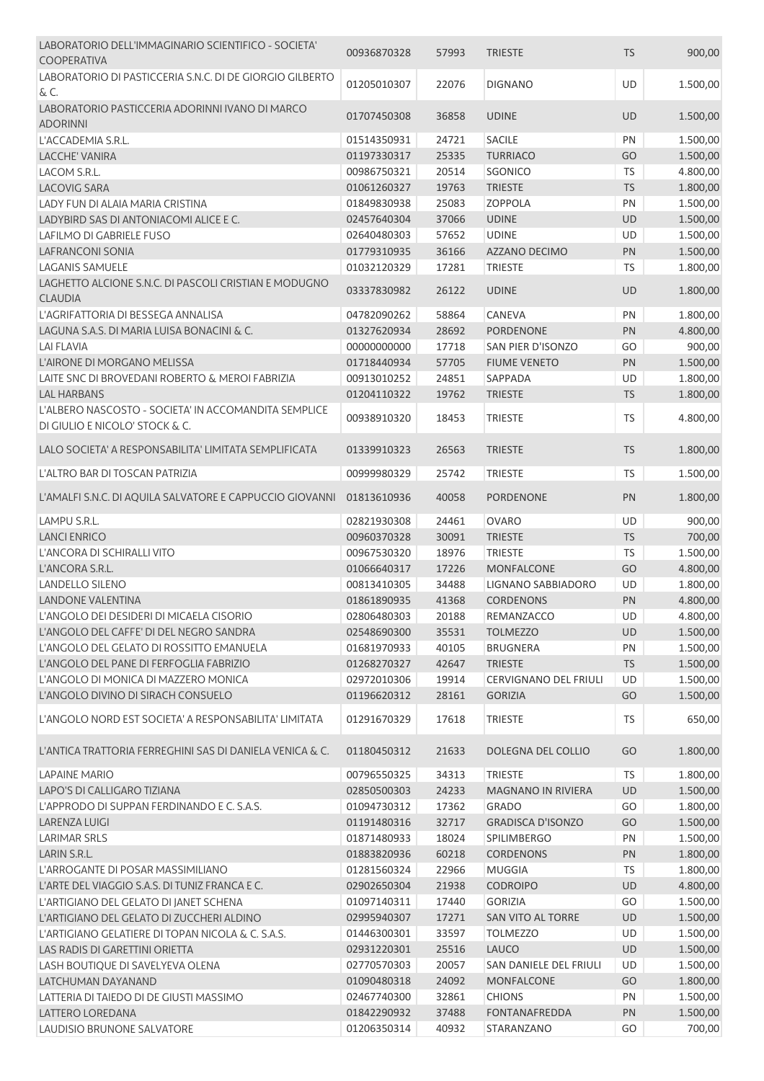| LABORATORIO DELL'IMMAGINARIO SCIENTIFICO - SOCIETA'<br><b>COOPERATIVA</b>              | 00936870328 | 57993 | <b>TRIESTE</b>               | <b>TS</b> | 900,00   |
|----------------------------------------------------------------------------------------|-------------|-------|------------------------------|-----------|----------|
| LABORATORIO DI PASTICCERIA S.N.C. DI DE GIORGIO GILBERTO                               |             |       |                              |           |          |
| $\&c.$                                                                                 | 01205010307 | 22076 | <b>DIGNANO</b>               | UD        | 1.500,00 |
|                                                                                        |             |       |                              |           |          |
| LABORATORIO PASTICCERIA ADORINNI IVANO DI MARCO                                        | 01707450308 | 36858 | <b>UDINE</b>                 | UD        | 1.500,00 |
| <b>ADORINNI</b>                                                                        |             |       |                              |           |          |
| L'ACCADEMIA S.R.L.                                                                     | 01514350931 | 24721 | <b>SACILE</b>                | PN        | 1.500,00 |
| LACCHE' VANIRA                                                                         | 01197330317 | 25335 | <b>TURRIACO</b>              | GO        | 1.500,00 |
| LACOM S.R.L.                                                                           | 00986750321 | 20514 | <b>SGONICO</b>               | <b>TS</b> | 4.800,00 |
| <b>LACOVIG SARA</b>                                                                    | 01061260327 | 19763 | <b>TRIESTE</b>               | <b>TS</b> | 1.800,00 |
| LADY FUN DI ALAIA MARIA CRISTINA                                                       | 01849830938 | 25083 | <b>ZOPPOLA</b>               | PN        | 1.500,00 |
| LADYBIRD SAS DI ANTONIACOMI ALICE E C.                                                 | 02457640304 | 37066 | <b>UDINE</b>                 | UD        | 1.500,00 |
| LAFILMO DI GABRIELE FUSO                                                               | 02640480303 | 57652 | <b>UDINE</b>                 | UD        | 1.500,00 |
| <b>LAFRANCONI SONIA</b>                                                                | 01779310935 | 36166 | AZZANO DECIMO                | PN        | 1.500,00 |
| LAGANIS SAMUELE                                                                        | 01032120329 | 17281 | <b>TRIESTE</b>               | <b>TS</b> | 1.800,00 |
| LAGHETTO ALCIONE S.N.C. DI PASCOLI CRISTIAN E MODUGNO                                  |             |       |                              |           |          |
| <b>CLAUDIA</b>                                                                         | 03337830982 | 26122 | <b>UDINE</b>                 | <b>UD</b> | 1.800,00 |
| L'AGRIFATTORIA DI BESSEGA ANNALISA                                                     | 04782090262 | 58864 | CANEVA                       | PN        | 1.800,00 |
| LAGUNA S.A.S. DI MARIA LUISA BONACINI & C.                                             | 01327620934 | 28692 | PORDENONE                    | PN        | 4.800,00 |
| <b>LAI FLAVIA</b>                                                                      | 00000000000 | 17718 | SAN PIER D'ISONZO            | GO        | 900,00   |
| L'AIRONE DI MORGANO MELISSA                                                            | 01718440934 | 57705 | <b>FIUME VENETO</b>          | PN        | 1.500,00 |
| LAITE SNC DI BROVEDANI ROBERTO & MEROI FABRIZIA                                        | 00913010252 | 24851 | SAPPADA                      | UD        | 1.800,00 |
|                                                                                        |             |       |                              |           |          |
| <b>LAL HARBANS</b>                                                                     | 01204110322 | 19762 | <b>TRIESTE</b>               | <b>TS</b> | 1.800,00 |
| L'ALBERO NASCOSTO - SOCIETA' IN ACCOMANDITA SEMPLICE<br>DI GIULIO E NICOLO' STOCK & C. | 00938910320 | 18453 | <b>TRIESTE</b>               | <b>TS</b> | 4.800,00 |
| LALO SOCIETA' A RESPONSABILITA' LIMITATA SEMPLIFICATA                                  | 01339910323 | 26563 | <b>TRIESTE</b>               | <b>TS</b> | 1.800,00 |
| L'ALTRO BAR DI TOSCAN PATRIZIA                                                         | 00999980329 | 25742 | <b>TRIESTE</b>               | <b>TS</b> | 1.500,00 |
| L'AMALFI S.N.C. DI AQUILA SALVATORE E CAPPUCCIO GIOVANNI                               | 01813610936 | 40058 | <b>PORDENONE</b>             | PN        | 1.800,00 |
| LAMPU S.R.L.                                                                           | 02821930308 | 24461 | <b>OVARO</b>                 | UD        | 900,00   |
| <b>LANCI ENRICO</b>                                                                    | 00960370328 | 30091 | <b>TRIESTE</b>               | <b>TS</b> | 700,00   |
| L'ANCORA DI SCHIRALLI VITO                                                             | 00967530320 | 18976 | <b>TRIESTE</b>               | <b>TS</b> | 1.500,00 |
| L'ANCORA S.R.L.                                                                        | 01066640317 | 17226 | <b>MONFALCONE</b>            | GO        | 4.800,00 |
| <b>LANDELLO SILENO</b>                                                                 | 00813410305 | 34488 | LIGNANO SABBIADORO           | UD        | 1.800,00 |
| <b>LANDONE VALENTINA</b>                                                               | 01861890935 | 41368 | <b>CORDENONS</b>             | <b>PN</b> | 4.800,00 |
| L'ANGOLO DEI DESIDERI DI MICAELA CISORIO                                               | 02806480303 | 20188 | REMANZACCO                   | UD        | 4.800,00 |
| L'ANGOLO DEL CAFFE' DI DEL NEGRO SANDRA                                                | 02548690300 | 35531 | <b>TOLMEZZO</b>              | <b>UD</b> | 1.500,00 |
| L'ANGOLO DEL GELATO DI ROSSITTO EMANUELA                                               | 01681970933 | 40105 | <b>BRUGNERA</b>              | PN        | 1.500,00 |
| L'ANGOLO DEL PANE DI FERFOGLIA FABRIZIO                                                | 01268270327 | 42647 | <b>TRIESTE</b>               | <b>TS</b> | 1.500,00 |
| L'ANGOLO DI MONICA DI MAZZERO MONICA                                                   | 02972010306 | 19914 | <b>CERVIGNANO DEL FRIULI</b> | UD        | 1.500,00 |
| L'ANGOLO DIVINO DI SIRACH CONSUELO                                                     | 01196620312 | 28161 | <b>GORIZIA</b>               | GO        | 1.500,00 |
|                                                                                        |             |       |                              |           |          |
| L'ANGOLO NORD EST SOCIETA' A RESPONSABILITA' LIMITATA                                  | 01291670329 | 17618 | <b>TRIESTE</b>               | TS        | 650,00   |
| L'ANTICA TRATTORIA FERREGHINI SAS DI DANIELA VENICA & C.                               | 01180450312 | 21633 | DOLEGNA DEL COLLIO           | GO        | 1.800,00 |
| <b>LAPAINE MARIO</b>                                                                   | 00796550325 | 34313 | <b>TRIESTE</b>               | <b>TS</b> | 1.800,00 |
| LAPO'S DI CALLIGARO TIZIANA                                                            | 02850500303 | 24233 | <b>MAGNANO IN RIVIERA</b>    | UD        | 1.500,00 |
| L'APPRODO DI SUPPAN FERDINANDO E C. S.A.S.                                             | 01094730312 | 17362 | <b>GRADO</b>                 | GO        | 1.800,00 |
| LARENZA LUIGI                                                                          | 01191480316 | 32717 | <b>GRADISCA D'ISONZO</b>     | GO        | 1.500,00 |
| <b>LARIMAR SRLS</b>                                                                    | 01871480933 | 18024 | <b>SPILIMBERGO</b>           | PN        | 1.500,00 |
| LARIN S.R.L.                                                                           | 01883820936 | 60218 | <b>CORDENONS</b>             | PN        | 1.800,00 |
| L'ARROGANTE DI POSAR MASSIMILIANO                                                      | 01281560324 | 22966 | <b>MUGGIA</b>                | <b>TS</b> | 1.800,00 |
| L'ARTE DEL VIAGGIO S.A.S. DI TUNIZ FRANCA E C.                                         | 02902650304 | 21938 | <b>CODROIPO</b>              | UD        | 4.800,00 |
| L'ARTIGIANO DEL GELATO DI JANET SCHENA                                                 | 01097140311 | 17440 | <b>GORIZIA</b>               | GO        | 1.500,00 |
| L'ARTIGIANO DEL GELATO DI ZUCCHERI ALDINO                                              | 02995940307 | 17271 | SAN VITO AL TORRE            | UD        | 1.500,00 |
|                                                                                        |             |       |                              |           |          |
| L'ARTIGIANO GELATIERE DI TOPAN NICOLA & C. S.A.S.                                      | 01446300301 | 33597 | <b>TOLMEZZO</b>              | UD        | 1.500,00 |
| LAS RADIS DI GARETTINI ORIETTA                                                         | 02931220301 | 25516 | LAUCO                        | UD        | 1.500,00 |
| LASH BOUTIQUE DI SAVELYEVA OLENA                                                       | 02770570303 | 20057 | SAN DANIELE DEL FRIULI       | UD        | 1.500,00 |
| LATCHUMAN DAYANAND                                                                     | 01090480318 | 24092 | <b>MONFALCONE</b>            | GO        | 1.800,00 |
| LATTERIA DI TAIEDO DI DE GIUSTI MASSIMO                                                | 02467740300 | 32861 | <b>CHIONS</b>                | PN        | 1.500,00 |
| LATTERO LOREDANA                                                                       | 01842290932 | 37488 | <b>FONTANAFREDDA</b>         | PN        | 1.500,00 |
| LAUDISIO BRUNONE SALVATORE                                                             | 01206350314 | 40932 | STARANZANO                   | GO        | 700,00   |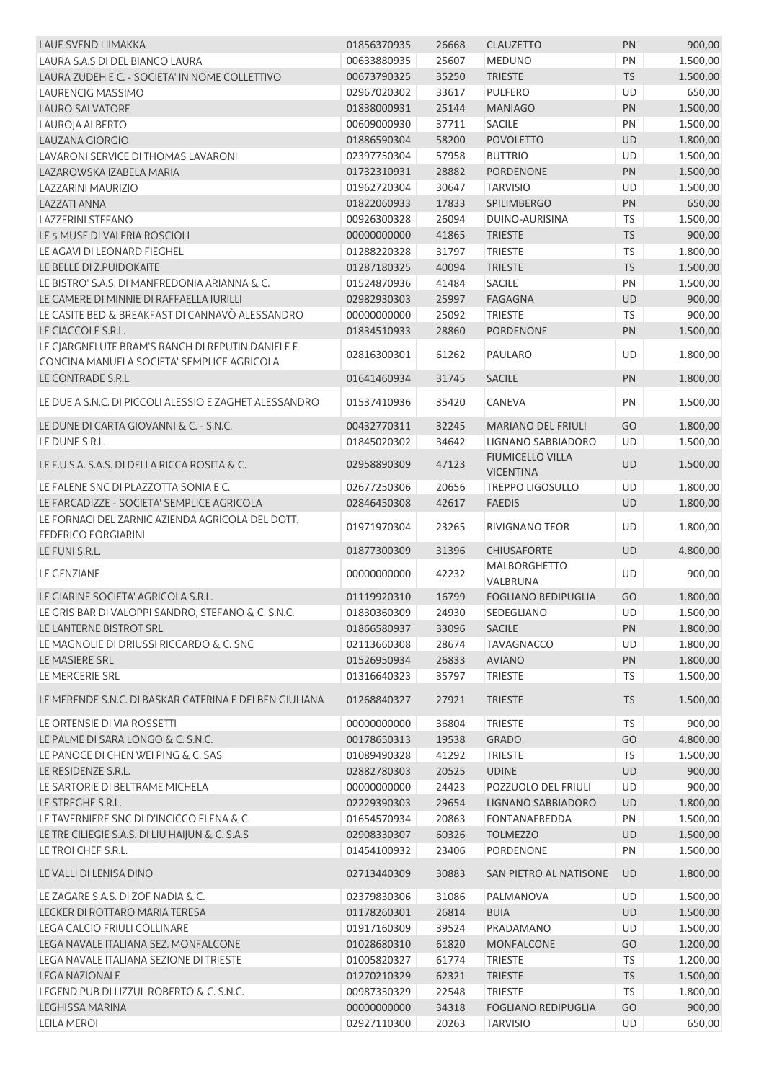| <b>LAUE SVEND LIIMAKKA</b>                                                     | 01856370935 | 26668 | <b>CLAUZETTO</b>           | PN        | 900,00   |
|--------------------------------------------------------------------------------|-------------|-------|----------------------------|-----------|----------|
| LAURA S.A.S DI DEL BIANCO LAURA                                                | 00633880935 | 25607 | <b>MEDUNO</b>              | PN        | 1.500,00 |
| LAURA ZUDEH E C. - SOCIETA' IN NOME COLLETTIVO                                 | 00673790325 | 35250 | <b>TRIESTE</b>             | <b>TS</b> | 1.500,00 |
| LAURENCIG MASSIMO                                                              | 02967020302 | 33617 | <b>PULFERO</b>             | UD        | 650,00   |
| <b>LAURO SALVATORE</b>                                                         | 01838000931 | 25144 | <b>MANIAGO</b>             | PN        | 1.500,00 |
| LAUROJA ALBERTO                                                                | 00609000930 | 37711 | SACILE                     | PN        | 1.500,00 |
| <b>LAUZANA GIORGIO</b>                                                         | 01886590304 | 58200 | <b>POVOLETTO</b>           | UD        | 1.800,00 |
| LAVARONI SERVICE DI THOMAS LAVARONI                                            | 02397750304 | 57958 | <b>BUTTRIO</b>             | UD        | 1.500,00 |
| LAZAROWSKA IZABELA MARIA                                                       | 01732310931 | 28882 | <b>PORDENONE</b>           | PN        | 1.500,00 |
| LAZZARINI MAURIZIO                                                             | 01962720304 | 30647 | <b>TARVISIO</b>            | UD        | 1.500,00 |
| <b>LAZZATI ANNA</b>                                                            | 01822060933 | 17833 | <b>SPILIMBERGO</b>         | PN        | 650,00   |
| <b>LAZZERINI STEFANO</b>                                                       | 00926300328 | 26094 | DUINO-AURISINA             | TS        | 1.500,00 |
| LE 5 MUSE DI VALERIA ROSCIOLI                                                  | 00000000000 | 41865 | <b>TRIESTE</b>             | <b>TS</b> | 900,00   |
| LE AGAVI DI LEONARD FIEGHEL                                                    | 01288220328 | 31797 | <b>TRIESTE</b>             | <b>TS</b> | 1.800,00 |
| LE BELLE DI Z.PUIDOKAITE                                                       | 01287180325 | 40094 | <b>TRIESTE</b>             | <b>TS</b> | 1.500,00 |
| LE BISTRO' S.A.S. DI MANFREDONIA ARIANNA & C.                                  | 01524870936 | 41484 | <b>SACILE</b>              | PN        | 1.500,00 |
| LE CAMERE DI MINNIE DI RAFFAELLA IURILLI                                       | 02982930303 | 25997 | <b>FAGAGNA</b>             | UD        | 900,00   |
| LE CASITE BED & BREAKFAST DI CANNAVÒ ALESSANDRO                                | 00000000000 | 25092 | <b>TRIESTE</b>             | <b>TS</b> | 900,00   |
| LE CIACCOLE S.R.L.                                                             | 01834510933 | 28860 | <b>PORDENONE</b>           | PN        | 1.500,00 |
| LE CJARGNELUTE BRAM'S RANCH DI REPUTIN DANIELE E                               |             |       |                            |           |          |
| CONCINA MANUELA SOCIETA' SEMPLICE AGRICOLA                                     | 02816300301 | 61262 | PAULARO                    | UD        | 1.800,00 |
| LE CONTRADE S.R.L.                                                             | 01641460934 | 31745 | <b>SACILE</b>              | PN        | 1.800,00 |
| LE DUE A S.N.C. DI PICCOLI ALESSIO E ZAGHET ALESSANDRO                         | 01537410936 | 35420 | CANEVA                     | PN        | 1.500,00 |
| LE DUNE DI CARTA GIOVANNI & C. - S.N.C.                                        | 00432770311 | 32245 | <b>MARIANO DEL FRIULI</b>  | GO        | 1.800,00 |
| LE DUNE S.R.L.                                                                 | 01845020302 | 34642 | LIGNANO SABBIADORO         | UD        | 1.500,00 |
|                                                                                |             |       | <b>FIUMICELLO VILLA</b>    |           |          |
| LE F.U.S.A. S.A.S. DI DELLA RICCA ROSITA & C.                                  | 02958890309 | 47123 | <b>VICENTINA</b>           | <b>UD</b> | 1.500,00 |
| LE FALENE SNC DI PLAZZOTTA SONIA E C.                                          | 02677250306 | 20656 | <b>TREPPO LIGOSULLO</b>    | UD        | 1.800,00 |
| LE FARCADIZZE - SOCIETA' SEMPLICE AGRICOLA                                     | 02846450308 | 42617 | <b>FAEDIS</b>              | UD        | 1.800,00 |
| LE FORNACI DEL ZARNIC AZIENDA AGRICOLA DEL DOTT.<br><b>FEDERICO FORGIARINI</b> | 01971970304 | 23265 | RIVIGNANO TEOR             | UD        | 1.800,00 |
| LE FUNI S.R.L.                                                                 | 01877300309 | 31396 | <b>CHIUSAFORTE</b>         | <b>UD</b> | 4.800,00 |
|                                                                                |             |       | MALBORGHETTO               |           |          |
| <b>LE GENZIANE</b>                                                             | 00000000000 | 42232 | <b>VALBRUNA</b>            | <b>UD</b> | 900,00   |
| LE GIARINE SOCIETA' AGRICOLA S.R.L.                                            | 01119920310 | 16799 | <b>FOGLIANO REDIPUGLIA</b> | GO        | 1.800,00 |
| LE GRIS BAR DI VALOPPI SANDRO, STEFANO & C. S.N.C.                             | 01830360309 | 24930 | SEDEGLIANO                 | UD        | 1.500,00 |
| LE LANTERNE BISTROT SRL                                                        | 01866580937 | 33096 | <b>SACILE</b>              | PN        | 1.800,00 |
| LE MAGNOLIE DI DRIUSSI RICCARDO & C. SNC                                       | 02113660308 | 28674 | <b>TAVAGNACCO</b>          | UD        | 1.800,00 |
| LE MASIERE SRL                                                                 | 01526950934 | 26833 | <b>AVIANO</b>              | PN        | 1.800,00 |
| LE MERCERIE SRL                                                                | 01316640323 | 35797 | <b>TRIESTE</b>             | <b>TS</b> | 1.500,00 |
| LE MERENDE S.N.C. DI BASKAR CATERINA E DELBEN GIULIANA                         | 01268840327 | 27921 | <b>TRIESTE</b>             | <b>TS</b> | 1.500,00 |
|                                                                                |             |       |                            |           |          |
| LE ORTENSIE DI VIA ROSSETTI                                                    | 00000000000 | 36804 | <b>TRIESTE</b>             | <b>TS</b> | 900,00   |
| LE PALME DI SARA LONGO & C. S.N.C.                                             | 00178650313 | 19538 | <b>GRADO</b>               | GO        | 4.800,00 |
| LE PANOCE DI CHEN WEI PING & C. SAS                                            | 01089490328 | 41292 | <b>TRIESTE</b>             | <b>TS</b> | 1.500,00 |
| LE RESIDENZE S.R.L.                                                            | 02882780303 | 20525 | <b>UDINE</b>               | UD        | 900,00   |
| LE SARTORIE DI BELTRAME MICHELA                                                | 00000000000 | 24423 | POZZUOLO DEL FRIULI        | UD        | 900,00   |
| LE STREGHE S.R.L.                                                              | 02229390303 | 29654 | LIGNANO SABBIADORO         | UD        | 1.800,00 |
| LE TAVERNIERE SNC DI D'INCICCO ELENA & C.                                      | 01654570934 | 20863 | <b>FONTANAFREDDA</b>       | PN        | 1.500,00 |
| LE TRE CILIEGIE S.A.S. DI LIU HAIJUN & C. S.A.S                                | 02908330307 | 60326 | <b>TOLMEZZO</b>            | UD        | 1.500,00 |
| LE TROI CHEF S.R.L.                                                            | 01454100932 | 23406 | PORDENONE                  | PN        | 1.500,00 |
| LE VALLI DI LENISA DINO                                                        | 02713440309 | 30883 | SAN PIETRO AL NATISONE     | <b>UD</b> | 1.800,00 |
| LE ZAGARE S.A.S. DI ZOF NADIA & C.                                             | 02379830306 | 31086 | PALMANOVA                  | UD        | 1.500,00 |
| LECKER DI ROTTARO MARIA TERESA                                                 | 01178260301 | 26814 | <b>BUIA</b>                | UD        | 1.500,00 |
| LEGA CALCIO FRIULI COLLINARE                                                   | 01917160309 | 39524 | PRADAMANO                  | UD        | 1.500,00 |
| LEGA NAVALE ITALIANA SEZ. MONFALCONE                                           | 01028680310 | 61820 | <b>MONFALCONE</b>          | GO        | 1.200,00 |
| LEGA NAVALE ITALIANA SEZIONE DI TRIESTE                                        | 01005820327 | 61774 | <b>TRIESTE</b>             | <b>TS</b> | 1.200,00 |
| <b>LEGA NAZIONALE</b>                                                          | 01270210329 | 62321 | <b>TRIESTE</b>             | <b>TS</b> | 1.500,00 |
| LEGEND PUB DI LIZZUL ROBERTO & C. S.N.C.                                       | 00987350329 | 22548 | <b>TRIESTE</b>             | <b>TS</b> | 1.800,00 |
| LEGHISSA MARINA                                                                | 00000000000 | 34318 | <b>FOGLIANO REDIPUGLIA</b> | GO        | 900,00   |
| LEILA MEROI                                                                    | 02927110300 | 20263 | <b>TARVISIO</b>            | UD        | 650,00   |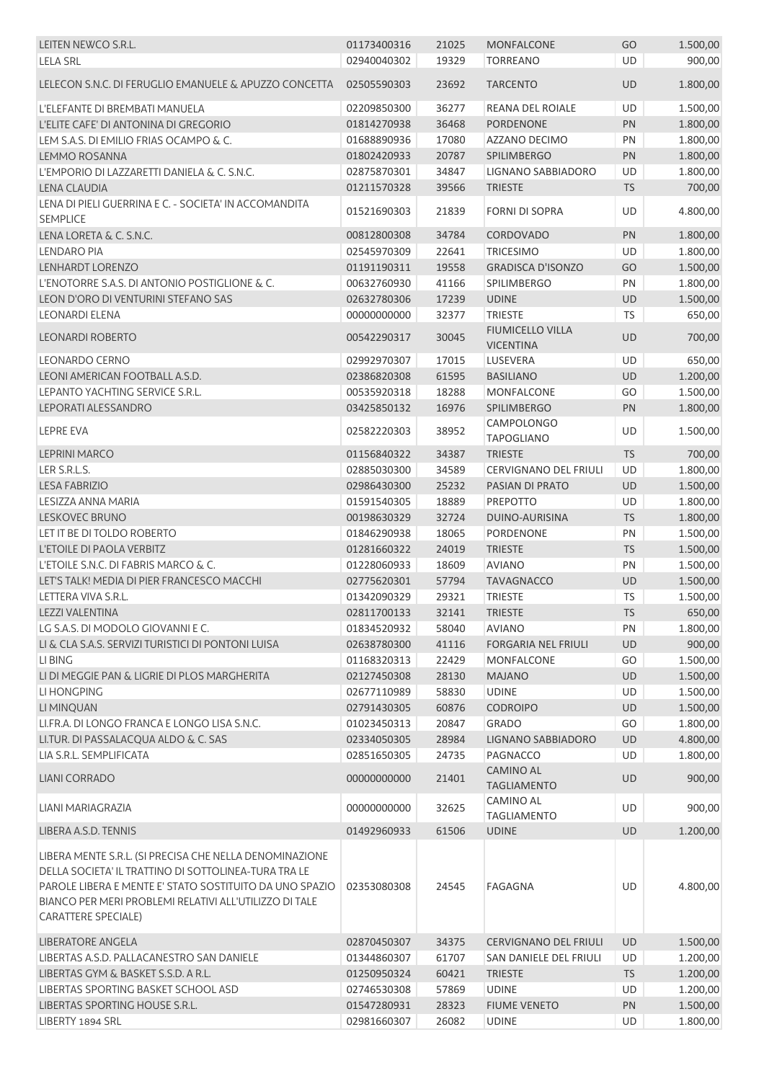| LEITEN NEWCO S.R.L.                                                                                                                                                                                                                                                | 01173400316 | 21025         | <b>MONFALCONE</b>                      | GO        | 1.500,00 |
|--------------------------------------------------------------------------------------------------------------------------------------------------------------------------------------------------------------------------------------------------------------------|-------------|---------------|----------------------------------------|-----------|----------|
| <b>LELA SRL</b>                                                                                                                                                                                                                                                    | 02940040302 | 19329         | <b>TORREANO</b>                        | <b>UD</b> | 900,00   |
| LELECON S.N.C. DI FERUGLIO EMANUELE & APUZZO CONCETTA                                                                                                                                                                                                              | 02505590303 | 23692         | <b>TARCENTO</b>                        | UD        | 1.800,00 |
|                                                                                                                                                                                                                                                                    |             |               |                                        | UD        |          |
| L'ELEFANTE DI BREMBATI MANUELA<br>L'ELITE CAFE' DI ANTONINA DI GREGORIO                                                                                                                                                                                            | 02209850300 | 36277         | REANA DEL ROIALE                       |           | 1.500,00 |
|                                                                                                                                                                                                                                                                    | 01814270938 | 36468         | <b>PORDENONE</b>                       | PN        | 1.800,00 |
| LEM S.A.S. DI EMILIO FRIAS OCAMPO & C.                                                                                                                                                                                                                             | 01688890936 | 17080         | AZZANO DECIMO                          | PN        | 1.800,00 |
| LEMMO ROSANNA                                                                                                                                                                                                                                                      | 01802420933 | 20787         | <b>SPILIMBERGO</b>                     | PN        | 1.800,00 |
| L'EMPORIO DI LAZZARETTI DANIELA & C. S.N.C.                                                                                                                                                                                                                        | 02875870301 | 34847         | LIGNANO SABBIADORO                     | UD        | 1.800,00 |
| LENA CLAUDIA                                                                                                                                                                                                                                                       | 01211570328 | 39566         | <b>TRIESTE</b>                         | TS        | 700,00   |
| LENA DI PIELI GUERRINA E C. - SOCIETA' IN ACCOMANDITA<br><b>SEMPLICE</b>                                                                                                                                                                                           | 01521690303 | 21839         | <b>FORNI DI SOPRA</b>                  | UD        | 4.800,00 |
| LENA LORETA & C. S.N.C.                                                                                                                                                                                                                                            | 00812800308 | 34784         | <b>CORDOVADO</b>                       | PN        | 1.800,00 |
| <b>LENDARO PIA</b>                                                                                                                                                                                                                                                 | 02545970309 | 22641         | <b>TRICESIMO</b>                       | UD        | 1.800,00 |
| LENHARDT LORENZO                                                                                                                                                                                                                                                   | 01191190311 | 19558         | <b>GRADISCA D'ISONZO</b>               | GO        | 1.500,00 |
| L'ENOTORRE S.A.S. DI ANTONIO POSTIGLIONE & C.                                                                                                                                                                                                                      | 00632760930 | 41166         | <b>SPILIMBERGO</b>                     | PN        | 1.800,00 |
| LEON D'ORO DI VENTURINI STEFANO SAS                                                                                                                                                                                                                                | 02632780306 | 17239         | <b>UDINE</b>                           | UD        | 1.500,00 |
| <b>LEONARDI ELENA</b>                                                                                                                                                                                                                                              | 00000000000 | 32377         | <b>TRIESTE</b>                         | TS        | 650,00   |
|                                                                                                                                                                                                                                                                    |             |               | <b>FIUMICELLO VILLA</b>                |           |          |
| <b>LEONARDI ROBERTO</b>                                                                                                                                                                                                                                            | 00542290317 | 30045         | <b>VICENTINA</b>                       | <b>UD</b> | 700,00   |
| <b>LEONARDO CERNO</b>                                                                                                                                                                                                                                              | 02992970307 | 17015         | LUSEVERA                               | UD        | 650,00   |
| LEONI AMERICAN FOOTBALL A.S.D.                                                                                                                                                                                                                                     | 02386820308 | 61595         | <b>BASILIANO</b>                       | UD        | 1.200,00 |
| LEPANTO YACHTING SERVICE S.R.L.                                                                                                                                                                                                                                    | 00535920318 | 18288         | <b>MONFALCONE</b>                      | GO        | 1.500,00 |
| LEPORATI ALESSANDRO                                                                                                                                                                                                                                                | 03425850132 | 16976         | <b>SPILIMBERGO</b>                     | PN        | 1.800,00 |
| <b>LEPRE EVA</b>                                                                                                                                                                                                                                                   | 02582220303 | 38952         | <b>CAMPOLONGO</b><br><b>TAPOGLIANO</b> | UD        | 1.500,00 |
| <b>LEPRINI MARCO</b>                                                                                                                                                                                                                                               | 01156840322 | 34387         | <b>TRIESTE</b>                         | <b>TS</b> | 700,00   |
| LER S.R.L.S.                                                                                                                                                                                                                                                       | 02885030300 | 34589         | <b>CERVIGNANO DEL FRIULI</b>           | UD        | 1.800,00 |
| <b>LESA FABRIZIO</b>                                                                                                                                                                                                                                               | 02986430300 | 25232         | PASIAN DI PRATO                        | UD        | 1.500,00 |
| LESIZZA ANNA MARIA                                                                                                                                                                                                                                                 | 01591540305 | 18889         | <b>PREPOTTO</b>                        | UD        | 1.800,00 |
| <b>LESKOVEC BRUNO</b>                                                                                                                                                                                                                                              | 00198630329 | 32724         | DUINO-AURISINA                         | <b>TS</b> | 1.800,00 |
| LET IT BE DI TOLDO ROBERTO                                                                                                                                                                                                                                         | 01846290938 | 18065         | PORDENONE                              | PN        | 1.500,00 |
| L'ETOILE DI PAOLA VERBITZ                                                                                                                                                                                                                                          | 01281660322 | 24019         | <b>TRIESTE</b>                         | <b>TS</b> | 1.500,00 |
| L'ETOILE S.N.C. DI FABRIS MARCO & C.                                                                                                                                                                                                                               | 01228060933 | 18609         | <b>AVIANO</b>                          | PN        |          |
|                                                                                                                                                                                                                                                                    |             |               |                                        |           | 1.500,00 |
| LET'S TALK! MEDIA DI PIER FRANCESCO MACCHI                                                                                                                                                                                                                         | 02775620301 | 57794         | <b>TAVAGNACCO</b>                      | UD        | 1.500,00 |
| LETTERA VIVA S.R.L.                                                                                                                                                                                                                                                | 01342090329 | 29321         | <b>TRIESTE</b>                         | TS        | 1.500,00 |
| LEZZI VALENTINA                                                                                                                                                                                                                                                    | 02811700133 | 32141 TRIESTE |                                        | $TS$      | 650,00   |
| LG S.A.S. DI MODOLO GIOVANNI E C.                                                                                                                                                                                                                                  | 01834520932 | 58040         | <b>AVIANO</b>                          | PN        | 1.800,00 |
| LI & CLA S.A.S. SERVIZI TURISTICI DI PONTONI LUISA                                                                                                                                                                                                                 | 02638780300 | 41116         | <b>FORGARIA NEL FRIULI</b>             | UD        | 900,00   |
| LI BING                                                                                                                                                                                                                                                            | 01168320313 | 22429         | MONFALCONE                             | GO        | 1.500,00 |
| LI DI MEGGIE PAN & LIGRIE DI PLOS MARGHERITA                                                                                                                                                                                                                       | 02127450308 | 28130         | <b>MAJANO</b>                          | UD        | 1.500,00 |
| LI HONGPING                                                                                                                                                                                                                                                        | 02677110989 | 58830         | <b>UDINE</b>                           | UD        | 1.500,00 |
| LI MINQUAN                                                                                                                                                                                                                                                         | 02791430305 | 60876         | <b>CODROIPO</b>                        | UD        | 1.500,00 |
| LI.FR.A. DI LONGO FRANCA E LONGO LISA S.N.C.                                                                                                                                                                                                                       | 01023450313 | 20847         | <b>GRADO</b>                           | GO        | 1.800,00 |
| LI.TUR. DI PASSALACQUA ALDO & C. SAS                                                                                                                                                                                                                               | 02334050305 | 28984         | LIGNANO SABBIADORO                     | UD        | 4.800,00 |
| LIA S.R.L. SEMPLIFICATA                                                                                                                                                                                                                                            | 02851650305 | 24735         | PAGNACCO                               | UD        | 1.800,00 |
| LIANI CORRADO                                                                                                                                                                                                                                                      | 00000000000 | 21401         | <b>CAMINO AL</b><br><b>TAGLIAMENTO</b> | UD        | 900,00   |
| LIANI MARIAGRAZIA                                                                                                                                                                                                                                                  | 00000000000 | 32625         | <b>CAMINO AL</b><br><b>TAGLIAMENTO</b> | UD        | 900,00   |
| LIBERA A.S.D. TENNIS                                                                                                                                                                                                                                               | 01492960933 | 61506         | <b>UDINE</b>                           | <b>UD</b> | 1.200,00 |
| LIBERA MENTE S.R.L. (SI PRECISA CHE NELLA DENOMINAZIONE<br>DELLA SOCIETA' IL TRATTINO DI SOTTOLINEA-TURA TRA LE<br>PAROLE LIBERA E MENTE E' STATO SOSTITUITO DA UNO SPAZIO<br>BIANCO PER MERI PROBLEMI RELATIVI ALL'UTILIZZO DI TALE<br><b>CARATTERE SPECIALE)</b> | 02353080308 | 24545         | FAGAGNA                                | UD        | 4.800,00 |
|                                                                                                                                                                                                                                                                    |             |               |                                        |           |          |
| <b>LIBERATORE ANGELA</b>                                                                                                                                                                                                                                           | 02870450307 | 34375         | <b>CERVIGNANO DEL FRIULI</b>           | UD        | 1.500,00 |
| LIBERTAS A.S.D. PALLACANESTRO SAN DANIELE                                                                                                                                                                                                                          | 01344860307 | 61707         | SAN DANIELE DEL FRIULI                 | UD        | 1.200,00 |
| LIBERTAS GYM & BASKET S.S.D. A R.L.                                                                                                                                                                                                                                | 01250950324 | 60421         | <b>TRIESTE</b>                         | <b>TS</b> | 1.200,00 |
| LIBERTAS SPORTING BASKET SCHOOL ASD                                                                                                                                                                                                                                | 02746530308 | 57869         | <b>UDINE</b>                           | UD        | 1.200,00 |
| LIBERTAS SPORTING HOUSE S.R.L.                                                                                                                                                                                                                                     | 01547280931 | 28323         | <b>FIUME VENETO</b>                    | PN        | 1.500,00 |
| LIBERTY 1894 SRL                                                                                                                                                                                                                                                   | 02981660307 | 26082         | <b>UDINE</b>                           | UD        | 1.800,00 |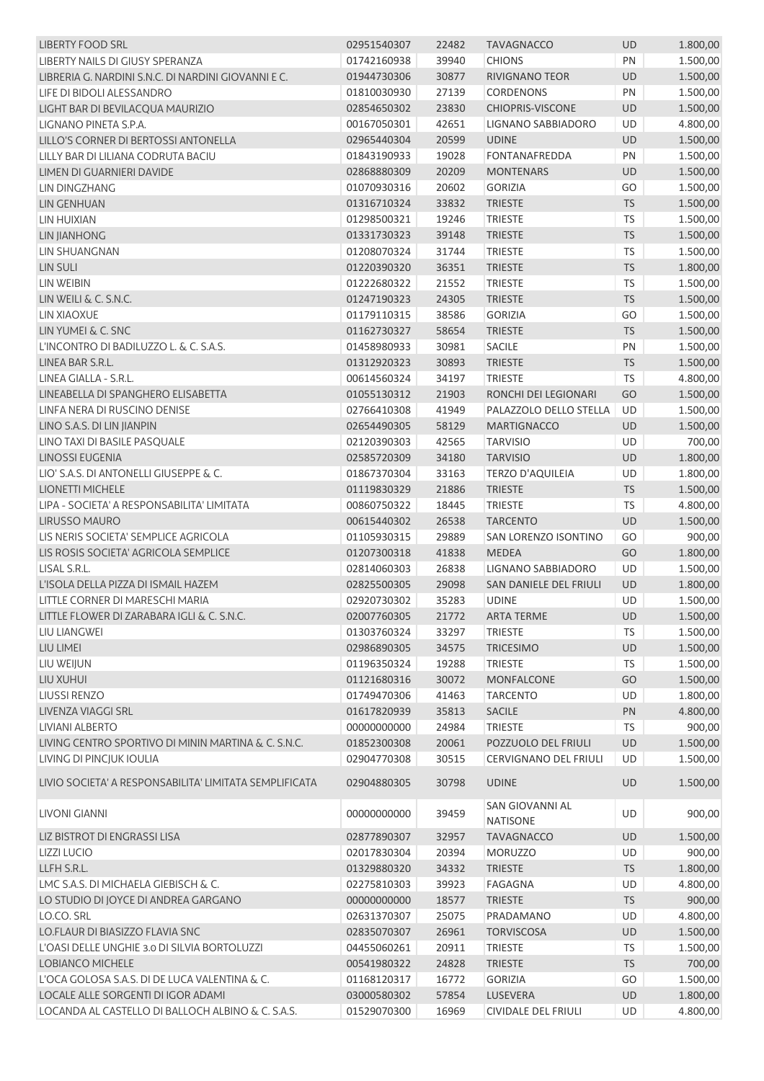| <b>LIBERTY FOOD SRL</b>                                                | 02951540307                | 22482 | <b>TAVAGNACCO</b>                  | <b>UD</b> | 1.800,00 |
|------------------------------------------------------------------------|----------------------------|-------|------------------------------------|-----------|----------|
| LIBERTY NAILS DI GIUSY SPERANZA                                        | 01742160938                | 39940 | <b>CHIONS</b>                      | PN        | 1.500,00 |
| LIBRERIA G. NARDINI S.N.C. DI NARDINI GIOVANNI E C.                    | 01944730306                | 30877 | RIVIGNANO TEOR                     | UD        | 1.500,00 |
| LIFE DI BIDOLI ALESSANDRO                                              | 01810030930                | 27139 | CORDENONS                          | PN        | 1.500,00 |
| LIGHT BAR DI BEVILACQUA MAURIZIO                                       | 02854650302                | 23830 | <b>CHIOPRIS-VISCONE</b>            | <b>UD</b> | 1.500,00 |
| LIGNANO PINETA S.P.A.                                                  | 00167050301                | 42651 | LIGNANO SABBIADORO                 | <b>UD</b> | 4.800,00 |
| LILLO'S CORNER DI BERTOSSI ANTONELLA                                   | 02965440304                | 20599 | <b>UDINE</b>                       | UD        | 1.500,00 |
| LILLY BAR DI LILIANA CODRUTA BACIU                                     | 01843190933                | 19028 | FONTANAFREDDA                      | PN        | 1.500,00 |
| LIMEN DI GUARNIERI DAVIDE                                              | 02868880309                | 20209 | <b>MONTENARS</b>                   | UD        | 1.500,00 |
| LIN DINGZHANG                                                          | 01070930316                | 20602 | <b>GORIZIA</b>                     | GO        | 1.500,00 |
| LIN GENHUAN                                                            | 01316710324                | 33832 | <b>TRIESTE</b>                     | <b>TS</b> | 1.500,00 |
| LIN HUIXIAN                                                            | 01298500321                | 19246 | <b>TRIESTE</b>                     | <b>TS</b> | 1.500,00 |
| <b>LIN JIANHONG</b>                                                    | 01331730323                | 39148 | <b>TRIESTE</b>                     | <b>TS</b> | 1.500,00 |
| LIN SHUANGNAN                                                          | 01208070324                | 31744 | <b>TRIESTE</b>                     | <b>TS</b> | 1.500,00 |
| <b>LIN SULI</b>                                                        | 01220390320                | 36351 | <b>TRIESTE</b>                     | <b>TS</b> | 1.800,00 |
| LIN WEIBIN                                                             | 01222680322                | 21552 | <b>TRIESTE</b>                     | <b>TS</b> | 1.500,00 |
| $LIN$ WEILI & C. S.N.C.                                                | 01247190323                | 24305 | <b>TRIESTE</b>                     | <b>TS</b> | 1.500,00 |
| LIN XIAOXUE                                                            | 01179110315                | 38586 | <b>GORIZIA</b>                     | GO        | 1.500,00 |
| LIN YUMEI & C. SNC                                                     | 01162730327                | 58654 | <b>TRIESTE</b>                     | <b>TS</b> | 1.500,00 |
| L'INCONTRO DI BADILUZZO L. & C. S.A.S.                                 | 01458980933                | 30981 | <b>SACILE</b>                      | PN        | 1.500,00 |
| LINEA BAR S.R.L.                                                       | 01312920323                | 30893 | <b>TRIESTE</b>                     | <b>TS</b> | 1.500,00 |
| LINEA GIALLA - S.R.L.                                                  | 00614560324                | 34197 | <b>TRIESTE</b>                     | TS        | 4.800,00 |
| LINEABELLA DI SPANGHERO ELISABETTA                                     | 01055130312                | 21903 | RONCHI DEI LEGIONARI               | GO        | 1.500,00 |
| LINFA NERA DI RUSCINO DENISE                                           | 02766410308                | 41949 | PALAZZOLO DELLO STELLA             | UD        | 1.500,00 |
| LINO S.A.S. DI LIN JIANPIN                                             | 02654490305                | 58129 | <b>MARTIGNACCO</b>                 | UD        | 1.500,00 |
| LINO TAXI DI BASILE PASQUALE                                           | 02120390303                | 42565 | <b>TARVISIO</b>                    | UD        | 700,00   |
| <b>LINOSSI EUGENIA</b>                                                 | 02585720309                | 34180 | <b>TARVISIO</b>                    | UD        | 1.800,00 |
| LIO' S.A.S. DI ANTONELLI GIUSEPPE & C.                                 | 01867370304                | 33163 | <b>TERZO D'AQUILEIA</b>            | UD        | 1.800,00 |
| <b>LIONETTI MICHELE</b>                                                | 01119830329                | 21886 | <b>TRIESTE</b>                     | <b>TS</b> | 1.500,00 |
| LIPA - SOCIETA' A RESPONSABILITA' LIMITATA                             | 00860750322                | 18445 | <b>TRIESTE</b>                     | <b>TS</b> | 4.800,00 |
| LIRUSSO MAURO                                                          | 00615440302                | 26538 | <b>TARCENTO</b>                    | UD        | 1.500,00 |
| LIS NERIS SOCIETA' SEMPLICE AGRICOLA                                   | 01105930315                | 29889 | SAN LORENZO ISONTINO               | GO        | 900,00   |
| LIS ROSIS SOCIETA' AGRICOLA SEMPLICE                                   | 01207300318                | 41838 | <b>MEDEA</b>                       | GO        | 1.800,00 |
|                                                                        |                            | 26838 | LIGNANO SABBIADORO                 | UD        | 1.500,00 |
| LISAL S.R.L.                                                           | 02814060303<br>02825500305 | 29098 | SAN DANIELE DEL FRIULI             | UD        | 1.800,00 |
| L'ISOLA DELLA PIZZA DI ISMAIL HAZEM<br>LITTLE CORNER DI MARESCHI MARIA | 02920730302                | 35283 | <b>UDINE</b>                       | UD        | 1.500,00 |
|                                                                        |                            |       |                                    |           | 1.500,00 |
| LITTLE FLOWER DI ZARABARA IGLI & C. S.N.C.                             | 02007760305                | 21772 | ARTA TERME                         | UD        |          |
| LIU LIANGWEI                                                           | 01303760324                | 33297 | <b>TRIESTE</b>                     | TS        | 1.500,00 |
| LIU LIMEI                                                              | 02986890305                | 34575 | <b>TRICESIMO</b>                   | UD        | 1.500,00 |
| LIU WEIJUN                                                             | 01196350324                | 19288 | <b>TRIESTE</b>                     | <b>TS</b> | 1.500,00 |
| LIU XUHUI                                                              | 01121680316                | 30072 | <b>MONFALCONE</b>                  | GO        | 1.500,00 |
| <b>LIUSSI RENZO</b>                                                    | 01749470306                | 41463 | <b>TARCENTO</b>                    | UD        | 1.800,00 |
| LIVENZA VIAGGI SRL                                                     | 01617820939                | 35813 | <b>SACILE</b>                      | PN        | 4.800,00 |
| LIVIANI ALBERTO                                                        | 00000000000                | 24984 | <b>TRIESTE</b>                     | <b>TS</b> | 900,00   |
| LIVING CENTRO SPORTIVO DI MININ MARTINA & C. S.N.C.                    | 01852300308                | 20061 | POZZUOLO DEL FRIULI                | UD        | 1.500,00 |
| LIVING DI PINCJUK IOULIA                                               | 02904770308                | 30515 | CERVIGNANO DEL FRIULI              | UD        | 1.500,00 |
| LIVIO SOCIETA' A RESPONSABILITA' LIMITATA SEMPLIFICATA                 | 02904880305                | 30798 | <b>UDINE</b>                       | UD        | 1.500,00 |
| LIVONI GIANNI                                                          | 00000000000                | 39459 | SAN GIOVANNI AL<br><b>NATISONE</b> | UD        | 900,00   |
| LIZ BISTROT DI ENGRASSI LISA                                           | 02877890307                | 32957 | <b>TAVAGNACCO</b>                  | UD        | 1.500,00 |
| <b>LIZZI LUCIO</b>                                                     | 02017830304                | 20394 | <b>MORUZZO</b>                     | UD        | 900,00   |
| LLFH S.R.L.                                                            | 01329880320                | 34332 | <b>TRIESTE</b>                     | <b>TS</b> | 1.800,00 |
| LMC S.A.S. DI MICHAELA GIEBISCH & C.                                   | 02275810303                | 39923 | FAGAGNA                            | UD        | 4.800,00 |
| LO STUDIO DI JOYCE DI ANDREA GARGANO                                   | 00000000000                | 18577 | <b>TRIESTE</b>                     | <b>TS</b> | 900,00   |
| LO.CO. SRL                                                             | 02631370307                | 25075 | PRADAMANO                          | UD        | 4.800,00 |
| LO.FLAUR DI BIASIZZO FLAVIA SNC                                        | 02835070307                | 26961 | <b>TORVISCOSA</b>                  | UD        | 1.500,00 |
| L'OASI DELLE UNGHIE 3.0 DI SILVIA BORTOLUZZI                           | 04455060261                | 20911 | <b>TRIESTE</b>                     | <b>TS</b> | 1.500,00 |
| <b>LOBIANCO MICHELE</b>                                                | 00541980322                | 24828 | <b>TRIESTE</b>                     | <b>TS</b> | 700,00   |
| L'OCA GOLOSA S.A.S. DI DE LUCA VALENTINA & C.                          | 01168120317                | 16772 | <b>GORIZIA</b>                     | GO        | 1.500,00 |
| LOCALE ALLE SORGENTI DI IGOR ADAMI                                     | 03000580302                | 57854 | LUSEVERA                           | <b>UD</b> | 1.800,00 |
| LOCANDA AL CASTELLO DI BALLOCH ALBINO & C. S.A.S.                      | 01529070300                | 16969 | CIVIDALE DEL FRIULI                | UD        | 4.800,00 |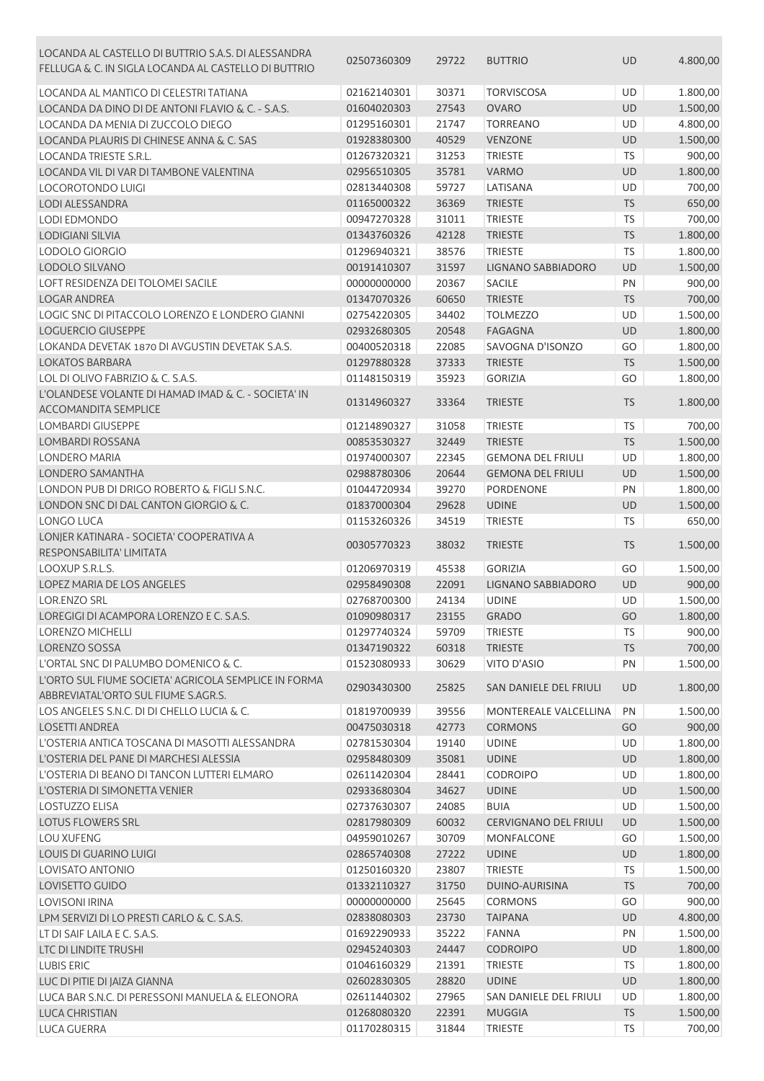| LOCANDA AL CASTELLO DI BUTTRIO S.A.S. DI ALESSANDRA<br>FELLUGA & C. IN SIGLA LOCANDA AL CASTELLO DI BUTTRIO | 02507360309 | 29722 | <b>BUTTRIO</b>               | <b>UD</b> | 4.800,00 |
|-------------------------------------------------------------------------------------------------------------|-------------|-------|------------------------------|-----------|----------|
| LOCANDA AL MANTICO DI CELESTRI TATIANA                                                                      | 02162140301 | 30371 | <b>TORVISCOSA</b>            | UD        | 1.800,00 |
| LOCANDA DA DINO DI DE ANTONI FLAVIO & C. - S.A.S.                                                           | 01604020303 | 27543 | <b>OVARO</b>                 | <b>UD</b> | 1.500,00 |
| LOCANDA DA MENIA DI ZUCCOLO DIEGO                                                                           | 01295160301 | 21747 | <b>TORREANO</b>              | UD        | 4.800,00 |
| LOCANDA PLAURIS DI CHINESE ANNA & C. SAS                                                                    | 01928380300 | 40529 | <b>VENZONE</b>               | <b>UD</b> | 1.500,00 |
| LOCANDA TRIESTE S.R.L.                                                                                      | 01267320321 | 31253 | <b>TRIESTE</b>               | <b>TS</b> | 900,00   |
| LOCANDA VIL DI VAR DI TAMBONE VALENTINA                                                                     | 02956510305 | 35781 | <b>VARMO</b>                 | UD        | 1.800,00 |
| <b>LOCOROTONDO LUIGI</b>                                                                                    | 02813440308 | 59727 | LATISANA                     | UD        | 700,00   |
| LODI ALESSANDRA                                                                                             | 01165000322 | 36369 | <b>TRIESTE</b>               | TS        | 650,00   |
| LODI EDMONDO                                                                                                | 00947270328 | 31011 | <b>TRIESTE</b>               | TS        | 700,00   |
| <b>LODIGIANI SILVIA</b>                                                                                     | 01343760326 | 42128 | <b>TRIESTE</b>               | TS        | 1.800,00 |
| LODOLO GIORGIO                                                                                              | 01296940321 | 38576 | <b>TRIESTE</b>               | TS        | 1.800,00 |
| <b>LODOLO SILVANO</b>                                                                                       | 00191410307 | 31597 | LIGNANO SABBIADORO           | UD        | 1.500,00 |
| LOFT RESIDENZA DEI TOLOMEI SACILE                                                                           | 00000000000 | 20367 | <b>SACILE</b>                | PN        | 900,00   |
| <b>LOGAR ANDREA</b>                                                                                         | 01347070326 | 60650 | <b>TRIESTE</b>               | <b>TS</b> | 700,00   |
| LOGIC SNC DI PITACCOLO LORENZO E LONDERO GIANNI                                                             | 02754220305 | 34402 | <b>TOLMEZZO</b>              | UD        | 1.500,00 |
| <b>LOGUERCIO GIUSEPPE</b>                                                                                   | 02932680305 | 20548 | <b>FAGAGNA</b>               | UD        | 1.800,00 |
| LOKANDA DEVETAK 1870 DI AVGUSTIN DEVETAK S.A.S.                                                             | 00400520318 | 22085 | SAVOGNA D'ISONZO             | GO        | 1.800,00 |
| <b>LOKATOS BARBARA</b>                                                                                      | 01297880328 | 37333 | <b>TRIESTE</b>               | <b>TS</b> | 1.500,00 |
| LOL DI OLIVO FABRIZIO & C. S.A.S.                                                                           | 01148150319 | 35923 | <b>GORIZIA</b>               | GO        | 1.800,00 |
| L'OLANDESE VOLANTE DI HAMAD IMAD & C. - SOCIETA' IN                                                         |             |       |                              |           |          |
| <b>ACCOMANDITA SEMPLICE</b>                                                                                 | 01314960327 | 33364 | <b>TRIESTE</b>               | <b>TS</b> | 1.800,00 |
| <b>LOMBARDI GIUSEPPE</b>                                                                                    | 01214890327 | 31058 | <b>TRIESTE</b>               | <b>TS</b> | 700,00   |
| <b>LOMBARDI ROSSANA</b>                                                                                     | 00853530327 | 32449 | <b>TRIESTE</b>               | <b>TS</b> | 1.500,00 |
| LONDERO MARIA                                                                                               | 01974000307 | 22345 | <b>GEMONA DEL FRIULI</b>     | UD        | 1.800,00 |
| LONDERO SAMANTHA                                                                                            | 02988780306 | 20644 | <b>GEMONA DEL FRIULI</b>     | UD        | 1.500,00 |
| LONDON PUB DI DRIGO ROBERTO & FIGLI S.N.C.                                                                  | 01044720934 | 39270 | PORDENONE                    | PN        | 1.800,00 |
| LONDON SNC DI DAL CANTON GIORGIO & C.                                                                       | 01837000304 | 29628 | <b>UDINE</b>                 | <b>UD</b> | 1.500,00 |
| LONGO LUCA                                                                                                  | 01153260326 | 34519 | <b>TRIESTE</b>               | <b>TS</b> | 650,00   |
| LONJER KATINARA - SOCIETA' COOPERATIVA A                                                                    |             |       |                              |           |          |
| RESPONSABILITA' LIMITATA                                                                                    | 00305770323 | 38032 | <b>TRIESTE</b>               | <b>TS</b> | 1.500,00 |
| LOOXUP S.R.L.S.                                                                                             | 01206970319 | 45538 | <b>GORIZIA</b>               | GO        | 1.500,00 |
| LOPEZ MARIA DE LOS ANGELES                                                                                  | 02958490308 | 22091 | LIGNANO SABBIADORO           | UD        | 900,00   |
| <b>LOR.ENZO SRL</b>                                                                                         | 02768700300 | 24134 | <b>UDINE</b>                 | <b>UD</b> | 1.500,00 |
| LOREGIGI DI ACAMPORA LORENZO E C. S.A.S.                                                                    | 01090980317 | 23155 | <b>GRADO</b>                 | GO        | 1.800,00 |
| <b>LORENZO MICHELLI</b>                                                                                     | 01297740324 | 59709 | <b>TRIESTE</b>               | <b>TS</b> | 900,00   |
| <b>LORENZO SOSSA</b>                                                                                        | 01347190322 | 60318 | <b>TRIESTE</b>               | <b>TS</b> | 700,00   |
| L'ORTAL SNC DI PALUMBO DOMENICO & C.                                                                        | 01523080933 | 30629 | VITO D'ASIO                  | PN        | 1.500,00 |
| L'ORTO SUL FIUME SOCIETA' AGRICOLA SEMPLICE IN FORMA<br>ABBREVIATAL'ORTO SUL FIUME S.AGR.S.                 | 02903430300 | 25825 | SAN DANIELE DEL FRIULI       | <b>UD</b> | 1.800,00 |
| LOS ANGELES S.N.C. DI DI CHELLO LUCIA & C.                                                                  | 01819700939 | 39556 | MONTEREALE VALCELLINA        | PN        | 1.500,00 |
| <b>LOSETTI ANDREA</b>                                                                                       | 00475030318 | 42773 | <b>CORMONS</b>               | GO        | 900,00   |
| L'OSTERIA ANTICA TOSCANA DI MASOTTI ALESSANDRA                                                              | 02781530304 | 19140 | <b>UDINE</b>                 | UD        | 1.800,00 |
| L'OSTERIA DEL PANE DI MARCHESI ALESSIA                                                                      | 02958480309 | 35081 | <b>UDINE</b>                 | UD        | 1.800,00 |
| L'OSTERIA DI BEANO DI TANCON LUTTERI ELMARO                                                                 | 02611420304 | 28441 | <b>CODROIPO</b>              | UD        | 1.800,00 |
| L'OSTERIA DI SIMONETTA VENIER                                                                               | 02933680304 | 34627 | <b>UDINE</b>                 | <b>UD</b> | 1.500,00 |
| LOSTUZZO ELISA                                                                                              | 02737630307 | 24085 | <b>BUIA</b>                  | UD        | 1.500,00 |
| LOTUS FLOWERS SRL                                                                                           | 02817980309 | 60032 | <b>CERVIGNANO DEL FRIULI</b> | UD        | 1.500,00 |
| <b>LOU XUFENG</b>                                                                                           | 04959010267 | 30709 | MONFALCONE                   | GO        | 1.500,00 |
| LOUIS DI GUARINO LUIGI                                                                                      | 02865740308 | 27222 | <b>UDINE</b>                 | UD        | 1.800,00 |
| LOVISATO ANTONIO                                                                                            | 01250160320 | 23807 | <b>TRIESTE</b>               | <b>TS</b> | 1.500,00 |
| LOVISETTO GUIDO                                                                                             | 01332110327 | 31750 | DUINO-AURISINA               | TS        | 700,00   |
| LOVISONI IRINA                                                                                              | 00000000000 | 25645 | <b>CORMONS</b>               | GO        | 900,00   |
| LPM SERVIZI DI LO PRESTI CARLO & C. S.A.S.                                                                  | 02838080303 | 23730 | <b>TAIPANA</b>               | <b>UD</b> | 4.800,00 |
| LT DI SAIF LAILA E C. S.A.S.                                                                                | 01692290933 | 35222 | <b>FANNA</b>                 | PN        | 1.500,00 |
| LTC DI LINDITE TRUSHI                                                                                       | 02945240303 | 24447 | <b>CODROIPO</b>              | UD        | 1.800,00 |
| <b>LUBIS ERIC</b>                                                                                           | 01046160329 | 21391 | <b>TRIESTE</b>               | <b>TS</b> | 1.800,00 |
| LUC DI PITIE DI JAIZA GIANNA                                                                                | 02602830305 | 28820 | <b>UDINE</b>                 | UD        | 1.800,00 |
| LUCA BAR S.N.C. DI PERESSONI MANUELA & ELEONORA                                                             | 02611440302 | 27965 | SAN DANIELE DEL FRIULI       | UD        | 1.800,00 |
| <b>LUCA CHRISTIAN</b>                                                                                       | 01268080320 | 22391 | <b>MUGGIA</b>                | <b>TS</b> | 1.500,00 |
| LUCA GUERRA                                                                                                 | 01170280315 | 31844 | <b>TRIESTE</b>               | <b>TS</b> | 700,00   |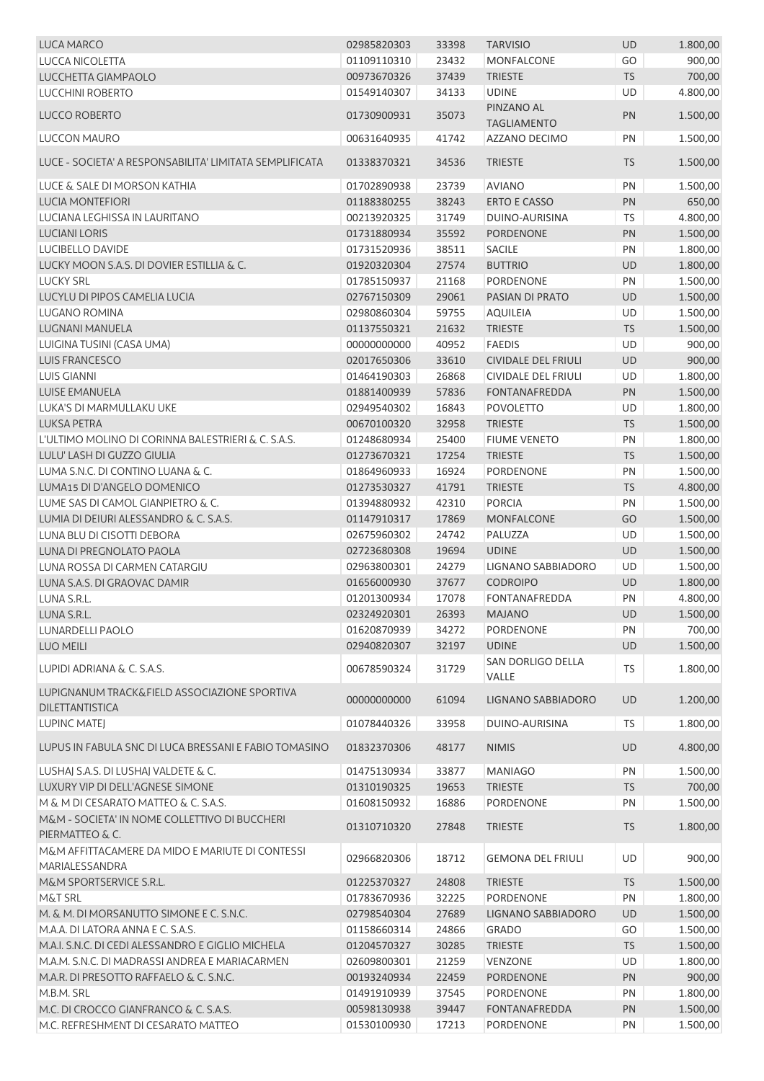| LUCA MARCO                                                             | 02985820303 | 33398 | <b>TARVISIO</b>                  | <b>UD</b> | 1.800,00 |
|------------------------------------------------------------------------|-------------|-------|----------------------------------|-----------|----------|
| <b>LUCCA NICOLETTA</b>                                                 | 01109110310 | 23432 | <b>MONFALCONE</b>                | GO        | 900,00   |
| LUCCHETTA GIAMPAOLO                                                    | 00973670326 | 37439 | <b>TRIESTE</b>                   | <b>TS</b> | 700,00   |
| <b>LUCCHINI ROBERTO</b>                                                | 01549140307 | 34133 | <b>UDINE</b>                     | UD        | 4.800,00 |
| LUCCO ROBERTO                                                          | 01730900931 | 35073 | PINZANO AL<br><b>TAGLIAMENTO</b> | PN        | 1.500,00 |
| LUCCON MAURO                                                           | 00631640935 | 41742 | AZZANO DECIMO                    | PN        | 1.500,00 |
| LUCE - SOCIETA' A RESPONSABILITA' LIMITATA SEMPLIFICATA                | 01338370321 | 34536 | <b>TRIESTE</b>                   | <b>TS</b> | 1.500,00 |
| LUCE & SALE DI MORSON KATHIA                                           | 01702890938 | 23739 | <b>AVIANO</b>                    | PN        | 1.500,00 |
| <b>LUCIA MONTEFIORI</b>                                                | 01188380255 | 38243 | <b>ERTO E CASSO</b>              | PN        | 650,00   |
| LUCIANA LEGHISSA IN LAURITANO                                          | 00213920325 | 31749 | DUINO-AURISINA                   | <b>TS</b> | 4.800,00 |
| <b>LUCIANI LORIS</b>                                                   | 01731880934 | 35592 | <b>PORDENONE</b>                 | PN        | 1.500,00 |
| LUCIBELLO DAVIDE                                                       | 01731520936 | 38511 | SACILE                           | PN        | 1.800,00 |
| LUCKY MOON S.A.S. DI DOVIER ESTILLIA & C.                              | 01920320304 | 27574 | <b>BUTTRIO</b>                   | UD        | 1.800,00 |
| <b>LUCKY SRL</b>                                                       | 01785150937 | 21168 | PORDENONE                        | PN        | 1.500,00 |
| LUCYLU DI PIPOS CAMELIA LUCIA                                          | 02767150309 | 29061 | PASIAN DI PRATO                  | UD        | 1.500,00 |
| <b>LUGANO ROMINA</b>                                                   | 02980860304 | 59755 | <b>AQUILEIA</b>                  | UD        | 1.500,00 |
| LUGNANI MANUELA                                                        | 01137550321 | 21632 | <b>TRIESTE</b>                   | <b>TS</b> | 1.500,00 |
| LUIGINA TUSINI (CASA UMA)                                              | 00000000000 | 40952 | <b>FAEDIS</b>                    | UD        | 900,00   |
| <b>LUIS FRANCESCO</b>                                                  | 02017650306 | 33610 | <b>CIVIDALE DEL FRIULI</b>       | UD        | 900,00   |
| <b>LUIS GIANNI</b>                                                     | 01464190303 | 26868 | <b>CIVIDALE DEL FRIULI</b>       | UD        | 1.800,00 |
| <b>LUISE EMANUELA</b>                                                  | 01881400939 | 57836 | <b>FONTANAFREDDA</b>             | PN        | 1.500,00 |
| LUKA'S DI MARMULLAKU UKE                                               | 02949540302 | 16843 | <b>POVOLETTO</b>                 | UD        | 1.800,00 |
| <b>LUKSA PETRA</b>                                                     | 00670100320 | 32958 | <b>TRIESTE</b>                   | <b>TS</b> | 1.500,00 |
| L'ULTIMO MOLINO DI CORINNA BALESTRIERI & C. S.A.S.                     | 01248680934 | 25400 | <b>FIUME VENETO</b>              | PN        | 1.800,00 |
| LULU' LASH DI GUZZO GIULIA                                             | 01273670321 | 17254 | <b>TRIESTE</b>                   | <b>TS</b> | 1.500,00 |
| LUMA S.N.C. DI CONTINO LUANA & C.                                      | 01864960933 | 16924 | PORDENONE                        | PN        | 1.500,00 |
| LUMA15 DI D'ANGELO DOMENICO                                            | 01273530327 | 41791 | <b>TRIESTE</b>                   | <b>TS</b> | 4.800,00 |
| LUME SAS DI CAMOL GIANPIETRO & C.                                      | 01394880932 | 42310 | <b>PORCIA</b>                    | PN        | 1.500,00 |
| LUMIA DI DEIURI ALESSANDRO & C. S.A.S.                                 | 01147910317 | 17869 | <b>MONFALCONE</b>                | GO        | 1.500,00 |
|                                                                        |             |       |                                  |           |          |
| LUNA BLU DI CISOTTI DEBORA                                             | 02675960302 | 24742 | PALUZZA                          | UD        | 1.500,00 |
| <b>LUNA DI PREGNOLATO PAOLA</b>                                        | 02723680308 | 19694 | <b>UDINE</b>                     | UD        | 1.500,00 |
| LUNA ROSSA DI CARMEN CATARGIU                                          | 02963800301 | 24279 | LIGNANO SABBIADORO               | UD        | 1.500,00 |
| LUNA S.A.S. DI GRAOVAC DAMIR                                           | 01656000930 | 37677 | <b>CODROIPO</b>                  | <b>UD</b> | 1.800,00 |
| LUNA S.R.L.                                                            | 01201300934 | 17078 | <b>FONTANAFREDDA</b>             | PN        | 4.800,00 |
| LUNA S.R.L.                                                            | 02324920301 | 26393 | <b>MAJANO</b>                    | <b>UD</b> | 1.500,00 |
| <b>LUNARDELLI PAOLO</b>                                                | 01620870939 | 34272 | PORDENONE                        | PN        | 700,00   |
| <b>LUO MEILI</b>                                                       | 02940820307 | 32197 | <b>UDINE</b>                     | <b>UD</b> | 1.500,00 |
| LUPIDI ADRIANA & C. S.A.S.                                             | 00678590324 | 31729 | SAN DORLIGO DELLA<br>VALLE       | <b>TS</b> | 1.800,00 |
| LUPIGNANUM TRACK&FIELD ASSOCIAZIONE SPORTIVA<br><b>DILETTANTISTICA</b> | 00000000000 | 61094 | LIGNANO SABBIADORO               | UD        | 1.200,00 |
| <b>LUPINC MATEJ</b>                                                    | 01078440326 | 33958 | <b>DUINO-AURISINA</b>            | <b>TS</b> | 1.800,00 |
| LUPUS IN FABULA SNC DI LUCA BRESSANI E FABIO TOMASINO                  | 01832370306 | 48177 | <b>NIMIS</b>                     | <b>UD</b> | 4.800,00 |
| LUSHAJ S.A.S. DI LUSHAJ VALDETE & C.                                   | 01475130934 | 33877 | <b>MANIAGO</b>                   | PN        | 1.500,00 |
| LUXURY VIP DI DELL'AGNESE SIMONE                                       | 01310190325 | 19653 | <b>TRIESTE</b>                   | <b>TS</b> | 700,00   |
| M & M DI CESARATO MATTEO & C. S.A.S.                                   | 01608150932 | 16886 | PORDENONE                        | PN        | 1.500,00 |
| M&M - SOCIETA' IN NOME COLLETTIVO DI BUCCHERI<br>PIERMATTEO & C.       | 01310710320 | 27848 | <b>TRIESTE</b>                   | <b>TS</b> | 1.800,00 |
| M&M AFFITTACAMERE DA MIDO E MARIUTE DI CONTESSI                        | 02966820306 | 18712 | <b>GEMONA DEL FRIULI</b>         | <b>UD</b> | 900,00   |
| MARIALESSANDRA                                                         |             |       |                                  |           |          |
| M&M SPORTSERVICE S.R.L.                                                | 01225370327 | 24808 | <b>TRIESTE</b>                   | <b>TS</b> | 1.500,00 |
| M&T SRL                                                                | 01783670936 | 32225 | PORDENONE                        | PN        | 1.800,00 |
| M. & M. DI MORSANUTTO SIMONE E C. S.N.C.                               | 02798540304 | 27689 | LIGNANO SABBIADORO               | UD        | 1.500,00 |
| M.A.A. DI LATORA ANNA E C. S.A.S.                                      | 01158660314 | 24866 | <b>GRADO</b>                     | GO        | 1.500,00 |
| M.A.I. S.N.C. DI CEDI ALESSANDRO E GIGLIO MICHELA                      | 01204570327 | 30285 | <b>TRIESTE</b>                   | <b>TS</b> | 1.500,00 |
| M.A.M. S.N.C. DI MADRASSI ANDREA E MARIACARMEN                         | 02609800301 | 21259 | <b>VENZONE</b>                   | UD        | 1.800,00 |
| M.A.R. DI PRESOTTO RAFFAELO & C. S.N.C.                                | 00193240934 | 22459 | PORDENONE                        | <b>PN</b> | 900,00   |
| M.B.M. SRL                                                             | 01491910939 | 37545 | PORDENONE                        | PN        | 1.800,00 |
| M.C. DI CROCCO GIANFRANCO & C. S.A.S.                                  | 00598130938 | 39447 | <b>FONTANAFREDDA</b>             | PN        | 1.500,00 |
| M.C. REFRESHMENT DI CESARATO MATTEO                                    | 01530100930 | 17213 | PORDENONE                        | PN        | 1.500,00 |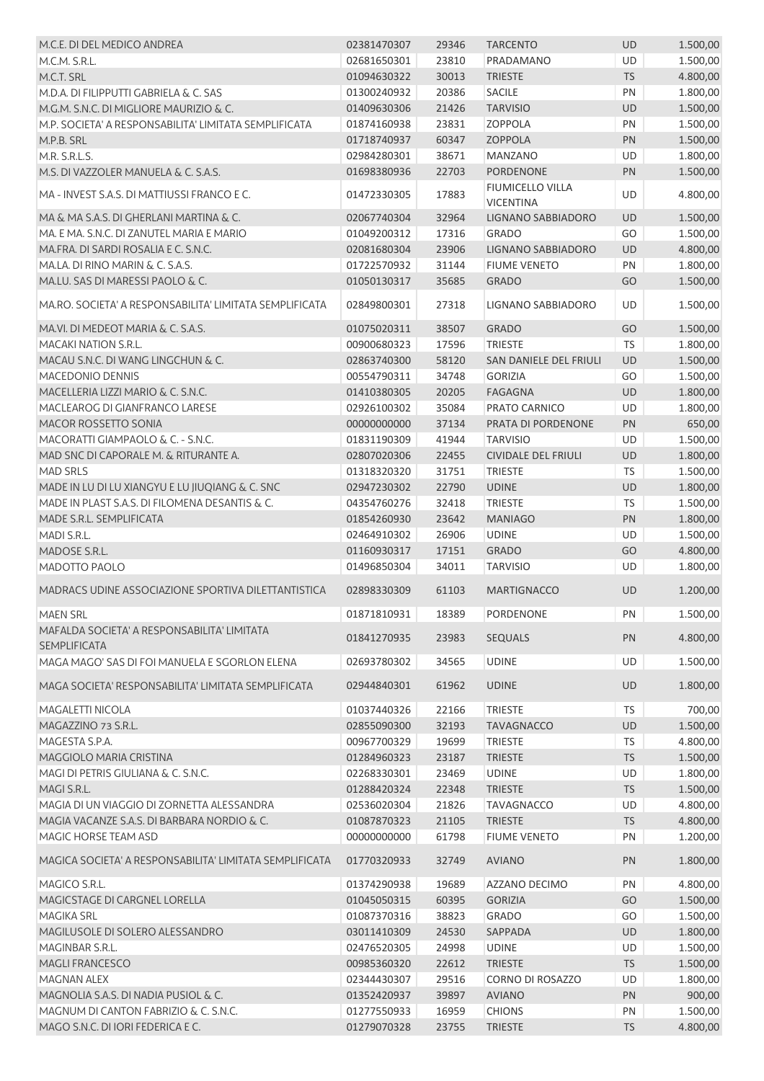| M.C.E. DI DEL MEDICO ANDREA                                                | 02381470307                | 29346          | <b>TARCENTO</b>                             | <b>UD</b> | 1.500,00             |
|----------------------------------------------------------------------------|----------------------------|----------------|---------------------------------------------|-----------|----------------------|
| M.C.M. S.R.L.                                                              | 02681650301                | 23810          | PRADAMANO                                   | UD        | 1.500,00             |
| M.C.T. SRL                                                                 | 01094630322                | 30013          | <b>TRIESTE</b>                              | <b>TS</b> | 4.800,00             |
| M.D.A. DI FILIPPUTTI GABRIELA & C. SAS                                     | 01300240932                | 20386          | SACILE                                      | PN        | 1.800,00             |
| M.G.M. S.N.C. DI MIGLIORE MAURIZIO & C.                                    | 01409630306                | 21426          | <b>TARVISIO</b>                             | UD        | 1.500,00             |
| M.P. SOCIETA' A RESPONSABILITA' LIMITATA SEMPLIFICATA                      | 01874160938                | 23831          | <b>ZOPPOLA</b>                              | PN        | 1.500,00             |
| M.P.B. SRL                                                                 | 01718740937                | 60347          | <b>ZOPPOLA</b>                              | PN        | 1.500,00             |
| M.R. S.R.L.S.                                                              | 02984280301                | 38671          | <b>MANZANO</b>                              | UD        | 1.800,00             |
| M.S. DI VAZZOLER MANUELA & C. S.A.S.                                       | 01698380936                | 22703          | <b>PORDENONE</b>                            | PN        | 1.500,00             |
| MA - INVEST S.A.S. DI MATTIUSSI FRANCO E C.                                | 01472330305                | 17883          | <b>FIUMICELLO VILLA</b><br><b>VICENTINA</b> | UD        | 4.800,00             |
| MA & MA S.A.S. DI GHERLANI MARTINA & C.                                    | 02067740304                | 32964          | LIGNANO SABBIADORO                          | UD        | 1.500,00             |
| MA. E MA. S.N.C. DI ZANUTEL MARIA E MARIO                                  | 01049200312                | 17316          | <b>GRADO</b>                                | GO        | 1.500,00             |
| MA.FRA. DI SARDI ROSALIA E C. S.N.C.                                       | 02081680304                | 23906          | LIGNANO SABBIADORO                          | UD        | 4.800,00             |
| MA.LA. DI RINO MARIN & C. S.A.S.                                           | 01722570932                | 31144          | <b>FIUME VENETO</b>                         | PN        | 1.800,00             |
| MA.LU. SAS DI MARESSI PAOLO & C.                                           | 01050130317                | 35685          | <b>GRADO</b>                                | GO        | 1.500,00             |
| MA.RO. SOCIETA' A RESPONSABILITA' LIMITATA SEMPLIFICATA                    | 02849800301                | 27318          | LIGNANO SABBIADORO                          | UD        | 1.500,00             |
| MA.VI. DI MEDEOT MARIA & C. S.A.S.                                         | 01075020311                | 38507          | <b>GRADO</b>                                | GO        | 1.500,00             |
| MACAKI NATION S.R.L.                                                       | 00900680323                | 17596          | <b>TRIESTE</b>                              | <b>TS</b> | 1.800,00             |
| MACAU S.N.C. DI WANG LINGCHUN & C.                                         | 02863740300                | 58120          | SAN DANIELE DEL FRIULI                      | <b>UD</b> | 1.500,00             |
| MACEDONIO DENNIS                                                           | 00554790311                | 34748          | <b>GORIZIA</b>                              | GO        | 1.500,00             |
| MACELLERIA LIZZI MARIO & C. S.N.C.                                         | 01410380305                | 20205          | <b>FAGAGNA</b>                              | UD        | 1.800,00             |
| MACLEAROG DI GIANFRANCO LARESE                                             | 02926100302                | 35084          | PRATO CARNICO                               | <b>UD</b> | 1.800,00             |
| MACOR ROSSETTO SONIA                                                       | 00000000000                | 37134          | PRATA DI PORDENONE                          | PN        | 650,00               |
| MACORATTI GIAMPAOLO & C. - S.N.C.                                          | 01831190309                | 41944          | <b>TARVISIO</b>                             | UD        | 1.500,00             |
| MAD SNC DI CAPORALE M. & RITURANTE A.                                      | 02807020306                | 22455          | <b>CIVIDALE DEL FRIULI</b>                  | UD        | 1.800,00             |
| <b>MAD SRLS</b>                                                            | 01318320320                | 31751          | <b>TRIESTE</b>                              | <b>TS</b> | 1.500,00             |
| MADE IN LU DI LU XIANGYU E LU JIUQIANG & C. SNC                            | 02947230302                | 22790          | <b>UDINE</b>                                | <b>UD</b> | 1.800,00             |
| MADE IN PLAST S.A.S. DI FILOMENA DESANTIS & C.                             | 04354760276                | 32418          | <b>TRIESTE</b>                              | <b>TS</b> | 1.500,00             |
| MADE S.R.L. SEMPLIFICATA                                                   | 01854260930                | 23642          | <b>MANIAGO</b>                              | PN        | 1.800,00             |
| MADI S.R.L.                                                                | 02464910302                | 26906          | <b>UDINE</b>                                | UD        | 1.500,00             |
| MADOSE S.R.L.                                                              | 01160930317                | 17151          | <b>GRADO</b>                                | GO        | 4.800,00             |
| MADOTTO PAOLO                                                              | 01496850304                | 34011          | <b>TARVISIO</b>                             | UD        | 1.800,00             |
| MADRACS UDINE ASSOCIAZIONE SPORTIVA DILETTANTISTICA                        | 02898330309                | 61103          | <b>MARTIGNACCO</b>                          | <b>UD</b> | 1.200,00             |
| <b>MAEN SRL</b>                                                            | 01871810931 18389          |                | PORDENONE                                   | PN        | 1.500,00             |
| MAFALDA SOCIETA' A RESPONSABILITA' LIMITATA                                | 01841270935                | 23983          | <b>SEQUALS</b>                              | PN        | 4.800,00             |
| <b>SEMPLIFICATA</b><br>MAGA MAGO' SAS DI FOI MANUELA E SGORLON ELENA       | 02693780302                | 34565          | <b>UDINE</b>                                | UD        | 1.500,00             |
| MAGA SOCIETA' RESPONSABILITA' LIMITATA SEMPLIFICATA                        | 02944840301                | 61962          | <b>UDINE</b>                                | <b>UD</b> | 1.800,00             |
|                                                                            |                            |                |                                             |           |                      |
| MAGALETTI NICOLA                                                           | 01037440326                | 22166          | <b>TRIESTE</b>                              | <b>TS</b> | 700,00               |
| MAGAZZINO 73 S.R.L.                                                        | 02855090300                | 32193          | <b>TAVAGNACCO</b>                           | UD        | 1.500,00             |
| MAGESTA S.P.A.                                                             | 00967700329                | 19699          | <b>TRIESTE</b>                              | <b>TS</b> | 4.800,00             |
| MAGGIOLO MARIA CRISTINA                                                    | 01284960323                | 23187          | <b>TRIESTE</b>                              | <b>TS</b> | 1.500,00             |
| MAGI DI PETRIS GIULIANA & C. S.N.C.                                        | 02268330301                | 23469          | <b>UDINE</b>                                | UD        | 1.800,00             |
| MAGI S.R.L.                                                                | 01288420324                | 22348          | <b>TRIESTE</b>                              | <b>TS</b> | 1.500,00             |
| MAGIA DI UN VIAGGIO DI ZORNETTA ALESSANDRA                                 | 02536020304                | 21826          | <b>TAVAGNACCO</b>                           | UD        | 4.800,00             |
| MAGIA VACANZE S.A.S. DI BARBARA NORDIO & C.                                | 01087870323                | 21105          | <b>TRIESTE</b>                              | <b>TS</b> | 4.800,00             |
| MAGIC HORSE TEAM ASD                                                       | 00000000000                | 61798          | <b>FIUME VENETO</b>                         | PN        | 1.200,00             |
| MAGICA SOCIETA' A RESPONSABILITA' LIMITATA SEMPLIFICATA                    | 01770320933                | 32749          | <b>AVIANO</b>                               | PN        | 1.800,00             |
| MAGICO S.R.L.                                                              | 01374290938                | 19689          | AZZANO DECIMO                               | PN        | 4.800,00             |
| MAGICSTAGE DI CARGNEL LORELLA                                              | 01045050315                | 60395          | <b>GORIZIA</b>                              | GO        | 1.500,00             |
| <b>MAGIKA SRL</b>                                                          | 01087370316                | 38823          | <b>GRADO</b>                                | GO        | 1.500,00             |
| MAGILUSOLE DI SOLERO ALESSANDRO                                            | 03011410309                | 24530          | SAPPADA                                     | UD        | 1.800,00             |
| MAGINBAR S.R.L.                                                            |                            | 24998          | <b>UDINE</b>                                | UD        | 1.500,00             |
|                                                                            | 02476520305                |                |                                             |           |                      |
| <b>MAGLI FRANCESCO</b>                                                     | 00985360320                | 22612          | <b>TRIESTE</b>                              | <b>TS</b> | 1.500,00             |
| MAGNAN ALEX                                                                | 02344430307                | 29516          | CORNO DI ROSAZZO                            | UD        | 1.800,00             |
| MAGNOLIA S.A.S. DI NADIA PUSIOL & C.                                       | 01352420937                | 39897          | <b>AVIANO</b>                               | PN        | 900,00               |
| MAGNUM DI CANTON FABRIZIO & C. S.N.C.<br>MAGO S.N.C. DI IORI FEDERICA E C. | 01277550933<br>01279070328 | 16959<br>23755 | <b>CHIONS</b><br><b>TRIESTE</b>             | PN        | 1.500,00<br>4.800,00 |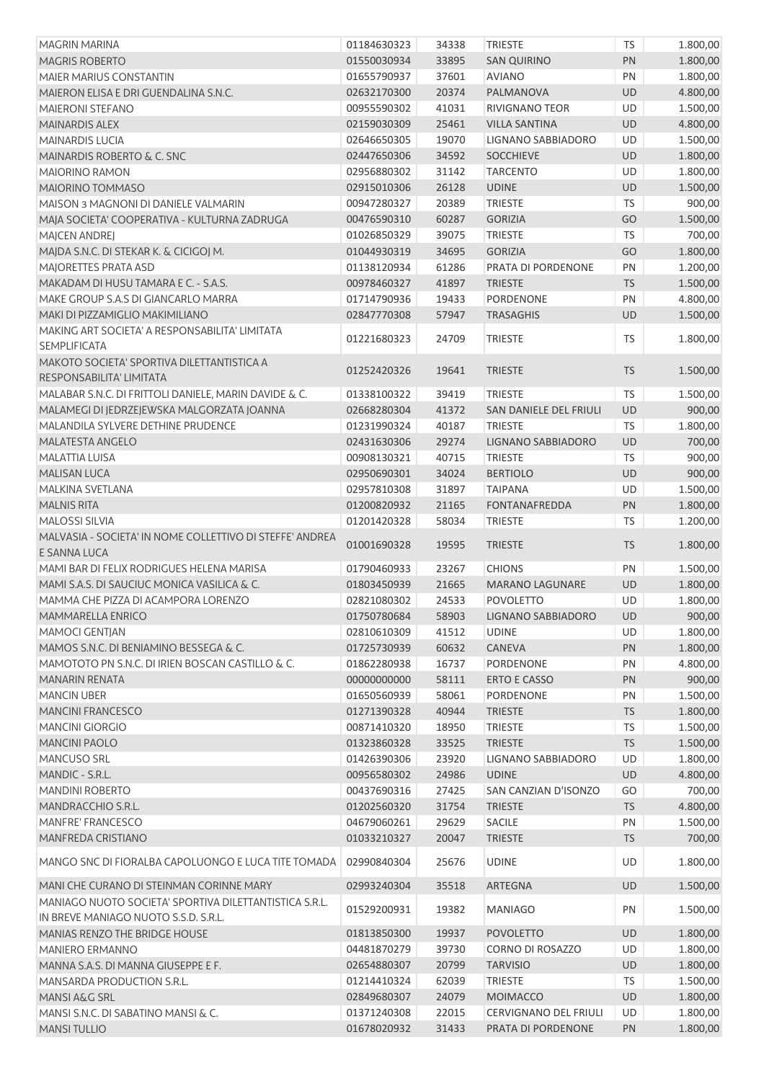| <b>MAGRIN MARINA</b>                                                                           | 01184630323 | 34338 | <b>TRIESTE</b>         | <b>TS</b> | 1.800,00 |
|------------------------------------------------------------------------------------------------|-------------|-------|------------------------|-----------|----------|
| <b>MAGRIS ROBERTO</b>                                                                          | 01550030934 | 33895 | <b>SAN QUIRINO</b>     | PN        | 1.800,00 |
| <b>MAIER MARIUS CONSTANTIN</b>                                                                 | 01655790937 | 37601 | <b>AVIANO</b>          | PN        | 1.800,00 |
| MAIERON ELISA E DRI GUENDALINA S.N.C.                                                          | 02632170300 | 20374 | PALMANOVA              | UD        | 4.800,00 |
| MAIERONI STEFANO                                                                               | 00955590302 | 41031 | RIVIGNANO TEOR         | <b>UD</b> | 1.500,00 |
| MAINARDIS ALEX                                                                                 | 02159030309 | 25461 | <b>VILLA SANTINA</b>   | UD        | 4.800,00 |
| <b>MAINARDIS LUCIA</b>                                                                         | 02646650305 | 19070 | LIGNANO SABBIADORO     | UD        | 1.500,00 |
| MAINARDIS ROBERTO & C. SNC                                                                     | 02447650306 | 34592 | <b>SOCCHIEVE</b>       | UD        | 1.800,00 |
| <b>MAIORINO RAMON</b>                                                                          | 02956880302 | 31142 | <b>TARCENTO</b>        | UD        | 1.800,00 |
| MAIORINO TOMMASO                                                                               | 02915010306 | 26128 | <b>UDINE</b>           | UD        | 1.500,00 |
| MAISON 3 MAGNONI DI DANIELE VALMARIN                                                           | 00947280327 | 20389 | <b>TRIESTE</b>         | <b>TS</b> | 900,00   |
| MAJA SOCIETA' COOPERATIVA - KULTURNA ZADRUGA                                                   | 00476590310 | 60287 | <b>GORIZIA</b>         | GO        | 1.500,00 |
| MAJCEN ANDREJ                                                                                  | 01026850329 | 39075 | TRIESTE                | TS        | 700,00   |
| MAJDA S.N.C. DI STEKAR K. & CICIGOJ M.                                                         | 01044930319 | 34695 | <b>GORIZIA</b>         | GO        | 1.800,00 |
| MAJORETTES PRATA ASD                                                                           | 01138120934 | 61286 | PRATA DI PORDENONE     | PN        | 1.200,00 |
| MAKADAM DI HUSU TAMARA E C. - S.A.S.                                                           | 00978460327 | 41897 | <b>TRIESTE</b>         | TS        | 1.500,00 |
| MAKE GROUP S.A.S DI GIANCARLO MARRA                                                            | 01714790936 | 19433 | PORDENONE              | PN        | 4.800,00 |
| MAKI DI PIZZAMIGLIO MAKIMILIANO                                                                | 02847770308 | 57947 | <b>TRASAGHIS</b>       | UD        | 1.500,00 |
| MAKING ART SOCIETA' A RESPONSABILITA' LIMITATA                                                 |             |       |                        |           |          |
| <b>SEMPLIFICATA</b>                                                                            | 01221680323 | 24709 | <b>TRIESTE</b>         | <b>TS</b> | 1.800,00 |
| MAKOTO SOCIETA' SPORTIVA DILETTANTISTICA A                                                     |             |       |                        |           |          |
| RESPONSABILITA' LIMITATA                                                                       | 01252420326 | 19641 | <b>TRIESTE</b>         | <b>TS</b> | 1.500,00 |
| MALABAR S.N.C. DI FRITTOLI DANIELE. MARIN DAVIDE & C.                                          | 01338100322 | 39419 | <b>TRIESTE</b>         | <b>TS</b> | 1.500,00 |
| MALAMEGI DI JEDRZEJEWSKA MALGORZATA JOANNA                                                     | 02668280304 | 41372 | SAN DANIELE DEL FRIULI | UD        | 900,00   |
| MALANDILA SYLVERE DETHINE PRUDENCE                                                             | 01231990324 | 40187 | <b>TRIESTE</b>         | TS        | 1.800,00 |
| MALATESTA ANGELO                                                                               | 02431630306 | 29274 | LIGNANO SABBIADORO     | UD        | 700,00   |
| MALATTIA LUISA                                                                                 | 00908130321 | 40715 | <b>TRIESTE</b>         | TS        | 900,00   |
| <b>MALISAN LUCA</b>                                                                            | 02950690301 | 34024 | <b>BERTIOLO</b>        | UD        | 900,00   |
| MALKINA SVETLANA                                                                               | 02957810308 | 31897 | <b>TAIPANA</b>         | UD        | 1.500,00 |
| <b>MALNIS RITA</b>                                                                             | 01200820932 | 21165 | <b>FONTANAFREDDA</b>   | PN        | 1.800,00 |
| <b>MALOSSI SILVIA</b>                                                                          | 01201420328 | 58034 | <b>TRIESTE</b>         | <b>TS</b> | 1.200,00 |
| MALVASIA - SOCIETA' IN NOME COLLETTIVO DI STEFFE' ANDREA                                       |             |       |                        |           |          |
| E SANNA LUCA                                                                                   | 01001690328 | 19595 | <b>TRIESTE</b>         | <b>TS</b> | 1.800,00 |
| MAMI BAR DI FELIX RODRIGUES HELENA MARISA                                                      | 01790460933 | 23267 | <b>CHIONS</b>          | PN        | 1.500,00 |
| MAMI S.A.S. DI SAUCIUC MONICA VASILICA & C.                                                    | 01803450939 | 21665 | <b>MARANO LAGUNARE</b> | UD        |          |
|                                                                                                | 02821080302 |       |                        | UD        | 1.800,00 |
| MAMMA CHE PIZZA DI ACAMPORA LORENZO                                                            |             | 24533 | <b>POVOLETTO</b>       |           | 1.800,00 |
| MAMMARELLA ENRICO                                                                              | 01750780684 | 58903 | LIGNANO SABBIADORO     | UD        | 900,00   |
| <b>MAMOCI GENTIAN</b>                                                                          | 02810610309 | 41512 | <b>UDINE</b>           | UD        | 1.800,00 |
| MAMOS S.N.C. DI BENIAMINO BESSEGA & C.                                                         | 01725730939 | 60632 | CANEVA                 | PN        | 1.800,00 |
| MAMOTOTO PN S.N.C. DI IRIEN BOSCAN CASTILLO & C.                                               | 01862280938 | 16737 | PORDENONE              | PN        | 4.800,00 |
| <b>MANARIN RENATA</b>                                                                          | 00000000000 | 58111 | <b>ERTO E CASSO</b>    | PN        | 900,00   |
| <b>MANCIN UBER</b>                                                                             | 01650560939 | 58061 | <b>PORDENONE</b>       | PN        | 1.500,00 |
| <b>MANCINI FRANCESCO</b>                                                                       | 01271390328 | 40944 | <b>TRIESTE</b>         | <b>TS</b> | 1.800,00 |
| <b>MANCINI GIORGIO</b>                                                                         | 00871410320 | 18950 | <b>TRIESTE</b>         | <b>TS</b> | 1.500,00 |
| <b>MANCINI PAOLO</b>                                                                           | 01323860328 | 33525 | <b>TRIESTE</b>         | TS        | 1.500,00 |
| MANCUSO SRL                                                                                    | 01426390306 | 23920 | LIGNANO SABBIADORO     | UD        | 1.800,00 |
| MANDIC - S.R.L.                                                                                | 00956580302 | 24986 | <b>UDINE</b>           | UD        | 4.800,00 |
| <b>MANDINI ROBERTO</b>                                                                         | 00437690316 | 27425 | SAN CANZIAN D'ISONZO   | GO        | 700,00   |
| MANDRACCHIO S.R.L.                                                                             | 01202560320 | 31754 | <b>TRIESTE</b>         | <b>TS</b> | 4.800,00 |
| MANFRE' FRANCESCO                                                                              | 04679060261 | 29629 | SACILE                 | PN        | 1.500,00 |
| MANFREDA CRISTIANO                                                                             | 01033210327 | 20047 | <b>TRIESTE</b>         | <b>TS</b> | 700,00   |
| MANGO SNC DI FIORALBA CAPOLUONGO E LUCA TITE TOMADA                                            | 02990840304 | 25676 | <b>UDINE</b>           | UD        | 1.800,00 |
| MANI CHE CURANO DI STEINMAN CORINNE MARY                                                       | 02993240304 | 35518 | ARTEGNA                | UD        | 1.500,00 |
| MANIAGO NUOTO SOCIETA' SPORTIVA DILETTANTISTICA S.R.L.<br>IN BREVE MANIAGO NUOTO S.S.D. S.R.L. | 01529200931 | 19382 | <b>MANIAGO</b>         | PN        | 1.500,00 |
| MANIAS RENZO THE BRIDGE HOUSE                                                                  | 01813850300 | 19937 | <b>POVOLETTO</b>       | UD        | 1.800,00 |
| <b>MANIERO ERMANNO</b>                                                                         | 04481870279 | 39730 | CORNO DI ROSAZZO       | UD        | 1.800,00 |
| MANNA S.A.S. DI MANNA GIUSEPPE E F.                                                            | 02654880307 | 20799 | <b>TARVISIO</b>        | UD        | 1.800,00 |
| MANSARDA PRODUCTION S.R.L.                                                                     | 01214410324 | 62039 | <b>TRIESTE</b>         | <b>TS</b> | 1.500,00 |
| MANSI A&G SRL                                                                                  | 02849680307 | 24079 | <b>MOIMACCO</b>        | UD        | 1.800,00 |
| MANSI S.N.C. DI SABATINO MANSI & C.                                                            | 01371240308 | 22015 | CERVIGNANO DEL FRIULI  | UD        | 1.800,00 |
| <b>MANSI TULLIO</b>                                                                            | 01678020932 | 31433 | PRATA DI PORDENONE     | PN        | 1.800,00 |
|                                                                                                |             |       |                        |           |          |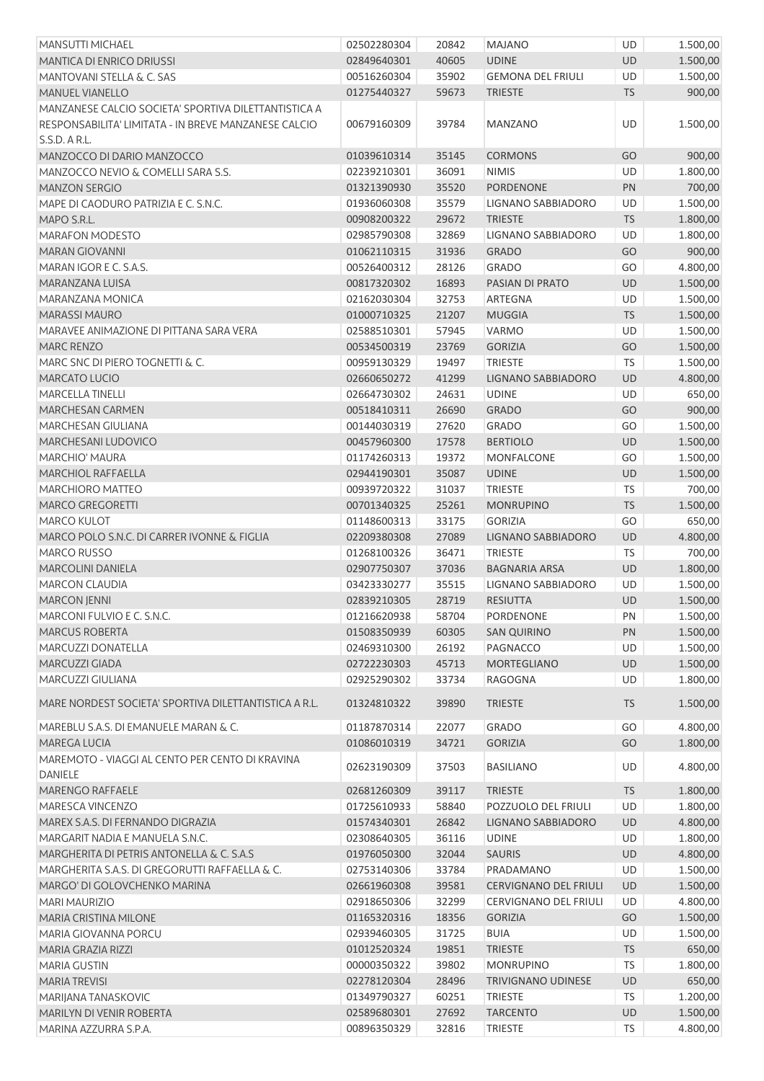| <b>MANSUTTI MICHAEL</b>                               | 02502280304 | 20842 | <b>MAJANO</b>                | UD        | 1.500,00 |
|-------------------------------------------------------|-------------|-------|------------------------------|-----------|----------|
| <b>MANTICA DI ENRICO DRIUSSI</b>                      | 02849640301 | 40605 | <b>UDINE</b>                 | UD        | 1.500,00 |
| MANTOVANI STELLA & C. SAS                             | 00516260304 | 35902 | <b>GEMONA DEL FRIULI</b>     | UD        | 1.500,00 |
| <b>MANUEL VIANELLO</b>                                | 01275440327 | 59673 | <b>TRIESTE</b>               | <b>TS</b> | 900,00   |
| MANZANESE CALCIO SOCIETA' SPORTIVA DILETTANTISTICA A  |             |       |                              |           |          |
| RESPONSABILITA' LIMITATA - IN BREVE MANZANESE CALCIO  | 00679160309 | 39784 | MANZANO                      | UD        | 1.500,00 |
| S.S.D. A R.L.                                         |             |       |                              |           |          |
| MANZOCCO DI DARIO MANZOCCO                            | 01039610314 | 35145 | <b>CORMONS</b>               | GO        | 900,00   |
| MANZOCCO NEVIO & COMELLI SARA S.S.                    | 02239210301 | 36091 | <b>NIMIS</b>                 | UD        | 1.800,00 |
| <b>MANZON SERGIO</b>                                  | 01321390930 | 35520 | <b>PORDENONE</b>             | PN        | 700,00   |
| MAPE DI CAODURO PATRIZIA E C. S.N.C.                  | 01936060308 | 35579 | LIGNANO SABBIADORO           | UD        | 1.500,00 |
| MAPO S.R.L.                                           | 00908200322 | 29672 | <b>TRIESTE</b>               | <b>TS</b> | 1.800,00 |
| <b>MARAFON MODESTO</b>                                | 02985790308 | 32869 | LIGNANO SABBIADORO           | UD        | 1.800,00 |
| <b>MARAN GIOVANNI</b>                                 | 01062110315 | 31936 | <b>GRADO</b>                 | GO        | 900,00   |
| MARAN IGOR E C. S.A.S.                                | 00526400312 | 28126 | <b>GRADO</b>                 | GO        | 4.800,00 |
| MARANZANA LUISA                                       | 00817320302 | 16893 | PASIAN DI PRATO              | UD        | 1.500,00 |
| MARANZANA MONICA                                      | 02162030304 | 32753 | ARTEGNA                      | UD        | 1.500,00 |
| <b>MARASSI MAURO</b>                                  | 01000710325 | 21207 | <b>MUGGIA</b>                | <b>TS</b> | 1.500,00 |
| MARAVEE ANIMAZIONE DI PITTANA SARA VERA               | 02588510301 | 57945 | <b>VARMO</b>                 | UD        | 1.500,00 |
| MARC RENZO                                            | 00534500319 | 23769 | <b>GORIZIA</b>               | GO        | 1.500,00 |
| MARC SNC DI PIERO TOGNETTI & C.                       | 00959130329 | 19497 | <b>TRIESTE</b>               | <b>TS</b> | 1.500,00 |
| MARCATO LUCIO                                         | 02660650272 | 41299 | LIGNANO SABBIADORO           | UD        | 4.800,00 |
| <b>MARCELLA TINELLI</b>                               | 02664730302 | 24631 | <b>UDINE</b>                 | UD        | 650,00   |
| <b>MARCHESAN CARMEN</b>                               | 00518410311 | 26690 | <b>GRADO</b>                 | GO        | 900,00   |
| MARCHESAN GIULIANA                                    | 00144030319 | 27620 | <b>GRADO</b>                 | GO        | 1.500,00 |
| MARCHESANI LUDOVICO                                   | 00457960300 | 17578 | <b>BERTIOLO</b>              | UD        | 1.500,00 |
| <b>MARCHIO' MAURA</b>                                 | 01174260313 | 19372 | <b>MONFALCONE</b>            | GO        | 1.500,00 |
| <b>MARCHIOL RAFFAELLA</b>                             | 02944190301 | 35087 | <b>UDINE</b>                 | UD        | 1.500,00 |
| <b>MARCHIORO MATTEO</b>                               | 00939720322 | 31037 | <b>TRIESTE</b>               | <b>TS</b> | 700,00   |
| MARCO GREGORETTI                                      | 00701340325 | 25261 | <b>MONRUPINO</b>             | <b>TS</b> | 1.500,00 |
| <b>MARCO KULOT</b>                                    | 01148600313 | 33175 | <b>GORIZIA</b>               | GO        | 650,00   |
| MARCO POLO S.N.C. DI CARRER IVONNE & FIGLIA           | 02209380308 | 27089 | LIGNANO SABBIADORO           | <b>UD</b> | 4.800,00 |
| MARCO RUSSO                                           | 01268100326 | 36471 | <b>TRIESTE</b>               | <b>TS</b> | 700,00   |
| <b>MARCOLINI DANIELA</b>                              | 02907750307 | 37036 | <b>BAGNARIA ARSA</b>         | <b>UD</b> | 1.800,00 |
| MARCON CLAUDIA                                        | 03423330277 | 35515 | LIGNANO SABBIADORO           | UD        | 1.500,00 |
| <b>MARCON JENNI</b>                                   | 02839210305 | 28719 | <b>RESIUTTA</b>              | <b>UD</b> | 1.500,00 |
| MARCONI FULVIO E C. S.N.C.                            | 01216620938 | 58704 | PORDENONE                    | PN        | 1.500,00 |
| <b>MARCUS ROBERTA</b>                                 | 01508350939 | 60305 | <b>SAN QUIRINO</b>           | PN        | 1.500,00 |
| <b>MARCUZZI DONATELLA</b>                             | 02469310300 | 26192 | PAGNACCO                     | UD        | 1.500,00 |
| MARCUZZI GIADA                                        | 02722230303 | 45713 | <b>MORTEGLIANO</b>           | UD        | 1.500,00 |
| MARCUZZI GIULIANA                                     | 02925290302 | 33734 | RAGOGNA                      | UD        | 1.800,00 |
|                                                       |             |       |                              |           |          |
| MARE NORDEST SOCIETA' SPORTIVA DILETTANTISTICA A R.L. | 01324810322 | 39890 | <b>TRIESTE</b>               | <b>TS</b> | 1.500,00 |
| MAREBLU S.A.S. DI EMANUELE MARAN & C.                 | 01187870314 | 22077 | <b>GRADO</b>                 | GO        | 4.800,00 |
| MAREGA LUCIA                                          | 01086010319 | 34721 | <b>GORIZIA</b>               | GO        | 1.800,00 |
| MAREMOTO - VIAGGI AL CENTO PER CENTO DI KRAVINA       |             |       |                              |           |          |
| <b>DANIELE</b>                                        | 02623190309 | 37503 | <b>BASILIANO</b>             | UD.       | 4.800,00 |
| <b>MARENGO RAFFAELE</b>                               | 02681260309 | 39117 | <b>TRIESTE</b>               | <b>TS</b> | 1.800,00 |
| MARESCA VINCENZO                                      | 01725610933 | 58840 | POZZUOLO DEL FRIULI          | UD        | 1.800,00 |
| MAREX S.A.S. DI FERNANDO DIGRAZIA                     | 01574340301 | 26842 | LIGNANO SABBIADORO           | <b>UD</b> | 4.800,00 |
| MARGARIT NADIA E MANUELA S.N.C.                       | 02308640305 | 36116 | <b>UDINE</b>                 | UD        | 1.800,00 |
| MARGHERITA DI PETRIS ANTONELLA & C. S.A.S             | 01976050300 | 32044 | <b>SAURIS</b>                | UD        | 4.800,00 |
| MARGHERITA S.A.S. DI GREGORUTTI RAFFAELLA & C.        | 02753140306 | 33784 | PRADAMANO                    | UD        | 1.500,00 |
| MARGO' DI GOLOVCHENKO MARINA                          | 02661960308 | 39581 | <b>CERVIGNANO DEL FRIULI</b> | <b>UD</b> | 1.500,00 |
| <b>MARI MAURIZIO</b>                                  | 02918650306 | 32299 | CERVIGNANO DEL FRIULI        | UD        | 4.800,00 |
| MARIA CRISTINA MILONE                                 | 01165320316 | 18356 | <b>GORIZIA</b>               | GO        | 1.500,00 |
| MARIA GIOVANNA PORCU                                  | 02939460305 | 31725 | <b>BUIA</b>                  | UD        | 1.500,00 |
| MARIA GRAZIA RIZZI                                    | 01012520324 | 19851 | <b>TRIESTE</b>               | <b>TS</b> | 650,00   |
| <b>MARIA GUSTIN</b>                                   | 00000350322 | 39802 | <b>MONRUPINO</b>             | <b>TS</b> | 1.800,00 |
| <b>MARIA TREVISI</b>                                  | 02278120304 | 28496 | <b>TRIVIGNANO UDINESE</b>    | UD        | 650,00   |
| MARIJANA TANASKOVIC                                   | 01349790327 | 60251 | <b>TRIESTE</b>               | <b>TS</b> | 1.200,00 |
| MARILYN DI VENIR ROBERTA                              | 02589680301 | 27692 | <b>TARCENTO</b>              | UD        | 1.500,00 |
| MARINA AZZURRA S.P.A.                                 | 00896350329 | 32816 | <b>TRIESTE</b>               | <b>TS</b> | 4.800,00 |
|                                                       |             |       |                              |           |          |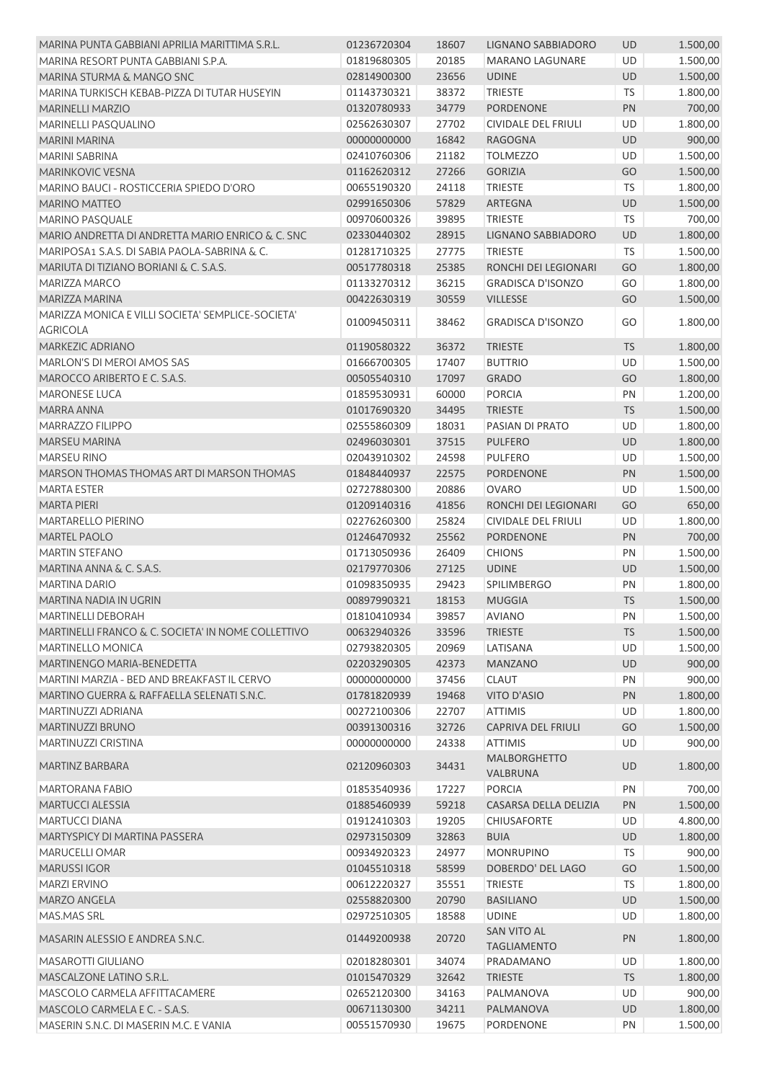| MARINA PUNTA GABBIANI APRILIA MARITTIMA S.R.L.     | 01236720304              | 18607 | LIGNANO SABBIADORO                       | <b>UD</b> | 1.500,00             |
|----------------------------------------------------|--------------------------|-------|------------------------------------------|-----------|----------------------|
| MARINA RESORT PUNTA GABBIANI S.P.A.                | 01819680305              | 20185 | <b>MARANO LAGUNARE</b>                   | UD        | 1.500,00             |
| MARINA STURMA & MANGO SNC                          | 02814900300              | 23656 | <b>UDINE</b>                             | UD        | 1.500,00             |
| MARINA TURKISCH KEBAB-PIZZA DI TUTAR HUSEYIN       | 01143730321              | 38372 | <b>TRIESTE</b>                           | TS        | 1.800,00             |
| <b>MARINELLI MARZIO</b>                            | 01320780933              | 34779 | PORDENONE                                | PN        | 700,00               |
| MARINELLI PASQUALINO                               | 02562630307              | 27702 | CIVIDALE DEL FRIULI                      | UD        | 1.800,00             |
| <b>MARINI MARINA</b>                               | 00000000000              | 16842 | <b>RAGOGNA</b>                           | <b>UD</b> | 900,00               |
| MARINI SABRINA                                     | 02410760306              | 21182 | <b>TOLMEZZO</b>                          | UD        | 1.500,00             |
| <b>MARINKOVIC VESNA</b>                            | 01162620312              | 27266 | <b>GORIZIA</b>                           | GO        | 1.500,00             |
| MARINO BAUCI - ROSTICCERIA SPIEDO D'ORO            | 00655190320              | 24118 | <b>TRIESTE</b>                           | <b>TS</b> | 1.800,00             |
| <b>MARINO MATTEO</b>                               | 02991650306              | 57829 | ARTEGNA                                  | UD        | 1.500,00             |
| MARINO PASQUALE                                    | 00970600326              | 39895 | <b>TRIESTE</b>                           | TS        | 700,00               |
| MARIO ANDRETTA DI ANDRETTA MARIO ENRICO & C. SNC   | 02330440302              | 28915 | LIGNANO SABBIADORO                       | UD        | 1.800,00             |
| MARIPOSA1 S.A.S. DI SABIA PAOLA-SABRINA & C.       | 01281710325              | 27775 | <b>TRIESTE</b>                           | TS        | 1.500,00             |
| MARIUTA DI TIZIANO BORIANI & C. S.A.S.             | 00517780318              | 25385 | RONCHI DEI LEGIONARI                     | GO        | 1.800,00             |
| <b>MARIZZA MARCO</b>                               | 01133270312              | 36215 | <b>GRADISCA D'ISONZO</b>                 | GO        | 1.800,00             |
| MARIZZA MARINA                                     | 00422630319              | 30559 | <b>VILLESSE</b>                          | GO        | 1.500,00             |
| MARIZZA MONICA E VILLI SOCIETA' SEMPLICE-SOCIETA'  |                          |       |                                          |           |                      |
| <b>AGRICOLA</b>                                    | 01009450311              | 38462 | <b>GRADISCA D'ISONZO</b>                 | GO        | 1.800,00             |
| MARKEZIC ADRIANO                                   | 01190580322              | 36372 | <b>TRIESTE</b>                           | <b>TS</b> | 1.800,00             |
| MARLON'S DI MEROI AMOS SAS                         | 01666700305              | 17407 | <b>BUTTRIO</b>                           | UD        | 1.500,00             |
| MAROCCO ARIBERTO E C. S.A.S.                       | 00505540310              | 17097 | <b>GRADO</b>                             | GO        | 1.800,00             |
| <b>MARONESE LUCA</b>                               | 01859530931              | 60000 | <b>PORCIA</b>                            | PN        | 1.200,00             |
| MARRA ANNA                                         | 01017690320              | 34495 | <b>TRIESTE</b>                           | <b>TS</b> | 1.500,00             |
| MARRAZZO FILIPPO                                   | 02555860309              | 18031 | PASIAN DI PRATO                          | UD        |                      |
| <b>MARSEU MARINA</b>                               | 02496030301              | 37515 | <b>PULFERO</b>                           | UD        | 1.800,00<br>1.800,00 |
| <b>MARSEU RINO</b>                                 |                          |       |                                          |           |                      |
| MARSON THOMAS THOMAS ART DI MARSON THOMAS          | 02043910302              | 24598 | <b>PULFERO</b>                           | UD        | 1.500,00             |
|                                                    | 01848440937              | 22575 | PORDENONE                                | PN        | 1.500,00             |
| <b>MARTA ESTER</b>                                 | 02727880300              | 20886 | <b>OVARO</b>                             | UD        | 1.500,00             |
| <b>MARTA PIERI</b>                                 | 01209140316              | 41856 | RONCHI DEI LEGIONARI                     | GO        | 650,00               |
| MARTARELLO PIERINO                                 | 02276260300              | 25824 | <b>CIVIDALE DEL FRIULI</b>               | UD        | 1.800,00             |
| <b>MARTEL PAOLO</b>                                | 01246470932              | 25562 | <b>PORDENONE</b>                         | PN        | 700,00               |
| <b>MARTIN STEFANO</b>                              | 01713050936              | 26409 | <b>CHIONS</b>                            | PN        | 1.500,00             |
| MARTINA ANNA & C. S.A.S.                           | 02179770306              | 27125 | <b>UDINE</b>                             | UD        | 1.500,00             |
| <b>MARTINA DARIO</b>                               | 01098350935              | 29423 | <b>SPILIMBERGO</b>                       | PN        | 1.800,00             |
| MARTINA NADIA IN UGRIN                             | 00897990321              | 18153 | <b>MUGGIA</b>                            | <b>TS</b> | 1.500,00             |
| MARTINELLI DEBORAH                                 | 01810410934 39857 AVIANO |       |                                          | PN        | 1.500,00             |
| MARTINELLI FRANCO & C. SOCIETA' IN NOME COLLETTIVO | 00632940326              | 33596 | <b>TRIESTE</b>                           | <b>TS</b> | 1.500,00             |
| <b>MARTINELLO MONICA</b>                           | 02793820305              | 20969 | LATISANA                                 | UD        | 1.500,00             |
| MARTINENGO MARIA-BENEDETTA                         | 02203290305              | 42373 | <b>MANZANO</b>                           | UD        | 900,00               |
| MARTINI MARZIA - BED AND BREAKFAST IL CERVO        | 00000000000              | 37456 | <b>CLAUT</b>                             | PN        | 900,00               |
| MARTINO GUERRA & RAFFAELLA SELENATI S.N.C.         | 01781820939              | 19468 | VITO D'ASIO                              | PN        | 1.800,00             |
| MARTINUZZI ADRIANA                                 | 00272100306              | 22707 | <b>ATTIMIS</b>                           | UD        | 1.800,00             |
| MARTINUZZI BRUNO                                   | 00391300316              | 32726 | <b>CAPRIVA DEL FRIULI</b>                | GO        | 1.500,00             |
| MARTINUZZI CRISTINA                                | 00000000000              | 24338 | <b>ATTIMIS</b>                           | UD        | 900,00               |
| <b>MARTINZ BARBARA</b>                             | 02120960303              | 34431 | <b>MALBORGHETTO</b><br>VALBRUNA          | UD        | 1.800,00             |
| MARTORANA FABIO                                    | 01853540936              | 17227 | <b>PORCIA</b>                            | PN        | 700,00               |
| MARTUCCI ALESSIA                                   | 01885460939              | 59218 | CASARSA DELLA DELIZIA                    | PN        | 1.500,00             |
| MARTUCCI DIANA                                     | 01912410303              | 19205 | <b>CHIUSAFORTE</b>                       | UD        | 4.800,00             |
| MARTYSPICY DI MARTINA PASSERA                      | 02973150309              | 32863 | <b>BUIA</b>                              | UD        | 1.800,00             |
| MARUCELLI OMAR                                     | 00934920323              | 24977 | <b>MONRUPINO</b>                         | <b>TS</b> | 900,00               |
| <b>MARUSSIIGOR</b>                                 | 01045510318              | 58599 | DOBERDO' DEL LAGO                        | GO        | 1.500,00             |
| <b>MARZI ERVINO</b>                                | 00612220327              | 35551 | <b>TRIESTE</b>                           | <b>TS</b> | 1.800,00             |
| MARZO ANGELA                                       | 02558820300              | 20790 | <b>BASILIANO</b>                         | UD        | 1.500,00             |
| MAS.MAS SRL                                        | 02972510305              | 18588 | <b>UDINE</b>                             | UD        | 1.800,00             |
| MASARIN ALESSIO E ANDREA S.N.C.                    | 01449200938              | 20720 | <b>SAN VITO AL</b><br><b>TAGLIAMENTO</b> | PN        | 1.800,00             |
| <b>MASAROTTI GIULIANO</b>                          | 02018280301              | 34074 | PRADAMANO                                | UD        | 1.800,00             |
| MASCALZONE LATINO S.R.L.                           | 01015470329              | 32642 | <b>TRIESTE</b>                           | <b>TS</b> | 1.800,00             |
| MASCOLO CARMELA AFFITTACAMERE                      | 02652120300              | 34163 | PALMANOVA                                | UD        | 900,00               |
| MASCOLO CARMELA E C. - S.A.S.                      | 00671130300              | 34211 | PALMANOVA                                | UD        | 1.800,00             |
| MASERIN S.N.C. DI MASERIN M.C. E VANIA             | 00551570930              | 19675 | PORDENONE                                | PN        | 1.500,00             |
|                                                    |                          |       |                                          |           |                      |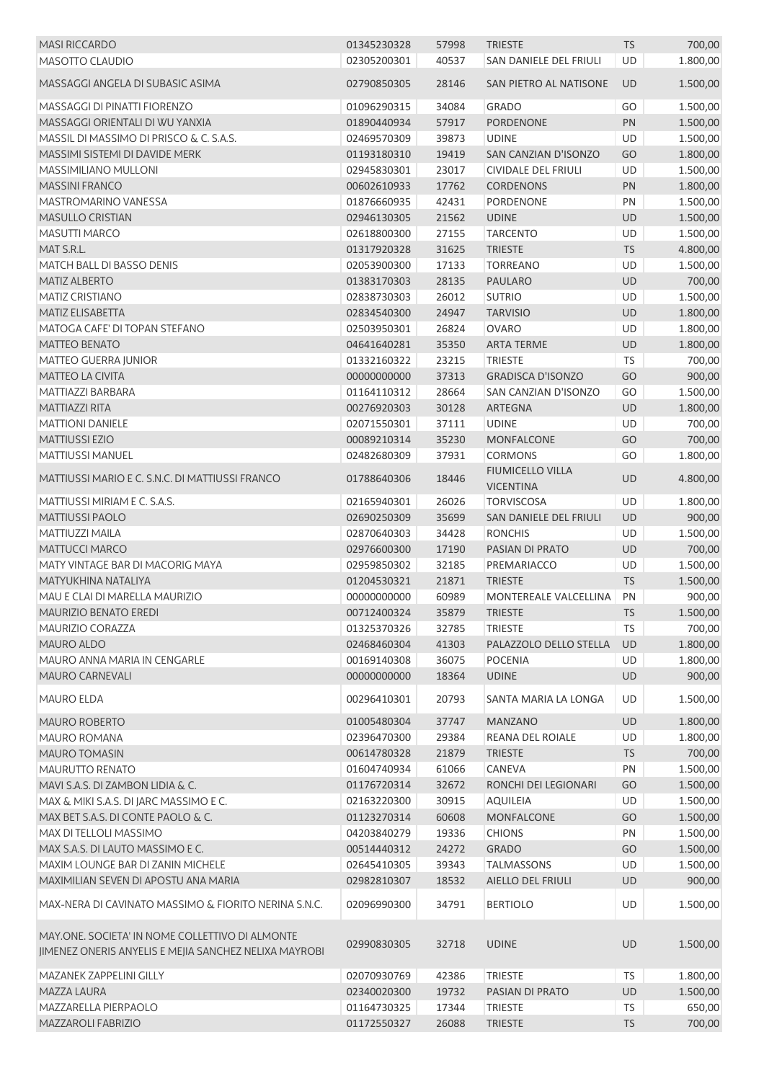| <b>MASI RICCARDO</b>                                                                                     | 01345230328 | 57998 | <b>TRIESTE</b>                              | <b>TS</b> | 700,00   |
|----------------------------------------------------------------------------------------------------------|-------------|-------|---------------------------------------------|-----------|----------|
| MASOTTO CLAUDIO                                                                                          | 02305200301 | 40537 | SAN DANIELE DEL FRIULI                      | UD        | 1.800,00 |
| MASSAGGI ANGELA DI SUBASIC ASIMA                                                                         | 02790850305 | 28146 | SAN PIETRO AL NATISONE                      | <b>UD</b> | 1.500,00 |
| MASSAGGI DI PINATTI FIORENZO                                                                             | 01096290315 | 34084 | <b>GRADO</b>                                | GO        | 1.500,00 |
| MASSAGGI ORIENTALI DI WU YANXIA                                                                          | 01890440934 | 57917 | <b>PORDENONE</b>                            | PN        | 1.500,00 |
| MASSIL DI MASSIMO DI PRISCO & C. S.A.S.                                                                  | 02469570309 | 39873 | <b>UDINE</b>                                | <b>UD</b> | 1.500,00 |
| MASSIMI SISTEMI DI DAVIDE MERK                                                                           | 01193180310 | 19419 | SAN CANZIAN D'ISONZO                        | GO        | 1.800,00 |
| MASSIMILIANO MULLONI                                                                                     | 02945830301 | 23017 | <b>CIVIDALE DEL FRIULI</b>                  | <b>UD</b> | 1.500,00 |
| <b>MASSINI FRANCO</b>                                                                                    | 00602610933 | 17762 | <b>CORDENONS</b>                            | PN        | 1.800,00 |
| <b>MASTROMARINO VANESSA</b>                                                                              | 01876660935 | 42431 | <b>PORDENONE</b>                            | PN        | 1.500,00 |
| <b>MASULLO CRISTIAN</b>                                                                                  | 02946130305 | 21562 | <b>UDINE</b>                                | UD        | 1.500,00 |
| MASUTTI MARCO                                                                                            | 02618800300 | 27155 | <b>TARCENTO</b>                             | <b>UD</b> | 1.500,00 |
| MAT S.R.L.                                                                                               | 01317920328 | 31625 | <b>TRIESTE</b>                              | <b>TS</b> | 4.800,00 |
| MATCH BALL DI BASSO DENIS                                                                                | 02053900300 | 17133 | <b>TORREANO</b>                             | UD        | 1.500,00 |
| <b>MATIZ ALBERTO</b>                                                                                     | 01383170303 | 28135 | <b>PAULARO</b>                              | UD        | 700,00   |
| <b>MATIZ CRISTIANO</b>                                                                                   | 02838730303 | 26012 | <b>SUTRIO</b>                               | UD        | 1.500,00 |
| <b>MATIZ ELISABETTA</b>                                                                                  |             |       |                                             |           |          |
|                                                                                                          | 02834540300 | 24947 | <b>TARVISIO</b>                             | UD        | 1.800,00 |
| MATOGA CAFE' DI TOPAN STEFANO                                                                            | 02503950301 | 26824 | <b>OVARO</b>                                | UD        | 1.800,00 |
| <b>MATTEO BENATO</b>                                                                                     | 04641640281 | 35350 | <b>ARTA TERME</b>                           | UD        | 1.800,00 |
| <b>MATTEO GUERRA JUNIOR</b>                                                                              | 01332160322 | 23215 | <b>TRIESTE</b>                              | TS        | 700,00   |
| MATTEO LA CIVITA                                                                                         | 00000000000 | 37313 | <b>GRADISCA D'ISONZO</b>                    | GO        | 900,00   |
| MATTIAZZI BARBARA                                                                                        | 01164110312 | 28664 | SAN CANZIAN D'ISONZO                        | GO        | 1.500,00 |
| <b>MATTIAZZI RITA</b>                                                                                    | 00276920303 | 30128 | <b>ARTEGNA</b>                              | UD        | 1.800,00 |
| <b>MATTIONI DANIELE</b>                                                                                  | 02071550301 | 37111 | <b>UDINE</b>                                | UD        | 700,00   |
| <b>MATTIUSSI EZIO</b>                                                                                    | 00089210314 | 35230 | <b>MONFALCONE</b>                           | GO        | 700,00   |
| MATTIUSSI MANUEL                                                                                         | 02482680309 | 37931 | <b>CORMONS</b>                              | GO        | 1.800,00 |
| MATTIUSSI MARIO E C. S.N.C. DI MATTIUSSI FRANCO                                                          | 01788640306 | 18446 | <b>FIUMICELLO VILLA</b><br><b>VICENTINA</b> | UD        | 4.800,00 |
| MATTIUSSI MIRIAM E C. S.A.S.                                                                             | 02165940301 | 26026 | <b>TORVISCOSA</b>                           | UD        | 1.800,00 |
| <b>MATTIUSSI PAOLO</b>                                                                                   | 02690250309 | 35699 | SAN DANIELE DEL FRIULI                      | <b>UD</b> | 900,00   |
| MATTIUZZI MAILA                                                                                          | 02870640303 | 34428 | <b>RONCHIS</b>                              | UD        | 1.500,00 |
| <b>MATTUCCI MARCO</b>                                                                                    | 02976600300 | 17190 | PASIAN DI PRATO                             | UD        | 700,00   |
| MATY VINTAGE BAR DI MACORIG MAYA                                                                         | 02959850302 | 32185 | PREMARIACCO                                 | UD        | 1.500,00 |
| MATYUKHINA NATALIYA                                                                                      | 01204530321 | 21871 | <b>TRIESTE</b>                              | TS        | 1.500,00 |
| MAU E CLAI DI MARELLA MAURIZIO                                                                           | 00000000000 | 60989 | MONTEREALE VALCELLINA                       | PN        | 900,00   |
| MAURIZIO BENATO EREDI                                                                                    | 00712400324 |       | 35879 TRIESTE                               | <b>TS</b> | 1.500,00 |
| MAURIZIO CORAZZA                                                                                         | 01325370326 | 32785 | <b>TRIESTE</b>                              | TS        | 700,00   |
| MAURO ALDO                                                                                               | 02468460304 | 41303 | PALAZZOLO DELLO STELLA                      | UD        | 1.800,00 |
| MAURO ANNA MARIA IN CENGARLE                                                                             | 00169140308 | 36075 | <b>POCENIA</b>                              | UD        | 1.800,00 |
| <b>MAURO CARNEVALI</b>                                                                                   | 00000000000 | 18364 | <b>UDINE</b>                                | UD        | 900,00   |
| <b>MAURO ELDA</b>                                                                                        | 00296410301 | 20793 | SANTA MARIA LA LONGA                        | UD        | 1.500,00 |
| <b>MAURO ROBERTO</b>                                                                                     | 01005480304 | 37747 | <b>MANZANO</b>                              | UD        | 1.800,00 |
| MAURO ROMANA                                                                                             | 02396470300 | 29384 | <b>REANA DEL ROIALE</b>                     | UD        | 1.800,00 |
| MAURO TOMASIN                                                                                            | 00614780328 | 21879 | <b>TRIESTE</b>                              | <b>TS</b> | 700,00   |
| MAURUTTO RENATO                                                                                          |             |       |                                             |           |          |
|                                                                                                          | 01604740934 | 61066 | CANEVA                                      | PN        | 1.500,00 |
| MAVI S.A.S. DI ZAMBON LIDIA & C.                                                                         | 01176720314 | 32672 | RONCHI DEI LEGIONARI                        | GO        | 1.500,00 |
| MAX & MIKI S.A.S. DI JARC MASSIMO E C.                                                                   | 02163220300 | 30915 | <b>AQUILEIA</b>                             | UD        | 1.500,00 |
| MAX BET S.A.S. DI CONTE PAOLO & C.                                                                       | 01123270314 | 60608 | <b>MONFALCONE</b>                           | GO        | 1.500,00 |
| MAX DI TELLOLI MASSIMO                                                                                   | 04203840279 | 19336 | <b>CHIONS</b>                               | PN        | 1.500,00 |
| MAX S.A.S. DI LAUTO MASSIMO E C.                                                                         | 00514440312 | 24272 | <b>GRADO</b>                                | GO        | 1.500,00 |
| MAXIM LOUNGE BAR DI ZANIN MICHELE                                                                        | 02645410305 | 39343 | <b>TALMASSONS</b>                           | UD        | 1.500,00 |
| MAXIMILIAN SEVEN DI APOSTU ANA MARIA                                                                     | 02982810307 | 18532 | AIELLO DEL FRIULI                           | UD        | 900,00   |
| MAX-NERA DI CAVINATO MASSIMO & FIORITO NERINA S.N.C.                                                     | 02096990300 | 34791 | <b>BERTIOLO</b>                             | UD        | 1.500,00 |
| MAY.ONE. SOCIETA' IN NOME COLLETTIVO DI ALMONTE<br>JIMENEZ ONERIS ANYELIS E MEJIA SANCHEZ NELIXA MAYROBI | 02990830305 | 32718 | <b>UDINE</b>                                | UD        | 1.500,00 |
| MAZANEK ZAPPELINI GILLY                                                                                  | 02070930769 | 42386 | <b>TRIESTE</b>                              | TS        | 1.800,00 |
| MAZZA LAURA                                                                                              | 02340020300 | 19732 | PASIAN DI PRATO                             | UD        | 1.500,00 |
| MAZZARELLA PIERPAOLO                                                                                     | 01164730325 | 17344 | <b>TRIESTE</b>                              | <b>TS</b> | 650,00   |
| MAZZAROLI FABRIZIO                                                                                       | 01172550327 | 26088 | <b>TRIESTE</b>                              | <b>TS</b> | 700,00   |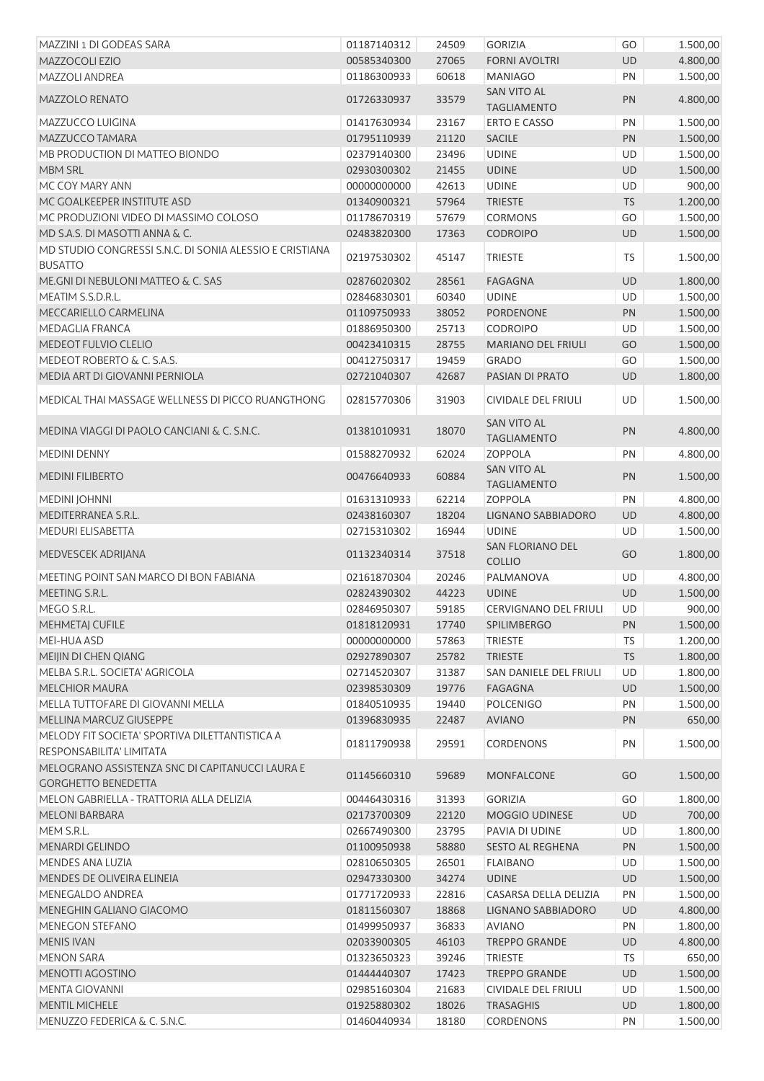| MAZZINI 1 DI GODEAS SARA                                                    | 01187140312 | 24509          | <b>GORIZIA</b>                           | GO              | 1.500,00             |
|-----------------------------------------------------------------------------|-------------|----------------|------------------------------------------|-----------------|----------------------|
| MAZZOCOLI EZIO                                                              | 00585340300 | 27065          | <b>FORNI AVOLTRI</b>                     | <b>UD</b>       | 4.800,00             |
| MAZZOLI ANDREA                                                              | 01186300933 | 60618          | <b>MANIAGO</b>                           | PN              | 1.500,00             |
| MAZZOLO RENATO                                                              | 01726330937 | 33579          | <b>SAN VITO AL</b><br><b>TAGLIAMENTO</b> | PN              | 4.800,00             |
| MAZZUCCO LUIGINA                                                            | 01417630934 | 23167          | <b>ERTO E CASSO</b>                      | PN              | 1.500,00             |
| MAZZUCCO TAMARA                                                             | 01795110939 | 21120          | <b>SACILE</b>                            | PN              | 1.500,00             |
| MB PRODUCTION DI MATTEO BIONDO                                              | 02379140300 | 23496          | <b>UDINE</b>                             | UD              | 1.500,00             |
| <b>MBM SRL</b>                                                              | 02930300302 | 21455          | <b>UDINE</b>                             | UD              | 1.500,00             |
| MC COY MARY ANN                                                             | 00000000000 | 42613          | <b>UDINE</b>                             | UD              | 900,00               |
| MC GOALKEEPER INSTITUTE ASD                                                 | 01340900321 | 57964          | <b>TRIESTE</b>                           | <b>TS</b>       | 1.200,00             |
| MC PRODUZIONI VIDEO DI MASSIMO COLOSO                                       | 01178670319 | 57679          | CORMONS                                  | GO              | 1.500,00             |
| MD S.A.S. DI MASOTTI ANNA & C.                                              | 02483820300 | 17363          | <b>CODROIPO</b>                          | UD              | 1.500,00             |
| MD STUDIO CONGRESSI S.N.C. DI SONIA ALESSIO E CRISTIANA<br><b>BUSATTO</b>   | 02197530302 | 45147          | <b>TRIESTE</b>                           | TS              | 1.500,00             |
| ME.GNI DI NEBULONI MATTEO & C. SAS                                          | 02876020302 | 28561          | <b>FAGAGNA</b>                           | UD              | 1.800,00             |
| MEATIM S.S.D.R.L.                                                           | 02846830301 | 60340          | <b>UDINE</b>                             | UD              | 1.500,00             |
| MECCARIELLO CARMELINA                                                       | 01109750933 | 38052          | PORDENONE                                | PN              | 1.500,00             |
| MEDAGLIA FRANCA                                                             | 01886950300 | 25713          | <b>CODROIPO</b>                          | UD              | 1.500,00             |
| MEDEOT FULVIO CLELIO                                                        | 00423410315 | 28755          | <b>MARIANO DEL FRIULI</b>                | GO              | 1.500,00             |
| MEDEOT ROBERTO & C. S.A.S.                                                  | 00412750317 | 19459          | <b>GRADO</b>                             | GO              | 1.500,00             |
| MEDIA ART DI GIOVANNI PERNIOLA                                              | 02721040307 |                |                                          |                 |                      |
| MEDICAL THAI MASSAGE WELLNESS DI PICCO RUANGTHONG                           | 02815770306 | 42687<br>31903 | PASIAN DI PRATO<br>CIVIDALE DEL FRIULI   | <b>UD</b><br>UD | 1.800,00<br>1.500,00 |
| MEDINA VIAGGI DI PAOLO CANCIANI & C. S.N.C.                                 | 01381010931 | 18070          | <b>SAN VITO AL</b>                       | PN              | 4.800,00             |
|                                                                             |             |                | <b>TAGLIAMENTO</b>                       |                 |                      |
| <b>MEDINI DENNY</b>                                                         | 01588270932 | 62024          | <b>ZOPPOLA</b>                           | PN              | 4.800,00             |
| <b>MEDINI FILIBERTO</b>                                                     | 00476640933 | 60884          | <b>SAN VITO AL</b><br><b>TAGLIAMENTO</b> | PN              | 1.500,00             |
| <b>MEDINI JOHNNI</b>                                                        | 01631310933 | 62214          | <b>ZOPPOLA</b>                           | PN              | 4.800,00             |
| MEDITERRANEA S.R.L.                                                         | 02438160307 | 18204          | LIGNANO SABBIADORO                       | UD              | 4.800,00             |
| MEDURI ELISABETTA                                                           | 02715310302 | 16944          | <b>UDINE</b>                             | UD              | 1.500,00             |
| MEDVESCEK ADRIJANA                                                          | 01132340314 | 37518          | SAN FLORIANO DEL<br><b>COLLIO</b>        | GO              | 1.800,00             |
| MEETING POINT SAN MARCO DI BON FABIANA                                      | 02161870304 | 20246          | PALMANOVA                                | UD              | 4.800,00             |
| MEETING S.R.L.                                                              | 02824390302 | 44223          | <b>UDINE</b>                             | UD              | 1.500,00             |
| MEGO S.R.L.                                                                 | 02846950307 | 59185          | CERVIGNANO DEL FRIULI                    | UD              | 900,00               |
| <b>MEHMETAJ CUFILE</b>                                                      | 01818120931 | 17740          | <b>SPILIMBERGO</b>                       | PN              | 1.500,00             |
| MEI-HUA ASD                                                                 | 00000000000 | 57863          | <b>TRIESTE</b>                           | <b>TS</b>       | 1.200,00             |
| MEIJIN DI CHEN QIANG                                                        | 02927890307 | 25782          | <b>TRIESTE</b>                           | <b>TS</b>       | 1.800,00             |
| MELBA S.R.L. SOCIETA' AGRICOLA                                              | 02714520307 | 31387          | SAN DANIELE DEL FRIULI                   | UD              | 1.800,00             |
| <b>MELCHIOR MAURA</b>                                                       | 02398530309 | 19776          | FAGAGNA                                  | UD              | 1.500,00             |
| MELLA TUTTOFARE DI GIOVANNI MELLA                                           | 01840510935 | 19440          | <b>POLCENIGO</b>                         | PN              | 1.500,00             |
| MELLINA MARCUZ GIUSEPPE                                                     | 01396830935 | 22487          | <b>AVIANO</b>                            | PN              | 650,00               |
| MELODY FIT SOCIETA' SPORTIVA DILETTANTISTICA A                              | 01811790938 | 29591          | <b>CORDENONS</b>                         | PN              | 1.500,00             |
| RESPONSABILITA' LIMITATA<br>MELOGRANO ASSISTENZA SNC DI CAPITANUCCI LAURA E | 01145660310 |                |                                          |                 |                      |
| <b>GORGHETTO BENEDETTA</b>                                                  |             | 59689          | MONFALCONE                               | GO              | 1.500,00             |
| MELON GABRIELLA - TRATTORIA ALLA DELIZIA                                    | 00446430316 | 31393          | <b>GORIZIA</b>                           | GO              | 1.800,00             |
| <b>MELONI BARBARA</b>                                                       | 02173700309 | 22120          | MOGGIO UDINESE                           | <b>UD</b>       | 700,00               |
| MEM S.R.L.                                                                  | 02667490300 | 23795          | PAVIA DI UDINE                           | UD              | 1.800,00             |
| MENARDI GELINDO                                                             | 01100950938 | 58880          | SESTO AL REGHENA                         | PN              | 1.500,00             |
| MENDES ANA LUZIA                                                            | 02810650305 | 26501          | <b>FLAIBANO</b>                          | UD              | 1.500,00             |
| MENDES DE OLIVEIRA ELINEIA                                                  | 02947330300 | 34274          | <b>UDINE</b>                             | <b>UD</b>       | 1.500,00             |
| MENEGALDO ANDREA                                                            | 01771720933 | 22816          | CASARSA DELLA DELIZIA                    | PN              | 1.500,00             |
| MENEGHIN GALIANO GIACOMO                                                    | 01811560307 | 18868          | LIGNANO SABBIADORO                       | <b>UD</b>       | 4.800,00             |
| <b>MENEGON STEFANO</b>                                                      | 01499950937 | 36833          | <b>AVIANO</b>                            | PN              | 1.800,00             |
| <b>MENIS IVAN</b>                                                           | 02033900305 | 46103          | <b>TREPPO GRANDE</b>                     | UD              | 4.800,00             |
| <b>MENON SARA</b>                                                           | 01323650323 | 39246          | <b>TRIESTE</b>                           | <b>TS</b>       | 650,00               |
| MENOTTI AGOSTINO                                                            | 01444440307 | 17423          | <b>TREPPO GRANDE</b>                     | UD              | 1.500,00             |
| <b>MENTA GIOVANNI</b>                                                       | 02985160304 | 21683          | <b>CIVIDALE DEL FRIULI</b>               | UD              | 1.500,00             |
| MENTIL MICHELE                                                              | 01925880302 | 18026          | <b>TRASAGHIS</b>                         | <b>UD</b>       | 1.800,00             |
| MENUZZO FEDERICA & C. S.N.C.                                                | 01460440934 | 18180          | <b>CORDENONS</b>                         | PN              | 1.500,00             |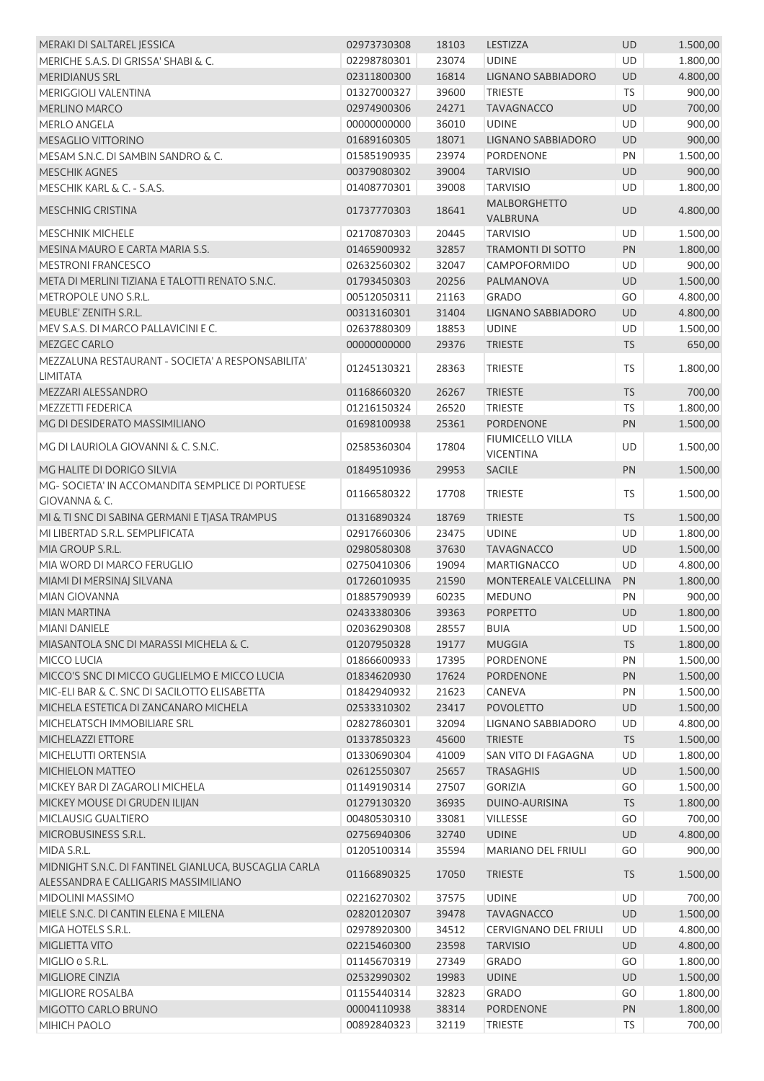| MERAKI DI SALTAREL JESSICA                                           | 02973730308 | 18103 | LESTIZZA                                    | <b>UD</b> | 1.500,00 |
|----------------------------------------------------------------------|-------------|-------|---------------------------------------------|-----------|----------|
| MERICHE S.A.S. DI GRISSA' SHABI & C.                                 | 02298780301 | 23074 | <b>UDINE</b>                                | <b>UD</b> | 1.800,00 |
| <b>MERIDIANUS SRL</b>                                                | 02311800300 | 16814 | LIGNANO SABBIADORO                          | UD        | 4.800,00 |
| <b>MERIGGIOLI VALENTINA</b>                                          | 01327000327 | 39600 | <b>TRIESTE</b>                              | <b>TS</b> | 900,00   |
| <b>MERLINO MARCO</b>                                                 | 02974900306 | 24271 | <b>TAVAGNACCO</b>                           | UD        | 700,00   |
| <b>MERLO ANGELA</b>                                                  | 00000000000 | 36010 | <b>UDINE</b>                                | <b>UD</b> | 900,00   |
| MESAGLIO VITTORINO                                                   | 01689160305 | 18071 | LIGNANO SABBIADORO                          | <b>UD</b> | 900,00   |
| MESAM S.N.C. DI SAMBIN SANDRO & C.                                   | 01585190935 | 23974 | <b>PORDENONE</b>                            | PN        | 1.500,00 |
| <b>MESCHIK AGNES</b>                                                 | 00379080302 | 39004 | <b>TARVISIO</b>                             | UD        | 900,00   |
| MESCHIK KARL & C. - S.A.S.                                           | 01408770301 | 39008 | <b>TARVISIO</b>                             | UD        | 1.800,00 |
|                                                                      |             |       | <b>MALBORGHETTO</b>                         |           |          |
| <b>MESCHNIG CRISTINA</b>                                             | 01737770303 | 18641 | VALBRUNA                                    | UD        | 4.800,00 |
| <b>MESCHNIK MICHELE</b>                                              | 02170870303 | 20445 | <b>TARVISIO</b>                             | UD        | 1.500,00 |
| MESINA MAURO E CARTA MARIA S.S.                                      | 01465900932 | 32857 | <b>TRAMONTI DI SOTTO</b>                    | PN        | 1.800,00 |
| <b>MESTRONI FRANCESCO</b>                                            | 02632560302 | 32047 | CAMPOFORMIDO                                | UD        | 900,00   |
| META DI MERLINI TIZIANA E TALOTTI RENATO S.N.C.                      | 01793450303 | 20256 | PALMANOVA                                   | UD        | 1.500,00 |
| METROPOLE UNO S.R.L.                                                 | 00512050311 | 21163 | <b>GRADO</b>                                | GO        | 4.800,00 |
| MEUBLE' ZENITH S.R.L.                                                | 00313160301 | 31404 | LIGNANO SABBIADORO                          | UD        | 4.800,00 |
| MEV S.A.S. DI MARCO PALLAVICINI E C.                                 | 02637880309 | 18853 | <b>UDINE</b>                                | UD        | 1.500,00 |
| MEZGEC CARLO                                                         | 00000000000 | 29376 | <b>TRIESTE</b>                              | <b>TS</b> | 650,00   |
|                                                                      |             |       |                                             |           |          |
| MEZZALUNA RESTAURANT - SOCIETA' A RESPONSABILITA'<br><b>LIMITATA</b> | 01245130321 | 28363 | <b>TRIESTE</b>                              | TS        | 1.800,00 |
| MEZZARI ALESSANDRO                                                   | 01168660320 | 26267 | <b>TRIESTE</b>                              | <b>TS</b> | 700,00   |
| <b>MEZZETTI FEDERICA</b>                                             | 01216150324 | 26520 | <b>TRIESTE</b>                              | <b>TS</b> | 1.800,00 |
| MG DI DESIDERATO MASSIMILIANO                                        | 01698100938 | 25361 | <b>PORDENONE</b>                            | PN        | 1.500,00 |
|                                                                      |             |       |                                             |           |          |
| MG DI LAURIOLA GIOVANNI & C. S.N.C.                                  | 02585360304 | 17804 | <b>FIUMICELLO VILLA</b><br><b>VICENTINA</b> | UD        | 1.500,00 |
| MG HALITE DI DORIGO SILVIA                                           | 01849510936 | 29953 | <b>SACILE</b>                               | PN        | 1.500,00 |
| MG-SOCIETA' IN ACCOMANDITA SEMPLICE DI PORTUESE                      |             |       |                                             |           |          |
| <b>GIOVANNA &amp; C.</b>                                             | 01166580322 | 17708 | <b>TRIESTE</b>                              | <b>TS</b> | 1.500,00 |
| MI & TI SNC DI SABINA GERMANI E TJASA TRAMPUS                        | 01316890324 | 18769 | <b>TRIESTE</b>                              | TS        | 1.500,00 |
| MI LIBERTAD S.R.L. SEMPLIFICATA                                      | 02917660306 | 23475 | <b>UDINE</b>                                | UD        | 1.800,00 |
| MIA GROUP S.R.L.                                                     | 02980580308 | 37630 | <b>TAVAGNACCO</b>                           | UD        | 1.500,00 |
| MIA WORD DI MARCO FERUGLIO                                           | 02750410306 | 19094 | <b>MARTIGNACCO</b>                          | UD        | 4.800,00 |
| MIAMI DI MERSINAJ SILVANA                                            | 01726010935 | 21590 | MONTEREALE VALCELLINA                       | PN        | 1.800,00 |
| MIAN GIOVANNA                                                        | 01885790939 | 60235 | <b>MEDUNO</b>                               | PN        | 900,00   |
| MIAN MARTINA                                                         | 02433380306 | 39363 | PORPETTO                                    | <b>UD</b> | 1.800,00 |
|                                                                      |             |       |                                             |           |          |
| <b>MIANI DANIELE</b>                                                 | 02036290308 | 28557 | <b>BUIA</b>                                 | UD        | 1.500,00 |
| MIASANTOLA SNC DI MARASSI MICHELA & C.                               | 01207950328 | 19177 | <b>MUGGIA</b>                               | <b>TS</b> | 1.800,00 |
| MICCO LUCIA                                                          | 01866600933 | 17395 | <b>PORDENONE</b>                            | PN        | 1.500,00 |
| MICCO'S SNC DI MICCO GUGLIELMO E MICCO LUCIA                         | 01834620930 | 17624 | PORDENONE                                   | PN        | 1.500,00 |
| MIC-ELI BAR & C. SNC DI SACILOTTO ELISABETTA                         | 01842940932 | 21623 | CANEVA                                      | PN        | 1.500,00 |
| MICHELA ESTETICA DI ZANCANARO MICHELA                                | 02533310302 | 23417 | <b>POVOLETTO</b>                            | UD        | 1.500,00 |
| MICHELATSCH IMMOBILIARE SRL                                          | 02827860301 | 32094 | LIGNANO SABBIADORO                          | UD        | 4.800,00 |
| MICHELAZZI ETTORE                                                    | 01337850323 | 45600 | <b>TRIESTE</b>                              | <b>TS</b> | 1.500,00 |
| MICHELUTTI ORTENSIA                                                  | 01330690304 | 41009 | SAN VITO DI FAGAGNA                         | UD        | 1.800,00 |
| MICHIELON MATTEO                                                     | 02612550307 | 25657 | <b>TRASAGHIS</b>                            | UD        | 1.500,00 |
| MICKEY BAR DI ZAGAROLI MICHELA                                       | 01149190314 | 27507 | <b>GORIZIA</b>                              | GO        | 1.500,00 |
| MICKEY MOUSE DI GRUDEN ILIJAN                                        | 01279130320 | 36935 | DUINO-AURISINA                              | <b>TS</b> | 1.800,00 |
| MICLAUSIG GUALTIERO                                                  | 00480530310 | 33081 | <b>VILLESSE</b>                             | GO        | 700,00   |
| MICROBUSINESS S.R.L.                                                 | 02756940306 | 32740 | <b>UDINE</b>                                | <b>UD</b> | 4.800,00 |
| MIDA S.R.L.                                                          | 01205100314 | 35594 | <b>MARIANO DEL FRIULI</b>                   | GO        | 900,00   |
| MIDNIGHT S.N.C. DI FANTINEL GIANLUCA, BUSCAGLIA CARLA                |             |       |                                             |           |          |
| ALESSANDRA E CALLIGARIS MASSIMILIANO                                 | 01166890325 | 17050 | <b>TRIESTE</b>                              | TS        | 1.500,00 |
| MIDOLINI MASSIMO                                                     | 02216270302 | 37575 | <b>UDINE</b>                                | UD        | 700,00   |
| MIELE S.N.C. DI CANTIN ELENA E MILENA                                | 02820120307 | 39478 | <b>TAVAGNACCO</b>                           | UD        | 1.500,00 |
| MIGA HOTELS S.R.L.                                                   | 02978920300 | 34512 | <b>CERVIGNANO DEL FRIULI</b>                | UD        | 4.800,00 |
| MIGLIETTA VITO                                                       | 02215460300 | 23598 | <b>TARVISIO</b>                             | UD        | 4.800,00 |
| MIGLIO o S.R.L.                                                      | 01145670319 | 27349 | <b>GRADO</b>                                | GO        | 1.800,00 |
| MIGLIORE CINZIA                                                      | 02532990302 | 19983 | <b>UDINE</b>                                | UD        | 1.500,00 |
| MIGLIORE ROSALBA                                                     | 01155440314 | 32823 | <b>GRADO</b>                                | GO        | 1.800,00 |
| MIGOTTO CARLO BRUNO                                                  | 00004110938 | 38314 | PORDENONE                                   | PN        | 1.800,00 |
| MIHICH PAOLO                                                         | 00892840323 | 32119 | <b>TRIESTE</b>                              | TS        | 700,00   |
|                                                                      |             |       |                                             |           |          |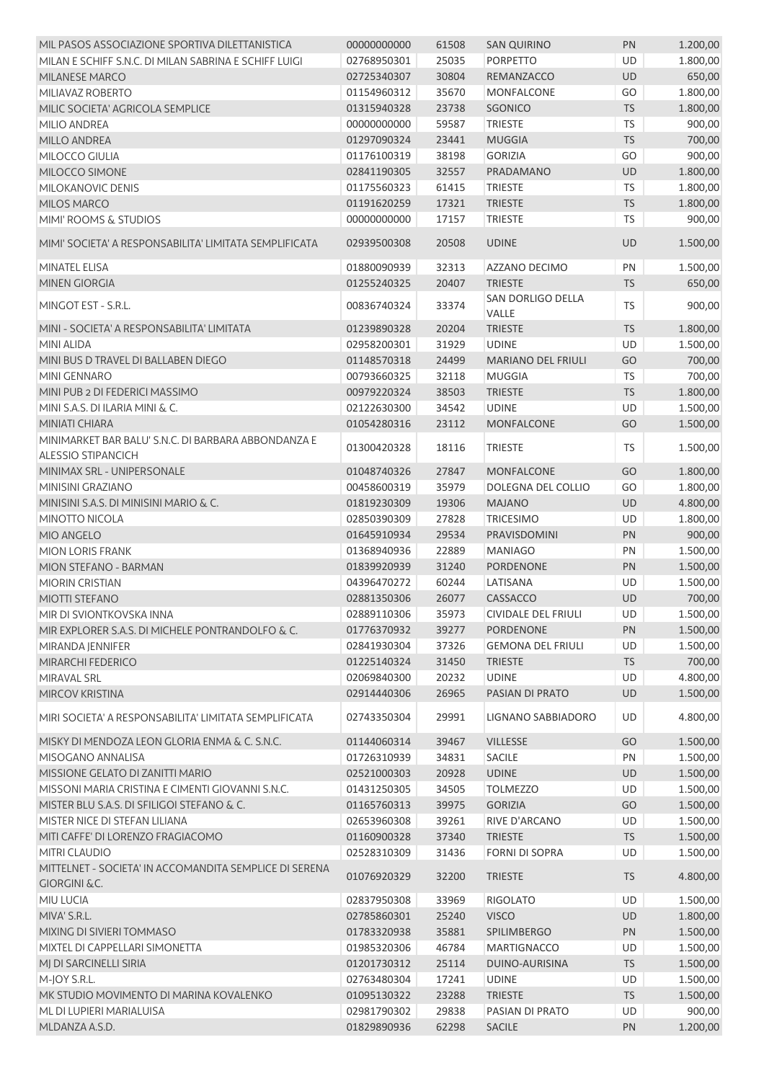| MIL PASOS ASSOCIAZIONE SPORTIVA DILETTANISTICA                                     | 00000000000 | 61508 | <b>SAN QUIRINO</b>         | PN        | 1.200,00 |
|------------------------------------------------------------------------------------|-------------|-------|----------------------------|-----------|----------|
| MILAN E SCHIFF S.N.C. DI MILAN SABRINA E SCHIFF LUIGI                              | 02768950301 | 25035 | <b>PORPETTO</b>            | UD        | 1.800,00 |
| <b>MILANESE MARCO</b>                                                              | 02725340307 | 30804 | REMANZACCO                 | UD        | 650,00   |
| MILIAVAZ ROBERTO                                                                   | 01154960312 | 35670 | <b>MONFALCONE</b>          | GO        | 1.800,00 |
| MILIC SOCIETA' AGRICOLA SEMPLICE                                                   | 01315940328 | 23738 | SGONICO                    | <b>TS</b> | 1.800,00 |
| MILIO ANDREA                                                                       | 00000000000 | 59587 | <b>TRIESTE</b>             | <b>TS</b> | 900,00   |
| MILLO ANDREA                                                                       | 01297090324 | 23441 | <b>MUGGIA</b>              | <b>TS</b> | 700,00   |
| MILOCCO GIULIA                                                                     | 01176100319 | 38198 | <b>GORIZIA</b>             | GO        | 900,00   |
| MILOCCO SIMONE                                                                     | 02841190305 | 32557 | PRADAMANO                  | UD        | 1.800,00 |
| MILOKANOVIC DENIS                                                                  | 01175560323 | 61415 | <b>TRIESTE</b>             | <b>TS</b> | 1.800,00 |
| <b>MILOS MARCO</b>                                                                 | 01191620259 | 17321 | <b>TRIESTE</b>             | <b>TS</b> | 1.800,00 |
| MIMI' ROOMS & STUDIOS                                                              | 00000000000 | 17157 | <b>TRIESTE</b>             | TS        | 900,00   |
| MIMI' SOCIETA' A RESPONSABILITA' LIMITATA SEMPLIFICATA                             | 02939500308 | 20508 | <b>UDINE</b>               | UD        | 1.500,00 |
| MINATEL ELISA                                                                      | 01880090939 | 32313 | AZZANO DECIMO              | PN        | 1.500,00 |
| <b>MINEN GIORGIA</b>                                                               | 01255240325 | 20407 | <b>TRIESTE</b>             | <b>TS</b> | 650,00   |
| MINGOT EST - S.R.L.                                                                | 00836740324 | 33374 | SAN DORLIGO DELLA<br>VALLE | <b>TS</b> | 900,00   |
| MINI - SOCIETA' A RESPONSABILITA' LIMITATA                                         | 01239890328 | 20204 | <b>TRIESTE</b>             | <b>TS</b> | 1.800,00 |
| <b>MINI ALIDA</b>                                                                  | 02958200301 | 31929 | <b>UDINE</b>               | <b>UD</b> | 1.500,00 |
| MINI BUS D TRAVEL DI BALLABEN DIEGO                                                | 01148570318 | 24499 | <b>MARIANO DEL FRIULI</b>  | GO        | 700,00   |
| MINI GENNARO                                                                       | 00793660325 | 32118 | <b>MUGGIA</b>              | TS        | 700,00   |
| MINI PUB 2 DI FEDERICI MASSIMO                                                     | 00979220324 | 38503 | <b>TRIESTE</b>             | TS        | 1.800,00 |
| MINI S.A.S. DI ILARIA MINI & C.                                                    | 02122630300 | 34542 | <b>UDINE</b>               | UD        | 1.500,00 |
| MINIATI CHIARA                                                                     | 01054280316 | 23112 | <b>MONFALCONE</b>          | GO        | 1.500,00 |
| MINIMARKET BAR BALU' S.N.C. DI BARBARA ABBONDANZA E                                |             |       |                            |           |          |
| <b>ALESSIO STIPANCICH</b>                                                          | 01300420328 | 18116 | <b>TRIESTE</b>             | <b>TS</b> | 1.500,00 |
| MINIMAX SRL - UNIPERSONALE                                                         | 01048740326 | 27847 | <b>MONFALCONE</b>          | GO        | 1.800,00 |
| MINISINI GRAZIANO                                                                  | 00458600319 | 35979 | DOLEGNA DEL COLLIO         | GO        | 1.800,00 |
| MINISINI S.A.S. DI MINISINI MARIO & C.                                             | 01819230309 | 19306 | <b>MAJANO</b>              | UD        | 4.800,00 |
| MINOTTO NICOLA                                                                     | 02850390309 | 27828 | <b>TRICESIMO</b>           | UD        | 1.800,00 |
| MIO ANGELO                                                                         | 01645910934 | 29534 | PRAVISDOMINI               | PN        | 900,00   |
| <b>MION LORIS FRANK</b>                                                            | 01368940936 | 22889 | <b>MANIAGO</b>             | PN        | 1.500,00 |
| MION STEFANO - BARMAN                                                              | 01839920939 | 31240 | PORDENONE                  | PN        | 1.500,00 |
| MIORIN CRISTIAN                                                                    | 04396470272 | 60244 | LATISANA                   | UD        | 1.500,00 |
| <b>MIOTTI STEFANO</b>                                                              | 02881350306 | 26077 | CASSACCO                   | UD        | 700,00   |
| MIR DI SVIONTKOVSKA INNA                                                           | 02889110306 | 35973 | <b>CIVIDALE DEL FRIULI</b> | UD        | 1.500,00 |
| MIR EXPLORER S.A.S. DI MICHELE PONTRANDOLFO & C.                                   | 01776370932 | 39277 | <b>PORDENONE</b>           | PN        | 1.500,00 |
| MIRANDA JENNIFER                                                                   | 02841930304 | 37326 | <b>GEMONA DEL FRIULI</b>   | UD        | 1.500,00 |
| MIRARCHI FEDERICO                                                                  | 01225140324 | 31450 | <b>TRIESTE</b>             | <b>TS</b> | 700,00   |
| MIRAVAL SRL                                                                        | 02069840300 | 20232 | <b>UDINE</b>               | UD        | 4.800,00 |
| MIRCOV KRISTINA                                                                    | 02914440306 | 26965 | PASIAN DI PRATO            | UD        | 1.500,00 |
| MIRI SOCIETA' A RESPONSABILITA' LIMITATA SEMPLIFICATA                              | 02743350304 | 29991 | LIGNANO SABBIADORO         | UD        | 4.800,00 |
| MISKY DI MENDOZA LEON GLORIA ENMA & C. S.N.C.                                      | 01144060314 | 39467 | <b>VILLESSE</b>            | GO        | 1.500,00 |
| MISOGANO ANNALISA                                                                  | 01726310939 | 34831 | SACILE                     | PN        | 1.500,00 |
| MISSIONE GELATO DI ZANITTI MARIO                                                   | 02521000303 | 20928 | <b>UDINE</b>               | UD        | 1.500,00 |
| MISSONI MARIA CRISTINA E CIMENTI GIOVANNI S.N.C.                                   | 01431250305 | 34505 | <b>TOLMEZZO</b>            | UD        | 1.500,00 |
| MISTER BLU S.A.S. DI SFILIGOI STEFANO & C.                                         |             |       |                            |           |          |
| MISTER NICE DI STEFAN LILIANA                                                      | 01165760313 | 39975 | <b>GORIZIA</b>             | GO        | 1.500,00 |
|                                                                                    | 02653960308 | 39261 | RIVE D'ARCANO              | UD        | 1.500,00 |
| MITI CAFFE' DI LORENZO FRAGIACOMO<br>MITRI CLAUDIO                                 | 01160900328 | 37340 | <b>TRIESTE</b>             | <b>TS</b> | 1.500,00 |
|                                                                                    | 02528310309 | 31436 | <b>FORNI DI SOPRA</b>      | UD        | 1.500,00 |
| MITTELNET - SOCIETA' IN ACCOMANDITA SEMPLICE DI SERENA<br><b>GIORGINI &amp; C.</b> | 01076920329 | 32200 | <b>TRIESTE</b>             | <b>TS</b> | 4.800,00 |
| MIU LUCIA                                                                          | 02837950308 | 33969 | <b>RIGOLATO</b>            | UD        | 1.500,00 |
| MIVA' S.R.L.                                                                       | 02785860301 | 25240 | <b>VISCO</b>               | UD        | 1.800,00 |
| MIXING DI SIVIERI TOMMASO                                                          | 01783320938 | 35881 | SPILIMBERGO                | PN        | 1.500,00 |
| MIXTEL DI CAPPELLARI SIMONETTA                                                     | 01985320306 | 46784 | <b>MARTIGNACCO</b>         | UD        | 1.500,00 |
| MJ DI SARCINELLI SIRIA                                                             | 01201730312 | 25114 | DUINO-AURISINA             | <b>TS</b> | 1.500,00 |
| M-JOY S.R.L.                                                                       | 02763480304 | 17241 | <b>UDINE</b>               | UD        | 1.500,00 |
| MK STUDIO MOVIMENTO DI MARINA KOVALENKO                                            | 01095130322 | 23288 | <b>TRIESTE</b>             | <b>TS</b> | 1.500,00 |
| ML DI LUPIERI MARIALUISA                                                           | 02981790302 | 29838 | PASIAN DI PRATO            | UD        | 900,00   |
| MLDANZA A.S.D.                                                                     | 01829890936 | 62298 | <b>SACILE</b>              | PN        | 1.200,00 |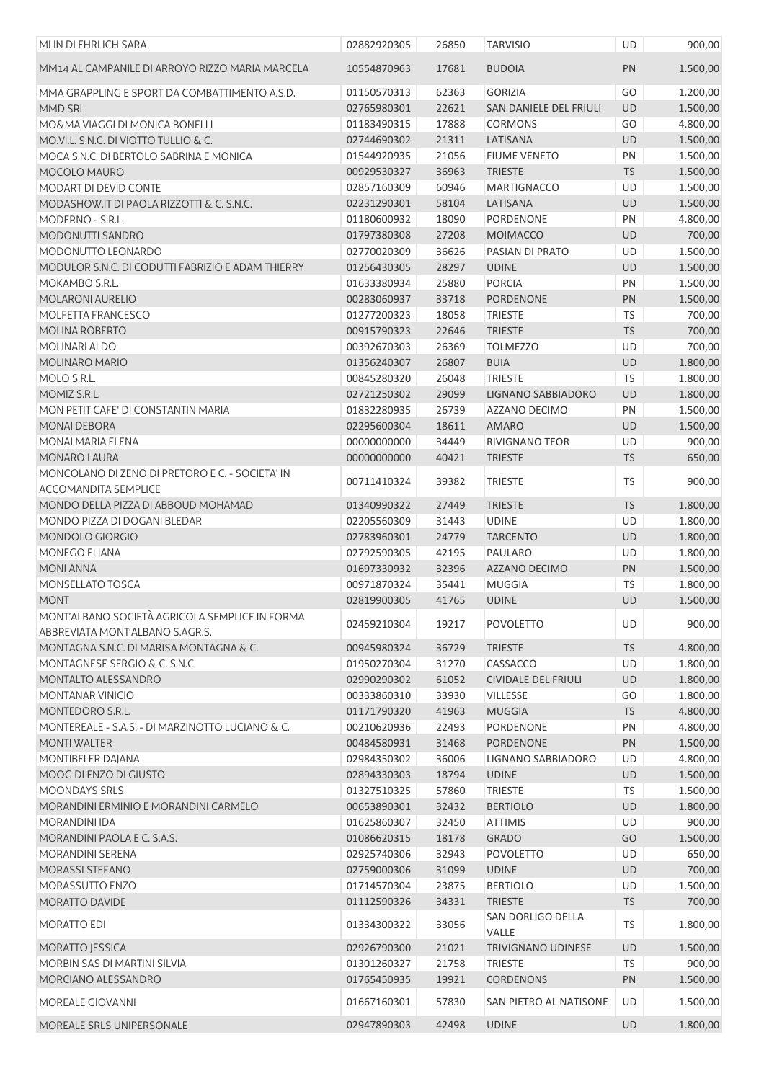| MLIN DI EHRLICH SARA                                                              | 02882920305 | 26850 | <b>TARVISIO</b>            | UD        | 900,00   |
|-----------------------------------------------------------------------------------|-------------|-------|----------------------------|-----------|----------|
| MM14 AL CAMPANILE DI ARROYO RIZZO MARIA MARCELA                                   | 10554870963 | 17681 | <b>BUDOIA</b>              | PN        | 1.500,00 |
| MMA GRAPPLING E SPORT DA COMBATTIMENTO A.S.D.                                     | 01150570313 | 62363 | <b>GORIZIA</b>             | GO        | 1.200,00 |
| MMD SRL                                                                           | 02765980301 | 22621 | SAN DANIELE DEL FRIULI     | UD        | 1.500,00 |
| MO&MA VIAGGI DI MONICA BONELLI                                                    | 01183490315 | 17888 | <b>CORMONS</b>             | GO        | 4.800,00 |
| MO.VI.L. S.N.C. DI VIOTTO TULLIO & C.                                             | 02744690302 | 21311 | LATISANA                   | <b>UD</b> | 1.500,00 |
| MOCA S.N.C. DI BERTOLO SABRINA E MONICA                                           | 01544920935 | 21056 | <b>FIUME VENETO</b>        | PN        | 1.500,00 |
| MOCOLO MAURO                                                                      | 00929530327 | 36963 | <b>TRIESTE</b>             | <b>TS</b> | 1.500,00 |
| MODART DI DEVID CONTE                                                             | 02857160309 | 60946 | <b>MARTIGNACCO</b>         | UD        | 1.500,00 |
| MODASHOW.IT DI PAOLA RIZZOTTI & C. S.N.C.                                         | 02231290301 | 58104 | LATISANA                   | <b>UD</b> | 1.500,00 |
| MODERNO - S.R.L.                                                                  | 01180600932 | 18090 | <b>PORDENONE</b>           | PN        | 4.800,00 |
| MODONUTTI SANDRO                                                                  | 01797380308 | 27208 | <b>MOIMACCO</b>            | UD        | 700,00   |
| MODONUTTO LEONARDO                                                                | 02770020309 | 36626 | PASIAN DI PRATO            | UD        | 1.500,00 |
| MODULOR S.N.C. DI CODUTTI FABRIZIO E ADAM THIERRY                                 | 01256430305 | 28297 | <b>UDINE</b>               | UD        | 1.500,00 |
| MOKAMBO S.R.L.                                                                    | 01633380934 | 25880 | <b>PORCIA</b>              | PN        | 1.500,00 |
| <b>MOLARONI AURELIO</b>                                                           | 00283060937 | 33718 | <b>PORDENONE</b>           | PN        | 1.500,00 |
| MOLFETTA FRANCESCO                                                                | 01277200323 | 18058 | <b>TRIESTE</b>             | TS        | 700,00   |
| MOLINA ROBERTO                                                                    | 00915790323 | 22646 | <b>TRIESTE</b>             | <b>TS</b> | 700,00   |
| MOLINARI ALDO                                                                     | 00392670303 | 26369 | <b>TOLMEZZO</b>            | UD        | 700,00   |
| <b>MOLINARO MARIO</b>                                                             | 01356240307 | 26807 | <b>BUIA</b>                | UD        | 1.800,00 |
| MOLO S.R.L.                                                                       | 00845280320 | 26048 | <b>TRIESTE</b>             | TS        | 1.800,00 |
| MOMIZ S.R.L.                                                                      | 02721250302 | 29099 | <b>LIGNANO SABBIADORO</b>  | UD        | 1.800,00 |
| MON PETIT CAFE' DI CONSTANTIN MARIA                                               | 01832280935 | 26739 | AZZANO DECIMO              | PN        | 1.500,00 |
| <b>MONAI DEBORA</b>                                                               | 02295600304 | 18611 | <b>AMARO</b>               | <b>UD</b> | 1.500,00 |
| MONAI MARIA ELENA                                                                 | 00000000000 | 34449 | <b>RIVIGNANO TEOR</b>      | UD        | 900,00   |
| <b>MONARO LAURA</b>                                                               | 00000000000 | 40421 | <b>TRIESTE</b>             | <b>TS</b> | 650,00   |
| MONCOLANO DI ZENO DI PRETORO E C. - SOCIETA' IN<br><b>ACCOMANDITA SEMPLICE</b>    | 00711410324 | 39382 | <b>TRIESTE</b>             | <b>TS</b> | 900,00   |
| MONDO DELLA PIZZA DI ABBOUD MOHAMAD                                               | 01340990322 | 27449 | <b>TRIESTE</b>             | <b>TS</b> | 1.800,00 |
| MONDO PIZZA DI DOGANI BLEDAR                                                      | 02205560309 | 31443 | <b>UDINE</b>               | UD        | 1.800,00 |
| MONDOLO GIORGIO                                                                   | 02783960301 | 24779 | <b>TARCENTO</b>            | <b>UD</b> | 1.800,00 |
| MONEGO ELIANA                                                                     | 02792590305 | 42195 | PAULARO                    | UD        | 1.800,00 |
| <b>MONI ANNA</b>                                                                  | 01697330932 | 32396 | AZZANO DECIMO              | PN        | 1.500,00 |
| MONSELLATO TOSCA                                                                  | 00971870324 | 35441 | <b>MUGGIA</b>              | TS        | 1.800,00 |
| <b>MONT</b>                                                                       | 02819900305 | 41765 | <b>UDINE</b>               | <b>UD</b> | 1.500,00 |
| MONT'ALBANO SOCIETÀ AGRICOLA SEMPLICE IN FORMA<br>ABBREVIATA MONT'ALBANO S.AGR.S. | 02459210304 | 19217 | <b>POVOLETTO</b>           | UD        | 900,00   |
| MONTAGNA S.N.C. DI MARISA MONTAGNA & C.                                           | 00945980324 | 36729 | <b>TRIESTE</b>             | <b>TS</b> | 4.800,00 |
| MONTAGNESE SERGIO & C. S.N.C.                                                     | 01950270304 | 31270 | CASSACCO                   | UD        | 1.800,00 |
| MONTALTO ALESSANDRO                                                               | 02990290302 | 61052 | <b>CIVIDALE DEL FRIULI</b> | <b>UD</b> | 1.800,00 |
| <b>MONTANAR VINICIO</b>                                                           | 00333860310 | 33930 | <b>VILLESSE</b>            | GO        | 1.800,00 |
| MONTEDORO S.R.L.                                                                  | 01171790320 | 41963 | <b>MUGGIA</b>              | <b>TS</b> | 4.800,00 |
| MONTEREALE - S.A.S. - DI MARZINOTTO LUCIANO & C.                                  | 00210620936 | 22493 | PORDENONE                  | PN        | 4.800,00 |
| <b>MONTI WALTER</b>                                                               | 00484580931 | 31468 | PORDENONE                  | PN        | 1.500,00 |
| MONTIBELER DAJANA                                                                 | 02984350302 | 36006 | LIGNANO SABBIADORO         | UD        | 4.800,00 |
| MOOG DI ENZO DI GIUSTO                                                            | 02894330303 | 18794 | <b>UDINE</b>               | <b>UD</b> | 1.500,00 |
| <b>MOONDAYS SRLS</b>                                                              | 01327510325 | 57860 | <b>TRIESTE</b>             | <b>TS</b> | 1.500,00 |
| MORANDINI ERMINIO E MORANDINI CARMELO                                             | 00653890301 | 32432 | <b>BERTIOLO</b>            | <b>UD</b> | 1.800,00 |
| MORANDINI IDA                                                                     | 01625860307 | 32450 | <b>ATTIMIS</b>             | <b>UD</b> | 900,00   |
| MORANDINI PAOLA E C. S.A.S.                                                       | 01086620315 | 18178 | <b>GRADO</b>               | GO        | 1.500,00 |
| MORANDINI SERENA                                                                  | 02925740306 | 32943 | <b>POVOLETTO</b>           | UD        | 650,00   |
| <b>MORASSI STEFANO</b>                                                            | 02759000306 | 31099 | <b>UDINE</b>               | <b>UD</b> | 700,00   |
| MORASSUTTO ENZO                                                                   | 01714570304 | 23875 | <b>BERTIOLO</b>            | UD        | 1.500,00 |
| MORATTO DAVIDE                                                                    | 01112590326 | 34331 | <b>TRIESTE</b>             | <b>TS</b> | 700,00   |
| MORATTO EDI                                                                       | 01334300322 | 33056 | SAN DORLIGO DELLA<br>VALLE | TS        | 1.800,00 |
| <b>MORATTO JESSICA</b>                                                            | 02926790300 | 21021 | <b>TRIVIGNANO UDINESE</b>  | <b>UD</b> | 1.500,00 |
| MORBIN SAS DI MARTINI SILVIA                                                      | 01301260327 | 21758 | <b>TRIESTE</b>             | <b>TS</b> | 900,00   |
| MORCIANO ALESSANDRO                                                               | 01765450935 | 19921 | <b>CORDENONS</b>           | PN        | 1.500,00 |
| <b>MOREALE GIOVANNI</b>                                                           | 01667160301 | 57830 | SAN PIETRO AL NATISONE     | UD        | 1.500,00 |
| MOREALE SRLS UNIPERSONALE                                                         | 02947890303 | 42498 | <b>UDINE</b>               | UD        | 1.800,00 |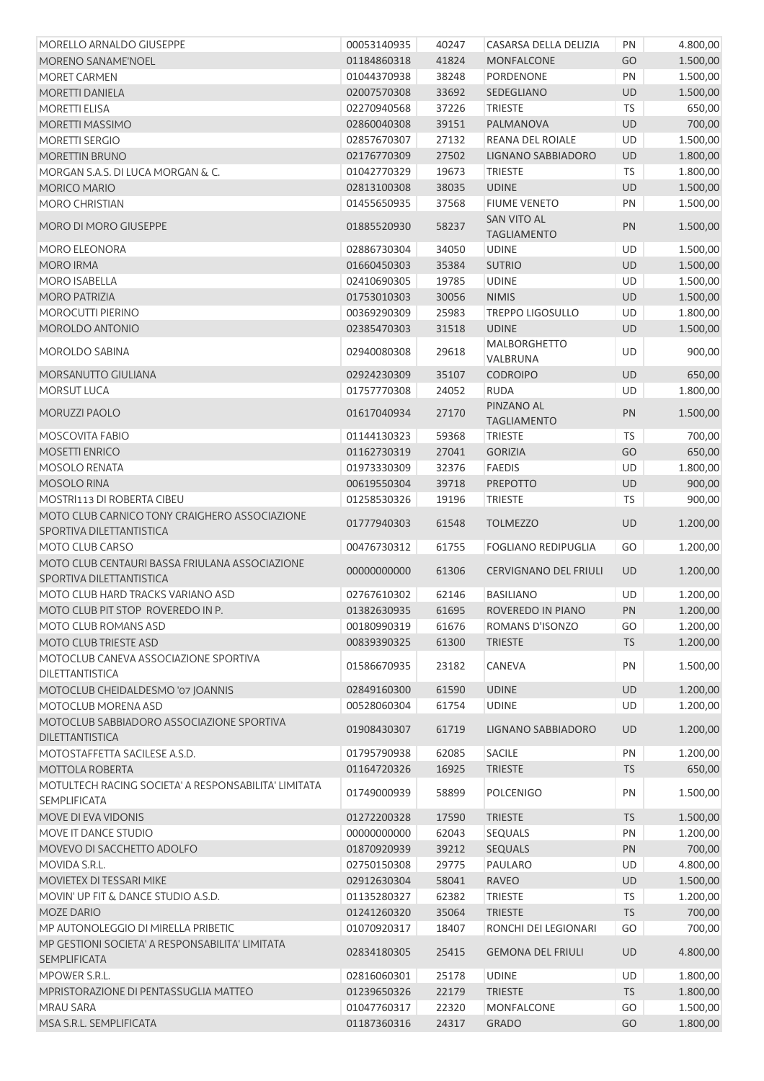| MORELLO ARNALDO GIUSEPPE                                                    | 00053140935 | 40247 | CASARSA DELLA DELIZIA                    | PN        | 4.800,00 |
|-----------------------------------------------------------------------------|-------------|-------|------------------------------------------|-----------|----------|
| MORENO SANAME'NOEL                                                          | 01184860318 | 41824 | <b>MONFALCONE</b>                        | GO        | 1.500,00 |
| MORET CARMEN                                                                | 01044370938 | 38248 | PORDENONE                                | PN        | 1.500,00 |
| <b>MORETTI DANIELA</b>                                                      | 02007570308 | 33692 | SEDEGLIANO                               | <b>UD</b> | 1.500,00 |
| <b>MORETTI ELISA</b>                                                        | 02270940568 | 37226 | <b>TRIESTE</b>                           | <b>TS</b> | 650,00   |
| MORETTI MASSIMO                                                             | 02860040308 | 39151 | PALMANOVA                                | <b>UD</b> | 700,00   |
| <b>MORETTI SERGIO</b>                                                       | 02857670307 | 27132 | REANA DEL ROIALE                         | UD        | 1.500,00 |
| MORETTIN BRUNO                                                              | 02176770309 | 27502 | LIGNANO SABBIADORO                       | UD        | 1.800,00 |
| MORGAN S.A.S. DI LUCA MORGAN & C.                                           | 01042770329 | 19673 | <b>TRIESTE</b>                           | TS        | 1.800,00 |
| <b>MORICO MARIO</b>                                                         | 02813100308 | 38035 | <b>UDINE</b>                             | UD        | 1.500,00 |
| <b>MORO CHRISTIAN</b>                                                       | 01455650935 | 37568 | <b>FIUME VENETO</b>                      | PN        | 1.500,00 |
| <b>MORO DI MORO GIUSEPPE</b>                                                | 01885520930 | 58237 | <b>SAN VITO AL</b><br><b>TAGLIAMENTO</b> | PN        | 1.500,00 |
| <b>MORO ELEONORA</b>                                                        | 02886730304 | 34050 | <b>UDINE</b>                             | UD        | 1.500,00 |
| <b>MORO IRMA</b>                                                            | 01660450303 | 35384 | <b>SUTRIO</b>                            | UD        | 1.500,00 |
| <b>MORO ISABELLA</b>                                                        | 02410690305 | 19785 | <b>UDINE</b>                             | UD        | 1.500,00 |
| <b>MORO PATRIZIA</b>                                                        | 01753010303 | 30056 | <b>NIMIS</b>                             | UD        | 1.500,00 |
| <b>MOROCUTTI PIERINO</b>                                                    | 00369290309 | 25983 | <b>TREPPO LIGOSULLO</b>                  | UD        | 1.800,00 |
| MOROLDO ANTONIO                                                             | 02385470303 | 31518 | <b>UDINE</b>                             | UD        | 1.500,00 |
| MOROLDO SABINA                                                              | 02940080308 | 29618 | <b>MALBORGHETTO</b><br>VALBRUNA          | UD        | 900,00   |
| MORSANUTTO GIULIANA                                                         | 02924230309 | 35107 | <b>CODROIPO</b>                          | UD        | 650,00   |
| <b>MORSUT LUCA</b>                                                          | 01757770308 | 24052 | <b>RUDA</b>                              | UD        | 1.800,00 |
|                                                                             |             |       | PINZANO AL                               |           |          |
| <b>MORUZZI PAOLO</b>                                                        | 01617040934 | 27170 | <b>TAGLIAMENTO</b>                       | PN        | 1.500,00 |
| MOSCOVITA FABIO                                                             | 01144130323 | 59368 | <b>TRIESTE</b>                           | <b>TS</b> | 700,00   |
| MOSETTI ENRICO                                                              | 01162730319 | 27041 | <b>GORIZIA</b>                           | GO        | 650,00   |
| MOSOLO RENATA                                                               | 01973330309 | 32376 | <b>FAEDIS</b>                            | UD        | 1.800,00 |
| <b>MOSOLO RINA</b>                                                          | 00619550304 | 39718 | <b>PREPOTTO</b>                          | <b>UD</b> | 900,00   |
| MOSTRI113 DI ROBERTA CIBEU                                                  | 01258530326 | 19196 | <b>TRIESTE</b>                           | TS        | 900,00   |
| MOTO CLUB CARNICO TONY CRAIGHERO ASSOCIAZIONE                               |             |       |                                          |           |          |
| SPORTIVA DILETTANTISTICA                                                    | 01777940303 | 61548 | <b>TOLMEZZO</b>                          | UD        | 1.200,00 |
| MOTO CLUB CARSO                                                             | 00476730312 | 61755 | <b>FOGLIANO REDIPUGLIA</b>               | GO        | 1.200,00 |
| MOTO CLUB CENTAURI BASSA FRIULANA ASSOCIAZIONE                              |             |       |                                          |           |          |
| SPORTIVA DILETTANTISTICA                                                    | 00000000000 | 61306 | <b>CERVIGNANO DEL FRIULI</b>             | <b>UD</b> | 1.200,00 |
| MOTO CLUB HARD TRACKS VARIANO ASD                                           | 02767610302 | 62146 | <b>BASILIANO</b>                         | UD        | 1.200,00 |
| MOTO CLUB PIT STOP ROVEREDO IN P.                                           | 01382630935 | 61695 | ROVEREDO IN PIANO                        | PN        | 1.200,00 |
| MOTO CLUB ROMANS ASD                                                        | 00180990319 | 61676 | ROMANS D'ISONZO                          | GO        | 1.200,00 |
| MOTO CLUB TRIESTE ASD                                                       | 00839390325 | 61300 | <b>TRIESTE</b>                           | <b>TS</b> | 1.200,00 |
| MOTOCLUB CANEVA ASSOCIAZIONE SPORTIVA<br>DILETTANTISTICA                    | 01586670935 | 23182 | CANEVA                                   | PN        | 1.500,00 |
| MOTOCLUB CHEIDALDESMO '07 JOANNIS                                           | 02849160300 | 61590 | <b>UDINE</b>                             | UD        | 1.200,00 |
| MOTOCLUB MORENA ASD                                                         | 00528060304 | 61754 | <b>UDINE</b>                             | UD        | 1.200,00 |
| MOTOCLUB SABBIADORO ASSOCIAZIONE SPORTIVA                                   | 01908430307 | 61719 | <b>LIGNANO SABBIADORO</b>                | UD        | 1.200,00 |
| <b>DILETTANTISTICA</b>                                                      |             |       |                                          |           |          |
| MOTOSTAFFETTA SACILESE A.S.D.                                               | 01795790938 | 62085 | <b>SACILE</b>                            | PN        | 1.200,00 |
| MOTTOLA ROBERTA                                                             | 01164720326 | 16925 | <b>TRIESTE</b>                           | <b>TS</b> | 650,00   |
| MOTULTECH RACING SOCIETA' A RESPONSABILITA' LIMITATA<br><b>SEMPLIFICATA</b> | 01749000939 | 58899 | <b>POLCENIGO</b>                         | PN        | 1.500,00 |
| MOVE DI EVA VIDONIS                                                         | 01272200328 | 17590 | <b>TRIESTE</b>                           | <b>TS</b> | 1.500,00 |
| MOVE IT DANCE STUDIO                                                        | 00000000000 | 62043 | <b>SEQUALS</b>                           | PN        | 1.200,00 |
| MOVEVO DI SACCHETTO ADOLFO                                                  | 01870920939 | 39212 | <b>SEQUALS</b>                           | PN        | 700,00   |
| MOVIDA S.R.L.                                                               | 02750150308 | 29775 | PAULARO                                  | UD        | 4.800,00 |
| MOVIETEX DI TESSARI MIKE                                                    | 02912630304 | 58041 | <b>RAVEO</b>                             | UD        | 1.500,00 |
| MOVIN' UP FIT & DANCE STUDIO A.S.D.                                         | 01135280327 | 62382 | <b>TRIESTE</b>                           | <b>TS</b> | 1.200,00 |
| <b>MOZE DARIO</b>                                                           | 01241260320 | 35064 | <b>TRIESTE</b>                           | <b>TS</b> | 700,00   |
| MP AUTONOLEGGIO DI MIRELLA PRIBETIC                                         | 01070920317 | 18407 | RONCHI DEI LEGIONARI                     | GO        | 700,00   |
| MP GESTIONI SOCIETA' A RESPONSABILITA' LIMITATA<br><b>SEMPLIFICATA</b>      | 02834180305 | 25415 | <b>GEMONA DEL FRIULI</b>                 | UD        | 4.800,00 |
| MPOWER S.R.L.                                                               | 02816060301 | 25178 | <b>UDINE</b>                             | <b>UD</b> | 1.800,00 |
| MPRISTORAZIONE DI PENTASSUGLIA MATTEO                                       | 01239650326 | 22179 | <b>TRIESTE</b>                           | <b>TS</b> | 1.800,00 |
| <b>MRAU SARA</b>                                                            | 01047760317 | 22320 | <b>MONFALCONE</b>                        | GO        | 1.500,00 |
| MSA S.R.L. SEMPLIFICATA                                                     | 01187360316 | 24317 | <b>GRADO</b>                             | GO        | 1.800,00 |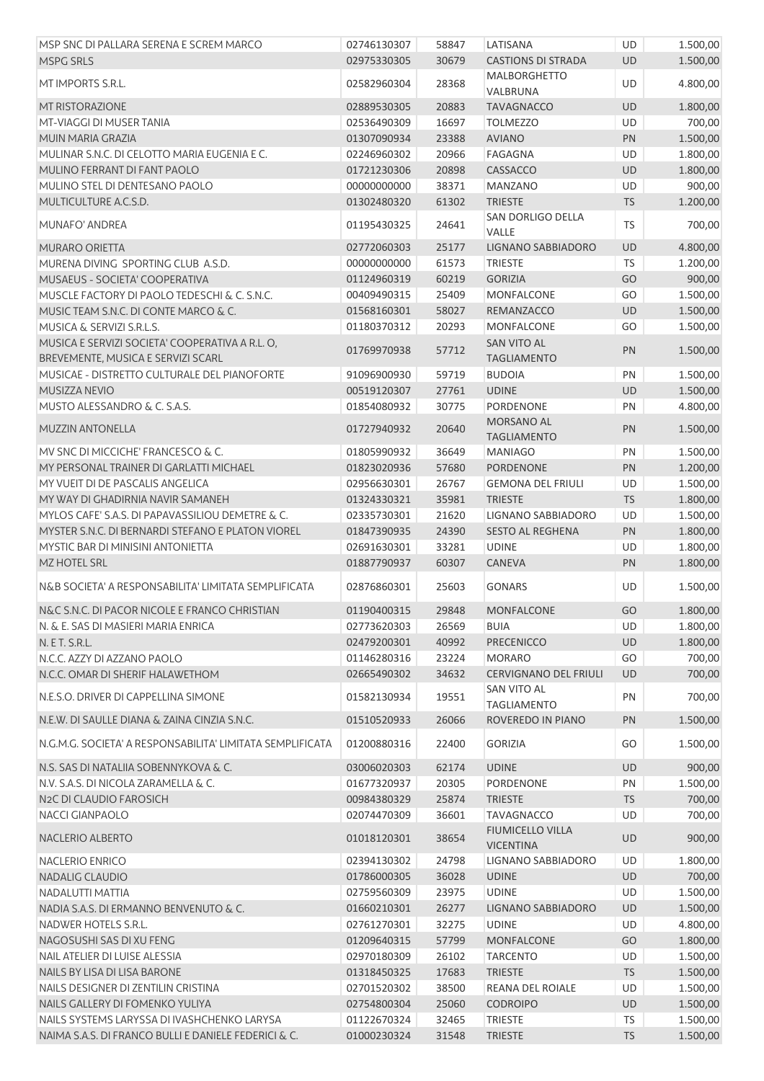| MSP SNC DI PALLARA SERENA E SCREM MARCO                                               | 02746130307                | 58847 | LATISANA                                    | UD        | 1.500,00 |
|---------------------------------------------------------------------------------------|----------------------------|-------|---------------------------------------------|-----------|----------|
| <b>MSPG SRLS</b>                                                                      | 02975330305                | 30679 | <b>CASTIONS DI STRADA</b>                   | <b>UD</b> | 1.500,00 |
| MT IMPORTS S.R.L.                                                                     | 02582960304                | 28368 | MALBORGHETTO                                | UD        | 4.800,00 |
|                                                                                       |                            |       | VALBRUNA                                    |           |          |
| <b>MT RISTORAZIONE</b>                                                                | 02889530305                | 20883 | <b>TAVAGNACCO</b>                           | <b>UD</b> | 1.800,00 |
| MT-VIAGGI DI MUSER TANIA                                                              | 02536490309                | 16697 | <b>TOLMEZZO</b>                             | UD        | 700,00   |
| MUIN MARIA GRAZIA                                                                     | 01307090934                | 23388 | <b>AVIANO</b>                               | PN        | 1.500,00 |
| MULINAR S.N.C. DI CELOTTO MARIA EUGENIA E C.                                          | 02246960302                | 20966 | <b>FAGAGNA</b>                              | UD        | 1.800,00 |
| MULINO FERRANT DI FANT PAOLO                                                          | 01721230306                | 20898 | CASSACCO                                    | UD        | 1.800,00 |
| MULINO STEL DI DENTESANO PAOLO                                                        | 00000000000                | 38371 | <b>MANZANO</b>                              | UD        | 900,00   |
| MULTICULTURE A.C.S.D.                                                                 | 01302480320                | 61302 | <b>TRIESTE</b><br>SAN DORLIGO DELLA         | <b>TS</b> | 1.200,00 |
| MUNAFO' ANDREA                                                                        | 01195430325                | 24641 | VALLE                                       | <b>TS</b> | 700,00   |
| MURARO ORIETTA                                                                        | 02772060303                | 25177 | LIGNANO SABBIADORO                          | UD        | 4.800,00 |
| MURENA DIVING SPORTING CLUB A.S.D.                                                    | 00000000000                | 61573 | <b>TRIESTE</b>                              | TS        | 1.200,00 |
| MUSAEUS - SOCIETA' COOPERATIVA                                                        | 01124960319                | 60219 | <b>GORIZIA</b>                              | GO        | 900,00   |
| MUSCLE FACTORY DI PAOLO TEDESCHI & C. S.N.C.                                          | 00409490315                | 25409 | <b>MONFALCONE</b>                           | GO        | 1.500,00 |
| MUSIC TEAM S.N.C. DI CONTE MARCO & C.                                                 | 01568160301                | 58027 | REMANZACCO                                  | UD        | 1.500,00 |
| <b>MUSICA &amp; SERVIZI S.R.L.S.</b>                                                  | 01180370312                | 20293 | MONFALCONE                                  | GO        | 1.500,00 |
| MUSICA E SERVIZI SOCIETA' COOPERATIVA A R.L. O,<br>BREVEMENTE, MUSICA E SERVIZI SCARL | 01769970938                | 57712 | <b>SAN VITO AL</b><br><b>TAGLIAMENTO</b>    | PN        | 1.500,00 |
| MUSICAE - DISTRETTO CULTURALE DEL PIANOFORTE                                          | 91096900930                | 59719 | <b>BUDOIA</b>                               | PN        | 1.500,00 |
| MUSIZZA NEVIO                                                                         | 00519120307                | 27761 | <b>UDINE</b>                                | <b>UD</b> | 1.500,00 |
| MUSTO ALESSANDRO & C. S.A.S.                                                          | 01854080932                | 30775 | <b>PORDENONE</b>                            | PN        | 4.800,00 |
| <b>MUZZIN ANTONELLA</b>                                                               | 01727940932                | 20640 | MORSANO AL                                  | PN        | 1.500,00 |
|                                                                                       |                            |       | <b>TAGLIAMENTO</b>                          |           |          |
| MV SNC DI MICCICHE' FRANCESCO & C.                                                    | 01805990932                | 36649 | <b>MANIAGO</b>                              | PN        | 1.500,00 |
| MY PERSONAL TRAINER DI GARLATTI MICHAEL                                               | 01823020936                | 57680 | PORDENONE                                   | PN        | 1.200,00 |
| MY VUEIT DI DE PASCALIS ANGELICA                                                      | 02956630301                | 26767 | <b>GEMONA DEL FRIULI</b>                    | UD        | 1.500,00 |
| MY WAY DI GHADIRNIA NAVIR SAMANEH                                                     | 01324330321                | 35981 | <b>TRIESTE</b>                              | <b>TS</b> | 1.800,00 |
| MYLOS CAFE' S.A.S. DI PAPAVASSILIOU DEMETRE & C.                                      | 02335730301                | 21620 | LIGNANO SABBIADORO                          | UD        | 1.500,00 |
| MYSTER S.N.C. DI BERNARDI STEFANO E PLATON VIOREL                                     | 01847390935                | 24390 | SESTO AL REGHENA                            | PN        | 1.800,00 |
| MYSTIC BAR DI MINISINI ANTONIETTA<br>MZ HOTEL SRL                                     | 02691630301<br>01887790937 | 33281 | <b>UDINE</b>                                | UD        | 1.800,00 |
|                                                                                       |                            | 60307 | CANEVA                                      | PN        | 1.800,00 |
| N&B SOCIETA' A RESPONSABILITA' LIMITATA SEMPLIFICATA                                  | 02876860301                | 25603 | <b>GONARS</b>                               | UD        | 1.500,00 |
| N&C S.N.C. DI PACOR NICOLE E FRANCO CHRISTIAN                                         | 01190400315                | 29848 | <b>MONFALCONE</b>                           | GO        | 1.800,00 |
| N. & E. SAS DI MASIERI MARIA ENRICA                                                   | 02773620303                | 26569 | <b>BUIA</b>                                 | UD        | 1.800,00 |
| N. E T. S.R.L.                                                                        | 02479200301                | 40992 | <b>PRECENICCO</b>                           | <b>UD</b> | 1.800,00 |
| N.C.C. AZZY DI AZZANO PAOLO                                                           | 01146280316                | 23224 | <b>MORARO</b>                               | GO        | 700,00   |
| N.C.C. OMAR DI SHERIF HALAWETHOM                                                      | 02665490302                | 34632 | CERVIGNANO DEL FRIULI                       | <b>UD</b> | 700,00   |
| N.E.S.O. DRIVER DI CAPPELLINA SIMONE                                                  | 01582130934                | 19551 | <b>SAN VITO AL</b>                          | PN        | 700,00   |
|                                                                                       |                            |       | <b>TAGLIAMENTO</b>                          |           |          |
| N.E.W. DI SAULLE DIANA & ZAINA CINZIA S.N.C.                                          | 01510520933                | 26066 | ROVEREDO IN PIANO                           | PN        | 1.500,00 |
| N.G.M.G. SOCIETA' A RESPONSABILITA' LIMITATA SEMPLIFICATA                             | 01200880316                | 22400 | <b>GORIZIA</b>                              | GO        | 1.500,00 |
| N.S. SAS DI NATALIIA SOBENNYKOVA & C.                                                 | 03006020303                | 62174 | <b>UDINE</b>                                | <b>UD</b> | 900,00   |
| N.V. S.A.S. DI NICOLA ZARAMELLA & C.                                                  | 01677320937                | 20305 | PORDENONE                                   | PN        | 1.500,00 |
| N2C DI CLAUDIO FAROSICH                                                               | 00984380329                | 25874 | <b>TRIESTE</b>                              | <b>TS</b> | 700,00   |
| <b>NACCI GIANPAOLO</b>                                                                | 02074470309                | 36601 | <b>TAVAGNACCO</b>                           | UD        | 700,00   |
| NACLERIO ALBERTO                                                                      | 01018120301                | 38654 | <b>FIUMICELLO VILLA</b><br><b>VICENTINA</b> | UD        | 900,00   |
| <b>NACLERIO ENRICO</b>                                                                | 02394130302                | 24798 | LIGNANO SABBIADORO                          | UD        | 1.800,00 |
| NADALIG CLAUDIO                                                                       | 01786000305                | 36028 | <b>UDINE</b>                                | UD        | 700,00   |
| NADALUTTI MATTIA                                                                      | 02759560309                | 23975 | <b>UDINE</b>                                | UD        | 1.500,00 |
| NADIA S.A.S. DI ERMANNO BENVENUTO & C.                                                | 01660210301                | 26277 | LIGNANO SABBIADORO                          | <b>UD</b> | 1.500,00 |
| NADWER HOTELS S.R.L.                                                                  | 02761270301                | 32275 | <b>UDINE</b>                                | UD        | 4.800,00 |
| NAGOSUSHI SAS DI XU FENG                                                              | 01209640315                | 57799 | <b>MONFALCONE</b>                           | GO        | 1.800,00 |
| NAIL ATELIER DI LUISE ALESSIA                                                         | 02970180309                | 26102 | <b>TARCENTO</b>                             | UD        | 1.500,00 |
| NAILS BY LISA DI LISA BARONE                                                          | 01318450325                | 17683 | <b>TRIESTE</b>                              | <b>TS</b> | 1.500,00 |
| NAILS DESIGNER DI ZENTILIN CRISTINA                                                   | 02701520302                | 38500 | REANA DEL ROIALE                            | UD        | 1.500,00 |
| NAILS GALLERY DI FOMENKO YULIYA                                                       | 02754800304                | 25060 | <b>CODROIPO</b>                             | UD        | 1.500,00 |
| NAILS SYSTEMS LARYSSA DI IVASHCHENKO LARYSA                                           | 01122670324                | 32465 | <b>TRIESTE</b>                              | <b>TS</b> | 1.500,00 |
| NAIMA S.A.S. DI FRANCO BULLI E DANIELE FEDERICI & C.                                  | 01000230324                | 31548 | <b>TRIESTE</b>                              | <b>TS</b> | 1.500,00 |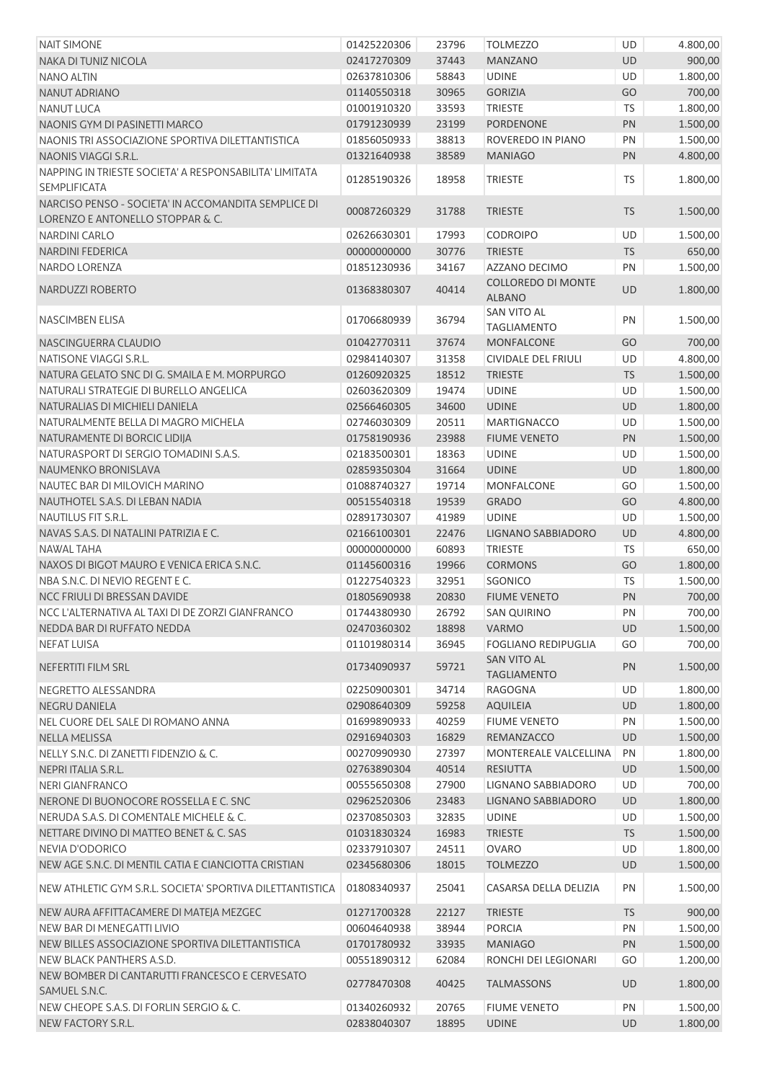| <b>NAIT SIMONE</b>                                        | 01425220306 | 23796 | <b>TOLMEZZO</b>            | UD        | 4.800,00 |
|-----------------------------------------------------------|-------------|-------|----------------------------|-----------|----------|
| NAKA DI TUNIZ NICOLA                                      | 02417270309 | 37443 | <b>MANZANO</b>             | <b>UD</b> | 900,00   |
| <b>NANO ALTIN</b>                                         | 02637810306 | 58843 | <b>UDINE</b>               | UD        | 1.800,00 |
| <b>NANUT ADRIANO</b>                                      | 01140550318 | 30965 | <b>GORIZIA</b>             | GO        | 700,00   |
| <b>NANUT LUCA</b>                                         | 01001910320 | 33593 | <b>TRIESTE</b>             | <b>TS</b> | 1.800,00 |
| NAONIS GYM DI PASINETTI MARCO                             | 01791230939 | 23199 | <b>PORDENONE</b>           | PN        | 1.500,00 |
| NAONIS TRI ASSOCIAZIONE SPORTIVA DILETTANTISTICA          | 01856050933 | 38813 | ROVEREDO IN PIANO          | PN        | 1.500,00 |
| NAONIS VIAGGI S.R.L.                                      | 01321640938 | 38589 | <b>MANIAGO</b>             | PN        | 4.800,00 |
| NAPPING IN TRIESTE SOCIETA' A RESPONSABILITA' LIMITATA    |             |       |                            |           |          |
| <b>SEMPLIFICATA</b>                                       | 01285190326 | 18958 | <b>TRIESTE</b>             | <b>TS</b> | 1.800,00 |
| NARCISO PENSO - SOCIETA' IN ACCOMANDITA SEMPLICE DI       |             |       |                            |           |          |
| LORENZO E ANTONELLO STOPPAR & C.                          | 00087260329 | 31788 | <b>TRIESTE</b>             | <b>TS</b> | 1.500,00 |
| NARDINI CARLO                                             | 02626630301 | 17993 | <b>CODROIPO</b>            | UD        | 1.500,00 |
| <b>NARDINI FEDERICA</b>                                   | 00000000000 | 30776 | <b>TRIESTE</b>             | <b>TS</b> | 650,00   |
| NARDO LORENZA                                             | 01851230936 | 34167 | AZZANO DECIMO              | PN        | 1.500,00 |
|                                                           |             |       | <b>COLLOREDO DI MONTE</b>  |           |          |
| NARDUZZI ROBERTO                                          | 01368380307 | 40414 | <b>ALBANO</b>              | <b>UD</b> | 1.800,00 |
|                                                           |             |       | SAN VITO AL                |           |          |
| NASCIMBEN ELISA                                           | 01706680939 | 36794 | <b>TAGLIAMENTO</b>         | PN        | 1.500,00 |
| NASCINGUERRA CLAUDIO                                      | 01042770311 | 37674 | MONFALCONE                 | GO        | 700,00   |
| NATISONE VIAGGI S.R.L.                                    | 02984140307 | 31358 | <b>CIVIDALE DEL FRIULI</b> | UD        | 4.800,00 |
| NATURA GELATO SNC DI G. SMAILA E M. MORPURGO              | 01260920325 | 18512 | <b>TRIESTE</b>             | <b>TS</b> | 1.500,00 |
| NATURALI STRATEGIE DI BURELLO ANGELICA                    | 02603620309 | 19474 | <b>UDINE</b>               | UD        | 1.500,00 |
| NATURALIAS DI MICHIELI DANIELA                            | 02566460305 | 34600 | <b>UDINE</b>               | UD        | 1.800,00 |
| NATURALMENTE BELLA DI MAGRO MICHELA                       | 02746030309 | 20511 | <b>MARTIGNACCO</b>         | UD        | 1.500,00 |
| NATURAMENTE DI BORCIC LIDIJA                              | 01758190936 | 23988 | <b>FIUME VENETO</b>        | PN        | 1.500,00 |
| NATURASPORT DI SERGIO TOMADINI S.A.S.                     | 02183500301 | 18363 | <b>UDINE</b>               | UD        | 1.500,00 |
| NAUMENKO BRONISLAVA                                       | 02859350304 | 31664 | <b>UDINE</b>               | UD        | 1.800,00 |
| NAUTEC BAR DI MILOVICH MARINO                             | 01088740327 | 19714 | MONFALCONE                 | GO        | 1.500,00 |
| NAUTHOTEL S.A.S. DI LEBAN NADIA                           | 00515540318 | 19539 | <b>GRADO</b>               | GO        | 4.800,00 |
| NAUTILUS FIT S.R.L.                                       | 02891730307 | 41989 | <b>UDINE</b>               | UD        | 1.500,00 |
| NAVAS S.A.S. DI NATALINI PATRIZIA E C.                    | 02166100301 | 22476 | LIGNANO SABBIADORO         | UD        | 4.800,00 |
| <b>NAWAL TAHA</b>                                         | 00000000000 | 60893 | TRIESTE                    | <b>TS</b> | 650,00   |
| NAXOS DI BIGOT MAURO E VENICA ERICA S.N.C.                | 01145600316 | 19966 | <b>CORMONS</b>             | GO        | 1.800,00 |
| NBA S.N.C. DI NEVIO REGENTE C.                            | 01227540323 | 32951 | <b>SGONICO</b>             | <b>TS</b> | 1.500,00 |
| NCC FRIULI DI BRESSAN DAVIDE                              | 01805690938 | 20830 | <b>FIUME VENETO</b>        | PN        | 700,00   |
| NCC L'ALTERNATIVA AL TAXI DI DE ZORZI GIANFRANCO          | 01744380930 | 26792 | <b>SAN QUIRINO</b>         | PN        | 700,00   |
| NEDDA BAR DI RUFFATO NEDDA                                | 02470360302 | 18898 | <b>VARMO</b>               | <b>UD</b> | 1.500,00 |
| <b>NEFAT LUISA</b>                                        | 01101980314 | 36945 | <b>FOGLIANO REDIPUGLIA</b> | GO        | 700,00   |
|                                                           |             |       | <b>SAN VITO AL</b>         |           |          |
| NEFERTITI FILM SRL                                        | 01734090937 | 59721 | <b>TAGLIAMENTO</b>         | PN        | 1.500,00 |
| NEGRETTO ALESSANDRA                                       | 02250900301 | 34714 | <b>RAGOGNA</b>             | UD        | 1.800,00 |
| <b>NEGRU DANIELA</b>                                      | 02908640309 | 59258 | <b>AQUILEIA</b>            | UD        | 1.800,00 |
| NEL CUORE DEL SALE DI ROMANO ANNA                         | 01699890933 | 40259 | <b>FIUME VENETO</b>        | PN        | 1.500,00 |
| NELLA MELISSA                                             | 02916940303 | 16829 | REMANZACCO                 | <b>UD</b> | 1.500,00 |
| NELLY S.N.C. DI ZANETTI FIDENZIO & C.                     | 00270990930 | 27397 | MONTEREALE VALCELLINA      | PN        | 1.800,00 |
| NEPRI ITALIA S.R.L.                                       | 02763890304 | 40514 | <b>RESIUTTA</b>            | UD        | 1.500,00 |
| <b>NERI GIANFRANCO</b>                                    | 00555650308 | 27900 | LIGNANO SABBIADORO         | UD        | 700,00   |
| NERONE DI BUONOCORE ROSSELLA E C. SNC                     | 02962520306 | 23483 | LIGNANO SABBIADORO         | UD        | 1.800,00 |
| NERUDA S.A.S. DI COMENTALE MICHELE & C.                   | 02370850303 | 32835 | <b>UDINE</b>               | UD        | 1.500,00 |
| NETTARE DIVINO DI MATTEO BENET & C. SAS                   | 01031830324 | 16983 | <b>TRIESTE</b>             | <b>TS</b> | 1.500,00 |
| <b>NEVIA D'ODORICO</b>                                    | 02337910307 | 24511 | <b>OVARO</b>               | UD        | 1.800,00 |
| NEW AGE S.N.C. DI MENTIL CATIA E CIANCIOTTA CRISTIAN      | 02345680306 | 18015 | <b>TOLMEZZO</b>            | UD        | 1.500,00 |
|                                                           |             |       |                            |           |          |
| NEW ATHLETIC GYM S.R.L. SOCIETA' SPORTIVA DILETTANTISTICA | 01808340937 | 25041 | CASARSA DELLA DELIZIA      | PN        | 1.500,00 |
| NEW AURA AFFITTACAMERE DI MATEJA MEZGEC                   | 01271700328 | 22127 | <b>TRIESTE</b>             | <b>TS</b> | 900,00   |
| NEW BAR DI MENEGATTI LIVIO                                | 00604640938 | 38944 | <b>PORCIA</b>              | PN        | 1.500,00 |
| NEW BILLES ASSOCIAZIONE SPORTIVA DILETTANTISTICA          | 01701780932 | 33935 | <b>MANIAGO</b>             | PN        | 1.500,00 |
| NEW BLACK PANTHERS A.S.D.                                 | 00551890312 | 62084 | RONCHI DEI LEGIONARI       | GO        | 1.200,00 |
| NEW BOMBER DI CANTARUTTI FRANCESCO E CERVESATO            |             |       |                            |           |          |
| SAMUEL S.N.C.                                             | 02778470308 | 40425 | <b>TALMASSONS</b>          | <b>UD</b> | 1.800,00 |
| NEW CHEOPE S.A.S. DI FORLIN SERGIO & C.                   | 01340260932 | 20765 | <b>FIUME VENETO</b>        | PN        | 1.500,00 |
| NEW FACTORY S.R.L.                                        | 02838040307 | 18895 | <b>UDINE</b>               | UD        | 1.800,00 |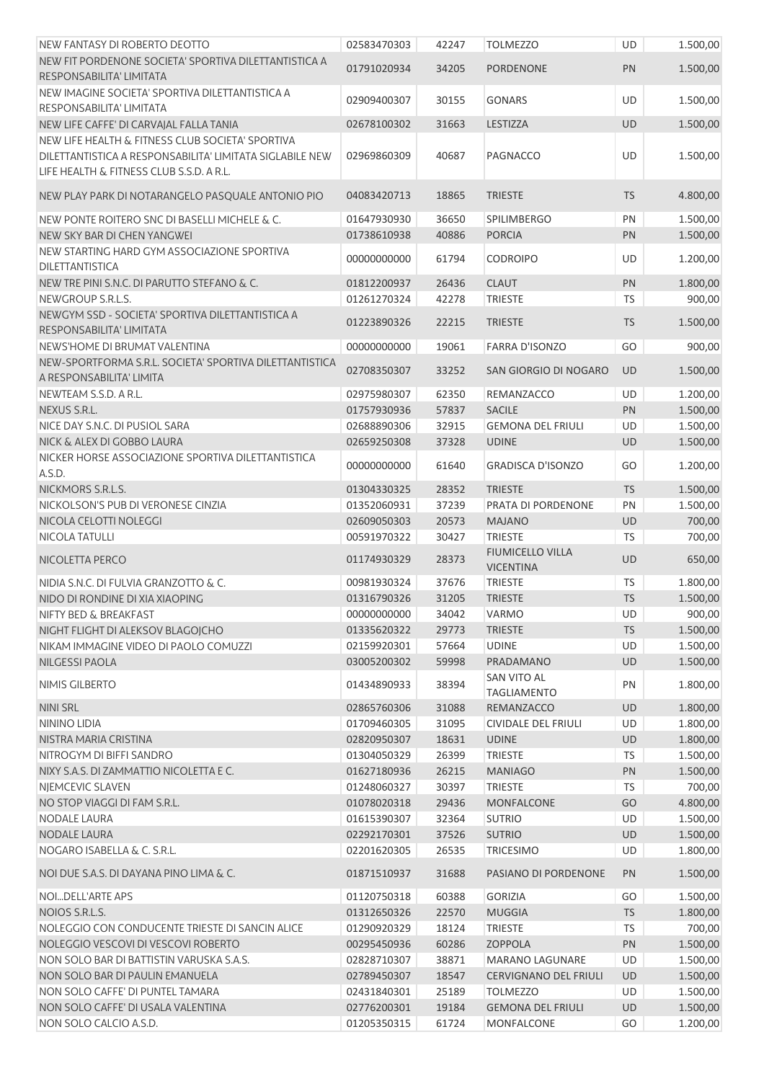| NEW FANTASY DI ROBERTO DEOTTO                                              | 02583470303                | 42247          | <b>TOLMEZZO</b>                | UD              | 1.500,00           |
|----------------------------------------------------------------------------|----------------------------|----------------|--------------------------------|-----------------|--------------------|
| NEW FIT PORDENONE SOCIETA' SPORTIVA DILETTANTISTICA A                      |                            |                |                                |                 |                    |
| RESPONSABILITA' LIMITATA                                                   | 01791020934                | 34205          | <b>PORDENONE</b>               | PN              | 1.500,00           |
| NEW IMAGINE SOCIETA' SPORTIVA DILETTANTISTICA A                            |                            |                |                                |                 |                    |
| RESPONSABILITA' LIMITATA                                                   | 02909400307                | 30155          | <b>GONARS</b>                  | UD              | 1.500,00           |
| NEW LIFE CAFFE' DI CARVAJAL FALLA TANIA                                    | 02678100302                | 31663          | LESTIZZA                       | UD              | 1.500,00           |
| NEW LIFE HEALTH & FITNESS CLUB SOCIETA' SPORTIVA                           |                            |                |                                |                 |                    |
| DILETTANTISTICA A RESPONSABILITA' LIMITATA SIGLABILE NEW                   | 02969860309                | 40687          | PAGNACCO                       | UD              | 1.500,00           |
| LIFE HEALTH & FITNESS CLUB S.S.D. A R.L.                                   |                            |                |                                |                 |                    |
| NEW PLAY PARK DI NOTARANGELO PASQUALE ANTONIO PIO                          |                            | 18865          | <b>TRIESTE</b>                 | <b>TS</b>       |                    |
|                                                                            | 04083420713                |                |                                |                 | 4.800,00           |
| NEW PONTE ROITERO SNC DI BASELLI MICHELE & C.                              | 01647930930                | 36650          | <b>SPILIMBERGO</b>             | PN              | 1.500,00           |
| NEW SKY BAR DI CHEN YANGWEI                                                | 01738610938                | 40886          | <b>PORCIA</b>                  | PN              | 1.500,00           |
| NEW STARTING HARD GYM ASSOCIAZIONE SPORTIVA                                | 00000000000                | 61794          | <b>CODROIPO</b>                | UD              | 1.200,00           |
| DILETTANTISTICA                                                            |                            |                |                                |                 |                    |
| NEW TRE PINI S.N.C. DI PARUTTO STEFANO & C.                                | 01812200937                | 26436          | <b>CLAUT</b>                   | PN              | 1.800,00           |
| NEWGROUP S.R.L.S.                                                          | 01261270324                | 42278          | <b>TRIESTE</b>                 | TS              | 900,00             |
| NEWGYM SSD - SOCIETA' SPORTIVA DILETTANTISTICA A                           | 01223890326                | 22215          | <b>TRIESTE</b>                 | <b>TS</b>       | 1.500,00           |
| RESPONSABILITA' LIMITATA                                                   |                            |                |                                |                 |                    |
| NEWS'HOME DI BRUMAT VALENTINA                                              | 00000000000                | 19061          | <b>FARRA D'ISONZO</b>          | GO              | 900,00             |
| NEW-SPORTFORMA S.R.L. SOCIETA' SPORTIVA DILETTANTISTICA                    | 02708350307                | 33252          | SAN GIORGIO DI NOGARO          | <b>UD</b>       | 1.500,00           |
| A RESPONSABILITA' LIMITA                                                   |                            |                |                                |                 |                    |
| NEWTEAM S.S.D. A R.L.                                                      | 02975980307                | 62350          | REMANZACCO                     | UD              | 1.200,00           |
| NEXUS S.R.L.                                                               | 01757930936                | 57837          | <b>SACILE</b>                  | PN              | 1.500,00           |
| NICE DAY S.N.C. DI PUSIOL SARA                                             | 02688890306                | 32915          | <b>GEMONA DEL FRIULI</b>       | UD              | 1.500,00           |
| NICK & ALEX DI GOBBO LAURA                                                 | 02659250308                | 37328          | <b>UDINE</b>                   | UD              | 1.500,00           |
| NICKER HORSE ASSOCIAZIONE SPORTIVA DILETTANTISTICA                         | 00000000000                | 61640          | <b>GRADISCA D'ISONZO</b>       | GO              | 1.200,00           |
| A.S.D.                                                                     |                            |                |                                |                 |                    |
| NICKMORS S.R.L.S.                                                          | 01304330325                | 28352          | <b>TRIESTE</b>                 | <b>TS</b>       | 1.500,00           |
| NICKOLSON'S PUB DI VERONESE CINZIA                                         | 01352060931                | 37239          | PRATA DI PORDENONE             | PN              | 1.500,00           |
| NICOLA CELOTTI NOLEGGI                                                     | 02609050303                | 20573          | <b>MAJANO</b>                  | UD              | 700,00             |
| NICOLA TATULLI                                                             | 00591970322                | 30427          | <b>TRIESTE</b>                 | TS              | 700,00             |
| NICOLETTA PERCO                                                            | 01174930329                | 28373          | <b>FIUMICELLO VILLA</b>        | UD              | 650,00             |
| NIDIA S.N.C. DI FULVIA GRANZOTTO & C.                                      |                            |                | <b>VICENTINA</b>               |                 |                    |
|                                                                            | 00981930324                | 37676          | <b>TRIESTE</b>                 | TS              | 1.800,00           |
| NIDO DI RONDINE DI XIA XIAOPING                                            | 01316790326                | 31205          | <b>TRIESTE</b>                 | <b>TS</b>       | 1.500,00           |
| NIFTY BED & BREAKFAST                                                      | 00000000000                | 34042          | VARMO                          | UD              | 900,00<br>1.500,00 |
| NIGHT FLIGHT DI ALEKSOV BLAGOJCHO<br>NIKAM IMMAGINE VIDEO DI PAOLO COMUZZI | 01335620322<br>02159920301 | 29773<br>57664 | <b>TRIESTE</b><br><b>UDINE</b> | <b>TS</b><br>UD | 1.500,00           |
| <b>NILGESSI PAOLA</b>                                                      | 03005200302                | 59998          | PRADAMANO                      | UD              | 1.500,00           |
|                                                                            |                            |                | SAN VITO AL                    |                 |                    |
| NIMIS GILBERTO                                                             | 01434890933                | 38394          | <b>TAGLIAMENTO</b>             | PN              | 1.800,00           |
| <b>NINI SRL</b>                                                            | 02865760306                | 31088          | REMANZACCO                     | UD              | 1.800,00           |
| <b>NININO LIDIA</b>                                                        | 01709460305                | 31095          | <b>CIVIDALE DEL FRIULI</b>     | <b>UD</b>       | 1.800,00           |
| NISTRA MARIA CRISTINA                                                      | 02820950307                | 18631          | <b>UDINE</b>                   | UD              | 1.800,00           |
| NITROGYM DI BIFFI SANDRO                                                   | 01304050329                | 26399          | <b>TRIESTE</b>                 | <b>TS</b>       | 1.500,00           |
| NIXY S.A.S. DI ZAMMATTIO NICOLETTA E C.                                    | 01627180936                | 26215          | <b>MANIAGO</b>                 | PN              | 1.500,00           |
| NIEMCEVIC SLAVEN                                                           | 01248060327                | 30397          | <b>TRIESTE</b>                 | <b>TS</b>       | 700,00             |
| NO STOP VIAGGI DI FAM S.R.L.                                               | 01078020318                | 29436          | <b>MONFALCONE</b>              | GO              | 4.800,00           |
| NODALE LAURA                                                               | 01615390307                | 32364          | <b>SUTRIO</b>                  | UD              | 1.500,00           |
| <b>NODALE LAURA</b>                                                        | 02292170301                | 37526          | <b>SUTRIO</b>                  | UD              | 1.500,00           |
| NOGARO ISABELLA & C. S.R.L.                                                | 02201620305                | 26535          | <b>TRICESIMO</b>               | UD              | 1.800,00           |
| NOI DUE S.A.S. DI DAYANA PINO LIMA & C.                                    | 01871510937                | 31688          | PASIANO DI PORDENONE           | PN              | 1.500,00           |
|                                                                            |                            |                |                                |                 |                    |
| NOIDELL'ARTE APS                                                           | 01120750318                | 60388          | <b>GORIZIA</b>                 | GO              | 1.500,00           |
| NOIOS S.R.L.S.                                                             | 01312650326                | 22570          | <b>MUGGIA</b>                  | <b>TS</b>       | 1.800,00           |
| NOLEGGIO CON CONDUCENTE TRIESTE DI SANCIN ALICE                            | 01290920329                | 18124          | <b>TRIESTE</b>                 | <b>TS</b>       | 700,00             |
| NOLEGGIO VESCOVI DI VESCOVI ROBERTO                                        | 00295450936                | 60286          | <b>ZOPPOLA</b>                 | PN              | 1.500,00           |
| NON SOLO BAR DI BATTISTIN VARUSKA S.A.S.                                   | 02828710307                | 38871          | <b>MARANO LAGUNARE</b>         | UD              | 1.500,00           |
| NON SOLO BAR DI PAULIN EMANUELA                                            | 02789450307                | 18547          | <b>CERVIGNANO DEL FRIULI</b>   | UD              | 1.500,00           |
| NON SOLO CAFFE' DI PUNTEL TAMARA                                           | 02431840301                | 25189          | <b>TOLMEZZO</b>                | UD              | 1.500,00           |
| NON SOLO CAFFE' DI USALA VALENTINA                                         | 02776200301                | 19184          | <b>GEMONA DEL FRIULI</b>       | UD              | 1.500,00           |
| NON SOLO CALCIO A.S.D.                                                     | 01205350315                | 61724          | MONFALCONE                     | GO              | 1.200,00           |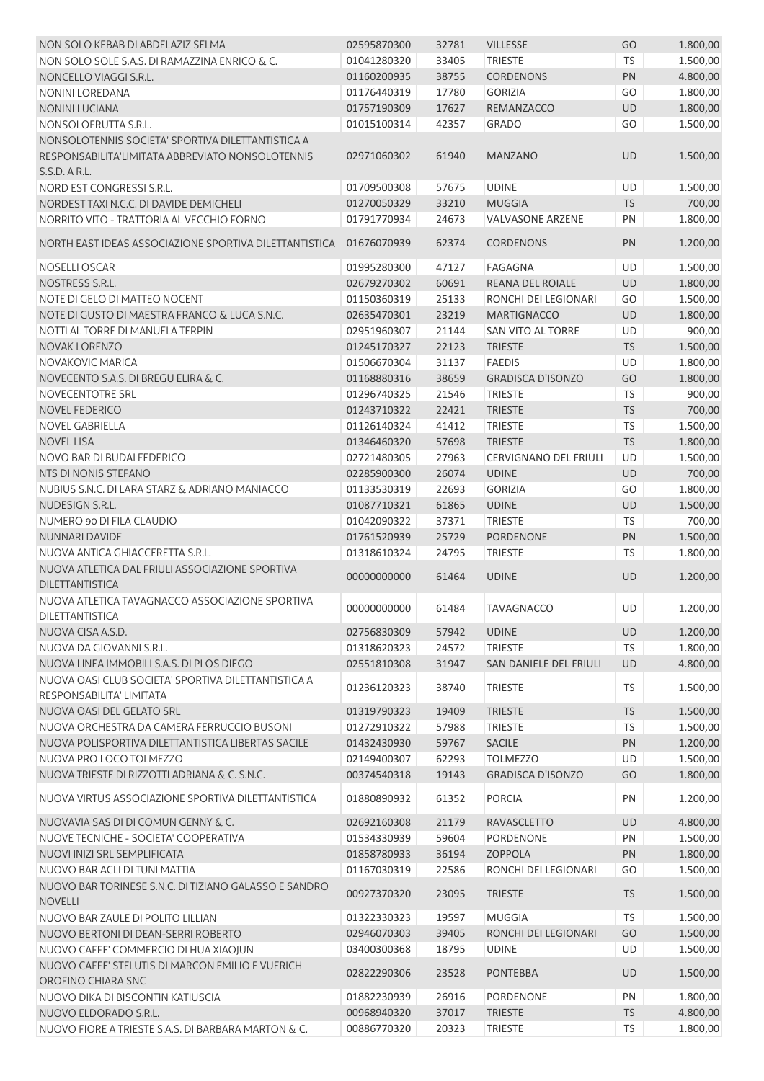| NON SOLO KEBAB DI ABDELAZIZ SELMA                                                                                      | 02595870300 | 32781 | <b>VILLESSE</b>              | GO         | 1.800,00 |
|------------------------------------------------------------------------------------------------------------------------|-------------|-------|------------------------------|------------|----------|
| NON SOLO SOLE S.A.S. DI RAMAZZINA ENRICO & C.                                                                          | 01041280320 | 33405 | <b>TRIESTE</b>               | <b>TS</b>  | 1.500,00 |
| NONCELLO VIAGGI S.R.L.                                                                                                 | 01160200935 | 38755 | <b>CORDENONS</b>             | PN         | 4.800,00 |
| NONINI LOREDANA                                                                                                        | 01176440319 | 17780 | <b>GORIZIA</b>               | GO         | 1.800,00 |
| <b>NONINI LUCIANA</b>                                                                                                  | 01757190309 | 17627 | REMANZACCO                   | UD         | 1.800,00 |
| NONSOLOFRUTTA S.R.L.                                                                                                   | 01015100314 | 42357 | <b>GRADO</b>                 | GO         | 1.500,00 |
| NONSOLOTENNIS SOCIETA' SPORTIVA DILETTANTISTICA A<br>RESPONSABILITA'LIMITATA ABBREVIATO NONSOLOTENNIS<br>S.S.D. A R.L. | 02971060302 | 61940 | <b>MANZANO</b>               | UD         | 1.500,00 |
| NORD EST CONGRESSI S.R.L.                                                                                              | 01709500308 | 57675 | <b>UDINE</b>                 | UD         | 1.500,00 |
| NORDEST TAXI N.C.C. DI DAVIDE DEMICHELI                                                                                | 01270050329 | 33210 | <b>MUGGIA</b>                | <b>TS</b>  | 700,00   |
| NORRITO VITO - TRATTORIA AL VECCHIO FORNO                                                                              | 01791770934 | 24673 | <b>VALVASONE ARZENE</b>      | PN         | 1.800,00 |
| NORTH EAST IDEAS ASSOCIAZIONE SPORTIVA DILETTANTISTICA                                                                 | 01676070939 | 62374 | <b>CORDENONS</b>             | PN         | 1.200,00 |
| <b>NOSELLI OSCAR</b>                                                                                                   | 01995280300 | 47127 | <b>FAGAGNA</b>               | <b>UD</b>  | 1.500,00 |
| NOSTRESS S.R.L.                                                                                                        | 02679270302 | 60691 | REANA DEL ROIALE             | UD         | 1.800,00 |
| NOTE DI GELO DI MATTEO NOCENT                                                                                          | 01150360319 | 25133 | RONCHI DEI LEGIONARI         | GO         | 1.500,00 |
| NOTE DI GUSTO DI MAESTRA FRANCO & LUCA S.N.C.                                                                          | 02635470301 | 23219 | <b>MARTIGNACCO</b>           | UD         | 1.800,00 |
| NOTTI AL TORRE DI MANUELA TERPIN                                                                                       | 02951960307 | 21144 | SAN VITO AL TORRE            | UD         | 900,00   |
| <b>NOVAK LORENZO</b>                                                                                                   | 01245170327 | 22123 | <b>TRIESTE</b>               | TS         | 1.500,00 |
| <b>NOVAKOVIC MARICA</b>                                                                                                | 01506670304 | 31137 | <b>FAEDIS</b>                | UD         | 1.800,00 |
| NOVECENTO S.A.S. DI BREGU ELIRA & C.                                                                                   | 01168880316 | 38659 | <b>GRADISCA D'ISONZO</b>     | GO         | 1.800,00 |
| NOVECENTOTRE SRL                                                                                                       | 01296740325 | 21546 | <b>TRIESTE</b>               | TS         | 900,00   |
| <b>NOVEL FEDERICO</b>                                                                                                  | 01243710322 | 22421 | <b>TRIESTE</b>               | <b>TS</b>  | 700,00   |
| <b>NOVEL GABRIELLA</b>                                                                                                 | 01126140324 | 41412 | <b>TRIESTE</b>               | <b>TS</b>  | 1.500,00 |
| <b>NOVEL LISA</b>                                                                                                      | 01346460320 | 57698 | <b>TRIESTE</b>               | TS         | 1.800,00 |
| NOVO BAR DI BUDAI FEDERICO                                                                                             | 02721480305 | 27963 | <b>CERVIGNANO DEL FRIULI</b> | UD         | 1.500,00 |
| NTS DI NONIS STEFANO                                                                                                   | 02285900300 | 26074 | <b>UDINE</b>                 | UD         | 700,00   |
| NUBIUS S.N.C. DI LARA STARZ & ADRIANO MANIACCO                                                                         | 01133530319 | 22693 | <b>GORIZIA</b>               | GO         | 1.800,00 |
| NUDESIGN S.R.L.                                                                                                        | 01087710321 | 61865 | <b>UDINE</b>                 | UD         | 1.500,00 |
| NUMERO 90 DI FILA CLAUDIO                                                                                              | 01042090322 | 37371 | <b>TRIESTE</b>               | TS         | 700,00   |
| <b>NUNNARI DAVIDE</b>                                                                                                  | 01761520939 | 25729 | <b>PORDENONE</b>             | PN         | 1.500,00 |
| NUOVA ANTICA GHIACCERETTA S.R.L.                                                                                       | 01318610324 | 24795 | <b>TRIESTE</b>               | TS         | 1.800,00 |
| NUOVA ATLETICA DAL FRIULI ASSOCIAZIONE SPORTIVA<br>DILETTANTISTICA                                                     | 00000000000 | 61464 | <b>UDINE</b>                 | <b>UD</b>  | 1.200,00 |
| NUOVA ATLETICA TAVAGNACCO ASSOCIAZIONE SPORTIVA<br>DILETTANTISTICA                                                     | 00000000000 | 61484 | <b>TAVAGNACCO</b>            | UD         | 1.200,00 |
| NUOVA CISA A.S.D.                                                                                                      | 02756830309 | 57942 | <b>UDINE</b>                 | <b>UD</b>  | 1.200,00 |
| NUOVA DA GIOVANNI S.R.L.                                                                                               | 01318620323 | 24572 | <b>TRIESTE</b>               | <b>TS</b>  | 1.800,00 |
| NUOVA LINEA IMMOBILI S.A.S. DI PLOS DIEGO                                                                              | 02551810308 | 31947 | SAN DANIELE DEL FRIULI       | UD         | 4.800,00 |
| NUOVA OASI CLUB SOCIETA' SPORTIVA DILETTANTISTICA A<br>RESPONSABILITA' LIMITATA                                        | 01236120323 | 38740 | <b>TRIESTE</b>               | TS         | 1.500,00 |
| NUOVA OASI DEL GELATO SRL                                                                                              | 01319790323 | 19409 | <b>TRIESTE</b>               | <b>TS</b>  | 1.500,00 |
| NUOVA ORCHESTRA DA CAMERA FERRUCCIO BUSONI                                                                             | 01272910322 | 57988 | <b>TRIESTE</b>               | <b>TS</b>  | 1.500,00 |
| NUOVA POLISPORTIVA DILETTANTISTICA LIBERTAS SACILE                                                                     | 01432430930 | 59767 | <b>SACILE</b>                | PN         | 1.200,00 |
| NUOVA PRO LOCO TOLMEZZO                                                                                                | 02149400307 | 62293 | <b>TOLMEZZO</b>              | UD         | 1.500,00 |
| NUOVA TRIESTE DI RIZZOTTI ADRIANA & C. S.N.C.                                                                          | 00374540318 | 19143 | <b>GRADISCA D'ISONZO</b>     | GO         | 1.800,00 |
| NUOVA VIRTUS ASSOCIAZIONE SPORTIVA DILETTANTISTICA                                                                     | 01880890932 | 61352 | <b>PORCIA</b>                | PN         | 1.200,00 |
| NUOVAVIA SAS DI DI COMUN GENNY & C.                                                                                    | 02692160308 | 21179 | RAVASCLETTO                  | UD         | 4.800,00 |
| NUOVE TECNICHE - SOCIETA' COOPERATIVA                                                                                  | 01534330939 | 59604 | PORDENONE                    | PN         | 1.500,00 |
| NUOVI INIZI SRL SEMPLIFICATA                                                                                           | 01858780933 | 36194 | ZOPPOLA                      | PN         | 1.800,00 |
| NUOVO BAR ACLI DI TUNI MATTIA                                                                                          | 01167030319 | 22586 | RONCHI DEI LEGIONARI         | GO         | 1.500,00 |
| NUOVO BAR TORINESE S.N.C. DI TIZIANO GALASSO E SANDRO<br><b>NOVELLI</b>                                                | 00927370320 | 23095 | <b>TRIESTE</b>               | <b>TS</b>  | 1.500,00 |
| NUOVO BAR ZAULE DI POLITO LILLIAN                                                                                      | 01322330323 | 19597 | <b>MUGGIA</b>                | <b>TS</b>  | 1.500,00 |
| NUOVO BERTONI DI DEAN-SERRI ROBERTO                                                                                    | 02946070303 | 39405 | RONCHI DEI LEGIONARI         | GO         | 1.500,00 |
| NUOVO CAFFE' COMMERCIO DI HUA XIAOJUN                                                                                  | 03400300368 | 18795 | <b>UDINE</b>                 | <b>UD</b>  | 1.500,00 |
| NUOVO CAFFE' STELUTIS DI MARCON EMILIO E VUERICH<br>OROFINO CHIARA SNC                                                 | 02822290306 | 23528 | <b>PONTEBBA</b>              | <b>UD</b>  | 1.500,00 |
| NUOVO DIKA DI BISCONTIN KATIUSCIA                                                                                      | 01882230939 | 26916 | <b>PORDENONE</b>             | PN         | 1.800,00 |
| NUOVO ELDORADO S.R.L.                                                                                                  | 00968940320 | 37017 | <b>TRIESTE</b>               | <b>TS</b>  | 4.800,00 |
| NUOVO FIORE A TRIESTE S.A.S. DI BARBARA MARTON & C.                                                                    | 00886770320 | 20323 | <b>TRIESTE</b>               | ${\sf TS}$ | 1.800,00 |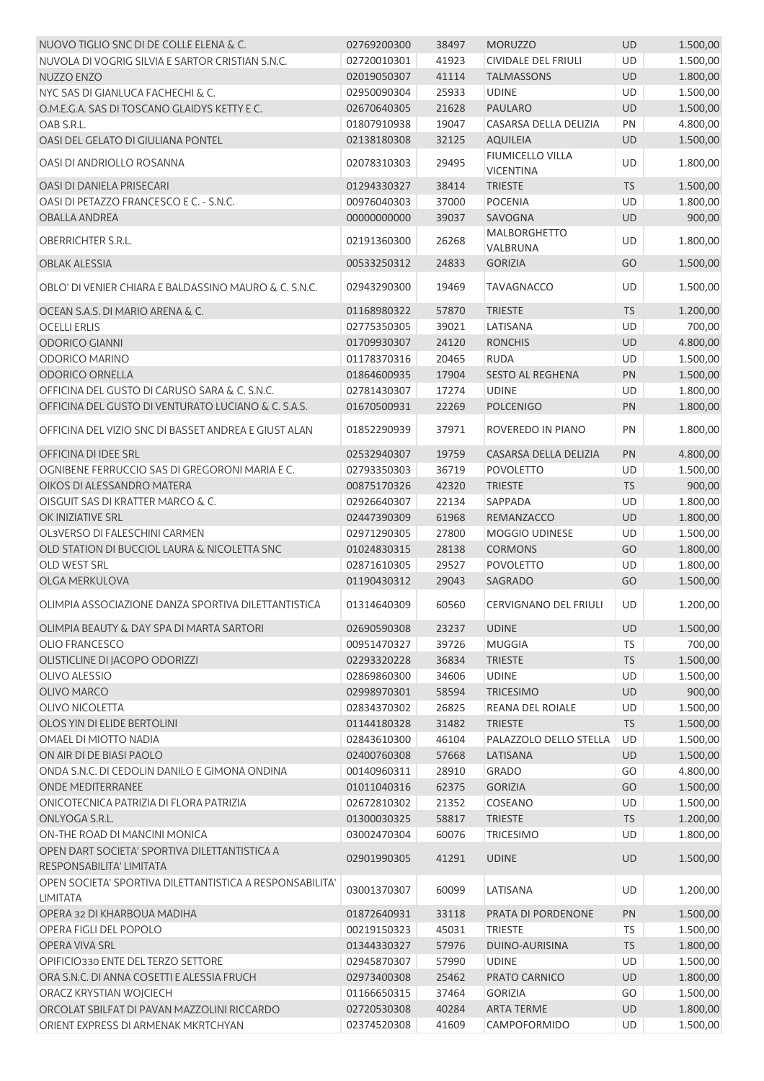| NUOVO TIGLIO SNC DI DE COLLE ELENA & C.                                     | 02769200300 | 38497 | <b>MORUZZO</b>                              | UD        | 1.500,00 |
|-----------------------------------------------------------------------------|-------------|-------|---------------------------------------------|-----------|----------|
| NUVOLA DI VOGRIG SILVIA E SARTOR CRISTIAN S.N.C.                            | 02720010301 | 41923 | CIVIDALE DEL FRIULI                         | UD        | 1.500,00 |
| NUZZO ENZO                                                                  | 02019050307 | 41114 | <b>TALMASSONS</b>                           | UD        | 1.800,00 |
| NYC SAS DI GIANLUCA FACHECHI & C.                                           | 02950090304 | 25933 | <b>UDINE</b>                                | <b>UD</b> | 1.500,00 |
| O.M.E.G.A. SAS DI TOSCANO GLAIDYS KETTY E C.                                | 02670640305 | 21628 | <b>PAULARO</b>                              | UD        | 1.500,00 |
| OAB S.R.L.                                                                  | 01807910938 | 19047 | CASARSA DELLA DELIZIA                       | PN        | 4.800,00 |
| OASI DEL GELATO DI GIULIANA PONTEL                                          | 02138180308 | 32125 | <b>AQUILEIA</b>                             | UD        | 1.500,00 |
| OASI DI ANDRIOLLO ROSANNA                                                   | 02078310303 | 29495 | <b>FIUMICELLO VILLA</b><br><b>VICENTINA</b> | UD        | 1.800,00 |
| OASI DI DANIELA PRISECARI                                                   | 01294330327 | 38414 | <b>TRIESTE</b>                              | <b>TS</b> | 1.500,00 |
| OASI DI PETAZZO FRANCESCO E C. - S.N.C.                                     | 00976040303 | 37000 | <b>POCENIA</b>                              | UD        | 1.800,00 |
| <b>OBALLA ANDREA</b>                                                        | 00000000000 | 39037 | SAVOGNA                                     | UD        | 900,00   |
| OBERRICHTER S.R.L.                                                          | 02191360300 | 26268 | <b>MALBORGHETTO</b>                         | UD        | 1.800,00 |
| <b>OBLAK ALESSIA</b>                                                        | 00533250312 | 24833 | VALBRUNA<br><b>GORIZIA</b>                  | GO        | 1.500,00 |
| OBLO' DI VENIER CHIARA E BALDASSINO MAURO & C. S.N.C.                       | 02943290300 | 19469 | <b>TAVAGNACCO</b>                           | UD        | 1.500,00 |
| OCEAN S.A.S. DI MARIO ARENA & C.                                            | 01168980322 | 57870 | <b>TRIESTE</b>                              | <b>TS</b> | 1.200,00 |
| <b>OCELLI ERLIS</b>                                                         | 02775350305 | 39021 | LATISANA                                    | UD        | 700,00   |
| <b>ODORICO GIANNI</b>                                                       | 01709930307 | 24120 | <b>RONCHIS</b>                              | UD        | 4.800,00 |
| <b>ODORICO MARINO</b>                                                       | 01178370316 | 20465 | <b>RUDA</b>                                 | UD        | 1.500,00 |
| <b>ODORICO ORNELLA</b>                                                      | 01864600935 | 17904 | <b>SESTO AL REGHENA</b>                     | PN        | 1.500,00 |
| OFFICINA DEL GUSTO DI CARUSO SARA & C. S.N.C.                               | 02781430307 | 17274 | <b>UDINE</b>                                | UD        | 1.800,00 |
| OFFICINA DEL GUSTO DI VENTURATO LUCIANO & C. S.A.S.                         | 01670500931 | 22269 | <b>POLCENIGO</b>                            | PN        | 1.800,00 |
|                                                                             |             |       |                                             |           |          |
| OFFICINA DEL VIZIO SNC DI BASSET ANDREA E GIUST ALAN                        | 01852290939 | 37971 | ROVEREDO IN PIANO                           | PN        | 1.800,00 |
| OFFICINA DI IDEE SRL                                                        | 02532940307 | 19759 | CASARSA DELLA DELIZIA                       | PN        | 4.800,00 |
| OGNIBENE FERRUCCIO SAS DI GREGORONI MARIA E C.                              | 02793350303 | 36719 | <b>POVOLETTO</b>                            | UD        | 1.500,00 |
| OIKOS DI ALESSANDRO MATERA                                                  | 00875170326 | 42320 | <b>TRIESTE</b>                              | <b>TS</b> | 900,00   |
| OISGUIT SAS DI KRATTER MARCO & C.                                           | 02926640307 | 22134 | SAPPADA                                     | UD        | 1.800,00 |
| OK INIZIATIVE SRL                                                           | 02447390309 | 61968 | REMANZACCO                                  | UD        | 1.800,00 |
| OL3VERSO DI FALESCHINI CARMEN                                               | 02971290305 | 27800 | <b>MOGGIO UDINESE</b>                       | UD        | 1.500,00 |
| OLD STATION DI BUCCIOL LAURA & NICOLETTA SNC                                | 01024830315 | 28138 | <b>CORMONS</b>                              | GO        | 1.800,00 |
| <b>OLD WEST SRL</b>                                                         | 02871610305 | 29527 | <b>POVOLETTO</b>                            | UD        | 1.800,00 |
| OLGA MERKULOVA                                                              | 01190430312 | 29043 | SAGRADO                                     | GO        | 1.500,00 |
| OLIMPIA ASSOCIAZIONE DANZA SPORTIVA DILETTANTISTICA                         | 01314640309 | 60560 | CERVIGNANO DEL FRIULI                       | UD        | 1.200,00 |
| OLIMPIA BEAUTY & DAY SPA DI MARTA SARTORI                                   | 02690590308 | 23237 | <b>UDINE</b>                                | UD        | 1.500,00 |
| <b>OLIO FRANCESCO</b>                                                       | 00951470327 | 39726 | <b>MUGGIA</b>                               | TS.       | 700,00   |
| OLISTICLINE DI JACOPO ODORIZZI                                              | 02293320228 | 36834 | <b>TRIESTE</b>                              | <b>TS</b> | 1.500,00 |
| <b>OLIVO ALESSIO</b>                                                        | 02869860300 | 34606 | <b>UDINE</b>                                | UD        | 1.500,00 |
| OLIVO MARCO                                                                 | 02998970301 | 58594 | <b>TRICESIMO</b>                            | UD        | 900,00   |
| <b>OLIVO NICOLETTA</b>                                                      | 02834370302 | 26825 | <b>REANA DEL ROIALE</b>                     | UD        | 1.500,00 |
| OLOS YIN DI ELIDE BERTOLINI                                                 | 01144180328 | 31482 | <b>TRIESTE</b>                              | <b>TS</b> | 1.500,00 |
| OMAEL DI MIOTTO NADIA                                                       | 02843610300 | 46104 | PALAZZOLO DELLO STELLA                      | UD        | 1.500,00 |
| ON AIR DI DE BIASI PAOLO                                                    | 02400760308 | 57668 | LATISANA                                    | UD        | 1.500,00 |
| ONDA S.N.C. DI CEDOLIN DANILO E GIMONA ONDINA                               | 00140960311 | 28910 | <b>GRADO</b>                                | GO        | 4.800,00 |
| <b>ONDE MEDITERRANEE</b>                                                    | 01011040316 | 62375 | <b>GORIZIA</b>                              | GO        | 1.500,00 |
| ONICOTECNICA PATRIZIA DI FLORA PATRIZIA                                     | 02672810302 | 21352 | COSEANO                                     | UD        | 1.500,00 |
| ONLYOGA S.R.L.                                                              | 01300030325 | 58817 | <b>TRIESTE</b>                              | <b>TS</b> | 1.200,00 |
| ON-THE ROAD DI MANCINI MONICA                                               | 03002470304 | 60076 | <b>TRICESIMO</b>                            | UD        | 1.800,00 |
| OPEN DART SOCIETA' SPORTIVA DILETTANTISTICA A                               | 02901990305 | 41291 | <b>UDINE</b>                                | UD        | 1.500,00 |
| RESPONSABILITA' LIMITATA                                                    |             |       |                                             |           |          |
| OPEN SOCIETA' SPORTIVA DILETTANTISTICA A RESPONSABILITA'<br><b>LIMITATA</b> | 03001370307 | 60099 | LATISANA                                    | UD        | 1.200,00 |
| OPERA 32 DI KHARBOUA MADIHA                                                 | 01872640931 | 33118 | PRATA DI PORDENONE                          | PN        | 1.500,00 |
| OPERA FIGLI DEL POPOLO                                                      | 00219150323 | 45031 | <b>TRIESTE</b>                              | TS        | 1.500,00 |
| OPERA VIVA SRL                                                              | 01344330327 | 57976 | DUINO-AURISINA                              | <b>TS</b> | 1.800,00 |
| OPIFICIO330 ENTE DEL TERZO SETTORE                                          | 02945870307 | 57990 | <b>UDINE</b>                                | UD        | 1.500,00 |
| ORA S.N.C. DI ANNA COSETTI E ALESSIA FRUCH                                  | 02973400308 | 25462 | PRATO CARNICO                               | UD        | 1.800,00 |
| ORACZ KRYSTIAN WOJCIECH                                                     | 01166650315 | 37464 | <b>GORIZIA</b>                              | GO        | 1.500,00 |
| ORCOLAT SBILFAT DI PAVAN MAZZOLINI RICCARDO                                 | 02720530308 | 40284 | <b>ARTA TERME</b>                           | UD        | 1.800,00 |
| ORIENT EXPRESS DI ARMENAK MKRTCHYAN                                         | 02374520308 | 41609 | CAMPOFORMIDO                                | UD        | 1.500,00 |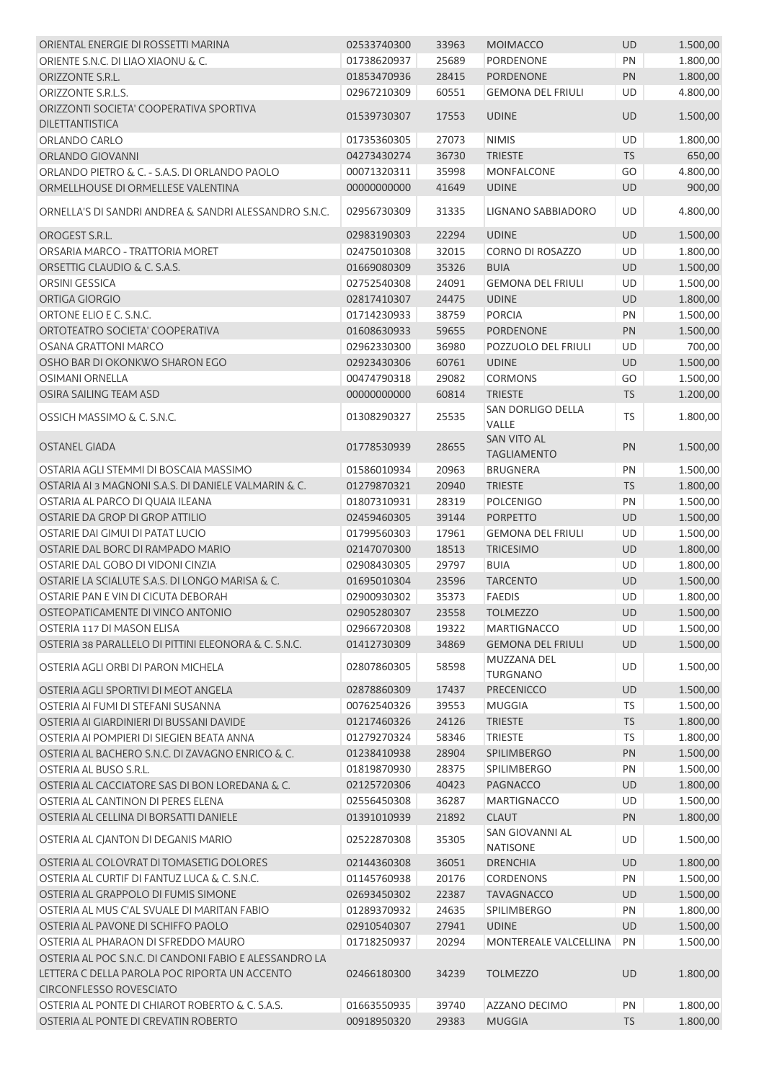| ORIENTAL ENERGIE DI ROSSETTI MARINA                                             | 02533740300                | 33963 | <b>MOIMACCO</b>                          | <b>UD</b> | 1.500,00             |
|---------------------------------------------------------------------------------|----------------------------|-------|------------------------------------------|-----------|----------------------|
| ORIENTE S.N.C. DI LIAO XIAONU & C.                                              | 01738620937                | 25689 | PORDENONE                                | PN        | 1.800,00             |
| ORIZZONTE S.R.L.                                                                | 01853470936                | 28415 | <b>PORDENONE</b>                         | PN        | 1.800,00             |
| ORIZZONTE S.R.L.S.                                                              | 02967210309                | 60551 | <b>GEMONA DEL FRIULI</b>                 | UD        | 4.800,00             |
| ORIZZONTI SOCIETA' COOPERATIVA SPORTIVA                                         |                            |       |                                          |           |                      |
| <b>DILETTANTISTICA</b>                                                          | 01539730307                | 17553 | <b>UDINE</b>                             | <b>UD</b> | 1.500,00             |
| ORLANDO CARLO                                                                   | 01735360305                | 27073 | <b>NIMIS</b>                             | UD        | 1.800,00             |
| ORLANDO GIOVANNI                                                                | 04273430274                | 36730 | <b>TRIESTE</b>                           | <b>TS</b> | 650,00               |
| ORLANDO PIETRO & C. - S.A.S. DI ORLANDO PAOLO                                   | 00071320311                | 35998 | MONFALCONE                               | GO        | 4.800,00             |
| ORMELLHOUSE DI ORMELLESE VALENTINA                                              | 00000000000                | 41649 | <b>UDINE</b>                             | UD        | 900,00               |
| ORNELLA'S DI SANDRI ANDREA & SANDRI ALESSANDRO S.N.C.                           | 02956730309                | 31335 | <b>LIGNANO SABBIADORO</b>                | UD        | 4.800,00             |
| OROGEST S.R.L.                                                                  | 02983190303                | 22294 | <b>UDINE</b>                             | UD        | 1.500,00             |
| ORSARIA MARCO - TRATTORIA MORET                                                 | 02475010308                | 32015 | <b>CORNO DI ROSAZZO</b>                  | UD        | 1.800,00             |
| ORSETTIG CLAUDIO & C. S.A.S.                                                    | 01669080309                | 35326 | <b>BUIA</b>                              | <b>UD</b> | 1.500,00             |
| ORSINI GESSICA                                                                  | 02752540308                | 24091 | <b>GEMONA DEL FRIULI</b>                 | UD        | 1.500,00             |
| ORTIGA GIORGIO                                                                  | 02817410307                | 24475 | <b>UDINE</b>                             | <b>UD</b> | 1.800,00             |
| ORTONE ELIO E C. S.N.C.                                                         | 01714230933                | 38759 | <b>PORCIA</b>                            | PN        | 1.500,00             |
|                                                                                 |                            |       |                                          |           | 1.500,00             |
| ORTOTEATRO SOCIETA' COOPERATIVA                                                 | 01608630933                | 59655 | <b>PORDENONE</b>                         | PN        |                      |
| <b>OSANA GRATTONI MARCO</b>                                                     | 02962330300                | 36980 | POZZUOLO DEL FRIULI                      | UD        | 700,00               |
| OSHO BAR DI OKONKWO SHARON EGO                                                  | 02923430306                | 60761 | <b>UDINE</b>                             | UD        | 1.500,00             |
| <b>OSIMANI ORNELLA</b>                                                          | 00474790318                | 29082 | <b>CORMONS</b>                           | GO        | 1.500,00             |
| OSIRA SAILING TEAM ASD                                                          | 00000000000                | 60814 | <b>TRIESTE</b>                           | <b>TS</b> | 1.200,00             |
| OSSICH MASSIMO & C. S.N.C.                                                      | 01308290327                | 25535 | SAN DORLIGO DELLA<br>VALLE               | <b>TS</b> | 1.800,00             |
| OSTANEL GIADA                                                                   | 01778530939                | 28655 | <b>SAN VITO AL</b><br><b>TAGLIAMENTO</b> | PN        | 1.500,00             |
| OSTARIA AGLI STEMMI DI BOSCAIA MASSIMO                                          | 01586010934                | 20963 | <b>BRUGNERA</b>                          | PN        | 1.500,00             |
| OSTARIA AI 3 MAGNONI S.A.S. DI DANIELE VALMARIN & C.                            | 01279870321                | 20940 | <b>TRIESTE</b>                           | <b>TS</b> | 1.800,00             |
| OSTARIA AL PARCO DI QUAIA ILEANA                                                | 01807310931                | 28319 | <b>POLCENIGO</b>                         | PN        | 1.500,00             |
| OSTARIE DA GROP DI GROP ATTILIO                                                 | 02459460305                | 39144 | <b>PORPETTO</b>                          | <b>UD</b> | 1.500,00             |
| OSTARIE DAI GIMUI DI PATAT LUCIO                                                | 01799560303                | 17961 | <b>GEMONA DEL FRIULI</b>                 | UD        | 1.500,00             |
| OSTARIE DAL BORC DI RAMPADO MARIO                                               | 02147070300                | 18513 | <b>TRICESIMO</b>                         | <b>UD</b> | 1.800,00             |
| OSTARIE DAL GOBO DI VIDONI CINZIA                                               | 02908430305                | 29797 | <b>BUIA</b>                              | UD        | 1.800,00             |
| OSTARIE LA SCIALUTE S.A.S. DI LONGO MARISA & C.                                 | 01695010304                | 23596 | <b>TARCENTO</b>                          | <b>UD</b> | 1.500,00             |
| OSTARIE PAN E VIN DI CICUTA DEBORAH                                             | 02900930302                | 35373 | <b>FAEDIS</b>                            | UD        | 1.800,00             |
| OSTEOPATICAMENTE DI VINCO ANTONIO                                               | 02905280307                | 23558 | <b>TOLMEZZO</b>                          | UD.       | 1.500,00             |
| OSTERIA 117 DI MASON ELISA                                                      | 02966720308                | 19322 | <b>MARTIGNACCO</b>                       | UD        | 1.500,00             |
| OSTERIA 38 PARALLELO DI PITTINI ELEONORA & C. S.N.C.                            | 01412730309                | 34869 | <b>GEMONA DEL FRIULI</b>                 | <b>UD</b> | 1.500,00             |
|                                                                                 |                            |       | MUZZANA DEL                              |           |                      |
| OSTERIA AGLI ORBI DI PARON MICHELA                                              | 02807860305                | 58598 | <b>TURGNANO</b>                          | UD        | 1.500,00             |
| OSTERIA AGLI SPORTIVI DI MEOT ANGELA                                            | 02878860309                | 17437 | <b>PRECENICCO</b>                        | UD        | 1.500,00             |
| OSTERIA AI FUMI DI STEFANI SUSANNA                                              | 00762540326                | 39553 | <b>MUGGIA</b>                            | <b>TS</b> | 1.500,00             |
| OSTERIA AI GIARDINIERI DI BUSSANI DAVIDE                                        | 01217460326                | 24126 | <b>TRIESTE</b>                           | <b>TS</b> | 1.800,00             |
| OSTERIA AI POMPIERI DI SIEGIEN BEATA ANNA                                       | 01279270324                | 58346 | <b>TRIESTE</b>                           | <b>TS</b> | 1.800,00             |
| OSTERIA AL BACHERO S.N.C. DI ZAVAGNO ENRICO & C.                                | 01238410938                | 28904 | SPILIMBERGO                              | PN        | 1.500,00             |
| OSTERIA AL BUSO S.R.L.                                                          | 01819870930                | 28375 | SPILIMBERGO                              | PN        | 1.500,00             |
| OSTERIA AL CACCIATORE SAS DI BON LOREDANA & C.                                  | 02125720306                | 40423 | PAGNACCO                                 | UD        | 1.800,00             |
| OSTERIA AL CANTINON DI PERES ELENA                                              |                            | 36287 | <b>MARTIGNACCO</b>                       | UD        |                      |
| OSTERIA AL CELLINA DI BORSATTI DANIELE                                          | 02556450308<br>01391010939 | 21892 | <b>CLAUT</b>                             | PN        | 1.500,00<br>1.800,00 |
| OSTERIA AL CJANTON DI DEGANIS MARIO                                             | 02522870308                | 35305 | SAN GIOVANNI AL                          | UD        | 1.500,00             |
| OSTERIA AL COLOVRAT DI TOMASETIG DOLORES                                        | 02144360308                | 36051 | <b>NATISONE</b><br><b>DRENCHIA</b>       | UD        | 1.800,00             |
| OSTERIA AL CURTIF DI FANTUZ LUCA & C. S.N.C.                                    | 01145760938                | 20176 | <b>CORDENONS</b>                         | PN        | 1.500,00             |
| OSTERIA AL GRAPPOLO DI FUMIS SIMONE                                             | 02693450302                | 22387 | <b>TAVAGNACCO</b>                        | UD        | 1.500,00             |
| OSTERIA AL MUS C'AL SVUALE DI MARITAN FABIO                                     | 01289370932                | 24635 | SPILIMBERGO                              | PN        | 1.800,00             |
| OSTERIA AL PAVONE DI SCHIFFO PAOLO                                              | 02910540307                | 27941 | <b>UDINE</b>                             | <b>UD</b> | 1.500,00             |
| OSTERIA AL PHARAON DI SFREDDO MAURO                                             | 01718250937                | 20294 | MONTEREALE VALCELLINA                    | PN        | 1.500,00             |
| OSTERIA AL POC S.N.C. DI CANDONI FABIO E ALESSANDRO LA                          |                            |       |                                          |           |                      |
| LETTERA C DELLA PAROLA POC RIPORTA UN ACCENTO<br><b>CIRCONFLESSO ROVESCIATO</b> | 02466180300                | 34239 | <b>TOLMEZZO</b>                          | <b>UD</b> | 1.800,00             |
| OSTERIA AL PONTE DI CHIAROT ROBERTO & C. S.A.S.                                 | 01663550935                | 39740 | AZZANO DECIMO                            | PN        | 1.800,00             |
| OSTERIA AL PONTE DI CREVATIN ROBERTO                                            | 00918950320                | 29383 | <b>MUGGIA</b>                            | <b>TS</b> | 1.800,00             |
|                                                                                 |                            |       |                                          |           |                      |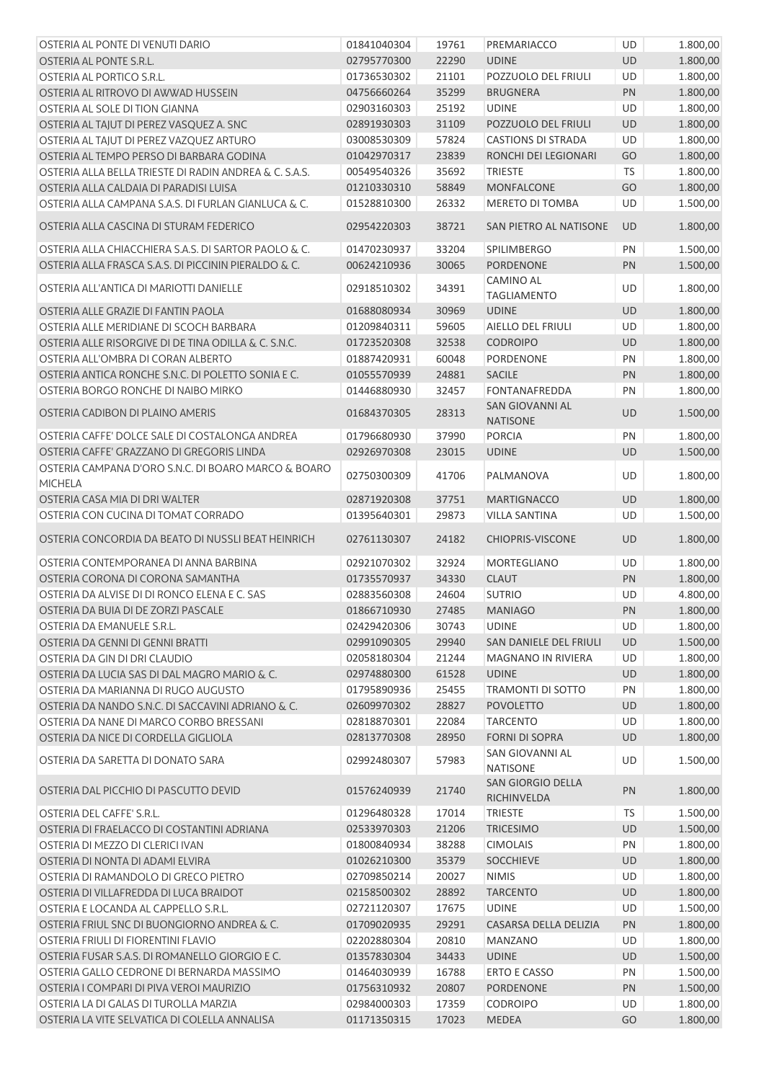| OSTERIA AL PONTE DI VENUTI DARIO                                      | 01841040304 | 19761 | PREMARIACCO                        | <b>UD</b> | 1.800,00             |
|-----------------------------------------------------------------------|-------------|-------|------------------------------------|-----------|----------------------|
| OSTERIA AL PONTE S.R.L.                                               | 02795770300 | 22290 | <b>UDINE</b>                       | <b>UD</b> | 1.800,00             |
| OSTERIA AL PORTICO S.R.L.                                             | 01736530302 | 21101 | POZZUOLO DEL FRIULI                | UD        | 1.800,00             |
| OSTERIA AL RITROVO DI AWWAD HUSSEIN                                   | 04756660264 | 35299 | <b>BRUGNERA</b>                    | PN        | 1.800,00             |
| OSTERIA AL SOLE DI TION GIANNA                                        | 02903160303 | 25192 | <b>UDINE</b>                       | <b>UD</b> | 1.800,00             |
| OSTERIA AL TAJUT DI PEREZ VASQUEZ A. SNC                              | 02891930303 | 31109 | POZZUOLO DEL FRIULI                | <b>UD</b> | 1.800,00             |
| OSTERIA AL TAJUT DI PEREZ VAZQUEZ ARTURO                              | 03008530309 | 57824 | <b>CASTIONS DI STRADA</b>          | UD        | 1.800,00             |
| OSTERIA AL TEMPO PERSO DI BARBARA GODINA                              | 01042970317 | 23839 | RONCHI DEI LEGIONARI               | GO        | 1.800,00             |
| OSTERIA ALLA BELLA TRIESTE DI RADIN ANDREA & C. S.A.S.                | 00549540326 | 35692 | <b>TRIESTE</b>                     | <b>TS</b> | 1.800,00             |
| OSTERIA ALLA CALDAIA DI PARADISI LUISA                                | 01210330310 | 58849 | <b>MONFALCONE</b>                  | GO        | 1.800,00             |
| OSTERIA ALLA CAMPANA S.A.S. DI FURLAN GIANLUCA & C.                   | 01528810300 | 26332 | MERETO DI TOMBA                    | UD        | 1.500,00             |
| OSTERIA ALLA CASCINA DI STURAM FEDERICO                               | 02954220303 | 38721 | SAN PIETRO AL NATISONE             | <b>UD</b> | 1.800,00             |
| OSTERIA ALLA CHIACCHIERA S.A.S. DI SARTOR PAOLO & C.                  | 01470230937 | 33204 | <b>SPILIMBERGO</b>                 | PN        | 1.500,00             |
| OSTERIA ALLA FRASCA S.A.S. DI PICCININ PIERALDO & C.                  | 00624210936 | 30065 | <b>PORDENONE</b>                   | PN        | 1.500,00             |
|                                                                       |             |       | <b>CAMINO AL</b>                   |           |                      |
| OSTERIA ALL'ANTICA DI MARIOTTI DANIELLE                               | 02918510302 | 34391 | <b>TAGLIAMENTO</b>                 | UD        | 1.800,00             |
| OSTERIA ALLE GRAZIE DI FANTIN PAOLA                                   | 01688080934 | 30969 | <b>UDINE</b>                       | UD        | 1.800,00             |
| OSTERIA ALLE MERIDIANE DI SCOCH BARBARA                               | 01209840311 | 59605 | AIELLO DEL FRIULI                  | UD        | 1.800,00             |
| OSTERIA ALLE RISORGIVE DI DE TINA ODILLA & C. S.N.C.                  | 01723520308 | 32538 | <b>CODROIPO</b>                    | UD        | 1.800,00             |
| OSTERIA ALL'OMBRA DI CORAN ALBERTO                                    | 01887420931 | 60048 | PORDENONE                          | PN        | 1.800,00             |
| OSTERIA ANTICA RONCHE S.N.C. DI POLETTO SONIA E C.                    | 01055570939 | 24881 | <b>SACILE</b>                      | PN        | 1.800,00             |
| OSTERIA BORGO RONCHE DI NAIBO MIRKO                                   | 01446880930 | 32457 | <b>FONTANAFREDDA</b>               | PN        | 1.800,00             |
| OSTERIA CADIBON DI PLAINO AMERIS                                      | 01684370305 | 28313 | SAN GIOVANNI AL<br><b>NATISONE</b> | UD        | 1.500,00             |
| OSTERIA CAFFE' DOLCE SALE DI COSTALONGA ANDREA                        | 01796680930 | 37990 | <b>PORCIA</b>                      | PN        | 1.800,00             |
| OSTERIA CAFFE' GRAZZANO DI GREGORIS LINDA                             | 02926970308 | 23015 | <b>UDINE</b>                       | UD        | 1.500,00             |
| OSTERIA CAMPANA D'ORO S.N.C. DI BOARO MARCO & BOARO<br><b>MICHELA</b> | 02750300309 | 41706 | PALMANOVA                          | UD        | 1.800,00             |
| OSTERIA CASA MIA DI DRI WALTER                                        | 02871920308 | 37751 | <b>MARTIGNACCO</b>                 | <b>UD</b> | 1.800,00             |
| OSTERIA CON CUCINA DI TOMAT CORRADO                                   | 01395640301 | 29873 | <b>VILLA SANTINA</b>               | UD        | 1.500,00             |
| OSTERIA CONCORDIA DA BEATO DI NUSSLI BEAT HEINRICH                    | 02761130307 | 24182 | <b>CHIOPRIS-VISCONE</b>            | UD        | 1.800,00             |
| OSTERIA CONTEMPORANEA DI ANNA BARBINA                                 | 02921070302 | 32924 | MORTEGLIANO                        | UD        | 1.800,00             |
| OSTERIA CORONA DI CORONA SAMANTHA                                     | 01735570937 | 34330 | <b>CLAUT</b>                       | PN        | 1.800,00             |
| OSTERIA DA ALVISE DI DI RONCO ELENA E C. SAS                          | 02883560308 | 24604 | <b>SUTRIO</b>                      | UD        | 4.800,00             |
| OSTERIA DA BUIA DI DE ZORZI PASCALE                                   | 01866710930 | 27485 | <b>MANIAGO</b>                     | PN        | 1.800,00             |
| OSTERIA DA EMANUELE S.R.L.                                            | 02429420306 | 30743 | <b>UDINE</b>                       | UD        | 1.800,00             |
| OSTERIA DA GENNI DI GENNI BRATTI                                      | 02991090305 | 29940 | SAN DANIELE DEL FRIULI             | UD        | 1.500,00             |
| OSTERIA DA GIN DI DRI CLAUDIO                                         | 02058180304 | 21244 | <b>MAGNANO IN RIVIERA</b>          | UD        | 1.800,00             |
| OSTERIA DA LUCIA SAS DI DAL MAGRO MARIO & C.                          | 02974880300 | 61528 | <b>UDINE</b>                       | <b>UD</b> | 1.800,00             |
| OSTERIA DA MARIANNA DI RUGO AUGUSTO                                   | 01795890936 | 25455 | TRAMONTI DI SOTTO                  | PN        | 1.800,00             |
| OSTERIA DA NANDO S.N.C. DI SACCAVINI ADRIANO & C.                     | 02609970302 | 28827 | <b>POVOLETTO</b>                   | <b>UD</b> | 1.800,00             |
| OSTERIA DA NANE DI MARCO CORBO BRESSANI                               | 02818870301 | 22084 | <b>TARCENTO</b>                    | UD        | 1.800,00             |
| OSTERIA DA NICE DI CORDELLA GIGLIOLA                                  | 02813770308 | 28950 | <b>FORNI DI SOPRA</b>              | UD        | 1.800,00             |
| OSTERIA DA SARETTA DI DONATO SARA                                     | 02992480307 | 57983 | SAN GIOVANNI AL<br><b>NATISONE</b> | UD        | 1.500,00             |
| OSTERIA DAL PICCHIO DI PASCUTTO DEVID                                 | 01576240939 | 21740 | SAN GIORGIO DELLA<br>RICHINVELDA   | PN        | 1.800,00             |
| OSTERIA DEL CAFFE' S.R.L.                                             | 01296480328 | 17014 | <b>TRIESTE</b>                     | <b>TS</b> | 1.500,00             |
| OSTERIA DI FRAELACCO DI COSTANTINI ADRIANA                            | 02533970303 | 21206 | <b>TRICESIMO</b>                   | UD        | 1.500,00             |
| OSTERIA DI MEZZO DI CLERICI IVAN                                      | 01800840934 | 38288 | <b>CIMOLAIS</b>                    | PN        | 1.800,00             |
| OSTERIA DI NONTA DI ADAMI ELVIRA                                      | 01026210300 | 35379 | <b>SOCCHIEVE</b>                   | UD        | 1.800,00             |
| OSTERIA DI RAMANDOLO DI GRECO PIETRO                                  | 02709850214 | 20027 | <b>NIMIS</b>                       | UD        | 1.800,00             |
| OSTERIA DI VILLAFREDDA DI LUCA BRAIDOT                                | 02158500302 | 28892 | <b>TARCENTO</b>                    | UD        | 1.800,00             |
| OSTERIA E LOCANDA AL CAPPELLO S.R.L.                                  | 02721120307 | 17675 | <b>UDINE</b>                       | UD        | 1.500,00             |
| OSTERIA FRIUL SNC DI BUONGIORNO ANDREA & C.                           | 01709020935 | 29291 | CASARSA DELLA DELIZIA              | PN        |                      |
| OSTERIA FRIULI DI FIORENTINI FLAVIO                                   |             |       |                                    |           | 1.800,00             |
|                                                                       | 02202880304 | 20810 | <b>MANZANO</b>                     | UD        | 1.800,00             |
| OSTERIA FUSAR S.A.S. DI ROMANELLO GIORGIO E C.                        | 01357830304 | 34433 | <b>UDINE</b>                       | <b>UD</b> | 1.500,00             |
| OSTERIA GALLO CEDRONE DI BERNARDA MASSIMO                             | 01464030939 | 16788 | <b>ERTO E CASSO</b>                | PN        | 1.500,00             |
| OSTERIA I COMPARI DI PIVA VEROI MAURIZIO                              | 01756310932 | 20807 | PORDENONE                          | PN        | 1.500,00             |
| OSTERIA LA DI GALAS DI TUROLLA MARZIA                                 | 02984000303 | 17359 | <b>CODROIPO</b>                    | UD        | 1.800,00<br>1.800,00 |
| OSTERIA LA VITE SELVATICA DI COLELLA ANNALISA                         | 01171350315 | 17023 | MEDEA                              | GO        |                      |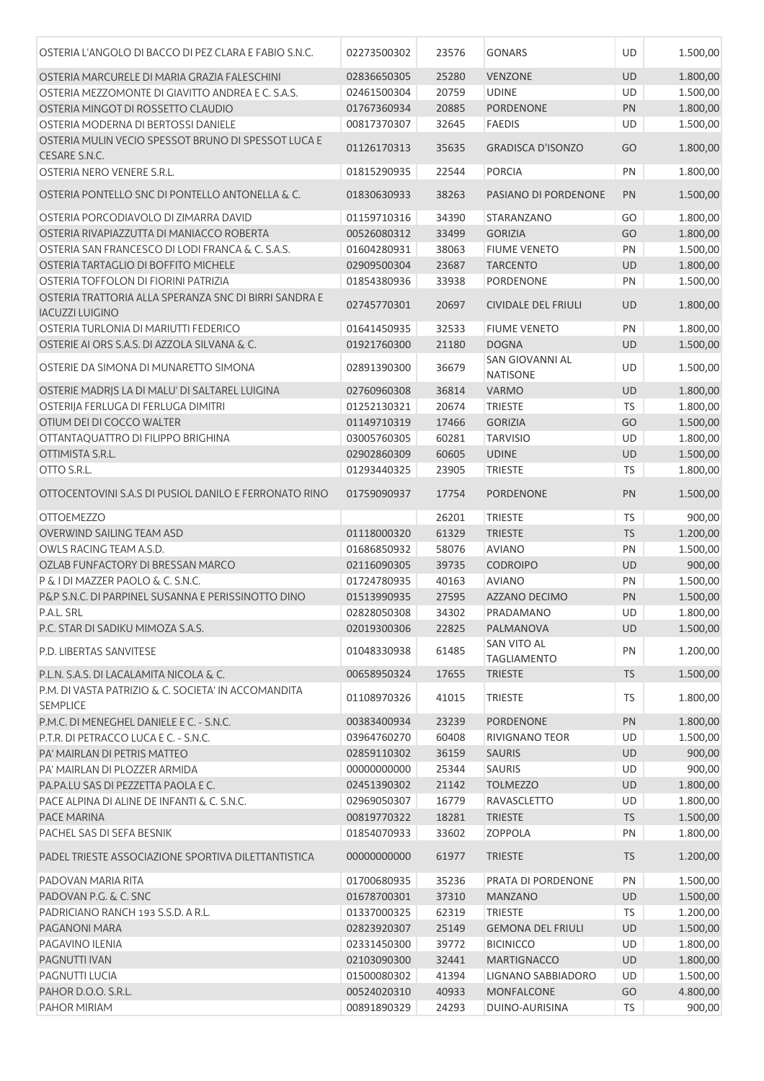| OSTERIA L'ANGOLO DI BACCO DI PEZ CLARA E FABIO S.N.C.                           | 02273500302                | 23576          | <b>GONARS</b>                       | UD              | 1.500,00           |
|---------------------------------------------------------------------------------|----------------------------|----------------|-------------------------------------|-----------------|--------------------|
| OSTERIA MARCURELE DI MARIA GRAZIA FALESCHINI                                    | 02836650305                | 25280          | <b>VENZONE</b>                      | <b>UD</b>       | 1.800,00           |
| OSTERIA MEZZOMONTE DI GIAVITTO ANDREA E C. S.A.S.                               | 02461500304                | 20759          | <b>UDINE</b>                        | UD              | 1.500,00           |
| OSTERIA MINGOT DI ROSSETTO CLAUDIO                                              | 01767360934                | 20885          | PORDENONE                           | PN              | 1.800,00           |
| OSTERIA MODERNA DI BERTOSSI DANIELE                                             | 00817370307                | 32645          | <b>FAEDIS</b>                       | UD              | 1.500,00           |
| OSTERIA MULIN VECIO SPESSOT BRUNO DI SPESSOT LUCA E<br>CESARE S.N.C.            | 01126170313                | 35635          | <b>GRADISCA D'ISONZO</b>            | GO              | 1.800,00           |
| OSTERIA NERO VENERE S.R.L.                                                      | 01815290935                | 22544          | <b>PORCIA</b>                       | PN              | 1.800,00           |
| OSTERIA PONTELLO SNC DI PONTELLO ANTONELLA & C.                                 | 01830630933                | 38263          | PASIANO DI PORDENONE                | PN              | 1.500,00           |
| OSTERIA PORCODIAVOLO DI ZIMARRA DAVID                                           | 01159710316                | 34390          | STARANZANO                          | GO              | 1.800,00           |
| OSTERIA RIVAPIAZZUTTA DI MANIACCO ROBERTA                                       | 00526080312                | 33499          | <b>GORIZIA</b>                      | GO              | 1.800,00           |
| OSTERIA SAN FRANCESCO DI LODI FRANCA & C. S.A.S.                                | 01604280931                | 38063          | <b>FIUME VENETO</b>                 | PN              | 1.500,00           |
| OSTERIA TARTAGLIO DI BOFFITO MICHELE                                            | 02909500304                | 23687          | <b>TARCENTO</b>                     | UD              | 1.800,00           |
| OSTERIA TOFFOLON DI FIORINI PATRIZIA                                            | 01854380936                | 33938          | PORDENONE                           | PN              | 1.500,00           |
| OSTERIA TRATTORIA ALLA SPERANZA SNC DI BIRRI SANDRA E<br><b>IACUZZI LUIGINO</b> | 02745770301                | 20697          | <b>CIVIDALE DEL FRIULI</b>          | <b>UD</b>       | 1.800,00           |
| OSTERIA TURLONIA DI MARIUTTI FEDERICO                                           | 01641450935                | 32533          | <b>FIUME VENETO</b>                 | PN              | 1.800,00           |
| OSTERIE AI ORS S.A.S. DI AZZOLA SILVANA & C.                                    | 01921760300                | 21180          | <b>DOGNA</b>                        | <b>UD</b>       | 1.500,00           |
| OSTERIE DA SIMONA DI MUNARETTO SIMONA                                           | 02891390300                | 36679          | <b>SAN GIOVANNI AL</b><br>NATISONE  | UD              | 1.500,00           |
| OSTERIE MADRIS LA DI MALU' DI SALTAREL LUIGINA                                  | 02760960308                | 36814          | <b>VARMO</b>                        | UD              | 1.800,00           |
| OSTERIIA FERLUGA DI FERLUGA DIMITRI                                             | 01252130321                | 20674          | <b>TRIESTE</b>                      | <b>TS</b>       | 1.800,00           |
| OTIUM DEI DI COCCO WALTER                                                       | 01149710319                | 17466          | <b>GORIZIA</b>                      | GO              | 1.500,00           |
| OTTANTAQUATTRO DI FILIPPO BRIGHINA                                              | 03005760305                | 60281          | <b>TARVISIO</b>                     | UD              | 1.800,00           |
| OTTIMISTA S.R.L.                                                                | 02902860309                | 60605          | <b>UDINE</b>                        | UD              | 1.500,00           |
| OTTO S.R.L.                                                                     | 01293440325                | 23905          | <b>TRIESTE</b>                      | TS              | 1.800,00           |
| OTTOCENTOVINI S.A.S DI PUSIOL DANILO E FERRONATO RINO                           | 01759090937                | 17754          | <b>PORDENONE</b>                    | PN              | 1.500,00           |
| <b>OTTOEMEZZO</b>                                                               |                            | 26201          | <b>TRIESTE</b>                      | <b>TS</b>       | 900,00             |
| OVERWIND SAILING TEAM ASD                                                       | 01118000320                | 61329          | <b>TRIESTE</b>                      | <b>TS</b>       | 1.200,00           |
| OWLS RACING TEAM A.S.D.                                                         | 01686850932                | 58076          | <b>AVIANO</b>                       | PN              | 1.500,00           |
| OZLAB FUNFACTORY DI BRESSAN MARCO                                               | 02116090305                | 39735          | <b>CODROIPO</b>                     | UD              | 900,00             |
| P & I DI MAZZER PAOLO & C. S.N.C.                                               | 01724780935                | 40163          | <b>AVIANO</b>                       | PN              | 1.500,00           |
| P&P S.N.C. DI PARPINEL SUSANNA E PERISSINOTTO DINO                              | 01513990935                | 27595          | <b>AZZANO DECIMO</b>                | PN              | 1.500,00           |
| P.A.L. SRL                                                                      | 02828050308                | 34302          | PRADAMANO                           | UD              | 1.800,00           |
| P.C. STAR DI SADIKU MIMOZA S.A.S.                                               | 02019300306                | 22825          | PALMANOVA                           | UD              | 1.500,00           |
| P.D. LIBERTAS SANVITESE                                                         | 01048330938                | 61485          | SAN VITO AL<br><b>TAGLIAMENTO</b>   | PN              | 1.200,00           |
| P.L.N. S.A.S. DI LACALAMITA NICOLA & C.                                         | 00658950324                | 17655          | <b>TRIESTE</b>                      | <b>TS</b>       | 1.500,00           |
| P.M. DI VASTA PATRIZIO & C. SOCIETA' IN ACCOMANDITA<br><b>SEMPLICE</b>          | 01108970326                | 41015          | <b>TRIESTE</b>                      | TS.             | 1.800,00           |
| P.M.C. DI MENEGHEL DANIELE E C. - S.N.C.                                        | 00383400934                | 23239          | PORDENONE                           | PN              | 1.800,00           |
| P.T.R. DI PETRACCO LUCA E C. - S.N.C.                                           | 03964760270                | 60408          | RIVIGNANO TEOR                      | UD              | 1.500,00           |
| PA' MAIRLAN DI PETRIS MATTEO                                                    | 02859110302                | 36159          | <b>SAURIS</b>                       | <b>UD</b>       | 900,00             |
| PA' MAIRLAN DI PLOZZER ARMIDA                                                   | 00000000000                | 25344          | <b>SAURIS</b>                       | UD              | 900,00             |
| PA.PA.LU SAS DI PEZZETTA PAOLA E C.                                             | 02451390302                | 21142          | <b>TOLMEZZO</b>                     | <b>UD</b>       | 1.800,00           |
| PACE ALPINA DI ALINE DE INFANTI & C. S.N.C.                                     | 02969050307                | 16779          | RAVASCLETTO                         | UD              | 1.800,00           |
| PACE MARINA                                                                     | 00819770322                | 18281          | <b>TRIESTE</b>                      | <b>TS</b>       | 1.500,00           |
| PACHEL SAS DI SEFA BESNIK                                                       | 01854070933                | 33602          | <b>ZOPPOLA</b>                      | PN              | 1.800,00           |
| PADEL TRIESTE ASSOCIAZIONE SPORTIVA DILETTANTISTICA                             | 00000000000                | 61977          | <b>TRIESTE</b>                      | <b>TS</b>       | 1.200,00           |
| PADOVAN MARIA RITA                                                              | 01700680935                | 35236          | PRATA DI PORDENONE                  | PN              | 1.500,00           |
| PADOVAN P.G. & C. SNC                                                           | 01678700301                | 37310          | <b>MANZANO</b>                      | <b>UD</b>       | 1.500,00           |
| PADRICIANO RANCH 193 S.S.D. A R.L.                                              | 01337000325                | 62319          | <b>TRIESTE</b>                      | <b>TS</b>       | 1.200,00           |
| PAGANONI MARA                                                                   | 02823920307                | 25149          | <b>GEMONA DEL FRIULI</b>            | <b>UD</b>       | 1.500,00           |
| PAGAVINO ILENIA                                                                 | 02331450300                | 39772          | <b>BICINICCO</b>                    | UD              | 1.800,00           |
| PAGNUTTI IVAN                                                                   | 02103090300                | 32441          | <b>MARTIGNACCO</b>                  | UD              | 1.800,00           |
| PAGNUTTI LUCIA                                                                  | 01500080302                | 41394          | LIGNANO SABBIADORO                  | UD              | 1.500,00           |
| PAHOR D.O.O. S.R.L.<br>PAHOR MIRIAM                                             | 00524020310<br>00891890329 | 40933<br>24293 | <b>MONFALCONE</b><br>DUINO-AURISINA | GO<br><b>TS</b> | 4.800,00<br>900,00 |
|                                                                                 |                            |                |                                     |                 |                    |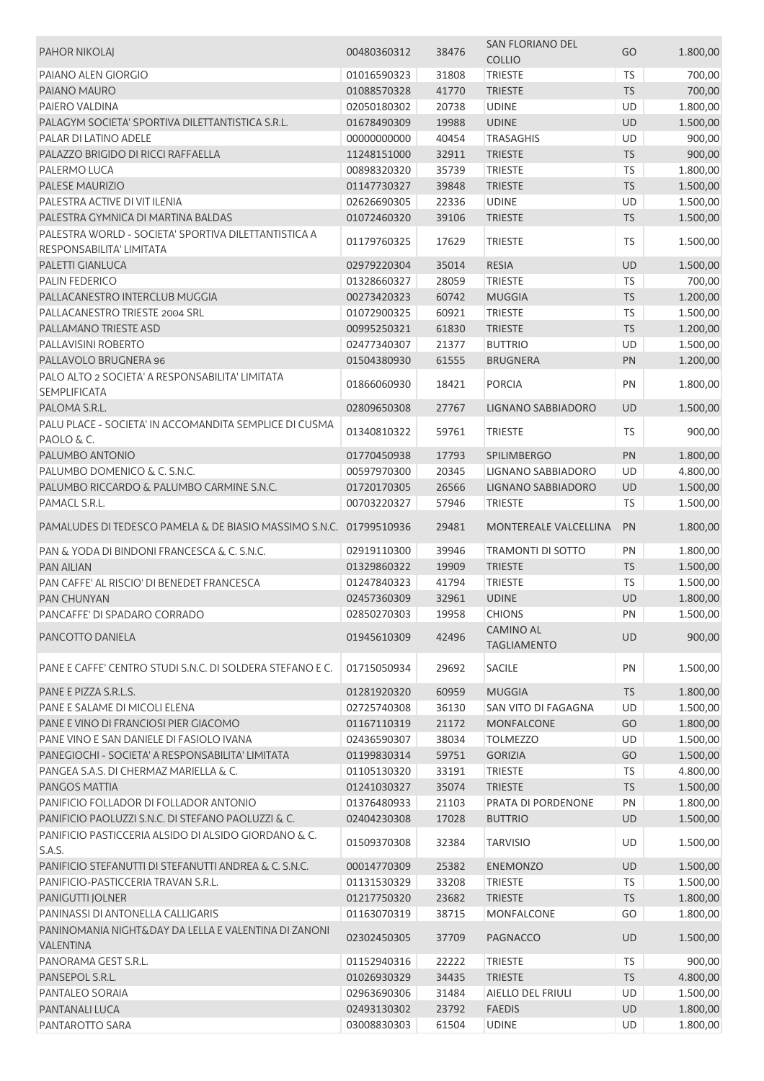| <b>PAHOR NIKOLAJ</b>                                                 | 00480360312 | 38476 | SAN FLORIANO DEL<br><b>COLLIO</b> | GO        | 1.800,00 |
|----------------------------------------------------------------------|-------------|-------|-----------------------------------|-----------|----------|
| PAIANO ALEN GIORGIO                                                  | 01016590323 | 31808 | <b>TRIESTE</b>                    | <b>TS</b> | 700,00   |
| PAIANO MAURO                                                         | 01088570328 | 41770 | <b>TRIESTE</b>                    | <b>TS</b> | 700,00   |
| PAIERO VALDINA                                                       | 02050180302 | 20738 | <b>UDINE</b>                      | <b>UD</b> | 1.800,00 |
| PALAGYM SOCIETA' SPORTIVA DILETTANTISTICA S.R.L.                     | 01678490309 | 19988 | <b>UDINE</b>                      | UD        | 1.500,00 |
| PALAR DI LATINO ADELE                                                | 00000000000 | 40454 | <b>TRASAGHIS</b>                  | UD        | 900,00   |
| PALAZZO BRIGIDO DI RICCI RAFFAELLA                                   | 11248151000 | 32911 | <b>TRIESTE</b>                    | <b>TS</b> | 900,00   |
| PALERMO LUCA                                                         | 00898320320 | 35739 | <b>TRIESTE</b>                    | <b>TS</b> | 1.800,00 |
| PALESE MAURIZIO                                                      | 01147730327 | 39848 | <b>TRIESTE</b>                    | <b>TS</b> | 1.500,00 |
| PALESTRA ACTIVE DI VIT ILENIA                                        | 02626690305 | 22336 | <b>UDINE</b>                      | UD        | 1.500,00 |
| PALESTRA GYMNICA DI MARTINA BALDAS                                   | 01072460320 | 39106 | <b>TRIESTE</b>                    | <b>TS</b> | 1.500,00 |
| PALESTRA WORLD - SOCIETA' SPORTIVA DILETTANTISTICA A                 |             |       |                                   |           |          |
| RESPONSABILITA' LIMITATA                                             | 01179760325 | 17629 | <b>TRIESTE</b>                    | TS.       | 1.500,00 |
| PALETTI GIANLUCA                                                     | 02979220304 | 35014 | <b>RESIA</b>                      | <b>UD</b> | 1.500,00 |
| PALIN FEDERICO                                                       |             |       |                                   |           |          |
| PALLACANESTRO INTERCLUB MUGGIA                                       | 01328660327 | 28059 | <b>TRIESTE</b>                    | TS        | 700,00   |
|                                                                      | 00273420323 | 60742 | <b>MUGGIA</b>                     | <b>TS</b> | 1.200,00 |
| PALLACANESTRO TRIESTE 2004 SRL<br>PALLAMANO TRIESTE ASD              | 01072900325 | 60921 | <b>TRIESTE</b>                    | TS        | 1.500,00 |
|                                                                      | 00995250321 | 61830 | <b>TRIESTE</b>                    | <b>TS</b> | 1.200,00 |
| PALLAVISINI ROBERTO                                                  | 02477340307 | 21377 | <b>BUTTRIO</b>                    | UD        | 1.500,00 |
| PALLAVOLO BRUGNERA 96                                                | 01504380930 | 61555 | <b>BRUGNERA</b>                   | PN        | 1.200,00 |
| PALO ALTO 2 SOCIETA' A RESPONSABILITA' LIMITATA                      | 01866060930 | 18421 | <b>PORCIA</b>                     | PN        | 1.800,00 |
| <b>SEMPLIFICATA</b>                                                  |             |       |                                   |           |          |
| PALOMA S.R.L.                                                        | 02809650308 | 27767 | LIGNANO SABBIADORO                | <b>UD</b> | 1.500,00 |
| PALU PLACE - SOCIETA' IN ACCOMANDITA SEMPLICE DI CUSMA<br>PAOLO & C. | 01340810322 | 59761 | <b>TRIESTE</b>                    | <b>TS</b> | 900,00   |
| PALUMBO ANTONIO                                                      | 01770450938 | 17793 | <b>SPILIMBERGO</b>                | PN        | 1.800,00 |
| PALUMBO DOMENICO & C. S.N.C.                                         | 00597970300 | 20345 | LIGNANO SABBIADORO                | UD        | 4.800,00 |
| PALUMBO RICCARDO & PALUMBO CARMINE S.N.C.                            | 01720170305 | 26566 | LIGNANO SABBIADORO                | UD        | 1.500,00 |
| PAMACL S.R.L.                                                        | 00703220327 | 57946 | <b>TRIESTE</b>                    | TS        | 1.500,00 |
|                                                                      |             |       |                                   |           |          |
| PAMALUDES DI TEDESCO PAMELA & DE BIASIO MASSIMO S.N.C. 01799510936   |             | 29481 | MONTEREALE VALCELLINA             | PN        | 1.800,00 |
| PAN & YODA DI BINDONI FRANCESCA & C. S.N.C.                          | 02919110300 | 39946 | <b>TRAMONTI DI SOTTO</b>          | PN        | 1.800,00 |
| <b>PAN AILIAN</b>                                                    | 01329860322 | 19909 | <b>TRIESTE</b>                    | <b>TS</b> | 1.500,00 |
| PAN CAFFE' AL RISCIO' DI BENEDET FRANCESCA                           | 01247840323 | 41794 | <b>TRIESTE</b>                    | TS        | 1.500,00 |
| <b>PAN CHUNYAN</b>                                                   | 02457360309 | 32961 | <b>UDINE</b>                      | UD        | 1.800,00 |
| PANCAFFE' DI SPADARO CORRADO                                         | 02850270303 | 19958 | <b>CHIONS</b>                     | PN        | 1.500,00 |
| PANCOTTO DANIELA                                                     | 01945610309 | 42496 | <b>CAMINO AL</b>                  | <b>UD</b> | 900,00   |
|                                                                      |             |       | <b>TAGLIAMENTO</b>                |           |          |
| PANE E CAFFE' CENTRO STUDI S.N.C. DI SOLDERA STEFANO E C.            | 01715050934 | 29692 | <b>SACILE</b>                     | PN        | 1.500,00 |
|                                                                      |             |       |                                   |           |          |
| PANE E PIZZA S.R.L.S.                                                | 01281920320 | 60959 | <b>MUGGIA</b>                     | <b>TS</b> | 1.800,00 |
| PANE E SALAME DI MICOLI ELENA                                        | 02725740308 | 36130 | SAN VITO DI FAGAGNA               | UD        | 1.500,00 |
| PANE E VINO DI FRANCIOSI PIER GIACOMO                                | 01167110319 | 21172 | <b>MONFALCONE</b>                 | GO        | 1.800,00 |
| PANE VINO E SAN DANIELE DI FASIOLO IVANA                             | 02436590307 | 38034 | <b>TOLMEZZO</b>                   | UD        | 1.500,00 |
| PANEGIOCHI - SOCIETA' A RESPONSABILITA' LIMITATA                     | 01199830314 | 59751 | <b>GORIZIA</b>                    | GO        | 1.500,00 |
| PANGEA S.A.S. DI CHERMAZ MARIELLA & C.                               | 01105130320 | 33191 | <b>TRIESTE</b>                    | <b>TS</b> | 4.800,00 |
| PANGOS MATTIA                                                        | 01241030327 | 35074 | <b>TRIESTE</b>                    | <b>TS</b> | 1.500,00 |
| PANIFICIO FOLLADOR DI FOLLADOR ANTONIO                               | 01376480933 | 21103 | PRATA DI PORDENONE                | PN        | 1.800,00 |
| PANIFICIO PAOLUZZI S.N.C. DI STEFANO PAOLUZZI & C.                   | 02404230308 | 17028 | <b>BUTTRIO</b>                    | UD        | 1.500,00 |
| PANIFICIO PASTICCERIA ALSIDO DI ALSIDO GIORDANO & C.<br>S.A.S.       | 01509370308 | 32384 | <b>TARVISIO</b>                   | UD        | 1.500,00 |
| PANIFICIO STEFANUTTI DI STEFANUTTI ANDREA & C. S.N.C.                | 00014770309 | 25382 | <b>ENEMONZO</b>                   | UD        | 1.500,00 |
| PANIFICIO-PASTICCERIA TRAVAN S.R.L.                                  | 01131530329 | 33208 | <b>TRIESTE</b>                    | <b>TS</b> | 1.500,00 |
| <b>PANIGUTTI JOLNER</b>                                              | 01217750320 | 23682 | <b>TRIESTE</b>                    | <b>TS</b> | 1.800,00 |
| PANINASSI DI ANTONELLA CALLIGARIS                                    | 01163070319 | 38715 | MONFALCONE                        | GO        | 1.800,00 |
| PANINOMANIA NIGHT&DAY DA LELLA E VALENTINA DI ZANONI                 |             |       |                                   |           |          |
| VALENTINA                                                            | 02302450305 | 37709 | <b>PAGNACCO</b>                   | UD        | 1.500,00 |
| PANORAMA GEST S.R.L.                                                 | 01152940316 | 22222 | <b>TRIESTE</b>                    | <b>TS</b> | 900,00   |
| PANSEPOL S.R.L.                                                      | 01026930329 | 34435 | <b>TRIESTE</b>                    | <b>TS</b> | 4.800,00 |
| PANTALEO SORAIA                                                      | 02963690306 | 31484 | AIELLO DEL FRIULI                 | UD        | 1.500,00 |
| PANTANALI LUCA                                                       | 02493130302 | 23792 | <b>FAEDIS</b>                     | UD        | 1.800,00 |
| PANTAROTTO SARA                                                      | 03008830303 | 61504 | <b>UDINE</b>                      | UD        | 1.800,00 |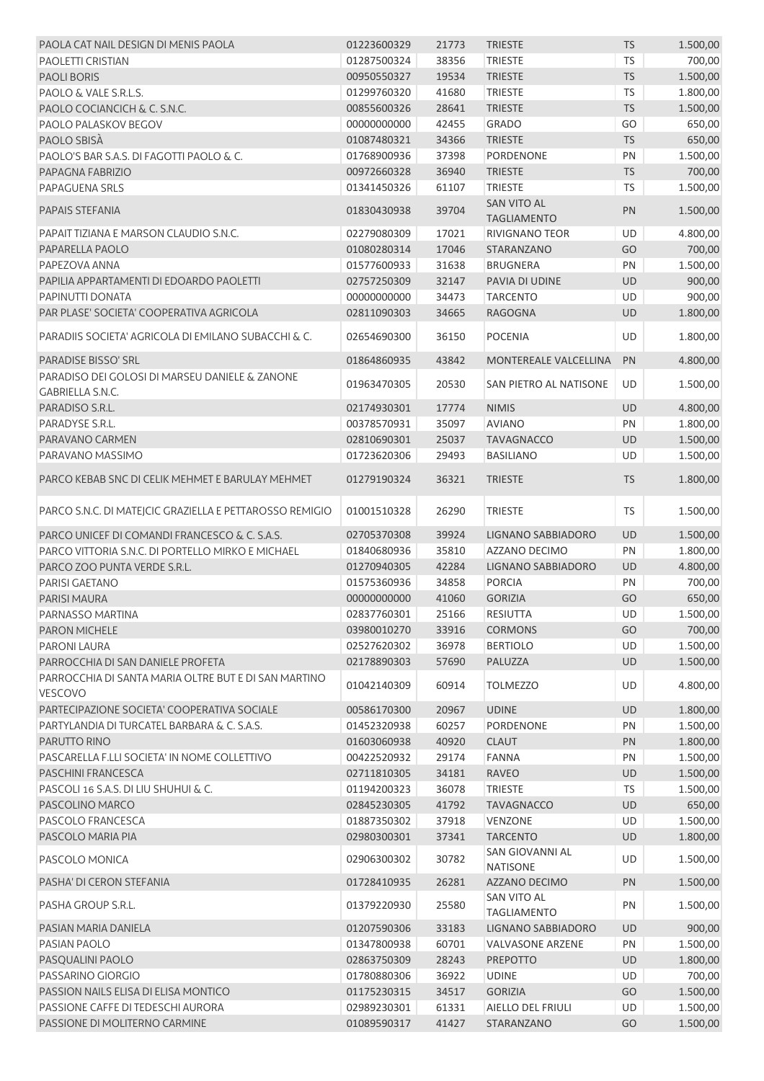| PAOLA CAT NAIL DESIGN DI MENIS PAOLA                                                      | 01223600329 | 21773 | <b>TRIESTE</b>                           | <b>TS</b> | 1.500,00 |
|-------------------------------------------------------------------------------------------|-------------|-------|------------------------------------------|-----------|----------|
| <b>PAOLETTI CRISTIAN</b>                                                                  | 01287500324 | 38356 | <b>TRIESTE</b>                           | <b>TS</b> | 700,00   |
| <b>PAOLI BORIS</b>                                                                        | 00950550327 | 19534 | <b>TRIESTE</b>                           | <b>TS</b> | 1.500,00 |
| PAOLO & VALE S.R.L.S.                                                                     | 01299760320 | 41680 | <b>TRIESTE</b>                           | <b>TS</b> | 1.800,00 |
| PAOLO COCIANCICH & C. S.N.C.                                                              | 00855600326 | 28641 | <b>TRIESTE</b>                           | <b>TS</b> | 1.500,00 |
| PAOLO PALASKOV BEGOV                                                                      | 00000000000 | 42455 | <b>GRADO</b>                             | GO        | 650,00   |
| PAOLO SBISÀ                                                                               | 01087480321 | 34366 | <b>TRIESTE</b>                           | <b>TS</b> | 650,00   |
| PAOLO'S BAR S.A.S. DI FAGOTTI PAOLO & C.                                                  | 01768900936 | 37398 | <b>PORDENONE</b>                         | PN        | 1.500,00 |
| PAPAGNA FABRIZIO                                                                          | 00972660328 | 36940 | <b>TRIESTE</b>                           | <b>TS</b> | 700,00   |
| <b>PAPAGUENA SRLS</b>                                                                     | 01341450326 | 61107 | <b>TRIESTE</b>                           | <b>TS</b> | 1.500,00 |
| PAPAIS STEFANIA                                                                           | 01830430938 | 39704 | <b>SAN VITO AL</b><br><b>TAGLIAMENTO</b> | PN        | 1.500,00 |
| PAPAIT TIZIANA E MARSON CLAUDIO S.N.C.                                                    | 02279080309 | 17021 | <b>RIVIGNANO TEOR</b>                    | UD        | 4.800,00 |
| PAPARELLA PAOLO                                                                           | 01080280314 | 17046 | STARANZANO                               | GO        | 700,00   |
| PAPEZOVA ANNA                                                                             | 01577600933 | 31638 | <b>BRUGNERA</b>                          | PN        | 1.500,00 |
| PAPILIA APPARTAMENTI DI EDOARDO PAOLETTI                                                  | 02757250309 | 32147 | PAVIA DI UDINE                           | <b>UD</b> | 900,00   |
| PAPINUTTI DONATA                                                                          | 00000000000 | 34473 | <b>TARCENTO</b>                          | UD        | 900,00   |
| PAR PLASE' SOCIETA' COOPERATIVA AGRICOLA                                                  | 02811090303 | 34665 | <b>RAGOGNA</b>                           | UD        | 1.800,00 |
|                                                                                           |             |       |                                          |           |          |
| <b>PARADIIS SOCIETA' AGRICOLA DI EMILANO SUBACCHI &amp; C.</b>                            | 02654690300 | 36150 | <b>POCENIA</b>                           | UD        | 1.800,00 |
| <b>PARADISE BISSO' SRL</b>                                                                | 01864860935 | 43842 | <b>MONTEREALE VALCELLINA</b>             | PN        | 4.800,00 |
| PARADISO DEI GOLOSI DI MARSEU DANIELE & ZANONE<br><b>GABRIELLA S.N.C.</b>                 | 01963470305 | 20530 | SAN PIETRO AL NATISONE                   | UD        | 1.500,00 |
| PARADISO S.R.L.                                                                           | 02174930301 | 17774 | <b>NIMIS</b>                             | UD        | 4.800,00 |
| PARADYSE S.R.L.                                                                           | 00378570931 | 35097 | <b>AVIANO</b>                            | PN        | 1.800,00 |
| PARAVANO CARMEN                                                                           | 02810690301 | 25037 | <b>TAVAGNACCO</b>                        | UD        | 1.500,00 |
| PARAVANO MASSIMO                                                                          | 01723620306 | 29493 | <b>BASILIANO</b>                         | UD        | 1.500,00 |
| PARCO KEBAB SNC DI CELIK MEHMET E BARULAY MEHMET                                          | 01279190324 | 36321 | <b>TRIESTE</b>                           | <b>TS</b> | 1.800,00 |
| PARCO S.N.C. DI MATEJCIC GRAZIELLA E PETTAROSSO REMIGIO                                   | 01001510328 | 26290 | <b>TRIESTE</b>                           | <b>TS</b> | 1.500,00 |
| PARCO UNICEF DI COMANDI FRANCESCO & C. S.A.S.                                             | 02705370308 | 39924 | LIGNANO SABBIADORO                       | UD        | 1.500,00 |
| PARCO VITTORIA S.N.C. DI PORTELLO MIRKO E MICHAEL                                         | 01840680936 | 35810 | AZZANO DECIMO                            | PN        | 1.800,00 |
| PARCO ZOO PUNTA VERDE S.R.L.                                                              | 01270940305 | 42284 | LIGNANO SABBIADORO                       | UD        | 4.800,00 |
| PARISI GAETANO                                                                            | 01575360936 | 34858 | <b>PORCIA</b>                            | PN        | 700,00   |
| <b>PARISI MAURA</b>                                                                       | 00000000000 | 41060 | <b>GORIZIA</b>                           | GO        | 650,00   |
|                                                                                           |             | 25166 |                                          | UD        |          |
| PARNASSO MARTINA                                                                          | 02837760301 |       | RESIUTTA                                 |           | 1.500,00 |
| <b>PARON MICHELE</b>                                                                      | 03980010270 | 33916 | <b>CORMONS</b>                           | GO        | 700,00   |
| PARONI LAURA                                                                              | 02527620302 | 36978 | <b>BERTIOLO</b>                          | UD        | 1.500,00 |
| PARROCCHIA DI SAN DANIELE PROFETA<br>PARROCCHIA DI SANTA MARIA OLTRE BUT E DI SAN MARTINO | 02178890303 | 57690 | PALUZZA                                  | UD        | 1.500,00 |
| VESCOVO                                                                                   | 01042140309 | 60914 | <b>TOLMEZZO</b>                          | <b>UD</b> | 4.800,00 |
| PARTECIPAZIONE SOCIETA' COOPERATIVA SOCIALE                                               | 00586170300 | 20967 | <b>UDINE</b>                             | UD        | 1.800,00 |
| PARTYLANDIA DI TURCATEL BARBARA & C. S.A.S.                                               | 01452320938 | 60257 | PORDENONE                                | PN        | 1.500,00 |
| PARUTTO RINO                                                                              | 01603060938 | 40920 | <b>CLAUT</b>                             | PN        | 1.800,00 |
| PASCARELLA F.LLI SOCIETA' IN NOME COLLETTIVO                                              | 00422520932 | 29174 | <b>FANNA</b>                             | PN        | 1.500,00 |
| <b>PASCHINI FRANCESCA</b>                                                                 | 02711810305 | 34181 | <b>RAVEO</b>                             | UD        | 1.500,00 |
| PASCOLI 16 S.A.S. DI LIU SHUHUI & C.                                                      | 01194200323 | 36078 | <b>TRIESTE</b>                           | <b>TS</b> | 1.500,00 |
| PASCOLINO MARCO                                                                           | 02845230305 | 41792 | <b>TAVAGNACCO</b>                        | UD        | 650,00   |
| PASCOLO FRANCESCA                                                                         | 01887350302 | 37918 | <b>VENZONE</b>                           | UD        | 1.500,00 |
| PASCOLO MARIA PIA                                                                         | 02980300301 | 37341 | <b>TARCENTO</b>                          | UD        | 1.800,00 |
| PASCOLO MONICA                                                                            | 02906300302 | 30782 | SAN GIOVANNI AL<br><b>NATISONE</b>       | UD        | 1.500,00 |
| PASHA' DI CERON STEFANIA                                                                  | 01728410935 | 26281 | AZZANO DECIMO                            | PN        | 1.500,00 |
| PASHA GROUP S.R.L.                                                                        | 01379220930 | 25580 | <b>SAN VITO AL</b><br><b>TAGLIAMENTO</b> | PN        | 1.500,00 |
| PASIAN MARIA DANIELA                                                                      | 01207590306 | 33183 | LIGNANO SABBIADORO                       | UD        | 900,00   |
| PASIAN PAOLO                                                                              | 01347800938 | 60701 | <b>VALVASONE ARZENE</b>                  | PN        | 1.500,00 |
| PASQUALINI PAOLO                                                                          | 02863750309 | 28243 | <b>PREPOTTO</b>                          | UD        | 1.800,00 |
| PASSARINO GIORGIO                                                                         | 01780880306 | 36922 | <b>UDINE</b>                             | UD        | 700,00   |
| PASSION NAILS ELISA DI ELISA MONTICO                                                      | 01175230315 | 34517 | <b>GORIZIA</b>                           | GO        | 1.500,00 |
| PASSIONE CAFFE DI TEDESCHI AURORA                                                         | 02989230301 | 61331 | AIELLO DEL FRIULI                        | UD        | 1.500,00 |
| PASSIONE DI MOLITERNO CARMINE                                                             | 01089590317 | 41427 | STARANZANO                               | GO        | 1.500,00 |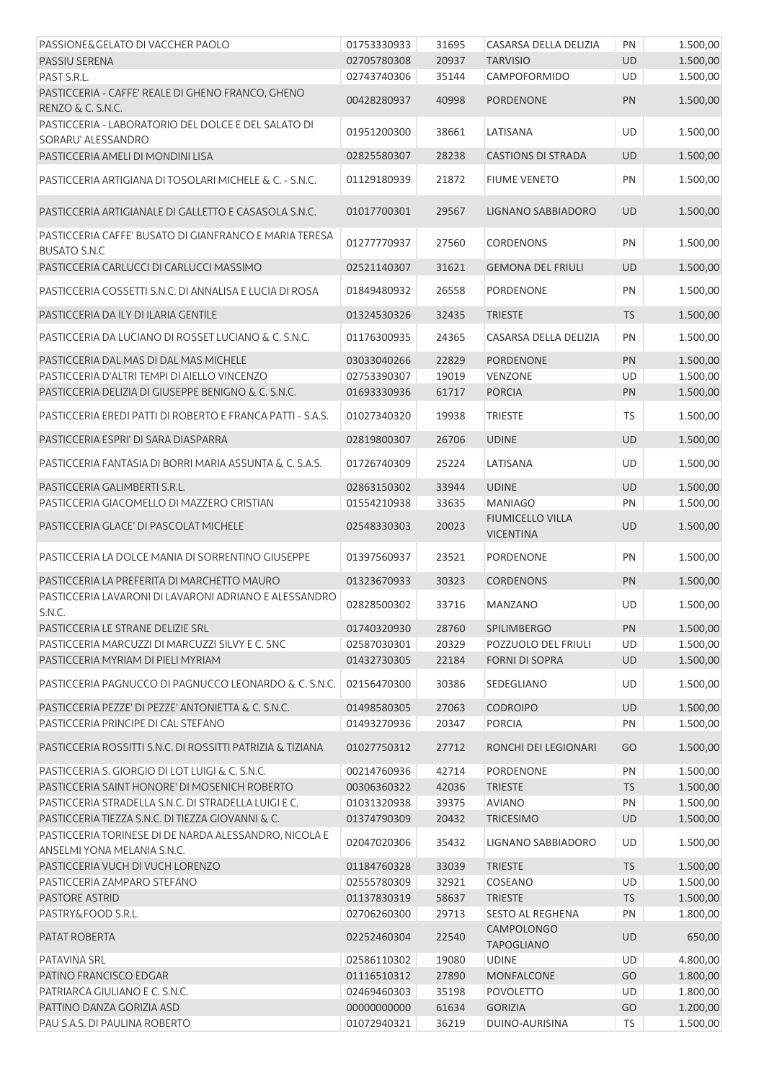| PASSIONE& GELATO DI VACCHER PAOLO                                                                         | 01753330933                | 31695          | CASARSA DELLA DELIZIA                       | PN              | 1.500,00             |
|-----------------------------------------------------------------------------------------------------------|----------------------------|----------------|---------------------------------------------|-----------------|----------------------|
| <b>PASSIU SERENA</b>                                                                                      | 02705780308                | 20937          | <b>TARVISIO</b>                             | UD              | 1.500,00             |
| PAST S.R.L.                                                                                               | 02743740306                | 35144          | CAMPOFORMIDO                                | UD              | 1.500,00             |
| PASTICCERIA - CAFFE' REALE DI GHENO FRANCO, GHENO<br>RENZO & C. S.N.C.                                    | 00428280937                | 40998          | <b>PORDENONE</b>                            | PN              | 1.500,00             |
| PASTICCERIA - LABORATORIO DEL DOLCE E DEL SALATO DI<br>SORARU' ALESSANDRO                                 | 01951200300                | 38661          | LATISANA                                    | UD              | 1.500,00             |
| PASTICCERIA AMELI DI MONDINI LISA                                                                         | 02825580307                | 28238          | <b>CASTIONS DI STRADA</b>                   | UD              | 1.500,00             |
| PASTICCERIA ARTIGIANA DI TOSOLARI MICHELE & C. - S.N.C.                                                   | 01129180939                | 21872          | <b>FIUME VENETO</b>                         | PN              | 1.500,00             |
| PASTICCERIA ARTIGIANALE DI GALLETTO E CASASOLA S.N.C.                                                     | 01017700301                | 29567          | LIGNANO SABBIADORO                          | UD              | 1.500,00             |
| PASTICCERIA CAFFE' BUSATO DI GIANFRANCO E MARIA TERESA<br><b>BUSATO S.N.C</b>                             | 01277770937                | 27560          | CORDENONS                                   | PN              | 1.500,00             |
| PASTICCERIA CARLUCCI DI CARLUCCI MASSIMO                                                                  | 02521140307                | 31621          | <b>GEMONA DEL FRIULI</b>                    | UD              | 1.500,00             |
| PASTICCERIA COSSETTI S.N.C. DI ANNALISA E LUCIA DI ROSA                                                   | 01849480932                | 26558          | <b>PORDENONE</b>                            | PN              | 1.500,00             |
| PASTICCERIA DA ILY DI ILARIA GENTILE                                                                      | 01324530326                | 32435          | <b>TRIESTE</b>                              | <b>TS</b>       | 1.500,00             |
| PASTICCERIA DA LUCIANO DI ROSSET LUCIANO & C. S.N.C.                                                      | 01176300935                | 24365          | CASARSA DELLA DELIZIA                       | PN              | 1.500,00             |
| PASTICCERIA DAL MAS DI DAL MAS MICHELE                                                                    | 03033040266                | 22829          | <b>PORDENONE</b>                            | PN              | 1.500,00             |
| PASTICCERIA D'ALTRI TEMPI DI AIELLO VINCENZO                                                              | 02753390307                | 19019          | <b>VENZONE</b>                              | UD              | 1.500,00             |
| PASTICCERIA DELIZIA DI GIUSEPPE BENIGNO & C. S.N.C.                                                       | 01693330936                | 61717          | <b>PORCIA</b>                               | PN              | 1.500,00             |
| PASTICCERIA EREDI PATTI DI ROBERTO E FRANCA PATTI - S.A.S.                                                | 01027340320                | 19938          | <b>TRIESTE</b>                              | TS              | 1.500,00             |
| PASTICCERIA ESPRI' DI SARA DIASPARRA                                                                      | 02819800307                | 26706          | <b>UDINE</b>                                | UD              | 1.500,00             |
| PASTICCERIA FANTASIA DI BORRI MARIA ASSUNTA & C. S.A.S.                                                   | 01726740309                | 25224          | LATISANA                                    | UD              | 1.500,00             |
| PASTICCERIA GALIMBERTI S.R.L.                                                                             | 02863150302                | 33944          | <b>UDINE</b>                                | UD              | 1.500,00             |
| PASTICCERIA GIACOMELLO DI MAZZERO CRISTIAN                                                                | 01554210938                | 33635          | <b>MANIAGO</b>                              | PN              | 1.500,00             |
| PASTICCERIA GLACE' DI PASCOLAT MICHELE                                                                    | 02548330303                | 20023          | <b>FIUMICELLO VILLA</b><br><b>VICENTINA</b> | <b>UD</b>       | 1.500,00             |
| PASTICCERIA LA DOLCE MANIA DI SORRENTINO GIUSEPPE                                                         | 01397560937                | 23521          | PORDENONE                                   | PN              | 1.500,00             |
| PASTICCERIA LA PREFERITA DI MARCHETTO MAURO                                                               | 01323670933                | 30323          | <b>CORDENONS</b>                            | PN              | 1.500,00             |
| PASTICCERIA LAVARONI DI LAVARONI ADRIANO E ALESSANDRO<br>S.N.C.                                           | 02828500302                | 33716          | MANZANO                                     | UD              | 1.500,00             |
| PASTICCERIA LE STRANE DELIZIE SRL                                                                         | 01740320930                | 28760          | <b>SPILIMBERGO</b>                          | PN              | 1.500,00             |
| PASTICCERIA MARCUZZI DI MARCUZZI SILVY E C. SNC                                                           | 02587030301                | 20329          | POZZUOLO DEL FRIULI                         | UD              | 1.500,00             |
| PASTICCERIA MYRIAM DI PIELI MYRIAM                                                                        | 01432730305                | 22184          | <b>FORNI DI SOPRA</b>                       | UD              | 1.500,00             |
| PASTICCERIA PAGNUCCO DI PAGNUCCO LEONARDO & C. S.N.C.                                                     | 02156470300                | 30386          | SEDEGLIANO                                  | UD              | 1.500,00             |
| PASTICCERIA PEZZE' DI PEZZE' ANTONIETTA & C. S.N.C.                                                       | 01498580305                | 27063          | <b>CODROIPO</b>                             | UD              | 1.500,00             |
| PASTICCERIA PRINCIPE DI CAL STEFANO                                                                       | 01493270936                | 20347          | <b>PORCIA</b>                               | PN              | 1.500,00             |
| PASTICCERIA ROSSITTI S.N.C. DI ROSSITTI PATRIZIA & TIZIANA                                                | 01027750312                | 27712          | RONCHI DEI LEGIONARI                        | GO              | 1.500,00             |
| PASTICCERIA S. GIORGIO DI LOT LUIGI & C. S.N.C.                                                           | 00214760936                | 42714          | PORDENONE                                   | PN              | 1.500,00             |
| PASTICCERIA SAINT HONORE' DI MOSENICH ROBERTO                                                             | 00306360322                | 42036          | <b>TRIESTE</b><br><b>AVIANO</b>             | <b>TS</b>       | 1.500,00             |
| PASTICCERIA STRADELLA S.N.C. DI STRADELLA LUIGI E C.<br>PASTICCERIA TIEZZA S.N.C. DI TIEZZA GIOVANNI & C. | 01031320938<br>01374790309 | 39375<br>20432 | <b>TRICESIMO</b>                            | PN<br>UD        | 1.500,00<br>1.500,00 |
| PASTICCERIA TORINESE DI DE NARDA ALESSANDRO, NICOLA E                                                     |                            |                |                                             |                 |                      |
| ANSELMI YONA MELANIA S.N.C.                                                                               | 02047020306                | 35432          | LIGNANO SABBIADORO                          | UD              | 1.500,00             |
| PASTICCERIA VUCH DI VUCH LORENZO                                                                          | 01184760328                | 33039          | <b>TRIESTE</b>                              | <b>TS</b>       | 1.500,00             |
| PASTICCERIA ZAMPARO STEFANO<br><b>PASTORE ASTRID</b>                                                      | 02555780309<br>01137830319 | 32921<br>58637 | COSEANO<br><b>TRIESTE</b>                   | UD<br><b>TS</b> | 1.500,00<br>1.500,00 |
| PASTRY&FOOD S.R.L.                                                                                        | 02706260300                | 29713          | <b>SESTO AL REGHENA</b>                     | PN              | 1.800,00             |
| PATAT ROBERTA                                                                                             | 02252460304                | 22540          | <b>CAMPOLONGO</b><br><b>TAPOGLIANO</b>      | UD              | 650,00               |
| PATAVINA SRL                                                                                              | 02586110302                | 19080          | <b>UDINE</b>                                | UD              | 4.800,00             |
| PATINO FRANCISCO EDGAR                                                                                    | 01116510312                | 27890          | MONFALCONE                                  | GO              | 1.800,00             |
| PATRIARCA GIULIANO E C. S.N.C.                                                                            | 02469460303                | 35198          | <b>POVOLETTO</b>                            | UD              | 1.800,00             |
| PATTINO DANZA GORIZIA ASD                                                                                 | 00000000000                | 61634          | <b>GORIZIA</b>                              | GO              | 1.200,00             |
| PAU S.A.S. DI PAULINA ROBERTO                                                                             | 01072940321                | 36219          | DUINO-AURISINA                              | <b>TS</b>       | 1.500,00             |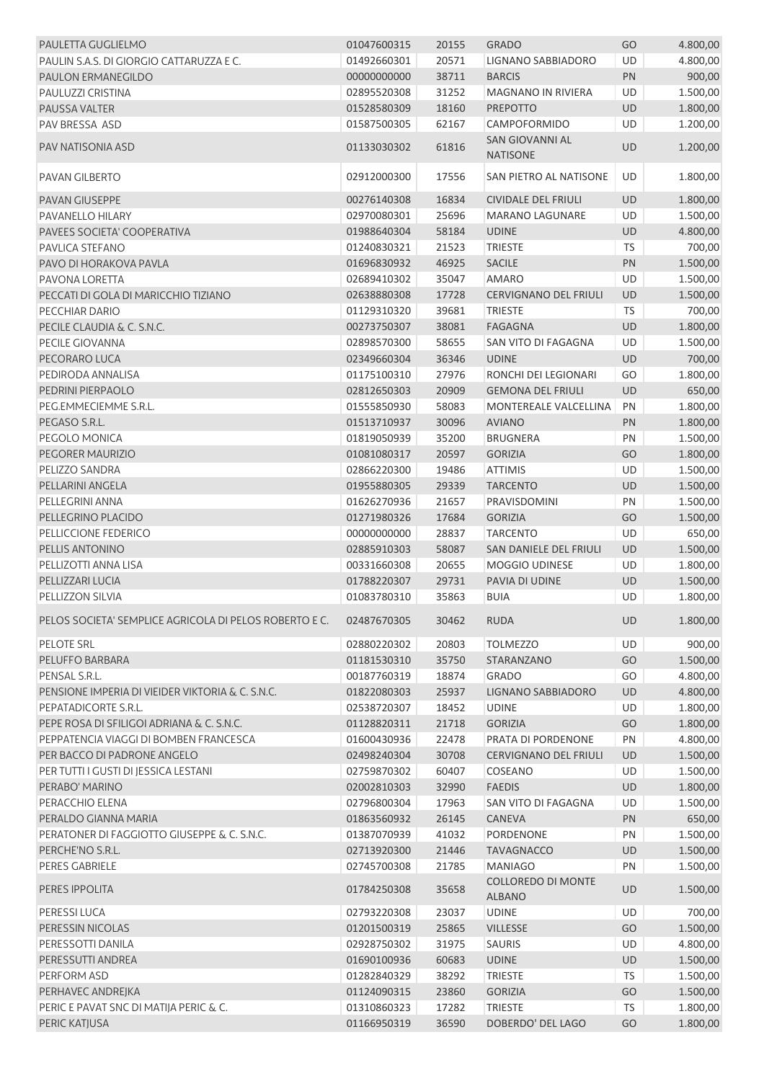| PAULETTA GUGLIELMO                                     | 01047600315 | 20155 | <b>GRADO</b>                               | GO        | 4.800,00 |
|--------------------------------------------------------|-------------|-------|--------------------------------------------|-----------|----------|
| PAULIN S.A.S. DI GIORGIO CATTARUZZA E C.               | 01492660301 | 20571 | LIGNANO SABBIADORO                         | UD        | 4.800,00 |
| PAULON ERMANEGILDO                                     | 00000000000 | 38711 | <b>BARCIS</b>                              | PN        | 900,00   |
| PAULUZZI CRISTINA                                      | 02895520308 | 31252 | MAGNANO IN RIVIERA                         | UD        | 1.500,00 |
| <b>PAUSSA VALTER</b>                                   | 01528580309 | 18160 | <b>PREPOTTO</b>                            | UD        | 1.800,00 |
| PAV BRESSA ASD                                         | 01587500305 | 62167 | CAMPOFORMIDO                               | UD        | 1.200,00 |
| PAV NATISONIA ASD                                      | 01133030302 | 61816 | SAN GIOVANNI AL<br><b>NATISONE</b>         | UD        | 1.200,00 |
| PAVAN GILBERTO                                         | 02912000300 | 17556 | SAN PIETRO AL NATISONE                     | <b>UD</b> | 1.800,00 |
| <b>PAVAN GIUSEPPE</b>                                  | 00276140308 | 16834 | <b>CIVIDALE DEL FRIULI</b>                 | <b>UD</b> | 1.800,00 |
| PAVANELLO HILARY                                       | 02970080301 | 25696 | <b>MARANO LAGUNARE</b>                     | UD        | 1.500,00 |
| PAVEES SOCIETA' COOPERATIVA                            | 01988640304 | 58184 | <b>UDINE</b>                               | UD        | 4.800,00 |
| PAVLICA STEFANO                                        | 01240830321 | 21523 | <b>TRIESTE</b>                             | <b>TS</b> | 700,00   |
| PAVO DI HORAKOVA PAVLA                                 | 01696830932 | 46925 | <b>SACILE</b>                              | PN        | 1.500,00 |
| PAVONA LORETTA                                         | 02689410302 | 35047 | <b>AMARO</b>                               | UD        | 1.500,00 |
| PECCATI DI GOLA DI MARICCHIO TIZIANO                   | 02638880308 | 17728 | <b>CERVIGNANO DEL FRIULI</b>               | UD        | 1.500,00 |
| PECCHIAR DARIO                                         | 01129310320 | 39681 | <b>TRIESTE</b>                             | <b>TS</b> | 700,00   |
| PECILE CLAUDIA & C. S.N.C.                             | 00273750307 | 38081 | <b>FAGAGNA</b>                             | <b>UD</b> | 1.800,00 |
| PECILE GIOVANNA                                        | 02898570300 | 58655 | SAN VITO DI FAGAGNA                        | UD        | 1.500,00 |
| PECORARO LUCA                                          | 02349660304 | 36346 | <b>UDINE</b>                               | UD        | 700,00   |
| PEDIRODA ANNALISA                                      | 01175100310 | 27976 | RONCHI DEI LEGIONARI                       | GO        | 1.800,00 |
| PEDRINI PIERPAOLO                                      | 02812650303 | 20909 | <b>GEMONA DEL FRIULI</b>                   | <b>UD</b> | 650,00   |
| PEG.EMMECIEMME S.R.L.                                  | 01555850930 | 58083 | MONTEREALE VALCELLINA                      | PN        | 1.800,00 |
| PEGASO S.R.L.                                          | 01513710937 | 30096 | <b>AVIANO</b>                              | PN        | 1.800,00 |
| PEGOLO MONICA                                          | 01819050939 | 35200 | <b>BRUGNERA</b>                            | PN        | 1.500,00 |
| PEGORER MAURIZIO                                       | 01081080317 | 20597 | <b>GORIZIA</b>                             | GO        | 1.800,00 |
| PELIZZO SANDRA                                         | 02866220300 | 19486 | <b>ATTIMIS</b>                             | UD        | 1.500,00 |
| PELLARINI ANGELA                                       | 01955880305 | 29339 | <b>TARCENTO</b>                            | UD        | 1.500,00 |
| PELLEGRINI ANNA                                        | 01626270936 | 21657 | PRAVISDOMINI                               | PN        | 1.500,00 |
| PELLEGRINO PLACIDO                                     | 01271980326 | 17684 | <b>GORIZIA</b>                             | GO        | 1.500,00 |
| PELLICCIONE FEDERICO                                   | 00000000000 | 28837 | <b>TARCENTO</b>                            | UD        | 650,00   |
| PELLIS ANTONINO                                        | 02885910303 | 58087 | SAN DANIELE DEL FRIULI                     | <b>UD</b> | 1.500,00 |
| PELLIZOTTI ANNA LISA                                   | 00331660308 | 20655 | <b>MOGGIO UDINESE</b>                      | UD        | 1.800,00 |
| PELLIZZARI LUCIA                                       | 01788220307 | 29731 | PAVIA DI UDINE                             | <b>UD</b> | 1.500,00 |
| PELLIZZON SILVIA                                       | 01083780310 | 35863 | <b>BUIA</b>                                | UD        | 1.800,00 |
| PELOS SOCIETA' SEMPLICE AGRICOLA DI PELOS ROBERTO E C. | 02487670305 | 30462 | <b>RUDA</b>                                | <b>UD</b> | 1.800,00 |
|                                                        |             |       |                                            |           |          |
| PELOTE SRL                                             | 02880220302 | 20803 | <b>TOLMEZZO</b>                            | <b>UD</b> | 900,00   |
| PELUFFO BARBARA                                        | 01181530310 | 35750 | STARANZANO                                 | GO        | 1.500,00 |
| PENSAL S.R.L.                                          | 00187760319 | 18874 | <b>GRADO</b>                               | GO        | 4.800,00 |
| PENSIONE IMPERIA DI VIEIDER VIKTORIA & C. S.N.C.       | 01822080303 | 25937 | LIGNANO SABBIADORO                         | <b>UD</b> | 4.800,00 |
| PEPATADICORTE S.R.L.                                   | 02538720307 | 18452 | <b>UDINE</b>                               | UD        | 1.800,00 |
| PEPE ROSA DI SFILIGOI ADRIANA & C. S.N.C.              | 01128820311 | 21718 | <b>GORIZIA</b>                             | GO        | 1.800,00 |
| PEPPATENCIA VIAGGI DI BOMBEN FRANCESCA                 | 01600430936 | 22478 | PRATA DI PORDENONE                         | PN        | 4.800,00 |
| PER BACCO DI PADRONE ANGELO                            | 02498240304 | 30708 | <b>CERVIGNANO DEL FRIULI</b>               | UD        | 1.500,00 |
| PER TUTTI I GUSTI DI JESSICA LESTANI                   | 02759870302 | 60407 | COSEANO                                    | UD        | 1.500,00 |
| PERABO' MARINO                                         | 02002810303 | 32990 | <b>FAEDIS</b>                              | UD        | 1.800,00 |
| PERACCHIO ELENA                                        | 02796800304 | 17963 | SAN VITO DI FAGAGNA                        | UD        | 1.500,00 |
| PERALDO GIANNA MARIA                                   | 01863560932 | 26145 | CANEVA                                     | PN        | 650,00   |
| PERATONER DI FAGGIOTTO GIUSEPPE & C. S.N.C.            | 01387070939 | 41032 | PORDENONE                                  | PN        | 1.500,00 |
| PERCHE'NO S.R.L.                                       | 02713920300 | 21446 | <b>TAVAGNACCO</b>                          | <b>UD</b> | 1.500,00 |
| PERES GABRIELE                                         | 02745700308 | 21785 | <b>MANIAGO</b>                             | PN        | 1.500,00 |
| PERES IPPOLITA                                         | 01784250308 | 35658 | <b>COLLOREDO DI MONTE</b><br><b>ALBANO</b> | <b>UD</b> | 1.500,00 |
| PERESSI LUCA                                           | 02793220308 | 23037 | <b>UDINE</b>                               | UD        | 700,00   |
| PERESSIN NICOLAS                                       | 01201500319 | 25865 | <b>VILLESSE</b>                            | GO        | 1.500,00 |
| PERESSOTTI DANILA                                      | 02928750302 | 31975 | SAURIS                                     | UD        | 4.800,00 |
| PERESSUTTI ANDREA                                      | 01690100936 | 60683 | <b>UDINE</b>                               | UD        | 1.500,00 |
| PERFORM ASD                                            | 01282840329 | 38292 | <b>TRIESTE</b>                             | TS        | 1.500,00 |
| PERHAVEC ANDREJKA                                      | 01124090315 | 23860 | <b>GORIZIA</b>                             | GO        | 1.500,00 |
| PERIC E PAVAT SNC DI MATIJA PERIC & C.                 | 01310860323 | 17282 | <b>TRIESTE</b>                             | <b>TS</b> | 1.800,00 |
| PERIC KATJUSA                                          | 01166950319 | 36590 | DOBERDO' DEL LAGO                          | GO        | 1.800,00 |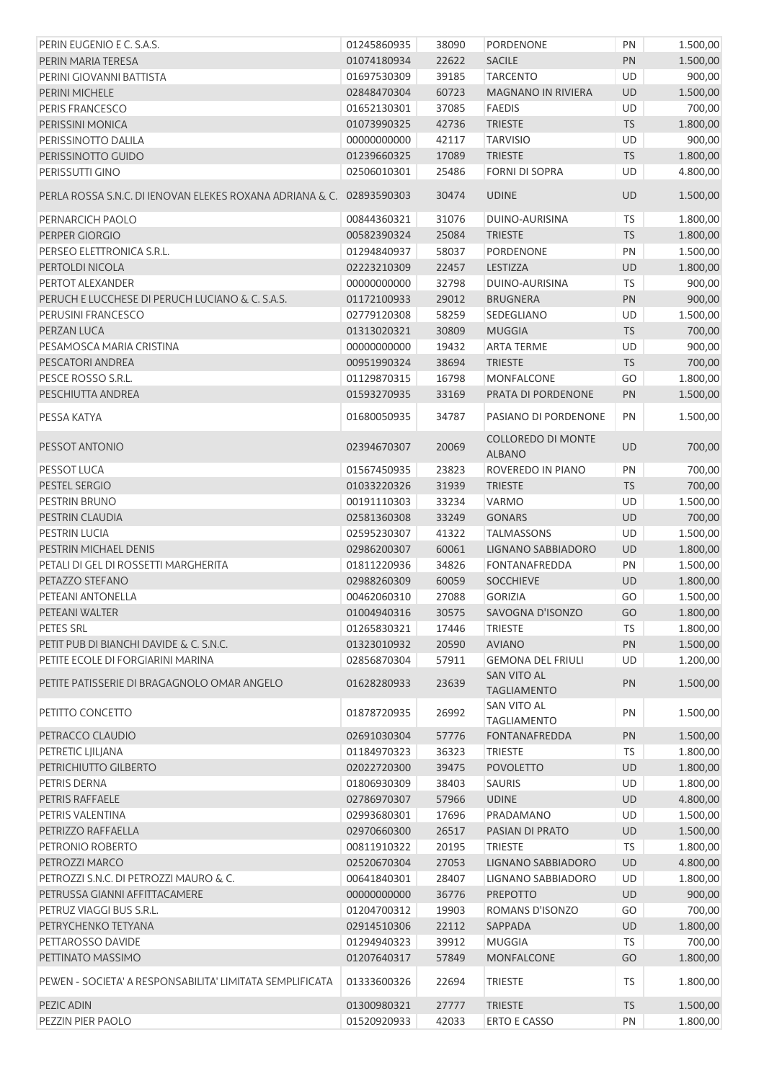| PERIN EUGENIO E C. S.A.S.                                            | 01245860935 | 38090 | <b>PORDENONE</b>                           | PN        | 1.500,00 |
|----------------------------------------------------------------------|-------------|-------|--------------------------------------------|-----------|----------|
| PERIN MARIA TERESA                                                   | 01074180934 | 22622 | <b>SACILE</b>                              | PN        | 1.500,00 |
| PERINI GIOVANNI BATTISTA                                             | 01697530309 | 39185 | <b>TARCENTO</b>                            | UD        | 900,00   |
| PERINI MICHELE                                                       | 02848470304 | 60723 | <b>MAGNANO IN RIVIERA</b>                  | UD        | 1.500,00 |
| PERIS FRANCESCO                                                      | 01652130301 | 37085 | <b>FAEDIS</b>                              | <b>UD</b> | 700,00   |
| PERISSINI MONICA                                                     | 01073990325 | 42736 | <b>TRIESTE</b>                             | <b>TS</b> | 1.800,00 |
| PERISSINOTTO DALILA                                                  | 00000000000 | 42117 | <b>TARVISIO</b>                            | UD        | 900,00   |
| PERISSINOTTO GUIDO                                                   | 01239660325 | 17089 | <b>TRIESTE</b>                             | <b>TS</b> | 1.800,00 |
| PERISSUTTI GINO                                                      | 02506010301 | 25486 | <b>FORNI DI SOPRA</b>                      | UD        | 4.800,00 |
| PERLA ROSSA S.N.C. DI IENOVAN ELEKES ROXANA ADRIANA & C. 02893590303 |             | 30474 | <b>UDINE</b>                               | <b>UD</b> | 1.500,00 |
| PERNARCICH PAOLO                                                     | 00844360321 | 31076 | <b>DUINO-AURISINA</b>                      | <b>TS</b> | 1.800,00 |
| PERPER GIORGIO                                                       | 00582390324 | 25084 | <b>TRIESTE</b>                             | <b>TS</b> | 1.800,00 |
| PERSEO ELETTRONICA S.R.L.                                            | 01294840937 | 58037 | PORDENONE                                  | PN        | 1.500,00 |
| PERTOLDI NICOLA                                                      | 02223210309 | 22457 | LESTIZZA                                   | UD        | 1.800,00 |
| PERTOT ALEXANDER                                                     | 00000000000 | 32798 | DUINO-AURISINA                             | TS        | 900,00   |
| PERUCH E LUCCHESE DI PERUCH LUCIANO & C. S.A.S.                      | 01172100933 | 29012 | <b>BRUGNERA</b>                            | PN        | 900,00   |
| PERUSINI FRANCESCO                                                   | 02779120308 | 58259 | SEDEGLIANO                                 | UD        | 1.500,00 |
| PERZAN LUCA                                                          | 01313020321 | 30809 | <b>MUGGIA</b>                              | <b>TS</b> | 700,00   |
| PESAMOSCA MARIA CRISTINA                                             | 00000000000 | 19432 | <b>ARTA TERME</b>                          | UD        | 900,00   |
| PESCATORI ANDREA                                                     | 00951990324 | 38694 | <b>TRIESTE</b>                             | <b>TS</b> | 700,00   |
| PESCE ROSSO S.R.L.                                                   | 01129870315 | 16798 | <b>MONFALCONE</b>                          | GO        | 1.800,00 |
| PESCHIUTTA ANDREA                                                    | 01593270935 | 33169 | PRATA DI PORDENONE                         | PN        | 1.500,00 |
|                                                                      |             |       |                                            |           |          |
| PESSA KATYA                                                          | 01680050935 | 34787 | PASIANO DI PORDENONE                       | PN        | 1.500,00 |
| PESSOT ANTONIO                                                       | 02394670307 | 20069 | <b>COLLOREDO DI MONTE</b><br><b>ALBANO</b> | UD        | 700,00   |
| PESSOT LUCA                                                          | 01567450935 | 23823 | ROVEREDO IN PIANO                          | PN        | 700,00   |
| PESTEL SERGIO                                                        | 01033220326 | 31939 | <b>TRIESTE</b>                             | <b>TS</b> | 700,00   |
| PESTRIN BRUNO                                                        | 00191110303 | 33234 | <b>VARMO</b>                               | UD        | 1.500,00 |
| PESTRIN CLAUDIA                                                      | 02581360308 | 33249 | <b>GONARS</b>                              | UD        | 700,00   |
| <b>PESTRIN LUCIA</b>                                                 | 02595230307 | 41322 | <b>TALMASSONS</b>                          | UD        | 1.500,00 |
| PESTRIN MICHAEL DENIS                                                | 02986200307 | 60061 | LIGNANO SABBIADORO                         | UD        | 1.800,00 |
| PETALI DI GEL DI ROSSETTI MARGHERITA                                 | 01811220936 | 34826 | <b>FONTANAFREDDA</b>                       | PN        | 1.500,00 |
| PETAZZO STEFANO                                                      | 02988260309 | 60059 | <b>SOCCHIEVE</b>                           | UD        | 1.800,00 |
| PETEANI ANTONELLA                                                    | 00462060310 | 27088 | <b>GORIZIA</b>                             | GO        | 1.500,00 |
| PETEANI WALTER                                                       | 01004940316 |       | 30575 SAVOGNA D'ISONZO                     | GO        | 1.800,00 |
| PETES SRL                                                            | 01265830321 | 17446 | <b>TRIESTE</b>                             | <b>TS</b> | 1.800,00 |
| PETIT PUB DI BIANCHI DAVIDE & C. S.N.C.                              | 01323010932 | 20590 | <b>AVIANO</b>                              | PN        | 1.500,00 |
| PETITE ECOLE DI FORGIARINI MARINA                                    | 02856870304 | 57911 | <b>GEMONA DEL FRIULI</b>                   | <b>UD</b> | 1.200,00 |
| PETITE PATISSERIE DI BRAGAGNOLO OMAR ANGELO                          | 01628280933 | 23639 | SAN VITO AL<br><b>TAGLIAMENTO</b>          | PN        | 1.500,00 |
| PETITTO CONCETTO                                                     | 01878720935 | 26992 | <b>SAN VITO AL</b><br><b>TAGLIAMENTO</b>   | PN        | 1.500,00 |
| PETRACCO CLAUDIO                                                     | 02691030304 | 57776 | FONTANAFREDDA                              | PN        | 1.500,00 |
| PETRETIC LJILJANA                                                    | 01184970323 | 36323 | <b>TRIESTE</b>                             | <b>TS</b> | 1.800,00 |
| PETRICHIUTTO GILBERTO                                                | 02022720300 | 39475 | <b>POVOLETTO</b>                           | UD        | 1.800,00 |
| PETRIS DERNA                                                         |             |       |                                            |           |          |
|                                                                      | 01806930309 | 38403 | SAURIS                                     | UD        | 1.800,00 |
| PETRIS RAFFAELE                                                      | 02786970307 | 57966 | <b>UDINE</b>                               | UD        | 4.800,00 |
| PETRIS VALENTINA                                                     | 02993680301 | 17696 | PRADAMANO                                  | UD        | 1.500,00 |
| PETRIZZO RAFFAELLA                                                   | 02970660300 | 26517 | PASIAN DI PRATO                            | UD        | 1.500,00 |
| PETRONIO ROBERTO                                                     | 00811910322 | 20195 | <b>TRIESTE</b>                             | <b>TS</b> | 1.800,00 |
| PETROZZI MARCO                                                       | 02520670304 | 27053 | LIGNANO SABBIADORO                         | UD        | 4.800,00 |
| PETROZZI S.N.C. DI PETROZZI MAURO & C.                               | 00641840301 | 28407 | LIGNANO SABBIADORO                         | UD        | 1.800,00 |
| PETRUSSA GIANNI AFFITTACAMERE                                        | 00000000000 | 36776 | PREPOTTO                                   | UD        | 900,00   |
| PETRUZ VIAGGI BUS S.R.L.                                             | 01204700312 | 19903 | ROMANS D'ISONZO                            | GO        | 700,00   |
| PETRYCHENKO TETYANA                                                  | 02914510306 | 22112 | SAPPADA                                    | UD        | 1.800,00 |
| PETTAROSSO DAVIDE                                                    | 01294940323 | 39912 | <b>MUGGIA</b>                              | <b>TS</b> | 700,00   |
| PETTINATO MASSIMO                                                    | 01207640317 | 57849 | <b>MONFALCONE</b>                          | GO        | 1.800,00 |
| PEWEN - SOCIETA' A RESPONSABILITA' LIMITATA SEMPLIFICATA             | 01333600326 | 22694 | <b>TRIESTE</b>                             | TS        | 1.800,00 |
| PEZIC ADIN                                                           | 01300980321 | 27777 | <b>TRIESTE</b>                             | <b>TS</b> | 1.500,00 |
| PEZZIN PIER PAOLO                                                    | 01520920933 | 42033 | <b>ERTO E CASSO</b>                        | PN        | 1.800,00 |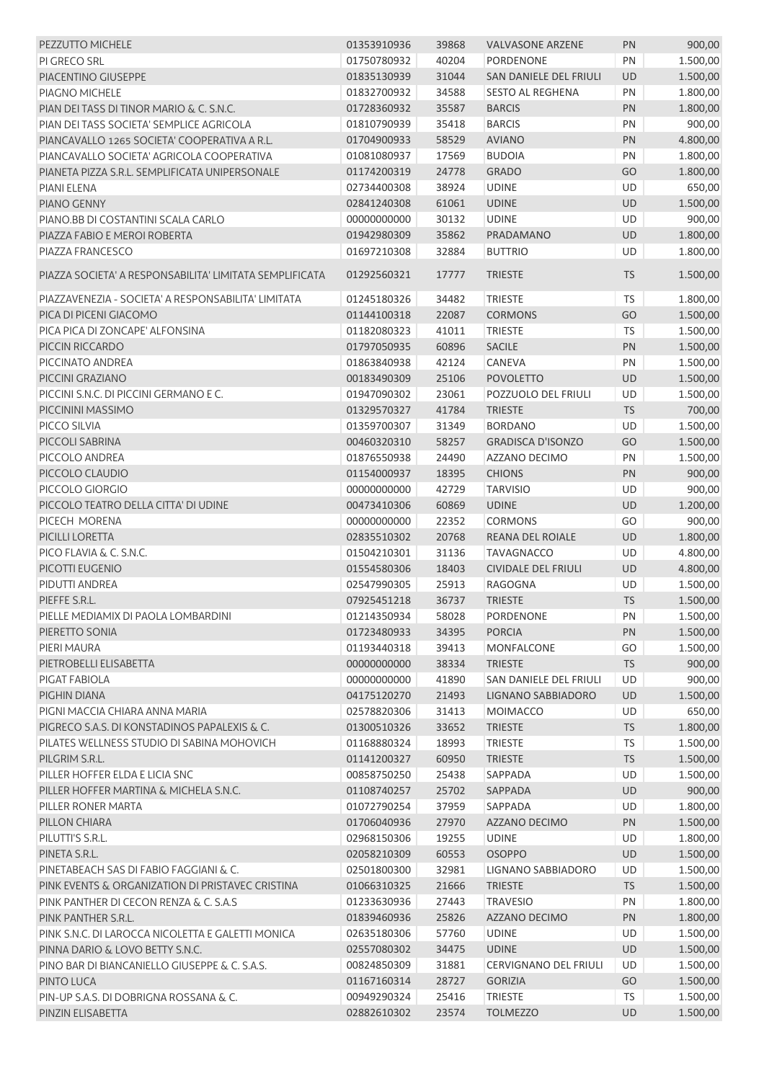| <b>PEZZUTTO MICHELE</b>                                 | 01353910936 | 39868 | <b>VALVASONE ARZENE</b>      | PN        | 900,00   |
|---------------------------------------------------------|-------------|-------|------------------------------|-----------|----------|
| PI GRECO SRL                                            | 01750780932 | 40204 | <b>PORDENONE</b>             | PN        | 1.500,00 |
| PIACENTINO GIUSEPPE                                     | 01835130939 | 31044 | SAN DANIELE DEL FRIULI       | <b>UD</b> | 1.500,00 |
| PIAGNO MICHELE                                          | 01832700932 | 34588 | <b>SESTO AL REGHENA</b>      | PN        | 1.800,00 |
| PIAN DEI TASS DI TINOR MARIO & C. S.N.C.                | 01728360932 | 35587 | <b>BARCIS</b>                | PN        | 1.800,00 |
| PIAN DEI TASS SOCIETA' SEMPLICE AGRICOLA                | 01810790939 | 35418 | <b>BARCIS</b>                | PN        | 900,00   |
| PIANCAVALLO 1265 SOCIETA' COOPERATIVA A R.L.            | 01704900933 | 58529 | <b>AVIANO</b>                | PN        | 4.800,00 |
| PIANCAVALLO SOCIETA' AGRICOLA COOPERATIVA               | 01081080937 | 17569 | <b>BUDOIA</b>                | PN        | 1.800,00 |
| PIANETA PIZZA S.R.L. SEMPLIFICATA UNIPERSONALE          | 01174200319 | 24778 | <b>GRADO</b>                 | GO        | 1.800,00 |
| PIANI ELENA                                             | 02734400308 | 38924 | <b>UDINE</b>                 | UD        | 650,00   |
| PIANO GENNY                                             | 02841240308 | 61061 | <b>UDINE</b>                 | UD        | 1.500,00 |
| PIANO.BB DI COSTANTINI SCALA CARLO                      | 00000000000 | 30132 | <b>UDINE</b>                 | UD        | 900,00   |
| PIAZZA FABIO E MEROI ROBERTA                            | 01942980309 | 35862 | PRADAMANO                    | UD        | 1.800,00 |
| PIAZZA FRANCESCO                                        | 01697210308 | 32884 | <b>BUTTRIO</b>               | UD        | 1.800,00 |
|                                                         |             |       |                              |           |          |
| PIAZZA SOCIETA' A RESPONSABILITA' LIMITATA SEMPLIFICATA | 01292560321 | 17777 | <b>TRIESTE</b>               | <b>TS</b> | 1.500,00 |
| PIAZZAVENEZIA - SOCIETA' A RESPONSABILITA' LIMITATA     | 01245180326 | 34482 | <b>TRIESTE</b>               | TS        | 1.800,00 |
| PICA DI PICENI GIACOMO                                  | 01144100318 | 22087 | <b>CORMONS</b>               | GO        | 1.500,00 |
| PICA PICA DI ZONCAPE' ALFONSINA                         | 01182080323 | 41011 | <b>TRIESTE</b>               | TS        | 1.500,00 |
| PICCIN RICCARDO                                         | 01797050935 | 60896 | <b>SACILE</b>                | PN        | 1.500,00 |
| PICCINATO ANDREA                                        | 01863840938 | 42124 | CANEVA                       | PN        | 1.500,00 |
| PICCINI GRAZIANO                                        | 00183490309 | 25106 | <b>POVOLETTO</b>             | <b>UD</b> | 1.500,00 |
| PICCINI S.N.C. DI PICCINI GERMANO E C.                  | 01947090302 | 23061 | POZZUOLO DEL FRIULI          | UD        | 1.500,00 |
| PICCININI MASSIMO                                       | 01329570327 | 41784 | <b>TRIESTE</b>               | <b>TS</b> | 700,00   |
| PICCO SILVIA                                            | 01359700307 | 31349 | <b>BORDANO</b>               | UD        | 1.500,00 |
| PICCOLI SABRINA                                         | 00460320310 | 58257 | <b>GRADISCA D'ISONZO</b>     | GO        | 1.500,00 |
| PICCOLO ANDREA                                          | 01876550938 | 24490 | AZZANO DECIMO                | PN        | 1.500,00 |
| PICCOLO CLAUDIO                                         | 01154000937 | 18395 | <b>CHIONS</b>                | PN        | 900,00   |
| PICCOLO GIORGIO                                         | 00000000000 | 42729 | <b>TARVISIO</b>              | UD        | 900,00   |
| PICCOLO TEATRO DELLA CITTA' DI UDINE                    | 00473410306 | 60869 | <b>UDINE</b>                 | UD        | 1.200,00 |
| PICECH MORENA                                           | 00000000000 | 22352 | <b>CORMONS</b>               | GO        | 900,00   |
| PICILLI LORETTA                                         | 02835510302 | 20768 | <b>REANA DEL ROIALE</b>      | <b>UD</b> | 1.800,00 |
| PICO FLAVIA & C. S.N.C.                                 | 01504210301 | 31136 | <b>TAVAGNACCO</b>            | UD        | 4.800,00 |
| PICOTTI EUGENIO                                         | 01554580306 | 18403 | CIVIDALE DEL FRIULI          | <b>UD</b> | 4.800,00 |
| PIDUTTI ANDREA                                          | 02547990305 | 25913 | <b>RAGOGNA</b>               | UD        | 1.500,00 |
| PIEFFE S.R.L.                                           | 07925451218 | 36737 | <b>TRIESTE</b>               | <b>TS</b> | 1.500,00 |
| PIELLE MEDIAMIX DI PAOLA LOMBARDINI                     | 01214350934 | 58028 | PORDENONE                    | PN        | 1.500,00 |
| PIERETTO SONIA                                          | 01723480933 | 34395 | <b>PORCIA</b>                | PN        | 1.500,00 |
| PIERI MAURA                                             | 01193440318 | 39413 | <b>MONFALCONE</b>            | GO        | 1.500,00 |
| PIETROBELLI ELISABETTA                                  | 00000000000 | 38334 | <b>TRIESTE</b>               | <b>TS</b> | 900,00   |
|                                                         |             |       |                              |           |          |
| PIGAT FABIOLA                                           | 00000000000 | 41890 | SAN DANIELE DEL FRIULI       | UD        | 900,00   |
| PIGHIN DIANA                                            | 04175120270 | 21493 | LIGNANO SABBIADORO           | UD        | 1.500,00 |
| PIGNI MACCIA CHIARA ANNA MARIA                          | 02578820306 | 31413 | <b>MOIMACCO</b>              | UD        | 650,00   |
| PIGRECO S.A.S. DI KONSTADINOS PAPALEXIS & C.            | 01300510326 | 33652 | <b>TRIESTE</b>               | <b>TS</b> | 1.800,00 |
| PILATES WELLNESS STUDIO DI SABINA MOHOVICH              | 01168880324 | 18993 | <b>TRIESTE</b>               | <b>TS</b> | 1.500,00 |
| PILGRIM S.R.L.                                          | 01141200327 | 60950 | <b>TRIESTE</b>               | <b>TS</b> | 1.500,00 |
| PILLER HOFFER ELDA E LICIA SNC                          | 00858750250 | 25438 | SAPPADA                      | UD        | 1.500,00 |
| PILLER HOFFER MARTINA & MICHELA S.N.C.                  | 01108740257 | 25702 | SAPPADA                      | UD        | 900,00   |
| PILLER RONER MARTA                                      | 01072790254 | 37959 | SAPPADA                      | UD        | 1.800,00 |
| PILLON CHIARA                                           | 01706040936 | 27970 | AZZANO DECIMO                | PN        | 1.500,00 |
| PILUTTI'S S.R.L.                                        | 02968150306 | 19255 | <b>UDINE</b>                 | UD        | 1.800,00 |
| PINETA S.R.L.                                           | 02058210309 | 60553 | <b>OSOPPO</b>                | UD        | 1.500,00 |
| PINETABEACH SAS DI FABIO FAGGIANI & C.                  | 02501800300 | 32981 | LIGNANO SABBIADORO           | UD        | 1.500,00 |
| PINK EVENTS & ORGANIZATION DI PRISTAVEC CRISTINA        | 01066310325 | 21666 | <b>TRIESTE</b>               | <b>TS</b> | 1.500,00 |
| PINK PANTHER DI CECON RENZA & C. S.A.S                  | 01233630936 | 27443 | <b>TRAVESIO</b>              | PN        | 1.800,00 |
| PINK PANTHER S.R.L.                                     | 01839460936 | 25826 | AZZANO DECIMO                | PN        | 1.800,00 |
| PINK S.N.C. DI LAROCCA NICOLETTA E GALETTI MONICA       | 02635180306 | 57760 | <b>UDINE</b>                 | UD        | 1.500,00 |
| PINNA DARIO & LOVO BETTY S.N.C.                         | 02557080302 | 34475 | <b>UDINE</b>                 | <b>UD</b> | 1.500,00 |
| PINO BAR DI BIANCANIELLO GIUSEPPE & C. S.A.S.           | 00824850309 | 31881 | <b>CERVIGNANO DEL FRIULI</b> | UD        | 1.500,00 |
| PINTO LUCA                                              | 01167160314 | 28727 | <b>GORIZIA</b>               | GO        | 1.500,00 |
| PIN-UP S.A.S. DI DOBRIGNA ROSSANA & C.                  | 00949290324 | 25416 | <b>TRIESTE</b>               | <b>TS</b> | 1.500,00 |
| PINZIN ELISABETTA                                       | 02882610302 | 23574 | <b>TOLMEZZO</b>              | <b>UD</b> | 1.500,00 |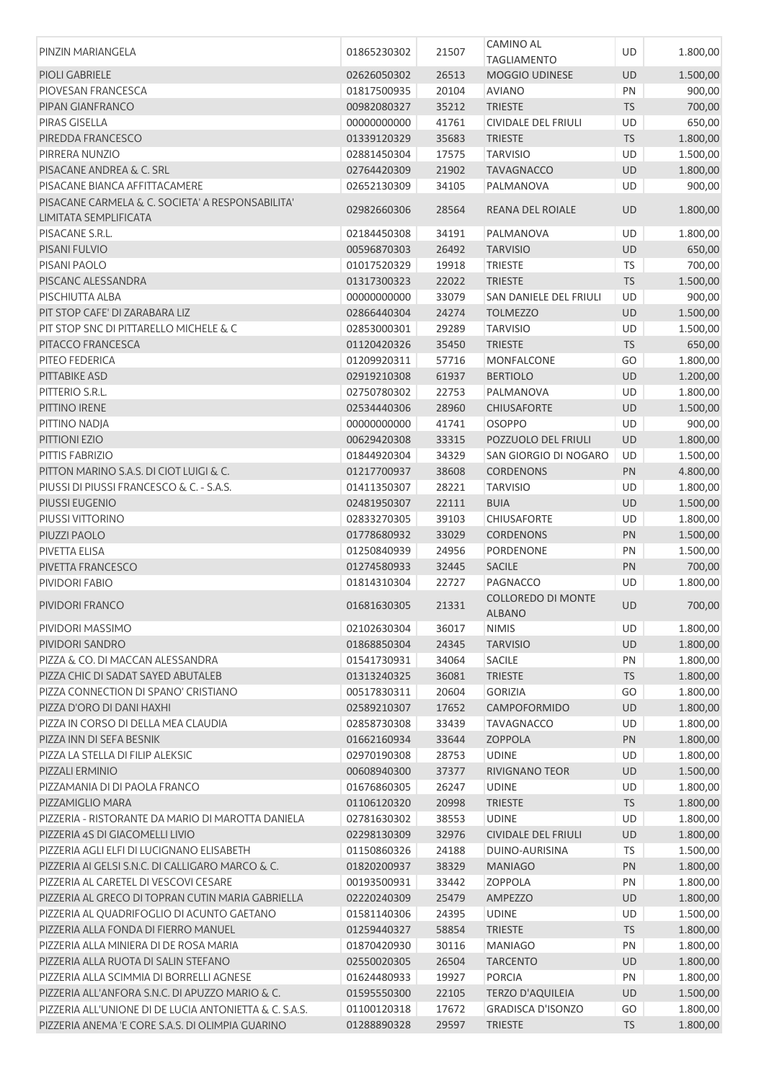|                                                        |             |       | <b>CAMINO AL</b>              |            |          |
|--------------------------------------------------------|-------------|-------|-------------------------------|------------|----------|
| PINZIN MARIANGELA                                      | 01865230302 | 21507 | <b>TAGLIAMENTO</b>            | UD         | 1.800,00 |
| PIOLI GABRIELE                                         |             |       |                               |            |          |
|                                                        | 02626050302 | 26513 | <b>MOGGIO UDINESE</b>         | UD         | 1.500,00 |
| PIOVESAN FRANCESCA                                     | 01817500935 | 20104 | <b>AVIANO</b>                 | PN         | 900,00   |
| PIPAN GIANFRANCO                                       | 00982080327 | 35212 | <b>TRIESTE</b>                | <b>TS</b>  | 700,00   |
| PIRAS GISELLA                                          | 00000000000 | 41761 | <b>CIVIDALE DEL FRIULI</b>    | UD         | 650,00   |
| PIREDDA FRANCESCO                                      | 01339120329 | 35683 | <b>TRIESTE</b>                | <b>TS</b>  | 1.800,00 |
| PIRRERA NUNZIO                                         | 02881450304 | 17575 | <b>TARVISIO</b>               | UD         | 1.500,00 |
| PISACANE ANDREA & C. SRL                               | 02764420309 | 21902 | <b>TAVAGNACCO</b>             | <b>UD</b>  | 1.800,00 |
| PISACANE BIANCA AFFITTACAMERE                          | 02652130309 | 34105 | PALMANOVA                     | UD         | 900,00   |
| PISACANE CARMELA & C. SOCIETA' A RESPONSABILITA'       |             |       |                               |            |          |
| LIMITATA SEMPLIFICATA                                  | 02982660306 | 28564 | REANA DEL ROIALE              | <b>UD</b>  | 1.800,00 |
| PISACANE S.R.L.                                        | 02184450308 | 34191 | PALMANOVA                     | UD         | 1.800,00 |
| PISANI FULVIO                                          | 00596870303 | 26492 | <b>TARVISIO</b>               | <b>UD</b>  | 650,00   |
| PISANI PAOLO                                           | 01017520329 | 19918 | <b>TRIESTE</b>                | <b>TS</b>  | 700,00   |
| PISCANC ALESSANDRA                                     | 01317300323 | 22022 | <b>TRIESTE</b>                | <b>TS</b>  | 1.500,00 |
| PISCHIUTTA ALBA                                        | 00000000000 | 33079 | <b>SAN DANIELE DEL FRIULI</b> | UD         | 900,00   |
| PIT STOP CAFE' DI ZARABARA LIZ                         | 02866440304 | 24274 | <b>TOLMEZZO</b>               | UD         | 1.500,00 |
| PIT STOP SNC DI PITTARELLO MICHELE & C                 | 02853000301 | 29289 | <b>TARVISIO</b>               | UD         | 1.500,00 |
| PITACCO FRANCESCA                                      |             |       |                               |            | 650,00   |
|                                                        | 01120420326 | 35450 | <b>TRIESTE</b>                | <b>TS</b>  |          |
| PITEO FEDERICA                                         | 01209920311 | 57716 | MONFALCONE                    | GO         | 1.800,00 |
| PITTABIKE ASD                                          | 02919210308 | 61937 | <b>BERTIOLO</b>               | UD         | 1.200,00 |
| PITTERIO S.R.L.                                        | 02750780302 | 22753 | PALMANOVA                     | UD         | 1.800,00 |
| PITTINO IRENE                                          | 02534440306 | 28960 | <b>CHIUSAFORTE</b>            | UD         | 1.500,00 |
| PITTINO NADJA                                          | 00000000000 | 41741 | <b>OSOPPO</b>                 | UD         | 900,00   |
| PITTIONI EZIO                                          | 00629420308 | 33315 | POZZUOLO DEL FRIULI           | UD         | 1.800,00 |
| PITTIS FABRIZIO                                        | 01844920304 | 34329 | SAN GIORGIO DI NOGARO         | UD         | 1.500,00 |
| PITTON MARINO S.A.S. DI CIOT LUIGI & C.                | 01217700937 | 38608 | <b>CORDENONS</b>              | PN         | 4.800,00 |
| PIUSSI DI PIUSSI FRANCESCO & C. - S.A.S.               | 01411350307 | 28221 | <b>TARVISIO</b>               | UD         | 1.800,00 |
| PIUSSI EUGENIO                                         | 02481950307 | 22111 | <b>BUIA</b>                   | UD         | 1.500,00 |
| PIUSSI VITTORINO                                       | 02833270305 | 39103 | CHIUSAFORTE                   | UD         | 1.800,00 |
| PIUZZI PAOLO                                           | 01778680932 | 33029 | <b>CORDENONS</b>              | PN         | 1.500,00 |
| PIVETTA ELISA                                          | 01250840939 | 24956 | PORDENONE                     | PN         | 1.500,00 |
| PIVETTA FRANCESCO                                      | 01274580933 | 32445 | <b>SACILE</b>                 | PN         | 700,00   |
| PIVIDORI FABIO                                         |             |       | PAGNACCO                      | UD         |          |
|                                                        | 01814310304 | 22727 |                               |            | 1.800,00 |
| PIVIDORI FRANCO                                        | 01681630305 | 21331 | <b>COLLOREDO DI MONTE</b>     | <b>UD</b>  | 700,00   |
|                                                        |             |       | ALBANO                        |            |          |
| PIVIDORI MASSIMO                                       | 02102630304 | 36017 | <b>NIMIS</b>                  | UD         | 1.800,00 |
| PIVIDORI SANDRO                                        | 01868850304 | 24345 | <b>TARVISIO</b>               | UD         | 1.800,00 |
| PIZZA & CO. DI MACCAN ALESSANDRA                       | 01541730931 | 34064 | <b>SACILE</b>                 | PN         | 1.800,00 |
| PIZZA CHIC DI SADAT SAYED ABUTALEB                     | 01313240325 | 36081 | <b>TRIESTE</b>                | <b>TS</b>  | 1.800,00 |
| PIZZA CONNECTION DI SPANO' CRISTIANO                   | 00517830311 | 20604 | <b>GORIZIA</b>                | GO         | 1.800,00 |
| PIZZA D'ORO DI DANI HAXHI                              | 02589210307 | 17652 | CAMPOFORMIDO                  | UD         | 1.800,00 |
| PIZZA IN CORSO DI DELLA MEA CLAUDIA                    | 02858730308 | 33439 | <b>TAVAGNACCO</b>             | UD         | 1.800,00 |
| PIZZA INN DI SEFA BESNIK                               | 01662160934 | 33644 | ZOPPOLA                       | PN         | 1.800,00 |
| PIZZA LA STELLA DI FILIP ALEKSIC                       | 02970190308 | 28753 | <b>UDINE</b>                  | UD         | 1.800,00 |
| PIZZALI ERMINIO                                        | 00608940300 | 37377 | <b>RIVIGNANO TEOR</b>         | UD         | 1.500,00 |
| PIZZAMANIA DI DI PAOLA FRANCO                          | 01676860305 | 26247 | <b>UDINE</b>                  | UD         | 1.800,00 |
| PIZZAMIGLIO MARA                                       | 01106120320 | 20998 | <b>TRIESTE</b>                | <b>TS</b>  | 1.800,00 |
| PIZZERIA - RISTORANTE DA MARIO DI MAROTTA DANIELA      | 02781630302 | 38553 | <b>UDINE</b>                  | UD         | 1.800,00 |
| PIZZERIA 4S DI GIACOMELLI LIVIO                        | 02298130309 | 32976 | <b>CIVIDALE DEL FRIULI</b>    | UD         | 1.800,00 |
| PIZZERIA AGLI ELFI DI LUCIGNANO ELISABETH              | 01150860326 | 24188 | DUINO-AURISINA                | <b>TS</b>  | 1.500,00 |
| PIZZERIA AI GELSI S.N.C. DI CALLIGARO MARCO & C.       | 01820200937 | 38329 | <b>MANIAGO</b>                | PN         | 1.800,00 |
|                                                        |             |       |                               |            |          |
| PIZZERIA AL CARETEL DI VESCOVI CESARE                  | 00193500931 | 33442 | <b>ZOPPOLA</b>                | PN         | 1.800,00 |
| PIZZERIA AL GRECO DI TOPRAN CUTIN MARIA GABRIELLA      | 02220240309 | 25479 | AMPEZZO                       | UD         | 1.800,00 |
| PIZZERIA AL QUADRIFOGLIO DI ACUNTO GAETANO             | 01581140306 | 24395 | <b>UDINE</b>                  | UD         | 1.500,00 |
| PIZZERIA ALLA FONDA DI FIERRO MANUEL                   | 01259440327 | 58854 | <b>TRIESTE</b>                | ${\sf TS}$ | 1.800,00 |
| PIZZERIA ALLA MINIERA DI DE ROSA MARIA                 | 01870420930 | 30116 | <b>MANIAGO</b>                | PN         | 1.800,00 |
| PIZZERIA ALLA RUOTA DI SALIN STEFANO                   | 02550020305 | 26504 | <b>TARCENTO</b>               | UD         | 1.800,00 |
| PIZZERIA ALLA SCIMMIA DI BORRELLI AGNESE               | 01624480933 | 19927 | <b>PORCIA</b>                 | PN         | 1.800,00 |
| PIZZERIA ALL'ANFORA S.N.C. DI APUZZO MARIO & C.        | 01595550300 | 22105 | <b>TERZO D'AQUILEIA</b>       | UD         | 1.500,00 |
| PIZZERIA ALL'UNIONE DI DE LUCIA ANTONIETTA & C. S.A.S. | 01100120318 | 17672 | <b>GRADISCA D'ISONZO</b>      | GO         | 1.800,00 |
| PIZZERIA ANEMA 'E CORE S.A.S. DI OLIMPIA GUARINO       | 01288890328 | 29597 | <b>TRIESTE</b>                | <b>TS</b>  | 1.800,00 |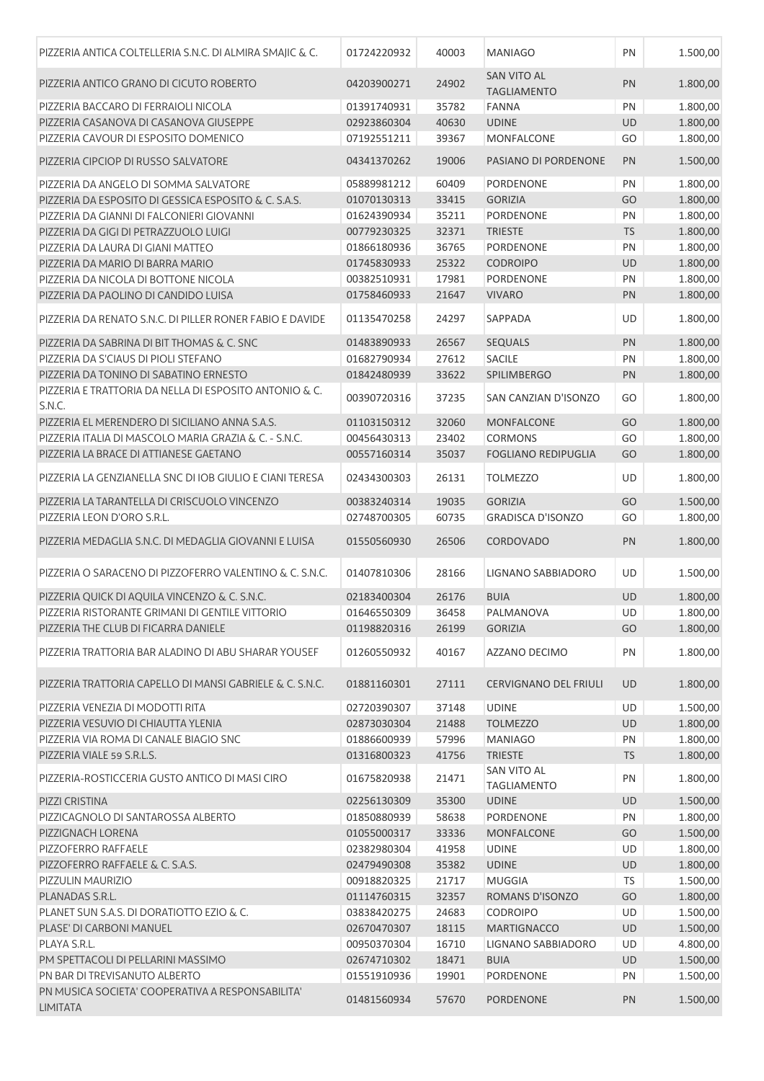| PIZZERIA ANTICA COLTELLERIA S.N.C. DI ALMIRA SMAJIC & C.            | 01724220932 | 40003 | <b>MANIAGO</b>                           | PN        | 1.500,00 |
|---------------------------------------------------------------------|-------------|-------|------------------------------------------|-----------|----------|
| PIZZERIA ANTICO GRANO DI CICUTO ROBERTO                             | 04203900271 | 24902 | <b>SAN VITO AL</b><br><b>TAGLIAMENTO</b> | PN        | 1.800,00 |
| PIZZERIA BACCARO DI FERRAIOLI NICOLA                                | 01391740931 | 35782 | <b>FANNA</b>                             | PN        | 1.800,00 |
| PIZZERIA CASANOVA DI CASANOVA GIUSEPPE                              | 02923860304 | 40630 | <b>UDINE</b>                             | UD        | 1.800,00 |
| PIZZERIA CAVOUR DI ESPOSITO DOMENICO                                | 07192551211 | 39367 | MONFALCONE                               | GO        | 1.800,00 |
| PIZZERIA CIPCIOP DI RUSSO SALVATORE                                 | 04341370262 | 19006 | PASIANO DI PORDENONE                     | PN        | 1.500,00 |
| PIZZERIA DA ANGELO DI SOMMA SALVATORE                               | 05889981212 | 60409 | <b>PORDENONE</b>                         | PN        | 1.800,00 |
| PIZZERIA DA ESPOSITO DI GESSICA ESPOSITO & C. S.A.S.                | 01070130313 | 33415 | <b>GORIZIA</b>                           | GO        | 1.800,00 |
| PIZZERIA DA GIANNI DI FALCONIERI GIOVANNI                           | 01624390934 | 35211 | <b>PORDENONE</b>                         | PN        | 1.800,00 |
| PIZZERIA DA GIGI DI PETRAZZUOLO LUIGI                               | 00779230325 | 32371 | <b>TRIESTE</b>                           | <b>TS</b> | 1.800,00 |
| PIZZERIA DA LAURA DI GIANI MATTEO                                   | 01866180936 | 36765 | PORDENONE                                | PN        | 1.800,00 |
| PIZZERIA DA MARIO DI BARRA MARIO                                    | 01745830933 | 25322 | <b>CODROIPO</b>                          | <b>UD</b> | 1.800,00 |
| PIZZERIA DA NICOLA DI BOTTONE NICOLA                                | 00382510931 | 17981 | PORDENONE                                | PN        | 1.800,00 |
| PIZZERIA DA PAOLINO DI CANDIDO LUISA                                | 01758460933 | 21647 | <b>VIVARO</b>                            | PN        | 1.800,00 |
| PIZZERIA DA RENATO S.N.C. DI PILLER RONER FABIO E DAVIDE            | 01135470258 | 24297 | SAPPADA                                  | UD        | 1.800,00 |
| PIZZERIA DA SABRINA DI BIT THOMAS & C. SNC                          | 01483890933 | 26567 | <b>SEQUALS</b>                           | PN        | 1.800,00 |
| PIZZERIA DA S'CIAUS DI PIOLI STEFANO                                | 01682790934 | 27612 | <b>SACILE</b>                            | PN        | 1.800,00 |
| PIZZERIA DA TONINO DI SABATINO ERNESTO                              | 01842480939 | 33622 | SPILIMBERGO                              | PN        | 1.800,00 |
| PIZZERIA E TRATTORIA DA NELLA DI ESPOSITO ANTONIO & C.<br>S.N.C.    | 00390720316 | 37235 | SAN CANZIAN D'ISONZO                     | GO        | 1.800,00 |
| PIZZERIA EL MERENDERO DI SICILIANO ANNA S.A.S.                      | 01103150312 | 32060 | <b>MONFALCONE</b>                        | GO        | 1.800,00 |
| PIZZERIA ITALIA DI MASCOLO MARIA GRAZIA & C. - S.N.C.               | 00456430313 | 23402 | <b>CORMONS</b>                           | GO        | 1.800,00 |
| PIZZERIA LA BRACE DI ATTIANESE GAETANO                              | 00557160314 | 35037 | <b>FOGLIANO REDIPUGLIA</b>               | GO        | 1.800,00 |
| PIZZERIA LA GENZIANELLA SNC DI IOB GIULIO E CIANI TERESA            | 02434300303 | 26131 | <b>TOLMEZZO</b>                          | UD        | 1.800,00 |
| PIZZERIA LA TARANTELLA DI CRISCUOLO VINCENZO                        | 00383240314 | 19035 | <b>GORIZIA</b>                           | GO        | 1.500,00 |
| PIZZERIA LEON D'ORO S.R.L.                                          | 02748700305 | 60735 | <b>GRADISCA D'ISONZO</b>                 | GO        | 1.800,00 |
| PIZZERIA MEDAGLIA S.N.C. DI MEDAGLIA GIOVANNI E LUISA               | 01550560930 | 26506 | <b>CORDOVADO</b>                         | PN        | 1.800,00 |
| PIZZERIA O SARACENO DI PIZZOFERRO VALENTINO & C. S.N.C.             | 01407810306 | 28166 | LIGNANO SABBIADORO                       | UD        | 1.500,00 |
| PIZZERIA QUICK DI AQUILA VINCENZO & C. S.N.C.                       | 02183400304 | 26176 | <b>BUIA</b>                              | UD        | 1.800,00 |
| PIZZERIA RISTORANTE GRIMANI DI GENTILE VITTORIO                     | 01646550309 | 36458 | PALMANOVA                                | UD        | 1.800,00 |
| PIZZERIA THE CLUB DI FICARRA DANIELE                                | 01198820316 | 26199 | <b>GORIZIA</b>                           | GO        | 1.800,00 |
| PIZZERIA TRATTORIA BAR ALADINO DI ABU SHARAR YOUSEF                 | 01260550932 | 40167 | AZZANO DECIMO                            | PN        | 1.800,00 |
| PIZZERIA TRATTORIA CAPELLO DI MANSI GABRIELE & C. S.N.C.            | 01881160301 | 27111 | <b>CERVIGNANO DEL FRIULI</b>             | UD        | 1.800,00 |
| PIZZERIA VENEZIA DI MODOTTI RITA                                    | 02720390307 | 37148 | <b>UDINE</b>                             | UD        | 1.500,00 |
| PIZZERIA VESUVIO DI CHIAUTTA YLENIA                                 | 02873030304 | 21488 | <b>TOLMEZZO</b>                          | UD        | 1.800,00 |
| PIZZERIA VIA ROMA DI CANALE BIAGIO SNC                              | 01886600939 | 57996 | <b>MANIAGO</b>                           | PN        | 1.800,00 |
| PIZZERIA VIALE 59 S.R.L.S.                                          | 01316800323 | 41756 | <b>TRIESTE</b>                           | <b>TS</b> | 1.800,00 |
| PIZZERIA-ROSTICCERIA GUSTO ANTICO DI MASI CIRO                      | 01675820938 | 21471 | <b>SAN VITO AL</b><br><b>TAGLIAMENTO</b> | PN        | 1.800,00 |
| PIZZI CRISTINA                                                      | 02256130309 | 35300 | <b>UDINE</b>                             | UD        | 1.500,00 |
| PIZZICAGNOLO DI SANTAROSSA ALBERTO                                  | 01850880939 | 58638 | PORDENONE                                | PN        | 1.800,00 |
| PIZZIGNACH LORENA                                                   | 01055000317 | 33336 | <b>MONFALCONE</b>                        | GO        | 1.500,00 |
| PIZZOFERRO RAFFAELE                                                 | 02382980304 | 41958 | <b>UDINE</b>                             | UD        | 1.800,00 |
| PIZZOFERRO RAFFAELE & C. S.A.S.                                     | 02479490308 | 35382 | <b>UDINE</b>                             | UD        | 1.800,00 |
| PIZZULIN MAURIZIO                                                   | 00918820325 | 21717 | <b>MUGGIA</b>                            | <b>TS</b> | 1.500,00 |
| PLANADAS S.R.L.                                                     | 01114760315 | 32357 | ROMANS D'ISONZO                          | GO        | 1.800,00 |
| PLANET SUN S.A.S. DI DORATIOTTO EZIO & C.                           | 03838420275 | 24683 | <b>CODROIPO</b>                          | UD        | 1.500,00 |
| PLASE' DI CARBONI MANUEL                                            | 02670470307 | 18115 | <b>MARTIGNACCO</b>                       | UD        | 1.500,00 |
| PLAYA S.R.L.                                                        | 00950370304 | 16710 | LIGNANO SABBIADORO                       | UD        | 4.800,00 |
| PM SPETTACOLI DI PELLARINI MASSIMO                                  | 02674710302 | 18471 | <b>BUIA</b>                              | UD        | 1.500,00 |
| PN BAR DI TREVISANUTO ALBERTO                                       | 01551910936 | 19901 | PORDENONE                                | PN        | 1.500,00 |
| PN MUSICA SOCIETA' COOPERATIVA A RESPONSABILITA'<br><b>LIMITATA</b> | 01481560934 | 57670 | PORDENONE                                | <b>PN</b> | 1.500,00 |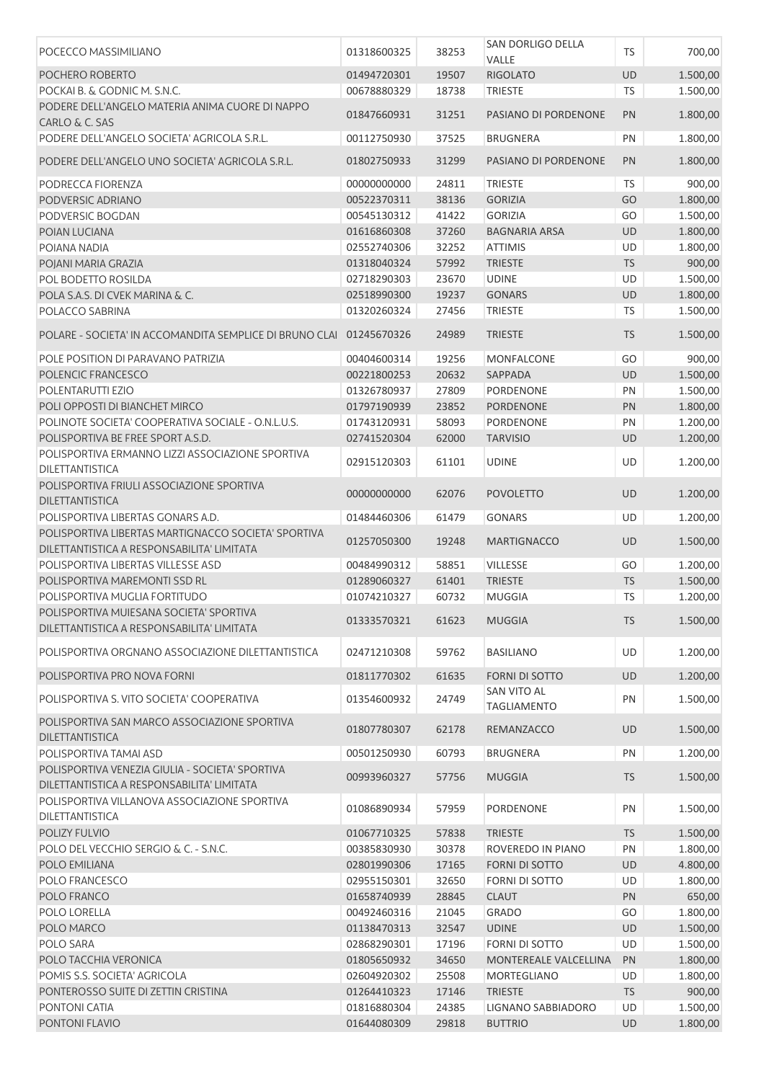| POCECCO MASSIMILIANO                                                                              | 01318600325 | 38253 | SAN DORLIGO DELLA<br>VALLE        | <b>TS</b> | 700,00   |
|---------------------------------------------------------------------------------------------------|-------------|-------|-----------------------------------|-----------|----------|
| POCHERO ROBERTO                                                                                   | 01494720301 | 19507 | <b>RIGOLATO</b>                   | UD        | 1.500,00 |
| POCKAI B. & GODNIC M. S.N.C.                                                                      | 00678880329 | 18738 | <b>TRIESTE</b>                    | <b>TS</b> | 1.500,00 |
| PODERE DELL'ANGELO MATERIA ANIMA CUORE DI NAPPO<br>CARLO & C. SAS                                 | 01847660931 | 31251 | PASIANO DI PORDENONE              | PN        | 1.800,00 |
| PODERE DELL'ANGELO SOCIETA' AGRICOLA S.R.L.                                                       | 00112750930 | 37525 | <b>BRUGNERA</b>                   | PN        | 1.800,00 |
| PODERE DELL'ANGELO UNO SOCIETA' AGRICOLA S.R.L.                                                   | 01802750933 | 31299 | PASIANO DI PORDENONE              | PN        | 1.800,00 |
| PODRECCA FIORENZA                                                                                 | 00000000000 | 24811 | <b>TRIESTE</b>                    | <b>TS</b> | 900,00   |
| PODVERSIC ADRIANO                                                                                 | 00522370311 | 38136 | <b>GORIZIA</b>                    | GO        | 1.800,00 |
| PODVERSIC BOGDAN                                                                                  | 00545130312 | 41422 | <b>GORIZIA</b>                    | GO        | 1.500,00 |
| POIAN LUCIANA                                                                                     | 01616860308 | 37260 | <b>BAGNARIA ARSA</b>              | UD        | 1.800,00 |
| POIANA NADIA                                                                                      | 02552740306 | 32252 | <b>ATTIMIS</b>                    | UD        | 1.800,00 |
| POJANI MARIA GRAZIA                                                                               | 01318040324 | 57992 | <b>TRIESTE</b>                    | <b>TS</b> | 900,00   |
| POL BODETTO ROSILDA                                                                               | 02718290303 | 23670 | <b>UDINE</b>                      | UD        | 1.500,00 |
| POLA S.A.S. DI CVEK MARINA & C.                                                                   | 02518990300 | 19237 | <b>GONARS</b>                     | UD        | 1.800,00 |
| POLACCO SABRINA                                                                                   | 01320260324 | 27456 | <b>TRIESTE</b>                    | <b>TS</b> | 1.500,00 |
| POLARE - SOCIETA' IN ACCOMANDITA SEMPLICE DI BRUNO CLAI                                           | 01245670326 | 24989 | <b>TRIESTE</b>                    | <b>TS</b> | 1.500,00 |
| POLE POSITION DI PARAVANO PATRIZIA                                                                | 00404600314 | 19256 | MONFALCONE                        | GO        | 900,00   |
| POLENCIC FRANCESCO                                                                                | 00221800253 | 20632 | SAPPADA                           | UD        | 1.500,00 |
| POLENTARUTTI EZIO                                                                                 | 01326780937 | 27809 | PORDENONE                         | PN        | 1.500,00 |
| POLI OPPOSTI DI BIANCHET MIRCO                                                                    | 01797190939 | 23852 | <b>PORDENONE</b>                  | PN        | 1.800,00 |
| POLINOTE SOCIETA' COOPERATIVA SOCIALE - O.N.L.U.S.                                                | 01743120931 | 58093 | PORDENONE                         | PN        | 1.200,00 |
| POLISPORTIVA BE FREE SPORT A.S.D.                                                                 | 02741520304 | 62000 | <b>TARVISIO</b>                   | UD        | 1.200,00 |
| POLISPORTIVA ERMANNO LIZZI ASSOCIAZIONE SPORTIVA<br>DILETTANTISTICA                               | 02915120303 | 61101 | <b>UDINE</b>                      | UD        | 1.200,00 |
| POLISPORTIVA FRIULI ASSOCIAZIONE SPORTIVA<br>DILETTANTISTICA                                      | 00000000000 | 62076 | <b>POVOLETTO</b>                  | <b>UD</b> | 1.200,00 |
| POLISPORTIVA LIBERTAS GONARS A.D.                                                                 | 01484460306 | 61479 | <b>GONARS</b>                     | UD        | 1.200,00 |
| POLISPORTIVA LIBERTAS MARTIGNACCO SOCIETA' SPORTIVA<br>DILETTANTISTICA A RESPONSABILITA' LIMITATA | 01257050300 | 19248 | <b>MARTIGNACCO</b>                | UD        | 1.500,00 |
| POLISPORTIVA LIBERTAS VILLESSE ASD                                                                | 00484990312 | 58851 | <b>VILLESSE</b>                   | GO        | 1.200,00 |
| POLISPORTIVA MAREMONTI SSD RL                                                                     | 01289060327 | 61401 | <b>TRIESTE</b>                    | <b>TS</b> | 1.500,00 |
| POLISPORTIVA MUGLIA FORTITUDO                                                                     | 01074210327 | 60732 | <b>MUGGIA</b>                     | <b>TS</b> | 1.200,00 |
| POLISPORTIVA MUIESANA SOCIETA' SPORTIVA                                                           |             |       |                                   |           |          |
| DILETTANTISTICA A RESPONSABILITA' LIMITATA                                                        | 01333570321 | 61623 | <b>MUGGIA</b>                     | <b>TS</b> | 1.500,00 |
| POLISPORTIVA ORGNANO ASSOCIAZIONE DILETTANTISTICA                                                 | 02471210308 | 59762 | <b>BASILIANO</b>                  | UD        | 1.200,00 |
| POLISPORTIVA PRO NOVA FORNI                                                                       | 01811770302 | 61635 | <b>FORNI DI SOTTO</b>             | <b>UD</b> | 1.200,00 |
| POLISPORTIVA S. VITO SOCIETA' COOPERATIVA                                                         | 01354600932 | 24749 | SAN VITO AL<br><b>TAGLIAMENTO</b> | PN        | 1.500,00 |
| POLISPORTIVA SAN MARCO ASSOCIAZIONE SPORTIVA<br><b>DILETTANTISTICA</b>                            | 01807780307 | 62178 | REMANZACCO                        | UD        | 1.500,00 |
| POLISPORTIVA TAMAI ASD                                                                            | 00501250930 | 60793 | BRUGNERA                          | PN        | 1.200,00 |
| POLISPORTIVA VENEZIA GIULIA - SOCIETA' SPORTIVA<br>DILETTANTISTICA A RESPONSABILITA' LIMITATA     | 00993960327 | 57756 | <b>MUGGIA</b>                     | <b>TS</b> | 1.500,00 |
| POLISPORTIVA VILLANOVA ASSOCIAZIONE SPORTIVA                                                      |             |       |                                   | PN        |          |
| DILETTANTISTICA                                                                                   | 01086890934 | 57959 | PORDENONE                         |           | 1.500,00 |
| <b>POLIZY FULVIO</b>                                                                              | 01067710325 | 57838 | <b>TRIESTE</b>                    | <b>TS</b> | 1.500,00 |
| POLO DEL VECCHIO SERGIO & C. - S.N.C.                                                             | 00385830930 | 30378 | ROVEREDO IN PIANO                 | PN        | 1.800,00 |
| POLO EMILIANA                                                                                     | 02801990306 | 17165 | <b>FORNI DI SOTTO</b>             | UD        | 4.800,00 |
| POLO FRANCESCO                                                                                    | 02955150301 | 32650 | <b>FORNI DI SOTTO</b>             | UD        | 1.800,00 |
| POLO FRANCO                                                                                       | 01658740939 | 28845 | <b>CLAUT</b>                      | PN        | 650,00   |
| POLO LORELLA                                                                                      | 00492460316 | 21045 | <b>GRADO</b>                      | GO        | 1.800,00 |
| POLO MARCO                                                                                        | 01138470313 | 32547 | <b>UDINE</b>                      | UD        | 1.500,00 |
| POLO SARA                                                                                         | 02868290301 | 17196 | <b>FORNI DI SOTTO</b>             | UD        | 1.500,00 |
| POLO TACCHIA VERONICA                                                                             | 01805650932 | 34650 | MONTEREALE VALCELLINA             | PN        | 1.800,00 |
| POMIS S.S. SOCIETA' AGRICOLA                                                                      | 02604920302 | 25508 | <b>MORTEGLIANO</b>                | UD        | 1.800,00 |
| PONTEROSSO SUITE DI ZETTIN CRISTINA                                                               | 01264410323 | 17146 | <b>TRIESTE</b>                    | <b>TS</b> | 900,00   |
| PONTONI CATIA                                                                                     | 01816880304 | 24385 | LIGNANO SABBIADORO                | UD        | 1.500,00 |
| PONTONI FLAVIO                                                                                    | 01644080309 | 29818 | <b>BUTTRIO</b>                    | <b>UD</b> | 1.800,00 |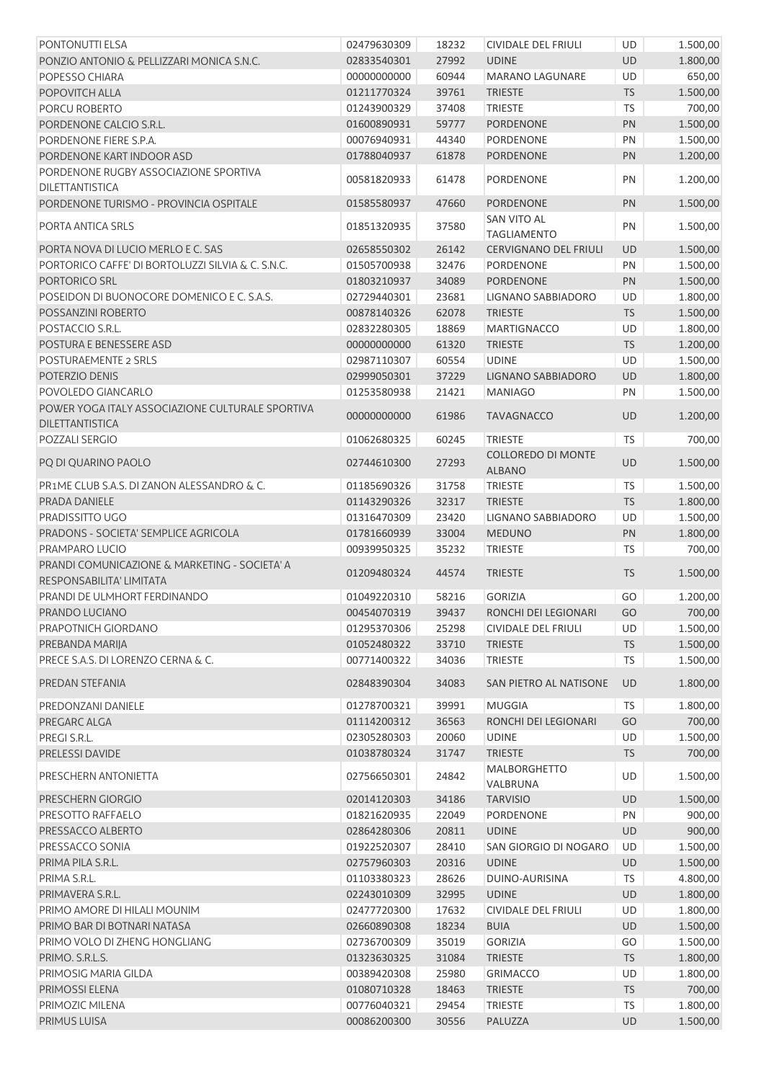| <b>PONTONUTTI ELSA</b>                            | 02479630309 | 18232 | CIVIDALE DEL FRIULI                        | UD        | 1.500,00 |
|---------------------------------------------------|-------------|-------|--------------------------------------------|-----------|----------|
| PONZIO ANTONIO & PELLIZZARI MONICA S.N.C.         | 02833540301 | 27992 | <b>UDINE</b>                               | UD        | 1.800,00 |
| POPESSO CHIARA                                    | 00000000000 | 60944 | <b>MARANO LAGUNARE</b>                     | <b>UD</b> | 650,00   |
| POPOVITCH ALLA                                    | 01211770324 | 39761 | <b>TRIESTE</b>                             | <b>TS</b> | 1.500,00 |
| PORCU ROBERTO                                     | 01243900329 | 37408 | <b>TRIESTE</b>                             | <b>TS</b> | 700,00   |
| PORDENONE CALCIO S.R.L.                           | 01600890931 | 59777 | <b>PORDENONE</b>                           | PN        | 1.500,00 |
| PORDENONE FIERE S.P.A.                            | 00076940931 | 44340 | <b>PORDENONE</b>                           | PN        | 1.500,00 |
| PORDENONE KART INDOOR ASD                         | 01788040937 | 61878 | <b>PORDENONE</b>                           | PN        | 1.200,00 |
| PORDENONE RUGBY ASSOCIAZIONE SPORTIVA             | 00581820933 | 61478 | PORDENONE                                  | PN        | 1.200,00 |
| DILETTANTISTICA                                   |             |       |                                            |           |          |
| PORDENONE TURISMO - PROVINCIA OSPITALE            | 01585580937 | 47660 | <b>PORDENONE</b>                           | PN        | 1.500,00 |
| PORTA ANTICA SRLS                                 | 01851320935 | 37580 | <b>SAN VITO AL</b><br><b>TAGLIAMENTO</b>   | PN        | 1.500,00 |
| PORTA NOVA DI LUCIO MERLO E C. SAS                | 02658550302 | 26142 | CERVIGNANO DEL FRIULI                      | UD        | 1.500,00 |
| PORTORICO CAFFE' DI BORTOLUZZI SILVIA & C. S.N.C. | 01505700938 | 32476 | <b>PORDENONE</b>                           | PN        | 1.500,00 |
| <b>PORTORICO SRL</b>                              | 01803210937 | 34089 | PORDENONE                                  | PN        | 1.500,00 |
| POSEIDON DI BUONOCORE DOMENICO E C. S.A.S.        | 02729440301 | 23681 | <b>LIGNANO SABBIADORO</b>                  | UD        | 1.800,00 |
| POSSANZINI ROBERTO                                | 00878140326 | 62078 | <b>TRIESTE</b>                             | TS        | 1.500,00 |
| POSTACCIO S.R.L.                                  | 02832280305 | 18869 | <b>MARTIGNACCO</b>                         | UD        | 1.800,00 |
| POSTURA E BENESSERE ASD                           | 00000000000 | 61320 | <b>TRIESTE</b>                             | TS        | 1.200,00 |
| <b>POSTURAEMENTE 2 SRLS</b>                       | 02987110307 | 60554 | <b>UDINE</b>                               | UD        | 1.500,00 |
| POTERZIO DENIS                                    | 02999050301 | 37229 | <b>LIGNANO SABBIADORO</b>                  | UD        | 1.800,00 |
| POVOLEDO GIANCARLO                                | 01253580938 | 21421 | <b>MANIAGO</b>                             | PN        | 1.500,00 |
| POWER YOGA ITALY ASSOCIAZIONE CULTURALE SPORTIVA  |             |       |                                            |           |          |
| DILETTANTISTICA                                   | 00000000000 | 61986 | <b>TAVAGNACCO</b>                          | UD        | 1.200,00 |
| POZZALI SERGIO                                    | 01062680325 | 60245 | <b>TRIESTE</b>                             | <b>TS</b> | 700,00   |
| PQ DI QUARINO PAOLO                               | 02744610300 | 27293 | <b>COLLOREDO DI MONTE</b><br><b>ALBANO</b> | UD        | 1.500,00 |
| PR1ME CLUB S.A.S. DI ZANON ALESSANDRO & C.        | 01185690326 | 31758 | <b>TRIESTE</b>                             | TS        | 1.500,00 |
| PRADA DANIELE                                     | 01143290326 | 32317 | <b>TRIESTE</b>                             | TS        | 1.800,00 |
| PRADISSITTO UGO                                   | 01316470309 | 23420 | <b>LIGNANO SABBIADORO</b>                  | UD        | 1.500,00 |
| PRADONS - SOCIETA' SEMPLICE AGRICOLA              | 01781660939 | 33004 | <b>MEDUNO</b>                              | PN        | 1.800,00 |
| PRAMPARO LUCIO                                    | 00939950325 | 35232 | <b>TRIESTE</b>                             | <b>TS</b> | 700,00   |
| PRANDI COMUNICAZIONE & MARKETING - SOCIETA' A     |             |       |                                            |           |          |
| RESPONSABILITA' LIMITATA                          | 01209480324 | 44574 | <b>TRIESTE</b>                             | <b>TS</b> | 1.500,00 |
| PRANDI DE ULMHORT FERDINANDO                      | 01049220310 | 58216 | <b>GORIZIA</b>                             | GO        | 1.200,00 |
| PRANDO LUCIANO                                    | 00454070319 |       | 39437 RONCHI DEI LEGIONARI                 | GO        | 700,00   |
| PRAPOTNICH GIORDANO                               | 01295370306 | 25298 | <b>CIVIDALE DEL FRIULI</b>                 | UD        | 1.500,00 |
| PREBANDA MARIJA                                   | 01052480322 | 33710 | <b>TRIESTE</b>                             | <b>TS</b> | 1.500,00 |
| PRECE S.A.S. DI LORENZO CERNA & C.                | 00771400322 | 34036 | <b>TRIESTE</b>                             | <b>TS</b> | 1.500,00 |
| PREDAN STEFANIA                                   | 02848390304 | 34083 | SAN PIETRO AL NATISONE                     | <b>UD</b> | 1.800,00 |
|                                                   | 01278700321 |       |                                            |           |          |
| PREDONZANI DANIELE                                |             | 39991 | MUGGIA                                     | <b>TS</b> | 1.800,00 |
| PREGARC ALGA                                      | 01114200312 | 36563 | RONCHI DEI LEGIONARI                       | GO        | 700,00   |
| PREGI S.R.L.                                      | 02305280303 | 20060 | <b>UDINE</b>                               | UD        | 1.500,00 |
| PRELESSI DAVIDE                                   | 01038780324 | 31747 | <b>TRIESTE</b>                             | <b>TS</b> | 700,00   |
| PRESCHERN ANTONIETTA                              | 02756650301 | 24842 | <b>MALBORGHETTO</b><br>VALBRUNA            | UD        | 1.500,00 |
| PRESCHERN GIORGIO                                 | 02014120303 | 34186 | <b>TARVISIO</b>                            | UD        | 1.500,00 |
| PRESOTTO RAFFAELO                                 | 01821620935 | 22049 | PORDENONE                                  | PN        | 900,00   |
| PRESSACCO ALBERTO                                 | 02864280306 | 20811 | <b>UDINE</b>                               | UD        | 900,00   |
| PRESSACCO SONIA                                   | 01922520307 | 28410 | SAN GIORGIO DI NOGARO                      | UD        | 1.500,00 |
| PRIMA PILA S.R.L.                                 | 02757960303 | 20316 | <b>UDINE</b>                               | <b>UD</b> | 1.500,00 |
| PRIMA S.R.L.                                      | 01103380323 | 28626 | DUINO-AURISINA                             | <b>TS</b> | 4.800,00 |
| PRIMAVERA S.R.L.                                  | 02243010309 | 32995 | <b>UDINE</b>                               | <b>UD</b> | 1.800,00 |
| PRIMO AMORE DI HILALI MOUNIM                      | 02477720300 | 17632 | CIVIDALE DEL FRIULI                        | UD        | 1.800,00 |
| PRIMO BAR DI BOTNARI NATASA                       | 02660890308 | 18234 | <b>BUIA</b>                                | UD        | 1.500,00 |
| PRIMO VOLO DI ZHENG HONGLIANG                     | 02736700309 | 35019 | <b>GORIZIA</b>                             | GO        | 1.500,00 |
|                                                   |             |       |                                            |           |          |
| PRIMO. S.R.L.S.                                   | 01323630325 | 31084 | <b>TRIESTE</b>                             | <b>TS</b> | 1.800,00 |
| PRIMOSIG MARIA GILDA                              | 00389420308 | 25980 | <b>GRIMACCO</b>                            | UD        | 1.800,00 |
| PRIMOSSI ELENA                                    | 01080710328 | 18463 | <b>TRIESTE</b>                             | <b>TS</b> | 700,00   |
| PRIMOZIC MILENA                                   | 00776040321 | 29454 | <b>TRIESTE</b>                             | <b>TS</b> | 1.800,00 |
| PRIMUS LUISA                                      | 00086200300 | 30556 | PALUZZA                                    | UD        | 1.500,00 |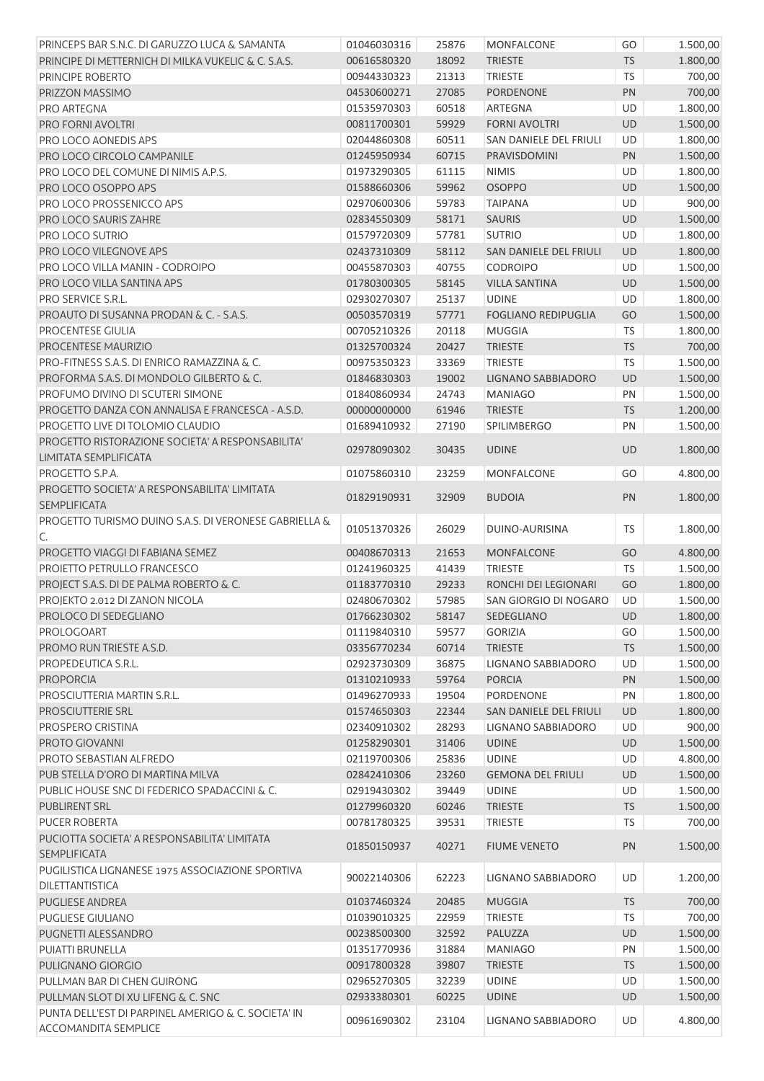| PRINCEPS BAR S.N.C. DI GARUZZO LUCA & SAMANTA         | 01046030316 | 25876 | MONFALCONE                 | GO        | 1.500,00 |
|-------------------------------------------------------|-------------|-------|----------------------------|-----------|----------|
| PRINCIPE DI METTERNICH DI MILKA VUKELIC & C. S.A.S.   | 00616580320 | 18092 | <b>TRIESTE</b>             | <b>TS</b> | 1.800,00 |
| PRINCIPE ROBERTO                                      | 00944330323 | 21313 | TRIESTE                    | TS        | 700,00   |
| PRIZZON MASSIMO                                       | 04530600271 | 27085 | PORDENONE                  | PN        | 700,00   |
| PRO ARTEGNA                                           | 01535970303 | 60518 | ARTEGNA                    | UD        | 1.800,00 |
| <b>PRO FORNI AVOLTRI</b>                              | 00811700301 | 59929 | <b>FORNI AVOLTRI</b>       | UD        | 1.500,00 |
| PRO LOCO AONEDIS APS                                  | 02044860308 | 60511 | SAN DANIELE DEL FRIULI     | UD        | 1.800,00 |
| PRO LOCO CIRCOLO CAMPANILE                            | 01245950934 | 60715 | PRAVISDOMINI               | PN        | 1.500,00 |
| PRO LOCO DEL COMUNE DI NIMIS A.P.S.                   | 01973290305 | 61115 | <b>NIMIS</b>               | UD        | 1.800,00 |
| PRO LOCO OSOPPO APS                                   | 01588660306 | 59962 | <b>OSOPPO</b>              | UD        | 1.500,00 |
| PRO LOCO PROSSENICCO APS                              | 02970600306 | 59783 | <b>TAIPANA</b>             | UD        | 900,00   |
| <b>PRO LOCO SAURIS ZAHRE</b>                          | 02834550309 | 58171 | <b>SAURIS</b>              | UD        | 1.500,00 |
| PRO LOCO SUTRIO                                       | 01579720309 | 57781 | <b>SUTRIO</b>              | UD        | 1.800,00 |
| PRO LOCO VILEGNOVE APS                                | 02437310309 | 58112 | SAN DANIELE DEL FRIULI     | UD        | 1.800,00 |
| PRO LOCO VILLA MANIN - CODROIPO                       | 00455870303 | 40755 | <b>CODROIPO</b>            | UD        | 1.500,00 |
| PRO LOCO VILLA SANTINA APS                            | 01780300305 | 58145 | <b>VILLA SANTINA</b>       | <b>UD</b> | 1.500,00 |
| PRO SERVICE S.R.L.                                    | 02930270307 | 25137 | <b>UDINE</b>               | UD        | 1.800,00 |
| PROAUTO DI SUSANNA PRODAN & C. - S.A.S.               | 00503570319 | 57771 | <b>FOGLIANO REDIPUGLIA</b> | GO        | 1.500,00 |
| PROCENTESE GIULIA                                     | 00705210326 | 20118 | <b>MUGGIA</b>              | <b>TS</b> | 1.800,00 |
| PROCENTESE MAURIZIO                                   | 01325700324 | 20427 | <b>TRIESTE</b>             | <b>TS</b> | 700,00   |
| PRO-FITNESS S.A.S. DI ENRICO RAMAZZINA & C.           | 00975350323 | 33369 | <b>TRIESTE</b>             | TS        | 1.500,00 |
| PROFORMA S.A.S. DI MONDOLO GILBERTO & C.              | 01846830303 | 19002 | LIGNANO SABBIADORO         | UD        | 1.500,00 |
| PROFUMO DIVINO DI SCUTERI SIMONE                      | 01840860934 | 24743 | <b>MANIAGO</b>             | PN        | 1.500,00 |
| PROGETTO DANZA CON ANNALISA E FRANCESCA - A.S.D.      | 00000000000 | 61946 | <b>TRIESTE</b>             | <b>TS</b> | 1.200,00 |
| PROGETTO LIVE DI TOLOMIO CLAUDIO                      | 01689410932 | 27190 | <b>SPILIMBERGO</b>         | PN        | 1.500,00 |
| PROGETTO RISTORAZIONE SOCIETA' A RESPONSABILITA'      |             |       |                            |           |          |
| LIMITATA SEMPLIFICATA                                 | 02978090302 | 30435 | <b>UDINE</b>               | <b>UD</b> | 1.800,00 |
| PROGETTO S.P.A.                                       | 01075860310 | 23259 | <b>MONFALCONE</b>          | GO        | 4.800,00 |
| PROGETTO SOCIETA' A RESPONSABILITA' LIMITATA          | 01829190931 | 32909 | <b>BUDOIA</b>              | PN        | 1.800,00 |
| <b>SEMPLIFICATA</b>                                   |             |       |                            |           |          |
| PROGETTO TURISMO DUINO S.A.S. DI VERONESE GABRIELLA & | 01051370326 | 26029 | DUINO-AURISINA             | <b>TS</b> | 1.800,00 |
| C.                                                    |             |       |                            |           |          |
| PROGETTO VIAGGI DI FABIANA SEMEZ                      | 00408670313 | 21653 | <b>MONFALCONE</b>          | GO        | 4.800,00 |
| PROIETTO PETRULLO FRANCESCO                           | 01241960325 | 41439 | <b>TRIESTE</b>             | <b>TS</b> | 1.500,00 |
| PROJECT S.A.S. DI DE PALMA ROBERTO & C.               | 01183770310 | 29233 | RONCHI DEI LEGIONARI       | GO        | 1.800,00 |
| PROJEKTO 2.012 DI ZANON NICOLA                        | 02480670302 | 57985 | SAN GIORGIO DI NOGARO      | <b>UD</b> | 1.500,00 |
| PROLOCO DI SEDEGLIANO                                 | 01766230302 | 58147 | SEDEGLIANO                 | UD        | 1.800,00 |
| PROLOGOART                                            | 01119840310 | 59577 | <b>GORIZIA</b>             | GO        | 1.500,00 |
| PROMO RUN TRIESTE A.S.D.                              | 03356770234 | 60714 | <b>TRIESTE</b>             | <b>TS</b> | 1.500,00 |
| PROPEDEUTICA S.R.L.                                   | 02923730309 | 36875 | LIGNANO SABBIADORO         | UD        | 1.500,00 |
| <b>PROPORCIA</b>                                      | 01310210933 | 59764 | <b>PORCIA</b>              | PN        | 1.500,00 |
| PROSCIUTTERIA MARTIN S.R.L.                           | 01496270933 | 19504 | PORDENONE                  | PN        | 1.800,00 |
| <b>PROSCIUTTERIE SRL</b>                              | 01574650303 | 22344 | SAN DANIELE DEL FRIULI     | UD        | 1.800,00 |
| PROSPERO CRISTINA                                     | 02340910302 | 28293 | LIGNANO SABBIADORO         | UD        | 900,00   |
| PROTO GIOVANNI                                        | 01258290301 | 31406 | <b>UDINE</b>               | UD        | 1.500,00 |
| PROTO SEBASTIAN ALFREDO                               | 02119700306 | 25836 | <b>UDINE</b>               | UD        | 4.800,00 |
| PUB STELLA D'ORO DI MARTINA MILVA                     | 02842410306 | 23260 | <b>GEMONA DEL FRIULI</b>   | UD        | 1.500,00 |
| PUBLIC HOUSE SNC DI FEDERICO SPADACCINI & C.          | 02919430302 | 39449 | <b>UDINE</b>               | UD        | 1.500,00 |
| <b>PUBLIRENT SRL</b>                                  | 01279960320 | 60246 | <b>TRIESTE</b>             | <b>TS</b> | 1.500,00 |
| PUCER ROBERTA                                         | 00781780325 | 39531 | <b>TRIESTE</b>             | <b>TS</b> | 700,00   |
| PUCIOTTA SOCIETA' A RESPONSABILITA' LIMITATA          |             |       |                            |           |          |
| <b>SEMPLIFICATA</b>                                   | 01850150937 | 40271 | <b>FIUME VENETO</b>        | PN        | 1.500,00 |
| PUGILISTICA LIGNANESE 1975 ASSOCIAZIONE SPORTIVA      |             | 62223 |                            |           |          |
| DILETTANTISTICA                                       | 90022140306 |       | LIGNANO SABBIADORO         | UD        | 1.200,00 |
| <b>PUGLIESE ANDREA</b>                                | 01037460324 | 20485 | <b>MUGGIA</b>              | <b>TS</b> | 700,00   |
| PUGLIESE GIULIANO                                     | 01039010325 | 22959 | <b>TRIESTE</b>             | TS        | 700,00   |
| PUGNETTI ALESSANDRO                                   | 00238500300 | 32592 | PALUZZA                    | UD        | 1.500,00 |
| PUIATTI BRUNELLA                                      | 01351770936 | 31884 | <b>MANIAGO</b>             | PN        | 1.500,00 |
| PULIGNANO GIORGIO                                     | 00917800328 | 39807 | <b>TRIESTE</b>             | <b>TS</b> | 1.500,00 |
| PULLMAN BAR DI CHEN GUIRONG                           | 02965270305 | 32239 | <b>UDINE</b>               | UD        | 1.500,00 |
| PULLMAN SLOT DI XU LIFENG & C. SNC                    | 02933380301 | 60225 | <b>UDINE</b>               | UD        | 1.500,00 |
| PUNTA DELL'EST DI PARPINEL AMERIGO & C. SOCIETA' IN   |             |       |                            |           |          |
| <b>ACCOMANDITA SEMPLICE</b>                           | 00961690302 | 23104 | LIGNANO SABBIADORO         | UD        | 4.800,00 |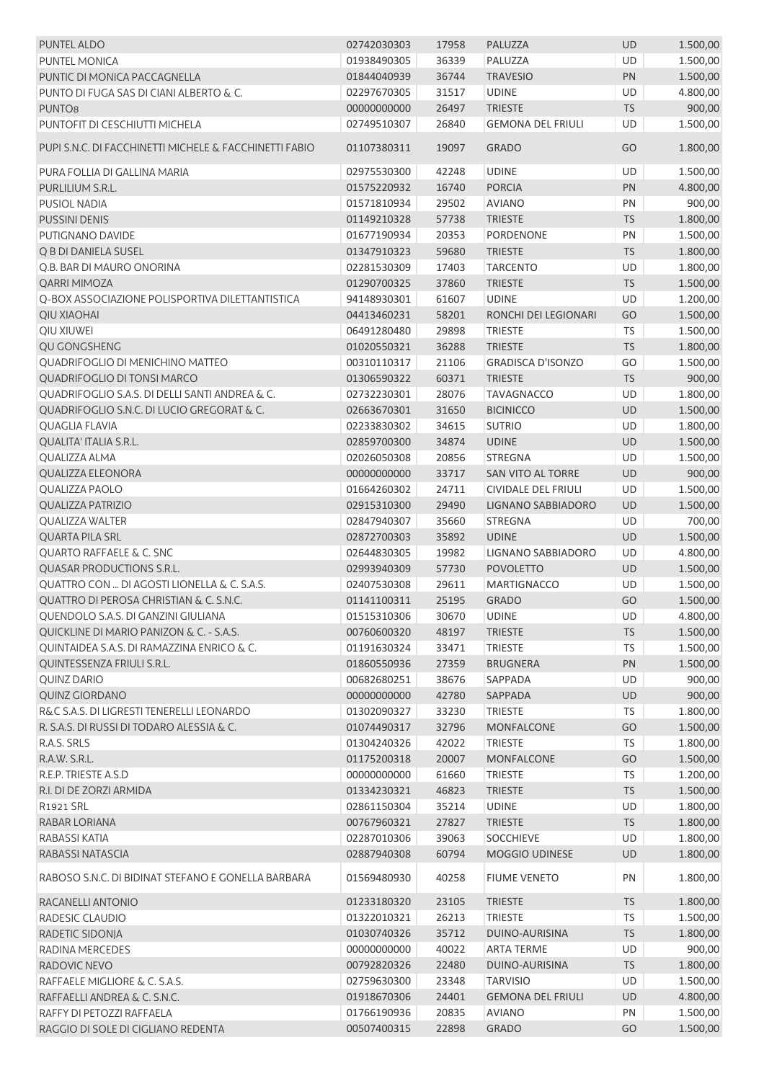| <b>PUNTEL ALDO</b>                                     | 02742030303 | 17958 | PALUZZA                    | <b>UD</b> | 1.500,00 |
|--------------------------------------------------------|-------------|-------|----------------------------|-----------|----------|
| PUNTEL MONICA                                          | 01938490305 | 36339 | PALUZZA                    | UD        | 1.500,00 |
| PUNTIC DI MONICA PACCAGNELLA                           | 01844040939 | 36744 | <b>TRAVESIO</b>            | PN        | 1.500,00 |
| PUNTO DI FUGA SAS DI CIANI ALBERTO & C.                | 02297670305 | 31517 | <b>UDINE</b>               | UD        | 4.800,00 |
| PUNTO <sub>8</sub>                                     | 00000000000 | 26497 | <b>TRIESTE</b>             | <b>TS</b> | 900,00   |
| PUNTOFIT DI CESCHIUTTI MICHELA                         | 02749510307 | 26840 | <b>GEMONA DEL FRIULI</b>   | UD        | 1.500,00 |
| PUPI S.N.C. DI FACCHINETTI MICHELE & FACCHINETTI FABIO | 01107380311 | 19097 | <b>GRADO</b>               | GO        | 1.800,00 |
| PURA FOLLIA DI GALLINA MARIA                           | 02975530300 | 42248 | <b>UDINE</b>               | UD        | 1.500,00 |
| PURLILIUM S.R.L.                                       | 01575220932 | 16740 | <b>PORCIA</b>              | PN        | 4.800,00 |
| <b>PUSIOL NADIA</b>                                    | 01571810934 | 29502 | <b>AVIANO</b>              | PN        | 900,00   |
| <b>PUSSINI DENIS</b>                                   | 01149210328 | 57738 | <b>TRIESTE</b>             | <b>TS</b> | 1.800,00 |
| PUTIGNANO DAVIDE                                       | 01677190934 | 20353 | PORDENONE                  | PN        | 1.500,00 |
|                                                        |             |       |                            |           |          |
| Q B DI DANIELA SUSEL                                   | 01347910323 | 59680 | <b>TRIESTE</b>             | <b>TS</b> | 1.800,00 |
| Q.B. BAR DI MAURO ONORINA                              | 02281530309 | 17403 | <b>TARCENTO</b>            | UD        | 1.800,00 |
| QARRI MIMOZA                                           | 01290700325 | 37860 | <b>TRIESTE</b>             | <b>TS</b> | 1.500,00 |
| Q-BOX ASSOCIAZIONE POLISPORTIVA DILETTANTISTICA        | 94148930301 | 61607 | <b>UDINE</b>               | UD        | 1.200,00 |
| <b>QIU XIAOHAI</b>                                     | 04413460231 | 58201 | RONCHI DEI LEGIONARI       | GO        | 1.500,00 |
| QIU XIUWEI                                             | 06491280480 | 29898 | <b>TRIESTE</b>             | TS        | 1.500,00 |
| QU GONGSHENG                                           | 01020550321 | 36288 | <b>TRIESTE</b>             | <b>TS</b> | 1.800,00 |
| QUADRIFOGLIO DI MENICHINO MATTEO                       | 00310110317 | 21106 | <b>GRADISCA D'ISONZO</b>   | GO        | 1.500,00 |
| QUADRIFOGLIO DI TONSI MARCO                            | 01306590322 | 60371 | <b>TRIESTE</b>             | <b>TS</b> | 900,00   |
| QUADRIFOGLIO S.A.S. DI DELLI SANTI ANDREA & C.         | 02732230301 | 28076 | <b>TAVAGNACCO</b>          | UD        | 1.800,00 |
| QUADRIFOGLIO S.N.C. DI LUCIO GREGORAT & C.             | 02663670301 | 31650 | <b>BICINICCO</b>           | UD        | 1.500,00 |
| <b>QUAGLIA FLAVIA</b>                                  | 02233830302 | 34615 | <b>SUTRIO</b>              | UD        | 1.800,00 |
| QUALITA' ITALIA S.R.L.                                 | 02859700300 | 34874 | <b>UDINE</b>               | UD        | 1.500,00 |
| <b>QUALIZZA ALMA</b>                                   | 02026050308 | 20856 | <b>STREGNA</b>             | UD        | 1.500,00 |
| <b>QUALIZZA ELEONORA</b>                               | 00000000000 | 33717 | SAN VITO AL TORRE          | UD        | 900,00   |
| <b>QUALIZZA PAOLO</b>                                  | 01664260302 | 24711 | <b>CIVIDALE DEL FRIULI</b> | UD        | 1.500,00 |
| <b>QUALIZZA PATRIZIO</b>                               | 02915310300 | 29490 | LIGNANO SABBIADORO         | UD        | 1.500,00 |
| <b>QUALIZZA WALTER</b>                                 | 02847940307 | 35660 | <b>STREGNA</b>             | <b>UD</b> | 700,00   |
| <b>QUARTA PILA SRL</b>                                 | 02872700303 | 35892 | <b>UDINE</b>               | UD        | 1.500,00 |
| <b>QUARTO RAFFAELE &amp; C. SNC</b>                    | 02644830305 | 19982 | LIGNANO SABBIADORO         | UD        | 4.800,00 |
| <b>QUASAR PRODUCTIONS S.R.L.</b>                       | 02993940309 | 57730 | <b>POVOLETTO</b>           | UD        | 1.500,00 |
| QUATTRO CON  DI AGOSTI LIONELLA & C. S.A.S.            | 02407530308 | 29611 | <b>MARTIGNACCO</b>         | UD        | 1.500,00 |
| QUATTRO DI PEROSA CHRISTIAN & C. S.N.C.                | 01141100311 | 25195 | <b>GRADO</b>               | GO        | 1.500,00 |
| QUENDOLO S.A.S. DI GANZINI GIULIANA                    | 01515310306 | 30670 | <b>UDINE</b>               | UD        | 4.800,00 |
|                                                        |             |       |                            |           |          |
| QUICKLINE DI MARIO PANIZON & C. - S.A.S.               | 00760600320 | 48197 | <b>TRIESTE</b>             | <b>TS</b> | 1.500,00 |
| QUINTAIDEA S.A.S. DI RAMAZZINA ENRICO & C.             | 01191630324 | 33471 | <b>TRIESTE</b>             | <b>TS</b> | 1.500,00 |
| QUINTESSENZA FRIULI S.R.L.                             | 01860550936 | 27359 | <b>BRUGNERA</b>            | PN        | 1.500,00 |
| <b>QUINZ DARIO</b>                                     | 00682680251 | 38676 | SAPPADA                    | UD        | 900,00   |
| <b>QUINZ GIORDANO</b>                                  | 00000000000 | 42780 | SAPPADA                    | UD        | 900,00   |
| R&C S.A.S. DI LIGRESTI TENERELLI LEONARDO              | 01302090327 | 33230 | <b>TRIESTE</b>             | <b>TS</b> | 1.800,00 |
| R. S.A.S. DI RUSSI DI TODARO ALESSIA & C.              | 01074490317 | 32796 | <b>MONFALCONE</b>          | GO        | 1.500,00 |
| R.A.S. SRLS                                            | 01304240326 | 42022 | <b>TRIESTE</b>             | <b>TS</b> | 1.800,00 |
| R.A.W. S.R.L.                                          | 01175200318 | 20007 | <b>MONFALCONE</b>          | GO        | 1.500,00 |
| R.E.P. TRIESTE A.S.D                                   | 00000000000 | 61660 | <b>TRIESTE</b>             | <b>TS</b> | 1.200,00 |
| R.I. DI DE ZORZI ARMIDA                                | 01334230321 | 46823 | <b>TRIESTE</b>             | <b>TS</b> | 1.500,00 |
| R1921 SRL                                              | 02861150304 | 35214 | <b>UDINE</b>               | UD        | 1.800,00 |
| RABAR LORIANA                                          | 00767960321 | 27827 | <b>TRIESTE</b>             | <b>TS</b> | 1.800,00 |
| RABASSI KATIA                                          | 02287010306 | 39063 | <b>SOCCHIEVE</b>           | UD        | 1.800,00 |
| RABASSI NATASCIA                                       | 02887940308 | 60794 | MOGGIO UDINESE             | UD        | 1.800,00 |
| RABOSO S.N.C. DI BIDINAT STEFANO E GONELLA BARBARA     | 01569480930 | 40258 | <b>FIUME VENETO</b>        | PN        | 1.800,00 |
| RACANELLI ANTONIO                                      | 01233180320 | 23105 | <b>TRIESTE</b>             | <b>TS</b> | 1.800,00 |
| RADESIC CLAUDIO                                        | 01322010321 | 26213 | <b>TRIESTE</b>             | TS        | 1.500,00 |
| RADETIC SIDONJA                                        | 01030740326 | 35712 | DUINO-AURISINA             | <b>TS</b> | 1.800,00 |
| RADINA MERCEDES                                        | 00000000000 | 40022 | <b>ARTA TERME</b>          | UD        | 900,00   |
| RADOVIC NEVO                                           | 00792820326 | 22480 | DUINO-AURISINA             | <b>TS</b> | 1.800,00 |
| RAFFAELE MIGLIORE & C. S.A.S.                          | 02759630300 | 23348 | <b>TARVISIO</b>            | UD        | 1.500,00 |
| RAFFAELLI ANDREA & C. S.N.C.                           | 01918670306 | 24401 | <b>GEMONA DEL FRIULI</b>   | UD        | 4.800,00 |
| RAFFY DI PETOZZI RAFFAELA                              |             |       |                            |           |          |
|                                                        | 01766190936 | 20835 | <b>AVIANO</b>              | PN        | 1.500,00 |
| RAGGIO DI SOLE DI CIGLIANO REDENTA                     | 00507400315 | 22898 | <b>GRADO</b>               | GO        | 1.500,00 |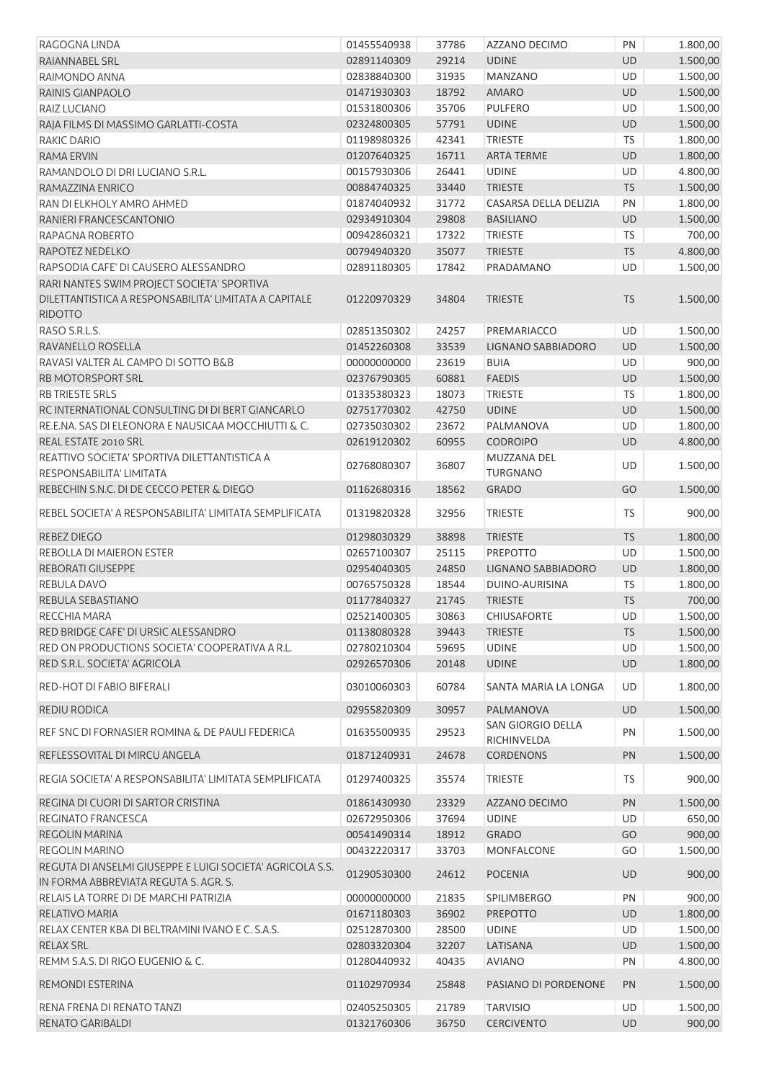| RAGOGNA LINDA                                                                                                         | 01455540938 | 37786 | AZZANO DECIMO                    | PN        | 1.800,00 |
|-----------------------------------------------------------------------------------------------------------------------|-------------|-------|----------------------------------|-----------|----------|
| RAIANNABEL SRL                                                                                                        | 02891140309 | 29214 | <b>UDINE</b>                     | UD        | 1.500,00 |
| RAIMONDO ANNA                                                                                                         | 02838840300 | 31935 | <b>MANZANO</b>                   | UD        | 1.500,00 |
| RAINIS GIANPAOLO                                                                                                      | 01471930303 | 18792 | <b>AMARO</b>                     | UD        | 1.500,00 |
| RAIZ LUCIANO                                                                                                          | 01531800306 | 35706 | <b>PULFERO</b>                   | UD        | 1.500,00 |
| RAJA FILMS DI MASSIMO GARLATTI-COSTA                                                                                  | 02324800305 | 57791 | <b>UDINE</b>                     | UD        | 1.500,00 |
| RAKIC DARIO                                                                                                           | 01198980326 | 42341 | TRIESTE                          | TS        | 1.800,00 |
| RAMA ERVIN                                                                                                            | 01207640325 | 16711 | <b>ARTA TERME</b>                | UD        | 1.800,00 |
| RAMANDOLO DI DRI LUCIANO S.R.L.                                                                                       | 00157930306 | 26441 | <b>UDINE</b>                     | UD        | 4.800,00 |
| RAMAZZINA ENRICO                                                                                                      | 00884740325 | 33440 | <b>TRIESTE</b>                   | <b>TS</b> | 1.500,00 |
| RAN DI ELKHOLY AMRO AHMED                                                                                             | 01874040932 | 31772 | CASARSA DELLA DELIZIA            | PN        | 1.800,00 |
| RANIERI FRANCESCANTONIO                                                                                               | 02934910304 | 29808 | <b>BASILIANO</b>                 | UD        | 1.500,00 |
| RAPAGNA ROBERTO                                                                                                       | 00942860321 | 17322 | <b>TRIESTE</b>                   | <b>TS</b> | 700,00   |
| RAPOTEZ NEDELKO                                                                                                       | 00794940320 | 35077 | <b>TRIESTE</b>                   | TS        | 4.800,00 |
| RAPSODIA CAFE' DI CAUSERO ALESSANDRO                                                                                  | 02891180305 | 17842 | PRADAMANO                        | UD        | 1.500,00 |
| RARI NANTES SWIM PROJECT SOCIETA' SPORTIVA<br>DILETTANTISTICA A RESPONSABILITA' LIMITATA A CAPITALE<br><b>RIDOTTO</b> | 01220970329 | 34804 | <b>TRIESTE</b>                   | <b>TS</b> | 1.500,00 |
| RASO S.R.L.S.                                                                                                         | 02851350302 | 24257 | PREMARIACCO                      | UD        | 1.500,00 |
| RAVANELLO ROSELLA                                                                                                     | 01452260308 | 33539 | LIGNANO SABBIADORO               | UD        | 1.500,00 |
| RAVASI VALTER AL CAMPO DI SOTTO B&B                                                                                   | 00000000000 | 23619 | <b>BUIA</b>                      | UD        | 900,00   |
| <b>RB MOTORSPORT SRL</b>                                                                                              | 02376790305 | 60881 | <b>FAEDIS</b>                    | UD        | 1.500,00 |
| <b>RB TRIESTE SRLS</b>                                                                                                | 01335380323 | 18073 | <b>TRIESTE</b>                   | <b>TS</b> | 1.800,00 |
| RC INTERNATIONAL CONSULTING DI DI BERT GIANCARLO                                                                      | 02751770302 | 42750 | <b>UDINE</b>                     | UD        | 1.500,00 |
| RE.E.NA. SAS DI ELEONORA E NAUSICAA MOCCHIUTTI & C.                                                                   | 02735030302 | 23672 | PALMANOVA                        | UD        | 1.800,00 |
| REAL ESTATE 2010 SRL                                                                                                  | 02619120302 | 60955 | <b>CODROIPO</b>                  | UD        | 4.800,00 |
| REATTIVO SOCIETA' SPORTIVA DILETTANTISTICA A<br>RESPONSABILITA' LIMITATA                                              | 02768080307 | 36807 | MUZZANA DEL<br><b>TURGNANO</b>   | UD        | 1.500,00 |
| REBECHIN S.N.C. DI DE CECCO PETER & DIEGO                                                                             | 01162680316 | 18562 | <b>GRADO</b>                     | GO        | 1.500,00 |
| REBEL SOCIETA' A RESPONSABILITA' LIMITATA SEMPLIFICATA                                                                | 01319820328 | 32956 | <b>TRIESTE</b>                   | <b>TS</b> | 900,00   |
| REBEZ DIEGO                                                                                                           | 01298030329 | 38898 | <b>TRIESTE</b>                   | <b>TS</b> | 1.800,00 |
| REBOLLA DI MAIERON ESTER                                                                                              | 02657100307 | 25115 | PREPOTTO                         | UD        | 1.500,00 |
| REBORATI GIUSEPPE                                                                                                     | 02954040305 | 24850 | LIGNANO SABBIADORO               | UD        | 1.800,00 |
| REBULA DAVO                                                                                                           | 00765750328 | 18544 | DUINO-AURISINA                   | <b>TS</b> | 1.800,00 |
| REBULA SEBASTIANO                                                                                                     | 01177840327 | 21745 | <b>TRIESTE</b>                   | <b>TS</b> | 700,00   |
| RECCHIA MARA                                                                                                          | 02521400305 | 30863 | <b>CHIUSAFORTE</b>               | UD        | 1.500,00 |
| RED BRIDGE CAFE' DI URSIC ALESSANDRO                                                                                  | 01138080328 | 39443 | <b>TRIESTE</b>                   | <b>TS</b> | 1.500,00 |
| RED ON PRODUCTIONS SOCIETA' COOPERATIVA A R.L.                                                                        | 02780210304 | 59695 | <b>UDINE</b>                     | UD        | 1.500,00 |
| RED S.R.L. SOCIETA' AGRICOLA                                                                                          | 02926570306 | 20148 | <b>UDINE</b>                     | UD        | 1.800,00 |
| RED-HOT DI FABIO BIFERALI                                                                                             | 03010060303 | 60784 | SANTA MARIA LA LONGA             | UD        | 1.800,00 |
| <b>REDIU RODICA</b>                                                                                                   | 02955820309 | 30957 | PALMANOVA                        | UD        | 1.500,00 |
| REF SNC DI FORNASIER ROMINA & DE PAULI FEDERICA                                                                       | 01635500935 | 29523 | SAN GIORGIO DELLA<br>RICHINVELDA | PN        | 1.500,00 |
| REFLESSOVITAL DI MIRCU ANGELA                                                                                         | 01871240931 | 24678 | <b>CORDENONS</b>                 | PN        | 1.500,00 |
| REGIA SOCIETA' A RESPONSABILITA' LIMITATA SEMPLIFICATA                                                                | 01297400325 | 35574 | <b>TRIESTE</b>                   | TS        | 900,00   |
| REGINA DI CUORI DI SARTOR CRISTINA                                                                                    | 01861430930 | 23329 | AZZANO DECIMO                    | PN        | 1.500,00 |
| <b>REGINATO FRANCESCA</b>                                                                                             | 02672950306 | 37694 | <b>UDINE</b>                     | UD        | 650,00   |
| <b>REGOLIN MARINA</b>                                                                                                 | 00541490314 | 18912 | <b>GRADO</b>                     | GO        | 900,00   |
| REGOLIN MARINO                                                                                                        | 00432220317 | 33703 | MONFALCONE                       | GO        | 1.500,00 |
| REGUTA DI ANSELMI GIUSEPPE E LUIGI SOCIETA' AGRICOLA S.S.<br>IN FORMA ABBREVIATA REGUTA S. AGR. S.                    | 01290530300 | 24612 | <b>POCENIA</b>                   | UD        | 900,00   |
| RELAIS LA TORRE DI DE MARCHI PATRIZIA                                                                                 | 00000000000 | 21835 | <b>SPILIMBERGO</b>               | PN        | 900,00   |
| RELATIVO MARIA                                                                                                        | 01671180303 | 36902 | <b>PREPOTTO</b>                  | UD        | 1.800,00 |
| RELAX CENTER KBA DI BELTRAMINI IVANO E C. S.A.S.                                                                      | 02512870300 | 28500 | <b>UDINE</b>                     | UD        | 1.500,00 |
| <b>RELAX SRL</b>                                                                                                      | 02803320304 | 32207 | LATISANA                         | UD        | 1.500,00 |
| REMM S.A.S. DI RIGO EUGENIO & C.                                                                                      | 01280440932 | 40435 | <b>AVIANO</b>                    | PN        | 4.800,00 |
| REMONDI ESTERINA                                                                                                      | 01102970934 | 25848 | PASIANO DI PORDENONE             | PN        | 1.500,00 |
| RENA FRENA DI RENATO TANZI                                                                                            | 02405250305 | 21789 | <b>TARVISIO</b>                  | UD        | 1.500,00 |
| RENATO GARIBALDI                                                                                                      | 01321760306 | 36750 | <b>CERCIVENTO</b>                | UD        | 900,00   |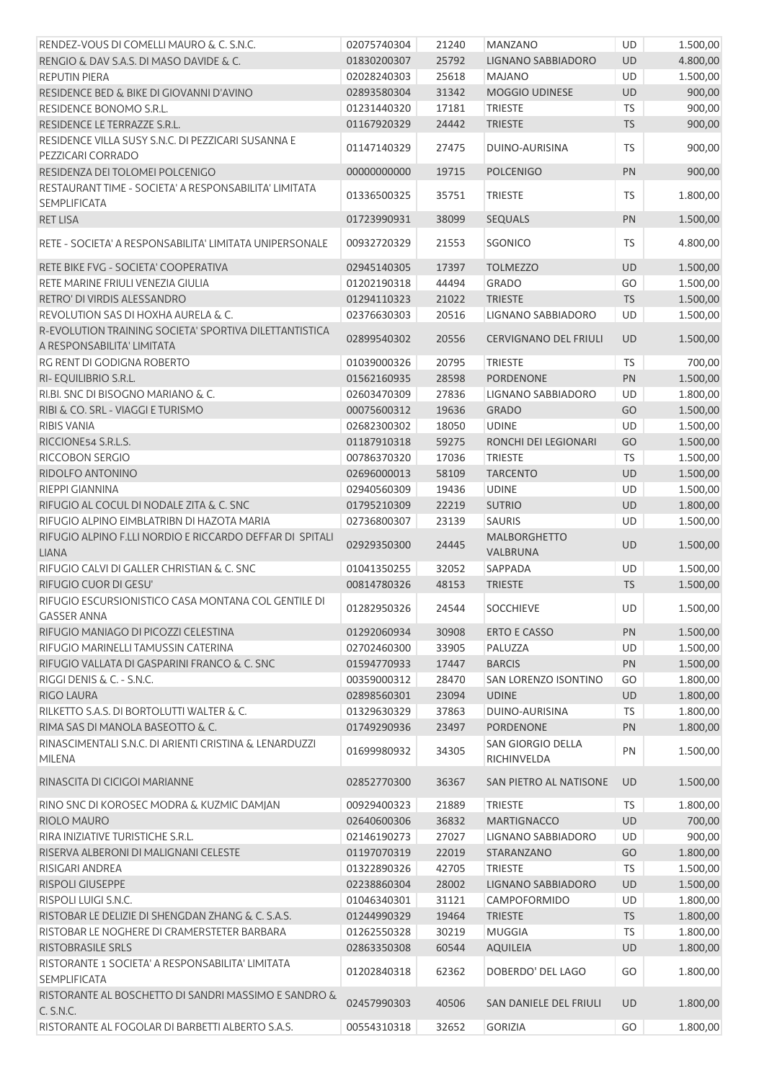| RENDEZ-VOUS DI COMELLI MAURO & C. S.N.C.                                             | 02075740304 | 21240 | <b>MANZANO</b>                          | UD        | 1.500,00 |
|--------------------------------------------------------------------------------------|-------------|-------|-----------------------------------------|-----------|----------|
| RENGIO & DAV S.A.S. DI MASO DAVIDE & C.                                              | 01830200307 | 25792 | LIGNANO SABBIADORO                      | <b>UD</b> | 4.800,00 |
| <b>REPUTIN PIERA</b>                                                                 | 02028240303 | 25618 | <b>MAJANO</b>                           | <b>UD</b> | 1.500,00 |
| RESIDENCE BED & BIKE DI GIOVANNI D'AVINO                                             | 02893580304 | 31342 | MOGGIO UDINESE                          | UD        | 900,00   |
| RESIDENCE BONOMO S.R.L.                                                              | 01231440320 | 17181 | <b>TRIESTE</b>                          | <b>TS</b> | 900,00   |
| RESIDENCE LE TERRAZZE S.R.L.                                                         | 01167920329 | 24442 | <b>TRIESTE</b>                          | <b>TS</b> | 900,00   |
| RESIDENCE VILLA SUSY S.N.C. DI PEZZICARI SUSANNA E<br>PEZZICARI CORRADO              | 01147140329 | 27475 | DUINO-AURISINA                          | <b>TS</b> | 900,00   |
| RESIDENZA DEI TOLOMEI POLCENIGO                                                      | 00000000000 | 19715 | <b>POLCENIGO</b>                        | PN        | 900,00   |
| RESTAURANT TIME - SOCIETA' A RESPONSABILITA' LIMITATA<br><b>SEMPLIFICATA</b>         | 01336500325 | 35751 | <b>TRIESTE</b>                          | <b>TS</b> | 1.800,00 |
| <b>RET LISA</b>                                                                      | 01723990931 | 38099 | <b>SEQUALS</b>                          | PN        | 1.500,00 |
| RETE - SOCIETA' A RESPONSABILITA' LIMITATA UNIPERSONALE                              | 00932720329 | 21553 | <b>SGONICO</b>                          | TS.       | 4.800,00 |
| RETE BIKE FVG - SOCIETA' COOPERATIVA                                                 | 02945140305 | 17397 | <b>TOLMEZZO</b>                         | UD        | 1.500,00 |
| RETE MARINE FRIULI VENEZIA GIULIA                                                    | 01202190318 | 44494 | <b>GRADO</b>                            | GO        | 1.500,00 |
| RETRO' DI VIRDIS ALESSANDRO                                                          | 01294110323 | 21022 | <b>TRIESTE</b>                          | TS        | 1.500,00 |
| REVOLUTION SAS DI HOXHA AURELA & C.                                                  | 02376630303 | 20516 | LIGNANO SABBIADORO                      | UD        | 1.500,00 |
| R-EVOLUTION TRAINING SOCIETA' SPORTIVA DILETTANTISTICA<br>A RESPONSABILITA' LIMITATA | 02899540302 | 20556 | <b>CERVIGNANO DEL FRIULI</b>            | UD        | 1.500,00 |
| RG RENT DI GODIGNA ROBERTO                                                           | 01039000326 | 20795 | <b>TRIESTE</b>                          | <b>TS</b> | 700,00   |
| RI- EQUILIBRIO S.R.L.                                                                | 01562160935 | 28598 | <b>PORDENONE</b>                        | PN        | 1.500,00 |
| RI.BI. SNC DI BISOGNO MARIANO & C.                                                   | 02603470309 | 27836 | LIGNANO SABBIADORO                      | <b>UD</b> | 1.800,00 |
| RIBI & CO. SRL - VIAGGI E TURISMO                                                    | 00075600312 | 19636 | <b>GRADO</b>                            | GO        | 1.500,00 |
| <b>RIBIS VANIA</b>                                                                   | 02682300302 | 18050 | <b>UDINE</b>                            | UD        | 1.500,00 |
| RICCIONE54 S.R.L.S.                                                                  | 01187910318 | 59275 | RONCHI DEI LEGIONARI                    | GO        | 1.500,00 |
| RICCOBON SERGIO                                                                      | 00786370320 | 17036 | TRIESTE                                 | TS        | 1.500,00 |
| RIDOLFO ANTONINO                                                                     | 02696000013 | 58109 | <b>TARCENTO</b>                         | UD        | 1.500,00 |
| RIEPPI GIANNINA                                                                      | 02940560309 | 19436 | <b>UDINE</b>                            | UD        | 1.500,00 |
| RIFUGIO AL COCUL DI NODALE ZITA & C. SNC                                             | 01795210309 | 22219 | <b>SUTRIO</b>                           | <b>UD</b> | 1.800,00 |
| RIFUGIO ALPINO EIMBLATRIBN DI HAZOTA MARIA                                           | 02736800307 | 23139 | <b>SAURIS</b>                           | <b>UD</b> | 1.500,00 |
| RIFUGIO ALPINO F.LLI NORDIO E RICCARDO DEFFAR DI SPITALI<br><b>LIANA</b>             | 02929350300 | 24445 | MALBORGHETTO<br>VALBRUNA                | <b>UD</b> | 1.500,00 |
| RIFUGIO CALVI DI GALLER CHRISTIAN & C. SNC                                           | 01041350255 | 32052 | SAPPADA                                 | <b>UD</b> | 1.500,00 |
| RIFUGIO CUOR DI GESU'                                                                | 00814780326 | 48153 | <b>TRIESTE</b>                          | <b>TS</b> | 1.500,00 |
| RIFUGIO ESCURSIONISTICO CASA MONTANA COL GENTILE DI                                  |             |       |                                         |           |          |
| <b>GASSER ANNA</b>                                                                   | 01282950326 | 24544 | <b>SOCCHIEVE</b>                        | UD        | 1.500,00 |
| RIFUGIO MANIAGO DI PICOZZI CELESTINA                                                 | 01292060934 | 30908 | <b>ERTO E CASSO</b>                     | PN        | 1.500,00 |
| RIFUGIO MARINELLI TAMUSSIN CATERINA                                                  | 02702460300 | 33905 | PALUZZA                                 | UD        | 1.500,00 |
| RIFUGIO VALLATA DI GASPARINI FRANCO & C. SNC                                         | 01594770933 | 17447 | <b>BARCIS</b>                           | PN        | 1.500,00 |
| RIGGI DENIS & C. - S.N.C.                                                            | 00359000312 | 28470 | SAN LORENZO ISONTINO                    | GO        | 1.800,00 |
| <b>RIGO LAURA</b>                                                                    | 02898560301 | 23094 | <b>UDINE</b>                            | UD        | 1.800,00 |
| RILKETTO S.A.S. DI BORTOLUTTI WALTER & C.                                            | 01329630329 | 37863 | <b>DUINO-AURISINA</b>                   | <b>TS</b> | 1.800,00 |
| RIMA SAS DI MANOLA BASEOTTO & C.                                                     | 01749290936 | 23497 | <b>PORDENONE</b>                        | PN        | 1.800,00 |
| RINASCIMENTALI S.N.C. DI ARIENTI CRISTINA & LENARDUZZI<br><b>MILENA</b>              | 01699980932 | 34305 | <b>SAN GIORGIO DELLA</b><br>RICHINVELDA | PN        | 1.500,00 |
| RINASCITA DI CICIGOI MARIANNE                                                        | 02852770300 | 36367 | SAN PIETRO AL NATISONE                  | <b>UD</b> | 1.500,00 |
| RINO SNC DI KOROSEC MODRA & KUZMIC DAMJAN                                            | 00929400323 | 21889 | <b>TRIESTE</b>                          | TS        | 1.800,00 |
| RIOLO MAURO                                                                          | 02640600306 | 36832 | <b>MARTIGNACCO</b>                      | <b>UD</b> | 700,00   |
| RIRA INIZIATIVE TURISTICHE S.R.L.                                                    | 02146190273 | 27027 | LIGNANO SABBIADORO                      | UD        | 900,00   |
| RISERVA ALBERONI DI MALIGNANI CELESTE                                                | 01197070319 | 22019 | STARANZANO                              | GO        | 1.800,00 |
| RISIGARI ANDREA                                                                      | 01322890326 | 42705 | <b>TRIESTE</b>                          | TS        | 1.500,00 |
| <b>RISPOLI GIUSEPPE</b>                                                              | 02238860304 | 28002 | <b>LIGNANO SABBIADORO</b>               | <b>UD</b> | 1.500,00 |
| RISPOLI LUIGI S.N.C.                                                                 | 01046340301 | 31121 | <b>CAMPOFORMIDO</b>                     | UD        | 1.800,00 |
| RISTOBAR LE DELIZIE DI SHENGDAN ZHANG & C. S.A.S.                                    | 01244990329 | 19464 | <b>TRIESTE</b>                          | <b>TS</b> | 1.800,00 |
| RISTOBAR LE NOGHERE DI CRAMERSTETER BARBARA                                          | 01262550328 | 30219 | <b>MUGGIA</b>                           | <b>TS</b> | 1.800,00 |
| <b>RISTOBRASILE SRLS</b>                                                             | 02863350308 | 60544 | <b>AQUILEIA</b>                         | UD        | 1.800,00 |
| RISTORANTE 1 SOCIETA' A RESPONSABILITA' LIMITATA<br><b>SEMPLIFICATA</b>              | 01202840318 | 62362 | DOBERDO' DEL LAGO                       | GO        | 1.800,00 |
| RISTORANTE AL BOSCHETTO DI SANDRI MASSIMO E SANDRO &<br>C. S.N.C.                    | 02457990303 | 40506 | SAN DANIELE DEL FRIULI                  | <b>UD</b> | 1.800,00 |
| RISTORANTE AL FOGOLAR DI BARBETTI ALBERTO S.A.S.                                     | 00554310318 | 32652 | <b>GORIZIA</b>                          | GO        | 1.800,00 |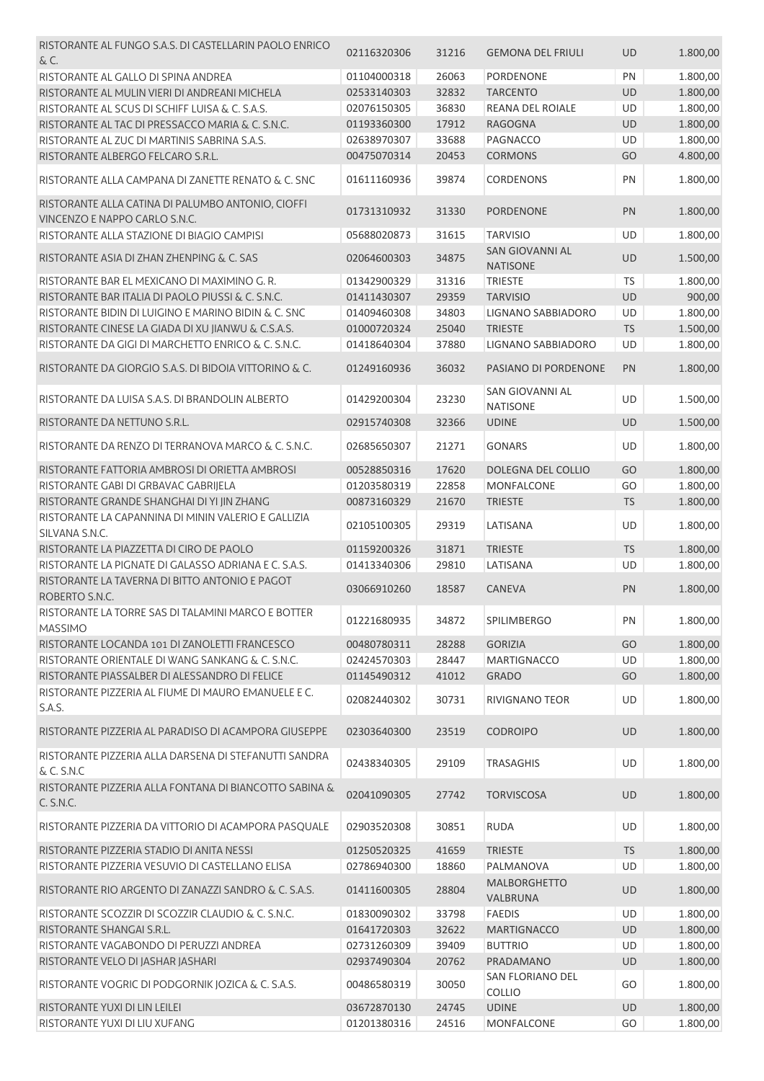| RISTORANTE AL FUNGO S.A.S. DI CASTELLARIN PAOLO ENRICO                             | 02116320306 | 31216 | <b>GEMONA DEL FRIULI</b>                  | <b>UD</b> | 1.800,00 |
|------------------------------------------------------------------------------------|-------------|-------|-------------------------------------------|-----------|----------|
| & C.                                                                               |             |       |                                           |           |          |
| RISTORANTE AL GALLO DI SPINA ANDREA                                                | 01104000318 | 26063 | <b>PORDENONE</b>                          | PN        | 1.800,00 |
| RISTORANTE AL MULIN VIERI DI ANDREANI MICHELA                                      | 02533140303 | 32832 | <b>TARCENTO</b>                           | <b>UD</b> | 1.800,00 |
| RISTORANTE AL SCUS DI SCHIFF LUISA & C. S.A.S.                                     | 02076150305 | 36830 | REANA DEL ROIALE                          | UD        | 1.800,00 |
| RISTORANTE AL TAC DI PRESSACCO MARIA & C. S.N.C.                                   | 01193360300 | 17912 | <b>RAGOGNA</b>                            | UD        | 1.800,00 |
| RISTORANTE AL ZUC DI MARTINIS SABRINA S.A.S.                                       | 02638970307 | 33688 | PAGNACCO                                  | UD        | 1.800,00 |
| RISTORANTE ALBERGO FELCARO S.R.L.                                                  | 00475070314 | 20453 | <b>CORMONS</b>                            | GO        | 4.800,00 |
| RISTORANTE ALLA CAMPANA DI ZANETTE RENATO & C. SNC                                 | 01611160936 | 39874 | <b>CORDENONS</b>                          | PN        | 1.800,00 |
| RISTORANTE ALLA CATINA DI PALUMBO ANTONIO, CIOFFI<br>VINCENZO E NAPPO CARLO S.N.C. | 01731310932 | 31330 | <b>PORDENONE</b>                          | PN        | 1.800,00 |
| RISTORANTE ALLA STAZIONE DI BIAGIO CAMPISI                                         | 05688020873 | 31615 | <b>TARVISIO</b>                           | UD        | 1.800,00 |
| RISTORANTE ASIA DI ZHAN ZHENPING & C. SAS                                          | 02064600303 | 34875 | <b>SAN GIOVANNI AL</b><br><b>NATISONE</b> | <b>UD</b> | 1.500,00 |
| RISTORANTE BAR EL MEXICANO DI MAXIMINO G.R.                                        | 01342900329 | 31316 | <b>TRIESTE</b>                            | <b>TS</b> | 1.800,00 |
| RISTORANTE BAR ITALIA DI PAOLO PIUSSI & C. S.N.C.                                  | 01411430307 | 29359 | <b>TARVISIO</b>                           | UD        | 900,00   |
| RISTORANTE BIDIN DI LUIGINO E MARINO BIDIN & C. SNC                                | 01409460308 | 34803 | <b>LIGNANO SABBIADORO</b>                 | UD        | 1.800,00 |
| RISTORANTE CINESE LA GIADA DI XU JIANWU & C.S.A.S.                                 | 01000720324 | 25040 | <b>TRIESTE</b>                            | <b>TS</b> | 1.500,00 |
| RISTORANTE DA GIGI DI MARCHETTO ENRICO & C. S.N.C.                                 | 01418640304 | 37880 | LIGNANO SABBIADORO                        | UD        | 1.800,00 |
|                                                                                    |             |       |                                           |           |          |
| RISTORANTE DA GIORGIO S.A.S. DI BIDOIA VITTORINO & C.                              | 01249160936 | 36032 | PASIANO DI PORDENONE                      | PN        | 1.800,00 |
| RISTORANTE DA LUISA S.A.S. DI BRANDOLIN ALBERTO                                    | 01429200304 | 23230 | <b>SAN GIOVANNI AL</b><br><b>NATISONE</b> | UD        | 1.500,00 |
| RISTORANTE DA NETTUNO S.R.L.                                                       | 02915740308 | 32366 | <b>UDINE</b>                              | UD        | 1.500,00 |
| RISTORANTE DA RENZO DI TERRANOVA MARCO & C. S.N.C.                                 | 02685650307 | 21271 | <b>GONARS</b>                             | UD        | 1.800,00 |
| RISTORANTE FATTORIA AMBROSI DI ORIETTA AMBROSI                                     | 00528850316 | 17620 | DOLEGNA DEL COLLIO                        | GO        | 1.800,00 |
| RISTORANTE GABI DI GRBAVAC GABRIJELA                                               | 01203580319 | 22858 | MONFALCONE                                | GO        | 1.800,00 |
| RISTORANTE GRANDE SHANGHAI DI YI JIN ZHANG                                         | 00873160329 | 21670 | <b>TRIESTE</b>                            | <b>TS</b> | 1.800,00 |
| RISTORANTE LA CAPANNINA DI MININ VALERIO E GALLIZIA<br>SILVANA S.N.C.              | 02105100305 | 29319 | LATISANA                                  | UD        | 1.800,00 |
| RISTORANTE LA PIAZZETTA DI CIRO DE PAOLO                                           | 01159200326 | 31871 | <b>TRIESTE</b>                            | <b>TS</b> | 1.800,00 |
| RISTORANTE LA PIGNATE DI GALASSO ADRIANA E C. S.A.S.                               | 01413340306 | 29810 | LATISANA                                  | UD        | 1.800,00 |
| RISTORANTE LA TAVERNA DI BITTO ANTONIO E PAGOT                                     |             |       |                                           |           |          |
| ROBERTO S.N.C.                                                                     | 03066910260 | 18587 | <b>CANEVA</b>                             | PN        | 1.800,00 |
| RISTORANTE LA TORRE SAS DI TALAMINI MARCO E BOTTER<br><b>MASSIMO</b>               | 01221680935 | 34872 | <b>SPILIMBERGO</b>                        | PN        | 1.800,00 |
| RISTORANTE LOCANDA 101 DI ZANOLETTI FRANCESCO                                      | 00480780311 | 28288 | <b>GORIZIA</b>                            | GO        | 1.800,00 |
| RISTORANTE ORIENTALE DI WANG SANKANG & C. S.N.C.                                   | 02424570303 | 28447 | <b>MARTIGNACCO</b>                        | UD        | 1.800,00 |
| RISTORANTE PIASSALBER DI ALESSANDRO DI FELICE                                      | 01145490312 | 41012 | <b>GRADO</b>                              | GO        | 1.800,00 |
| RISTORANTE PIZZERIA AL FIUME DI MAURO EMANUELE E C.                                |             |       |                                           |           |          |
| S.A.S.                                                                             | 02082440302 | 30731 | <b>RIVIGNANO TEOR</b>                     | UD        | 1.800,00 |
| RISTORANTE PIZZERIA AL PARADISO DI ACAMPORA GIUSEPPE                               | 02303640300 | 23519 | <b>CODROIPO</b>                           | <b>UD</b> | 1.800,00 |
| RISTORANTE PIZZERIA ALLA DARSENA DI STEFANUTTI SANDRA<br>& C. S.N.C                | 02438340305 | 29109 | <b>TRASAGHIS</b>                          | UD        | 1.800,00 |
| RISTORANTE PIZZERIA ALLA FONTANA DI BIANCOTTO SABINA &<br>C. S.N.C.                | 02041090305 | 27742 | <b>TORVISCOSA</b>                         | <b>UD</b> | 1.800,00 |
| RISTORANTE PIZZERIA DA VITTORIO DI ACAMPORA PASQUALE                               | 02903520308 | 30851 | <b>RUDA</b>                               | UD        | 1.800,00 |
| RISTORANTE PIZZERIA STADIO DI ANITA NESSI                                          | 01250520325 | 41659 | <b>TRIESTE</b>                            | <b>TS</b> | 1.800,00 |
| RISTORANTE PIZZERIA VESUVIO DI CASTELLANO ELISA                                    | 02786940300 | 18860 | PALMANOVA                                 | UD        | 1.800,00 |
| RISTORANTE RIO ARGENTO DI ZANAZZI SANDRO & C. S.A.S.                               | 01411600305 | 28804 | <b>MALBORGHETTO</b>                       | <b>UD</b> | 1.800,00 |
|                                                                                    |             |       | VALBRUNA                                  |           |          |
| RISTORANTE SCOZZIR DI SCOZZIR CLAUDIO & C. S.N.C.                                  | 01830090302 | 33798 | <b>FAEDIS</b>                             | UD        | 1.800,00 |
| RISTORANTE SHANGAI S.R.L.                                                          | 01641720303 | 32622 | <b>MARTIGNACCO</b>                        | UD        | 1.800,00 |
| RISTORANTE VAGABONDO DI PERUZZI ANDREA                                             | 02731260309 | 39409 | <b>BUTTRIO</b>                            | UD        | 1.800,00 |
| RISTORANTE VELO DI JASHAR JASHARI                                                  | 02937490304 | 20762 | PRADAMANO                                 | <b>UD</b> | 1.800,00 |
| RISTORANTE VOGRIC DI PODGORNIK JOZICA & C. S.A.S.                                  | 00486580319 | 30050 | SAN FLORIANO DEL<br><b>COLLIO</b>         | GO        | 1.800,00 |
| RISTORANTE YUXI DI LIN LEILEI                                                      | 03672870130 | 24745 | <b>UDINE</b>                              | UD        | 1.800,00 |
| RISTORANTE YUXI DI LIU XUFANG                                                      | 01201380316 | 24516 | MONFALCONE                                | GO        | 1.800,00 |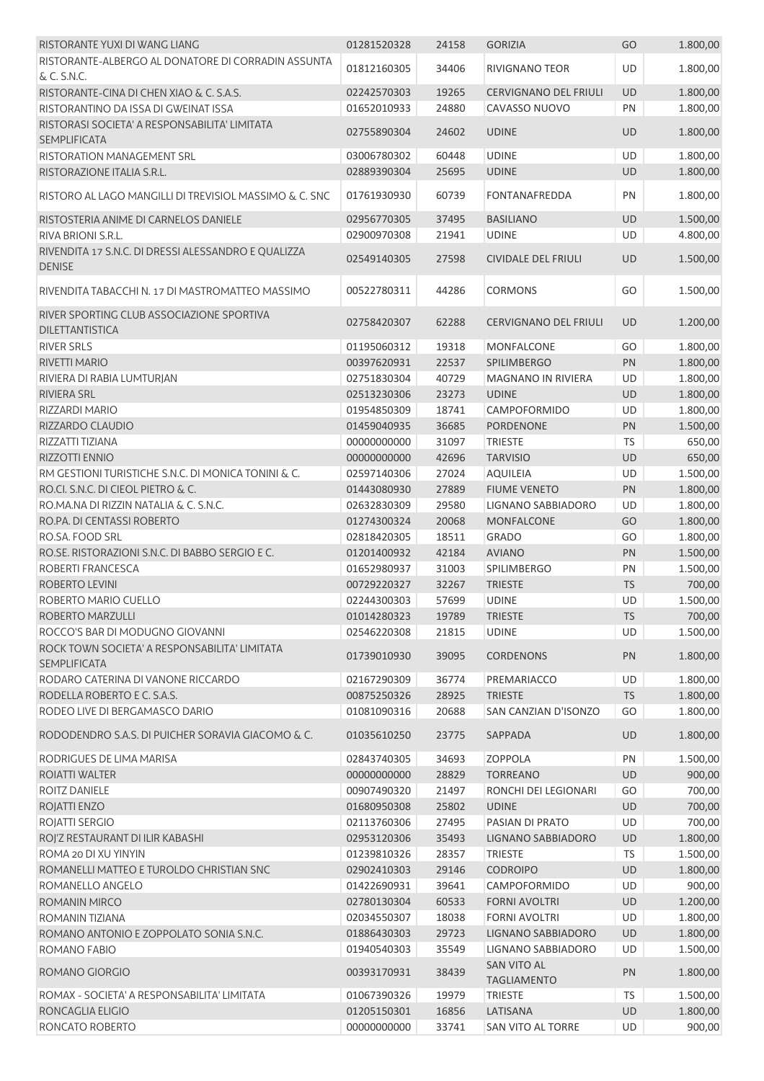| RISTORANTE YUXI DI WANG LIANG                                        | 01281520328                | 24158          | <b>GORIZIA</b>                           | GO        | 1.800,00             |
|----------------------------------------------------------------------|----------------------------|----------------|------------------------------------------|-----------|----------------------|
| RISTORANTE-ALBERGO AL DONATORE DI CORRADIN ASSUNTA                   |                            |                |                                          |           |                      |
| & C. S.N.C.                                                          | 01812160305                | 34406          | <b>RIVIGNANO TEOR</b>                    | UD        | 1.800,00             |
| RISTORANTE-CINA DI CHEN XIAO & C. S.A.S.                             | 02242570303                | 19265          | <b>CERVIGNANO DEL FRIULI</b>             | UD        | 1.800,00             |
| RISTORANTINO DA ISSA DI GWEINAT ISSA                                 | 01652010933                | 24880          | CAVASSO NUOVO                            | PN        | 1.800,00             |
| RISTORASI SOCIETA' A RESPONSABILITA' LIMITATA<br><b>SEMPLIFICATA</b> | 02755890304                | 24602          | <b>UDINE</b>                             | <b>UD</b> | 1.800,00             |
| RISTORATION MANAGEMENT SRL                                           | 03006780302                | 60448          | <b>UDINE</b>                             | UD        | 1.800,00             |
| RISTORAZIONE ITALIA S.R.L.                                           | 02889390304                | 25695          | <b>UDINE</b>                             | UD        | 1.800,00             |
| RISTORO AL LAGO MANGILLI DI TREVISIOL MASSIMO & C. SNC               | 01761930930                | 60739          | <b>FONTANAFREDDA</b>                     | PN        | 1.800,00             |
|                                                                      |                            |                |                                          |           |                      |
| RISTOSTERIA ANIME DI CARNELOS DANIELE<br>RIVA BRIONI S.R.L.          | 02956770305<br>02900970308 | 37495<br>21941 | <b>BASILIANO</b><br><b>UDINE</b>         | UD<br>UD  | 1.500,00<br>4.800,00 |
| RIVENDITA 17 S.N.C. DI DRESSI ALESSANDRO E QUALIZZA                  |                            |                |                                          |           |                      |
| <b>DENISE</b>                                                        | 02549140305                | 27598          | <b>CIVIDALE DEL FRIULI</b>               | UD        | 1.500,00             |
| RIVENDITA TABACCHI N. 17 DI MASTROMATTEO MASSIMO                     | 00522780311                | 44286          | <b>CORMONS</b>                           | GO        | 1.500,00             |
| RIVER SPORTING CLUB ASSOCIAZIONE SPORTIVA<br><b>DILETTANTISTICA</b>  | 02758420307                | 62288          | <b>CERVIGNANO DEL FRIULI</b>             | <b>UD</b> | 1.200,00             |
| <b>RIVER SRLS</b>                                                    | 01195060312                | 19318          | <b>MONFALCONE</b>                        | GO        | 1.800,00             |
| RIVETTI MARIO                                                        | 00397620931                | 22537          | <b>SPILIMBERGO</b>                       | PN        | 1.800,00             |
| RIVIERA DI RABIA LUMTURJAN                                           | 02751830304                | 40729          | <b>MAGNANO IN RIVIERA</b>                | UD        | 1.800,00             |
| <b>RIVIERA SRL</b>                                                   | 02513230306                | 23273          | <b>UDINE</b>                             | UD        | 1.800,00             |
| RIZZARDI MARIO                                                       | 01954850309                | 18741          | CAMPOFORMIDO                             | UD        | 1.800,00             |
| RIZZARDO CLAUDIO                                                     | 01459040935                | 36685          | <b>PORDENONE</b>                         | PN        | 1.500,00             |
| RIZZATTI TIZIANA                                                     | 00000000000                | 31097          | <b>TRIESTE</b>                           | <b>TS</b> | 650,00               |
| RIZZOTTI ENNIO                                                       | 00000000000                | 42696          | <b>TARVISIO</b>                          | UD        | 650,00               |
| RM GESTIONI TURISTICHE S.N.C. DI MONICA TONINI & C.                  | 02597140306                | 27024          | <b>AQUILEIA</b>                          | UD        | 1.500,00             |
| RO.CI. S.N.C. DI CIEOL PIETRO & C.                                   | 01443080930                | 27889          | <b>FIUME VENETO</b>                      | PN        | 1.800,00             |
| RO.MA.NA DI RIZZIN NATALIA & C. S.N.C.                               | 02632830309                | 29580          | LIGNANO SABBIADORO                       | UD        | 1.800,00             |
| RO.PA. DI CENTASSI ROBERTO                                           | 01274300324                | 20068          | <b>MONFALCONE</b>                        | GO        | 1.800,00             |
| RO.SA, FOOD SRL                                                      | 02818420305                | 18511          | <b>GRADO</b>                             | GO        | 1.800,00             |
| RO.SE. RISTORAZIONI S.N.C. DI BABBO SERGIO E C.                      | 01201400932                | 42184          | <b>AVIANO</b>                            | PN        | 1.500,00             |
| ROBERTI FRANCESCA                                                    | 01652980937                | 31003          | SPILIMBERGO                              | PN        | 1.500,00             |
| ROBERTO LEVINI                                                       | 00729220327                | 32267          | <b>TRIESTE</b>                           | <b>TS</b> | 700,00               |
| ROBERTO MARIO CUELLO                                                 | 02244300303                | 57699          | <b>UDINE</b>                             | <b>UD</b> | 1.500,00             |
| ROBERTO MARZULLI                                                     | 01014280323                | 19789          | <b>TRIESTE</b>                           | <b>TS</b> | 700,00               |
| ROCCO'S BAR DI MODUGNO GIOVANNI                                      | 02546220308                | 21815          | <b>UDINE</b>                             | <b>UD</b> | 1.500,00             |
| ROCK TOWN SOCIETA' A RESPONSABILITA' LIMITATA<br><b>SEMPLIFICATA</b> | 01739010930                | 39095          | <b>CORDENONS</b>                         | PN        | 1.800,00             |
| RODARO CATERINA DI VANONE RICCARDO                                   | 02167290309                | 36774          | PREMARIACCO                              | UD        | 1.800,00             |
| RODELLA ROBERTO E C. S.A.S.                                          | 00875250326                | 28925          | <b>TRIESTE</b>                           | <b>TS</b> | 1.800,00             |
| RODEO LIVE DI BERGAMASCO DARIO                                       | 01081090316                | 20688          | SAN CANZIAN D'ISONZO                     | GO        | 1.800,00             |
| RODODENDRO S.A.S. DI PUICHER SORAVIA GIACOMO & C.                    | 01035610250                | 23775          | SAPPADA                                  | UD        | 1.800,00             |
| RODRIGUES DE LIMA MARISA                                             | 02843740305                | 34693          | <b>ZOPPOLA</b>                           | PN        | 1.500,00             |
| ROIATTI WALTER                                                       | 00000000000                | 28829          | <b>TORREANO</b>                          | <b>UD</b> | 900,00               |
| ROITZ DANIELE                                                        | 00907490320                | 21497          | RONCHI DEI LEGIONARI                     | GO        | 700,00               |
| ROJATTI ENZO                                                         | 01680950308                | 25802          | <b>UDINE</b>                             | <b>UD</b> | 700,00               |
| ROJATTI SERGIO                                                       | 02113760306                | 27495          | PASIAN DI PRATO                          | <b>UD</b> | 700,00               |
| ROJ'Z RESTAURANT DI ILIR KABASHI                                     | 02953120306                | 35493          | LIGNANO SABBIADORO                       | UD        | 1.800,00             |
| ROMA 20 DI XU YINYIN                                                 | 01239810326                | 28357          | <b>TRIESTE</b>                           | <b>TS</b> | 1.500,00             |
| ROMANELLI MATTEO E TUROLDO CHRISTIAN SNC                             | 02902410303                | 29146          | <b>CODROIPO</b>                          | UD        | 1.800,00             |
| ROMANELLO ANGELO                                                     | 01422690931                | 39641          | CAMPOFORMIDO                             | <b>UD</b> | 900,00               |
| ROMANIN MIRCO                                                        | 02780130304                | 60533          | <b>FORNI AVOLTRI</b>                     | UD        | 1.200,00             |
| ROMANIN TIZIANA                                                      | 02034550307                | 18038          | <b>FORNI AVOLTRI</b>                     | <b>UD</b> | 1.800,00             |
| ROMANO ANTONIO E ZOPPOLATO SONIA S.N.C.                              | 01886430303                | 29723          | LIGNANO SABBIADORO                       | UD        | 1.800,00             |
| ROMANO FABIO                                                         | 01940540303                | 35549          | LIGNANO SABBIADORO                       | UD        | 1.500,00             |
| ROMANO GIORGIO                                                       | 00393170931                | 38439          | <b>SAN VITO AL</b><br><b>TAGLIAMENTO</b> | PN        | 1.800,00             |
| ROMAX - SOCIETA' A RESPONSABILITA' LIMITATA                          | 01067390326                | 19979          | <b>TRIESTE</b>                           | <b>TS</b> | 1.500,00             |
| RONCAGLIA ELIGIO                                                     | 01205150301                | 16856          | LATISANA                                 | UD        | 1.800,00             |
| RONCATO ROBERTO                                                      | 00000000000                | 33741          | SAN VITO AL TORRE                        | UD        | 900,00               |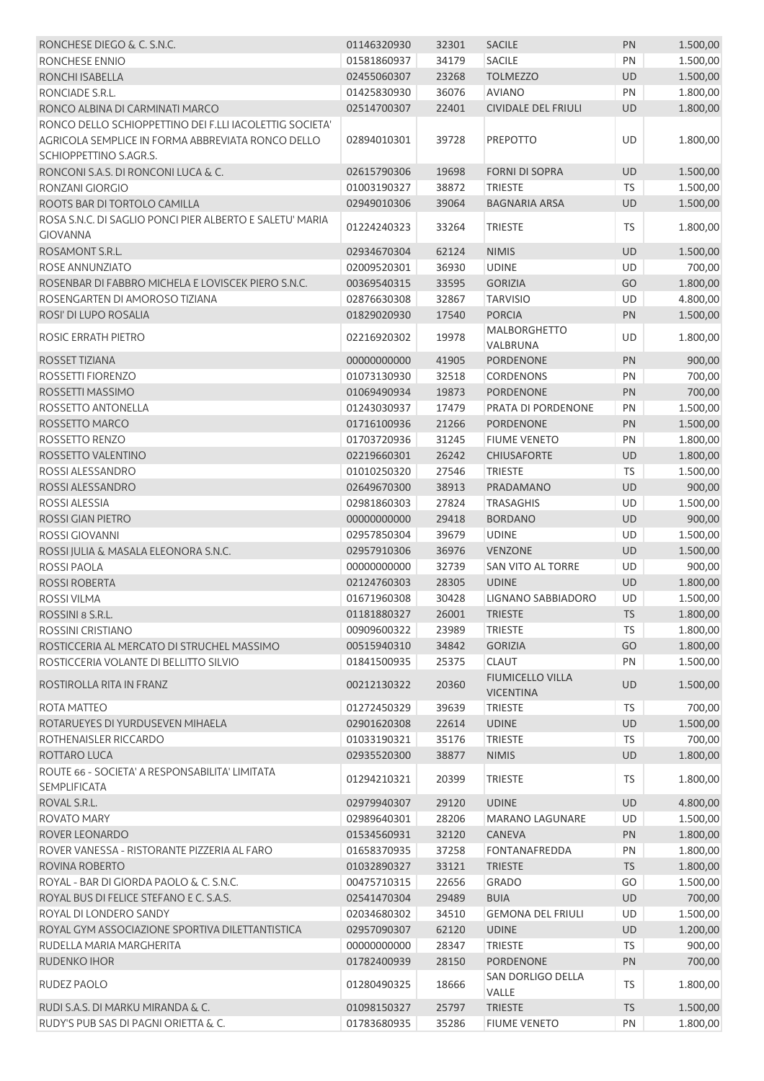| RONCHESE DIEGO & C. S.N.C.                               | 01146320930 | 32301 | <b>SACILE</b>                               | PN        | 1.500,00 |
|----------------------------------------------------------|-------------|-------|---------------------------------------------|-----------|----------|
| RONCHESE ENNIO                                           | 01581860937 | 34179 | <b>SACILE</b>                               | PN        | 1.500,00 |
| RONCHI ISABELLA                                          | 02455060307 | 23268 | <b>TOLMEZZO</b>                             | <b>UD</b> | 1.500,00 |
| RONCIADE S.R.L.                                          | 01425830930 | 36076 | <b>AVIANO</b>                               | PN        | 1.800,00 |
| RONCO ALBINA DI CARMINATI MARCO                          | 02514700307 | 22401 | <b>CIVIDALE DEL FRIULI</b>                  | <b>UD</b> | 1.800,00 |
| RONCO DELLO SCHIOPPETTINO DEI F.LLI IACOLETTIG SOCIETA'  |             |       |                                             |           |          |
| AGRICOLA SEMPLICE IN FORMA ABBREVIATA RONCO DELLO        | 02894010301 | 39728 | <b>PREPOTTO</b>                             | UD        | 1.800,00 |
| SCHIOPPETTINO S.AGR.S.                                   |             |       |                                             |           |          |
| RONCONI S.A.S. DI RONCONI LUCA & C.                      | 02615790306 | 19698 | <b>FORNI DI SOPRA</b>                       | UD        | 1.500,00 |
| RONZANI GIORGIO                                          | 01003190327 | 38872 | <b>TRIESTE</b>                              | TS        | 1.500,00 |
| ROOTS BAR DI TORTOLO CAMILLA                             | 02949010306 | 39064 | <b>BAGNARIA ARSA</b>                        | UD        | 1.500,00 |
| ROSA S.N.C. DI SAGLIO PONCI PIER ALBERTO E SALETU' MARIA |             |       |                                             |           |          |
| <b>GIOVANNA</b>                                          | 01224240323 | 33264 | <b>TRIESTE</b>                              | TS        | 1.800,00 |
| ROSAMONT S.R.L.                                          | 02934670304 | 62124 | <b>NIMIS</b>                                | UD        | 1.500,00 |
| ROSE ANNUNZIATO                                          | 02009520301 | 36930 | <b>UDINE</b>                                | UD        | 700,00   |
| ROSENBAR DI FABBRO MICHELA E LOVISCEK PIERO S.N.C.       | 00369540315 | 33595 | <b>GORIZIA</b>                              | GO        | 1.800,00 |
| ROSENGARTEN DI AMOROSO TIZIANA                           | 02876630308 | 32867 | <b>TARVISIO</b>                             | UD        | 4.800,00 |
| ROSI' DI LUPO ROSALIA                                    | 01829020930 | 17540 | <b>PORCIA</b>                               | PN        | 1.500,00 |
|                                                          |             |       | <b>MALBORGHETTO</b>                         |           |          |
| ROSIC ERRATH PIETRO                                      | 02216920302 | 19978 | VALBRUNA                                    | UD        | 1.800,00 |
| ROSSET TIZIANA                                           | 00000000000 | 41905 | PORDENONE                                   | PN        | 900,00   |
| ROSSETTI FIORENZO                                        | 01073130930 | 32518 | <b>CORDENONS</b>                            | PN        | 700,00   |
| ROSSETTI MASSIMO                                         | 01069490934 | 19873 | PORDENONE                                   | PN        | 700,00   |
| ROSSETTO ANTONELLA                                       | 01243030937 | 17479 | PRATA DI PORDENONE                          | PN        | 1.500,00 |
| ROSSETTO MARCO                                           | 01716100936 | 21266 | <b>PORDENONE</b>                            | PN        | 1.500,00 |
| ROSSETTO RENZO                                           | 01703720936 | 31245 | <b>FIUME VENETO</b>                         | PN        | 1.800,00 |
| ROSSETTO VALENTINO                                       | 02219660301 | 26242 | <b>CHIUSAFORTE</b>                          | UD        | 1.800,00 |
| ROSSI ALESSANDRO                                         | 01010250320 | 27546 | <b>TRIESTE</b>                              | <b>TS</b> | 1.500,00 |
| ROSSI ALESSANDRO                                         | 02649670300 | 38913 | PRADAMANO                                   | UD        | 900,00   |
| ROSSI ALESSIA                                            | 02981860303 | 27824 | <b>TRASAGHIS</b>                            | UD        | 1.500,00 |
| ROSSI GIAN PIETRO                                        | 00000000000 | 29418 | <b>BORDANO</b>                              | UD        | 900,00   |
| ROSSI GIOVANNI                                           | 02957850304 | 39679 | <b>UDINE</b>                                | UD        | 1.500,00 |
| ROSSI JULIA & MASALA ELEONORA S.N.C.                     | 02957910306 | 36976 | <b>VENZONE</b>                              | UD        | 1.500,00 |
| <b>ROSSI PAOLA</b>                                       | 00000000000 | 32739 | SAN VITO AL TORRE                           | UD        | 900,00   |
| <b>ROSSI ROBERTA</b>                                     |             |       |                                             |           |          |
| <b>ROSSI VILMA</b>                                       | 02124760303 | 28305 | <b>UDINE</b>                                | UD        | 1.800,00 |
| ROSSINI 8 S.R.L.                                         | 01671960308 | 30428 | LIGNANO SABBIADORO                          | UD        | 1.500,00 |
|                                                          | 01181880327 |       | 26001 TRIESTE                               | <b>TS</b> | 1.800,00 |
| ROSSINI CRISTIANO                                        | 00909600322 | 23989 | <b>TRIESTE</b>                              | TS        | 1.800,00 |
| ROSTICCERIA AL MERCATO DI STRUCHEL MASSIMO               | 00515940310 | 34842 | <b>GORIZIA</b>                              | GO        | 1.800,00 |
| ROSTICCERIA VOLANTE DI BELLITTO SILVIO                   | 01841500935 | 25375 | <b>CLAUT</b>                                | PN        | 1.500,00 |
| ROSTIROLLA RITA IN FRANZ                                 | 00212130322 | 20360 | <b>FIUMICELLO VILLA</b><br><b>VICENTINA</b> | UD        | 1.500,00 |
| ROTA MATTEO                                              | 01272450329 | 39639 | <b>TRIESTE</b>                              | TS        | 700,00   |
| ROTARUEYES DI YURDUSEVEN MIHAELA                         | 02901620308 | 22614 | <b>UDINE</b>                                | UD        | 1.500,00 |
| ROTHENAISLER RICCARDO                                    | 01033190321 | 35176 | <b>TRIESTE</b>                              | <b>TS</b> | 700,00   |
|                                                          | 02935520300 | 38877 | <b>NIMIS</b>                                | <b>UD</b> | 1.800,00 |
| ROTTARO LUCA                                             |             |       |                                             |           |          |
| ROUTE 66 - SOCIETA' A RESPONSABILITA' LIMITATA           | 01294210321 | 20399 | <b>TRIESTE</b>                              | TS        | 1.800,00 |
| <b>SEMPLIFICATA</b>                                      |             |       |                                             |           |          |
| ROVAL S.R.L.                                             | 02979940307 | 29120 | <b>UDINE</b>                                | UD        | 4.800,00 |
| ROVATO MARY                                              | 02989640301 | 28206 | <b>MARANO LAGUNARE</b>                      | UD        | 1.500,00 |
| ROVER LEONARDO                                           | 01534560931 | 32120 | CANEVA                                      | PN        | 1.800,00 |
| ROVER VANESSA - RISTORANTE PIZZERIA AL FARO              | 01658370935 | 37258 | <b>FONTANAFREDDA</b>                        | PN        | 1.800,00 |
| ROVINA ROBERTO                                           | 01032890327 | 33121 | <b>TRIESTE</b>                              | <b>TS</b> | 1.800,00 |
| ROYAL - BAR DI GIORDA PAOLO & C. S.N.C.                  | 00475710315 | 22656 | <b>GRADO</b>                                | GO        | 1.500,00 |
| ROYAL BUS DI FELICE STEFANO E C. S.A.S.                  | 02541470304 | 29489 | <b>BUIA</b>                                 | UD        | 700,00   |
| ROYAL DI LONDERO SANDY                                   | 02034680302 | 34510 | <b>GEMONA DEL FRIULI</b>                    | UD        | 1.500,00 |
| ROYAL GYM ASSOCIAZIONE SPORTIVA DILETTANTISTICA          | 02957090307 | 62120 | <b>UDINE</b>                                | UD        | 1.200,00 |
| RUDELLA MARIA MARGHERITA                                 | 00000000000 | 28347 | <b>TRIESTE</b>                              | <b>TS</b> | 900,00   |
| RUDENKO IHOR                                             | 01782400939 | 28150 | <b>PORDENONE</b>                            | PN        | 700,00   |
| RUDEZ PAOLO                                              | 01280490325 | 18666 | SAN DORLIGO DELLA<br>VALLE                  | TS        | 1.800,00 |
| RUDI S.A.S. DI MARKU MIRANDA & C.                        | 01098150327 | 25797 | <b>TRIESTE</b>                              | <b>TS</b> | 1.500,00 |
| RUDY'S PUB SAS DI PAGNI ORIETTA & C.                     | 01783680935 | 35286 | <b>FIUME VENETO</b>                         | PN        | 1.800,00 |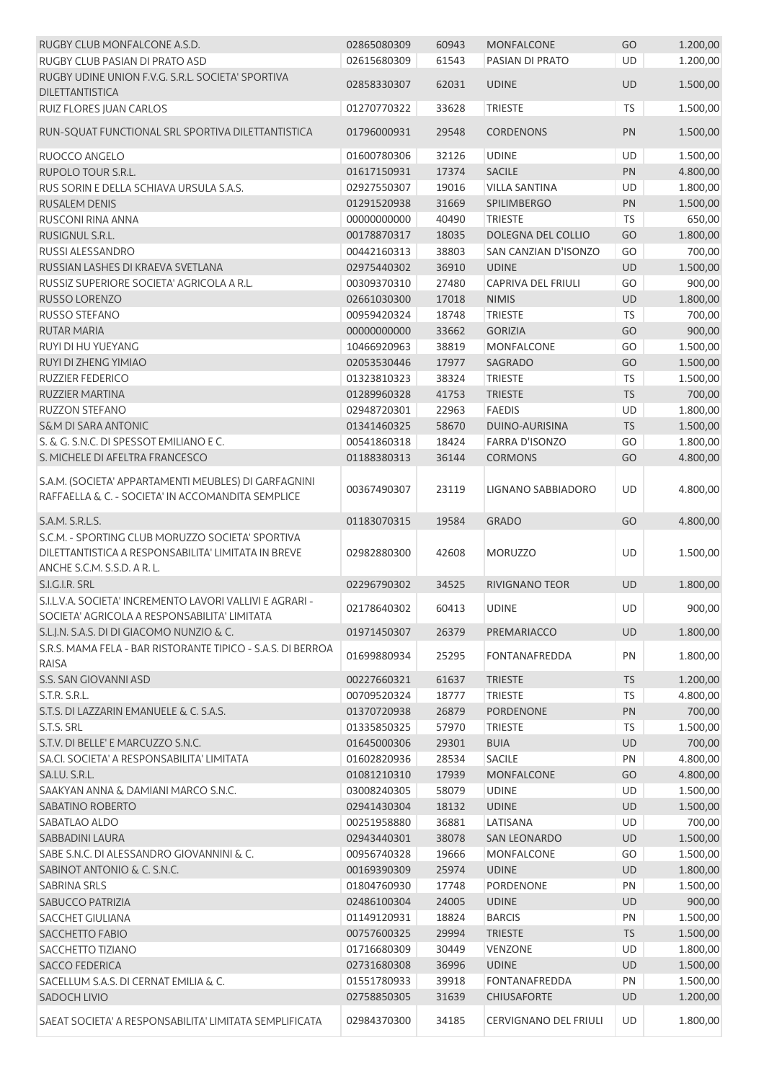| RUGBY CLUB MONFALCONE A.S.D.                                                                                                           | 02865080309 | 60943 | <b>MONFALCONE</b>            | GO        | 1.200,00 |
|----------------------------------------------------------------------------------------------------------------------------------------|-------------|-------|------------------------------|-----------|----------|
| RUGBY CLUB PASIAN DI PRATO ASD                                                                                                         | 02615680309 | 61543 | PASIAN DI PRATO              | <b>UD</b> | 1.200,00 |
| RUGBY UDINE UNION F.V.G. S.R.L. SOCIETA' SPORTIVA<br><b>DILETTANTISTICA</b>                                                            | 02858330307 | 62031 | <b>UDINE</b>                 | <b>UD</b> | 1.500,00 |
| RUIZ FLORES JUAN CARLOS                                                                                                                | 01270770322 | 33628 | <b>TRIESTE</b>               | <b>TS</b> | 1.500,00 |
| RUN-SQUAT FUNCTIONAL SRL SPORTIVA DILETTANTISTICA                                                                                      | 01796000931 | 29548 | <b>CORDENONS</b>             | PN        | 1.500,00 |
| RUOCCO ANGELO                                                                                                                          | 01600780306 | 32126 | <b>UDINE</b>                 | UD        | 1.500,00 |
| RUPOLO TOUR S.R.L.                                                                                                                     | 01617150931 | 17374 | <b>SACILE</b>                | PN        | 4.800,00 |
| RUS SORIN E DELLA SCHIAVA URSULA S.A.S.                                                                                                | 02927550307 | 19016 | <b>VILLA SANTINA</b>         | UD        | 1.800,00 |
| <b>RUSALEM DENIS</b>                                                                                                                   | 01291520938 | 31669 | SPILIMBERGO                  | PN        | 1.500,00 |
| RUSCONI RINA ANNA                                                                                                                      | 00000000000 | 40490 | <b>TRIESTE</b>               | <b>TS</b> | 650,00   |
| RUSIGNUL S.R.L.                                                                                                                        | 00178870317 | 18035 | DOLEGNA DEL COLLIO           | GO        | 1.800,00 |
| RUSSI ALESSANDRO                                                                                                                       | 00442160313 | 38803 | SAN CANZIAN D'ISONZO         | GO        | 700,00   |
| RUSSIAN LASHES DI KRAEVA SVETLANA                                                                                                      | 02975440302 | 36910 | <b>UDINE</b>                 | UD        | 1.500,00 |
| RUSSIZ SUPERIORE SOCIETA' AGRICOLA A R.L.                                                                                              | 00309370310 | 27480 | <b>CAPRIVA DEL FRIULI</b>    | GO        | 900,00   |
| RUSSO LORENZO                                                                                                                          | 02661030300 | 17018 | <b>NIMIS</b>                 | UD        | 1.800,00 |
| RUSSO STEFANO                                                                                                                          | 00959420324 | 18748 | <b>TRIESTE</b>               | TS        | 700,00   |
| <b>RUTAR MARIA</b>                                                                                                                     | 00000000000 | 33662 | <b>GORIZIA</b>               | GO        | 900,00   |
| RUYI DI HU YUEYANG                                                                                                                     | 10466920963 | 38819 | <b>MONFALCONE</b>            | GO        | 1.500,00 |
| RUYI DI ZHENG YIMIAO                                                                                                                   | 02053530446 | 17977 | <b>SAGRADO</b>               | GO        | 1.500,00 |
| <b>RUZZIER FEDERICO</b>                                                                                                                | 01323810323 | 38324 | <b>TRIESTE</b>               | TS        | 1.500,00 |
| <b>RUZZIER MARTINA</b>                                                                                                                 | 01289960328 | 41753 | <b>TRIESTE</b>               | TS        | 700,00   |
| <b>RUZZON STEFANO</b>                                                                                                                  | 02948720301 | 22963 | <b>FAEDIS</b>                | UD        | 1.800,00 |
| <b>S&amp;M DI SARA ANTONIC</b>                                                                                                         | 01341460325 | 58670 | DUINO-AURISINA               | <b>TS</b> | 1.500,00 |
| S. & G. S.N.C. DI SPESSOT EMILIANO E C.                                                                                                |             |       | <b>FARRA D'ISONZO</b>        |           |          |
|                                                                                                                                        | 00541860318 | 18424 |                              | GO        | 1.800,00 |
| S. MICHELE DI AFELTRA FRANCESCO<br>S.A.M. (SOCIETA' APPARTAMENTI MEUBLES) DI GARFAGNINI                                                | 01188380313 | 36144 | <b>CORMONS</b>               | GO        | 4.800,00 |
| RAFFAELLA & C. - SOCIETA' IN ACCOMANDITA SEMPLICE                                                                                      | 00367490307 | 23119 | LIGNANO SABBIADORO           | UD        | 4.800,00 |
| S.A.M. S.R.L.S.                                                                                                                        | 01183070315 | 19584 | <b>GRADO</b>                 | GO        | 4.800,00 |
| S.C.M. - SPORTING CLUB MORUZZO SOCIETA' SPORTIVA<br>DILETTANTISTICA A RESPONSABILITA' LIMITATA IN BREVE<br>ANCHE S.C.M. S.S.D. A R. L. | 02982880300 | 42608 | <b>MORUZZO</b>               | UD        | 1.500,00 |
| S.I.G.I.R. SRL                                                                                                                         | 02296790302 | 34525 | <b>RIVIGNANO TEOR</b>        | <b>UD</b> | 1.800,00 |
| S.I.L.V.A. SOCIETA' INCREMENTO LAVORI VALLIVI E AGRARI -                                                                               |             |       |                              |           |          |
| SOCIETA' AGRICOLA A RESPONSABILITA' LIMITATA                                                                                           | 02178640302 | 60413 | <b>UDINE</b>                 | UD        | 900,00   |
| S.L.J.N. S.A.S. DI DI GIACOMO NUNZIO & C.                                                                                              | 01971450307 | 26379 | PREMARIACCO                  | <b>UD</b> | 1.800,00 |
| S.R.S. MAMA FELA - BAR RISTORANTE TIPICO - S.A.S. DI BERROA<br>RAISA                                                                   | 01699880934 | 25295 | <b>FONTANAFREDDA</b>         | PN        | 1.800,00 |
| S.S. SAN GIOVANNI ASD                                                                                                                  | 00227660321 | 61637 | <b>TRIESTE</b>               | <b>TS</b> | 1.200,00 |
| S.T.R. S.R.L.                                                                                                                          | 00709520324 | 18777 | <b>TRIESTE</b>               | TS        | 4.800,00 |
| S.T.S. DI LAZZARIN EMANUELE & C. S.A.S.                                                                                                | 01370720938 | 26879 | <b>PORDENONE</b>             | PN        | 700,00   |
| S.T.S. SRL                                                                                                                             | 01335850325 | 57970 | <b>TRIESTE</b>               | <b>TS</b> | 1.500,00 |
| S.T.V. DI BELLE' E MARCUZZO S.N.C.                                                                                                     | 01645000306 | 29301 | <b>BUIA</b>                  | UD        | 700,00   |
| SA.CI. SOCIETA' A RESPONSABILITA' LIMITATA                                                                                             | 01602820936 | 28534 | <b>SACILE</b>                | PN        | 4.800,00 |
| SA.LU. S.R.L.                                                                                                                          | 01081210310 | 17939 | <b>MONFALCONE</b>            | GO        | 4.800,00 |
| SAAKYAN ANNA & DAMIANI MARCO S.N.C.                                                                                                    | 03008240305 | 58079 | <b>UDINE</b>                 | UD        | 1.500,00 |
| SABATINO ROBERTO                                                                                                                       | 02941430304 | 18132 | <b>UDINE</b>                 | UD        | 1.500,00 |
| SABATLAO ALDO                                                                                                                          | 00251958880 | 36881 | LATISANA                     | UD        | 700,00   |
| SABBADINI LAURA                                                                                                                        | 02943440301 | 38078 | <b>SAN LEONARDO</b>          | UD        | 1.500,00 |
| SABE S.N.C. DI ALESSANDRO GIOVANNINI & C.                                                                                              | 00956740328 | 19666 | <b>MONFALCONE</b>            | GO        | 1.500,00 |
| SABINOT ANTONIO & C. S.N.C.                                                                                                            | 00169390309 | 25974 | <b>UDINE</b>                 | UD        | 1.800,00 |
| SABRINA SRLS                                                                                                                           | 01804760930 | 17748 | PORDENONE                    | PN        | 1.500,00 |
| SABUCCO PATRIZIA                                                                                                                       | 02486100304 | 24005 | <b>UDINE</b>                 | UD        | 900,00   |
| SACCHET GIULIANA                                                                                                                       | 01149120931 | 18824 | <b>BARCIS</b>                | PN        | 1.500,00 |
| <b>SACCHETTO FABIO</b>                                                                                                                 | 00757600325 | 29994 | <b>TRIESTE</b>               | <b>TS</b> | 1.500,00 |
| SACCHETTO TIZIANO                                                                                                                      | 01716680309 | 30449 | <b>VENZONE</b>               | UD        | 1.800,00 |
| <b>SACCO FEDERICA</b>                                                                                                                  | 02731680308 | 36996 | <b>UDINE</b>                 | UD        | 1.500,00 |
| SACELLUM S.A.S. DI CERNAT EMILIA & C.                                                                                                  | 01551780933 | 39918 | <b>FONTANAFREDDA</b>         | PN        | 1.500,00 |
| SADOCH LIVIO                                                                                                                           | 02758850305 | 31639 | <b>CHIUSAFORTE</b>           | UD        | 1.200,00 |
| SAEAT SOCIETA' A RESPONSABILITA' LIMITATA SEMPLIFICATA                                                                                 | 02984370300 | 34185 | <b>CERVIGNANO DEL FRIULI</b> | UD        | 1.800,00 |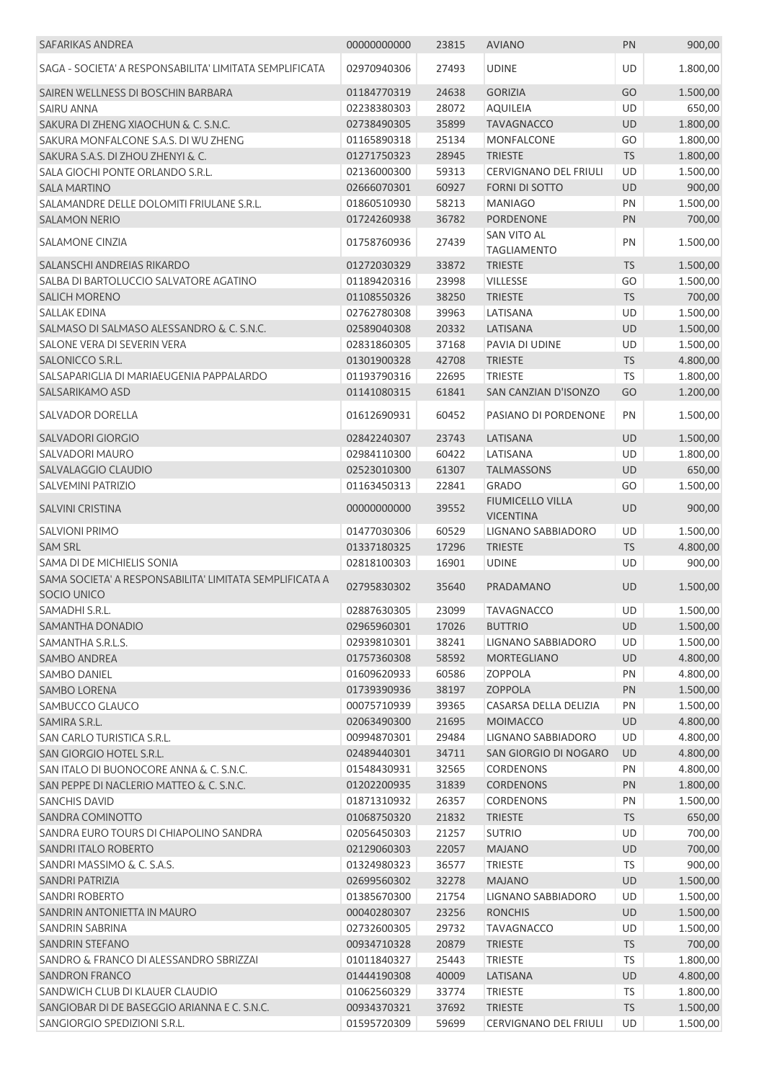| SAFARIKAS ANDREA                                                       | 00000000000 | 23815 | <b>AVIANO</b>                               | PN        | 900,00   |
|------------------------------------------------------------------------|-------------|-------|---------------------------------------------|-----------|----------|
| SAGA - SOCIETA' A RESPONSABILITA' LIMITATA SEMPLIFICATA                | 02970940306 | 27493 | <b>UDINE</b>                                | UD        | 1.800,00 |
| SAIREN WELLNESS DI BOSCHIN BARBARA                                     | 01184770319 | 24638 | <b>GORIZIA</b>                              | GO        | 1.500,00 |
| <b>SAIRU ANNA</b>                                                      | 02238380303 | 28072 | <b>AQUILEIA</b>                             | UD        | 650,00   |
| SAKURA DI ZHENG XIAOCHUN & C. S.N.C.                                   | 02738490305 | 35899 | <b>TAVAGNACCO</b>                           | <b>UD</b> | 1.800,00 |
| SAKURA MONFALCONE S.A.S. DI WU ZHENG                                   | 01165890318 | 25134 | <b>MONFALCONE</b>                           | GO        | 1.800,00 |
| SAKURA S.A.S. DI ZHOU ZHENYI & C.                                      | 01271750323 | 28945 | <b>TRIESTE</b>                              | <b>TS</b> | 1.800,00 |
| SALA GIOCHI PONTE ORLANDO S.R.L.                                       | 02136000300 | 59313 | <b>CERVIGNANO DEL FRIULI</b>                | UD        | 1.500,00 |
| <b>SALA MARTINO</b>                                                    | 02666070301 | 60927 | <b>FORNI DI SOTTO</b>                       | <b>UD</b> | 900,00   |
| SALAMANDRE DELLE DOLOMITI FRIULANE S.R.L.                              | 01860510930 | 58213 | <b>MANIAGO</b>                              | PN        | 1.500,00 |
| <b>SALAMON NERIO</b>                                                   | 01724260938 | 36782 | <b>PORDENONE</b>                            | PN        | 700,00   |
| SALAMONE CINZIA                                                        | 01758760936 | 27439 | <b>SAN VITO AL</b>                          | PN        | 1.500,00 |
|                                                                        |             |       | <b>TAGLIAMENTO</b>                          |           |          |
| SALANSCHI ANDREIAS RIKARDO                                             | 01272030329 | 33872 | <b>TRIESTE</b>                              | <b>TS</b> | 1.500,00 |
| SALBA DI BARTOLUCCIO SALVATORE AGATINO                                 | 01189420316 | 23998 | <b>VILLESSE</b>                             | GO        | 1.500,00 |
| <b>SALICH MORENO</b>                                                   | 01108550326 | 38250 | <b>TRIESTE</b>                              | <b>TS</b> | 700,00   |
| SALLAK EDINA                                                           | 02762780308 | 39963 | LATISANA                                    | UD        | 1.500,00 |
| SALMASO DI SALMASO ALESSANDRO & C. S.N.C.                              | 02589040308 | 20332 | LATISANA                                    | <b>UD</b> | 1.500,00 |
| SALONE VERA DI SEVERIN VERA                                            | 02831860305 | 37168 | PAVIA DI UDINE                              | UD        | 1.500,00 |
| SALONICCO S.R.L.                                                       | 01301900328 | 42708 | <b>TRIESTE</b>                              | <b>TS</b> | 4.800,00 |
| SALSAPARIGLIA DI MARIAEUGENIA PAPPALARDO                               | 01193790316 | 22695 | <b>TRIESTE</b>                              | <b>TS</b> | 1.800,00 |
| SALSARIKAMO ASD                                                        | 01141080315 | 61841 | <b>SAN CANZIAN D'ISONZO</b>                 | GO        | 1.200,00 |
| <b>SALVADOR DORELLA</b>                                                | 01612690931 | 60452 | PASIANO DI PORDENONE                        | PN        | 1.500,00 |
| SALVADORI GIORGIO                                                      | 02842240307 | 23743 | LATISANA                                    | <b>UD</b> | 1.500,00 |
| SALVADORI MAURO                                                        | 02984110300 | 60422 | LATISANA                                    | UD        | 1.800,00 |
| SALVALAGGIO CLAUDIO                                                    | 02523010300 | 61307 | <b>TALMASSONS</b>                           | UD        | 650,00   |
| SALVEMINI PATRIZIO                                                     | 01163450313 | 22841 | <b>GRADO</b>                                | GO        | 1.500,00 |
| <b>SALVINI CRISTINA</b>                                                | 00000000000 | 39552 | <b>FIUMICELLO VILLA</b><br><b>VICENTINA</b> | <b>UD</b> | 900,00   |
| <b>SALVIONI PRIMO</b>                                                  | 01477030306 | 60529 | LIGNANO SABBIADORO                          | UD        | 1.500,00 |
|                                                                        | 01337180325 |       | <b>TRIESTE</b>                              |           |          |
| <b>SAM SRL</b><br>SAMA DI DE MICHIELIS SONIA                           |             | 17296 |                                             | <b>TS</b> | 4.800,00 |
|                                                                        | 02818100303 | 16901 | <b>UDINE</b>                                | UD        | 900,00   |
| SAMA SOCIETA' A RESPONSABILITA' LIMITATA SEMPLIFICATA A<br>SOCIO UNICO | 02795830302 | 35640 | PRADAMANO                                   | <b>UD</b> | 1.500,00 |
| SAMADHI S.R.L.                                                         | 02887630305 | 23099 | <b>TAVAGNACCO</b>                           | UD        | 1.500,00 |
| SAMANTHA DONADIO                                                       | 02965960301 | 17026 | <b>BUTTRIO</b>                              | <b>UD</b> | 1.500,00 |
| SAMANTHA S.R.L.S.                                                      | 02939810301 | 38241 | LIGNANO SABBIADORO                          | UD        | 1.500,00 |
| <b>SAMBO ANDREA</b>                                                    | 01757360308 | 58592 | <b>MORTEGLIANO</b>                          | <b>UD</b> | 4.800,00 |
| SAMBO DANIEL                                                           | 01609620933 | 60586 | <b>ZOPPOLA</b>                              | PN        | 4.800,00 |
| <b>SAMBO LORENA</b>                                                    | 01739390936 | 38197 | ZOPPOLA                                     | PN        | 1.500,00 |
| SAMBUCCO GLAUCO                                                        | 00075710939 | 39365 | CASARSA DELLA DELIZIA                       | PN        | 1.500,00 |
| SAMIRA S.R.L.                                                          | 02063490300 | 21695 | <b>MOIMACCO</b>                             | UD        | 4.800,00 |
| SAN CARLO TURISTICA S.R.L.                                             | 00994870301 | 29484 | LIGNANO SABBIADORO                          | UD        | 4.800,00 |
| SAN GIORGIO HOTEL S.R.L.                                               | 02489440301 | 34711 | SAN GIORGIO DI NOGARO                       | UD        | 4.800,00 |
| SAN ITALO DI BUONOCORE ANNA & C. S.N.C.                                | 01548430931 | 32565 | <b>CORDENONS</b>                            | PN        | 4.800,00 |
| SAN PEPPE DI NACLERIO MATTEO & C. S.N.C.                               | 01202200935 | 31839 | <b>CORDENONS</b>                            | PN        | 1.800,00 |
| <b>SANCHIS DAVID</b>                                                   | 01871310932 | 26357 | <b>CORDENONS</b>                            | PN        | 1.500,00 |
| SANDRA COMINOTTO                                                       | 01068750320 | 21832 | <b>TRIESTE</b>                              | <b>TS</b> | 650,00   |
| SANDRA EURO TOURS DI CHIAPOLINO SANDRA                                 | 02056450303 | 21257 | <b>SUTRIO</b>                               | UD        | 700,00   |
| SANDRI ITALO ROBERTO                                                   | 02129060303 | 22057 | <b>MAJANO</b>                               | UD        | 700,00   |
| SANDRI MASSIMO & C. S.A.S.                                             | 01324980323 | 36577 | <b>TRIESTE</b>                              | <b>TS</b> | 900,00   |
| SANDRI PATRIZIA                                                        | 02699560302 | 32278 | <b>MAJANO</b>                               | UD        | 1.500,00 |
|                                                                        |             |       |                                             |           |          |
| SANDRI ROBERTO                                                         | 01385670300 | 21754 | LIGNANO SABBIADORO                          | UD        | 1.500,00 |
| SANDRIN ANTONIETTA IN MAURO                                            | 00040280307 | 23256 | <b>RONCHIS</b>                              | UD        | 1.500,00 |
| SANDRIN SABRINA                                                        | 02732600305 | 29732 | <b>TAVAGNACCO</b>                           | UD        | 1.500,00 |
| <b>SANDRIN STEFANO</b>                                                 | 00934710328 | 20879 | <b>TRIESTE</b>                              | <b>TS</b> | 700,00   |
| SANDRO & FRANCO DI ALESSANDRO SBRIZZAI                                 | 01011840327 | 25443 | <b>TRIESTE</b>                              | <b>TS</b> | 1.800,00 |
| <b>SANDRON FRANCO</b>                                                  | 01444190308 | 40009 | LATISANA                                    | <b>UD</b> | 4.800,00 |
| SANDWICH CLUB DI KLAUER CLAUDIO                                        | 01062560329 | 33774 | <b>TRIESTE</b>                              | <b>TS</b> | 1.800,00 |
| SANGIOBAR DI DE BASEGGIO ARIANNA E C. S.N.C.                           | 00934370321 | 37692 | <b>TRIESTE</b>                              | <b>TS</b> | 1.500,00 |
| SANGIORGIO SPEDIZIONI S.R.L.                                           | 01595720309 | 59699 | CERVIGNANO DEL FRIULI                       | UD        | 1.500,00 |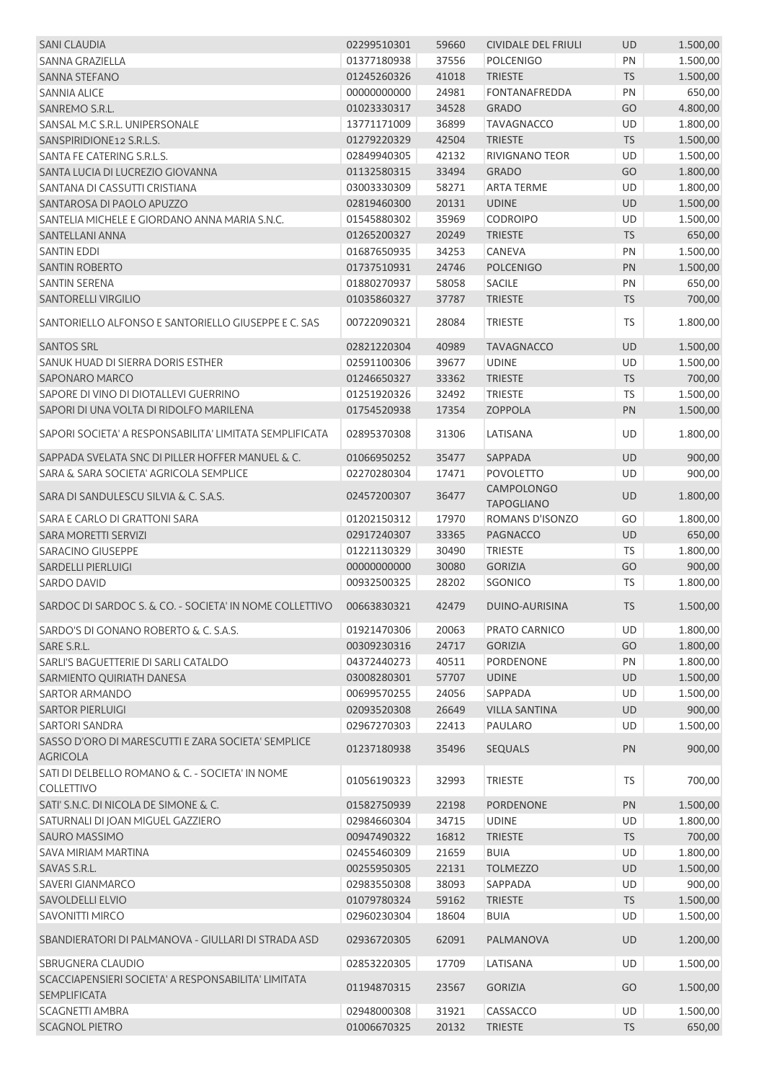| <b>SANI CLAUDIA</b>                                                        | 02299510301 | 59660 | <b>CIVIDALE DEL FRIULI</b> | <b>UD</b> | 1.500,00 |
|----------------------------------------------------------------------------|-------------|-------|----------------------------|-----------|----------|
| <b>SANNA GRAZIELLA</b>                                                     | 01377180938 | 37556 | <b>POLCENIGO</b>           | PN        | 1.500,00 |
| <b>SANNA STEFANO</b>                                                       | 01245260326 | 41018 | <b>TRIESTE</b>             | <b>TS</b> | 1.500,00 |
| <b>SANNIA ALICE</b>                                                        | 00000000000 | 24981 | <b>FONTANAFREDDA</b>       | PN        | 650,00   |
| SANREMO S.R.L.                                                             | 01023330317 | 34528 | <b>GRADO</b>               | GO        | 4.800,00 |
| SANSAL M.C S.R.L. UNIPERSONALE                                             | 13771171009 | 36899 | <b>TAVAGNACCO</b>          | UD        | 1.800,00 |
| SANSPIRIDIONE12 S.R.L.S.                                                   | 01279220329 | 42504 | <b>TRIESTE</b>             | <b>TS</b> | 1.500,00 |
| SANTA FE CATERING S.R.L.S.                                                 | 02849940305 | 42132 | RIVIGNANO TEOR             | UD        | 1.500,00 |
| SANTA LUCIA DI LUCREZIO GIOVANNA                                           | 01132580315 | 33494 | <b>GRADO</b>               | GO        | 1.800,00 |
| SANTANA DI CASSUTTI CRISTIANA                                              | 03003330309 | 58271 | <b>ARTA TERME</b>          | UD        | 1.800,00 |
| SANTAROSA DI PAOLO APUZZO                                                  | 02819460300 | 20131 | <b>UDINE</b>               | UD        | 1.500,00 |
| SANTELIA MICHELE E GIORDANO ANNA MARIA S.N.C.                              | 01545880302 | 35969 | <b>CODROIPO</b>            | UD        | 1.500,00 |
| SANTELLANI ANNA                                                            | 01265200327 | 20249 | <b>TRIESTE</b>             | <b>TS</b> | 650,00   |
| <b>SANTIN EDDI</b>                                                         | 01687650935 | 34253 | <b>CANEVA</b>              | PN        | 1.500,00 |
| <b>SANTIN ROBERTO</b>                                                      | 01737510931 | 24746 | <b>POLCENIGO</b>           | PN        | 1.500,00 |
| SANTIN SERENA                                                              | 01880270937 | 58058 | <b>SACILE</b>              | PN        | 650,00   |
| <b>SANTORELLI VIRGILIO</b>                                                 | 01035860327 | 37787 | <b>TRIESTE</b>             | <b>TS</b> | 700,00   |
|                                                                            |             |       |                            |           |          |
| SANTORIELLO ALFONSO E SANTORIELLO GIUSEPPE E C. SAS                        | 00722090321 | 28084 | <b>TRIESTE</b>             | TS        | 1.800,00 |
| <b>SANTOS SRL</b>                                                          | 02821220304 | 40989 | <b>TAVAGNACCO</b>          | UD        | 1.500,00 |
| SANUK HUAD DI SIERRA DORIS ESTHER                                          | 02591100306 | 39677 | <b>UDINE</b>               | UD        | 1.500,00 |
| <b>SAPONARO MARCO</b>                                                      | 01246650327 | 33362 | <b>TRIESTE</b>             | <b>TS</b> | 700,00   |
| SAPORE DI VINO DI DIOTALLEVI GUERRINO                                      | 01251920326 | 32492 | <b>TRIESTE</b>             | TS        | 1.500,00 |
| SAPORI DI UNA VOLTA DI RIDOLFO MARILENA                                    | 01754520938 | 17354 | <b>ZOPPOLA</b>             | PN        | 1.500,00 |
| SAPORI SOCIETA' A RESPONSABILITA' LIMITATA SEMPLIFICATA                    | 02895370308 | 31306 | LATISANA                   | UD        | 1.800,00 |
| SAPPADA SVELATA SNC DI PILLER HOFFER MANUEL & C.                           | 01066950252 | 35477 | SAPPADA                    | UD        | 900,00   |
| SARA & SARA SOCIETA' AGRICOLA SEMPLICE                                     | 02270280304 | 17471 | <b>POVOLETTO</b>           | UD        | 900,00   |
|                                                                            |             |       | <b>CAMPOLONGO</b>          |           |          |
| SARA DI SANDULESCU SILVIA & C. S.A.S.                                      | 02457200307 | 36477 | <b>TAPOGLIANO</b>          | <b>UD</b> | 1.800,00 |
| SARA E CARLO DI GRATTONI SARA                                              | 01202150312 | 17970 | ROMANS D'ISONZO            | GO        | 1.800,00 |
| <b>SARA MORETTI SERVIZI</b>                                                | 02917240307 | 33365 | <b>PAGNACCO</b>            | UD        | 650,00   |
| <b>SARACINO GIUSEPPE</b>                                                   | 01221130329 | 30490 | <b>TRIESTE</b>             | <b>TS</b> | 1.800,00 |
| <b>SARDELLI PIERLUIGI</b>                                                  | 00000000000 | 30080 | <b>GORIZIA</b>             | GO        | 900,00   |
| SARDO DAVID                                                                | 00932500325 | 28202 | SGONICO                    | TS        | 1.800,00 |
|                                                                            |             |       |                            |           |          |
| SARDOC DI SARDOC S. & CO. - SOCIETA' IN NOME COLLETTIVO                    | 00663830321 | 42479 | DUINO-AURISINA             | <b>TS</b> | 1.500,00 |
| SARDO'S DI GONANO ROBERTO & C. S.A.S.                                      | 01921470306 | 20063 | PRATO CARNICO              | UD        | 1.800,00 |
| SARE S.R.L.                                                                | 00309230316 | 24717 | <b>GORIZIA</b>             | GO        | 1.800,00 |
| SARLI'S BAGUETTERIE DI SARLI CATALDO                                       | 04372440273 | 40511 | PORDENONE                  | PN        | 1.800,00 |
| SARMIENTO QUIRIATH DANESA                                                  | 03008280301 | 57707 | <b>UDINE</b>               | UD        | 1.500,00 |
| <b>SARTOR ARMANDO</b>                                                      | 00699570255 | 24056 | SAPPADA                    | UD        | 1.500,00 |
| <b>SARTOR PIERLUIGI</b>                                                    | 02093520308 | 26649 | <b>VILLA SANTINA</b>       | UD        | 900,00   |
| <b>SARTORI SANDRA</b>                                                      | 02967270303 | 22413 | PAULARO                    | UD        | 1.500,00 |
| SASSO D'ORO DI MARESCUTTI E ZARA SOCIETA' SEMPLICE<br><b>AGRICOLA</b>      | 01237180938 | 35496 | <b>SEQUALS</b>             | PN        | 900,00   |
| SATI DI DELBELLO ROMANO & C. - SOCIETA' IN NOME                            | 01056190323 | 32993 | <b>TRIESTE</b>             | <b>TS</b> | 700,00   |
| <b>COLLETTIVO</b>                                                          |             |       |                            |           |          |
| SATI' S.N.C. DI NICOLA DE SIMONE & C.                                      | 01582750939 | 22198 | PORDENONE                  | PN        | 1.500,00 |
| SATURNALI DI JOAN MIGUEL GAZZIERO                                          | 02984660304 | 34715 | <b>UDINE</b>               | UD        | 1.800,00 |
| SAURO MASSIMO                                                              | 00947490322 | 16812 | <b>TRIESTE</b>             | <b>TS</b> | 700,00   |
| SAVA MIRIAM MARTINA                                                        | 02455460309 | 21659 | <b>BUIA</b>                | UD        | 1.800,00 |
| SAVAS S.R.L.                                                               | 00255950305 | 22131 | <b>TOLMEZZO</b>            | UD        | 1.500,00 |
| SAVERI GIANMARCO                                                           | 02983550308 | 38093 | SAPPADA                    | UD        | 900,00   |
| SAVOLDELLI ELVIO                                                           | 01079780324 | 59162 | <b>TRIESTE</b>             | <b>TS</b> | 1.500,00 |
| <b>SAVONITTI MIRCO</b>                                                     | 02960230304 | 18604 | <b>BUIA</b>                | UD        | 1.500,00 |
| SBANDIERATORI DI PALMANOVA - GIULLARI DI STRADA ASD                        | 02936720305 | 62091 | PALMANOVA                  | <b>UD</b> | 1.200,00 |
| SBRUGNERA CLAUDIO                                                          | 02853220305 | 17709 | LATISANA                   | <b>UD</b> | 1.500,00 |
| SCACCIAPENSIERI SOCIETA' A RESPONSABILITA' LIMITATA<br><b>SEMPLIFICATA</b> | 01194870315 | 23567 | <b>GORIZIA</b>             | GO        | 1.500,00 |
| <b>SCAGNETTI AMBRA</b>                                                     | 02948000308 | 31921 | CASSACCO                   | UD        | 1.500,00 |
| <b>SCAGNOL PIETRO</b>                                                      | 01006670325 | 20132 | <b>TRIESTE</b>             | <b>TS</b> | 650,00   |
|                                                                            |             |       |                            |           |          |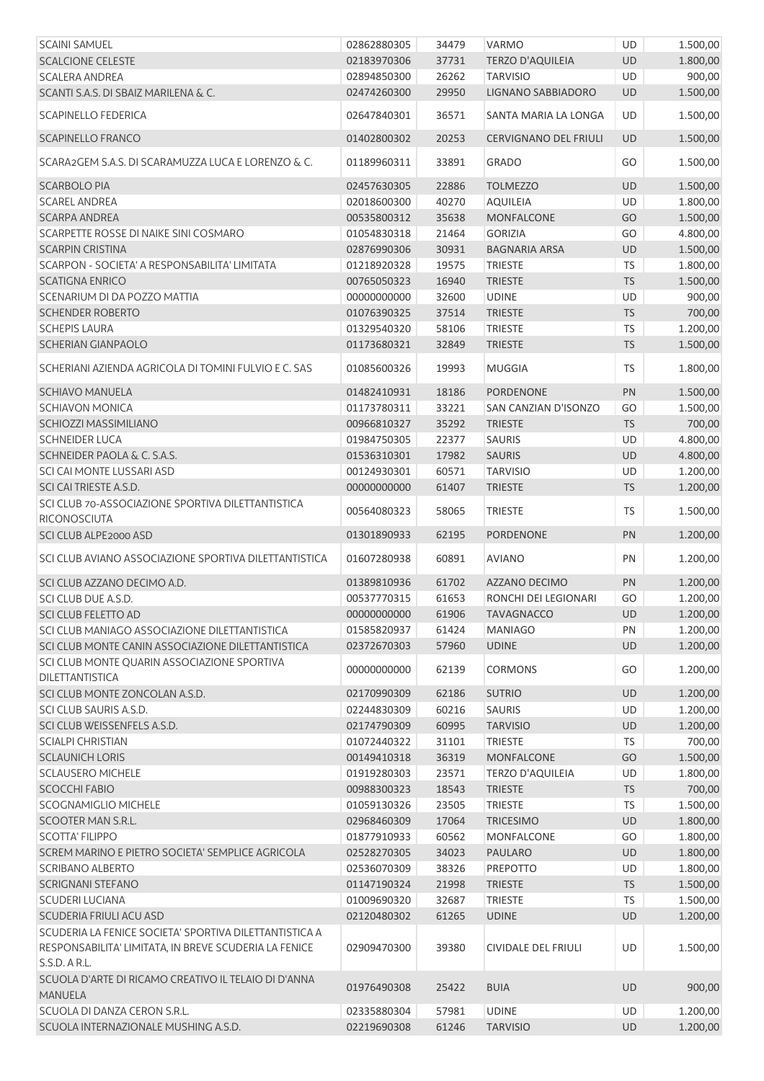| <b>SCAINI SAMUEL</b>                                                   | 02862880305 | 34479 | <b>VARMO</b>            | UD        | 1.500,00 |
|------------------------------------------------------------------------|-------------|-------|-------------------------|-----------|----------|
| <b>SCALCIONE CELESTE</b>                                               | 02183970306 | 37731 | <b>TERZO D'AQUILEIA</b> | UD        | 1.800,00 |
| <b>SCALERA ANDREA</b>                                                  | 02894850300 | 26262 | <b>TARVISIO</b>         | UD        | 900,00   |
| SCANTI S.A.S. DI SBAIZ MARILENA & C.                                   | 02474260300 | 29950 | LIGNANO SABBIADORO      | UD        | 1.500,00 |
| <b>SCAPINELLO FEDERICA</b>                                             | 02647840301 | 36571 | SANTA MARIA LA LONGA    | UD        | 1.500,00 |
| <b>SCAPINELLO FRANCO</b>                                               | 01402800302 | 20253 | CERVIGNANO DEL FRIULI   | UD        | 1.500,00 |
| SCARA2GEM S.A.S. DI SCARAMUZZA LUCA E LORENZO & C.                     | 01189960311 | 33891 | <b>GRADO</b>            | GO        | 1.500,00 |
| <b>SCARBOLO PIA</b>                                                    | 02457630305 | 22886 | <b>TOLMEZZO</b>         | UD        | 1.500,00 |
| <b>SCAREL ANDREA</b>                                                   | 02018600300 | 40270 | <b>AQUILEIA</b>         | UD        | 1.800,00 |
| <b>SCARPA ANDREA</b>                                                   | 00535800312 | 35638 | <b>MONFALCONE</b>       | GO        | 1.500,00 |
| SCARPETTE ROSSE DI NAIKE SINI COSMARO                                  | 01054830318 | 21464 | <b>GORIZIA</b>          | GO        | 4.800,00 |
| <b>SCARPIN CRISTINA</b>                                                | 02876990306 | 30931 | <b>BAGNARIA ARSA</b>    | UD        | 1.500,00 |
| SCARPON - SOCIETA' A RESPONSABILITA' LIMITATA                          | 01218920328 | 19575 | <b>TRIESTE</b>          | <b>TS</b> | 1.800,00 |
| <b>SCATIGNA ENRICO</b>                                                 | 00765050323 | 16940 | <b>TRIESTE</b>          | TS        | 1.500,00 |
| SCENARIUM DI DA POZZO MATTIA                                           | 00000000000 | 32600 | <b>UDINE</b>            | UD        | 900,00   |
| <b>SCHENDER ROBERTO</b>                                                | 01076390325 | 37514 | <b>TRIESTE</b>          | TS        | 700,00   |
| <b>SCHEPIS LAURA</b>                                                   | 01329540320 | 58106 | <b>TRIESTE</b>          | TS        | 1.200,00 |
| <b>SCHERIAN GIANPAOLO</b>                                              | 01173680321 | 32849 | <b>TRIESTE</b>          | TS        | 1.500,00 |
| SCHERIANI AZIENDA AGRICOLA DI TOMINI FULVIO E C. SAS                   | 01085600326 | 19993 | <b>MUGGIA</b>           | TS        | 1.800,00 |
| <b>SCHIAVO MANUELA</b>                                                 | 01482410931 | 18186 | <b>PORDENONE</b>        | PN        | 1.500,00 |
| <b>SCHIAVON MONICA</b>                                                 | 01173780311 | 33221 | SAN CANZIAN D'ISONZO    | GO        | 1.500,00 |
| SCHIOZZI MASSIMILIANO                                                  | 00966810327 | 35292 | <b>TRIESTE</b>          | <b>TS</b> | 700,00   |
| <b>SCHNEIDER LUCA</b>                                                  | 01984750305 | 22377 | SAURIS                  | UD        | 4.800,00 |
| SCHNEIDER PAOLA & C. S.A.S.                                            | 01536310301 | 17982 | <b>SAURIS</b>           | UD        | 4.800,00 |
| SCI CAI MONTE LUSSARI ASD                                              | 00124930301 | 60571 | <b>TARVISIO</b>         | UD        | 1.200,00 |
| SCI CAI TRIESTE A.S.D.                                                 | 00000000000 | 61407 | <b>TRIESTE</b>          | <b>TS</b> | 1.200,00 |
| SCI CLUB 70-ASSOCIAZIONE SPORTIVA DILETTANTISTICA                      |             |       |                         |           |          |
| RICONOSCIUTA                                                           | 00564080323 | 58065 | <b>TRIESTE</b>          | <b>TS</b> | 1.500,00 |
| SCI CLUB ALPE2000 ASD                                                  | 01301890933 | 62195 | <b>PORDENONE</b>        | PN        | 1.200,00 |
| SCI CLUB AVIANO ASSOCIAZIONE SPORTIVA DILETTANTISTICA                  | 01607280938 | 60891 | <b>AVIANO</b>           | PN        | 1.200,00 |
| SCI CLUB AZZANO DECIMO A.D.                                            | 01389810936 | 61702 | AZZANO DECIMO           | PN        | 1.200,00 |
| SCI CLUB DUE A.S.D.                                                    | 00537770315 | 61653 | RONCHI DEI LEGIONARI    | GO        | 1.200,00 |
| SCI CLUB FELETTO AD                                                    | 00000000000 | 61906 | <b>TAVAGNACCO</b>       | UD        | 1.200,00 |
| SCI CLUB MANIAGO ASSOCIAZIONE DILETTANTISTICA                          | 01585820937 | 61424 | <b>MANIAGO</b>          | PN        | 1.200,00 |
| SCI CLUB MONTE CANIN ASSOCIAZIONE DILETTANTISTICA                      | 02372670303 | 57960 | <b>UDINE</b>            | UD        | 1.200,00 |
| SCI CLUB MONTE QUARIN ASSOCIAZIONE SPORTIVA<br><b>DILETTANTISTICA</b>  | 00000000000 | 62139 | <b>CORMONS</b>          | GO        | 1.200,00 |
| SCI CLUB MONTE ZONCOLAN A.S.D.                                         | 02170990309 | 62186 | <b>SUTRIO</b>           | UD        | 1.200,00 |
| SCI CLUB SAURIS A.S.D.                                                 | 02244830309 | 60216 | <b>SAURIS</b>           | UD        | 1.200,00 |
| SCI CLUB WEISSENFELS A.S.D.                                            | 02174790309 | 60995 | <b>TARVISIO</b>         | UD        | 1.200,00 |
| <b>SCIALPI CHRISTIAN</b>                                               | 01072440322 | 31101 | <b>TRIESTE</b>          | <b>TS</b> | 700,00   |
| <b>SCLAUNICH LORIS</b>                                                 | 00149410318 | 36319 | <b>MONFALCONE</b>       | GO        | 1.500,00 |
| <b>SCLAUSERO MICHELE</b>                                               | 01919280303 | 23571 | <b>TERZO D'AQUILEIA</b> | UD        | 1.800,00 |
| <b>SCOCCHI FABIO</b>                                                   | 00988300323 | 18543 | <b>TRIESTE</b>          | <b>TS</b> | 700,00   |
| <b>SCOGNAMIGLIO MICHELE</b>                                            | 01059130326 | 23505 | <b>TRIESTE</b>          | TS        | 1.500,00 |
| SCOOTER MAN S.R.L.                                                     | 02968460309 | 17064 | <b>TRICESIMO</b>        | UD        | 1.800,00 |
| <b>SCOTTA' FILIPPO</b>                                                 | 01877910933 | 60562 | MONFALCONE              | GO        | 1.800,00 |
| SCREM MARINO E PIETRO SOCIETA' SEMPLICE AGRICOLA                       | 02528270305 | 34023 | <b>PAULARO</b>          | UD        | 1.800,00 |
| <b>SCRIBANO ALBERTO</b>                                                | 02536070309 | 38326 | <b>PREPOTTO</b>         | UD        | 1.800,00 |
| <b>SCRIGNANI STEFANO</b>                                               | 01147190324 | 21998 | <b>TRIESTE</b>          | <b>TS</b> | 1.500,00 |
| <b>SCUDERI LUCIANA</b>                                                 | 01009690320 | 32687 | <b>TRIESTE</b>          | TS        | 1.500,00 |
| SCUDERIA FRIULI ACU ASD                                                | 02120480302 | 61265 | <b>UDINE</b>            | UD        |          |
| SCUDERIA LA FENICE SOCIETA' SPORTIVA DILETTANTISTICA A                 |             |       |                         |           | 1.200,00 |
| RESPONSABILITA' LIMITATA, IN BREVE SCUDERIA LA FENICE<br>S.S.D. A R.L. | 02909470300 | 39380 | CIVIDALE DEL FRIULI     | UD        | 1.500,00 |
| SCUOLA D'ARTE DI RICAMO CREATIVO IL TELAIO DI D'ANNA<br><b>MANUELA</b> | 01976490308 | 25422 | <b>BUIA</b>             | UD        | 900,00   |
| SCUOLA DI DANZA CERON S.R.L.                                           | 02335880304 | 57981 | <b>UDINE</b>            | <b>UD</b> | 1.200,00 |
| SCUOLA INTERNAZIONALE MUSHING A.S.D.                                   | 02219690308 | 61246 | <b>TARVISIO</b>         | <b>UD</b> | 1.200,00 |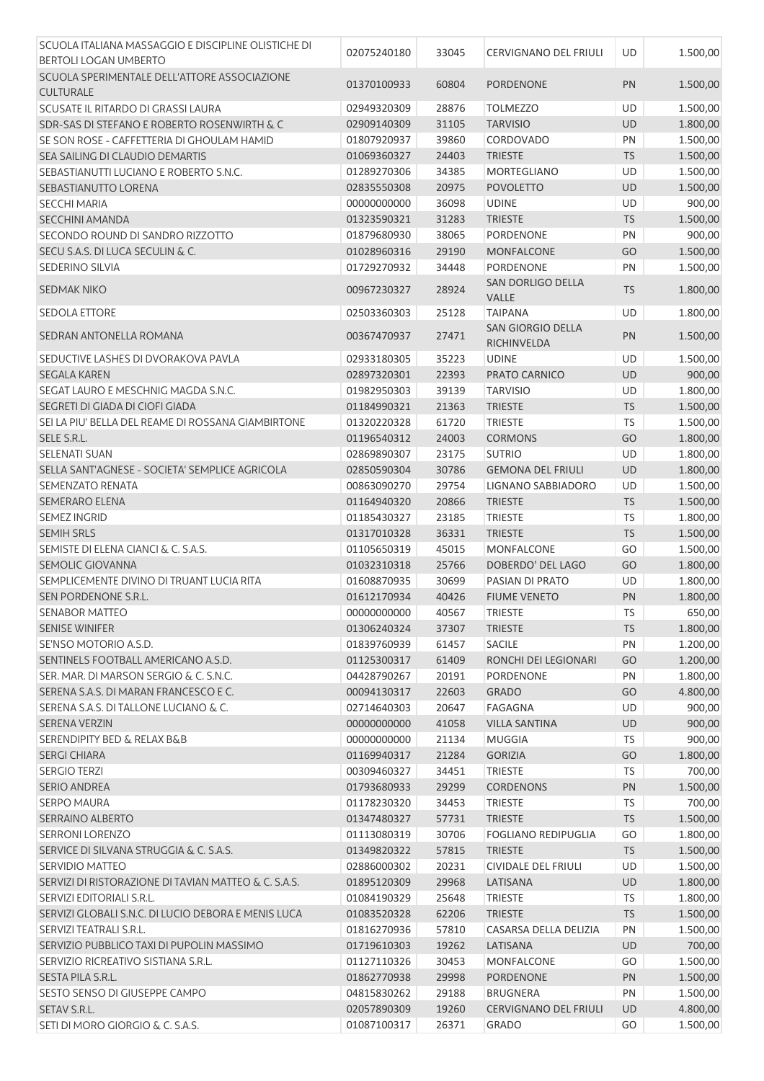| SCUOLA ITALIANA MASSAGGIO E DISCIPLINE OLISTICHE DI    |             |       |                              |           |          |
|--------------------------------------------------------|-------------|-------|------------------------------|-----------|----------|
| <b>BERTOLI LOGAN UMBERTO</b>                           | 02075240180 | 33045 | <b>CERVIGNANO DEL FRIULI</b> | UD        | 1.500,00 |
| SCUOLA SPERIMENTALE DELL'ATTORE ASSOCIAZIONE           | 01370100933 |       |                              |           |          |
| <b>CULTURALE</b>                                       |             | 60804 | <b>PORDENONE</b>             | PN        | 1.500,00 |
| SCUSATE IL RITARDO DI GRASSI LAURA                     | 02949320309 | 28876 | <b>TOLMEZZO</b>              | UD        | 1.500,00 |
| <b>SDR-SAS DI STEFANO E ROBERTO ROSENWIRTH &amp; C</b> | 02909140309 | 31105 | <b>TARVISIO</b>              | <b>UD</b> | 1.800,00 |
| SE SON ROSE - CAFFETTERIA DI GHOULAM HAMID             | 01807920937 | 39860 | CORDOVADO                    | PN        | 1.500,00 |
| SEA SAILING DI CLAUDIO DEMARTIS                        | 01069360327 | 24403 | <b>TRIESTE</b>               | <b>TS</b> | 1.500,00 |
| SEBASTIANUTTI LUCIANO E ROBERTO S.N.C.                 | 01289270306 | 34385 | MORTEGLIANO                  | UD        | 1.500,00 |
| SEBASTIANUTTO LORENA                                   | 02835550308 | 20975 | <b>POVOLETTO</b>             | <b>UD</b> | 1.500,00 |
| <b>SECCHI MARIA</b>                                    | 00000000000 | 36098 | <b>UDINE</b>                 | UD        | 900,00   |
| <b>SECCHINI AMANDA</b>                                 | 01323590321 | 31283 | <b>TRIESTE</b>               | <b>TS</b> | 1.500,00 |
| SECONDO ROUND DI SANDRO RIZZOTTO                       | 01879680930 | 38065 | PORDENONE                    | PN        | 900,00   |
| SECU S.A.S. DI LUCA SECULIN & C.                       | 01028960316 | 29190 | MONFALCONE                   | GO        | 1.500,00 |
| SEDERINO SILVIA                                        | 01729270932 | 34448 | <b>PORDENONE</b>             | PN        | 1.500,00 |
|                                                        |             |       | SAN DORLIGO DELLA            |           |          |
| <b>SEDMAK NIKO</b>                                     | 00967230327 | 28924 | VALLE                        | <b>TS</b> | 1.800,00 |
| <b>SEDOLA ETTORE</b>                                   | 02503360303 | 25128 | <b>TAIPANA</b>               | UD        | 1.800,00 |
|                                                        |             |       | <b>SAN GIORGIO DELLA</b>     |           |          |
| SEDRAN ANTONELLA ROMANA                                | 00367470937 | 27471 | RICHINVELDA                  | PN        | 1.500,00 |
| SEDUCTIVE LASHES DI DVORAKOVA PAVLA                    | 02933180305 | 35223 | <b>UDINE</b>                 | UD        | 1.500,00 |
| <b>SEGALA KAREN</b>                                    | 02897320301 | 22393 | PRATO CARNICO                | <b>UD</b> | 900,00   |
| SEGAT LAURO E MESCHNIG MAGDA S.N.C.                    | 01982950303 | 39139 | <b>TARVISIO</b>              | UD        | 1.800,00 |
| SEGRETI DI GIADA DI CIOFI GIADA                        | 01184990321 | 21363 | <b>TRIESTE</b>               | <b>TS</b> | 1.500,00 |
| SEI LA PIU' BELLA DEL REAME DI ROSSANA GIAMBIRTONE     | 01320220328 | 61720 | <b>TRIESTE</b>               | TS        | 1.500,00 |
| SELE S.R.L.                                            | 01196540312 | 24003 | <b>CORMONS</b>               | GO        | 1.800,00 |
| <b>SELENATI SUAN</b>                                   | 02869890307 | 23175 | <b>SUTRIO</b>                | UD        | 1.800,00 |
| SELLA SANT'AGNESE - SOCIETA' SEMPLICE AGRICOLA         | 02850590304 | 30786 | <b>GEMONA DEL FRIULI</b>     | <b>UD</b> | 1.800,00 |
| SEMENZATO RENATA                                       | 00863090270 | 29754 | LIGNANO SABBIADORO           | UD        | 1.500,00 |
| <b>SEMERARO ELENA</b>                                  | 01164940320 | 20866 | <b>TRIESTE</b>               | <b>TS</b> | 1.500,00 |
| <b>SEMEZ INGRID</b>                                    | 01185430327 | 23185 | <b>TRIESTE</b>               | <b>TS</b> | 1.800,00 |
| <b>SEMIH SRLS</b>                                      | 01317010328 | 36331 | <b>TRIESTE</b>               | <b>TS</b> | 1.500,00 |
| SEMISTE DI ELENA CIANCI & C. S.A.S.                    | 01105650319 | 45015 | MONFALCONE                   | GO        | 1.500,00 |
| SEMOLIC GIOVANNA                                       | 01032310318 | 25766 | DOBERDO' DEL LAGO            | GO        | 1.800,00 |
| SEMPLICEMENTE DIVINO DI TRUANT LUCIA RITA              | 01608870935 | 30699 | PASIAN DI PRATO              | UD        | 1.800,00 |
| SEN PORDENONE S.R.L.                                   | 01612170934 | 40426 | <b>FIUME VENETO</b>          | PN        | 1.800,00 |
| SENABOR MATTEO                                         | 00000000000 | 40567 | TRIESTE                      | TS        | 650,00   |
| <b>SENISE WINIFER</b>                                  | 01306240324 | 37307 | <b>TRIESTE</b>               | <b>TS</b> | 1.800,00 |
| SE'NSO MOTORIO A.S.D.                                  | 01839760939 | 61457 | <b>SACILE</b>                | PN        | 1.200,00 |
| SENTINELS FOOTBALL AMERICANO A.S.D.                    | 01125300317 | 61409 | RONCHI DEI LEGIONARI         | GO        | 1.200,00 |
| SER. MAR. DI MARSON SERGIO & C. S.N.C.                 | 04428790267 | 20191 | PORDENONE                    | PN        | 1.800,00 |
| SERENA S.A.S. DI MARAN FRANCESCO E C.                  | 00094130317 | 22603 | <b>GRADO</b>                 | GO        | 4.800,00 |
| SERENA S.A.S. DI TALLONE LUCIANO & C.                  | 02714640303 | 20647 | FAGAGNA                      | UD        | 900,00   |
| <b>SERENA VERZIN</b>                                   | 00000000000 | 41058 | <b>VILLA SANTINA</b>         | UD        | 900,00   |
| <b>SERENDIPITY BED &amp; RELAX B&amp;B</b>             | 00000000000 | 21134 | <b>MUGGIA</b>                | <b>TS</b> | 900,00   |
| <b>SERGI CHIARA</b>                                    | 01169940317 | 21284 | <b>GORIZIA</b>               | GO        | 1.800,00 |
| <b>SERGIO TERZI</b>                                    | 00309460327 | 34451 | <b>TRIESTE</b>               | <b>TS</b> | 700,00   |
| <b>SERIO ANDREA</b>                                    | 01793680933 | 29299 | <b>CORDENONS</b>             | PN        | 1.500,00 |
| <b>SERPO MAURA</b>                                     | 01178230320 | 34453 | <b>TRIESTE</b>               | <b>TS</b> | 700,00   |
| SERRAINO ALBERTO                                       | 01347480327 | 57731 | <b>TRIESTE</b>               | <b>TS</b> | 1.500,00 |
| <b>SERRONI LORENZO</b>                                 | 01113080319 | 30706 | <b>FOGLIANO REDIPUGLIA</b>   | GO        | 1.800,00 |
| SERVICE DI SILVANA STRUGGIA & C. S.A.S.                | 01349820322 | 57815 | <b>TRIESTE</b>               | <b>TS</b> | 1.500,00 |
|                                                        |             |       |                              |           |          |
| SERVIDIO MATTEO                                        | 02886000302 | 20231 | CIVIDALE DEL FRIULI          | UD        | 1.500,00 |
| SERVIZI DI RISTORAZIONE DI TAVIAN MATTEO & C. S.A.S.   | 01895120309 | 29968 | LATISANA                     | UD        | 1.800,00 |
| SERVIZI EDITORIALI S.R.L.                              | 01084190329 | 25648 | <b>TRIESTE</b>               | <b>TS</b> | 1.800,00 |
| SERVIZI GLOBALI S.N.C. DI LUCIO DEBORA E MENIS LUCA    | 01083520328 | 62206 | <b>TRIESTE</b>               | <b>TS</b> | 1.500,00 |
| SERVIZI TEATRALI S.R.L.                                | 01816270936 | 57810 | CASARSA DELLA DELIZIA        | PN        | 1.500,00 |
| SERVIZIO PUBBLICO TAXI DI PUPOLIN MASSIMO              | 01719610303 | 19262 | LATISANA                     | <b>UD</b> | 700,00   |
| SERVIZIO RICREATIVO SISTIANA S.R.L.                    | 01127110326 | 30453 | <b>MONFALCONE</b>            | GO        | 1.500,00 |
| SESTA PILA S.R.L.                                      | 01862770938 | 29998 | PORDENONE                    | PN        | 1.500,00 |
| SESTO SENSO DI GIUSEPPE CAMPO                          | 04815830262 | 29188 | <b>BRUGNERA</b>              | PN        | 1.500,00 |
| SETAV S.R.L.                                           | 02057890309 | 19260 | CERVIGNANO DEL FRIULI        | UD        | 4.800,00 |
| SETI DI MORO GIORGIO & C. S.A.S.                       | 01087100317 | 26371 | GRADO                        | GO        | 1.500,00 |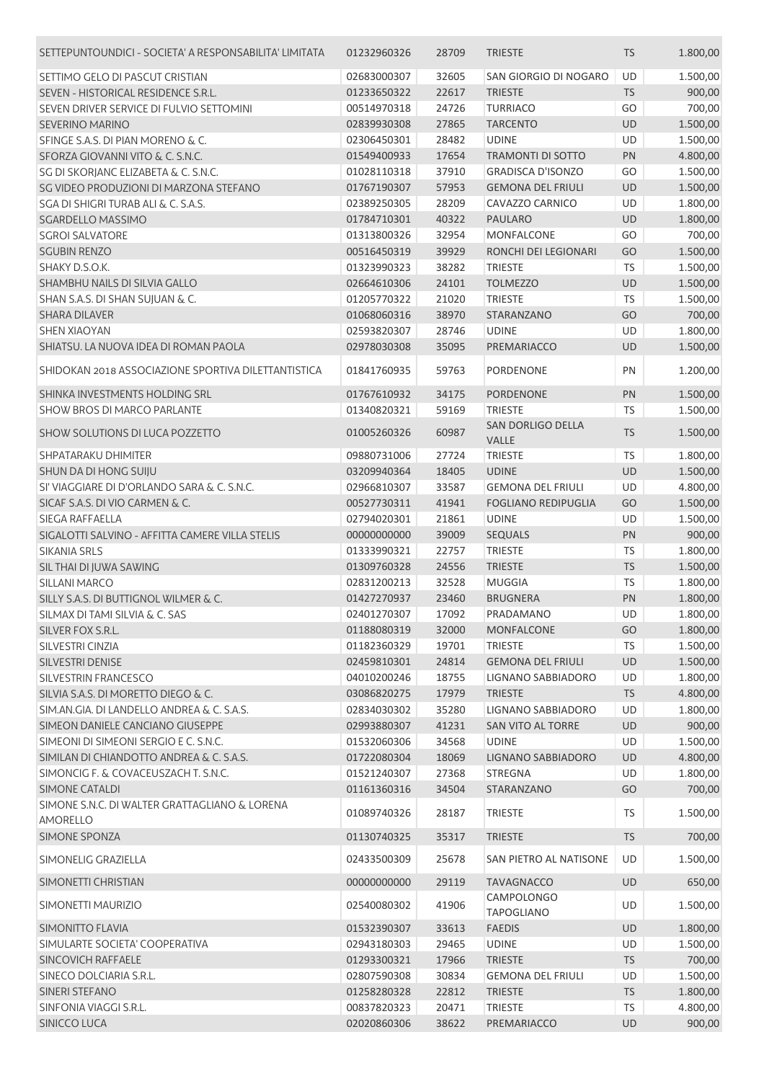| SETTEPUNTOUNDICI - SOCIETA' A RESPONSABILITA' LIMITATA | 01232960326 | 28709 | <b>TRIESTE</b>                         | <b>TS</b> | 1.800,00 |
|--------------------------------------------------------|-------------|-------|----------------------------------------|-----------|----------|
| SETTIMO GELO DI PASCUT CRISTIAN                        | 02683000307 | 32605 | SAN GIORGIO DI NOGARO                  | UD        | 1.500,00 |
| SEVEN - HISTORICAL RESIDENCE S.R.L.                    | 01233650322 | 22617 | <b>TRIESTE</b>                         | <b>TS</b> | 900,00   |
| SEVEN DRIVER SERVICE DI FULVIO SETTOMINI               | 00514970318 | 24726 | <b>TURRIACO</b>                        | GO        | 700,00   |
| <b>SEVERINO MARINO</b>                                 | 02839930308 | 27865 | <b>TARCENTO</b>                        | UD        | 1.500,00 |
| SFINGE S.A.S. DI PIAN MORENO & C.                      | 02306450301 | 28482 | <b>UDINE</b>                           | UD        | 1.500,00 |
| SFORZA GIOVANNI VITO & C. S.N.C.                       | 01549400933 | 17654 | <b>TRAMONTI DI SOTTO</b>               | PN        | 4.800,00 |
| SG DI SKORJANC ELIZABETA & C. S.N.C.                   | 01028110318 | 37910 | <b>GRADISCA D'ISONZO</b>               | GO        | 1.500,00 |
| SG VIDEO PRODUZIONI DI MARZONA STEFANO                 | 01767190307 | 57953 | <b>GEMONA DEL FRIULI</b>               | <b>UD</b> | 1.500,00 |
| SGA DI SHIGRI TURAB ALI & C. S.A.S.                    | 02389250305 | 28209 | CAVAZZO CARNICO                        | UD        | 1.800,00 |
| <b>SGARDELLO MASSIMO</b>                               | 01784710301 | 40322 | <b>PAULARO</b>                         | UD        | 1.800,00 |
| <b>SGROI SALVATORE</b>                                 | 01313800326 | 32954 | <b>MONFALCONE</b>                      | GO        | 700,00   |
| <b>SGUBIN RENZO</b>                                    | 00516450319 | 39929 | RONCHI DEI LEGIONARI                   | GO        | 1.500,00 |
| SHAKY D.S.O.K.                                         | 01323990323 | 38282 | <b>TRIESTE</b>                         | <b>TS</b> | 1.500,00 |
| SHAMBHU NAILS DI SILVIA GALLO                          | 02664610306 | 24101 | <b>TOLMEZZO</b>                        | UD        | 1.500,00 |
| SHAN S.A.S. DI SHAN SUJUAN & C.                        | 01205770322 | 21020 | <b>TRIESTE</b>                         | <b>TS</b> | 1.500,00 |
| <b>SHARA DILAVER</b>                                   | 01068060316 | 38970 | STARANZANO                             | GO        | 700,00   |
| <b>SHEN XIAOYAN</b>                                    | 02593820307 | 28746 | <b>UDINE</b>                           | UD        | 1.800,00 |
| SHIATSU. LA NUOVA IDEA DI ROMAN PAOLA                  | 02978030308 | 35095 | PREMARIACCO                            | UD        | 1.500,00 |
|                                                        |             |       |                                        |           |          |
| SHIDOKAN 2018 ASSOCIAZIONE SPORTIVA DILETTANTISTICA    | 01841760935 | 59763 | <b>PORDENONE</b>                       | PN        | 1.200,00 |
| SHINKA INVESTMENTS HOLDING SRL                         | 01767610932 | 34175 | PORDENONE                              | PN        | 1.500,00 |
| SHOW BROS DI MARCO PARLANTE                            | 01340820321 | 59169 | <b>TRIESTE</b>                         | <b>TS</b> | 1.500,00 |
| SHOW SOLUTIONS DI LUCA POZZETTO                        | 01005260326 | 60987 | SAN DORLIGO DELLA                      | <b>TS</b> | 1.500,00 |
|                                                        |             |       | VALLE                                  |           |          |
| SHPATARAKU DHIMITER                                    | 09880731006 | 27724 | <b>TRIESTE</b>                         | <b>TS</b> | 1.800,00 |
| SHUN DA DI HONG SUIJU                                  | 03209940364 | 18405 | <b>UDINE</b>                           | UD        | 1.500,00 |
| SI' VIAGGIARE DI D'ORLANDO SARA & C. S.N.C.            | 02966810307 | 33587 | <b>GEMONA DEL FRIULI</b>               | UD        | 4.800,00 |
| SICAF S.A.S. DI VIO CARMEN & C.                        | 00527730311 | 41941 | <b>FOGLIANO REDIPUGLIA</b>             | GO        | 1.500,00 |
| SIEGA RAFFAELLA                                        | 02794020301 | 21861 | <b>UDINE</b>                           | UD        | 1.500,00 |
| SIGALOTTI SALVINO - AFFITTA CAMERE VILLA STELIS        | 00000000000 | 39009 | <b>SEQUALS</b>                         | PN        | 900,00   |
| <b>SIKANIA SRLS</b>                                    | 01333990321 | 22757 | <b>TRIESTE</b>                         | <b>TS</b> | 1.800,00 |
| SIL THAI DI JUWA SAWING                                | 01309760328 | 24556 | <b>TRIESTE</b>                         | TS        | 1.500,00 |
| SILLANI MARCO                                          | 02831200213 | 32528 | <b>MUGGIA</b>                          | <b>TS</b> | 1.800,00 |
| SILLY S.A.S. DI BUTTIGNOL WILMER & C.                  | 01427270937 | 23460 | <b>BRUGNERA</b>                        | PN        | 1.800,00 |
| SILMAX DI TAMI SILVIA & C. SAS                         | 02401270307 | 17092 | PRADAMANO                              | UD        | 1.800,00 |
| SILVER FOX S.R.L.                                      | 01188080319 | 32000 | <b>MONFALCONE</b>                      | GO        | 1.800,00 |
| SILVESTRI CINZIA                                       | 01182360329 | 19701 | <b>TRIESTE</b>                         | TS        | 1.500,00 |
| SILVESTRI DENISE                                       | 02459810301 | 24814 | <b>GEMONA DEL FRIULI</b>               | UD        | 1.500,00 |
| SILVESTRIN FRANCESCO                                   | 04010200246 | 18755 | LIGNANO SABBIADORO                     | UD        | 1.800,00 |
| SILVIA S.A.S. DI MORETTO DIEGO & C.                    | 03086820275 | 17979 | <b>TRIESTE</b>                         | <b>TS</b> | 4.800,00 |
| SIM.AN.GIA. DI LANDELLO ANDREA & C. S.A.S.             | 02834030302 | 35280 | <b>LIGNANO SABBIADORO</b>              | UD        | 1.800,00 |
| SIMEON DANIELE CANCIANO GIUSEPPE                       | 02993880307 | 41231 | SAN VITO AL TORRE                      | UD        | 900,00   |
| SIMEONI DI SIMEONI SERGIO E C. S.N.C.                  | 01532060306 | 34568 | <b>UDINE</b>                           | UD        | 1.500,00 |
| SIMILAN DI CHIANDOTTO ANDREA & C. S.A.S.               | 01722080304 | 18069 | LIGNANO SABBIADORO                     | UD        | 4.800,00 |
| SIMONCIG F. & COVACEUSZACH T. S.N.C.                   | 01521240307 | 27368 | STREGNA                                | UD        | 1.800,00 |
| SIMONE CATALDI                                         | 01161360316 | 34504 | <b>STARANZANO</b>                      | GO        | 700,00   |
| SIMONE S.N.C. DI WALTER GRATTAGLIANO & LORENA          |             |       |                                        |           |          |
| AMORELLO                                               | 01089740326 | 28187 | <b>TRIESTE</b>                         | TS        | 1.500,00 |
| SIMONE SPONZA                                          | 01130740325 | 35317 | <b>TRIESTE</b>                         | <b>TS</b> | 700,00   |
| SIMONELIG GRAZIELLA                                    | 02433500309 | 25678 | SAN PIETRO AL NATISONE                 | UD        | 1.500,00 |
| SIMONETTI CHRISTIAN                                    | 00000000000 | 29119 | <b>TAVAGNACCO</b>                      | UD        | 650,00   |
| SIMONETTI MAURIZIO                                     | 02540080302 | 41906 | <b>CAMPOLONGO</b><br><b>TAPOGLIANO</b> | UD        | 1.500,00 |
| SIMONITTO FLAVIA                                       | 01532390307 | 33613 | <b>FAEDIS</b>                          | UD        | 1.800,00 |
| SIMULARTE SOCIETA' COOPERATIVA                         | 02943180303 | 29465 | <b>UDINE</b>                           | UD        | 1.500,00 |
| <b>SINCOVICH RAFFAELE</b>                              | 01293300321 | 17966 | <b>TRIESTE</b>                         | <b>TS</b> | 700,00   |
| SINECO DOLCIARIA S.R.L.                                | 02807590308 | 30834 | <b>GEMONA DEL FRIULI</b>               | UD        | 1.500,00 |
| SINERI STEFANO                                         | 01258280328 | 22812 | <b>TRIESTE</b>                         | <b>TS</b> | 1.800,00 |
| SINFONIA VIAGGI S.R.L.                                 |             |       |                                        |           |          |
| <b>SINICCO LUCA</b>                                    | 00837820323 | 20471 | <b>TRIESTE</b>                         | <b>TS</b> | 4.800,00 |
|                                                        | 02020860306 | 38622 | PREMARIACCO                            | <b>UD</b> | 900,00   |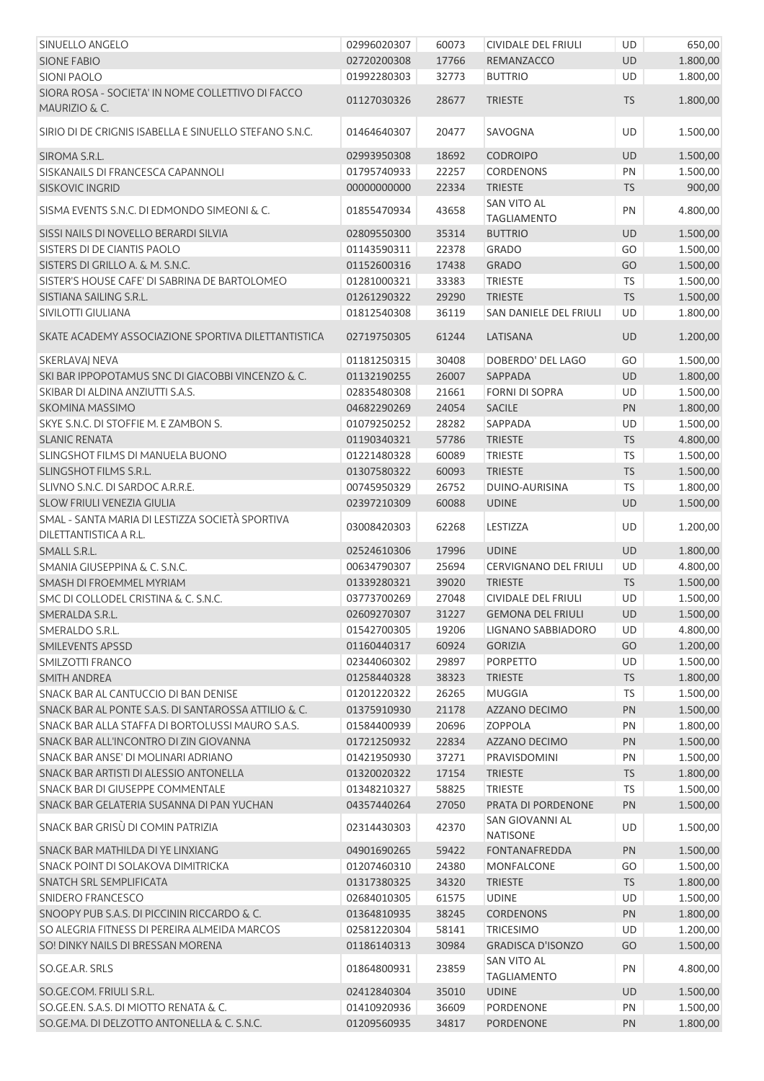| SINUELLO ANGELO                                                               | 02996020307 | 60073 | CIVIDALE DEL FRIULI                      | UD         | 650,00   |
|-------------------------------------------------------------------------------|-------------|-------|------------------------------------------|------------|----------|
| <b>SIONE FABIO</b>                                                            | 02720200308 | 17766 | REMANZACCO                               | UD         | 1.800,00 |
| <b>SIONI PAOLO</b>                                                            | 01992280303 | 32773 | <b>BUTTRIO</b>                           | UD         | 1.800,00 |
| SIORA ROSA - SOCIETA' IN NOME COLLETTIVO DI FACCO<br><b>MAURIZIO &amp; C.</b> | 01127030326 | 28677 | <b>TRIESTE</b>                           | <b>TS</b>  | 1.800,00 |
| SIRIO DI DE CRIGNIS ISABELLA E SINUELLO STEFANO S.N.C.                        | 01464640307 | 20477 | SAVOGNA                                  | UD         | 1.500,00 |
| SIROMA S.R.L.                                                                 | 02993950308 | 18692 | <b>CODROIPO</b>                          | UD         | 1.500,00 |
| SISKANAILS DI FRANCESCA CAPANNOLI                                             | 01795740933 | 22257 | <b>CORDENONS</b>                         | PN         | 1.500,00 |
| <b>SISKOVIC INGRID</b>                                                        | 00000000000 | 22334 | <b>TRIESTE</b>                           | <b>TS</b>  | 900,00   |
| SISMA EVENTS S.N.C. DI EDMONDO SIMEONI & C.                                   | 01855470934 | 43658 | <b>SAN VITO AL</b><br><b>TAGLIAMENTO</b> | PN         | 4.800,00 |
| SISSI NAILS DI NOVELLO BERARDI SILVIA                                         | 02809550300 | 35314 | <b>BUTTRIO</b>                           | UD         | 1.500,00 |
| SISTERS DI DE CIANTIS PAOLO                                                   | 01143590311 | 22378 | <b>GRADO</b>                             | GO         | 1.500,00 |
| SISTERS DI GRILLO A. & M. S.N.C.                                              | 01152600316 | 17438 | <b>GRADO</b>                             | GO         | 1.500,00 |
| SISTER'S HOUSE CAFE' DI SABRINA DE BARTOLOMEO                                 | 01281000321 | 33383 | <b>TRIESTE</b>                           | <b>TS</b>  | 1.500,00 |
| SISTIANA SAILING S.R.L.                                                       | 01261290322 | 29290 | <b>TRIESTE</b>                           | TS         | 1.500,00 |
| SIVILOTTI GIULIANA                                                            | 01812540308 | 36119 | <b>SAN DANIELE DEL FRIULI</b>            | UD         | 1.800,00 |
|                                                                               |             |       |                                          |            |          |
| SKATE ACADEMY ASSOCIAZIONE SPORTIVA DILETTANTISTICA                           | 02719750305 | 61244 | LATISANA                                 | <b>UD</b>  | 1.200,00 |
| SKERLAVAJ NEVA                                                                | 01181250315 | 30408 | DOBERDO' DEL LAGO                        | GO         | 1.500,00 |
| SKI BAR IPPOPOTAMUS SNC DI GIACOBBI VINCENZO & C.                             | 01132190255 | 26007 | <b>SAPPADA</b>                           | UD         | 1.800,00 |
| SKIBAR DI ALDINA ANZIUTTI S.A.S.                                              | 02835480308 | 21661 | <b>FORNI DI SOPRA</b>                    | UD         | 1.500,00 |
| SKOMINA MASSIMO                                                               | 04682290269 | 24054 | SACILE                                   | PN         | 1.800,00 |
| SKYE S.N.C. DI STOFFIE M. E ZAMBON S.                                         | 01079250252 | 28282 | SAPPADA                                  | UD         | 1.500,00 |
| <b>SLANIC RENATA</b>                                                          | 01190340321 | 57786 | <b>TRIESTE</b>                           | ${\sf TS}$ | 4.800,00 |
| SLINGSHOT FILMS DI MANUELA BUONO                                              | 01221480328 | 60089 | <b>TRIESTE</b>                           | TS         | 1.500,00 |
| SLINGSHOT FILMS S.R.L.                                                        | 01307580322 | 60093 | <b>TRIESTE</b>                           | <b>TS</b>  | 1.500,00 |
| SLIVNO S.N.C. DI SARDOC A.R.R.E.                                              | 00745950329 | 26752 | DUINO-AURISINA                           | TS         | 1.800,00 |
| SLOW FRIULI VENEZIA GIULIA                                                    | 02397210309 | 60088 | <b>UDINE</b>                             | UD         | 1.500,00 |
| SMAL - SANTA MARIA DI LESTIZZA SOCIETÀ SPORTIVA<br>DILETTANTISTICA A R.L.     | 03008420303 | 62268 | LESTIZZA                                 | UD         | 1.200,00 |
| SMALL S.R.L.                                                                  | 02524610306 | 17996 | <b>UDINE</b>                             | UD         | 1.800,00 |
| SMANIA GIUSEPPINA & C. S.N.C.                                                 | 00634790307 | 25694 | CERVIGNANO DEL FRIULI                    | UD         | 4.800,00 |
| SMASH DI FROEMMEL MYRIAM                                                      | 01339280321 | 39020 | <b>TRIESTE</b>                           | TS         | 1.500,00 |
| SMC DI COLLODEL CRISTINA & C. S.N.C.                                          | 03773700269 | 27048 | <b>CIVIDALE DEL FRIULI</b>               | UD         | 1.500,00 |
| SMERALDA S.R.L.                                                               | 02609270307 | 31227 | <b>GEMONA DEL FRIULI</b>                 | UD         | 1.500,00 |
| SMERALDO S.R.L.                                                               | 01542700305 | 19206 | LIGNANO SABBIADORO                       | UD         | 4.800,00 |
| SMILEVENTS APSSD                                                              | 01160440317 | 60924 | <b>GORIZIA</b>                           | GO         | 1.200,00 |
| SMILZOTTI FRANCO                                                              | 02344060302 | 29897 | <b>PORPETTO</b>                          | UD         | 1.500,00 |
|                                                                               |             |       |                                          |            |          |
| SMITH ANDREA                                                                  | 01258440328 | 38323 | <b>TRIESTE</b><br><b>MUGGIA</b>          | <b>TS</b>  | 1.800,00 |
| SNACK BAR AL CANTUCCIO DI BAN DENISE                                          | 01201220322 | 26265 |                                          | <b>TS</b>  | 1.500,00 |
| SNACK BAR AL PONTE S.A.S. DI SANTAROSSA ATTILIO & C.                          | 01375910930 | 21178 | AZZANO DECIMO                            | PN         | 1.500,00 |
| SNACK BAR ALLA STAFFA DI BORTOLUSSI MAURO S.A.S.                              | 01584400939 | 20696 | <b>ZOPPOLA</b>                           | PN         | 1.800,00 |
| SNACK BAR ALL'INCONTRO DI ZIN GIOVANNA                                        | 01721250932 | 22834 | AZZANO DECIMO                            | PN         | 1.500,00 |
| SNACK BAR ANSE' DI MOLINARI ADRIANO                                           | 01421950930 | 37271 | PRAVISDOMINI                             | PN         | 1.500,00 |
| SNACK BAR ARTISTI DI ALESSIO ANTONELLA                                        | 01320020322 | 17154 | <b>TRIESTE</b>                           | <b>TS</b>  | 1.800,00 |
| SNACK BAR DI GIUSEPPE COMMENTALE                                              | 01348210327 | 58825 | <b>TRIESTE</b>                           | TS         | 1.500,00 |
| SNACK BAR GELATERIA SUSANNA DI PAN YUCHAN                                     | 04357440264 | 27050 | PRATA DI PORDENONE                       | PN         | 1.500,00 |
| SNACK BAR GRISÙ DI COMIN PATRIZIA                                             | 02314430303 | 42370 | SAN GIOVANNI AL<br><b>NATISONE</b>       | UD         | 1.500,00 |
| SNACK BAR MATHILDA DI YE LINXIANG                                             | 04901690265 | 59422 | FONTANAFREDDA                            | PN         | 1.500,00 |
| SNACK POINT DI SOLAKOVA DIMITRICKA                                            | 01207460310 | 24380 | MONFALCONE                               | GO         | 1.500,00 |
| SNATCH SRL SEMPLIFICATA                                                       | 01317380325 | 34320 | <b>TRIESTE</b>                           | <b>TS</b>  | 1.800,00 |
| SNIDERO FRANCESCO                                                             | 02684010305 | 61575 | <b>UDINE</b>                             | UD         | 1.500,00 |
| SNOOPY PUB S.A.S. DI PICCININ RICCARDO & C.                                   | 01364810935 | 38245 | <b>CORDENONS</b>                         | PN         | 1.800,00 |
| SO ALEGRIA FITNESS DI PEREIRA ALMEIDA MARCOS                                  | 02581220304 | 58141 | <b>TRICESIMO</b>                         | UD         | 1.200,00 |
| SO! DINKY NAILS DI BRESSAN MORENA                                             | 01186140313 | 30984 | <b>GRADISCA D'ISONZO</b>                 | GO         | 1.500,00 |
| SO.GE.A.R. SRLS                                                               | 01864800931 | 23859 | SAN VITO AL                              | PN         | 4.800,00 |
| SO.GE.COM. FRIULI S.R.L.                                                      | 02412840304 | 35010 | <b>TAGLIAMENTO</b>                       | <b>UD</b>  | 1.500,00 |
| SO.GE.EN. S.A.S. DI MIOTTO RENATA & C.                                        |             |       | <b>UDINE</b>                             |            |          |
|                                                                               | 01410920936 | 36609 | PORDENONE                                | PN         | 1.500,00 |
| SO.GE.MA. DI DELZOTTO ANTONELLA & C. S.N.C.                                   | 01209560935 | 34817 | PORDENONE                                | PN         | 1.800,00 |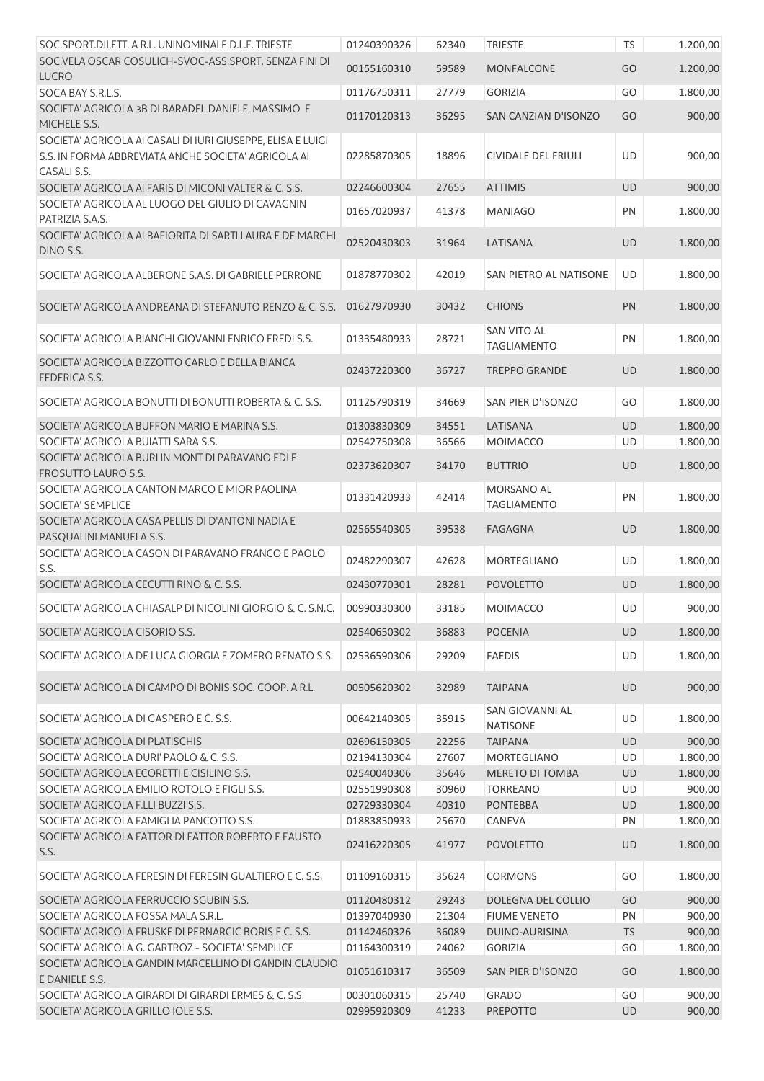| SOC.SPORT.DILETT. A R.L. UNINOMINALE D.L.F. TRIESTE                                                                               | 01240390326                | 62340          | <b>TRIESTE</b>                           | <b>TS</b> | 1.200,00           |
|-----------------------------------------------------------------------------------------------------------------------------------|----------------------------|----------------|------------------------------------------|-----------|--------------------|
| SOC. VELA OSCAR COSULICH-SVOC-ASS. SPORT. SENZA FINI DI<br><b>LUCRO</b>                                                           | 00155160310                | 59589          | <b>MONFALCONE</b>                        | GO        | 1.200,00           |
| SOCA BAY S.R.L.S.                                                                                                                 | 01176750311                | 27779          | <b>GORIZIA</b>                           | GO        | 1.800,00           |
| SOCIETA' AGRICOLA 3B DI BARADEL DANIELE, MASSIMO E<br>MICHELE S.S.                                                                | 01170120313                | 36295          | SAN CANZIAN D'ISONZO                     | GO        | 900,00             |
| SOCIETA' AGRICOLA AI CASALI DI IURI GIUSEPPE, ELISA E LUIGI<br>S.S. IN FORMA ABBREVIATA ANCHE SOCIETA' AGRICOLA AI<br>CASALI S.S. | 02285870305                | 18896          | CIVIDALE DEL FRIULI                      | UD        | 900,00             |
| SOCIETA' AGRICOLA AI FARIS DI MICONI VALTER & C. S.S.                                                                             | 02246600304                | 27655          | <b>ATTIMIS</b>                           | <b>UD</b> | 900,00             |
| SOCIETA' AGRICOLA AL LUOGO DEL GIULIO DI CAVAGNIN<br>PATRIZIA S.A.S.                                                              | 01657020937                | 41378          | <b>MANIAGO</b>                           | PN        | 1.800,00           |
| SOCIETA' AGRICOLA ALBAFIORITA DI SARTI LAURA E DE MARCHI<br>DINO S.S.                                                             | 02520430303                | 31964          | LATISANA                                 | UD        | 1.800,00           |
| SOCIETA' AGRICOLA ALBERONE S.A.S. DI GABRIELE PERRONE                                                                             | 01878770302                | 42019          | SAN PIETRO AL NATISONE                   | UD        | 1.800,00           |
| SOCIETA' AGRICOLA ANDREANA DI STEFANUTO RENZO & C. S.S.                                                                           | 01627970930                | 30432          | <b>CHIONS</b>                            | PN        | 1.800,00           |
| SOCIETA' AGRICOLA BIANCHI GIOVANNI ENRICO EREDI S.S.                                                                              | 01335480933                | 28721          | <b>SAN VITO AL</b><br><b>TAGLIAMENTO</b> | PN        | 1.800,00           |
| SOCIETA' AGRICOLA BIZZOTTO CARLO E DELLA BIANCA<br><b>FEDERICA S.S.</b>                                                           | 02437220300                | 36727          | <b>TREPPO GRANDE</b>                     | <b>UD</b> | 1.800,00           |
| SOCIETA' AGRICOLA BONUTTI DI BONUTTI ROBERTA & C. S.S.                                                                            | 01125790319                | 34669          | SAN PIER D'ISONZO                        | GO        | 1.800,00           |
| SOCIETA' AGRICOLA BUFFON MARIO E MARINA S.S.                                                                                      | 01303830309                | 34551          | LATISANA                                 | UD        | 1.800,00           |
| SOCIETA' AGRICOLA BUIATTI SARA S.S.                                                                                               | 02542750308                | 36566          | <b>MOIMACCO</b>                          | UD        | 1.800,00           |
| SOCIETA' AGRICOLA BURI IN MONT DI PARAVANO EDI E<br><b>FROSUTTO LAURO S.S.</b>                                                    | 02373620307                | 34170          | <b>BUTTRIO</b>                           | <b>UD</b> | 1.800,00           |
| SOCIETA' AGRICOLA CANTON MARCO E MIOR PAOLINA<br><b>SOCIETA' SEMPLICE</b>                                                         | 01331420933                | 42414          | MORSANO AL<br><b>TAGLIAMENTO</b>         | PN        | 1.800,00           |
| SOCIETA' AGRICOLA CASA PELLIS DI D'ANTONI NADIA E<br>PASQUALINI MANUELA S.S.                                                      | 02565540305                | 39538          | <b>FAGAGNA</b>                           | UD        | 1.800,00           |
| SOCIETA' AGRICOLA CASON DI PARAVANO FRANCO E PAOLO<br>S.S.                                                                        | 02482290307                | 42628          | MORTEGLIANO                              | UD        | 1.800,00           |
| SOCIETA' AGRICOLA CECUTTI RINO & C. S.S.                                                                                          | 02430770301                | 28281          | <b>POVOLETTO</b>                         | <b>UD</b> | 1.800,00           |
| SOCIETA' AGRICOLA CHIASALP DI NICOLINI GIORGIO & C. S.N.C.                                                                        | 00990330300                | 33185          | MOIMACCO                                 | UD        | 900,00             |
| SOCIETA' AGRICOLA CISORIO S.S.                                                                                                    | 02540650302                | 36883          | <b>POCENIA</b>                           | <b>UD</b> | 1.800,00           |
| SOCIETA' AGRICOLA DE LUCA GIORGIA E ZOMERO RENATO S.S.                                                                            | 02536590306                | 29209          | <b>FAEDIS</b>                            | UD        | 1.800,00           |
| SOCIETA' AGRICOLA DI CAMPO DI BONIS SOC. COOP. A R.L.                                                                             | 00505620302                | 32989          | <b>TAIPANA</b>                           | <b>UD</b> | 900,00             |
| SOCIETA' AGRICOLA DI GASPERO E C. S.S.                                                                                            | 00642140305                | 35915          | SAN GIOVANNI AL<br><b>NATISONE</b>       | UD        | 1.800,00           |
| SOCIETA' AGRICOLA DI PLATISCHIS                                                                                                   | 02696150305                | 22256          | <b>TAIPANA</b>                           | UD        | 900,00             |
| SOCIETA' AGRICOLA DURI' PAOLO & C. S.S.                                                                                           | 02194130304<br>02540040306 | 27607<br>35646 | MORTEGLIANO<br><b>MERETO DI TOMBA</b>    | UD        | 1.800,00           |
| SOCIETA' AGRICOLA ECORETTI E CISILINO S.S.<br>SOCIETA' AGRICOLA EMILIO ROTOLO E FIGLI S.S.                                        | 02551990308                | 30960          | <b>TORREANO</b>                          | UD<br>UD  | 1.800,00<br>900,00 |
| SOCIETA' AGRICOLA F.LLI BUZZI S.S.                                                                                                | 02729330304                | 40310          | <b>PONTEBBA</b>                          | UD        | 1.800,00           |
| SOCIETA' AGRICOLA FAMIGLIA PANCOTTO S.S.                                                                                          | 01883850933                | 25670          | CANEVA                                   | PN        | 1.800,00           |
| SOCIETA' AGRICOLA FATTOR DI FATTOR ROBERTO E FAUSTO<br>S.S.                                                                       | 02416220305                | 41977          | <b>POVOLETTO</b>                         | UD        | 1.800,00           |
| SOCIETA' AGRICOLA FERESIN DI FERESIN GUALTIERO E C. S.S.                                                                          | 01109160315                | 35624          | CORMONS                                  | GO        | 1.800,00           |
| SOCIETA' AGRICOLA FERRUCCIO SGUBIN S.S.                                                                                           | 01120480312                | 29243          | DOLEGNA DEL COLLIO                       | GO        | 900,00             |
| SOCIETA' AGRICOLA FOSSA MALA S.R.L.                                                                                               | 01397040930                | 21304          | <b>FIUME VENETO</b>                      | PN        | 900,00             |
| SOCIETA' AGRICOLA FRUSKE DI PERNARCIC BORIS E C. S.S.                                                                             | 01142460326                | 36089          | DUINO-AURISINA                           | <b>TS</b> | 900,00             |
| SOCIETA' AGRICOLA G. GARTROZ - SOCIETA' SEMPLICE                                                                                  | 01164300319                | 24062          | <b>GORIZIA</b>                           | GO        | 1.800,00           |
| SOCIETA' AGRICOLA GANDIN MARCELLINO DI GANDIN CLAUDIO<br>E DANIELE S.S.                                                           | 01051610317                | 36509          | SAN PIER D'ISONZO                        | GO        | 1.800,00           |
| SOCIETA' AGRICOLA GIRARDI DI GIRARDI ERMES & C. S.S.<br>SOCIETA' AGRICOLA GRILLO IOLE S.S.                                        | 00301060315<br>02995920309 | 25740<br>41233 | <b>GRADO</b><br><b>PREPOTTO</b>          | GO<br>UD  | 900,00<br>900,00   |
|                                                                                                                                   |                            |                |                                          |           |                    |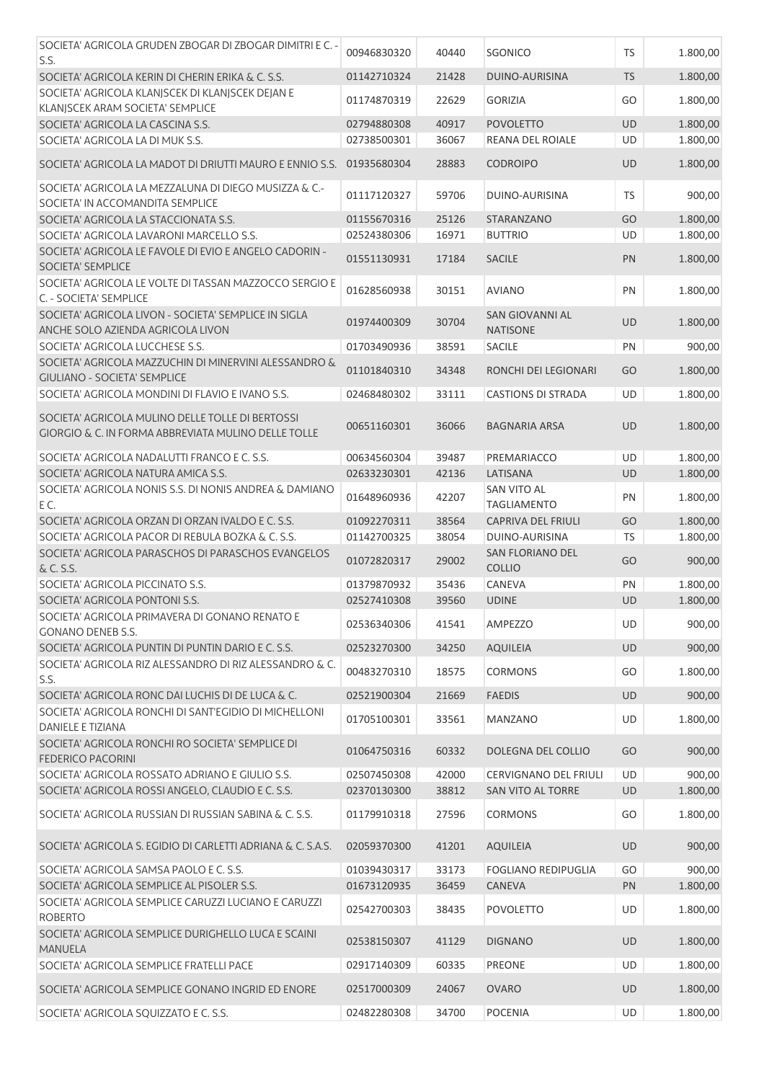| SOCIETA' AGRICOLA GRUDEN ZBOGAR DI ZBOGAR DIMITRI E C. -                                                | 00946830320 | 40440 | SGONICO                                   | TS        | 1.800,00 |
|---------------------------------------------------------------------------------------------------------|-------------|-------|-------------------------------------------|-----------|----------|
| S.S.                                                                                                    |             |       |                                           |           |          |
| SOCIETA' AGRICOLA KERIN DI CHERIN ERIKA & C. S.S.                                                       | 01142710324 | 21428 | DUINO-AURISINA                            | <b>TS</b> | 1.800,00 |
| SOCIETA' AGRICOLA KLANJSCEK DI KLANJSCEK DEJAN E                                                        | 01174870319 | 22629 | <b>GORIZIA</b>                            | GO        | 1.800,00 |
| KLANJSCEK ARAM SOCIETA' SEMPLICE<br>SOCIETA' AGRICOLA LA CASCINA S.S.                                   | 02794880308 | 40917 | <b>POVOLETTO</b>                          | <b>UD</b> | 1.800,00 |
| SOCIETA' AGRICOLA LA DI MUK S.S.                                                                        | 02738500301 | 36067 | REANA DEL ROIALE                          | UD        | 1.800,00 |
|                                                                                                         |             |       |                                           |           |          |
| SOCIETA' AGRICOLA LA MADOT DI DRIUTTI MAURO E ENNIO S.S.                                                | 01935680304 | 28883 | <b>CODROIPO</b>                           | UD        | 1.800,00 |
| SOCIETA' AGRICOLA LA MEZZALUNA DI DIEGO MUSIZZA & C.-<br>SOCIETA' IN ACCOMANDITA SEMPLICE               | 01117120327 | 59706 | DUINO-AURISINA                            | <b>TS</b> | 900,00   |
| SOCIETA' AGRICOLA LA STACCIONATA S.S.                                                                   | 01155670316 | 25126 | STARANZANO                                | GO        | 1.800,00 |
| SOCIETA' AGRICOLA LAVARONI MARCELLO S.S.                                                                | 02524380306 | 16971 | <b>BUTTRIO</b>                            | UD        | 1.800,00 |
| SOCIETA' AGRICOLA LE FAVOLE DI EVIO E ANGELO CADORIN -<br>SOCIETA' SEMPLICE                             | 01551130931 | 17184 | <b>SACILE</b>                             | PN        | 1.800,00 |
| SOCIETA' AGRICOLA LE VOLTE DI TASSAN MAZZOCCO SERGIO E<br>C. - SOCIETA' SEMPLICE                        | 01628560938 | 30151 | <b>AVIANO</b>                             | PN        | 1.800,00 |
| SOCIETA' AGRICOLA LIVON - SOCIETA' SEMPLICE IN SIGLA<br>ANCHE SOLO AZIENDA AGRICOLA LIVON               | 01974400309 | 30704 | <b>SAN GIOVANNI AL</b><br><b>NATISONE</b> | UD        | 1.800,00 |
| SOCIETA' AGRICOLA LUCCHESE S.S.                                                                         | 01703490936 | 38591 | <b>SACILE</b>                             | PN        | 900,00   |
| SOCIETA' AGRICOLA MAZZUCHIN DI MINERVINI ALESSANDRO &                                                   |             |       |                                           |           |          |
| <b>GIULIANO - SOCIETA' SEMPLICE</b>                                                                     | 01101840310 | 34348 | RONCHI DEI LEGIONARI                      | GO        | 1.800,00 |
| SOCIETA' AGRICOLA MONDINI DI FLAVIO E IVANO S.S.                                                        | 02468480302 | 33111 | <b>CASTIONS DI STRADA</b>                 | <b>UD</b> | 1.800,00 |
|                                                                                                         |             |       |                                           |           |          |
| SOCIETA' AGRICOLA MULINO DELLE TOLLE DI BERTOSSI<br>GIORGIO & C. IN FORMA ABBREVIATA MULINO DELLE TOLLE | 00651160301 | 36066 | <b>BAGNARIA ARSA</b>                      | UD        | 1.800,00 |
| SOCIETA' AGRICOLA NADALUTTI FRANCO E C. S.S.                                                            | 00634560304 | 39487 | PREMARIACCO                               | UD        | 1.800,00 |
| SOCIETA' AGRICOLA NATURA AMICA S.S.                                                                     | 02633230301 | 42136 | LATISANA                                  | UD        | 1.800,00 |
| SOCIETA' AGRICOLA NONIS S.S. DI NONIS ANDREA & DAMIANO<br>EC.                                           | 01648960936 | 42207 | SAN VITO AL<br><b>TAGLIAMENTO</b>         | PN        | 1.800,00 |
| SOCIETA' AGRICOLA ORZAN DI ORZAN IVALDO E C. S.S.                                                       | 01092270311 | 38564 | <b>CAPRIVA DEL FRIULI</b>                 | GO        | 1.800,00 |
| SOCIETA' AGRICOLA PACOR DI REBULA BOZKA & C. S.S.                                                       | 01142700325 | 38054 | DUINO-AURISINA                            | <b>TS</b> | 1.800,00 |
| SOCIETA' AGRICOLA PARASCHOS DI PARASCHOS EVANGELOS                                                      |             |       | SAN FLORIANO DEL                          |           |          |
| & C. S.S.                                                                                               | 01072820317 | 29002 | <b>COLLIO</b>                             | GO        | 900,00   |
| SOCIETA' AGRICOLA PICCINATO S.S.                                                                        | 01379870932 | 35436 | CANEVA                                    | PN        | 1.800,00 |
| SOCIETA' AGRICOLA PONTONI S.S.                                                                          | 02527410308 | 39560 | <b>UDINE</b>                              | <b>UD</b> | 1.800,00 |
| SOCIETA' AGRICOLA PRIMAVERA DI GONANO RENATO E                                                          | 02536340306 | 41541 | <b>AMPEZZO</b>                            | UD        | 900,00   |
| <b>GONANO DENEB S.S.</b>                                                                                |             |       |                                           |           |          |
| SOCIETA' AGRICOLA PUNTIN DI PUNTIN DARIO E C. S.S.                                                      | 02523270300 | 34250 | <b>AQUILEIA</b>                           | <b>UD</b> | 900,00   |
| SOCIETA' AGRICOLA RIZ ALESSANDRO DI RIZ ALESSANDRO & C.<br>S.S.                                         | 00483270310 | 18575 | <b>CORMONS</b>                            | GO        | 1.800,00 |
| SOCIETA' AGRICOLA RONC DAI LUCHIS DI DE LUCA & C.                                                       | 02521900304 | 21669 | <b>FAEDIS</b>                             | UD        | 900,00   |
| SOCIETA' AGRICOLA RONCHI DI SANT'EGIDIO DI MICHELLONI<br><b>DANIELE E TIZIANA</b>                       | 01705100301 | 33561 | MANZANO                                   | UD        | 1.800,00 |
| SOCIETA' AGRICOLA RONCHI RO SOCIETA' SEMPLICE DI<br><b>FEDERICO PACORINI</b>                            | 01064750316 | 60332 | DOLEGNA DEL COLLIO                        | GO        | 900,00   |
| SOCIETA' AGRICOLA ROSSATO ADRIANO E GIULIO S.S.                                                         | 02507450308 | 42000 | <b>CERVIGNANO DEL FRIULI</b>              | UD        | 900,00   |
| SOCIETA' AGRICOLA ROSSI ANGELO, CLAUDIO E C. S.S.                                                       | 02370130300 | 38812 | SAN VITO AL TORRE                         | UD        | 1.800,00 |
| SOCIETA' AGRICOLA RUSSIAN DI RUSSIAN SABINA & C. S.S.                                                   | 01179910318 | 27596 | <b>CORMONS</b>                            | GO        | 1.800,00 |
| SOCIETA' AGRICOLA S. EGIDIO DI CARLETTI ADRIANA & C. S.A.S.                                             | 02059370300 | 41201 | <b>AQUILEIA</b>                           | UD        | 900,00   |
| SOCIETA' AGRICOLA SAMSA PAOLO E C. S.S.                                                                 | 01039430317 | 33173 | <b>FOGLIANO REDIPUGLIA</b>                | GO        | 900,00   |
| SOCIETA' AGRICOLA SEMPLICE AL PISOLER S.S.                                                              | 01673120935 | 36459 | <b>CANEVA</b>                             | PN        | 1.800,00 |
| SOCIETA' AGRICOLA SEMPLICE CARUZZI LUCIANO E CARUZZI                                                    |             |       |                                           |           |          |
| <b>ROBERTO</b>                                                                                          | 02542700303 | 38435 | <b>POVOLETTO</b>                          | UD        | 1.800,00 |
| SOCIETA' AGRICOLA SEMPLICE DURIGHELLO LUCA E SCAINI<br><b>MANUELA</b>                                   | 02538150307 | 41129 | <b>DIGNANO</b>                            | UD        | 1.800,00 |
| SOCIETA' AGRICOLA SEMPLICE FRATELLI PACE                                                                | 02917140309 | 60335 | <b>PREONE</b>                             | UD        | 1.800,00 |
|                                                                                                         |             |       |                                           |           |          |
| SOCIETA' AGRICOLA SEMPLICE GONANO INGRID ED ENORE                                                       | 02517000309 | 24067 | <b>OVARO</b>                              | UD        | 1.800,00 |
| SOCIETA' AGRICOLA SQUIZZATO E C. S.S.                                                                   | 02482280308 | 34700 | <b>POCENIA</b>                            | UD        | 1.800,00 |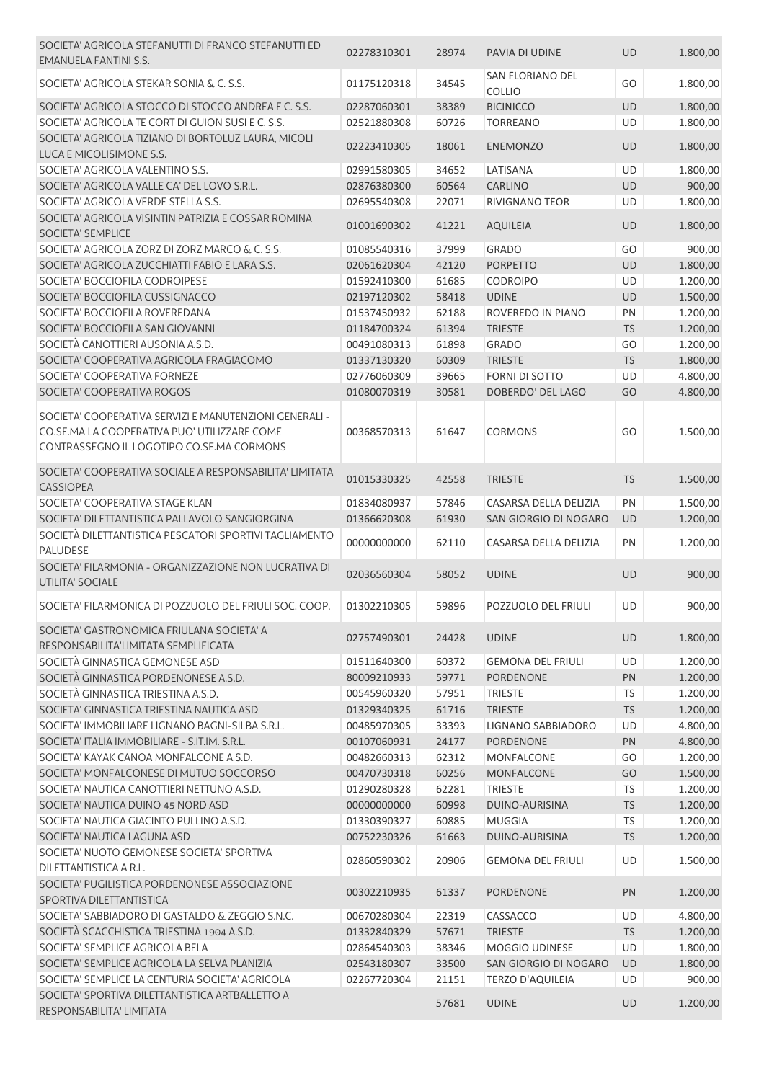| SOCIETA' AGRICOLA STEFANUTTI DI FRANCO STEFANUTTI ED<br><b>EMANUELA FANTINI S.S.</b>                                                                | 02278310301 | 28974 | PAVIA DI UDINE                    | <b>UD</b> | 1.800,00 |
|-----------------------------------------------------------------------------------------------------------------------------------------------------|-------------|-------|-----------------------------------|-----------|----------|
| SOCIETA' AGRICOLA STEKAR SONIA & C. S.S.                                                                                                            | 01175120318 | 34545 | SAN FLORIANO DEL<br><b>COLLIO</b> | GO        | 1.800,00 |
| SOCIETA' AGRICOLA STOCCO DI STOCCO ANDREA E C. S.S.                                                                                                 | 02287060301 | 38389 | <b>BICINICCO</b>                  | UD        | 1.800,00 |
| SOCIETA' AGRICOLA TE CORT DI GUION SUSI E C. S.S.                                                                                                   | 02521880308 | 60726 | <b>TORREANO</b>                   | UD        | 1.800,00 |
| SOCIETA' AGRICOLA TIZIANO DI BORTOLUZ LAURA, MICOLI<br>LUCA E MICOLISIMONE S.S.                                                                     | 02223410305 | 18061 | <b>ENEMONZO</b>                   | UD        | 1.800,00 |
| SOCIETA' AGRICOLA VALENTINO S.S.                                                                                                                    | 02991580305 | 34652 | LATISANA                          | UD        | 1.800,00 |
| SOCIETA' AGRICOLA VALLE CA' DEL LOVO S.R.L.                                                                                                         | 02876380300 | 60564 | <b>CARLINO</b>                    | <b>UD</b> | 900,00   |
| SOCIETA' AGRICOLA VERDE STELLA S.S.                                                                                                                 | 02695540308 | 22071 | RIVIGNANO TEOR                    | UD        | 1.800,00 |
| SOCIETA' AGRICOLA VISINTIN PATRIZIA E COSSAR ROMINA                                                                                                 |             |       |                                   |           |          |
| SOCIETA' SEMPLICE                                                                                                                                   | 01001690302 | 41221 | <b>AQUILEIA</b>                   | <b>UD</b> | 1.800,00 |
| SOCIETA' AGRICOLA ZORZ DI ZORZ MARCO & C. S.S.                                                                                                      | 01085540316 | 37999 | <b>GRADO</b>                      | GO        | 900,00   |
| SOCIETA' AGRICOLA ZUCCHIATTI FABIO E LARA S.S.                                                                                                      | 02061620304 | 42120 | <b>PORPETTO</b>                   | UD        | 1.800,00 |
| SOCIETA' BOCCIOFILA CODROIPESE                                                                                                                      | 01592410300 | 61685 | <b>CODROIPO</b>                   | UD        | 1.200,00 |
| SOCIETA' BOCCIOFILA CUSSIGNACCO                                                                                                                     | 02197120302 | 58418 | <b>UDINE</b>                      | UD        | 1.500,00 |
| SOCIETA' BOCCIOFILA ROVEREDANA                                                                                                                      | 01537450932 | 62188 | ROVEREDO IN PIANO                 | PN        | 1.200,00 |
| SOCIETA' BOCCIOFILA SAN GIOVANNI                                                                                                                    | 01184700324 | 61394 | <b>TRIESTE</b>                    | <b>TS</b> | 1.200,00 |
| SOCIETÀ CANOTTIERI AUSONIA A.S.D.                                                                                                                   | 00491080313 | 61898 | <b>GRADO</b>                      | GO        | 1.200,00 |
| SOCIETA' COOPERATIVA AGRICOLA FRAGIACOMO                                                                                                            | 01337130320 | 60309 | <b>TRIESTE</b>                    | <b>TS</b> | 1.800,00 |
| SOCIETA' COOPERATIVA FORNEZE                                                                                                                        | 02776060309 | 39665 | <b>FORNI DI SOTTO</b>             | <b>UD</b> | 4.800,00 |
| SOCIETA' COOPERATIVA ROGOS                                                                                                                          | 01080070319 | 30581 | DOBERDO' DEL LAGO                 | GO        | 4.800,00 |
| SOCIETA' COOPERATIVA SERVIZI E MANUTENZIONI GENERALI -<br>CO.SE.MA LA COOPERATIVA PUO' UTILIZZARE COME<br>CONTRASSEGNO IL LOGOTIPO CO.SE.MA CORMONS | 00368570313 | 61647 | <b>CORMONS</b>                    | GO        | 1.500,00 |
| SOCIETA' COOPERATIVA SOCIALE A RESPONSABILITA' LIMITATA<br><b>CASSIOPEA</b>                                                                         | 01015330325 | 42558 | <b>TRIESTE</b>                    | <b>TS</b> | 1.500,00 |
| SOCIETA' COOPERATIVA STAGE KLAN                                                                                                                     | 01834080937 | 57846 | CASARSA DELLA DELIZIA             | PN        | 1.500,00 |
| SOCIETA' DILETTANTISTICA PALLAVOLO SANGIORGINA                                                                                                      | 01366620308 | 61930 | SAN GIORGIO DI NOGARO             | UD        | 1.200,00 |
| SOCIETÀ DILETTANTISTICA PESCATORI SPORTIVI TAGLIAMENTO<br><b>PALUDESE</b>                                                                           | 00000000000 | 62110 | CASARSA DELLA DELIZIA             | PN        | 1.200,00 |
| SOCIETA' FILARMONIA - ORGANIZZAZIONE NON LUCRATIVA DI<br>UTILITA' SOCIALE                                                                           | 02036560304 | 58052 | <b>UDINE</b>                      | <b>UD</b> | 900,00   |
| SOCIETA' FILARMONICA DI POZZUOLO DEL FRIULI SOC. COOP.                                                                                              | 01302210305 | 59896 | POZZUOLO DEL FRIULI               | UD        | 900,00   |
| SOCIETA' GASTRONOMICA FRIULANA SOCIETA' A<br>RESPONSABILITA'LIMITATA SEMPLIFICATA                                                                   | 02757490301 | 24428 | <b>UDINE</b>                      | UD        | 1.800,00 |
| SOCIETÀ GINNASTICA GEMONESE ASD                                                                                                                     | 01511640300 | 60372 | <b>GEMONA DEL FRIULI</b>          | UD        | 1.200,00 |
| SOCIETÀ GINNASTICA PORDENONESE A.S.D.                                                                                                               | 80009210933 | 59771 | <b>PORDENONE</b>                  | PN        | 1.200,00 |
| SOCIETÀ GINNASTICA TRIESTINA A.S.D.                                                                                                                 | 00545960320 | 57951 | <b>TRIESTE</b>                    | <b>TS</b> | 1.200,00 |
| SOCIETA' GINNASTICA TRIESTINA NAUTICA ASD                                                                                                           | 01329340325 | 61716 | <b>TRIESTE</b>                    | <b>TS</b> | 1.200,00 |
| SOCIETA' IMMOBILIARE LIGNANO BAGNI-SILBA S.R.L.                                                                                                     | 00485970305 | 33393 | <b>LIGNANO SABBIADORO</b>         | UD        | 4.800,00 |
| SOCIETA' ITALIA IMMOBILIARE - S.IT.IM. S.R.L.                                                                                                       | 00107060931 | 24177 | <b>PORDENONE</b>                  | PN        | 4.800,00 |
|                                                                                                                                                     | 00482660313 |       |                                   |           |          |
| SOCIETA' KAYAK CANOA MONFALCONE A.S.D.                                                                                                              |             | 62312 | <b>MONFALCONE</b>                 | GO        | 1.200,00 |
| SOCIETA' MONFALCONESE DI MUTUO SOCCORSO                                                                                                             | 00470730318 | 60256 | <b>MONFALCONE</b>                 | GO        | 1.500,00 |
| SOCIETA' NAUTICA CANOTTIERI NETTUNO A.S.D.                                                                                                          | 01290280328 | 62281 | <b>TRIESTE</b>                    | TS        | 1.200,00 |
| SOCIETA' NAUTICA DUINO 45 NORD ASD                                                                                                                  | 00000000000 | 60998 | DUINO-AURISINA                    | <b>TS</b> | 1.200,00 |
| SOCIETA' NAUTICA GIACINTO PULLINO A.S.D.                                                                                                            | 01330390327 | 60885 | <b>MUGGIA</b>                     | <b>TS</b> | 1.200,00 |
| SOCIETA' NAUTICA LAGUNA ASD                                                                                                                         | 00752230326 | 61663 | DUINO-AURISINA                    | <b>TS</b> | 1.200,00 |
| SOCIETA' NUOTO GEMONESE SOCIETA' SPORTIVA                                                                                                           | 02860590302 | 20906 | <b>GEMONA DEL FRIULI</b>          | UD        | 1.500,00 |
| DILETTANTISTICA A R.L.                                                                                                                              |             |       |                                   |           |          |
| SOCIETA' PUGILISTICA PORDENONESE ASSOCIAZIONE<br>SPORTIVA DILETTANTISTICA                                                                           | 00302210935 | 61337 | PORDENONE                         | PN        | 1.200,00 |
| SOCIETA' SABBIADORO DI GASTALDO & ZEGGIO S.N.C.                                                                                                     | 00670280304 | 22319 | CASSACCO                          | UD        | 4.800,00 |
| SOCIETÀ SCACCHISTICA TRIESTINA 1904 A.S.D.                                                                                                          | 01332840329 | 57671 | <b>TRIESTE</b>                    | <b>TS</b> | 1.200,00 |
| SOCIETA' SEMPLICE AGRICOLA BELA                                                                                                                     | 02864540303 | 38346 | MOGGIO UDINESE                    | UD        | 1.800,00 |
| SOCIETA' SEMPLICE AGRICOLA LA SELVA PLANIZIA                                                                                                        | 02543180307 | 33500 | SAN GIORGIO DI NOGARO             | UD        | 1.800,00 |
| SOCIETA' SEMPLICE LA CENTURIA SOCIETA' AGRICOLA                                                                                                     | 02267720304 | 21151 | TERZO D'AQUILEIA                  | UD        | 900,00   |
| SOCIETA' SPORTIVA DILETTANTISTICA ARTBALLETTO A<br>RESPONSABILITA' LIMITATA                                                                         |             | 57681 | <b>UDINE</b>                      | UD        | 1.200,00 |
|                                                                                                                                                     |             |       |                                   |           |          |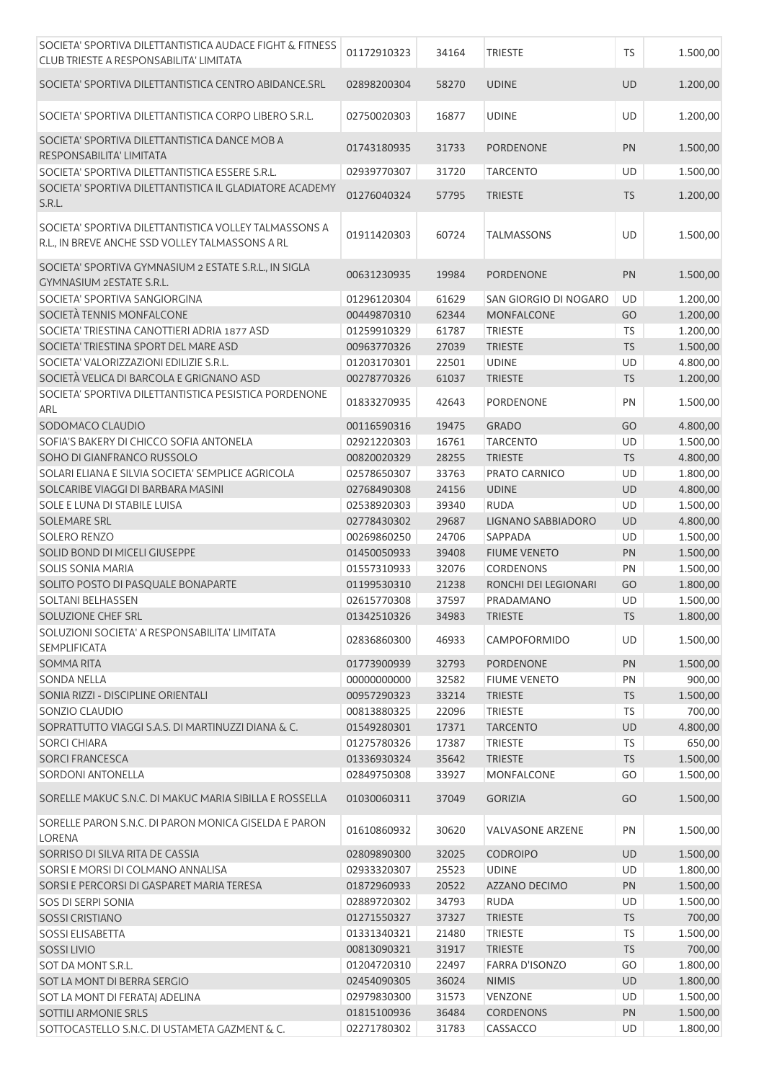| SOCIETA' SPORTIVA DILETTANTISTICA AUDACE FIGHT & FITNESS<br>CLUB TRIESTE A RESPONSABILITA' LIMITATA      | 01172910323 | 34164 | <b>TRIESTE</b>          | TS        | 1.500,00 |
|----------------------------------------------------------------------------------------------------------|-------------|-------|-------------------------|-----------|----------|
| SOCIETA' SPORTIVA DILETTANTISTICA CENTRO ABIDANCE.SRL                                                    | 02898200304 | 58270 | <b>UDINE</b>            | UD        | 1.200,00 |
| SOCIETA' SPORTIVA DILETTANTISTICA CORPO LIBERO S.R.L.                                                    | 02750020303 | 16877 | <b>UDINE</b>            | UD        | 1.200,00 |
| SOCIETA' SPORTIVA DILETTANTISTICA DANCE MOB A<br>RESPONSABILITA' LIMITATA                                | 01743180935 | 31733 | <b>PORDENONE</b>        | PN        | 1.500,00 |
| SOCIETA' SPORTIVA DILETTANTISTICA ESSERE S.R.L.                                                          | 02939770307 | 31720 | <b>TARCENTO</b>         | UD        | 1.500,00 |
| SOCIETA' SPORTIVA DILETTANTISTICA IL GLADIATORE ACADEMY<br>S.R.L.                                        | 01276040324 | 57795 | <b>TRIESTE</b>          | <b>TS</b> | 1.200,00 |
| SOCIETA' SPORTIVA DILETTANTISTICA VOLLEY TALMASSONS A<br>R.L., IN BREVE ANCHE SSD VOLLEY TALMASSONS A RL | 01911420303 | 60724 | <b>TALMASSONS</b>       | UD        | 1.500,00 |
| SOCIETA' SPORTIVA GYMNASIUM 2 ESTATE S.R.L., IN SIGLA<br>GYMNASIUM 2ESTATE S.R.L.                        | 00631230935 | 19984 | <b>PORDENONE</b>        | PN        | 1.500,00 |
| SOCIETA' SPORTIVA SANGIORGINA                                                                            | 01296120304 | 61629 | SAN GIORGIO DI NOGARO   | UD        | 1.200,00 |
| SOCIETÀ TENNIS MONFALCONE                                                                                | 00449870310 | 62344 | <b>MONFALCONE</b>       | GO        | 1.200,00 |
| SOCIETA' TRIESTINA CANOTTIERI ADRIA 1877 ASD                                                             | 01259910329 | 61787 | <b>TRIESTE</b>          | TS        | 1.200,00 |
| SOCIETA' TRIESTINA SPORT DEL MARE ASD                                                                    | 00963770326 | 27039 | <b>TRIESTE</b>          | TS        | 1.500,00 |
| SOCIETA' VALORIZZAZIONI EDILIZIE S.R.L.                                                                  | 01203170301 | 22501 | <b>UDINE</b>            | UD        | 4.800,00 |
| SOCIETÀ VELICA DI BARCOLA E GRIGNANO ASD                                                                 | 00278770326 | 61037 | <b>TRIESTE</b>          | <b>TS</b> | 1.200,00 |
| SOCIETA' SPORTIVA DILETTANTISTICA PESISTICA PORDENONE<br>ARL                                             | 01833270935 | 42643 | PORDENONE               | PN        | 1.500,00 |
| SODOMACO CLAUDIO                                                                                         | 00116590316 | 19475 | <b>GRADO</b>            | GO        | 4.800,00 |
| SOFIA'S BAKERY DI CHICCO SOFIA ANTONELA                                                                  | 02921220303 | 16761 | <b>TARCENTO</b>         | UD        | 1.500,00 |
| SOHO DI GIANFRANCO RUSSOLO                                                                               | 00820020329 | 28255 | <b>TRIESTE</b>          | TS        | 4.800,00 |
| SOLARI ELIANA E SILVIA SOCIETA' SEMPLICE AGRICOLA                                                        | 02578650307 | 33763 | PRATO CARNICO           | UD        | 1.800,00 |
| SOLCARIBE VIAGGI DI BARBARA MASINI                                                                       | 02768490308 | 24156 | <b>UDINE</b>            | UD        | 4.800,00 |
| SOLE E LUNA DI STABILE LUISA                                                                             | 02538920303 | 39340 | <b>RUDA</b>             | UD        | 1.500,00 |
| SOLEMARE SRL                                                                                             | 02778430302 | 29687 | LIGNANO SABBIADORO      | UD        | 4.800,00 |
| <b>SOLERO RENZO</b>                                                                                      | 00269860250 | 24706 | SAPPADA                 | UD        | 1.500,00 |
| SOLID BOND DI MICELI GIUSEPPE                                                                            | 01450050933 | 39408 | <b>FIUME VENETO</b>     | PN        | 1.500,00 |
| <b>SOLIS SONIA MARIA</b>                                                                                 | 01557310933 | 32076 | CORDENONS               | PN        | 1.500,00 |
| SOLITO POSTO DI PASQUALE BONAPARTE                                                                       | 01199530310 | 21238 | RONCHI DEI LEGIONARI    | GO        | 1.800,00 |
| <b>SOLTANI BELHASSEN</b>                                                                                 | 02615770308 | 37597 | PRADAMANO               | <b>UD</b> | 1.500,00 |
| SOLUZIONE CHEF SRL                                                                                       | 01342510326 | 34983 | <b>TRIESTE</b>          | <b>TS</b> | 1.800,00 |
| SOLUZIONI SOCIETA' A RESPONSABILITA' LIMITATA<br><b>SEMPLIFICATA</b>                                     | 02836860300 | 46933 | CAMPOFORMIDO            | UD        | 1.500,00 |
| <b>SOMMA RITA</b>                                                                                        | 01773900939 | 32793 | <b>PORDENONE</b>        | PN        | 1.500,00 |
| <b>SONDA NELLA</b>                                                                                       | 00000000000 | 32582 | <b>FIUME VENETO</b>     | PN        | 900,00   |
| SONIA RIZZI - DISCIPLINE ORIENTALI                                                                       | 00957290323 | 33214 | <b>TRIESTE</b>          | <b>TS</b> | 1.500,00 |
| SONZIO CLAUDIO                                                                                           | 00813880325 | 22096 | <b>TRIESTE</b>          | <b>TS</b> | 700,00   |
| SOPRATTUTTO VIAGGI S.A.S. DI MARTINUZZI DIANA & C.                                                       | 01549280301 | 17371 | <b>TARCENTO</b>         | UD        | 4.800,00 |
| <b>SORCI CHIARA</b>                                                                                      | 01275780326 | 17387 | <b>TRIESTE</b>          | TS        | 650,00   |
| <b>SORCI FRANCESCA</b>                                                                                   | 01336930324 | 35642 | <b>TRIESTE</b>          | <b>TS</b> | 1.500,00 |
| <b>SORDONI ANTONELLA</b>                                                                                 | 02849750308 | 33927 | <b>MONFALCONE</b>       | GO        | 1.500,00 |
| SORELLE MAKUC S.N.C. DI MAKUC MARIA SIBILLA E ROSSELLA                                                   | 01030060311 | 37049 | <b>GORIZIA</b>          | GO        | 1.500,00 |
| SORELLE PARON S.N.C. DI PARON MONICA GISELDA E PARON<br><b>LORENA</b>                                    | 01610860932 | 30620 | <b>VALVASONE ARZENE</b> | PN        | 1.500,00 |
| SORRISO DI SILVA RITA DE CASSIA                                                                          | 02809890300 | 32025 | <b>CODROIPO</b>         | <b>UD</b> | 1.500,00 |
| SORSI E MORSI DI COLMANO ANNALISA                                                                        | 02933320307 | 25523 | <b>UDINE</b>            | <b>UD</b> | 1.800,00 |
| SORSI E PERCORSI DI GASPARET MARIA TERESA                                                                | 01872960933 | 20522 | AZZANO DECIMO           | PN        | 1.500,00 |
| SOS DI SERPI SONIA                                                                                       | 02889720302 | 34793 | <b>RUDA</b>             | <b>UD</b> | 1.500,00 |
| <b>SOSSI CRISTIANO</b>                                                                                   | 01271550327 | 37327 | <b>TRIESTE</b>          | <b>TS</b> | 700,00   |
| <b>SOSSI ELISABETTA</b>                                                                                  | 01331340321 | 21480 | TRIESTE                 | <b>TS</b> | 1.500,00 |
| <b>SOSSILIVIO</b>                                                                                        | 00813090321 | 31917 | <b>TRIESTE</b>          | <b>TS</b> | 700,00   |
| SOT DA MONT S.R.L.                                                                                       | 01204720310 | 22497 | <b>FARRA D'ISONZO</b>   | GO        | 1.800,00 |
| SOT LA MONT DI BERRA SERGIO                                                                              | 02454090305 | 36024 | <b>NIMIS</b>            | UD        | 1.800,00 |
| SOT LA MONT DI FERATAJ ADELINA                                                                           | 02979830300 | 31573 | VENZONE                 | UD        | 1.500,00 |
| SOTTILI ARMONIE SRLS                                                                                     | 01815100936 | 36484 | <b>CORDENONS</b>        | PN        | 1.500,00 |
| SOTTOCASTELLO S.N.C. DI USTAMETA GAZMENT & C.                                                            | 02271780302 | 31783 | CASSACCO                | UD        | 1.800,00 |
|                                                                                                          |             |       |                         |           |          |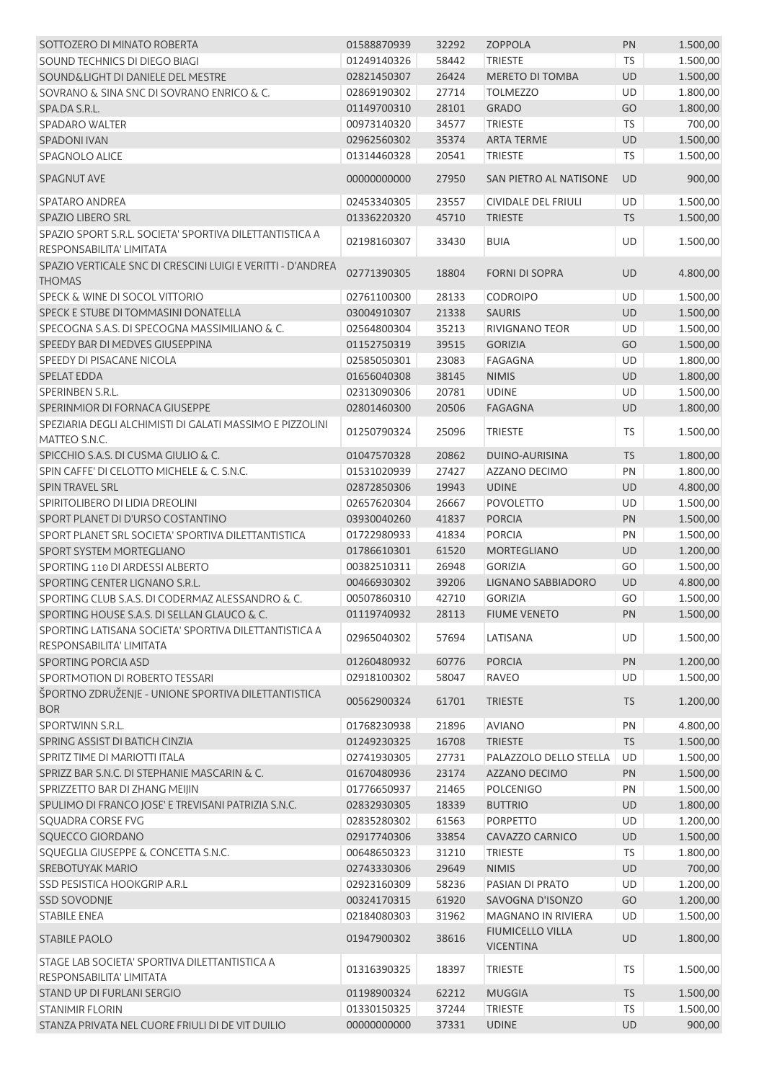| SOTTOZERO DI MINATO ROBERTA                                                         | 01588870939 | 32292 | <b>ZOPPOLA</b>                              | PN        | 1.500,00 |
|-------------------------------------------------------------------------------------|-------------|-------|---------------------------------------------|-----------|----------|
| SOUND TECHNICS DI DIEGO BIAGI                                                       | 01249140326 | 58442 | <b>TRIESTE</b>                              | <b>TS</b> | 1.500,00 |
| SOUND&LIGHT DI DANIELE DEL MESTRE                                                   | 02821450307 | 26424 | <b>MERETO DI TOMBA</b>                      | <b>UD</b> | 1.500,00 |
| SOVRANO & SINA SNC DI SOVRANO ENRICO & C.                                           | 02869190302 | 27714 | <b>TOLMEZZO</b>                             | <b>UD</b> | 1.800,00 |
| SPA.DA S.R.L.                                                                       | 01149700310 | 28101 | <b>GRADO</b>                                | GO        | 1.800,00 |
| <b>SPADARO WALTER</b>                                                               | 00973140320 | 34577 | <b>TRIESTE</b>                              | <b>TS</b> | 700,00   |
| <b>SPADONI IVAN</b>                                                                 | 02962560302 | 35374 | <b>ARTA TERME</b>                           | UD        | 1.500,00 |
| SPAGNOLO ALICE                                                                      | 01314460328 | 20541 | <b>TRIESTE</b>                              | <b>TS</b> | 1.500,00 |
| <b>SPAGNUT AVE</b>                                                                  | 00000000000 | 27950 | SAN PIETRO AL NATISONE                      | <b>UD</b> | 900,00   |
| SPATARO ANDREA                                                                      | 02453340305 | 23557 | <b>CIVIDALE DEL FRIULI</b>                  | <b>UD</b> | 1.500,00 |
| <b>SPAZIO LIBERO SRL</b>                                                            | 01336220320 | 45710 | <b>TRIESTE</b>                              | <b>TS</b> | 1.500,00 |
| SPAZIO SPORT S.R.L. SOCIETA' SPORTIVA DILETTANTISTICA A<br>RESPONSABILITA' LIMITATA | 02198160307 | 33430 | <b>BUIA</b>                                 | UD        | 1.500,00 |
| SPAZIO VERTICALE SNC DI CRESCINI LUIGI E VERITTI - D'ANDREA<br><b>THOMAS</b>        | 02771390305 | 18804 | <b>FORNI DI SOPRA</b>                       | <b>UD</b> | 4.800,00 |
| SPECK & WINE DI SOCOL VITTORIO                                                      | 02761100300 | 28133 | <b>CODROIPO</b>                             | UD        | 1.500,00 |
| SPECK E STUBE DI TOMMASINI DONATELLA                                                | 03004910307 | 21338 | <b>SAURIS</b>                               | UD        | 1.500,00 |
| SPECOGNA S.A.S. DI SPECOGNA MASSIMILIANO & C.                                       | 02564800304 | 35213 | <b>RIVIGNANO TEOR</b>                       | UD        | 1.500,00 |
| SPEEDY BAR DI MEDVES GIUSEPPINA                                                     | 01152750319 | 39515 | <b>GORIZIA</b>                              | GO        | 1.500,00 |
| SPEEDY DI PISACANE NICOLA                                                           | 02585050301 | 23083 | <b>FAGAGNA</b>                              | UD        | 1.800,00 |
| <b>SPELAT EDDA</b>                                                                  | 01656040308 | 38145 | <b>NIMIS</b>                                | UD        | 1.800,00 |
| SPERINBEN S.R.L.                                                                    | 02313090306 | 20781 | <b>UDINE</b>                                | UD        | 1.500,00 |
| SPERINMIOR DI FORNACA GIUSEPPE                                                      | 02801460300 | 20506 | <b>FAGAGNA</b>                              | UD        | 1.800,00 |
| SPEZIARIA DEGLI ALCHIMISTI DI GALATI MASSIMO E PIZZOLINI                            |             |       |                                             |           |          |
| MATTEO S.N.C.                                                                       | 01250790324 | 25096 | <b>TRIESTE</b>                              | TS        | 1.500,00 |
| SPICCHIO S.A.S. DI CUSMA GIULIO & C.                                                | 01047570328 | 20862 | DUINO-AURISINA                              | <b>TS</b> | 1.800,00 |
| SPIN CAFFE' DI CELOTTO MICHELE & C. S.N.C.                                          | 01531020939 | 27427 | AZZANO DECIMO                               | PN        | 1.800,00 |
| SPIN TRAVEL SRL                                                                     | 02872850306 | 19943 | <b>UDINE</b>                                | UD        | 4.800,00 |
| SPIRITOLIBERO DI LIDIA DREOLINI                                                     | 02657620304 | 26667 | <b>POVOLETTO</b>                            | UD        | 1.500,00 |
| SPORT PLANET DI D'URSO COSTANTINO                                                   | 03930040260 | 41837 | <b>PORCIA</b>                               | PN        | 1.500,00 |
| SPORT PLANET SRL SOCIETA' SPORTIVA DILETTANTISTICA                                  | 01722980933 | 41834 | <b>PORCIA</b>                               | PN        | 1.500,00 |
| SPORT SYSTEM MORTEGLIANO                                                            | 01786610301 | 61520 | <b>MORTEGLIANO</b>                          | UD        | 1.200,00 |
| SPORTING 110 DI ARDESSI ALBERTO                                                     | 00382510311 | 26948 | <b>GORIZIA</b>                              | GO        | 1.500,00 |
| SPORTING CENTER LIGNANO S.R.L.                                                      | 00466930302 | 39206 | LIGNANO SABBIADORO                          | UD        | 4.800,00 |
| SPORTING CLUB S.A.S. DI CODERMAZ ALESSANDRO & C.                                    | 00507860310 | 42710 | <b>GORIZIA</b>                              | GO        | 1.500,00 |
| SPORTING HOUSE S.A.S. DI SELLAN GLAUCO & C.                                         | 01119740932 |       | 28113 FIUME VENETO                          | PN        | 1.500,00 |
| SPORTING LATISANA SOCIETA' SPORTIVA DILETTANTISTICA A<br>RESPONSABILITA' LIMITATA   | 02965040302 | 57694 | LATISANA                                    | UD        | 1.500,00 |
| SPORTING PORCIA ASD                                                                 | 01260480932 | 60776 | <b>PORCIA</b>                               | PN        | 1.200,00 |
| SPORTMOTION DI ROBERTO TESSARI                                                      | 02918100302 | 58047 | <b>RAVEO</b>                                | UD        | 1.500,00 |
| ŠPORTNO ZDRUŽENJE - UNIONE SPORTIVA DILETTANTISTICA<br><b>BOR</b>                   | 00562900324 | 61701 | <b>TRIESTE</b>                              | <b>TS</b> | 1.200,00 |
| SPORTWINN S.R.L.                                                                    | 01768230938 | 21896 | <b>AVIANO</b>                               | PN        | 4.800,00 |
| SPRING ASSIST DI BATICH CINZIA                                                      | 01249230325 | 16708 | <b>TRIESTE</b>                              | <b>TS</b> | 1.500,00 |
| SPRITZ TIME DI MARIOTTI ITALA                                                       | 02741930305 | 27731 | PALAZZOLO DELLO STELLA                      | UD        | 1.500,00 |
| SPRIZZ BAR S.N.C. DI STEPHANIE MASCARIN & C.                                        | 01670480936 | 23174 | AZZANO DECIMO                               | PN        | 1.500,00 |
| SPRIZZETTO BAR DI ZHANG MEIJIN                                                      | 01776650937 | 21465 | <b>POLCENIGO</b>                            | PN        | 1.500,00 |
| SPULIMO DI FRANCO JOSE' E TREVISANI PATRIZIA S.N.C.                                 | 02832930305 | 18339 | <b>BUTTRIO</b>                              | UD        | 1.800,00 |
| SQUADRA CORSE FVG                                                                   | 02835280302 | 61563 | <b>PORPETTO</b>                             | UD        | 1.200,00 |
| SQUECCO GIORDANO                                                                    | 02917740306 | 33854 | CAVAZZO CARNICO                             | UD        | 1.500,00 |
| SQUEGLIA GIUSEPPE & CONCETTA S.N.C.                                                 | 00648650323 |       | <b>TRIESTE</b>                              | <b>TS</b> | 1.800,00 |
| <b>SREBOTUYAK MARIO</b>                                                             |             | 31210 |                                             |           |          |
| SSD PESISTICA HOOKGRIP A.R.L                                                        | 02743330306 | 29649 | <b>NIMIS</b>                                | UD        | 700,00   |
|                                                                                     | 02923160309 | 58236 | PASIAN DI PRATO                             | UD        | 1.200,00 |
| <b>SSD SOVODNJE</b>                                                                 | 00324170315 | 61920 | SAVOGNA D'ISONZO                            | GO        | 1.200,00 |
| <b>STABILE ENEA</b>                                                                 | 02184080303 | 31962 | <b>MAGNANO IN RIVIERA</b>                   | UD        | 1.500,00 |
| <b>STABILE PAOLO</b>                                                                | 01947900302 | 38616 | <b>FIUMICELLO VILLA</b><br><b>VICENTINA</b> | UD        | 1.800,00 |
| STAGE LAB SOCIETA' SPORTIVA DILETTANTISTICA A<br>RESPONSABILITA' LIMITATA           | 01316390325 | 18397 | <b>TRIESTE</b>                              | TS        | 1.500,00 |
| STAND UP DI FURLANI SERGIO                                                          | 01198900324 | 62212 | <b>MUGGIA</b>                               | <b>TS</b> | 1.500,00 |
| <b>STANIMIR FLORIN</b>                                                              | 01330150325 | 37244 | <b>TRIESTE</b>                              | TS        | 1.500,00 |
| STANZA PRIVATA NEL CUORE FRIULI DI DE VIT DUILIO                                    | 00000000000 | 37331 | <b>UDINE</b>                                | UD        | 900,00   |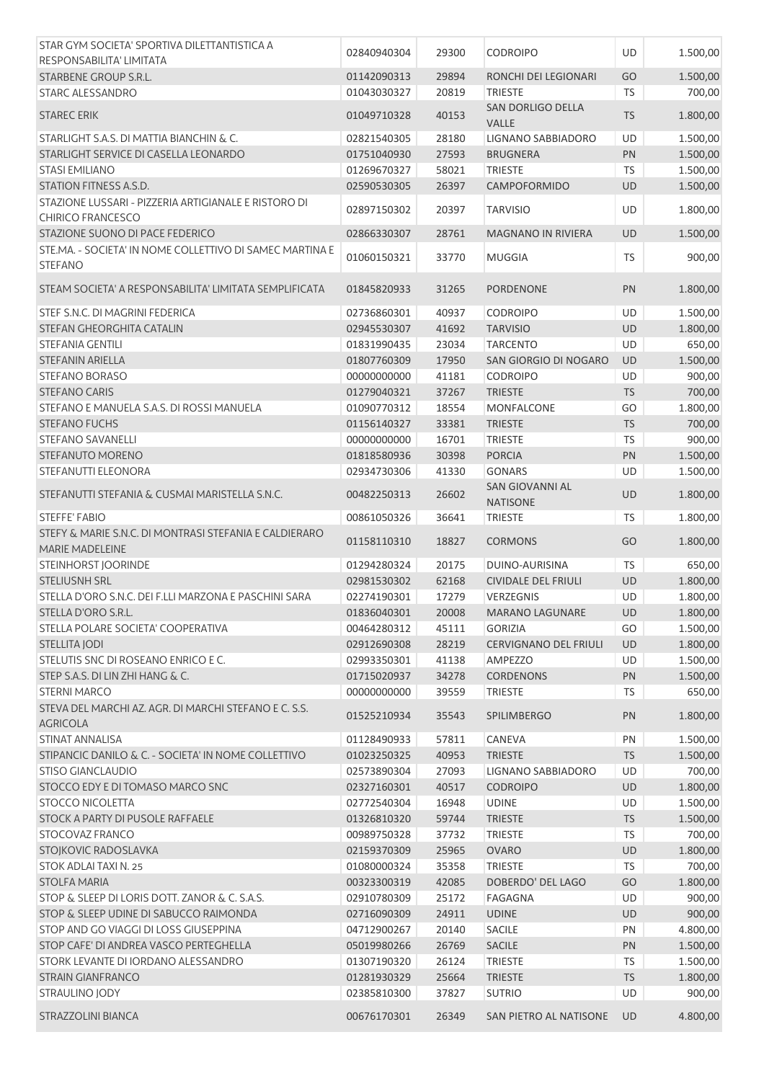| STAR GYM SOCIETA' SPORTIVA DILETTANTISTICA A                                     |             |       |                                   |           |          |
|----------------------------------------------------------------------------------|-------------|-------|-----------------------------------|-----------|----------|
| RESPONSABILITA' LIMITATA                                                         | 02840940304 | 29300 | <b>CODROIPO</b>                   | UD        | 1.500,00 |
| <b>STARBENE GROUP S.R.L.</b>                                                     | 01142090313 | 29894 | RONCHI DEI LEGIONARI              | GO        | 1.500,00 |
| <b>STARC ALESSANDRO</b>                                                          | 01043030327 | 20819 | <b>TRIESTE</b>                    | TS        | 700,00   |
| <b>STAREC ERIK</b>                                                               | 01049710328 | 40153 | SAN DORLIGO DELLA<br><b>VALLE</b> | <b>TS</b> | 1.800,00 |
| STARLIGHT S.A.S. DI MATTIA BIANCHIN & C.                                         | 02821540305 | 28180 | LIGNANO SABBIADORO                | UD        | 1.500,00 |
| STARLIGHT SERVICE DI CASELLA LEONARDO                                            | 01751040930 | 27593 | <b>BRUGNERA</b>                   | PN        | 1.500,00 |
| <b>STASI EMILIANO</b>                                                            | 01269670327 | 58021 | <b>TRIESTE</b>                    | <b>TS</b> | 1.500,00 |
| STATION FITNESS A.S.D.                                                           | 02590530305 | 26397 | CAMPOFORMIDO                      | UD        | 1.500,00 |
| STAZIONE LUSSARI - PIZZERIA ARTIGIANALE E RISTORO DI<br><b>CHIRICO FRANCESCO</b> | 02897150302 | 20397 | <b>TARVISIO</b>                   | UD        | 1.800,00 |
| STAZIONE SUONO DI PACE FEDERICO                                                  | 02866330307 | 28761 | <b>MAGNANO IN RIVIERA</b>         | UD        | 1.500,00 |
| STE.MA. - SOCIETA' IN NOME COLLETTIVO DI SAMEC MARTINA E<br><b>STEFANO</b>       | 01060150321 | 33770 | <b>MUGGIA</b>                     | <b>TS</b> | 900,00   |
| STEAM SOCIETA' A RESPONSABILITA' LIMITATA SEMPLIFICATA                           | 01845820933 | 31265 | PORDENONE                         | PN        | 1.800,00 |
| STEF S.N.C. DI MAGRINI FEDERICA                                                  | 02736860301 | 40937 | <b>CODROIPO</b>                   | UD        | 1.500,00 |
| STEFAN GHEORGHITA CATALIN                                                        | 02945530307 | 41692 | <b>TARVISIO</b>                   | UD        | 1.800,00 |
| <b>STEFANIA GENTILI</b>                                                          | 01831990435 | 23034 | <b>TARCENTO</b>                   | UD        | 650,00   |
| <b>STEFANIN ARIELLA</b>                                                          | 01807760309 | 17950 | SAN GIORGIO DI NOGARO             | UD        | 1.500,00 |
| <b>STEFANO BORASO</b>                                                            | 00000000000 | 41181 | <b>CODROIPO</b>                   | UD        | 900,00   |
| <b>STEFANO CARIS</b>                                                             | 01279040321 | 37267 | <b>TRIESTE</b>                    | <b>TS</b> | 700,00   |
| STEFANO E MANUELA S.A.S. DI ROSSI MANUELA                                        | 01090770312 | 18554 | MONFALCONE                        | GO        | 1.800,00 |
| <b>STEFANO FUCHS</b>                                                             | 01156140327 | 33381 | <b>TRIESTE</b>                    | TS        | 700,00   |
| <b>STEFANO SAVANELLI</b>                                                         | 00000000000 | 16701 | <b>TRIESTE</b>                    | <b>TS</b> | 900,00   |
| STEFANUTO MORENO                                                                 | 01818580936 | 30398 | <b>PORCIA</b>                     | PN        | 1.500,00 |
| STEFANUTTI ELEONORA                                                              | 02934730306 | 41330 | <b>GONARS</b>                     | UD        | 1.500,00 |
| STEFANUTTI STEFANIA & CUSMAI MARISTELLA S.N.C.                                   | 00482250313 | 26602 | <b>SAN GIOVANNI AL</b>            | UD        | 1.800,00 |
|                                                                                  |             |       | <b>NATISONE</b>                   |           |          |
| <b>STEFFE' FABIO</b>                                                             | 00861050326 | 36641 | <b>TRIESTE</b>                    | TS        | 1.800,00 |
| STEFY & MARIE S.N.C. DI MONTRASI STEFANIA E CALDIERARO<br>MARIE MADELEINE        | 01158110310 | 18827 | <b>CORMONS</b>                    | GO        | 1.800,00 |
| <b>STEINHORST JOORINDE</b>                                                       | 01294280324 | 20175 | DUINO-AURISINA                    | <b>TS</b> | 650,00   |
| <b>STELIUSNH SRL</b>                                                             | 02981530302 | 62168 | <b>CIVIDALE DEL FRIULI</b>        | UD        | 1.800,00 |
| STELLA D'ORO S.N.C. DEI F.LLI MARZONA E PASCHINI SARA                            | 02274190301 | 17279 | VERZEGNIS                         | UD        | 1.800,00 |
| STELLA D'ORO S.R.L.                                                              | 01836040301 | 20008 | <b>MARANO LAGUNARE</b>            | UD        | 1.800,00 |
| STELLA POLARE SOCIETA' COOPERATIVA                                               | 00464280312 | 45111 | <b>GORIZIA</b>                    | GO        | 1.500,00 |
| STELLITA JODI                                                                    | 02912690308 | 28219 | <b>CERVIGNANO DEL FRIULI</b>      | UD        | 1.800,00 |
| STELUTIS SNC DI ROSEANO ENRICO E C.                                              | 02993350301 | 41138 | AMPEZZO                           | UD        | 1.500,00 |
| STEP S.A.S. DI LIN ZHI HANG & C.                                                 | 01715020937 | 34278 | <b>CORDENONS</b>                  | PN        | 1.500,00 |
| <b>STERNI MARCO</b>                                                              | 00000000000 | 39559 | <b>TRIESTE</b>                    | TS        | 650,00   |
| STEVA DEL MARCHI AZ, AGR, DI MARCHI STEFANO E C, S.S.<br><b>AGRICOLA</b>         | 01525210934 | 35543 | <b>SPILIMBERGO</b>                | PN        | 1.800,00 |
| STINAT ANNALISA                                                                  | 01128490933 | 57811 | <b>CANEVA</b>                     | PN        | 1.500,00 |
| STIPANCIC DANILO & C. - SOCIETA' IN NOME COLLETTIVO                              | 01023250325 | 40953 | <b>TRIESTE</b>                    | <b>TS</b> | 1.500,00 |
| <b>STISO GIANCLAUDIO</b>                                                         | 02573890304 | 27093 | LIGNANO SABBIADORO                | UD        | 700,00   |
| STOCCO EDY E DI TOMASO MARCO SNC                                                 | 02327160301 | 40517 | <b>CODROIPO</b>                   | UD        | 1.800,00 |
| <b>STOCCO NICOLETTA</b>                                                          | 02772540304 | 16948 | <b>UDINE</b>                      | UD        | 1.500,00 |
| STOCK A PARTY DI PUSOLE RAFFAELE                                                 | 01326810320 | 59744 | <b>TRIESTE</b>                    | <b>TS</b> | 1.500,00 |
| STOCOVAZ FRANCO                                                                  | 00989750328 | 37732 | TRIESTE                           | TS        | 700,00   |
| STOJKOVIC RADOSLAVKA                                                             | 02159370309 | 25965 | <b>OVARO</b>                      | UD        | 1.800,00 |
| STOK ADLAI TAXI N. 25                                                            | 01080000324 | 35358 | <b>TRIESTE</b>                    | <b>TS</b> | 700,00   |
| <b>STOLFA MARIA</b>                                                              | 00323300319 | 42085 | DOBERDO' DEL LAGO                 | GO        | 1.800,00 |
| STOP & SLEEP DI LORIS DOTT. ZANOR & C. S.A.S.                                    | 02910780309 | 25172 | FAGAGNA                           | UD        | 900,00   |
| STOP & SLEEP UDINE DI SABUCCO RAIMONDA                                           | 02716090309 | 24911 | <b>UDINE</b>                      | UD        | 900,00   |
| STOP AND GO VIAGGI DI LOSS GIUSEPPINA                                            | 04712900267 | 20140 | <b>SACILE</b>                     | PN        | 4.800,00 |
| STOP CAFE' DI ANDREA VASCO PERTEGHELLA                                           | 05019980266 | 26769 | <b>SACILE</b>                     | PN        | 1.500,00 |
| STORK LEVANTE DI IORDANO ALESSANDRO                                              | 01307190320 | 26124 | <b>TRIESTE</b>                    | TS        | 1.500,00 |
| STRAIN GIANFRANCO                                                                | 01281930329 | 25664 | <b>TRIESTE</b>                    | <b>TS</b> | 1.800,00 |
| STRAULINO JODY                                                                   | 02385810300 | 37827 | <b>SUTRIO</b>                     | <b>UD</b> | 900,00   |
|                                                                                  |             |       |                                   |           |          |
| STRAZZOLINI BIANCA                                                               | 00676170301 | 26349 | SAN PIETRO AL NATISONE            | <b>UD</b> | 4.800,00 |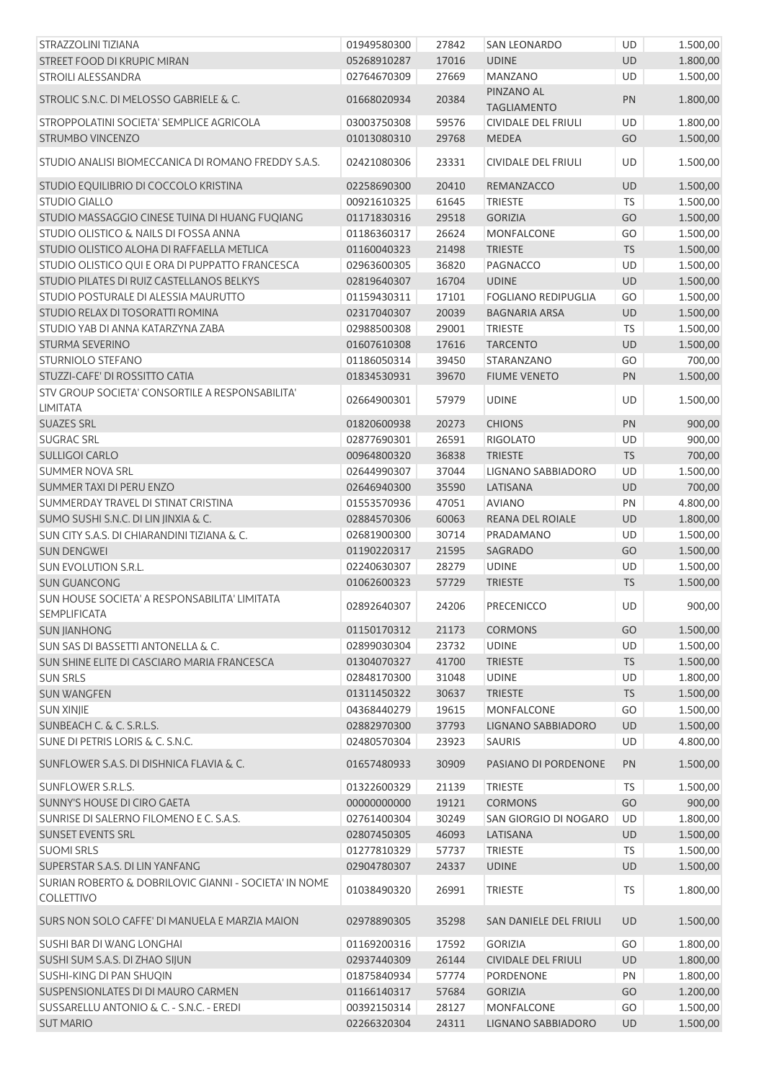| STRAZZOLINI TIZIANA                                                  | 01949580300 | 27842 | SAN LEONARDO                     | UD        | 1.500,00 |
|----------------------------------------------------------------------|-------------|-------|----------------------------------|-----------|----------|
| STREET FOOD DI KRUPIC MIRAN                                          | 05268910287 | 17016 | <b>UDINE</b>                     | UD        | 1.800,00 |
| <b>STROILI ALESSANDRA</b>                                            | 02764670309 | 27669 | <b>MANZANO</b>                   | <b>UD</b> | 1.500,00 |
| STROLIC S.N.C. DI MELOSSO GABRIELE & C.                              | 01668020934 | 20384 | PINZANO AL<br><b>TAGLIAMENTO</b> | PN        | 1.800,00 |
| STROPPOLATINI SOCIETA' SEMPLICE AGRICOLA                             | 03003750308 | 59576 | <b>CIVIDALE DEL FRIULI</b>       | UD        | 1.800,00 |
| STRUMBO VINCENZO                                                     | 01013080310 | 29768 | <b>MEDEA</b>                     | GO        | 1.500,00 |
| STUDIO ANALISI BIOMECCANICA DI ROMANO FREDDY S.A.S.                  | 02421080306 | 23331 | CIVIDALE DEL FRIULI              | UD        | 1.500,00 |
| STUDIO EQUILIBRIO DI COCCOLO KRISTINA                                | 02258690300 | 20410 | REMANZACCO                       | UD        | 1.500,00 |
| <b>STUDIO GIALLO</b>                                                 | 00921610325 | 61645 | <b>TRIESTE</b>                   | <b>TS</b> | 1.500,00 |
| STUDIO MASSAGGIO CINESE TUINA DI HUANG FUQIANG                       | 01171830316 | 29518 | <b>GORIZIA</b>                   | GO        | 1.500,00 |
| STUDIO OLISTICO & NAILS DI FOSSA ANNA                                | 01186360317 | 26624 | <b>MONFALCONE</b>                | GO        | 1.500,00 |
| STUDIO OLISTICO ALOHA DI RAFFAELLA METLICA                           | 01160040323 | 21498 | <b>TRIESTE</b>                   | <b>TS</b> | 1.500,00 |
| STUDIO OLISTICO QUI E ORA DI PUPPATTO FRANCESCA                      | 02963600305 | 36820 | PAGNACCO                         | UD        | 1.500,00 |
| STUDIO PILATES DI RUIZ CASTELLANOS BELKYS                            | 02819640307 | 16704 | <b>UDINE</b>                     | UD        | 1.500,00 |
| STUDIO POSTURALE DI ALESSIA MAURUTTO                                 | 01159430311 | 17101 | <b>FOGLIANO REDIPUGLIA</b>       | GO        | 1.500,00 |
| STUDIO RELAX DI TOSORATTI ROMINA                                     | 02317040307 | 20039 | <b>BAGNARIA ARSA</b>             | UD        | 1.500,00 |
| STUDIO YAB DI ANNA KATARZYNA ZABA                                    | 02988500308 | 29001 | <b>TRIESTE</b>                   | <b>TS</b> | 1.500,00 |
| STURMA SEVERINO                                                      | 01607610308 | 17616 | <b>TARCENTO</b>                  | UD        | 1.500,00 |
| STURNIOLO STEFANO                                                    | 01186050314 | 39450 | STARANZANO                       | GO        | 700,00   |
| STUZZI-CAFE' DI ROSSITTO CATIA                                       | 01834530931 | 39670 | <b>FIUME VENETO</b>              | PN        | 1.500,00 |
| STV GROUP SOCIETA' CONSORTILE A RESPONSABILITA'<br><b>LIMITATA</b>   | 02664900301 | 57979 | <b>UDINE</b>                     | UD        | 1.500,00 |
| <b>SUAZES SRL</b>                                                    | 01820600938 | 20273 | <b>CHIONS</b>                    | PN        | 900,00   |
| <b>SUGRAC SRL</b>                                                    | 02877690301 | 26591 | <b>RIGOLATO</b>                  | UD        | 900,00   |
| <b>SULLIGOI CARLO</b>                                                | 00964800320 | 36838 | <b>TRIESTE</b>                   | <b>TS</b> | 700,00   |
| <b>SUMMER NOVA SRL</b>                                               | 02644990307 | 37044 | LIGNANO SABBIADORO               | UD        | 1.500,00 |
| SUMMER TAXI DI PERU ENZO                                             | 02646940300 | 35590 | LATISANA                         | UD        | 700,00   |
| SUMMERDAY TRAVEL DI STINAT CRISTINA                                  | 01553570936 | 47051 | <b>AVIANO</b>                    | PN        | 4.800,00 |
| SUMO SUSHI S.N.C. DI LIN JINXIA & C.                                 | 02884570306 | 60063 | REANA DEL ROIALE                 | UD        | 1.800,00 |
| SUN CITY S.A.S. DI CHIARANDINI TIZIANA & C.                          | 02681900300 | 30714 | PRADAMANO                        | UD        | 1.500,00 |
| <b>SUN DENGWEI</b>                                                   | 01190220317 | 21595 | SAGRADO                          | GO        | 1.500,00 |
| SUN EVOLUTION S.R.L.                                                 | 02240630307 | 28279 | <b>UDINE</b>                     | UD        | 1.500,00 |
| <b>SUN GUANCONG</b>                                                  | 01062600323 | 57729 | <b>TRIESTE</b>                   | <b>TS</b> | 1.500,00 |
| SUN HOUSE SOCIETA' A RESPONSABILITA' LIMITATA<br><b>SEMPLIFICATA</b> | 02892640307 | 24206 | PRECENICCO                       | UD        | 900,00   |
| <b>SUN JIANHONG</b>                                                  | 01150170312 | 21173 | <b>CORMONS</b>                   | GO        | 1.500,00 |
| SUN SAS DI BASSETTI ANTONELLA & C.                                   | 02899030304 | 23732 | <b>UDINE</b>                     | UD        | 1.500,00 |
| SUN SHINE ELITE DI CASCIARO MARIA FRANCESCA                          | 01304070327 | 41700 | <b>TRIESTE</b>                   | <b>TS</b> | 1.500,00 |
| <b>SUN SRLS</b>                                                      | 02848170300 | 31048 | <b>UDINE</b>                     | UD        | 1.800,00 |
| <b>SUN WANGFEN</b>                                                   | 01311450322 | 30637 | <b>TRIESTE</b>                   | <b>TS</b> | 1.500,00 |
| <b>SUN XINJIE</b>                                                    | 04368440279 | 19615 | MONFALCONE                       | GO        | 1.500,00 |
| SUNBEACH C. & C. S.R.L.S.                                            | 02882970300 | 37793 | LIGNANO SABBIADORO               | UD        | 1.500,00 |
| SUNE DI PETRIS LORIS & C. S.N.C.                                     | 02480570304 | 23923 | <b>SAURIS</b>                    | UD        | 4.800,00 |
| SUNFLOWER S.A.S. DI DISHNICA FLAVIA & C.                             | 01657480933 | 30909 | PASIANO DI PORDENONE             | PN        | 1.500,00 |
| SUNFLOWER S.R.L.S.                                                   | 01322600329 | 21139 | <b>TRIESTE</b>                   | TS        | 1.500,00 |
| SUNNY'S HOUSE DI CIRO GAETA                                          | 00000000000 | 19121 | <b>CORMONS</b>                   | GO        | 900,00   |
| SUNRISE DI SALERNO FILOMENO E C. S.A.S.                              | 02761400304 | 30249 | SAN GIORGIO DI NOGARO            | UD        | 1.800,00 |
| <b>SUNSET EVENTS SRL</b>                                             | 02807450305 | 46093 | LATISANA                         | UD        | 1.500,00 |
| <b>SUOMI SRLS</b>                                                    | 01277810329 | 57737 | <b>TRIESTE</b>                   | <b>TS</b> | 1.500,00 |
| SUPERSTAR S.A.S. DI LIN YANFANG                                      | 02904780307 | 24337 | <b>UDINE</b>                     | <b>UD</b> | 1.500,00 |
| SURIAN ROBERTO & DOBRILOVIC GIANNI - SOCIETA' IN NOME                |             |       |                                  |           |          |
| <b>COLLETTIVO</b>                                                    | 01038490320 | 26991 | <b>TRIESTE</b>                   | TS.       | 1.800,00 |
| SURS NON SOLO CAFFE' DI MANUELA E MARZIA MAION                       | 02978890305 | 35298 | SAN DANIELE DEL FRIULI           | UD        | 1.500,00 |
| SUSHI BAR DI WANG LONGHAI                                            | 01169200316 | 17592 | <b>GORIZIA</b>                   | GO        | 1.800,00 |
| SUSHI SUM S.A.S. DI ZHAO SIJUN                                       | 02937440309 | 26144 | <b>CIVIDALE DEL FRIULI</b>       | UD        | 1.800,00 |
| SUSHI-KING DI PAN SHUQIN                                             | 01875840934 | 57774 | PORDENONE                        | PN        | 1.800,00 |
| SUSPENSIONLATES DI DI MAURO CARMEN                                   | 01166140317 | 57684 | <b>GORIZIA</b>                   | GO        | 1.200,00 |
| SUSSARELLU ANTONIO & C. - S.N.C. - EREDI                             | 00392150314 | 28127 | <b>MONFALCONE</b>                | GO        | 1.500,00 |
| <b>SUT MARIO</b>                                                     | 02266320304 | 24311 | LIGNANO SABBIADORO               | UD        | 1.500,00 |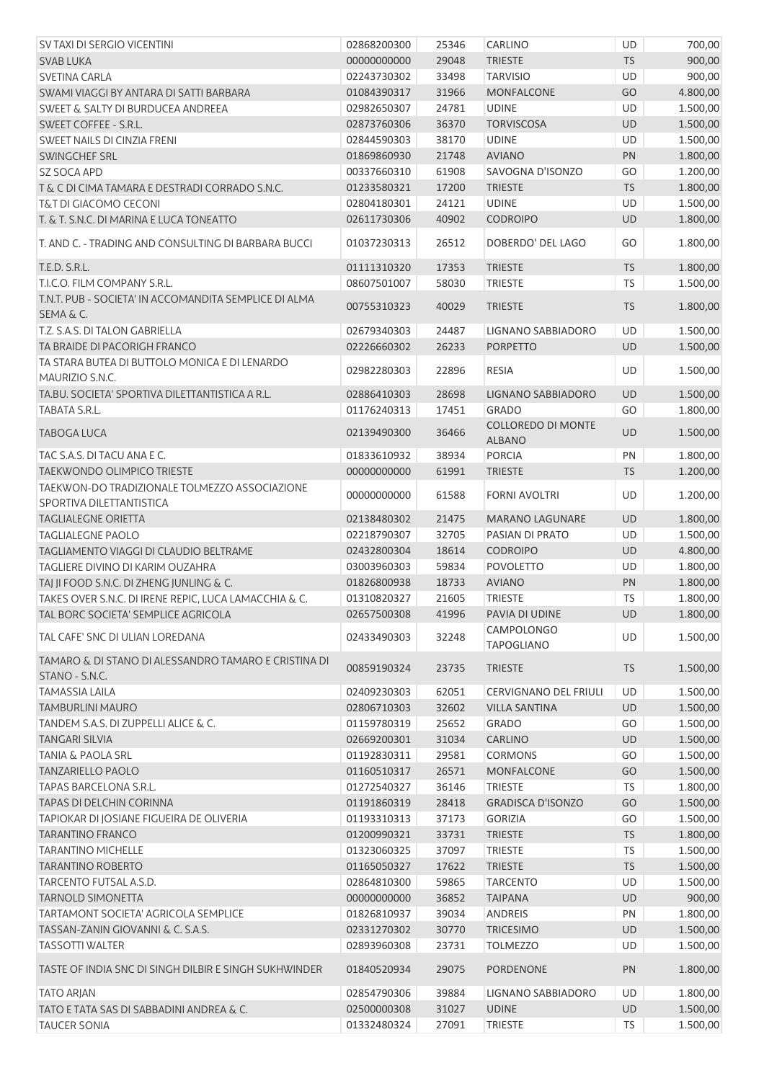| SV TAXI DI SERGIO VICENTINI                                               | 02868200300 | 25346 | CARLINO                      | <b>UD</b> | 700,00   |
|---------------------------------------------------------------------------|-------------|-------|------------------------------|-----------|----------|
| <b>SVAB LUKA</b>                                                          | 00000000000 | 29048 | <b>TRIESTE</b>               | <b>TS</b> | 900,00   |
| <b>SVETINA CARLA</b>                                                      | 02243730302 | 33498 | <b>TARVISIO</b>              | UD        | 900,00   |
| SWAMI VIAGGI BY ANTARA DI SATTI BARBARA                                   | 01084390317 | 31966 | <b>MONFALCONE</b>            | GO        | 4.800,00 |
| <b>SWEET &amp; SALTY DI BURDUCEA ANDREEA</b>                              | 02982650307 | 24781 | <b>UDINE</b>                 | <b>UD</b> | 1.500,00 |
| SWEET COFFEE - S.R.L.                                                     | 02873760306 | 36370 | <b>TORVISCOSA</b>            | UD        | 1.500,00 |
| SWEET NAILS DI CINZIA FRENI                                               | 02844590303 | 38170 | <b>UDINE</b>                 | UD        | 1.500,00 |
| SWINGCHEF SRL                                                             | 01869860930 | 21748 | <b>AVIANO</b>                | PN        | 1.800,00 |
| <b>SZ SOCA APD</b>                                                        | 00337660310 | 61908 | SAVOGNA D'ISONZO             | GO        | 1.200,00 |
| T & C DI CIMA TAMARA E DESTRADI CORRADO S.N.C.                            | 01233580321 | 17200 | <b>TRIESTE</b>               | <b>TS</b> | 1.800,00 |
| T&T DI GIACOMO CECONI                                                     | 02804180301 | 24121 | <b>UDINE</b>                 | UD        | 1.500,00 |
| T. & T. S.N.C. DI MARINA E LUCA TONEATTO                                  | 02611730306 | 40902 | <b>CODROIPO</b>              | UD        | 1.800,00 |
| T. AND C. - TRADING AND CONSULTING DI BARBARA BUCCI                       | 01037230313 | 26512 | DOBERDO' DEL LAGO            | GO        | 1.800,00 |
| T.E.D. S.R.L.                                                             | 01111310320 | 17353 | <b>TRIESTE</b>               | <b>TS</b> | 1.800,00 |
| T.I.C.O. FILM COMPANY S.R.L.                                              | 08607501007 | 58030 | <b>TRIESTE</b>               | <b>TS</b> | 1.500,00 |
| T.N.T. PUB - SOCIETA' IN ACCOMANDITA SEMPLICE DI ALMA<br>SEMA & C.        | 00755310323 | 40029 | <b>TRIESTE</b>               | <b>TS</b> | 1.800,00 |
| T.Z. S.A.S. DI TALON GABRIELLA                                            | 02679340303 | 24487 | LIGNANO SABBIADORO           | UD        | 1.500,00 |
| TA BRAIDE DI PACORIGH FRANCO                                              | 02226660302 | 26233 | <b>PORPETTO</b>              | UD        | 1.500,00 |
| TA STARA BUTEA DI BUTTOLO MONICA E DI LENARDO                             |             |       |                              |           |          |
| MAURIZIO S.N.C.                                                           | 02982280303 | 22896 | <b>RESIA</b>                 | UD        | 1.500,00 |
| TA.BU. SOCIETA' SPORTIVA DILETTANTISTICA A R.L.                           | 02886410303 | 28698 | LIGNANO SABBIADORO           | UD        | 1.500,00 |
| <b>TABATA S.R.L.</b>                                                      | 01176240313 | 17451 | <b>GRADO</b>                 | GO        | 1.800,00 |
| <b>TABOGA LUCA</b>                                                        | 02139490300 | 36466 | <b>COLLOREDO DI MONTE</b>    | UD        | 1.500,00 |
|                                                                           |             |       | <b>ALBANO</b>                |           |          |
| TAC S.A.S. DI TACU ANA E C.                                               | 01833610932 | 38934 | <b>PORCIA</b>                | PN        | 1.800,00 |
| <b>TAEKWONDO OLIMPICO TRIESTE</b>                                         | 00000000000 | 61991 | <b>TRIESTE</b>               | <b>TS</b> | 1.200,00 |
| TAEKWON-DO TRADIZIONALE TOLMEZZO ASSOCIAZIONE<br>SPORTIVA DILETTANTISTICA | 00000000000 | 61588 | <b>FORNI AVOLTRI</b>         | UD        | 1.200,00 |
| <b>TAGLIALEGNE ORIETTA</b>                                                | 02138480302 | 21475 | <b>MARANO LAGUNARE</b>       | UD        | 1.800,00 |
| <b>TAGLIALEGNE PAOLO</b>                                                  | 02218790307 | 32705 | PASIAN DI PRATO              | UD        | 1.500,00 |
| TAGLIAMENTO VIAGGI DI CLAUDIO BELTRAME                                    | 02432800304 | 18614 | <b>CODROIPO</b>              | UD        | 4.800,00 |
| TAGLIERE DIVINO DI KARIM OUZAHRA                                          | 03003960303 | 59834 | <b>POVOLETTO</b>             | UD        | 1.800,00 |
| TAJ JI FOOD S.N.C. DI ZHENG JUNLING & C.                                  | 01826800938 | 18733 | <b>AVIANO</b>                | PN        | 1.800,00 |
| TAKES OVER S.N.C. DI IRENE REPIC, LUCA LAMACCHIA & C.                     | 01310820327 | 21605 | <b>TRIESTE</b>               | TS        | 1.800,00 |
| TAL BORC SOCIETA' SEMPLICE AGRICOLA                                       | 02657500308 | 41996 | PAVIA DI UDINE               | <b>UD</b> | 1.800,00 |
|                                                                           |             |       | <b>CAMPOLONGO</b>            |           |          |
| TAL CAFE' SNC DI ULIAN LOREDANA                                           | 02433490303 | 32248 | <b>TAPOGLIANO</b>            | <b>UD</b> | 1.500,00 |
| TAMARO & DI STANO DI ALESSANDRO TAMARO E CRISTINA DI<br>STANO - S.N.C.    | 00859190324 | 23735 | <b>TRIESTE</b>               | <b>TS</b> | 1.500,00 |
| <b>TAMASSIA LAILA</b>                                                     | 02409230303 | 62051 | <b>CERVIGNANO DEL FRIULI</b> | UD        | 1.500,00 |
| <b>TAMBURLINI MAURO</b>                                                   | 02806710303 | 32602 | <b>VILLA SANTINA</b>         | UD        | 1.500,00 |
| TANDEM S.A.S. DI ZUPPELLI ALICE & C.                                      | 01159780319 | 25652 | <b>GRADO</b>                 | GO        | 1.500,00 |
| <b>TANGARI SILVIA</b>                                                     | 02669200301 | 31034 | CARLINO                      | UD        | 1.500,00 |
| <b>TANIA &amp; PAOLA SRL</b>                                              | 01192830311 | 29581 | <b>CORMONS</b>               | GO        | 1.500,00 |
| <b>TANZARIELLO PAOLO</b>                                                  | 01160510317 | 26571 | <b>MONFALCONE</b>            | GO        | 1.500,00 |
| <b>TAPAS BARCELONA S.R.L.</b>                                             | 01272540327 | 36146 | <b>TRIESTE</b>               | TS        | 1.800,00 |
| TAPAS DI DELCHIN CORINNA                                                  | 01191860319 | 28418 | <b>GRADISCA D'ISONZO</b>     | GO        | 1.500,00 |
| TAPIOKAR DI JOSIANE FIGUEIRA DE OLIVERIA                                  | 01193310313 | 37173 | <b>GORIZIA</b>               | GO        | 1.500,00 |
| <b>TARANTINO FRANCO</b>                                                   | 01200990321 | 33731 | <b>TRIESTE</b>               | <b>TS</b> | 1.800,00 |
| <b>TARANTINO MICHELLE</b>                                                 | 01323060325 | 37097 | <b>TRIESTE</b>               | <b>TS</b> | 1.500,00 |
| <b>TARANTINO ROBERTO</b>                                                  | 01165050327 | 17622 | <b>TRIESTE</b>               | <b>TS</b> | 1.500,00 |
| TARCENTO FUTSAL A.S.D.                                                    | 02864810300 | 59865 | <b>TARCENTO</b>              | UD        | 1.500,00 |
| TARNOLD SIMONETTA                                                         | 00000000000 | 36852 | <b>TAIPANA</b>               | UD        | 900,00   |
| <b>TARTAMONT SOCIETA' AGRICOLA SEMPLICE</b>                               | 01826810937 | 39034 | <b>ANDREIS</b>               | PN        | 1.800,00 |
| TASSAN-ZANIN GIOVANNI & C. S.A.S.                                         | 02331270302 | 30770 | TRICESIMO                    | UD        | 1.500,00 |
| <b>TASSOTTI WALTER</b>                                                    | 02893960308 | 23731 | <b>TOLMEZZO</b>              | UD        | 1.500,00 |
| TASTE OF INDIA SNC DI SINGH DILBIR E SINGH SUKHWINDER                     | 01840520934 | 29075 | <b>PORDENONE</b>             | PN        | 1.800,00 |
| <b>TATO ARJAN</b>                                                         | 02854790306 | 39884 | LIGNANO SABBIADORO           | <b>UD</b> | 1.800,00 |
| TATO E TATA SAS DI SABBADINI ANDREA & C.                                  | 02500000308 | 31027 | <b>UDINE</b>                 | <b>UD</b> | 1.500,00 |
| <b>TAUCER SONIA</b>                                                       | 01332480324 | 27091 | <b>TRIESTE</b>               | TS        | 1.500,00 |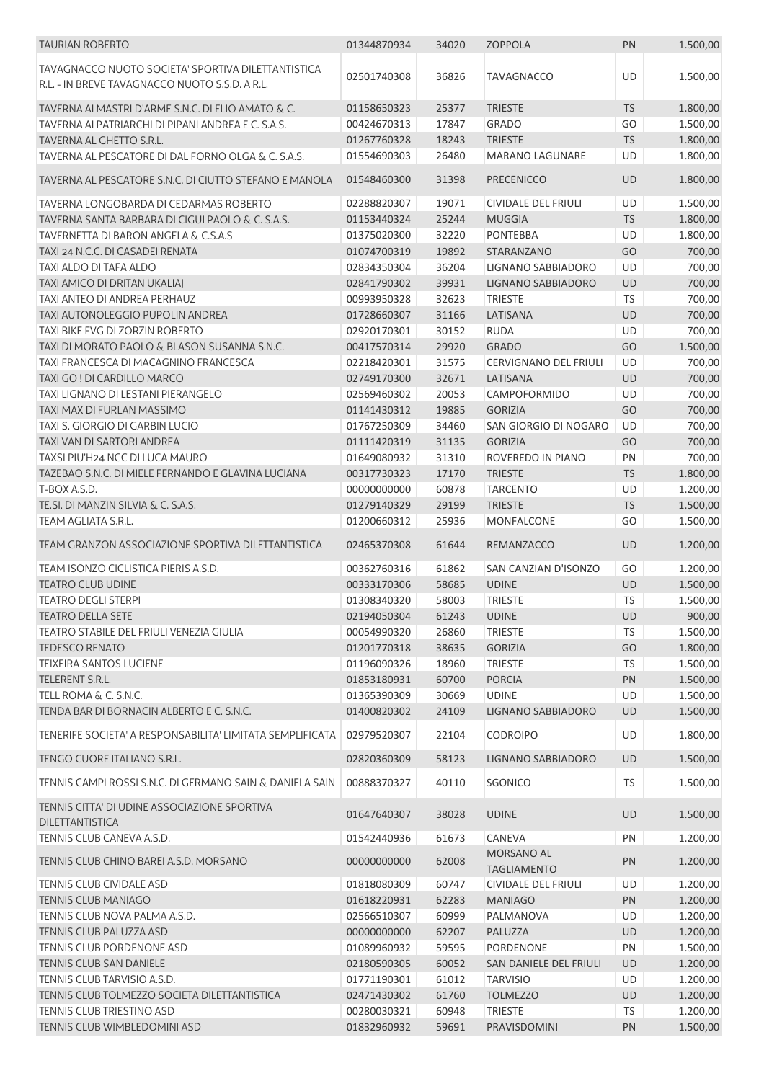| <b>TAURIAN ROBERTO</b>                                                                               | 01344870934 | 34020 | <b>ZOPPOLA</b>                   | PN        | 1.500,00 |
|------------------------------------------------------------------------------------------------------|-------------|-------|----------------------------------|-----------|----------|
| TAVAGNACCO NUOTO SOCIETA' SPORTIVA DILETTANTISTICA<br>R.L. - IN BREVE TAVAGNACCO NUOTO S.S.D. A R.L. | 02501740308 | 36826 | <b>TAVAGNACCO</b>                | UD        | 1.500,00 |
| TAVERNA AI MASTRI D'ARME S.N.C. DI ELIO AMATO & C.                                                   | 01158650323 | 25377 | <b>TRIESTE</b>                   | <b>TS</b> | 1.800,00 |
| TAVERNA AI PATRIARCHI DI PIPANI ANDREA E C. S.A.S.                                                   | 00424670313 | 17847 | <b>GRADO</b>                     | GO        | 1.500,00 |
| TAVERNA AL GHETTO S.R.L.                                                                             | 01267760328 | 18243 | <b>TRIESTE</b>                   | <b>TS</b> | 1.800,00 |
| TAVERNA AL PESCATORE DI DAL FORNO OLGA & C. S.A.S.                                                   | 01554690303 | 26480 | <b>MARANO LAGUNARE</b>           | UD        | 1.800,00 |
| TAVERNA AL PESCATORE S.N.C. DI CIUTTO STEFANO E MANOLA                                               | 01548460300 | 31398 | <b>PRECENICCO</b>                | <b>UD</b> | 1.800,00 |
| TAVERNA LONGOBARDA DI CEDARMAS ROBERTO                                                               | 02288820307 | 19071 | <b>CIVIDALE DEL FRIULI</b>       | UD        | 1.500,00 |
| TAVERNA SANTA BARBARA DI CIGUI PAOLO & C. S.A.S.                                                     | 01153440324 | 25244 | <b>MUGGIA</b>                    | <b>TS</b> | 1.800,00 |
| TAVERNETTA DI BARON ANGELA & C.S.A.S                                                                 | 01375020300 | 32220 | <b>PONTEBBA</b>                  | UD        | 1.800,00 |
| TAXI 24 N.C.C. DI CASADEI RENATA                                                                     | 01074700319 | 19892 | STARANZANO                       | GO        | 700,00   |
| TAXI ALDO DI TAFA ALDO                                                                               | 02834350304 | 36204 | LIGNANO SABBIADORO               | UD        | 700,00   |
| TAXI AMICO DI DRITAN UKALIAJ                                                                         | 02841790302 | 39931 | LIGNANO SABBIADORO               | UD        | 700,00   |
| <b>TAXI ANTEO DI ANDREA PERHAUZ</b>                                                                  | 00993950328 | 32623 | <b>TRIESTE</b>                   | <b>TS</b> | 700,00   |
| <b>TAXI AUTONOLEGGIO PUPOLIN ANDREA</b>                                                              | 01728660307 | 31166 | LATISANA                         | UD        | 700,00   |
| TAXI BIKE FVG DI ZORZIN ROBERTO                                                                      | 02920170301 | 30152 | <b>RUDA</b>                      | UD        | 700,00   |
| TAXI DI MORATO PAOLO & BLASON SUSANNA S.N.C.                                                         | 00417570314 | 29920 | <b>GRADO</b>                     | GO        | 1.500,00 |
| TAXI FRANCESCA DI MACAGNINO FRANCESCA                                                                | 02218420301 | 31575 | <b>CERVIGNANO DEL FRIULI</b>     | UD        | 700,00   |
| TAXI GO ! DI CARDILLO MARCO                                                                          | 02749170300 | 32671 | LATISANA                         | UD        | 700,00   |
| TAXI LIGNANO DI LESTANI PIERANGELO                                                                   | 02569460302 | 20053 | CAMPOFORMIDO                     | UD        | 700,00   |
| TAXI MAX DI FURLAN MASSIMO                                                                           | 01141430312 | 19885 | <b>GORIZIA</b>                   | GO        | 700,00   |
| TAXI S. GIORGIO DI GARBIN LUCIO                                                                      |             |       | SAN GIORGIO DI NOGARO            | UD        |          |
| TAXI VAN DI SARTORI ANDREA                                                                           | 01767250309 | 34460 |                                  |           | 700,00   |
|                                                                                                      | 01111420319 | 31135 | <b>GORIZIA</b>                   | GO        | 700,00   |
| TAXSI PIU'H24 NCC DI LUCA MAURO                                                                      | 01649080932 | 31310 | ROVEREDO IN PIANO                | PN        | 700,00   |
| TAZEBAO S.N.C. DI MIELE FERNANDO E GLAVINA LUCIANA                                                   | 00317730323 | 17170 | <b>TRIESTE</b>                   | <b>TS</b> | 1.800,00 |
| T-BOX A.S.D.                                                                                         | 00000000000 | 60878 | <b>TARCENTO</b>                  | UD        | 1.200,00 |
| TE.SI. DI MANZIN SILVIA & C. S.A.S.                                                                  | 01279140329 | 29199 | <b>TRIESTE</b>                   | <b>TS</b> | 1.500,00 |
| TEAM AGLIATA S.R.L.                                                                                  | 01200660312 | 25936 | <b>MONFALCONE</b>                | GO        | 1.500,00 |
| TEAM GRANZON ASSOCIAZIONE SPORTIVA DILETTANTISTICA                                                   | 02465370308 | 61644 | REMANZACCO                       | <b>UD</b> | 1.200,00 |
| TEAM ISONZO CICLISTICA PIERIS A.S.D.                                                                 | 00362760316 | 61862 | SAN CANZIAN D'ISONZO             | GO        | 1.200,00 |
| <b>TEATRO CLUB UDINE</b>                                                                             | 00333170306 | 58685 | <b>UDINE</b>                     | UD        | 1.500,00 |
| <b>TEATRO DEGLI STERPI</b>                                                                           | 01308340320 | 58003 | <b>TRIESTE</b>                   | TS        | 1.500,00 |
| <b>TEATRO DELLA SETE</b>                                                                             | 02194050304 | 61243 | <b>UDINE</b>                     | <b>UD</b> | 900,00   |
| TEATRO STABILE DEL FRIULI VENEZIA GIULIA                                                             | 00054990320 | 26860 | <b>TRIESTE</b>                   | TS        | 1.500,00 |
| <b>TEDESCO RENATO</b>                                                                                | 01201770318 | 38635 | <b>GORIZIA</b>                   | GO        | 1.800,00 |
| <b>TEIXEIRA SANTOS LUCIENE</b>                                                                       | 01196090326 | 18960 | <b>TRIESTE</b>                   | <b>TS</b> | 1.500,00 |
| TELERENT S.R.L.                                                                                      | 01853180931 | 60700 | <b>PORCIA</b>                    | PN        | 1.500,00 |
| TELL ROMA & C. S.N.C.                                                                                | 01365390309 | 30669 | <b>UDINE</b>                     | UD        | 1.500,00 |
| TENDA BAR DI BORNACIN ALBERTO E C. S.N.C.                                                            | 01400820302 | 24109 | <b>LIGNANO SABBIADORO</b>        | UD        | 1.500,00 |
| TENERIFE SOCIETA' A RESPONSABILITA' LIMITATA SEMPLIFICATA                                            | 02979520307 | 22104 | <b>CODROIPO</b>                  | UD        | 1.800,00 |
| TENGO CUORE ITALIANO S.R.L.                                                                          | 02820360309 | 58123 | <b>LIGNANO SABBIADORO</b>        | UD        | 1.500,00 |
| TENNIS CAMPI ROSSI S.N.C. DI GERMANO SAIN & DANIELA SAIN                                             | 00888370327 | 40110 | SGONICO                          | TS.       | 1.500,00 |
| TENNIS CITTA' DI UDINE ASSOCIAZIONE SPORTIVA<br>DILETTANTISTICA                                      | 01647640307 | 38028 | <b>UDINE</b>                     | UD        | 1.500,00 |
| TENNIS CLUB CANEVA A.S.D.                                                                            | 01542440936 | 61673 | CANEVA                           | PN        | 1.200,00 |
| TENNIS CLUB CHINO BAREI A.S.D. MORSANO                                                               | 00000000000 | 62008 | MORSANO AL<br><b>TAGLIAMENTO</b> | PN        | 1.200,00 |
| TENNIS CLUB CIVIDALE ASD                                                                             | 01818080309 | 60747 | <b>CIVIDALE DEL FRIULI</b>       | UD        | 1.200,00 |
| <b>TENNIS CLUB MANIAGO</b>                                                                           | 01618220931 | 62283 | <b>MANIAGO</b>                   | PN        | 1.200,00 |
| TENNIS CLUB NOVA PALMA A.S.D.                                                                        | 02566510307 | 60999 | PALMANOVA                        | UD        | 1.200,00 |
| TENNIS CLUB PALUZZA ASD                                                                              | 00000000000 | 62207 | PALUZZA                          | UD        | 1.200,00 |
| TENNIS CLUB PORDENONE ASD                                                                            | 01089960932 | 59595 | PORDENONE                        | PN        | 1.500,00 |
| TENNIS CLUB SAN DANIELE                                                                              | 02180590305 | 60052 | SAN DANIELE DEL FRIULI           | UD        | 1.200,00 |
| TENNIS CLUB TARVISIO A.S.D.                                                                          | 01771190301 | 61012 | <b>TARVISIO</b>                  | UD        | 1.200,00 |
| TENNIS CLUB TOLMEZZO SOCIETA DILETTANTISTICA                                                         | 02471430302 | 61760 | <b>TOLMEZZO</b>                  | UD        | 1.200,00 |
| TENNIS CLUB TRIESTINO ASD                                                                            | 00280030321 | 60948 | <b>TRIESTE</b>                   | <b>TS</b> | 1.200,00 |
| TENNIS CLUB WIMBLEDOMINI ASD                                                                         | 01832960932 | 59691 | PRAVISDOMINI                     | PN        | 1.500,00 |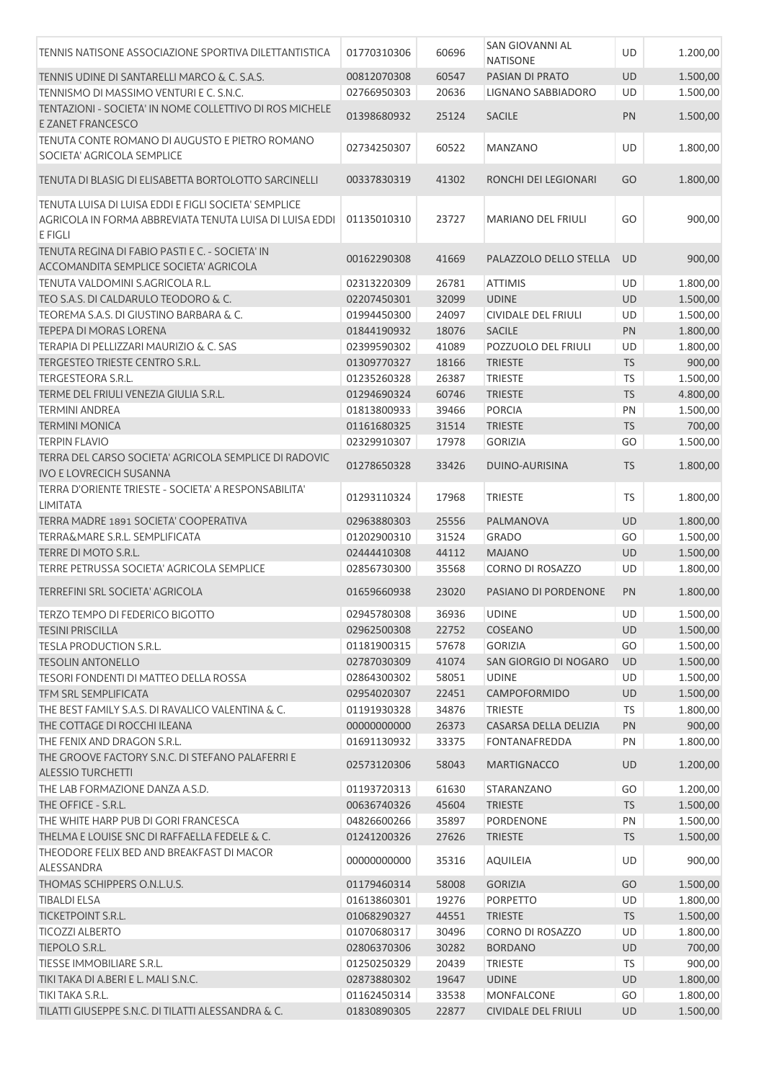| TENNIS NATISONE ASSOCIAZIONE SPORTIVA DILETTANTISTICA                                                                      | 01770310306 | 60696 | SAN GIOVANNI AL<br><b>NATISONE</b> | UD        | 1.200,00 |
|----------------------------------------------------------------------------------------------------------------------------|-------------|-------|------------------------------------|-----------|----------|
|                                                                                                                            | 00812070308 | 60547 | <b>PASIAN DI PRATO</b>             | <b>UD</b> |          |
| TENNIS UDINE DI SANTARELLI MARCO & C. S.A.S.                                                                               |             |       |                                    |           | 1.500,00 |
| TENNISMO DI MASSIMO VENTURI E C. S.N.C.                                                                                    | 02766950303 | 20636 | LIGNANO SABBIADORO                 | UD        | 1.500,00 |
| TENTAZIONI - SOCIETA' IN NOME COLLETTIVO DI ROS MICHELE<br>E ZANET FRANCESCO                                               | 01398680932 | 25124 | <b>SACILE</b>                      | PN        | 1.500,00 |
| TENUTA CONTE ROMANO DI AUGUSTO E PIETRO ROMANO<br>SOCIETA' AGRICOLA SEMPLICE                                               | 02734250307 | 60522 | MANZANO                            | UD        | 1.800,00 |
| TENUTA DI BLASIG DI ELISABETTA BORTOLOTTO SARCINELLI                                                                       | 00337830319 | 41302 | RONCHI DEI LEGIONARI               | GO        | 1.800,00 |
| TENUTA LUISA DI LUISA EDDI E FIGLI SOCIETA' SEMPLICE<br>AGRICOLA IN FORMA ABBREVIATA TENUTA LUISA DI LUISA EDDI<br>E FIGLI | 01135010310 | 23727 | <b>MARIANO DEL FRIULI</b>          | GO        | 900,00   |
| TENUTA REGINA DI FABIO PASTI E C. - SOCIETA' IN<br>ACCOMANDITA SEMPLICE SOCIETA' AGRICOLA                                  | 00162290308 | 41669 | PALAZZOLO DELLO STELLA             | <b>UD</b> | 900,00   |
| TENUTA VALDOMINI S.AGRICOLA R.L.                                                                                           | 02313220309 | 26781 | <b>ATTIMIS</b>                     | UD        | 1.800,00 |
| TEO S.A.S. DI CALDARULO TEODORO & C.                                                                                       | 02207450301 | 32099 | <b>UDINE</b>                       | UD        | 1.500,00 |
| TEOREMA S.A.S. DI GIUSTINO BARBARA & C.                                                                                    | 01994450300 | 24097 | <b>CIVIDALE DEL FRIULI</b>         | UD        | 1.500,00 |
| TEPEPA DI MORAS LORENA                                                                                                     | 01844190932 | 18076 | <b>SACILE</b>                      | PN        | 1.800,00 |
| TERAPIA DI PELLIZZARI MAURIZIO & C. SAS                                                                                    | 02399590302 | 41089 | POZZUOLO DEL FRIULI                | UD        | 1.800,00 |
| TERGESTEO TRIESTE CENTRO S.R.L.                                                                                            | 01309770327 | 18166 | <b>TRIESTE</b>                     | TS        | 900,00   |
| TERGESTEORA S.R.L.                                                                                                         | 01235260328 | 26387 | <b>TRIESTE</b>                     | <b>TS</b> | 1.500,00 |
| TERME DEL FRIULI VENEZIA GIULIA S.R.L.                                                                                     | 01294690324 | 60746 | <b>TRIESTE</b>                     | <b>TS</b> | 4.800,00 |
| <b>TERMINI ANDREA</b>                                                                                                      | 01813800933 | 39466 | <b>PORCIA</b>                      | PN        | 1.500,00 |
| <b>TERMINI MONICA</b>                                                                                                      | 01161680325 | 31514 | <b>TRIESTE</b>                     | <b>TS</b> | 700,00   |
| <b>TERPIN FLAVIO</b>                                                                                                       | 02329910307 | 17978 | <b>GORIZIA</b>                     | GO        | 1.500,00 |
| TERRA DEL CARSO SOCIETA' AGRICOLA SEMPLICE DI RADOVIC                                                                      |             |       |                                    |           |          |
| <b>IVO E LOVRECICH SUSANNA</b>                                                                                             | 01278650328 | 33426 | DUINO-AURISINA                     | <b>TS</b> | 1.800,00 |
| TERRA D'ORIENTE TRIESTE - SOCIETA' A RESPONSABILITA'<br><b>LIMITATA</b>                                                    | 01293110324 | 17968 | <b>TRIESTE</b>                     | TS        | 1.800,00 |
| TERRA MADRE 1891 SOCIETA' COOPERATIVA                                                                                      | 02963880303 | 25556 | PALMANOVA                          | UD        | 1.800,00 |
| <b>TERRA&amp;MARE S.R.L. SEMPLIFICATA</b>                                                                                  | 01202900310 | 31524 | <b>GRADO</b>                       | GO        | 1.500,00 |
| TERRE DI MOTO S.R.L.                                                                                                       | 02444410308 | 44112 | <b>MAJANO</b>                      | UD        | 1.500,00 |
| TERRE PETRUSSA SOCIETA' AGRICOLA SEMPLICE                                                                                  | 02856730300 | 35568 | CORNO DI ROSAZZO                   | UD        | 1.800,00 |
| TERREFINI SRL SOCIETA' AGRICOLA                                                                                            | 01659660938 | 23020 | PASIANO DI PORDENONE               | PN        | 1.800,00 |
| TERZO TEMPO DI FEDERICO BIGOTTO                                                                                            | 02945780308 | 36936 | UDINE                              | UD        | 1.500,00 |
| <b>TESINI PRISCILLA</b>                                                                                                    | 02962500308 | 22752 | COSEANO                            | UD        | 1.500,00 |
| <b>TESLA PRODUCTION S.R.L.</b>                                                                                             | 01181900315 | 57678 | <b>GORIZIA</b>                     | GO        | 1.500,00 |
| <b>TESOLIN ANTONELLO</b>                                                                                                   | 02787030309 | 41074 | SAN GIORGIO DI NOGARO              | UD        | 1.500,00 |
| TESORI FONDENTI DI MATTEO DELLA ROSSA                                                                                      | 02864300302 | 58051 | <b>UDINE</b>                       | UD        | 1.500,00 |
| TFM SRL SEMPLIFICATA                                                                                                       | 02954020307 | 22451 | CAMPOFORMIDO                       | <b>UD</b> | 1.500,00 |
| THE BEST FAMILY S.A.S. DI RAVALICO VALENTINA & C.                                                                          | 01191930328 | 34876 | <b>TRIESTE</b>                     | TS        | 1.800,00 |
| THE COTTAGE DI ROCCHI ILEANA                                                                                               | 00000000000 | 26373 | CASARSA DELLA DELIZIA              | PN        | 900,00   |
| THE FENIX AND DRAGON S.R.L.                                                                                                | 01691130932 | 33375 | <b>FONTANAFREDDA</b>               | PN        | 1.800,00 |
| THE GROOVE FACTORY S.N.C. DI STEFANO PALAFERRI E<br><b>ALESSIO TURCHETTI</b>                                               | 02573120306 | 58043 | <b>MARTIGNACCO</b>                 | UD        | 1.200,00 |
| THE LAB FORMAZIONE DANZA A.S.D.                                                                                            | 01193720313 | 61630 | STARANZANO                         | GO        | 1.200,00 |
| THE OFFICE - S.R.L.                                                                                                        | 00636740326 | 45604 | <b>TRIESTE</b>                     | <b>TS</b> | 1.500,00 |
| THE WHITE HARP PUB DI GORI FRANCESCA                                                                                       |             |       |                                    |           |          |
|                                                                                                                            | 04826600266 | 35897 | PORDENONE                          | PN        | 1.500,00 |
| THELMA E LOUISE SNC DI RAFFAELLA FEDELE & C.                                                                               | 01241200326 | 27626 | <b>TRIESTE</b>                     | <b>TS</b> | 1.500,00 |
| THEODORE FELIX BED AND BREAKFAST DI MACOR<br>ALESSANDRA                                                                    | 00000000000 | 35316 | AQUILEIA                           | UD        | 900,00   |
| THOMAS SCHIPPERS O.N.L.U.S.                                                                                                | 01179460314 | 58008 | <b>GORIZIA</b>                     | GO        | 1.500,00 |
| <b>TIBALDI ELSA</b>                                                                                                        | 01613860301 | 19276 | <b>PORPETTO</b>                    | UD        | 1.800,00 |
| TICKETPOINT S.R.L.                                                                                                         | 01068290327 | 44551 | <b>TRIESTE</b>                     | <b>TS</b> | 1.500,00 |
| <b>TICOZZI ALBERTO</b>                                                                                                     | 01070680317 | 30496 | CORNO DI ROSAZZO                   | UD        | 1.800,00 |
| TIEPOLO S.R.L.                                                                                                             | 02806370306 | 30282 | <b>BORDANO</b>                     | <b>UD</b> | 700,00   |
| TIESSE IMMOBILIARE S.R.L.                                                                                                  | 01250250329 | 20439 | <b>TRIESTE</b>                     | TS.       | 900,00   |
| TIKI TAKA DI A.BERI E L. MALI S.N.C.                                                                                       | 02873880302 | 19647 | <b>UDINE</b>                       | <b>UD</b> | 1.800,00 |
| TIKI TAKA S.R.L.                                                                                                           | 01162450314 | 33538 | MONFALCONE                         | GO        | 1.800,00 |
| TILATTI GIUSEPPE S.N.C. DI TILATTI ALESSANDRA & C.                                                                         | 01830890305 | 22877 | CIVIDALE DEL FRIULI                | UD        | 1.500,00 |
|                                                                                                                            |             |       |                                    |           |          |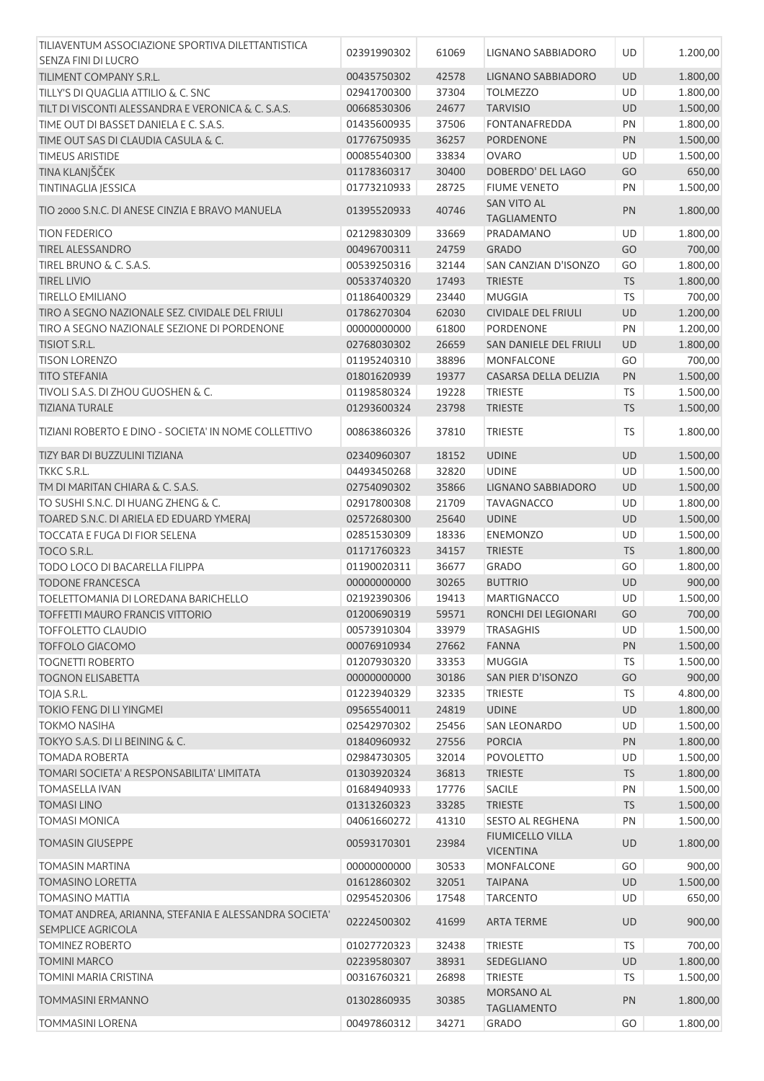| TILIAVENTUM ASSOCIAZIONE SPORTIVA DILETTANTISTICA     | 02391990302 | 61069 | LIGNANO SABBIADORO            | UD        | 1.200,00 |
|-------------------------------------------------------|-------------|-------|-------------------------------|-----------|----------|
| SENZA FINI DI LUCRO                                   |             |       |                               |           |          |
| TILIMENT COMPANY S.R.L.                               | 00435750302 | 42578 | LIGNANO SABBIADORO            | <b>UD</b> | 1.800,00 |
| TILLY'S DI QUAGLIA ATTILIO & C. SNC                   | 02941700300 | 37304 | <b>TOLMEZZO</b>               | UD        | 1.800,00 |
| TILT DI VISCONTI ALESSANDRA E VERONICA & C. S.A.S.    | 00668530306 | 24677 | <b>TARVISIO</b>               | UD        | 1.500,00 |
| TIME OUT DI BASSET DANIELA E C. S.A.S.                | 01435600935 | 37506 | <b>FONTANAFREDDA</b>          | PN        | 1.800,00 |
| TIME OUT SAS DI CLAUDIA CASULA & C.                   | 01776750935 | 36257 | PORDENONE                     | PN        | 1.500,00 |
| <b>TIMEUS ARISTIDE</b>                                | 00085540300 | 33834 | <b>OVARO</b>                  | UD        | 1.500,00 |
|                                                       |             |       |                               |           |          |
| TINA KLANJŠČEK                                        | 01178360317 | 30400 | DOBERDO' DEL LAGO             | GO        | 650,00   |
| <b>TINTINAGLIA JESSICA</b>                            | 01773210933 | 28725 | <b>FIUME VENETO</b>           | PN        | 1.500,00 |
| TIO 2000 S.N.C. DI ANESE CINZIA E BRAVO MANUELA       | 01395520933 | 40746 | <b>SAN VITO AL</b>            | PN        | 1.800,00 |
|                                                       |             |       | <b>TAGLIAMENTO</b>            |           |          |
| <b>TION FEDERICO</b>                                  | 02129830309 | 33669 | PRADAMANO                     | UD        | 1.800,00 |
| <b>TIREL ALESSANDRO</b>                               | 00496700311 | 24759 | <b>GRADO</b>                  | GO        | 700,00   |
| TIREL BRUNO & C. S.A.S.                               | 00539250316 | 32144 | SAN CANZIAN D'ISONZO          | GO        | 1.800,00 |
| <b>TIREL LIVIO</b>                                    | 00533740320 | 17493 | <b>TRIESTE</b>                | <b>TS</b> | 1.800,00 |
| <b>TIRELLO EMILIANO</b>                               | 01186400329 | 23440 | <b>MUGGIA</b>                 | <b>TS</b> | 700,00   |
| TIRO A SEGNO NAZIONALE SEZ. CIVIDALE DEL FRIULI       | 01786270304 | 62030 | CIVIDALE DEL FRIULI           | <b>UD</b> | 1.200,00 |
|                                                       |             |       |                               |           |          |
| TIRO A SEGNO NAZIONALE SEZIONE DI PORDENONE           | 00000000000 | 61800 | PORDENONE                     | PN        | 1.200,00 |
| TISIOT S.R.L.                                         | 02768030302 | 26659 | <b>SAN DANIELE DEL FRIULI</b> | <b>UD</b> | 1.800,00 |
| <b>TISON LORENZO</b>                                  | 01195240310 | 38896 | <b>MONFALCONE</b>             | GO        | 700,00   |
| <b>TITO STEFANIA</b>                                  | 01801620939 | 19377 | CASARSA DELLA DELIZIA         | PN        | 1.500,00 |
| TIVOLI S.A.S. DI ZHOU GUOSHEN & C.                    | 01198580324 | 19228 | <b>TRIESTE</b>                | TS        | 1.500,00 |
| <b>TIZIANA TURALE</b>                                 | 01293600324 | 23798 | <b>TRIESTE</b>                | <b>TS</b> | 1.500,00 |
|                                                       |             |       |                               |           |          |
| TIZIANI ROBERTO E DINO - SOCIETA' IN NOME COLLETTIVO  | 00863860326 | 37810 | <b>TRIESTE</b>                | <b>TS</b> | 1.800,00 |
|                                                       |             |       |                               |           |          |
| TIZY BAR DI BUZZULINI TIZIANA                         | 02340960307 | 18152 | <b>UDINE</b>                  | UD        | 1.500,00 |
| TKKC S.R.L.                                           | 04493450268 | 32820 | <b>UDINE</b>                  | UD        | 1.500,00 |
| TM DI MARITAN CHIARA & C. S.A.S.                      | 02754090302 | 35866 | LIGNANO SABBIADORO            | UD        | 1.500,00 |
| TO SUSHI S.N.C. DI HUANG ZHENG & C.                   | 02917800308 | 21709 | <b>TAVAGNACCO</b>             | UD        | 1.800,00 |
| TOARED S.N.C. DI ARIELA ED EDUARD YMERAJ              | 02572680300 | 25640 | <b>UDINE</b>                  | UD        | 1.500,00 |
| <b>TOCCATA E FUGA DI FIOR SELENA</b>                  | 02851530309 | 18336 | <b>ENEMONZO</b>               | UD        | 1.500,00 |
| TOCO S.R.L.                                           | 01171760323 | 34157 | <b>TRIESTE</b>                | <b>TS</b> | 1.800,00 |
| TODO LOCO DI BACARELLA FILIPPA                        | 01190020311 | 36677 | <b>GRADO</b>                  | GO        | 1.800,00 |
| <b>TODONE FRANCESCA</b>                               | 00000000000 | 30265 | <b>BUTTRIO</b>                | <b>UD</b> | 900,00   |
|                                                       |             |       |                               |           |          |
| TOELETTOMANIA DI LOREDANA BARICHELLO                  | 02192390306 | 19413 | <b>MARTIGNACCO</b>            | UD        | 1.500,00 |
| TOFFETTI MAURO FRANCIS VITTORIO                       | 01200690319 | 59571 | RONCHI DEI LEGIONARI          | GO        | 700,00   |
| <b>TOFFOLETTO CLAUDIO</b>                             | 00573910304 | 33979 | <b>TRASAGHIS</b>              | UD        | 1.500,00 |
| <b>TOFFOLO GIACOMO</b>                                | 00076910934 | 27662 | <b>FANNA</b>                  | PN        | 1.500,00 |
| <b>TOGNETTI ROBERTO</b>                               | 01207930320 | 33353 | <b>MUGGIA</b>                 | <b>TS</b> | 1.500,00 |
| <b>TOGNON ELISABETTA</b>                              | 00000000000 | 30186 | SAN PIER D'ISONZO             | GO        | 900,00   |
| TOJA S.R.L.                                           | 01223940329 | 32335 | <b>TRIESTE</b>                | TS        | 4.800,00 |
| TOKIO FENG DI LI YINGMEI                              | 09565540011 | 24819 | <b>UDINE</b>                  | UD        | 1.800,00 |
| <b>TOKMO NASIHA</b>                                   | 02542970302 | 25456 | <b>SAN LEONARDO</b>           | UD        | 1.500,00 |
|                                                       |             |       |                               |           |          |
| TOKYO S.A.S. DI LI BEINING & C.                       | 01840960932 | 27556 | <b>PORCIA</b>                 | PN        | 1.800,00 |
| <b>TOMADA ROBERTA</b>                                 | 02984730305 | 32014 | <b>POVOLETTO</b>              | UD        | 1.500,00 |
| TOMARI SOCIETA' A RESPONSABILITA' LIMITATA            | 01303920324 | 36813 | <b>TRIESTE</b>                | <b>TS</b> | 1.800,00 |
| <b>TOMASELLA IVAN</b>                                 | 01684940933 | 17776 | SACILE                        | PN        | 1.500,00 |
| <b>TOMASI LINO</b>                                    | 01313260323 | 33285 | <b>TRIESTE</b>                | <b>TS</b> | 1.500,00 |
| <b>TOMASI MONICA</b>                                  | 04061660272 | 41310 | <b>SESTO AL REGHENA</b>       | PN        | 1.500,00 |
|                                                       |             |       | <b>FIUMICELLO VILLA</b>       |           |          |
| <b>TOMASIN GIUSEPPE</b>                               | 00593170301 | 23984 | <b>VICENTINA</b>              | UD        | 1.800,00 |
| <b>TOMASIN MARTINA</b>                                | 00000000000 | 30533 | <b>MONFALCONE</b>             | GO        | 900,00   |
|                                                       |             |       |                               |           |          |
| <b>TOMASINO LORETTA</b>                               | 01612860302 | 32051 | <b>TAIPANA</b>                | <b>UD</b> | 1.500,00 |
| <b>TOMASINO MATTIA</b>                                | 02954520306 | 17548 | <b>TARCENTO</b>               | UD        | 650,00   |
| TOMAT ANDREA, ARIANNA, STEFANIA E ALESSANDRA SOCIETA' | 02224500302 | 41699 | <b>ARTA TERME</b>             | <b>UD</b> | 900,00   |
| <b>SEMPLICE AGRICOLA</b>                              |             |       |                               |           |          |
| <b>TOMINEZ ROBERTO</b>                                | 01027720323 | 32438 | <b>TRIESTE</b>                | <b>TS</b> | 700,00   |
| <b>TOMINI MARCO</b>                                   | 02239580307 | 38931 | SEDEGLIANO                    | UD        | 1.800,00 |
| TOMINI MARIA CRISTINA                                 | 00316760321 | 26898 | <b>TRIESTE</b>                | TS        | 1.500,00 |
|                                                       |             |       | MORSANO AL                    |           |          |
| <b>TOMMASINI ERMANNO</b>                              | 01302860935 | 30385 | <b>TAGLIAMENTO</b>            | PN        | 1.800,00 |
| <b>TOMMASINI LORENA</b>                               | 00497860312 | 34271 | <b>GRADO</b>                  | GO        | 1.800,00 |
|                                                       |             |       |                               |           |          |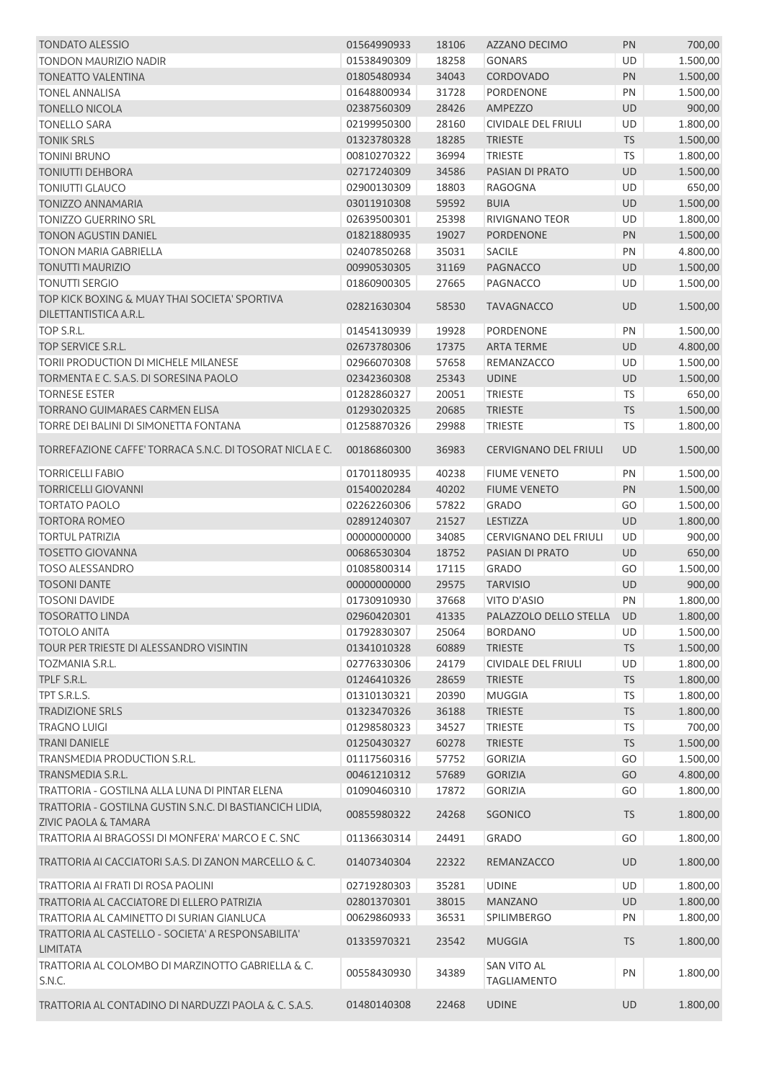| <b>TONDATO ALESSIO</b>                                                                      | 01564990933 | 18106 | AZZANO DECIMO                     | PN        | 700,00   |
|---------------------------------------------------------------------------------------------|-------------|-------|-----------------------------------|-----------|----------|
| <b>TONDON MAURIZIO NADIR</b>                                                                | 01538490309 | 18258 | <b>GONARS</b>                     | <b>UD</b> | 1.500,00 |
| <b>TONEATTO VALENTINA</b>                                                                   | 01805480934 | 34043 | CORDOVADO                         | PN        | 1.500,00 |
| <b>TONEL ANNALISA</b>                                                                       | 01648800934 | 31728 | PORDENONE                         | PN        | 1.500,00 |
| <b>TONELLO NICOLA</b>                                                                       | 02387560309 | 28426 | <b>AMPEZZO</b>                    | <b>UD</b> | 900,00   |
| <b>TONELLO SARA</b>                                                                         | 02199950300 | 28160 | CIVIDALE DEL FRIULI               | UD        | 1.800,00 |
| <b>TONIK SRLS</b>                                                                           | 01323780328 | 18285 | <b>TRIESTE</b>                    | TS        | 1.500,00 |
| <b>TONINI BRUNO</b>                                                                         | 00810270322 | 36994 | <b>TRIESTE</b>                    | <b>TS</b> | 1.800,00 |
| <b>TONIUTTI DEHBORA</b>                                                                     | 02717240309 | 34586 | PASIAN DI PRATO                   | UD        | 1.500,00 |
| <b>TONIUTTI GLAUCO</b>                                                                      | 02900130309 | 18803 | <b>RAGOGNA</b>                    | <b>UD</b> | 650,00   |
| <b>TONIZZO ANNAMARIA</b>                                                                    | 03011910308 | 59592 | <b>BUIA</b>                       | <b>UD</b> | 1.500,00 |
| TONIZZO GUERRINO SRL                                                                        | 02639500301 | 25398 | <b>RIVIGNANO TEOR</b>             | UD        | 1.800,00 |
| <b>TONON AGUSTIN DANIEL</b>                                                                 | 01821880935 | 19027 | <b>PORDENONE</b>                  | PN        | 1.500,00 |
| <b>TONON MARIA GABRIELLA</b>                                                                | 02407850268 | 35031 | SACILE                            | PN        | 4.800,00 |
| <b>TONUTTI MAURIZIO</b>                                                                     | 00990530305 | 31169 | <b>PAGNACCO</b>                   | <b>UD</b> | 1.500,00 |
| <b>TONUTTI SERGIO</b>                                                                       | 01860900305 | 27665 | PAGNACCO                          | UD        | 1.500,00 |
| TOP KICK BOXING & MUAY THAI SOCIETA' SPORTIVA                                               |             |       |                                   |           |          |
| DILETTANTISTICA A.R.L.                                                                      | 02821630304 | 58530 | <b>TAVAGNACCO</b>                 | <b>UD</b> | 1.500,00 |
| TOP S.R.L.                                                                                  | 01454130939 | 19928 | PORDENONE                         | PN        | 1.500,00 |
| TOP SERVICE S.R.L.                                                                          | 02673780306 | 17375 | <b>ARTA TERME</b>                 | UD        | 4.800,00 |
| TORII PRODUCTION DI MICHELE MILANESE                                                        | 02966070308 | 57658 | REMANZACCO                        | UD        | 1.500,00 |
| TORMENTA E C. S.A.S. DI SORESINA PAOLO                                                      | 02342360308 | 25343 | <b>UDINE</b>                      | <b>UD</b> | 1.500,00 |
| <b>TORNESE ESTER</b>                                                                        | 01282860327 | 20051 | <b>TRIESTE</b>                    | <b>TS</b> | 650,00   |
| <b>TORRANO GUIMARAES CARMEN ELISA</b>                                                       | 01293020325 | 20685 | <b>TRIESTE</b>                    | <b>TS</b> | 1.500,00 |
| TORRE DEI BALINI DI SIMONETTA FONTANA                                                       | 01258870326 | 29988 | <b>TRIESTE</b>                    | <b>TS</b> | 1.800,00 |
| TORREFAZIONE CAFFE' TORRACA S.N.C. DI TOSORAT NICLA E C.                                    | 00186860300 | 36983 | <b>CERVIGNANO DEL FRIULI</b>      | <b>UD</b> | 1.500,00 |
| <b>TORRICELLI FABIO</b>                                                                     | 01701180935 | 40238 | <b>FIUME VENETO</b>               | PN        | 1.500,00 |
| <b>TORRICELLI GIOVANNI</b>                                                                  | 01540020284 | 40202 | <b>FIUME VENETO</b>               | PN        | 1.500,00 |
| <b>TORTATO PAOLO</b>                                                                        | 02262260306 | 57822 | <b>GRADO</b>                      | GO        | 1.500,00 |
| <b>TORTORA ROMEO</b>                                                                        | 02891240307 | 21527 | LESTIZZA                          | <b>UD</b> | 1.800,00 |
| <b>TORTUL PATRIZIA</b>                                                                      | 00000000000 | 34085 | CERVIGNANO DEL FRIULI             | UD        | 900,00   |
| <b>TOSETTO GIOVANNA</b>                                                                     | 00686530304 | 18752 | PASIAN DI PRATO                   | <b>UD</b> | 650,00   |
| <b>TOSO ALESSANDRO</b>                                                                      | 01085800314 | 17115 | <b>GRADO</b>                      | GO        | 1.500,00 |
| <b>TOSONI DANTE</b>                                                                         | 00000000000 | 29575 | <b>TARVISIO</b>                   | <b>UD</b> | 900,00   |
| <b>TOSONI DAVIDE</b>                                                                        | 01730910930 | 37668 | VITO D'ASIO                       | PN        | 1.800,00 |
| <b>TOSORATTO LINDA</b>                                                                      | 02960420301 | 41335 | PALAZZOLO DELLO STELLA            | UD        | 1.800,00 |
| <b>TOTOLO ANITA</b>                                                                         | 01792830307 | 25064 | <b>BORDANO</b>                    | UD        | 1.500,00 |
| TOUR PER TRIESTE DI ALESSANDRO VISINTIN                                                     | 01341010328 | 60889 | <b>TRIESTE</b>                    | <b>TS</b> | 1.500,00 |
| TOZMANIA S.R.L.                                                                             | 02776330306 | 24179 | CIVIDALE DEL FRIULI               | UD        | 1.800,00 |
| TPLF S.R.L.                                                                                 | 01246410326 | 28659 | <b>TRIESTE</b>                    | <b>TS</b> | 1.800,00 |
| TPT S.R.L.S.                                                                                | 01310130321 | 20390 | <b>MUGGIA</b>                     | TS        | 1.800,00 |
| <b>TRADIZIONE SRLS</b>                                                                      | 01323470326 | 36188 | <b>TRIESTE</b>                    | <b>TS</b> | 1.800,00 |
| <b>TRAGNO LUIGI</b>                                                                         | 01298580323 | 34527 | <b>TRIESTE</b>                    | <b>TS</b> | 700,00   |
| <b>TRANI DANIELE</b>                                                                        | 01250430327 | 60278 | <b>TRIESTE</b>                    | <b>TS</b> | 1.500,00 |
| TRANSMEDIA PRODUCTION S.R.L.                                                                |             |       |                                   |           |          |
| TRANSMEDIA S.R.L.                                                                           | 01117560316 | 57752 | <b>GORIZIA</b>                    | GO        | 1.500,00 |
|                                                                                             | 00461210312 | 57689 | <b>GORIZIA</b>                    | GO        | 4.800,00 |
| TRATTORIA - GOSTILNA ALLA LUNA DI PINTAR ELENA                                              | 01090460310 | 17872 | <b>GORIZIA</b>                    | GO        | 1.800,00 |
| TRATTORIA - GOSTILNA GUSTIN S.N.C. DI BASTIANCICH LIDIA,<br><b>ZIVIC PAOLA &amp; TAMARA</b> | 00855980322 | 24268 | SGONICO                           | <b>TS</b> | 1.800,00 |
| TRATTORIA AI BRAGOSSI DI MONFERA' MARCO E C. SNC                                            | 01136630314 | 24491 | <b>GRADO</b>                      | GO        | 1.800,00 |
| TRATTORIA AI CACCIATORI S.A.S. DI ZANON MARCELLO & C.                                       | 01407340304 | 22322 | <b>REMANZACCO</b>                 | <b>UD</b> | 1.800,00 |
| TRATTORIA AI FRATI DI ROSA PAOLINI                                                          | 02719280303 | 35281 | <b>UDINE</b>                      | UD        | 1.800,00 |
| TRATTORIA AL CACCIATORE DI ELLERO PATRIZIA                                                  | 02801370301 | 38015 | <b>MANZANO</b>                    | UD        | 1.800,00 |
| TRATTORIA AL CAMINETTO DI SURIAN GIANLUCA                                                   | 00629860933 | 36531 | SPILIMBERGO                       | PN        | 1.800,00 |
| TRATTORIA AL CASTELLO - SOCIETA' A RESPONSABILITA'                                          |             |       |                                   |           |          |
| <b>LIMITATA</b>                                                                             | 01335970321 | 23542 | <b>MUGGIA</b>                     | <b>TS</b> | 1.800,00 |
| TRATTORIA AL COLOMBO DI MARZINOTTO GABRIELLA & C.<br>S.N.C.                                 | 00558430930 | 34389 | SAN VITO AL<br><b>TAGLIAMENTO</b> | PN        | 1.800,00 |
| TRATTORIA AL CONTADINO DI NARDUZZI PAOLA & C. S.A.S.                                        | 01480140308 | 22468 | <b>UDINE</b>                      | UD        | 1.800,00 |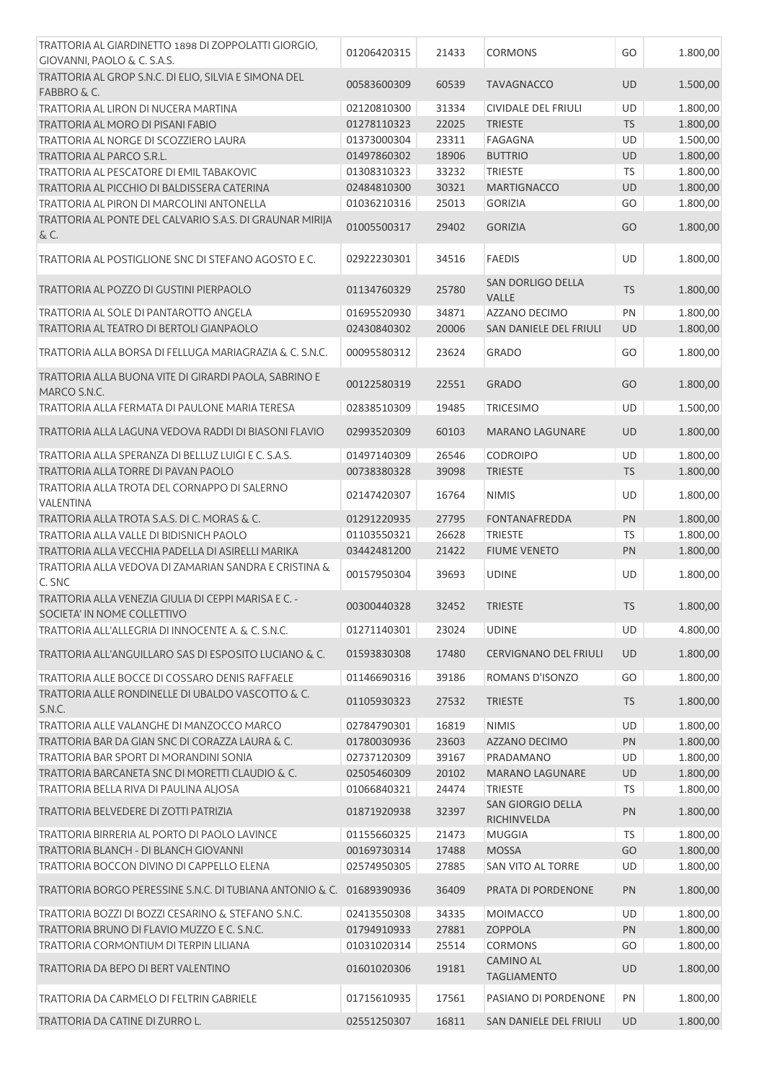| TRATTORIA AL GIARDINETTO 1898 DI ZOPPOLATTI GIORGIO,<br>GIOVANNI, PAOLO & C. S.A.S. | 01206420315 | 21433 | <b>CORMONS</b>                   | GO        | 1.800,00 |
|-------------------------------------------------------------------------------------|-------------|-------|----------------------------------|-----------|----------|
| TRATTORIA AL GROP S.N.C. DI ELIO, SILVIA E SIMONA DEL                               |             |       |                                  |           |          |
| FABBRO & C.                                                                         | 00583600309 | 60539 | <b>TAVAGNACCO</b>                | UD        | 1.500,00 |
| TRATTORIA AL LIRON DI NUCERA MARTINA                                                | 02120810300 | 31334 | CIVIDALE DEL FRIULI              | UD        | 1.800,00 |
| TRATTORIA AL MORO DI PISANI FABIO                                                   | 01278110323 | 22025 | <b>TRIESTE</b>                   | TS        | 1.800,00 |
| TRATTORIA AL NORGE DI SCOZZIERO LAURA                                               | 01373000304 | 23311 | <b>FAGAGNA</b>                   | <b>UD</b> | 1.500,00 |
| TRATTORIA AL PARCO S.R.L.                                                           | 01497860302 | 18906 | <b>BUTTRIO</b>                   | UD        | 1.800,00 |
|                                                                                     |             |       | <b>TRIESTE</b>                   |           |          |
| TRATTORIA AL PESCATORE DI EMIL TABAKOVIC                                            | 01308310323 | 33232 |                                  | TS        | 1.800,00 |
| TRATTORIA AL PICCHIO DI BALDISSERA CATERINA                                         | 02484810300 | 30321 | <b>MARTIGNACCO</b>               | UD        | 1.800,00 |
| TRATTORIA AL PIRON DI MARCOLINI ANTONELLA                                           | 01036210316 | 25013 | <b>GORIZIA</b>                   | GO        | 1.800,00 |
| TRATTORIA AL PONTE DEL CALVARIO S.A.S. DI GRAUNAR MIRIJA<br>& C.                    | 01005500317 | 29402 | <b>GORIZIA</b>                   | GO        | 1.800,00 |
| TRATTORIA AL POSTIGLIONE SNC DI STEFANO AGOSTO E C.                                 | 02922230301 | 34516 | <b>FAEDIS</b>                    | UD        | 1.800,00 |
| TRATTORIA AL POZZO DI GUSTINI PIERPAOLO                                             | 01134760329 | 25780 | SAN DORLIGO DELLA<br>VALLE       | <b>TS</b> | 1.800,00 |
| <b>TRATTORIA AL SOLE DI PANTAROTTO ANGELA</b>                                       | 01695520930 | 34871 | AZZANO DECIMO                    | PN        | 1.800,00 |
| TRATTORIA AL TEATRO DI BERTOLI GIANPAOLO                                            | 02430840302 | 20006 | SAN DANIELE DEL FRIULI           | UD        | 1.800,00 |
| TRATTORIA ALLA BORSA DI FELLUGA MARIAGRAZIA & C. S.N.C.                             | 00095580312 | 23624 | <b>GRADO</b>                     | GO        | 1.800,00 |
| TRATTORIA ALLA BUONA VITE DI GIRARDI PAOLA, SABRINO E<br>MARCO S.N.C.               | 00122580319 | 22551 | <b>GRADO</b>                     | GO        | 1.800,00 |
| TRATTORIA ALLA FERMATA DI PAULONE MARIA TERESA                                      | 02838510309 | 19485 | <b>TRICESIMO</b>                 | <b>UD</b> | 1.500,00 |
| TRATTORIA ALLA LAGUNA VEDOVA RADDI DI BIASONI FLAVIO                                | 02993520309 | 60103 | <b>MARANO LAGUNARE</b>           | UD        | 1.800,00 |
| TRATTORIA ALLA SPERANZA DI BELLUZ LUIGI E C. S.A.S.                                 | 01497140309 | 26546 | <b>CODROIPO</b>                  | UD        | 1.800,00 |
| TRATTORIA ALLA TORRE DI PAVAN PAOLO                                                 | 00738380328 | 39098 | <b>TRIESTE</b>                   | <b>TS</b> | 1.800,00 |
| TRATTORIA ALLA TROTA DEL CORNAPPO DI SALERNO                                        |             |       |                                  |           |          |
| VALENTINA                                                                           | 02147420307 | 16764 | <b>NIMIS</b>                     | UD        | 1.800,00 |
| TRATTORIA ALLA TROTA S.A.S. DI C. MORAS & C.                                        | 01291220935 | 27795 | <b>FONTANAFREDDA</b>             | PN        | 1.800,00 |
| TRATTORIA ALLA VALLE DI BIDISNICH PAOLO                                             | 01103550321 | 26628 | <b>TRIESTE</b>                   | TS        | 1.800,00 |
| TRATTORIA ALLA VECCHIA PADELLA DI ASIRELLI MARIKA                                   | 03442481200 | 21422 | <b>FIUME VENETO</b>              | PN        | 1.800,00 |
| TRATTORIA ALLA VEDOVA DI ZAMARIAN SANDRA E CRISTINA &                               | 00157950304 | 39693 | <b>UDINE</b>                     | UD        | 1.800,00 |
| C. SNC                                                                              |             |       |                                  |           |          |
| TRATTORIA ALLA VENEZIA GIULIA DI CEPPI MARISA E C. -<br>SOCIETA' IN NOME COLLETITYO | 00300440328 | 32452 | <b>TRIESTE</b>                   | <b>TS</b> | 1.800,00 |
| TRATTORIA ALL'ALLEGRIA DI INNOCENTE A. & C. S.N.C.                                  | 01271140301 | 23024 | <b>UDINE</b>                     | UD        | 4.800,00 |
| TRATTORIA ALL'ANGUILLARO SAS DI ESPOSITO LUCIANO & C.                               | 01593830308 | 17480 | <b>CERVIGNANO DEL FRIULI</b>     | <b>UD</b> | 1.800,00 |
| TRATTORIA ALLE BOCCE DI COSSARO DENIS RAFFAELE                                      | 01146690316 | 39186 | <b>ROMANS D'ISONZO</b>           | GO        | 1.800,00 |
| TRATTORIA ALLE RONDINELLE DI UBALDO VASCOTTO & C.                                   |             |       |                                  |           |          |
| S.N.C.                                                                              | 01105930323 | 27532 | <b>TRIESTE</b>                   | <b>TS</b> | 1.800,00 |
| TRATTORIA ALLE VALANGHE DI MANZOCCO MARCO                                           | 02784790301 | 16819 | <b>NIMIS</b>                     | UD        | 1.800,00 |
| TRATTORIA BAR DA GIAN SNC DI CORAZZA LAURA & C.                                     | 01780030936 | 23603 | <b>AZZANO DECIMO</b>             | PN        | 1.800,00 |
| TRATTORIA BAR SPORT DI MORANDINI SONIA                                              | 02737120309 | 39167 | PRADAMANO                        | UD        | 1.800,00 |
| TRATTORIA BARCANETA SNC DI MORETTI CLAUDIO & C.                                     | 02505460309 | 20102 | <b>MARANO LAGUNARE</b>           | UD        | 1.800,00 |
| TRATTORIA BELLA RIVA DI PAULINA ALJOSA                                              | 01066840321 | 24474 | <b>TRIESTE</b>                   | <b>TS</b> | 1.800,00 |
| TRATTORIA BELVEDERE DI ZOTTI PATRIZIA                                               | 01871920938 | 32397 | SAN GIORGIO DELLA<br>RICHINVELDA | PN        | 1.800,00 |
| TRATTORIA BIRRERIA AL PORTO DI PAOLO LAVINCE                                        | 01155660325 | 21473 | <b>MUGGIA</b>                    | <b>TS</b> | 1.800,00 |
| TRATTORIA BLANCH - DI BLANCH GIOVANNI                                               | 00169730314 | 17488 | <b>MOSSA</b>                     | GO        | 1.800,00 |
| TRATTORIA BOCCON DIVINO DI CAPPELLO ELENA                                           | 02574950305 | 27885 | SAN VITO AL TORRE                | UD        | 1.800,00 |
| TRATTORIA BORGO PERESSINE S.N.C. DI TUBIANA ANTONIO & C. 01689390936                |             | 36409 | PRATA DI PORDENONE               | PN        | 1.800,00 |
| TRATTORIA BOZZI DI BOZZI CESARINO & STEFANO S.N.C.                                  | 02413550308 | 34335 | <b>MOIMACCO</b>                  | <b>UD</b> | 1.800,00 |
| TRATTORIA BRUNO DI FLAVIO MUZZO E C. S.N.C.                                         | 01794910933 | 27881 | ZOPPOLA                          | PN        | 1.800,00 |
| TRATTORIA CORMONTIUM DI TERPIN LILIANA                                              | 01031020314 | 25514 | <b>CORMONS</b>                   | GO        | 1.800,00 |
|                                                                                     |             |       | <b>CAMINO AL</b>                 |           |          |
| TRATTORIA DA BEPO DI BERT VALENTINO                                                 | 01601020306 | 19181 | <b>TAGLIAMENTO</b>               | UD        | 1.800,00 |
| TRATTORIA DA CARMELO DI FELTRIN GABRIELE                                            | 01715610935 | 17561 | PASIANO DI PORDENONE             | PN        | 1.800,00 |
| TRATTORIA DA CATINE DI ZURRO L.                                                     | 02551250307 | 16811 | SAN DANIELE DEL FRIULI           | <b>UD</b> | 1.800,00 |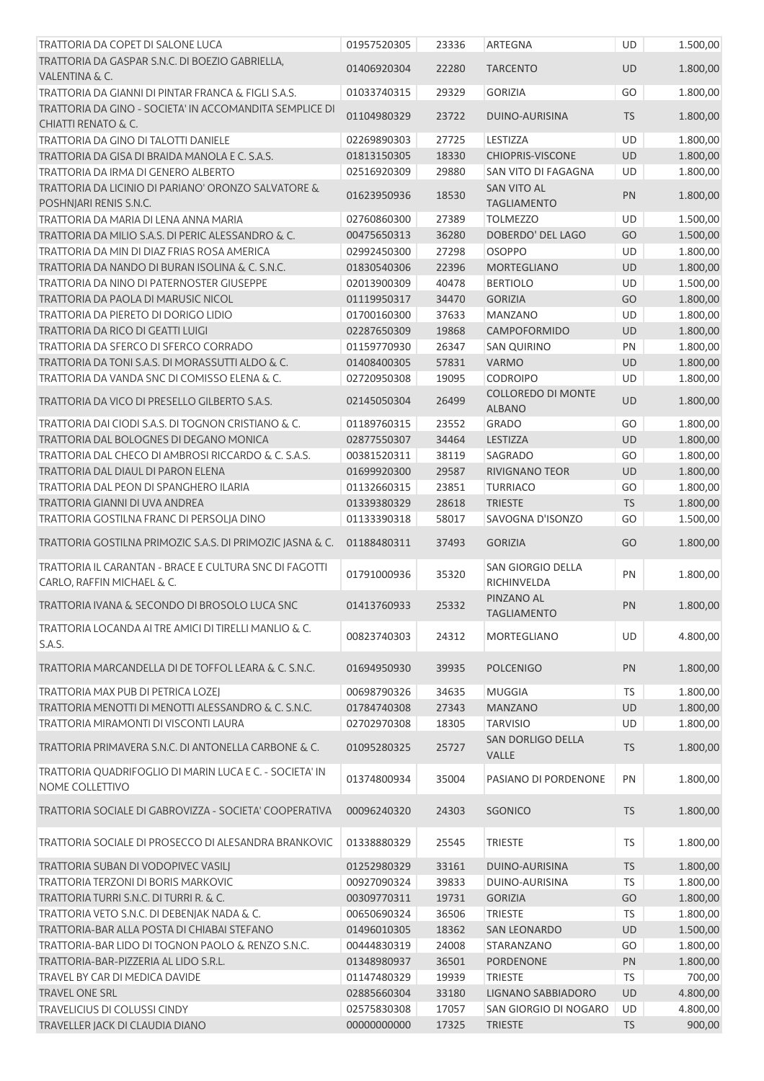| TRATTORIA DA COPET DI SALONE LUCA                                                         | 01957520305 | 23336 | <b>ARTEGNA</b>                             | UD        | 1.500,00 |
|-------------------------------------------------------------------------------------------|-------------|-------|--------------------------------------------|-----------|----------|
| TRATTORIA DA GASPAR S.N.C. DI BOEZIO GABRIELLA,                                           | 01406920304 | 22280 | <b>TARCENTO</b>                            | <b>UD</b> | 1.800,00 |
| VALENTINA & C.                                                                            |             |       |                                            |           |          |
| TRATTORIA DA GIANNI DI PINTAR FRANCA & FIGLI S.A.S.                                       | 01033740315 | 29329 | <b>GORIZIA</b>                             | GO        | 1.800,00 |
| TRATTORIA DA GINO - SOCIETA' IN ACCOMANDITA SEMPLICE DI<br><b>CHIATTI RENATO &amp; C.</b> | 01104980329 | 23722 | DUINO-AURISINA                             | <b>TS</b> | 1.800,00 |
| TRATTORIA DA GINO DI TALOTTI DANIELE                                                      | 02269890303 | 27725 | LESTIZZA                                   | <b>UD</b> | 1.800,00 |
| TRATTORIA DA GISA DI BRAIDA MANOLA E C. S.A.S.                                            | 01813150305 | 18330 | <b>CHIOPRIS-VISCONE</b>                    | UD        | 1.800,00 |
| TRATTORIA DA IRMA DI GENERO ALBERTO                                                       | 02516920309 | 29880 | SAN VITO DI FAGAGNA                        | UD        | 1.800,00 |
| TRATTORIA DA LICINIO DI PARIANO' ORONZO SALVATORE &<br>POSHNJARI RENIS S.N.C.             | 01623950936 | 18530 | <b>SAN VITO AL</b><br><b>TAGLIAMENTO</b>   | PN        | 1.800,00 |
| TRATTORIA DA MARIA DI LENA ANNA MARIA                                                     | 02760860300 | 27389 | <b>TOLMEZZO</b>                            | UD        | 1.500,00 |
| TRATTORIA DA MILIO S.A.S. DI PERIC ALESSANDRO & C.                                        | 00475650313 | 36280 | DOBERDO' DEL LAGO                          | GO        | 1.500,00 |
| TRATTORIA DA MIN DI DIAZ FRIAS ROSA AMERICA                                               | 02992450300 | 27298 | <b>OSOPPO</b>                              | <b>UD</b> | 1.800,00 |
| TRATTORIA DA NANDO DI BURAN ISOLINA & C. S.N.C.                                           | 01830540306 | 22396 | <b>MORTEGLIANO</b>                         | UD        | 1.800,00 |
| TRATTORIA DA NINO DI PATERNOSTER GIUSEPPE                                                 | 02013900309 | 40478 | <b>BERTIOLO</b>                            | UD        | 1.500,00 |
| TRATTORIA DA PAOLA DI MARUSIC NICOL                                                       | 01119950317 | 34470 | <b>GORIZIA</b>                             | GO        | 1.800,00 |
| TRATTORIA DA PIERETO DI DORIGO LIDIO                                                      | 01700160300 | 37633 | <b>MANZANO</b>                             | <b>UD</b> | 1.800,00 |
| TRATTORIA DA RICO DI GEATTI LUIGI                                                         | 02287650309 | 19868 | CAMPOFORMIDO                               | UD        | 1.800,00 |
| TRATTORIA DA SFERCO DI SFERCO CORRADO                                                     | 01159770930 | 26347 | <b>SAN QUIRINO</b>                         | PN        | 1.800,00 |
| TRATTORIA DA TONI S.A.S. DI MORASSUTTI ALDO & C.                                          | 01408400305 | 57831 | <b>VARMO</b>                               | UD        | 1.800,00 |
| TRATTORIA DA VANDA SNC DI COMISSO ELENA & C.                                              | 02720950308 | 19095 | <b>CODROIPO</b>                            | UD        | 1.800,00 |
| TRATTORIA DA VICO DI PRESELLO GILBERTO S.A.S.                                             | 02145050304 | 26499 | <b>COLLOREDO DI MONTE</b><br><b>ALBANO</b> | UD        | 1.800,00 |
| TRATTORIA DAI CIODI S.A.S. DI TOGNON CRISTIANO & C.                                       | 01189760315 | 23552 | GRADO                                      | GO        | 1.800,00 |
| TRATTORIA DAL BOLOGNES DI DEGANO MONICA                                                   | 02877550307 | 34464 | LESTIZZA                                   | UD        | 1.800,00 |
| TRATTORIA DAL CHECO DI AMBROSI RICCARDO & C. S.A.S.                                       | 00381520311 | 38119 | SAGRADO                                    | GO        | 1.800,00 |
| TRATTORIA DAL DIAUL DI PARON ELENA                                                        | 01699920300 | 29587 | <b>RIVIGNANO TEOR</b>                      | UD        | 1.800,00 |
| TRATTORIA DAL PEON DI SPANGHERO ILARIA                                                    | 01132660315 | 23851 | <b>TURRIACO</b>                            | GO        | 1.800,00 |
| TRATTORIA GIANNI DI UVA ANDREA                                                            | 01339380329 | 28618 | <b>TRIESTE</b>                             | <b>TS</b> | 1.800,00 |
| TRATTORIA GOSTILNA FRANC DI PERSOLJA DINO                                                 | 01133390318 | 58017 | SAVOGNA D'ISONZO                           | GO        | 1.500,00 |
| TRATTORIA GOSTILNA PRIMOZIC S.A.S. DI PRIMOZIC JASNA & C.                                 | 01188480311 | 37493 | <b>GORIZIA</b>                             | GO        | 1.800,00 |
| TRATTORIA IL CARANTAN - BRACE E CULTURA SNC DI FAGOTTI<br>CARLO, RAFFIN MICHAEL & C.      | 01791000936 | 35320 | SAN GIORGIO DELLA<br>RICHINVELDA           | PN        | 1.800,00 |
| TRATTORIA IVANA & SECONDO DI BROSOLO LUCA SNC                                             | 01413760933 | 25332 | PINZANO AL<br><b>TAGLIAMENTO</b>           | PN        | 1.800,00 |
| TRATTORIA LOCANDA AI TRE AMICI DI TIRELLI MANLIO & C.                                     |             |       |                                            |           |          |
| S.A.S.                                                                                    | 00823740303 | 24312 | <b>MORTEGLIANO</b>                         | <b>UD</b> | 4.800,00 |
| TRATTORIA MARCANDELLA DI DE TOFFOL LEARA & C. S.N.C.                                      | 01694950930 | 39935 | <b>POLCENIGO</b>                           | PN        | 1.800,00 |
| TRATTORIA MAX PUB DI PETRICA LOZEJ                                                        | 00698790326 | 34635 | <b>MUGGIA</b>                              | <b>TS</b> | 1.800,00 |
| TRATTORIA MENOTTI DI MENOTTI ALESSANDRO & C. S.N.C.                                       | 01784740308 | 27343 | <b>MANZANO</b>                             | UD        | 1.800,00 |
| TRATTORIA MIRAMONTI DI VISCONTI LAURA                                                     | 02702970308 | 18305 | <b>TARVISIO</b>                            | UD        | 1.800,00 |
| TRATTORIA PRIMAVERA S.N.C. DI ANTONELLA CARBONE & C.                                      | 01095280325 | 25727 | <b>SAN DORLIGO DELLA</b><br><b>VALLE</b>   | <b>TS</b> | 1.800,00 |
| TRATTORIA QUADRIFOGLIO DI MARIN LUCA E C. - SOCIETA' IN<br>NOME COLLETTIVO                | 01374800934 | 35004 | PASIANO DI PORDENONE                       | PN        | 1.800,00 |
| TRATTORIA SOCIALE DI GABROVIZZA - SOCIETA' COOPERATIVA                                    | 00096240320 | 24303 | <b>SGONICO</b>                             | <b>TS</b> | 1.800,00 |
| TRATTORIA SOCIALE DI PROSECCO DI ALESANDRA BRANKOVIC                                      | 01338880329 | 25545 | <b>TRIESTE</b>                             | <b>TS</b> | 1.800,00 |
| TRATTORIA SUBAN DI VODOPIVEC VASILJ                                                       | 01252980329 | 33161 | DUINO-AURISINA                             | <b>TS</b> | 1.800,00 |
| TRATTORIA TERZONI DI BORIS MARKOVIC                                                       | 00927090324 | 39833 | DUINO-AURISINA                             | TS        | 1.800,00 |
| TRATTORIA TURRI S.N.C. DI TURRI R. & C.                                                   | 00309770311 | 19731 | <b>GORIZIA</b>                             | GO        | 1.800,00 |
| TRATTORIA VETO S.N.C. DI DEBENJAK NADA & C.                                               | 00650690324 | 36506 | <b>TRIESTE</b>                             | <b>TS</b> | 1.800,00 |
| TRATTORIA-BAR ALLA POSTA DI CHIABAI STEFANO                                               | 01496010305 | 18362 | <b>SAN LEONARDO</b>                        | UD        | 1.500,00 |
| TRATTORIA-BAR LIDO DI TOGNON PAOLO & RENZO S.N.C.                                         | 00444830319 | 24008 | STARANZANO                                 | GO        | 1.800,00 |
| TRATTORIA-BAR-PIZZERIA AL LIDO S.R.L.                                                     | 01348980937 | 36501 | <b>PORDENONE</b>                           | PN        | 1.800,00 |
| TRAVEL BY CAR DI MEDICA DAVIDE                                                            | 01147480329 | 19939 | <b>TRIESTE</b>                             | <b>TS</b> | 700,00   |
| <b>TRAVEL ONE SRL</b>                                                                     | 02885660304 | 33180 | LIGNANO SABBIADORO                         | <b>UD</b> | 4.800,00 |
| <b>TRAVELICIUS DI COLUSSI CINDY</b>                                                       | 02575830308 | 17057 | SAN GIORGIO DI NOGARO                      | UD        | 4.800,00 |
| TRAVELLER JACK DI CLAUDIA DIANO                                                           | 00000000000 | 17325 | <b>TRIESTE</b>                             | <b>TS</b> | 900,00   |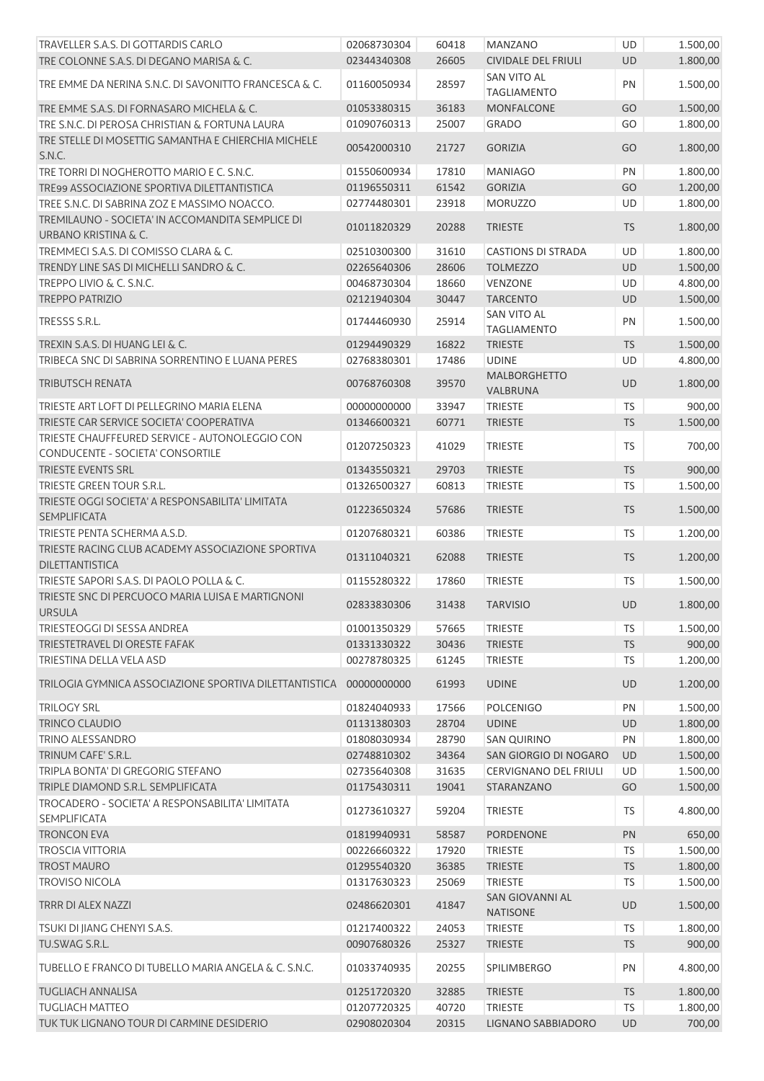| TRAVELLER S.A.S. DI GOTTARDIS CARLO                                                 | 02068730304 | 60418 | <b>MANZANO</b>                            | UD        | 1.500,00 |
|-------------------------------------------------------------------------------------|-------------|-------|-------------------------------------------|-----------|----------|
| TRE COLONNE S.A.S. DI DEGANO MARISA & C.                                            | 02344340308 | 26605 | <b>CIVIDALE DEL FRIULI</b>                | <b>UD</b> | 1.800,00 |
| TRE EMME DA NERINA S.N.C. DI SAVONITTO FRANCESCA & C.                               | 01160050934 | 28597 | SAN VITO AL<br><b>TAGLIAMENTO</b>         | PN        | 1.500,00 |
| TRE EMME S.A.S. DI FORNASARO MICHELA & C.                                           | 01053380315 | 36183 | <b>MONFALCONE</b>                         | GO        | 1.500,00 |
| TRE S.N.C. DI PEROSA CHRISTIAN & FORTUNA LAURA                                      | 01090760313 | 25007 | <b>GRADO</b>                              | GO        | 1.800,00 |
| TRE STELLE DI MOSETTIG SAMANTHA E CHIERCHIA MICHELE<br>S.N.C.                       | 00542000310 | 21727 | <b>GORIZIA</b>                            | GO        | 1.800,00 |
| TRE TORRI DI NOGHEROTTO MARIO E C. S.N.C.                                           | 01550600934 | 17810 | <b>MANIAGO</b>                            | PN        | 1.800,00 |
| TRE99 ASSOCIAZIONE SPORTIVA DILETTANTISTICA                                         | 01196550311 | 61542 | <b>GORIZIA</b>                            | GO        | 1.200,00 |
| TREE S.N.C. DI SABRINA ZOZ E MASSIMO NOACCO.                                        | 02774480301 | 23918 | <b>MORUZZO</b>                            | UD        | 1.800,00 |
| TREMILAUNO - SOCIETA' IN ACCOMANDITA SEMPLICE DI<br><b>URBANO KRISTINA &amp; C.</b> | 01011820329 | 20288 | <b>TRIESTE</b>                            | <b>TS</b> | 1.800,00 |
| TREMMECI S.A.S. DI COMISSO CLARA & C.                                               | 02510300300 | 31610 | <b>CASTIONS DI STRADA</b>                 | UD        | 1.800,00 |
| TRENDY LINE SAS DI MICHELLI SANDRO & C.                                             | 02265640306 | 28606 | <b>TOLMEZZO</b>                           | UD        | 1.500,00 |
| TREPPO LIVIO & C. S.N.C.                                                            | 00468730304 | 18660 | <b>VENZONE</b>                            | UD        | 4.800,00 |
| <b>TREPPO PATRIZIO</b>                                                              | 02121940304 | 30447 | <b>TARCENTO</b>                           | <b>UD</b> | 1.500,00 |
| TRESSS S.R.L.                                                                       | 01744460930 | 25914 | SAN VITO AL<br><b>TAGLIAMENTO</b>         | PN        | 1.500,00 |
| TREXIN S.A.S. DI HUANG LEI & C.                                                     | 01294490329 | 16822 | <b>TRIESTE</b>                            | <b>TS</b> | 1.500,00 |
| TRIBECA SNC DI SABRINA SORRENTINO E LUANA PERES                                     | 02768380301 | 17486 | <b>UDINE</b>                              | UD        | 4.800,00 |
| <b>TRIBUTSCH RENATA</b>                                                             | 00768760308 | 39570 | <b>MALBORGHETTO</b><br>VALBRUNA           | <b>UD</b> | 1.800,00 |
| TRIESTE ART LOFT DI PELLEGRINO MARIA ELENA                                          | 00000000000 | 33947 | <b>TRIESTE</b>                            | <b>TS</b> | 900,00   |
| TRIESTE CAR SERVICE SOCIETA' COOPERATIVA                                            | 01346600321 | 60771 | <b>TRIESTE</b>                            | <b>TS</b> | 1.500,00 |
| TRIESTE CHAUFFEURED SERVICE - AUTONOLEGGIO CON<br>CONDUCENTE - SOCIETA' CONSORTILE  | 01207250323 | 41029 | <b>TRIESTE</b>                            | TS        | 700,00   |
| TRIESTE EVENTS SRL                                                                  | 01343550321 | 29703 | <b>TRIESTE</b>                            | <b>TS</b> | 900,00   |
| TRIESTE GREEN TOUR S.R.L.                                                           | 01326500327 | 60813 | <b>TRIESTE</b>                            | TS        | 1.500,00 |
| TRIESTE OGGI SOCIETA' A RESPONSABILITA' LIMITATA<br><b>SEMPLIFICATA</b>             | 01223650324 | 57686 | <b>TRIESTE</b>                            | <b>TS</b> | 1.500,00 |
| TRIESTE PENTA SCHERMA A.S.D.                                                        | 01207680321 | 60386 | <b>TRIESTE</b>                            | TS        | 1.200,00 |
| TRIESTE RACING CLUB ACADEMY ASSOCIAZIONE SPORTIVA<br><b>DILETTANTISTICA</b>         | 01311040321 | 62088 | <b>TRIESTE</b>                            | TS        | 1.200,00 |
| TRIESTE SAPORI S.A.S. DI PAOLO POLLA & C.                                           | 01155280322 | 17860 | <b>TRIESTE</b>                            | <b>TS</b> | 1.500,00 |
| TRIESTE SNC DI PERCUOCO MARIA LUISA E MARTIGNONI<br><b>URSULA</b>                   | 02833830306 | 31438 | <b>TARVISIO</b>                           | <b>UD</b> | 1.800,00 |
| TRIESTEOGGI DI SESSA ANDREA                                                         | 01001350329 | 57665 | <b>TRIESTE</b>                            | TS        | 1.500,00 |
| TRIESTETRAVEL DI ORESTE FAFAK                                                       | 01331330322 | 30436 | <b>TRIESTE</b>                            | <b>TS</b> | 900,00   |
| TRIESTINA DELLA VELA ASD                                                            | 00278780325 | 61245 | <b>TRIESTE</b>                            | <b>TS</b> | 1.200,00 |
| TRILOGIA GYMNICA ASSOCIAZIONE SPORTIVA DILETTANTISTICA                              | 00000000000 | 61993 | <b>UDINE</b>                              | UD        | 1.200,00 |
| <b>TRILOGY SRL</b>                                                                  | 01824040933 | 17566 | <b>POLCENIGO</b>                          | PN        | 1.500,00 |
| <b>TRINCO CLAUDIO</b>                                                               | 01131380303 | 28704 | <b>UDINE</b>                              | UD        | 1.800,00 |
| TRINO ALESSANDRO                                                                    | 01808030934 | 28790 | <b>SAN QUIRINO</b>                        | PN        | 1.800,00 |
| TRINUM CAFE' S.R.L.                                                                 | 02748810302 | 34364 | SAN GIORGIO DI NOGARO                     | UD        | 1.500,00 |
| TRIPLA BONTA' DI GREGORIG STEFANO                                                   | 02735640308 | 31635 | <b>CERVIGNANO DEL FRIULI</b>              | UD        | 1.500,00 |
| TRIPLE DIAMOND S.R.L. SEMPLIFICATA                                                  | 01175430311 | 19041 | STARANZANO                                | GO        | 1.500,00 |
| TROCADERO - SOCIETA' A RESPONSABILITA' LIMITATA<br>SEMPLIFICATA                     | 01273610327 | 59204 | <b>TRIESTE</b>                            | TS        | 4.800,00 |
| <b>TRONCON EVA</b>                                                                  | 01819940931 | 58587 | <b>PORDENONE</b>                          | PN        | 650,00   |
| <b>TROSCIA VITTORIA</b>                                                             | 00226660322 | 17920 | <b>TRIESTE</b>                            | TS        | 1.500,00 |
| <b>TROST MAURO</b>                                                                  | 01295540320 | 36385 | <b>TRIESTE</b>                            | <b>TS</b> | 1.800,00 |
| <b>TROVISO NICOLA</b>                                                               | 01317630323 | 25069 | <b>TRIESTE</b>                            | <b>TS</b> | 1.500,00 |
| TRRR DI ALEX NAZZI                                                                  | 02486620301 | 41847 | <b>SAN GIOVANNI AL</b><br><b>NATISONE</b> | UD        | 1.500,00 |
| TSUKI DI JIANG CHENYI S.A.S.                                                        | 01217400322 | 24053 | <b>TRIESTE</b>                            | <b>TS</b> | 1.800,00 |
| TU.SWAG S.R.L.                                                                      | 00907680326 | 25327 | <b>TRIESTE</b>                            | <b>TS</b> | 900,00   |
| TUBELLO E FRANCO DI TUBELLO MARIA ANGELA & C. S.N.C.                                | 01033740935 | 20255 | SPILIMBERGO                               | PN        | 4.800,00 |
| <b>TUGLIACH ANNALISA</b>                                                            | 01251720320 | 32885 | <b>TRIESTE</b>                            | <b>TS</b> | 1.800,00 |
| <b>TUGLIACH MATTEO</b>                                                              | 01207720325 | 40720 | <b>TRIESTE</b>                            | TS        | 1.800,00 |
| TUK TUK LIGNANO TOUR DI CARMINE DESIDERIO                                           | 02908020304 | 20315 | LIGNANO SABBIADORO                        | UD        | 700,00   |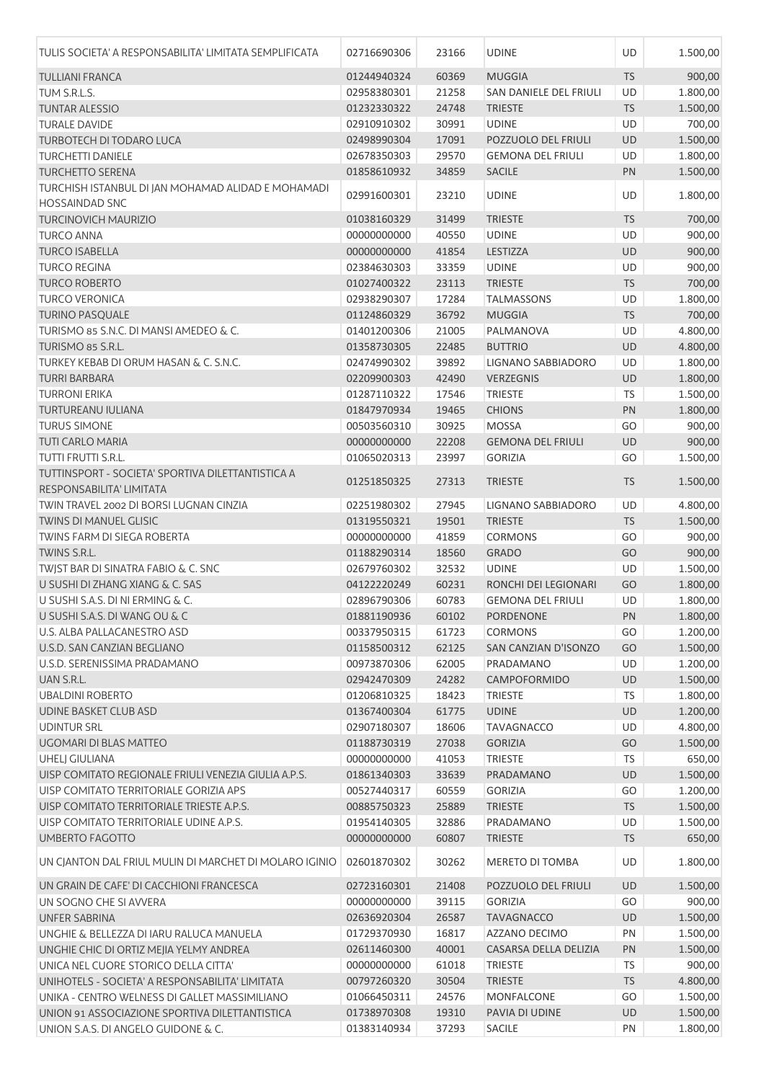| TULIS SOCIETA' A RESPONSABILITA' LIMITATA SEMPLIFICATA                      | 02716690306 | 23166 | <b>UDINE</b>              | UD        | 1.500,00 |
|-----------------------------------------------------------------------------|-------------|-------|---------------------------|-----------|----------|
| <b>TULLIANI FRANCA</b>                                                      | 01244940324 | 60369 | <b>MUGGIA</b>             | <b>TS</b> | 900,00   |
| TUM S.R.L.S.                                                                | 02958380301 | 21258 | SAN DANIELE DEL FRIULI    | UD        | 1.800,00 |
| <b>TUNTAR ALESSIO</b>                                                       | 01232330322 | 24748 | <b>TRIESTE</b>            | <b>TS</b> | 1.500,00 |
| <b>TURALE DAVIDE</b>                                                        | 02910910302 | 30991 | <b>UDINE</b>              | UD        | 700,00   |
| <b>TURBOTECH DI TODARO LUCA</b>                                             | 02498990304 | 17091 | POZZUOLO DEL FRIULI       | UD        | 1.500,00 |
| <b>TURCHETTI DANIELE</b>                                                    | 02678350303 | 29570 | <b>GEMONA DEL FRIULI</b>  | UD        | 1.800,00 |
| <b>TURCHETTO SERENA</b>                                                     | 01858610932 | 34859 | <b>SACILE</b>             | PN        | 1.500,00 |
| TURCHISH ISTANBUL DI JAN MOHAMAD ALIDAD E MOHAMADI<br><b>HOSSAINDAD SNC</b> | 02991600301 | 23210 | <b>UDINE</b>              | <b>UD</b> | 1.800,00 |
| <b>TURCINOVICH MAURIZIO</b>                                                 | 01038160329 | 31499 | <b>TRIESTE</b>            | <b>TS</b> | 700,00   |
| <b>TURCO ANNA</b>                                                           | 00000000000 | 40550 | <b>UDINE</b>              | UD        | 900,00   |
| <b>TURCO ISABELLA</b>                                                       | 00000000000 | 41854 | LESTIZZA                  | UD        | 900,00   |
| <b>TURCO REGINA</b>                                                         | 02384630303 | 33359 | <b>UDINE</b>              | UD        | 900,00   |
| <b>TURCO ROBERTO</b>                                                        | 01027400322 | 23113 | <b>TRIESTE</b>            | <b>TS</b> | 700,00   |
| <b>TURCO VERONICA</b>                                                       | 02938290307 | 17284 | <b>TALMASSONS</b>         | UD        | 1.800,00 |
| <b>TURINO PASQUALE</b>                                                      | 01124860329 | 36792 | <b>MUGGIA</b>             | <b>TS</b> | 700,00   |
| TURISMO 85 S.N.C. DI MANSI AMEDEO & C.                                      | 01401200306 | 21005 | PALMANOVA                 | UD        | 4.800,00 |
| TURISMO 85 S.R.L.                                                           | 01358730305 | 22485 | <b>BUTTRIO</b>            | UD        | 4.800,00 |
| TURKEY KEBAB DI ORUM HASAN & C. S.N.C.                                      | 02474990302 | 39892 | <b>LIGNANO SABBIADORO</b> | UD        | 1.800,00 |
| <b>TURRI BARBARA</b>                                                        | 02209900303 | 42490 | VERZEGNIS                 | UD        | 1.800,00 |
| <b>TURRONI ERIKA</b>                                                        | 01287110322 | 17546 | <b>TRIESTE</b>            | <b>TS</b> | 1.500,00 |
| TURTUREANU IULIANA                                                          | 01847970934 | 19465 | <b>CHIONS</b>             | PN        | 1.800,00 |
| <b>TURUS SIMONE</b>                                                         |             |       |                           | GO        |          |
|                                                                             | 00503560310 | 30925 | <b>MOSSA</b>              |           | 900,00   |
| <b>TUTI CARLO MARIA</b>                                                     | 00000000000 | 22208 | <b>GEMONA DEL FRIULI</b>  | <b>UD</b> | 900,00   |
| TUTTI FRUTTI S.R.L.<br>TUTTINSPORT - SOCIETA' SPORTIVA DILETTANTISTICA A    | 01065020313 | 23997 | <b>GORIZIA</b>            | GO        | 1.500,00 |
| RESPONSABILITA' LIMITATA                                                    | 01251850325 | 27313 | <b>TRIESTE</b>            | <b>TS</b> | 1.500,00 |
| TWIN TRAVEL 2002 DI BORSI LUGNAN CINZIA                                     | 02251980302 | 27945 | LIGNANO SABBIADORO        | <b>UD</b> | 4.800,00 |
| TWINS DI MANUEL GLISIC                                                      | 01319550321 | 19501 | <b>TRIESTE</b>            | <b>TS</b> | 1.500,00 |
| <b>TWINS FARM DI SIEGA ROBERTA</b>                                          | 00000000000 | 41859 | <b>CORMONS</b>            | GO        | 900,00   |
| TWINS S.R.L.                                                                | 01188290314 | 18560 | <b>GRADO</b>              | GO        | 900,00   |
| TWJST BAR DI SINATRA FABIO & C. SNC                                         | 02679760302 | 32532 | <b>UDINE</b>              | UD        | 1.500,00 |
| U SUSHI DI ZHANG XIANG & C. SAS                                             | 04122220249 | 60231 | RONCHI DEI LEGIONARI      | GO        | 1.800,00 |
| U SUSHI S.A.S. DI NI ERMING & C.                                            | 02896790306 | 60783 | <b>GEMONA DEL FRIULI</b>  | UD        | 1.800,00 |
| U SUSHI S.A.S. DI WANG OU & C                                               | 01881190936 |       | 60102 PORDENONE           | PN        | 1.800,00 |
| U.S. ALBA PALLACANESTRO ASD                                                 | 00337950315 | 61723 | <b>CORMONS</b>            | GO        | 1.200,00 |
| U.S.D. SAN CANZIAN BEGLIANO                                                 | 01158500312 | 62125 | SAN CANZIAN D'ISONZO      | GO        | 1.500,00 |
| U.S.D. SERENISSIMA PRADAMANO                                                | 00973870306 | 62005 | PRADAMANO                 | UD        | 1.200,00 |
| UAN S.R.L.                                                                  | 02942470309 | 24282 | <b>CAMPOFORMIDO</b>       | UD        | 1.500,00 |
| <b>UBALDINI ROBERTO</b>                                                     | 01206810325 | 18423 | <b>TRIESTE</b>            | TS        | 1.800,00 |
| UDINE BASKET CLUB ASD                                                       | 01367400304 | 61775 | <b>UDINE</b>              | UD        | 1.200,00 |
| <b>UDINTUR SRL</b>                                                          | 02907180307 | 18606 | <b>TAVAGNACCO</b>         | <b>UD</b> | 4.800,00 |
| UGOMARI DI BLAS MATTEO                                                      | 01188730319 | 27038 | <b>GORIZIA</b>            | GO        | 1.500,00 |
| <b>UHELI GIULIANA</b>                                                       | 00000000000 | 41053 | <b>TRIESTE</b>            | <b>TS</b> | 650,00   |
| UISP COMITATO REGIONALE FRIULI VENEZIA GIULIA A.P.S.                        | 01861340303 | 33639 | PRADAMANO                 | UD        | 1.500,00 |
| UISP COMITATO TERRITORIALE GORIZIA APS                                      | 00527440317 | 60559 | <b>GORIZIA</b>            | GO        | 1.200,00 |
| UISP COMITATO TERRITORIALE TRIESTE A.P.S.                                   | 00885750323 | 25889 | <b>TRIESTE</b>            | <b>TS</b> | 1.500,00 |
| UISP COMITATO TERRITORIALE UDINE A.P.S.                                     | 01954140305 | 32886 | PRADAMANO                 | UD        | 1.500,00 |
| <b>UMBERTO FAGOTTO</b>                                                      | 00000000000 | 60807 | <b>TRIESTE</b>            | <b>TS</b> | 650,00   |
| UN CIANTON DAL FRIUL MULIN DI MARCHET DI MOLARO IGINIO                      | 02601870302 | 30262 | MERETO DI TOMBA           | <b>UD</b> | 1.800,00 |
| UN GRAIN DE CAFE' DI CACCHIONI FRANCESCA                                    | 02723160301 | 21408 | POZZUOLO DEL FRIULI       | <b>UD</b> | 1.500,00 |
| UN SOGNO CHE SI AVVERA                                                      | 00000000000 | 39115 | <b>GORIZIA</b>            | GO        | 900,00   |
| <b>UNFER SABRINA</b>                                                        | 02636920304 | 26587 | <b>TAVAGNACCO</b>         | UD        | 1.500,00 |
| UNGHIE & BELLEZZA DI IARU RALUCA MANUELA                                    | 01729370930 | 16817 | AZZANO DECIMO             | PN        | 1.500,00 |
| UNGHIE CHIC DI ORTIZ MEJIA YELMY ANDREA                                     | 02611460300 | 40001 | CASARSA DELLA DELIZIA     | PN        | 1.500,00 |
| UNICA NEL CUORE STORICO DELLA CITTA'                                        | 00000000000 | 61018 | <b>TRIESTE</b>            | <b>TS</b> | 900,00   |
| UNIHOTELS - SOCIETA' A RESPONSABILITA' LIMITATA                             | 00797260320 | 30504 | <b>TRIESTE</b>            | <b>TS</b> | 4.800,00 |
| UNIKA - CENTRO WELNESS DI GALLET MASSIMILIANO                               | 01066450311 | 24576 | <b>MONFALCONE</b>         | GO        | 1.500,00 |
| UNION 91 ASSOCIAZIONE SPORTIVA DILETTANTISTICA                              | 01738970308 | 19310 | PAVIA DI UDINE            | <b>UD</b> | 1.500,00 |
| UNION S.A.S. DI ANGELO GUIDONE & C.                                         | 01383140934 | 37293 | <b>SACILE</b>             | PN        | 1.800,00 |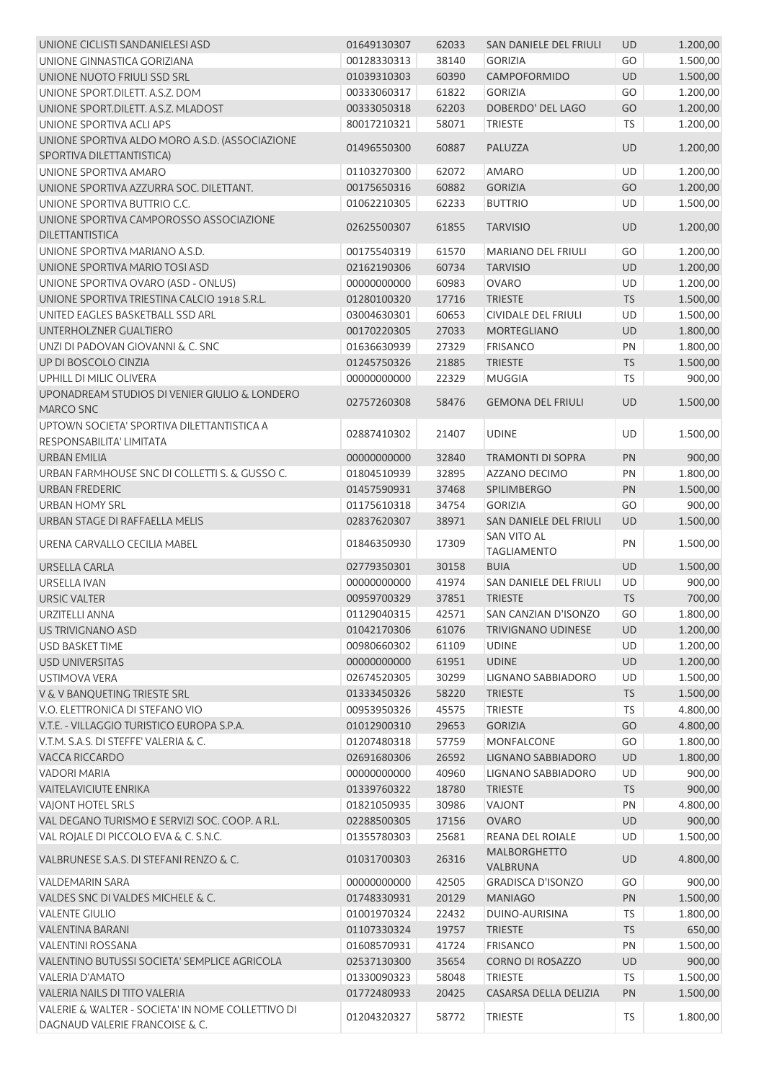| UNIONE CICLISTI SANDANIELESI ASD                                                   | 01649130307                | 62033          | SAN DANIELE DEL FRIULI                  | <b>UD</b> | 1.200,00             |
|------------------------------------------------------------------------------------|----------------------------|----------------|-----------------------------------------|-----------|----------------------|
| UNIONE GINNASTICA GORIZIANA                                                        | 00128330313                | 38140          | <b>GORIZIA</b>                          | GO        | 1.500,00             |
| UNIONE NUOTO FRIULI SSD SRL                                                        | 01039310303                | 60390          | CAMPOFORMIDO                            | <b>UD</b> | 1.500,00             |
| UNIONE SPORT.DILETT. A.S.Z. DOM                                                    | 00333060317                | 61822          | <b>GORIZIA</b>                          | GO        | 1.200,00             |
| UNIONE SPORT.DILETT. A.S.Z. MLADOST                                                | 00333050318                | 62203          | DOBERDO' DEL LAGO                       | GO        | 1.200,00             |
| UNIONE SPORTIVA ACLI APS                                                           | 80017210321                | 58071          | <b>TRIESTE</b>                          | <b>TS</b> | 1.200,00             |
| UNIONE SPORTIVA ALDO MORO A.S.D. (ASSOCIAZIONE                                     |                            |                |                                         |           |                      |
| SPORTIVA DILETTANTISTICA)                                                          | 01496550300                | 60887          | PALUZZA                                 | <b>UD</b> | 1.200,00             |
| UNIONE SPORTIVA AMARO                                                              | 01103270300                | 62072          | <b>AMARO</b>                            | UD        | 1.200,00             |
| UNIONE SPORTIVA AZZURRA SOC. DILETTANT.                                            | 00175650316                | 60882          | <b>GORIZIA</b>                          | GO        | 1.200,00             |
| UNIONE SPORTIVA BUTTRIO C.C.                                                       | 01062210305                | 62233          | <b>BUTTRIO</b>                          | UD        | 1.500,00             |
| UNIONE SPORTIVA CAMPOROSSO ASSOCIAZIONE                                            |                            |                |                                         |           |                      |
| <b>DILETTANTISTICA</b>                                                             | 02625500307                | 61855          | <b>TARVISIO</b>                         | <b>UD</b> | 1.200,00             |
| UNIONE SPORTIVA MARIANO A.S.D.                                                     | 00175540319                | 61570          | <b>MARIANO DEL FRIULI</b>               | GO        | 1.200,00             |
| UNIONE SPORTIVA MARIO TOSI ASD                                                     | 02162190306                | 60734          | <b>TARVISIO</b>                         | UD        | 1.200,00             |
| UNIONE SPORTIVA OVARO (ASD - ONLUS)                                                | 00000000000                | 60983          | <b>OVARO</b>                            | UD        | 1.200,00             |
| UNIONE SPORTIVA TRIESTINA CALCIO 1918 S.R.L.                                       | 01280100320                | 17716          | <b>TRIESTE</b>                          | <b>TS</b> | 1.500,00             |
| UNITED EAGLES BASKETBALL SSD ARL                                                   | 03004630301                | 60653          | CIVIDALE DEL FRIULI                     | UD        | 1.500,00             |
| UNTERHOLZNER GUALTIERO                                                             | 00170220305                | 27033          | <b>MORTEGLIANO</b>                      | UD        | 1.800,00             |
| UNZI DI PADOVAN GIOVANNI & C. SNC                                                  | 01636630939                | 27329          | <b>FRISANCO</b>                         | PN        | 1.800,00             |
|                                                                                    |                            |                |                                         |           |                      |
| UP DI BOSCOLO CINZIA                                                               | 01245750326                | 21885          | <b>TRIESTE</b>                          | <b>TS</b> | 1.500,00             |
| UPHILL DI MILIC OLIVERA                                                            | 00000000000                | 22329          | <b>MUGGIA</b>                           | <b>TS</b> | 900,00               |
| UPONADREAM STUDIOS DI VENIER GIULIO & LONDERO<br>MARCO SNC                         | 02757260308                | 58476          | <b>GEMONA DEL FRIULI</b>                | <b>UD</b> | 1.500,00             |
| UPTOWN SOCIETA' SPORTIVA DILETTANTISTICA A<br>RESPONSABILITA' LIMITATA             | 02887410302                | 21407          | <b>UDINE</b>                            | <b>UD</b> | 1.500,00             |
| <b>URBAN EMILIA</b>                                                                | 00000000000                | 32840          | <b>TRAMONTI DI SOPRA</b>                | PN        | 900,00               |
| URBAN FARMHOUSE SNC DI COLLETTI S. & GUSSO C.                                      | 01804510939                | 32895          | AZZANO DECIMO                           | PN        | 1.800,00             |
| <b>URBAN FREDERIC</b>                                                              | 01457590931                | 37468          | SPILIMBERGO                             | PN        | 1.500,00             |
| <b>URBAN HOMY SRL</b>                                                              | 01175610318                | 34754          | <b>GORIZIA</b>                          | GO        | 900,00               |
| URBAN STAGE DI RAFFAELLA MELIS                                                     | 02837620307                | 38971          | SAN DANIELE DEL FRIULI                  | <b>UD</b> | 1.500,00             |
| URENA CARVALLO CECILIA MABEL                                                       | 01846350930                | 17309          | <b>SAN VITO AL</b>                      | PN        | 1.500,00             |
|                                                                                    |                            |                | <b>TAGLIAMENTO</b>                      |           |                      |
| <b>URSELLA CARLA</b>                                                               | 02779350301                | 30158          | <b>BUIA</b>                             | UD        | 1.500,00             |
| <b>URSELLA IVAN</b>                                                                | 00000000000                | 41974          | SAN DANIELE DEL FRIULI                  | UD        | 900,00               |
| <b>URSIC VALTER</b>                                                                | 00959700329                | 37851          | <b>TRIESTE</b>                          | <b>TS</b> | 700,00               |
| URZITELLI ANNA                                                                     | 01129040315                | 42571          | SAN CANZIAN D'ISONZO                    | GO        | 1.800,00             |
| US TRIVIGNANO ASD                                                                  | 01042170306                | 61076          | <b>TRIVIGNANO UDINESE</b>               | UD        | 1.200,00             |
| <b>USD BASKET TIME</b>                                                             | 00980660302                | 61109          | <b>UDINE</b>                            | UD        | 1.200,00             |
| <b>USD UNIVERSITAS</b>                                                             | 00000000000                | 61951          | <b>UDINE</b>                            | <b>UD</b> | 1.200,00             |
| <b>USTIMOVA VERA</b>                                                               | 02674520305                | 30299          | LIGNANO SABBIADORO                      | UD        | 1.500,00             |
| V & V BANQUETING TRIESTE SRL                                                       | 01333450326                | 58220          | <b>TRIESTE</b>                          | <b>TS</b> | 1.500,00             |
| V.O. ELETTRONICA DI STEFANO VIO                                                    | 00953950326                | 45575          | <b>TRIESTE</b>                          | TS        | 4.800,00             |
| V.T.E. - VILLAGGIO TURISTICO EUROPA S.P.A.                                         | 01012900310                | 29653          | <b>GORIZIA</b>                          | GO        | 4.800,00             |
| V.T.M. S.A.S. DI STEFFE' VALERIA & C.                                              | 01207480318                | 57759          | <b>MONFALCONE</b>                       | GO        | 1.800,00             |
| <b>VACCA RICCARDO</b>                                                              | 02691680306                | 26592          | LIGNANO SABBIADORO                      | UD        | 1.800,00             |
| <b>VADORI MARIA</b>                                                                | 00000000000                |                | LIGNANO SABBIADORO                      | UD        | 900,00               |
| <b>VAITELAVICIUTE ENRIKA</b>                                                       |                            | 40960          |                                         |           |                      |
| <b>VAJONT HOTEL SRLS</b>                                                           | 01339760322                | 18780          | <b>TRIESTE</b>                          | <b>TS</b> |                      |
|                                                                                    | 01821050935                |                | VAJONT                                  | PN        | 900,00               |
|                                                                                    |                            | 30986          |                                         |           | 4.800,00             |
| VAL DEGANO TURISMO E SERVIZI SOC. COOP. A R.L.                                     | 02288500305                | 17156          | <b>OVARO</b>                            | UD        | 900,00               |
| VAL ROJALE DI PICCOLO EVA & C. S.N.C.<br>VALBRUNESE S.A.S. DI STEFANI RENZO & C.   | 01355780303<br>01031700303 | 25681<br>26316 | REANA DEL ROIALE<br><b>MALBORGHETTO</b> | UD<br>UD  | 1.500,00<br>4.800,00 |
|                                                                                    |                            |                | VALBRUNA                                |           |                      |
| <b>VALDEMARIN SARA</b>                                                             | 00000000000                | 42505          | <b>GRADISCA D'ISONZO</b>                | GO        | 900,00               |
| VALDES SNC DI VALDES MICHELE & C.                                                  | 01748330931                | 20129          | <b>MANIAGO</b>                          | PN        | 1.500,00             |
| <b>VALENTE GIULIO</b>                                                              | 01001970324                | 22432          | DUINO-AURISINA                          | <b>TS</b> | 1.800,00             |
| <b>VALENTINA BARANI</b>                                                            | 01107330324                | 19757          | <b>TRIESTE</b>                          | <b>TS</b> | 650,00               |
| <b>VALENTINI ROSSANA</b>                                                           | 01608570931                | 41724          | <b>FRISANCO</b>                         | PN        | 1.500,00             |
| VALENTINO BUTUSSI SOCIETA' SEMPLICE AGRICOLA                                       | 02537130300                | 35654          | CORNO DI ROSAZZO                        | <b>UD</b> | 900,00               |
| VALERIA D'AMATO                                                                    | 01330090323                | 58048          | <b>TRIESTE</b>                          | <b>TS</b> | 1.500,00             |
| VALERIA NAILS DI TITO VALERIA<br>VALERIE & WALTER - SOCIETA' IN NOME COLLETTIVO DI | 01772480933                | 20425          | CASARSA DELLA DELIZIA                   | PN        | 1.500,00             |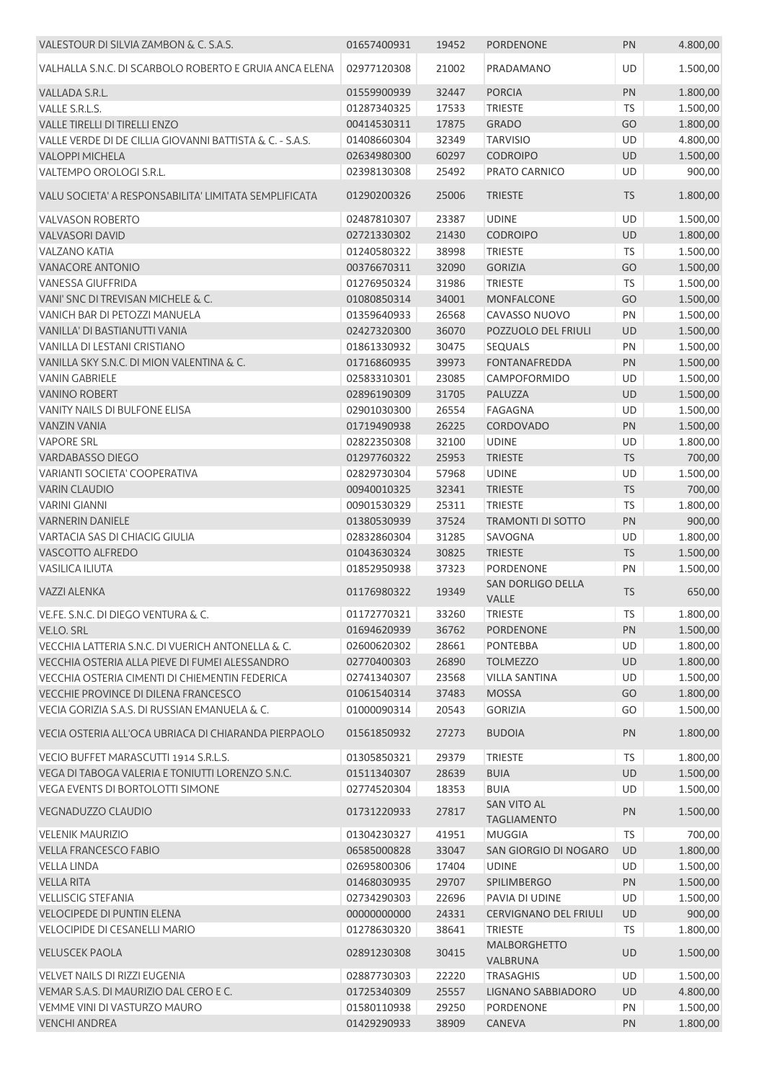| VALESTOUR DI SILVIA ZAMBON & C. S.A.S.                   | 01657400931 | 19452 | <b>PORDENONE</b>                         | PN        | 4.800,00 |
|----------------------------------------------------------|-------------|-------|------------------------------------------|-----------|----------|
| VALHALLA S.N.C. DI SCARBOLO ROBERTO E GRUIA ANCA ELENA   | 02977120308 | 21002 | PRADAMANO                                | UD        | 1.500,00 |
| VALLADA S.R.L.                                           | 01559900939 | 32447 | <b>PORCIA</b>                            | PN        | 1.800,00 |
| VALLE S.R.L.S.                                           | 01287340325 | 17533 | <b>TRIESTE</b>                           | <b>TS</b> | 1.500,00 |
| VALLE TIRELLI DI TIRELLI ENZO                            | 00414530311 | 17875 | <b>GRADO</b>                             | GO        | 1.800,00 |
| VALLE VERDE DI DE CILLIA GIOVANNI BATTISTA & C. - S.A.S. | 01408660304 | 32349 | <b>TARVISIO</b>                          | UD        | 4.800,00 |
| <b>VALOPPI MICHELA</b>                                   | 02634980300 | 60297 | <b>CODROIPO</b>                          | UD        | 1.500,00 |
| VALTEMPO OROLOGI S.R.L.                                  | 02398130308 | 25492 | PRATO CARNICO                            | UD        | 900,00   |
| VALU SOCIETA' A RESPONSABILITA' LIMITATA SEMPLIFICATA    | 01290200326 | 25006 | <b>TRIESTE</b>                           | <b>TS</b> | 1.800,00 |
| <b>VALVASON ROBERTO</b>                                  | 02487810307 | 23387 | <b>UDINE</b>                             | UD        | 1.500,00 |
| <b>VALVASORI DAVID</b>                                   | 02721330302 | 21430 | <b>CODROIPO</b>                          | UD        | 1.800,00 |
| <b>VALZANO KATIA</b>                                     | 01240580322 | 38998 | <b>TRIESTE</b>                           | TS        | 1.500,00 |
| <b>VANACORE ANTONIO</b>                                  | 00376670311 | 32090 | <b>GORIZIA</b>                           | GO        | 1.500,00 |
| <b>VANESSA GIUFFRIDA</b>                                 | 01276950324 | 31986 | <b>TRIESTE</b>                           | TS        | 1.500,00 |
| VANI' SNC DI TREVISAN MICHELE & C.                       | 01080850314 | 34001 | <b>MONFALCONE</b>                        | GO        | 1.500,00 |
| VANICH BAR DI PETOZZI MANUELA                            | 01359640933 | 26568 | CAVASSO NUOVO                            | PN        | 1.500,00 |
| VANILLA' DI BASTIANUTTI VANIA                            | 02427320300 | 36070 | POZZUOLO DEL FRIULI                      | UD        | 1.500,00 |
| VANILLA DI LESTANI CRISTIANO                             | 01861330932 | 30475 | SEQUALS                                  | PN        | 1.500,00 |
| VANILLA SKY S.N.C. DI MION VALENTINA & C.                | 01716860935 | 39973 | <b>FONTANAFREDDA</b>                     | PN        | 1.500,00 |
| <b>VANIN GABRIELE</b>                                    | 02583310301 | 23085 | CAMPOFORMIDO                             | UD        | 1.500,00 |
| <b>VANINO ROBERT</b>                                     | 02896190309 | 31705 | PALUZZA                                  | UD        | 1.500,00 |
| VANITY NAILS DI BULFONE ELISA                            |             |       | <b>FAGAGNA</b>                           | UD        |          |
|                                                          | 02901030300 | 26554 |                                          |           | 1.500,00 |
| <b>VANZIN VANIA</b>                                      | 01719490938 | 26225 | CORDOVADO                                | PN        | 1.500,00 |
| <b>VAPORE SRL</b>                                        | 02822350308 | 32100 | <b>UDINE</b>                             | UD        | 1.800,00 |
| <b>VARDABASSO DIEGO</b>                                  | 01297760322 | 25953 | <b>TRIESTE</b>                           | <b>TS</b> | 700,00   |
| VARIANTI SOCIETA' COOPERATIVA                            | 02829730304 | 57968 | <b>UDINE</b>                             | UD        | 1.500,00 |
| <b>VARIN CLAUDIO</b>                                     | 00940010325 | 32341 | <b>TRIESTE</b>                           | TS        | 700,00   |
| <b>VARINI GIANNI</b>                                     | 00901530329 | 25311 | <b>TRIESTE</b>                           | TS        | 1.800,00 |
| <b>VARNERIN DANIELE</b>                                  | 01380530939 | 37524 | <b>TRAMONTI DI SOTTO</b>                 | PN        | 900,00   |
| VARTACIA SAS DI CHIACIG GIULIA                           | 02832860304 | 31285 | SAVOGNA                                  | UD        | 1.800,00 |
| VASCOTTO ALFREDO                                         | 01043630324 | 30825 | <b>TRIESTE</b>                           | <b>TS</b> | 1.500,00 |
| <b>VASILICA ILIUTA</b>                                   | 01852950938 | 37323 | <b>PORDENONE</b>                         | PN        | 1.500,00 |
| <b>VAZZI ALENKA</b>                                      | 01176980322 | 19349 | SAN DORLIGO DELLA<br>VALLE               | <b>TS</b> | 650,00   |
| VE.FE. S.N.C. DI DIEGO VENTURA & C.                      | 01172770321 | 33260 | <b>TRIESTE</b>                           | TS        | 1.800,00 |
| VE.LO. SRL                                               | 01694620939 | 36762 | <b>PORDENONE</b>                         | PN        | 1.500,00 |
| VECCHIA LATTERIA S.N.C. DI VUERICH ANTONELLA & C.        | 02600620302 | 28661 | <b>PONTEBBA</b>                          | UD        | 1.800,00 |
| VECCHIA OSTERIA ALLA PIEVE DI FUMEI ALESSANDRO           | 02770400303 | 26890 | <b>TOLMEZZO</b>                          | UD        | 1.800,00 |
| VECCHIA OSTERIA CIMENTI DI CHIEMENTIN FEDERICA           | 02741340307 | 23568 | <b>VILLA SANTINA</b>                     | UD        | 1.500,00 |
| <b>VECCHIE PROVINCE DI DILENA FRANCESCO</b>              | 01061540314 | 37483 | <b>MOSSA</b>                             | GO        | 1.800,00 |
| VECIA GORIZIA S.A.S. DI RUSSIAN EMANUELA & C.            | 01000090314 | 20543 | <b>GORIZIA</b>                           | GO        | 1.500,00 |
| VECIA OSTERIA ALL'OCA UBRIACA DI CHIARANDA PIERPAOLO     | 01561850932 | 27273 | <b>BUDOIA</b>                            | PN        | 1.800,00 |
| VECIO BUFFET MARASCUTTI 1914 S.R.L.S.                    | 01305850321 | 29379 | <b>TRIESTE</b>                           | <b>TS</b> | 1.800,00 |
| VEGA DI TABOGA VALERIA E TONIUTTI LORENZO S.N.C.         | 01511340307 | 28639 | <b>BUIA</b>                              | UD        | 1.500,00 |
| VEGA EVENTS DI BORTOLOTTI SIMONE                         | 02774520304 | 18353 | <b>BUIA</b>                              | UD        | 1.500,00 |
| <b>VEGNADUZZO CLAUDIO</b>                                | 01731220933 | 27817 | <b>SAN VITO AL</b><br><b>TAGLIAMENTO</b> | PN        | 1.500,00 |
| <b>VELENIK MAURIZIO</b>                                  | 01304230327 | 41951 | <b>MUGGIA</b>                            | <b>TS</b> | 700,00   |
| <b>VELLA FRANCESCO FABIO</b>                             | 06585000828 | 33047 | SAN GIORGIO DI NOGARO                    | UD        | 1.800,00 |
| <b>VELLA LINDA</b>                                       | 02695800306 | 17404 | <b>UDINE</b>                             | UD        | 1.500,00 |
| <b>VELLA RITA</b>                                        | 01468030935 | 29707 | SPILIMBERGO                              | PN        | 1.500,00 |
| <b>VELLISCIG STEFANIA</b>                                | 02734290303 | 22696 | PAVIA DI UDINE                           | UD        | 1.500,00 |
| <b>VELOCIPEDE DI PUNTIN ELENA</b>                        | 00000000000 | 24331 | <b>CERVIGNANO DEL FRIULI</b>             | UD        | 900,00   |
| VELOCIPIDE DI CESANELLI MARIO                            | 01278630320 | 38641 | <b>TRIESTE</b>                           | <b>TS</b> | 1.800,00 |
| <b>VELUSCEK PAOLA</b>                                    | 02891230308 | 30415 | MALBORGHETTO<br>VALBRUNA                 | UD        | 1.500,00 |
| VELVET NAILS DI RIZZI EUGENIA                            | 02887730303 | 22220 | <b>TRASAGHIS</b>                         | UD        | 1.500,00 |
| VEMAR S.A.S. DI MAURIZIO DAL CERO E C.                   | 01725340309 | 25557 | LIGNANO SABBIADORO                       | UD        | 4.800,00 |
| VEMME VINI DI VASTURZO MAURO                             | 01580110938 | 29250 | <b>PORDENONE</b>                         | PN        | 1.500,00 |
| <b>VENCHI ANDREA</b>                                     | 01429290933 | 38909 | CANEVA                                   | PN        | 1.800,00 |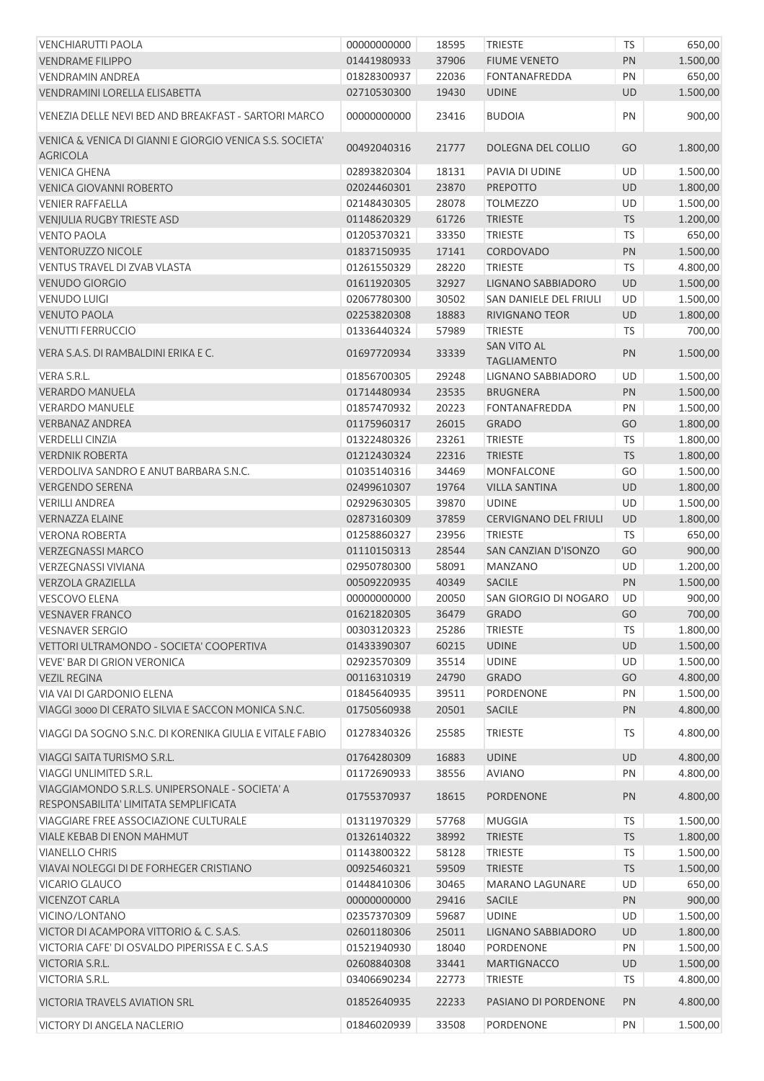| <b>VENCHIARUTTI PAOLA</b>                                | 00000000000 | 18595 | <b>TRIESTE</b>               | <b>TS</b> | 650,00   |
|----------------------------------------------------------|-------------|-------|------------------------------|-----------|----------|
| <b>VENDRAME FILIPPO</b>                                  | 01441980933 | 37906 | <b>FIUME VENETO</b>          | PN        | 1.500,00 |
| <b>VENDRAMIN ANDREA</b>                                  | 01828300937 | 22036 | <b>FONTANAFREDDA</b>         | PN        | 650,00   |
| VENDRAMINI LORELLA ELISABETTA                            | 02710530300 | 19430 | <b>UDINE</b>                 | UD        | 1.500,00 |
| VENEZIA DELLE NEVI BED AND BREAKFAST - SARTORI MARCO     | 00000000000 | 23416 | <b>BUDOIA</b>                | PN        | 900,00   |
| VENICA & VENICA DI GIANNI E GIORGIO VENICA S.S. SOCIETA' |             |       |                              |           |          |
| <b>AGRICOLA</b>                                          | 00492040316 | 21777 | DOLEGNA DEL COLLIO           | GO        | 1.800,00 |
| <b>VENICA GHENA</b>                                      | 02893820304 | 18131 | PAVIA DI UDINE               | UD        | 1.500,00 |
| <b>VENICA GIOVANNI ROBERTO</b>                           | 02024460301 | 23870 | <b>PREPOTTO</b>              | UD        | 1.800,00 |
| <b>VENIER RAFFAELLA</b>                                  | 02148430305 | 28078 | <b>TOLMEZZO</b>              | UD        | 1.500,00 |
| <b>VENJULIA RUGBY TRIESTE ASD</b>                        | 01148620329 | 61726 | <b>TRIESTE</b>               | <b>TS</b> | 1.200,00 |
| <b>VENTO PAOLA</b>                                       | 01205370321 | 33350 | <b>TRIESTE</b>               | TS        | 650,00   |
| <b>VENTORUZZO NICOLE</b>                                 | 01837150935 | 17141 | CORDOVADO                    | PN        | 1.500,00 |
| VENTUS TRAVEL DI ZVAB VLASTA                             | 01261550329 | 28220 | <b>TRIESTE</b>               | <b>TS</b> | 4.800,00 |
| <b>VENUDO GIORGIO</b>                                    | 01611920305 | 32927 | LIGNANO SABBIADORO           | UD        | 1.500,00 |
| <b>VENUDO LUIGI</b>                                      | 02067780300 | 30502 | SAN DANIELE DEL FRIULI       | UD        | 1.500,00 |
| <b>VENUTO PAOLA</b>                                      | 02253820308 | 18883 | <b>RIVIGNANO TEOR</b>        | UD        | 1.800,00 |
| <b>VENUTTI FERRUCCIO</b>                                 | 01336440324 | 57989 | <b>TRIESTE</b>               | <b>TS</b> | 700,00   |
| VERA S.A.S. DI RAMBALDINI ERIKA E C.                     | 01697720934 | 33339 | <b>SAN VITO AL</b>           | PN        | 1.500,00 |
|                                                          |             |       | <b>TAGLIAMENTO</b>           |           |          |
| VERA S.R.L.                                              | 01856700305 | 29248 | LIGNANO SABBIADORO           | UD        | 1.500,00 |
| <b>VERARDO MANUELA</b>                                   | 01714480934 | 23535 | <b>BRUGNERA</b>              | PN        | 1.500,00 |
| <b>VERARDO MANUELE</b>                                   | 01857470932 | 20223 | <b>FONTANAFREDDA</b>         | PN        | 1.500,00 |
| <b>VERBANAZ ANDREA</b>                                   | 01175960317 | 26015 | <b>GRADO</b>                 | GO        | 1.800,00 |
| <b>VERDELLI CINZIA</b>                                   | 01322480326 | 23261 | <b>TRIESTE</b>               | <b>TS</b> | 1.800,00 |
| <b>VERDNIK ROBERTA</b>                                   | 01212430324 | 22316 | <b>TRIESTE</b>               | <b>TS</b> | 1.800,00 |
| VERDOLIVA SANDRO E ANUT BARBARA S.N.C.                   | 01035140316 | 34469 | <b>MONFALCONE</b>            | GO        | 1.500,00 |
| <b>VERGENDO SERENA</b>                                   | 02499610307 | 19764 | <b>VILLA SANTINA</b>         | UD        | 1.800,00 |
| <b>VERILLI ANDREA</b>                                    | 02929630305 | 39870 | <b>UDINE</b>                 | UD        | 1.500,00 |
| <b>VERNAZZA ELAINE</b>                                   | 02873160309 | 37859 | <b>CERVIGNANO DEL FRIULI</b> | UD        | 1.800,00 |
| <b>VERONA ROBERTA</b>                                    | 01258860327 | 23956 | <b>TRIESTE</b>               | <b>TS</b> | 650,00   |
| <b>VERZEGNASSI MARCO</b>                                 | 01110150313 | 28544 | SAN CANZIAN D'ISONZO         | GO        | 900,00   |
| <b>VERZEGNASSI VIVIANA</b>                               | 02950780300 | 58091 | <b>MANZANO</b>               | UD        | 1.200,00 |
| <b>VERZOLA GRAZIELLA</b>                                 | 00509220935 | 40349 | <b>SACILE</b>                | PN        | 1.500,00 |
| <b>VESCOVO ELENA</b>                                     | 00000000000 | 20050 | SAN GIORGIO DI NOGARO        | UD        | 900,00   |
| <b>VESNAVER FRANCO</b>                                   | 01621820305 | 36479 | GRADO                        | GO        | 700,00   |
| <b>VESNAVER SERGIO</b>                                   | 00303120323 | 25286 | <b>TRIESTE</b>               | <b>TS</b> | 1.800,00 |
| VETTORI ULTRAMONDO - SOCIETA' COOPERTIVA                 | 01433390307 | 60215 | <b>UDINE</b>                 | UD        | 1.500,00 |
| <b>VEVE' BAR DI GRION VERONICA</b>                       | 02923570309 | 35514 | <b>UDINE</b>                 | UD        | 1.500,00 |
| <b>VEZIL REGINA</b>                                      | 00116310319 | 24790 | <b>GRADO</b>                 | GO        | 4.800,00 |
| VIA VAI DI GARDONIO ELENA                                | 01845640935 | 39511 | <b>PORDENONE</b>             | PN        | 1.500,00 |
| VIAGGI 3000 DI CERATO SILVIA E SACCON MONICA S.N.C.      | 01750560938 | 20501 | <b>SACILE</b>                | PN        | 4.800,00 |
| VIAGGI DA SOGNO S.N.C. DI KORENIKA GIULIA E VITALE FABIO | 01278340326 | 25585 | <b>TRIESTE</b>               | TS        | 4.800,00 |
| VIAGGI SAITA TURISMO S.R.L.                              | 01764280309 | 16883 | <b>UDINE</b>                 | UD        | 4.800,00 |
| <b>VIAGGI UNLIMITED S.R.L.</b>                           | 01172690933 | 38556 | <b>AVIANO</b>                | PN        | 4.800,00 |
| VIAGGIAMONDO S.R.L.S. UNIPERSONALE - SOCIETA' A          | 01755370937 | 18615 | PORDENONE                    | PN        | 4.800,00 |
| RESPONSABILITA' LIMITATA SEMPLIFICATA                    |             |       |                              |           |          |
| VIAGGIARE FREE ASSOCIAZIONE CULTURALE                    | 01311970329 | 57768 | <b>MUGGIA</b>                | <b>TS</b> | 1.500,00 |
| VIALE KEBAB DI ENON MAHMUT                               | 01326140322 | 38992 | <b>TRIESTE</b>               | TS        | 1.800,00 |
| <b>VIANELLO CHRIS</b>                                    | 01143800322 | 58128 | <b>TRIESTE</b>               | <b>TS</b> | 1.500,00 |
| VIAVAI NOLEGGI DI DE FORHEGER CRISTIANO                  | 00925460321 | 59509 | <b>TRIESTE</b>               | <b>TS</b> | 1.500,00 |
| VICARIO GLAUCO                                           | 01448410306 | 30465 | <b>MARANO LAGUNARE</b>       | UD        | 650,00   |
| <b>VICENZOT CARLA</b>                                    | 00000000000 | 29416 | <b>SACILE</b>                | PN        | 900,00   |
| VICINO/LONTANO                                           | 02357370309 | 59687 | <b>UDINE</b>                 | UD        | 1.500,00 |
| VICTOR DI ACAMPORA VITTORIO & C. S.A.S.                  | 02601180306 | 25011 | LIGNANO SABBIADORO           | UD        | 1.800,00 |
| VICTORIA CAFE' DI OSVALDO PIPERISSA E C. S.A.S           | 01521940930 | 18040 | PORDENONE                    | PN        | 1.500,00 |
| VICTORIA S.R.L.                                          | 02608840308 | 33441 | <b>MARTIGNACCO</b>           | UD        | 1.500,00 |
| <b>VICTORIA S.R.L.</b>                                   | 03406690234 | 22773 | <b>TRIESTE</b>               | <b>TS</b> | 4.800,00 |
| <b>VICTORIA TRAVELS AVIATION SRL</b>                     | 01852640935 | 22233 | PASIANO DI PORDENONE         | PN        | 4.800,00 |
| <b>VICTORY DI ANGELA NACLERIO</b>                        | 01846020939 | 33508 | PORDENONE                    | PN        | 1.500,00 |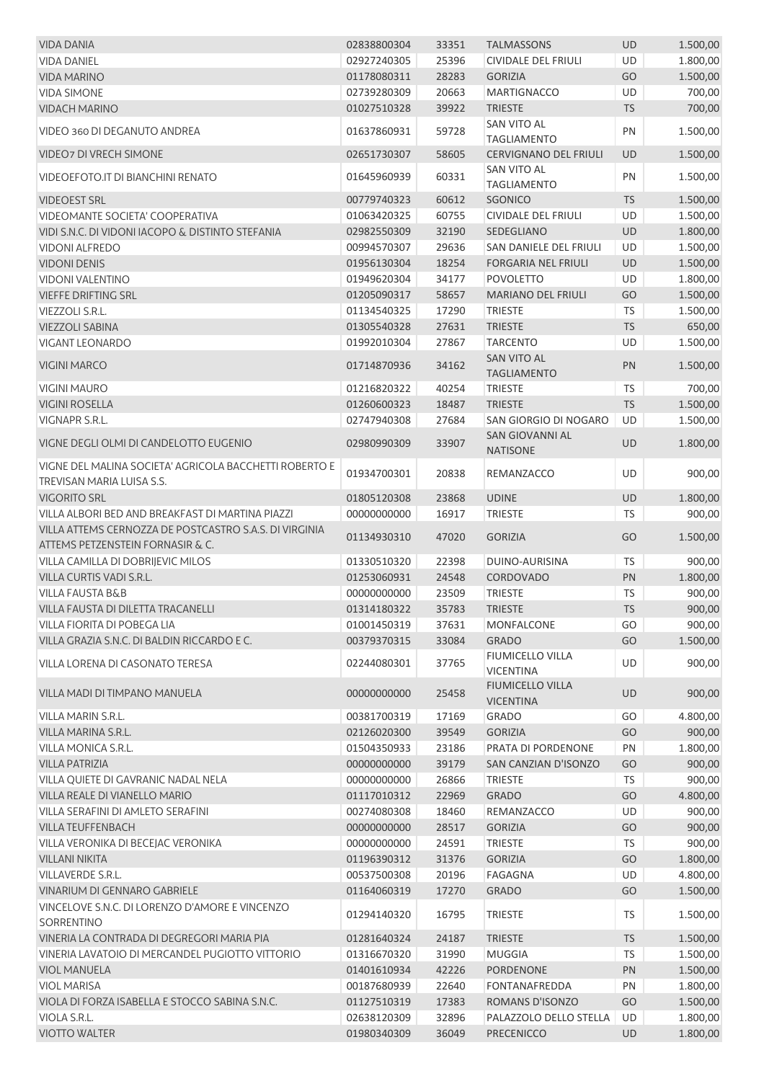| <b>VIDA DANIA</b>                                                                          | 02838800304 | 33351 | <b>TALMASSONS</b>                           | <b>UD</b> | 1.500,00 |
|--------------------------------------------------------------------------------------------|-------------|-------|---------------------------------------------|-----------|----------|
| <b>VIDA DANIEL</b>                                                                         | 02927240305 | 25396 | <b>CIVIDALE DEL FRIULI</b>                  | <b>UD</b> | 1.800,00 |
| <b>VIDA MARINO</b>                                                                         | 01178080311 | 28283 | <b>GORIZIA</b>                              | GO        | 1.500,00 |
| <b>VIDA SIMONE</b>                                                                         | 02739280309 | 20663 | <b>MARTIGNACCO</b>                          | UD        | 700,00   |
| <b>VIDACH MARINO</b>                                                                       | 01027510328 | 39922 | <b>TRIESTE</b>                              | <b>TS</b> | 700,00   |
| VIDEO 360 DI DEGANUTO ANDREA                                                               | 01637860931 | 59728 | <b>SAN VITO AL</b><br><b>TAGLIAMENTO</b>    | PN        | 1.500,00 |
| <b>VIDEO7 DI VRECH SIMONE</b>                                                              | 02651730307 | 58605 | <b>CERVIGNANO DEL FRIULI</b>                | <b>UD</b> | 1.500,00 |
| VIDEOEFOTO.IT DI BIANCHINI RENATO                                                          | 01645960939 | 60331 | SAN VITO AL<br><b>TAGLIAMENTO</b>           | PN        | 1.500,00 |
| <b>VIDEOEST SRL</b>                                                                        | 00779740323 | 60612 | <b>SGONICO</b>                              | <b>TS</b> | 1.500,00 |
| VIDEOMANTE SOCIETA' COOPERATIVA                                                            | 01063420325 | 60755 | CIVIDALE DEL FRIULI                         | UD        | 1.500,00 |
| VIDI S.N.C. DI VIDONI IACOPO & DISTINTO STEFANIA                                           | 02982550309 | 32190 | SEDEGLIANO                                  | <b>UD</b> | 1.800,00 |
| <b>VIDONI ALFREDO</b>                                                                      | 00994570307 | 29636 | SAN DANIELE DEL FRIULI                      | UD        | 1.500,00 |
| <b>VIDONI DENIS</b>                                                                        | 01956130304 | 18254 | <b>FORGARIA NEL FRIULI</b>                  | UD        | 1.500,00 |
| <b>VIDONI VALENTINO</b>                                                                    | 01949620304 | 34177 | <b>POVOLETTO</b>                            | UD        | 1.800,00 |
| VIEFFE DRIFTING SRL                                                                        | 01205090317 | 58657 | <b>MARIANO DEL FRIULI</b>                   | GO        | 1.500,00 |
| <b>VIEZZOLI S.R.L.</b>                                                                     | 01134540325 | 17290 | <b>TRIESTE</b>                              | TS        | 1.500,00 |
| <b>VIEZZOLI SABINA</b>                                                                     | 01305540328 | 27631 | <b>TRIESTE</b>                              | <b>TS</b> | 650,00   |
| <b>VIGANT LEONARDO</b>                                                                     | 01992010304 | 27867 | <b>TARCENTO</b>                             | UD        | 1.500,00 |
| <b>VIGINI MARCO</b>                                                                        | 01714870936 | 34162 | <b>SAN VITO AL</b><br><b>TAGLIAMENTO</b>    | PN        | 1.500,00 |
| <b>VIGINI MAURO</b>                                                                        | 01216820322 | 40254 | <b>TRIESTE</b>                              | <b>TS</b> | 700,00   |
| <b>VIGINI ROSELLA</b>                                                                      | 01260600323 | 18487 | <b>TRIESTE</b>                              | <b>TS</b> | 1.500,00 |
| <b>VIGNAPR S.R.L.</b>                                                                      | 02747940308 | 27684 | SAN GIORGIO DI NOGARO                       | UD        | 1.500,00 |
|                                                                                            |             |       | <b>SAN GIOVANNI AL</b>                      |           |          |
| VIGNE DEGLI OLMI DI CANDELOTTO EUGENIO                                                     | 02980990309 | 33907 | <b>NATISONE</b>                             | UD        | 1.800,00 |
| VIGNE DEL MALINA SOCIETA' AGRICOLA BACCHETTI ROBERTO E<br>TREVISAN MARIA LUISA S.S.        | 01934700301 | 20838 | REMANZACCO                                  | <b>UD</b> | 900,00   |
| <b>VIGORITO SRL</b>                                                                        | 01805120308 | 23868 | <b>UDINE</b>                                | UD        | 1.800,00 |
| VILLA ALBORI BED AND BREAKFAST DI MARTINA PIAZZI                                           | 00000000000 | 16917 | <b>TRIESTE</b>                              | TS        | 900,00   |
| VILLA ATTEMS CERNOZZA DE POSTCASTRO S.A.S. DI VIRGINIA<br>ATTEMS PETZENSTEIN FORNASIR & C. | 01134930310 | 47020 | <b>GORIZIA</b>                              | GO        | 1.500,00 |
| VILLA CAMILLA DI DOBRIJEVIC MILOS                                                          | 01330510320 | 22398 | <b>DUINO-AURISINA</b>                       | TS        | 900,00   |
| VILLA CURTIS VADI S.R.L.                                                                   | 01253060931 | 24548 | CORDOVADO                                   | PN        | 1.800,00 |
| <b>VILLA FAUSTA B&amp;B</b>                                                                | 00000000000 | 23509 | <b>TRIESTE</b>                              | <b>TS</b> | 900,00   |
| VILLA FAUSTA DI DILETTA TRACANELLI                                                         | 01314180322 | 35783 | <b>TRIESTE</b>                              | TS        | 900,00   |
| <b>VILLA FIORITA DI POBEGA LIA</b>                                                         | 01001450319 | 37631 | MONFALCONE                                  | GO        | 900,00   |
| VILLA GRAZIA S.N.C. DI BALDIN RICCARDO E C.                                                | 00379370315 | 33084 | <b>GRADO</b>                                | GO        | 1.500,00 |
| VILLA LORENA DI CASONATO TERESA                                                            | 02244080301 | 37765 | FIUMICELLO VILLA<br><b>VICENTINA</b>        | <b>UD</b> | 900,00   |
| VILLA MADI DI TIMPANO MANUELA                                                              | 00000000000 | 25458 | <b>FIUMICELLO VILLA</b><br><b>VICENTINA</b> | UD        | 900,00   |
| VILLA MARIN S.R.L.                                                                         | 00381700319 | 17169 | <b>GRADO</b>                                | GO        | 4.800,00 |
| VILLA MARINA S.R.L.                                                                        | 02126020300 | 39549 | <b>GORIZIA</b>                              | GO        | 900,00   |
| VILLA MONICA S.R.L.                                                                        | 01504350933 | 23186 | PRATA DI PORDENONE                          | PN        | 1.800,00 |
| <b>VILLA PATRIZIA</b>                                                                      | 00000000000 | 39179 | SAN CANZIAN D'ISONZO                        | GO        | 900,00   |
| VILLA QUIETE DI GAVRANIC NADAL NELA                                                        | 00000000000 | 26866 | <b>TRIESTE</b>                              | <b>TS</b> | 900,00   |
| VILLA REALE DI VIANELLO MARIO                                                              | 01117010312 | 22969 | <b>GRADO</b>                                | GO        | 4.800,00 |
| VILLA SERAFINI DI AMLETO SERAFINI                                                          | 00274080308 | 18460 | REMANZACCO                                  | <b>UD</b> | 900,00   |
| VILLA TEUFFENBACH                                                                          | 00000000000 | 28517 | <b>GORIZIA</b>                              | GO        | 900,00   |
| VILLA VERONIKA DI BECEJAC VERONIKA                                                         | 00000000000 | 24591 | <b>TRIESTE</b>                              | <b>TS</b> | 900,00   |
| <b>VILLANI NIKITA</b>                                                                      | 01196390312 | 31376 | <b>GORIZIA</b>                              | GO        | 1.800,00 |
| <b>VILLAVERDE S.R.L.</b>                                                                   | 00537500308 | 20196 | FAGAGNA                                     | UD        | 4.800,00 |
| VINARIUM DI GENNARO GABRIELE                                                               | 01164060319 | 17270 | <b>GRADO</b>                                | GO        | 1.500,00 |
| VINCELOVE S.N.C. DI LORENZO D'AMORE E VINCENZO                                             | 01294140320 | 16795 | <b>TRIESTE</b>                              | TS        | 1.500,00 |
| SORRENTINO                                                                                 |             |       |                                             |           |          |
| VINERIA LA CONTRADA DI DEGREGORI MARIA PIA                                                 | 01281640324 | 24187 | <b>TRIESTE</b>                              | <b>TS</b> | 1.500,00 |
| VINERIA LAVATOIO DI MERCANDEL PUGIOTTO VITTORIO                                            | 01316670320 | 31990 | <b>MUGGIA</b>                               | <b>TS</b> | 1.500,00 |
| <b>VIOL MANUELA</b>                                                                        | 01401610934 | 42226 | PORDENONE                                   | PN        | 1.500,00 |
| <b>VIOL MARISA</b>                                                                         | 00187680939 | 22640 | <b>FONTANAFREDDA</b>                        | PN        | 1.800,00 |
| VIOLA DI FORZA ISABELLA E STOCCO SABINA S.N.C.                                             | 01127510319 | 17383 | ROMANS D'ISONZO                             | GO        | 1.500,00 |
| VIOLA S.R.L.                                                                               | 02638120309 | 32896 | PALAZZOLO DELLO STELLA                      | UD        | 1.800,00 |
| <b>VIOTTO WALTER</b>                                                                       | 01980340309 | 36049 | <b>PRECENICCO</b>                           | <b>UD</b> | 1.800,00 |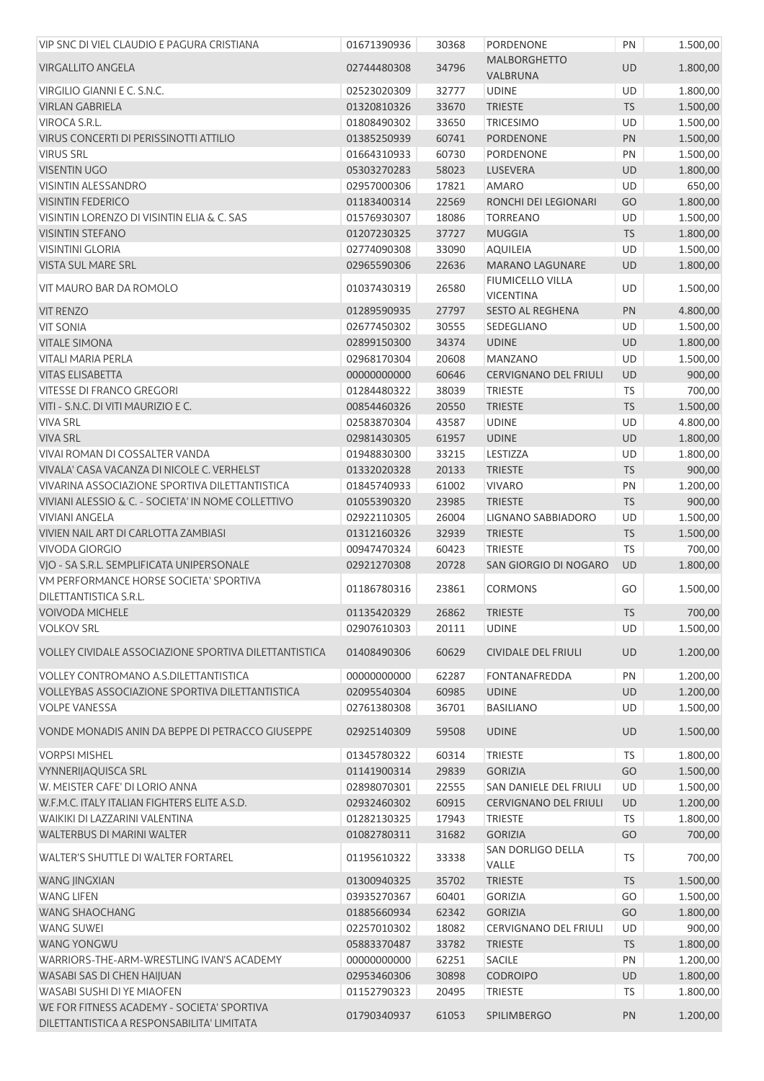| VIP SNC DI VIEL CLAUDIO E PAGURA CRISTIANA                              | 01671390936 | 30368 | PORDENONE                       | PN        | 1.500,00 |
|-------------------------------------------------------------------------|-------------|-------|---------------------------------|-----------|----------|
| <b>VIRGALLITO ANGELA</b>                                                | 02744480308 | 34796 | <b>MALBORGHETTO</b><br>VALBRUNA | <b>UD</b> | 1.800,00 |
| VIRGILIO GIANNI E C. S.N.C.                                             | 02523020309 | 32777 | <b>UDINE</b>                    | UD        | 1.800,00 |
| <b>VIRLAN GABRIELA</b>                                                  | 01320810326 | 33670 | <b>TRIESTE</b>                  | <b>TS</b> | 1.500,00 |
| VIROCA S.R.L.                                                           | 01808490302 | 33650 | <b>TRICESIMO</b>                | UD        | 1.500,00 |
| VIRUS CONCERTI DI PERISSINOTTI ATTILIO                                  | 01385250939 | 60741 | PORDENONE                       | PN        | 1.500,00 |
| <b>VIRUS SRL</b>                                                        | 01664310933 | 60730 | PORDENONE                       | PN        | 1.500,00 |
| <b>VISENTIN UGO</b>                                                     | 05303270283 | 58023 | LUSEVERA                        | <b>UD</b> | 1.800,00 |
| <b>VISINTIN ALESSANDRO</b>                                              | 02957000306 | 17821 | <b>AMARO</b>                    | UD        | 650,00   |
| <b>VISINTIN FEDERICO</b>                                                | 01183400314 | 22569 | RONCHI DEI LEGIONARI            | GO        | 1.800,00 |
| VISINTIN LORENZO DI VISINTIN ELIA & C. SAS                              | 01576930307 | 18086 | <b>TORREANO</b>                 | <b>UD</b> | 1.500,00 |
| <b>VISINTIN STEFANO</b>                                                 | 01207230325 | 37727 | <b>MUGGIA</b>                   | <b>TS</b> | 1.800,00 |
| <b>VISINTINI GLORIA</b>                                                 | 02774090308 | 33090 | <b>AQUILEIA</b>                 | <b>UD</b> | 1.500,00 |
| VISTA SUL MARE SRL                                                      | 02965590306 | 22636 | <b>MARANO LAGUNARE</b>          | UD        | 1.800,00 |
|                                                                         |             |       | <b>FIUMICELLO VILLA</b>         |           |          |
| VIT MAURO BAR DA ROMOLO                                                 | 01037430319 | 26580 | <b>VICENTINA</b>                | <b>UD</b> | 1.500,00 |
| <b>VIT RENZO</b>                                                        | 01289590935 | 27797 | <b>SESTO AL REGHENA</b>         | PN        | 4.800,00 |
| <b>VIT SONIA</b>                                                        | 02677450302 | 30555 | SEDEGLIANO                      | <b>UD</b> | 1.500,00 |
| <b>VITALE SIMONA</b>                                                    | 02899150300 | 34374 | <b>UDINE</b>                    | <b>UD</b> | 1.800,00 |
| <b>VITALI MARIA PERLA</b>                                               | 02968170304 | 20608 | <b>MANZANO</b>                  | UD        | 1.500,00 |
| <b>VITAS ELISABETTA</b>                                                 | 00000000000 | 60646 | <b>CERVIGNANO DEL FRIULI</b>    | <b>UD</b> | 900,00   |
| <b>VITESSE DI FRANCO GREGORI</b>                                        | 01284480322 | 38039 | <b>TRIESTE</b>                  | <b>TS</b> | 700,00   |
| VITI - S.N.C. DI VITI MAURIZIO E C.                                     | 00854460326 | 20550 | <b>TRIESTE</b>                  | <b>TS</b> | 1.500,00 |
| <b>VIVA SRL</b>                                                         | 02583870304 | 43587 | <b>UDINE</b>                    | UD        | 4.800,00 |
| <b>VIVA SRL</b>                                                         | 02981430305 | 61957 | <b>UDINE</b>                    | <b>UD</b> | 1.800,00 |
| VIVAI ROMAN DI COSSALTER VANDA                                          | 01948830300 | 33215 | LESTIZZA                        | UD        | 1.800,00 |
| VIVALA' CASA VACANZA DI NICOLE C. VERHELST                              | 01332020328 | 20133 | <b>TRIESTE</b>                  | <b>TS</b> | 900,00   |
| VIVARINA ASSOCIAZIONE SPORTIVA DILETTANTISTICA                          | 01845740933 | 61002 | <b>VIVARO</b>                   | PN        | 1.200,00 |
| VIVIANI ALESSIO & C. - SOCIETA' IN NOME COLLETTIVO                      | 01055390320 | 23985 | <b>TRIESTE</b>                  | <b>TS</b> | 900,00   |
| <b>VIVIANI ANGELA</b>                                                   | 02922110305 | 26004 | <b>LIGNANO SABBIADORO</b>       | UD        | 1.500,00 |
| VIVIEN NAIL ART DI CARLOTTA ZAMBIASI                                    | 01312160326 | 32939 | <b>TRIESTE</b>                  | <b>TS</b> | 1.500,00 |
| <b>VIVODA GIORGIO</b>                                                   | 00947470324 | 60423 | <b>TRIESTE</b>                  | TS        | 700,00   |
| VJO - SA S.R.L. SEMPLIFICATA UNIPERSONALE                               | 02921270308 | 20728 | SAN GIORGIO DI NOGARO           | UD        | 1.800,00 |
| VM PERFORMANCE HORSE SOCIETA' SPORTIVA<br><b>DILETTANTISTICA S.R.L.</b> | 01186780316 | 23861 | <b>CORMONS</b>                  | GO        | 1.500,00 |
| <b>VOIVODA MICHELE</b>                                                  | 01135420329 | 26862 | TRIESTE                         | <b>TS</b> | 700,00   |
| <b>VOLKOV SRL</b>                                                       | 02907610303 | 20111 | <b>UDINE</b>                    | UD        | 1.500,00 |
|                                                                         |             |       |                                 |           |          |
| VOLLEY CIVIDALE ASSOCIAZIONE SPORTIVA DILETTANTISTICA                   | 01408490306 | 60629 | <b>CIVIDALE DEL FRIULI</b>      | UD        | 1.200,00 |
| VOLLEY CONTROMANO A.S.DILETTANTISTICA                                   | 00000000000 | 62287 | <b>FONTANAFREDDA</b>            | PN        | 1.200,00 |
| VOLLEYBAS ASSOCIAZIONE SPORTIVA DILETTANTISTICA                         | 02095540304 | 60985 | <b>UDINE</b>                    | UD        | 1.200,00 |
| <b>VOLPE VANESSA</b>                                                    | 02761380308 | 36701 | <b>BASILIANO</b>                | <b>UD</b> | 1.500,00 |
| VONDE MONADIS ANIN DA BEPPE DI PETRACCO GIUSEPPE                        | 02925140309 | 59508 | <b>UDINE</b>                    | <b>UD</b> | 1.500,00 |
| <b>VORPSI MISHEL</b>                                                    | 01345780322 | 60314 | <b>TRIESTE</b>                  | <b>TS</b> | 1.800,00 |
| <b>VYNNERIJAQUISCA SRL</b>                                              | 01141900314 | 29839 | <b>GORIZIA</b>                  | GO        | 1.500,00 |
| W. MEISTER CAFE' DI LORIO ANNA                                          | 02898070301 | 22555 | SAN DANIELE DEL FRIULI          | UD        | 1.500,00 |
| W.F.M.C. ITALY ITALIAN FIGHTERS ELITE A.S.D.                            | 02932460302 | 60915 | <b>CERVIGNANO DEL FRIULI</b>    | UD        | 1.200,00 |
| WAIKIKI DI LAZZARINI VALENTINA                                          | 01282130325 | 17943 | <b>TRIESTE</b>                  | TS        | 1.800,00 |
| WALTERBUS DI MARINI WALTER                                              | 01082780311 | 31682 | <b>GORIZIA</b>                  | GO        | 700,00   |
| WALTER'S SHUTTLE DI WALTER FORTAREL                                     | 01195610322 | 33338 | SAN DORLIGO DELLA<br>VALLE      | <b>TS</b> | 700,00   |
| <b>WANG JINGXIAN</b>                                                    | 01300940325 | 35702 | <b>TRIESTE</b>                  | <b>TS</b> | 1.500,00 |
| <b>WANG LIFEN</b>                                                       | 03935270367 | 60401 | <b>GORIZIA</b>                  | GO        | 1.500,00 |
| <b>WANG SHAOCHANG</b>                                                   | 01885660934 | 62342 | <b>GORIZIA</b>                  | GO        | 1.800,00 |
| <b>WANG SUWEI</b>                                                       | 02257010302 | 18082 | CERVIGNANO DEL FRIULI           | UD        | 900,00   |
| <b>WANG YONGWU</b>                                                      | 05883370487 | 33782 | <b>TRIESTE</b>                  | <b>TS</b> | 1.800,00 |
| WARRIORS-THE-ARM-WRESTLING IVAN'S ACADEMY                               | 00000000000 | 62251 | <b>SACILE</b>                   | PN        | 1.200,00 |
| WASABI SAS DI CHEN HAIJUAN                                              | 02953460306 | 30898 | <b>CODROIPO</b>                 | UD        | 1.800,00 |
| <b>WASABI SUSHI DI YE MIAOFEN</b>                                       | 01152790323 | 20495 | <b>TRIESTE</b>                  | TS        | 1.800,00 |
| WE FOR FITNESS ACADEMY - SOCIETA' SPORTIVA                              |             |       |                                 |           |          |
| DILETTANTISTICA A RESPONSABILITA' LIMITATA                              | 01790340937 | 61053 | SPILIMBERGO                     | PN        | 1.200,00 |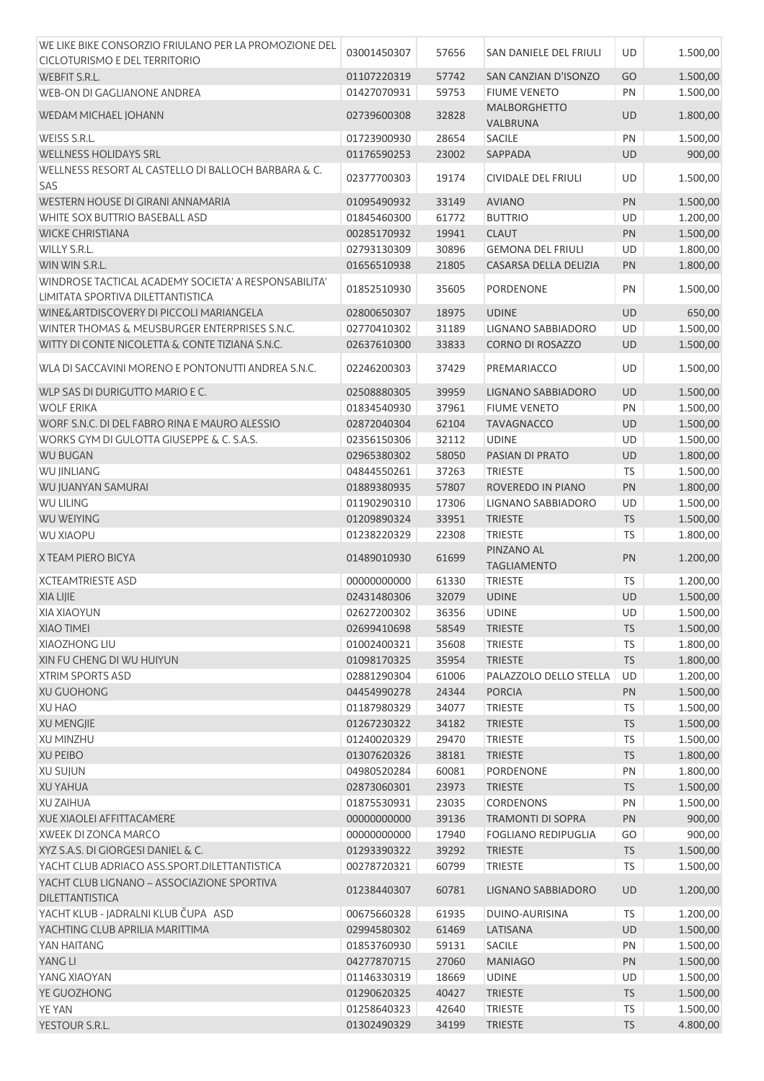| WE LIKE BIKE CONSORZIO FRIULANO PER LA PROMOZIONE DEL                | 03001450307 | 57656 | SAN DANIELE DEL FRIULI          | UD        | 1.500,00 |
|----------------------------------------------------------------------|-------------|-------|---------------------------------|-----------|----------|
| CICLOTURISMO E DEL TERRITORIO                                        |             |       |                                 |           |          |
| <b>WEBFIT S.R.L.</b>                                                 | 01107220319 | 57742 | SAN CANZIAN D'ISONZO            | GO        | 1.500,00 |
| WEB-ON DI GAGLIANONE ANDREA                                          | 01427070931 | 59753 | <b>FIUME VENETO</b>             | PN        | 1.500,00 |
| WEDAM MICHAEL JOHANN                                                 | 02739600308 | 32828 | <b>MALBORGHETTO</b><br>VALBRUNA | <b>UD</b> | 1.800,00 |
| WEISS S.R.L.                                                         | 01723900930 | 28654 | <b>SACILE</b>                   | PN        | 1.500,00 |
| <b>WELLNESS HOLIDAYS SRL</b>                                         | 01176590253 | 23002 | SAPPADA                         | UD        | 900,00   |
| WELLNESS RESORT AL CASTELLO DI BALLOCH BARBARA & C.<br>SAS           | 02377700303 | 19174 | CIVIDALE DEL FRIULI             | UD        | 1.500,00 |
| WESTERN HOUSE DI GIRANI ANNAMARIA                                    | 01095490932 | 33149 | <b>AVIANO</b>                   | PN        | 1.500,00 |
| WHITE SOX BUTTRIO BASEBALL ASD                                       | 01845460300 | 61772 | <b>BUTTRIO</b>                  | UD        | 1.200,00 |
| <b>WICKE CHRISTIANA</b>                                              | 00285170932 | 19941 | <b>CLAUT</b>                    | PN        | 1.500,00 |
| WILLY S.R.L.                                                         | 02793130309 | 30896 | <b>GEMONA DEL FRIULI</b>        | UD        | 1.800,00 |
| WIN WIN S.R.L.                                                       | 01656510938 | 21805 | CASARSA DELLA DELIZIA           | PN        | 1.800,00 |
| WINDROSE TACTICAL ACADEMY SOCIETA' A RESPONSABILITA'                 |             |       |                                 |           |          |
| LIMITATA SPORTIVA DILETTANTISTICA                                    | 01852510930 | 35605 | PORDENONE                       | PN        | 1.500,00 |
| WINE&ARTDISCOVERY DI PICCOLI MARIANGELA                              | 02800650307 | 18975 | <b>UDINE</b>                    | UD        | 650,00   |
| WINTER THOMAS & MEUSBURGER ENTERPRISES S.N.C.                        | 02770410302 | 31189 | LIGNANO SABBIADORO              | UD        | 1.500,00 |
| WITTY DI CONTE NICOLETTA & CONTE TIZIANA S.N.C.                      | 02637610300 | 33833 | CORNO DI ROSAZZO                | UD        | 1.500,00 |
| WLA DI SACCAVINI MORENO E PONTONUTTI ANDREA S.N.C.                   | 02246200303 | 37429 | PREMARIACCO                     | UD        | 1.500,00 |
| WLP SAS DI DURIGUTTO MARIO E C.                                      | 02508880305 | 39959 | LIGNANO SABBIADORO              | UD        | 1.500,00 |
| <b>WOLF ERIKA</b>                                                    | 01834540930 | 37961 | <b>FIUME VENETO</b>             | PN        | 1.500,00 |
| WORF S.N.C. DI DEL FABRO RINA E MAURO ALESSIO                        | 02872040304 | 62104 | <b>TAVAGNACCO</b>               | UD        | 1.500,00 |
| WORKS GYM DI GULOTTA GIUSEPPE & C. S.A.S.                            | 02356150306 | 32112 | <b>UDINE</b>                    | UD        | 1.500,00 |
| <b>WU BUGAN</b>                                                      | 02965380302 | 58050 | PASIAN DI PRATO                 | UD        | 1.800,00 |
| <b>WU JINLIANG</b>                                                   | 04844550261 | 37263 | <b>TRIESTE</b>                  | <b>TS</b> | 1.500,00 |
| WU JUANYAN SAMURAI                                                   | 01889380935 | 57807 | ROVEREDO IN PIANO               | PN        | 1.800,00 |
| <b>WU LILING</b>                                                     | 01190290310 | 17306 | LIGNANO SABBIADORO              | UD        | 1.500,00 |
| <b>WU WEIYING</b>                                                    | 01209890324 | 33951 | <b>TRIESTE</b>                  | <b>TS</b> | 1.500,00 |
| <b>WU XIAOPU</b>                                                     |             |       | <b>TRIESTE</b>                  |           |          |
|                                                                      | 01238220329 | 22308 | PINZANO AL                      | TS        | 1.800,00 |
| X TEAM PIERO BICYA                                                   | 01489010930 | 61699 | <b>TAGLIAMENTO</b>              | PN        | 1.200,00 |
| <b>XCTEAMTRIESTE ASD</b>                                             | 00000000000 | 61330 | <b>TRIESTE</b>                  | <b>TS</b> | 1.200,00 |
| XIA LIJIE                                                            | 02431480306 | 32079 | <b>UDINE</b>                    | UD        | 1.500,00 |
| <b>XIA XIAOYUN</b>                                                   | 02627200302 | 36356 | <b>UDINE</b>                    | UD        | 1.500,00 |
| <b>XIAO TIMEI</b>                                                    | 02699410698 | 58549 | <b>TRIESTE</b>                  | <b>TS</b> | 1.500,00 |
| XIAOZHONG LIU                                                        | 01002400321 | 35608 | <b>TRIESTE</b>                  | <b>TS</b> | 1.800,00 |
| XIN FU CHENG DI WU HUIYUN                                            | 01098170325 | 35954 | <b>TRIESTE</b>                  | <b>TS</b> | 1.800,00 |
| <b>XTRIM SPORTS ASD</b>                                              | 02881290304 | 61006 | PALAZZOLO DELLO STELLA          | UD        | 1.200,00 |
| <b>XU GUOHONG</b>                                                    | 04454990278 | 24344 | <b>PORCIA</b>                   | PN        | 1.500,00 |
| <b>XU HAO</b>                                                        | 01187980329 | 34077 | <b>TRIESTE</b>                  | <b>TS</b> | 1.500,00 |
| <b>XU MENGJIE</b>                                                    | 01267230322 | 34182 | <b>TRIESTE</b>                  | <b>TS</b> | 1.500,00 |
| <b>XU MINZHU</b>                                                     | 01240020329 | 29470 | <b>TRIESTE</b>                  | <b>TS</b> | 1.500,00 |
| <b>XU PEIBO</b>                                                      | 01307620326 | 38181 | <b>TRIESTE</b>                  | <b>TS</b> | 1.800,00 |
| <b>XU SUJUN</b>                                                      | 04980520284 | 60081 | PORDENONE                       | PN        | 1.800,00 |
| <b>XU YAHUA</b>                                                      | 02873060301 | 23973 | <b>TRIESTE</b>                  | <b>TS</b> | 1.500,00 |
| <b>XU ZAIHUA</b>                                                     | 01875530931 | 23035 | <b>CORDENONS</b>                | PN        | 1.500,00 |
| XUE XIAOLEI AFFITTACAMERE                                            | 00000000000 | 39136 | <b>TRAMONTI DI SOPRA</b>        | PN        | 900,00   |
| XWEEK DI ZONCA MARCO                                                 | 00000000000 | 17940 | <b>FOGLIANO REDIPUGLIA</b>      | GO        | 900,00   |
| XYZ S.A.S. DI GIORGESI DANIEL & C.                                   | 01293390322 | 39292 | <b>TRIESTE</b>                  | <b>TS</b> | 1.500,00 |
| YACHT CLUB ADRIACO ASS.SPORT.DILETTANTISTICA                         | 00278720321 | 60799 | <b>TRIESTE</b>                  | <b>TS</b> | 1.500,00 |
| YACHT CLUB LIGNANO - ASSOCIAZIONE SPORTIVA<br><b>DILETTANTISTICA</b> | 01238440307 | 60781 | LIGNANO SABBIADORO              | UD        | 1.200,00 |
| YACHT KLUB - JADRALNI KLUB ČUPA ASD                                  | 00675660328 | 61935 | DUINO-AURISINA                  | <b>TS</b> | 1.200,00 |
|                                                                      |             |       |                                 |           |          |
| YACHTING CLUB APRILIA MARITTIMA                                      | 02994580302 | 61469 | LATISANA                        | <b>UD</b> | 1.500,00 |
| YAN HAITANG                                                          | 01853760930 | 59131 | <b>SACILE</b>                   | PN        | 1.500,00 |
| YANG LI                                                              | 04277870715 | 27060 | <b>MANIAGO</b>                  | PN        | 1.500,00 |
| YANG XIAOYAN                                                         | 01146330319 | 18669 | <b>UDINE</b>                    | UD        | 1.500,00 |
| YE GUOZHONG                                                          | 01290620325 | 40427 | <b>TRIESTE</b>                  | <b>TS</b> | 1.500,00 |
| YE YAN                                                               | 01258640323 | 42640 | <b>TRIESTE</b>                  | <b>TS</b> | 1.500,00 |
| YESTOUR S.R.L.                                                       | 01302490329 | 34199 | <b>TRIESTE</b>                  | <b>TS</b> | 4.800,00 |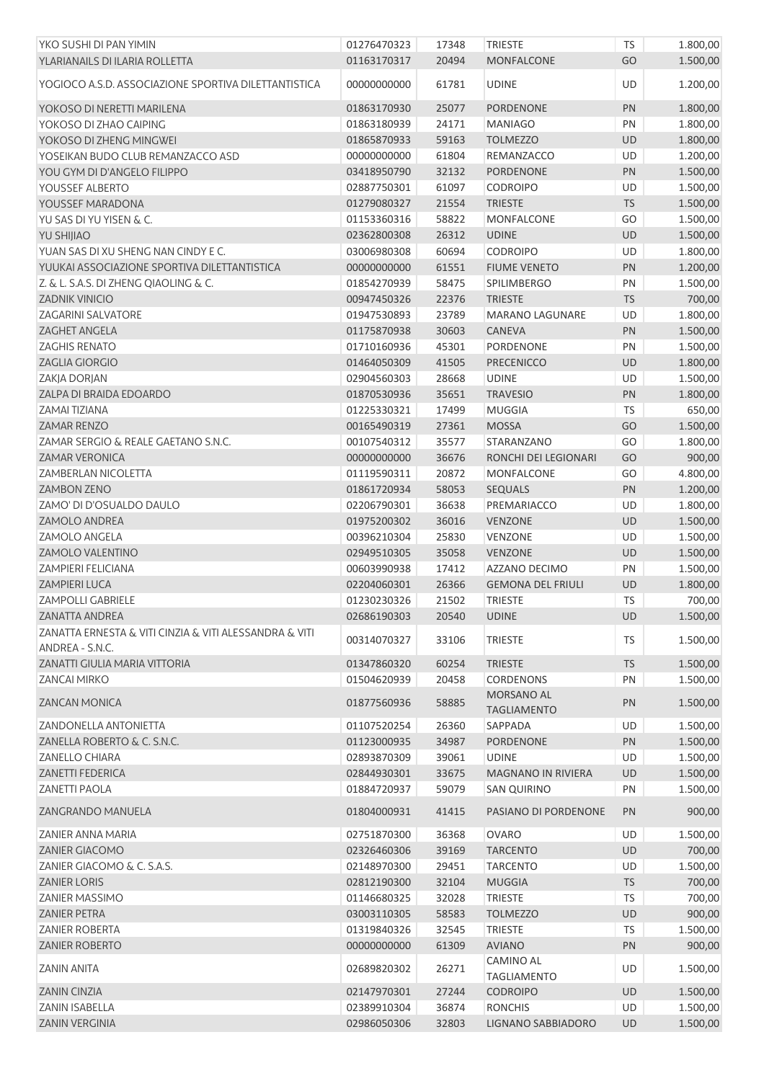| YKO SUSHI DI PAN YIMIN                                                    | 01276470323 | 17348 | <b>TRIESTE</b>            | TS        | 1.800,00 |
|---------------------------------------------------------------------------|-------------|-------|---------------------------|-----------|----------|
| YLARIANAILS DI ILARIA ROLLETTA                                            | 01163170317 | 20494 | <b>MONFALCONE</b>         | GO        | 1.500,00 |
| YOGIOCO A.S.D. ASSOCIAZIONE SPORTIVA DILETTANTISTICA                      | 00000000000 | 61781 | <b>UDINE</b>              | UD        | 1.200,00 |
| YOKOSO DI NERETTI MARILENA                                                | 01863170930 | 25077 | <b>PORDENONE</b>          | PN        | 1.800,00 |
| YOKOSO DI ZHAO CAIPING                                                    | 01863180939 | 24171 | <b>MANIAGO</b>            | PN        | 1.800,00 |
|                                                                           |             |       |                           |           |          |
| YOKOSO DI ZHENG MINGWEI                                                   | 01865870933 | 59163 | <b>TOLMEZZO</b>           | UD        | 1.800,00 |
| YOSEIKAN BUDO CLUB REMANZACCO ASD                                         | 00000000000 | 61804 | REMANZACCO                | UD        | 1.200,00 |
| YOU GYM DI D'ANGELO FILIPPO                                               | 03418950790 | 32132 | <b>PORDENONE</b>          | PN        | 1.500,00 |
| YOUSSEF ALBERTO                                                           | 02887750301 | 61097 | <b>CODROIPO</b>           | UD        | 1.500,00 |
| YOUSSEF MARADONA                                                          | 01279080327 | 21554 | <b>TRIESTE</b>            | <b>TS</b> | 1.500,00 |
| YU SAS DI YU YISEN & C.                                                   | 01153360316 | 58822 | <b>MONFALCONE</b>         | GO        | 1.500,00 |
| YU SHIJIAO                                                                | 02362800308 | 26312 | <b>UDINE</b>              | UD        | 1.500,00 |
| YUAN SAS DI XU SHENG NAN CINDY E C.                                       | 03006980308 | 60694 | <b>CODROIPO</b>           | UD        | 1.800,00 |
| YUUKAI ASSOCIAZIONE SPORTIVA DILETTANTISTICA                              | 00000000000 | 61551 | <b>FIUME VENETO</b>       | PN        | 1.200,00 |
| Z. & L. S.A.S. DI ZHENG QIAOLING & C.                                     | 01854270939 | 58475 | <b>SPILIMBERGO</b>        | PN        | 1.500,00 |
| <b>ZADNIK VINICIO</b>                                                     | 00947450326 | 22376 | <b>TRIESTE</b>            | <b>TS</b> | 700,00   |
| <b>ZAGARINI SALVATORE</b>                                                 | 01947530893 | 23789 | <b>MARANO LAGUNARE</b>    | UD        | 1.800,00 |
| <b>ZAGHET ANGELA</b>                                                      | 01175870938 | 30603 | <b>CANEVA</b>             | PN        | 1.500,00 |
| <b>ZAGHIS RENATO</b>                                                      | 01710160936 | 45301 | <b>PORDENONE</b>          | PN        | 1.500,00 |
| <b>ZAGLIA GIORGIO</b>                                                     | 01464050309 | 41505 | <b>PRECENICCO</b>         | UD        | 1.800,00 |
| ZAKJA DORJAN                                                              | 02904560303 | 28668 | <b>UDINE</b>              | UD        | 1.500,00 |
| ZALPA DI BRAIDA EDOARDO                                                   | 01870530936 | 35651 | <b>TRAVESIO</b>           | PN        | 1.800,00 |
| <b>ZAMAI TIZIANA</b>                                                      | 01225330321 | 17499 | <b>MUGGIA</b>             | <b>TS</b> | 650,00   |
| <b>ZAMAR RENZO</b>                                                        | 00165490319 | 27361 | <b>MOSSA</b>              | GO        |          |
|                                                                           |             |       |                           |           | 1.500,00 |
| ZAMAR SERGIO & REALE GAETANO S.N.C.                                       | 00107540312 | 35577 | STARANZANO                | GO        | 1.800,00 |
| <b>ZAMAR VERONICA</b>                                                     | 00000000000 | 36676 | RONCHI DEI LEGIONARI      | GO        | 900,00   |
| <b>ZAMBERLAN NICOLETTA</b>                                                | 01119590311 | 20872 | <b>MONFALCONE</b>         | GO        | 4.800,00 |
| <b>ZAMBON ZENO</b>                                                        | 01861720934 | 58053 | <b>SEQUALS</b>            | PN        | 1.200,00 |
| ZAMO' DI D'OSUALDO DAULO                                                  | 02206790301 | 36638 | PREMARIACCO               | UD        | 1.800,00 |
| <b>ZAMOLO ANDREA</b>                                                      | 01975200302 | 36016 | <b>VENZONE</b>            | <b>UD</b> | 1.500,00 |
| <b>ZAMOLO ANGELA</b>                                                      | 00396210304 | 25830 | <b>VENZONE</b>            | UD        | 1.500,00 |
| ZAMOLO VALENTINO                                                          | 02949510305 | 35058 | <b>VENZONE</b>            | UD        | 1.500,00 |
| <b>ZAMPIERI FELICIANA</b>                                                 | 00603990938 | 17412 | AZZANO DECIMO             | PN        | 1.500,00 |
| ZAMPIERI LUCA                                                             | 02204060301 | 26366 | <b>GEMONA DEL FRIULI</b>  | UD        | 1.800,00 |
| <b>ZAMPOLLI GABRIELE</b>                                                  | 01230230326 | 21502 | <b>TRIESTE</b>            | <b>TS</b> | 700,00   |
| <b>ZANATTA ANDREA</b>                                                     | 02686190303 | 20540 | <b>UDINE</b>              | <b>UD</b> | 1.500,00 |
| ZANATTA ERNESTA & VITI CINZIA & VITI ALESSANDRA & VITI<br>ANDREA - S.N.C. | 00314070327 | 33106 | <b>TRIESTE</b>            | <b>TS</b> | 1.500,00 |
| <b>ZANATTI GIULIA MARIA VITTORIA</b>                                      | 01347860320 | 60254 | <b>TRIESTE</b>            | <b>TS</b> | 1.500,00 |
| <b>ZANCAI MIRKO</b>                                                       | 01504620939 | 20458 | <b>CORDENONS</b>          | PN        | 1.500,00 |
|                                                                           |             |       | <b>MORSANO AL</b>         |           |          |
| <b>ZANCAN MONICA</b>                                                      | 01877560936 | 58885 | <b>TAGLIAMENTO</b>        | PN        | 1.500,00 |
| <b>ZANDONELLA ANTONIETTA</b>                                              | 01107520254 | 26360 | SAPPADA                   | UD        | 1.500,00 |
| ZANELLA ROBERTO & C. S.N.C.                                               | 01123000935 | 34987 | <b>PORDENONE</b>          | PN        | 1.500,00 |
| <b>ZANELLO CHIARA</b>                                                     | 02893870309 | 39061 | <b>UDINE</b>              | UD        | 1.500,00 |
| <b>ZANETTI FEDERICA</b>                                                   | 02844930301 | 33675 | <b>MAGNANO IN RIVIERA</b> | UD        | 1.500,00 |
| <b>ZANETTI PAOLA</b>                                                      | 01884720937 | 59079 | <b>SAN QUIRINO</b>        | PN        | 1.500,00 |
| ZANGRANDO MANUELA                                                         | 01804000931 | 41415 | PASIANO DI PORDENONE      | PN        | 900,00   |
| ZANIER ANNA MARIA                                                         | 02751870300 | 36368 | <b>OVARO</b>              | UD        | 1.500,00 |
| <b>ZANIER GIACOMO</b>                                                     | 02326460306 | 39169 | <b>TARCENTO</b>           | <b>UD</b> | 700,00   |
| ZANIER GIACOMO & C. S.A.S.                                                | 02148970300 | 29451 | <b>TARCENTO</b>           | UD        | 1.500,00 |
| <b>ZANIER LORIS</b>                                                       | 02812190300 | 32104 | <b>MUGGIA</b>             | <b>TS</b> | 700,00   |
| <b>ZANIER MASSIMO</b>                                                     | 01146680325 | 32028 | <b>TRIESTE</b>            | <b>TS</b> | 700,00   |
| <b>ZANIER PETRA</b>                                                       | 03003110305 | 58583 | <b>TOLMEZZO</b>           | <b>UD</b> | 900,00   |
| <b>ZANIER ROBERTA</b>                                                     | 01319840326 | 32545 | <b>TRIESTE</b>            | <b>TS</b> | 1.500,00 |
| <b>ZANIER ROBERTO</b>                                                     | 00000000000 | 61309 | <b>AVIANO</b>             | PN        | 900,00   |
|                                                                           |             |       | CAMINO AL                 |           |          |
| <b>ZANIN ANITA</b>                                                        | 02689820302 | 26271 | <b>TAGLIAMENTO</b>        | UD        | 1.500,00 |
| <b>ZANIN CINZIA</b>                                                       | 02147970301 | 27244 | <b>CODROIPO</b>           | <b>UD</b> | 1.500,00 |
| <b>ZANIN ISABELLA</b>                                                     | 02389910304 | 36874 | <b>RONCHIS</b>            | UD        | 1.500,00 |
| ZANIN VERGINIA                                                            | 02986050306 | 32803 | LIGNANO SABBIADORO        | UD        | 1.500,00 |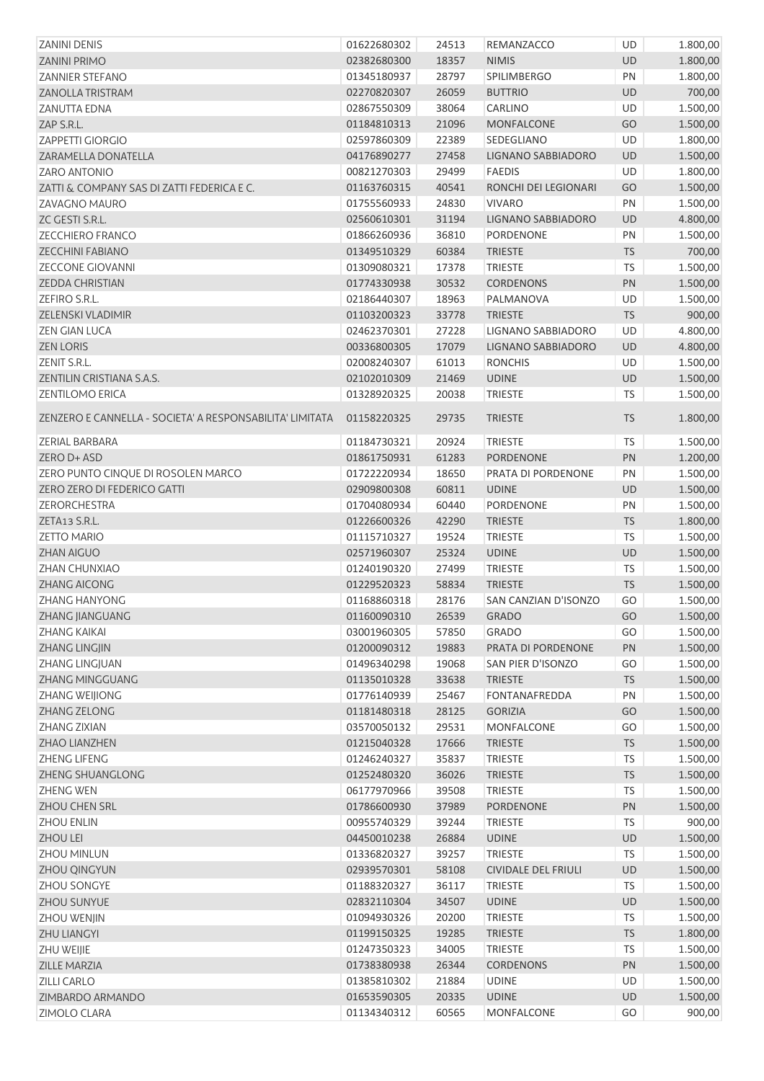| ZANINI DENIS                                             | 01622680302 | 24513 | REMANZACCO                 | UD         | 1.800,00 |
|----------------------------------------------------------|-------------|-------|----------------------------|------------|----------|
| <b>ZANINI PRIMO</b>                                      | 02382680300 | 18357 | <b>NIMIS</b>               | <b>UD</b>  | 1.800,00 |
| <b>ZANNIER STEFANO</b>                                   | 01345180937 | 28797 | SPILIMBERGO                | PN         | 1.800,00 |
| <b>ZANOLLA TRISTRAM</b>                                  | 02270820307 | 26059 | <b>BUTTRIO</b>             | UD         | 700,00   |
| <b>ZANUTTA EDNA</b>                                      | 02867550309 | 38064 | CARLINO                    | UD         | 1.500,00 |
| ZAP S.R.L.                                               | 01184810313 | 21096 | <b>MONFALCONE</b>          | GO         | 1.500,00 |
| <b>ZAPPETTI GIORGIO</b>                                  | 02597860309 | 22389 | SEDEGLIANO                 | UD         | 1.800,00 |
| ZARAMELLA DONATELLA                                      | 04176890277 | 27458 | LIGNANO SABBIADORO         | UD         | 1.500,00 |
| <b>ZARO ANTONIO</b>                                      | 00821270303 | 29499 | <b>FAEDIS</b>              | UD         | 1.800,00 |
| ZATTI & COMPANY SAS DI ZATTI FEDERICA E C.               | 01163760315 | 40541 | RONCHI DEI LEGIONARI       | GO         | 1.500,00 |
| ZAVAGNO MAURO                                            | 01755560933 | 24830 | <b>VIVARO</b>              | PN         | 1.500,00 |
| ZC GESTI S.R.L.                                          | 02560610301 | 31194 | LIGNANO SABBIADORO         | UD         | 4.800,00 |
| <b>ZECCHIERO FRANCO</b>                                  | 01866260936 | 36810 | PORDENONE                  | PN         | 1.500,00 |
| <b>ZECCHINI FABIANO</b>                                  | 01349510329 | 60384 | <b>TRIESTE</b>             | TS         | 700,00   |
| <b>ZECCONE GIOVANNI</b>                                  | 01309080321 | 17378 | <b>TRIESTE</b>             | <b>TS</b>  | 1.500,00 |
| <b>ZEDDA CHRISTIAN</b>                                   | 01774330938 | 30532 | <b>CORDENONS</b>           | PN         | 1.500,00 |
| ZEFIRO S.R.L.                                            | 02186440307 | 18963 | PALMANOVA                  | UD         | 1.500,00 |
| <b>ZELENSKI VLADIMIR</b>                                 | 01103200323 | 33778 | <b>TRIESTE</b>             | <b>TS</b>  | 900,00   |
| <b>ZEN GIAN LUCA</b>                                     | 02462370301 | 27228 | LIGNANO SABBIADORO         | UD         | 4.800,00 |
| <b>ZEN LORIS</b>                                         | 00336800305 | 17079 | LIGNANO SABBIADORO         | UD         | 4.800,00 |
| ZENIT S.R.L.                                             | 02008240307 | 61013 | <b>RONCHIS</b>             | UD         | 1.500,00 |
| ZENTILIN CRISTIANA S.A.S.                                | 02102010309 | 21469 | <b>UDINE</b>               | UD         | 1.500,00 |
| <b>ZENTILOMO ERICA</b>                                   | 01328920325 | 20038 | <b>TRIESTE</b>             | <b>TS</b>  | 1.500,00 |
|                                                          |             |       |                            |            |          |
| ZENZERO E CANNELLA - SOCIETA' A RESPONSABILITA' LIMITATA | 01158220325 | 29735 | <b>TRIESTE</b>             | <b>TS</b>  | 1.800,00 |
| ZERIAL BARBARA                                           | 01184730321 | 20924 | <b>TRIESTE</b>             | <b>TS</b>  | 1.500,00 |
| ZERO D+ ASD                                              | 01861750931 | 61283 | <b>PORDENONE</b>           | PN         | 1.200,00 |
| ZERO PUNTO CINQUE DI ROSOLEN MARCO                       | 01722220934 | 18650 | PRATA DI PORDENONE         | PN         | 1.500,00 |
| ZERO ZERO DI FEDERICO GATTI                              | 02909800308 | 60811 | <b>UDINE</b>               | UD         | 1.500,00 |
| ZERORCHESTRA                                             | 01704080934 | 60440 | <b>PORDENONE</b>           | PN         | 1.500,00 |
| ZETA13 S.R.L.                                            | 01226600326 | 42290 | <b>TRIESTE</b>             | <b>TS</b>  | 1.800,00 |
| <b>ZETTO MARIO</b>                                       | 01115710327 | 19524 | <b>TRIESTE</b>             | TS         | 1.500,00 |
| <b>ZHAN AIGUO</b>                                        | 02571960307 | 25324 | <b>UDINE</b>               | UD         | 1.500,00 |
| <b>ZHAN CHUNXIAO</b>                                     | 01240190320 | 27499 | <b>TRIESTE</b>             | <b>TS</b>  | 1.500,00 |
| <b>ZHANG AICONG</b>                                      | 01229520323 | 58834 | <b>TRIESTE</b>             | <b>TS</b>  | 1.500,00 |
| ZHANG HANYONG                                            | 01168860318 | 28176 | SAN CANZIAN D'ISONZO       | GO         | 1.500,00 |
| ZHANG JIANGUANG                                          | 01160090310 | 26539 | <b>GRADO</b>               | GO         | 1.500,00 |
| <b>ZHANG KAIKAI</b>                                      | 03001960305 | 57850 | <b>GRADO</b>               | GO         | 1.500,00 |
| ZHANG LINGJIN                                            | 01200090312 | 19883 | PRATA DI PORDENONE         | PN         | 1.500,00 |
| ZHANG LINGJUAN                                           | 01496340298 | 19068 | SAN PIER D'ISONZO          | GO         | 1.500,00 |
| ZHANG MINGGUANG                                          | 01135010328 | 33638 | <b>TRIESTE</b>             | <b>TS</b>  | 1.500,00 |
| ZHANG WEIJIONG                                           | 01776140939 | 25467 | <b>FONTANAFREDDA</b>       | PN         | 1.500,00 |
| ZHANG ZELONG                                             | 01181480318 | 28125 | <b>GORIZIA</b>             | GO         | 1.500,00 |
| ZHANG ZIXIAN                                             | 03570050132 | 29531 | <b>MONFALCONE</b>          | GO         | 1.500,00 |
| ZHAO LIANZHEN                                            | 01215040328 | 17666 | <b>TRIESTE</b>             | <b>TS</b>  | 1.500,00 |
| <b>ZHENG LIFENG</b>                                      | 01246240327 | 35837 | <b>TRIESTE</b>             | TS         | 1.500,00 |
| ZHENG SHUANGLONG                                         | 01252480320 | 36026 | <b>TRIESTE</b>             | TS         | 1.500,00 |
| <b>ZHENG WEN</b>                                         | 06177970966 | 39508 | <b>TRIESTE</b>             | TS         | 1.500,00 |
| ZHOU CHEN SRL                                            | 01786600930 | 37989 | PORDENONE                  | PN         | 1.500,00 |
| <b>ZHOU ENLIN</b>                                        | 00955740329 | 39244 | <b>TRIESTE</b>             | <b>TS</b>  | 900,00   |
| <b>ZHOU LEI</b>                                          | 04450010238 | 26884 | <b>UDINE</b>               | <b>UD</b>  | 1.500,00 |
| <b>ZHOU MINLUN</b>                                       | 01336820327 | 39257 | <b>TRIESTE</b>             | TS         | 1.500,00 |
| ZHOU QINGYUN                                             | 02939570301 | 58108 | <b>CIVIDALE DEL FRIULI</b> | UD         | 1.500,00 |
| ZHOU SONGYE                                              | 01188320327 | 36117 | <b>TRIESTE</b>             | <b>TS</b>  | 1.500,00 |
| ZHOU SUNYUE                                              | 02832110304 | 34507 | <b>UDINE</b>               | UD         | 1.500,00 |
| ZHOU WENJIN                                              | 01094930326 | 20200 | <b>TRIESTE</b>             | <b>TS</b>  | 1.500,00 |
| ZHU LIANGYI                                              | 01199150325 | 19285 | <b>TRIESTE</b>             | ${\sf TS}$ | 1.800,00 |
| ZHU WEIJIE                                               | 01247350323 | 34005 | <b>TRIESTE</b>             | <b>TS</b>  | 1.500,00 |
| ZILLE MARZIA                                             | 01738380938 | 26344 | <b>CORDENONS</b>           | PN         | 1.500,00 |
| <b>ZILLI CARLO</b>                                       | 01385810302 | 21884 | <b>UDINE</b>               | UD         | 1.500,00 |
| ZIMBARDO ARMANDO                                         | 01653590305 | 20335 | <b>UDINE</b>               | UD         | 1.500,00 |
| <b>ZIMOLO CLARA</b>                                      | 01134340312 | 60565 | <b>MONFALCONE</b>          | GO         | 900,00   |